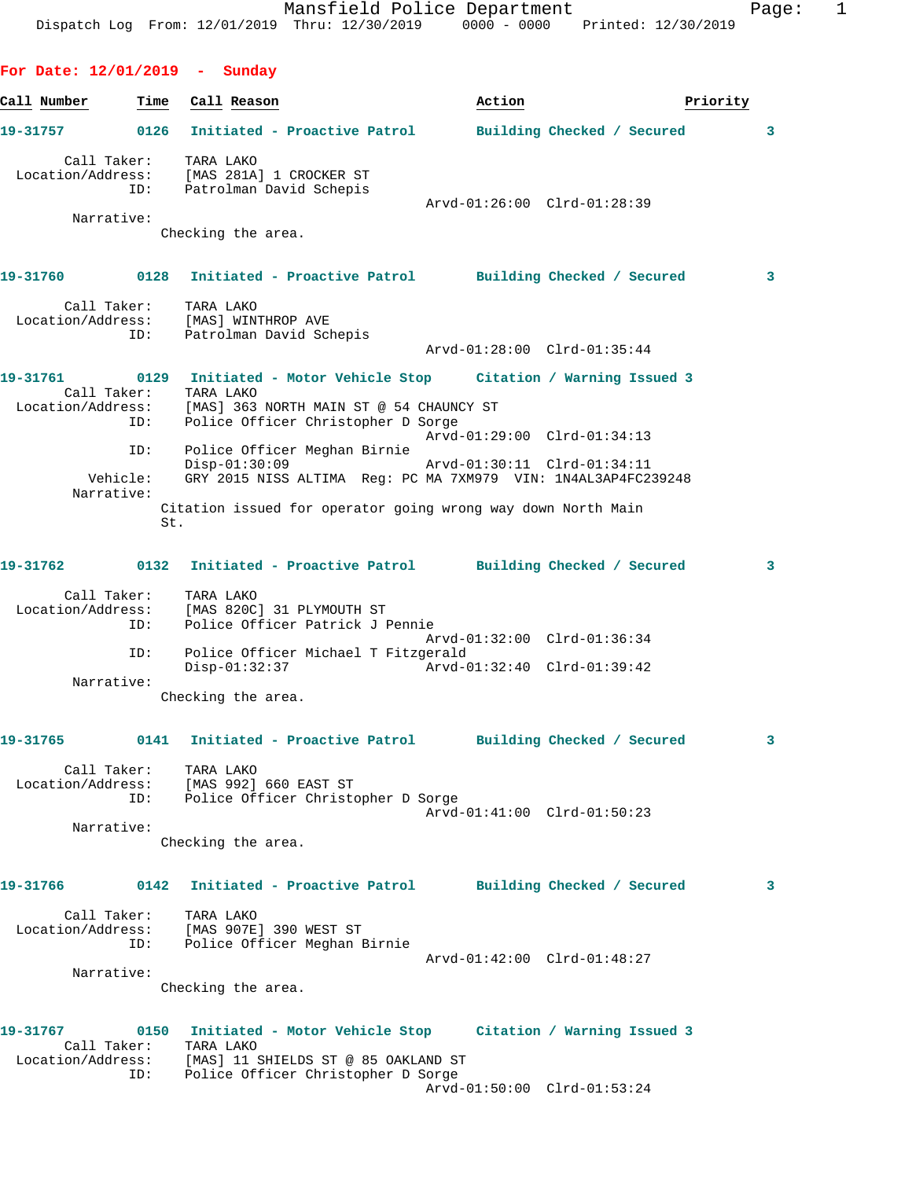|                                 |                        | Dispatch Log From: 12/01/2019 Thru: 12/30/2019 0000 - 0000 Printed: 12/30/2019                                                                                                                                | Mansfield Police Department                                                                                                                       |                             |          | Page: | 1 |
|---------------------------------|------------------------|---------------------------------------------------------------------------------------------------------------------------------------------------------------------------------------------------------------|---------------------------------------------------------------------------------------------------------------------------------------------------|-----------------------------|----------|-------|---|
| For Date: $12/01/2019$ - Sunday |                        |                                                                                                                                                                                                               |                                                                                                                                                   |                             |          |       |   |
| Call Number                     | Time                   | Call Reason                                                                                                                                                                                                   |                                                                                                                                                   | Action                      | Priority |       |   |
| 19-31757                        |                        | 0126 Initiated - Proactive Patrol Building Checked / Secured                                                                                                                                                  |                                                                                                                                                   |                             |          | 3     |   |
| Call Taker:                     | ID:                    | TARA LAKO<br>Location/Address: [MAS 281A] 1 CROCKER ST<br>Patrolman David Schepis                                                                                                                             |                                                                                                                                                   |                             |          |       |   |
| Narrative:                      |                        | Checking the area.                                                                                                                                                                                            |                                                                                                                                                   | Arvd-01:26:00 Clrd-01:28:39 |          |       |   |
| 19-31760                        |                        | 0128 Initiated - Proactive Patrol Building Checked / Secured                                                                                                                                                  |                                                                                                                                                   |                             |          | 3     |   |
| Location/Address:               | Call Taker:<br>ID:     | TARA LAKO<br>[MAS] WINTHROP AVE<br>Patrolman David Schepis                                                                                                                                                    |                                                                                                                                                   | Arvd-01:28:00 Clrd-01:35:44 |          |       |   |
|                                 |                        | 19-31761 		 0129 Initiated - Motor Vehicle Stop 	 Citation / Warning Issued 3                                                                                                                                 |                                                                                                                                                   |                             |          |       |   |
| Location/Address:               | ID:                    | Call Taker: TARA LAKO<br>[MAS] 363 NORTH MAIN ST @ 54 CHAUNCY ST                                                                                                                                              | Police Officer Christopher D Sorge                                                                                                                | Arvd-01:29:00 Clrd-01:34:13 |          |       |   |
| Narrative:                      | ID:<br>Vehicle:<br>St. | Police Officer Meghan Birnie<br>Citation issued for operator going wrong way down North Main                                                                                                                  | $\rho_{\text{1}} = 01:30:09$ $\rho_{\text{1}} = 01:30:11$ $\text{C1rd-01}:34:11$<br>GRY 2015 NISS ALTIMA Reg: PC MA 7XM979 VIN: 1N4AL3AP4FC239248 |                             |          |       |   |
|                                 |                        |                                                                                                                                                                                                               |                                                                                                                                                   |                             |          | 3     |   |
|                                 | Call Taker:<br>ID:     | TARA LAKO<br>Location/Address: [MAS 820C] 31 PLYMOUTH ST                                                                                                                                                      | Police Officer Patrick J Pennie                                                                                                                   |                             |          |       |   |
|                                 | ID:                    |                                                                                                                                                                                                               | Police Officer Michael T Fitzgerald<br>Disp-01:32:37 Arvd-01:32:40 Clrd-01:39:42                                                                  | Arvd-01:32:00 Clrd-01:36:34 |          |       |   |
| Narrative:                      |                        | Checking the area.                                                                                                                                                                                            |                                                                                                                                                   |                             |          |       |   |
|                                 |                        | 19-31765 0141 Initiated - Proactive Patrol Building Checked / Secured                                                                                                                                         |                                                                                                                                                   |                             |          | 3     |   |
|                                 |                        | Call Taker: TARA LAKO<br>Location/Address: [MAS 992] 660 EAST ST<br>ID: Police Officer Christopher D Sorge                                                                                                    |                                                                                                                                                   | Arvd-01:41:00 Clrd-01:50:23 |          |       |   |
| Narrative:                      |                        | Checking the area.                                                                                                                                                                                            |                                                                                                                                                   |                             |          |       |   |
|                                 |                        | 19-31766      0142  Initiated - Proactive Patrol     Building Checked / Secured                                                                                                                               |                                                                                                                                                   |                             |          | 3     |   |
|                                 |                        | Call Taker: TARA LAKO<br>Location/Address: [MAS 907E] 390 WEST ST<br>ID: Police Officer Meghan Birnie                                                                                                         |                                                                                                                                                   | Arvd-01:42:00 Clrd-01:48:27 |          |       |   |
| Narrative:                      |                        | Checking the area.                                                                                                                                                                                            |                                                                                                                                                   |                             |          |       |   |
|                                 |                        | 19-31767      0150  Initiated - Motor Vehicle Stop    Citation / Warning Issued 3<br>Call Taker: TARA LAKO<br>Location/Address: [MAS] 11 SHIELDS ST @ 85 OAKLAND ST<br>ID: Police Officer Christopher D Sorge |                                                                                                                                                   | Arvd-01:50:00 Clrd-01:53:24 |          |       |   |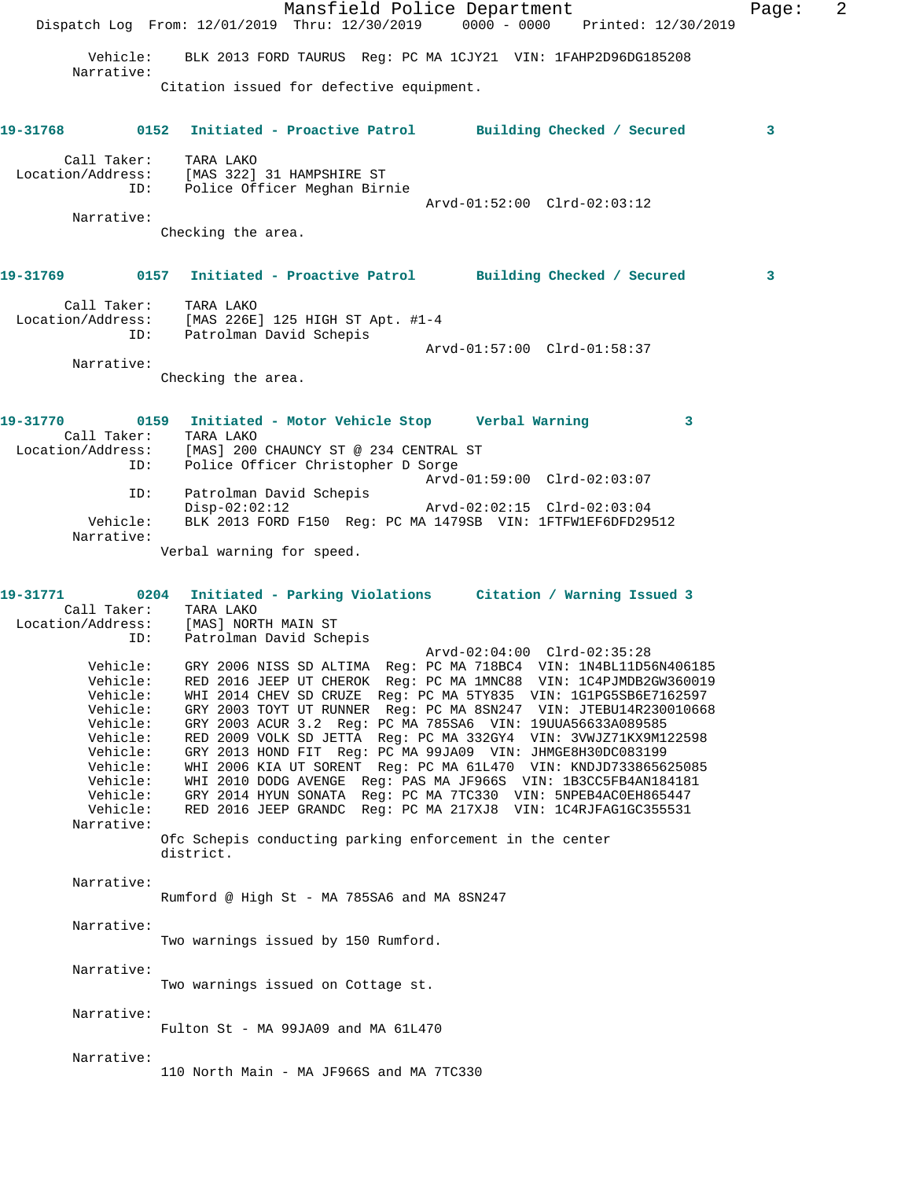Mansfield Police Department Fage: 2 Dispatch Log From: 12/01/2019 Thru: 12/30/2019 0000 - 0000 Printed: 12/30/2019 Vehicle: BLK 2013 FORD TAURUS Reg: PC MA 1CJY21 VIN: 1FAHP2D96DG185208 Narrative: Citation issued for defective equipment. **19-31768 0152 Initiated - Proactive Patrol Building Checked / Secured 3** Call Taker: TARA LAKO Location/Address: [MAS 322] 31 HAMPSHIRE ST ID: Police Officer Meghan Birnie Arvd-01:52:00 Clrd-02:03:12 Narrative: Checking the area. **19-31769 0157 Initiated - Proactive Patrol Building Checked / Secured 3** Call Taker: TARA LAKO Location/Address: [MAS 226E] 125 HIGH ST Apt. #1-4 ID: Patrolman David Schepis Arvd-01:57:00 Clrd-01:58:37 Narrative: Checking the area. **19-31770 0159 Initiated - Motor Vehicle Stop Verbal Warning 3**  Call Taker: TARA LAKO Location/Address: [MAS] 200 CHAUNCY ST @ 234 CENTRAL ST ID: Police Officer Christopher D Sorge Arvd-01:59:00 Clrd-02:03:07 ID: Patrolman David Schepis Disp-02:02:12 Arvd-02:02:15 Clrd-02:03:04 Vehicle: BLK 2013 FORD F150 Reg: PC MA 1479SB VIN: 1FTFW1EF6DFD29512 Narrative: Verbal warning for speed. **19-31771 0204 Initiated - Parking Violations Citation / Warning Issued 3**  Call Taker: TARA LAKO Location/Address: [MAS] NORTH MAIN ST ID: Patrolman David Schepis  $Arvd-02:04:00$   $Clrd-02:35:28$  Vehicle: GRY 2006 NISS SD ALTIMA Reg: PC MA 718BC4 VIN: 1N4BL11D56N406185 Vehicle: RED 2016 JEEP UT CHEROK Reg: PC MA 1MNC88 VIN: 1C4PJMDB2GW360019 Vehicle: WHI 2014 CHEV SD CRUZE Reg: PC MA 5TY835 VIN: 1G1PG5SB6E7162597 Vehicle: GRY 2003 TOYT UT RUNNER Reg: PC MA 8SN247 VIN: JTEBU14R230010668 Vehicle: GRY 2003 ACUR 3.2 Reg: PC MA 785SA6 VIN: 19UUA56633A089585 Vehicle: RED 2009 VOLK SD JETTA Reg: PC MA 332GY4 VIN: 3VWJZ71KX9M122598 Vehicle: GRY 2013 HOND FIT Reg: PC MA 99JA09 VIN: JHMGE8H30DC083199 Vehicle: WHI 2006 KIA UT SORENT Reg: PC MA 61L470 VIN: KNDJD733865625085 Vehicle: WHI 2010 DODG AVENGE Reg: PAS MA JF966S VIN: 1B3CC5FB4AN184181 Vehicle: GRY 2014 HYUN SONATA Reg: PC MA 7TC330 VIN: 5NPEB4AC0EH865447 Vehicle: RED 2016 JEEP GRANDC Reg: PC MA 217XJ8 VIN: 1C4RJFAG1GC355531 Narrative: Ofc Schepis conducting parking enforcement in the center district. Narrative: Rumford @ High St - MA 785SA6 and MA 8SN247 Narrative: Two warnings issued by 150 Rumford. Narrative: Two warnings issued on Cottage st. Narrative: Fulton St - MA 99JA09 and MA 61L470 Narrative: 110 North Main - MA JF966S and MA 7TC330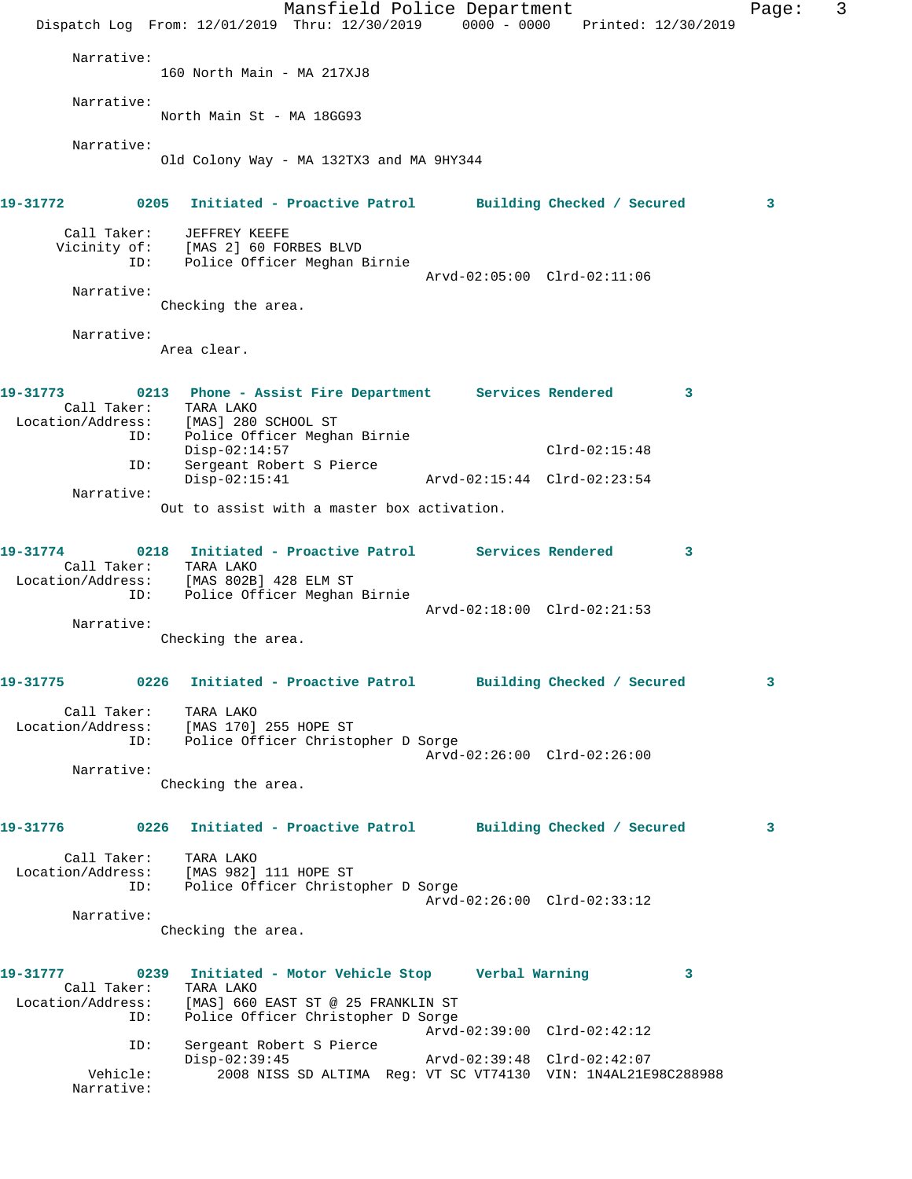|                               | Mansfield Police Department<br>Dispatch Log From: 12/01/2019 Thru: 12/30/2019 0000 - 0000 Printed: 12/30/2019                                                                                                     | Page: | 3 |
|-------------------------------|-------------------------------------------------------------------------------------------------------------------------------------------------------------------------------------------------------------------|-------|---|
| Narrative:                    | 160 North Main - MA 217XJ8                                                                                                                                                                                        |       |   |
| Narrative:                    | North Main St - MA 18GG93                                                                                                                                                                                         |       |   |
| Narrative:                    | Old Colony Way - MA 132TX3 and MA 9HY344                                                                                                                                                                          |       |   |
| 19-31772                      | 0205 Initiated - Proactive Patrol Building Checked / Secured                                                                                                                                                      | 3     |   |
| Call Taker:<br>ID:            | JEFFREY KEEFE<br>Vicinity of: [MAS 2] 60 FORBES BLVD<br>Police Officer Meghan Birnie                                                                                                                              |       |   |
| Narrative:                    | Arvd-02:05:00 Clrd-02:11:06<br>Checking the area.                                                                                                                                                                 |       |   |
| Narrative:                    | Area clear.                                                                                                                                                                                                       |       |   |
| 19-31773                      | 0213 Phone - Assist Fire Department Services Rendered<br>3<br>Call Taker: TARA LAKO<br>Location/Address: [MAS] 280 SCHOOL ST                                                                                      |       |   |
| ID:<br>ID:                    | Police Officer Meghan Birnie<br>$Disp-02:14:57$<br>$Clrd-02:15:48$<br>Sergeant Robert S Pierce                                                                                                                    |       |   |
| Narrative:                    | $Disp-02:15:41$<br>Arvd-02:15:44 Clrd-02:23:54<br>Out to assist with a master box activation.                                                                                                                     |       |   |
| 19-31774                      | 0218 Initiated - Proactive Patrol Services Rendered<br>3<br>Call Taker: TARA LAKO<br>Location/Address: [MAS 802B] 428 ELM ST                                                                                      |       |   |
| ID:<br>Narrative:             | Police Officer Meghan Birnie<br>Arvd-02:18:00 Clrd-02:21:53<br>Checking the area.                                                                                                                                 |       |   |
|                               |                                                                                                                                                                                                                   |       |   |
|                               | 19-31775 		 0226 Initiated - Proactive Patrol 		 Building Checked / Secured<br>Call Taker: TARA LAKO<br>Location/Address: [MAS 170] 255 HOPE ST<br>ID: Police Officer Christopher D Sorge                         | 3     |   |
| Narrative:                    | Arvd-02:26:00 Clrd-02:26:00<br>Checking the area.                                                                                                                                                                 |       |   |
|                               | 19-31776          0226 Initiated - Proactive Patrol        Building Checked / Secured                                                                                                                             | 3     |   |
|                               | Call Taker: TARA LAKO<br>Location/Address: [MAS 982] 111 HOPE ST<br>ID: Police Officer Christopher D Sorge<br>Arvd-02:26:00 Clrd-02:33:12                                                                         |       |   |
| Narrative:                    | Checking the area.                                                                                                                                                                                                |       |   |
| 19-31777<br>ID:               | 0239 Initiated - Motor Vehicle Stop     Verbal Warning<br>3<br>Call Taker: TARA LAKO<br>Location/Address: [MAS] 660 EAST ST @ 25 FRANKLIN ST<br>Police Officer Christopher D Sorge<br>Arvd-02:39:00 Clrd-02:42:12 |       |   |
| ID:<br>Vehicle:<br>Narrative: | Sergeant Robert S Pierce<br>$Disp-02:39:45$<br>Arvd-02:39:48 Clrd-02:42:07<br>2008 NISS SD ALTIMA Reg: VT SC VT74130 VIN: 1N4AL21E98C288988                                                                       |       |   |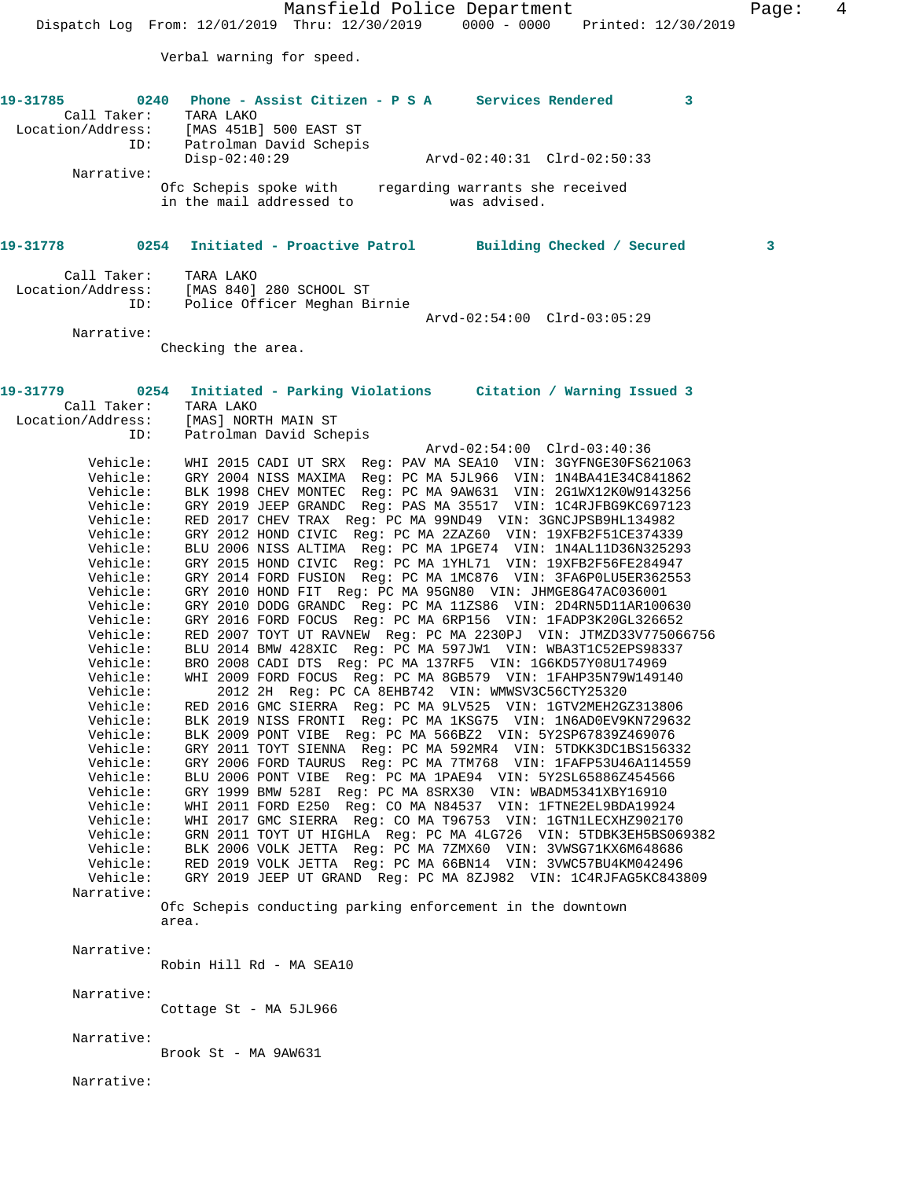Mansfield Police Department Fage: 4 Dispatch Log From: 12/01/2019 Thru: 12/30/2019 0000 - 0000 Printed: 12/30/2019 Verbal warning for speed. **19-31785 0240 Phone - Assist Citizen - P S A Services Rendered 3**  Call Taker: TARA LAKO Location/Address: [MAS 451B] 500 EAST ST ID: Patrolman David Schepis<br>Disp-02:40:29 Disp-02:40:29 Arvd-02:40:31 Clrd-02:50:33 Narrative: Ofc Schepis spoke with regarding warrants she received in the mail addressed to was advised. **19-31778 0254 Initiated - Proactive Patrol Building Checked / Secured 3** Call Taker: TARA LAKO Location/Address: [MAS 840] 280 SCHOOL ST ID: Police Officer Meghan Birnie Arvd-02:54:00 Clrd-03:05:29 Narrative: Checking the area. **19-31779 0254 Initiated - Parking Violations Citation / Warning Issued 3**  Call Taker: TARA LAKO Location/Address: [MAS] NORTH MAIN ST ID: Patrolman David Schepis Arvd-02:54:00 Clrd-03:40:36 Vehicle: WHI 2015 CADI UT SRX Reg: PAV MA SEA10 VIN: 3GYFNGE30FS621063 Vehicle: GRY 2004 NISS MAXIMA Reg: PC MA 5JL966 VIN: 1N4BA41E34C841862 Vehicle: BLK 1998 CHEV MONTEC Reg: PC MA 9AW631 VIN: 2G1WX12K0W9143256 Vehicle: GRY 2019 JEEP GRANDC Reg: PAS MA 35517 VIN: 1C4RJFBG9KC697123 Vehicle: RED 2017 CHEV TRAX Reg: PC MA 99ND49 VIN: 3GNCJPSB9HL134982 Vehicle: GRY 2012 HOND CIVIC Reg: PC MA 2ZAZ60 VIN: 19XFB2F51CE374339 Vehicle: BLU 2006 NISS ALTIMA Reg: PC MA 1PGE74 VIN: 1N4AL11D36N325293 Vehicle: GRY 2015 HOND CIVIC Reg: PC MA 1YHL71 VIN: 19XFB2F56FE284947 Vehicle: GRY 2014 FORD FUSION Reg: PC MA 1MC876 VIN: 3FA6P0LU5ER362553 Vehicle: GRY 2010 HOND FIT Reg: PC MA 95GN80 VIN: JHMGE8G47AC036001 Vehicle: GRY 2010 DODG GRANDC Reg: PC MA 11ZS86 VIN: 2D4RN5D11AR100630 Vehicle: GRY 2016 FORD FOCUS Reg: PC MA 6RP156 VIN: 1FADP3K20GL326652 Vehicle: RED 2007 TOYT UT RAVNEW Reg: PC MA 2230PJ VIN: JTMZD33V775066756 Vehicle: BLU 2014 BMW 428XIC Reg: PC MA 597JW1 VIN: WBA3T1C52EPS98337 Vehicle: BRO 2008 CADI DTS Reg: PC MA 137RF5 VIN: 1G6KD57Y08U174969 Vehicle: WHI 2009 FORD FOCUS Reg: PC MA 8GB579 VIN: 1FAHP35N79W149140 Vehicle: 2012 2H Reg: PC CA 8EHB742 VIN: WMWSV3C56CTY25320 Vehicle: RED 2016 GMC SIERRA Reg: PC MA 9LV525 VIN: 1GTV2MEH2GZ313806 Vehicle: BLK 2019 NISS FRONTI Reg: PC MA 1KSG75 VIN: 1N6AD0EV9KN729632 Vehicle: BLK 2009 PONT VIBE Reg: PC MA 566BZ2 VIN: 5Y2SP67839Z469076 Vehicle: GRY 2011 TOYT SIENNA Reg: PC MA 592MR4 VIN: 5TDKK3DC1BS156332 Vehicle: GRY 2006 FORD TAURUS Reg: PC MA 7TM768 VIN: 1FAFP53U46A114559 Vehicle: BLU 2006 PONT VIBE Reg: PC MA 1PAE94 VIN: 5Y2SL65886Z454566 Vehicle: GRY 1999 BMW 528I Reg: PC MA 8SRX30 VIN: WBADM5341XBY16910 Vehicle: WHI 2011 FORD E250 Reg: CO MA N84537 VIN: 1FTNE2EL9BDA19924 Vehicle: WHI 2017 GMC SIERRA Reg: CO MA T96753 VIN: 1GTN1LECXHZ902170 Vehicle: GRN 2011 TOYT UT HIGHLA Reg: PC MA 4LG726 VIN: 5TDBK3EH5BS069382 Vehicle: BLK 2006 VOLK JETTA Reg: PC MA 7ZMX60 VIN: 3VWSG71KX6M648686 Vehicle: RED 2019 VOLK JETTA Reg: PC MA 66BN14 VIN: 3VWC57BU4KM042496 Vehicle: GRY 2019 JEEP UT GRAND Reg: PC MA 8ZJ982 VIN: 1C4RJFAG5KC843809 Narrative: Ofc Schepis conducting parking enforcement in the downtown area. Narrative: Robin Hill Rd - MA SEA10 Narrative: Cottage St - MA 5JL966

Narrative:

Brook St - MA 9AW631

Narrative: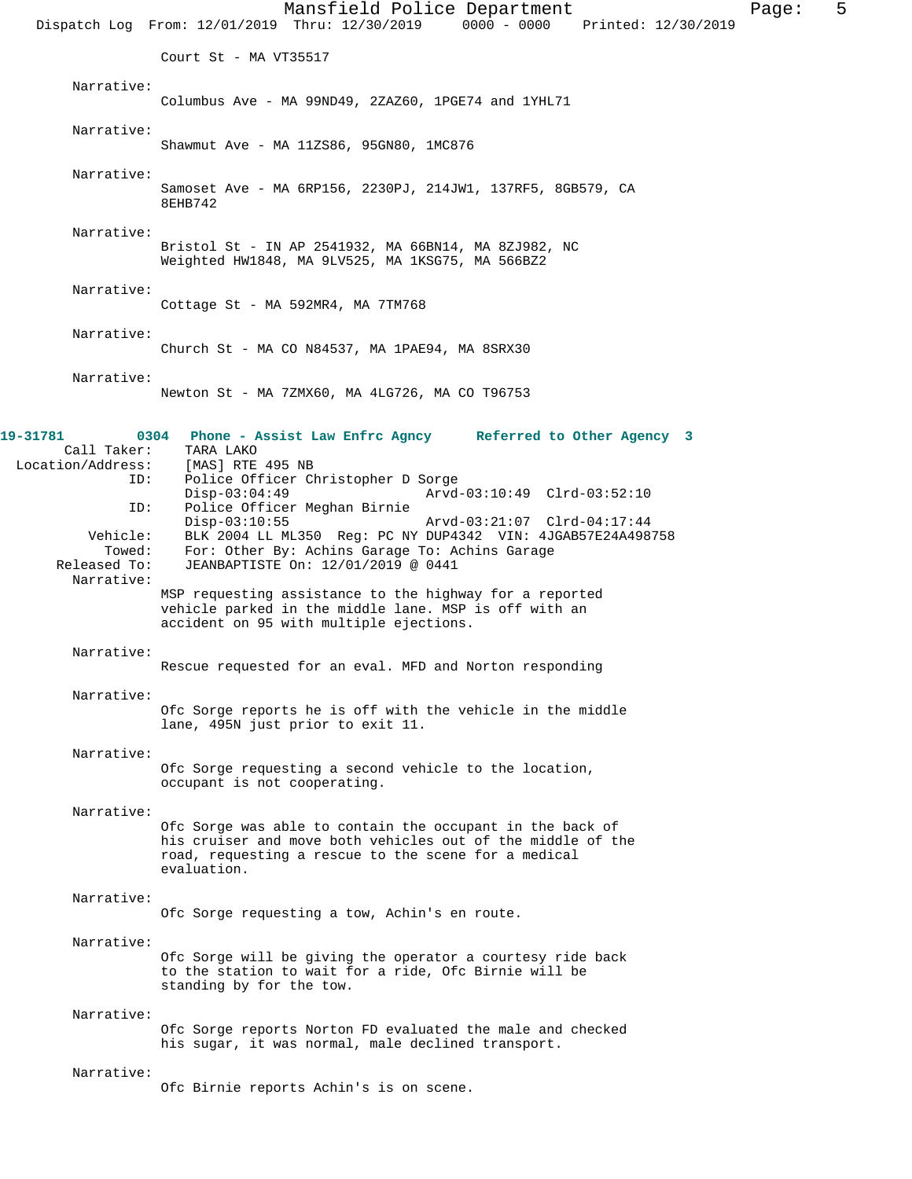Mansfield Police Department Fage: 5 Dispatch Log From: 12/01/2019 Thru: 12/30/2019 0000 - 0000 Printed: 12/30/2019 Court St - MA VT35517 Narrative: Columbus Ave - MA 99ND49, 2ZAZ60, 1PGE74 and 1YHL71 Narrative: Shawmut Ave - MA 11ZS86, 95GN80, 1MC876 Narrative: Samoset Ave - MA 6RP156, 2230PJ, 214JW1, 137RF5, 8GB579, CA 8EHB742 Narrative: Bristol St - IN AP 2541932, MA 66BN14, MA 8ZJ982, NC Weighted HW1848, MA 9LV525, MA 1KSG75, MA 566BZ2 Narrative: Cottage St - MA 592MR4, MA 7TM768 Narrative: Church St - MA CO N84537, MA 1PAE94, MA 8SRX30 Narrative: Newton St - MA 7ZMX60, MA 4LG726, MA CO T96753 **19-31781 0304 Phone - Assist Law Enfrc Agncy Referred to Other Agency 3**  Call Taker: TARA LAKO<br>on/Address: [MAS] RTE 495 NB Location/Address: ID: Police Officer Christopher D Sorge Disp-03:04:49 Arvd-03:10:49 Clrd-03:52:10<br>ID: Police Officer Meghan Birnie Police Officer Meghan Birnie<br>Disp-03:10:55 Disp-03:10:55 Arvd-03:21:07 Clrd-04:17:44 Vehicle: BLK 2004 LL ML350 Reg: PC NY DUP4342 VIN: 4JGAB57E24A498758<br>Towed: For: Other By: Achins Garage To: Achins Garage Towed: For: Other By: Achins Garage To: Achins Garage Released To: JEANBAPTISTE On: 12/01/2019 @ 0441 JEANBAPTISTE On: 12/01/2019 @ 0441 Narrative: MSP requesting assistance to the highway for a reported vehicle parked in the middle lane. MSP is off with an accident on 95 with multiple ejections. Narrative: Rescue requested for an eval. MFD and Norton responding Narrative: Ofc Sorge reports he is off with the vehicle in the middle lane, 495N just prior to exit 11. Narrative: Ofc Sorge requesting a second vehicle to the location, occupant is not cooperating. Narrative: Ofc Sorge was able to contain the occupant in the back of his cruiser and move both vehicles out of the middle of the road, requesting a rescue to the scene for a medical evaluation. Narrative: Ofc Sorge requesting a tow, Achin's en route. Narrative: Ofc Sorge will be giving the operator a courtesy ride back to the station to wait for a ride, Ofc Birnie will be standing by for the tow. Narrative: Ofc Sorge reports Norton FD evaluated the male and checked his sugar, it was normal, male declined transport. Narrative: Ofc Birnie reports Achin's is on scene.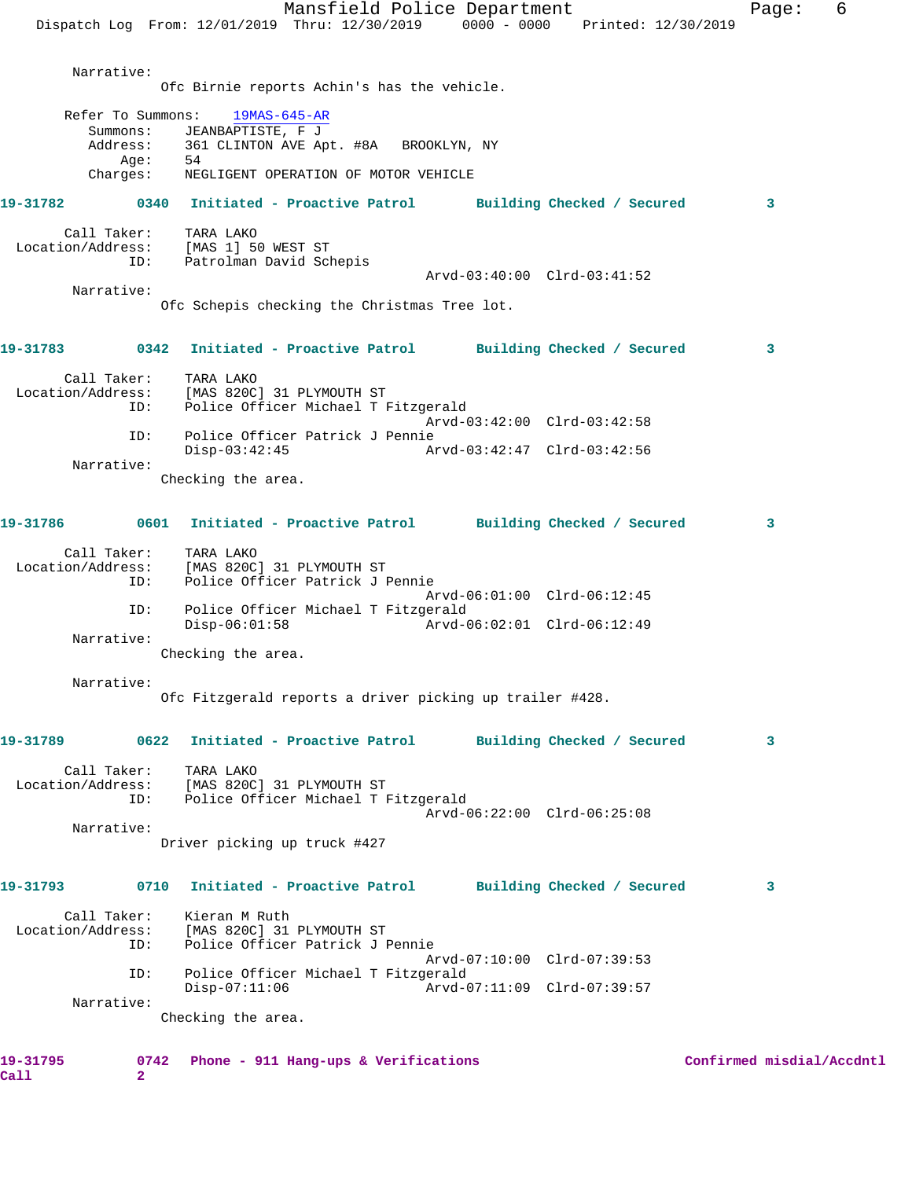|                   |                               | Mansfield Police Department<br>Dispatch Log From: 12/01/2019 Thru: 12/30/2019 0000 - 0000 Printed: 12/30/2019 |                             | Page:                     | 6 |
|-------------------|-------------------------------|---------------------------------------------------------------------------------------------------------------|-----------------------------|---------------------------|---|
|                   |                               |                                                                                                               |                             |                           |   |
|                   | Narrative:                    |                                                                                                               |                             |                           |   |
|                   |                               | Ofc Birnie reports Achin's has the vehicle.                                                                   |                             |                           |   |
|                   | Refer To Summons:<br>Summons: | $19MAS-645-AR$<br>JEANBAPTISTE, F J                                                                           |                             |                           |   |
|                   | Address:                      | 361 CLINTON AVE Apt. #8A BROOKLYN, NY                                                                         |                             |                           |   |
|                   | Aqe:<br>Charges:              | 54<br>NEGLIGENT OPERATION OF MOTOR VEHICLE                                                                    |                             |                           |   |
| 19-31782          |                               | 0340 Initiated - Proactive Patrol Building Checked / Secured                                                  |                             | 3                         |   |
|                   | Call Taker:                   | TARA LAKO                                                                                                     |                             |                           |   |
| Location/Address: | ID:                           | [MAS 1] 50 WEST ST<br>Patrolman David Schepis                                                                 |                             |                           |   |
|                   | Narrative:                    |                                                                                                               | Arvd-03:40:00 Clrd-03:41:52 |                           |   |
|                   |                               | Ofc Schepis checking the Christmas Tree lot.                                                                  |                             |                           |   |
| 19-31783          | 0342                          | Initiated - Proactive Patrol Building Checked / Secured                                                       |                             | 3                         |   |
|                   | Call Taker:                   | TARA LAKO                                                                                                     |                             |                           |   |
| Location/Address: | ID:                           | [MAS 820C] 31 PLYMOUTH ST<br>Police Officer Michael T Fitzgerald                                              |                             |                           |   |
|                   | ID:                           | Police Officer Patrick J Pennie                                                                               | Arvd-03:42:00 Clrd-03:42:58 |                           |   |
|                   |                               | $Disp-03:42:45$                                                                                               | Arvd-03:42:47 Clrd-03:42:56 |                           |   |
|                   | Narrative:                    | Checking the area.                                                                                            |                             |                           |   |
|                   |                               |                                                                                                               |                             |                           |   |
| 19-31786          |                               | 0601 Initiated - Proactive Patrol Building Checked / Secured                                                  |                             | 3                         |   |
|                   | Call Taker:                   | TARA LAKO                                                                                                     |                             |                           |   |
| Location/Address: | ID:                           | [MAS 820C] 31 PLYMOUTH ST<br>Police Officer Patrick J Pennie                                                  |                             |                           |   |
|                   | ID:                           | Police Officer Michael T Fitzgerald                                                                           | Arvd-06:01:00 Clrd-06:12:45 |                           |   |
|                   |                               | $Disp-06:01:58$                                                                                               | Arvd-06:02:01 Clrd-06:12:49 |                           |   |
|                   | Narrative:                    | Checking the area.                                                                                            |                             |                           |   |
|                   | Narrative:                    |                                                                                                               |                             |                           |   |
|                   |                               | Ofc Fitzgerald reports a driver picking up trailer #428.                                                      |                             |                           |   |
| 19-31789          |                               | 0622 Initiated - Proactive Patrol                                                                             | Building Checked / Secured  | 3                         |   |
|                   |                               |                                                                                                               |                             |                           |   |
|                   |                               | Call Taker: TARA LAKO<br>Location/Address: [MAS 820C] 31 PLYMOUTH ST                                          |                             |                           |   |
|                   | ID:                           | Police Officer Michael T Fitzgerald                                                                           | Arvd-06:22:00 Clrd-06:25:08 |                           |   |
|                   | Narrative:                    |                                                                                                               |                             |                           |   |
|                   |                               | Driver picking up truck #427                                                                                  |                             |                           |   |
| 19-31793          | 0710                          | Initiated - Proactive Patrol Building Checked / Secured                                                       |                             | 3                         |   |
|                   | Call Taker:                   | Kieran M Ruth                                                                                                 |                             |                           |   |
| Location/Address: | ID:                           | [MAS 820C] 31 PLYMOUTH ST<br>Police Officer Patrick J Pennie                                                  |                             |                           |   |
|                   | ID:                           | Police Officer Michael T Fitzgerald                                                                           | Arvd-07:10:00 Clrd-07:39:53 |                           |   |
|                   | Narrative:                    | $Disp-07:11:06$                                                                                               | Arvd-07:11:09 Clrd-07:39:57 |                           |   |
|                   |                               | Checking the area.                                                                                            |                             |                           |   |
|                   |                               |                                                                                                               |                             |                           |   |
| 19-31795          |                               | 0742 Phone - 911 Hang-ups & Verifications                                                                     |                             | Confirmed misdial/Accdntl |   |

**Call 2**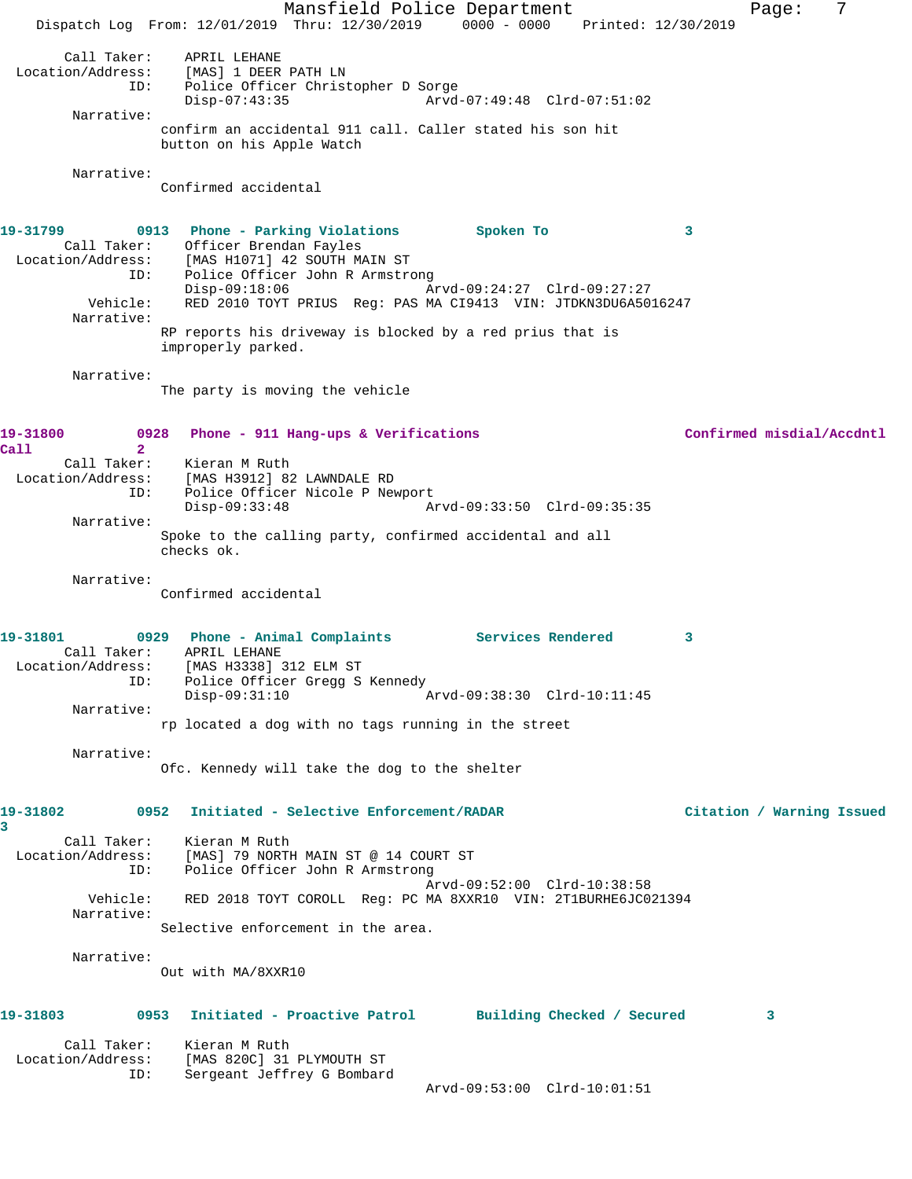Mansfield Police Department Fage: 7 Dispatch Log From: 12/01/2019 Thru: 12/30/2019 0000 - 0000 Printed: 12/30/2019 Call Taker: APRIL LEHANE Location/Address: [MAS] 1 DEER PATH LN ID: Police Officer Christopher D Sorge Disp-07:43:35 Arvd-07:49:48 Clrd-07:51:02 Narrative: confirm an accidental 911 call. Caller stated his son hit button on his Apple Watch Narrative: Confirmed accidental **19-31799 0913 Phone - Parking Violations Spoken To 3**  Call Taker: Officer Brendan Fayles Location/Address: [MAS H1071] 42 SOUTH MAIN ST ID: Police Officer John R Armstrong Disp-09:18:06 Arvd-09:24:27 Clrd-09:27:27 Vehicle: RED 2010 TOYT PRIUS Reg: PAS MA CI9413 VIN: JTDKN3DU6A5016247 Narrative: RP reports his driveway is blocked by a red prius that is improperly parked. Narrative: The party is moving the vehicle **19-31800 0928 Phone - 911 Hang-ups & Verifications Confirmed misdial/Accdntl Call 2**  Call Taker: Kieran M Ruth Location/Address: [MAS H3912] 82 LAWNDALE RD ID: Police Officer Nicole P Newport Disp-09:33:48 Arvd-09:33:50 Clrd-09:35:35 Narrative: Spoke to the calling party, confirmed accidental and all checks ok. Narrative: Confirmed accidental 19-31801 0929 Phone - Animal Complaints Services Rendered 3 Call Taker: APRIL LEHANE Location/Address: [MAS H3338] 312 ELM ST ID: Police Officer Gregg S Kennedy<br>Disp-09:31:10 Disp-09:31:10 Arvd-09:38:30 Clrd-10:11:45 Narrative: rp located a dog with no tags running in the street Narrative: Ofc. Kennedy will take the dog to the shelter **19-31802 0952 Initiated - Selective Enforcement/RADAR Citation / Warning Issued 3**  Call Taker: Kieran M Ruth Location/Address: [MAS] 79 NORTH MAIN ST @ 14 COURT ST ID: Police Officer John R Armstrong Arvd-09:52:00 Clrd-10:38:58 Vehicle: RED 2018 TOYT COROLL Reg: PC MA 8XXR10 VIN: 2T1BURHE6JC021394 Narrative: Selective enforcement in the area. Narrative: Out with MA/8XXR10 **19-31803 0953 Initiated - Proactive Patrol Building Checked / Secured 3** Call Taker: Kieran M Ruth Location/Address: [MAS 820C] 31 PLYMOUTH ST ID: Sergeant Jeffrey G Bombard Arvd-09:53:00 Clrd-10:01:51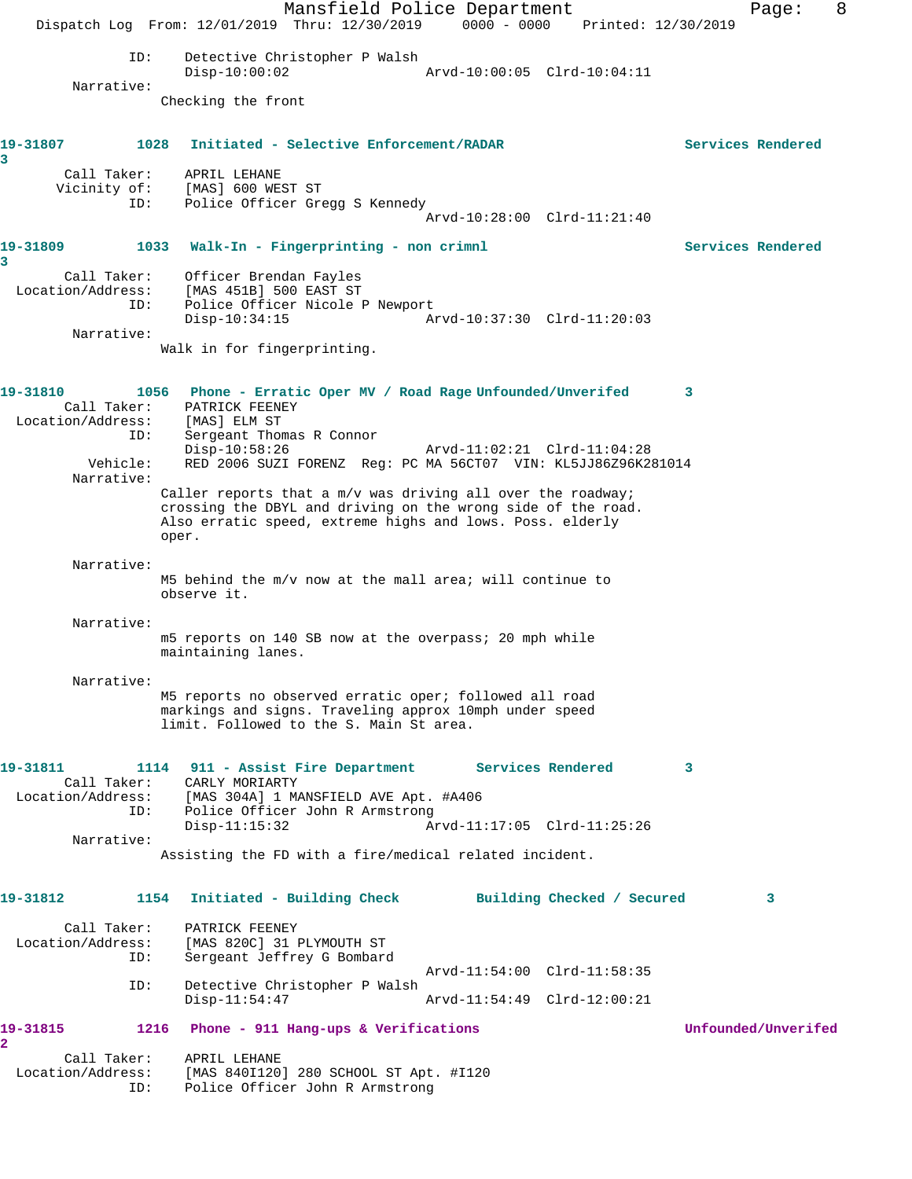Mansfield Police Department Form Page: 8 Dispatch Log From: 12/01/2019 Thru: 12/30/2019 0000 - 0000 Printed: 12/30/2019 ID: Detective Christopher P Walsh<br>Disp-10:00:02 Disp-10:00:02 Arvd-10:00:05 Clrd-10:04:11 Narrative: Checking the front **19-31807 1028 Initiated - Selective Enforcement/RADAR Services Rendered 3**  Call Taker: APRIL LEHANE<br>Vicinity of: [MAS] 600 WEST ST Vicinity of:<br>ID: Police Officer Gregg S Kennedy Arvd-10:28:00 Clrd-11:21:40 **19-31809 1033 Walk-In - Fingerprinting - non crimnl Services Rendered 3**  Call Taker: Officer Brendan Fayles Location/Address: [MAS 451B] 500 EAST ST ID: Police Officer Nicole P Newport Disp-10:34:15 Arvd-10:37:30 Clrd-11:20:03 Narrative: Walk in for fingerprinting. **19-31810 1056 Phone - Erratic Oper MV / Road Rage Unfounded/Unverifed 3**  Call Taker: PATRICK FEENEY Location/Address: [MAS] ELM ST ID: Sergeant Thomas R Connor Disp-10:58:26 Arvd-11:02:21 Clrd-11:04:28 Vehicle: RED 2006 SUZI FORENZ Reg: PC MA 56CT07 VIN: KL5JJ86Z96K281014 Narrative: Caller reports that a  $m/v$  was driving all over the roadway; crossing the DBYL and driving on the wrong side of the road. Also erratic speed, extreme highs and lows. Poss. elderly oper. Narrative: M5 behind the m/v now at the mall area; will continue to observe it. Narrative: m5 reports on 140 SB now at the overpass; 20 mph while maintaining lanes. Narrative: M5 reports no observed erratic oper; followed all road markings and signs. Traveling approx 10mph under speed limit. Followed to the S. Main St area. **19-31811 1114 911 - Assist Fire Department Services Rendered 3**  Call Taker: CARLY MORIARTY Location/Address: [MAS 304A] 1 MANSFIELD AVE Apt. #A406 ID: Police Officer John R Armstrong<br>Disp-11:15:32 Ar Arvd-11:17:05 Clrd-11:25:26 Narrative: Assisting the FD with a fire/medical related incident. **19-31812 1154 Initiated - Building Check Building Checked / Secured 3** Call Taker: PATRICK FEENEY<br>Location/Address: [MAS 820C] 31 1 ess: [MAS 820C] 31 PLYMOUTH ST<br>ID: Sergeant Jeffrey G Bombarg Sergeant Jeffrey G Bombard Arvd-11:54:00 Clrd-11:58:35 ID: Detective Christopher P Walsh Disp-11:54:47 Arvd-11:54:49 Clrd-12:00:21 **19-31815 1216 Phone - 911 Hang-ups & Verifications Unfounded/Unverifed 2**  Call Taker: APRIL LEHANE<br>Location/Address: [MAS 840I120 [MAS 840I120] 280 SCHOOL ST Apt. #I120 ID: Police Officer John R Armstrong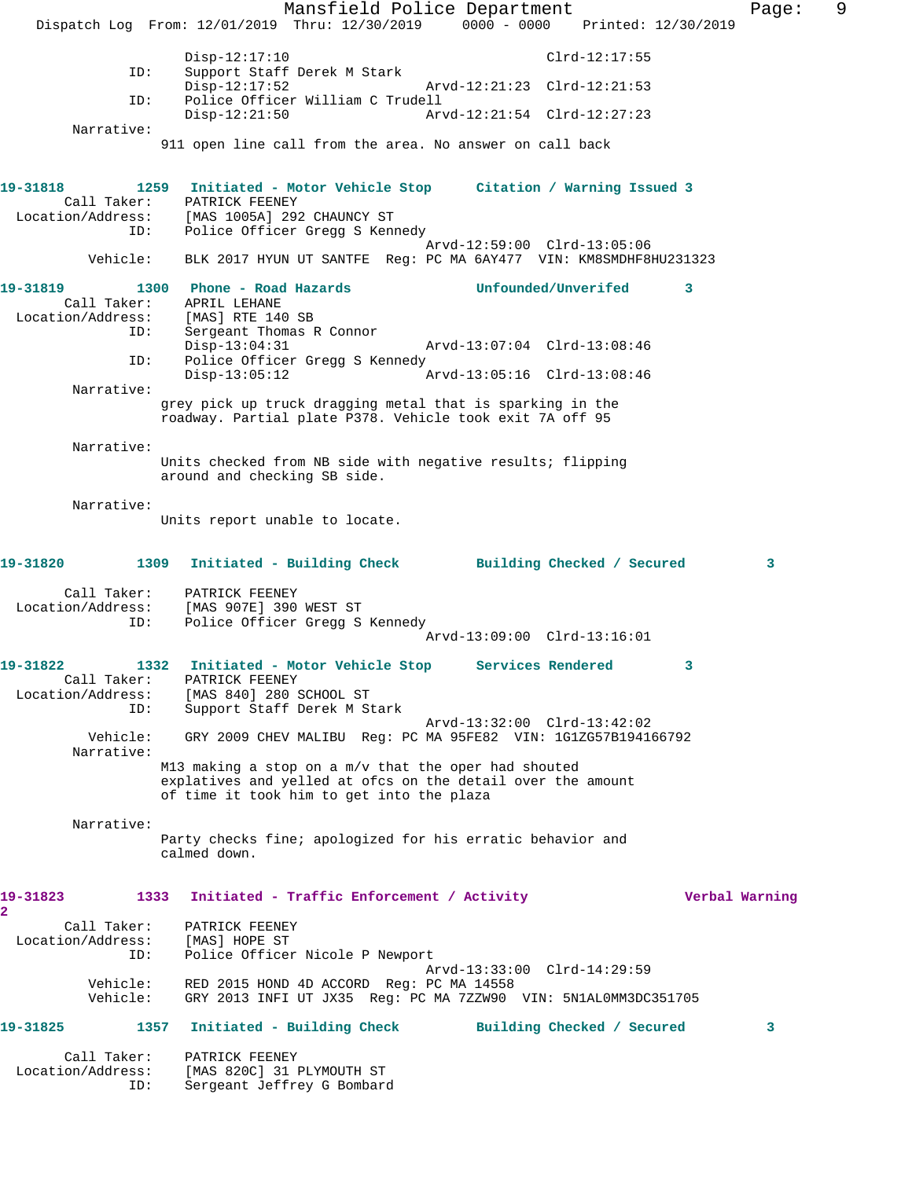Mansfield Police Department Fage: 9 Dispatch Log From: 12/01/2019 Thru: 12/30/2019 0000 - 0000 Printed: 12/30/2019 Disp-12:17:10 Clrd-12:17:55<br>ID: Support Staff Derek M Stark Support Staff Derek M Stark Disp-12:17:52 Arvd-12:21:23 Clrd-12:21:53 ID: Police Officer William C Trudell Disp-12:21:50 Arvd-12:21:54 Clrd-12:27:23 Narrative: 911 open line call from the area. No answer on call back **19-31818 1259 Initiated - Motor Vehicle Stop Citation / Warning Issued 3**  Call Taker: PATRICK FEENEY<br>Location/Address: [MAS 1005A] 292 [MAS 1005A] 292 CHAUNCY ST ID: Police Officer Gregg S Kennedy Arvd-12:59:00 Clrd-13:05:06 Vehicle: BLK 2017 HYUN UT SANTFE Reg: PC MA 6AY477 VIN: KM8SMDHF8HU231323 **19-31819 1300 Phone - Road Hazards Unfounded/Unverifed 3**  Call Taker: APRIL LEHANE<br>ion/Address: [MAS] RTE 140 SB Location/Address:<br>ID: Sergeant Thomas R Connor<br>Disp-13:04:31 Disp-13:04:31 Arvd-13:07:04 Clrd-13:08:46<br>ID: Police Officer Gregg S Kennedy Police Officer Gregg S Kennedy Disp-13:05:12 Arvd-13:05:16 Clrd-13:08:46 Narrative: grey pick up truck dragging metal that is sparking in the roadway. Partial plate P378. Vehicle took exit 7A off 95 Narrative: Units checked from NB side with negative results; flipping around and checking SB side. Narrative: Units report unable to locate. **19-31820 1309 Initiated - Building Check Building Checked / Secured 3** Call Taker: PATRICK FEENEY Location/Address: [MAS 907E] 390 WEST ST ID: Police Officer Gregg S Kennedy Arvd-13:09:00 Clrd-13:16:01 **19-31822 1332 Initiated - Motor Vehicle Stop Services Rendered 3**  Call Taker: PATRICK FEENEY Location/Address: [MAS 840] 280 SCHOOL ST ID: Support Staff Derek M Stark Arvd-13:32:00 Clrd-13:42:02 Vehicle: GRY 2009 CHEV MALIBU Reg: PC MA 95FE82 VIN: 1G1ZG57B194166792 Narrative: M13 making a stop on a m/v that the oper had shouted explatives and yelled at ofcs on the detail over the amount of time it took him to get into the plaza Narrative: Party checks fine; apologized for his erratic behavior and calmed down. **19-31823 1333 Initiated - Traffic Enforcement / Activity Verbal Warning 2**  Call Taker: PATRICK FEENEY<br>ion/Address: [MAS] HOPE ST Location/Address:<br>ID: Police Officer Nicole P Newport Arvd-13:33:00 Clrd-14:29:59 Vehicle: RED 2015 HOND 4D ACCORD Reg: PC MA 14558 GRY 2013 INFI UT JX35 Reg: PC MA 7ZZW90 VIN: 5N1AL0MM3DC351705 **19-31825 1357 Initiated - Building Check Building Checked / Secured 3** Call Taker: PATRICK FEENEY Location/Address: [MAS 820C] 31 PLYMOUTH ST Sergeant Jeffrey G Bombard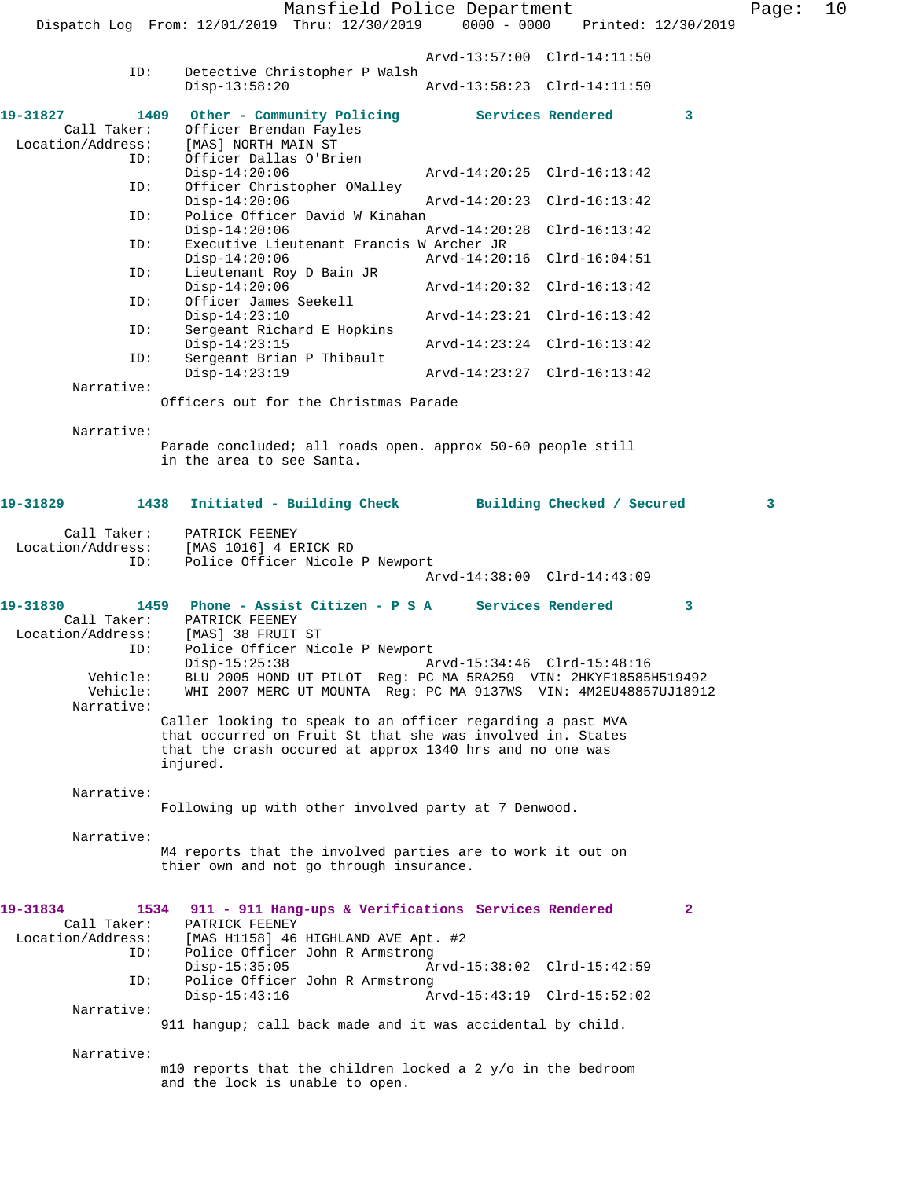Mansfield Police Department Page: 10 Dispatch Log From: 12/01/2019 Thru: 12/30/2019 0000 - 0000 Printed: 12/30/2019 Arvd-13:57:00 Clrd-14:11:50<br>ID: Detective Christopher P Walsh Detective Christopher P Walsh<br>Disp-13:58:20 Disp-13:58:20 Arvd-13:58:23 Clrd-14:11:50 19-31827 1409 Other - Community Policing Services Rendered 3<br>Call Taker: Officer Brendan Fayles Call Taker: Officer Brendan Fayles<br>Location/Address: [MAS] NORTH MAIN ST [MAS] NORTH MAIN ST ID: Officer Dallas O'Brien Disp-14:20:06 Arvd-14:20:25 Clrd-16:13:42 ID: Officer Christopher OMalley Disp-14:20:06 Arvd-14:20:23 Clrd-16:13:42 ID: Police Officer David W Kinahan<br>Disp-14:20:06 1 Disp-14:20:06 Arvd-14:20:28 Clrd-16:13:42<br>ID: Executive Lieutenant Francis W Archer JR Executive Lieutenant Francis W Archer JR Disp-14:20:06 Arvd-14:20:16 Clrd-16:04:51 ID: Lieutenant Roy D Bain JR Disp-14:20:06 <br>
D: Officer James Seekell Arvd-14:20:32 Clrd-16:13:42 Officer James Seekell<br>Disp-14:23:10 Disp-14:23:10 Arvd-14:23:21 Clrd-16:13:42 ID: Sergeant Richard E Hopkins Disp-14:23:15 Arvd-14:23:24 Clrd-16:13:42<br>TD: Sergeant Brian P Thibault Sergeant Brian P Thibault<br>Disp-14:23:19 Disp-14:23:19 Arvd-14:23:27 Clrd-16:13:42 Narrative: Officers out for the Christmas Parade Narrative: Parade concluded; all roads open. approx 50-60 people still in the area to see Santa. **19-31829 1438 Initiated - Building Check Building Checked / Secured 3** Call Taker: PATRICK FEENEY<br>Location/Address: [MAS 1016] 4 E [MAS 1016] 4 ERICK RD ID: Police Officer Nicole P Newport Arvd-14:38:00 Clrd-14:43:09 **19-31830 1459 Phone - Assist Citizen - P S A Services Rendered 3**  Call Taker: PATRICK FEENEY Location/Address: [MAS] 38 FRUIT ST ID: Police Officer Nicole P Newport<br>Disp-15:25:38 A: Disp-15:25:38 Arvd-15:34:46 Clrd-15:48:16<br>Vehicle: BLU 2005 HOND UT PILOT Reg: PC MA 5RA259 VIN: 2HKYF185851 BLU 2005 HOND UT PILOT Reg: PC MA 5RA259 VIN: 2HKYF18585H519492 Vehicle: WHI 2007 MERC UT MOUNTA Reg: PC MA 9137WS VIN: 4M2EU48857UJ18912 Narrative: Caller looking to speak to an officer regarding a past MVA that occurred on Fruit St that she was involved in. States that the crash occured at approx 1340 hrs and no one was injured. Narrative: Following up with other involved party at 7 Denwood. Narrative: M4 reports that the involved parties are to work it out on thier own and not go through insurance. **19-31834 1534 911 - 911 Hang-ups & Verifications Services Rendered 2**  PATRICK FEENEY Location/Address: [MAS H1158] 46 HIGHLAND AVE Apt. #2 Police Officer John R Armstrong<br>Disp-15:35:05 A Disp-15:35:05 Arvd-15:38:02 Clrd-15:42:59<br>ID: Police Officer John R Armstrong Police Officer John R Armstrong Disp-15:43:16 Arvd-15:43:19 Clrd-15:52:02 Narrative:

 Narrative: m10 reports that the children locked a 2 y/o in the bedroom and the lock is unable to open.

911 hangup; call back made and it was accidental by child.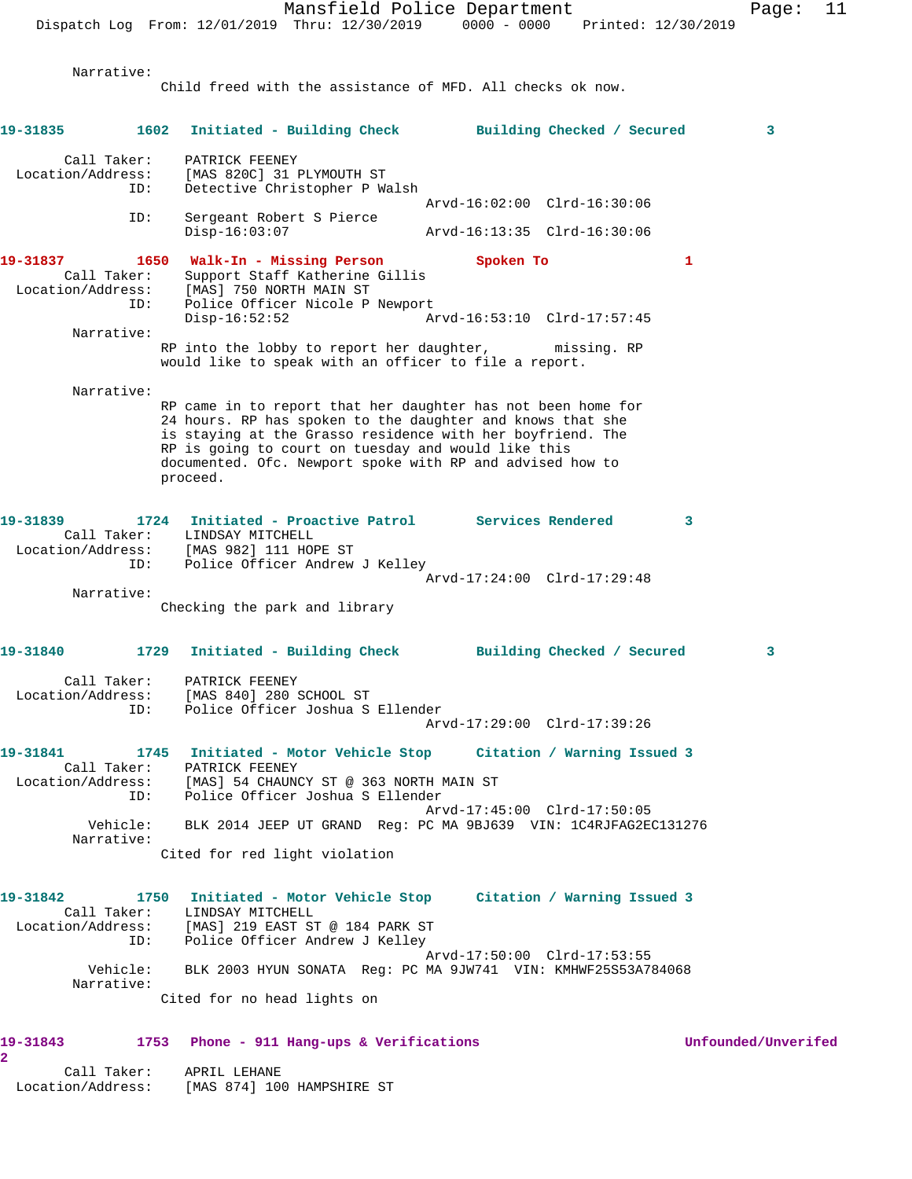Child freed with the assistance of MFD. All checks ok now. **19-31835 1602 Initiated - Building Check Building Checked / Secured 3** Call Taker: PATRICK FEENEY Location/Address: [MAS 820C] 31 PLYMOUTH ST ID: Detective Christopher P Walsh Arvd-16:02:00 Clrd-16:30:06 ID: Sergeant Robert S Pierce Disp-16:03:07 Arvd-16:13:35 Clrd-16:30:06 19-31837 1650 Walk-In - Missing Person Spoken To 1 Call Taker: Support Staff Katherine Gillis Location/Address: [MAS] 750 NORTH MAIN ST ID: Police Officer Nicole P Newport Disp-16:52:52 Arvd-16:53:10 Clrd-17:57:45 Narrative: RP into the lobby to report her daughter, missing. RP would like to speak with an officer to file a report. Narrative: RP came in to report that her daughter has not been home for 24 hours. RP has spoken to the daughter and knows that she is staying at the Grasso residence with her boyfriend. The RP is going to court on tuesday and would like this documented. Ofc. Newport spoke with RP and advised how to proceed. **19-31839 1724 Initiated - Proactive Patrol Services Rendered 3**  Call Taker: LINDSAY MITCHELL Location/Address: [MAS 982] 111 HOPE ST ID: Police Officer Andrew J Kelley Arvd-17:24:00 Clrd-17:29:48 Narrative: Checking the park and library **19-31840 1729 Initiated - Building Check Building Checked / Secured 3** Call Taker: PATRICK FEENEY Location/Address: [MAS 840] 280 SCHOOL ST ID: Police Officer Joshua S Ellender Arvd-17:29:00 Clrd-17:39:26 **19-31841 1745 Initiated - Motor Vehicle Stop Citation / Warning Issued 3**  Call Taker: PATRICK FEENEY Location/Address: [MAS] 54 CHAUNCY ST @ 363 NORTH MAIN ST ID: Police Officer Joshua S Ellender Arvd-17:45:00 Clrd-17:50:05 Vehicle: BLK 2014 JEEP UT GRAND Reg: PC MA 9BJ639 VIN: 1C4RJFAG2EC131276 Narrative: Cited for red light violation **19-31842 1750 Initiated - Motor Vehicle Stop Citation / Warning Issued 3**  Call Taker: LINDSAY MITCHELL Location/Address: [MAS] 219 EAST ST @ 184 PARK ST ID: Police Officer Andrew J Kelley Arvd-17:50:00 Clrd-17:53:55 Vehicle: BLK 2003 HYUN SONATA Reg: PC MA 9JW741 VIN: KMHWF25S53A784068 Narrative: Cited for no head lights on **19-31843 1753 Phone - 911 Hang-ups & Verifications Unfounded/Unverifed 2** 

 Call Taker: APRIL LEHANE Location/Address: [MAS 874] 100 HAMPSHIRE ST

Narrative: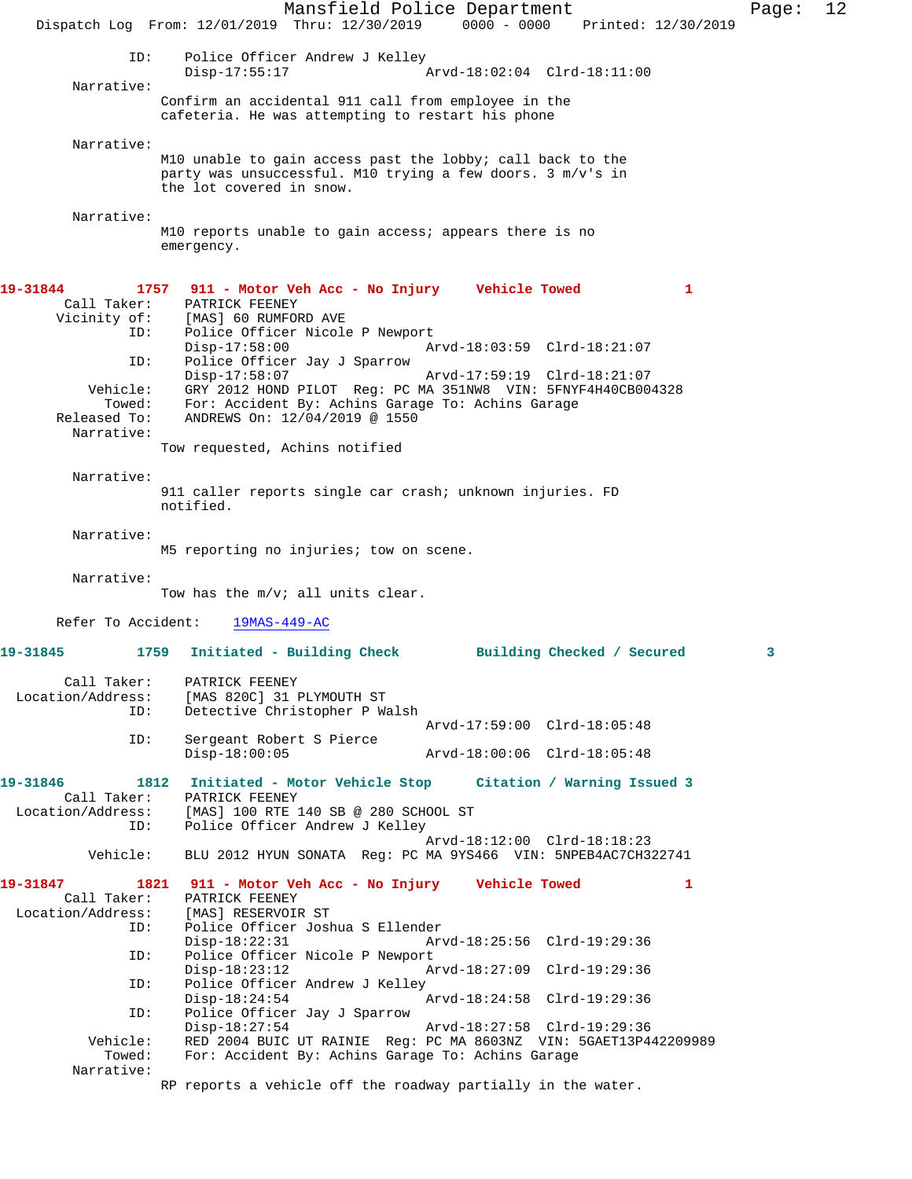|                                                                                                           | Mansfield Police Department<br>Dispatch Log From: 12/01/2019 Thru: 12/30/2019 0000 - 0000<br>Printed: 12/30/2019                                                                                                                                                                                                                                                                                                                                                 | Page: | 12 |
|-----------------------------------------------------------------------------------------------------------|------------------------------------------------------------------------------------------------------------------------------------------------------------------------------------------------------------------------------------------------------------------------------------------------------------------------------------------------------------------------------------------------------------------------------------------------------------------|-------|----|
|                                                                                                           |                                                                                                                                                                                                                                                                                                                                                                                                                                                                  |       |    |
| ID:<br>Narrative:                                                                                         | Police Officer Andrew J Kelley<br>$Disp-17:55:17$<br>Arvd-18:02:04 Clrd-18:11:00                                                                                                                                                                                                                                                                                                                                                                                 |       |    |
|                                                                                                           | Confirm an accidental 911 call from employee in the<br>cafeteria. He was attempting to restart his phone                                                                                                                                                                                                                                                                                                                                                         |       |    |
| Narrative:                                                                                                | M10 unable to gain access past the lobby; call back to the<br>party was unsuccessful. M10 trying a few doors. 3 m/v's in<br>the lot covered in snow.                                                                                                                                                                                                                                                                                                             |       |    |
| Narrative:                                                                                                | M10 reports unable to gain access; appears there is no<br>emergency.                                                                                                                                                                                                                                                                                                                                                                                             |       |    |
| 19-31844<br>Call Taker:<br>Vicinity of:<br>ID:<br>ID:<br>Vehicle:<br>Towed:<br>Released To:<br>Narrative: | 1757 911 - Motor Veh Acc - No Injury Vehicle Towed<br>1<br>PATRICK FEENEY<br>[MAS] 60 RUMFORD AVE<br>Police Officer Nicole P Newport<br>$Disp-17:58:00$<br>Arvd-18:03:59 Clrd-18:21:07<br>Police Officer Jay J Sparrow<br>$Disp-17:58:07$<br>Arvd-17:59:19 Clrd-18:21:07<br>GRY 2012 HOND PILOT Req: PC MA 351NW8 VIN: 5FNYF4H40CB004328<br>For: Accident By: Achins Garage To: Achins Garage<br>ANDREWS On: 12/04/2019 @ 1550<br>Tow requested, Achins notified |       |    |
| Narrative:                                                                                                | 911 caller reports single car crash; unknown injuries. FD<br>notified.                                                                                                                                                                                                                                                                                                                                                                                           |       |    |
| Narrative:                                                                                                | M5 reporting no injuries; tow on scene.                                                                                                                                                                                                                                                                                                                                                                                                                          |       |    |
| Narrative:                                                                                                | Tow has the m/v; all units clear.                                                                                                                                                                                                                                                                                                                                                                                                                                |       |    |
| Refer To Accident:                                                                                        | 19MAS-449-AC                                                                                                                                                                                                                                                                                                                                                                                                                                                     |       |    |
| 19-31845                                                                                                  | 1759<br>Initiated - Building Check<br>Building Checked / Secured                                                                                                                                                                                                                                                                                                                                                                                                 | 3     |    |
| Call Taker:<br>Location/Address:<br>ID:                                                                   | PATRICK FEENEY<br>[MAS 820C] 31 PLYMOUTH ST<br>Detective Christopher P Walsh<br>Arvd-17:59:00 Clrd-18:05:48                                                                                                                                                                                                                                                                                                                                                      |       |    |
| ID:                                                                                                       | Sergeant Robert S Pierce<br>$Disp-18:00:05$<br>Arvd-18:00:06 Clrd-18:05:48                                                                                                                                                                                                                                                                                                                                                                                       |       |    |
| 19-31846<br>Call Taker:<br>Location/Address:<br>ID:<br>Vehicle:                                           | 1812 Initiated - Motor Vehicle Stop Citation / Warning Issued 3<br>PATRICK FEENEY<br>[MAS] 100 RTE 140 SB @ 280 SCHOOL ST<br>Police Officer Andrew J Kelley<br>Arvd-18:12:00 Clrd-18:18:23<br>BLU 2012 HYUN SONATA Reg: PC MA 9YS466 VIN: 5NPEB4AC7CH322741                                                                                                                                                                                                      |       |    |
| 19-31847<br>Call Taker:<br>Location/Address:<br>ID:                                                       | 1821 911 - Motor Veh Acc - No Injury Vehicle Towed<br>1<br>PATRICK FEENEY<br>[MAS] RESERVOIR ST<br>Police Officer Joshua S Ellender                                                                                                                                                                                                                                                                                                                              |       |    |
| ID:<br>ID:<br>ID:                                                                                         | Arvd-18:25:56 Clrd-19:29:36<br>$Disp-18:22:31$<br>Police Officer Nicole P Newport<br>$Disp-18:23:12$<br>Arvd-18:27:09 Clrd-19:29:36<br>Police Officer Andrew J Kelley<br>$Disp-18:24:54$<br>Arvd-18:24:58 Clrd-19:29:36<br>Police Officer Jay J Sparrow                                                                                                                                                                                                          |       |    |
| Vehicle:<br>Towed:<br>Narrative:                                                                          | $Disp-18:27:54$<br>Arvd-18:27:58 Clrd-19:29:36<br>RED 2004 BUIC UT RAINIE Req: PC MA 8603NZ VIN: 5GAET13P442209989<br>For: Accident By: Achins Garage To: Achins Garage<br>RP reports a vehicle off the roadway partially in the water.                                                                                                                                                                                                                          |       |    |
|                                                                                                           |                                                                                                                                                                                                                                                                                                                                                                                                                                                                  |       |    |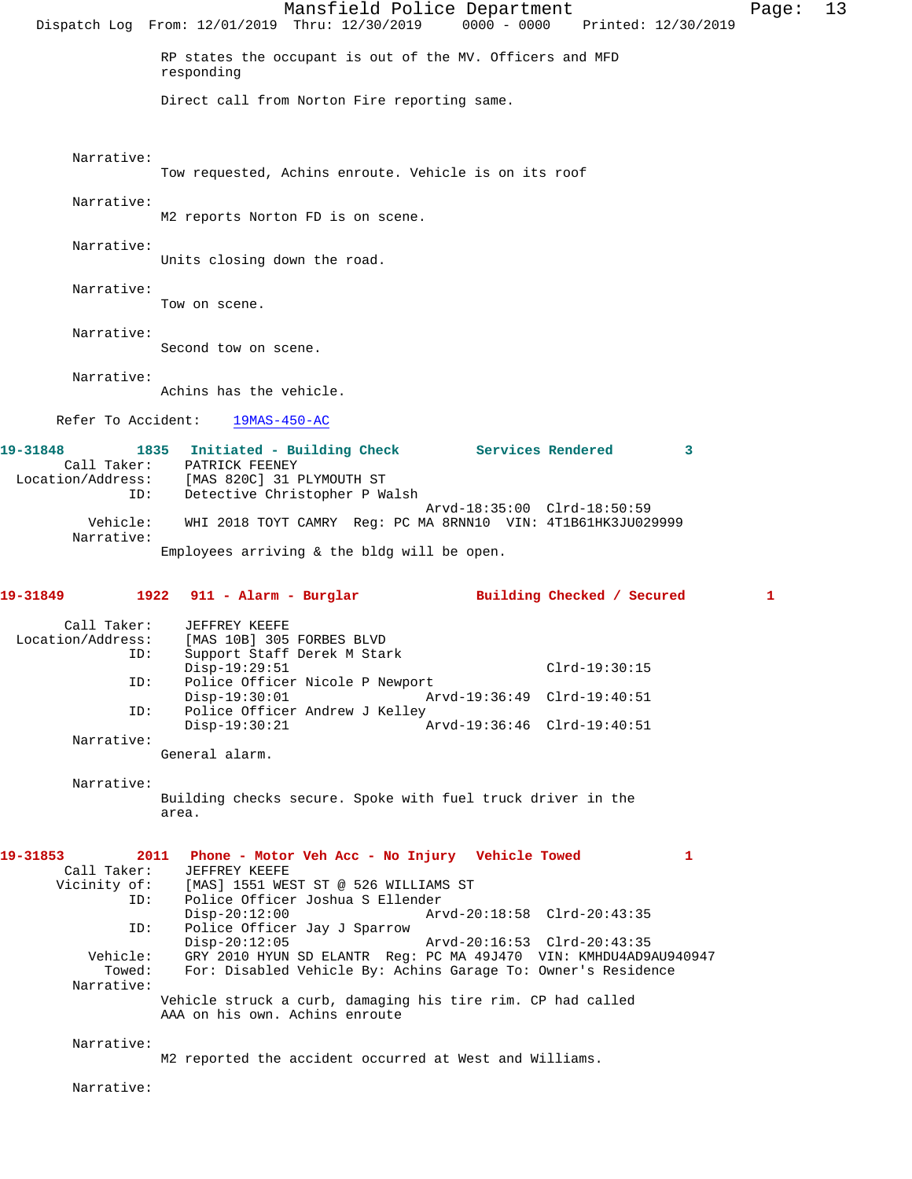|                                                                                           | Mansfield Police Department<br>Dispatch Log From: 12/01/2019 Thru: 12/30/2019<br>0000 - 0000 Printed: 12/30/2019                                                                                                                                                                                                                                                                                                                                                                                                                 | Page: | 13 |
|-------------------------------------------------------------------------------------------|----------------------------------------------------------------------------------------------------------------------------------------------------------------------------------------------------------------------------------------------------------------------------------------------------------------------------------------------------------------------------------------------------------------------------------------------------------------------------------------------------------------------------------|-------|----|
|                                                                                           | RP states the occupant is out of the MV. Officers and MFD<br>responding                                                                                                                                                                                                                                                                                                                                                                                                                                                          |       |    |
|                                                                                           | Direct call from Norton Fire reporting same.                                                                                                                                                                                                                                                                                                                                                                                                                                                                                     |       |    |
| Narrative:                                                                                | Tow requested, Achins enroute. Vehicle is on its roof                                                                                                                                                                                                                                                                                                                                                                                                                                                                            |       |    |
| Narrative:                                                                                | M2 reports Norton FD is on scene.                                                                                                                                                                                                                                                                                                                                                                                                                                                                                                |       |    |
| Narrative:                                                                                | Units closing down the road.                                                                                                                                                                                                                                                                                                                                                                                                                                                                                                     |       |    |
| Narrative:                                                                                | Tow on scene.                                                                                                                                                                                                                                                                                                                                                                                                                                                                                                                    |       |    |
| Narrative:                                                                                | Second tow on scene.                                                                                                                                                                                                                                                                                                                                                                                                                                                                                                             |       |    |
| Narrative:                                                                                | Achins has the vehicle.                                                                                                                                                                                                                                                                                                                                                                                                                                                                                                          |       |    |
| Refer To Accident:                                                                        | $19MAS-450-AC$                                                                                                                                                                                                                                                                                                                                                                                                                                                                                                                   |       |    |
| 19-31848<br>Call Taker:<br>Location/Address:<br>ID:                                       | 1835 Initiated - Building Check Services Rendered<br>3<br>PATRICK FEENEY<br>[MAS 820C] 31 PLYMOUTH ST<br>Detective Christopher P Walsh                                                                                                                                                                                                                                                                                                                                                                                           |       |    |
| Vehicle:<br>Narrative:                                                                    | Arvd-18:35:00 Clrd-18:50:59<br>WHI 2018 TOYT CAMRY Req: PC MA 8RNN10 VIN: 4T1B61HK3JU029999                                                                                                                                                                                                                                                                                                                                                                                                                                      |       |    |
|                                                                                           | Employees arriving $\&$ the bldg will be open.                                                                                                                                                                                                                                                                                                                                                                                                                                                                                   |       |    |
| 19-31849                                                                                  | $1922$ 911 - Alarm - Burglar<br>Building Checked / Secured                                                                                                                                                                                                                                                                                                                                                                                                                                                                       | 1     |    |
| Call Taker:<br>Location/Address:<br>ID:                                                   | JEFFREY KEEFE<br>[MAS 10B] 305 FORBES BLVD<br>Support Staff Derek M Stark<br>$Disp-19:29:51$<br>Clrd-19:30:15                                                                                                                                                                                                                                                                                                                                                                                                                    |       |    |
| ID:                                                                                       | Police Officer Nicole P Newport<br>$Disp-19:30:01$<br>Arvd-19:36:49 Clrd-19:40:51                                                                                                                                                                                                                                                                                                                                                                                                                                                |       |    |
| ID:<br>Narrative:                                                                         | Police Officer Andrew J Kelley<br>$Disp-19:30:21$<br>Arvd-19:36:46 Clrd-19:40:51                                                                                                                                                                                                                                                                                                                                                                                                                                                 |       |    |
|                                                                                           |                                                                                                                                                                                                                                                                                                                                                                                                                                                                                                                                  |       |    |
|                                                                                           | General alarm.                                                                                                                                                                                                                                                                                                                                                                                                                                                                                                                   |       |    |
| Narrative:                                                                                | Building checks secure. Spoke with fuel truck driver in the<br>area.                                                                                                                                                                                                                                                                                                                                                                                                                                                             |       |    |
| 19-31853<br>Call Taker:<br>Vicinity of:<br>ID:<br>ID:<br>Vehicle:<br>Towed:<br>Narrative: | 2011 Phone - Motor Veh Acc - No Injury Vehicle Towed<br>1<br>JEFFREY KEEFE<br>[MAS] 1551 WEST ST @ 526 WILLIAMS ST<br>Police Officer Joshua S Ellender<br>$Disp-20:12:00$<br>Arvd-20:18:58 Clrd-20:43:35<br>Police Officer Jay J Sparrow<br>$Disp-20:12:05$<br>Arvd-20:16:53 Clrd-20:43:35<br>GRY 2010 HYUN SD ELANTR Reg: PC MA 49J470 VIN: KMHDU4AD9AU940947<br>For: Disabled Vehicle By: Achins Garage To: Owner's Residence<br>Vehicle struck a curb, damaging his tire rim. CP had called<br>AAA on his own. Achins enroute |       |    |

Narrative: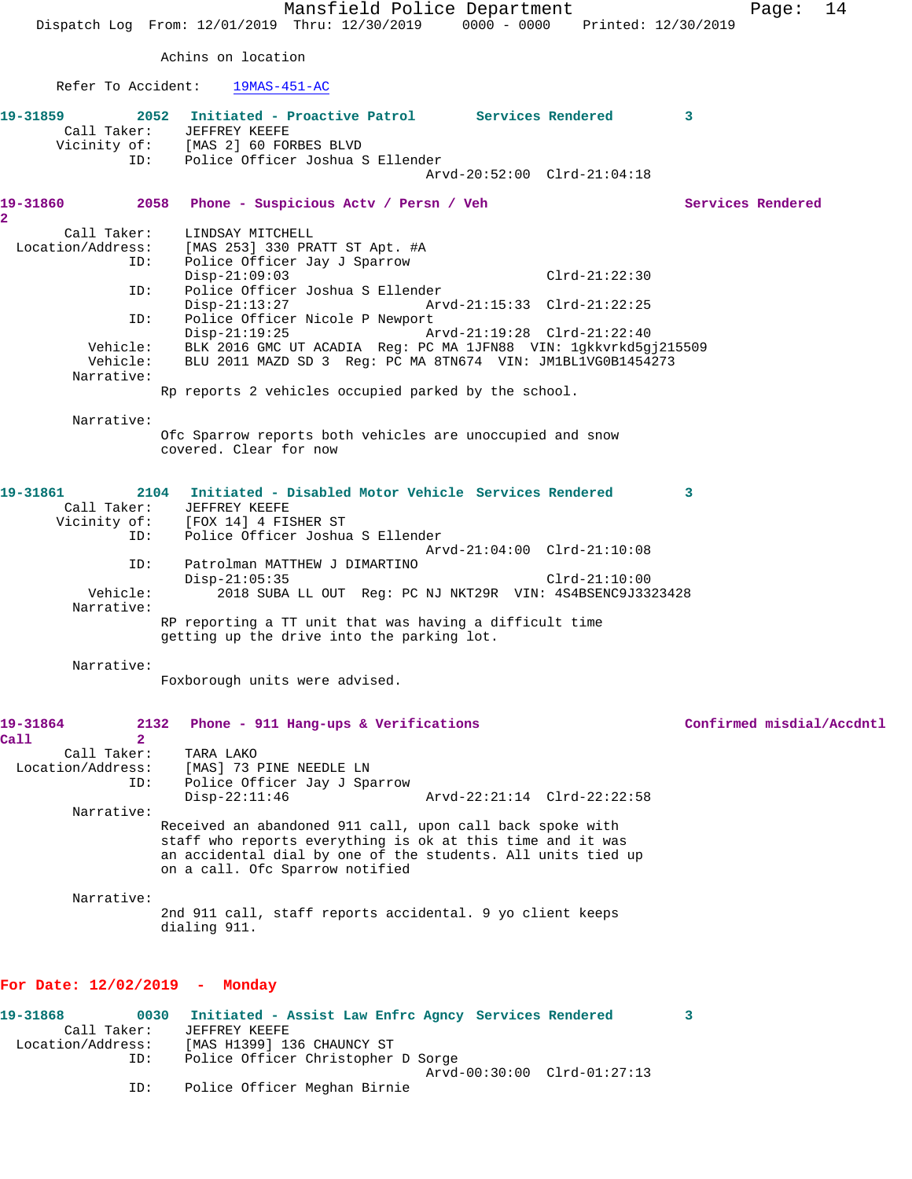Mansfield Police Department Page: 14 Dispatch Log From: 12/01/2019 Thru: 12/30/2019 0000 - 0000 Printed: 12/30/2019 Achins on location Refer To Accident: 19MAS-451-AC **19-31859 2052 Initiated - Proactive Patrol Services Rendered 3**  Call Taker: JEFFREY KEEFE<br>Vicinity of: [MAS 2] 60 FOP [MAS 2] 60 FORBES BLVD ID: Police Officer Joshua S Ellender Arvd-20:52:00 Clrd-21:04:18 **19-31860 2058 Phone - Suspicious Actv / Persn / Veh Services Rendered 2**  Call Taker: LINDSAY MITCHELL Location/Address: [MAS 253] 330 PRATT ST Apt. #A ID: Police Officer Jay J Sparrow Disp-21:09:03 Clrd-21:22:30 ID: Police Officer Joshua S Ellender Disp-21:13:27 Arvd-21:15:33 Clrd-21:22:25 ID: Police Officer Nicole P Newport<br>Disp-21:19:25 Arvd-21:19:28 Clrd-21:22:40 Vehicle: BLK 2016 GMC UT ACADIA Reg: PC MA 1JFN88 VIN: 1gkkvrkd5gj215509<br>Vehicle: BLU 2011 MAZD SD 3 Reg: PC MA 8TN674 VIN: JM1BL1VG0B1454273 BLU 2011 MAZD SD 3 Reg: PC MA 8TN674 VIN: JM1BL1VG0B1454273 Narrative: Rp reports 2 vehicles occupied parked by the school. Narrative: Ofc Sparrow reports both vehicles are unoccupied and snow covered. Clear for now **19-31861 2104 Initiated - Disabled Motor Vehicle Services Rendered 3**  Call Taker: JEFFREY KEEFE<br>Vicinity of: [FOX 14] 4 FI. [FOX 14] 4 FISHER ST ID: Police Officer Joshua S Ellender Arvd-21:04:00 Clrd-21:10:08 ID: Patrolman MATTHEW J DIMARTINO Disp-21:05:35 Clrd-21:10:00<br>Vehicle: 2018 SUBA LL OUT Reg: PC NJ NKT29R VIN: 4S4BSENC9J33 Vehicle: 2018 SUBA LL OUT Reg: PC NJ NKT29R VIN: 4S4BSENC9J3323428 Narrative: RP reporting a TT unit that was having a difficult time getting up the drive into the parking lot. Narrative: Foxborough units were advised. **19-31864 2132 Phone - 911 Hang-ups & Verifications Confirmed misdial/Accdntl Call 2**  Call Taker: TARA LAKO Location/Address: [MAS] 73 PINE NEEDLE LN ID: Police Officer Jay J Sparrow Disp-22:11:46 Arvd-22:21:14 Clrd-22:22:58 Narrative: Received an abandoned 911 call, upon call back spoke with staff who reports everything is ok at this time and it was an accidental dial by one of the students. All units tied up on a call. Ofc Sparrow notified Narrative: 2nd 911 call, staff reports accidental. 9 yo client keeps dialing 911. **For Date: 12/02/2019 - Monday 19-31868 0030 Initiated - Assist Law Enfrc Agncy Services Rendered 3** 

 Call Taker: JEFFREY KEEFE Location/Address: [MAS H1399] 136 CHAUNCY ST Police Officer Christopher D Sorge Arvd-00:30:00 Clrd-01:27:13 ID: Police Officer Meghan Birnie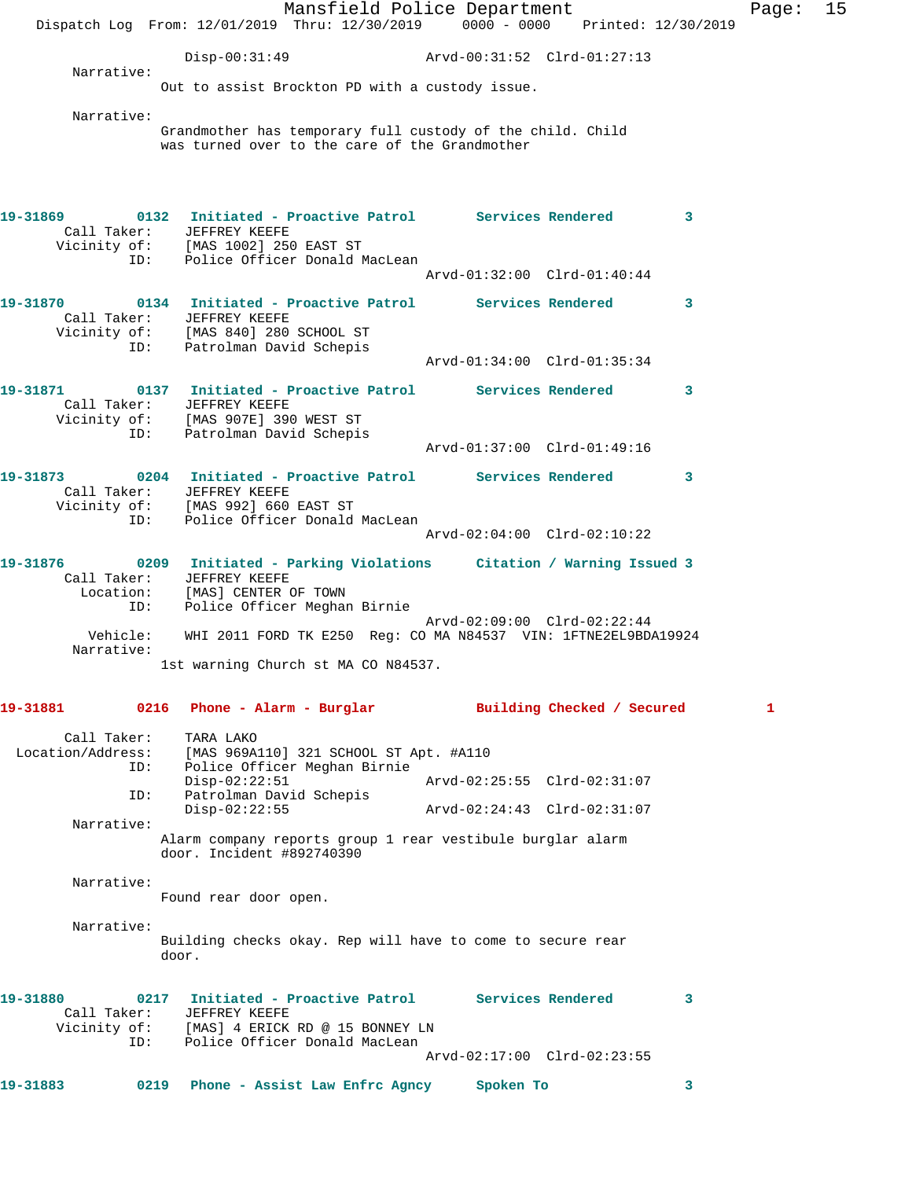Mansfield Police Department Fage: 15 Dispatch Log From: 12/01/2019 Thru: 12/30/2019 0000 - 0000 Printed: 12/30/2019 Disp-00:31:49 Arvd-00:31:52 Clrd-01:27:13 Narrative: Out to assist Brockton PD with a custody issue. Narrative: Grandmother has temporary full custody of the child. Child was turned over to the care of the Grandmother **19-31869 0132 Initiated - Proactive Patrol Services Rendered 3**  Call Taker: JEFFREY KEEFE Vicinity of: [MAS 1002] 250 EAST ST ID: Police Officer Donald MacLean Arvd-01:32:00 Clrd-01:40:44 **19-31870 0134 Initiated - Proactive Patrol Services Rendered 3**  Call Taker: JEFFREY KEEFE Vicinity of: [MAS 840] 280 SCHOOL ST ID: Patrolman David Schepis<br>ID: Patrolman David Schepis Arvd-01:34:00 Clrd-01:35:34 **19-31871 0137 Initiated - Proactive Patrol Services Rendered 3**  Call Taker: JEFFREY KEEFE Vicinity of: [MAS 907E] 390 WEST ST ID: Patrolman David Schepis Arvd-01:37:00 Clrd-01:49:16 **19-31873 0204 Initiated - Proactive Patrol Services Rendered 3**  Call Taker: JEFFREY KEEFE Vicinity of: [MAS 992] 660 EAST ST ID: Police Officer Donald MacLean Arvd-02:04:00 Clrd-02:10:22 **19-31876 0209 Initiated - Parking Violations Citation / Warning Issued 3**  Call Taker: JEFFREY KEEFE Location: [MAS] CENTER OF TOWN ID: Police Officer Meghan Birnie Arvd-02:09:00 Clrd-02:22:44 Vehicle: WHI 2011 FORD TK E250 Reg: CO MA N84537 VIN: 1FTNE2EL9BDA19924 Narrative: 1st warning Church st MA CO N84537. **19-31881 0216 Phone - Alarm - Burglar Building Checked / Secured 1** Call Taker: TARA LAKO Location/Address: [MAS 969A110] 321 SCHOOL ST Apt. #A110 ID: Police Officer Meghan Birnie Disp-02:22:51 Arvd-02:25:55 Clrd-02:31:07 ID: Patrolman David Schepis Disp-02:22:55 Arvd-02:24:43 Clrd-02:31:07 Narrative: Alarm company reports group 1 rear vestibule burglar alarm door. Incident #892740390 Narrative: Found rear door open. Narrative: Building checks okay. Rep will have to come to secure rear door. **19-31880 0217 Initiated - Proactive Patrol Services Rendered 3**  Call Taker: JEFFREY KEEFE Vicinity of: [MAS] 4 ERICK RD @ 15 BONNEY LN ID: Police Officer Donald MacLean Arvd-02:17:00 Clrd-02:23:55 **19-31883 0219 Phone - Assist Law Enfrc Agncy Spoken To 3**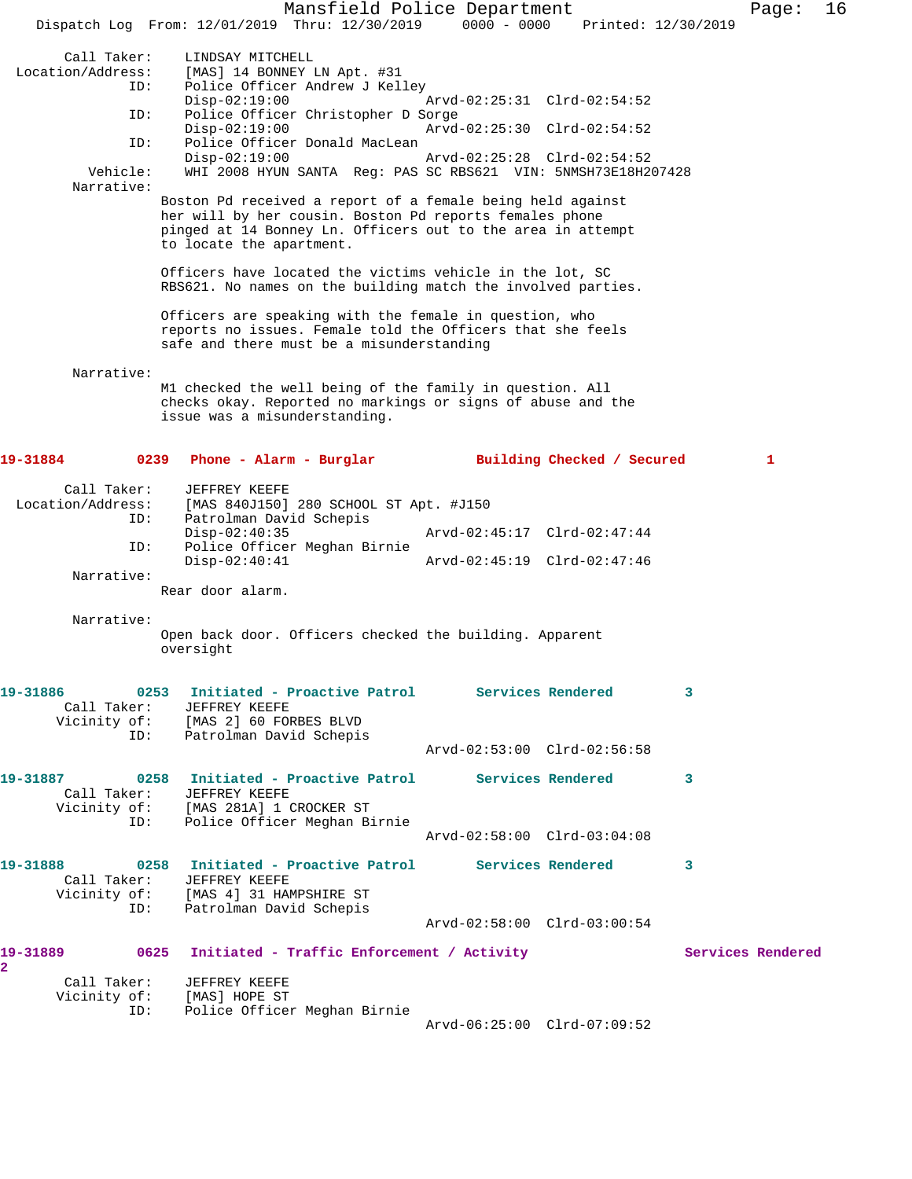Mansfield Police Department Fage: 16 Dispatch Log From: 12/01/2019 Thru: 12/30/2019 0000 - 0000 Printed: 12/30/2019 Call Taker: LINDSAY MITCHELL<br>Location/Address: [MAS] 14 BONNEY 1  $\begin{bmatrix} \texttt{MAS} & \texttt{14} & \texttt{BONNEY} \end{bmatrix}$  LN Apt. #31 ID: Police Officer Andrew J Kelley Disp-02:19:00 Arvd-02:25:31 Clrd-02:54:52 ID: Police Officer Christopher D Sorge Disp-02:19:00 Arvd-02:25:30 Clrd-02:54:52<br>TD: Police Officer Donald MacLean Police Officer Donald MacLean<br>Disp-02:19:00 Disp-02:19:00 Arvd-02:25:28 Clrd-02:54:52<br>Vehicle: WHI 2008 HYUN SANTA Req: PAS SC RBS621 VIN: 5NMSH73E18H2 WHI 2008 HYUN SANTA Reg: PAS SC RBS621 VIN: 5NMSH73E18H207428 Narrative: Boston Pd received a report of a female being held against her will by her cousin. Boston Pd reports females phone pinged at 14 Bonney Ln. Officers out to the area in attempt to locate the apartment. Officers have located the victims vehicle in the lot, SC RBS621. No names on the building match the involved parties. Officers are speaking with the female in question, who reports no issues. Female told the Officers that she feels safe and there must be a misunderstanding Narrative: M1 checked the well being of the family in question. All checks okay. Reported no markings or signs of abuse and the issue was a misunderstanding. **19-31884 0239 Phone - Alarm - Burglar Building Checked / Secured 1** Call Taker: JEFFREY KEEFE Location/Address: [MAS 840J150] 280 SCHOOL ST Apt. #J150 ID: Patrolman David Schepis Disp-02:40:35 Arvd-02:45:17 Clrd-02:47:44 ID: Police Officer Meghan Birnie Disp-02:40:41 Arvd-02:45:19 Clrd-02:47:46 Narrative: Rear door alarm. Narrative: Open back door. Officers checked the building. Apparent oversight **19-31886 0253 Initiated - Proactive Patrol Services Rendered 3**  Call Taker: JEFFREY KEEFE Vicinity of: [MAS 2] 60 FORBES BLVD ID: Patrolman David Schepis Arvd-02:53:00 Clrd-02:56:58 **19-31887 0258 Initiated - Proactive Patrol Services Rendered 3**  Call Taker: JEFFREY KEEFE Vicinity of: [MAS 281A] 1 CROCKER ST ID: Police Officer Meghan Birnie Arvd-02:58:00 Clrd-03:04:08 **19-31888 0258 Initiated - Proactive Patrol Services Rendered 3**  Call Taker: JEFFREY KEEFE Vicinity of: [MAS 4] 31 HAMPSHIRE ST ID: Patrolman David Schepis Arvd-02:58:00 Clrd-03:00:54 19-31889 **0625** Initiated - Traffic Enforcement / Activity **Services Rendered 2**  Call Taker: JEFFREY KEEFE Vicinity of: [MAS] HOPE ST ID: Police Officer Meghan Birnie Arvd-06:25:00 Clrd-07:09:52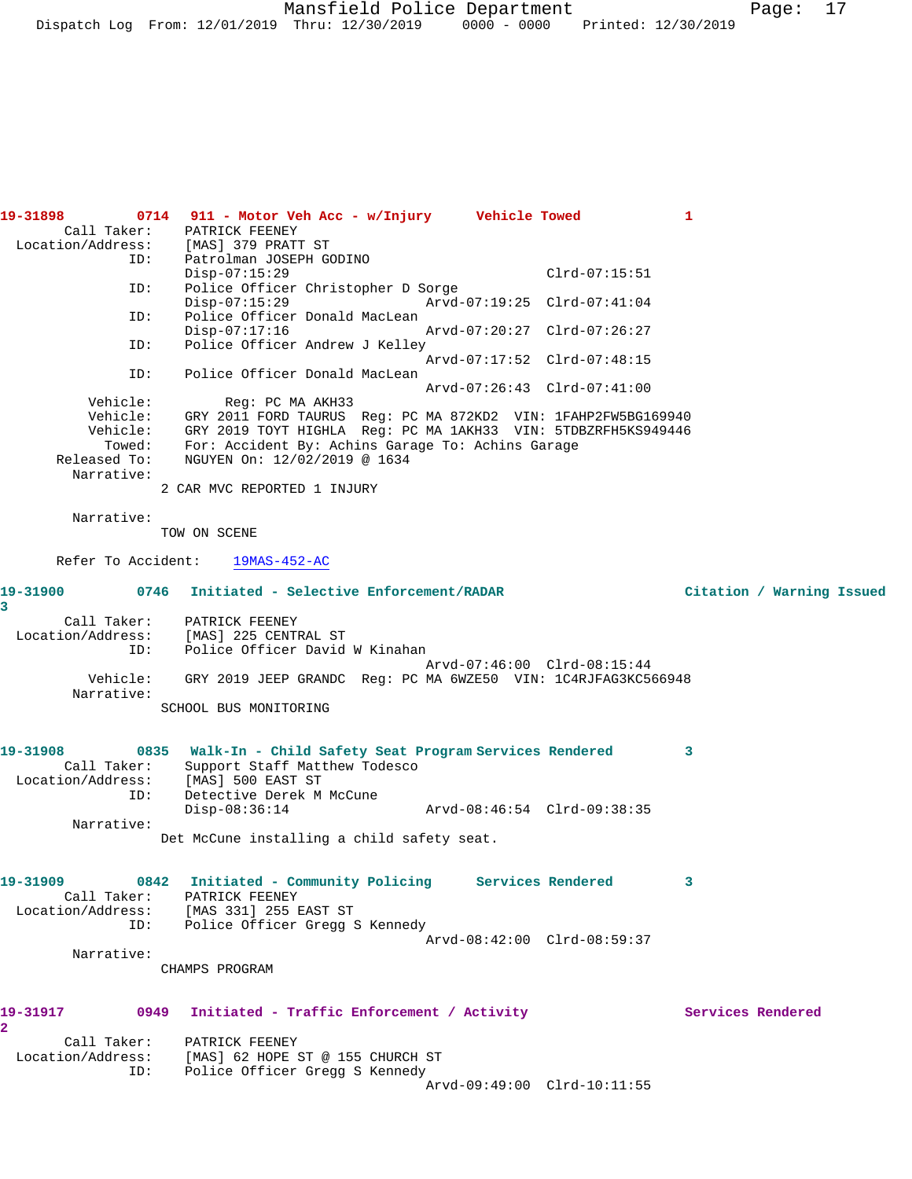Mansfield Police Department Page: 17 Dispatch Log From: 12/01/2019 Thru: 12/30/2019 0000 - 0000 Printed: 12/30/2019

| 19-31898                             | 0714 911 - Motor Veh Acc - w/Injury    Vehicle Towed                                         | 1                         |
|--------------------------------------|----------------------------------------------------------------------------------------------|---------------------------|
|                                      | Call Taker: PATRICK FEENEY                                                                   |                           |
| Location/Address: [MAS] 379 PRATT ST |                                                                                              |                           |
| ID:                                  | Patrolman JOSEPH GODINO<br>$Disp-07:15:29$<br>$Clrd-07:15:51$                                |                           |
| ID:                                  | Police Officer Christopher D Sorge                                                           |                           |
|                                      | $Disp-07:15:29$<br>Arvd-07:19:25 Clrd-07:41:04                                               |                           |
| ID:                                  | Police Officer Donald MacLean                                                                |                           |
|                                      | $Disp-07:17:16$<br>Arvd-07:20:27 Clrd-07:26:27                                               |                           |
| ID:                                  | Police Officer Andrew J Kelley                                                               |                           |
|                                      | Arvd-07:17:52 Clrd-07:48:15                                                                  |                           |
| ID:                                  | Police Officer Donald MacLean                                                                |                           |
| Vehicle:                             | Arvd-07:26:43 Clrd-07:41:00<br>Req: PC MA AKH33                                              |                           |
| Vehicle:                             | GRY 2011 FORD TAURUS Reg: PC MA 872KD2 VIN: 1FAHP2FW5BG169940                                |                           |
| Vehicle:                             | GRY 2019 TOYT HIGHLA Reg: PC MA 1AKH33 VIN: 5TDBZRFH5KS949446                                |                           |
| Towed:                               | For: Accident By: Achins Garage To: Achins Garage                                            |                           |
| Released To:                         | NGUYEN On: 12/02/2019 @ 1634                                                                 |                           |
| Narrative:                           |                                                                                              |                           |
|                                      | 2 CAR MVC REPORTED 1 INJURY                                                                  |                           |
|                                      |                                                                                              |                           |
| Narrative:                           |                                                                                              |                           |
|                                      | TOW ON SCENE                                                                                 |                           |
| Refer To Accident:                   | 19MAS-452-AC                                                                                 |                           |
|                                      |                                                                                              |                           |
| 0746<br>19-31900                     | Initiated - Selective Enforcement/RADAR                                                      | Citation / Warning Issued |
| 3                                    |                                                                                              |                           |
| Call Taker:                          | PATRICK FEENEY                                                                               |                           |
| Location/Address:                    | [MAS] 225 CENTRAL ST                                                                         |                           |
| ID:                                  | Police Officer David W Kinahan                                                               |                           |
| Vehicle:                             | Arvd-07:46:00 Clrd-08:15:44<br>GRY 2019 JEEP GRANDC Req: PC MA 6WZE50 VIN: 1C4RJFAG3KC566948 |                           |
| Narrative:                           |                                                                                              |                           |
|                                      | SCHOOL BUS MONITORING                                                                        |                           |
|                                      |                                                                                              |                           |
|                                      |                                                                                              |                           |
| 19-31908                             | 0835 Walk-In - Child Safety Seat Program Services Rendered                                   | 3                         |
| Call Taker:                          | Support Staff Matthew Todesco                                                                |                           |
| Location/Address: [MAS] 500 EAST ST  |                                                                                              |                           |
| ID:                                  | Detective Derek M McCune<br>$Disp-08:36:14$                                                  |                           |
| Narrative:                           |                                                                                              |                           |
|                                      | Det McCune installing a child safety seat.                                                   |                           |
|                                      |                                                                                              |                           |
|                                      |                                                                                              |                           |
|                                      | 19-31909 0842 Initiated - Community Policing Services Rendered                               | 3                         |
|                                      | Call Taker: PATRICK FEENEY                                                                   |                           |
|                                      | Location/Address: [MAS 331] 255 EAST ST                                                      |                           |
|                                      | ID: Police Officer Gregg S Kennedy<br>Arvd-08:42:00 Clrd-08:59:37                            |                           |
| Narrative:                           |                                                                                              |                           |
|                                      | CHAMPS PROGRAM                                                                               |                           |
|                                      |                                                                                              |                           |
|                                      |                                                                                              |                           |
| 19-31917                             | 0949 Initiated - Traffic Enforcement / Activity                                              | Services Rendered         |
| $\overline{a}$                       |                                                                                              |                           |
|                                      | Call Taker: PATRICK FEENEY                                                                   |                           |
|                                      | Location/Address: [MAS] 62 HOPE ST @ 155 CHURCH ST                                           |                           |
| ID:                                  | Police Officer Gregg S Kennedy                                                               |                           |
|                                      | Arvd-09:49:00 Clrd-10:11:55                                                                  |                           |
|                                      |                                                                                              |                           |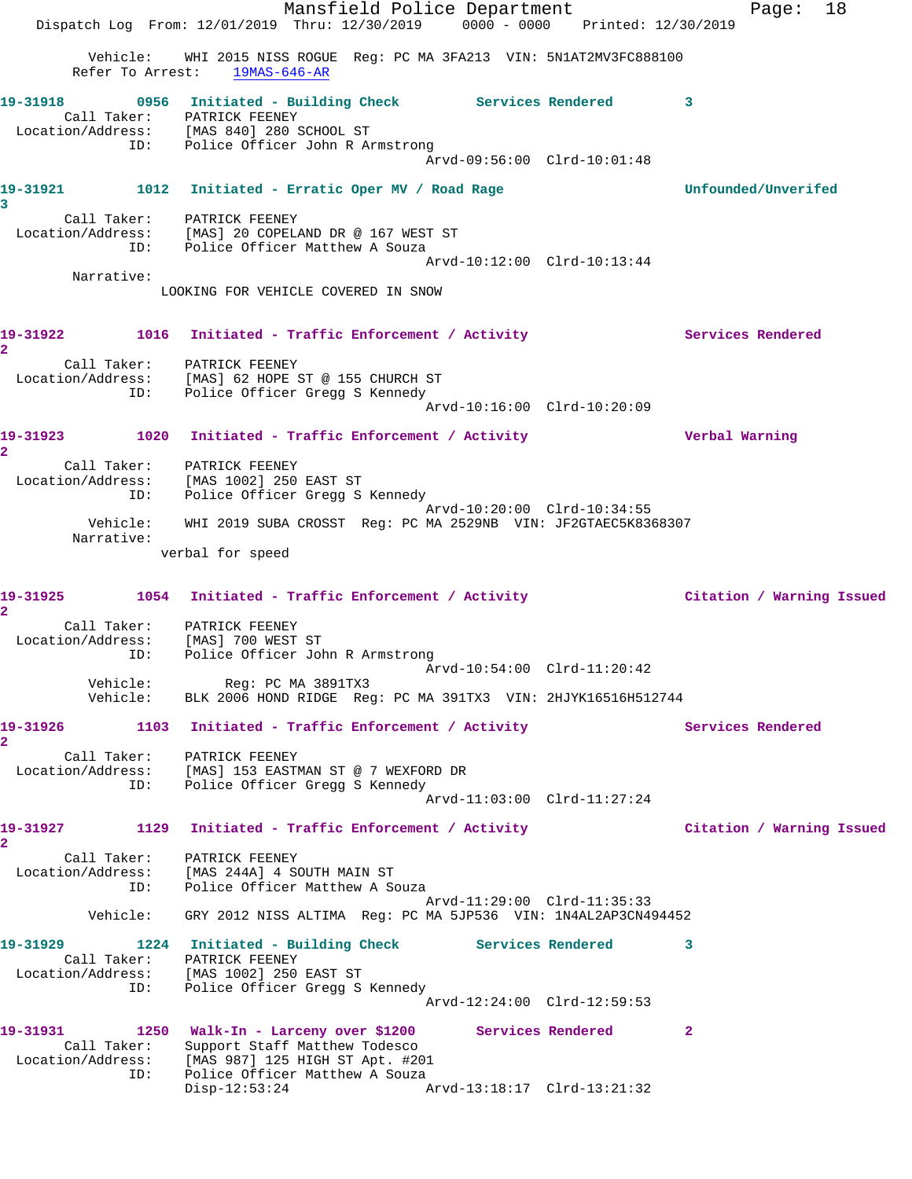Mansfield Police Department Fage: 18 Dispatch Log From: 12/01/2019 Thru: 12/30/2019 0000 - 0000 Printed: 12/30/2019 Vehicle: WHI 2015 NISS ROGUE Reg: PC MA 3FA213 VIN: 5N1AT2MV3FC888100 Refer To Arrest: 19MAS-646-AR **19-31918 0956 Initiated - Building Check Services Rendered 3**  Call Taker: PATRICK FEENEY Location/Address: [MAS 840] 280 SCHOOL ST ID: Police Officer John R Armstrong Arvd-09:56:00 Clrd-10:01:48 **19-31921 1012 Initiated - Erratic Oper MV / Road Rage Unfounded/Unverifed 3**  Call Taker: PATRICK FEENEY Location/Address: [MAS] 20 COPELAND DR @ 167 WEST ST ID: Police Officer Matthew A Souza Arvd-10:12:00 Clrd-10:13:44 Narrative: LOOKING FOR VEHICLE COVERED IN SNOW 19-31922 1016 Initiated - Traffic Enforcement / Activity Services Rendered **2**  Call Taker: PATRICK FEENEY Location/Address: [MAS] 62 HOPE ST @ 155 CHURCH ST ID: Police Officer Gregg S Kennedy Arvd-10:16:00 Clrd-10:20:09 **19-31923 1020 Initiated - Traffic Enforcement / Activity Verbal Warning 2**  Call Taker: PATRICK FEENEY Location/Address: [MAS 1002] 250 EAST ST ID: Police Officer Gregg S Kennedy Arvd-10:20:00 Clrd-10:34:55 Vehicle: WHI 2019 SUBA CROSST Reg: PC MA 2529NB VIN: JF2GTAEC5K8368307 Narrative: verbal for speed **19-31925 1054 Initiated - Traffic Enforcement / Activity Citation / Warning Issued 2**  Call Taker: PATRICK FEENEY Location/Address: [MAS] 700 WEST ST ID: Police Officer John R Armstrong Arvd-10:54:00 Clrd-11:20:42 Vehicle: Reg: PC MA 3891TX3 Vehicle: BLK 2006 HOND RIDGE Reg: PC MA 391TX3 VIN: 2HJYK16516H512744 19-31926 1103 Initiated - Traffic Enforcement / Activity Services Rendered **2**  Call Taker: PATRICK FEENEY Location/Address: [MAS] 153 EASTMAN ST @ 7 WEXFORD DR ID: Police Officer Gregg S Kennedy Arvd-11:03:00 Clrd-11:27:24 **19-31927 1129 Initiated - Traffic Enforcement / Activity Citation / Warning Issued 2**  Call Taker: PATRICK FEENEY Location/Address: [MAS 244A] 4 SOUTH MAIN ST ID: Police Officer Matthew A Souza Arvd-11:29:00 Clrd-11:35:33 Vehicle: GRY 2012 NISS ALTIMA Reg: PC MA 5JP536 VIN: 1N4AL2AP3CN494452 **19-31929 1224 Initiated - Building Check Services Rendered 3**  Call Taker: PATRICK FEENEY Location/Address: [MAS 1002] 250 EAST ST ID: Police Officer Gregg S Kennedy Arvd-12:24:00 Clrd-12:59:53 **19-31931 1250 Walk-In - Larceny over \$1200 Services Rendered 2**  Call Taker: Support Staff Matthew Todesco Location/Address: [MAS 987] 125 HIGH ST Apt. #201 ID: Police Officer Matthew A Souza Disp-12:53:24 Arvd-13:18:17 Clrd-13:21:32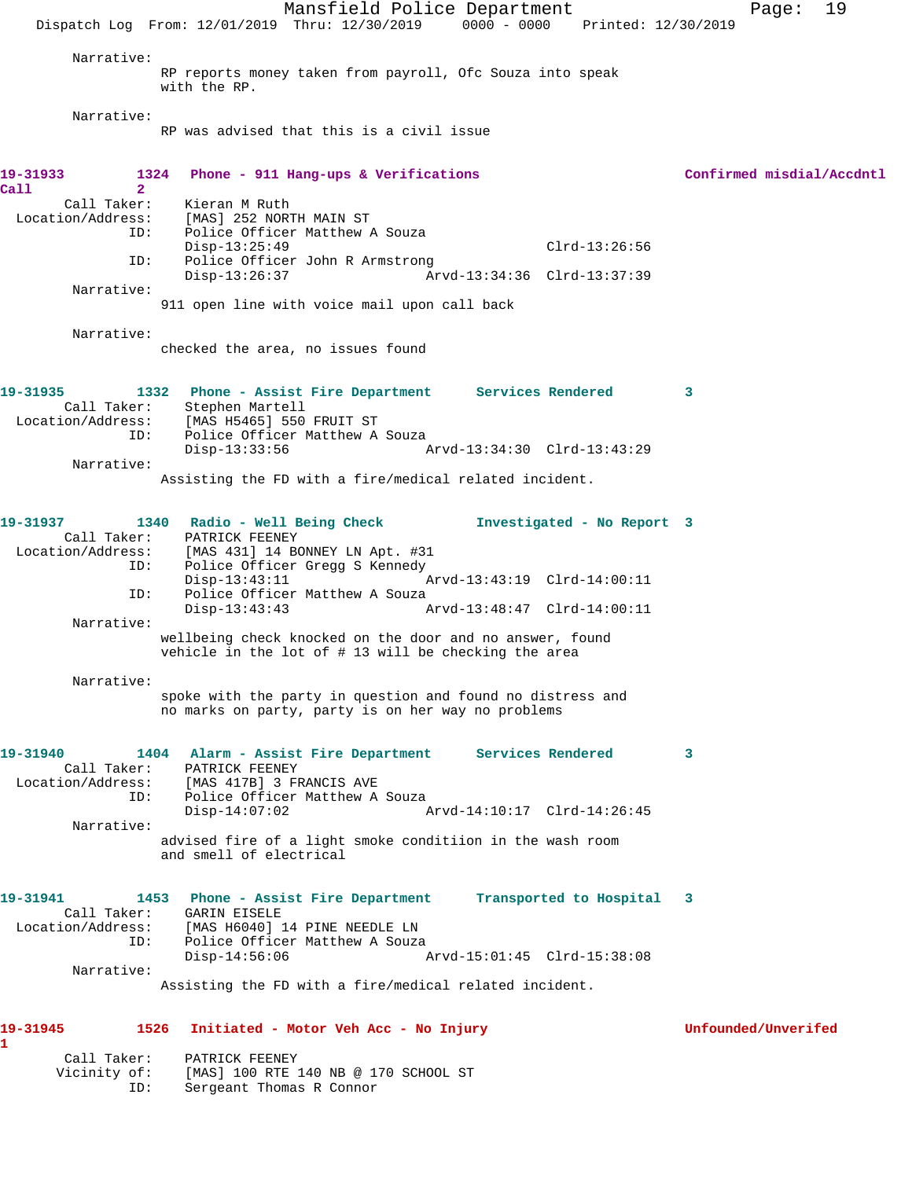Mansfield Police Department Fage: 19 Dispatch Log From: 12/01/2019 Thru: 12/30/2019 0000 - 0000 Printed: 12/30/2019 Narrative: RP reports money taken from payroll, Ofc Souza into speak with the RP. Narrative: RP was advised that this is a civil issue **19-31933 1324 Phone - 911 Hang-ups & Verifications Confirmed misdial/Accdntl Call 2**  Kieran M Ruth Location/Address: [MAS] 252 NORTH MAIN ST ID: Police Officer Matthew A Souza Disp-13:25:49 Clrd-13:26:56 ID: Police Officer John R Armstrong Disp-13:26:37 Arvd-13:34:36 Clrd-13:37:39 Narrative: 911 open line with voice mail upon call back Narrative: checked the area, no issues found **19-31935 1332 Phone - Assist Fire Department Services Rendered 3**  Call Taker: Stephen Martell Location/Address: [MAS H5465] 550 FRUIT ST ID: Police Officer Matthew A Souza<br>Disp-13:33:56 Disp-13:33:56 Arvd-13:34:30 Clrd-13:43:29 Narrative: Assisting the FD with a fire/medical related incident. **19-31937 1340 Radio - Well Being Check Investigated - No Report 3**  Call Taker: PATRICK FEENEY Location/Address: [MAS 431] 14 BONNEY LN Apt. #31 Police Officer Gregg S Kennedy Disp-13:43:11 Arvd-13:43:19 Clrd-14:00:11 ID: The Officer Matthew A Souza<br>Disp-13:43:43 Disp-13:43:43 Arvd-13:48:47 Clrd-14:00:11 Narrative: wellbeing check knocked on the door and no answer, found vehicle in the lot of # 13 will be checking the area Narrative: spoke with the party in question and found no distress and no marks on party, party is on her way no problems **19-31940 1404 Alarm - Assist Fire Department Services Rendered 3**  Call Taker: PATRICK FEENEY Location/Address: [MAS 417B] 3 FRANCIS AVE ID: Police Officer Matthew A Souza Disp-14:07:02 Arvd-14:10:17 Clrd-14:26:45 Narrative: advised fire of a light smoke conditiion in the wash room and smell of electrical **19-31941 1453 Phone - Assist Fire Department Transported to Hospital 3**  Call Taker: GARIN EISELE Location/Address: [MAS H6040] 14 PINE NEEDLE LN ID: Police Officer Matthew A Souza Disp-14:56:06 Arvd-15:01:45 Clrd-15:38:08 Narrative: Assisting the FD with a fire/medical related incident. **19-31945 1526 Initiated - Motor Veh Acc - No Injury Unfounded/Unverifed 1** 

 Call Taker: PATRICK FEENEY Vicinity of: [MAS] 100 RTE 140 NB @ 170 SCHOOL ST<br>ID: Sergeant Thomas R Connor Sergeant Thomas R Connor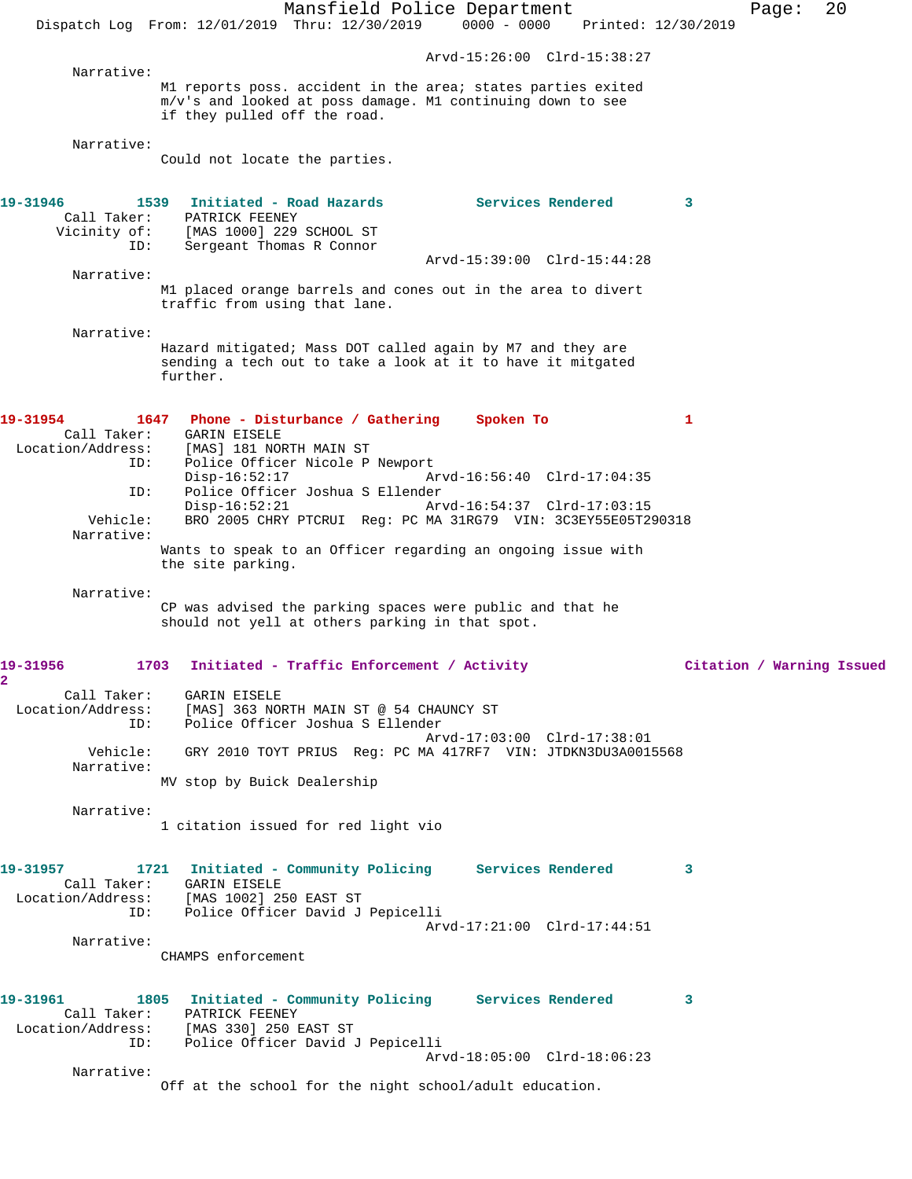Mansfield Police Department Page: 20 Dispatch Log From: 12/01/2019 Thru: 12/30/2019 0000 - 0000 Printed: 12/30/2019 Arvd-15:26:00 Clrd-15:38:27 Narrative: M1 reports poss. accident in the area; states parties exited m/v's and looked at poss damage. M1 continuing down to see if they pulled off the road. Narrative: Could not locate the parties. 19-31946 1539 Initiated - Road Hazards **Services Rendered** 3 Call Taker: PATRICK FEENEY Vicinity of: [MAS 1000] 229 SCHOOL ST ID: Sergeant Thomas R Connor Arvd-15:39:00 Clrd-15:44:28 Narrative: M1 placed orange barrels and cones out in the area to divert traffic from using that lane. Narrative: Hazard mitigated; Mass DOT called again by M7 and they are sending a tech out to take a look at it to have it mitgated further. **19-31954 1647 Phone - Disturbance / Gathering Spoken To 1**  Call Taker: GARIN EISELE<br>Location/Address: [MAS] 181 NO ess: [MAS] 181 NORTH MAIN ST<br>ID: Police Officer Nicole P Police Officer Nicole P Newport Disp-16:52:17 Arvd-16:56:40 Clrd-17:04:35 ID: Police Officer Joshua S Ellender Arvd-16:54:37 Clrd-17:03:15 Vehicle: BRO 2005 CHRY PTCRUI Reg: PC MA 31RG79 VIN: 3C3EY55E05T290318 Narrative: Wants to speak to an Officer regarding an ongoing issue with the site parking. Narrative: CP was advised the parking spaces were public and that he should not yell at others parking in that spot. **19-31956 1703 Initiated - Traffic Enforcement / Activity Citation / Warning Issued 2**  Call Taker: GARIN EISELE Location/Address: [MAS] 363 NORTH MAIN ST @ 54 CHAUNCY ST ID: Police Officer Joshua S Ellender Arvd-17:03:00 Clrd-17:38:01 Vehicle: GRY 2010 TOYT PRIUS Reg: PC MA 417RF7 VIN: JTDKN3DU3A0015568 Narrative: MV stop by Buick Dealership Narrative: 1 citation issued for red light vio **19-31957 1721 Initiated - Community Policing Services Rendered 3**  Call Taker: GARIN EISELE Location/Address: [MAS 1002] 250 EAST ST ID: Police Officer David J Pepicelli Arvd-17:21:00 Clrd-17:44:51 Narrative: CHAMPS enforcement **19-31961 1805 Initiated - Community Policing Services Rendered 3**  Call Taker: PATRICK FEENEY Location/Address: [MAS 330] 250 EAST ST Police Officer David J Pepicelli<br>ID: Police Officer David J Pepicelli Arvd-18:05:00 Clrd-18:06:23 Narrative: Off at the school for the night school/adult education.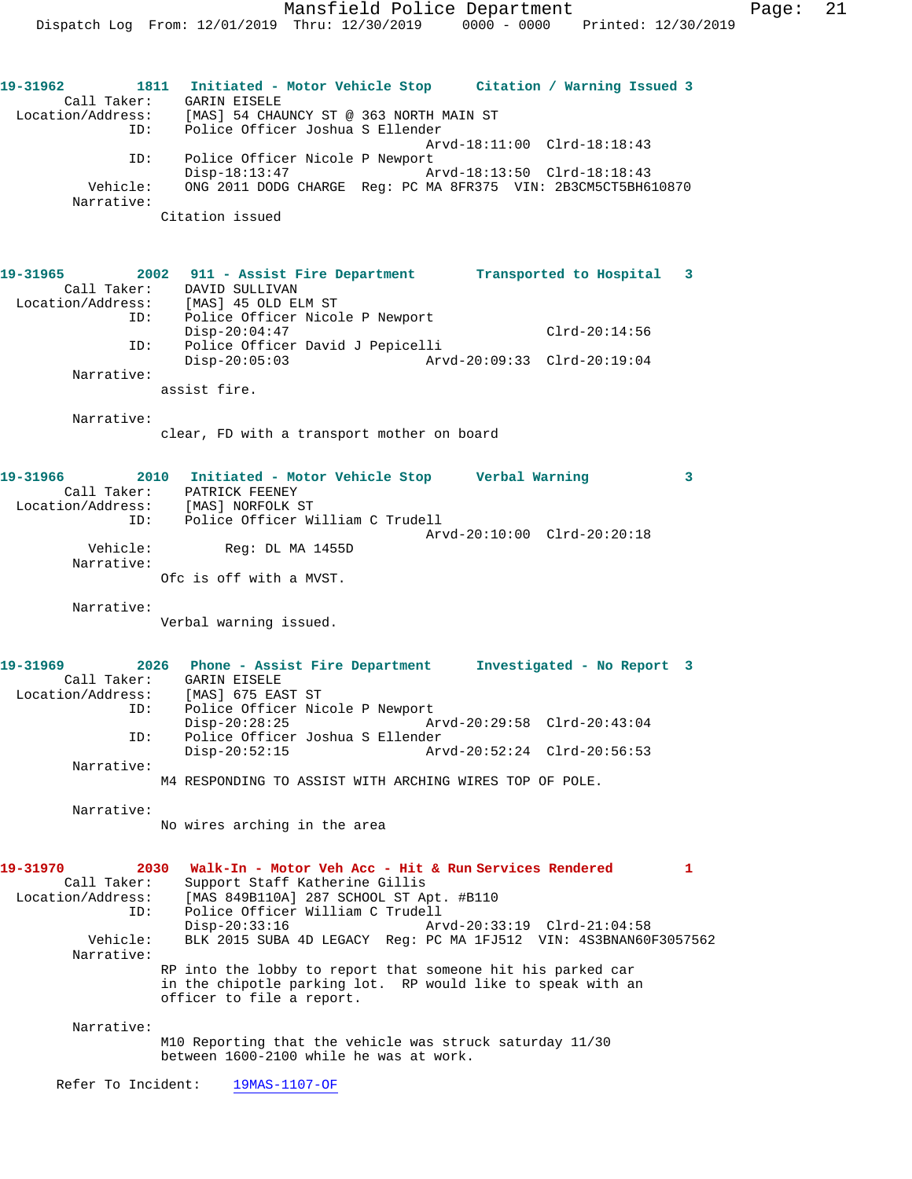**19-31962 1811 Initiated - Motor Vehicle Stop Citation / Warning Issued 3**  Call Taker: GARIN EISELE Location/Address: [MAS] 54 CHAUNCY ST @ 363 NORTH MAIN ST ID: Police Officer Joshua S Ellender Arvd-18:11:00 Clrd-18:18:43 ID: Police Officer Nicole P Newport Disp-18:13:47 Arvd-18:13:50 Clrd-18:18:43 Vehicle: ONG 2011 DODG CHARGE Reg: PC MA 8FR375 VIN: 2B3CM5CT5BH610870 Narrative: Citation issued **19-31965 2002 911 - Assist Fire Department Transported to Hospital 3**  Call Taker: DAVID SULLIVAN Location/Address: [MAS] 45 OLD ELM ST ID: Police Officer Nicole P Newport Disp-20:04:47 Clrd-20:14:56 ID: Police Officer David J Pepicelli Disp-20:05:03 Arvd-20:09:33 Clrd-20:19:04 Narrative: assist fire. Narrative: clear, FD with a transport mother on board **19-31966 2010 Initiated - Motor Vehicle Stop Verbal Warning 3**  Call Taker: PATRICK FEENEY Location/Address: [MAS] NORFOLK ST ID: Police Officer William C Trudell Arvd-20:10:00 Clrd-20:20:18 Vehicle: Reg: DL MA 1455D Narrative: Ofc is off with a MVST. Narrative: Verbal warning issued. **19-31969 2026 Phone - Assist Fire Department Investigated - No Report 3**  Call Taker: GARIN EISELE Location/Address: [MAS] 675 EAST ST ID: Police Officer Nicole P Newport<br>Disp-20:28:25 Disp-20:28:25 Arvd-20:29:58 Clrd-20:43:04<br>ID: Police Officer Joshua S Ellender ID: Police Officer Joshua S Ellender Disp-20:52:15 Arvd-20:52:24 Clrd-20:56:53 Narrative: M4 RESPONDING TO ASSIST WITH ARCHING WIRES TOP OF POLE. Narrative: No wires arching in the area **19-31970 2030 Walk-In - Motor Veh Acc - Hit & Run Services Rendered 1**  Call Taker: Support Staff Katherine Gillis Location/Address: [MAS 849B110A] 287 SCHOOL ST Apt. #B110 ID: Police Officer William C Trudell Disp-20:33:16 Arvd-20:33:19 Clrd-21:04:58 Vehicle: BLK 2015 SUBA 4D LEGACY Reg: PC MA 1FJ512 VIN: 4S3BNAN60F3057562 Narrative: RP into the lobby to report that someone hit his parked car in the chipotle parking lot. RP would like to speak with an officer to file a report. Narrative: M10 Reporting that the vehicle was struck saturday 11/30 between 1600-2100 while he was at work. Refer To Incident: 19MAS-1107-OF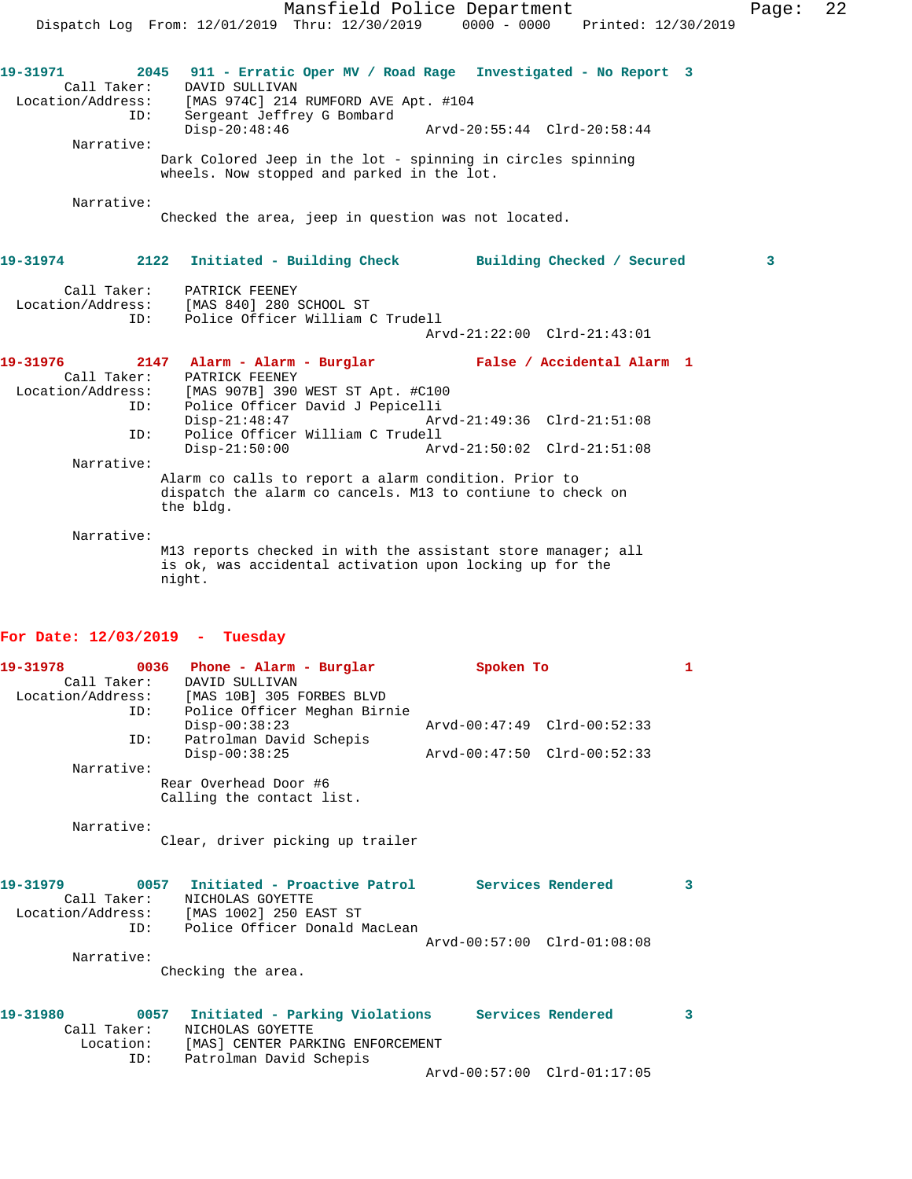|                                                                   | Dispatch Log From: 12/01/2019 Thru: 12/30/2019                                                                                                                                                                                                                                            | Mansfield Police Department                                | 0000 - 0000 Printed: 12/30/2019 | Page: | 22 |
|-------------------------------------------------------------------|-------------------------------------------------------------------------------------------------------------------------------------------------------------------------------------------------------------------------------------------------------------------------------------------|------------------------------------------------------------|---------------------------------|-------|----|
| 19-31971<br>Call Taker:<br>Location/Address:<br>ID:<br>Narrative: | 2045 911 - Erratic Oper MV / Road Rage Investigated - No Report 3<br>DAVID SULLIVAN<br>[MAS 974C] 214 RUMFORD AVE Apt. #104<br>Sergeant Jeffrey G Bombard<br>$Disp-20:48:46$<br>Dark Colored Jeep in the lot - spinning in circles spinning<br>wheels. Now stopped and parked in the lot. | Arvd-20:55:44 Clrd-20:58:44                                |                                 |       |    |
| Narrative:                                                        | Checked the area, jeep in question was not located.                                                                                                                                                                                                                                       |                                                            |                                 |       |    |
| 19-31974                                                          | 2122 Initiated - Building Check Building Checked / Secured                                                                                                                                                                                                                                |                                                            |                                 | 3     |    |
| Call Taker:<br>Location/Address:<br>ID:                           | PATRICK FEENEY<br>[MAS 840] 280 SCHOOL ST<br>Police Officer William C Trudell                                                                                                                                                                                                             | Arvd-21:22:00 Clrd-21:43:01                                |                                 |       |    |
| 19-31976<br>Call Taker:<br>Location/Address:<br>ID:<br>ID:        | 2147 Alarm - Alarm - Burglar Mark False / Accidental Alarm 1<br>PATRICK FEENEY<br>[MAS 907B] 390 WEST ST Apt. #C100<br>Police Officer David J Pepicelli<br>$Disp-21:48:47$<br>Police Officer William C Trudell<br>$Disp-21:50:00$                                                         | Arvd-21:49:36 Clrd-21:51:08<br>Arvd-21:50:02 Clrd-21:51:08 |                                 |       |    |
| Narrative:                                                        | Alarm co calls to report a alarm condition. Prior to<br>dispatch the alarm co cancels. M13 to contiune to check on<br>the bldg.                                                                                                                                                           |                                                            |                                 |       |    |
| Narrative:                                                        | M13 reports checked in with the assistant store manager; all<br>is ok, was accidental activation upon locking up for the<br>night.                                                                                                                                                        |                                                            |                                 |       |    |

## **For Date: 12/03/2019 - Tuesday**

| 19-31978         |      | 0036 Phone - Alarm - Burglar                                  | Spoken To                   | 1 |
|------------------|------|---------------------------------------------------------------|-----------------------------|---|
| Call Taker:      |      | DAVID SULLIVAN<br>Location/Address: [MAS 10B] 305 FORBES BLVD |                             |   |
|                  | ID:  | Police Officer Meghan Birnie                                  |                             |   |
| ID:              |      | $Disp-00:38:23$<br>Patrolman David Schepis                    | Arvd-00:47:49 Clrd-00:52:33 |   |
|                  |      | $Disp-00:38:25$                                               | Arvd-00:47:50 Clrd-00:52:33 |   |
| Narrative:       |      |                                                               |                             |   |
|                  |      | Rear Overhead Door #6<br>Calling the contact list.            |                             |   |
| Narrative:       |      |                                                               |                             |   |
|                  |      | Clear, driver picking up trailer                              |                             |   |
| 19-31979         |      | 0057 Initiated - Proactive Patrol Services Rendered           |                             | 3 |
| Call Taker:      |      | NICHOLAS GOYETTE<br>Location/Address: [MAS 1002] 250 EAST ST  |                             |   |
| ID:              |      | Police Officer Donald MacLean                                 |                             |   |
|                  |      |                                                               | Arvd-00:57:00 Clrd-01:08:08 |   |
| Narrative:       |      |                                                               |                             |   |
|                  |      | Checking the area.                                            |                             |   |
| 19-31980         | 0057 | Initiated - Parking Violations Services Rendered              |                             | 3 |
| Call Taker:      |      | NICHOLAS GOYETTE                                              |                             |   |
| Location:<br>ID: |      | [MAS] CENTER PARKING ENFORCEMENT<br>Patrolman David Schepis   |                             |   |
|                  |      |                                                               | Arvd-00:57:00 Clrd-01:17:05 |   |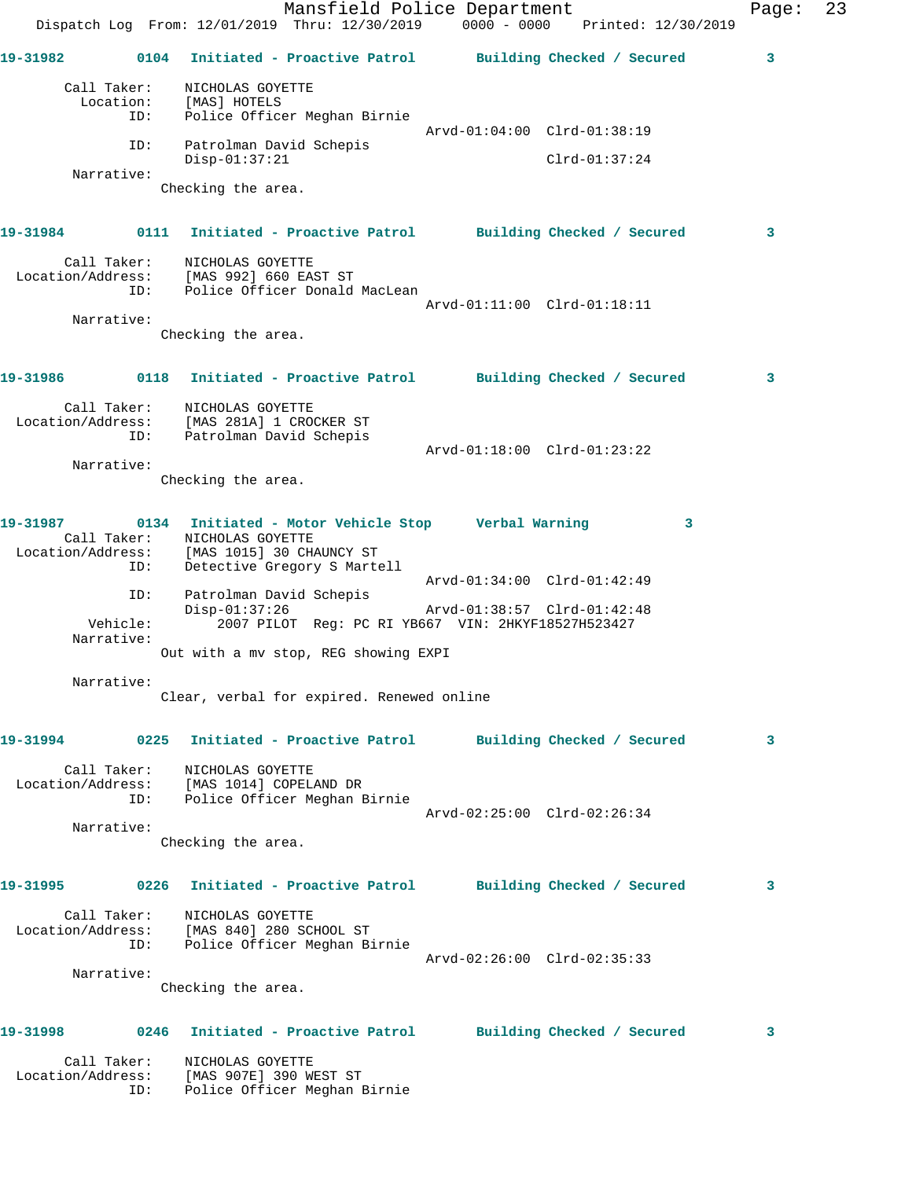Mansfield Police Department Fage: 23 Dispatch Log From: 12/01/2019 Thru: 12/30/2019 0000 - 0000 Printed: 12/30/2019 **19-31982 0104 Initiated - Proactive Patrol Building Checked / Secured 3** Call Taker: NICHOLAS GOYETTE Location: [MAS] HOTELS ID: Police Officer Meghan Birnie Arvd-01:04:00 Clrd-01:38:19 ID: Patrolman David Schepis Disp-01:37:21 Clrd-01:37:24 Narrative: Checking the area. **19-31984 0111 Initiated - Proactive Patrol Building Checked / Secured 3** Call Taker: NICHOLAS GOYETTE Location/Address: [MAS 992] 660 EAST ST ID: Police Officer Donald MacLean Arvd-01:11:00 Clrd-01:18:11 Narrative: Checking the area. **19-31986 0118 Initiated - Proactive Patrol Building Checked / Secured 3** Call Taker: NICHOLAS GOYETTE Location/Address: [MAS 281A] 1 CROCKER ST ID: Patrolman David Schepis Arvd-01:18:00 Clrd-01:23:22 Narrative: Checking the area. **19-31987 0134 Initiated - Motor Vehicle Stop Verbal Warning 3**  Call Taker: NICHOLAS GOYETTE Location/Address: [MAS 1015] 30 CHAUNCY ST ID: Detective Gregory S Martell Arvd-01:34:00 Clrd-01:42:49 ID: Patrolman David Schepis Disp-01:37:26 Arvd-01:38:57 Clrd-01:42:48 Vehicle: 2007 PILOT Reg: PC RI YB667 VIN: 2HKYF18527H523427 Narrative: Out with a mv stop, REG showing EXPI Narrative: Clear, verbal for expired. Renewed online **19-31994 0225 Initiated - Proactive Patrol Building Checked / Secured 3** Call Taker: NICHOLAS GOYETTE Location/Address: [MAS 1014] COPELAND DR ID: Police Officer Meghan Birnie Arvd-02:25:00 Clrd-02:26:34 Narrative: Checking the area. **19-31995 0226 Initiated - Proactive Patrol Building Checked / Secured 3** Call Taker: NICHOLAS GOYETTE Location/Address: [MAS 840] 280 SCHOOL ST ID: Police Officer Meghan Birnie Arvd-02:26:00 Clrd-02:35:33 Narrative: Checking the area. **19-31998 0246 Initiated - Proactive Patrol Building Checked / Secured 3** Call Taker: NICHOLAS GOYETTE Location/Address: [MAS 907E] 390 WEST ST ID: Police Officer Meghan Birnie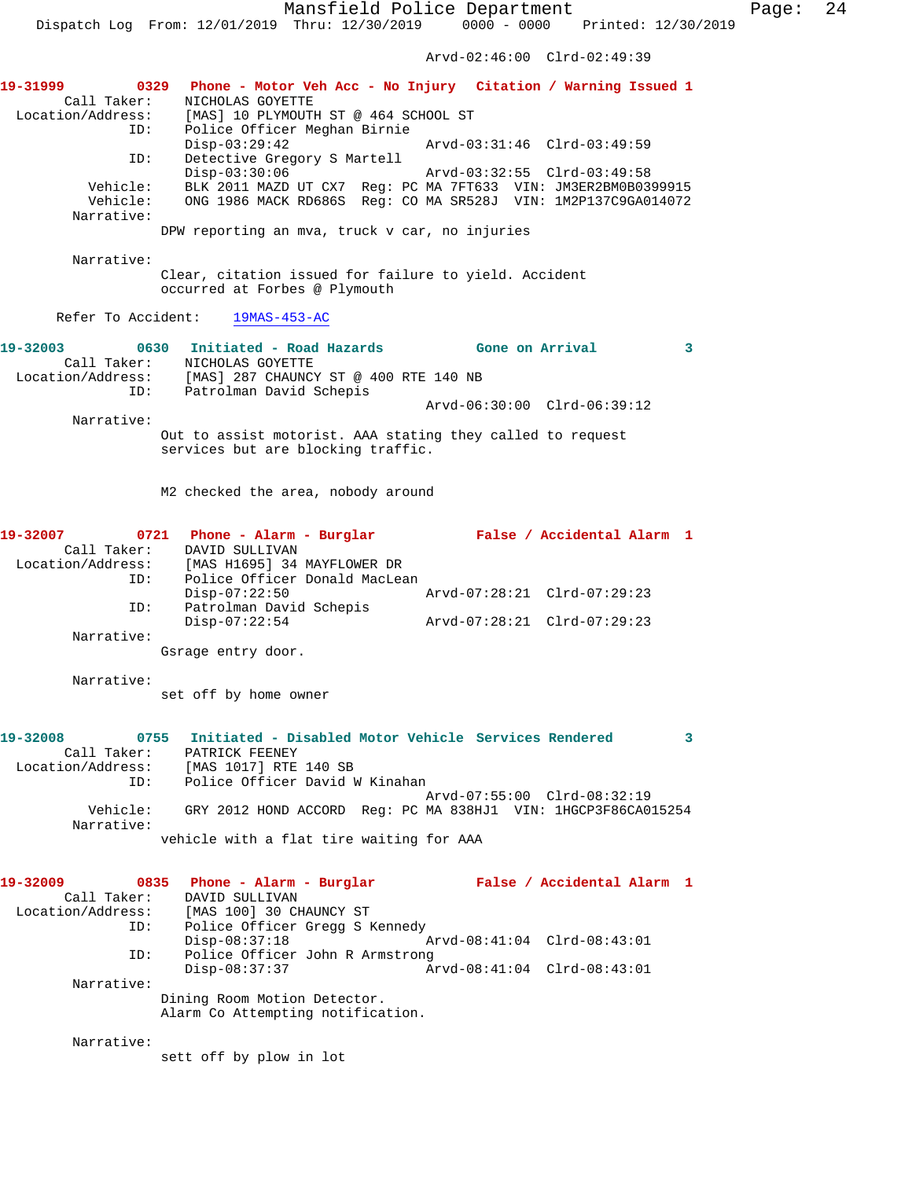Arvd-02:46:00 Clrd-02:49:39

**19-31999 0329 Phone - Motor Veh Acc - No Injury Citation / Warning Issued 1**  Call Taker: NICHOLAS GOYETTE Location/Address: [MAS] 10 PLYMOUTH ST @ 464 SCHOOL ST ID: Police Officer Meghan Birnie Disp-03:29:42 Arvd-03:31:46 Clrd-03:49:59 ID: Detective Gregory S Martell Disp-03:30:06 Arvd-03:32:55 Clrd-03:49:58 Vehicle: BLK 2011 MAZD UT CX7 Reg: PC MA 7FT633 VIN: JM3ER2BM0B0399915 Vehicle: ONG 1986 MACK RD686S Reg: CO MA SR528J VIN: 1M2P137C9GA014072 Narrative: DPW reporting an mva, truck v car, no injuries Narrative: Clear, citation issued for failure to yield. Accident occurred at Forbes @ Plymouth Refer To Accident: 19MAS-453-AC **19-32003 0630 Initiated - Road Hazards Gone on Arrival 3**  Call Taker: <br>
MICHOLAS GOYETTE<br>
Location/Address: [MAS] 287 CHAUNCY<br>
ID: Patrolman David S [MAS] 287 CHAUNCY ST @ 400 RTE 140 NB Patrolman David Schepis Arvd-06:30:00 Clrd-06:39:12 Narrative: Out to assist motorist. AAA stating they called to request services but are blocking traffic. M2 checked the area, nobody around **19-32007 0721 Phone - Alarm - Burglar False / Accidental Alarm 1**  Call Taker: DAVID SULLIVAN Location/Address: [MAS H1695] 34 MAYFLOWER DR ID: Police Officer Donald MacLean<br>Disp-07:22:50 Disp-07:22:50 Arvd-07:28:21 Clrd-07:29:23 ID: Patrolman David Schepis<br>Disp-07:22:54 Disp-07:22:54 Arvd-07:28:21 Clrd-07:29:23 Narrative: Gsrage entry door. Narrative: set off by home owner **19-32008 0755 Initiated - Disabled Motor Vehicle Services Rendered 3**  Call Taker: PATRICK FEENEY Location/Address: [MAS 1017] RTE 140 SB ID: Police Officer David W Kinahan Arvd-07:55:00 Clrd-08:32:19 Vehicle: GRY 2012 HOND ACCORD Reg: PC MA 838HJ1 VIN: 1HGCP3F86CA015254 Narrative: vehicle with a flat tire waiting for AAA **19-32009 0835 Phone - Alarm - Burglar False / Accidental Alarm 1**  Call Taker: DAVID SULLIVAN Location/Address: [MAS 100] 30 CHAUNCY ST ID: Police Officer Gregg S Kennedy Disp-08:37:18 Arvd-08:41:04 Clrd-08:43:01 ID: Police Officer John R Armstrong Disp-08:37:37 Arvd-08:41:04 Clrd-08:43:01 Narrative: Dining Room Motion Detector. Alarm Co Attempting notification. Narrative: sett off by plow in lot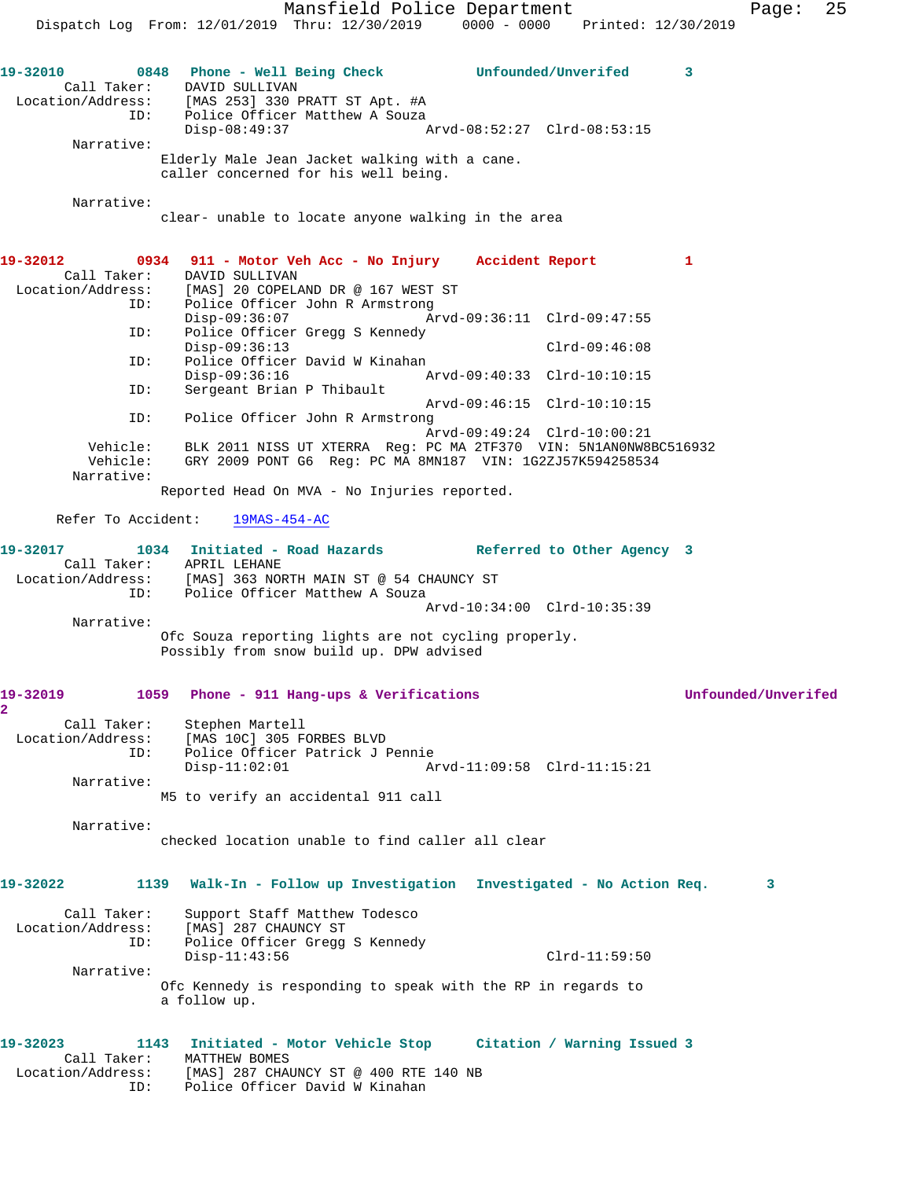Mansfield Police Department Fage: 25 Dispatch Log From: 12/01/2019 Thru: 12/30/2019 0000 - 0000 Printed: 12/30/2019 **19-32010 0848 Phone - Well Being Check Unfounded/Unverifed 3**  Call Taker: DAVID SULLIVAN Location/Address: [MAS 253] 330 PRATT ST Apt. #A ID: Police Officer Matthew A Souza Disp-08:49:37 Arvd-08:52:27 Clrd-08:53:15 Narrative: Elderly Male Jean Jacket walking with a cane. caller concerned for his well being. Narrative: clear- unable to locate anyone walking in the area **19-32012 0934 911 - Motor Veh Acc - No Injury Accident Report 1**  Call Taker: DAVID SULLIVAN<br>ion/Address: [MAS] 20 CODELA Location/Address: [MAS] 20 COPELAND DR @ 167 WEST ST ID: Police Officer John R Armstrong Disp-09:36:07 Arvd-09:36:11 Clrd-09:47:55 ID: Police Officer Gregg S Kennedy Disp-09:36:13 Clrd-09:46:08 ID: Police Officer David W Kinahan Disp-09:36:16 Arvd-09:40:33 Clrd-10:10:15<br>ID: Sergeant Brian P Thibault Sergeant Brian P Thibault Arvd-09:46:15 Clrd-10:10:15 ID: Police Officer John R Armstrong Arvd-09:49:24 Clrd-10:00:21 Vehicle: BLK 2011 NISS UT XTERRA Reg: PC MA 2TF370 VIN: 5N1AN0NW8BC516932 Vehicle: GRY 2009 PONT G6 Reg: PC MA 8MN187 VIN: 1G2ZJ57K594258534 Narrative: Reported Head On MVA - No Injuries reported. Refer To Accident: 19MAS-454-AC **19-32017 1034 Initiated - Road Hazards Referred to Other Agency 3**  Call Taker: APRIL LEHANE Location/Address: [MAS] 363 NORTH MAIN ST @ 54 CHAUNCY ST ID: Police Officer Matthew A Souza Arvd-10:34:00 Clrd-10:35:39 Narrative: Ofc Souza reporting lights are not cycling properly. Possibly from snow build up. DPW advised **19-32019 1059 Phone - 911 Hang-ups & Verifications Unfounded/Unverifed 2**  Call Taker: Stephen Martell Location/Address: [MAS 10C] 305 FORBES BLVD ID: Police Officer Patrick J Pennie Disp-11:02:01 Arvd-11:09:58 Clrd-11:15:21 Narrative: M5 to verify an accidental 911 call Narrative: checked location unable to find caller all clear **19-32022 1139 Walk-In - Follow up Investigation Investigated - No Action Req. 3** Call Taker: Support Staff Matthew Todesco Location/Address: [MAS] 287 CHAUNCY ST ID: Police Officer Gregg S Kennedy Disp-11:43:56 Clrd-11:59:50 Narrative: Ofc Kennedy is responding to speak with the RP in regards to a follow up. **19-32023 1143 Initiated - Motor Vehicle Stop Citation / Warning Issued 3**  Call Taker: MATTHEW BOMES Location/Address: [MAS] 287 CHAUNCY ST @ 400 RTE 140 NB ID: Police Officer David W Kinahan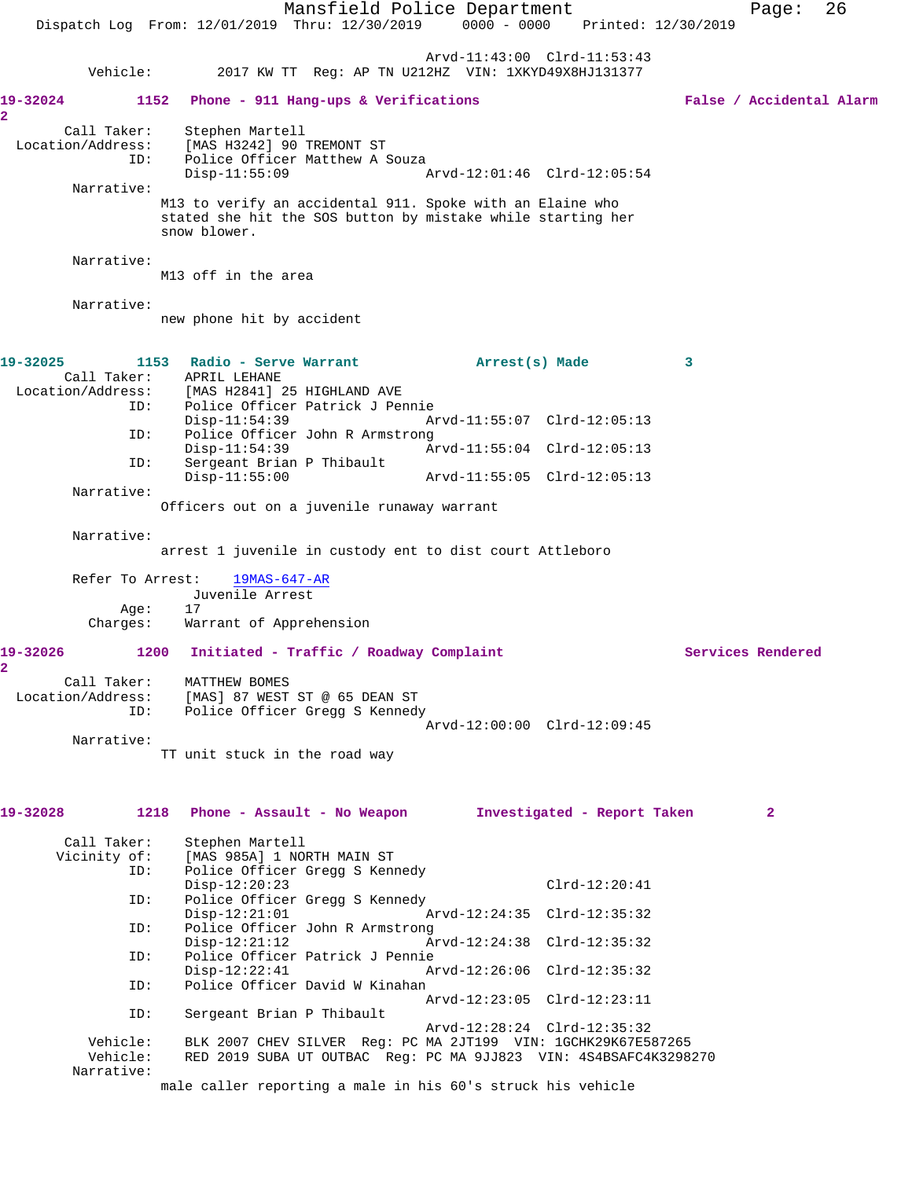|                                               | Mansfield Police Department<br>$0000 - 0000$<br>Dispatch Log From: 12/01/2019 Thru: 12/30/2019<br>Printed: 12/30/2019                                                                         | 26<br>Page:              |
|-----------------------------------------------|-----------------------------------------------------------------------------------------------------------------------------------------------------------------------------------------------|--------------------------|
| Vehicle:                                      | Arvd-11:43:00 Clrd-11:53:43<br>2017 KW TT Reg: AP TN U212HZ VIN: 1XKYD49X8HJ131377                                                                                                            |                          |
| 19-32024                                      | 1152 Phone - 911 Hang-ups & Verifications                                                                                                                                                     | False / Accidental Alarm |
| 2.<br>Call Taker:<br>Location/Address:<br>ID: | Stephen Martell<br>[MAS H3242] 90 TREMONT ST<br>Police Officer Matthew A Souza<br>$Disp-11:55:09$<br>Arvd-12:01:46 Clrd-12:05:54                                                              |                          |
| Narrative:                                    | M13 to verify an accidental 911. Spoke with an Elaine who<br>stated she hit the SOS button by mistake while starting her<br>snow blower.                                                      |                          |
| Narrative:                                    | M13 off in the area                                                                                                                                                                           |                          |
| Narrative:                                    | new phone hit by accident                                                                                                                                                                     |                          |
| 19-32025<br>Call Taker:                       | 1153 Radio - Serve Warrant<br>Arrest(s) Made<br>APRIL LEHANE<br>Location/Address: [MAS H2841] 25 HIGHLAND AVE                                                                                 | 3                        |
| ID:<br>ID:                                    | Police Officer Patrick J Pennie<br>$Disp-11:54:39$<br>Arvd-11:55:07 Clrd-12:05:13<br>Police Officer John R Armstrong                                                                          |                          |
| ID:                                           | $Disp-11:54:39$<br>Arvd-11:55:04 Clrd-12:05:13<br>Sergeant Brian P Thibault<br>$Disp-11:55:00$                                                                                                |                          |
| Narrative:                                    | Officers out on a juvenile runaway warrant                                                                                                                                                    |                          |
| Narrative:                                    | arrest 1 juvenile in custody ent to dist court Attleboro                                                                                                                                      |                          |
| Refer To Arrest:                              | 19MAS-647-AR                                                                                                                                                                                  |                          |
| Age:<br>Charges:                              | Juvenile Arrest<br>17<br>Warrant of Apprehension                                                                                                                                              |                          |
| 19-32026                                      | 1200 Initiated - Traffic / Roadway Complaint                                                                                                                                                  | Services Rendered        |
| 2<br>Call Taker:<br>Location/Address:<br>ID:  | MATTHEW BOMES<br>[MAS] 87 WEST ST @ 65 DEAN ST<br>Police Officer Gregg S Kennedy                                                                                                              |                          |
| Narrative:                                    | Arvd-12:00:00 Clrd-12:09:45<br>TT unit stuck in the road way                                                                                                                                  |                          |
| 19-32028                                      | 1218 Phone - Assault - No Weapon 1nvestigated - Report Taken                                                                                                                                  | 2                        |
| Call Taker:<br>Vicinity of:<br>ID:            | Stephen Martell<br>[MAS 985A] 1 NORTH MAIN ST<br>Police Officer Gregg S Kennedy                                                                                                               |                          |
| ID:                                           | $Disp-12:20:23$<br>$Clrd-12:20:41$<br>Police Officer Gregg S Kennedy<br>$Disp-12:21:01$<br>Arvd-12:24:35 Clrd-12:35:32                                                                        |                          |
| ID:                                           | Police Officer John R Armstrong<br>Arvd-12:24:38 Clrd-12:35:32<br>$Disp-12:21:12$                                                                                                             |                          |
| ID:                                           | Police Officer Patrick J Pennie<br>$Disp-12:22:41$<br>Arvd-12:26:06 Clrd-12:35:32                                                                                                             |                          |
| ID:                                           | Police Officer David W Kinahan<br>Arvd-12:23:05 Clrd-12:23:11                                                                                                                                 |                          |
| ID:<br>Vehicle:<br>Vehicle:                   | Sergeant Brian P Thibault<br>Arvd-12:28:24 Clrd-12:35:32<br>BLK 2007 CHEV SILVER Reg: PC MA 2JT199 VIN: 1GCHK29K67E587265<br>RED 2019 SUBA UT OUTBAC Req: PC MA 9JJ823 VIN: 4S4BSAFC4K3298270 |                          |
| Narrative:                                    | male caller reporting a male in his 60's struck his vehicle                                                                                                                                   |                          |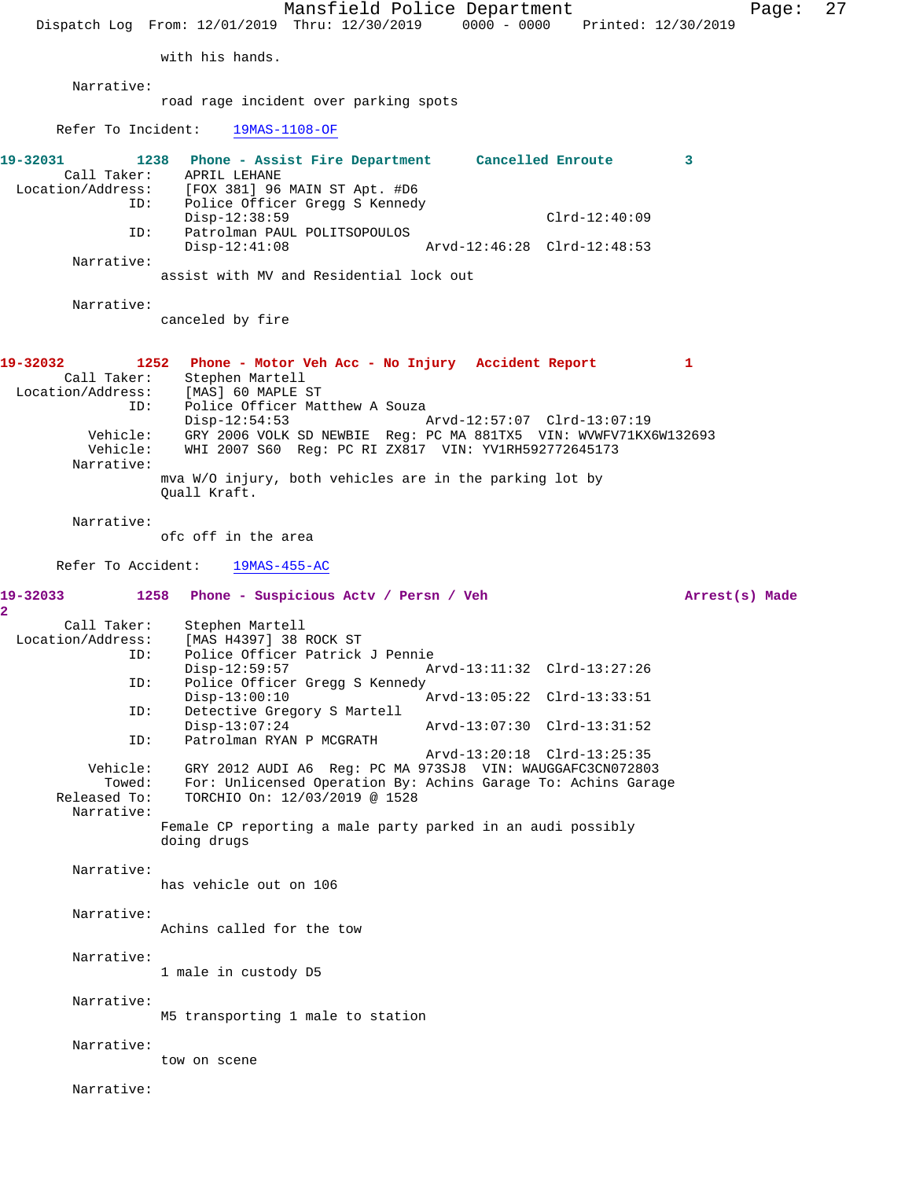Mansfield Police Department Page: 27 Dispatch Log From: 12/01/2019 Thru: 12/30/2019 0000 - 0000 Printed: 12/30/2019 with his hands. Narrative: road rage incident over parking spots Refer To Incident: 19MAS-1108-OF **19-32031 1238 Phone - Assist Fire Department Cancelled Enroute 3**  Call Taker: APRIL LEHANE Location/Address: [FOX 381] 96 MAIN ST Apt. #D6<br>ID: Police Officer Gregg S Kennedy Police Officer Gregg S Kennedy Disp-12:38:59 Clrd-12:40:09<br>ID: Patrolman PAUL POLITSOPOULOS Patrolman PAUL POLITSOPOULOS<br>Disp-12:41:08 Disp-12:41:08 Arvd-12:46:28 Clrd-12:48:53 Narrative: assist with MV and Residential lock out Narrative: canceled by fire **19-32032 1252 Phone - Motor Veh Acc - No Injury Accident Report 1**  Call Taker: Stephen Martell<br>ion/Address: [MAS] 60 MAPLE ST Location/Address: ID: Police Officer Matthew A Souza Disp-12:54:53 Arvd-12:57:07 Clrd-13:07:19 Vehicle: GRY 2006 VOLK SD NEWBIE Reg: PC MA 881TX5 VIN: WVWFV71KX6W132693 Vehicle: WHI 2007 S60 Reg: PC RI ZX817 VIN: YV1RH592772645173 Narrative: mva W/O injury, both vehicles are in the parking lot by Quall Kraft. Narrative: ofc off in the area Refer To Accident: 19MAS-455-AC **19-32033 1258 Phone - Suspicious Actv / Persn / Veh Arrest(s) Made 2**  Call Taker: Stephen Martell Location/Address: [MAS H4397] 38 ROCK ST ID: Police Officer Patrick J Pennie Disp-12:59:57 Arvd-13:11:32 Clrd-13:27:26<br>ID: Police Officer Gregg S Kennedy Police Officer Gregg S Kennedy<br>Disp-13:00:10 1 Disp-13:00:10 <br>
Detective Gregory S Martell<br>
Displacement of Arvd-13:05:22 Clrd-13:33:51 Detective Gregory S Martell<br>Disp-13:07:24 Disp-13:07:24 Arvd-13:07:30 Clrd-13:31:52 ID: Patrolman RYAN P MCGRATH Arvd-13:20:18 Clrd-13:25:35 Vehicle: GRY 2012 AUDI A6 Reg: PC MA 973SJ8 VIN: WAUGGAFC3CN072803 Towed: For: Unlicensed Operation By: Achins Garage To: Achins Garage Released To: TORCHIO On: 12/03/2019 @ 1528 Narrative: Female CP reporting a male party parked in an audi possibly doing drugs Narrative: has vehicle out on 106 Narrative: Achins called for the tow Narrative: 1 male in custody D5 Narrative: M5 transporting 1 male to station Narrative: tow on scene Narrative: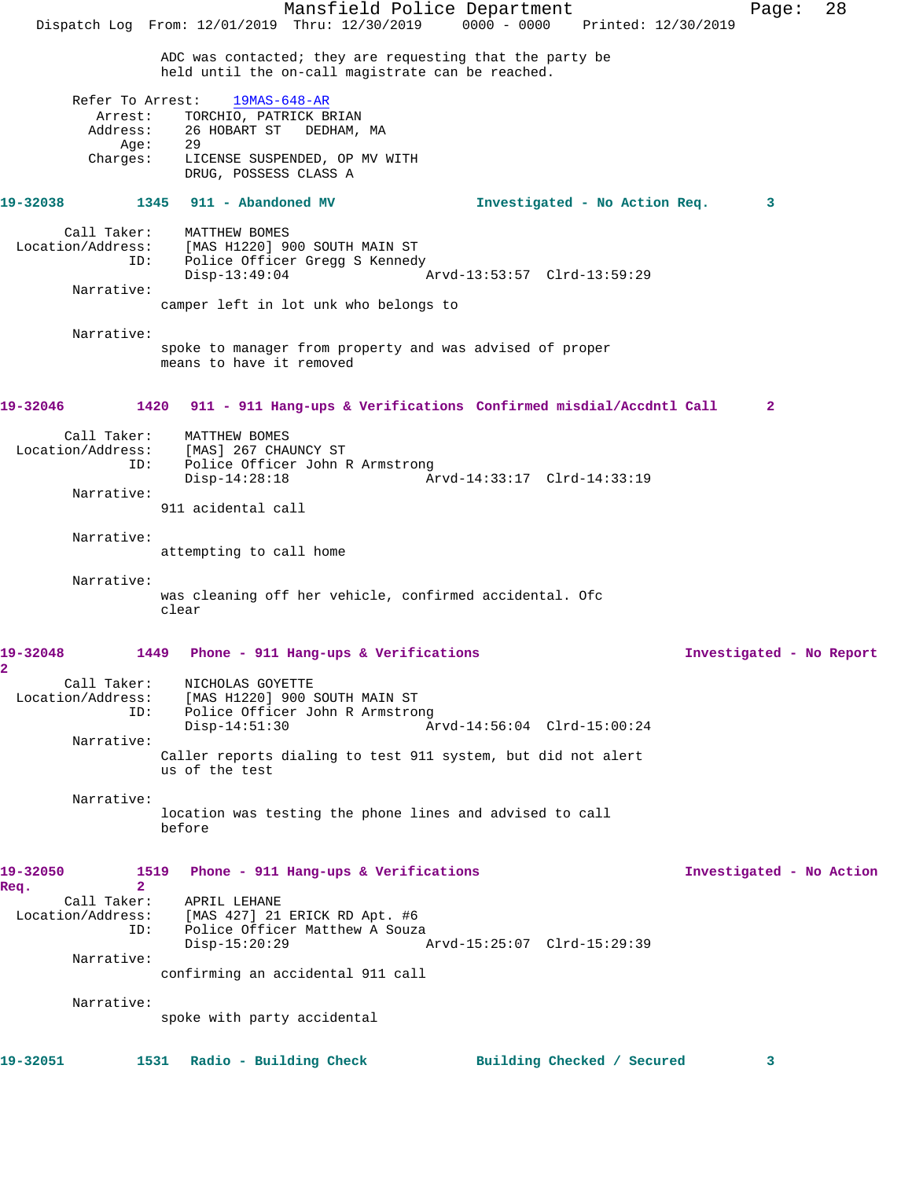Mansfield Police Department Page: 28 Dispatch Log From: 12/01/2019 Thru: 12/30/2019 0000 - 0000 Printed: 12/30/2019 ADC was contacted; they are requesting that the party be held until the on-call magistrate can be reached. Refer To Arrest: 19MAS-648-AR Arrest: TORCHIO, PATRICK BRIAN Address: 26 HOBART ST DEDHAM, MA Age: 29 Charges: LICENSE SUSPENDED, OP MV WITH DRUG, POSSESS CLASS A **19-32038 1345 911 - Abandoned MV Investigated - No Action Req. 3** Call Taker: MATTHEW BOMES<br>Location/Address: [MAS H1220] 9 [MAS H1220] 900 SOUTH MAIN ST ID: Police Officer Gregg S Kennedy<br>Disp-13:49:04 Disp-13:49:04 Arvd-13:53:57 Clrd-13:59:29 Narrative: camper left in lot unk who belongs to Narrative: spoke to manager from property and was advised of proper means to have it removed **19-32046 1420 911 - 911 Hang-ups & Verifications Confirmed misdial/Accdntl Call 2** Call Taker: MATTHEW BOMES Location/Address: [MAS] 267 CHAUNCY ST Police Officer John R Armstrong<br>Disp-14:28:18 A Disp-14:28:18 Arvd-14:33:17 Clrd-14:33:19 Narrative: 911 acidental call Narrative: attempting to call home Narrative: was cleaning off her vehicle, confirmed accidental. Ofc clear **19-32048 1449 Phone - 911 Hang-ups & Verifications Investigated - No Report 2**  Call Taker: NICHOLAS GOYETTE Location/Address: [MAS H1220] 900 SOUTH MAIN ST ID: Police Officer John R Armstrong Arvd-14:56:04 Clrd-15:00:24 Narrative: Caller reports dialing to test 911 system, but did not alert us of the test Narrative: location was testing the phone lines and advised to call before **19-32050 1519 Phone - 911 Hang-ups & Verifications Investigated - No Action Req. 2**  APRIL LEHANE Location/Address: [MAS 427] 21 ERICK RD Apt. #6<br>ID: Police Officer Matthew A Souza Police Officer Matthew A Souza Disp-15:20:29 Arvd-15:25:07 Clrd-15:29:39 Narrative: confirming an accidental 911 call Narrative: spoke with party accidental **19-32051 1531 Radio - Building Check Building Checked / Secured 3**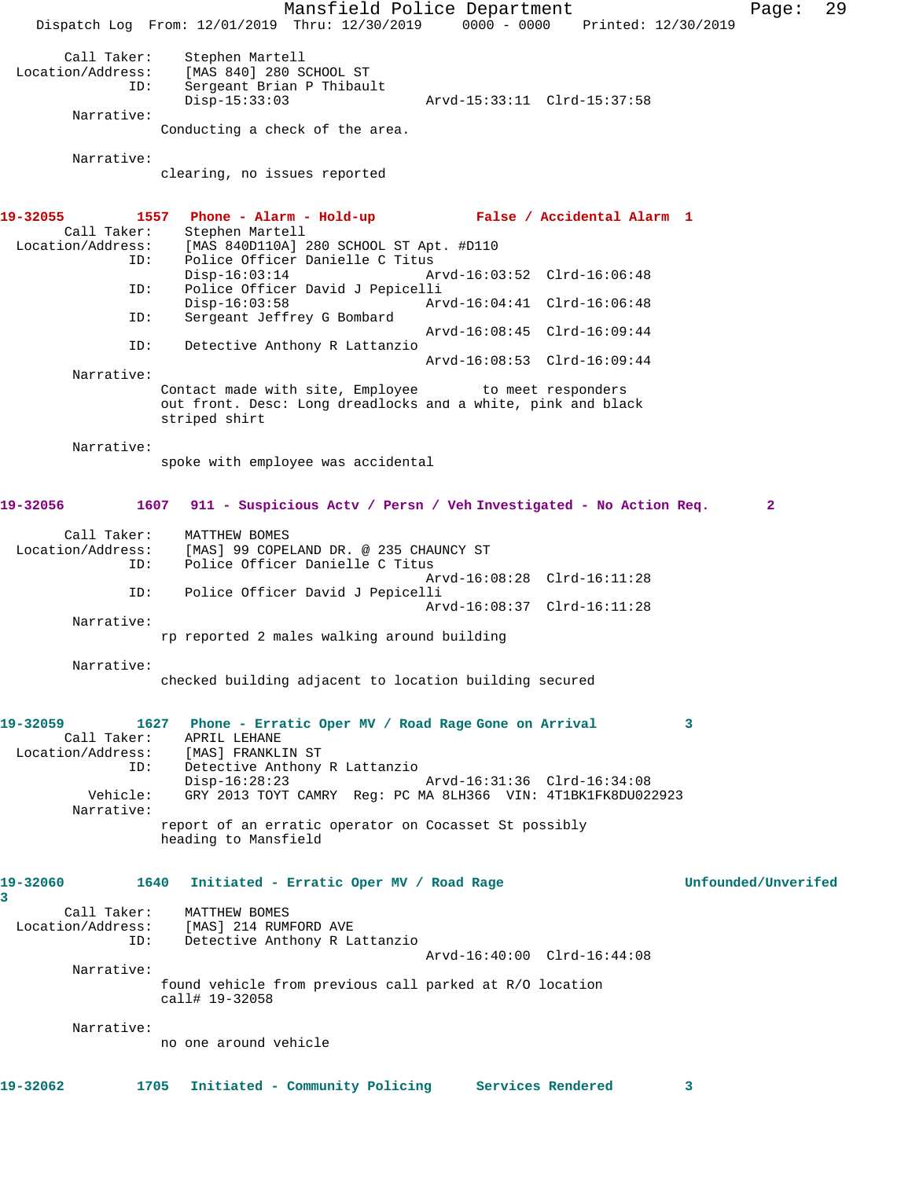Mansfield Police Department Page: 29 Dispatch Log From: 12/01/2019 Thru: 12/30/2019 0000 - 0000 Printed: 12/30/2019 Call Taker: Stephen Martell<br>Location/Address: [MAS 840] 280 S [MAS 840] 280 SCHOOL ST ID: Sergeant Brian P Thibault Disp-15:33:03 Arvd-15:33:11 Clrd-15:37:58 Narrative: Conducting a check of the area. Narrative: clearing, no issues reported **19-32055 1557 Phone - Alarm - Hold-up False / Accidental Alarm 1**  Call Taker: Stephen Martell Location/Address: [MAS 840D110A] 280 SCHOOL ST Apt. #D110 Police Officer Danielle C Titus<br>Disp-16:03:14 Am Arvd-16:03:52 Clrd-16:06:48 ID: Police Officer David J Pepicelli Disp-16:03:58 Arvd-16:04:41 Clrd-16:06:48<br>ID: Sergeant Jeffrey G Bombard Sergeant Jeffrey G Bombard Arvd-16:08:45 Clrd-16:09:44<br>ID: Detective Anthony R Lattanzio Detective Anthony R Lattanzio Arvd-16:08:53 Clrd-16:09:44 Narrative: Contact made with site, Employee to meet responders out front. Desc: Long dreadlocks and a white, pink and black striped shirt Narrative: spoke with employee was accidental **19-32056 1607 911 - Suspicious Actv / Persn / Veh Investigated - No Action Req. 2** Call Taker: MATTHEW BOMES<br>Location/Address: [MAS] 99 COPE] [MAS] 99 COPELAND DR. @ 235 CHAUNCY ST ID: Police Officer Danielle C Titus Arvd-16:08:28 Clrd-16:11:28 ID: Police Officer David J Pepicelli Arvd-16:08:37 Clrd-16:11:28 Narrative: rp reported 2 males walking around building Narrative: checked building adjacent to location building secured **19-32059 1627 Phone - Erratic Oper MV / Road Rage Gone on Arrival 3**  Call Taker: APRIL LEHANE Location/Address: [MAS] FRANKLIN ST ID: Detective Anthony R Lattanzio Disp-16:28:23 Arvd-16:31:36 Clrd-16:34:08 Vehicle: GRY 2013 TOYT CAMRY Reg: PC MA 8LH366 VIN: 4T1BK1FK8DU022923 Narrative: report of an erratic operator on Cocasset St possibly heading to Mansfield **19-32060 1640 Initiated - Erratic Oper MV / Road Rage Unfounded/Unverifed 3**  Call Taker: MATTHEW BOMES<br>Location/Address: [MAS] 214 RUM [MAS] 214 RUMFORD AVE ID: Detective Anthony R Lattanzio Arvd-16:40:00 Clrd-16:44:08 Narrative: found vehicle from previous call parked at R/O location call# 19-32058 Narrative: no one around vehicle **19-32062 1705 Initiated - Community Policing Services Rendered 3**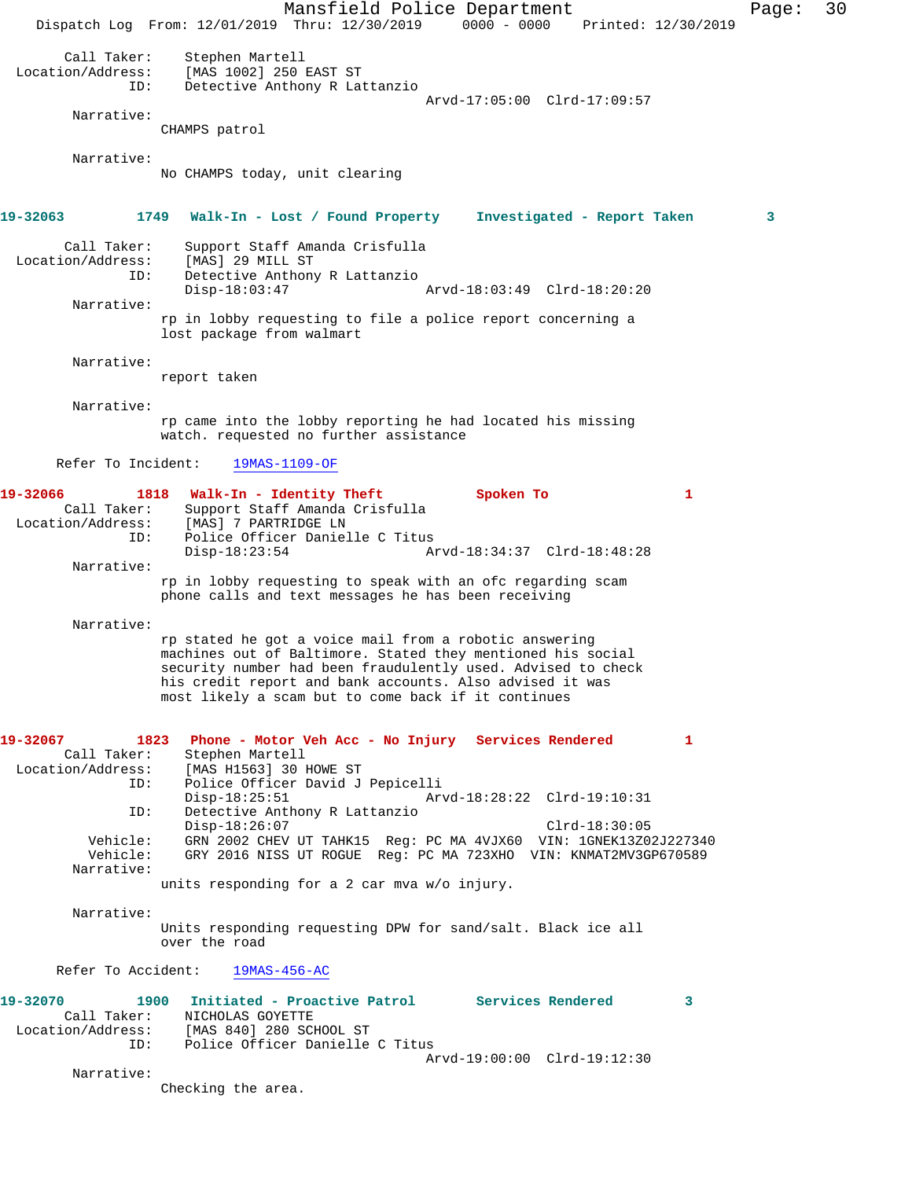Mansfield Police Department Page: 30 Dispatch Log From: 12/01/2019 Thru: 12/30/2019 0000 - 0000 Printed: 12/30/2019 Call Taker: Stephen Martell<br>Location/Address: [MAS 1002] 250 : ess: [MAS 1002] 250 EAST ST<br>ID: Detective Anthony R Lat Detective Anthony R Lattanzio Arvd-17:05:00 Clrd-17:09:57 Narrative: CHAMPS patrol Narrative: No CHAMPS today, unit clearing **19-32063 1749 Walk-In - Lost / Found Property Investigated - Report Taken 3** Call Taker: Support Staff Amanda Crisfulla Location/Address: [MAS] 29 MILL ST<br>ID: Detective Anthon Detective Anthony R Lattanzio Disp-18:03:47 Arvd-18:03:49 Clrd-18:20:20 Narrative: rp in lobby requesting to file a police report concerning a lost package from walmart Narrative: report taken Narrative: rp came into the lobby reporting he had located his missing watch. requested no further assistance Refer To Incident: 19MAS-1109-OF 19-32066 1818 Walk-In - Identity Theft Spoken To 1 Call Taker: Support Staff Amanda Crisfulla<br>Location/Address: [MAS] 7 PARTRIDGE LN [MAS] 7 PARTRIDGE LN ID: Police Officer Danielle C Titus Disp-18:23:54 Arvd-18:34:37 Clrd-18:48:28 Narrative: rp in lobby requesting to speak with an ofc regarding scam phone calls and text messages he has been receiving Narrative: rp stated he got a voice mail from a robotic answering machines out of Baltimore. Stated they mentioned his social security number had been fraudulently used. Advised to check his credit report and bank accounts. Also advised it was most likely a scam but to come back if it continues **19-32067 1823 Phone - Motor Veh Acc - No Injury Services Rendered 1**  Call Taker: Stephen Martell<br>Location/Address: [MAS H1563] 30 1 [MAS H1563] 30 HOWE ST ID: Police Officer David J Pepicelli Disp-18:25:51 Arvd-18:28:22 Clrd-19:10:31 ID: Detective Anthony R Lattanzio Disp-18:26:07 Clrd-18:30:05<br>Vehicle: GRN 2002 CHEV UT TAHK15 Req: PC MA 4VJX60 VIN: 1GNEK13Z0 Vehicle: GRN 2002 CHEV UT TAHK15 Reg: PC MA 4VJX60 VIN: 1GNEK13Z02J227340 Vehicle: GRY 2016 NISS UT ROGUE Reg: PC MA 723XHO VIN: KNMAT2MV3GP670589 Narrative: units responding for a 2 car mva w/o injury. Narrative: Units responding requesting DPW for sand/salt. Black ice all over the road Refer To Accident: 19MAS-456-AC **19-32070 1900 Initiated - Proactive Patrol Services Rendered 3**  Call Taker: NICHOLAS GOYETTE<br>Location/Address: [MAS 840] 280 SCH صححت المسجدة المحمد بن المحمدة .<br>State 8840] 280 SCHOOL ST:<br>TD: Police Officer Danielle Police Officer Danielle C Titus Arvd-19:00:00 Clrd-19:12:30 Narrative: Checking the area.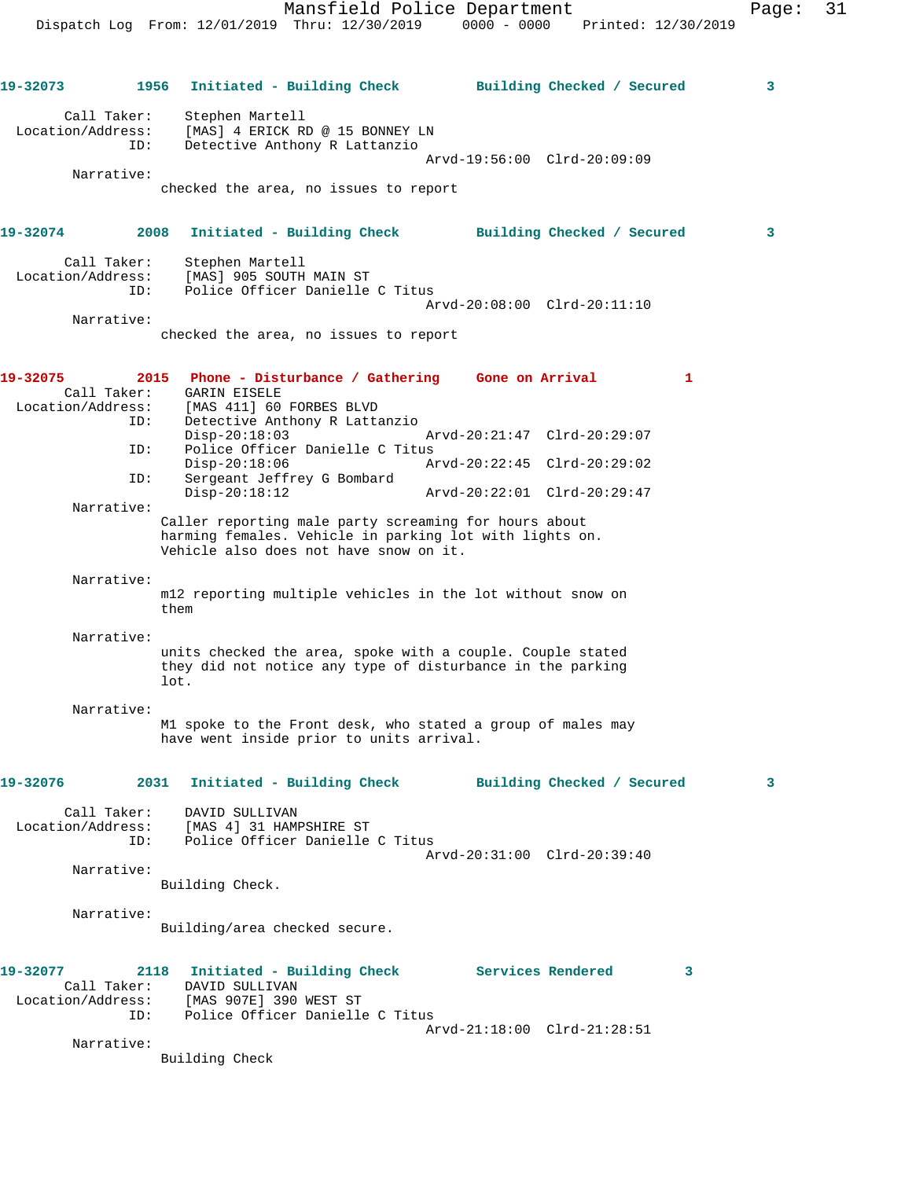Dispatch Log From: 12/01/2019 Thru: 12/30/2019 0000 - 0000 Printed: 12/30/2019 **19-32073 1956 Initiated - Building Check Building Checked / Secured 3** Call Taker: Stephen Martell Location/Address: [MAS] 4 ERICK RD @ 15 BONNEY LN ID: Detective Anthony R Lattanzio Arvd-19:56:00 Clrd-20:09:09 Narrative: checked the area, no issues to report **19-32074 2008 Initiated - Building Check Building Checked / Secured 3** Call Taker: Stephen Martell Location/Address: [MAS] 905 SOUTH MAIN ST ID: Police Officer Danielle C Titus Arvd-20:08:00 Clrd-20:11:10 Narrative: checked the area, no issues to report **19-32075 2015 Phone - Disturbance / Gathering Gone on Arrival 1**  Call Taker: GARIN EISELE Location/Address: [MAS 411] 60 FORBES BLVD ID: Detective Anthony R Lattanzio Disp-20:18:03 Arvd-20:21:47 Clrd-20:29:07 ID: Police Officer Danielle C Titus Disp-20:18:06 Arvd-20:22:45 Clrd-20:29:02 ID: Sergeant Jeffrey G Bombard Disp-20:18:12 Arvd-20:22:01 Clrd-20:29:47 Narrative: Caller reporting male party screaming for hours about harming females. Vehicle in parking lot with lights on. Vehicle also does not have snow on it. Narrative: m12 reporting multiple vehicles in the lot without snow on them Narrative: units checked the area, spoke with a couple. Couple stated they did not notice any type of disturbance in the parking lot. Narrative: M1 spoke to the Front desk, who stated a group of males may have went inside prior to units arrival. **19-32076 2031 Initiated - Building Check Building Checked / Secured 3** Call Taker: DAVID SULLIVAN Location/Address: [MAS 4] 31 HAMPSHIRE ST ID: Police Officer Danielle C Titus Arvd-20:31:00 Clrd-20:39:40 Narrative: Building Check. Narrative: Building/area checked secure. **19-32077 2118 Initiated - Building Check Services Rendered 3**  Call Taker: DAVID SULLIVAN Location/Address: [MAS 907E] 390 WEST ST ID: Police Officer Danielle C Titus Arvd-21:18:00 Clrd-21:28:51 Narrative:

Mansfield Police Department Page: 31

Building Check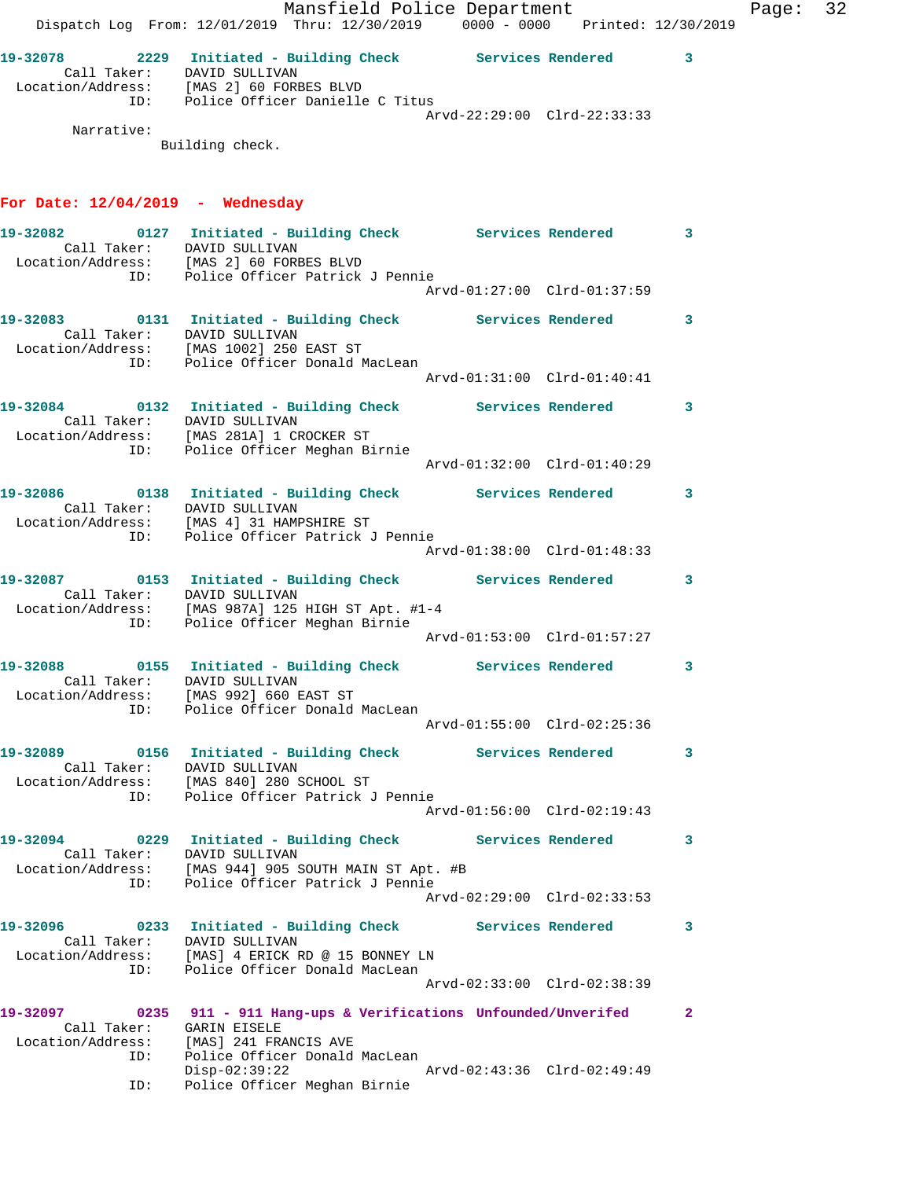Arvd-22:29:00 Clrd-22:33:33

 Narrative: Building check.

ID: Police Officer Danielle C Titus

## **For Date: 12/04/2019 - Wednesday**

| Call Taker: DAVID SULLIVAN                                            | 19-32082 		 0127 Initiated - Building Check Services Rendered 3                                                                                     |              |
|-----------------------------------------------------------------------|-----------------------------------------------------------------------------------------------------------------------------------------------------|--------------|
|                                                                       | Location/Address: [MAS 2] 60 FORBES BLVD<br>ID: Police Officer Patrick J Pennie                                                                     |              |
|                                                                       | 19-32083 0131 Initiated - Building Check Services Rendered 3<br>Call Taker: DAVID SULLIVAN<br>Location/Address: [MAS 1002] 250 EAST ST              |              |
| ID:                                                                   | Police Officer Donald MacLean                                                                                                                       |              |
| Call Taker: DAVID SULLIVAN                                            | 19-32084 0132 Initiated - Building Check Services Rendered 3<br>Location/Address: [MAS 281A] 1 CROCKER ST                                           |              |
| ID:                                                                   | Police Officer Meghan Birnie<br>Arvd-01:32:00 Clrd-01:40:29                                                                                         |              |
|                                                                       | 19-32086   0138   Initiated - Building Check   Services Rendered   3<br>Call Taker: DAVID SULLIVAN                                                  |              |
|                                                                       | Location/Address: [MAS 4] 31 HAMPSHIRE ST<br>ID: Police Officer Patrick J Pennie                                                                    |              |
|                                                                       | 19-32087 		 0153 Initiated - Building Check Services Rendered 3<br>Call Taker: DAVID SULLIVAN<br>Location/Address: [MAS 987A] 125 HIGH ST Apt. #1-4 |              |
|                                                                       | ID: Police Officer Meghan Birnie                                                                                                                    |              |
| Call Taker: DAVID SULLIVAN<br>Location/Address: [MAS 992] 660 EAST ST | 19-32088 		 0155 Initiated - Building Check Services Rendered 3                                                                                     |              |
| ID:                                                                   | Police Officer Donald MacLean                                                                                                                       |              |
| Call Taker: DAVID SULLIVAN                                            | 19-32089 0156 Initiated - Building Check Services Rendered 3<br>Location/Address: [MAS 840] 280 SCHOOL ST                                           |              |
|                                                                       | ID: Police Officer Patrick J Pennie<br>Arvd-01:56:00 Clrd-02:19:43                                                                                  |              |
| Call Taker: DAVID SULLIVAN                                            | 19-32094 0229 Initiated - Building Check Services Rendered 3                                                                                        |              |
|                                                                       | Location/Address: [MAS 944] 905 SOUTH MAIN ST Apt. #B<br>ID: Police Officer Patrick J Pennie<br>Arvd-02:29:00 Clrd-02:33:53                         |              |
| 19-32096<br>0233<br>Call Taker:<br>Location/Address:                  | <b>Services Rendered</b><br>Initiated - Building Check<br>DAVID SULLIVAN<br>[MAS] 4 ERICK RD @ 15 BONNEY LN                                         | 3            |
| ID:                                                                   | Police Officer Donald MacLean<br>Arvd-02:33:00 Clrd-02:38:39                                                                                        |              |
| 19-32097<br>0235<br>Call Taker:                                       | 911 - 911 Hang-ups & Verifications Unfounded/Unverifed<br>GARIN EISELE                                                                              | $\mathbf{2}$ |
| Location/Address:<br>ID:<br>ID:                                       | [MAS] 241 FRANCIS AVE<br>Police Officer Donald MacLean<br>$Disp-02:39:22$<br>Arvd-02:43:36 Clrd-02:49:49<br>Police Officer Meghan Birnie            |              |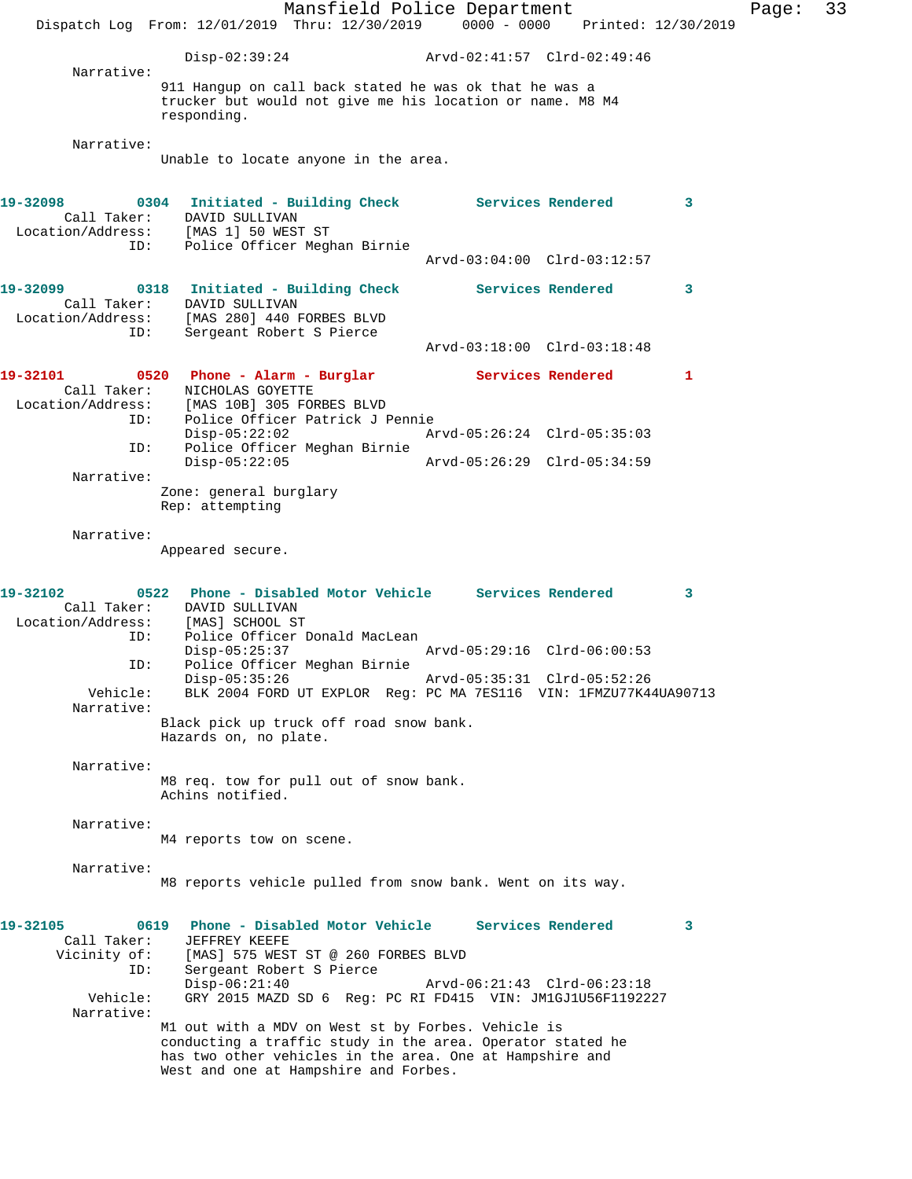Mansfield Police Department Page: 33 Dispatch Log From: 12/01/2019 Thru: 12/30/2019 0000 - 0000 Printed: 12/30/2019 Disp-02:39:24 Arvd-02:41:57 Clrd-02:49:46 Narrative: 911 Hangup on call back stated he was ok that he was a trucker but would not give me his location or name. M8 M4 responding. Narrative: Unable to locate anyone in the area. **19-32098 0304 Initiated - Building Check Services Rendered 3**  Call Taker: DAVID SULLIVAN Location/Address: [MAS 1] 50 WEST ST ID: Police Officer Meghan Birnie Arvd-03:04:00 Clrd-03:12:57 **19-32099 0318 Initiated - Building Check Services Rendered 3**  Call Taker: DAVID SULLIVAN Location/Address: [MAS 280] 440 FORBES BLVD ID: Sergeant Robert S Pierce Arvd-03:18:00 Clrd-03:18:48 **19-32101 0520 Phone - Alarm - Burglar Services Rendered 1**  Call Taker: NICHOLAS GOYETTE Location/Address: [MAS 10B] 305 FORBES BLVD ID: Police Officer Patrick J Pennie Disp-05:22:02 Arvd-05:26:24 Clrd-05:35:03 Police Officer Meghan Birnie<br>Disp-05:22:05 Disp-05:22:05 Arvd-05:26:29 Clrd-05:34:59 Narrative: Zone: general burglary Rep: attempting Narrative: Appeared secure. **19-32102 0522 Phone - Disabled Motor Vehicle Services Rendered 3**  Call Taker: DAVID SULLIVAN Location/Address: [MAS] SCHOOL ST<br>TD: Police Officer I Police Officer Donald MacLean<br>Disp-05:25:37 Arvd-05:29:16 Clrd-06:00:53 ID: Police Officer Meghan Birnie Disp-05:35:26 Arvd-05:35:31 Clrd-05:52:26<br>Vehicle: BLK 2004 FORD UT EXPLOR Req: PC MA 7ES116 VIN: 1FMZU77K4 Vehicle: BLK 2004 FORD UT EXPLOR Reg: PC MA 7ES116 VIN: 1FMZU77K44UA90713 Narrative: Black pick up truck off road snow bank. Hazards on, no plate. Narrative: M8 req. tow for pull out of snow bank. Achins notified. Narrative: M4 reports tow on scene. Narrative: M8 reports vehicle pulled from snow bank. Went on its way. **19-32105 0619 Phone - Disabled Motor Vehicle Services Rendered 3**  Call Taker:<br>Vicinity of: [MAS] 575 WEST ST @ 260 FORBES BLVD ID: Sergeant Robert S Pierce<br>Disp-06:21:40 Disp-06:21:40 Arvd-06:21:43 Clrd-06:23:18<br>Vehicle: GRY 2015 MAZD SD 6 Req: PC RI FD415 VIN: JM1GJ1U56F11922 GRY 2015 MAZD SD 6 Reg: PC RI FD415 VIN: JM1GJ1U56F1192227 Narrative: M1 out with a MDV on West st by Forbes. Vehicle is conducting a traffic study in the area. Operator stated he has two other vehicles in the area. One at Hampshire and West and one at Hampshire and Forbes.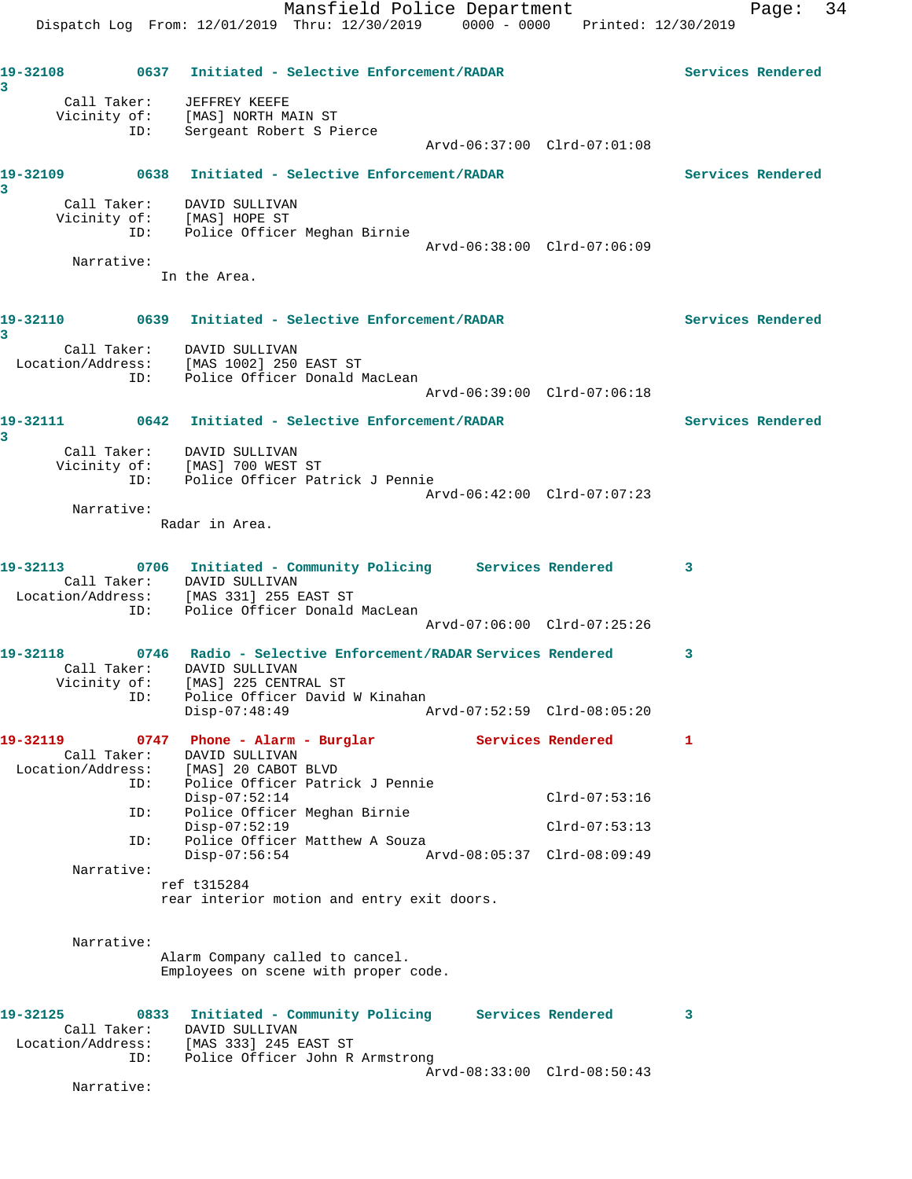**19-32108 0637 Initiated - Selective Enforcement/RADAR Services Rendered 3**  Call Taker: JEFFREY KEEFE Vicinity of: [MAS] NORTH MAIN ST ID: Sergeant Robert S Pierce Arvd-06:37:00 Clrd-07:01:08 **19-32109 0638 Initiated - Selective Enforcement/RADAR Services Rendered 3**  Call Taker: DAVID SULLIVAN Vicinity of: [MAS] HOPE ST ID: Police Officer Meghan Birnie Arvd-06:38:00 Clrd-07:06:09 Narrative: In the Area. **19-32110 0639 Initiated - Selective Enforcement/RADAR Services Rendered 3**  Call Taker: DAVID SULLIVAN Location/Address: [MAS 1002] 250 EAST ST ID: Police Officer Donald MacLean Arvd-06:39:00 Clrd-07:06:18 **19-32111 0642 Initiated - Selective Enforcement/RADAR Services Rendered 3**  Call Taker: DAVID SULLIVAN Vicinity of: [MAS] 700 WEST ST ID: Police Officer Patrick J Pennie Arvd-06:42:00 Clrd-07:07:23 Narrative: Radar in Area. **19-32113 0706 Initiated - Community Policing Services Rendered 3**  Call Taker: DAVID SULLIVAN Location/Address: [MAS 331] 255 EAST ST ID: Police Officer Donald MacLean Arvd-07:06:00 Clrd-07:25:26 **19-32118 0746 Radio - Selective Enforcement/RADAR Services Rendered 3**  Call Taker: DAVID SULLIVAN Vicinity of: [MAS] 225 CENTRAL ST ID: Police Officer David W Kinahan Disp-07:48:49 Arvd-07:52:59 Clrd-08:05:20 19-32119 **19-32119** 0747 Phone - Alarm - Burglar **Services Rendered** 1 Call Taker: DAVID SULLIVAN Location/Address: [MAS] 20 CABOT BLVD ID: Police Officer Patrick J Pennie Disp-07:52:14 Clrd-07:53:16 ID: Police Officer Meghan Birnie Disp-07:52:19 Clrd-07:53:13 ID: Police Officer Matthew A Souza Disp-07:56:54 Arvd-08:05:37 Clrd-08:09:49 Narrative: ref t315284 rear interior motion and entry exit doors. Narrative: Alarm Company called to cancel. Employees on scene with proper code. **19-32125 0833 Initiated - Community Policing Services Rendered 3**  Call Taker: DAVID SULLIVAN Location/Address: [MAS 333] 245 EAST ST ID: Police Officer John R Armstrong Arvd-08:33:00 Clrd-08:50:43

Narrative: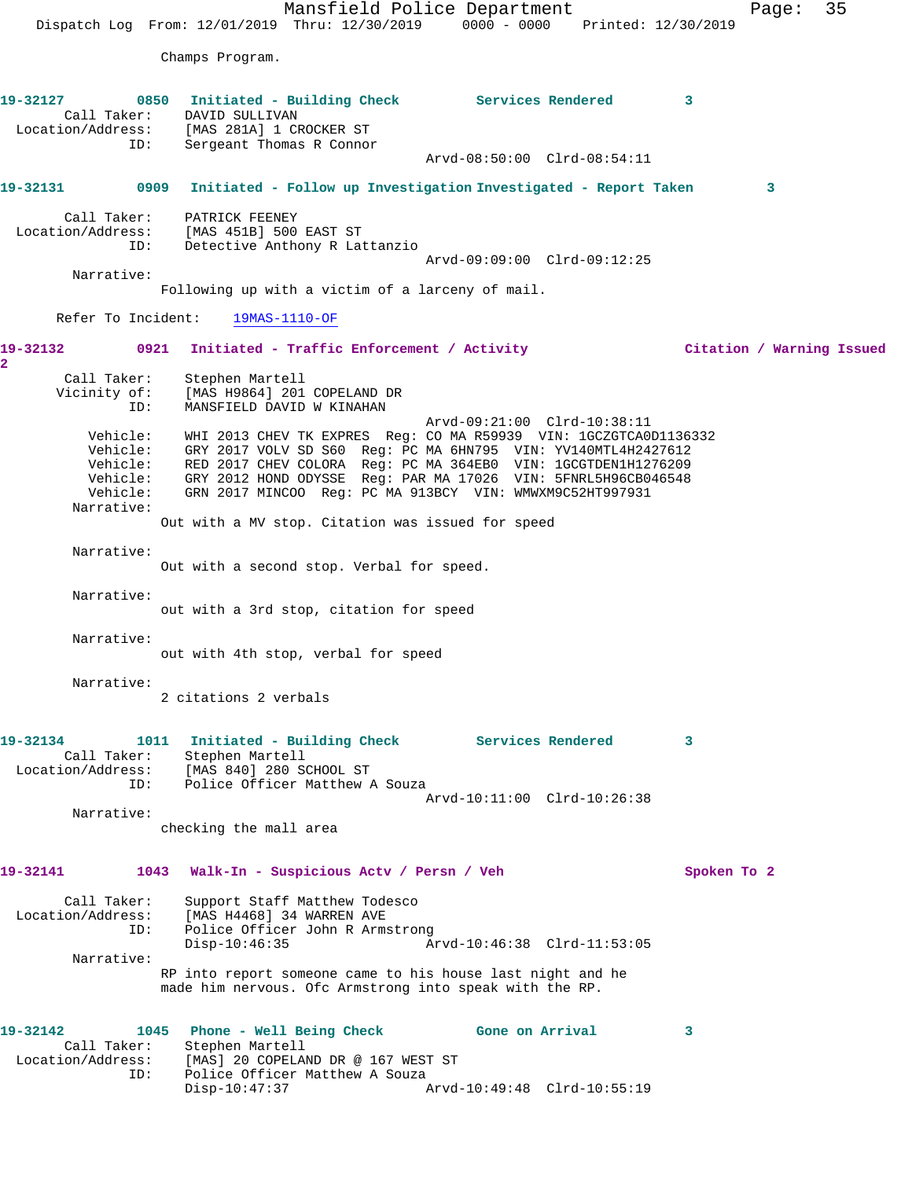Mansfield Police Department Fage: 35 Dispatch Log From: 12/01/2019 Thru: 12/30/2019 0000 - 0000 Printed: 12/30/2019 Champs Program. **19-32127 0850 Initiated - Building Check Services Rendered 3**  Call Taker: DAVID SULLIVAN Location/Address: [MAS 281A] 1 CROCKER ST ID: Sergeant Thomas R Connor Arvd-08:50:00 Clrd-08:54:11 **19-32131 0909 Initiated - Follow up Investigation Investigated - Report Taken 3** Call Taker: PATRICK FEENEY Location/Address: [MAS 451B] 500 EAST ST ID: Detective Anthony R Lattanzio Arvd-09:09:00 Clrd-09:12:25 Narrative: Following up with a victim of a larceny of mail. Refer To Incident: 19MAS-1110-OF **19-32132 0921 Initiated - Traffic Enforcement / Activity Citation / Warning Issued 2**  Call Taker: Stephen Martell Vicinity of: [MAS H9864] 201 COPELAND DR ID: MANSFIELD DAVID W KINAHAN Arvd-09:21:00 Clrd-10:38:11 Vehicle: WHI 2013 CHEV TK EXPRES Reg: CO MA R59939 VIN: 1GCZGTCA0D1136332 Vehicle: GRY 2017 VOLV SD S60 Reg: PC MA 6HN795 VIN: YV140MTL4H2427612 Vehicle: RED 2017 CHEV COLORA Reg: PC MA 364EB0 VIN: 1GCGTDEN1H1276209 Vehicle: GRY 2012 HOND ODYSSE Reg: PAR MA 17026 VIN: 5FNRL5H96CB046548 Vehicle: GRN 2017 MINCOO Reg: PC MA 913BCY VIN: WMWXM9C52HT997931 Narrative: Out with a MV stop. Citation was issued for speed Narrative: Out with a second stop. Verbal for speed. Narrative: out with a 3rd stop, citation for speed Narrative: out with 4th stop, verbal for speed Narrative: 2 citations 2 verbals **19-32134 1011 Initiated - Building Check Services Rendered 3**  Call Taker: Stephen Martell Location/Address: [MAS 840] 280 SCHOOL ST ID: Police Officer Matthew A Souza Arvd-10:11:00 Clrd-10:26:38 Narrative: checking the mall area **19-32141 1043 Walk-In - Suspicious Actv / Persn / Veh Spoken To 2** Call Taker: Support Staff Matthew Todesco Location/Address: [MAS H4468] 34 WARREN AVE ID: Police Officer John R Armstrong Disp-10:46:35 Arvd-10:46:38 Clrd-11:53:05 Narrative: RP into report someone came to his house last night and he made him nervous. Ofc Armstrong into speak with the RP. **19-32142 1045 Phone - Well Being Check Gone on Arrival 3**  Call Taker: Stephen Martell Location/Address: [MAS] 20 COPELAND DR @ 167 WEST ST ID: Police Officer Matthew A Souza<br>Disp-10:47:37 A Disp-10:47:37 Arvd-10:49:48 Clrd-10:55:19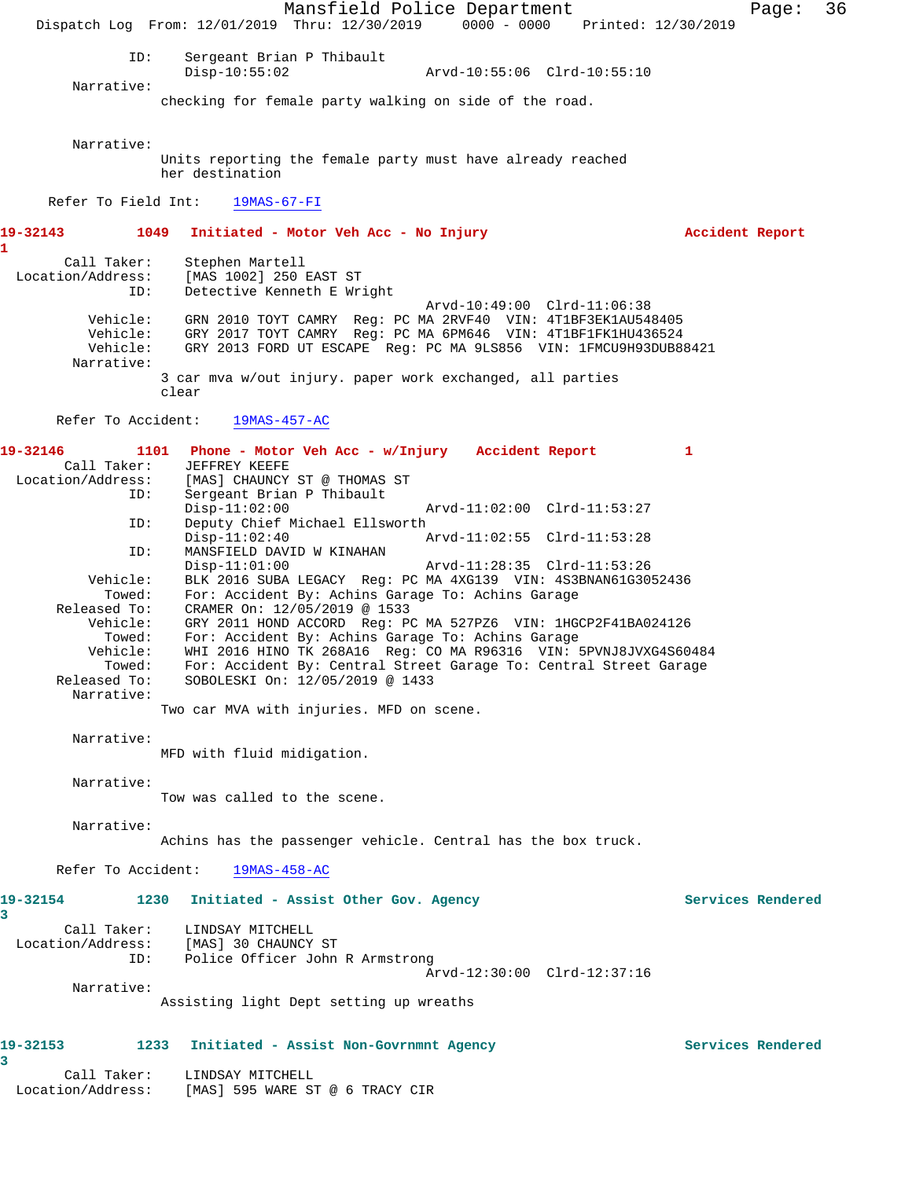Mansfield Police Department Fage: 36 Dispatch Log From: 12/01/2019 Thru: 12/30/2019 0000 - 0000 Printed: 12/30/2019 ID: Sergeant Brian P Thibault Disp-10:55:02 Arvd-10:55:06 Clrd-10:55:10 Narrative: checking for female party walking on side of the road. Narrative: Units reporting the female party must have already reached her destination Refer To Field Int: 19MAS-67-FI **19-32143 1049 Initiated - Motor Veh Acc - No Injury Accident Report 1**  Call Taker: Stephen Martell Location/Address: [MAS 1002] 250 EAST ST Detective Kenneth E Wright Arvd-10:49:00 Clrd-11:06:38 Vehicle: GRN 2010 TOYT CAMRY Reg: PC MA 2RVF40 VIN: 4T1BF3EK1AU548405 Vehicle: GRY 2017 TOYT CAMRY Reg: PC MA 6PM646 VIN: 4T1BF1FK1HU436524 Vehicle: GRY 2013 FORD UT ESCAPE Reg: PC MA 9LS856 VIN: 1FMCU9H93DUB88421 Narrative: 3 car mva w/out injury. paper work exchanged, all parties clear Refer To Accident: 19MAS-457-AC **19-32146 1101 Phone - Motor Veh Acc - w/Injury Accident Report 1**  Call Taker: JEFFREY KEEFE<br>Location/Address: [MAS] CHAUNCY [MAS] CHAUNCY ST @ THOMAS ST ID: Sergeant Brian P Thibault Disp-11:02:00 Arvd-11:02:00 Clrd-11:53:27 ID: Deputy Chief Michael Ellsworth Disp-11:02:40 Arvd-11:02:55 Clrd-11:53:28 ID: MANSFIELD DAVID W KINAHAN<br>Disp-11:01:00 Disp-11:01:00 Arvd-11:28:35 Clrd-11:53:26<br>Vehicle: BLK 2016 SUBA LEGACY Reg: PC MA 4XG139 VIN: 4S3BNAN61G30 BLK 2016 SUBA LEGACY Reg: PC MA 4XG139 VIN: 4S3BNAN61G3052436 Towed: For: Accident By: Achins Garage To: Achins Garage Released To: CRAMER On: 12/05/2019 @ 1533 Vehicle: GRY 2011 HOND ACCORD Reg: PC MA 527PZ6 VIN: 1HGCP2F41BA024126 Towed: For: Accident By: Achins Garage To: Achins Garage Vehicle: WHI 2016 HINO TK 268A16 Reg: CO MA R96316 VIN: 5PVNJ8JVXG4S60484 Towed: For: Accident By: Central Street Garage To: Central Street Garage Released To: SOBOLESKI On: 12/05/2019 @ 1433 Narrative: Two car MVA with injuries. MFD on scene. Narrative: MFD with fluid midigation. Narrative: Tow was called to the scene. Narrative: Achins has the passenger vehicle. Central has the box truck. Refer To Accident: 19MAS-458-AC **19-32154 1230 Initiated - Assist Other Gov. Agency Services Rendered 3**  Call Taker: LINDSAY MITCHELL Location/Address: [MAS] 30 CHAUNCY ST<br>ID: Police Officer John Police Officer John R Armstrong Arvd-12:30:00 Clrd-12:37:16 Narrative: Assisting light Dept setting up wreaths **19-32153 1233 Initiated - Assist Non-Govrnmnt Agency Services Rendered 3**  Call Taker: LINDSAY MITCHELL Location/Address: [MAS] 595 WARE ST @ 6 TRACY CIR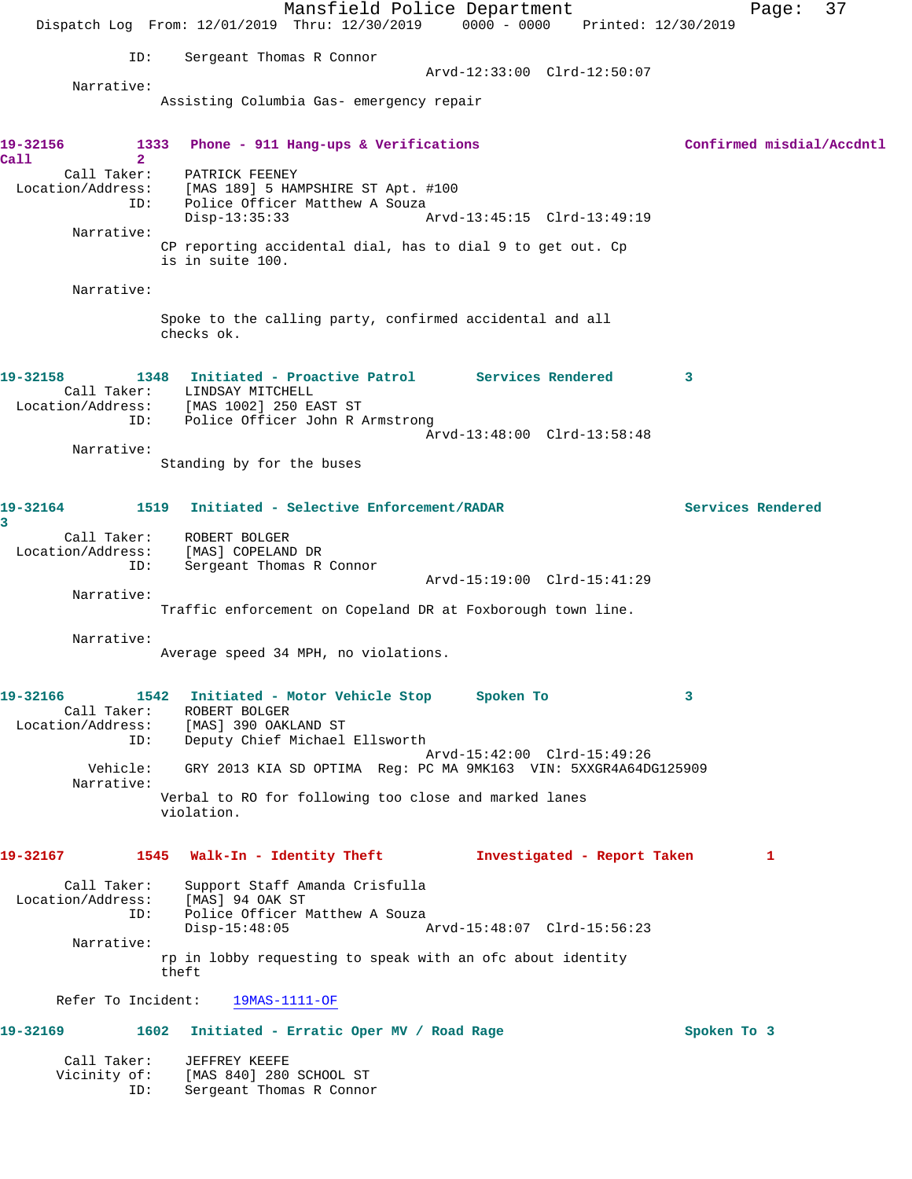Mansfield Police Department Fage: 37 Dispatch Log From: 12/01/2019 Thru: 12/30/2019 0000 - 0000 Printed: 12/30/2019 ID: Sergeant Thomas R Connor Arvd-12:33:00 Clrd-12:50:07 Narrative: Assisting Columbia Gas- emergency repair **19-32156 1333 Phone - 911 Hang-ups & Verifications Confirmed misdial/Accdntl Call 2**  Call Taker: PATRICK FEENEY Location/Address: [MAS 189] 5 HAMPSHIRE ST Apt. #100 ID: Police Officer Matthew A Souza Disp-13:35:33 Arvd-13:45:15 Clrd-13:49:19 Narrative: CP reporting accidental dial, has to dial 9 to get out. Cp is in suite 100. Narrative: Spoke to the calling party, confirmed accidental and all checks ok. **19-32158 1348 Initiated - Proactive Patrol Services Rendered 3**  Call Taker: LINDSAY MITCHELL Location/Address: [MAS 1002] 250 EAST ST ID: Police Officer John R Armstrong Arvd-13:48:00 Clrd-13:58:48 Narrative: Standing by for the buses **19-32164 1519 Initiated - Selective Enforcement/RADAR Services Rendered 3**  Call Taker: ROBERT BOLGER Location/Address: [MAS] COPELAND DR ID: Sergeant Thomas R Connor Arvd-15:19:00 Clrd-15:41:29 Narrative: Traffic enforcement on Copeland DR at Foxborough town line. Narrative: Average speed 34 MPH, no violations. **19-32166 1542 Initiated - Motor Vehicle Stop Spoken To 3**  Call Taker: ROBERT BOLGER Location/Address: [MAS] 390 OAKLAND ST ID: Deputy Chief Michael Ellsworth Arvd-15:42:00 Clrd-15:49:26 Vehicle: GRY 2013 KIA SD OPTIMA Reg: PC MA 9MK163 VIN: 5XXGR4A64DG125909 Narrative: Verbal to RO for following too close and marked lanes violation. **19-32167 1545 Walk-In - Identity Theft Investigated - Report Taken 1** Call Taker: Support Staff Amanda Crisfulla Location/Address: [MAS] 94 OAK ST ID: Police Officer Matthew A Souza Disp-15:48:05 Arvd-15:48:07 Clrd-15:56:23 Narrative: rp in lobby requesting to speak with an ofc about identity theft Refer To Incident: 19MAS-1111-OF **19-32169 1602 Initiated - Erratic Oper MV / Road Rage Spoken To 3** Call Taker: JEFFREY KEEFE Vicinity of: [MAS 840] 280 SCHOOL ST ID: Sergeant Thomas R Connor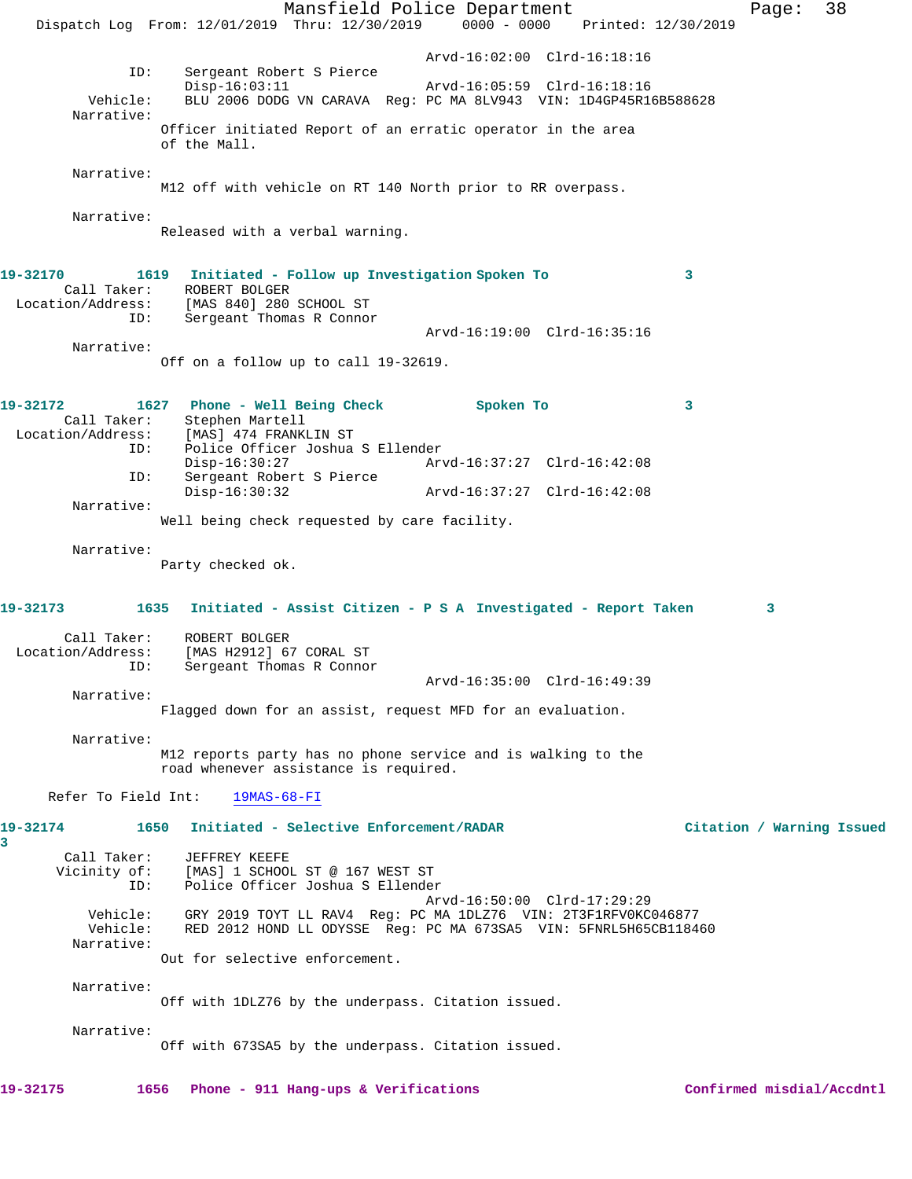Mansfield Police Department Page: 38 Dispatch Log From: 12/01/2019 Thru: 12/30/2019 0000 - 0000 Printed: 12/30/2019 Arvd-16:02:00 Clrd-16:18:16 ID: Sergeant Robert S Pierce Disp-16:03:11 Arvd-16:05:59 Clrd-16:18:16 Vehicle: BLU 2006 DODG VN CARAVA Reg: PC MA 8LV943 VIN: 1D4GP45R16B588628 Narrative: Officer initiated Report of an erratic operator in the area of the Mall. Narrative: M12 off with vehicle on RT 140 North prior to RR overpass. Narrative: Released with a verbal warning. **19-32170 1619 Initiated - Follow up Investigation Spoken To 3**  Call Taker: ROBERT BOLGER Location/Address: [MAS 840] 280 SCHOOL ST ID: Sergeant Thomas R Connor Arvd-16:19:00 Clrd-16:35:16 Narrative: Off on a follow up to call 19-32619. **19-32172 1627 Phone - Well Being Check Spoken To 3**  Call Taker: Stephen Martell Location/Address: [MAS] 474 FRANKLIN ST Police Officer Joshua S Ellender<br>Disp-16:30:27 Arw Disp-16:30:27 Arvd-16:37:27 Clrd-16:42:08 ID: Sergeant Robert S Pierce Disp-16:30:32 Arvd-16:37:27 Clrd-16:42:08 Narrative: Well being check requested by care facility. Narrative: Party checked ok. **19-32173 1635 Initiated - Assist Citizen - P S A Investigated - Report Taken 3** Call Taker: ROBERT BOLGER Location/Address: [MAS H2912] 67 CORAL ST ID: Sergeant Thomas R Connor Arvd-16:35:00 Clrd-16:49:39 Narrative: Flagged down for an assist, request MFD for an evaluation. Narrative: M12 reports party has no phone service and is walking to the road whenever assistance is required. Refer To Field Int: 19MAS-68-FI **19-32174 1650 Initiated - Selective Enforcement/RADAR Citation / Warning Issued 3**  Call Taker: JEFFREY KEEFE Vicinity of: [MAS] 1 SCHOOL ST @ 167 WEST ST ID: Police Officer Joshua S Ellender Arvd-16:50:00 Clrd-17:29:29 Vehicle: GRY 2019 TOYT LL RAV4 Reg: PC MA 1DLZ76 VIN: 2T3F1RFV0KC046877 Vehicle: RED 2012 HOND LL ODYSSE Reg: PC MA 673SA5 VIN: 5FNRL5H65CB118460 Narrative: Out for selective enforcement. Narrative: Off with 1DLZ76 by the underpass. Citation issued. Narrative: Off with 673SA5 by the underpass. Citation issued. **19-32175 1656 Phone - 911 Hang-ups & Verifications Confirmed misdial/Accdntl**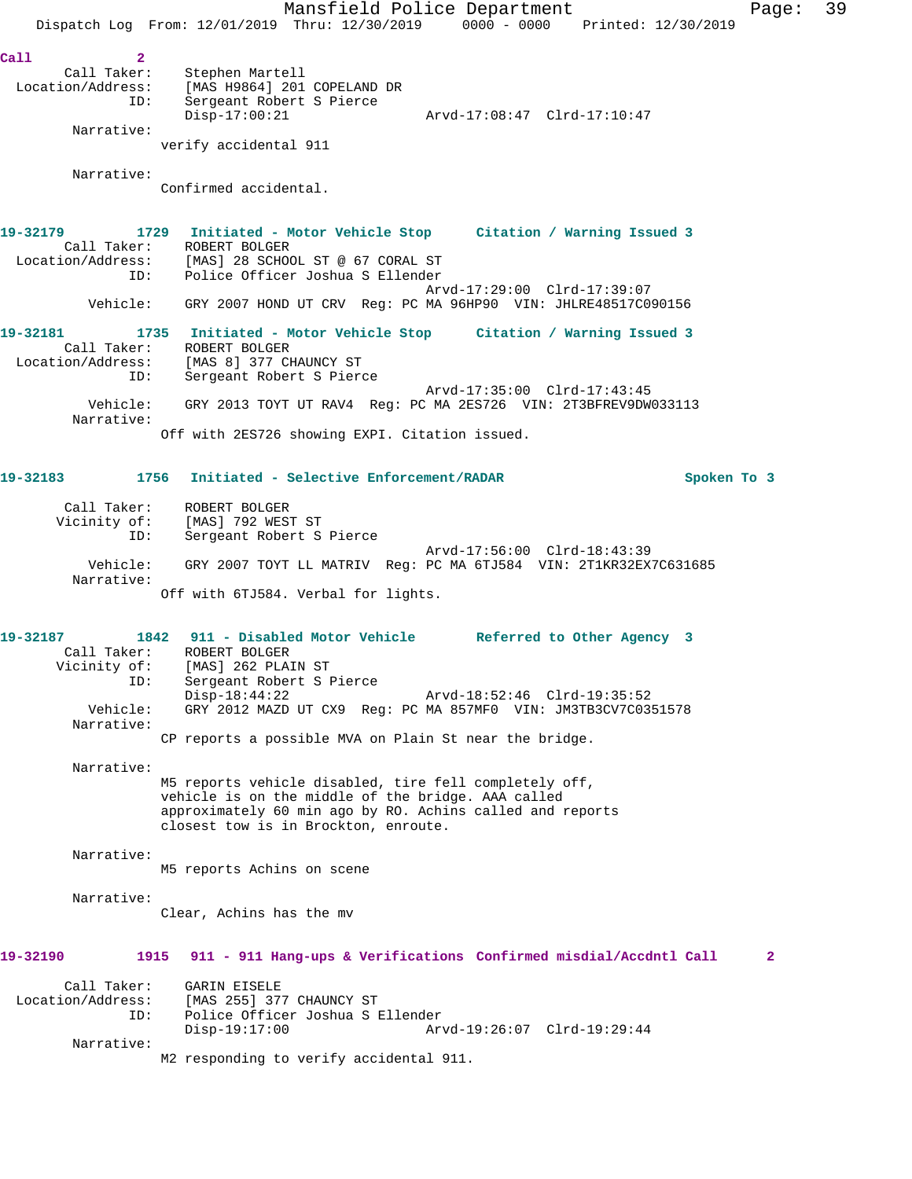Mansfield Police Department Fage: 39 Dispatch Log From: 12/01/2019 Thru: 12/30/2019 0000 - 0000 Printed: 12/30/2019 **Call 2**  Call Taker: Stephen Martell Location/Address: [MAS H9864] 201 COPELAND DR ID: Sergeant Robert S Pierce Disp-17:00:21 Arvd-17:08:47 Clrd-17:10:47 Narrative: verify accidental 911 Narrative: Confirmed accidental. **19-32179 1729 Initiated - Motor Vehicle Stop Citation / Warning Issued 3**  Call Taker: ROBERT BOLGER Location/Address: [MAS] 28 SCHOOL ST @ 67 CORAL ST ID: Police Officer Joshua S Ellender Arvd-17:29:00 Clrd-17:39:07 Vehicle: GRY 2007 HOND UT CRV Reg: PC MA 96HP90 VIN: JHLRE48517C090156 **19-32181 1735 Initiated - Motor Vehicle Stop Citation / Warning Issued 3**  Call Taker: ROBERT BOLGER<br>Location/Address: [MAS 8] 377 CI<br>ID: Sergeant Robe: [MAS 8] 377 CHAUNCY ST Sergeant Robert S Pierce Arvd-17:35:00 Clrd-17:43:45 Vehicle: GRY 2013 TOYT UT RAV4 Reg: PC MA 2ES726 VIN: 2T3BFREV9DW033113 Narrative: Off with 2ES726 showing EXPI. Citation issued. **19-32183 1756 Initiated - Selective Enforcement/RADAR Spoken To 3** Call Taker: ROBERT BOLGER Vicinity of: [MAS] 792 WEST ST ID: Sergeant Robert S Pierce Arvd-17:56:00 Clrd-18:43:39<br>Vehicle: GRY 2007 TOYT LL MATRIV Req: PC MA 6TJ584 VIN: 2T1KR32EX GRY 2007 TOYT LL MATRIV Reg: PC MA 6TJ584 VIN: 2T1KR32EX7C631685 Narrative: Off with 6TJ584. Verbal for lights. **19-32187 1842 911 - Disabled Motor Vehicle Referred to Other Agency 3**  Call Taker: ROBERT BOLGER Vicinity of: [MAS] 262 PLAIN ST ID: Sergeant Robert S Pierce Arvd-18:52:46 Clrd-19:35:52 Vehicle: GRY 2012 MAZD UT CX9 Reg: PC MA 857MF0 VIN: JM3TB3CV7C0351578 Narrative: CP reports a possible MVA on Plain St near the bridge. Narrative: M5 reports vehicle disabled, tire fell completely off, vehicle is on the middle of the bridge. AAA called approximately 60 min ago by RO. Achins called and reports closest tow is in Brockton, enroute. Narrative: M5 reports Achins on scene Narrative: Clear, Achins has the mv **19-32190 1915 911 - 911 Hang-ups & Verifications Confirmed misdial/Accdntl Call 2** Call Taker: GARIN EISELE Location/Address: [MAS 255] 377 CHAUNCY ST ID: Police Officer Joshua S Ellender Disp-19:17:00 Arvd-19:26:07 Clrd-19:29:44 Narrative: M2 responding to verify accidental 911.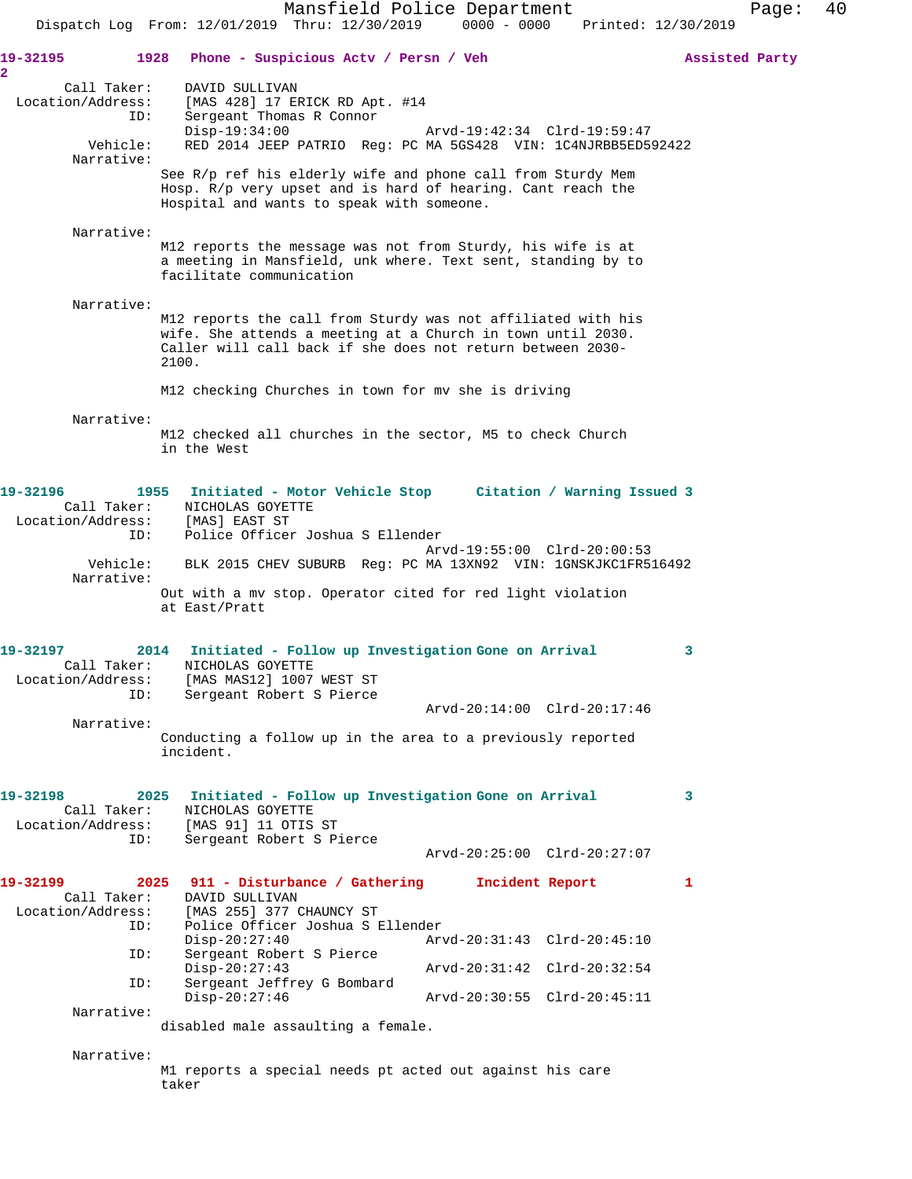Mansfield Police Department Page: 40 Dispatch Log From: 12/01/2019 Thru: 12/30/2019 0000 - 0000 Printed: 12/30/2019 **19-32195 1928 Phone - Suspicious Actv / Persn / Veh Assisted Party 2**  Call Taker: DAVID SULLIVAN Location/Address: [MAS 428] 17 ERICK RD Apt. #14 ID: Sergeant Thomas R Connor Disp-19:34:00 Arvd-19:42:34 Clrd-19:59:47<br>Vehicle: RED 2014 JEEP PATRIO Req: PC MA 5GS428 VIN: 1C4NJRBB5ED5 RED 2014 JEEP PATRIO Reg: PC MA 5GS428 VIN: 1C4NJRBB5ED592422 Narrative: See R/p ref his elderly wife and phone call from Sturdy Mem Hosp. R/p very upset and is hard of hearing. Cant reach the Hospital and wants to speak with someone. Narrative: M12 reports the message was not from Sturdy, his wife is at a meeting in Mansfield, unk where. Text sent, standing by to facilitate communication Narrative: M12 reports the call from Sturdy was not affiliated with his wife. She attends a meeting at a Church in town until 2030. Caller will call back if she does not return between 2030- 2100. M12 checking Churches in town for mv she is driving Narrative: M12 checked all churches in the sector, M5 to check Church in the West **19-32196 1955 Initiated - Motor Vehicle Stop Citation / Warning Issued 3**  Call Taker: NICHOLAS GOYETTE Location/Address: [MAS] EAST ST ID: Police Officer Joshua S Ellender Arvd-19:55:00 Clrd-20:00:53 Vehicle: BLK 2015 CHEV SUBURB Reg: PC MA 13XN92 VIN: 1GNSKJKC1FR516492 Narrative: Out with a mv stop. Operator cited for red light violation at East/Pratt **19-32197 2014 Initiated - Follow up Investigation Gone on Arrival 3**  Call Taker: NICHOLAS GOYETTE Location/Address: [MAS MAS12] 1007 WEST ST ID: Sergeant Robert S Pierce Arvd-20:14:00 Clrd-20:17:46 Narrative: Conducting a follow up in the area to a previously reported incident. **19-32198 2025 Initiated - Follow up Investigation Gone on Arrival 3**  Call Taker: NICHOLAS GOYETTE Location/Address: [MAS 91] 11 OTIS ST ID: التلمات من السلام العدة<br>ID: Sergeant Robert S Pierce Arvd-20:25:00 Clrd-20:27:07 **19-32199 2025 911 - Disturbance / Gathering Incident Report 1**  Call Taker: DAVID SULLIVAN<br>Location/Address: [MAS 255] 377 ( [MAS 255] 377 CHAUNCY ST ID: Police Officer Joshua S Ellender Disp-20:27:40 Arvd-20:31:43 Clrd-20:45:10<br>ID: Sergeant Robert S Pierce Sergeant Robert S Pierce Disp-20:27:43 Arvd-20:31:42 Clrd-20:32:54<br>ID: Sergeant Jeffrey G Bombard Sergeant Jeffrey G Bombard<br>Disp-20:27:46 Disp-20:27:46 Arvd-20:30:55 Clrd-20:45:11 Narrative: disabled male assaulting a female. Narrative: M1 reports a special needs pt acted out against his care taker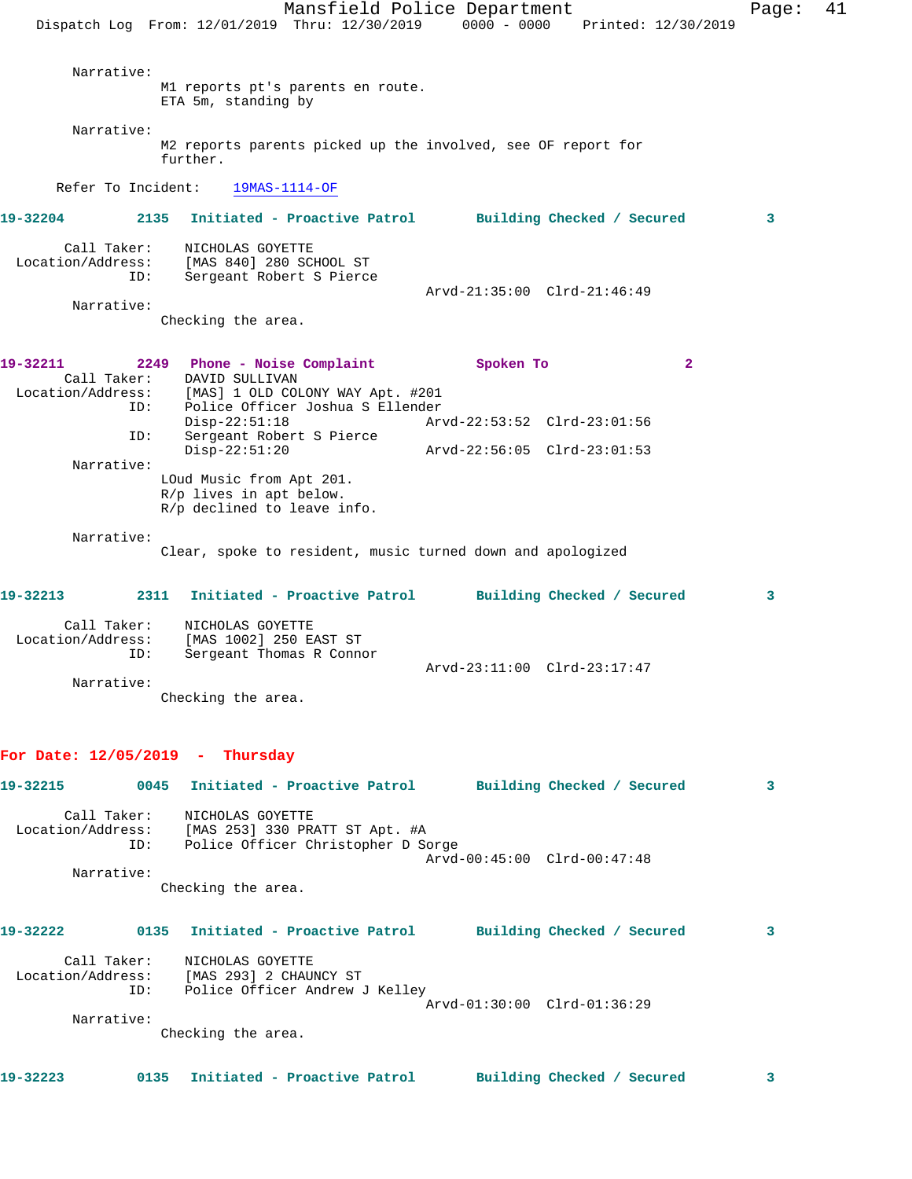Mansfield Police Department Fage: 41 Dispatch Log From: 12/01/2019 Thru: 12/30/2019 0000 - 0000 Printed: 12/30/2019 Narrative: M1 reports pt's parents en route. ETA 5m, standing by Narrative: M2 reports parents picked up the involved, see OF report for further. Refer To Incident: 19MAS-1114-OF **19-32204 2135 Initiated - Proactive Patrol Building Checked / Secured 3** Call Taker: NICHOLAS GOYETTE Location/Address: [MAS 840] 280 SCHOOL ST ID: Sergeant Robert S Pierce Arvd-21:35:00 Clrd-21:46:49 Narrative: Checking the area. **19-32211 2249 Phone - Noise Complaint Spoken To 2**  Call Taker: DAVID SULLIVAN Location/Address: [MAS] 1 OLD COLONY WAY Apt. #201 ID: Police Officer Joshua S Ellender Disp-22:51:18 Arvd-22:53:52 Clrd-23:01:56 ID: Sergeant Robert S Pierce Disp-22:51:20 Arvd-22:56:05 Clrd-23:01:53 Narrative: LOud Music from Apt 201. R/p lives in apt below. R/p declined to leave info. Narrative: Clear, spoke to resident, music turned down and apologized **19-32213 2311 Initiated - Proactive Patrol Building Checked / Secured 3** Call Taker: NICHOLAS GOYETTE Location/Address: [MAS 1002] 250 EAST ST ID: Sergeant Thomas R Connor Arvd-23:11:00 Clrd-23:17:47 Narrative: Checking the area. **For Date: 12/05/2019 - Thursday 19-32215 0045 Initiated - Proactive Patrol Building Checked / Secured 3** Call Taker: NICHOLAS GOYETTE Location/Address: [MAS 253] 330 PRATT ST Apt. #A ID: Police Officer Christopher D Sorge Arvd-00:45:00 Clrd-00:47:48 Narrative: Checking the area. **19-32222 0135 Initiated - Proactive Patrol Building Checked / Secured 3** Call Taker: NICHOLAS GOYETTE Location/Address: [MAS 293] 2 CHAUNCY ST ID: Police Officer Andrew J Kelley Arvd-01:30:00 Clrd-01:36:29 Narrative: Checking the area. **19-32223 0135 Initiated - Proactive Patrol Building Checked / Secured 3**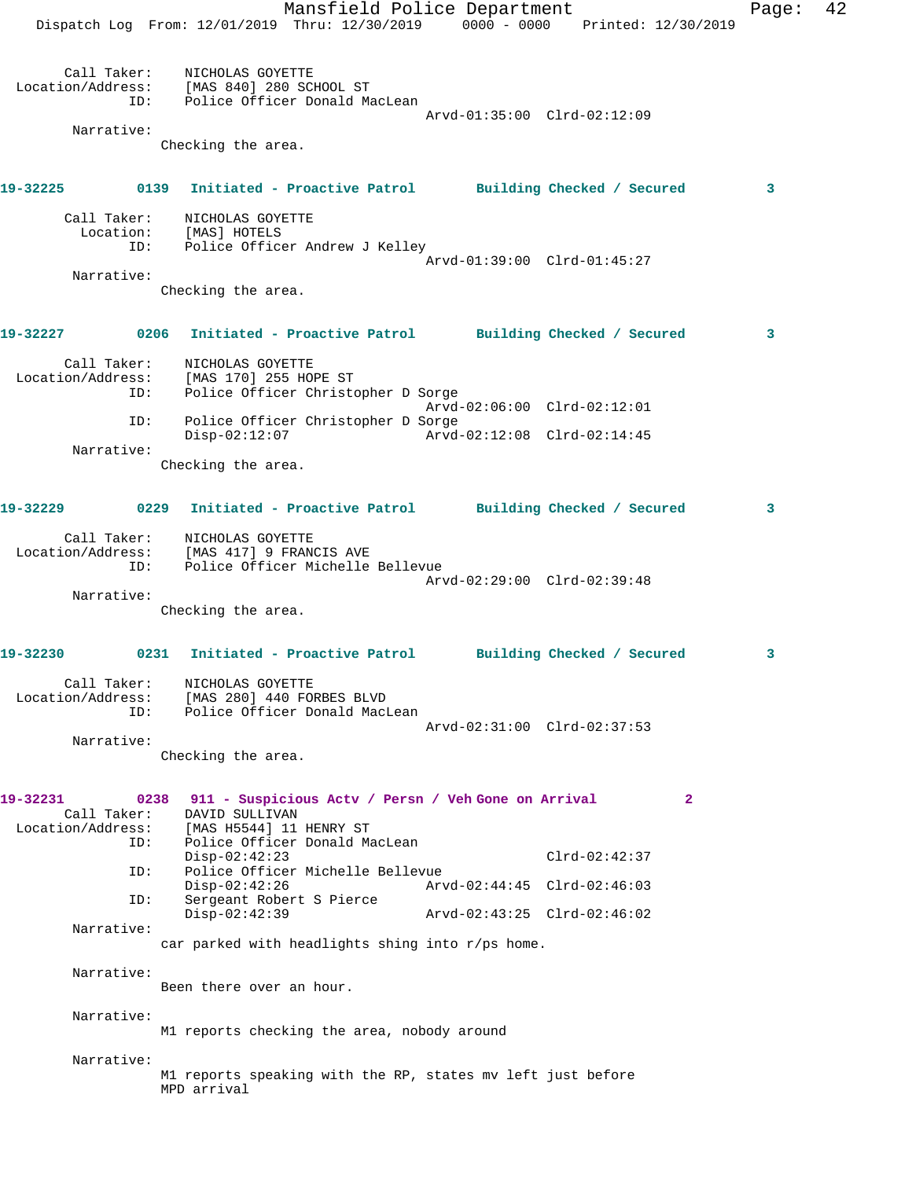Mansfield Police Department Fage: 42 Dispatch Log From: 12/01/2019 Thru: 12/30/2019 0000 - 0000 Printed: 12/30/2019 Call Taker: NICHOLAS GOYETTE Location/Address: [MAS 840] 280 SCHOOL ST ID: Police Officer Donald MacLean Arvd-01:35:00 Clrd-02:12:09 Narrative: Checking the area. **19-32225 0139 Initiated - Proactive Patrol Building Checked / Secured 3** Call Taker: NICHOLAS GOYETTE Location: [MAS] HOTELS ID: Police Officer Andrew J Kelley Arvd-01:39:00 Clrd-01:45:27 Narrative: Checking the area. **19-32227 0206 Initiated - Proactive Patrol Building Checked / Secured 3** Call Taker: NICHOLAS GOYETTE Location/Address: [MAS 170] 255 HOPE ST ID: Police Officer Christopher D Sorge Arvd-02:06:00 Clrd-02:12:01 ID: Police Officer Christopher D Sorge Disp-02:12:07 Arvd-02:12:08 Clrd-02:14:45 Narrative: Checking the area. **19-32229 0229 Initiated - Proactive Patrol Building Checked / Secured 3** Call Taker: NICHOLAS GOYETTE Location/Address: [MAS 417] 9 FRANCIS AVE ID: Police Officer Michelle Bellevue Arvd-02:29:00 Clrd-02:39:48 Narrative: Checking the area. **19-32230 0231 Initiated - Proactive Patrol Building Checked / Secured 3** Call Taker: NICHOLAS GOYETTE Location/Address: [MAS 280] 440 FORBES BLVD ID: Police Officer Donald MacLean Arvd-02:31:00 Clrd-02:37:53 Narrative: Checking the area. **19-32231 0238 911 - Suspicious Actv / Persn / Veh Gone on Arrival 2**  Call Taker: DAVID SULLIVAN Location/Address: [MAS H5544] 11 HENRY ST ID: Police Officer Donald MacLean Disp-02:42:23 Clrd-02:42:37 ID: Police Officer Michelle Bellevue Disp-02:42:26 Arvd-02:44:45 Clrd-02:46:03 ID: Sergeant Robert S Pierce Disp-02:42:39 Arvd-02:43:25 Clrd-02:46:02 Narrative: car parked with headlights shing into  $r/ps$  home. Narrative: Been there over an hour. Narrative: M1 reports checking the area, nobody around Narrative: M1 reports speaking with the RP, states mv left just before MPD arrival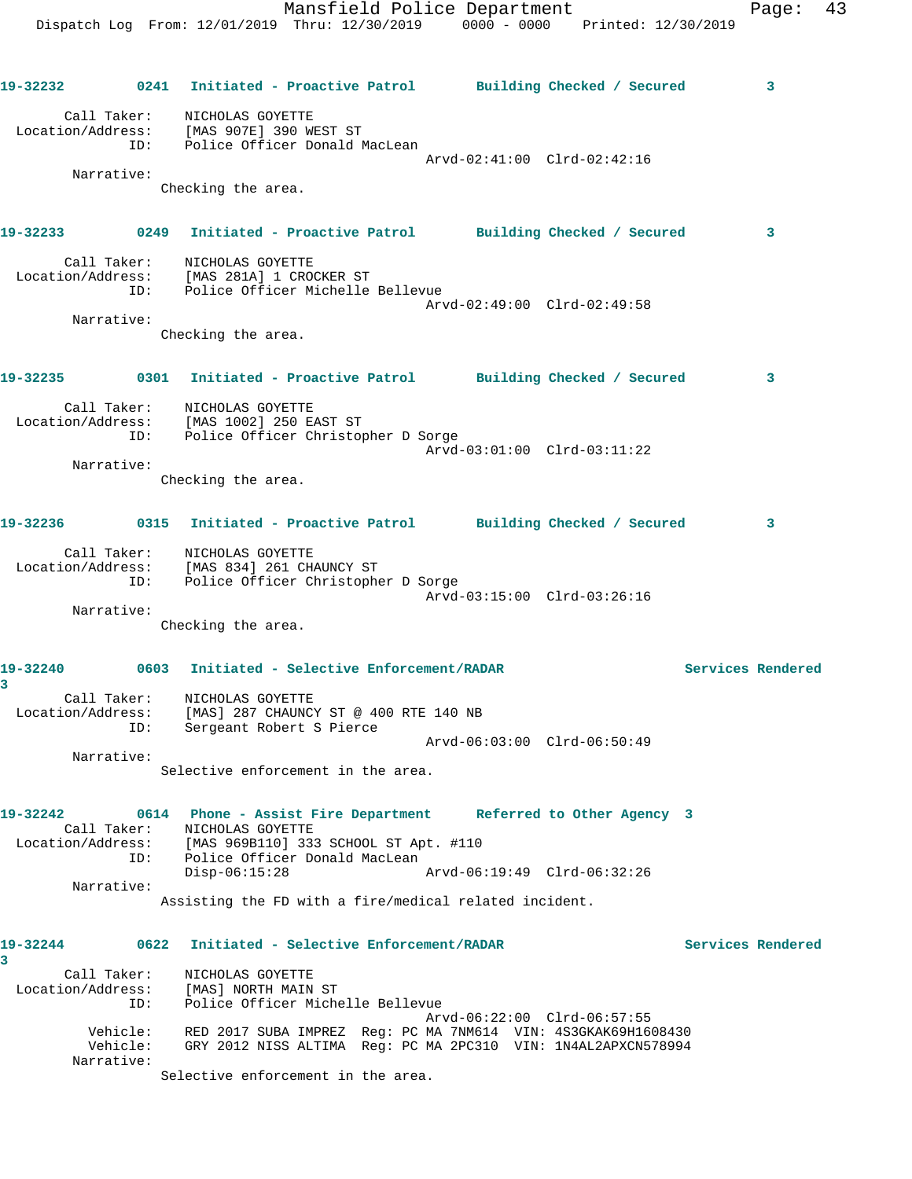| 19-32232                                                                          | 0241                                                                   |                                                                        | Initiated - Proactive Patrol Building Checked / Secured                                                                        |  |                   | 3 |
|-----------------------------------------------------------------------------------|------------------------------------------------------------------------|------------------------------------------------------------------------|--------------------------------------------------------------------------------------------------------------------------------|--|-------------------|---|
| Call Taker: NICHOLAS GOYETTE<br>Location/Address: [MAS 907E] 390 WEST ST          | ID: Police Officer Donald MacLean                                      |                                                                        | Arvd-02:41:00 Clrd-02:42:16                                                                                                    |  |                   |   |
| Narrative:                                                                        | Checking the area.                                                     |                                                                        |                                                                                                                                |  |                   |   |
| 19-32233 0249                                                                     |                                                                        |                                                                        | Initiated - Proactive Patrol Building Checked / Secured                                                                        |  |                   | 3 |
| Location/Address: [MAS 281A] 1 CROCKER ST<br>ID: Police Officer Michelle Bellevue | Call Taker: NICHOLAS GOYETTE                                           |                                                                        | Arvd-02:49:00 Clrd-02:49:58                                                                                                    |  |                   |   |
| Narrative:                                                                        | Checking the area.                                                     |                                                                        |                                                                                                                                |  |                   |   |
| 19-32235 0301                                                                     |                                                                        |                                                                        | Initiated - Proactive Patrol Building Checked / Secured                                                                        |  |                   | 3 |
| Location/Address: [MAS 1002] 250 EAST ST                                          | Call Taker: NICHOLAS GOYETTE<br>ID: Police Officer Christopher D Sorge |                                                                        | Arvd-03:01:00 Clrd-03:11:22                                                                                                    |  |                   |   |
| Narrative:                                                                        | Checking the area.                                                     |                                                                        |                                                                                                                                |  |                   |   |
| 19-32236 0315 Initiated - Proactive Patrol Building Checked / Secured             |                                                                        |                                                                        |                                                                                                                                |  |                   | 3 |
| Call Taker: NICHOLAS GOYETTE<br>Location/Address: [MAS 834] 261 CHAUNCY ST        | ID: Police Officer Christopher D Sorge                                 |                                                                        | Arvd-03:15:00 Clrd-03:26:16                                                                                                    |  |                   |   |
| Narrative:                                                                        | Checking the area.                                                     |                                                                        |                                                                                                                                |  |                   |   |
| 19-32240<br>$\overline{3}$                                                        | 0603                                                                   | Initiated - Selective Enforcement/RADAR                                |                                                                                                                                |  | Services Rendered |   |
| Location/Address:<br>ID:                                                          | Call Taker: NICHOLAS GOYETTE                                           | [MAS] 287 CHAUNCY ST @ 400 RTE 140 NB<br>Sergeant Robert S Pierce      |                                                                                                                                |  |                   |   |
| Narrative:                                                                        | Selective enforcement in the area.                                     |                                                                        | Arvd-06:03:00 Clrd-06:50:49                                                                                                    |  |                   |   |
| 19-32242<br>Call Taker:                                                           | NICHOLAS GOYETTE                                                       |                                                                        | 0614 Phone - Assist Fire Department Referred to Other Agency 3                                                                 |  |                   |   |
| Location/Address:<br>ID:                                                          | $Disp-06:15:28$                                                        | [MAS 969B110] 333 SCHOOL ST Apt. #110<br>Police Officer Donald MacLean | Arvd-06:19:49 Clrd-06:32:26                                                                                                    |  |                   |   |
| Narrative:                                                                        |                                                                        |                                                                        | Assisting the FD with a fire/medical related incident.                                                                         |  |                   |   |
| 19-32244<br>$\overline{3}$                                                        | 0622                                                                   | Initiated - Selective Enforcement/RADAR                                |                                                                                                                                |  | Services Rendered |   |
| Call Taker:<br>Location/Address:<br>ID:                                           | NICHOLAS GOYETTE<br>[MAS] NORTH MAIN ST                                | Police Officer Michelle Bellevue                                       | Arvd-06:22:00 Clrd-06:57:55                                                                                                    |  |                   |   |
| Vehicle:<br>Vehicle:<br>Narrative:                                                |                                                                        |                                                                        | RED 2017 SUBA IMPREZ Req: PC MA 7NM614 VIN: 4S3GKAK69H1608430<br>GRY 2012 NISS ALTIMA Req: PC MA 2PC310 VIN: 1N4AL2APXCN578994 |  |                   |   |
|                                                                                   | Selective enforcement in the area.                                     |                                                                        |                                                                                                                                |  |                   |   |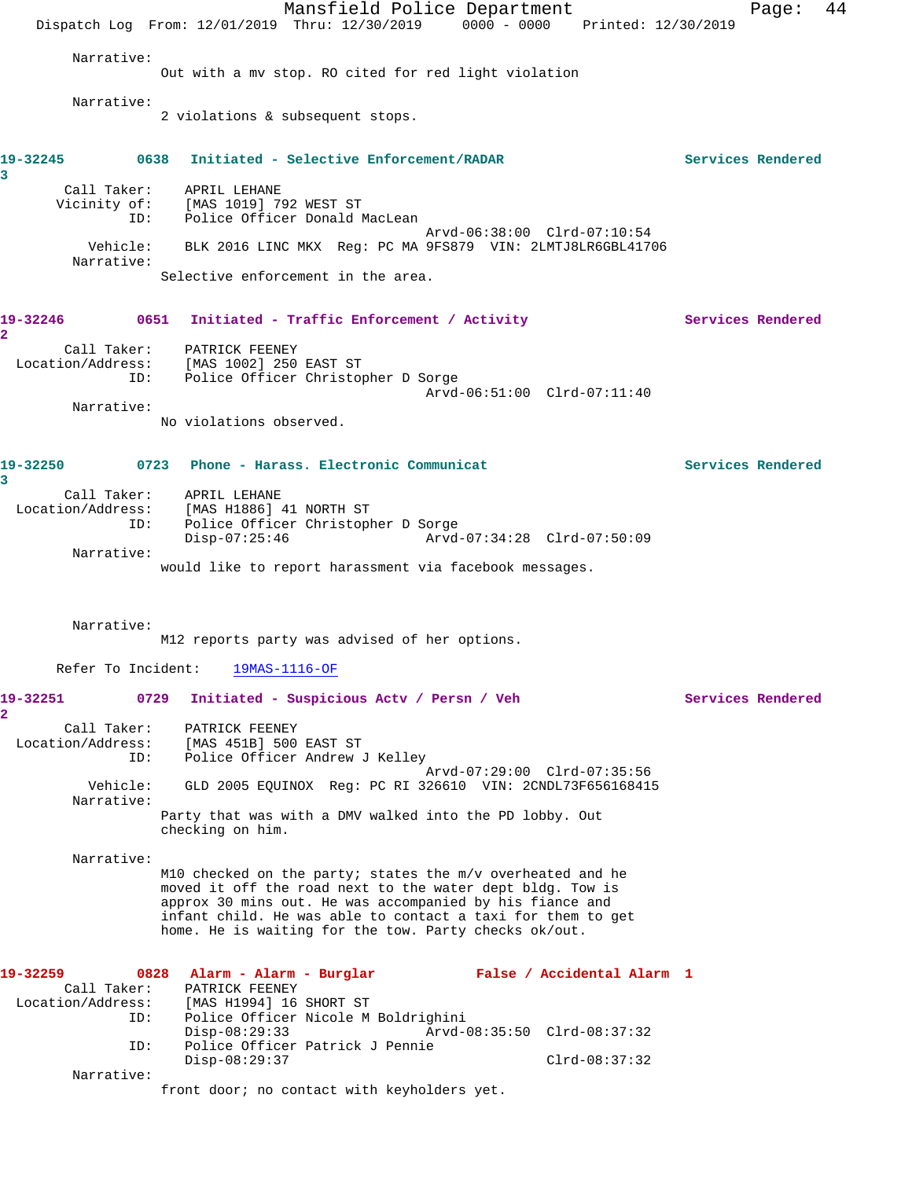Mansfield Police Department Page: 44 Dispatch Log From: 12/01/2019 Thru: 12/30/2019 0000 - 0000 Printed: 12/30/2019 Narrative: Out with a mv stop. RO cited for red light violation Narrative: 2 violations & subsequent stops. **19-32245 0638 Initiated - Selective Enforcement/RADAR Services Rendered 3**  Call Taker: APRIL LEHANE Vicinity of: [MAS 1019] 792 WEST ST ID: Police Officer Donald MacLean Arvd-06:38:00 Clrd-07:10:54 Vehicle: BLK 2016 LINC MKX Reg: PC MA 9FS879 VIN: 2LMTJ8LR6GBL41706 Narrative: Selective enforcement in the area. 19-32246 0651 Initiated - Traffic Enforcement / Activity **Services Rendered 2**  Call Taker: PATRICK FEENEY Location/Address: [MAS 1002] 250 EAST ST ID: Police Officer Christopher D Sorge Arvd-06:51:00 Clrd-07:11:40 Narrative: No violations observed. **19-32250 0723 Phone - Harass. Electronic Communicat Services Rendered 3**  Call Taker: APRIL LEHANE Location/Address: [MAS H1886] 41 NORTH ST ID: Police Officer Christopher D Sorge Disp-07:25:46 Arvd-07:34:28 Clrd-07:50:09 Narrative: would like to report harassment via facebook messages. Narrative: M12 reports party was advised of her options. Refer To Incident: 19MAS-1116-OF **19-32251 0729 Initiated - Suspicious Actv / Persn / Veh Services Rendered 2**  Call Taker: PATRICK FEENEY Location/Address: [MAS 451B] 500 EAST ST ID: Police Officer Andrew J Kelley Arvd-07:29:00 Clrd-07:35:56 Vehicle: GLD 2005 EQUINOX Reg: PC RI 326610 VIN: 2CNDL73F656168415 Narrative: Party that was with a DMV walked into the PD lobby. Out checking on him. Narrative: M10 checked on the party; states the m/v overheated and he moved it off the road next to the water dept bldg. Tow is approx 30 mins out. He was accompanied by his fiance and infant child. He was able to contact a taxi for them to get home. He is waiting for the tow. Party checks ok/out. **19-32259 0828 Alarm - Alarm - Burglar False / Accidental Alarm 1**  Call Taker: PATRICK FEENEY Location/Address: [MAS H1994] 16 SHORT ST ID: Police Officer Nicole M Boldrighini Disp-08:29:33 Arvd-08:35:50 Clrd-08:37:32 ID: Police Officer Patrick J Pennie Disp-08:29:37 Clrd-08:37:32 Narrative: front door; no contact with keyholders yet.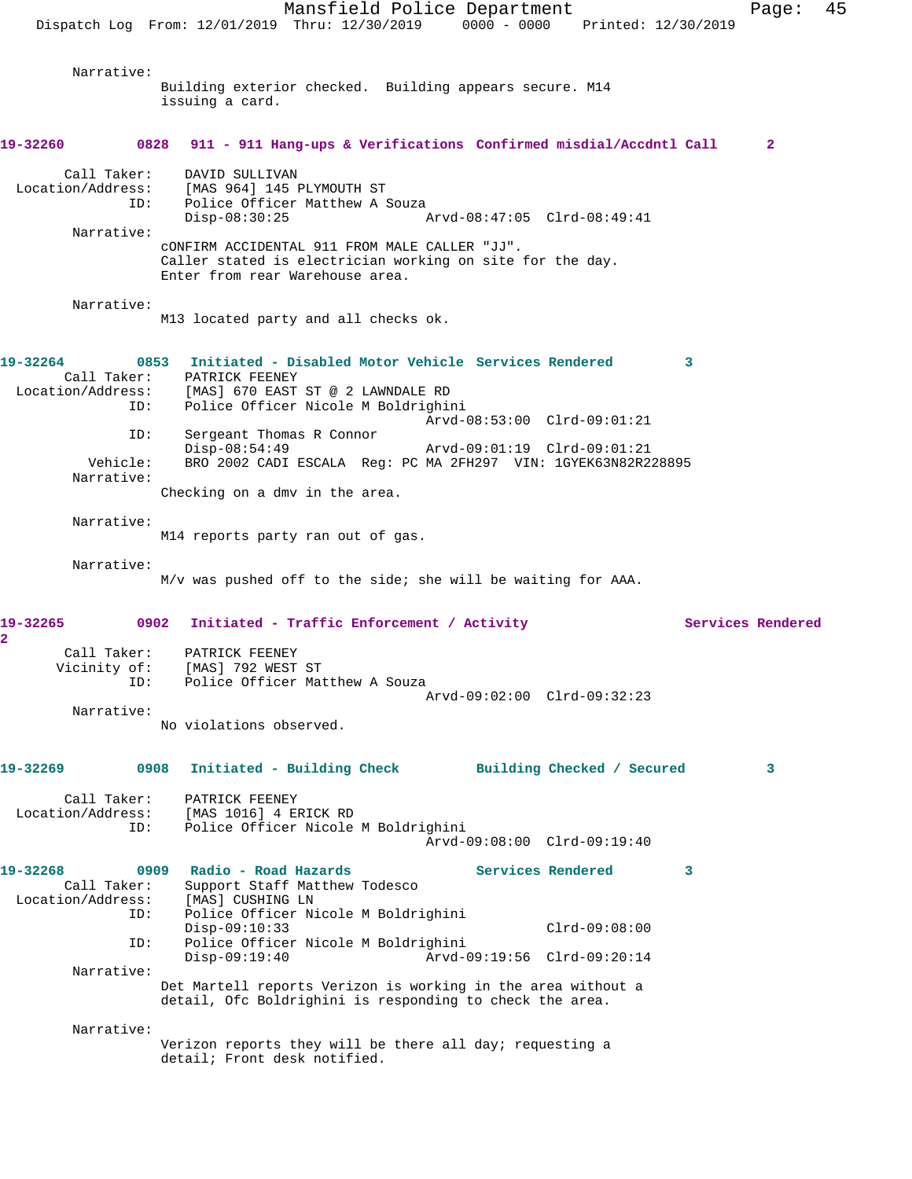Mansfield Police Department Fage: 45 Dispatch Log From: 12/01/2019 Thru: 12/30/2019 0000 - 0000 Printed: 12/30/2019 Narrative: Building exterior checked. Building appears secure. M14 issuing a card. **19-32260 0828 911 - 911 Hang-ups & Verifications Confirmed misdial/Accdntl Call 2** Call Taker: DAVID SULLIVAN Location/Address: [MAS 964] 145 PLYMOUTH ST ID: Police Officer Matthew A Souza Disp-08:30:25 Arvd-08:47:05 Clrd-08:49:41 Narrative: cONFIRM ACCIDENTAL 911 FROM MALE CALLER "JJ". Caller stated is electrician working on site for the day. Enter from rear Warehouse area. Narrative: M13 located party and all checks ok. **19-32264 0853 Initiated - Disabled Motor Vehicle Services Rendered 3**  Call Taker: PATRICK FEENEY<br>Location/Address: [MAS] 670 EAST ess: [MAS] 670 EAST ST @ 2 LAWNDALE RD<br>ID: Police Officer Nicole M Boldrighi Police Officer Nicole M Boldrighini Arvd-08:53:00 Clrd-09:01:21 ID: Sergeant Thomas R Connor Disp-08:54:49 Arvd-09:01:19 Clrd-09:01:21 BRO 2002 CADI ESCALA Reg: PC MA 2FH297 VIN: 1GYEK63N82R228895 Narrative: Checking on a dmv in the area. Narrative: M14 reports party ran out of gas. Narrative: M/v was pushed off to the side; she will be waiting for AAA. **19-32265 0902 Initiated - Traffic Enforcement / Activity Services Rendered 2**  Call Taker: PATRICK FEENEY Vicinity of: [MAS] 792 WEST ST ID: Police Officer Matthew A Souza Arvd-09:02:00 Clrd-09:32:23 Narrative: No violations observed. **19-32269 0908 Initiated - Building Check Building Checked / Secured 3** Call Taker: PATRICK FEENEY Location/Address: [MAS 1016] 4 ERICK RD ID: Police Officer Nicole M Boldrighini Arvd-09:08:00 Clrd-09:19:40 **19-32268 0909 Radio - Road Hazards Services Rendered 3**  Call Taker: Support Staff Matthew Todesco<br>ion/Address: [MAS] CUSHING LN Location/Address: ID: Police Officer Nicole M Boldrighini Disp-09:10:33 Clrd-09:08:00<br>ID: Police Officer Nicole M Boldrighini Police Officer Nicole M Boldrighini Disp-09:19:40 Arvd-09:19:56 Clrd-09:20:14 Narrative: Det Martell reports Verizon is working in the area without a detail, Ofc Boldrighini is responding to check the area. Narrative: Verizon reports they will be there all day; requesting a detail; Front desk notified.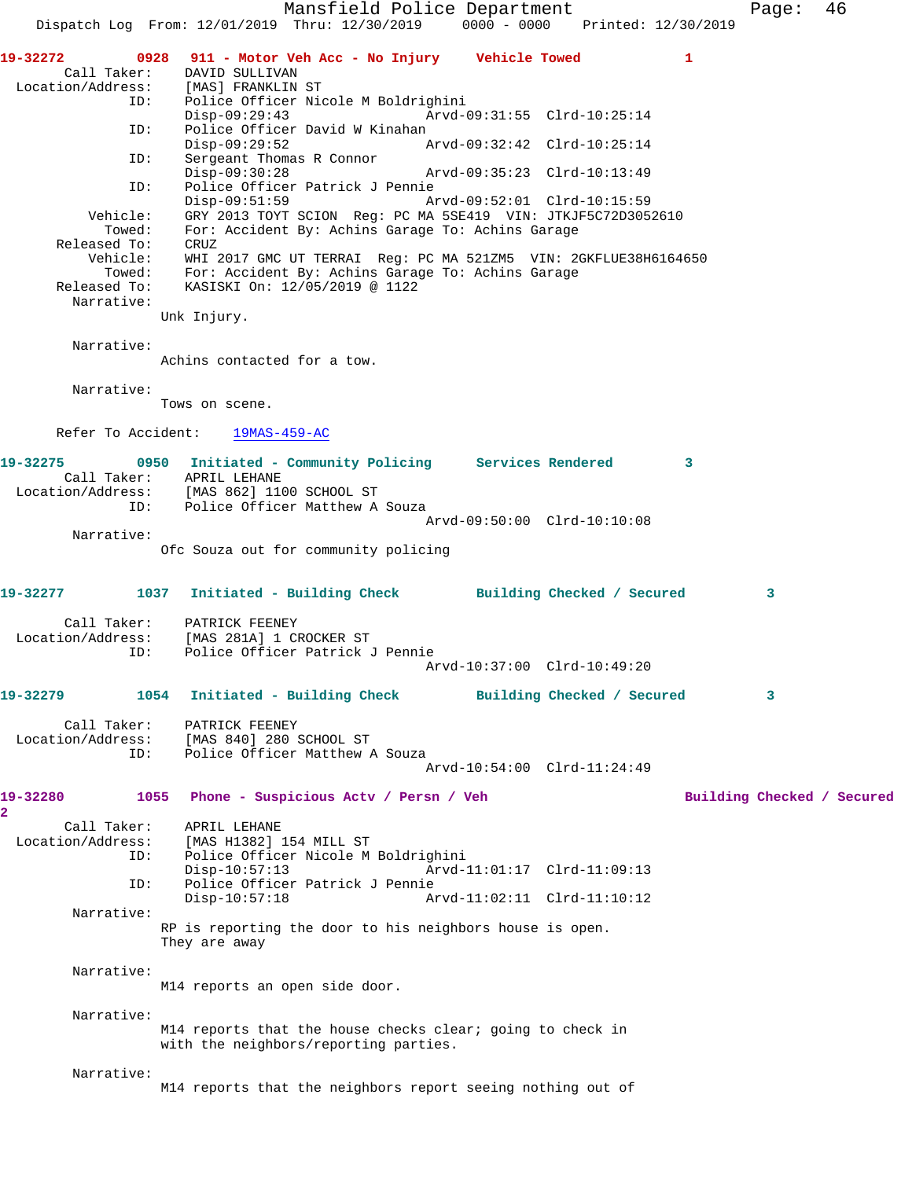Mansfield Police Department Form Page: 46 Dispatch Log From: 12/01/2019 Thru: 12/30/2019 0000 - 0000 Printed: 12/30/2019 **19-32272 0928 911 - Motor Veh Acc - No Injury Vehicle Towed 1**  Call Taker: DAVID SULLIVAN<br>Location/Address: [MAS] FRANKLIN [MAS] FRANKLIN ST ID: Police Officer Nicole M Boldrighini Disp-09:29:43 Arvd-09:31:55 Clrd-10:25:14 ID: Police Officer David W Kinahan Disp-09:29:52 <br>
D: Sergeant Thomas R Connor<br>
D: Sergeant Thomas R Connor<br>
D: Sergeant Thomas R Connor<br>
D: Sergeant Thomas R Connor<br>
D: Sergeant Thomas R Connor<br>
D: Sergeant Thomas R Connor<br>
D: Sergeant Thomas R Connor<br>
D: Sergeant Thomas R Connor<br>Disp-09:30:28 Disp-09:30:28 Arvd-09:35:23 Clrd-10:13:49 ID: Police Officer Patrick J Pennie Disp-09:51:59 Arvd-09:52:01 Clrd-10:15:59 Vehicle: GRY 2013 TOYT SCION Reg: PC MA 5SE419 VIN: JTKJF5C72D3052610 Towed: For: Accident By: Achins Garage To: Achins Garage Released To: CRUZ Vehicle: WHI 2017 GMC UT TERRAI Reg: PC MA 521ZM5 VIN: 2GKFLUE38H6164650 Towed: For: Accident By: Achins Garage To: Achins Garage Released To: KASISKI On: 12/05/2019 @ 1122 Narrative: Unk Injury. Narrative: Achins contacted for a tow. Narrative: Tows on scene. Refer To Accident: 19MAS-459-AC **19-32275 0950 Initiated - Community Policing Services Rendered 3**  Call Taker: APRIL LEHANE Location/Address: [MAS 862] 1100 SCHOOL ST ID: Police Officer Matthew A Souza Arvd-09:50:00 Clrd-10:10:08 Narrative: Ofc Souza out for community policing **19-32277 1037 Initiated - Building Check Building Checked / Secured 3** Call Taker: PATRICK FEENEY Location/Address: [MAS 281A] 1 CROCKER ST Police Officer Patrick J Pennie Arvd-10:37:00 Clrd-10:49:20 **19-32279 1054 Initiated - Building Check Building Checked / Secured 3** Call Taker: PATRICK FEENEY<br>Location/Address: [MAS 840] 280 :<br>ID: Police Officer [MAS 840] 280 SCHOOL ST Police Officer Matthew A Souza Arvd-10:54:00 Clrd-11:24:49 19-32280 1055 Phone - Suspicious Actv / Persn / Veh Building Checked / Secured **2**  Call Taker: APRIL LEHANE<br>Location/Address: [MAS H1382] [MAS H1382] 154 MILL ST ID: Police Officer Nicole M Boldrighini Disp-10:57:13 Arvd-11:01:17 Clrd-11:09:13<br>ID: Police Officer Patrick J Pennie ID: Police Officer Patrick J Pennie Arvd-11:02:11 Clrd-11:10:12 Narrative: RP is reporting the door to his neighbors house is open. They are away Narrative: M14 reports an open side door. Narrative: M14 reports that the house checks clear; going to check in with the neighbors/reporting parties. Narrative: M14 reports that the neighbors report seeing nothing out of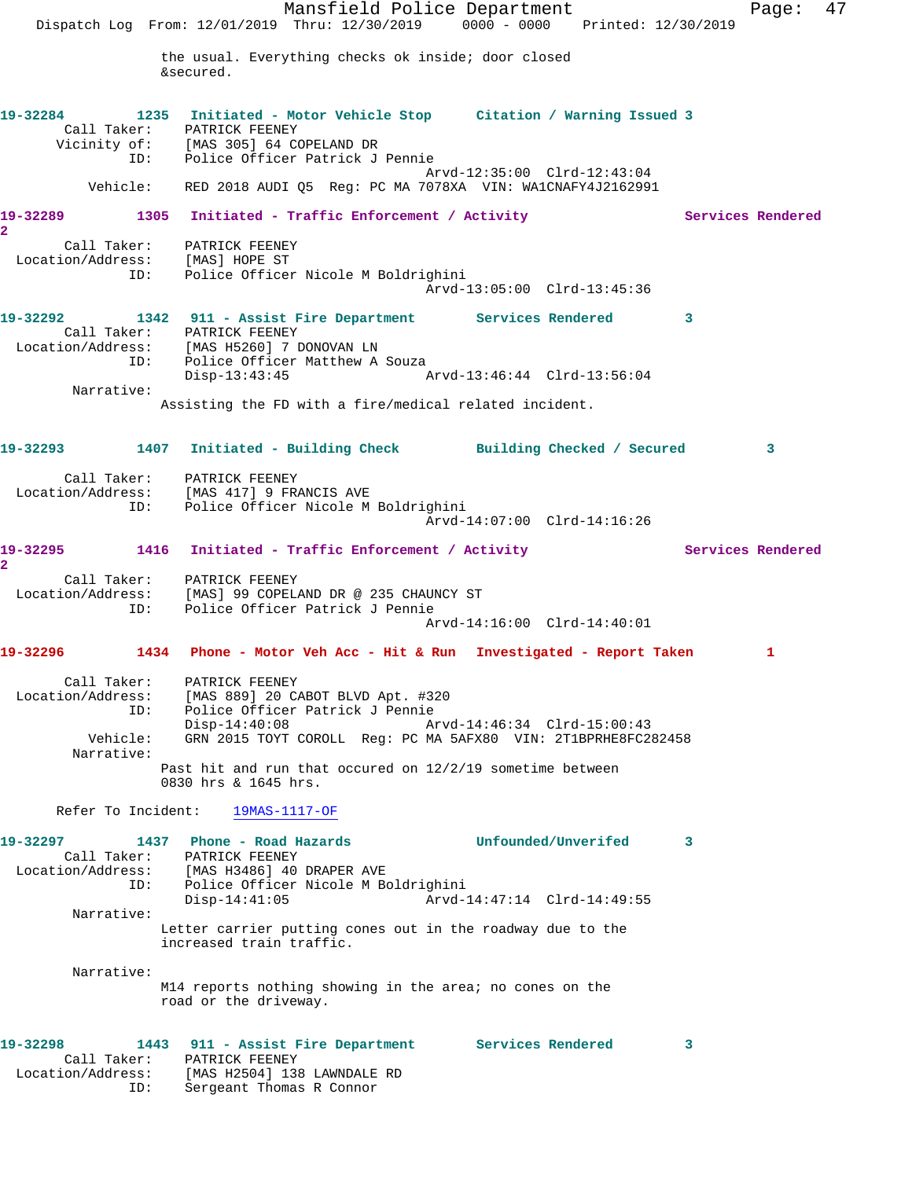Mansfield Police Department Fage: 47 Dispatch Log From: 12/01/2019 Thru: 12/30/2019 0000 - 0000 Printed: 12/30/2019 the usual. Everything checks ok inside; door closed &secured. **19-32284 1235 Initiated - Motor Vehicle Stop Citation / Warning Issued 3**  Call Taker: PATRICK FEENEY Vicinity of: [MAS 305] 64 COPELAND DR ID: Police Officer Patrick J Pennie Arvd-12:35:00 Clrd-12:43:04 Vehicle: RED 2018 AUDI Q5 Reg: PC MA 7078XA VIN: WA1CNAFY4J2162991 19-32289 1305 Initiated - Traffic Enforcement / Activity **Services Rendered 2**  Call Taker: PATRICK FEENEY Location/Address: [MAS] HOPE ST ID: Police Officer Nicole M Boldrighini Arvd-13:05:00 Clrd-13:45:36 **19-32292 1342 911 - Assist Fire Department Services Rendered 3**  Call Taker: PATRICK FEENEY Location/Address: [MAS H5260] 7 DONOVAN LN ID: Police Officer Matthew A Souza Disp-13:43:45 Arvd-13:46:44 Clrd-13:56:04 Narrative: Assisting the FD with a fire/medical related incident. **19-32293 1407 Initiated - Building Check Building Checked / Secured 3** Call Taker: PATRICK FEENEY Location/Address: [MAS 417] 9 FRANCIS AVE ID: Police Officer Nicole M Boldrighini Arvd-14:07:00 Clrd-14:16:26 19-32295 1416 Initiated - Traffic Enforcement / Activity **Services Rendered 2**  Call Taker: PATRICK FEENEY Location/Address: [MAS] 99 COPELAND DR @ 235 CHAUNCY ST ID: Police Officer Patrick J Pennie Arvd-14:16:00 Clrd-14:40:01 **19-32296 1434 Phone - Motor Veh Acc - Hit & Run Investigated - Report Taken 1** Call Taker: PATRICK FEENEY Location/Address: [MAS 889] 20 CABOT BLVD Apt. #320 ID: Police Officer Patrick J Pennie Disp-14:40:08 Arvd-14:46:34 Clrd-15:00:43<br>Vehicle: GRN 2015 TOYT COROLL Req: PC MA 5AFX80 VIN: 2T1BPRHE8FC28 GRN 2015 TOYT COROLL Reg: PC MA 5AFX80 VIN: 2T1BPRHE8FC282458 Narrative: Past hit and run that occured on 12/2/19 sometime between 0830 hrs & 1645 hrs. Refer To Incident: 19MAS-1117-OF **19-32297 1437 Phone - Road Hazards Unfounded/Unverifed 3**  Call Taker: PATRICK FEENEY Location/Address: [MAS H3486] 40 DRAPER AVE ID: Police Officer Nicole M Boldrighini Disp-14:41:05 Arvd-14:47:14 Clrd-14:49:55 Narrative: Letter carrier putting cones out in the roadway due to the increased train traffic. Narrative: M14 reports nothing showing in the area; no cones on the road or the driveway. **19-32298 1443 911 - Assist Fire Department Services Rendered 3**  Call Taker: PATRICK FEENEY Location/Address: [MAS H2504] 138 LAWNDALE RD ID: Sergeant Thomas R Connor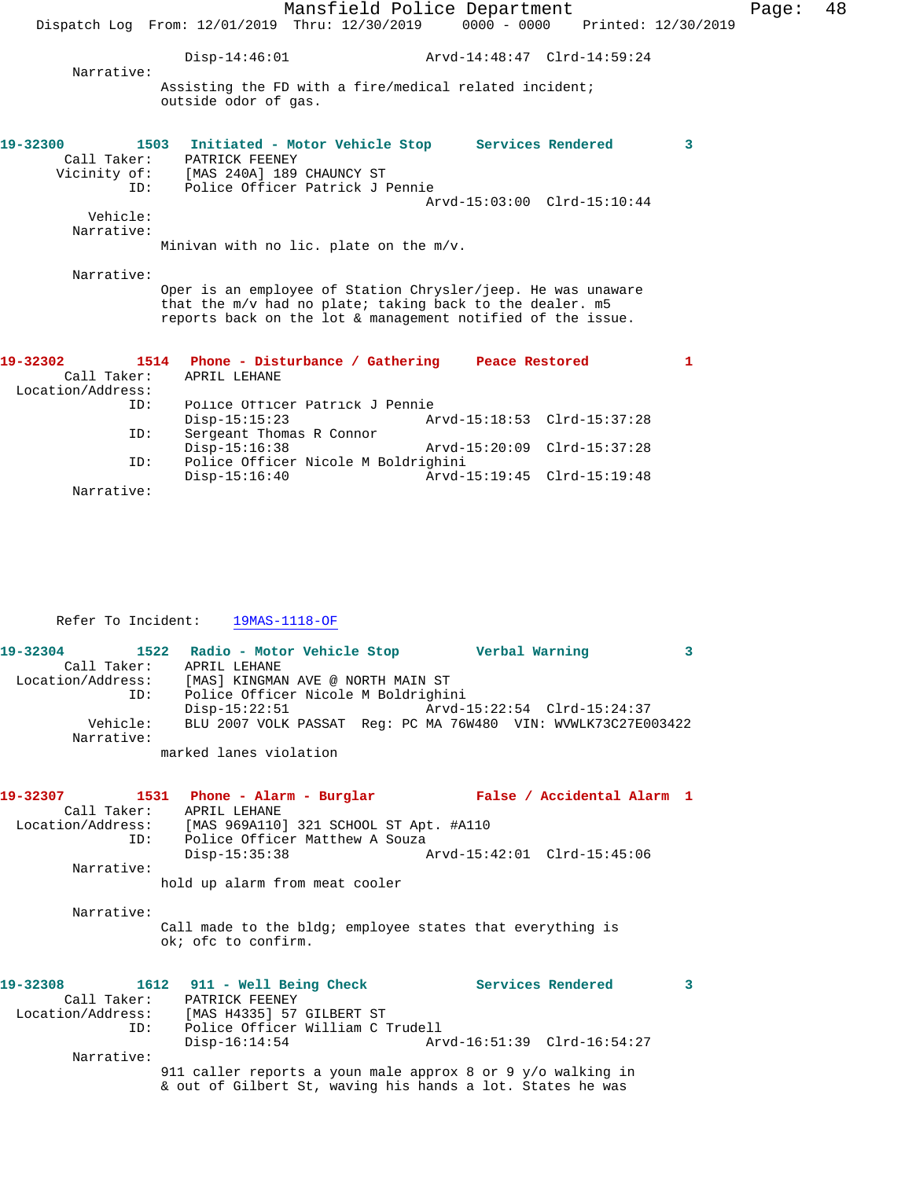|                                              |                                                                      | Mansfield Police Department                                                                                                                                                             |                             | Page:        | 48 |
|----------------------------------------------|----------------------------------------------------------------------|-----------------------------------------------------------------------------------------------------------------------------------------------------------------------------------------|-----------------------------|--------------|----|
|                                              |                                                                      | Dispatch Log From: 12/01/2019 Thru: 12/30/2019 0000 - 0000 Printed: 12/30/2019                                                                                                          |                             |              |    |
| Narrative:                                   | $Disp-14:46:01$                                                      |                                                                                                                                                                                         |                             |              |    |
|                                              | outside odor of gas.                                                 | Assisting the FD with a fire/medical related incident;                                                                                                                                  |                             |              |    |
| 19-32300<br>ID:                              | Call Taker: PATRICK FEENEY<br>Vicinity of: [MAS 240A] 189 CHAUNCY ST | 1503 Initiated - Motor Vehicle Stop Services Rendered<br>Police Officer Patrick J Pennie                                                                                                | Arvd-15:03:00 Clrd-15:10:44 | $\mathbf{3}$ |    |
| Vehicle:<br>Narrative:                       |                                                                      | Minivan with no lic. plate on the $m/v$ .                                                                                                                                               |                             |              |    |
| Narrative:                                   |                                                                      | Oper is an employee of Station Chrysler/jeep. He was unaware<br>that the m/v had no plate; taking back to the dealer. m5<br>reports back on the lot & management notified of the issue. |                             |              |    |
| 19-32302<br>Call Taker:<br>Location/Address: | APRIL LEHANE                                                         | 1514 Phone - Disturbance / Gathering Peace Restored                                                                                                                                     |                             | 1            |    |
| ID:                                          | $Disp-15:15:23$                                                      | Police Officer Patrick J Pennie                                                                                                                                                         | Arvd-15:18:53 Clrd-15:37:28 |              |    |
| ID:                                          | Sergeant Thomas R Connor<br>$Disp-15:16:38$                          |                                                                                                                                                                                         | Arvd-15:20:09 Clrd-15:37:28 |              |    |
| ID:                                          | $Disp-15:16:40$                                                      | Police Officer Nicole M Boldrighini                                                                                                                                                     | Arvd-15:19:45 Clrd-15:19:48 |              |    |
| Narrative:                                   |                                                                      |                                                                                                                                                                                         |                             |              |    |

Refer To Incident: 19MAS-1118-OF

**19-32304 1522 Radio - Motor Vehicle Stop Verbal Warning 3**  Call Taker: APRIL LEHANE Location/Address: [MAS] KINGMAN AVE @ NORTH MAIN ST ID: Police Officer Nicole M Boldrighini Disp-15:22:51 Arvd-15:22:54 Clrd-15:24:37<br>Vehicle: BLU 2007 VOLK PASSAT Reg: PC MA 76W480 VIN: WVWLK73C27E00 BLU 2007 VOLK PASSAT Reg: PC MA 76W480 VIN: WVWLK73C27E003422 Narrative: marked lanes violation

**19-32307 1531 Phone - Alarm - Burglar False / Accidental Alarm 1**  Call Taker: APRIL LEHANE<br>Location/Address: [MAS 969A110] Location/Address: [MAS 969A110] 321 SCHOOL ST Apt. #A110 ID: Police Officer Matthew A Souza Disp-15:35:38 Arvd-15:42:01 Clrd-15:45:06 Narrative: hold up alarm from meat cooler Narrative: Call made to the bldg; employee states that everything is ok; ofc to confirm.

19-32308 1612 911 - Well Being Check **Services Rendered** 3 Call Taker: PATRICK FEENEY<br>Location/Address: [MAS H4335] 57 ess: [MAS H4335] 57 GILBERT ST<br>ID: Police Officer William C ! Police Officer William C Trudell<br>Disp-16:14:54 Art Disp-16:14:54 Arvd-16:51:39 Clrd-16:54:27 Narrative: 911 caller reports a youn male approx 8 or 9 y/o walking in & out of Gilbert St, waving his hands a lot. States he was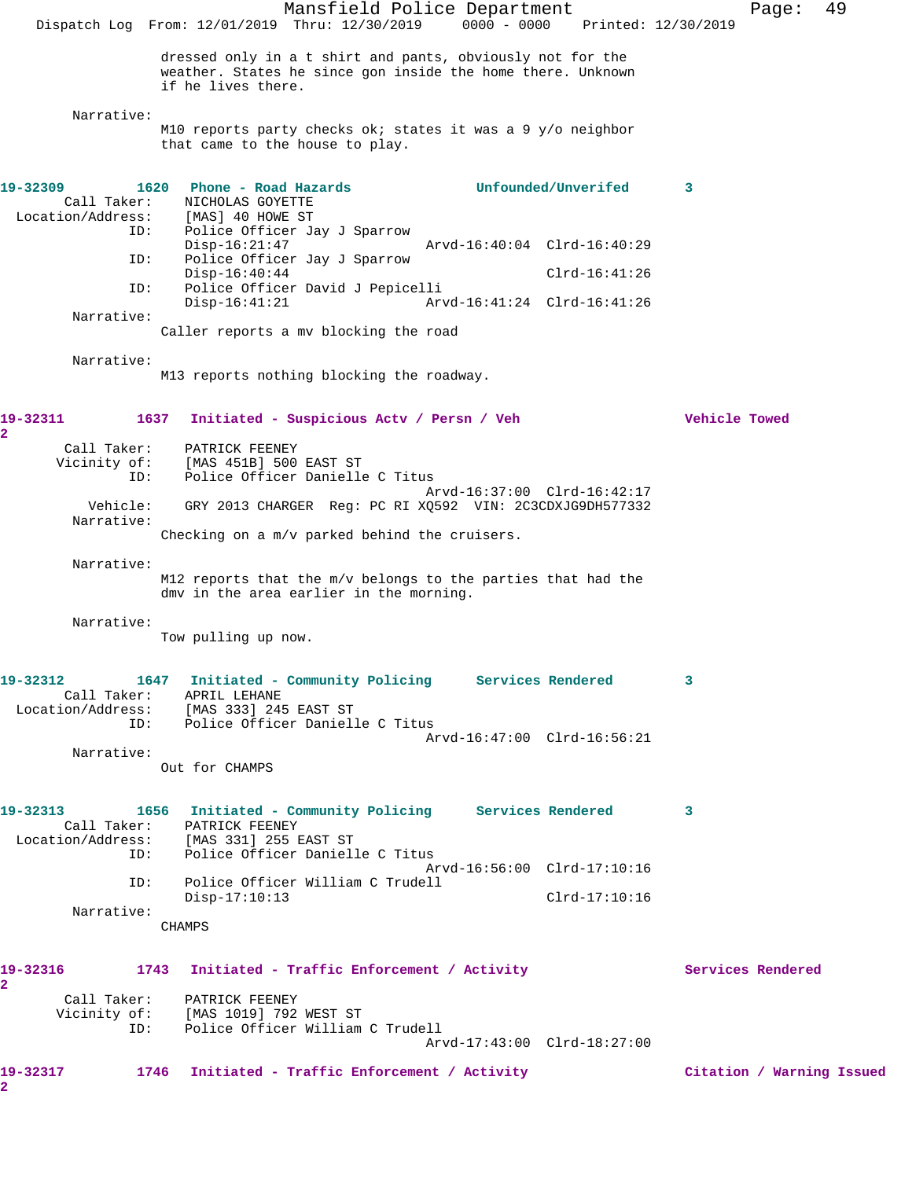Mansfield Police Department Fage: 49 Dispatch Log From: 12/01/2019 Thru: 12/30/2019 0000 - 0000 Printed: 12/30/2019 dressed only in a t shirt and pants, obviously not for the weather. States he since gon inside the home there. Unknown if he lives there. Narrative: M10 reports party checks ok; states it was a 9 y/o neighbor that came to the house to play. **19-32309 1620 Phone - Road Hazards Unfounded/Unverifed 3**  Call Taker: NICHOLAS GOYETTE Location/Address: [MAS] 40 HOWE ST ID: Police Officer Jay J Sparrow Disp-16:21:47 Arvd-16:40:04 Clrd-16:40:29<br>TD: Police Officer Jav J Sparrow Police Officer Jay J Sparrow Disp-16:40:44 Clrd-16:41:26 ID: Police Officer David J Pepicelli Disp-16:41:21 Arvd-16:41:24 Clrd-16:41:26 Narrative: Caller reports a mv blocking the road Narrative: M13 reports nothing blocking the roadway. **19-32311 1637 Initiated - Suspicious Actv / Persn / Veh Vehicle Towed 2**  Call Taker: PATRICK FEENEY Vicinity of: [MAS 451B] 500 EAST ST ID: Police Officer Danielle C Titus Arvd-16:37:00 Clrd-16:42:17 Vehicle: GRY 2013 CHARGER Reg: PC RI XQ592 VIN: 2C3CDXJG9DH577332 Narrative: Checking on a m/v parked behind the cruisers. Narrative: M12 reports that the m/v belongs to the parties that had the dmv in the area earlier in the morning. Narrative: Tow pulling up now. **19-32312 1647 Initiated - Community Policing Services Rendered 3**  Call Taker: APRIL LEHANE Location/Address: [MAS 333] 245 EAST ST ID: Police Officer Danielle C Titus Arvd-16:47:00 Clrd-16:56:21 Narrative: Out for CHAMPS **19-32313 1656 Initiated - Community Policing Services Rendered 3**  Call Taker: PATRICK FEENEY Location/Address: [MAS 331] 255 EAST ST ID: Police Officer Danielle C Titus Arvd-16:56:00 Clrd-17:10:16 ID: Police Officer William C Trudell Disp-17:10:13 Clrd-17:10:16 Narrative: CHAMPS 19-32316 1743 Initiated - Traffic Enforcement / Activity **Services Rendered 2**  Call Taker: PATRICK FEENEY Vicinity of: [MAS 1019] 792 WEST ST ID: Police Officer William C Trudell Arvd-17:43:00 Clrd-18:27:00 **19-32317 1746 Initiated - Traffic Enforcement / Activity Citation / Warning Issued 2**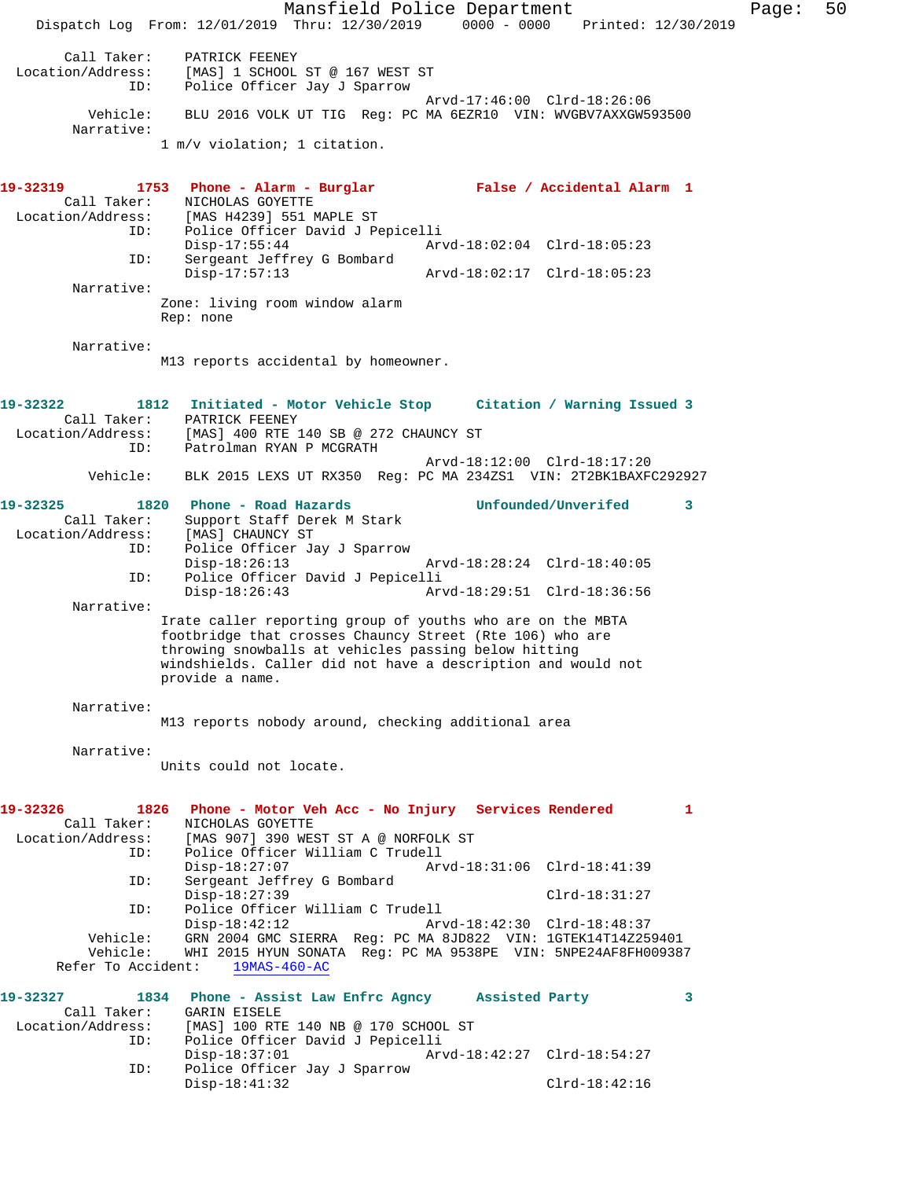Mansfield Police Department Fage: 50 Dispatch Log From: 12/01/2019 Thru: 12/30/2019 0000 - 0000 Printed: 12/30/2019 Call Taker: PATRICK FEENEY Location/Address: [MAS] 1 SCHOOL ST @ 167 WEST ST ID: Police Officer Jay J Sparrow Arvd-17:46:00 Clrd-18:26:06 Vehicle: BLU 2016 VOLK UT TIG Reg: PC MA 6EZR10 VIN: WVGBV7AXXGW593500 Narrative: 1 m/v violation; 1 citation. **19-32319 1753 Phone - Alarm - Burglar False / Accidental Alarm 1**  Call Taker: NICHOLAS GOYETTE Location/Address: [MAS H4239] 551 MAPLE ST ID: Police Officer David J Pepicelli Disp-17:55:44 Arvd-18:02:04 Clrd-18:05:23<br>TD: Sergeant Jeffrey G Bombard Sergeant Jeffrey G Bombard<br>Disp-17:57:13 Disp-17:57:13 Arvd-18:02:17 Clrd-18:05:23 Narrative: Zone: living room window alarm Rep: none Narrative: M13 reports accidental by homeowner. **19-32322 1812 Initiated - Motor Vehicle Stop Citation / Warning Issued 3**  Call Taker: PATRICK FEENEY Location/Address: [MAS] 400 RTE 140 SB @ 272 CHAUNCY ST ID: Patrolman RYAN P MCGRATH Arvd-18:12:00 Clrd-18:17:20 Vehicle: BLK 2015 LEXS UT RX350 Reg: PC MA 234ZS1 VIN: 2T2BK1BAXFC292927 **19-32325 1820 Phone - Road Hazards Unfounded/Unverifed 3**  Call Taker: Support Staff Derek M Stark<br>:ion/Address: [MAS] CHAUNCY ST Location/Address:<br>ID: Police Officer Jay J Sparrow<br>Disp-18:26:13 Disp-18:26:13 Arvd-18:28:24 Clrd-18:40:05 ID: Police Officer David J Pepicelli Disp-18:26:43 Arvd-18:29:51 Clrd-18:36:56 Narrative: Irate caller reporting group of youths who are on the MBTA footbridge that crosses Chauncy Street (Rte 106) who are throwing snowballs at vehicles passing below hitting windshields. Caller did not have a description and would not provide a name. Narrative: M13 reports nobody around, checking additional area Narrative: Units could not locate. **19-32326 1826 Phone - Motor Veh Acc - No Injury Services Rendered 1**  Call Taker: NICHOLAS GOYETTE Location/Address: [MAS 907] 390 WEST ST A @ NORFOLK ST ID: Police Officer William C Trudell Disp-18:27:07 <br>TD: Sergeant Jeffrey G Bombard<br>Displacement Jeffrey G Bombard Sergeant Jeffrey G Bombard Disp-18:27:39 Clrd-18:31:27<br>ID: Police Officer William C Trudell Clrd-18:31:27 ID: Police Officer William C Trudell Disp-18:42:12 Arvd-18:42:30 Clrd-18:48:37 Vehicle: GRN 2004 GMC SIERRA Reg: PC MA 8JD822 VIN: 1GTEK14T14Z259401 Vehicle: WHI 2015 HYUN SONATA Reg: PC MA 9538PE VIN: 5NPE24AF8FH009387 Refer To Accident: 19MAS-460-AC **19-32327 1834 Phone - Assist Law Enfrc Agncy Assisted Party 3**  Call Taker: GARIN EISELE Location/Address: [MAS] 100 RTE 140 NB @ 170 SCHOOL ST ID: Police Officer David J Pepicelli Disp-18:37:01 Arvd-18:42:27 Clrd-18:54:27<br>ID: Police Officer Jay J Sparrow Police Officer Jay J Sparrow Disp-18:41:32 Clrd-18:42:16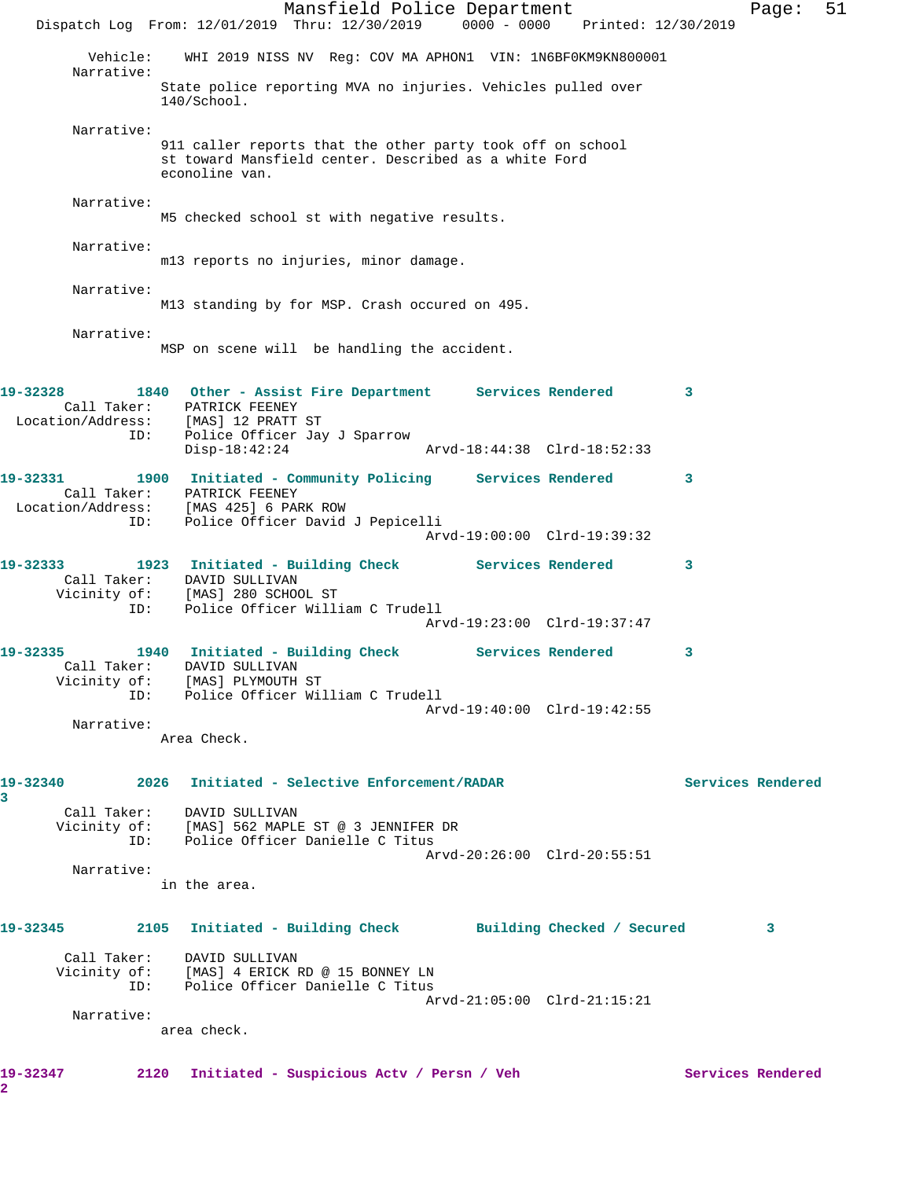Mansfield Police Department Fage: 51 Dispatch Log From: 12/01/2019 Thru: 12/30/2019 0000 - 0000 Printed: 12/30/2019 Vehicle: WHI 2019 NISS NV Reg: COV MA APHON1 VIN: 1N6BF0KM9KN800001 Narrative: State police reporting MVA no injuries. Vehicles pulled over 140/School. Narrative: 911 caller reports that the other party took off on school st toward Mansfield center. Described as a white Ford econoline van. Narrative: M5 checked school st with negative results. Narrative: m13 reports no injuries, minor damage. Narrative: M13 standing by for MSP. Crash occured on 495. Narrative: MSP on scene will be handling the accident. **19-32328 1840 Other - Assist Fire Department Services Rendered 3**  Call Taker: PATRICK FEENEY Location/Address: [MAS] 12 PRATT ST ID: Police Officer Jay J Sparrow Disp-18:42:24 Arvd-18:44:38 Clrd-18:52:33 **19-32331 1900 Initiated - Community Policing Services Rendered 3**  Call Taker: PATRICK FEENEY Location/Address: [MAS 425] 6 PARK ROW ID: Police Officer David J Pepicelli Arvd-19:00:00 Clrd-19:39:32 **19-32333 1923 Initiated - Building Check Services Rendered 3**  Call Taker: DAVID SULLIVAN Vicinity of: [MAS] 280 SCHOOL ST ID: Police Officer William C Trudell Arvd-19:23:00 Clrd-19:37:47 **19-32335 1940 Initiated - Building Check Services Rendered 3**  Call Taker: DAVID SULLIVAN Vicinity of: [MAS] PLYMOUTH ST ID: Police Officer William C Trudell Arvd-19:40:00 Clrd-19:42:55 Narrative: Area Check. **19-32340 2026 Initiated - Selective Enforcement/RADAR Services Rendered 3**  Call Taker: DAVID SULLIVAN Vicinity of: [MAS] 562 MAPLE ST @ 3 JENNIFER DR ID: Police Officer Danielle C Titus Arvd-20:26:00 Clrd-20:55:51 Narrative: in the area. **19-32345 2105 Initiated - Building Check Building Checked / Secured 3** Call Taker: DAVID SULLIVAN Vicinity of: [MAS] 4 ERICK RD @ 15 BONNEY LN ID: Police Officer Danielle C Titus Arvd-21:05:00 Clrd-21:15:21 Narrative: area check. **19-32347 2120 Initiated - Suspicious Actv / Persn / Veh Services Rendered 2**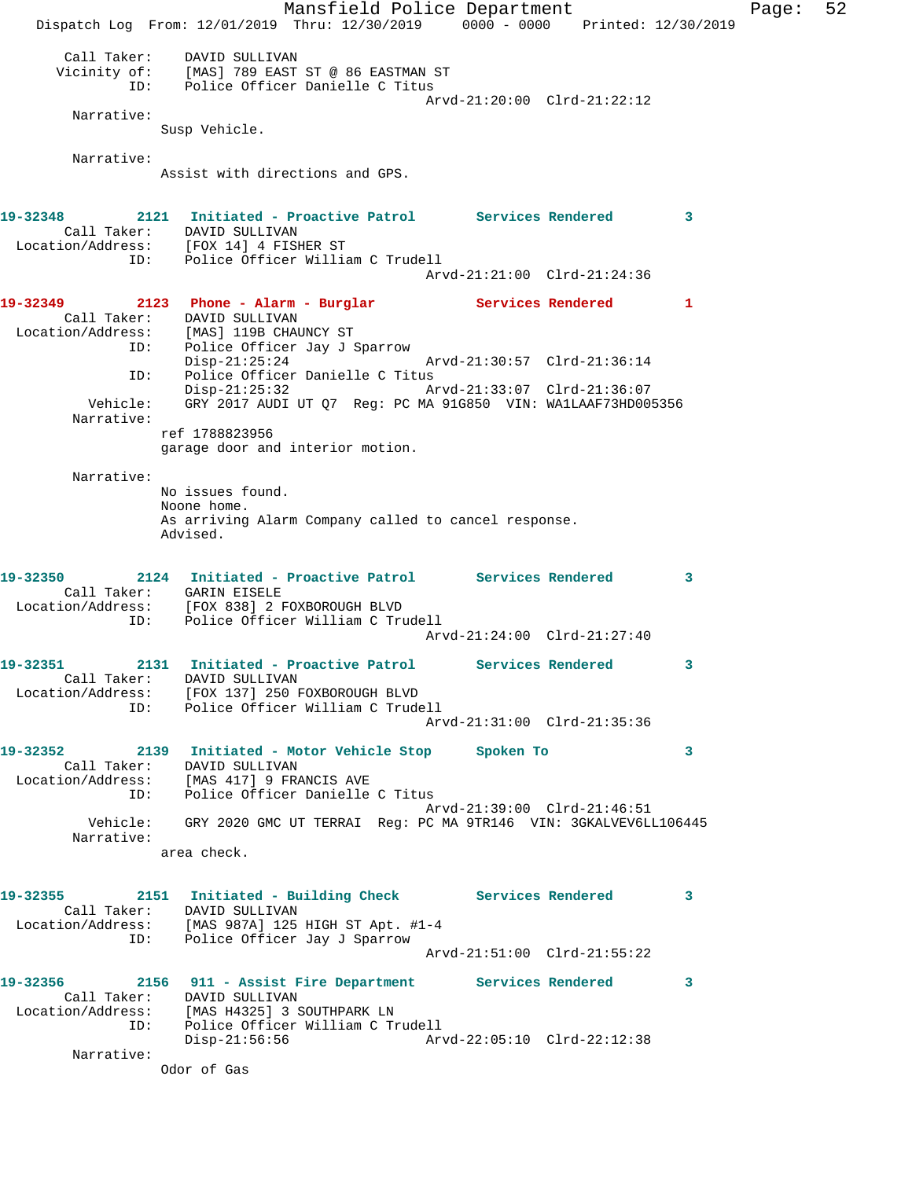Mansfield Police Department Fage: 52 Dispatch Log From: 12/01/2019 Thru: 12/30/2019 0000 - 0000 Printed: 12/30/2019 Call Taker: DAVID SULLIVAN Vicinity of: [MAS] 789 EAST ST @ 86 EASTMAN ST ID: Police Officer Danielle C Titus Arvd-21:20:00 Clrd-21:22:12 Narrative: Susp Vehicle. Narrative: Assist with directions and GPS. **19-32348 2121 Initiated - Proactive Patrol Services Rendered 3**  Call Taker: DAVID SULLIVAN Location/Address: [FOX 14] 4 FISHER ST ID: Police Officer William C Trudell Arvd-21:21:00 Clrd-21:24:36 **19-32349 2123 Phone - Alarm - Burglar Services Rendered 1**  Call Taker: DAVID SULLIVAN Location/Address: [MAS] 119B CHAUNCY ST ID: Police Officer Jay J Sparrow Disp-21:25:24 Arvd-21:30:57 Clrd-21:36:14 ID: Police Officer Danielle C Titus Disp-21:25:32 Arvd-21:33:07 Clrd-21:36:07 Vehicle: GRY 2017 AUDI UT Q7 Reg: PC MA 91G850 VIN: WA1LAAF73HD005356 Narrative: ref 1788823956 garage door and interior motion. Narrative: No issues found. Noone home. As arriving Alarm Company called to cancel response. Advised. **19-32350 2124 Initiated - Proactive Patrol Services Rendered 3**  Call Taker: GARIN EISELE Location/Address: [FOX 838] 2 FOXBOROUGH BLVD ID: Police Officer William C Trudell Arvd-21:24:00 Clrd-21:27:40 **19-32351 2131 Initiated - Proactive Patrol Services Rendered 3**  Call Taker: DAVID SULLIVAN Location/Address: [FOX 137] 250 FOXBOROUGH BLVD ID: Police Officer William C Trudell Arvd-21:31:00 Clrd-21:35:36 **19-32352 2139 Initiated - Motor Vehicle Stop Spoken To 3**  Call Taker: DAVID SULLIVAN Location/Address: [MAS 417] 9 FRANCIS AVE ID: Police Officer Danielle C Titus Arvd-21:39:00 Clrd-21:46:51 Vehicle: GRY 2020 GMC UT TERRAI Reg: PC MA 9TR146 VIN: 3GKALVEV6LL106445 Narrative: area check. **19-32355 2151 Initiated - Building Check Services Rendered 3**  Call Taker: DAVID SULLIVAN Location/Address: [MAS 987A] 125 HIGH ST Apt. #1-4 ID: Police Officer Jay J Sparrow Arvd-21:51:00 Clrd-21:55:22 **19-32356 2156 911 - Assist Fire Department Services Rendered 3**  Call Taker: DAVID SULLIVAN Location/Address: [MAS H4325] 3 SOUTHPARK LN ID: Police Officer William C Trudell Disp-21:56:56 Arvd-22:05:10 Clrd-22:12:38 Narrative: Odor of Gas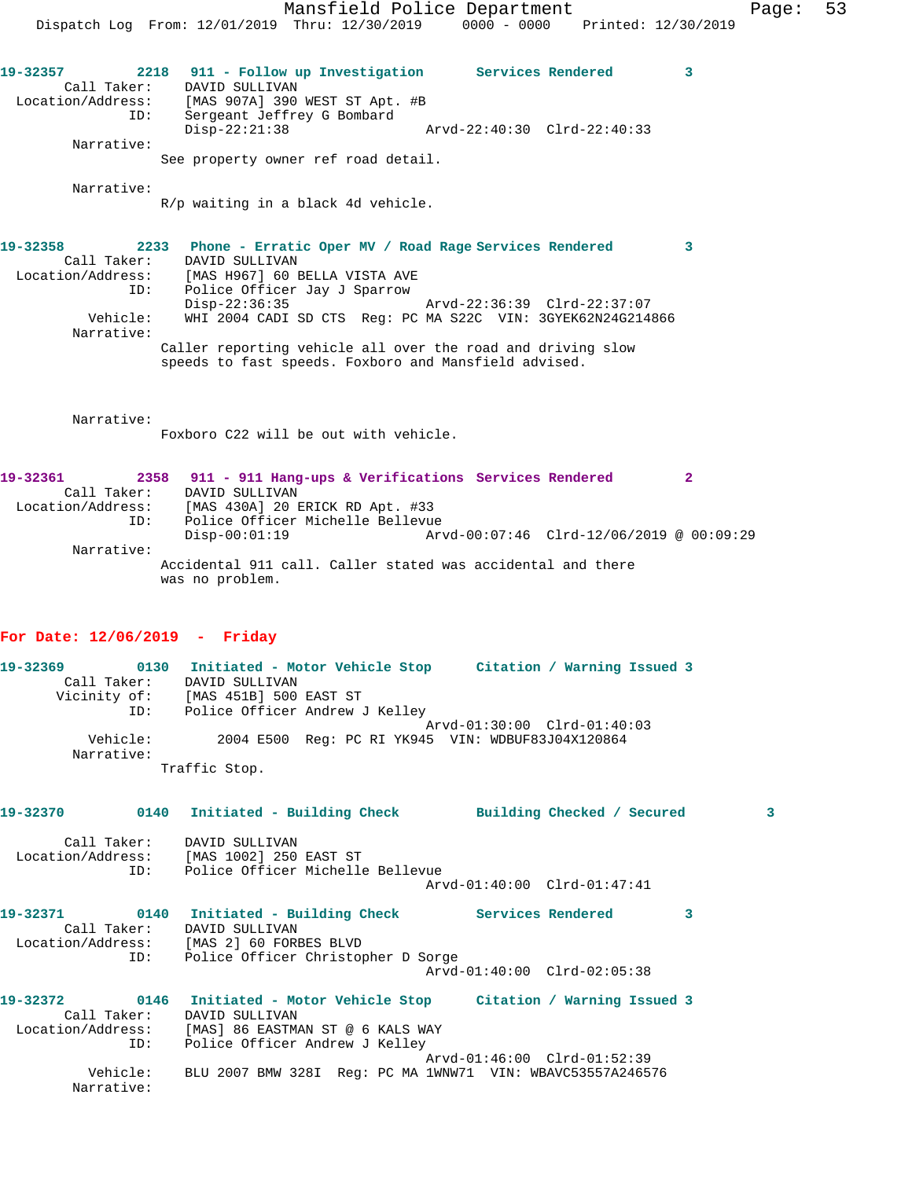Mansfield Police Department Fage: 53 Dispatch Log From: 12/01/2019 Thru: 12/30/2019 0000 - 0000 Printed: 12/30/2019 **19-32357 2218 911 - Follow up Investigation Services Rendered 3**  Call Taker: DAVID SULLIVAN Location/Address: [MAS 907A] 390 WEST ST Apt. #B ID: Sergeant Jeffrey G Bombard Disp-22:21:38 Arvd-22:40:30 Clrd-22:40:33 Narrative: See property owner ref road detail. Narrative: R/p waiting in a black 4d vehicle. **19-32358 2233 Phone - Erratic Oper MV / Road Rage Services Rendered 3**  Call Taker: DAVID SULLIVAN Location/Address: [MAS H967] 60 BELLA VISTA AVE ID: Police Officer Jay J Sparrow Disp-22:36:35 Arvd-22:36:39 Clrd-22:37:07 Vehicle: WHI 2004 CADI SD CTS Reg: PC MA S22C VIN: 3GYEK62N24G214866 Narrative: Caller reporting vehicle all over the road and driving slow speeds to fast speeds. Foxboro and Mansfield advised. Narrative: Foxboro C22 will be out with vehicle. **19-32361 2358 911 - 911 Hang-ups & Verifications Services Rendered 2**  Call Taker: DAVID SULLIVAN Location/Address: [MAS 430A] 20 ERICK RD Apt. #33 ID: Police Officer Michelle Bellevue Disp-00:01:19 Arvd-00:07:46 Clrd-12/06/2019 @ 00:09:29 Narrative: Accidental 911 call. Caller stated was accidental and there was no problem. **For Date: 12/06/2019 - Friday 19-32369 0130 Initiated - Motor Vehicle Stop Citation / Warning Issued 3**  Call Taker: DAVID SULLIVAN Vicinity of: [MAS 451B] 500 EAST ST ID: Police Officer Andrew J Kelley Arvd-01:30:00 Clrd-01:40:03<br>Vehicle: 2004 E500 Reg: PC RI YK945 VIN: WDBUF83J04X120864 2004 E500 Reg: PC RI YK945 VIN: WDBUF83J04X120864 Narrative: Traffic Stop. **19-32370 0140 Initiated - Building Check Building Checked / Secured 3** Call Taker: DAVID SULLIVAN Location/Address: [MAS 1002] 250 EAST ST

 Arvd-01:40:00 Clrd-01:47:41 19-32371 0140 Initiated - Building Check Services Rendered 3 Call Taker: DAVID SULLIVAN<br>tion/Address: [MAS 2] 60 FORBES BLVD Location/Address:<br>ID: Police Officer Christopher D Sorge Arvd-01:40:00 Clrd-02:05:38 **19-32372 0146 Initiated - Motor Vehicle Stop Citation / Warning Issued 3**  Call Taker: DAVID SULLIVAN

ID: Police Officer Michelle Bellevue

 Location/Address: [MAS] 86 EASTMAN ST @ 6 KALS WAY ID: Police Officer Andrew J Kelley Arvd-01:46:00 Clrd-01:52:39 Vehicle: BLU 2007 BMW 328I Reg: PC MA 1WNW71 VIN: WBAVC53557A246576 Narrative: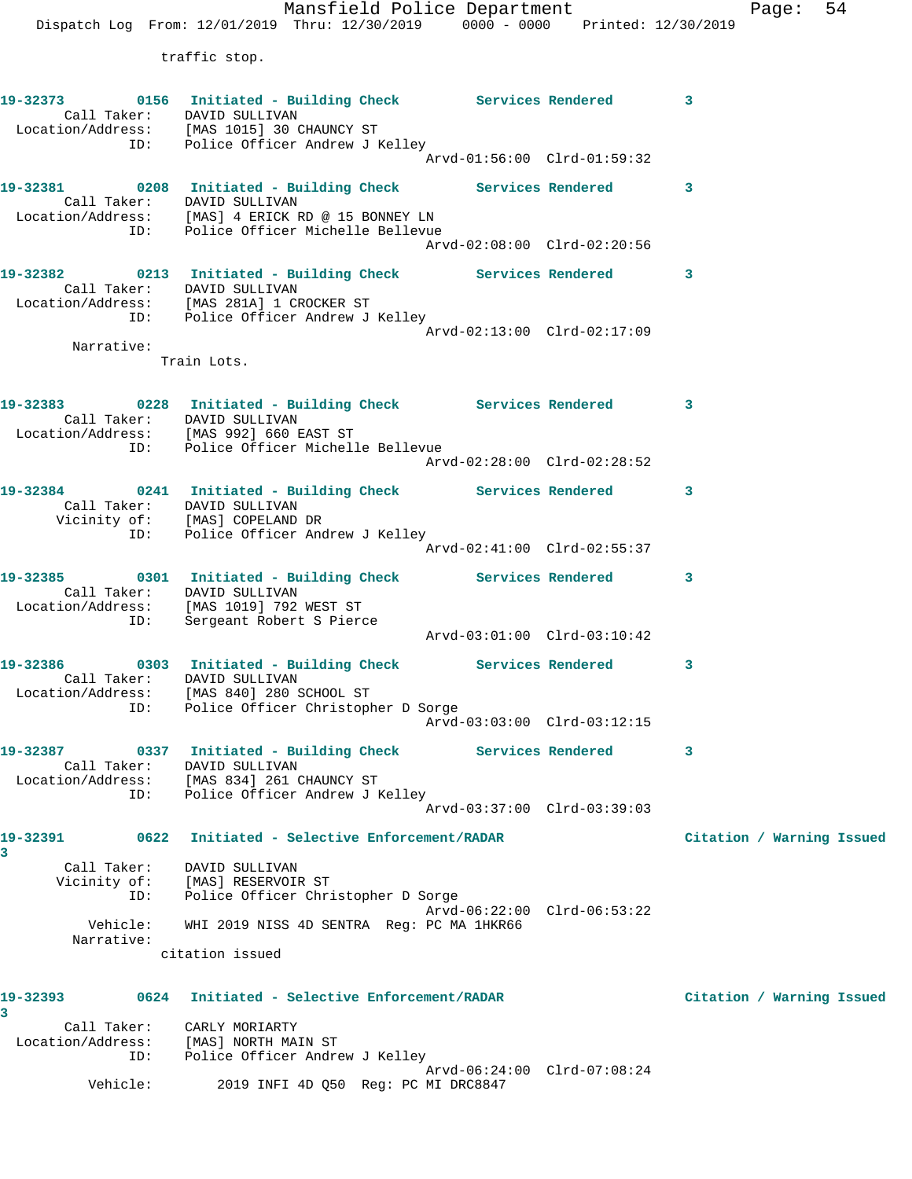Mansfield Police Department Fage: 54 Dispatch Log From: 12/01/2019 Thru: 12/30/2019 0000 - 0000 Printed: 12/30/2019 traffic stop.

|             |     | 19-32373 0156 Initiated - Building Check Services Rendered 3<br>Call Taker: DAVID SULLIVAN<br>Location/Address: [MAS 1015] 30 CHAUNCY ST |                             |                           |
|-------------|-----|------------------------------------------------------------------------------------------------------------------------------------------|-----------------------------|---------------------------|
|             |     | ID: Police Officer Andrew J Kelley                                                                                                       |                             |                           |
|             |     |                                                                                                                                          |                             |                           |
|             |     | 19-32381 0208 Initiated - Building Check Services Rendered                                                                               |                             | 3                         |
|             |     | Call Taker: DAVID SULLIVAN                                                                                                               |                             |                           |
|             |     | Location/Address: [MAS] 4 ERICK RD @ 15 BONNEY LN<br>ID: Police Officer Michelle Bellevue                                                |                             |                           |
|             |     |                                                                                                                                          | Arvd-02:08:00 Clrd-02:20:56 |                           |
|             |     | 19-32382 0213 Initiated - Building Check Services Rendered                                                                               |                             | 3                         |
|             |     | Call Taker: DAVID SULLIVAN                                                                                                               |                             |                           |
|             |     | Location/Address: [MAS 281A] 1 CROCKER ST                                                                                                |                             |                           |
|             |     | ID: Police Officer Andrew J Kelley                                                                                                       | Arvd-02:13:00 Clrd-02:17:09 |                           |
| Narrative:  |     |                                                                                                                                          |                             |                           |
|             |     | Train Lots.                                                                                                                              |                             |                           |
|             |     | 19-32383 0228 Initiated - Building Check Services Rendered 3                                                                             |                             |                           |
|             |     | Call Taker: DAVID SULLIVAN                                                                                                               |                             |                           |
|             |     | Location/Address: [MAS 992] 660 EAST ST                                                                                                  |                             |                           |
|             |     | ID: Police Officer Michelle Bellevue                                                                                                     | Arvd-02:28:00 Clrd-02:28:52 |                           |
|             |     |                                                                                                                                          |                             |                           |
|             |     | 19-32384 0241 Initiated - Building Check Services Rendered<br>Call Taker: DAVID SULLIVAN                                                 |                             | $\mathbf{3}$              |
|             |     | Vicinity of: [MAS] COPELAND DR                                                                                                           |                             |                           |
|             |     | ID: Police Officer Andrew J Kelley                                                                                                       |                             |                           |
|             |     |                                                                                                                                          |                             |                           |
|             |     | 19-32385 0301 Initiated - Building Check Services Rendered                                                                               |                             | 3                         |
|             |     | Call Taker: DAVID SULLIVAN                                                                                                               |                             |                           |
|             |     | Location/Address: [MAS 1019] 792 WEST ST<br>ID: Sergeant Robert S Pierce                                                                 |                             |                           |
|             |     |                                                                                                                                          |                             |                           |
|             |     |                                                                                                                                          |                             | 3                         |
|             |     | Call Taker: DAVID SULLIVAN                                                                                                               |                             |                           |
|             |     | Location/Address: [MAS 840] 280 SCHOOL ST                                                                                                |                             |                           |
|             |     | ID: Police Officer Christopher D Sorge                                                                                                   | Arvd-03:03:00 Clrd-03:12:15 |                           |
|             |     |                                                                                                                                          |                             |                           |
|             |     | 19-32387 0337 Initiated - Building Check Services Rendered 3                                                                             |                             |                           |
| Call Taker: |     | DAVID SULLIVAN<br>Location/Address: [MAS 834] 261 CHAUNCY ST                                                                             |                             |                           |
|             |     | ID: Police Officer Andrew J Kelley                                                                                                       |                             |                           |
|             |     |                                                                                                                                          | Arvd-03:37:00 Clrd-03:39:03 |                           |
| 19-32391    |     | 0622 Initiated - Selective Enforcement/RADAR                                                                                             |                             | Citation / Warning Issued |
| 3           |     | Call Taker: DAVID SULLIVAN                                                                                                               |                             |                           |
|             |     | Vicinity of: [MAS] RESERVOIR ST                                                                                                          |                             |                           |
|             |     | ID: Police Officer Christopher D Sorge                                                                                                   | Arvd-06:22:00 Clrd-06:53:22 |                           |
|             |     | Vehicle: WHI 2019 NISS 4D SENTRA Reg: PC MA 1HKR66                                                                                       |                             |                           |
| Narrative:  |     | citation issued                                                                                                                          |                             |                           |
|             |     |                                                                                                                                          |                             |                           |
| 19-32393    |     | 0624 Initiated - Selective Enforcement/RADAR                                                                                             |                             | Citation / Warning Issued |
| 3           |     | Call Taker: CARLY MORIARTY                                                                                                               |                             |                           |
|             |     | Location/Address: [MAS] NORTH MAIN ST                                                                                                    |                             |                           |
|             | ID: | Police Officer Andrew J Kelley                                                                                                           |                             |                           |

 Arvd-06:24:00 Clrd-07:08:24 Vehicle: 2019 INFI 4D Q50 Reg: PC MI DRC8847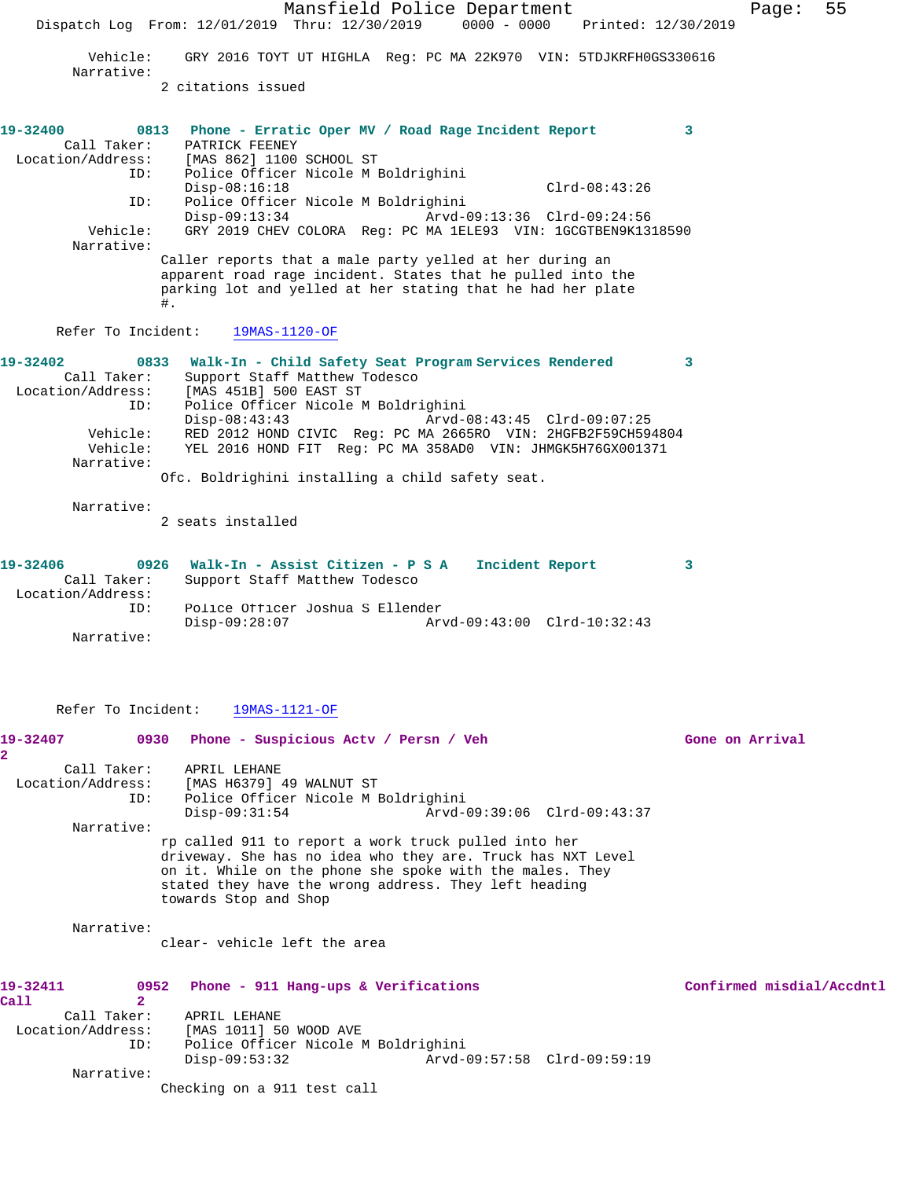Mansfield Police Department Fage: 55 Dispatch Log From: 12/01/2019 Thru: 12/30/2019 0000 - 0000 Printed: 12/30/2019 Vehicle: GRY 2016 TOYT UT HIGHLA Reg: PC MA 22K970 VIN: 5TDJKRFH0GS330616 Narrative: 2 citations issued **19-32400 0813 Phone - Erratic Oper MV / Road Rage Incident Report 3**  Call Taker: PATRICK FEENEY Location/Address: [MAS 862] 1100 SCHOOL ST ID: Police Officer Nicole M Boldrighini Disp-08:16:18 Clrd-08:43:26<br>ID: Police Officer Nicole M Boldrighini ID: Police Officer Nicole M Boldrighini Disp-09:13:34 Arvd-09:13:36 Clrd-09:24:56 Vehicle: GRY 2019 CHEV COLORA Reg: PC MA 1ELE93 VIN: 1GCGTBEN9K1318590 Narrative: Caller reports that a male party yelled at her during an apparent road rage incident. States that he pulled into the parking lot and yelled at her stating that he had her plate #. Refer To Incident: 19MAS-1120-OF **19-32402 0833 Walk-In - Child Safety Seat Program Services Rendered 3**  Call Taker: Support Staff Matthew Todesco Location/Address: [MAS 451B] 500 EAST ST ID: Police Officer Nicole M Boldrighini Disp-08:43:43 Arvd-08:43:45 Clrd-09:07:25 Vehicle: RED 2012 HOND CIVIC Reg: PC MA 2665RO VIN: 2HGFB2F59CH594804 Vehicle: YEL 2016 HOND FIT Reg: PC MA 358AD0 VIN: JHMGK5H76GX001371 Narrative: Ofc. Boldrighini installing a child safety seat. Narrative: 2 seats installed **19-32406 0926 Walk-In - Assist Citizen - P S A Incident Report 3**  Call Taker: Support Staff Matthew Todesco Location/Address: ID: Police Officer Joshua S Ellender Disp-09:28:07 Arvd-09:43:00 Clrd-10:32:43 Narrative: Refer To Incident: 19MAS-1121-OF 19-32407 0930 Phone - Suspicious Actv / Persn / Veh Gone on Arrival **2**  Call Taker: APRIL LEHANE Location/Address: [MAS H6379] 49 WALNUT ST ID: Police Officer Nicole M Boldrighini Disp-09:31:54 Arvd-09:39:06 Clrd-09:43:37 Narrative: rp called 911 to report a work truck pulled into her driveway. She has no idea who they are. Truck has NXT Level on it. While on the phone she spoke with the males. They stated they have the wrong address. They left heading towards Stop and Shop Narrative: clear- vehicle left the area **19-32411 0952 Phone - 911 Hang-ups & Verifications Confirmed misdial/Accdntl Call 2**  Call Taker: APRIL LEHANE Location/Address: [MAS 1011] 50 WOOD AVE ID: Police Officer Nicole M Boldrighini Disp-09:53:32 Arvd-09:57:58 Clrd-09:59:19 Narrative: Checking on a 911 test call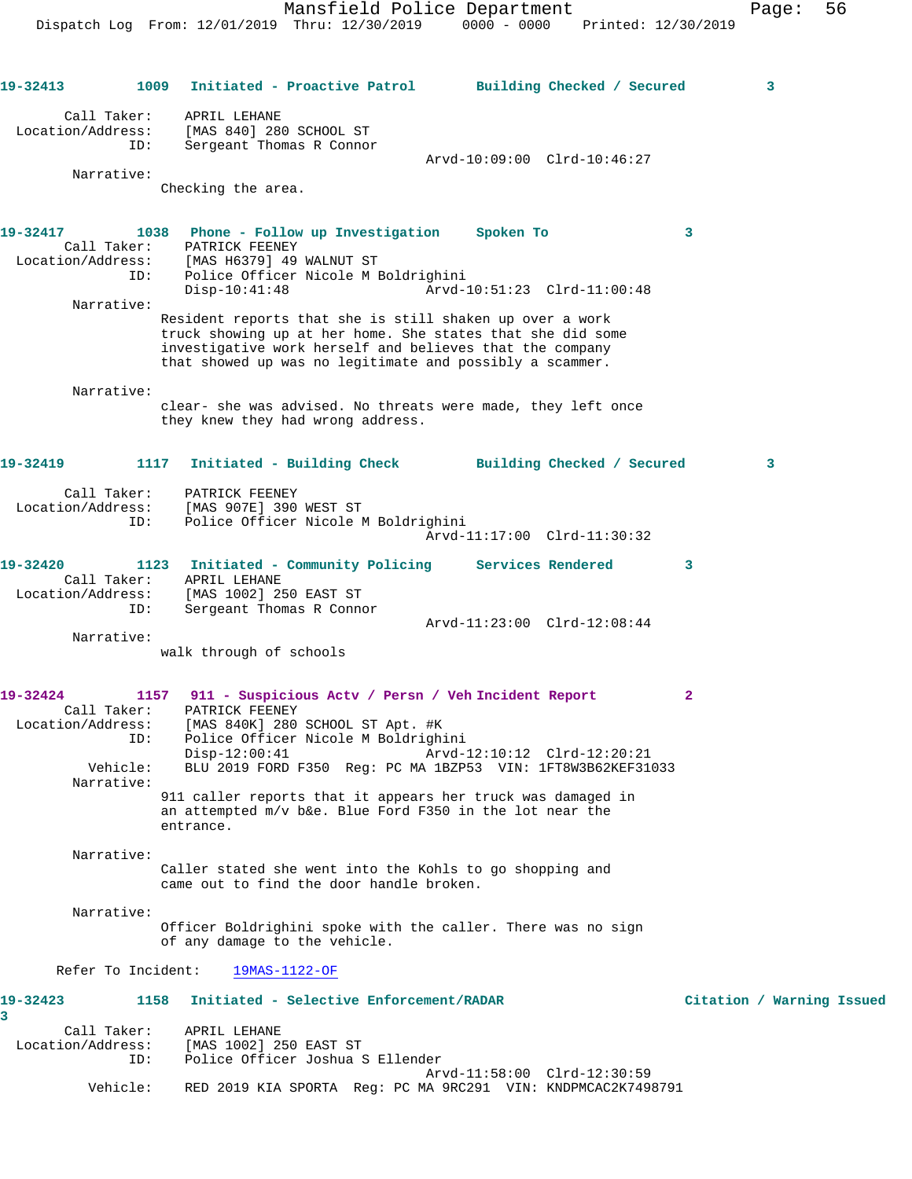**19-32413 1009 Initiated - Proactive Patrol Building Checked / Secured 3** Call Taker: APRIL LEHANE Location/Address: [MAS 840] 280 SCHOOL ST ID: Sergeant Thomas R Connor Arvd-10:09:00 Clrd-10:46:27 Narrative: Checking the area. **19-32417 1038 Phone - Follow up Investigation Spoken To 3**  Call Taker: PATRICK FEENEY Location/Address: [MAS H6379] 49 WALNUT ST ID: Police Officer Nicole M Boldrighini Disp-10:41:48 Arvd-10:51:23 Clrd-11:00:48 Narrative: Resident reports that she is still shaken up over a work truck showing up at her home. She states that she did some investigative work herself and believes that the company that showed up was no legitimate and possibly a scammer. Narrative: clear- she was advised. No threats were made, they left once they knew they had wrong address. **19-32419 1117 Initiated - Building Check Building Checked / Secured 3** Call Taker: PATRICK FEENEY Location/Address: [MAS 907E] 390 WEST ST ID: Police Officer Nicole M Boldrighini Arvd-11:17:00 Clrd-11:30:32 **19-32420 1123 Initiated - Community Policing Services Rendered 3**  Call Taker: APRIL LEHANE Location/Address: [MAS 1002] 250 EAST ST ID: Sergeant Thomas R Connor Arvd-11:23:00 Clrd-12:08:44 Narrative: walk through of schools **19-32424 1157 911 - Suspicious Actv / Persn / Veh Incident Report 2**  Call Taker: PATRICK FEENEY Location/Address: [MAS 840K] 280 SCHOOL ST Apt. #K ID: Police Officer Nicole M Boldrighini Disp-12:00:41 Arvd-12:10:12 Clrd-12:20:21 Vehicle: BLU 2019 FORD F350 Reg: PC MA 1BZP53 VIN: 1FT8W3B62KEF31033 Narrative: 911 caller reports that it appears her truck was damaged in an attempted m/v b&e. Blue Ford F350 in the lot near the entrance. Narrative: Caller stated she went into the Kohls to go shopping and came out to find the door handle broken. Narrative: Officer Boldrighini spoke with the caller. There was no sign of any damage to the vehicle. Refer To Incident: 19MAS-1122-OF **19-32423 1158 Initiated - Selective Enforcement/RADAR Citation / Warning Issued 3**  Call Taker: APRIL LEHANE Location/Address: [MAS 1002] 250 EAST ST ID: Police Officer Joshua S Ellender Arvd-11:58:00 Clrd-12:30:59 Vehicle: RED 2019 KIA SPORTA Reg: PC MA 9RC291 VIN: KNDPMCAC2K7498791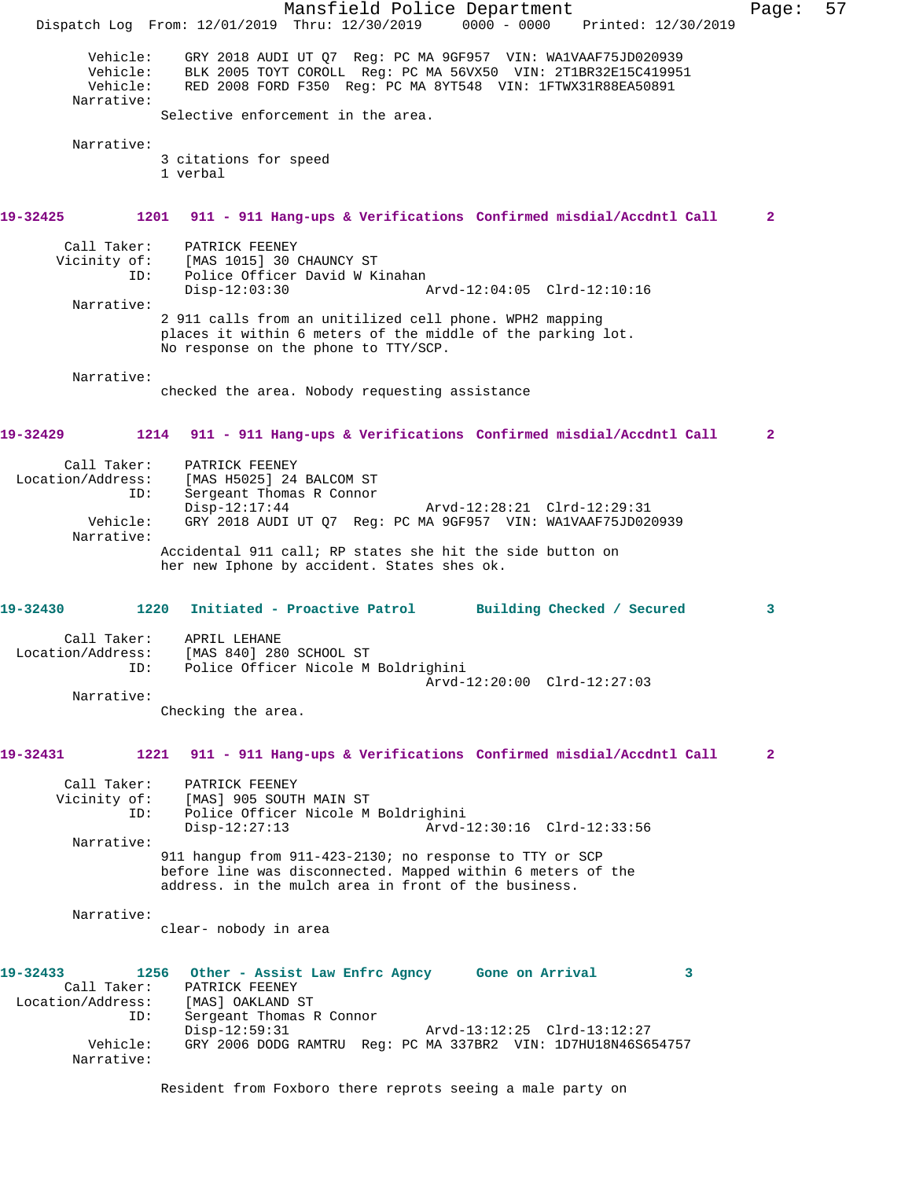Mansfield Police Department Page: 57 Dispatch Log From: 12/01/2019 Thru: 12/30/2019 0000 - 0000 Printed: 12/30/2019 Vehicle: GRY 2018 AUDI UT Q7 Reg: PC MA 9GF957 VIN: WA1VAAF75JD020939 Vehicle: BLK 2005 TOYT COROLL Reg: PC MA 56VX50 VIN: 2T1BR32E15C419951 Vehicle: RED 2008 FORD F350 Reg: PC MA 8YT548 VIN: 1FTWX31R88EA50891 Narrative: Selective enforcement in the area. Narrative: 3 citations for speed 1 verbal **19-32425 1201 911 - 911 Hang-ups & Verifications Confirmed misdial/Accdntl Call 2** Call Taker: PATRICK FEENEY<br>Vicinity of: [MAS 1015] 30 0 of: [MAS 1015] 30 CHAUNCY ST<br>ID: Police Officer David W K. Police Officer David W Kinahan Disp-12:03:30 Arvd-12:04:05 Clrd-12:10:16 Narrative: 2 911 calls from an unitilized cell phone. WPH2 mapping places it within 6 meters of the middle of the parking lot. No response on the phone to TTY/SCP. Narrative: checked the area. Nobody requesting assistance **19-32429 1214 911 - 911 Hang-ups & Verifications Confirmed misdial/Accdntl Call 2** Call Taker: PATRICK FEENEY<br>Location/Address: [MAS H5025] 24 [MAS H5025] 24 BALCOM ST ID: Sergeant Thomas R Connor Disp-12:17:44 Arvd-12:28:21 Clrd-12:29:31<br>Vehicle: GRY 2018 AUDI UT Q7 Reg: PC MA 9GF957 VIN: WA1VAAF75JD02 GRY 2018 AUDI UT Q7 Reg: PC MA 9GF957 VIN: WA1VAAF75JD020939 Narrative: Accidental 911 call; RP states she hit the side button on her new Iphone by accident. States shes ok. **19-32430 1220 Initiated - Proactive Patrol Building Checked / Secured 3** Call Taker: APRIL LEHANE<br>Location/Address: [MAS 840] 28 SS: [MAS 840] 280 SCHOOL ST<br>ID: Police Officer Nicole M Police Officer Nicole M Boldrighini Arvd-12:20:00 Clrd-12:27:03 Narrative: Checking the area. **19-32431 1221 911 - 911 Hang-ups & Verifications Confirmed misdial/Accdntl Call 2** Call Taker: PATRICK FEENEY Vicinity of: [MAS] 905 SOUTH MAIN ST<br>ID: Police Officer Nicole M Police Officer Nicole M Boldrighini<br>Disp-12:27:13 Arvd- Disp-12:27:13 Arvd-12:30:16 Clrd-12:33:56 Narrative: 911 hangup from 911-423-2130; no response to TTY or SCP before line was disconnected. Mapped within 6 meters of the address. in the mulch area in front of the business. Narrative: clear- nobody in area **19-32433 1256 Other - Assist Law Enfrc Agncy Gone on Arrival 3**  PATRICK FEENEY<br>[MAS] OAKLAND ST Location/Address: ID: Sergeant Thomas R Connor Disp-12:59:31 Arvd-13:12:25 Clrd-13:12:27 Vehicle: GRY 2006 DODG RAMTRU Reg: PC MA 337BR2 VIN: 1D7HU18N46S654757 Narrative: Resident from Foxboro there reprots seeing a male party on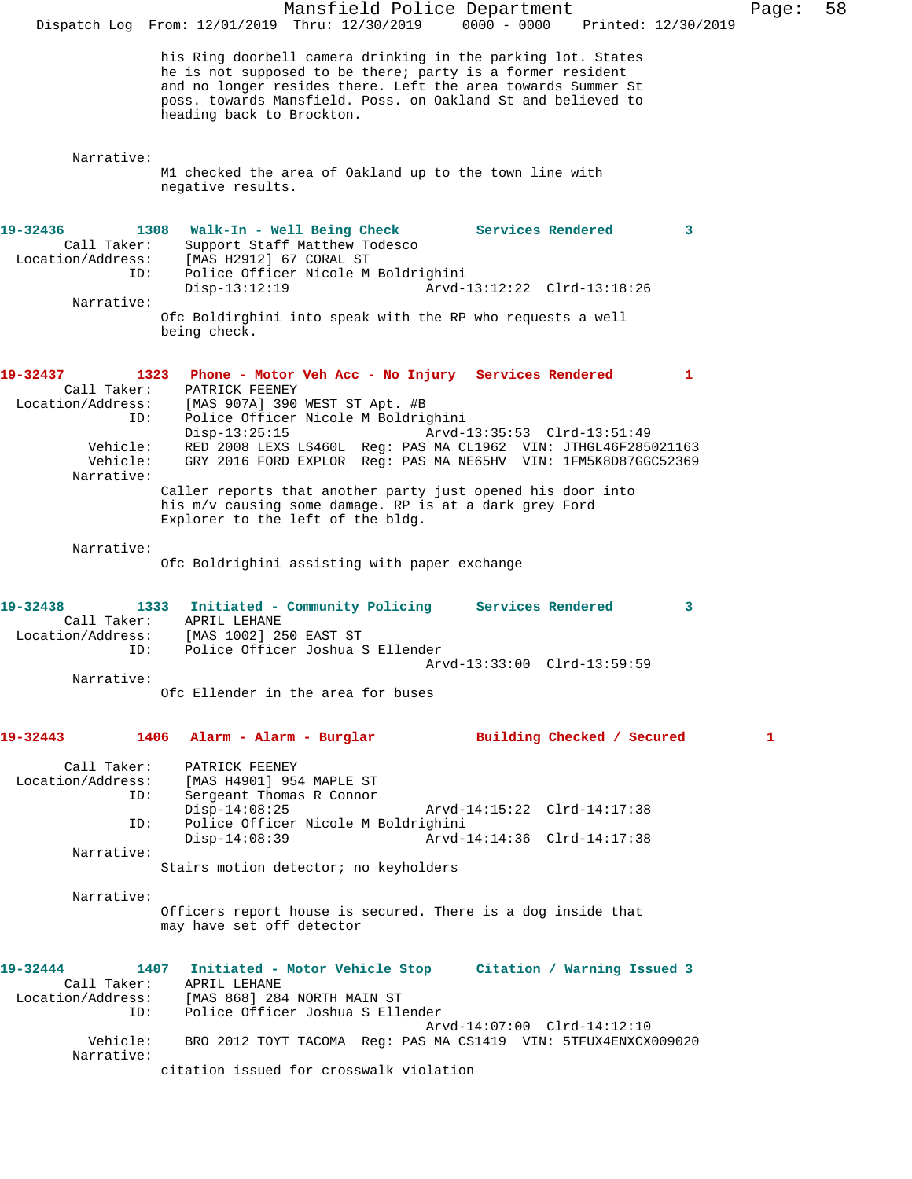|                                                                                           | Mansfield Police Department<br>$0000 - 0000$<br>Dispatch Log From: 12/01/2019 Thru: 12/30/2019<br>Printed: 12/30/2019                                                                                                                                                                                                                                                                                                                                                                                                   | Page: | 58 |
|-------------------------------------------------------------------------------------------|-------------------------------------------------------------------------------------------------------------------------------------------------------------------------------------------------------------------------------------------------------------------------------------------------------------------------------------------------------------------------------------------------------------------------------------------------------------------------------------------------------------------------|-------|----|
|                                                                                           | his Ring doorbell camera drinking in the parking lot. States<br>he is not supposed to be there; party is a former resident<br>and no longer resides there. Left the area towards Summer St<br>poss. towards Mansfield. Poss. on Oakland St and believed to<br>heading back to Brockton.                                                                                                                                                                                                                                 |       |    |
| Narrative:                                                                                | M1 checked the area of Oakland up to the town line with<br>negative results.                                                                                                                                                                                                                                                                                                                                                                                                                                            |       |    |
| 19-32436<br>Call Taker:<br>Location/Address:<br>ID:<br>Narrative:                         | 1308<br>Walk-In - Well Being Check<br>Services Rendered<br>3<br>Support Staff Matthew Todesco<br>[MAS H2912] 67 CORAL ST<br>Police Officer Nicole M Boldrighini<br>$Disp-13:12:19$<br>Arvd-13:12:22 Clrd-13:18:26<br>Ofc Boldirghini into speak with the RP who requests a well<br>being check.                                                                                                                                                                                                                         |       |    |
| 19-32437<br>Call Taker:<br>Location/Address:<br>ID:<br>Vehicle:<br>Vehicle:<br>Narrative: | 1323 Phone - Motor Veh Acc - No Injury Services Rendered<br>$\mathbf{1}$<br>PATRICK FEENEY<br>[MAS 907A] 390 WEST ST Apt. #B<br>Police Officer Nicole M Boldrighini<br>$Disp-13:25:15$<br>Arvd-13:35:53 Clrd-13:51:49<br>RED 2008 LEXS LS460L Req: PAS MA CL1962 VIN: JTHGL46F285021163<br>GRY 2016 FORD EXPLOR Req: PAS MA NE65HV VIN: 1FM5K8D87GGC52369<br>Caller reports that another party just opened his door into<br>his m/v causing some damage. RP is at a dark grey Ford<br>Explorer to the left of the bldg. |       |    |
| Narrative:                                                                                | Ofc Boldrighini assisting with paper exchange                                                                                                                                                                                                                                                                                                                                                                                                                                                                           |       |    |
| 19-32438<br>Call Taker:<br>Location/Address:<br>ID:<br>Narrative:                         | 1333<br>Initiated - Community Policing Services Rendered<br>3<br>APRIL LEHANE<br>[MAS 1002] 250 EAST ST<br>Police Officer Joshua S Ellender<br>Arvd-13:33:00 Clrd-13:59:59                                                                                                                                                                                                                                                                                                                                              |       |    |
|                                                                                           | Ofc Ellender in the area for buses                                                                                                                                                                                                                                                                                                                                                                                                                                                                                      |       |    |
| 19-32443<br>Call Taker:<br>Location/Address:<br>ID:<br>ID:<br>Narrative:                  | 1406<br>Alarm - Alarm - Burglar<br>Building Checked / Secured<br>PATRICK FEENEY<br>[MAS H4901] 954 MAPLE ST<br>Sergeant Thomas R Connor<br>$Disp-14:08:25$<br>Arvd-14:15:22 Clrd-14:17:38<br>Police Officer Nicole M Boldrighini<br>Arvd-14:14:36 Clrd-14:17:38<br>$Disp-14:08:39$<br>Stairs motion detector; no keyholders                                                                                                                                                                                             | 1     |    |
| Narrative:                                                                                | Officers report house is secured. There is a dog inside that<br>may have set off detector                                                                                                                                                                                                                                                                                                                                                                                                                               |       |    |
| 19-32444<br>Call Taker:<br>Location/Address:<br>ID:<br>Vehicle:                           | 1407 Initiated - Motor Vehicle Stop Citation / Warning Issued 3<br>APRIL LEHANE<br>[MAS 868] 284 NORTH MAIN ST<br>Police Officer Joshua S Ellender<br>Arvd-14:07:00 Clrd-14:12:10<br>BRO 2012 TOYT TACOMA Req: PAS MA CS1419 VIN: 5TFUX4ENXCX009020                                                                                                                                                                                                                                                                     |       |    |
| Narrative:                                                                                | citation issued for crosswalk violation                                                                                                                                                                                                                                                                                                                                                                                                                                                                                 |       |    |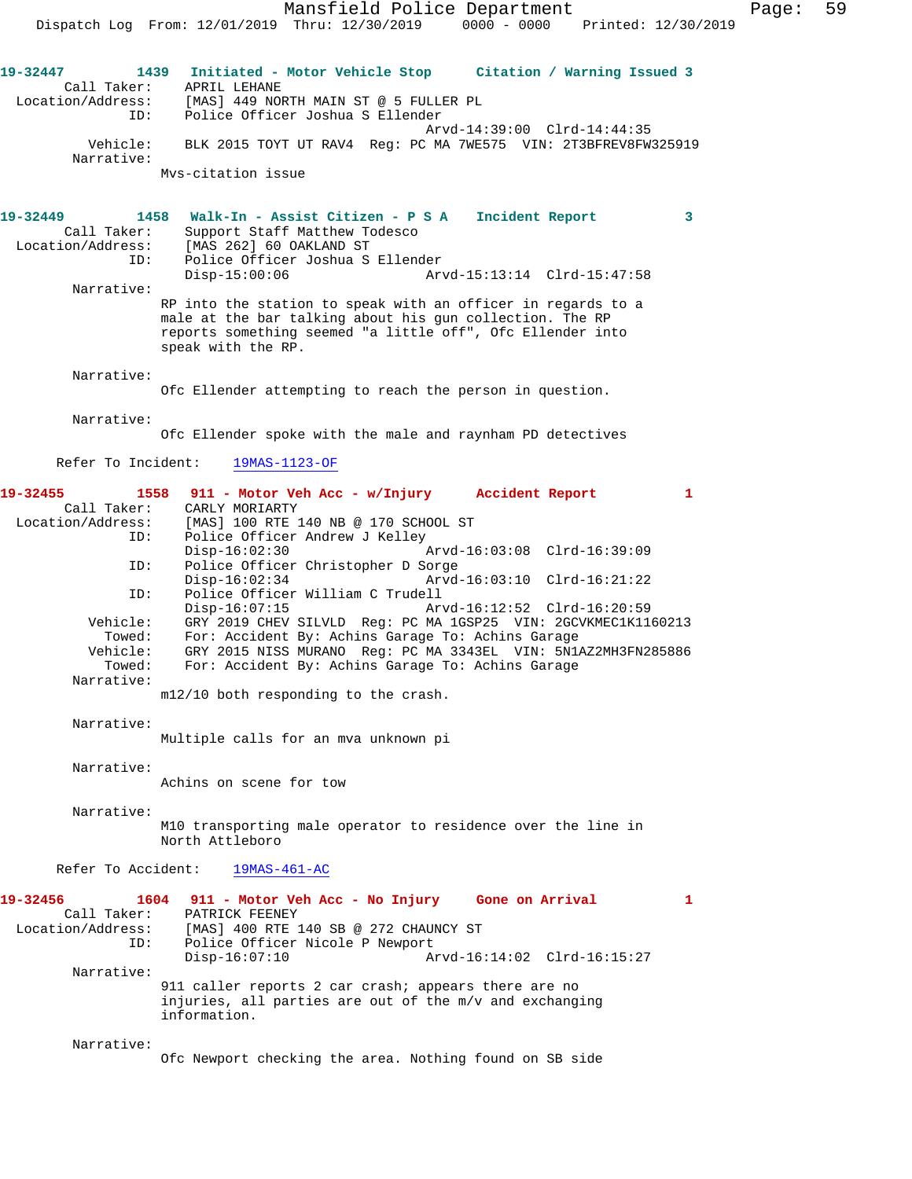Mansfield Police Department Fage: 59 Dispatch Log From: 12/01/2019 Thru: 12/30/2019 0000 - 0000 Printed: 12/30/2019 **19-32447 1439 Initiated - Motor Vehicle Stop Citation / Warning Issued 3**  Call Taker: APRIL LEHANE Location/Address: [MAS] 449 NORTH MAIN ST @ 5 FULLER PL ID: Police Officer Joshua S Ellender Arvd-14:39:00 Clrd-14:44:35 Vehicle: BLK 2015 TOYT UT RAV4 Reg: PC MA 7WE575 VIN: 2T3BFREV8FW325919 Narrative: Mvs-citation issue **19-32449 1458 Walk-In - Assist Citizen - P S A Incident Report 3**  Call Taker: Support Staff Matthew Todesco Location/Address: [MAS 262] 60 OAKLAND ST ID: Police Officer Joshua S Ellender Arvd-15:13:14 Clrd-15:47:58 Narrative: RP into the station to speak with an officer in regards to a male at the bar talking about his gun collection. The RP reports something seemed "a little off", Ofc Ellender into speak with the RP. Narrative: Ofc Ellender attempting to reach the person in question. Narrative: Ofc Ellender spoke with the male and raynham PD detectives Refer To Incident: 19MAS-1123-OF **19-32455 1558 911 - Motor Veh Acc - w/Injury Accident Report 1**  Call Taker: CARLY MORIARTY<br>Location/Address: [MAS] 100 RTE ess: [MAS] 100 RTE 140 NB @ 170 SCHOOL ST<br>ID: Police Officer Andrew J Kelley Police Officer Andrew J Kelley Disp-16:02:30 Arvd-16:03:08 Clrd-16:39:09<br>ID: Police Officer Christopher D Sorge Police Officer Christopher D Sorge Disp-16:02:34 Arvd-16:03:10 Clrd-16:21:22 ID: Police Officer William C Trudell Arvd-16:12:52 Clrd-16:20:59 Vehicle: GRY 2019 CHEV SILVLD Reg: PC MA 1GSP25 VIN: 2GCVKMEC1K1160213<br>Towed: For: Accident By: Achins Garage To: Achins Garage<br>Vehicle: GRY 2015 NISS MURANO Reg: PC MA 3343EL VIN: 5N1AZ2MH3FN285886 Towed: For: Accident By: Achins Garage To: Achins Garage Vehicle: GRY 2015 NISS MURANO Reg: PC MA 3343EL VIN: 5N1AZ2MH3FN285886 Towed: For: Accident By: Achins Garage To: Achins Garage Narrative: m12/10 both responding to the crash. Narrative: Multiple calls for an mva unknown pi Narrative: Achins on scene for tow Narrative: M10 transporting male operator to residence over the line in North Attleboro Refer To Accident: 19MAS-461-AC **19-32456 1604 911 - Motor Veh Acc - No Injury Gone on Arrival 1**  Call Taker: PATRICK FEENEY Location/Address: [MAS] 400 RTE 140 SB @ 272 CHAUNCY ST ID: Police Officer Nicole P Newport Disp-16:07:10 Arvd-16:14:02 Clrd-16:15:27 Narrative: 911 caller reports 2 car crash; appears there are no injuries, all parties are out of the m/v and exchanging information.

Narrative:

Ofc Newport checking the area. Nothing found on SB side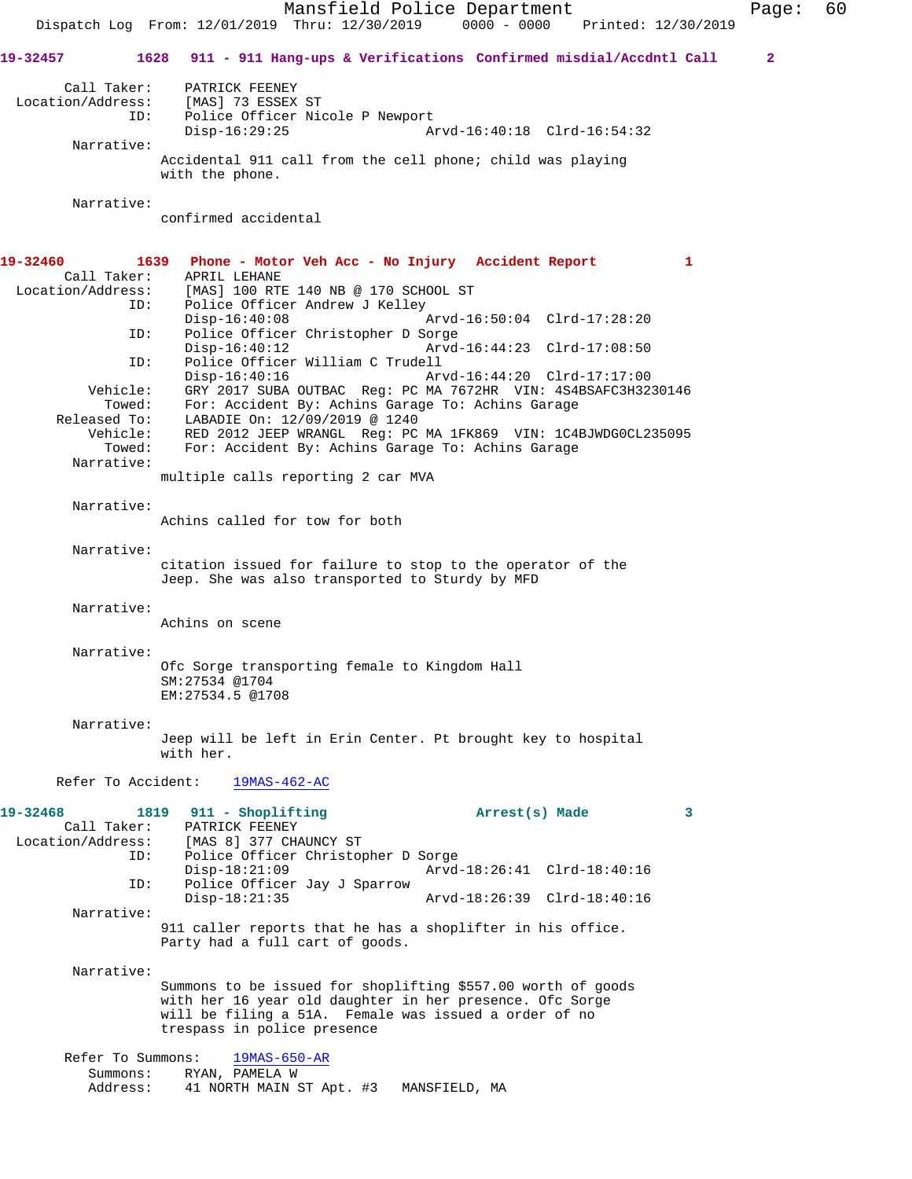Mansfield Police Department Page: 60 Dispatch Log From: 12/01/2019 Thru: 12/30/2019 0000 - 0000 Printed: 12/30/2019 **19-32457 1628 911 - 911 Hang-ups & Verifications Confirmed misdial/Accdntl Call 2** Call Taker: PATRICK FEENEY<br>Location/Address: [MAS] 73 ESSEX<br>ID: Police Officer  $[MAS]$  73 ESSEX ST Police Officer Nicole P Newport<br>Disp-16:29:25 A Arvd-16:40:18 Clrd-16:54:32 Narrative: Accidental 911 call from the cell phone; child was playing with the phone. Narrative: confirmed accidental **19-32460 1639 Phone - Motor Veh Acc - No Injury Accident Report 1**  Call Taker: APRIL LEHANE Location/Address: [MAS] 100 RTE 140 NB @ 170 SCHOOL ST ID: Police Officer Andrew J Kelley<br>Disp-16:40:08 Disp-16:40:08 Arvd-16:50:04 Clrd-17:28:20<br>ID: Police Officer Christopher D Sorge Police Officer Christopher D Sorge Disp-16:40:12 Arvd-16:44:23 Clrd-17:08:50<br>ID: Police Officer William C Trudell Police Officer William C Trudell<br>Disp-16:40:16 Ar Disp-16:40:16 Arvd-16:44:20 Clrd-17:17:00<br>Vehicle: GRY 2017 SUBA OUTBAC Reg: PC MA 7672HR VIN: 4S4BSAFC3H32 GRY 2017 SUBA OUTBAC Reg: PC MA 7672HR VIN: 4S4BSAFC3H3230146 Towed: For: Accident By: Achins Garage To: Achins Garage Released To: LABADIE On: 12/09/2019 @ 1240<br>Vehicle: RED 2012 JEEP WRANGL Reg: PC ehicle: RED 2012 JEEP WRANGL Reg: PC MA 1FK869 VIN: 1C4BJWDG0CL235095<br>Towed: For: Accident By: Achins Garage To: Achins Garage For: Accident By: Achins Garage To: Achins Garage Narrative: multiple calls reporting 2 car MVA Narrative: Achins called for tow for both Narrative: citation issued for failure to stop to the operator of the Jeep. She was also transported to Sturdy by MFD Narrative: Achins on scene Narrative: Ofc Sorge transporting female to Kingdom Hall SM:27534 @1704 EM:27534.5 @1708 Narrative: Jeep will be left in Erin Center. Pt brought key to hospital with her. Refer To Accident: 19MAS-462-AC **19-32468 1819 911 - Shoplifting Arrest(s) Made 3**  Call Taker: PATRICK FEENEY Location/Address: [MAS 8] 377 CHAUNCY ST ID: Police Officer Christopher D Sorge Disp-18:21:09 <br>
D: Police Officer Jay J Sparrow <br>
D: Police Officer Jay J Sparrow Police Officer Jay J Sparrow<br>Disp-18:21:35 Disp-18:21:35 Arvd-18:26:39 Clrd-18:40:16 Narrative: 911 caller reports that he has a shoplifter in his office. Party had a full cart of goods. Narrative: Summons to be issued for shoplifting \$557.00 worth of goods with her 16 year old daughter in her presence. Ofc Sorge will be filing a 51A. Female was issued a order of no trespass in police presence Refer To Summons: 19MAS-650-AR Summons: RYAN, PAMELA W Address: 41 NORTH MAIN ST Apt. #3 MANSFIELD, MA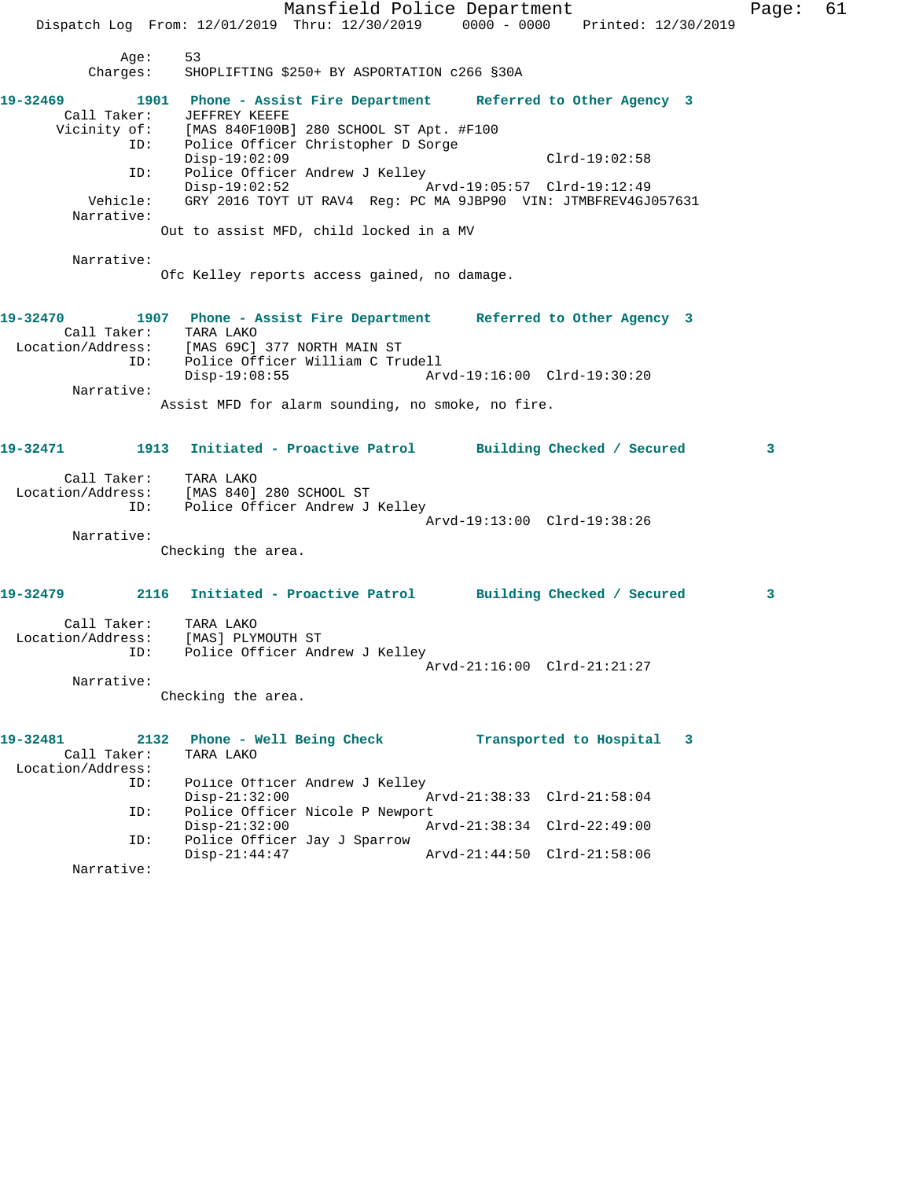Mansfield Police Department Fage: 61 Dispatch Log From: 12/01/2019 Thru: 12/30/2019 0000 - 0000 Printed: 12/30/2019 Age: 53 Charges: SHOPLIFTING \$250+ BY ASPORTATION c266 §30A **19-32469 1901 Phone - Assist Fire Department Referred to Other Agency 3**  Call Taker: JEFFREY KEEFE Vicinity of: [MAS 840F100B] 280 SCHOOL ST Apt. #F100 ID: Police Officer Christopher D Sorge Disp-19:02:09 Clrd-19:02:58<br>ID: Police Officer Andrew J Kelley Police Officer Andrew J Kelley Disp-19:02:52 Arvd-19:05:57 Clrd-19:12:49 Vehicle: GRY 2016 TOYT UT RAV4 Reg: PC MA 9JBP90 VIN: JTMBFREV4GJ057631 Narrative: Out to assist MFD, child locked in a MV Narrative: Ofc Kelley reports access gained, no damage. **19-32470 1907 Phone - Assist Fire Department Referred to Other Agency 3**  Call Taker: TARA LAKO Location/Address: [MAS 69C] 377 NORTH MAIN ST ID: Police Officer William C Trudell Disp-19:08:55 Arvd-19:16:00 Clrd-19:30:20 Narrative: Assist MFD for alarm sounding, no smoke, no fire. **19-32471 1913 Initiated - Proactive Patrol Building Checked / Secured 3** Call Taker: TARA LAKO Location/Address: [MAS 840] 280 SCHOOL ST ID: Police Officer Andrew J Kelley Arvd-19:13:00 Clrd-19:38:26 Narrative: Checking the area. **19-32479 2116 Initiated - Proactive Patrol Building Checked / Secured 3** Call Taker: TARA LAKO Location/Address: [MAS] PLYMOUTH ST ID: Police Officer Andrew J Kelley Arvd-21:16:00 Clrd-21:21:27 Narrative: Checking the area. **19-32481 2132 Phone - Well Being Check Transported to Hospital 3**  Call Taker: TARA LAKO Location/Address: ID: Police Officer Andrew J Kelley<br>Disp-21:32:00 Disp-21:32:00 Arvd-21:38:33 Clrd-21:58:04 ID: Police Officer Nicole P Newport<br>Disp-21:32:00 Az Disp-21:32:00 Arvd-21:38:34 Clrd-22:49:00 ID: Police Officer Jay J Sparrow<br>Disp-21:44:47 Disp-21:44:47 Arvd-21:44:50 Clrd-21:58:06 Narrative: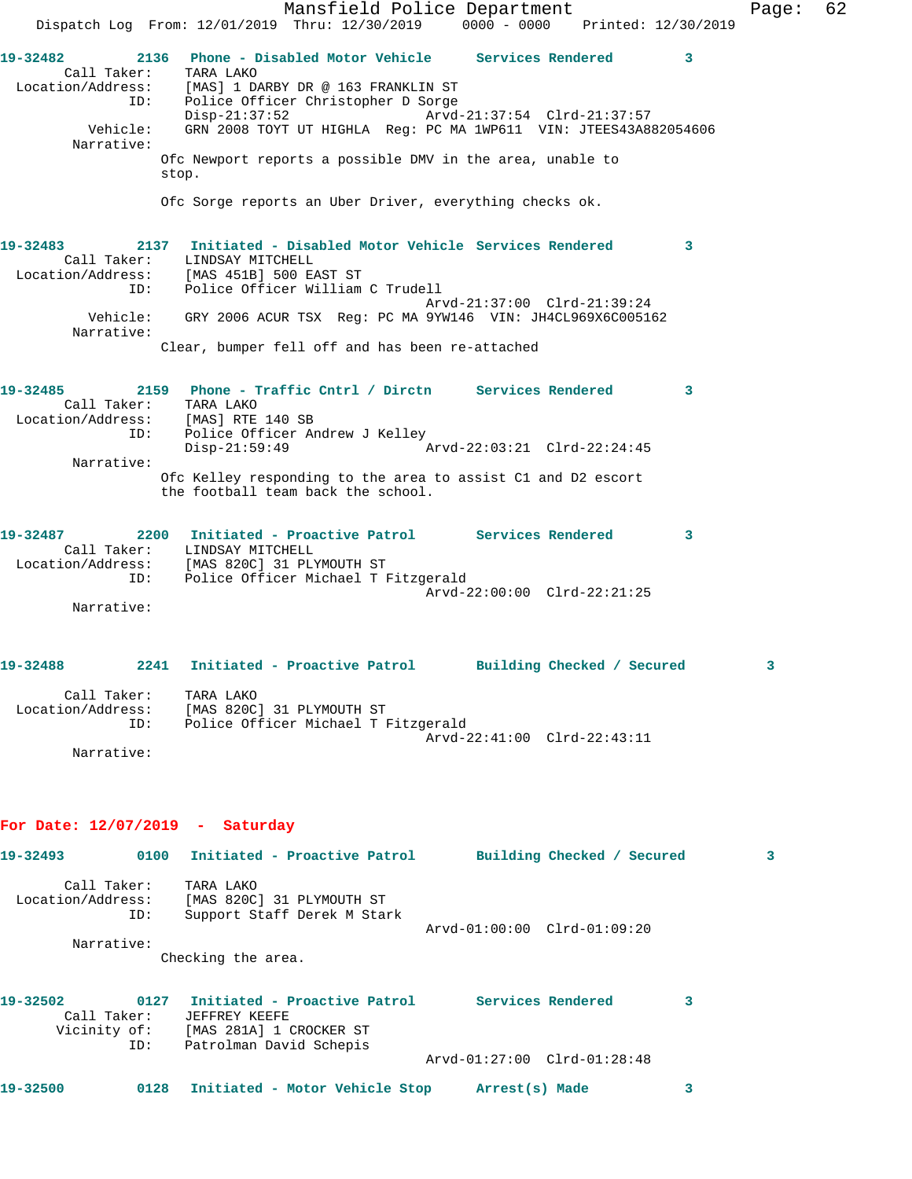|                                                                                | Mansfield Police Department<br>Dispatch Log From: 12/01/2019 Thru: 12/30/2019 0000 - 0000 Printed: 12/30/2019                                                                |                             |              | Page: | 62 |
|--------------------------------------------------------------------------------|------------------------------------------------------------------------------------------------------------------------------------------------------------------------------|-----------------------------|--------------|-------|----|
| 19-32482<br>ID:                                                                | 2136 Phone - Disabled Motor Vehicle Services Rendered<br>Call Taker: TARA LAKO<br>Location/Address: [MAS] 1 DARBY DR @ 163 FRANKLIN ST<br>Police Officer Christopher D Sorge |                             | 3            |       |    |
| Vehicle:                                                                       | $Disp-21:37:52$<br>GRN 2008 TOYT UT HIGHLA Req: PC MA 1WP611 VIN: JTEES43A882054606                                                                                          | Arvd-21:37:54 Clrd-21:37:57 |              |       |    |
| Narrative:                                                                     | Ofc Newport reports a possible DMV in the area, unable to<br>stop.                                                                                                           |                             |              |       |    |
|                                                                                | Ofc Sorge reports an Uber Driver, everything checks ok.                                                                                                                      |                             |              |       |    |
| 19-32483<br>Call Taker:<br>ID:                                                 | 2137 Initiated - Disabled Motor Vehicle Services Rendered<br>LINDSAY MITCHELL<br>Location/Address: [MAS 451B] 500 EAST ST<br>Police Officer William C Trudell                |                             | 3            |       |    |
| Vehicle:<br>Narrative:                                                         | GRY 2006 ACUR TSX Req: PC MA 9YW146 VIN: JH4CL969X6C005162                                                                                                                   | Arvd-21:37:00 Clrd-21:39:24 |              |       |    |
|                                                                                | Clear, bumper fell off and has been re-attached                                                                                                                              |                             |              |       |    |
| 19-32485<br>Call Taker: TARA LAKO<br>Location/Address: [MAS] RTE 140 SB<br>ID: | 2159 Phone - Traffic Cntrl / Dirctn Services Rendered<br>Police Officer Andrew J Kelley<br>Disp-21:59:49                                                                     | Arvd-22:03:21 Clrd-22:24:45 | 3            |       |    |
| Narrative:                                                                     | Ofc Kelley responding to the area to assist C1 and D2 escort<br>the football team back the school.                                                                           |                             |              |       |    |
| 19-32487<br>ID:                                                                | 2200 Initiated - Proactive Patrol Services Rendered<br>Call Taker: LINDSAY MITCHELL<br>Location/Address: [MAS 820C] 31 PLYMOUTH ST<br>Police Officer Michael T Fitzgerald    |                             | $\mathbf{3}$ |       |    |
| Narrative:                                                                     |                                                                                                                                                                              | Arvd-22:00:00 Clrd-22:21:25 |              |       |    |
| 19-32488<br>2241                                                               | Initiated - Proactive Patrol         Building Checked / Secured                                                                                                              |                             |              |       |    |
| Call Taker: TARA LAKO                                                          | Location/Address: [MAS 820C] 31 PLYMOUTH ST<br>ID: Police Officer Michael T Fitzgerald                                                                                       |                             |              |       |    |
| Narrative:                                                                     |                                                                                                                                                                              | Arvd-22:41:00 Clrd-22:43:11 |              |       |    |
| For Date: $12/07/2019$ - Saturday                                              |                                                                                                                                                                              |                             |              |       |    |
|                                                                                | 19-32493 0100 Initiated - Proactive Patrol Building Checked / Secured                                                                                                        |                             |              | 3     |    |
| Call Taker:<br>ID:                                                             | TARA LAKO<br>Location/Address: [MAS 820C] 31 PLYMOUTH ST<br>Support Staff Derek M Stark                                                                                      | Arvd-01:00:00 Clrd-01:09:20 |              |       |    |
| Narrative:                                                                     | Checking the area.                                                                                                                                                           |                             |              |       |    |
|                                                                                |                                                                                                                                                                              |                             |              |       |    |
| 19-32502                                                                       | Call Taker: JEFFREY KEEFE<br>Vicinity of: [MAS 281A] 1 CROCKER ST                                                                                                            |                             | 3            |       |    |
| ID:                                                                            | Patrolman David Schepis                                                                                                                                                      | Arvd-01:27:00 Clrd-01:28:48 |              |       |    |
| 19-32500                                                                       | 0128 Initiated - Motor Vehicle Stop Arrest(s) Made                                                                                                                           |                             | 3            |       |    |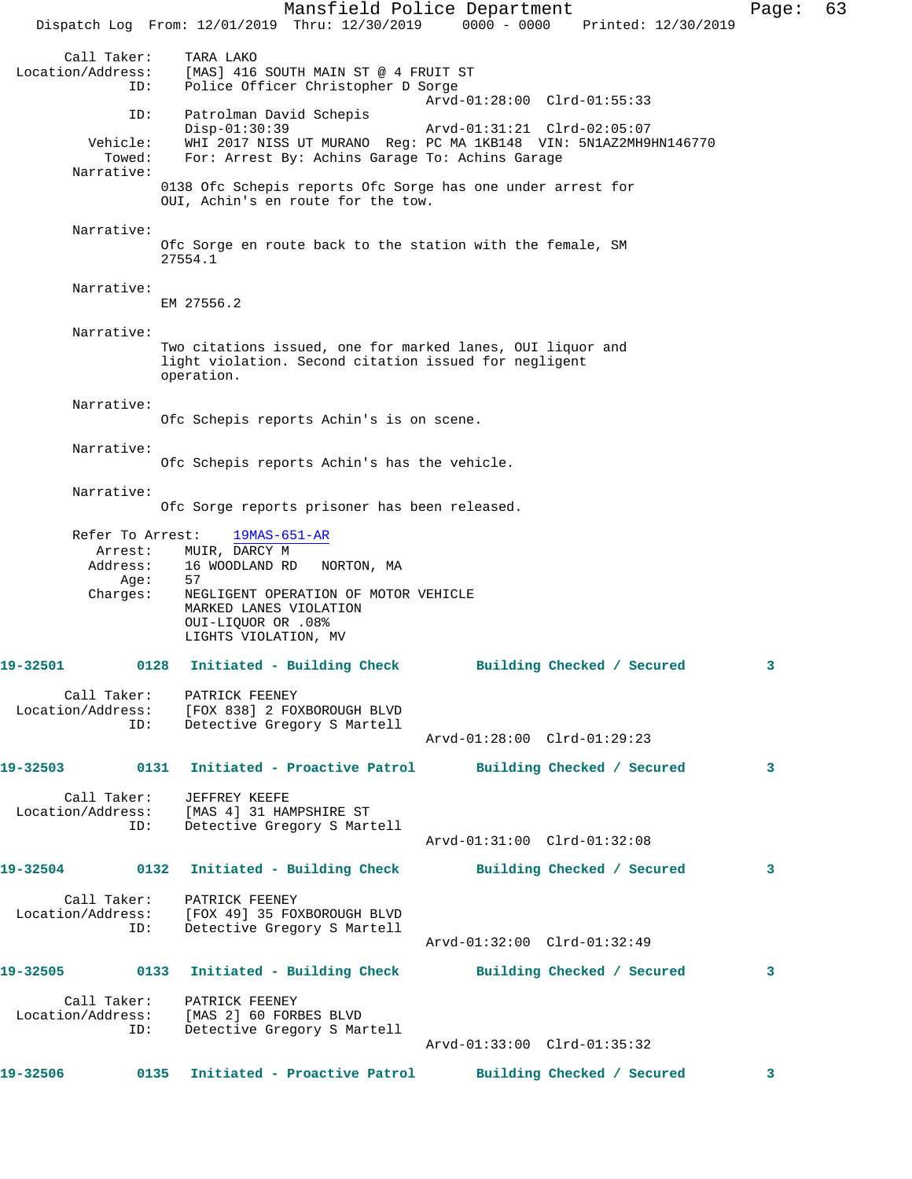Mansfield Police Department Page: 63 Dispatch Log From: 12/01/2019 Thru: 12/30/2019 0000 - 0000 Printed: 12/30/2019 Call Taker: TARA LAKO<br>Location/Address: [MAS] 416 [MAS] 416 SOUTH MAIN ST @ 4 FRUIT ST ID: Police Officer Christopher D Sorge Arvd-01:28:00 Clrd-01:55:33 ID: Patrolman David Schepis Disp-01:30:39 Arvd-01:31:21 Clrd-02:05:07<br>Vehicle: WHI 2017 NISS UT MURANO Reg: PC MA 1KB148 VIN: 5N1AZ2MH9 ehicle: WHI 2017 NISS UT MURANO Reg: PC MA 1KB148 VIN: 5N1AZ2MH9HN146770<br>Towed: For: Arrest By: Achins Garage To: Achins Garage For: Arrest By: Achins Garage To: Achins Garage Narrative: 0138 Ofc Schepis reports Ofc Sorge has one under arrest for OUI, Achin's en route for the tow. Narrative: Ofc Sorge en route back to the station with the female, SM 27554.1 Narrative: EM 27556.2 Narrative: Two citations issued, one for marked lanes, OUI liquor and light violation. Second citation issued for negligent operation. Narrative: Ofc Schepis reports Achin's is on scene. Narrative: Ofc Schepis reports Achin's has the vehicle. Narrative: Ofc Sorge reports prisoner has been released. Refer To Arrest: 19MAS-651-AR Arrest: MUIR, DARCY M Address: 16 WOODLAND RD NORTON, MA<br>Age: 57 Age: Charges: NEGLIGENT OPERATION OF MOTOR VEHICLE MARKED LANES VIOLATION OUI-LIQUOR OR .08% LIGHTS VIOLATION, MV **19-32501 0128 Initiated - Building Check Building Checked / Secured 3** Call Taker: PATRICK FEENEY Location/Address: [FOX 838] 2 FOXBOROUGH BLVD ID: Detective Gregory S Martell Arvd-01:28:00 Clrd-01:29:23 **19-32503 0131 Initiated - Proactive Patrol Building Checked / Secured 3** Call Taker: JEFFREY KEEFE Location/Address: [MAS 4] 31 HAMPSHIRE ST ID: Detective Gregory S Martell Arvd-01:31:00 Clrd-01:32:08 **19-32504 0132 Initiated - Building Check Building Checked / Secured 3** Call Taker: PATRICK FEENEY Location/Address: [FOX 49] 35 FOXBOROUGH BLVD Detective Gregory S Martell Arvd-01:32:00 Clrd-01:32:49 **19-32505 0133 Initiated - Building Check Building Checked / Secured 3** Call Taker: PATRICK FEENEY Location/Address: [MAS 2] 60 FORBES BLVD Detective Gregory S Martell Arvd-01:33:00 Clrd-01:35:32 **19-32506 0135 Initiated - Proactive Patrol Building Checked / Secured 3**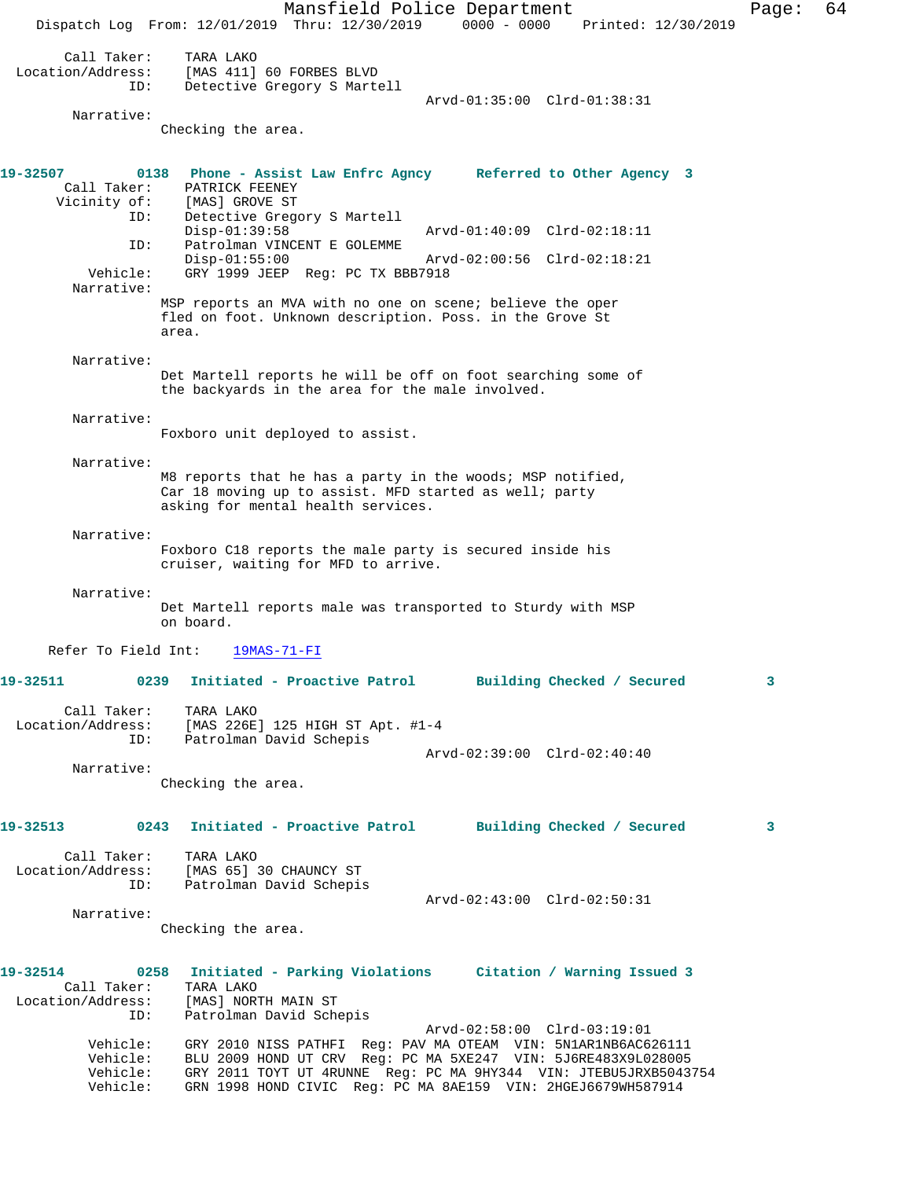Mansfield Police Department Fage: 64 Dispatch Log From: 12/01/2019 Thru: 12/30/2019 0000 - 0000 Printed: 12/30/2019 Call Taker: TARA LAKO Location/Address: [MAS 411] 60 FORBES BLVD ID: Detective Gregory S Martell Arvd-01:35:00 Clrd-01:38:31 Narrative: Checking the area. **19-32507 0138 Phone - Assist Law Enfrc Agncy Referred to Other Agency 3**  Call Taker: PATRICK FEENEY Vicinity of: [MAS] GROVE ST ID: Detective Gregory S Martell Arvd-01:40:09 Clrd-02:18:11 ID: Patrolman VINCENT E GOLEMME Disp-01:55:00 Arvd-02:00:56 Clrd-02:18:21 Vehicle: GRY 1999 JEEP Reg: PC TX BBB7918 Narrative: MSP reports an MVA with no one on scene; believe the oper fled on foot. Unknown description. Poss. in the Grove St area. Narrative: Det Martell reports he will be off on foot searching some of the backyards in the area for the male involved. Narrative: Foxboro unit deployed to assist. Narrative: M8 reports that he has a party in the woods; MSP notified, Car 18 moving up to assist. MFD started as well; party asking for mental health services. Narrative: Foxboro C18 reports the male party is secured inside his cruiser, waiting for MFD to arrive. Narrative: Det Martell reports male was transported to Sturdy with MSP on board. Refer To Field Int: 19MAS-71-FI **19-32511 0239 Initiated - Proactive Patrol Building Checked / Secured 3** Call Taker: TARA LAKO Location/Address: [MAS 226E] 125 HIGH ST Apt. #1-4 ID: Patrolman David Schepis Arvd-02:39:00 Clrd-02:40:40 Narrative: Checking the area. **19-32513 0243 Initiated - Proactive Patrol Building Checked / Secured 3** Call Taker: TARA LAKO Location/Address: [MAS 65] 30 CHAUNCY ST ID: Patrolman David Schepis Arvd-02:43:00 Clrd-02:50:31 Narrative: Checking the area. **19-32514 0258 Initiated - Parking Violations Citation / Warning Issued 3**  Call Taker: TARA LAKO Location/Address: [MAS] NORTH MAIN ST ID: Patrolman David Schepis Arvd-02:58:00 Clrd-03:19:01 Vehicle: GRY 2010 NISS PATHFI Reg: PAV MA OTEAM VIN: 5N1AR1NB6AC626111 Vehicle: BLU 2009 HOND UT CRV Reg: PC MA 5XE247 VIN: 5J6RE483X9L028005 Vehicle: GRY 2011 TOYT UT 4RUNNE Reg: PC MA 9HY344 VIN: JTEBU5JRXB5043754 Vehicle: GRN 1998 HOND CIVIC Reg: PC MA 8AE159 VIN: 2HGEJ6679WH587914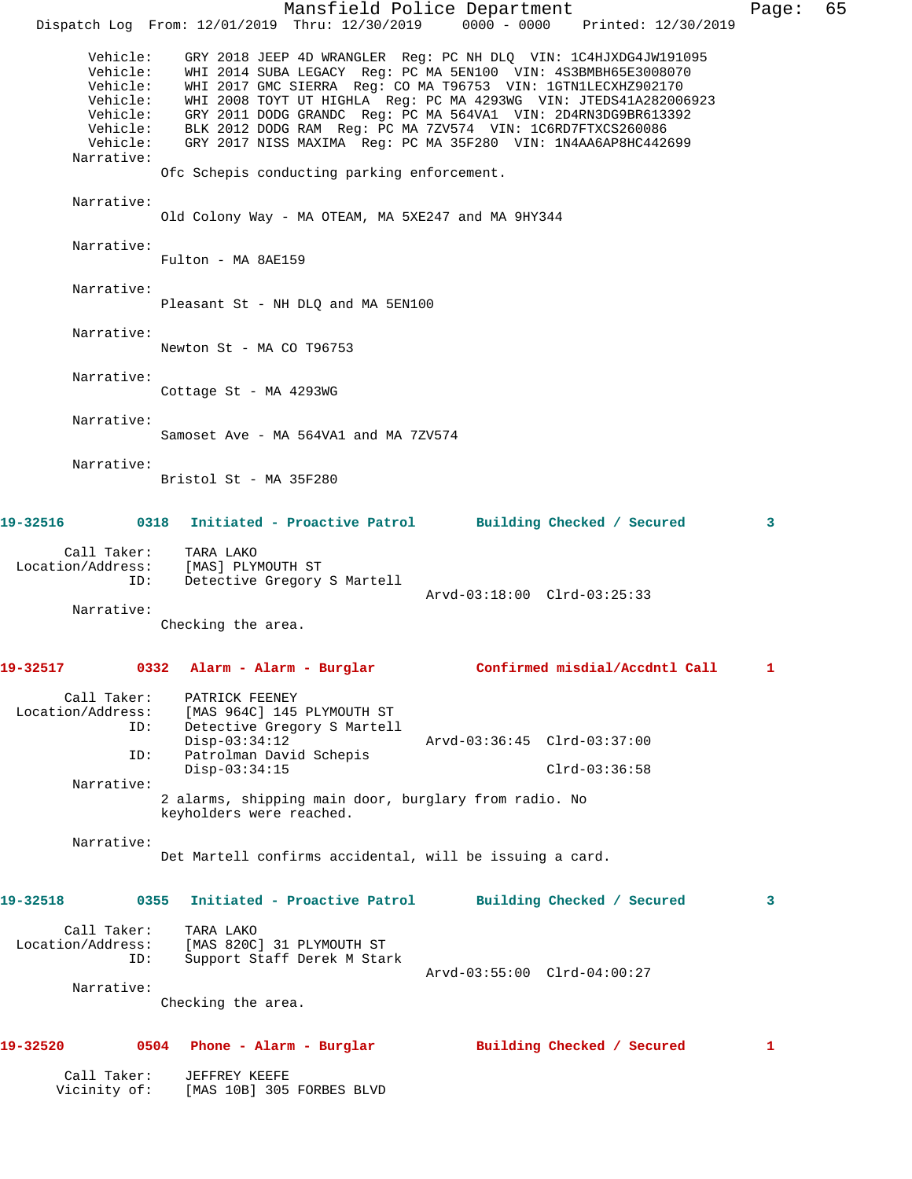|                                                                        |                                                                                                                                             |                                                          | Mansfield Police Department                                                                                                                                                                                                                                                                                                                                                                                                                                          | Dispatch Log From: 12/01/2019 Thru: 12/30/2019 0000 - 0000 Printed: 12/30/2019 | Page: | 65 |
|------------------------------------------------------------------------|---------------------------------------------------------------------------------------------------------------------------------------------|----------------------------------------------------------|----------------------------------------------------------------------------------------------------------------------------------------------------------------------------------------------------------------------------------------------------------------------------------------------------------------------------------------------------------------------------------------------------------------------------------------------------------------------|--------------------------------------------------------------------------------|-------|----|
| Vehicle:<br>Vehicle:<br>Vehicle:<br>Vehicle:<br>Vehicle:<br>Narrative: | Vehicle:<br>Vehicle:                                                                                                                        |                                                          | GRY 2018 JEEP 4D WRANGLER Reg: PC NH DLQ VIN: 1C4HJXDG4JW191095<br>WHI 2014 SUBA LEGACY Req: PC MA 5EN100 VIN: 4S3BMBH65E3008070<br>WHI 2017 GMC SIERRA Reg: CO MA T96753 VIN: 1GTN1LECXHZ902170<br>WHI 2008 TOYT UT HIGHLA Reg: PC MA 4293WG VIN: JTEDS41A282006923<br>GRY 2011 DODG GRANDC Reg: PC MA 564VA1 VIN: 2D4RN3DG9BR613392<br>BLK 2012 DODG RAM Reg: PC MA 7ZV574 VIN: 1C6RD7FTXCS260086<br>GRY 2017 NISS MAXIMA Reg: PC MA 35F280 VIN: 1N4AA6AP8HC442699 |                                                                                |       |    |
|                                                                        |                                                                                                                                             | Ofc Schepis conducting parking enforcement.              |                                                                                                                                                                                                                                                                                                                                                                                                                                                                      |                                                                                |       |    |
| Narrative:                                                             |                                                                                                                                             |                                                          | Old Colony Way - MA OTEAM, MA 5XE247 and MA 9HY344                                                                                                                                                                                                                                                                                                                                                                                                                   |                                                                                |       |    |
| Narrative:                                                             | Fulton - MA 8AE159                                                                                                                          |                                                          |                                                                                                                                                                                                                                                                                                                                                                                                                                                                      |                                                                                |       |    |
| Narrative:                                                             |                                                                                                                                             | Pleasant St - NH DLQ and MA 5EN100                       |                                                                                                                                                                                                                                                                                                                                                                                                                                                                      |                                                                                |       |    |
| Narrative:                                                             | Newton St - MA CO T96753                                                                                                                    |                                                          |                                                                                                                                                                                                                                                                                                                                                                                                                                                                      |                                                                                |       |    |
| Narrative:                                                             | Cottage St - MA 4293WG                                                                                                                      |                                                          |                                                                                                                                                                                                                                                                                                                                                                                                                                                                      |                                                                                |       |    |
| Narrative:                                                             |                                                                                                                                             | Samoset Ave - MA 564VA1 and MA 7ZV574                    |                                                                                                                                                                                                                                                                                                                                                                                                                                                                      |                                                                                |       |    |
| Narrative:                                                             | Bristol St - MA 35F280                                                                                                                      |                                                          |                                                                                                                                                                                                                                                                                                                                                                                                                                                                      |                                                                                |       |    |
| 19-32516                                                               |                                                                                                                                             |                                                          | 0318 Initiated - Proactive Patrol Building Checked / Secured                                                                                                                                                                                                                                                                                                                                                                                                         |                                                                                | 3     |    |
| Call Taker:<br>Location/Address:                                       | TARA LAKO<br>[MAS] PLYMOUTH ST<br>ID:                                                                                                       | Detective Gregory S Martell                              | Arvd-03:18:00 Clrd-03:25:33                                                                                                                                                                                                                                                                                                                                                                                                                                          |                                                                                |       |    |
| Narrative:                                                             | Checking the area.                                                                                                                          |                                                          |                                                                                                                                                                                                                                                                                                                                                                                                                                                                      |                                                                                |       |    |
| 19-32517                                                               | 0332 Alarm - Alarm - Burglar                                                                                                                |                                                          |                                                                                                                                                                                                                                                                                                                                                                                                                                                                      | Confirmed misdial/Accdntl Call                                                 |       |    |
| Call Taker:                                                            | PATRICK FEENEY<br>Location/Address: [MAS 964C] 145 PLYMOUTH ST<br>ID:<br>$Disp-03:34:12$<br>Patrolman David Schepis<br>ID:<br>Disp-03:34:15 | Detective Gregory S Martell                              | Arvd-03:36:45 Clrd-03:37:00                                                                                                                                                                                                                                                                                                                                                                                                                                          | $Clrd-03:36:58$                                                                |       |    |
| Narrative:                                                             | keyholders were reached.                                                                                                                    |                                                          | 2 alarms, shipping main door, burglary from radio. No                                                                                                                                                                                                                                                                                                                                                                                                                |                                                                                |       |    |
| Narrative:                                                             |                                                                                                                                             |                                                          | Det Martell confirms accidental, will be issuing a card.                                                                                                                                                                                                                                                                                                                                                                                                             |                                                                                |       |    |
| 19-32518                                                               |                                                                                                                                             |                                                          | 0355 Initiated - Proactive Patrol Building Checked / Secured                                                                                                                                                                                                                                                                                                                                                                                                         |                                                                                | 3     |    |
| Call Taker:<br>Location/Address:                                       | TARA LAKO<br>ID:                                                                                                                            | [MAS 820C] 31 PLYMOUTH ST<br>Support Staff Derek M Stark | Arvd-03:55:00 Clrd-04:00:27                                                                                                                                                                                                                                                                                                                                                                                                                                          |                                                                                |       |    |
| Narrative:                                                             | Checking the area.                                                                                                                          |                                                          |                                                                                                                                                                                                                                                                                                                                                                                                                                                                      |                                                                                |       |    |
| 19-32520                                                               | 0504 Phone - Alarm - Burglar                                                                                                                |                                                          | Building Checked / Secured                                                                                                                                                                                                                                                                                                                                                                                                                                           |                                                                                | 1     |    |
| Call Taker:<br>Vicinity of:                                            | JEFFREY KEEFE<br>[MAS 10B] 305 FORBES BLVD                                                                                                  |                                                          |                                                                                                                                                                                                                                                                                                                                                                                                                                                                      |                                                                                |       |    |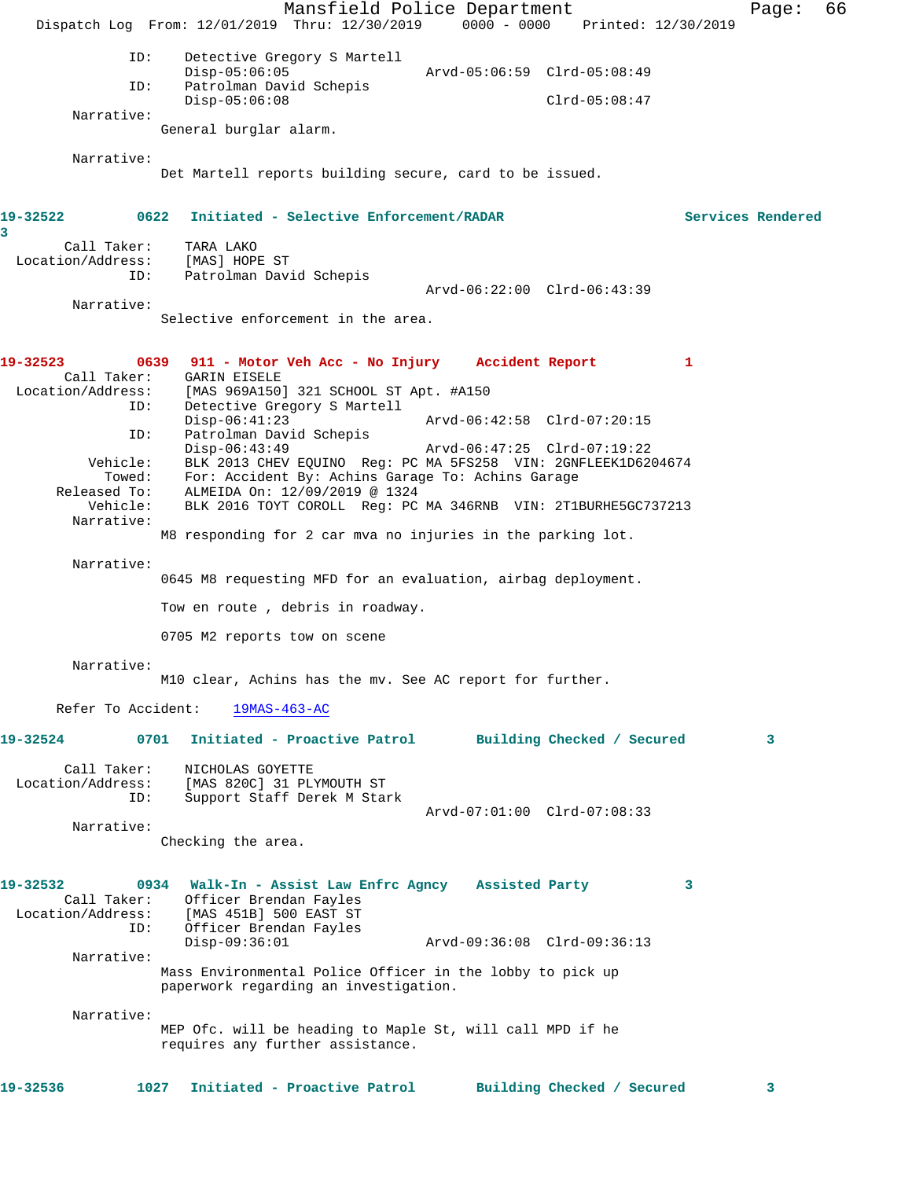Mansfield Police Department Fage: 66 Dispatch Log From: 12/01/2019 Thru: 12/30/2019 0000 - 0000 Printed: 12/30/2019 ID: Detective Gregory S Martell Disp-05:06:05 Arvd-05:06:59 Clrd-05:08:49 ID: Patrolman David Schepis Disp-05:06:08 Clrd-05:08:47 Narrative: General burglar alarm. Narrative: Det Martell reports building secure, card to be issued. **19-32522 0622 Initiated - Selective Enforcement/RADAR Services Rendered 3**  Call Taker: TARA LAKO Location/Address: [MAS] HOPE ST ID: Patrolman David Schepis Arvd-06:22:00 Clrd-06:43:39 Narrative: Selective enforcement in the area. **19-32523 0639 911 - Motor Veh Acc - No Injury Accident Report 1**  Call Taker: GARIN EISELE<br>Location/Address: [MAS 969A150] ess: [MAS 969A150] 321 SCHOOL ST Apt. #A150<br>ID: Detective Gregory S Martell Detective Gregory S Martell<br>Disp-06:41:23 Disp-06:41:23 Arvd-06:42:58 Clrd-07:20:15 ID: Patrolman David Schepis<br>Disp-06:43:49 Disp-06:43:49 Arvd-06:47:25 Clrd-07:19:22<br>Vehicle: BLK 2013 CHEV EQUINO Reg: PC MA 5FS258 VIN: 2GNFLEEK1D62 Vehicle: BLK 2013 CHEV EQUINO Reg: PC MA 5FS258 VIN: 2GNFLEEK1D6204674 Towed: For: Accident By: Achins Garage To: Achins Garage Released To: ALMEIDA On: 12/09/2019 @ 1324 Vehicle: BLK 2016 TOYT COROLL Reg: PC MA 346RNB VIN: 2T1BURHE5GC737213 Narrative: M8 responding for 2 car mva no injuries in the parking lot. Narrative: 0645 M8 requesting MFD for an evaluation, airbag deployment. Tow en route , debris in roadway. 0705 M2 reports tow on scene Narrative: M10 clear, Achins has the mv. See AC report for further. Refer To Accident: 19MAS-463-AC **19-32524 0701 Initiated - Proactive Patrol Building Checked / Secured 3** Call Taker: NICHOLAS GOYETTE Location/Address: [MAS 820C] 31 PLYMOUTH ST ID: Support Staff Derek M Stark Arvd-07:01:00 Clrd-07:08:33 Narrative: Checking the area. **19-32532 0934 Walk-In - Assist Law Enfrc Agncy Assisted Party 3**  Call Taker: Officer Brendan Fayles Location/Address: [MAS 451B] 500 EAST ST Officer Brendan Fayles<br>Disp-09:36:01 Disp-09:36:01 Arvd-09:36:08 Clrd-09:36:13 Narrative: Mass Environmental Police Officer in the lobby to pick up paperwork regarding an investigation. Narrative: MEP Ofc. will be heading to Maple St, will call MPD if he requires any further assistance. **19-32536 1027 Initiated - Proactive Patrol Building Checked / Secured 3**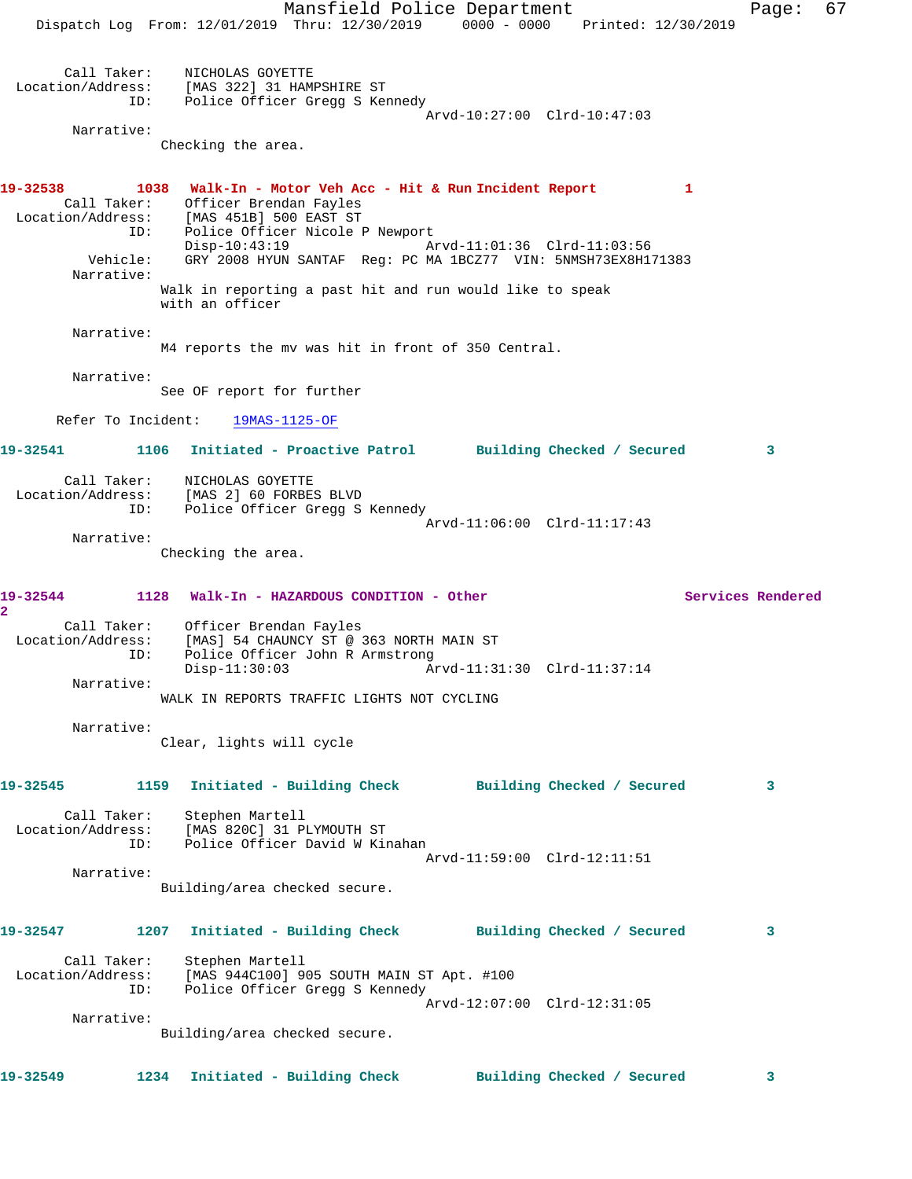Mansfield Police Department Fage: 67 Dispatch Log From: 12/01/2019 Thru: 12/30/2019 0000 - 0000 Printed: 12/30/2019 Call Taker: NICHOLAS GOYETTE Location/Address: [MAS 322] 31 HAMPSHIRE ST ID: Police Officer Gregg S Kennedy Arvd-10:27:00 Clrd-10:47:03 Narrative: Checking the area. **19-32538 1038 Walk-In - Motor Veh Acc - Hit & Run Incident Report 1**  Call Taker: Officer Brendan Fayles Location/Address: [MAS 451B] 500 EAST ST ID: Police Officer Nicole P Newport<br>Disp-10:43:19 Disp-10:43:19 Arvd-11:01:36 Clrd-11:03:56 Vehicle: GRY 2008 HYUN SANTAF Reg: PC MA 1BCZ77 VIN: 5NMSH73EX8H171383 Narrative: Walk in reporting a past hit and run would like to speak with an officer Narrative: M4 reports the mv was hit in front of 350 Central. Narrative: See OF report for further Refer To Incident: 19MAS-1125-OF **19-32541 1106 Initiated - Proactive Patrol Building Checked / Secured 3** Call Taker: NICHOLAS GOYETTE Location/Address: [MAS 2] 60 FORBES BLVD ID: Police Officer Gregg S Kennedy Arvd-11:06:00 Clrd-11:17:43 Narrative: Checking the area. **19-32544 1128 Walk-In - HAZARDOUS CONDITION - Other Services Rendered 2**  Call Taker: Officer Brendan Fayles Location/Address: [MAS] 54 CHAUNCY ST @ 363 NORTH MAIN ST ID: Police Officer John R Armstrong<br>Disp-11:30:03 Ar Arvd-11:31:30 Clrd-11:37:14 Narrative: WALK IN REPORTS TRAFFIC LIGHTS NOT CYCLING Narrative: Clear, lights will cycle **19-32545 1159 Initiated - Building Check Building Checked / Secured 3** Call Taker: Stephen Martell Location/Address: [MAS 820C] 31 PLYMOUTH ST ID: Police Officer David W Kinahan Arvd-11:59:00 Clrd-12:11:51 Narrative: Building/area checked secure. **19-32547 1207 Initiated - Building Check Building Checked / Secured 3** Call Taker: Stephen Martell Location/Address: [MAS 944C100] 905 SOUTH MAIN ST Apt. #100 ID: Police Officer Gregg S Kennedy Arvd-12:07:00 Clrd-12:31:05 Narrative: Building/area checked secure. **19-32549 1234 Initiated - Building Check Building Checked / Secured 3**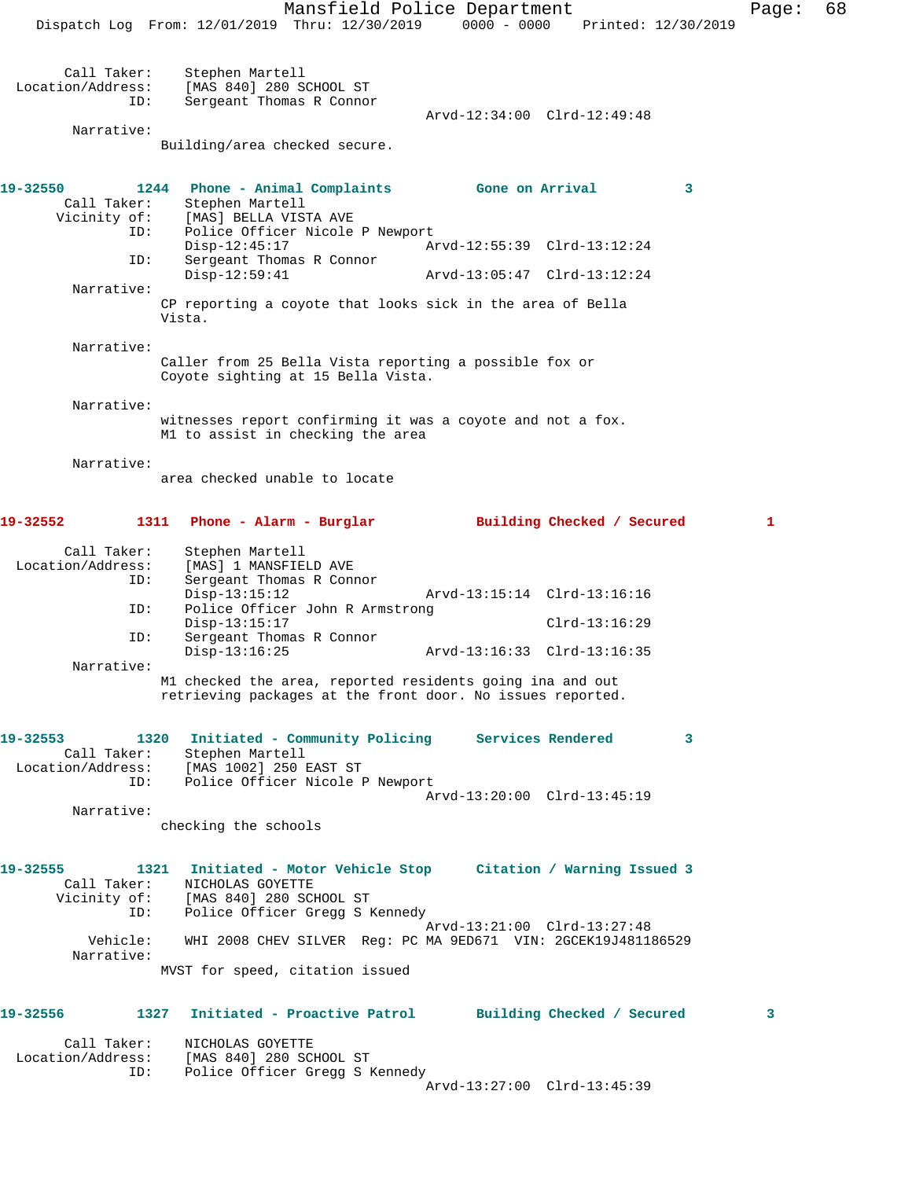Dispatch Log From: 12/01/2019 Thru: 12/30/2019 0000 - 0000 Printed: 12/30/2019 Call Taker: Stephen Martell Location/Address: [MAS 840] 280 SCHOOL ST ID: Sergeant Thomas R Connor Arvd-12:34:00 Clrd-12:49:48 Narrative: Building/area checked secure. **19-32550 1244 Phone - Animal Complaints Gone on Arrival 3**  Call Taker: Stephen Martell Vicinity of: [MAS] BELLA VISTA AVE ID: Police Officer Nicole P Newport Disp-12:45:17 Arvd-12:55:39 Clrd-13:12:24 ID: Sergeant Thomas R Connor Disp-12:59:41 Arvd-13:05:47 Clrd-13:12:24 Narrative: CP reporting a coyote that looks sick in the area of Bella Vista. Narrative: Caller from 25 Bella Vista reporting a possible fox or Coyote sighting at 15 Bella Vista. Narrative: witnesses report confirming it was a coyote and not a fox. M1 to assist in checking the area Narrative: area checked unable to locate **19-32552 1311 Phone - Alarm - Burglar Building Checked / Secured 1** Call Taker: Stephen Martell<br>Location/Address: [MAS] 1 MANSFIEI ess: [MAS] 1 MANSFIELD AVE<br>ID: Sergeant Thomas R Conn Sergeant Thomas R Connor<br>Disp-13:15:12 Disp-13:15:12 Arvd-13:15:14 Clrd-13:16:16 ID: Police Officer John R Armstrong Disp-13:15:17 Clrd-13:16:29 ID: Sergeant Thomas R Connor Disp-13:16:25 Arvd-13:16:33 Clrd-13:16:35 Narrative: M1 checked the area, reported residents going ina and out retrieving packages at the front door. No issues reported. **19-32553 1320 Initiated - Community Policing Services Rendered 3**  Call Taker: Stephen Martell Location/Address: [MAS 1002] 250 EAST ST ID: Police Officer Nicole P Newport Arvd-13:20:00 Clrd-13:45:19 Narrative: checking the schools **19-32555 1321 Initiated - Motor Vehicle Stop Citation / Warning Issued 3**  Call Taker: NICHOLAS GOYETTE Vicinity of: [MAS 840] 280 SCHOOL ST ID: Police Officer Gregg S Kennedy Arvd-13:21:00 Clrd-13:27:48 Vehicle: WHI 2008 CHEV SILVER Reg: PC MA 9ED671 VIN: 2GCEK19J481186529 Narrative: MVST for speed, citation issued **19-32556 1327 Initiated - Proactive Patrol Building Checked / Secured 3**

 Call Taker: NICHOLAS GOYETTE Location/Address: [MAS 840] 280 SCHOOL ST ID: Police Officer Gregg S Kennedy

Arvd-13:27:00 Clrd-13:45:39

Mansfield Police Department Fage: 68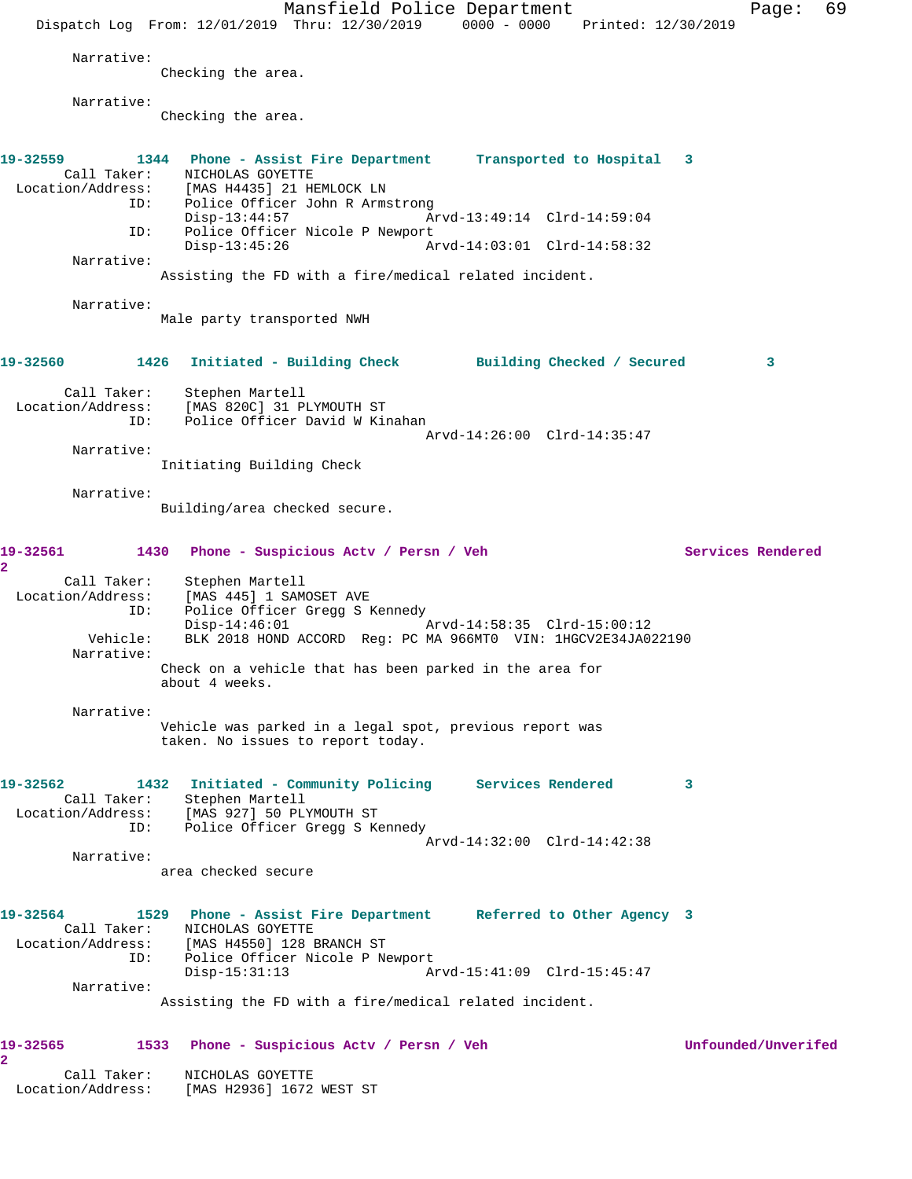Mansfield Police Department Fage: 69 Dispatch Log From: 12/01/2019 Thru: 12/30/2019 0000 - 0000 Printed: 12/30/2019 Narrative: Checking the area. Narrative: Checking the area. **19-32559 1344 Phone - Assist Fire Department Transported to Hospital 3**  Call Taker: NICHOLAS GOYETTE Location/Address: [MAS H4435] 21 HEMLOCK LN ID: Police Officer John R Armstrong Disp-13:44:57 Arvd-13:49:14 Clrd-14:59:04 ID: Police Officer Nicole P Newport Disp-13:45:26 Arvd-14:03:01 Clrd-14:58:32 Narrative: Assisting the FD with a fire/medical related incident. Narrative: Male party transported NWH **19-32560 1426 Initiated - Building Check Building Checked / Secured 3** Call Taker: Stephen Martell Location/Address: [MAS 820C] 31 PLYMOUTH ST ID: Police Officer David W Kinahan Arvd-14:26:00 Clrd-14:35:47 Narrative: Initiating Building Check Narrative: Building/area checked secure. **19-32561 1430 Phone - Suspicious Actv / Persn / Veh Services Rendered 2**  Call Taker: Stephen Martell Location/Address: [MAS 445] 1 SAMOSET AVE ID: Police Officer Gregg S Kennedy Disp-14:46:01 Arvd-14:58:35 Clrd-15:00:12 Vehicle: BLK 2018 HOND ACCORD Reg: PC MA 966MT0 VIN: 1HGCV2E34JA022190 Narrative: Check on a vehicle that has been parked in the area for about 4 weeks. Narrative: Vehicle was parked in a legal spot, previous report was taken. No issues to report today. **19-32562 1432 Initiated - Community Policing Services Rendered 3**  Call Taker: Stephen Martell Location/Address: [MAS 927] 50 PLYMOUTH ST ID: Police Officer Gregg S Kennedy Arvd-14:32:00 Clrd-14:42:38 Narrative: area checked secure **19-32564 1529 Phone - Assist Fire Department Referred to Other Agency 3**  Call Taker: NICHOLAS GOYETTE Location/Address: [MAS H4550] 128 BRANCH ST ID: Police Officer Nicole P Newport Disp-15:31:13 Arvd-15:41:09 Clrd-15:45:47 Narrative: Assisting the FD with a fire/medical related incident. **19-32565 1533 Phone - Suspicious Actv / Persn / Veh Unfounded/Unverifed 2**  Call Taker: NICHOLAS GOYETTE Location/Address: [MAS H2936] 1672 WEST ST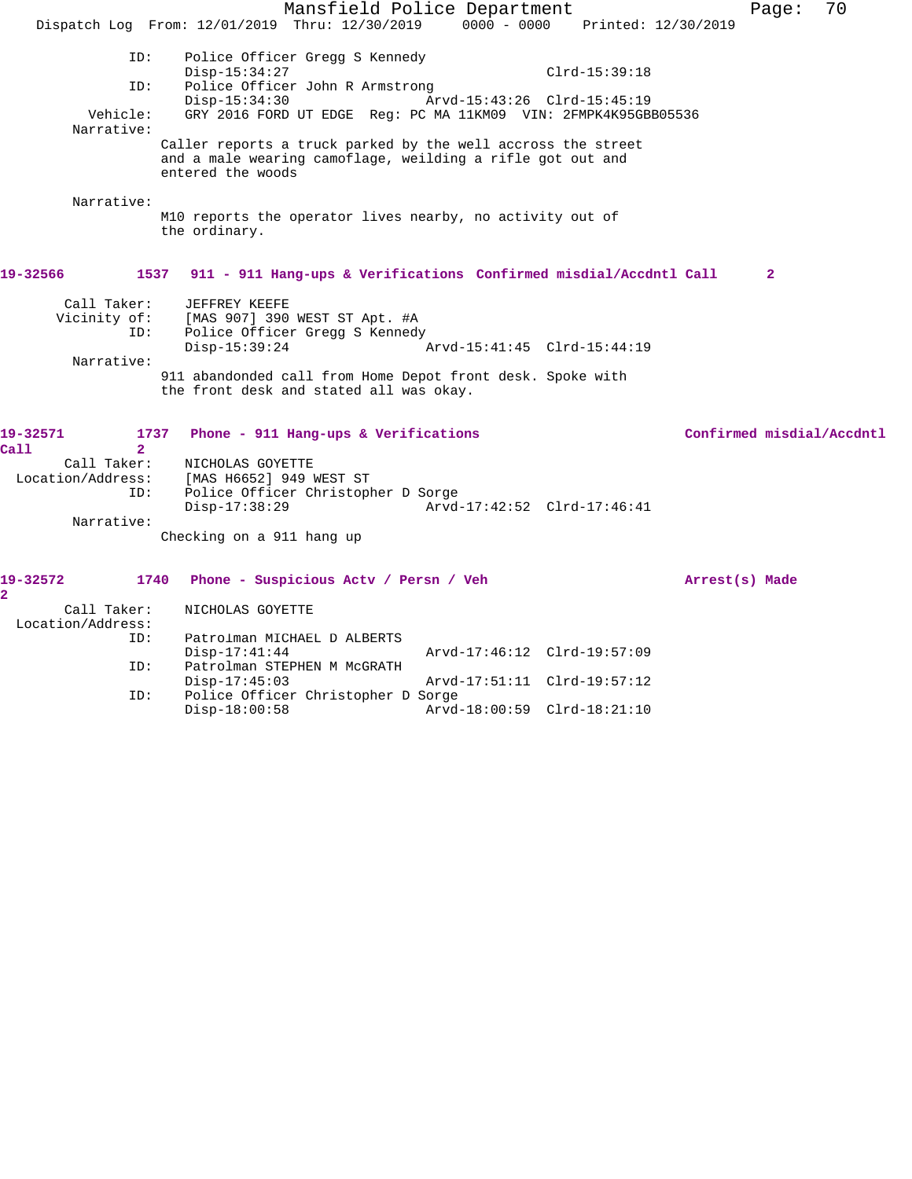Mansfield Police Department Fage: 70 Dispatch Log From: 12/01/2019 Thru: 12/30/2019 0000 - 0000 Printed: 12/30/2019 ID: Police Officer Gregg S Kennedy Disp-15:34:27 Clrd-15:39:18 ID: Police Officer John R Armstrong Disp-15:34:30 Arvd-15:43:26 Clrd-15:45:19<br>Vehicle: GRY 2016 FORD UT EDGE Req: PC MA 11KM09 VIN: 2FMPK4K95GB GRY 2016 FORD UT EDGE Reg: PC MA 11KM09 VIN: 2FMPK4K95GBB05536 Narrative: Caller reports a truck parked by the well accross the street and a male wearing camoflage, weilding a rifle got out and entered the woods Narrative: M10 reports the operator lives nearby, no activity out of the ordinary. **19-32566 1537 911 - 911 Hang-ups & Verifications Confirmed misdial/Accdntl Call 2** Call Taker: JEFFREY KEEFE Vicinity of: [MAS 907] 390 WEST ST Apt. #A ID: Police Officer Gregg S Kennedy<br>Disp-15:39:24 Disp-15:39:24 Arvd-15:41:45 Clrd-15:44:19 Narrative: 911 abandonded call from Home Depot front desk. Spoke with the front desk and stated all was okay. **19-32571 1737 Phone - 911 Hang-ups & Verifications Confirmed misdial/Accdntl Call 2**  Call Taker: NICHOLAS GOYETTE Location/Address: [MAS H6652] 949 WEST ST ID: Police Officer Christopher D Sorge<br>Disp-17:38:29 Arvd Disp-17:38:29 Arvd-17:42:52 Clrd-17:46:41 Narrative: Checking on a 911 hang up **19-32572 1740 Phone - Suspicious Actv / Persn / Veh Arrest(s) Made 2**  Call Taker: NICHOLAS GOYETTE Location/Address: ID: Patrolman MICHAEL D ALBERTS Arvd-17:46:12 Clrd-19:57:09 ID: Patrolman STEPHEN M McGRATH Disp-17:45:03 Arvd-17:51:11 Clrd-19:57:12<br>ID: Police Officer Christopher D Sorge Police Officer Christopher D Sorge Disp-18:00:58 Arvd-18:00:59 Clrd-18:21:10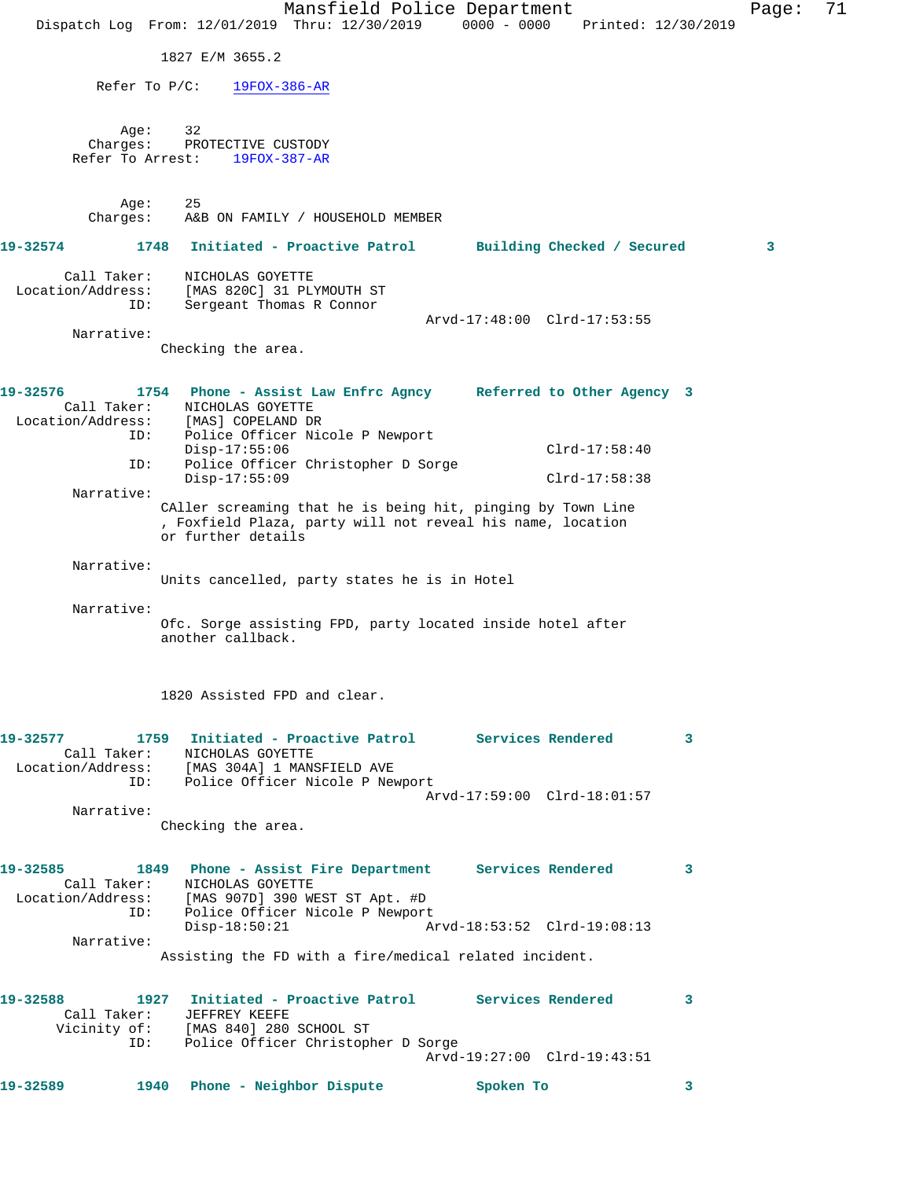|          |                                  |                                                                                                                                          | Mansfield Police Department                                                                                               |           |                             |                     | Page: | 71 |
|----------|----------------------------------|------------------------------------------------------------------------------------------------------------------------------------------|---------------------------------------------------------------------------------------------------------------------------|-----------|-----------------------------|---------------------|-------|----|
|          |                                  | Dispatch Log From: 12/01/2019 Thru: 12/30/2019 0000 - 0000                                                                               |                                                                                                                           |           |                             | Printed: 12/30/2019 |       |    |
|          |                                  | 1827 E/M 3655.2                                                                                                                          |                                                                                                                           |           |                             |                     |       |    |
|          |                                  | Refer To $P/C$ :<br>$19FOX-386-AR$                                                                                                       |                                                                                                                           |           |                             |                     |       |    |
|          | Age:                             | 32                                                                                                                                       |                                                                                                                           |           |                             |                     |       |    |
|          | Charges:<br>Refer To Arrest:     | PROTECTIVE CUSTODY<br>$19FOX-387-AR$                                                                                                     |                                                                                                                           |           |                             |                     |       |    |
|          |                                  |                                                                                                                                          |                                                                                                                           |           |                             |                     |       |    |
|          | Age:<br>Charges:                 | 25                                                                                                                                       | A&B ON FAMILY / HOUSEHOLD MEMBER                                                                                          |           |                             |                     |       |    |
| 19-32574 |                                  | 1748                                                                                                                                     | Initiated - Proactive Patrol                                                                                              |           | Building Checked / Secured  |                     | 3     |    |
|          | Call Taker:                      | NICHOLAS GOYETTE                                                                                                                         |                                                                                                                           |           |                             |                     |       |    |
|          | Location/Address:<br>ID:         | [MAS 820C] 31 PLYMOUTH ST<br>Sergeant Thomas R Connor                                                                                    |                                                                                                                           |           |                             |                     |       |    |
|          | Narrative:                       |                                                                                                                                          |                                                                                                                           |           | Arvd-17:48:00 Clrd-17:53:55 |                     |       |    |
|          |                                  | Checking the area.                                                                                                                       |                                                                                                                           |           |                             |                     |       |    |
| 19-32576 |                                  |                                                                                                                                          |                                                                                                                           |           |                             |                     |       |    |
|          | Call Taker:<br>Location/Address: | 1754 Phone - Assist Law Enfrc Agncy Referred to Other Agency 3<br>NICHOLAS GOYETTE<br>[MAS] COPELAND DR                                  |                                                                                                                           |           |                             |                     |       |    |
|          | ID:                              |                                                                                                                                          | Police Officer Nicole P Newport                                                                                           |           |                             |                     |       |    |
|          | ID:                              | $Disp-17:55:06$                                                                                                                          | Police Officer Christopher D Sorge                                                                                        |           | $Clrd-17:58:40$             |                     |       |    |
|          | Narrative:                       | Disp-17:55:09                                                                                                                            |                                                                                                                           |           | $Clrd-17:58:38$             |                     |       |    |
|          |                                  | or further details                                                                                                                       | CAller screaming that he is being hit, pinging by Town Line<br>, Foxfield Plaza, party will not reveal his name, location |           |                             |                     |       |    |
|          | Narrative:                       |                                                                                                                                          |                                                                                                                           |           |                             |                     |       |    |
|          |                                  |                                                                                                                                          | Units cancelled, party states he is in Hotel                                                                              |           |                             |                     |       |    |
|          | Narrative:                       | another callback.                                                                                                                        | Ofc. Sorge assisting FPD, party located inside hotel after                                                                |           |                             |                     |       |    |
|          |                                  | 1820 Assisted FPD and clear.                                                                                                             |                                                                                                                           |           |                             |                     |       |    |
| 19-32577 |                                  | 1759 Initiated - Proactive Patrol Services Rendered 3<br>Call Taker:<br>NICHOLAS GOYETTE<br>Location/Address: [MAS 304A] 1 MANSFIELD AVE |                                                                                                                           |           |                             |                     |       |    |
|          |                                  | ID: Police Officer Nicole P Newport                                                                                                      |                                                                                                                           |           | Arvd-17:59:00 Clrd-18:01:57 |                     |       |    |
|          | Narrative:                       | Checking the area.                                                                                                                       |                                                                                                                           |           |                             |                     |       |    |
| 19-32585 |                                  | 1849 Phone - Assist Fire Department Services Rendered<br>Call Taker: NICHOLAS GOYETTE                                                    |                                                                                                                           |           |                             | $\mathbf{3}$        |       |    |
|          | ID:                              | Location/Address: [MAS 907D] 390 WEST ST Apt. #D                                                                                         | Police Officer Nicole P Newport                                                                                           |           |                             |                     |       |    |
|          | Narrative:                       | $Disp-18:50:21$                                                                                                                          |                                                                                                                           |           | Arvd-18:53:52 Clrd-19:08:13 |                     |       |    |
|          |                                  |                                                                                                                                          | Assisting the FD with a fire/medical related incident.                                                                    |           |                             |                     |       |    |
| 19-32588 |                                  | 1927 Initiated - Proactive Patrol Services Rendered                                                                                      |                                                                                                                           |           |                             | $\mathbf{3}$        |       |    |
|          |                                  | Call Taker: JEFFREY KEEFE<br>Vicinity of: [MAS 840] 280 SCHOOL ST<br>ID: Police Officer Christopl                                        |                                                                                                                           |           |                             |                     |       |    |
|          | ID:                              |                                                                                                                                          | Police Officer Christopher D Sorge                                                                                        |           | Arvd-19:27:00 Clrd-19:43:51 |                     |       |    |
| 19-32589 |                                  | 1940                                                                                                                                     | Phone - Neighbor Dispute                                                                                                  | Spoken To |                             | 3                   |       |    |
|          |                                  |                                                                                                                                          |                                                                                                                           |           |                             |                     |       |    |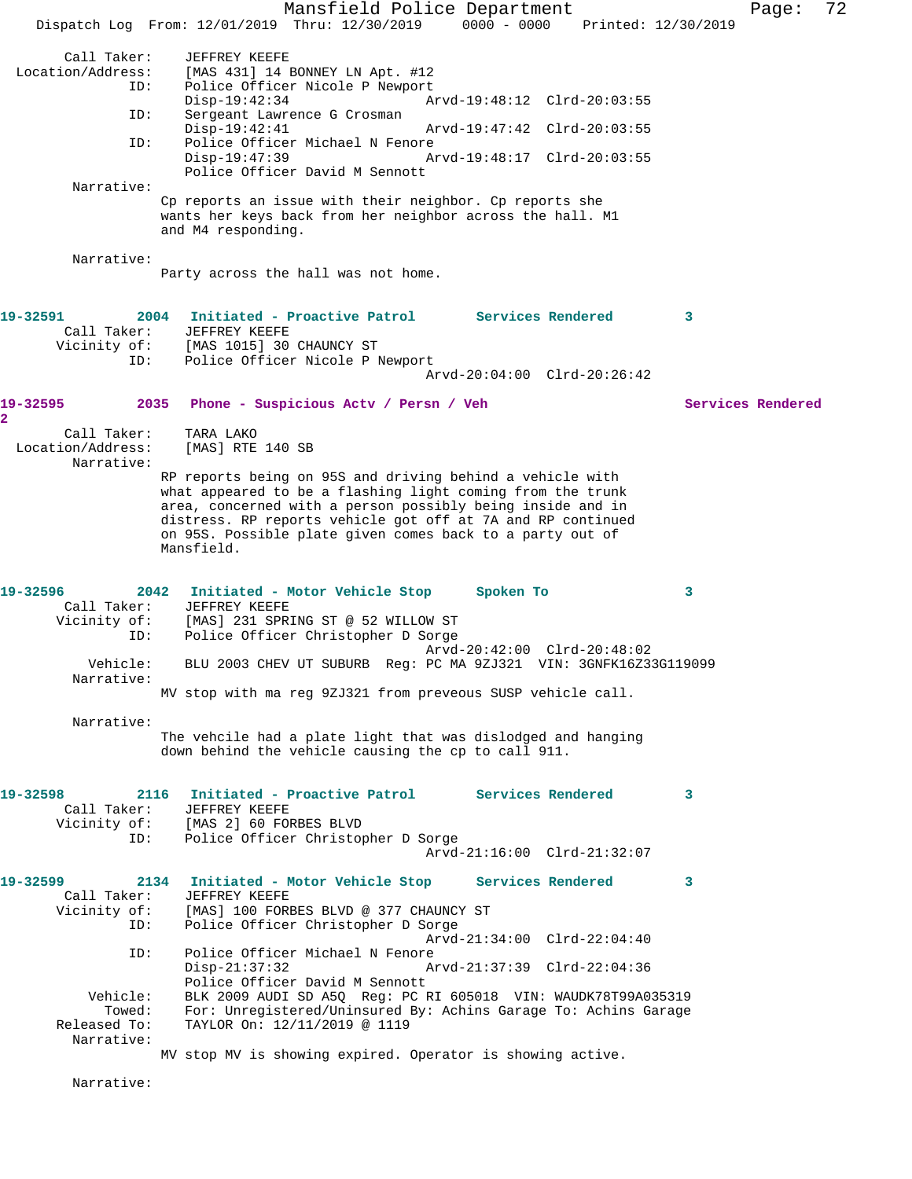Mansfield Police Department Page: 72 Dispatch Log From: 12/01/2019 Thru: 12/30/2019 0000 - 0000 Printed: 12/30/2019 Call Taker: JEFFREY KEEFE<br>Location/Address: [MAS 431] 14 1 [MAS 431] 14 BONNEY LN Apt. #12 ID: Police Officer Nicole P Newport Disp-19:42:34 Arvd-19:48:12 Clrd-20:03:55<br>ID: Sergeant Lawrence G Crosman Sergeant Lawrence G Crosman<br>Disp-19:42:41 Disp-19:42:41 Arvd-19:47:42 Clrd-20:03:55<br>TD: Police Officer Michael N Fenore Police Officer Michael N Fenore<br>Disp-19:47:39 A Arvd-19:48:17 Clrd-20:03:55 Police Officer David M Sennott Narrative: Cp reports an issue with their neighbor. Cp reports she wants her keys back from her neighbor across the hall. M1 and M4 responding. Narrative: Party across the hall was not home. **19-32591 2004 Initiated - Proactive Patrol Services Rendered 3**  Call Taker: JEFFREY KEEFE<br>Vicinity of: [MAS 1015] 30<br>ID: Police Officer [MAS 1015] 30 CHAUNCY ST Police Officer Nicole P Newport Arvd-20:04:00 Clrd-20:26:42 **19-32595 2035 Phone - Suspicious Actv / Persn / Veh Services Rendered 2**  Call Taker: TARA LAKO<br>ion/Address: [MAS] RTE 140 SB Location/Address: Narrative: RP reports being on 95S and driving behind a vehicle with what appeared to be a flashing light coming from the trunk area, concerned with a person possibly being inside and in distress. RP reports vehicle got off at 7A and RP continued on 95S. Possible plate given comes back to a party out of Mansfield. **19-32596 2042 Initiated - Motor Vehicle Stop Spoken To 3**  Call Taker: JEFFREY KEEFE Vicinity of: [MAS] 231 SPRING ST @ 52 WILLOW ST ID: Police Officer Christopher D Sorge Arvd-20:42:00 Clrd-20:48:02 Vehicle: BLU 2003 CHEV UT SUBURB Reg: PC MA 9ZJ321 VIN: 3GNFK16Z33G119099 Narrative: MV stop with ma reg 9ZJ321 from preveous SUSP vehicle call. Narrative: The vehcile had a plate light that was dislodged and hanging down behind the vehicle causing the cp to call 911. **19-32598 2116 Initiated - Proactive Patrol Services Rendered 3**  Call Taker: JEFFREY KEEFE Vicinity of: [MAS 2] 60 FORBES BLVD ID: Police Officer Christopher D Sorge Arvd-21:16:00 Clrd-21:32:07 **19-32599 2134 Initiated - Motor Vehicle Stop Services Rendered 3**  Call Taker: JEFFREY KEEFE Vicinity of: [MAS] 100 FORBES BLVD @ 377 CHAUNCY ST<br>ID: Police Officer Christopher D Sorge Police Officer Christopher D Sorge Arvd-21:34:00 Clrd-22:04:40 ID: Police Officer Michael N Fenore<br>Disp-21:37:32 Disp-21:37:32 Arvd-21:37:39 Clrd-22:04:36 Police Officer David M Sennott Vehicle: BLK 2009 AUDI SD A5Q Reg: PC RI 605018 VIN: WAUDK78T99A035319 Towed: For: Unregistered/Uninsured By: Achins Garage To: Achins Garage Released To: TAYLOR On:  $12/11/2019$  @ 1119 TAYLOR On: 12/11/2019 @ 1119 Narrative: MV stop MV is showing expired. Operator is showing active. Narrative: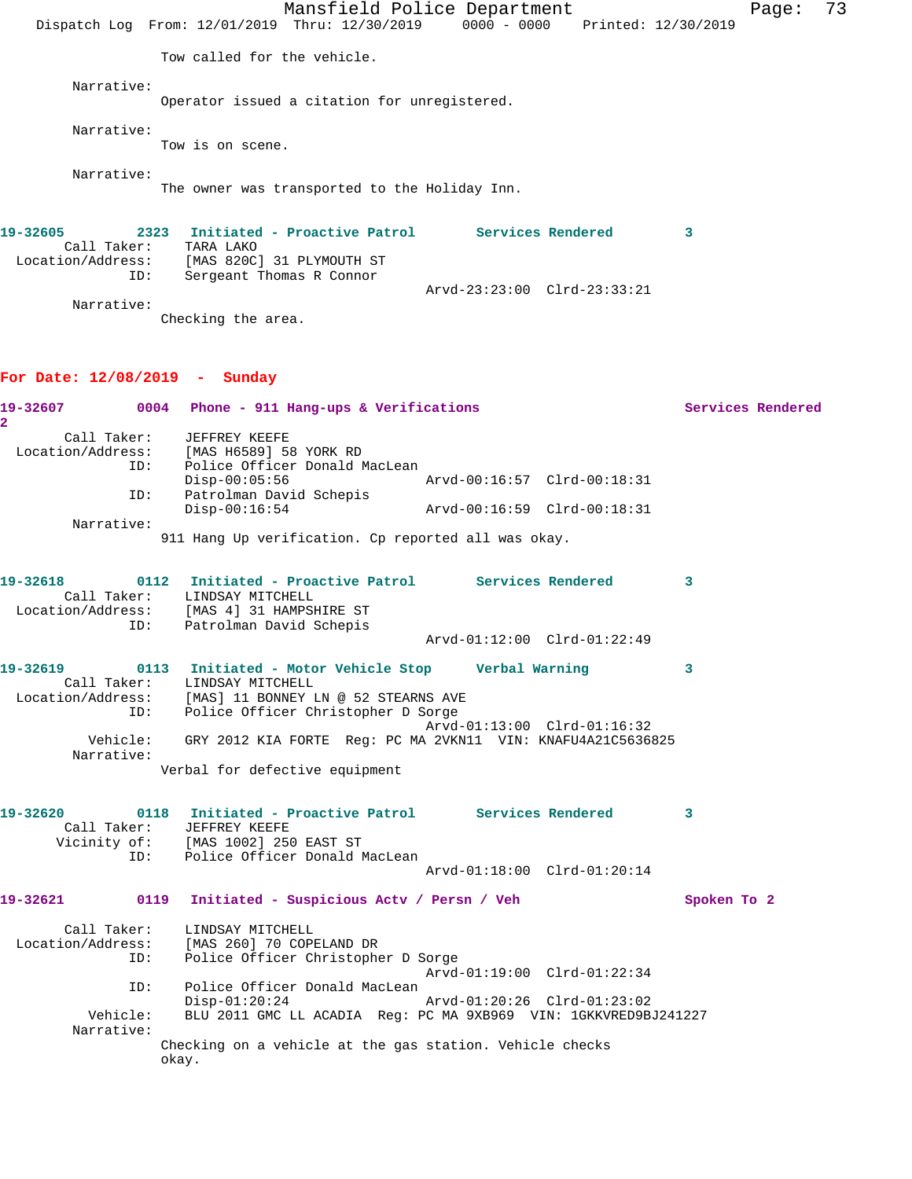Mansfield Police Department Fage: 73 Dispatch Log From: 12/01/2019 Thru: 12/30/2019 0000 - 0000 Printed: 12/30/2019 Tow called for the vehicle. Narrative: Operator issued a citation for unregistered. Narrative: Tow is on scene. Narrative: The owner was transported to the Holiday Inn. **19-32605 2323 Initiated - Proactive Patrol Services Rendered 3**  Call Taker: TARA LAKO Location/Address: [MAS 820C] 31 PLYMOUTH ST ID: Sergeant Thomas R Connor Arvd-23:23:00 Clrd-23:33:21 Narrative: Checking the area. **For Date: 12/08/2019 - Sunday 19-32607 0004 Phone - 911 Hang-ups & Verifications Services Rendered 2**  Call Taker: JEFFREY KEEFE Location/Address: [MAS H6589] 58 YORK RD ID: Police Officer Donald MacLean Disp-00:05:56 Arvd-00:16:57 Clrd-00:18:31 ID: Patrolman David Schepis Disp-00:16:54 Arvd-00:16:59 Clrd-00:18:31 Narrative: 911 Hang Up verification. Cp reported all was okay. **19-32618 0112 Initiated - Proactive Patrol Services Rendered 3**  Call Taker: LINDSAY MITCHELL Location/Address: [MAS 4] 31 HAMPSHIRE ST ID: Patrolman David Schepis Arvd-01:12:00 Clrd-01:22:49 **19-32619 0113 Initiated - Motor Vehicle Stop Verbal Warning 3**  Call Taker: LINDSAY MITCHELL Location/Address: [MAS] 11 BONNEY LN @ 52 STEARNS AVE ID: Police Officer Christopher D Sorge Arvd-01:13:00 Clrd-01:16:32 Vehicle: GRY 2012 KIA FORTE Reg: PC MA 2VKN11 VIN: KNAFU4A21C5636825 Narrative: Verbal for defective equipment **19-32620 0118 Initiated - Proactive Patrol Services Rendered 3**  Call Taker: JEFFREY KEEFE Vicinity of: [MAS 1002] 250 EAST ST ID: Police Officer Donald MacLean Arvd-01:18:00 Clrd-01:20:14 **19-32621 0119 Initiated - Suspicious Actv / Persn / Veh Spoken To 2** Call Taker: LINDSAY MITCHELL Location/Address: [MAS 260] 70 COPELAND DR ID: Police Officer Christopher D Sorge Arvd-01:19:00 Clrd-01:22:34 ID: Police Officer Donald MacLean Disp-01:20:24 Arvd-01:20:26 Clrd-01:23:02 Vehicle: BLU 2011 GMC LL ACADIA Reg: PC MA 9XB969 VIN: 1GKKVRED9BJ241227 Narrative: Checking on a vehicle at the gas station. Vehicle checks okay.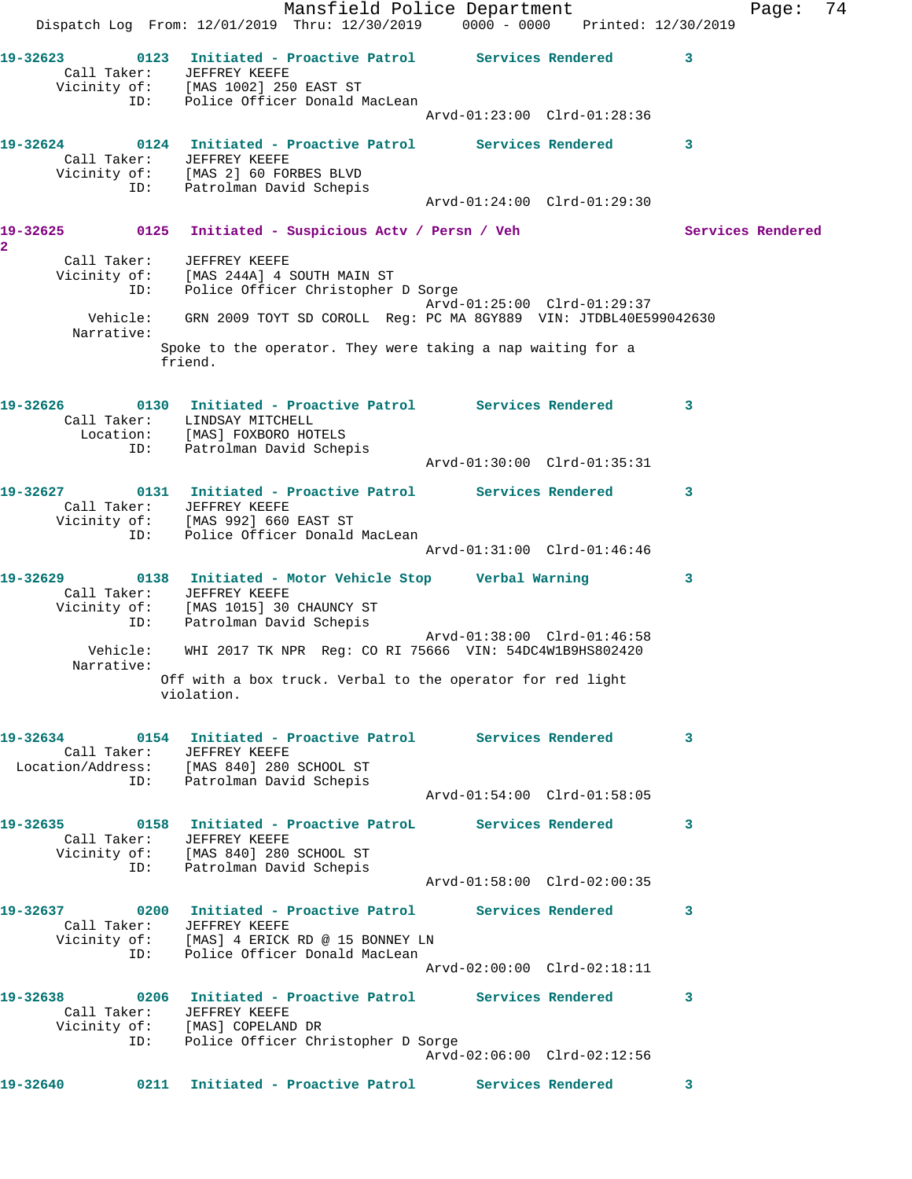Mansfield Police Department Fage: 74 Dispatch Log From: 12/01/2019 Thru: 12/30/2019 0000 - 0000 Printed: 12/30/2019 **19-32623 0123 Initiated - Proactive Patrol Services Rendered 3**  Call Taker: JEFFREY KEEFE Vicinity of: [MAS 1002] 250 EAST ST ID: Police Officer Donald MacLean Arvd-01:23:00 Clrd-01:28:36 **19-32624 0124 Initiated - Proactive Patrol Services Rendered 3**  Call Taker: JEFFREY KEEFE Vicinity of: [MAS 2] 60 FORBES BLVD ID: Patrolman David Schepis Arvd-01:24:00 Clrd-01:29:30 **19-32625 0125 Initiated - Suspicious Actv / Persn / Veh Services Rendered 2**  Call Taker: JEFFREY KEEFE Vicinity of: [MAS 244A] 4 SOUTH MAIN ST ID: Police Officer Christopher D Sorge Arvd-01:25:00 Clrd-01:29:37 Vehicle: GRN 2009 TOYT SD COROLL Reg: PC MA 8GY889 VIN: JTDBL40E599042630 Narrative: Spoke to the operator. They were taking a nap waiting for a friend. **19-32626 0130 Initiated - Proactive Patrol Services Rendered 3**  Call Taker: LINDSAY MITCHELL Location: [MAS] FOXBORO HOTELS ID: Patrolman David Schepis Arvd-01:30:00 Clrd-01:35:31 **19-32627 0131 Initiated - Proactive Patrol Services Rendered 3**  Call Taker: JEFFREY KEEFE Vicinity of: [MAS 992] 660 EAST ST ID: Police Officer Donald MacLean Arvd-01:31:00 Clrd-01:46:46 **19-32629 0138 Initiated - Motor Vehicle Stop Verbal Warning 3**  Call Taker: JEFFREY KEEFE Vicinity of: [MAS 1015] 30 CHAUNCY ST ID: Patrolman David Schepis Arvd-01:38:00 Clrd-01:46:58 Vehicle: WHI 2017 TK NPR Reg: CO RI 75666 VIN: 54DC4W1B9HS802420 Narrative: Off with a box truck. Verbal to the operator for red light violation. **19-32634 0154 Initiated - Proactive Patrol Services Rendered 3**  Call Taker: JEFFREY KEEFE Location/Address: [MAS 840] 280 SCHOOL ST ID: Patrolman David Schepis Arvd-01:54:00 Clrd-01:58:05 **19-32635 0158 Initiated - Proactive PatroL Services Rendered 3**  Call Taker: JEFFREY KEEFE Vicinity of: [MAS 840] 280 SCHOOL ST ID: Patrolman David Schepis Arvd-01:58:00 Clrd-02:00:35 **19-32637 0200 Initiated - Proactive Patrol Services Rendered 3**  Call Taker: JEFFREY KEEFE Vicinity of: [MAS] 4 ERICK RD @ 15 BONNEY LN ID: Police Officer Donald MacLean Arvd-02:00:00 Clrd-02:18:11 **19-32638 0206 Initiated - Proactive Patrol Services Rendered 3**  Call Taker: JEFFREY KEEFE Vicinity of: [MAS] COPELAND DR ID: Police Officer Christopher D Sorge Arvd-02:06:00 Clrd-02:12:56 **19-32640 0211 Initiated - Proactive Patrol Services Rendered 3**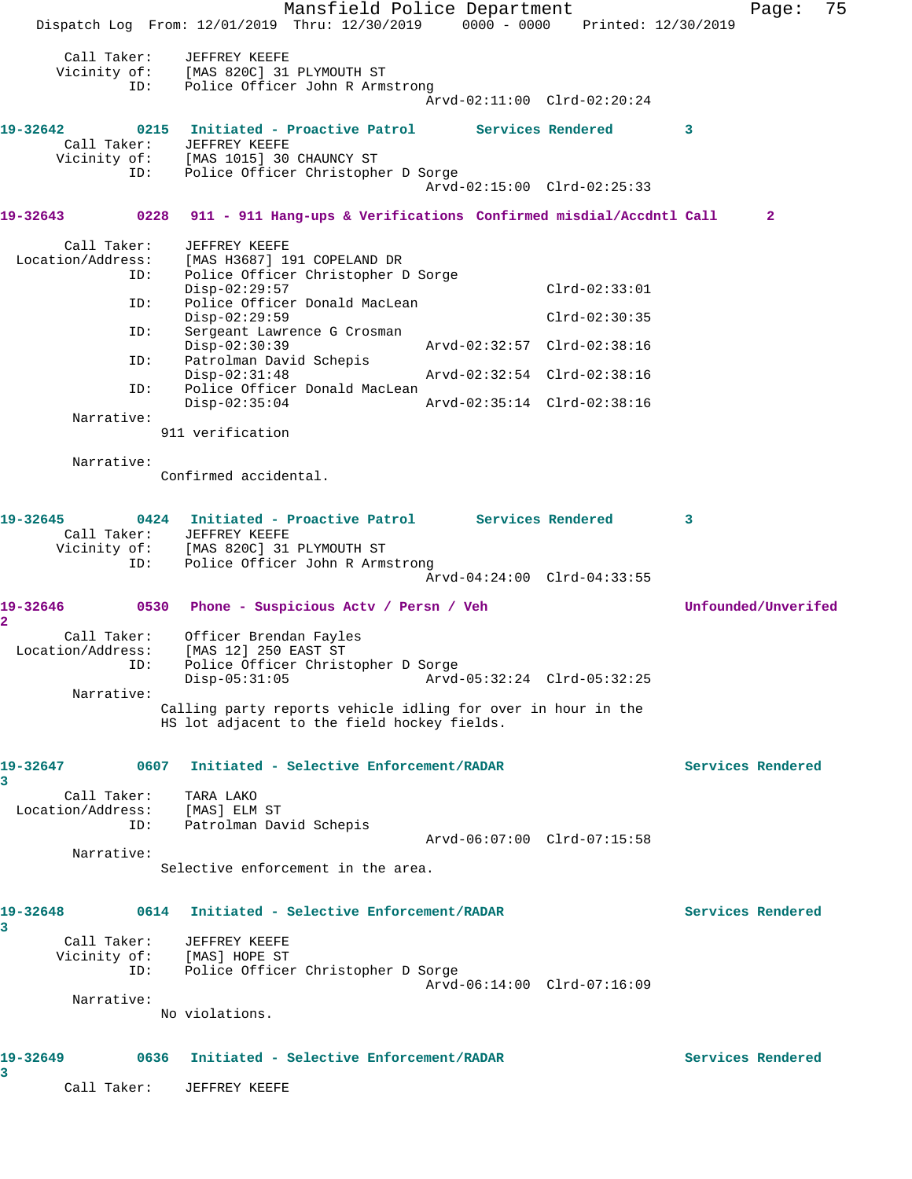Mansfield Police Department Fage: 75 Dispatch Log From: 12/01/2019 Thru: 12/30/2019 0000 - 0000 Printed: 12/30/2019 Call Taker: JEFFREY KEEFE Vicinity of: [MAS 820C] 31 PLYMOUTH ST ID: Police Officer John R Armstrong Arvd-02:11:00 Clrd-02:20:24 **19-32642 0215 Initiated - Proactive Patrol Services Rendered 3**  Call Taker: JEFFREY KEEFE Vicinity of: [MAS 1015] 30 CHAUNCY ST ID: Police Officer Christopher D Sorge Arvd-02:15:00 Clrd-02:25:33 **19-32643 0228 911 - 911 Hang-ups & Verifications Confirmed misdial/Accdntl Call 2** Call Taker: JEFFREY KEEFE Location/Address: [MAS H3687] 191 COPELAND DR ID: Police Officer Christopher D Sorge Disp-02:29:57 Clrd-02:33:01 ID: Police Officer Donald MacLean Disp-02:29:59 Clrd-02:30:35 ID: Sergeant Lawrence G Crosman Disp-02:30:39 Arvd-02:32:57 Clrd-02:38:16<br>ID: Patrolman David Schepis ID: Patrolman David Schepis Disp-02:31:48 Arvd-02:32:54 Clrd-02:38:16 ID: Police Officer Donald MacLean Disp-02:35:04 Arvd-02:35:14 Clrd-02:38:16 Narrative: 911 verification Narrative: Confirmed accidental. **19-32645 0424 Initiated - Proactive Patrol Services Rendered 3**  Call Taker: JEFFREY KEEFE Vicinity of: [MAS 820C] 31 PLYMOUTH ST ID: Police Officer John R Armstrong Arvd-04:24:00 Clrd-04:33:55 **19-32646 0530 Phone - Suspicious Actv / Persn / Veh Unfounded/Unverifed 2**  Call Taker: Officer Brendan Fayles Location/Address: [MAS 12] 250 EAST ST ID: Police Officer Christopher D Sorge Disp-05:31:05 Arvd-05:32:24 Clrd-05:32:25 Narrative: Calling party reports vehicle idling for over in hour in the HS lot adjacent to the field hockey fields. **19-32647 0607 Initiated - Selective Enforcement/RADAR Services Rendered 3**  Call Taker: TARA LAKO Location/Address: [MAS] ELM ST ID: Patrolman David Schepis Arvd-06:07:00 Clrd-07:15:58 Narrative: Selective enforcement in the area. **19-32648 0614 Initiated - Selective Enforcement/RADAR Services Rendered 3**  Call Taker: JEFFREY KEEFE Vicinity of: [MAS] HOPE ST ID: Police Officer Christopher D Sorge Arvd-06:14:00 Clrd-07:16:09 Narrative: No violations. **19-32649 0636 Initiated - Selective Enforcement/RADAR Services Rendered 3**  Call Taker: JEFFREY KEEFE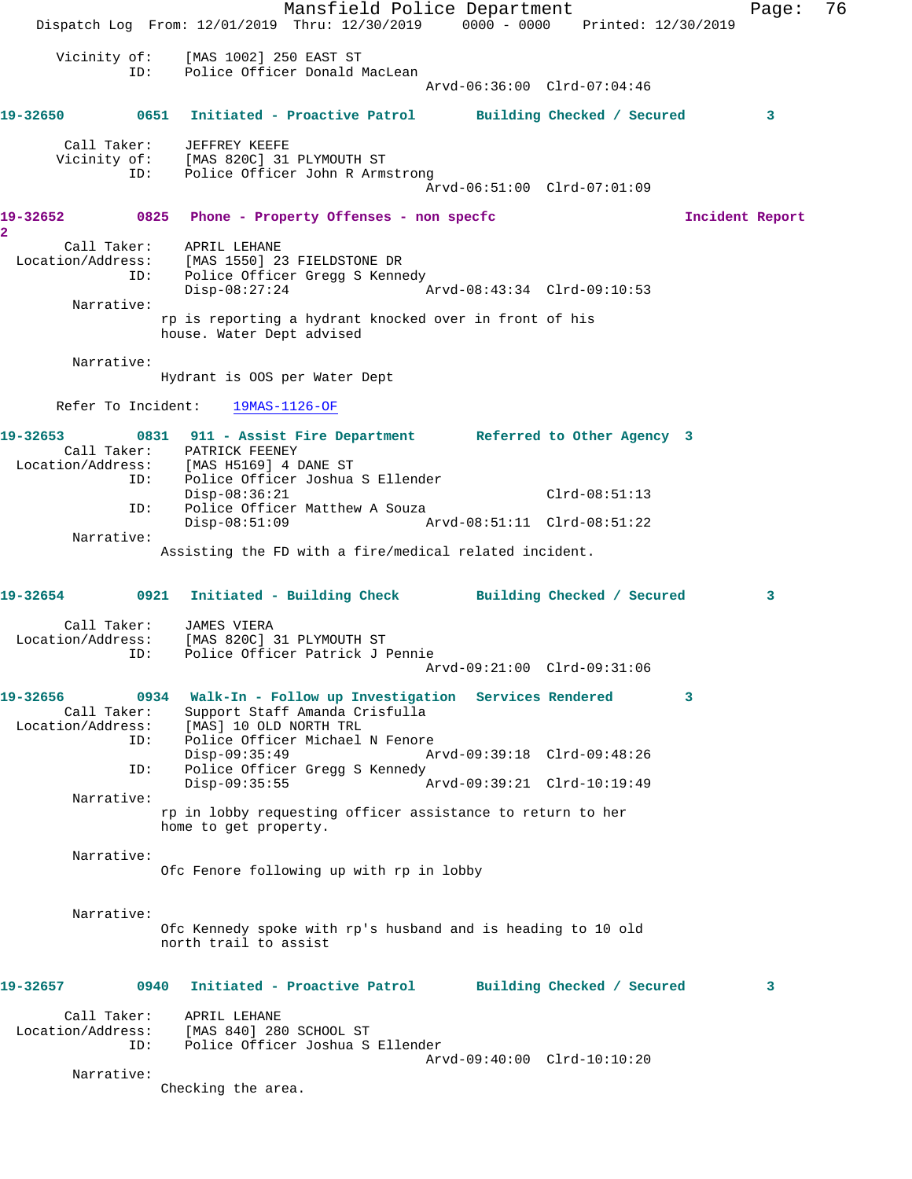Mansfield Police Department Fage: 76 Dispatch Log From: 12/01/2019 Thru: 12/30/2019 0000 - 0000 Printed: 12/30/2019 Vicinity of: [MAS 1002] 250 EAST ST<br>TD: Police Officer Donald N Police Officer Donald MacLean Arvd-06:36:00 Clrd-07:04:46 **19-32650 0651 Initiated - Proactive Patrol Building Checked / Secured 3** Call Taker: JEFFREY KEEFE Vicinity of: [MAS 820C] 31 PLYMOUTH ST<br>ID: Police Officer John R Arms Police Officer John R Armstrong Arvd-06:51:00 Clrd-07:01:09 **19-32652 0825 Phone - Property Offenses - non specfc Incident Report 2**  Call Taker: APRIL LEHANE Location/Address: [MAS 1550] 23 FIELDSTONE DR<br>ID: Police Officer Gregg S Kenne Police Officer Gregg S Kennedy Disp-08:27:24 Arvd-08:43:34 Clrd-09:10:53 Narrative: rp is reporting a hydrant knocked over in front of his house. Water Dept advised Narrative: Hydrant is OOS per Water Dept Refer To Incident: 19MAS-1126-OF **19-32653 0831 911 - Assist Fire Department Referred to Other Agency 3**  Call Taker: PATRICK FEENEY<br>Location/Address: [MAS H5169] 4 I [MAS H5169] 4 DANE ST ID: Police Officer Joshua S Ellender Disp-08:36:21 Clrd-08:51:13<br>TD: Police Officer Matthew A Souza Police Officer Matthew A Souza<br>Disp-08:51:09 A Disp-08:51:09 Arvd-08:51:11 Clrd-08:51:22 Narrative: Assisting the FD with a fire/medical related incident. **19-32654 0921 Initiated - Building Check Building Checked / Secured 3** Call Taker: JAMES VIERA Location/Address: [MAS 820C] 31 PLYMOUTH ST ID: Police Officer Patrick J Pennie Arvd-09:21:00 Clrd-09:31:06 **19-32656 0934 Walk-In - Follow up Investigation Services Rendered 3**  Call Taker: Support Staff Amanda Crisfulla<br>Location/Address: [MAS] 10 OLD NORTH TRL ess: [MAS] 10 OLD NORTH TRL<br>ID: Police Officer Michael Police Officer Michael N Fenore<br>Disp-09:35:49 A Disp-09:35:49 Arvd-09:39:18 Clrd-09:48:26<br>ID: Police Officer Gregg S Kennedy Police Officer Gregg S Kennedy Disp-09:35:55 Arvd-09:39:21 Clrd-10:19:49 Narrative: rp in lobby requesting officer assistance to return to her home to get property. Narrative: Ofc Fenore following up with rp in lobby Narrative: Ofc Kennedy spoke with rp's husband and is heading to 10 old north trail to assist **19-32657 0940 Initiated - Proactive Patrol Building Checked / Secured 3** Call Taker: APRIL LEHANE Location/Address: [MAS 840] 280 SCHOOL ST<br>TD: Police Officer Joshua S Police Officer Joshua S Ellender Arvd-09:40:00 Clrd-10:10:20 Narrative: Checking the area.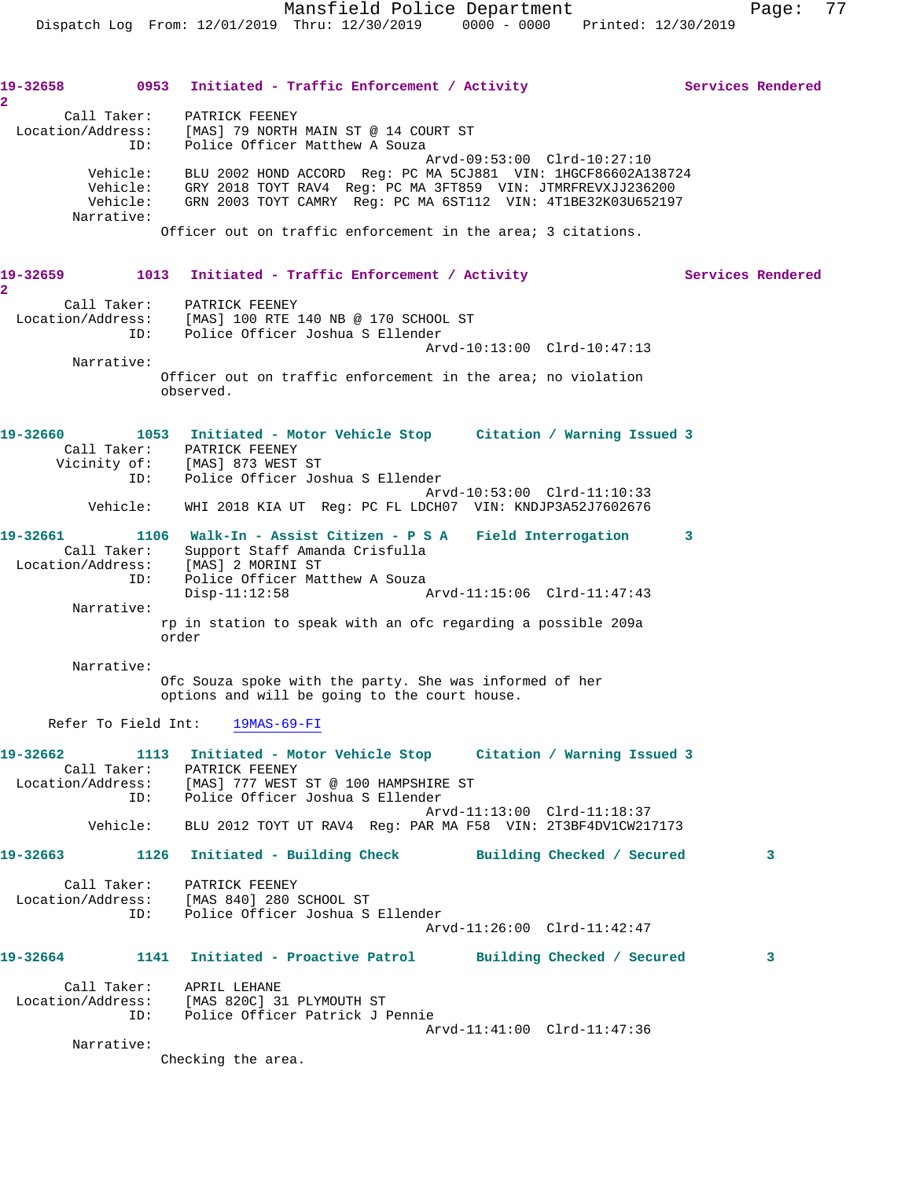19-32658 0953 Initiated - Traffic Enforcement / Activity **Services Rendered 2**  Call Taker: PATRICK FEENEY Location/Address: [MAS] 79 NORTH MAIN ST @ 14 COURT ST ID: Police Officer Matthew A Souza Arvd-09:53:00 Clrd-10:27:10 Vehicle: BLU 2002 HOND ACCORD Reg: PC MA 5CJ881 VIN: 1HGCF86602A138724 Vehicle: GRY 2018 TOYT RAV4 Reg: PC MA 3FT859 VIN: JTMRFREVXJJ236200 Vehicle: GRN 2003 TOYT CAMRY Reg: PC MA 6ST112 VIN: 4T1BE32K03U652197 Narrative: Officer out on traffic enforcement in the area; 3 citations. 19-32659 1013 Initiated - Traffic Enforcement / Activity **Services Rendered 2**  Call Taker: PATRICK FEENEY Location/Address: [MAS] 100 RTE 140 NB @ 170 SCHOOL ST ID: Police Officer Joshua S Ellender Arvd-10:13:00 Clrd-10:47:13 Narrative: Officer out on traffic enforcement in the area; no violation observed. **19-32660 1053 Initiated - Motor Vehicle Stop Citation / Warning Issued 3**  Call Taker: PATRICK FEENEY Vicinity of: [MAS] 873 WEST ST ID: Police Officer Joshua S Ellender Arvd-10:53:00 Clrd-11:10:33 Vehicle: WHI 2018 KIA UT Reg: PC FL LDCH07 VIN: KNDJP3A52J7602676 **19-32661 1106 Walk-In - Assist Citizen - P S A Field Interrogation 3**  Call Taker: Support Staff Amanda Crisfulla Location/Address: [MAS] 2 MORINI ST ID: Police Officer Matthew A Souza Disp-11:12:58 Arvd-11:15:06 Clrd-11:47:43 Narrative: rp in station to speak with an ofc regarding a possible 209a order Narrative: Ofc Souza spoke with the party. She was informed of her options and will be going to the court house. Refer To Field Int: 19MAS-69-FI **19-32662 1113 Initiated - Motor Vehicle Stop Citation / Warning Issued 3**  Call Taker: PATRICK FEENEY Location/Address: [MAS] 777 WEST ST @ 100 HAMPSHIRE ST ID: Police Officer Joshua S Ellender Arvd-11:13:00 Clrd-11:18:37 Vehicle: BLU 2012 TOYT UT RAV4 Reg: PAR MA F58 VIN: 2T3BF4DV1CW217173 **19-32663 1126 Initiated - Building Check Building Checked / Secured 3** Call Taker: PATRICK FEENEY Location/Address: [MAS 840] 280 SCHOOL ST ID: Police Officer Joshua S Ellender Arvd-11:26:00 Clrd-11:42:47 **19-32664 1141 Initiated - Proactive Patrol Building Checked / Secured 3** Call Taker: APRIL LEHANE Location/Address: [MAS 820C] 31 PLYMOUTH ST ID: Police Officer Patrick J Pennie Arvd-11:41:00 Clrd-11:47:36 Narrative:

Checking the area.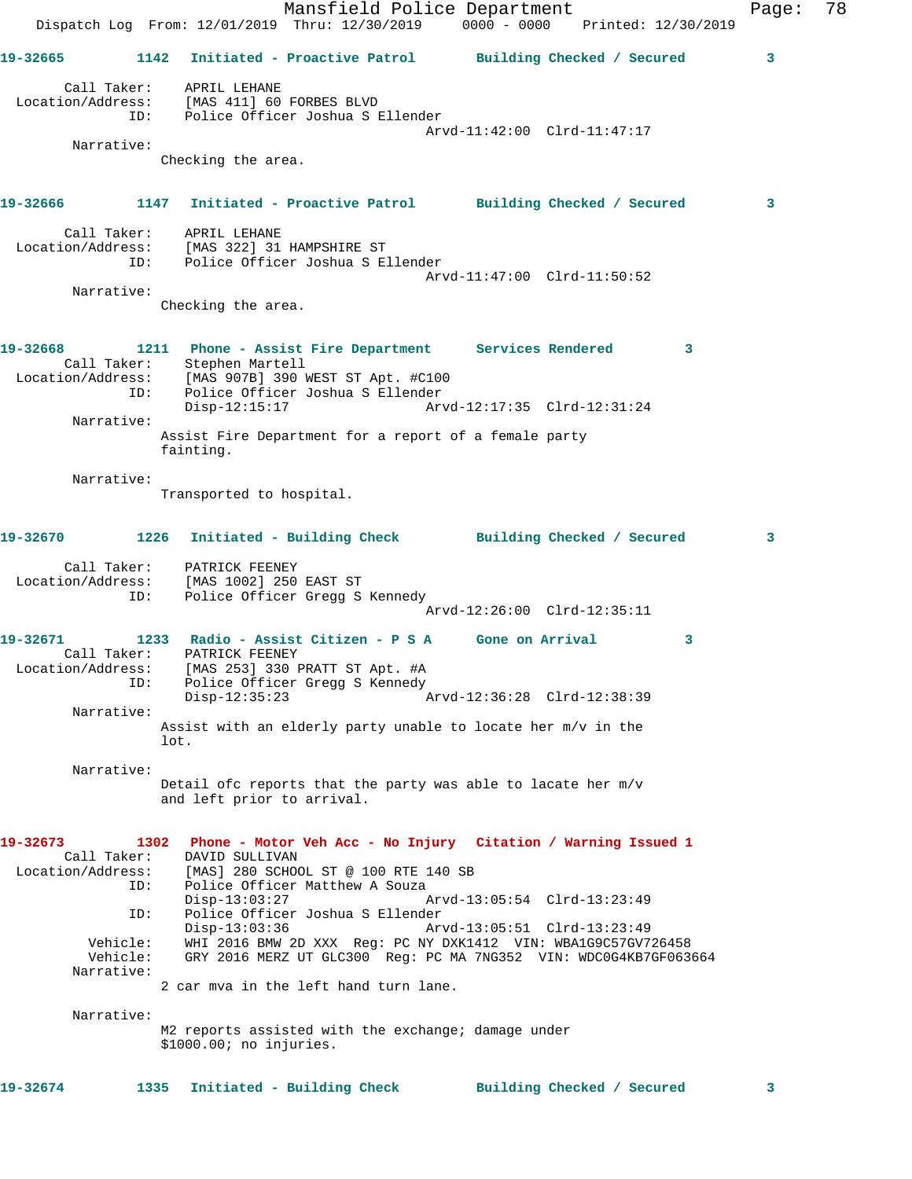Mansfield Police Department Fage: 78 Dispatch Log From: 12/01/2019 Thru: 12/30/2019 0000 - 0000 Printed: 12/30/2019 **19-32665 1142 Initiated - Proactive Patrol Building Checked / Secured 3** Call Taker: APRIL LEHANE Location/Address: [MAS 411] 60 FORBES BLVD ID: Police Officer Joshua S Ellender Arvd-11:42:00 Clrd-11:47:17 Narrative: Checking the area. **19-32666 1147 Initiated - Proactive Patrol Building Checked / Secured 3** Call Taker: APRIL LEHANE Location/Address: [MAS 322] 31 HAMPSHIRE ST ID: Police Officer Joshua S Ellender Arvd-11:47:00 Clrd-11:50:52 Narrative: Checking the area. **19-32668 1211 Phone - Assist Fire Department Services Rendered 3**  Call Taker: Stephen Martell Location/Address: [MAS 907B] 390 WEST ST Apt. #C100 ID: Police Officer Joshua S Ellender Disp-12:15:17 Arvd-12:17:35 Clrd-12:31:24 Narrative: Assist Fire Department for a report of a female party fainting. Narrative: Transported to hospital. **19-32670 1226 Initiated - Building Check Building Checked / Secured 3** Call Taker: PATRICK FEENEY Location/Address: [MAS 1002] 250 EAST ST ID: Police Officer Gregg S Kennedy Arvd-12:26:00 Clrd-12:35:11 **19-32671 1233 Radio - Assist Citizen - P S A Gone on Arrival 3**  Call Taker: PATRICK FEENEY Location/Address: [MAS 253] 330 PRATT ST Apt. #A ID: Police Officer Gregg S Kennedy Disp-12:35:23 Arvd-12:36:28 Clrd-12:38:39 Narrative: Assist with an elderly party unable to locate her m/v in the lot. Narrative: Detail ofc reports that the party was able to lacate her m/v and left prior to arrival. **19-32673 1302 Phone - Motor Veh Acc - No Injury Citation / Warning Issued 1**  Call Taker: DAVID SULLIVAN Location/Address: [MAS] 280 SCHOOL ST @ 100 RTE 140 SB ID: Police Officer Matthew A Souza<br>Disp-13:03:27 A Disp-13:03:27 Arvd-13:05:54 Clrd-13:23:49 ID: Police Officer Joshua S Ellender Disp-13:03:36 Arvd-13:05:51 Clrd-13:23:49 Vehicle: WHI 2016 BMW 2D XXX Reg: PC NY DXK1412 VIN: WBA1G9C57GV726458 Vehicle: GRY 2016 MERZ UT GLC300 Reg: PC MA 7NG352 VIN: WDC0G4KB7GF063664 Narrative: 2 car mva in the left hand turn lane. Narrative: M2 reports assisted with the exchange; damage under \$1000.00; no injuries. **19-32674 1335 Initiated - Building Check Building Checked / Secured 3**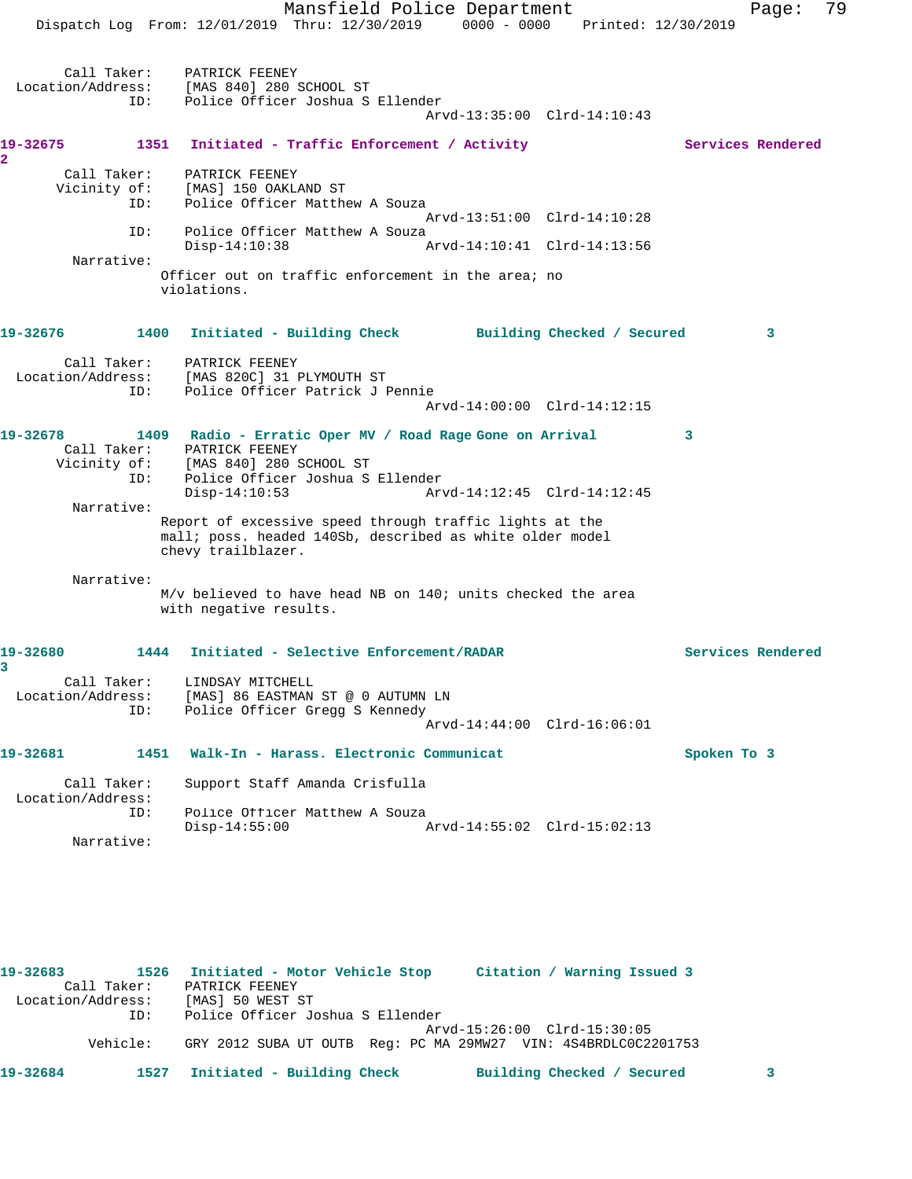Mansfield Police Department Fage: 79 Dispatch Log From: 12/01/2019 Thru: 12/30/2019 0000 - 0000 Printed: 12/30/2019 Call Taker: PATRICK FEENEY Location/Address: [MAS 840] 280 SCHOOL ST ID: Police Officer Joshua S Ellender Arvd-13:35:00 Clrd-14:10:43 **19-32675 1351 Initiated - Traffic Enforcement / Activity Services Rendered 2**  Call Taker: PATRICK FEENEY Vicinity of: [MAS] 150 OAKLAND ST ID: Police Officer Matthew A Souza Arvd-13:51:00 Clrd-14:10:28 ID: Police Officer Matthew A Souza Disp-14:10:38 Arvd-14:10:41 Clrd-14:13:56 Narrative: Officer out on traffic enforcement in the area; no violations. **19-32676 1400 Initiated - Building Check Building Checked / Secured 3** Call Taker: PATRICK FEENEY Location/Address: [MAS 820C] 31 PLYMOUTH ST ID: Police Officer Patrick J Pennie Arvd-14:00:00 Clrd-14:12:15 **19-32678 1409 Radio - Erratic Oper MV / Road Rage Gone on Arrival 3**  Call Taker: PATRICK FEENEY Vicinity of: [MAS 840] 280 SCHOOL ST ID: Police Officer Joshua S Ellender Disp-14:10:53 Arvd-14:12:45 Clrd-14:12:45 Narrative: Report of excessive speed through traffic lights at the mall; poss. headed 140Sb, described as white older model chevy trailblazer. Narrative: M/v believed to have head NB on 140; units checked the area with negative results. **19-32680 1444 Initiated - Selective Enforcement/RADAR Services Rendered 3**  Call Taker: LINDSAY MITCHELL Location/Address: [MAS] 86 EASTMAN ST @ 0 AUTUMN LN ID: Police Officer Gregg S Kennedy Arvd-14:44:00 Clrd-16:06:01 **19-32681 1451 Walk-In - Harass. Electronic Communicat Spoken To 3** Call Taker: Support Staff Amanda Crisfulla Location/Address: ID: Police Officer Matthew A Souza<br>Disp-14:55:00 Disp-14:55:00 Arvd-14:55:02 Clrd-15:02:13 Narrative:

**19-32683 1526 Initiated - Motor Vehicle Stop Citation / Warning Issued 3**  Call Taker: PATRICK FEENEY Location/Address: [MAS] 50 WEST ST ID: Police Officer Joshua S Ellender Arvd-15:26:00 Clrd-15:30:05 Vehicle: GRY 2012 SUBA UT OUTB Reg: PC MA 29MW27 VIN: 4S4BRDLC0C2201753 **19-32684 1527 Initiated - Building Check Building Checked / Secured 3**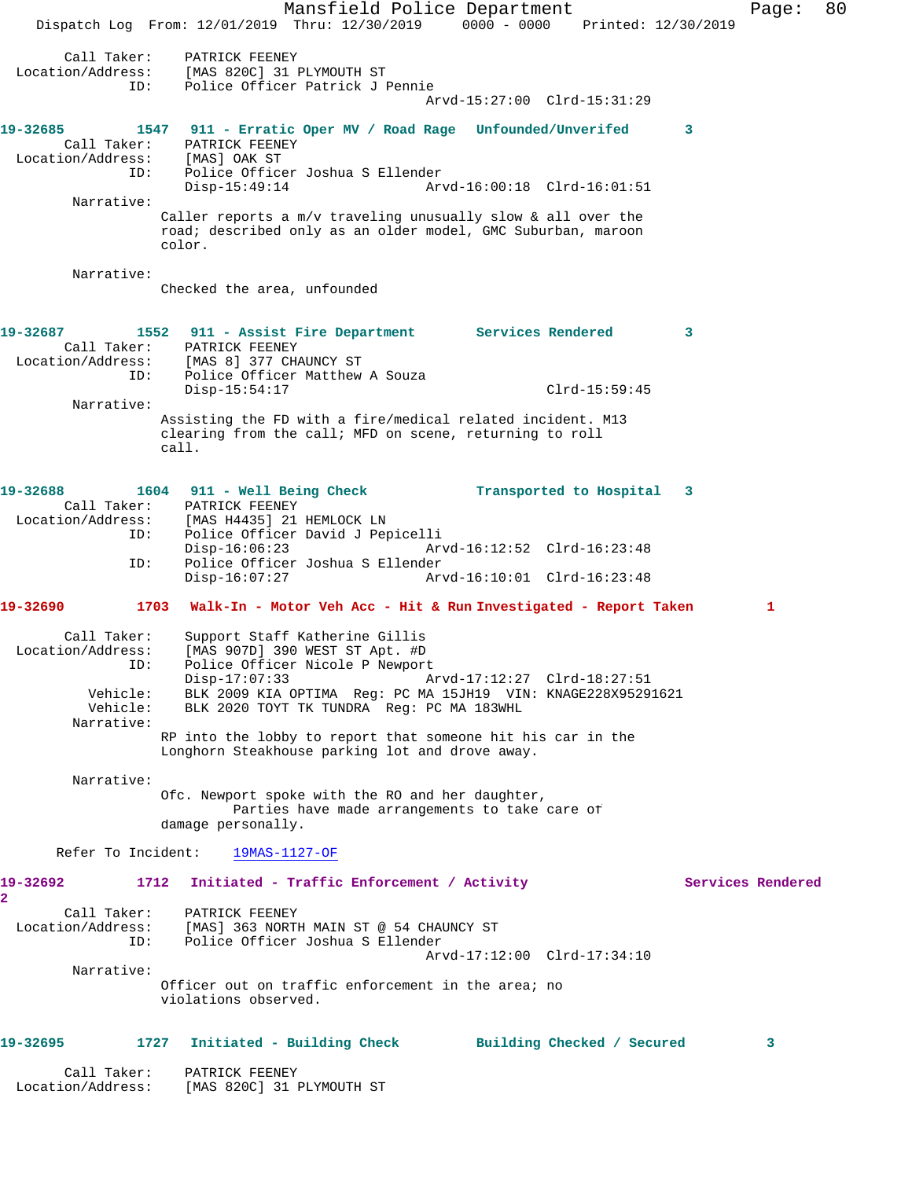Mansfield Police Department Fage: 80 Dispatch Log From: 12/01/2019 Thru: 12/30/2019 0000 - 0000 Printed: 12/30/2019 Call Taker: PATRICK FEENEY Location/Address: [MAS 820C] 31 PLYMOUTH ST ID: Police Officer Patrick J Pennie Arvd-15:27:00 Clrd-15:31:29 **19-32685 1547 911 - Erratic Oper MV / Road Rage Unfounded/Unverifed 3**  Call Taker: PATRICK FEENEY Location/Address: [MAS] OAK ST<br>ID: Police Office Police Officer Joshua S Ellender Disp-15:49:14 Arvd-16:00:18 Clrd-16:01:51 Narrative: Caller reports a m/v traveling unusually slow & all over the road; described only as an older model, GMC Suburban, maroon color. Narrative: Checked the area, unfounded **19-32687 1552 911 - Assist Fire Department Services Rendered 3**  Call Taker: PATRICK FEENEY Location/Address: [MAS 8] 377 CHAUNCY ST ID: Police Officer Matthew A Souza Disp-15:54:17 Clrd-15:59:45 Narrative: Assisting the FD with a fire/medical related incident. M13 clearing from the call; MFD on scene, returning to roll call. **19-32688 1604 911 - Well Being Check Transported to Hospital 3**  Call Taker: PATRICK FEENEY Location/Address: [MAS H4435] 21 HEMLOCK LN<br>ID: Police Officer David J Pep Police Officer David J Pepicelli Disp-16:06:23 Arvd-16:12:52 Clrd-16:23:48 ID: Police Officer Joshua S Ellender Arvd-16:10:01 Clrd-16:23:48 **19-32690 1703 Walk-In - Motor Veh Acc - Hit & Run Investigated - Report Taken 1** Call Taker: Support Staff Katherine Gillis Location/Address: [MAS 907D] 390 WEST ST Apt. #D ID: Police Officer Nicole P Newport Disp-17:07:33 Arvd-17:12:27 Clrd-18:27:51 Vehicle: BLK 2009 KIA OPTIMA Reg: PC MA 15JH19 VIN: KNAGE228X95291621 BLK 2020 TOYT TK TUNDRA Reg: PC MA 183WHL Narrative: RP into the lobby to report that someone hit his car in the Longhorn Steakhouse parking lot and drove away. Narrative: Ofc. Newport spoke with the RO and her daughter, Parties have made arrangements to take care of damage personally. Refer To Incident: 19MAS-1127-OF 19-32692 1712 Initiated - Traffic Enforcement / Activity **Services Rendered 2**  Call Taker: PATRICK FEENEY<br>Location/Address: [MAS] 363 NORTH MAIN ST @ 54 CHAUNCY ST Location/Address: [MAS] 363 NORTH MAIN ST @ 54 CHAUNCY ST ID: Police Officer Joshua S Ellender Arvd-17:12:00 Clrd-17:34:10 Narrative: Officer out on traffic enforcement in the area; no violations observed. **19-32695 1727 Initiated - Building Check Building Checked / Secured 3** Call Taker: PATRICK FEENEY Location/Address: [MAS 820C] 31 PLYMOUTH ST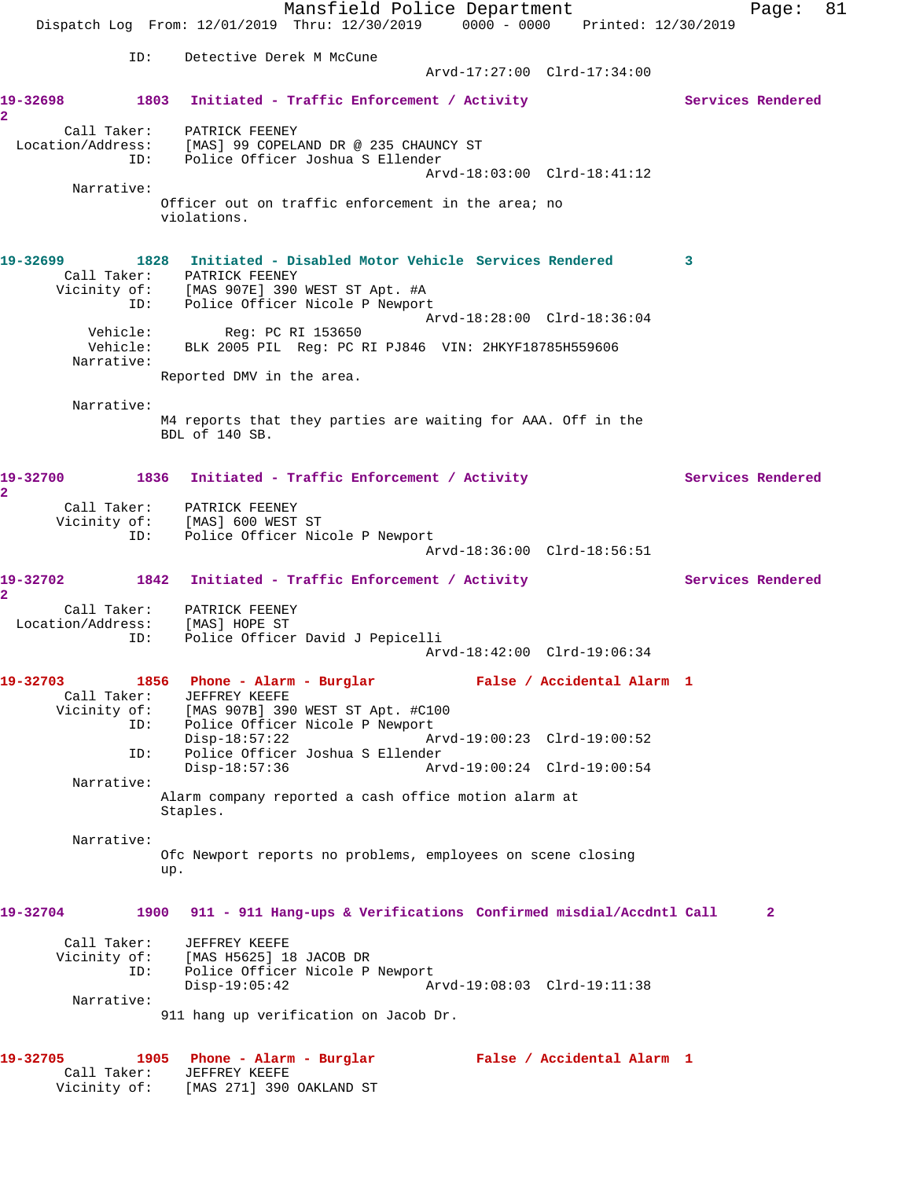Mansfield Police Department Fage: 81 Dispatch Log From: 12/01/2019 Thru: 12/30/2019 0000 - 0000 Printed: 12/30/2019 ID: Detective Derek M McCune Arvd-17:27:00 Clrd-17:34:00 19-32698 1803 Initiated - Traffic Enforcement / Activity **Services Rendered 2**  Call Taker: PATRICK FEENEY Location/Address: [MAS] 99 COPELAND DR @ 235 CHAUNCY ST ID: Police Officer Joshua S Ellender Arvd-18:03:00 Clrd-18:41:12 Narrative: Officer out on traffic enforcement in the area; no violations. **19-32699 1828 Initiated - Disabled Motor Vehicle Services Rendered 3**  Call Taker: PATRICK FEENEY Vicinity of: [MAS 907E] 390 WEST ST Apt. #A ID: Police Officer Nicole P Newport Arvd-18:28:00 Clrd-18:36:04 Vehicle: Reg: PC RI 153650 Vehicle: BLK 2005 PIL Reg: PC RI PJ846 VIN: 2HKYF18785H559606 Narrative: Reported DMV in the area. Narrative: M4 reports that they parties are waiting for AAA. Off in the BDL of 140 SB. 19-32700 1836 Initiated - Traffic Enforcement / Activity **Services Rendered 2**  Call Taker: PATRICK FEENEY Vicinity of: [MAS] 600 WEST ST ID: Police Officer Nicole P Newport Arvd-18:36:00 Clrd-18:56:51 19-32702 1842 Initiated - Traffic Enforcement / Activity **Services Rendered 2**  Call Taker: PATRICK FEENEY Location/Address: [MAS] HOPE ST ID: Police Officer David J Pepicelli Arvd-18:42:00 Clrd-19:06:34 **19-32703 1856 Phone - Alarm - Burglar False / Accidental Alarm 1**  Call Taker: JEFFREY KEEFE Vicinity of: [MAS 907B] 390 WEST ST Apt. #C100 ID: Police Officer Nicole P Newport<br>Disp-18:57:22 Am Disp-18:57:22 Arvd-19:00:23 Clrd-19:00:52<br>Disp-18:57:36 Disp-18:57:36 Arvd-19:00:24 Clrd-19:00:54 Police Officer Joshua S Ellender Disp-18:57:36 Arvd-19:00:24 Clrd-19:00:54 Narrative: Alarm company reported a cash office motion alarm at Staples. Narrative: Ofc Newport reports no problems, employees on scene closing up. **19-32704 1900 911 - 911 Hang-ups & Verifications Confirmed misdial/Accdntl Call 2** Call Taker: JEFFREY KEEFE Vicinity of: [MAS H5625] 18 JACOB DR ID: Police Officer Nicole P Newport<br>Disp-19:05:42 Ar Disp-19:05:42 Arvd-19:08:03 Clrd-19:11:38 Narrative: 911 hang up verification on Jacob Dr. **19-32705 1905 Phone - Alarm - Burglar False / Accidental Alarm 1**  Call Taker: JEFFREY KEEFE Vicinity of: [MAS 271] 390 OAKLAND ST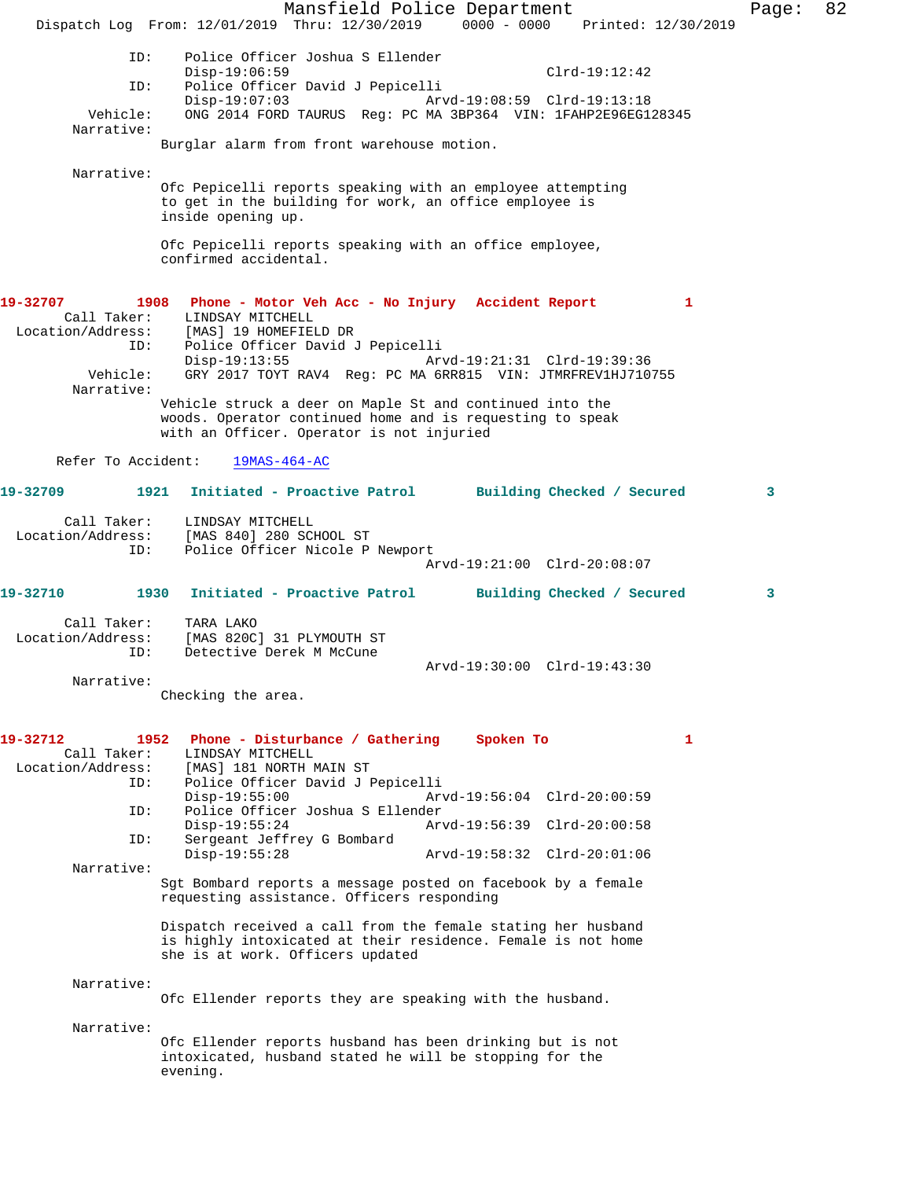Mansfield Police Department Page: 82 Dispatch Log From: 12/01/2019 Thru: 12/30/2019 0000 - 0000 Printed: 12/30/2019 ID: Police Officer Joshua S Ellender Disp-19:06:59 Clrd-19:12:42 ID: Police Officer David J Pepicelli Disp-19:07:03 Arvd-19:08:59 Clrd-19:13:18<br>Vehicle: ONG 2014 FORD TAURUS Reg: PC MA 3BP364 VIN: 1FAHP2E96EG1 ONG 2014 FORD TAURUS Reg: PC MA 3BP364 VIN: 1FAHP2E96EG128345 Narrative: Burglar alarm from front warehouse motion. Narrative: Ofc Pepicelli reports speaking with an employee attempting to get in the building for work, an office employee is inside opening up. Ofc Pepicelli reports speaking with an office employee, confirmed accidental. **19-32707 1908 Phone - Motor Veh Acc - No Injury Accident Report 1**  LINDSAY MITCHELL Location/Address: [MAS] 19 HOMEFIELD DR<br>ID: Police Officer David J Police Officer David J Pepicelli<br>Disp-19:13:55 Arv Arvd-19:21:31 Clrd-19:39:36 Vehicle: GRY 2017 TOYT RAV4 Reg: PC MA 6RR815 VIN: JTMRFREV1HJ710755 Narrative: Vehicle struck a deer on Maple St and continued into the woods. Operator continued home and is requesting to speak with an Officer. Operator is not injuried Refer To Accident: 19MAS-464-AC **19-32709 1921 Initiated - Proactive Patrol Building Checked / Secured 3** Call Taker: LINDSAY MITCHELL Location/Address: [MAS 840] 280 SCHOOL ST Police Officer Nicole P Newport Arvd-19:21:00 Clrd-20:08:07 **19-32710 1930 Initiated - Proactive Patrol Building Checked / Secured 3** Call Taker: TARA LAKO Location/Address: [MAS 820C] 31 PLYMOUTH ST<br>TD: Detective Derek M McCune Detective Derek M McCune Arvd-19:30:00 Clrd-19:43:30 Narrative: Checking the area. **19-32712 1952 Phone - Disturbance / Gathering Spoken To 1**  Call Taker: LINDSAY MITCHELL<br>Location/Address: [MAS] 181 NORTH I ess: [MAS] 181 NORTH MAIN ST<br>ID: Police Officer David JJ Police Officer David J Pepicelli Disp-19:55:00 Arvd-19:56:04 Clrd-20:00:59<br>TD: Police Officer Joshua S Ellender Police Officer Joshua S Ellender<br>Disp-19:55:24 Arv Disp-19:55:24 Arvd-19:56:39 Clrd-20:00:58 ID: Sergeant Jeffrey G Bombard Disp-19:55:28 Arvd-19:58:32 Clrd-20:01:06 Narrative: Sgt Bombard reports a message posted on facebook by a female requesting assistance. Officers responding Dispatch received a call from the female stating her husband is highly intoxicated at their residence. Female is not home she is at work. Officers updated Narrative: Ofc Ellender reports they are speaking with the husband. Narrative: Ofc Ellender reports husband has been drinking but is not intoxicated, husband stated he will be stopping for the evening.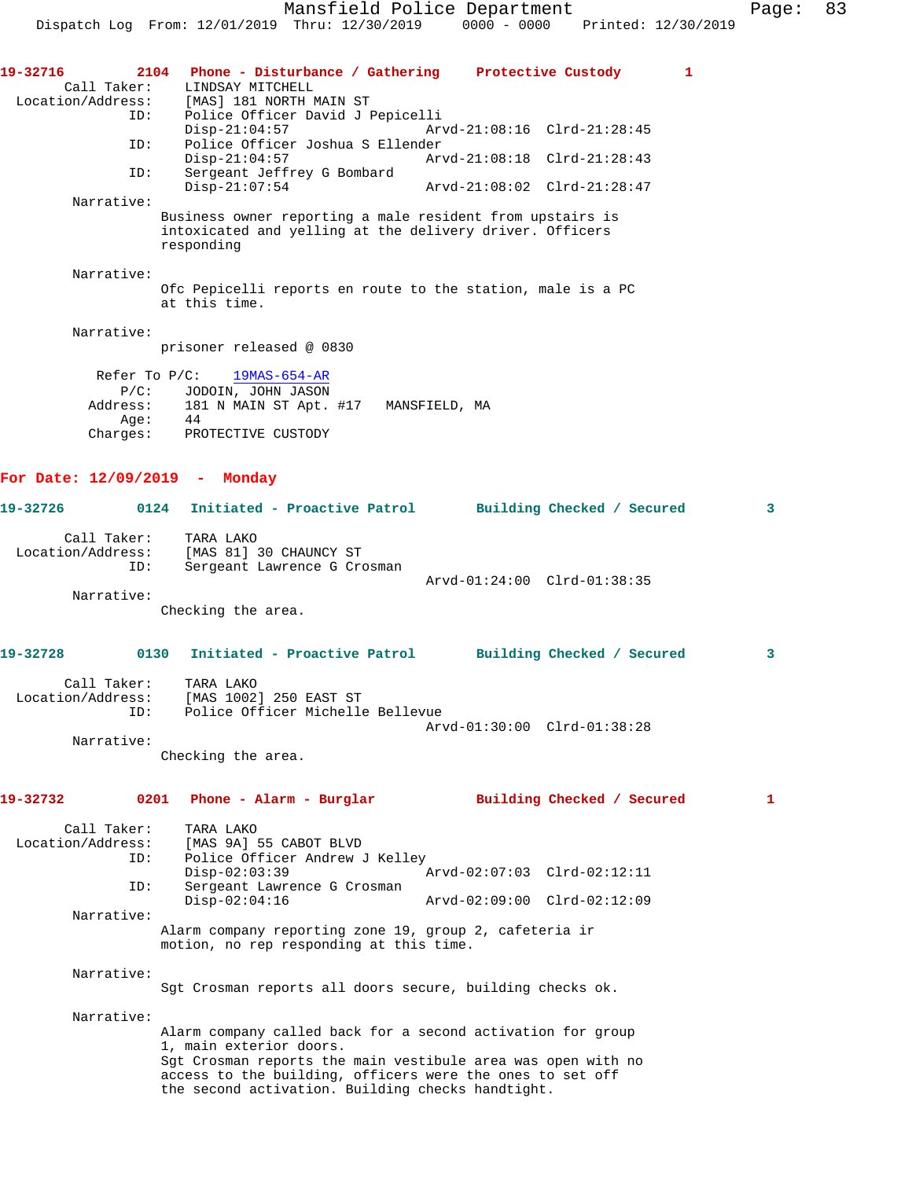Mansfield Police Department Page: 83 Dispatch Log From: 12/01/2019 Thru: 12/30/2019 0000 - 0000 Printed: 12/30/2019 **19-32716 2104 Phone - Disturbance / Gathering Protective Custody 1**  Call Taker: LINDSAY MITCHELL<br>Location/Address: [MAS] 181 NORTH N [MAS] 181 NORTH MAIN ST ID: Police Officer David J Pepicelli Disp-21:04:57 Arvd-21:08:16 Clrd-21:28:45<br>TD: Police Officer Joshua S Ellender ID: Police Officer Joshua S Ellender Disp-21:04:57 <br>
D: Sergeant Jeffrey G Bombard<br>
D: Sergeant Jeffrey G Bombard Sergeant Jeffrey G Bombard Disp-21:07:54 Arvd-21:08:02 Clrd-21:28:47 Narrative: Business owner reporting a male resident from upstairs is intoxicated and yelling at the delivery driver. Officers responding Narrative: Ofc Pepicelli reports en route to the station, male is a PC at this time. Narrative: prisoner released @ 0830 Refer To P/C: 19MAS-654-AR P/C: JODOIN, JOHN JASON<br>Address: 181 N MAIN ST Apt. 181 N MAIN ST Apt. #17 MANSFIELD, MA Age: 44 Charges: PROTECTIVE CUSTODY **For Date: 12/09/2019 - Monday 19-32726 0124 Initiated - Proactive Patrol Building Checked / Secured 3** Call Taker: TARA LAKO Location/Address: [MAS 81] 30 CHAUNCY ST ID: Sergeant Lawrence G Crosman Arvd-01:24:00 Clrd-01:38:35 Narrative: Checking the area. **19-32728 0130 Initiated - Proactive Patrol Building Checked / Secured 3** Call Taker: TARA LAKO Location/Address: [MAS 1002] 250 EAST ST ID: Police Officer Michelle Bellevue Arvd-01:30:00 Clrd-01:38:28 Narrative: Checking the area. **19-32732 0201 Phone - Alarm - Burglar Building Checked / Secured 1** Call Taker: TARA LAKO Location/Address: [MAS 9A] 55 CABOT BLVD Police Officer Andrew J Kelley Disp-02:03:39 Arvd-02:07:03 Clrd-02:12:11 ID: Sergeant Lawrence G Crosman Disp-02:04:16 Arvd-02:09:00 Clrd-02:12:09 Narrative: Alarm company reporting zone 19, group 2, cafeteria ir motion, no rep responding at this time. Narrative: Sgt Crosman reports all doors secure, building checks ok. Narrative: Alarm company called back for a second activation for group 1, main exterior doors. Sgt Crosman reports the main vestibule area was open with no access to the building, officers were the ones to set off the second activation. Building checks handtight.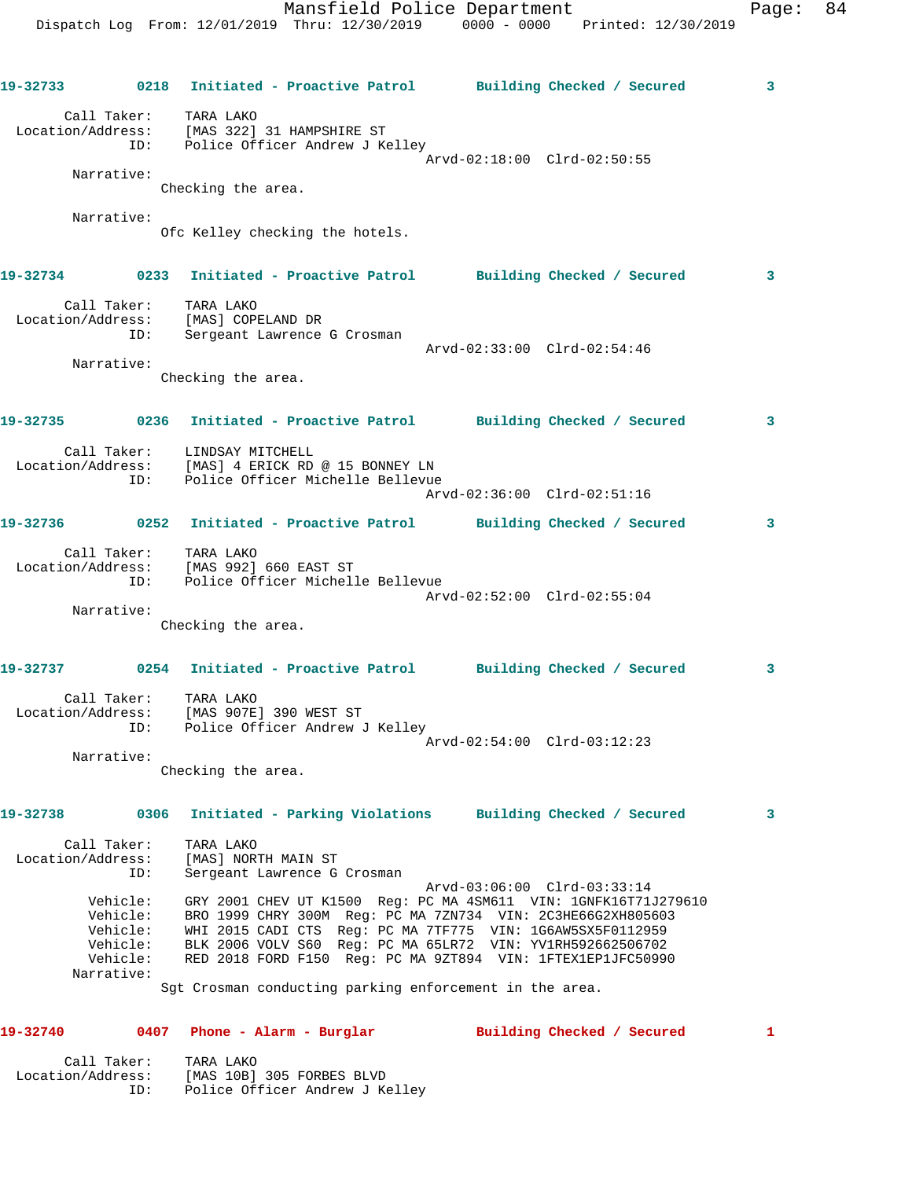Dispatch Log From: 12/01/2019 Thru: 12/30/2019 0000 - 0000 Printed: 12/30/2019 **19-32733 0218 Initiated - Proactive Patrol Building Checked / Secured 3** Call Taker: TARA LAKO Location/Address: [MAS 322] 31 HAMPSHIRE ST ID: Police Officer Andrew J Kelley Arvd-02:18:00 Clrd-02:50:55 Narrative: Checking the area. Narrative: Ofc Kelley checking the hotels. **19-32734 0233 Initiated - Proactive Patrol Building Checked / Secured 3** Call Taker: TARA LAKO Location/Address: [MAS] COPELAND DR ID: Sergeant Lawrence G Crosman Arvd-02:33:00 Clrd-02:54:46 Narrative: Checking the area. **19-32735 0236 Initiated - Proactive Patrol Building Checked / Secured 3** Call Taker: LINDSAY MITCHELL Location/Address: [MAS] 4 ERICK RD @ 15 BONNEY LN ID: Police Officer Michelle Bellevue Arvd-02:36:00 Clrd-02:51:16 **19-32736 0252 Initiated - Proactive Patrol Building Checked / Secured 3** Call Taker: TARA LAKO Location/Address: [MAS 992] 660 EAST ST ID: Police Officer Michelle Bellevue Arvd-02:52:00 Clrd-02:55:04 Narrative: Checking the area. **19-32737 0254 Initiated - Proactive Patrol Building Checked / Secured 3** Call Taker: TARA LAKO Location/Address: [MAS 907E] 390 WEST ST ID: Police Officer Andrew J Kelley Arvd-02:54:00 Clrd-03:12:23 Narrative: Checking the area. **19-32738 0306 Initiated - Parking Violations Building Checked / Secured 3** Call Taker: TARA LAKO Location/Address: [MAS] NORTH MAIN ST ID: Sergeant Lawrence G Crosman Arvd-03:06:00 Clrd-03:33:14 Vehicle: GRY 2001 CHEV UT K1500 Reg: PC MA 4SM611 VIN: 1GNFK16T71J279610 Vehicle: BRO 1999 CHRY 300M Reg: PC MA 7ZN734 VIN: 2C3HE66G2XH805603 Vehicle: WHI 2015 CADI CTS Reg: PC MA 7TF775 VIN: 1G6AW5SX5F0112959 Vehicle: BLK 2006 VOLV S60 Reg: PC MA 65LR72 VIN: YV1RH592662506702 Vehicle: RED 2018 FORD F150 Reg: PC MA 9ZT894 VIN: 1FTEX1EP1JFC50990 Narrative: Sgt Crosman conducting parking enforcement in the area.

**19-32740 0407 Phone - Alarm - Burglar Building Checked / Secured 1**

Mansfield Police Department Fage: 84

| Call Taker:       | TARA LAKO                      |
|-------------------|--------------------------------|
| Location/Address: | [MAS 10B] 305 FORBES BLVD      |
| TD:               | Police Officer Andrew J Kelley |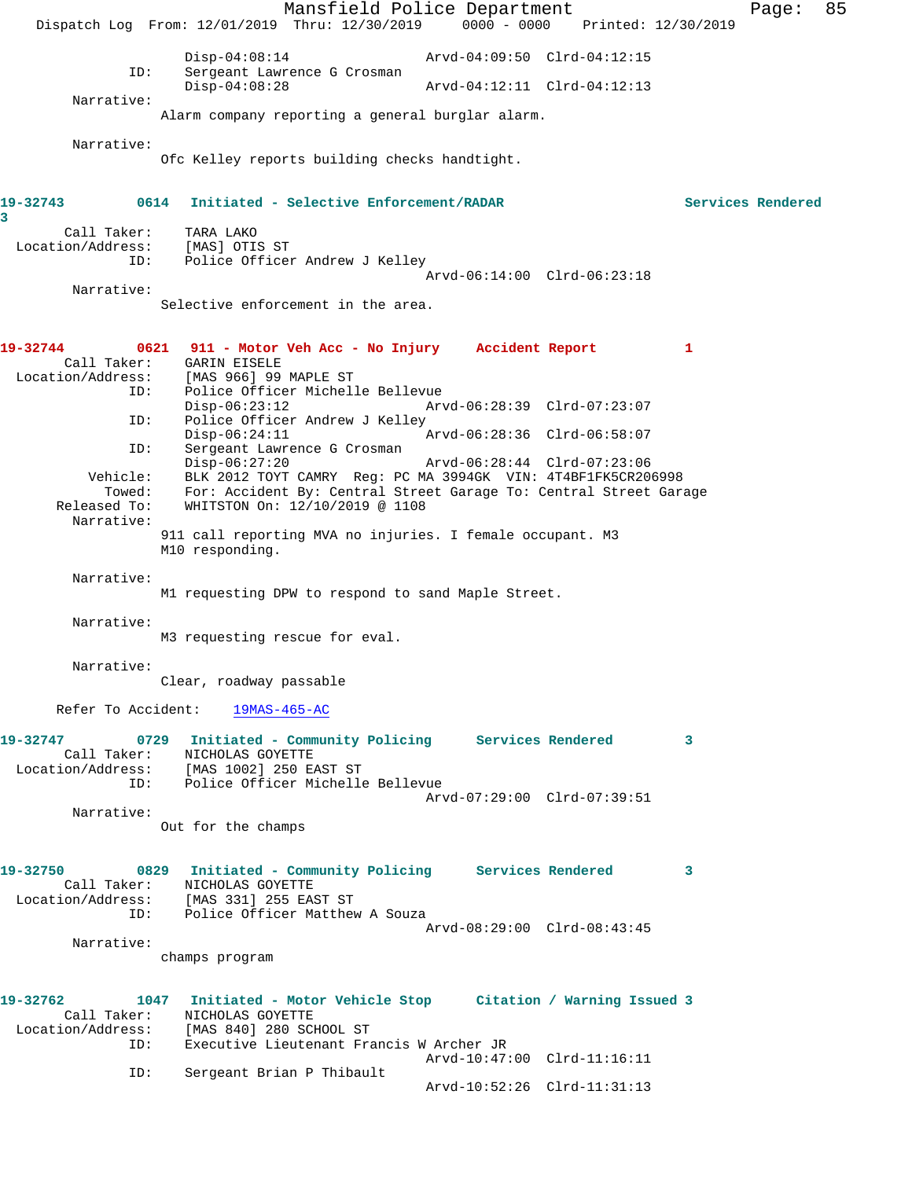Mansfield Police Department Fage: 85 Dispatch Log From: 12/01/2019 Thru: 12/30/2019 0000 - 0000 Printed: 12/30/2019 Disp-04:08:14 Arvd-04:09:50 Clrd-04:12:15<br>ID: Sergeant Lawrence G Crosman Sergeant Lawrence G Crosman<br>Disp-04:08:28 Disp-04:08:28 Arvd-04:12:11 Clrd-04:12:13 Narrative: Alarm company reporting a general burglar alarm. Narrative: Ofc Kelley reports building checks handtight. **19-32743 0614 Initiated - Selective Enforcement/RADAR Services Rendered 3**  Call Taker: TARA LAKO Location/Address: [MAS] OTIS ST ID: Police Officer Andrew J Kelley Arvd-06:14:00 Clrd-06:23:18 Narrative: Selective enforcement in the area. **19-32744 0621 911 - Motor Veh Acc - No Injury Accident Report 1**  Call Taker: GARIN EISELE Location/Address: [MAS 966] 99 MAPLE ST ID: Police Officer Michelle Bellevue Disp-06:23:12 Arvd-06:28:39 Clrd-07:23:07 ID: Police Officer Andrew J Kelley Disp-06:24:11 Arvd-06:28:36 Clrd-06:58:07<br>TD: Sergeant Lawrence G Crosman Sergeant Lawrence G Crosman<br>Disp-06:27:20 Arvd-06:28:44 Clrd-07:23:06 Vehicle: BLK 2012 TOYT CAMRY Reg: PC MA 3994GK VIN: 4T4BF1FK5CR206998 Towed: For: Accident By: Central Street Garage To: Central Street Garage Released To: WHITSTON On: 12/10/2019 @ 1108 Narrative: 911 call reporting MVA no injuries. I female occupant. M3 M10 responding. Narrative: M1 requesting DPW to respond to sand Maple Street. Narrative: M3 requesting rescue for eval. Narrative: Clear, roadway passable Refer To Accident: 19MAS-465-AC **19-32747 0729 Initiated - Community Policing Services Rendered 3**  Call Taker: NICHOLAS GOYETTE<br>Location/Address: [MAS 1002] 250 E. [MAS 1002] 250 EAST ST ID: Police Officer Michelle Bellevue Arvd-07:29:00 Clrd-07:39:51 Narrative: Out for the champs **19-32750 0829 Initiated - Community Policing Services Rendered 3**  Call Taker: NICHOLAS GOYETTE Location/Address: [MAS 331] 255 EAST ST ID: Police Officer Matthew A Souza Arvd-08:29:00 Clrd-08:43:45 Narrative: champs program **19-32762 1047 Initiated - Motor Vehicle Stop Citation / Warning Issued 3**  Call Taker: NICHOLAS GOYETTE Location/Address: [MAS 840] 280 SCHOOL ST ID: Executive Lieutenant Francis W Archer JR Arvd-10:47:00 Clrd-11:16:11<br>ID: Sergeant Brian P Thibault Sergeant Brian P Thibault Arvd-10:52:26 Clrd-11:31:13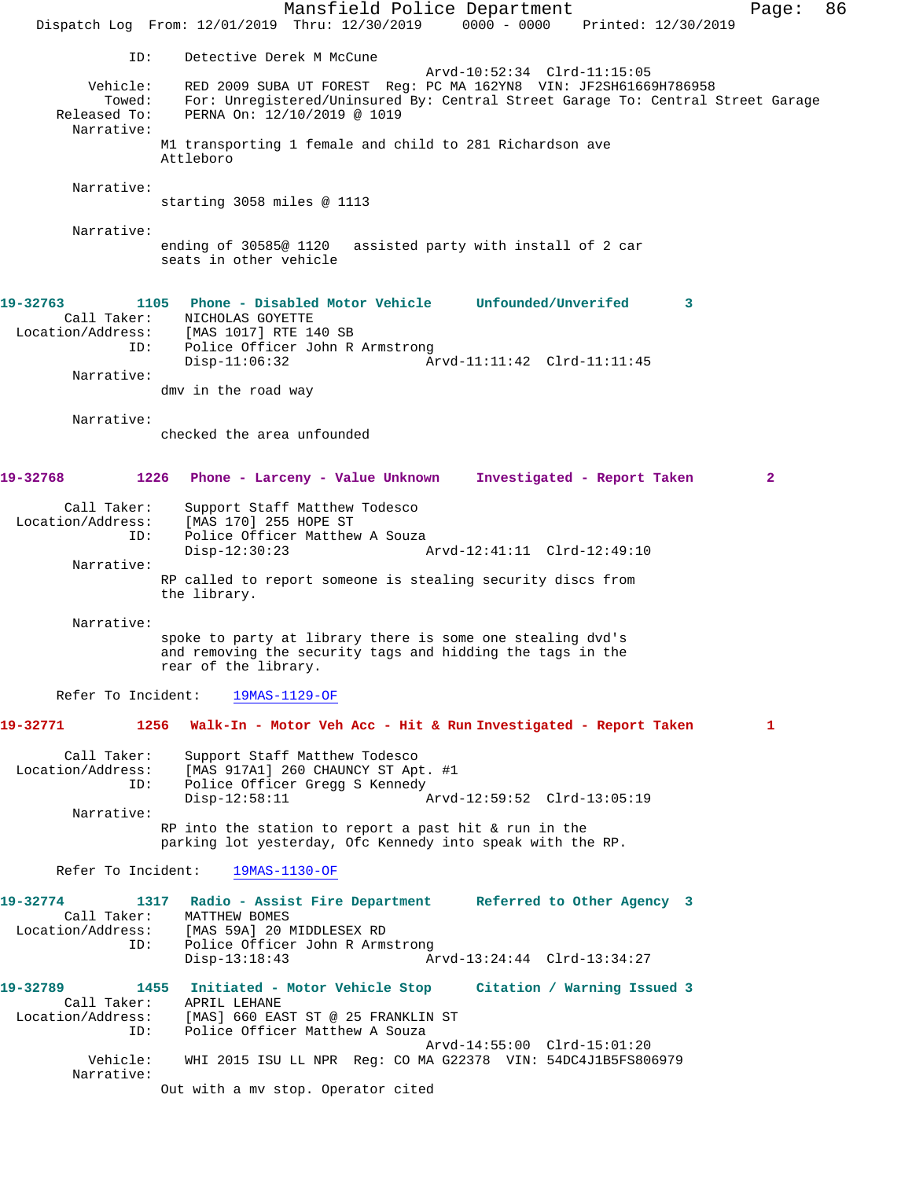Mansfield Police Department Fage: 86 Dispatch Log From: 12/01/2019 Thru: 12/30/2019 0000 - 0000 Printed: 12/30/2019 ID: Detective Derek M McCune Arvd-10:52:34 Clrd-11:15:05<br>RED 2009 SUBA UT FOREST Reg: PC MA 162YN8 VIN: JF2SH61669H786958 Vehicle: RED 2009 SUBA UT FOREST Reg: PC MA 162YN8 VIN: JF2SH61669H786958 Towed: For: Unregistered/Uninsured By: Central Street Garage To: Central Street Garage Released To: PERNA On: 12/10/2019 @ 1019 Narrative: M1 transporting 1 female and child to 281 Richardson ave Attleboro Narrative: starting 3058 miles @ 1113 Narrative: ending of 30585@ 1120 assisted party with install of 2 car seats in other vehicle **19-32763 1105 Phone - Disabled Motor Vehicle Unfounded/Unverifed 3**  Call Taker: NICHOLAS GOYETTE Location/Address: [MAS 1017] RTE 140 SB ID: Police Officer John R Armstrong Disp-11:06:32 Arvd-11:11:42 Clrd-11:11:45 Narrative: dmv in the road way Narrative: checked the area unfounded **19-32768 1226 Phone - Larceny - Value Unknown Investigated - Report Taken 2** Call Taker: Support Staff Matthew Todesco Location/Address: [MAS 170] 255 HOPE ST ID: Police Officer Matthew A Souza<br>Disp-12:30:23 Disp-12:30:23 Arvd-12:41:11 Clrd-12:49:10 Narrative: RP called to report someone is stealing security discs from the library. Narrative: spoke to party at library there is some one stealing dvd's and removing the security tags and hidding the tags in the rear of the library. Refer To Incident: 19MAS-1129-OF **19-32771 1256 Walk-In - Motor Veh Acc - Hit & Run Investigated - Report Taken 1** Call Taker: Support Staff Matthew Todesco Location/Address: [MAS 917A1] 260 CHAUNCY ST Apt. #1 ID: Police Officer Gregg S Kennedy<br>Disp-12:58:11 Disp-12:58:11 Arvd-12:59:52 Clrd-13:05:19 Narrative: RP into the station to report a past hit & run in the parking lot yesterday, Ofc Kennedy into speak with the RP. Refer To Incident: 19MAS-1130-OF **19-32774 1317 Radio - Assist Fire Department Referred to Other Agency 3**  Call Taker: MATTHEW BOMES<br>Location/Address: [MAS 59A] 20 I ess: [MAS 59A] 20 MIDDLESEX RD<br>ID: Police Officer John R Arms Police Officer John R Armstrong<br>Disp-13:18:43 Ar Disp-13:18:43 Arvd-13:24:44 Clrd-13:34:27 **19-32789 1455 Initiated - Motor Vehicle Stop Citation / Warning Issued 3**  Call Taker: APRIL LEHANE Location/Address: [MAS] 660 EAST ST @ 25 FRANKLIN ST ID: Police Officer Matthew A Souza Arvd-14:55:00 Clrd-15:01:20 Vehicle: WHI 2015 ISU LL NPR Reg: CO MA G22378 VIN: 54DC4J1B5FS806979 Narrative: Out with a mv stop. Operator cited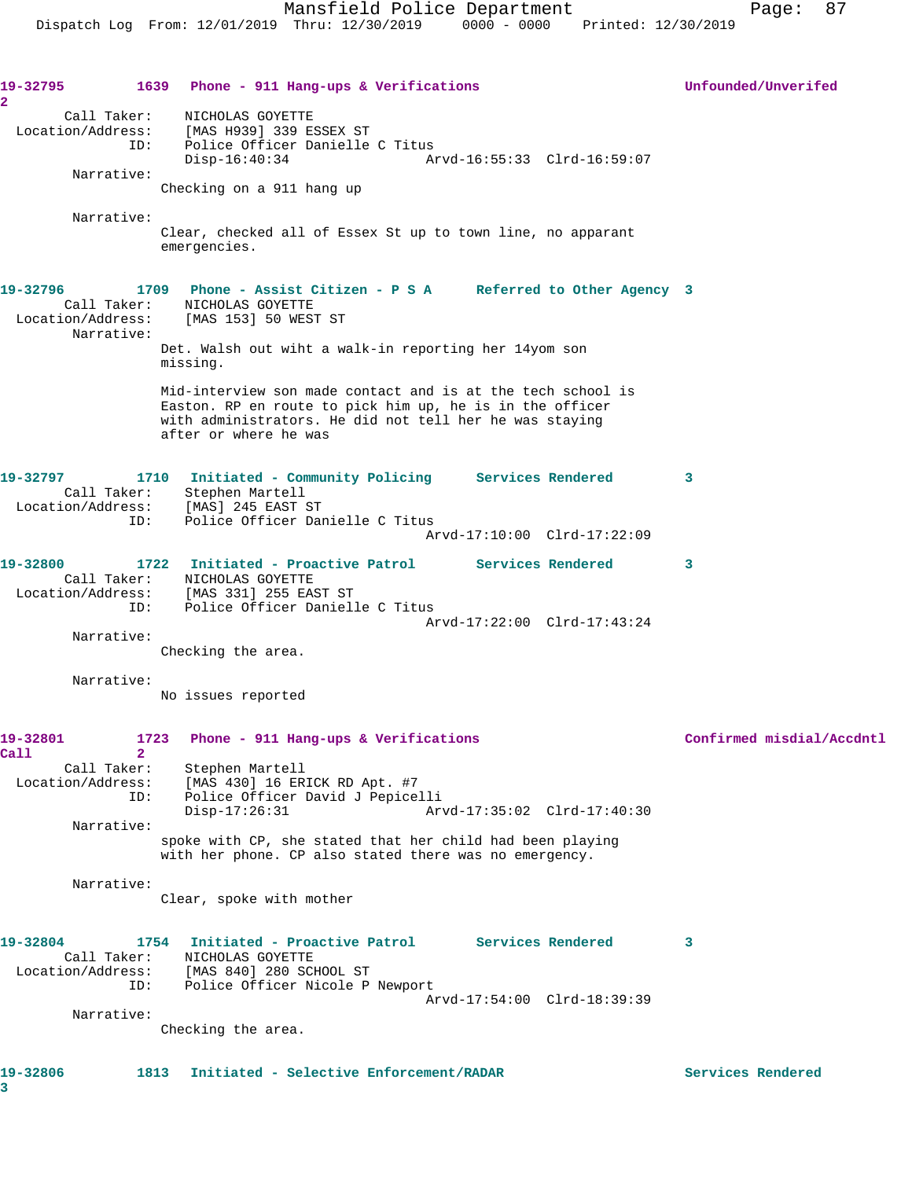**19-32795 1639 Phone - 911 Hang-ups & Verifications Unfounded/Unverifed 2**  Call Taker: NICHOLAS GOYETTE Location/Address: [MAS H939] 339 ESSEX ST ID: Police Officer Danielle C Titus Disp-16:40:34 Arvd-16:55:33 Clrd-16:59:07 Narrative: Checking on a 911 hang up Narrative: Clear, checked all of Essex St up to town line, no apparant emergencies. **19-32796 1709 Phone - Assist Citizen - P S A Referred to Other Agency 3**  Call Taker: NICHOLAS GOYETTE Location/Address: [MAS 153] 50 WEST ST Narrative: Det. Walsh out wiht a walk-in reporting her 14yom son missing. Mid-interview son made contact and is at the tech school is Easton. RP en route to pick him up, he is in the officer with administrators. He did not tell her he was staying after or where he was **19-32797 1710 Initiated - Community Policing Services Rendered 3**  Call Taker: Stephen Martell Location/Address: [MAS] 245 EAST ST ID: Police Officer Danielle C Titus Arvd-17:10:00 Clrd-17:22:09 **19-32800 1722 Initiated - Proactive Patrol Services Rendered 3**  Call Taker: NICHOLAS GOYETTE Location/Address: [MAS 331] 255 EAST ST ID: Police Officer Danielle C Titus Arvd-17:22:00 Clrd-17:43:24 Narrative: Checking the area. Narrative: No issues reported 19-32801 1723 Phone - 911 Hang-ups & Verifications **Confirmed misdial/Accdntl Call 2**  Stephen Martell Location/Address: [MAS 430] 16 ERICK RD Apt. #7 ID: Police Officer David J Pepicelli Disp-17:26:31 Arvd-17:35:02 Clrd-17:40:30 Narrative: spoke with CP, she stated that her child had been playing with her phone. CP also stated there was no emergency. Narrative: Clear, spoke with mother **19-32804 1754 Initiated - Proactive Patrol Services Rendered 3**  Call Taker: NICHOLAS GOYETTE Location/Address: [MAS 840] 280 SCHOOL ST ID: Police Officer Nicole P Newport Arvd-17:54:00 Clrd-18:39:39 Narrative: Checking the area. **19-32806 1813 Initiated - Selective Enforcement/RADAR Services Rendered**

**3**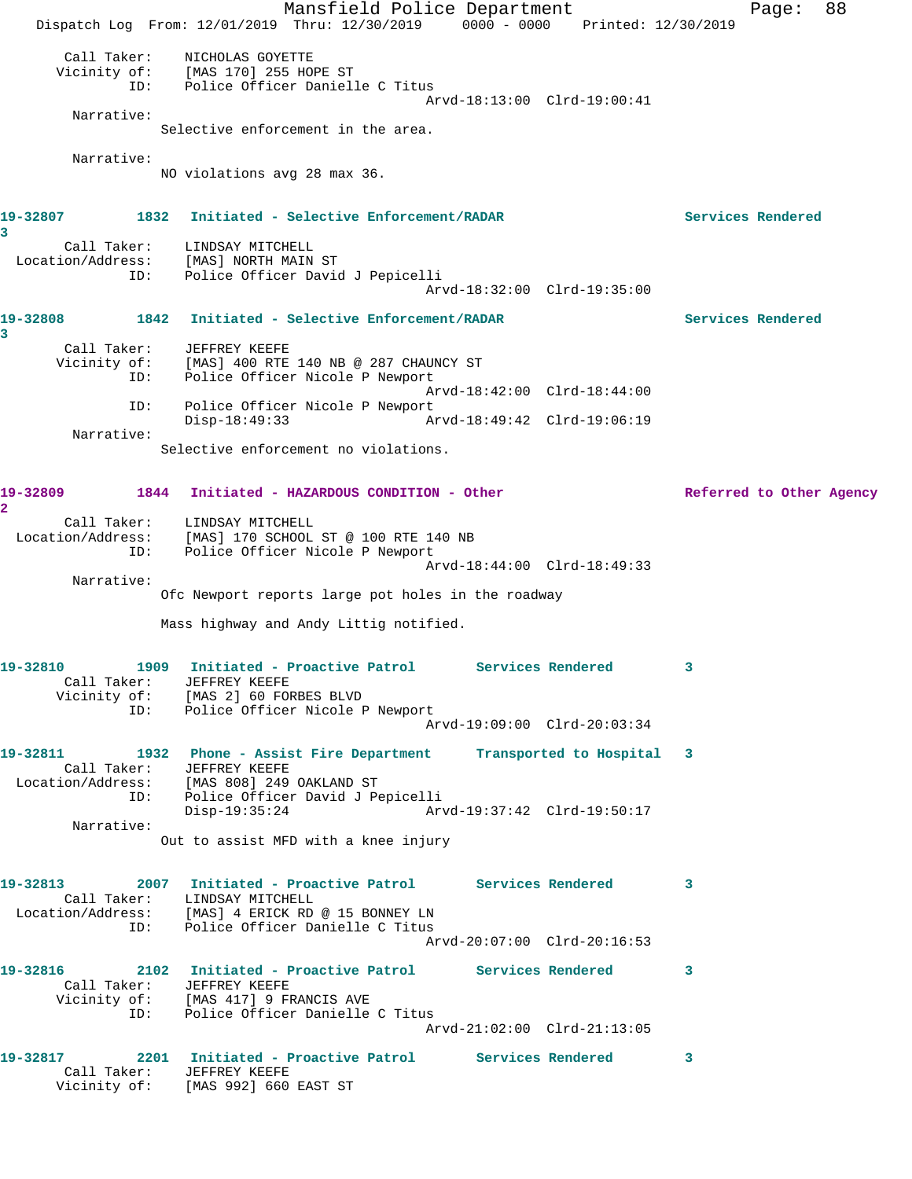Mansfield Police Department Page: 88 Dispatch Log From: 12/01/2019 Thru: 12/30/2019 0000 - 0000 Printed: 12/30/2019 Call Taker: NICHOLAS GOYETTE Vicinity of: [MAS 170] 255 HOPE ST ID: Police Officer Danielle C Titus Arvd-18:13:00 Clrd-19:00:41 Narrative: Selective enforcement in the area. Narrative: NO violations avg 28 max 36. **19-32807 1832 Initiated - Selective Enforcement/RADAR Services Rendered 3**  Call Taker: LINDSAY MITCHELL Location/Address: [MAS] NORTH MAIN ST ID: Police Officer David J Pepicelli Arvd-18:32:00 Clrd-19:35:00 **19-32808 1842 Initiated - Selective Enforcement/RADAR Services Rendered 3**  Call Taker: JEFFREY KEEFE Vicinity of: [MAS] 400 RTE 140 NB @ 287 CHAUNCY ST<br>TD: Police Officer Nicole P Newport Police Officer Nicole P Newport Arvd-18:42:00 Clrd-18:44:00 ID: Police Officer Nicole P Newport<br>Disp-18:49:33 A Disp-18:49:33 Arvd-18:49:42 Clrd-19:06:19 Narrative: Selective enforcement no violations. **19-32809 1844 Initiated - HAZARDOUS CONDITION - Other Referred to Other Agency 2**  Call Taker: LINDSAY MITCHELL Location/Address: [MAS] 170 SCHOOL ST @ 100 RTE 140 NB ID: Police Officer Nicole P Newport Arvd-18:44:00 Clrd-18:49:33 Narrative: Ofc Newport reports large pot holes in the roadway Mass highway and Andy Littig notified. **19-32810 1909 Initiated - Proactive Patrol Services Rendered 3**  Call Taker: JEFFREY KEEFE Vicinity of: [MAS 2] 60 FORBES BLVD ID: Police Officer Nicole P Newport Arvd-19:09:00 Clrd-20:03:34 **19-32811 1932 Phone - Assist Fire Department Transported to Hospital 3**  Call Taker: JEFFREY KEEFE Location/Address: [MAS 808] 249 OAKLAND ST ID: Police Officer David J Pepicelli Disp-19:35:24 Arvd-19:37:42 Clrd-19:50:17 Narrative: Out to assist MFD with a knee injury **19-32813 2007 Initiated - Proactive Patrol Services Rendered 3**  Call Taker: LINDSAY MITCHELL Location/Address: [MAS] 4 ERICK RD @ 15 BONNEY LN ID: Police Officer Danielle C Titus Arvd-20:07:00 Clrd-20:16:53 **19-32816 2102 Initiated - Proactive Patrol Services Rendered 3**  Call Taker: JEFFREY KEEFE Vicinity of: [MAS 417] 9 FRANCIS AVE ID: Police Officer Danielle C Titus Arvd-21:02:00 Clrd-21:13:05 **19-32817 2201 Initiated - Proactive Patrol Services Rendered 3**  Call Taker: JEFFREY KEEFE Vicinity of: [MAS 992] 660 EAST ST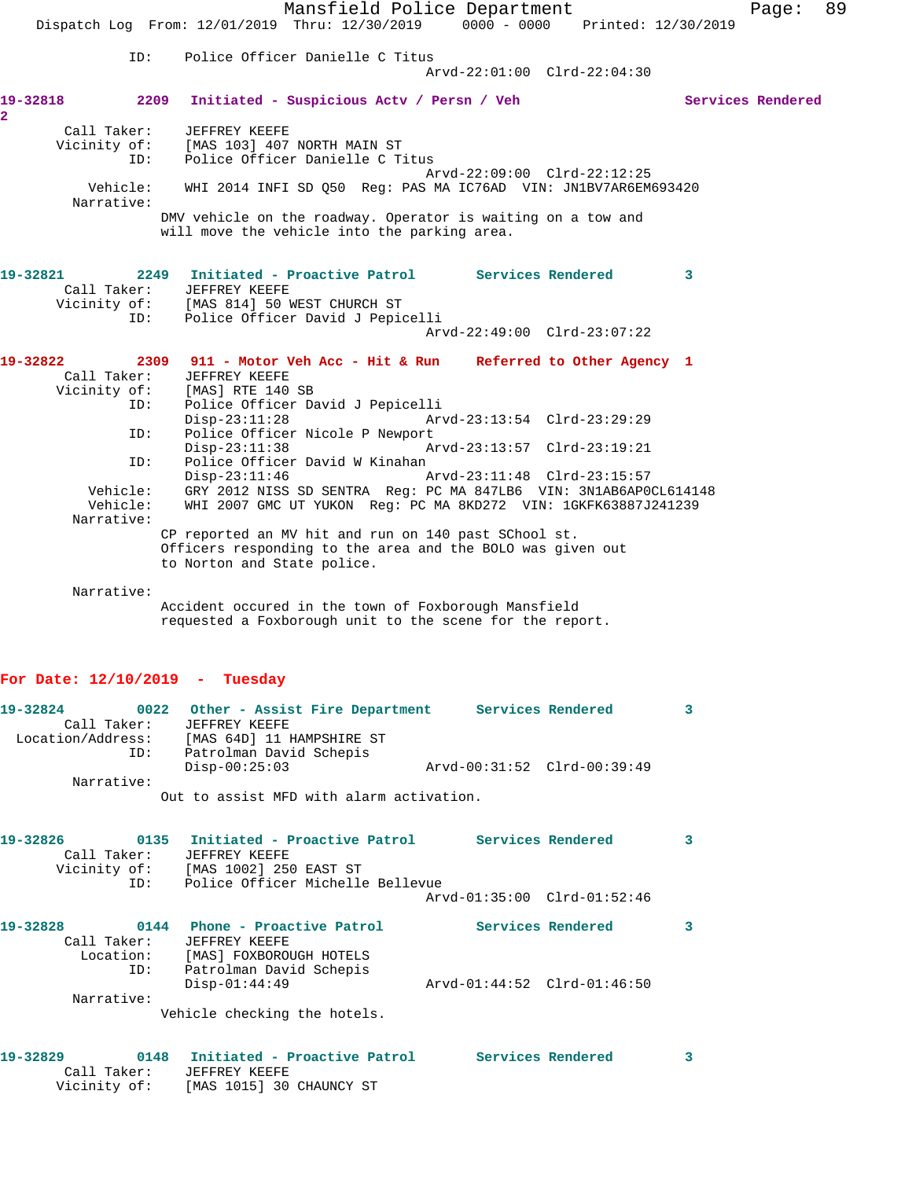|                                                                    | Dispatch Log From: 12/01/2019 Thru: 12/30/2019 0000 - 0000 Printed: 12/30/2019                                                                    | Mansfield Police Department                                                                                                        |                             |  |   | Page:             | 89 |
|--------------------------------------------------------------------|---------------------------------------------------------------------------------------------------------------------------------------------------|------------------------------------------------------------------------------------------------------------------------------------|-----------------------------|--|---|-------------------|----|
| ID:                                                                |                                                                                                                                                   | Police Officer Danielle C Titus                                                                                                    | Arvd-22:01:00 Clrd-22:04:30 |  |   |                   |    |
| 19-32818                                                           | 2209 Initiated - Suspicious Actv / Persn / Veh                                                                                                    |                                                                                                                                    |                             |  |   | Services Rendered |    |
| $\overline{2}$<br>Call Taker:                                      | JEFFREY KEEFE                                                                                                                                     |                                                                                                                                    |                             |  |   |                   |    |
| Vicinity of:<br>ID:                                                | [MAS 103] 407 NORTH MAIN ST                                                                                                                       | Police Officer Danielle C Titus                                                                                                    |                             |  |   |                   |    |
| Vehicle:                                                           |                                                                                                                                                   | WHI 2014 INFI SD Q50 Req: PAS MA IC76AD VIN: JN1BV7AR6EM693420                                                                     | Arvd-22:09:00 Clrd-22:12:25 |  |   |                   |    |
| Narrative:                                                         |                                                                                                                                                   |                                                                                                                                    |                             |  |   |                   |    |
|                                                                    | DMV vehicle on the roadway. Operator is waiting on a tow and<br>will move the vehicle into the parking area.                                      |                                                                                                                                    |                             |  |   |                   |    |
| 19-32821<br>Call Taker:                                            | 2249 Initiated - Proactive Patrol Services Rendered<br><b>JEFFREY KEEFE</b>                                                                       |                                                                                                                                    |                             |  | 3 |                   |    |
|                                                                    | Vicinity of: [MAS 814] 50 WEST CHURCH ST                                                                                                          |                                                                                                                                    |                             |  |   |                   |    |
| ID:                                                                |                                                                                                                                                   | Police Officer David J Pepicelli                                                                                                   | Arvd-22:49:00 Clrd-23:07:22 |  |   |                   |    |
| 19-32822                                                           | 2309 911 - Motor Veh Acc - Hit & Run Referred to Other Agency 1                                                                                   |                                                                                                                                    |                             |  |   |                   |    |
| Call Taker:                                                        | JEFFREY KEEFE                                                                                                                                     |                                                                                                                                    |                             |  |   |                   |    |
| Vicinity of:<br>ID:                                                | [MAS] RTE 140 SB                                                                                                                                  | Police Officer David J Pepicelli                                                                                                   |                             |  |   |                   |    |
| ID:                                                                | $Disp-23:11:28$                                                                                                                                   | Police Officer Nicole P Newport                                                                                                    | Arvd-23:13:54 Clrd-23:29:29 |  |   |                   |    |
|                                                                    | $Disp-23:11:38$                                                                                                                                   |                                                                                                                                    | Arvd-23:13:57 Clrd-23:19:21 |  |   |                   |    |
| ID:                                                                | $Disp-23:11:46$                                                                                                                                   | Police Officer David W Kinahan                                                                                                     | Arvd-23:11:48 Clrd-23:15:57 |  |   |                   |    |
| Vehicle:<br>Vehicle:<br>Narrative:                                 |                                                                                                                                                   | GRY 2012 NISS SD SENTRA Reg: PC MA 847LB6 VIN: 3N1AB6AP0CL614148<br>WHI 2007 GMC UT YUKON Req: PC MA 8KD272 VIN: 1GKFK63887J241239 |                             |  |   |                   |    |
|                                                                    | CP reported an MV hit and run on 140 past SChool st.<br>Officers responding to the area and the BOLO was given out<br>to Norton and State police. |                                                                                                                                    |                             |  |   |                   |    |
| Narrative:                                                         |                                                                                                                                                   |                                                                                                                                    |                             |  |   |                   |    |
|                                                                    | Accident occured in the town of Foxborough Mansfield<br>requested a Foxborough unit to the scene for the report.                                  |                                                                                                                                    |                             |  |   |                   |    |
| For Date: $12/10/2019$ - Tuesday                                   |                                                                                                                                                   |                                                                                                                                    |                             |  |   |                   |    |
| 19-32824                                                           | 0022 Other - Assist Fire Department Services Rendered<br>Call Taker: JEFFREY KEEFE                                                                |                                                                                                                                    |                             |  | 3 |                   |    |
| Location/Address: [MAS 64D] 11 HAMPSHIRE ST                        | ID: Patrolman David Schepis                                                                                                                       |                                                                                                                                    |                             |  |   |                   |    |
| Narrative:                                                         | $Disp-00:25:03$                                                                                                                                   |                                                                                                                                    | Arvd-00:31:52 Clrd-00:39:49 |  |   |                   |    |
|                                                                    | Out to assist MFD with alarm activation.                                                                                                          |                                                                                                                                    |                             |  |   |                   |    |
| 19-32826   0135   Initiated - Proactive Patrol   Services Rendered |                                                                                                                                                   |                                                                                                                                    |                             |  | 3 |                   |    |
|                                                                    | Call Taker: JEFFREY KEEFE                                                                                                                         |                                                                                                                                    |                             |  |   |                   |    |
| ID:                                                                | Vicinity of: [MAS 1002] 250 EAST ST                                                                                                               | Police Officer Michelle Bellevue                                                                                                   |                             |  |   |                   |    |
|                                                                    |                                                                                                                                                   |                                                                                                                                    | Arvd-01:35:00 Clrd-01:52:46 |  |   |                   |    |
| 19-32828                                                           |                                                                                                                                                   |                                                                                                                                    |                             |  | 3 |                   |    |
|                                                                    | Call Taker: JEFFREY KEEFE<br>Location: [MAS] FOXBOROUGH HOTELS                                                                                    |                                                                                                                                    |                             |  |   |                   |    |
|                                                                    | ID: Patrolman David Schepis<br>$Disp-01:44:49$                                                                                                    |                                                                                                                                    |                             |  |   |                   |    |
| Narrative:                                                         |                                                                                                                                                   |                                                                                                                                    |                             |  |   |                   |    |
|                                                                    | Vehicle checking the hotels.                                                                                                                      |                                                                                                                                    |                             |  |   |                   |    |
| 19-32829                                                           | 0148 Initiated - Proactive Patrol Services Rendered                                                                                               |                                                                                                                                    |                             |  | 3 |                   |    |
|                                                                    | Call Taker: JEFFREY KEEFE<br>Vicinity of: [MAS 1015] 30 CHAUNCY ST                                                                                |                                                                                                                                    |                             |  |   |                   |    |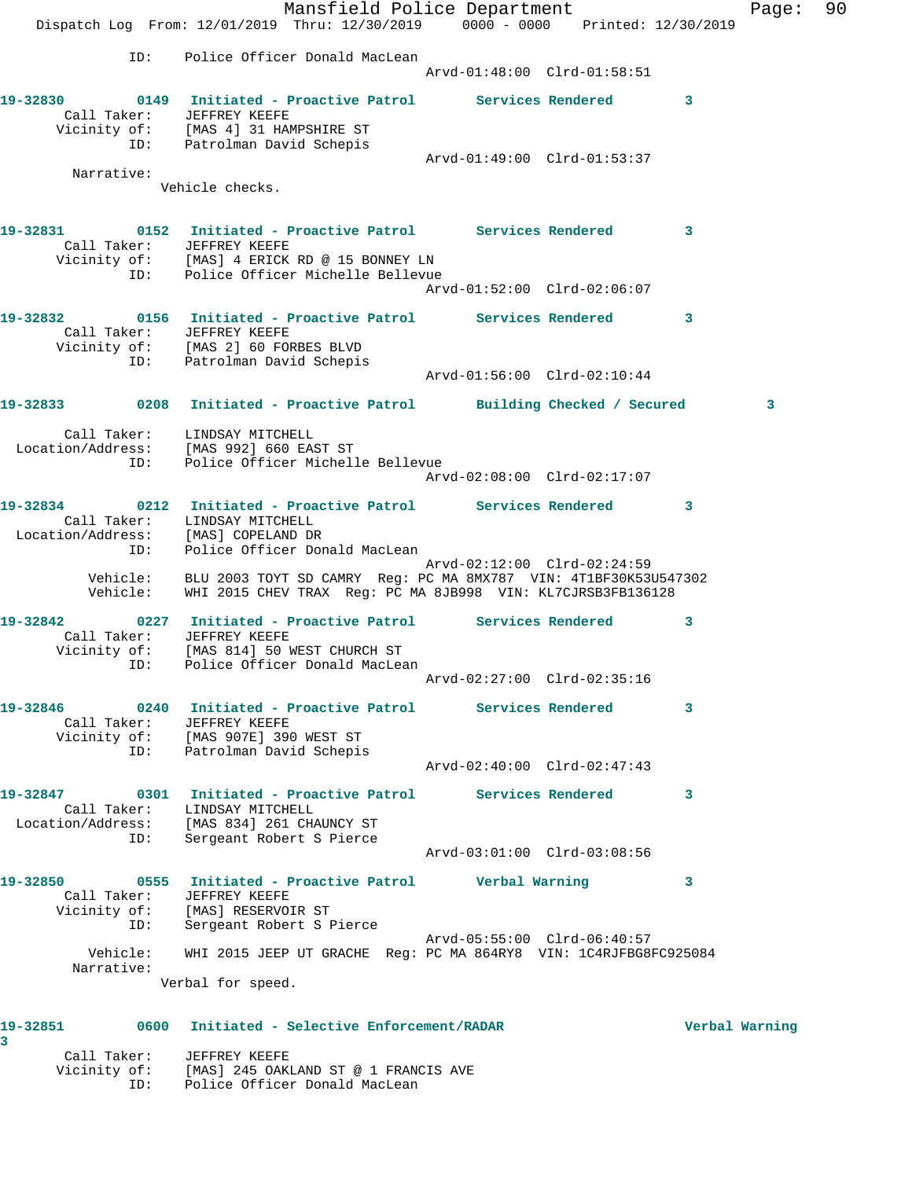Mansfield Police Department Fage: 90 Dispatch Log From: 12/01/2019 Thru: 12/30/2019 0000 - 0000 Printed: 12/30/2019 ID: Police Officer Donald MacLean Arvd-01:48:00 Clrd-01:58:51 **19-32830 0149 Initiated - Proactive Patrol Services Rendered 3**  Call Taker: JEFFREY KEEFE Vicinity of: [MAS 4] 31 HAMPSHIRE ST ID: Patrolman David Schepis Arvd-01:49:00 Clrd-01:53:37 Narrative: Vehicle checks. **19-32831 0152 Initiated - Proactive Patrol Services Rendered 3**  Call Taker: JEFFREY KEEFE Vicinity of: [MAS] 4 ERICK RD @ 15 BONNEY LN ID: Police Officer Michelle Bellevue Arvd-01:52:00 Clrd-02:06:07 **19-32832 0156 Initiated - Proactive Patrol Services Rendered 3**  Call Taker: JEFFREY KEEFE Vicinity of: [MAS 2] 60 FORBES BLVD ID: Patrolman David Schepis Arvd-01:56:00 Clrd-02:10:44 **19-32833 0208 Initiated - Proactive Patrol Building Checked / Secured 3** Call Taker: LINDSAY MITCHELL Location/Address: [MAS 992] 660 EAST ST ID: Police Officer Michelle Bellevue Arvd-02:08:00 Clrd-02:17:07 **19-32834 0212 Initiated - Proactive Patrol Services Rendered 3**  Call Taker: LINDSAY MITCHELL Location/Address: [MAS] COPELAND DR ID: Police Officer Donald MacLean Arvd-02:12:00 Clrd-02:24:59 Vehicle: BLU 2003 TOYT SD CAMRY Reg: PC MA 8MX787 VIN: 4T1BF30K53U547302 Vehicle: WHI 2015 CHEV TRAX Reg: PC MA 8JB998 VIN: KL7CJRSB3FB136128 **19-32842 0227 Initiated - Proactive Patrol Services Rendered 3**  Call Taker: JEFFREY KEEFE Vicinity of: [MAS 814] 50 WEST CHURCH ST ID: Police Officer Donald MacLean Arvd-02:27:00 Clrd-02:35:16 **19-32846 0240 Initiated - Proactive Patrol Services Rendered 3**  Call Taker: JEFFREY KEEFE Vicinity of: [MAS 907E] 390 WEST ST ID: Patrolman David Schepis Arvd-02:40:00 Clrd-02:47:43 **19-32847 0301 Initiated - Proactive Patrol Services Rendered 3**  Call Taker: LINDSAY MITCHELL Location/Address: [MAS 834] 261 CHAUNCY ST ID: Sergeant Robert S Pierce Arvd-03:01:00 Clrd-03:08:56 **19-32850 0555 Initiated - Proactive Patrol Verbal Warning 3**  Call Taker: JEFFREY KEEFE Vicinity of: [MAS] RESERVOIR ST ID: Sergeant Robert S Pierce Arvd-05:55:00 Clrd-06:40:57 Vehicle: WHI 2015 JEEP UT GRACHE Reg: PC MA 864RY8 VIN: 1C4RJFBG8FC925084 Narrative: Verbal for speed. **19-32851 0600 Initiated - Selective Enforcement/RADAR Verbal Warning 3**  Call Taker: JEFFREY KEEFE Vicinity of: [MAS] 245 OAKLAND ST @ 1 FRANCIS AVE

ID: Police Officer Donald MacLean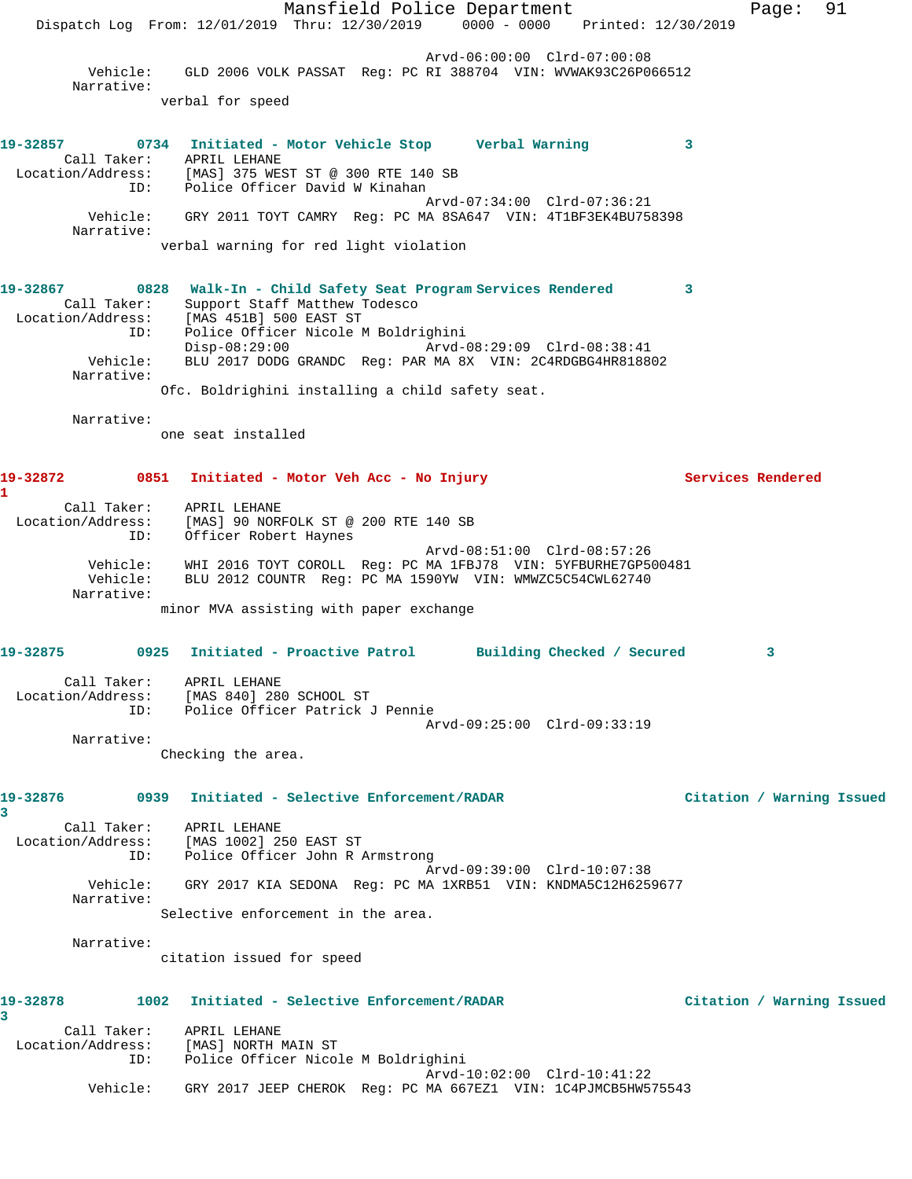Mansfield Police Department Fage: 91 Dispatch Log From: 12/01/2019 Thru: 12/30/2019 0000 - 0000 Printed: 12/30/2019 Arvd-06:00:00 Clrd-07:00:08 Vehicle: GLD 2006 VOLK PASSAT Reg: PC RI 388704 VIN: WVWAK93C26P066512 Narrative: verbal for speed **19-32857 0734 Initiated - Motor Vehicle Stop Verbal Warning 3**  Call Taker: APRIL LEHANE Location/Address: [MAS] 375 WEST ST @ 300 RTE 140 SB ID: Police Officer David W Kinahan Arvd-07:34:00 Clrd-07:36:21 Vehicle: GRY 2011 TOYT CAMRY Reg: PC MA 8SA647 VIN: 4T1BF3EK4BU758398 Narrative: verbal warning for red light violation **19-32867 0828 Walk-In - Child Safety Seat Program Services Rendered 3**  Call Taker: Support Staff Matthew Todesco Location/Address: [MAS 451B] 500 EAST ST ID: Police Officer Nicole M Boldrighini Disp-08:29:00 Arvd-08:29:09 Clrd-08:38:41 Vehicle: BLU 2017 DODG GRANDC Reg: PAR MA 8X VIN: 2C4RDGBG4HR818802 Narrative: Ofc. Boldrighini installing a child safety seat. Narrative: one seat installed 19-32872 0851 Initiated - Motor Veh Acc - No Injury **Services Rendered 1**  Call Taker: APRIL LEHANE Location/Address: [MAS] 90 NORFOLK ST @ 200 RTE 140 SB ID: Officer Robert Haynes Arvd-08:51:00 Clrd-08:57:26 Vehicle: WHI 2016 TOYT COROLL Reg: PC MA 1FBJ78 VIN: 5YFBURHE7GP500481 Vehicle: BLU 2012 COUNTR Reg: PC MA 1590YW VIN: WMWZC5C54CWL62740 Narrative: minor MVA assisting with paper exchange **19-32875 0925 Initiated - Proactive Patrol Building Checked / Secured 3** Call Taker: APRIL LEHANE Location/Address: [MAS 840] 280 SCHOOL ST ID: Police Officer Patrick J Pennie Arvd-09:25:00 Clrd-09:33:19 Narrative: Checking the area. **19-32876 0939 Initiated - Selective Enforcement/RADAR Citation / Warning Issued 3**  Call Taker: APRIL LEHANE Location/Address: [MAS 1002] 250 EAST ST ID: Police Officer John R Armstrong Arvd-09:39:00 Clrd-10:07:38 Vehicle: GRY 2017 KIA SEDONA Reg: PC MA 1XRB51 VIN: KNDMA5C12H6259677 Narrative: Selective enforcement in the area. Narrative: citation issued for speed **19-32878 1002 Initiated - Selective Enforcement/RADAR Citation / Warning Issued 3**  Call Taker: APRIL LEHANE Location/Address: [MAS] NORTH MAIN ST ID: Police Officer Nicole M Boldrighini Arvd-10:02:00 Clrd-10:41:22 Vehicle: GRY 2017 JEEP CHEROK Reg: PC MA 667EZ1 VIN: 1C4PJMCB5HW575543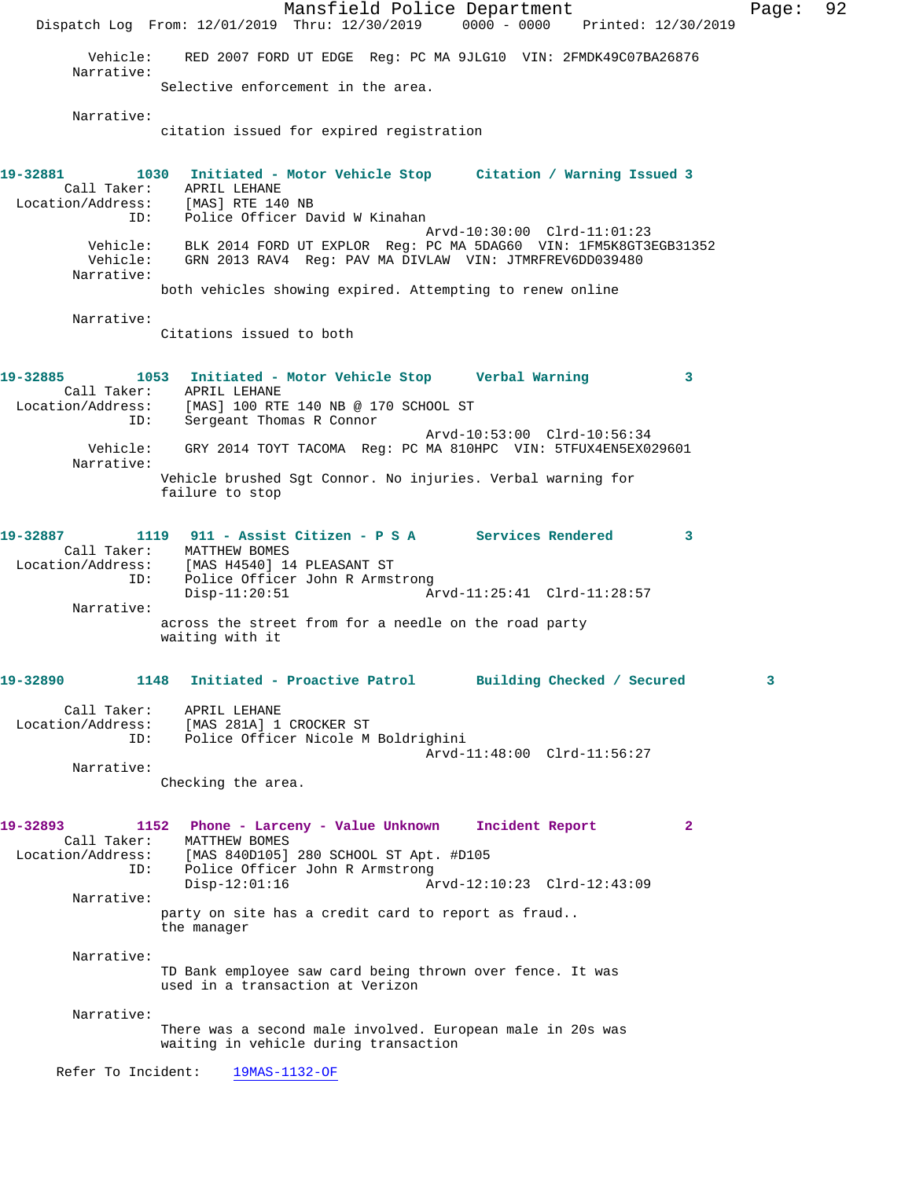Mansfield Police Department Fage: 92 Dispatch Log From: 12/01/2019 Thru: 12/30/2019 0000 - 0000 Printed: 12/30/2019 Vehicle: RED 2007 FORD UT EDGE Reg: PC MA 9JLG10 VIN: 2FMDK49C07BA26876 Narrative: Selective enforcement in the area. Narrative: citation issued for expired registration **19-32881 1030 Initiated - Motor Vehicle Stop Citation / Warning Issued 3**  Call Taker: APRIL LEHANE<br>ion/Address: [MAS] RTE 140 NB Location/Address: ID: Police Officer David W Kinahan Arvd-10:30:00 Clrd-11:01:23 Vehicle: BLK 2014 FORD UT EXPLOR Reg: PC MA 5DAG60 VIN: 1FM5K8GT3EGB31352 Vehicle: GRN 2013 RAV4 Reg: PAV MA DIVLAW VIN: JTMRFREV6DD039480 Narrative: both vehicles showing expired. Attempting to renew online Narrative: Citations issued to both **19-32885 1053 Initiated - Motor Vehicle Stop Verbal Warning 3**  Call Taker: APRIL LEHANE Location/Address: [MAS] 100 RTE 140 NB @ 170 SCHOOL ST ID: Sergeant Thomas R Connor Arvd-10:53:00 Clrd-10:56:34 Vehicle: GRY 2014 TOYT TACOMA Reg: PC MA 810HPC VIN: 5TFUX4EN5EX029601 Narrative: Vehicle brushed Sgt Connor. No injuries. Verbal warning for failure to stop **19-32887 1119 911 - Assist Citizen - P S A Services Rendered 3**  Call Taker: MATTHEW BOMES Location/Address: [MAS H4540] 14 PLEASANT ST ID: Police Officer John R Armstrong Disp-11:20:51 Arvd-11:25:41 Clrd-11:28:57 Narrative: across the street from for a needle on the road party waiting with it **19-32890 1148 Initiated - Proactive Patrol Building Checked / Secured 3** Call Taker: APRIL LEHANE Location/Address: [MAS 281A] 1 CROCKER ST ID: Police Officer Nicole M Boldrighini Arvd-11:48:00 Clrd-11:56:27 Narrative: Checking the area. **19-32893 1152 Phone - Larceny - Value Unknown Incident Report 2**  Call Taker: MATTHEW BOMES<br>Location/Address: [MAS 840D105] [MAS 840D105] 280 SCHOOL ST Apt. #D105 ID: Police Officer John R Armstrong Disp-12:01:16 Arvd-12:10:23 Clrd-12:43:09 Narrative: party on site has a credit card to report as fraud.. the manager Narrative: TD Bank employee saw card being thrown over fence. It was used in a transaction at Verizon Narrative: There was a second male involved. European male in 20s was waiting in vehicle during transaction Refer To Incident: 19MAS-1132-OF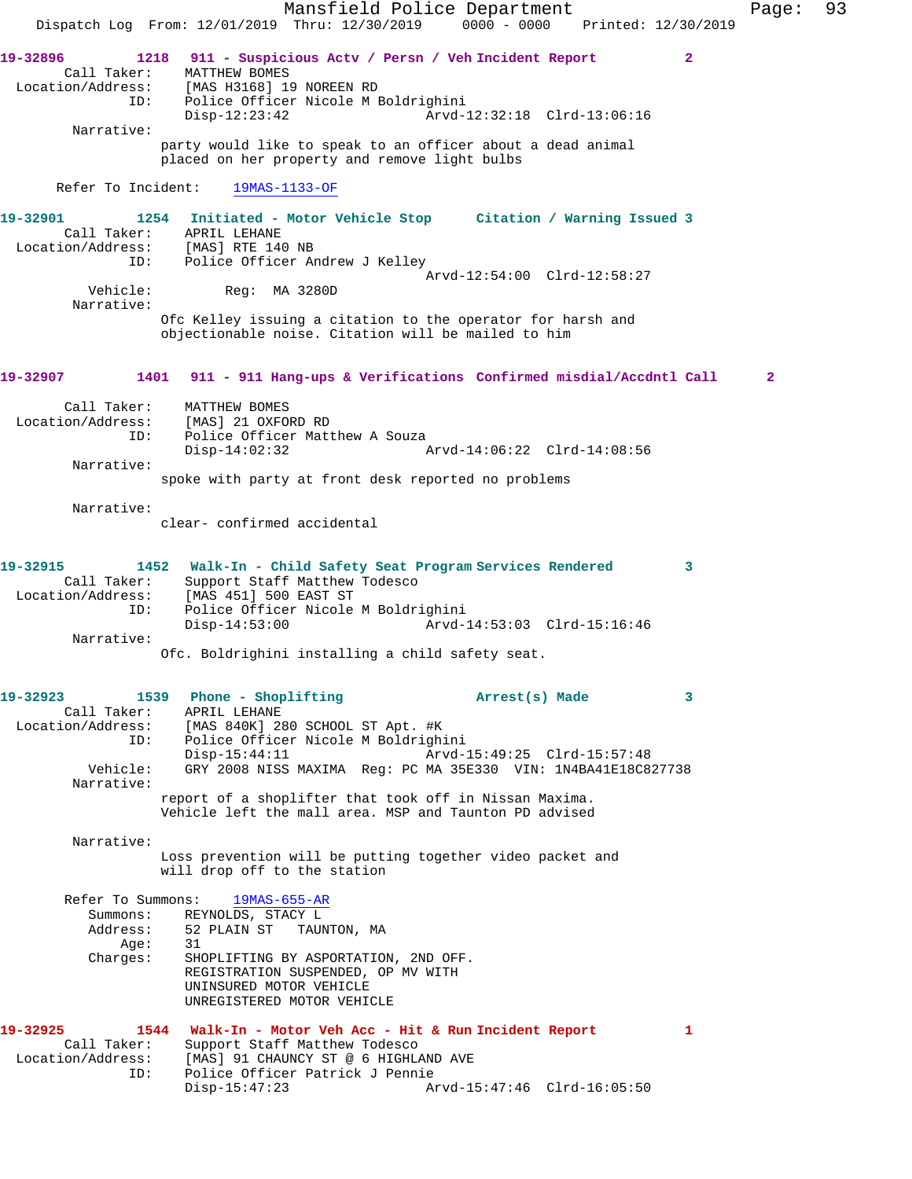Mansfield Police Department Fage: 93 Dispatch Log From: 12/01/2019 Thru: 12/30/2019 0000 - 0000 Printed: 12/30/2019 **19-32896 1218 911 - Suspicious Actv / Persn / Veh Incident Report 2**  Call Taker: MATTHEW BOMES Location/Address: [MAS H3168] 19 NOREEN RD ID: Police Officer Nicole M Boldrighini Disp-12:23:42 Arvd-12:32:18 Clrd-13:06:16 Narrative: party would like to speak to an officer about a dead animal placed on her property and remove light bulbs Refer To Incident: 19MAS-1133-OF **19-32901 1254 Initiated - Motor Vehicle Stop Citation / Warning Issued 3**  Call Taker: APRIL LEHANE Location/Address: [MAS] RTE 140 NB ID: Police Officer Andrew J Kelley Arvd-12:54:00 Clrd-12:58:27 Reg: MA 3280D Narrative: Ofc Kelley issuing a citation to the operator for harsh and objectionable noise. Citation will be mailed to him **19-32907 1401 911 - 911 Hang-ups & Verifications Confirmed misdial/Accdntl Call 2** Call Taker: MATTHEW BOMES Location/Address: [MAS] 21 OXFORD RD ID: Police Officer Matthew A Souza<br>Disp-14:02:32 Disp-14:02:32 Arvd-14:06:22 Clrd-14:08:56 Narrative: spoke with party at front desk reported no problems Narrative: clear- confirmed accidental **19-32915 1452 Walk-In - Child Safety Seat Program Services Rendered 3**  Call Taker: Support Staff Matthew Todesco Location/Address: [MAS 451] 500 EAST ST ID: Police Officer Nicole M Boldrighini Disp-14:53:00 Arvd-14:53:03 Clrd-15:16:46 Narrative: Ofc. Boldrighini installing a child safety seat. **19-32923 1539 Phone - Shoplifting Arrest(s) Made 3**  Call Taker: APRIL LEHANE Location/Address: [MAS 840K] 280 SCHOOL ST Apt. #K ID: Police Officer Nicole M Boldrighini Disp-15:44:11 Arvd-15:49:25 Clrd-15:57:48<br>Vehicle: GRY 2008 NISS MAXIMA Reg: PC MA 35E330 VIN: 1N4BA41E18C8 GRY 2008 NISS MAXIMA Reg: PC MA 35E330 VIN: 1N4BA41E18C827738 Narrative: report of a shoplifter that took off in Nissan Maxima. Vehicle left the mall area. MSP and Taunton PD advised Narrative: Loss prevention will be putting together video packet and will drop off to the station Refer To Summons: 19MAS-655-AR Summons: REYNOLDS, STACY L Address: 52 PLAIN ST TAUNTON, MA<br>Age: 31  $A$ qe: Charges: SHOPLIFTING BY ASPORTATION, 2ND OFF. REGISTRATION SUSPENDED, OP MV WITH UNINSURED MOTOR VEHICLE UNREGISTERED MOTOR VEHICLE **19-32925 1544 Walk-In - Motor Veh Acc - Hit & Run Incident Report 1**  Call Taker: Support Staff Matthew Todesco Location/Address: [MAS] 91 CHAUNCY ST @ 6 HIGHLAND AVE ID: Police Officer Patrick J Pennie Disp-15:47:23 Arvd-15:47:46 Clrd-16:05:50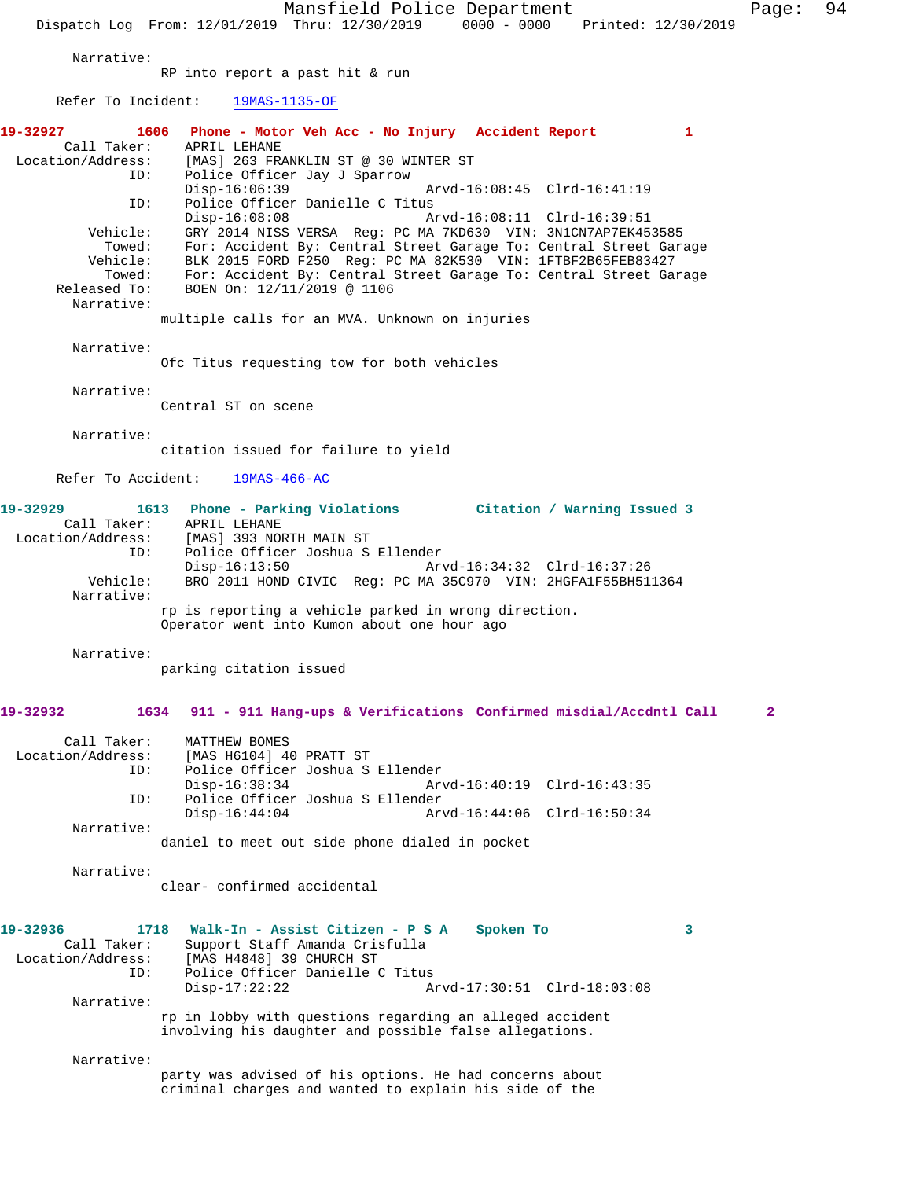Mansfield Police Department Page: 94 Dispatch Log From: 12/01/2019 Thru: 12/30/2019 0000 - 0000 Printed: 12/30/2019 Narrative: RP into report a past hit & run Refer To Incident: 19MAS-1135-OF **19-32927 1606 Phone - Motor Veh Acc - No Injury Accident Report 1**  Call Taker: APRIL LEHANE<br>Location/Address: [MAS] 263 FR Location/Address: [MAS] 263 FRANKLIN ST @ 30 WINTER ST ID: Police Officer Jay J Sparrow Disp-16:06:39 Arvd-16:08:45 Clrd-16:41:19<br>ID: Police Officer Danielle C Titus Police Officer Danielle C Titus Disp-16:08:08 Arvd-16:08:11 Clrd-16:39:51 Vehicle: GRY 2014 NISS VERSA Reg: PC MA 7KD630 VIN: 3N1CN7AP7EK453585 Towed: For: Accident By: Central Street Garage To: Central Street Garage Vehicle: BLK 2015 FORD F250 Reg: PC MA 82K530 VIN: 1FTBF2B65FEB83427<br>Towed: For: Accident By: Central Street Garage To: Central Street Ga Towed: For: Accident By: Central Street Garage To: Central Street Garage<br>Released To: BOEN On: 12/11/2019 @ 1106 BOEN On: 12/11/2019 @ 1106 Narrative: multiple calls for an MVA. Unknown on injuries Narrative: Ofc Titus requesting tow for both vehicles Narrative: Central ST on scene Narrative: citation issued for failure to yield Refer To Accident: 19MAS-466-AC **19-32929 1613 Phone - Parking Violations Citation / Warning Issued 3**  Call Taker: APRIL LEHANE Location/Address: [MAS] 393 NORTH MAIN ST ID: Police Officer Joshua S Ellender Disp-16:13:50 Arvd-16:34:32 Clrd-16:37:26<br>Vehicle: BRO 2011 HOND CIVIC Req: PC MA 35C970 VIN: 2HGFA1F55BH51 BRO 2011 HOND CIVIC Reg: PC MA 35C970 VIN: 2HGFA1F55BH511364 Narrative: rp is reporting a vehicle parked in wrong direction. Operator went into Kumon about one hour ago Narrative: parking citation issued **19-32932 1634 911 - 911 Hang-ups & Verifications Confirmed misdial/Accdntl Call 2** Call Taker: MATTHEW BOMES<br>Location/Address: [MAS H6104] 4 ess: [MAS H6104] 40 PRATT ST<br>ID: Police Officer Joshua S Police Officer Joshua S Ellender<br>Disp-16:38:34 Ar Arvd-16:40:19 Clrd-16:43:35 ID: Police Officer Joshua S Ellender Disp-16:44:04 Arvd-16:44:06 Clrd-16:50:34 Narrative: daniel to meet out side phone dialed in pocket Narrative: clear- confirmed accidental **19-32936 1718 Walk-In - Assist Citizen - P S A Spoken To 3**  Call Taker: Support Staff Amanda Crisfulla<br>Location/Address: [MAS H4848] 39 CHURCH ST ess: [MAS H4848] 39 CHURCH ST<br>ID: Police Officer Danielle ( Police Officer Danielle C Titus<br>Disp-17:22:22 A Disp-17:22:22 Arvd-17:30:51 Clrd-18:03:08 Narrative: rp in lobby with questions regarding an alleged accident involving his daughter and possible false allegations. Narrative: party was advised of his options. He had concerns about criminal charges and wanted to explain his side of the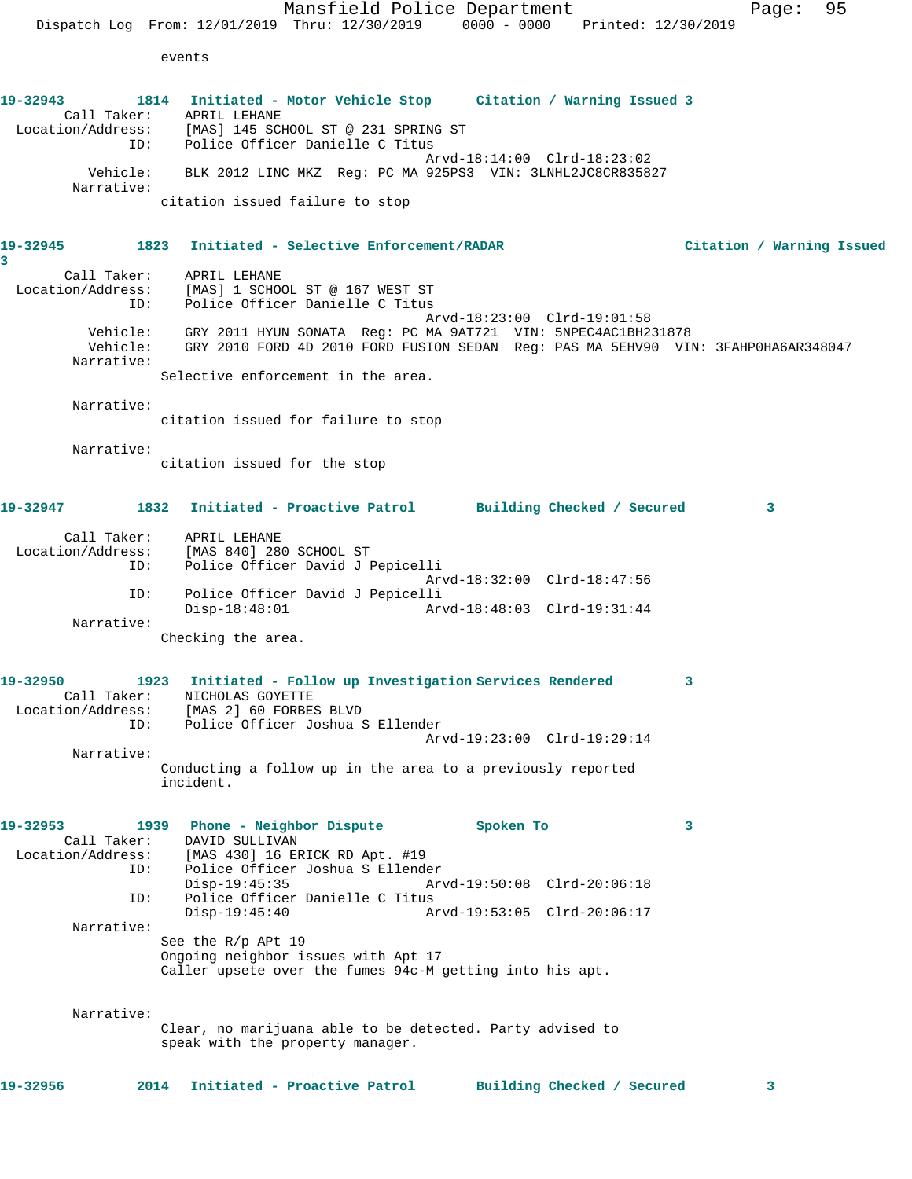events

**19-32943 1814 Initiated - Motor Vehicle Stop Citation / Warning Issued 3**  Call Taker: APRIL LEHANE Location/Address: [MAS] 145 SCHOOL ST @ 231 SPRING ST ID: Police Officer Danielle C Titus Arvd-18:14:00 Clrd-18:23:02 Vehicle: BLK 2012 LINC MKZ Reg: PC MA 925PS3 VIN: 3LNHL2JC8CR835827 Narrative: citation issued failure to stop **19-32945 1823 Initiated - Selective Enforcement/RADAR Citation / Warning Issued 3**  Call Taker: APRIL LEHANE Location/Address: [MAS] 1 SCHOOL ST @ 167 WEST ST ID: Police Officer Danielle C Titus Arvd-18:23:00 Clrd-19:01:58 Vehicle: GRY 2011 HYUN SONATA Reg: PC MA 9AT721 VIN: 5NPEC4AC1BH231878 Vehicle: GRY 2010 FORD 4D 2010 FORD FUSION SEDAN Reg: PAS MA 5EHV90 VIN: 3FAHP0HA6AR348047 Narrative: Selective enforcement in the area. Narrative: citation issued for failure to stop Narrative: citation issued for the stop **19-32947 1832 Initiated - Proactive Patrol Building Checked / Secured 3** Call Taker: APRIL LEHANE Location/Address: [MAS 840] 280 SCHOOL ST<br>ID: Police Officer David J I Police Officer David J Pepicelli Arvd-18:32:00 Clrd-18:47:56 ID: Police Officer David J Pepicelli Disp-18:48:01 Arvd-18:48:03 Clrd-19:31:44 Narrative: Checking the area. **19-32950 1923 Initiated - Follow up Investigation Services Rendered 3**  Call Taker: NICHOLAS GOYETTE Location/Address: [MAS 2] 60 FORBES BLVD ID: Police Officer Joshua S Ellender Arvd-19:23:00 Clrd-19:29:14 Narrative: Conducting a follow up in the area to a previously reported incident. **19-32953 1939 Phone - Neighbor Dispute Spoken To 3**  Call Taker: DAVID SULLIVAN Location/Address: [MAS 430] 16 ERICK RD Apt. #19 ID: Police Officer Joshua S Ellender Disp-19:45:35 Arvd-19:50:08 Clrd-20:06:18 ID: Police Officer Danielle C Titus Disp-19:45:40 Arvd-19:53:05 Clrd-20:06:17 Narrative: See the R/p APt 19 Ongoing neighbor issues with Apt 17 Caller upsete over the fumes 94c-M getting into his apt. Narrative: Clear, no marijuana able to be detected. Party advised to speak with the property manager. **19-32956 2014 Initiated - Proactive Patrol Building Checked / Secured 3**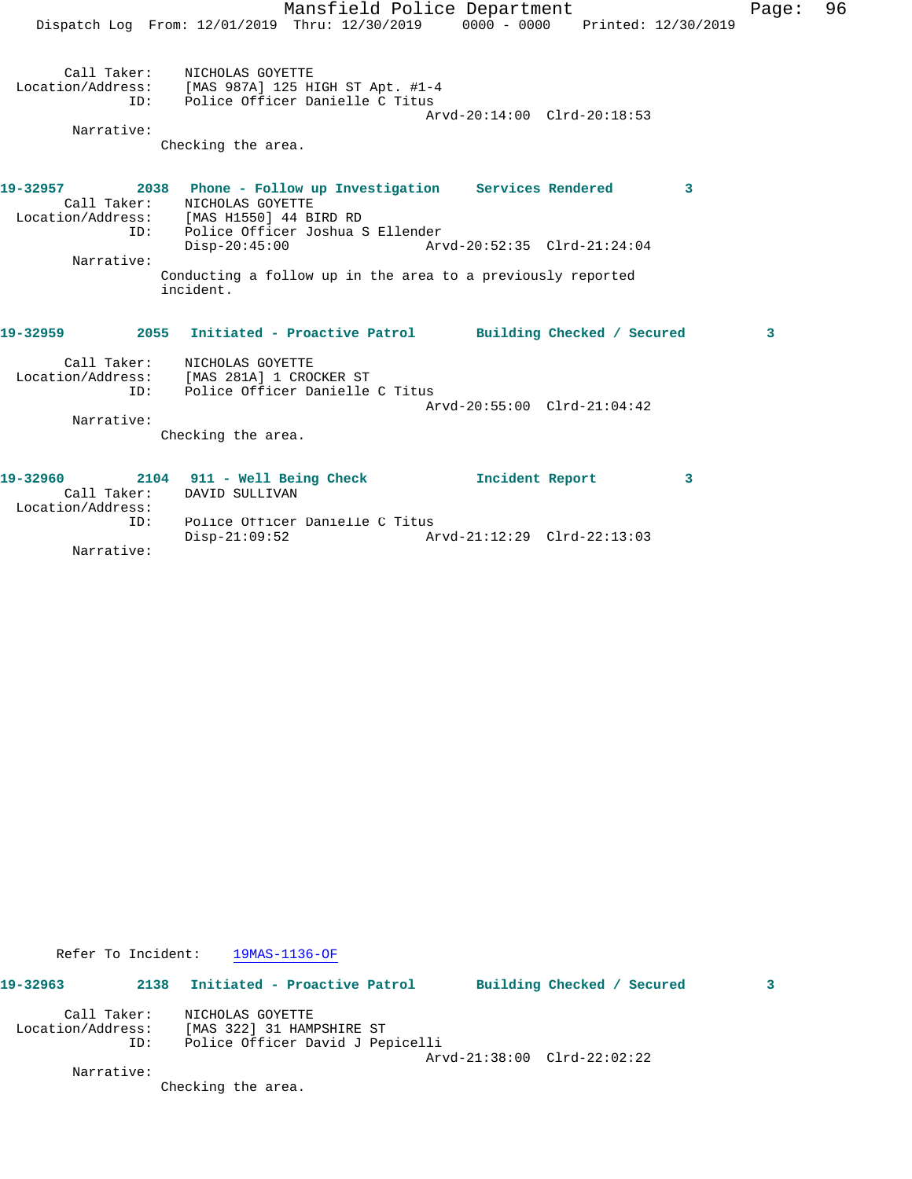|                                              | Mansfield Police Department<br>Dispatch Log From: 12/01/2019 Thru: 12/30/2019 0000 - 0000 Printed: 12/30/2019                                                                                                                                                         |                             |   | Page: | 96 |
|----------------------------------------------|-----------------------------------------------------------------------------------------------------------------------------------------------------------------------------------------------------------------------------------------------------------------------|-----------------------------|---|-------|----|
| ID:<br>Narrative:                            | Call Taker: NICHOLAS GOYETTE<br>Location/Address: [MAS 987A] 125 HIGH ST Apt. #1-4<br>Police Officer Danielle C Titus<br>Checking the area.                                                                                                                           | Arvd-20:14:00 Clrd-20:18:53 |   |       |    |
| 19-32957<br>ID:<br>Narrative:                | 2038 Phone - Follow up Investigation Services Rendered<br>Call Taker: NICHOLAS GOYETTE<br>Location/Address: [MAS H1550] 44 BIRD RD<br>Police Officer Joshua S Ellender<br>$Disp-20:45:00$<br>Conducting a follow up in the area to a previously reported<br>incident. |                             | 3 |       |    |
| ID:<br>Narrative:                            | 19-32959 2055 Initiated - Proactive Patrol Building Checked / Secured<br>Call Taker: NICHOLAS GOYETTE<br>Location/Address: [MAS 281A] 1 CROCKER ST<br>Police Officer Danielle C Titus<br>Checking the area.                                                           | Arvd-20:55:00 Clrd-21:04:42 |   | 3     |    |
| 19-32960<br>Call Taker:<br>Location/Address: | 2104 911 - Well Being Check<br>DAVID SULLIVAN                                                                                                                                                                                                                         | Incident Report             | 3 |       |    |

Refer To Incident: 19MAS-1136-OF

ID: Police Officer Danielle C Titus

**19-32963 2138 Initiated - Proactive Patrol Building Checked / Secured 3** Call Taker: NICHOLAS GOYETTE

 Location/Address: [MAS 322] 31 HAMPSHIRE ST ID: Police Officer David J Pepicelli Arvd-21:38:00 Clrd-22:02:22

Disp-21:09:52 Arvd-21:12:29 Clrd-22:13:03

Narrative:

Narrative:

Checking the area.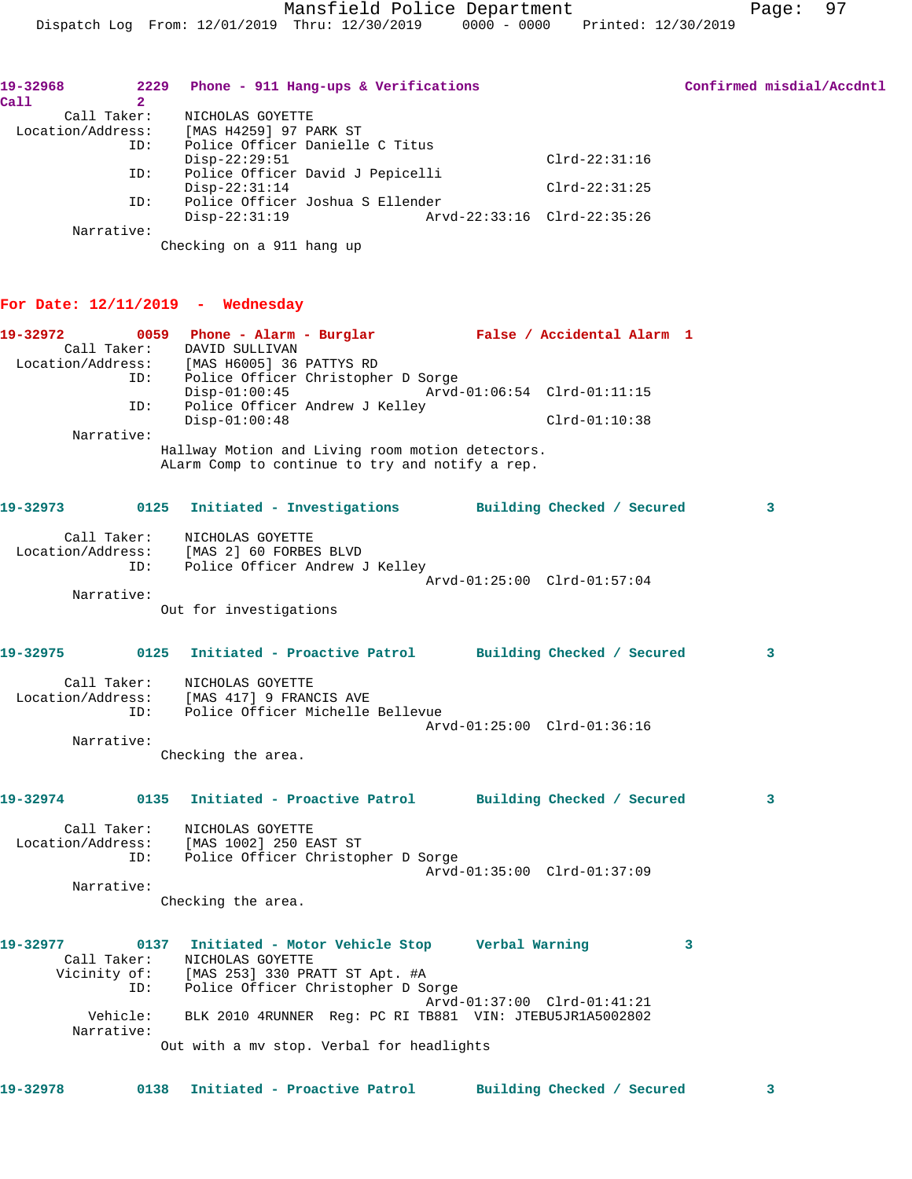| 19-32968<br>Call<br>$\mathbf{2}$ | 2229 Phone - 911 Hang-ups & Verifications                                                               | Confirmed misdial/Accdntl |
|----------------------------------|---------------------------------------------------------------------------------------------------------|---------------------------|
| Call Taker:                      | NICHOLAS GOYETTE                                                                                        |                           |
| ID:                              | Location/Address: [MAS H4259] 97 PARK ST<br>Police Officer Danielle C Titus                             |                           |
|                                  | $Disp-22:29:51$<br>$Clrd-22:31:16$                                                                      |                           |
| ID:                              | Police Officer David J Pepicelli<br>$Disp-22:31:14$<br>$Clrd-22:31:25$                                  |                           |
| ID:                              | Police Officer Joshua S Ellender                                                                        |                           |
| Narrative:                       | $Disp-22:31:19$<br>Arvd-22:33:16 Clrd-22:35:26                                                          |                           |
|                                  | Checking on a 911 hang up                                                                               |                           |
|                                  | For Date: $12/11/2019$ - Wednesday                                                                      |                           |
| 19-32972                         | 0059 Phone - Alarm - Burglar Malse / Accidental Alarm 1                                                 |                           |
|                                  | Call Taker: DAVID SULLIVAN<br>Location/Address: [MAS H6005] 36 PATTYS RD                                |                           |
|                                  | ID:<br>Police Officer Christopher D Sorge                                                               |                           |
| ID:                              | $Disp-01:00:45$<br>Police Officer Andrew J Kelley                                                       |                           |
|                                  | $Disp-01:00:48$<br>$Clrd-01:10:38$                                                                      |                           |
| Narrative:                       | Hallway Motion and Living room motion detectors.<br>ALarm Comp to continue to try and notify a rep.     |                           |
| 19-32973                         | 0125 Initiated - Investigations Building Checked / Secured                                              | 3                         |
|                                  | Call Taker: NICHOLAS GOYETTE                                                                            |                           |
| ID:                              | Location/Address: [MAS 2] 60 FORBES BLVD<br>ID: Police Officer Andrew<br>Police Officer Andrew J Kelley |                           |
|                                  | Arvd-01:25:00 Clrd-01:57:04                                                                             |                           |
| Narrative:                       | Out for investigations                                                                                  |                           |
| 19-32975                         | 0125 Initiated - Proactive Patrol Building Checked / Secured                                            | $\mathbf{3}$              |
|                                  | Call Taker: NICHOLAS GOYETTE                                                                            |                           |
| ID:                              | Location/Address: [MAS 417] 9 FRANCIS AVE<br>Police Officer Michelle Bellevue                           |                           |
|                                  | Arvd-01:25:00 Clrd-01:36:16                                                                             |                           |
| Narrative:                       | Checking the area.                                                                                      |                           |
|                                  |                                                                                                         |                           |
| 19-32974                         | 0135 Initiated - Proactive Patrol Building Checked / Secured                                            | 3                         |
| Call Taker:                      | NICHOLAS GOYETTE<br>Location/Address: [MAS 1002] 250 EAST ST                                            |                           |
| ID:                              | Police Officer Christopher D Sorge                                                                      |                           |
| Narrative:                       | Arvd-01:35:00 Clrd-01:37:09                                                                             |                           |
|                                  | Checking the area.                                                                                      |                           |
| 19-32977                         | 0137 Initiated - Motor Vehicle Stop Gerbal Warning                                                      | 3                         |
| Call Taker:                      | NICHOLAS GOYETTE<br>Vicinity of: [MAS 253] 330 PRATT ST Apt. #A<br>ID: Police Officer Christopher D So  |                           |
|                                  | Police Officer Christopher D Sorge<br>Arvd-01:37:00 Clrd-01:41:21                                       |                           |
| Vehicle:<br>Narrative:           | BLK 2010 4RUNNER Req: PC RI TB881 VIN: JTEBU5JR1A5002802                                                |                           |
|                                  | Out with a my stop. Verbal for headlights                                                               |                           |
|                                  |                                                                                                         |                           |

**19-32978 0138 Initiated - Proactive Patrol Building Checked / Secured 3**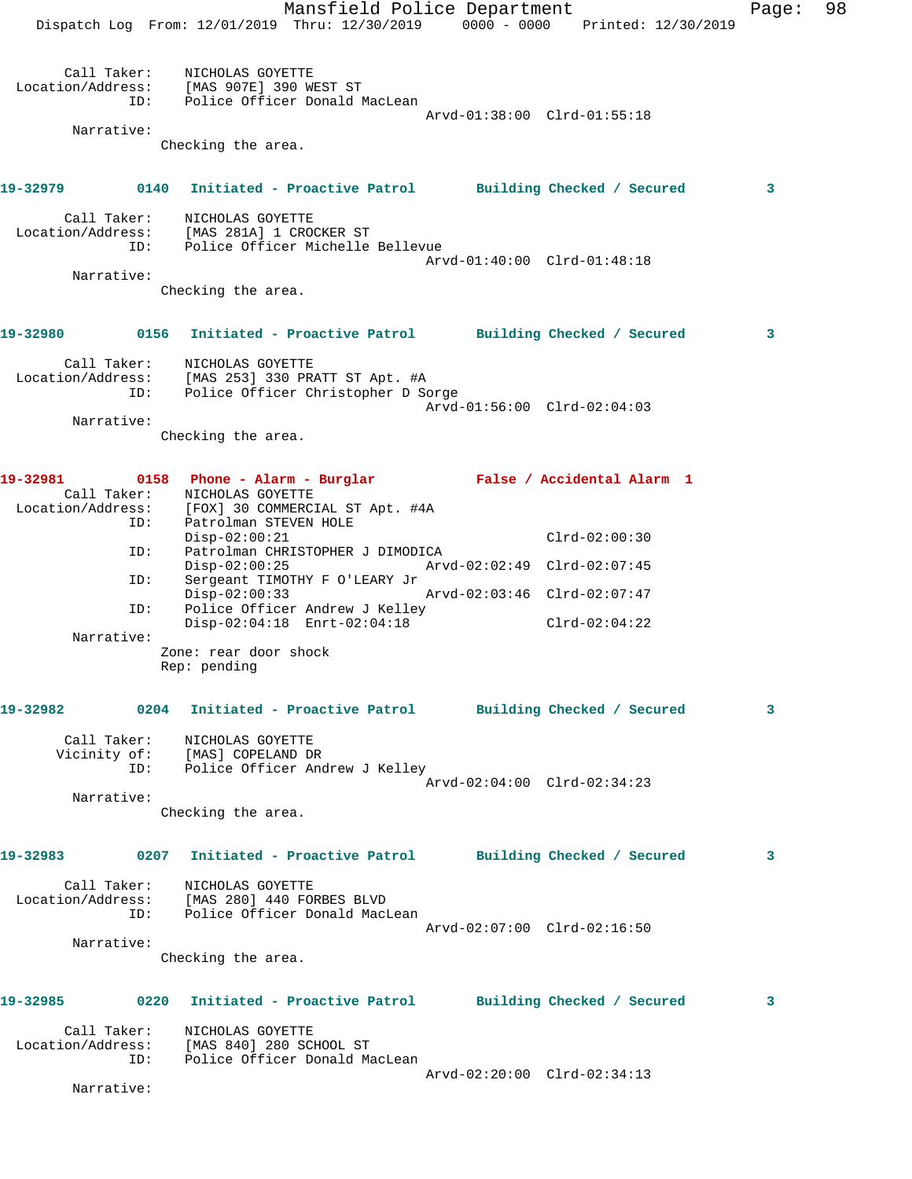|          |            |                                                                                                                        | Mansfield Police Department |                 | Page: | 98 |
|----------|------------|------------------------------------------------------------------------------------------------------------------------|-----------------------------|-----------------|-------|----|
|          |            | Dispatch Log From: 12/01/2019 Thru: 12/30/2019 0000 - 0000 Printed: 12/30/2019                                         |                             |                 |       |    |
|          | ID:        | Call Taker: NICHOLAS GOYETTE<br>Location/Address: [MAS 907E] 390 WEST ST<br>Police Officer Donald MacLean              |                             |                 |       |    |
|          | Narrative: |                                                                                                                        | Arvd-01:38:00 Clrd-01:55:18 |                 |       |    |
|          |            | Checking the area.                                                                                                     |                             |                 |       |    |
|          |            |                                                                                                                        |                             |                 |       |    |
| 19-32979 |            | 0140 Initiated - Proactive Patrol Building Checked / Secured                                                           |                             |                 | 3     |    |
|          | ID:        | Call Taker: NICHOLAS GOYETTE<br>Location/Address: [MAS 281A] 1 CROCKER ST<br>Police Officer Michelle Bellevue          | Arvd-01:40:00 Clrd-01:48:18 |                 |       |    |
|          | Narrative: |                                                                                                                        |                             |                 |       |    |
|          |            | Checking the area.                                                                                                     |                             |                 |       |    |
|          |            |                                                                                                                        |                             |                 |       |    |
| 19-32980 |            | 0156 Initiated - Proactive Patrol Building Checked / Secured                                                           |                             |                 | 3     |    |
|          | ID:        | Call Taker: NICHOLAS GOYETTE<br>Location/Address: [MAS 253] 330 PRATT ST Apt. #A<br>Police Officer Christopher D Sorge |                             |                 |       |    |
|          |            |                                                                                                                        | Arvd-01:56:00 Clrd-02:04:03 |                 |       |    |
|          | Narrative: | Checking the area.                                                                                                     |                             |                 |       |    |
|          |            |                                                                                                                        |                             |                 |       |    |
| 19-32981 |            | 0158 Phone - Alarm - Burglar Malse / Accidental Alarm 1                                                                |                             |                 |       |    |
|          |            | Call Taker:<br>NICHOLAS GOYETTE<br>Location/Address: [FOX] 30 COMMERCIAL ST Apt. #4A                                   |                             |                 |       |    |
|          | ID:        | Patrolman STEVEN HOLE                                                                                                  |                             |                 |       |    |
|          | ID:        | $Disp-02:00:21$<br>Patrolman CHRISTOPHER J DIMODICA<br>$Disp-02:00:25$                                                 | Arvd-02:02:49 Clrd-02:07:45 | $Clrd-02:00:30$ |       |    |
|          | ID:        | Sergeant TIMOTHY F O'LEARY Jr<br>$Disp-02:00:33$                                                                       | Arvd-02:03:46 Clrd-02:07:47 |                 |       |    |
|          | ID:        | Police Officer Andrew J Kelley<br>Disp-02:04:18 Enrt-02:04:18                                                          |                             | $Clrd-02:04:22$ |       |    |
|          | Narrative: |                                                                                                                        |                             |                 |       |    |
|          |            | Zone: rear door shock<br>Rep: pending                                                                                  |                             |                 |       |    |
|          |            |                                                                                                                        |                             |                 |       |    |
|          |            | 19-32982 0204 Initiated - Proactive Patrol Building Checked / Secured                                                  |                             |                 | 3     |    |
|          |            | Call Taker: NICHOLAS GOYETTE<br>Vicinity of: [MAS] COPELAND DR                                                         |                             |                 |       |    |
|          |            | ID: Police Officer Andrew J Kelley                                                                                     | Arvd-02:04:00 Clrd-02:34:23 |                 |       |    |
|          | Narrative: |                                                                                                                        |                             |                 |       |    |
|          |            | Checking the area.                                                                                                     |                             |                 |       |    |
|          |            | 19-32983 0207 Initiated - Proactive Patrol Building Checked / Secured                                                  |                             |                 | 3     |    |
|          |            | Call Taker: NICHOLAS GOYETTE<br>Location/Address: [MAS 280] 440 FORBES BLVD                                            |                             |                 |       |    |
|          | ID:        | Police Officer Donald MacLean                                                                                          |                             |                 |       |    |
|          | Narrative: |                                                                                                                        | Arvd-02:07:00 Clrd-02:16:50 |                 |       |    |
|          |            | Checking the area.                                                                                                     |                             |                 |       |    |
|          |            |                                                                                                                        |                             |                 |       |    |
|          |            | 19-32985 0220 Initiated - Proactive Patrol Building Checked / Secured                                                  |                             |                 | 3     |    |
|          | ID:        | Call Taker: NICHOLAS GOYETTE<br>Location/Address: [MAS 840] 280 SCHOOL ST<br>Police Officer Donald MacLean             |                             |                 |       |    |
|          | Narrative: |                                                                                                                        | Arvd-02:20:00 Clrd-02:34:13 |                 |       |    |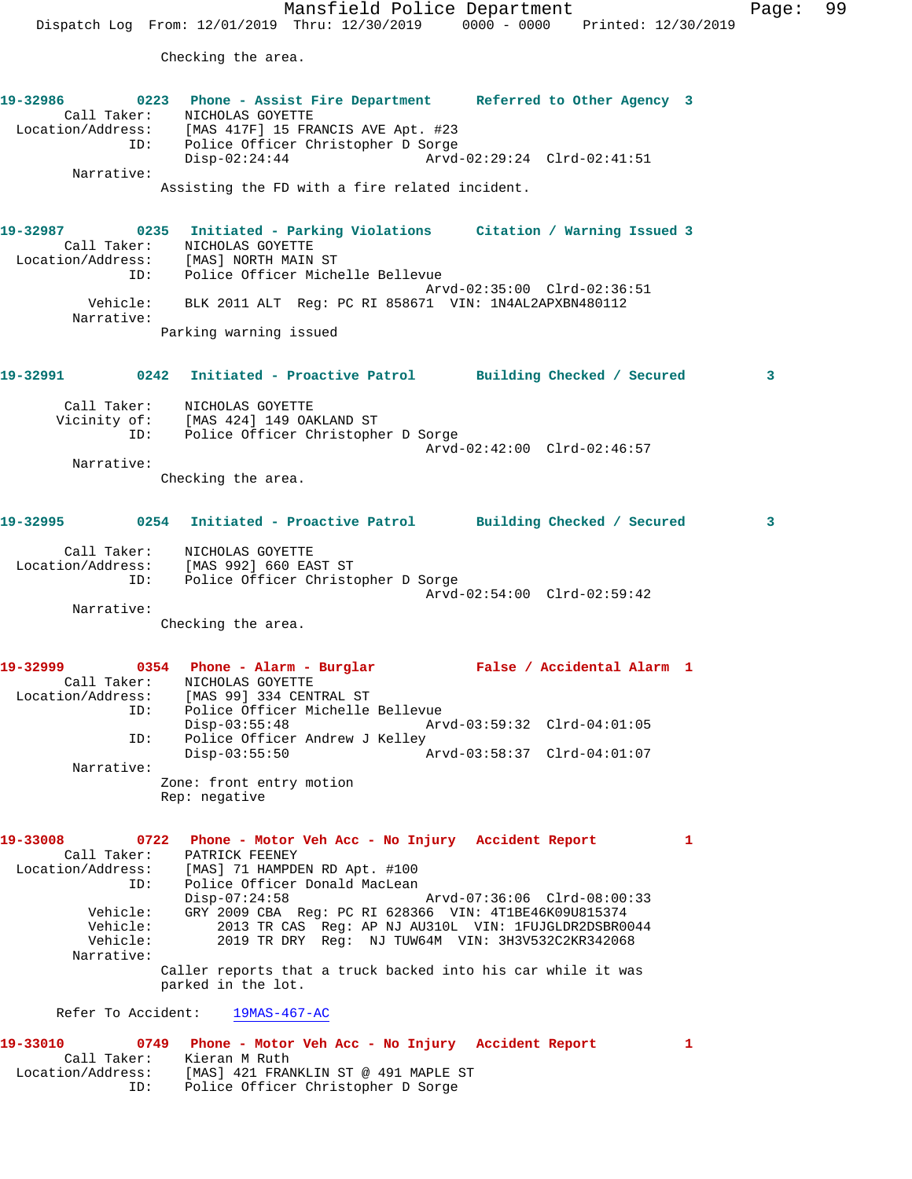Mansfield Police Department Fage: 99 Dispatch Log From: 12/01/2019 Thru: 12/30/2019 0000 - 0000 Printed: 12/30/2019 Checking the area. **19-32986 0223 Phone - Assist Fire Department Referred to Other Agency 3**  Call Taker: NICHOLAS GOYETTE Location/Address: [MAS 417F] 15 FRANCIS AVE Apt. #23 ID: Police Officer Christopher D Sorge Disp-02:24:44 Arvd-02:29:24 Clrd-02:41:51 Narrative: Assisting the FD with a fire related incident. **19-32987 0235 Initiated - Parking Violations Citation / Warning Issued 3**  Call Taker: NICHOLAS GOYETTE Location/Address: [MAS] NORTH MAIN ST ID: Police Officer Michelle Bellevue Arvd-02:35:00 Clrd-02:36:51 Vehicle: BLK 2011 ALT Reg: PC RI 858671 VIN: 1N4AL2APXBN480112 Narrative: Parking warning issued **19-32991 0242 Initiated - Proactive Patrol Building Checked / Secured 3** Call Taker: NICHOLAS GOYETTE Vicinity of: [MAS 424] 149 OAKLAND ST ID: Police Officer Christopher D Sorge Arvd-02:42:00 Clrd-02:46:57 Narrative: Checking the area. **19-32995 0254 Initiated - Proactive Patrol Building Checked / Secured 3** Call Taker: NICHOLAS GOYETTE Location/Address: [MAS 992] 660 EAST ST ID: Police Officer Christopher D Sorge Arvd-02:54:00 Clrd-02:59:42 Narrative: Checking the area. **19-32999 0354 Phone - Alarm - Burglar False / Accidental Alarm 1**  Call Taker: NICHOLAS GOYETTE Location/Address: [MAS 99] 334 CENTRAL ST ID: Police Officer Michelle Bellevue Disp-03:55:48 Arvd-03:59:32 Clrd-04:01:05 ID: Police Officer Andrew J Kelley Disp-03:55:50 Arvd-03:58:37 Clrd-04:01:07 Narrative: Zone: front entry motion Rep: negative **19-33008 0722 Phone - Motor Veh Acc - No Injury Accident Report 1**  Call Taker: PATRICK FEENEY Location/Address: [MAS] 71 HAMPDEN RD Apt. #100 ID: Police Officer Donald MacLean Disp-07:24:58 Arvd-07:36:06 Clrd-08:00:33 Vehicle: GRY 2009 CBA Reg: PC RI 628366 VIN: 4T1BE46K09U815374 Vehicle: 2013 TR CAS Reg: AP NJ AU310L VIN: 1FUJGLDR2DSBR0044 Vehicle: 2019 TR DRY Reg: NJ TUW64M VIN: 3H3V532C2KR342068 Narrative: Caller reports that a truck backed into his car while it was parked in the lot. Refer To Accident: 19MAS-467-AC

**19-33010 0749 Phone - Motor Veh Acc - No Injury Accident Report 1**  Call Taker: Kieran M Ruth Location/Address: [MAS] 421 FRANKLIN ST @ 491 MAPLE ST ID: Police Officer Christopher D Sorge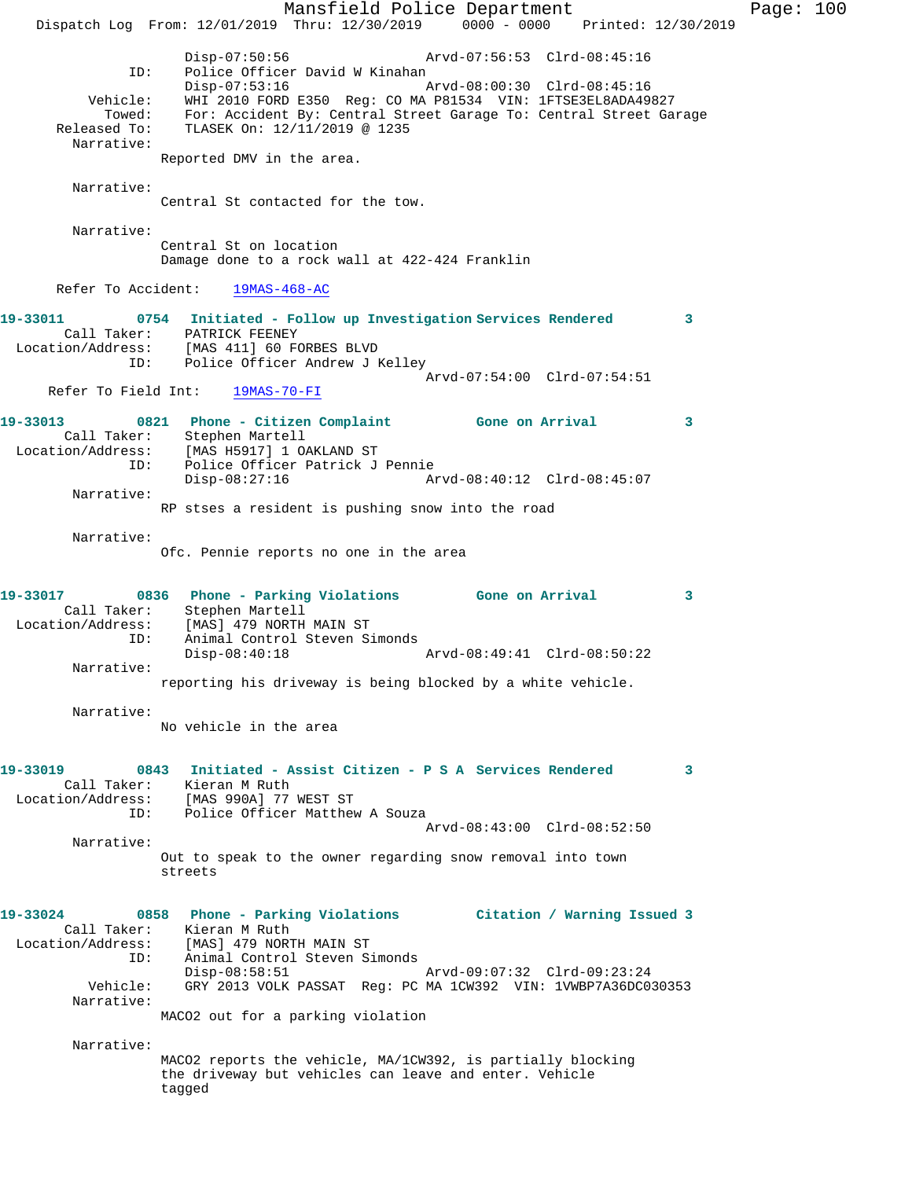Mansfield Police Department Page: 100 Dispatch Log From: 12/01/2019 Thru: 12/30/2019 0000 - 0000 Printed: 12/30/2019 Disp-07:50:56 Arvd-07:56:53 Clrd-08:45:16 ID: Police Officer David W Kinahan<br>Disp-07:53:16 Mrvd-08:00:30 Clrd-08:45:16 Disp-07:53:16 Arvd-08:00:30 Clrd-08:45:16 Vehicle: WHI 2010 FORD E350 Reg: CO MA P81534 VIN: 1FTSE3EL8ADA49827 Towed: For: Accident By: Central Street Garage To: Central Street Garage Released To: TLASEK On: 12/11/2019 @ 1235 Narrative: Reported DMV in the area. Narrative: Central St contacted for the tow. Narrative: Central St on location Damage done to a rock wall at 422-424 Franklin Refer To Accident: 19MAS-468-AC **19-33011 0754 Initiated - Follow up Investigation Services Rendered 3**  Call Taker: PATRICK FEENEY Location/Address: [MAS 411] 60 FORBES BLVD ID: Police Officer Andrew J Kelley Arvd-07:54:00 Clrd-07:54:51<br>19MAS-70-FI Refer To Field Int: **19-33013 0821 Phone - Citizen Complaint Gone on Arrival 3**  Call Taker: Stephen Martell Location/Address: [MAS H5917] 1 OAKLAND ST ID: Police Officer Patrick J Pennie Disp-08:27:16 Arvd-08:40:12 Clrd-08:45:07 Narrative: RP stses a resident is pushing snow into the road Narrative: Ofc. Pennie reports no one in the area **19-33017 0836 Phone - Parking Violations Gone on Arrival 3**  Call Taker: Stephen Martell Location/Address: [MAS] 479 NORTH MAIN ST ID: Animal Control Steven Simonds Disp-08:40:18 Arvd-08:49:41 Clrd-08:50:22 Narrative: reporting his driveway is being blocked by a white vehicle. Narrative: No vehicle in the area **19-33019 0843 Initiated - Assist Citizen - P S A Services Rendered 3**  Call Taker: Kieran M Ruth Location/Address: [MAS 990A] 77 WEST ST ID: Police Officer Matthew A Souza Arvd-08:43:00 Clrd-08:52:50 Narrative: Out to speak to the owner regarding snow removal into town streets **19-33024 0858 Phone - Parking Violations Citation / Warning Issued 3**  Call Taker: Kieran M Ruth Location/Address: [MAS] 479 NORTH MAIN ST ID: Animal Control Steven Simonds Disp-08:58:51 Arvd-09:07:32 Clrd-09:23:24 Vehicle: GRY 2013 VOLK PASSAT Reg: PC MA 1CW392 VIN: 1VWBP7A36DC030353 Narrative: MACO2 out for a parking violation Narrative: MACO2 reports the vehicle, MA/1CW392, is partially blocking the driveway but vehicles can leave and enter. Vehicle tagged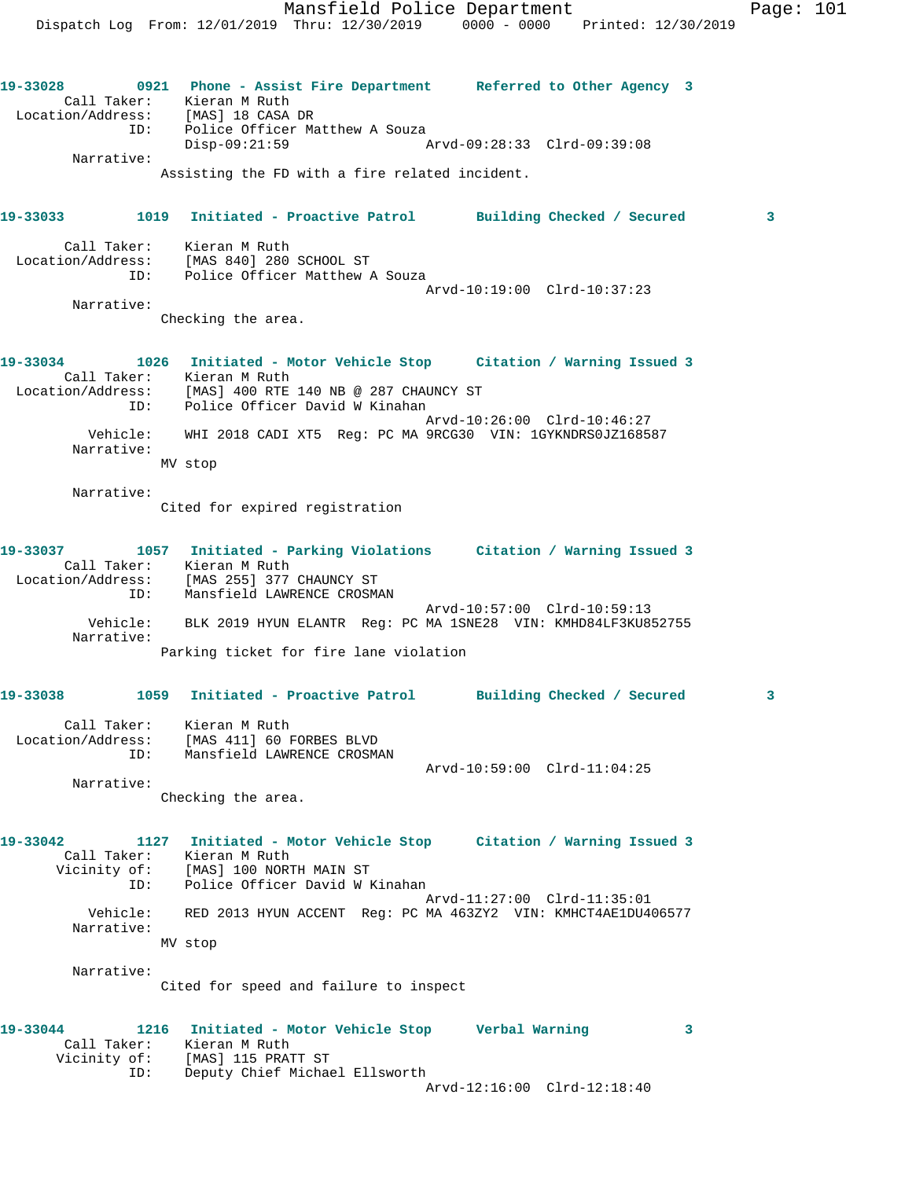Dispatch Log From: 12/01/2019 Thru: 12/30/2019 0000 - 0000 Printed: 12/30/2019 **19-33028 0921 Phone - Assist Fire Department Referred to Other Agency 3**  Call Taker: Kieran M Ruth Location/Address: [MAS] 18 CASA DR ID: Police Officer Matthew A Souza Disp-09:21:59 Arvd-09:28:33 Clrd-09:39:08 Narrative: Assisting the FD with a fire related incident. **19-33033 1019 Initiated - Proactive Patrol Building Checked / Secured 3** Call Taker: Kieran M Ruth Location/Address: [MAS 840] 280 SCHOOL ST ID: Police Officer Matthew A Souza Arvd-10:19:00 Clrd-10:37:23 Narrative: Checking the area. **19-33034 1026 Initiated - Motor Vehicle Stop Citation / Warning Issued 3**  Call Taker: Kieran M Ruth Location/Address: [MAS] 400 RTE 140 NB @ 287 CHAUNCY ST ID: Police Officer David W Kinahan Arvd-10:26:00 Clrd-10:46:27 Vehicle: WHI 2018 CADI XT5 Reg: PC MA 9RCG30 VIN: 1GYKNDRS0JZ168587 Narrative: MV stop Narrative: Cited for expired registration **19-33037 1057 Initiated - Parking Violations Citation / Warning Issued 3**  Call Taker: Kieran M Ruth Location/Address: [MAS 255] 377 CHAUNCY ST ID: Mansfield LAWRENCE CROSMAN Arvd-10:57:00 Clrd-10:59:13 Vehicle: BLK 2019 HYUN ELANTR Reg: PC MA 1SNE28 VIN: KMHD84LF3KU852755 Narrative: Parking ticket for fire lane violation **19-33038 1059 Initiated - Proactive Patrol Building Checked / Secured 3** Call Taker: Kieran M Ruth Location/Address: [MAS 411] 60 FORBES BLVD ID: Mansfield LAWRENCE CROSMAN Arvd-10:59:00 Clrd-11:04:25 Narrative: Checking the area. **19-33042 1127 Initiated - Motor Vehicle Stop Citation / Warning Issued 3**  Call Taker: Kieran M Ruth Vicinity of: [MAS] 100 NORTH MAIN ST ID: Police Officer David W Kinahan Arvd-11:27:00 Clrd-11:35:01 Vehicle: RED 2013 HYUN ACCENT Reg: PC MA 463ZY2 VIN: KMHCT4AE1DU406577 Narrative: MV stop Narrative: Cited for speed and failure to inspect **19-33044 1216 Initiated - Motor Vehicle Stop Verbal Warning 3**  Call Taker: Kieran M Ruth Vicinity of: [MAS] 115 PRATT ST ID: Deputy Chief Michael Ellsworth

Arvd-12:16:00 Clrd-12:18:40

Mansfield Police Department Page: 101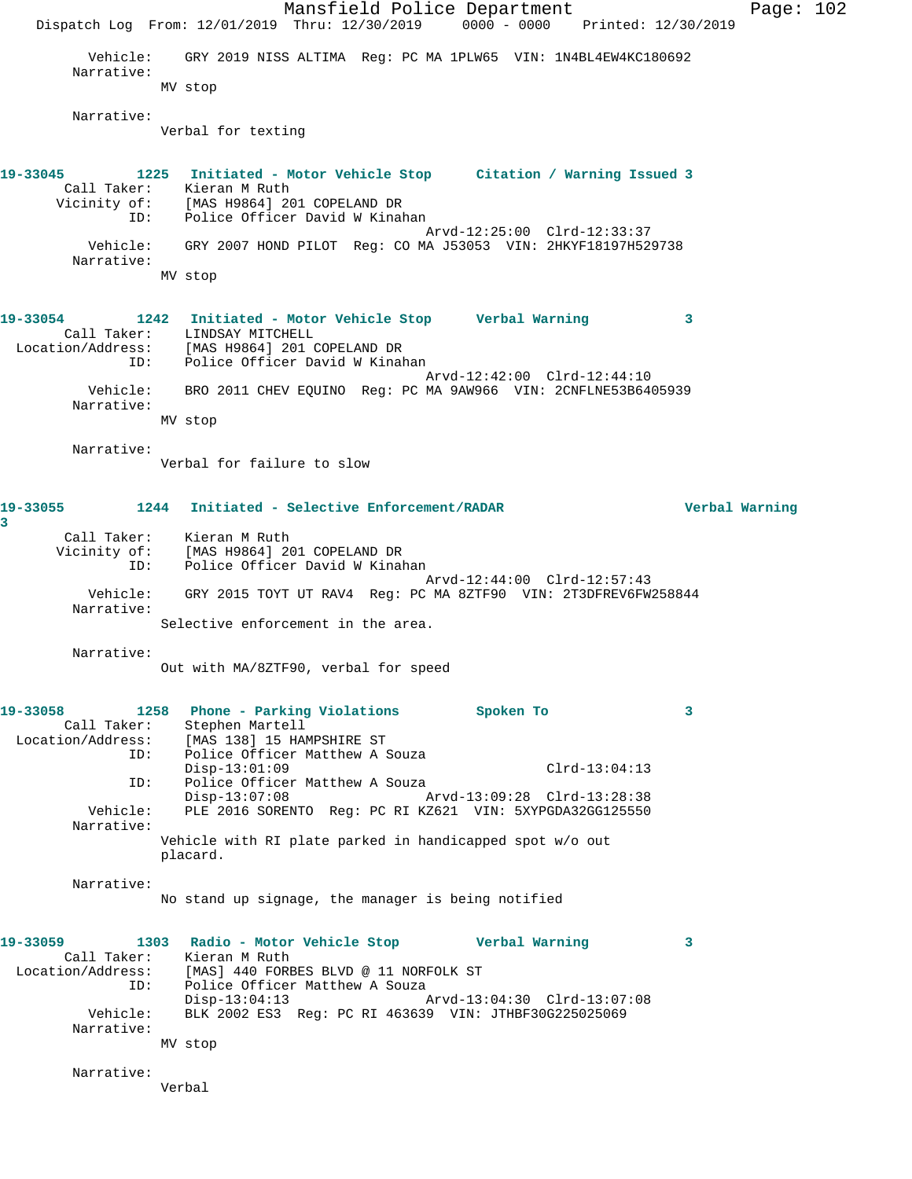Mansfield Police Department Page: 102 Dispatch Log From: 12/01/2019 Thru: 12/30/2019 0000 - 0000 Printed: 12/30/2019 Vehicle: GRY 2019 NISS ALTIMA Reg: PC MA 1PLW65 VIN: 1N4BL4EW4KC180692 Narrative: MV stop Narrative: Verbal for texting **19-33045 1225 Initiated - Motor Vehicle Stop Citation / Warning Issued 3**  Call Taker: Kieran M Ruth Vicinity of: [MAS H9864] 201 COPELAND DR ID: Police Officer David W Kinahan Arvd-12:25:00 Clrd-12:33:37 Vehicle: GRY 2007 HOND PILOT Reg: CO MA J53053 VIN: 2HKYF18197H529738 Narrative: MV stop **19-33054 1242 Initiated - Motor Vehicle Stop Verbal Warning 3**  Call Taker: LINDSAY MITCHELL Location/Address: [MAS H9864] 201 COPELAND DR ID: Police Officer David W Kinahan Arvd-12:42:00 Clrd-12:44:10 Vehicle: BRO 2011 CHEV EQUINO Reg: PC MA 9AW966 VIN: 2CNFLNE53B6405939 Narrative: MV stop Narrative: Verbal for failure to slow **19-33055 1244 Initiated - Selective Enforcement/RADAR Verbal Warning 3**  Call Taker: Kieran M Ruth Vicinity of: [MAS H9864] 201 COPELAND DR<br>ID: Police Officer David W Kinak Police Officer David W Kinahan Arvd-12:44:00 Clrd-12:57:43 Vehicle: GRY 2015 TOYT UT RAV4 Reg: PC MA 8ZTF90 VIN: 2T3DFREV6FW258844 Narrative: Selective enforcement in the area. Narrative: Out with MA/8ZTF90, verbal for speed **19-33058 1258 Phone - Parking Violations Spoken To 3**  Call Taker: Stephen Martell Location/Address: [MAS 138] 15 HAMPSHIRE ST<br>ID: Police Officer Matthew A S Police Officer Matthew A Souza Disp-13:01:09 Clrd-13:04:13 ID: Police Officer Matthew A Souza Disp-13:07:08 Arvd-13:09:28 Clrd-13:28:38 Vehicle: PLE 2016 SORENTO Reg: PC RI KZ621 VIN: 5XYPGDA32GG125550 Narrative: Vehicle with RI plate parked in handicapped spot w/o out placard. Narrative: No stand up signage, the manager is being notified **19-33059 1303 Radio - Motor Vehicle Stop Verbal Warning 3**  Call Taker: Kieran M Ruth Location/Address: [MAS] 440 FORBES BLVD @ 11 NORFOLK ST ID: Police Officer Matthew A Souza<br>Disp-13:04:13 Arvd-13:04:30 Clrd-13:07:08 Disp-13:04:13 Arvd-13:04:30 Clrd-13:07:08 Vehicle: BLK 2002 ES3 Reg: PC RI 463639 VIN: JTHBF30G225025069 Narrative: MV stop Narrative: Verbal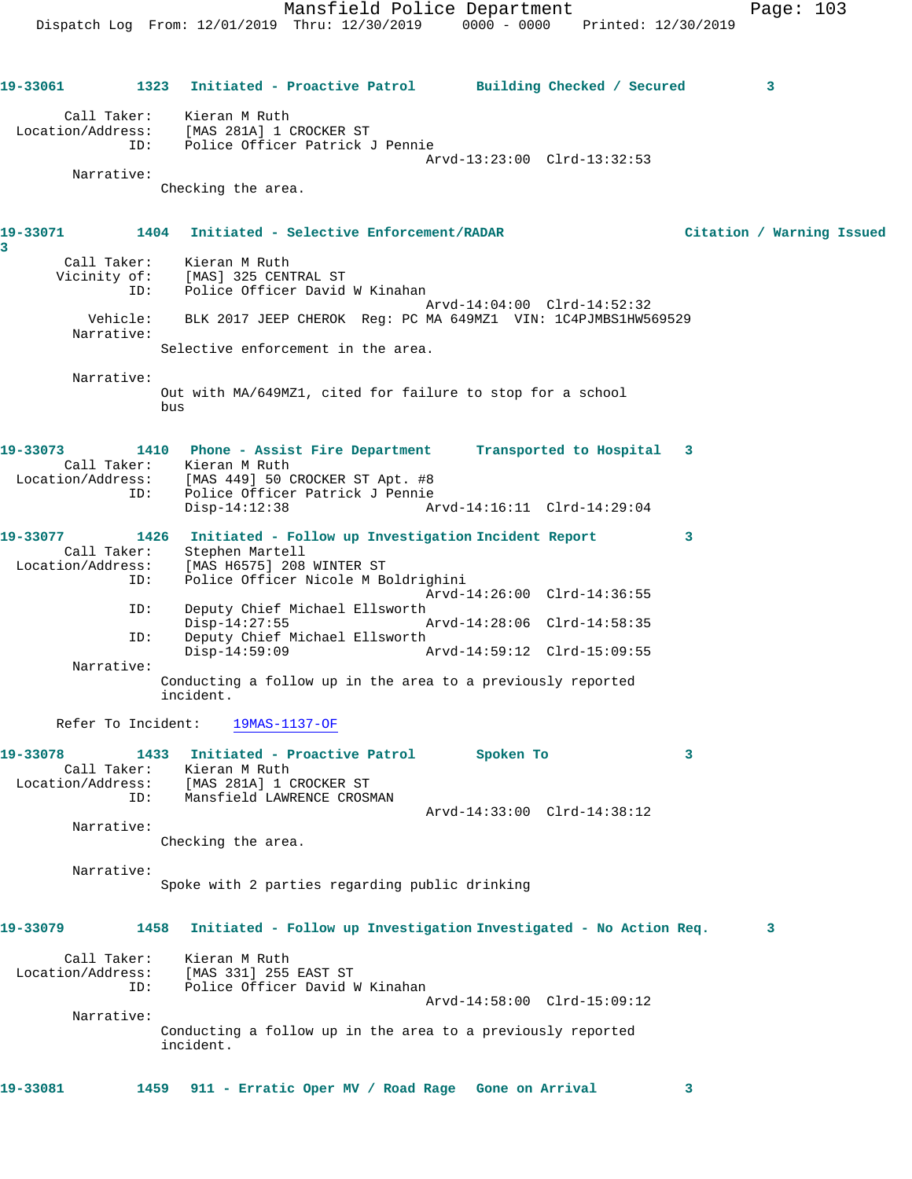Mansfield Police Department Fage: 103 Dispatch Log From: 12/01/2019 Thru: 12/30/2019 0000 - 0000 Printed: 12/30/2019 **19-33061 1323 Initiated - Proactive Patrol Building Checked / Secured 3** Call Taker: Kieran M Ruth Location/Address: [MAS 281A] 1 CROCKER ST ID: Police Officer Patrick J Pennie Arvd-13:23:00 Clrd-13:32:53 Narrative: Checking the area. **19-33071 1404 Initiated - Selective Enforcement/RADAR Citation / Warning Issued** Call Taker: Kieran M Ruth Vicinity of: [MAS] 325 CENTRAL ST ID: Police Officer David W Kinahan Arvd-14:04:00 Clrd-14:52:32 Vehicle: BLK 2017 JEEP CHEROK Reg: PC MA 649MZ1 VIN: 1C4PJMBS1HW569529 Narrative: Selective enforcement in the area. Narrative:

**3** 

Out with MA/649MZ1, cited for failure to stop for a school bus

| 19-33073          | 1410        | Phone - Assist Fire Department  |  | Transported to Hospital 3   |  |
|-------------------|-------------|---------------------------------|--|-----------------------------|--|
|                   | Call Taker: | Kieran M Ruth                   |  |                             |  |
| Location/Address: |             | [MAS 449] 50 CROCKER ST Apt. #8 |  |                             |  |
|                   | ID:         | Police Officer Patrick J Pennie |  |                             |  |
|                   |             | Disp-14:12:38                   |  | Arvd-14:16:11 Clrd-14:29:04 |  |
|                   |             |                                 |  |                             |  |

| 19-33077          | 1426       | Initiated - Follow up Investigation Incident Report                      |                             |  |
|-------------------|------------|--------------------------------------------------------------------------|-----------------------------|--|
| Call Taker:       |            | Stephen Martell                                                          |                             |  |
| Location/Address: |            | [MAS H6575] 208 WINTER ST                                                |                             |  |
|                   | ID:        | Police Officer Nicole M Boldrighini                                      |                             |  |
|                   |            |                                                                          | Arvd-14:26:00 Clrd-14:36:55 |  |
|                   | ID:        | Deputy Chief Michael Ellsworth                                           |                             |  |
|                   |            | $Disp-14:27:55$                                                          | Arvd-14:28:06 Clrd-14:58:35 |  |
|                   | ID:        | Deputy Chief Michael Ellsworth                                           |                             |  |
|                   |            | $Disp-14:59:09$                                                          | Arvd-14:59:12 Clrd-15:09:55 |  |
|                   | Narrative: |                                                                          |                             |  |
|                   |            | Conducting a follow up in the area to a previously reported<br>incident. |                             |  |

Refer To Incident: 19MAS-1137-OF

| 19-33078          | 1433        | Initiated - Proactive Patrol | Spoken To |                             |  |
|-------------------|-------------|------------------------------|-----------|-----------------------------|--|
|                   | Call Taker: | Kieran M Ruth                |           |                             |  |
| Location/Address: |             | [MAS 281A] 1 CROCKER ST      |           |                             |  |
|                   | TD:         | Mansfield LAWRENCE CROSMAN   |           |                             |  |
|                   |             |                              |           | Arvd-14:33:00 Clrd-14:38:12 |  |

Narrative:

Checking the area.

Narrative:

Spoke with 2 parties regarding public drinking

| 19-33079                         | 1458 | Initiated - Follow up Investigation Investigated - No Action Req.        | 3. |
|----------------------------------|------|--------------------------------------------------------------------------|----|
| Call Taker:<br>Location/Address: |      | Kieran M Ruth<br>[MAS 331] 255 EAST ST                                   |    |
|                                  | ID:  | Police Officer David W Kinahan                                           |    |
|                                  |      | Arvd-14:58:00 Clrd-15:09:12                                              |    |
| Narrative:                       |      |                                                                          |    |
|                                  |      | Conducting a follow up in the area to a previously reported<br>incident. |    |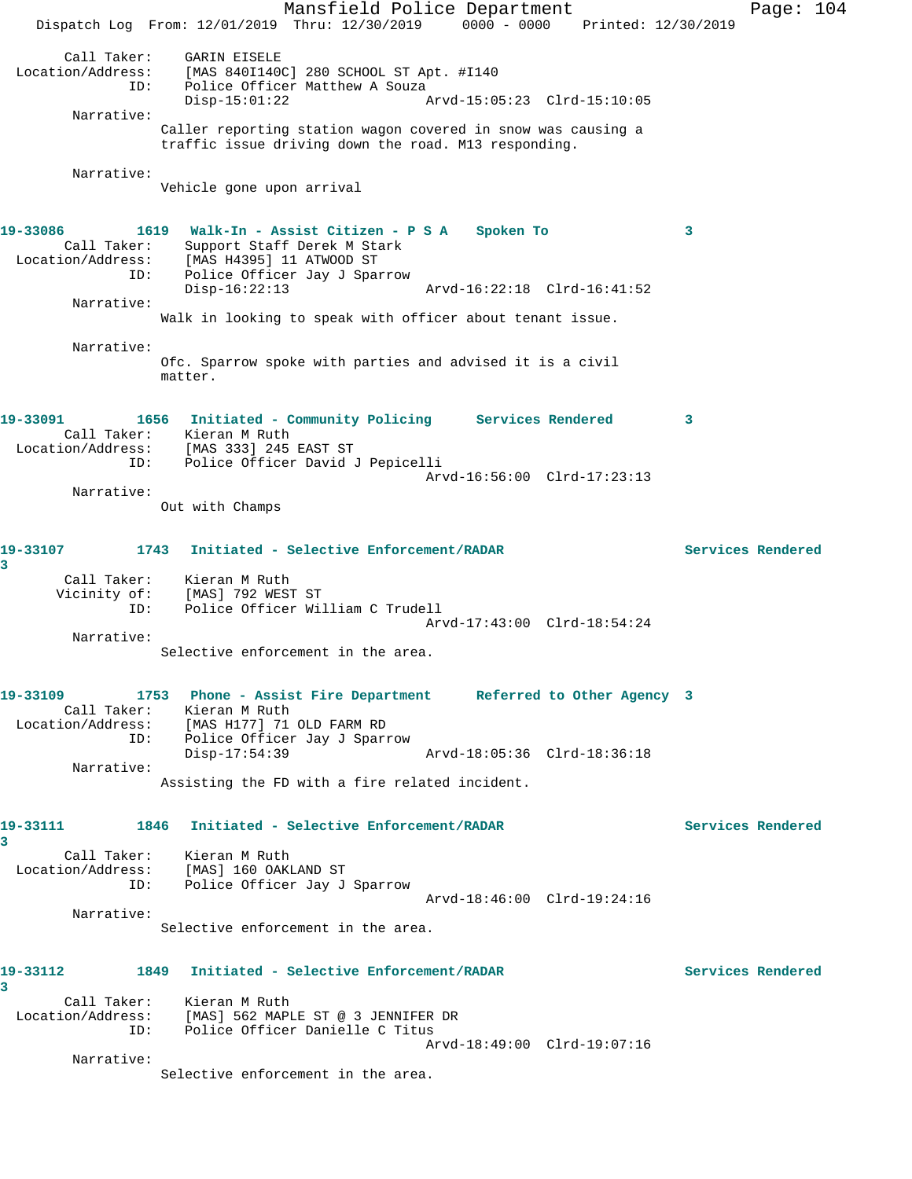Mansfield Police Department Fage: 104 Dispatch Log From: 12/01/2019 Thru: 12/30/2019 0000 - 0000 Printed: 12/30/2019 Call Taker: GARIN EISELE Location/Address: [MAS 840I140C] 280 SCHOOL ST Apt. #I140 ID: Police Officer Matthew A Souza Disp-15:01:22 Arvd-15:05:23 Clrd-15:10:05 Narrative: Caller reporting station wagon covered in snow was causing a traffic issue driving down the road. M13 responding. Narrative: Vehicle gone upon arrival **19-33086 1619 Walk-In - Assist Citizen - P S A Spoken To 3**  Call Taker: Support Staff Derek M Stark Location/Address: [MAS H4395] 11 ATWOOD ST ID: Police Officer Jay J Sparrow Disp-16:22:13 Arvd-16:22:18 Clrd-16:41:52 Narrative: Walk in looking to speak with officer about tenant issue. Narrative: Ofc. Sparrow spoke with parties and advised it is a civil matter. **19-33091 1656 Initiated - Community Policing Services Rendered 3**  Call Taker: Kieran M Ruth Location/Address: [MAS 333] 245 EAST ST ID: Police Officer David J Pepicelli Arvd-16:56:00 Clrd-17:23:13 Narrative: Out with Champs **19-33107 1743 Initiated - Selective Enforcement/RADAR Services Rendered 3**  Call Taker: Kieran M Ruth Vicinity of: [MAS] 792 WEST ST ID: Police Officer William C Trudell Arvd-17:43:00 Clrd-18:54:24 Narrative: Selective enforcement in the area. **19-33109 1753 Phone - Assist Fire Department Referred to Other Agency 3**  Call Taker: Kieran M Ruth Location/Address: [MAS H177] 71 OLD FARM RD ID: Police Officer Jay J Sparrow Disp-17:54:39 Arvd-18:05:36 Clrd-18:36:18 Narrative: Assisting the FD with a fire related incident. **19-33111 1846 Initiated - Selective Enforcement/RADAR Services Rendered 3**  Call Taker: Kieran M Ruth Location/Address: [MAS] 160 OAKLAND ST ID: Police Officer Jay J Sparrow Arvd-18:46:00 Clrd-19:24:16 Narrative: Selective enforcement in the area. **19-33112 1849 Initiated - Selective Enforcement/RADAR Services Rendered 3**  Call Taker: Kieran M Ruth Location/Address: [MAS] 562 MAPLE ST @ 3 JENNIFER DR ID: Police Officer Danielle C Titus Arvd-18:49:00 Clrd-19:07:16 Narrative: Selective enforcement in the area.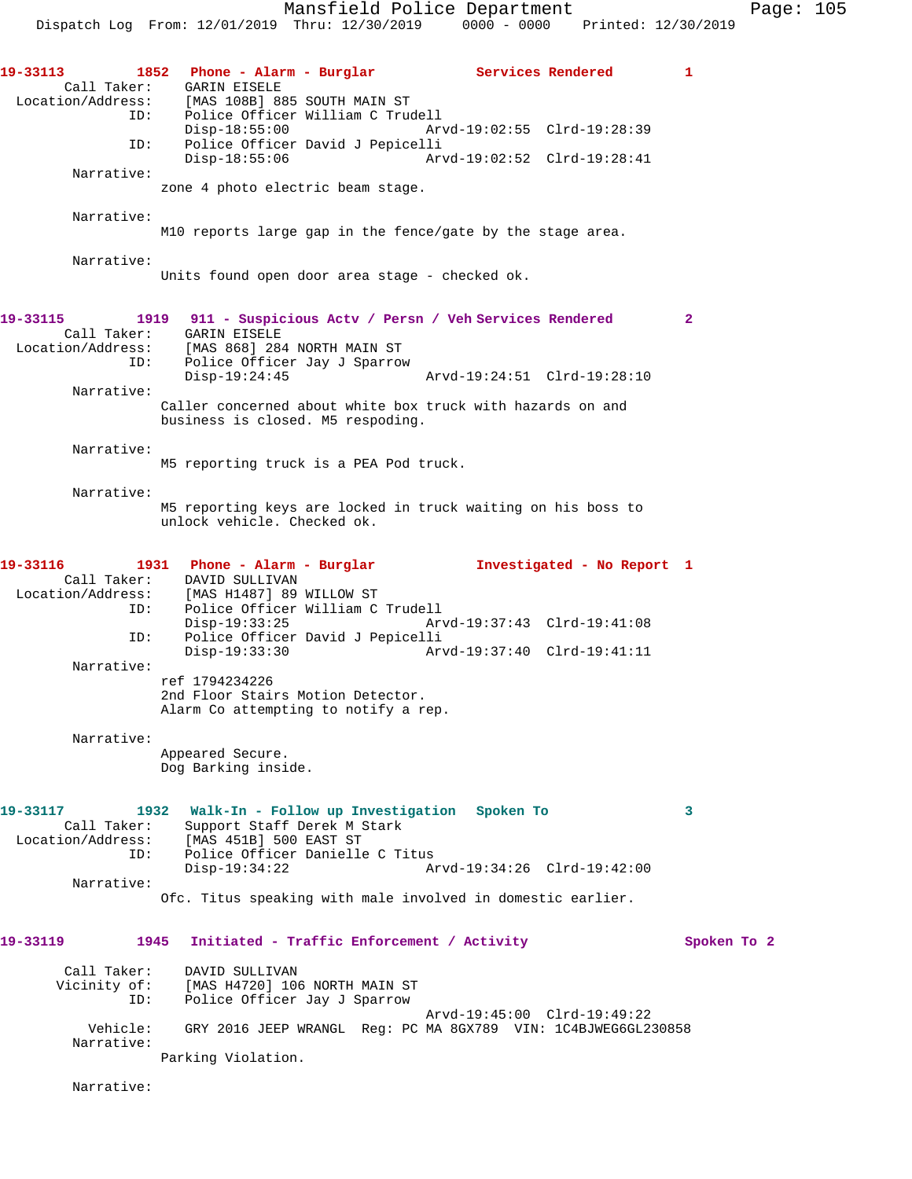Mansfield Police Department Page: 105 Dispatch Log From: 12/01/2019 Thru: 12/30/2019 0000 - 0000 Printed: 12/30/2019 **19-33113 1852 Phone - Alarm - Burglar Services Rendered 1**  Call Taker: GARIN EISELE<br>Location/Address: [MAS 108B] 88 [MAS 108B] 885 SOUTH MAIN ST ID: Police Officer William C Trudell Disp-18:55:00 Arvd-19:02:55 Clrd-19:28:39 ID: Police Officer David J Pepicelli Disp-18:55:06 Arvd-19:02:52 Clrd-19:28:41 Narrative: zone 4 photo electric beam stage. Narrative: M10 reports large gap in the fence/gate by the stage area. Narrative: Units found open door area stage - checked ok. **19-33115 1919 911 - Suspicious Actv / Persn / Veh Services Rendered 2**  Call Taker: GARIN EISELE Location/Address: [MAS 868] 284 NORTH MAIN ST Police Officer Jay J Sparrow<br>Disp-19:24:45 Disp-19:24:45 Arvd-19:24:51 Clrd-19:28:10 Narrative: Caller concerned about white box truck with hazards on and business is closed. M5 respoding. Narrative: M5 reporting truck is a PEA Pod truck. Narrative: M5 reporting keys are locked in truck waiting on his boss to unlock vehicle. Checked ok. **19-33116 1931 Phone - Alarm - Burglar Investigated - No Report 1**  Call Taker: DAVID SULLIVAN Location/Address: [MAS H1487] 89 WILLOW ST ID: Police Officer William C Trudell Disp-19:33:25 Arvd-19:37:43 Clrd-19:41:08<br>TD: Police Officer David J Pepicelli Police Officer David J Pepicelli Disp-19:33:30 Arvd-19:37:40 Clrd-19:41:11 Narrative: ref 1794234226 2nd Floor Stairs Motion Detector. Alarm Co attempting to notify a rep. Narrative: Appeared Secure. Dog Barking inside. **19-33117 1932 Walk-In - Follow up Investigation Spoken To 3**  Call Taker: Support Staff Derek M Stark Location/Address: [MAS 451B] 500 EAST ST ID: Police Officer Danielle C Titus<br>Disp-19:34:22 A Disp-19:34:22 Arvd-19:34:26 Clrd-19:42:00 Narrative: Ofc. Titus speaking with male involved in domestic earlier. 19-33119 1945 Initiated - Traffic Enforcement / Activity **Spoken To 2**  Call Taker: DAVID SULLIVAN Vicinity of: [MAS H4720] 106 NORTH MAIN ST ID: Police Officer Jay J Sparrow Arvd-19:45:00 Clrd-19:49:22<br>Vehicle: GRY 2016 JEEP WRANGL Req: PC MA 8GX789 VIN: 1C4BJWEG6GL2 GRY 2016 JEEP WRANGL Reg: PC MA 8GX789 VIN: 1C4BJWEG6GL230858 Narrative: Parking Violation.

Narrative: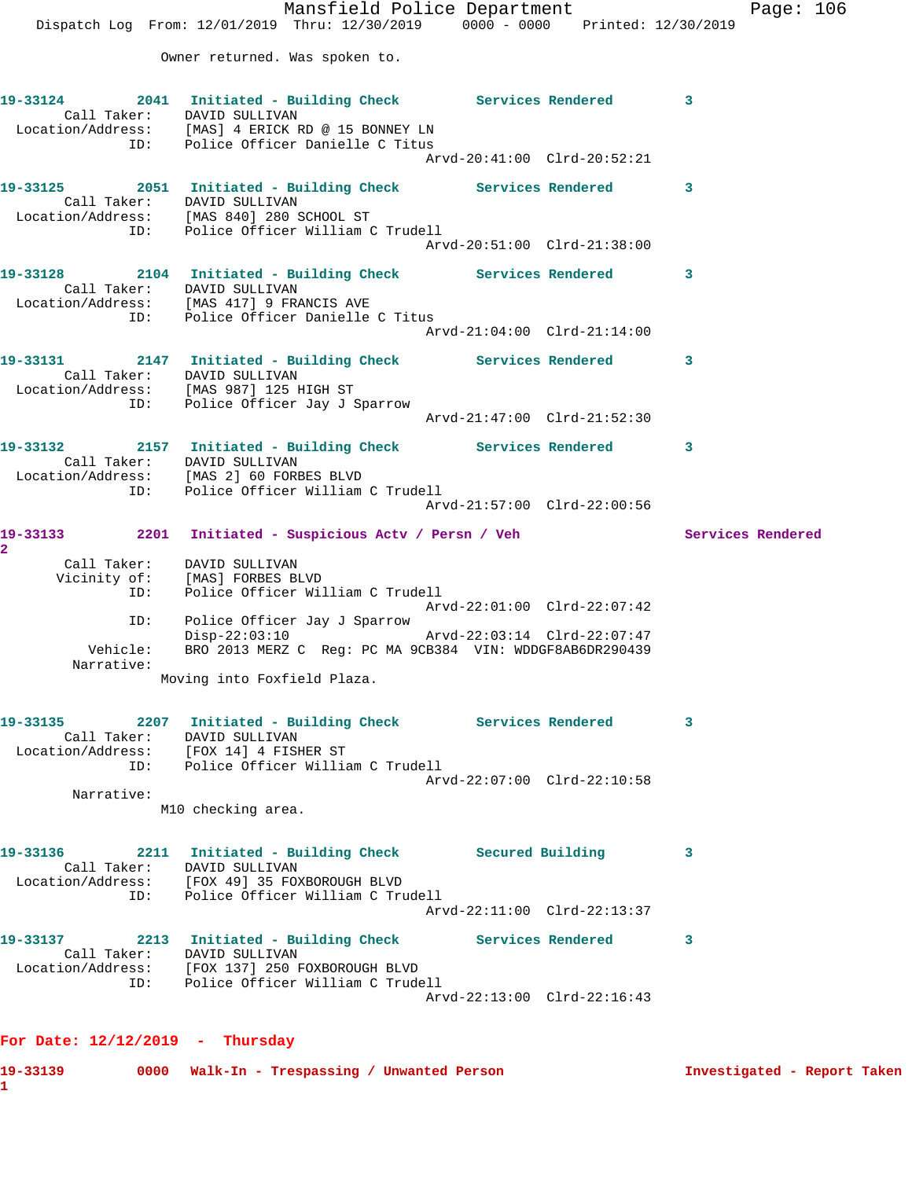|                 | Mansfield Police Department<br>Dispatch Log From: 12/01/2019 Thru: 12/30/2019 0000 - 0000 Printed: 12/30/2019                                                                          |                             | Page: $106$              |
|-----------------|----------------------------------------------------------------------------------------------------------------------------------------------------------------------------------------|-----------------------------|--------------------------|
|                 | Owner returned. Was spoken to.                                                                                                                                                         |                             |                          |
|                 | 19-33124 2041 Initiated - Building Check Services Rendered 3<br>Call Taker: DAVID SULLIVAN<br>Location/Address: [MAS] 4 ERICK RD @ 15 BONNEY LN<br>ID: Police Officer Danielle C Titus |                             |                          |
|                 |                                                                                                                                                                                        | Arvd-20:41:00 Clrd-20:52:21 |                          |
|                 | 19-33125 2051 Initiated - Building Check Services Rendered 3<br>Call Taker: DAVID SULLIVAN<br>Location/Address: [MAS 840] 280 SCHOOL ST<br>ID: Police Officer William C Trudell        |                             |                          |
|                 |                                                                                                                                                                                        | Arvd-20:51:00 Clrd-21:38:00 |                          |
|                 | 19-33128 2104 Initiated - Building Check Services Rendered 3<br>Call Taker: DAVID SULLIVAN<br>Location/Address: [MAS 417] 9 FRANCIS AVE<br>ID: Police Officer Danielle C Titus         |                             |                          |
|                 |                                                                                                                                                                                        | Arvd-21:04:00 Clrd-21:14:00 |                          |
|                 | 19-33131 2147 Initiated - Building Check Services Rendered<br>Call Taker: DAVID SULLIVAN<br>Location/Address: [MAS 987] 125 HIGH ST                                                    |                             | $\mathbf{3}$             |
|                 | ID: Police Officer Jay J Sparrow                                                                                                                                                       | Arvd-21:47:00 Clrd-21:52:30 |                          |
|                 | 19-33132 2157 Initiated - Building Check Services Rendered 3<br>Call Taker: DAVID SULLIVAN                                                                                             |                             |                          |
|                 | Location/Address: [MAS 2] 60 FORBES BLVD<br>ID: Police Officer William C Trudell                                                                                                       | Arvd-21:57:00 Clrd-22:00:56 |                          |
| $\mathbf{2}$    | 19-33133 2201 Initiated - Suspicious Actv / Persn / Veh                                                                                                                                |                             | <b>Services Rendered</b> |
| ID:             | Call Taker: DAVID SULLIVAN<br>Vicinity of: [MAS] FORBES BLVD<br>Police Officer William C Trudell                                                                                       | Arvd-22:01:00 Clrd-22:07:42 |                          |
| ID:<br>Vehicle: | Police Officer Jay J Sparrow<br>Disp-22:03:10 Arvd-22:03:14 Clrd-22:07:47<br>BRO 2013 MERZ C Reg: PC MA 9CB384 VIN: WDDGF8AB6DR290439                                                  |                             |                          |
| Narrative:      | Moving into Foxfield Plaza.                                                                                                                                                            |                             |                          |
|                 | 19-33135 2207 Initiated - Building Check Services Rendered 3<br>Call Taker: DAVID SULLIVAN<br>Location/Address: [FOX 14] 4 FISHER ST                                                   |                             |                          |
|                 | ID: Police Officer William C Trudell                                                                                                                                                   | Arvd-22:07:00 Clrd-22:10:58 |                          |
| Narrative:      | M10 checking area.                                                                                                                                                                     |                             |                          |
|                 | 19-33136 2211 Initiated - Building Check Secured Building 3<br>Call Taker: DAVID SULLIVAN<br>Location/Address: [FOX 49] 35 FOXBOROUGH BLVD<br>ID: Police Officer William C Trudell     |                             |                          |
|                 |                                                                                                                                                                                        | Arvd-22:11:00 Clrd-22:13:37 |                          |
|                 | 19-33137 2213 Initiated - Building Check Services Rendered 3<br>Call Taker: DAVID SULLIVAN<br>Location/Address: [FOX 137] 250 FOXBOROUGH BLVD                                          |                             |                          |
|                 | ID: Police Officer William C Trudell                                                                                                                                                   | Arvd-22:13:00 Clrd-22:16:43 |                          |
|                 |                                                                                                                                                                                        |                             |                          |

**For Date: 12/12/2019 - Thursday**

**19-33139 0000 Walk-In - Trespassing / Unwanted Person Investigated - Report Taken 1**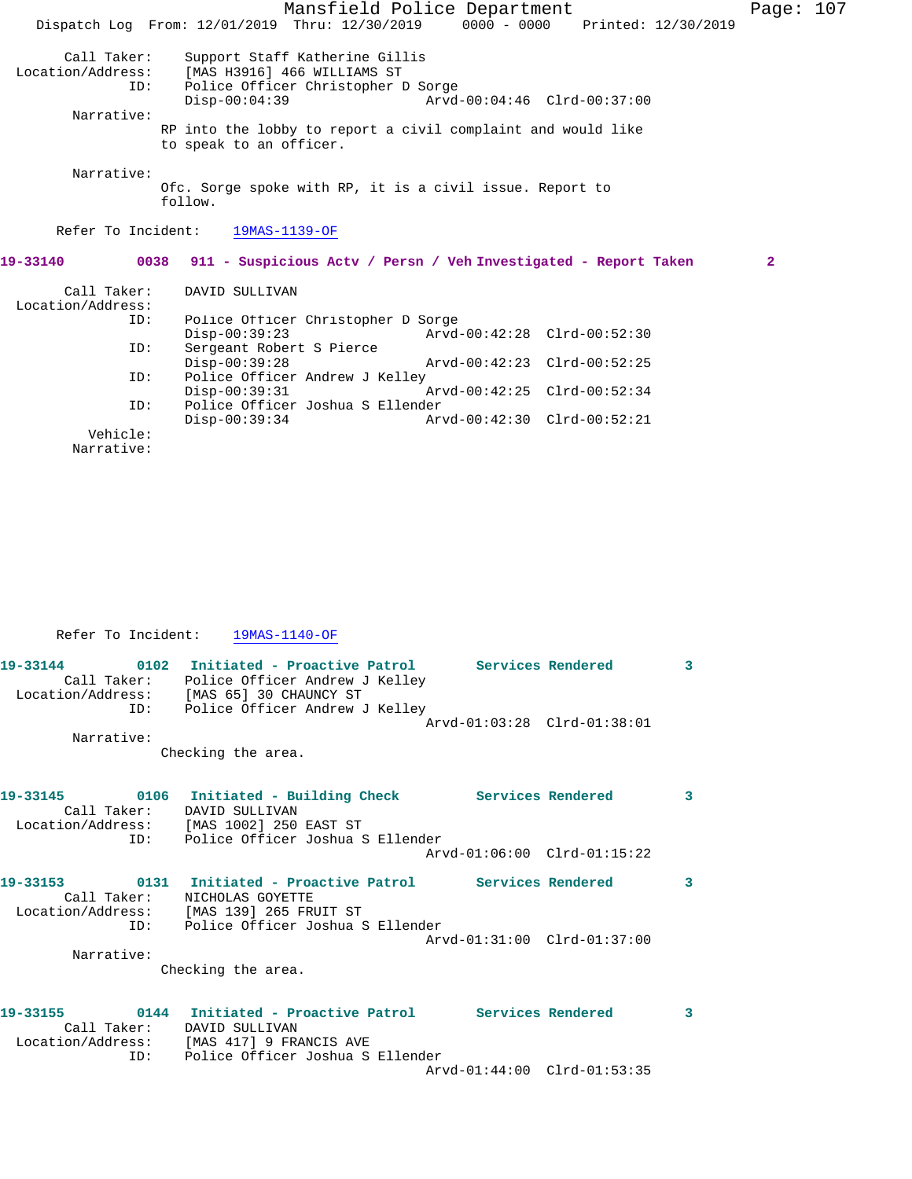|                                         |                                  |                                                                                                     | Mansfield Police Department<br>Dispatch Log From: 12/01/2019 Thru: 12/30/2019 0000 - 0000 Printed: 12/30/2019 |  | Page: 107    |  |
|-----------------------------------------|----------------------------------|-----------------------------------------------------------------------------------------------------|---------------------------------------------------------------------------------------------------------------|--|--------------|--|
| Call Taker:<br>Location/Address:<br>ID: | $Disp-00:04:39$                  | Support Staff Katherine Gillis<br>[MAS H3916] 466 WILLIAMS ST<br>Police Officer Christopher D Sorge | Arvd-00:04:46 Clrd-00:37:00                                                                                   |  |              |  |
| Narrative:                              |                                  |                                                                                                     |                                                                                                               |  |              |  |
|                                         | to speak to an officer.          |                                                                                                     | RP into the lobby to report a civil complaint and would like                                                  |  |              |  |
| Narrative:                              | follow.                          |                                                                                                     | Ofc. Sorge spoke with RP, it is a civil issue. Report to                                                      |  |              |  |
|                                         | Refer To Incident: 19MAS-1139-OF |                                                                                                     |                                                                                                               |  |              |  |
| 19-33140                                |                                  |                                                                                                     | 0038 911 - Suspicious Actv / Persn / Veh Investigated - Report Taken                                          |  | $\mathbf{2}$ |  |
| Call Taker:<br>Location/Address:        | DAVID SULLIVAN                   |                                                                                                     |                                                                                                               |  |              |  |
| ID:                                     |                                  | Police Officer Christopher D Sorge                                                                  |                                                                                                               |  |              |  |
|                                         | $Disp-00:39:23$                  |                                                                                                     | Arvd-00:42:28 Clrd-00:52:30                                                                                   |  |              |  |
| ID:                                     | Sergeant Robert S Pierce         |                                                                                                     |                                                                                                               |  |              |  |
|                                         | $Disp-00:39:28$                  |                                                                                                     | Arvd-00:42:23 Clrd-00:52:25                                                                                   |  |              |  |
| ID:                                     |                                  | Police Officer Andrew J Kelley                                                                      |                                                                                                               |  |              |  |
|                                         | $Disp-00:39:31$                  |                                                                                                     | Arvd-00:42:25 Clrd-00:52:34                                                                                   |  |              |  |
| ID:                                     |                                  | Police Officer Joshua S Ellender                                                                    |                                                                                                               |  |              |  |
|                                         | $Disp-00:39:34$                  |                                                                                                     | Arvd-00:42:30 Clrd-00:52:21                                                                                   |  |              |  |
| Vehicle:                                |                                  |                                                                                                     |                                                                                                               |  |              |  |

Narrative:

Refer To Incident:  $\frac{19MAS-1140-OF}{19MAS-1140}$ 

|            | Call Taker: Police Officer Andrew J Kelley<br>Location/Address: [MAS 65] 30 CHAUNCY ST                           |                             | 3 |
|------------|------------------------------------------------------------------------------------------------------------------|-----------------------------|---|
| Narrative: | ID: Police Officer Andrew J Kelley<br>Checking the area.                                                         | Arvd-01:03:28 Clrd-01:38:01 |   |
|            | Call Taker: DAVID SULLIVAN<br>Location/Address: [MAS 1002] 250 EAST ST<br>ID: Police Officer Joshua S Ellender   |                             | 3 |
|            |                                                                                                                  | Arvd-01:06:00 Clrd-01:15:22 |   |
|            | Call Taker: NICHOLAS GOYETTE<br>Location/Address: [MAS 139] 265 FRUIT ST<br>ID: Police Officer Joshua S Ellender |                             | 3 |
| Narrative: | Checking the area.                                                                                               |                             |   |
|            | Call Taker: DAVID SULLIVAN<br>Location/Address: [MAS 417] 9 FRANCIS AVE<br>ID: Police Officer Joshua S Ellender  |                             | 3 |
|            |                                                                                                                  | Arvd-01:44:00 Clrd-01:53:35 |   |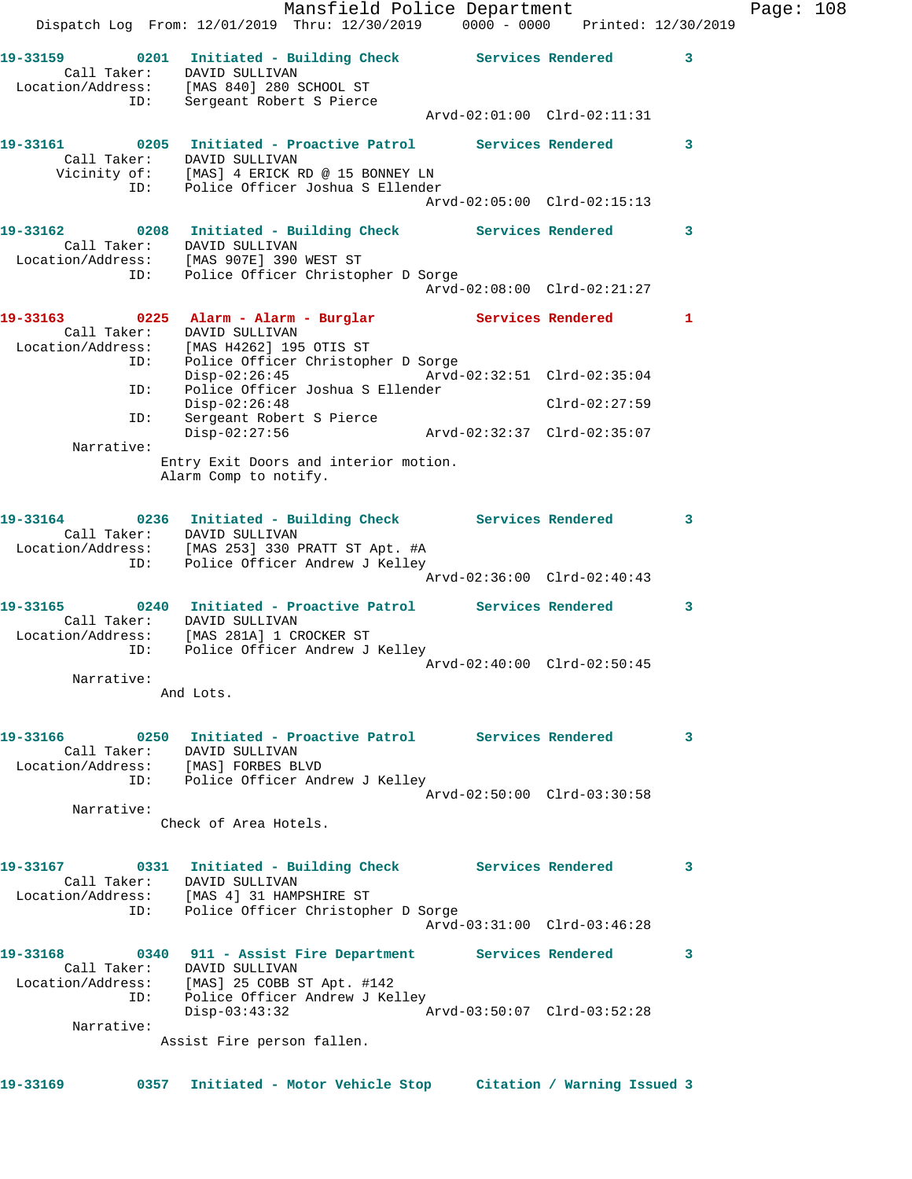|                                                                                                                                                                 |                              | Mansfield Police Department<br>Dispatch Log From: 12/01/2019 Thru: 12/30/2019 0000 - 0000 Printed: 12/30/2019 |                             |                             |   | Page: 108 |  |
|-----------------------------------------------------------------------------------------------------------------------------------------------------------------|------------------------------|---------------------------------------------------------------------------------------------------------------|-----------------------------|-----------------------------|---|-----------|--|
| 19-33159 0201 Initiated - Building Check Services Rendered 3<br>Call Taker: DAVID SULLIVAN<br>Location/Address: [MAS 840] 280 SCHOOL ST                         |                              |                                                                                                               |                             |                             |   |           |  |
|                                                                                                                                                                 | ID: Sergeant Robert S Pierce |                                                                                                               | Arvd-02:01:00 Clrd-02:11:31 |                             |   |           |  |
| 19-33161 0205 Initiated - Proactive Patrol Services Rendered 3                                                                                                  | Call Taker: DAVID SULLIVAN   | Vicinity of: [MAS] 4 ERICK RD @ 15 BONNEY LN<br>ID: Police Officer Joshua S Ellender                          |                             |                             |   |           |  |
| 19-33162 		 0208 Initiated - Building Check Services Rendered 3                                                                                                 |                              |                                                                                                               | Arvd-02:05:00 Clrd-02:15:13 |                             |   |           |  |
| Location/Address: [MAS 907E] 390 WEST ST<br>ID: Police Officer Christop                                                                                         | Call Taker: DAVID SULLIVAN   | Police Officer Christopher D Sorge                                                                            |                             |                             |   |           |  |
|                                                                                                                                                                 |                              |                                                                                                               | Arvd-02:08:00 Clrd-02:21:27 |                             |   |           |  |
| 19-33163 		 0225 Alarm - Alarm - Burglar Services Rendered 1<br>Call Taker: DAVID SULLIVAN<br>Location/Address: [MAS H4262] 195 OTIS ST<br>ID:                  |                              | Police Officer Christopher D Sorge                                                                            |                             |                             |   |           |  |
| ID:                                                                                                                                                             |                              | Disp-02:26:45 Arvd-02:32:51 Clrd-02:35:04<br>Police Officer Joshua S Ellender                                 |                             |                             |   |           |  |
| ID:                                                                                                                                                             | $Disp-02:26:48$              | Sergeant Robert S Pierce                                                                                      |                             | $Clrd-02:27:59$             |   |           |  |
| Narrative:                                                                                                                                                      | $Disp-02:27:56$              |                                                                                                               |                             |                             |   |           |  |
|                                                                                                                                                                 | Alarm Comp to notify.        | Entry Exit Doors and interior motion.                                                                         |                             |                             |   |           |  |
| 19-33164 0236 Initiated - Building Check Services Rendered 3<br>Location/Address: [MAS 253] 330 PRATT ST Apt. #A                                                | Call Taker: DAVID SULLIVAN   | ID: Police Officer Andrew J Kelley                                                                            |                             |                             |   |           |  |
|                                                                                                                                                                 |                              |                                                                                                               | Arvd-02:36:00 Clrd-02:40:43 |                             |   |           |  |
| 19-33165      0240  Initiated - Proactive Patrol     Services Rendered     3<br>Location/Address: [MAS 281A] 1 CROCKER ST<br>ID: Police Officer Andrew J Kelley | Call Taker: DAVID SULLIVAN   |                                                                                                               |                             |                             |   |           |  |
| Narrative:                                                                                                                                                      |                              |                                                                                                               | Arvd-02:40:00 Clrd-02:50:45 |                             |   |           |  |
|                                                                                                                                                                 | And Lots.                    |                                                                                                               |                             |                             |   |           |  |
| 19-33166<br>Call Taker: DAVID SULLIVAN<br>Location/Address: [MAS] FORBES BLVD                                                                                   |                              | 0250 Initiated - Proactive Patrol Services Rendered<br>ID: Police Officer Andrew J Kelley                     |                             |                             | 3 |           |  |
| Narrative:                                                                                                                                                      |                              |                                                                                                               | Arvd-02:50:00 Clrd-03:30:58 |                             |   |           |  |
|                                                                                                                                                                 | Check of Area Hotels.        |                                                                                                               |                             |                             |   |           |  |
| 19-33167<br>Location/Address: [MAS 4] 31 HAMPSHIRE ST<br>ID:                                                                                                    | Call Taker: DAVID SULLIVAN   | 0331 Initiated - Building Check Services Rendered<br>Police Officer Christopher D Sorge                       |                             |                             | 3 |           |  |
|                                                                                                                                                                 |                              |                                                                                                               | Arvd-03:31:00 Clrd-03:46:28 |                             |   |           |  |
| 19-33168<br>Location/Address: [MAS] 25 COBB ST Apt. #142<br>ID:                                                                                                 | Call Taker: DAVID SULLIVAN   | 0340 911 - Assist Fire Department Services Rendered<br>Police Officer Andrew J Kelley                         |                             |                             | 3 |           |  |
|                                                                                                                                                                 | $Disp-03:43:32$              |                                                                                                               |                             |                             |   |           |  |
| Narrative:                                                                                                                                                      | Assist Fire person fallen.   |                                                                                                               |                             |                             |   |           |  |
|                                                                                                                                                                 |                              |                                                                                                               |                             |                             |   |           |  |
| 19-33169<br>0357                                                                                                                                                |                              | Initiated - Motor Vehicle Stop                                                                                |                             | Citation / Warning Issued 3 |   |           |  |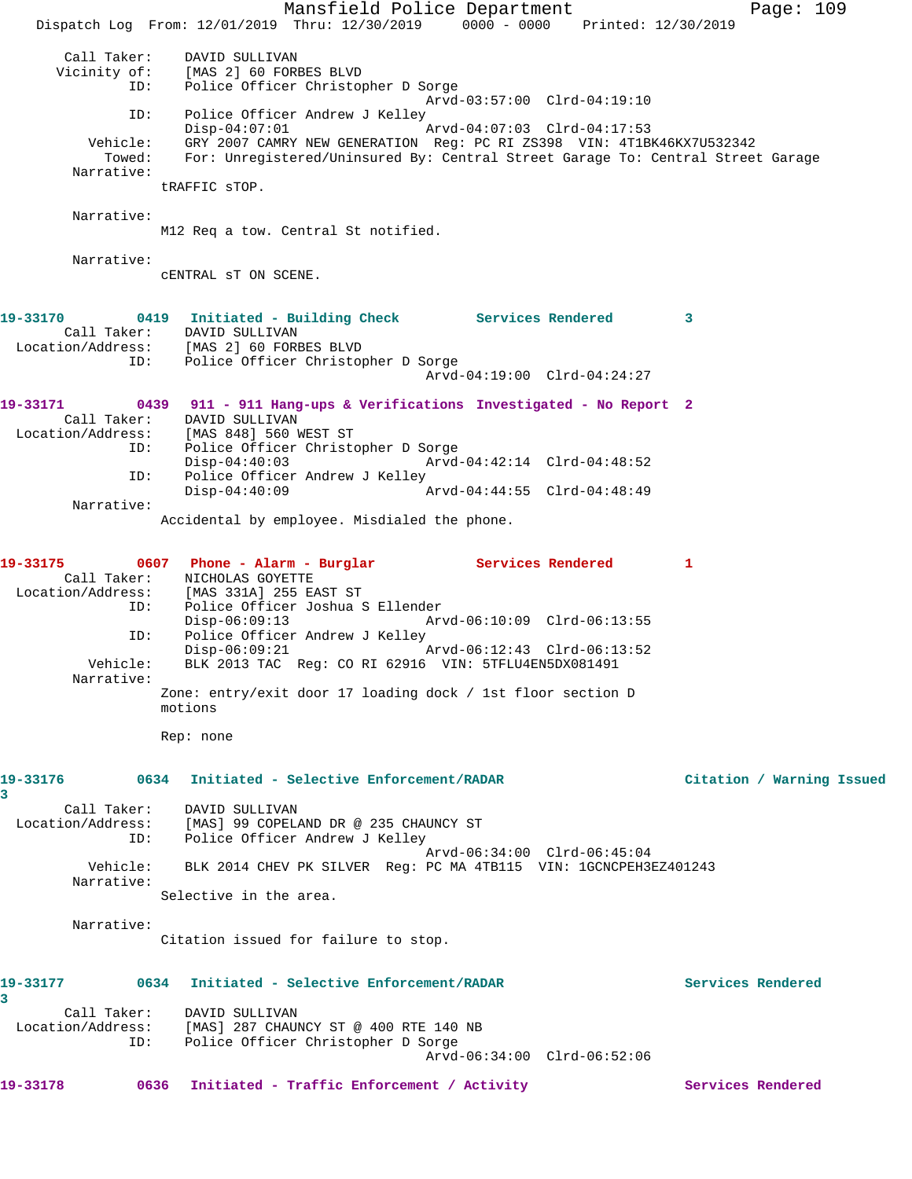Mansfield Police Department Page: 109 Dispatch Log From: 12/01/2019 Thru: 12/30/2019 0000 - 0000 Printed: 12/30/2019 Call Taker: DAVID SULLIVAN Vicinity of: [MAS 2] 60 FORBES BLVD ID: Police Officer Christopher D Sorge Arvd-03:57:00 Clrd-04:19:10 ID: Police Officer Andrew J Kelley Disp-04:07:01 Arvd-04:07:03 Clrd-04:17:53 Vehicle: GRY 2007 CAMRY NEW GENERATION Reg: PC RI ZS398 VIN: 4T1BK46KX7U532342<br>Towed: For: Unregistered/Uninsured By: Central Street Garage To: Central Street For: Unregistered/Uninsured By: Central Street Garage To: Central Street Garage Narrative: tRAFFIC sTOP. Narrative: M12 Req a tow. Central St notified. Narrative: cENTRAL sT ON SCENE. **19-33170 0419 Initiated - Building Check Services Rendered 3**  Call Taker: DAVID SULLIVAN Location/Address: [MAS 2] 60 FORBES BLVD ID: Police Officer Christopher D Sorge Arvd-04:19:00 Clrd-04:24:27 **19-33171 0439 911 - 911 Hang-ups & Verifications Investigated - No Report 2**  Call Taker: DAVID SULLIVAN<br>Location/Address: [MAS 848] 560 1 ess: [MAS 848] 560 WEST ST<br>ID: Police Officer Christo Police Officer Christopher D Sorge Disp-04:40:03 Arvd-04:42:14 Clrd-04:48:52 ID: Police Officer Andrew J Kelley Disp-04:40:09 Arvd-04:44:55 Clrd-04:48:49 Narrative: Accidental by employee. Misdialed the phone. 19-33175 0607 Phone - Alarm - Burglar Services Rendered 1 Call Taker: NICHOLAS GOYETTE Location/Address: [MAS 331A] 255 EAST ST ID: Police Officer Joshua S Ellender Disp-06:09:13 Arvd-06:10:09 Clrd-06:13:55<br>ID: Police Officer Andrew J Kelley ID: Police Officer Andrew J Kelley  $Disp-06:09:21$  Vehicle: BLK 2013 TAC Reg: CO RI 62916 VIN: 5TFLU4EN5DX081491 Narrative: Zone: entry/exit door 17 loading dock / 1st floor section D motions Rep: none **19-33176 0634 Initiated - Selective Enforcement/RADAR Citation / Warning Issued 3**  Call Taker: DAVID SULLIVAN Location/Address: [MAS] 99 COPELAND DR @ 235 CHAUNCY ST ID: Police Officer Andrew J Kelley Arvd-06:34:00 Clrd-06:45:04 Vehicle: BLK 2014 CHEV PK SILVER Reg: PC MA 4TB115 VIN: 1GCNCPEH3EZ401243 Narrative: Selective in the area. Narrative: Citation issued for failure to stop. **19-33177 0634 Initiated - Selective Enforcement/RADAR Services Rendered 3**  Call Taker: DAVID SULLIVAN Location/Address: [MAS] 287 CHAUNCY ST @ 400 RTE 140 NB ID: Police Officer Christopher D Sorge Arvd-06:34:00 Clrd-06:52:06 19-33178 0636 Initiated - Traffic Enforcement / Activity **Services Rendered**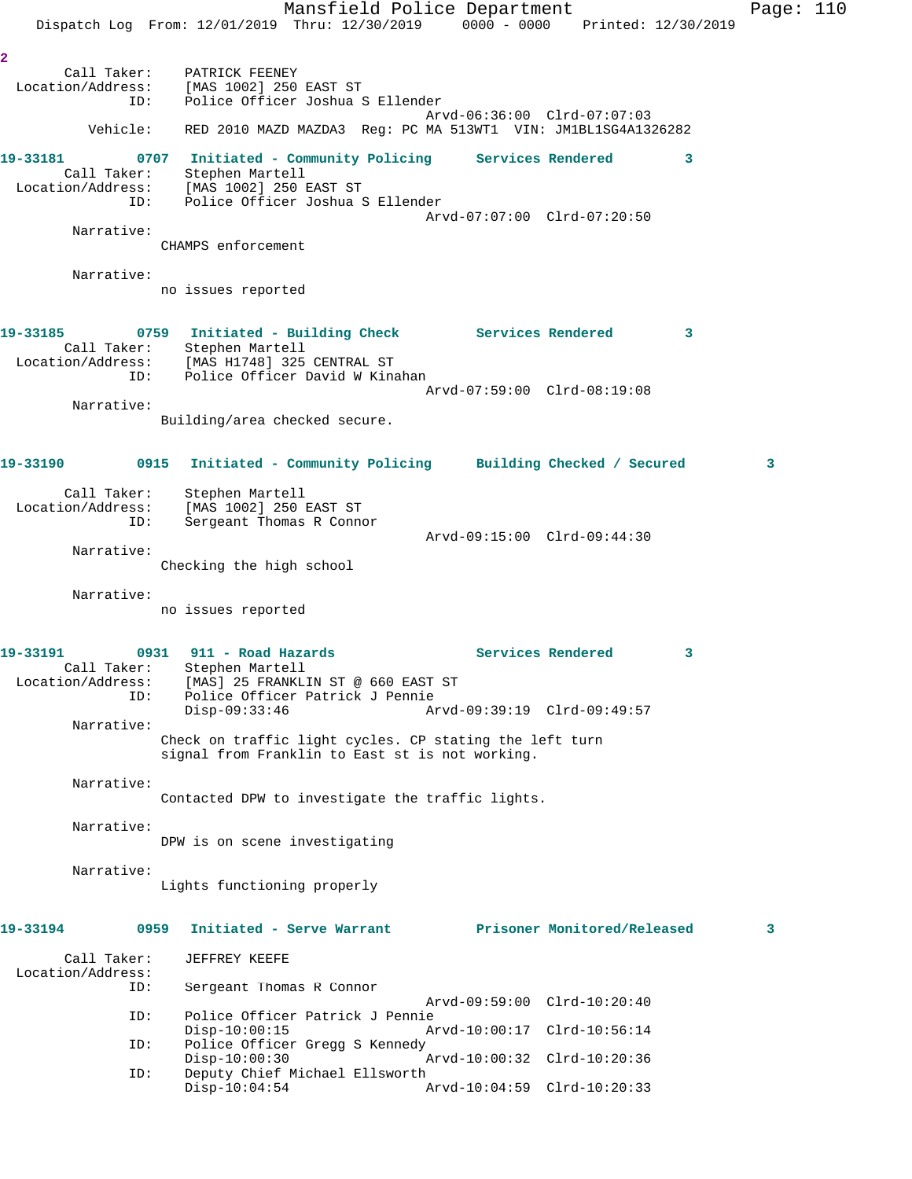Mansfield Police Department Page: 110 Dispatch Log From: 12/01/2019 Thru: 12/30/2019 0000 - 0000 Printed: 12/30/2019 **2**  Call Taker: PATRICK FEENEY Location/Address: [MAS 1002] 250 EAST ST ID: Police Officer Joshua S Ellender Arvd-06:36:00 Clrd-07:07:03 Vehicle: RED 2010 MAZD MAZDA3 Reg: PC MA 513WT1 VIN: JM1BL1SG4A1326282 **19-33181 0707 Initiated - Community Policing Services Rendered 3**  Call Taker: Stephen Martell Location/Address: [MAS 1002] 250 EAST ST ID: Police Officer Joshua S Ellender Arvd-07:07:00 Clrd-07:20:50 Narrative: CHAMPS enforcement Narrative: no issues reported **19-33185 0759 Initiated - Building Check Services Rendered 3**  Call Taker: Stephen Martell Location/Address: [MAS H1748] 325 CENTRAL ST ID: Police Officer David W Kinahan Arvd-07:59:00 Clrd-08:19:08 Narrative: Building/area checked secure. **19-33190 0915 Initiated - Community Policing Building Checked / Secured 3** Call Taker: Stephen Martell Location/Address: [MAS 1002] 250 EAST ST ID: Sergeant Thomas R Connor Arvd-09:15:00 Clrd-09:44:30 Narrative: Checking the high school Narrative: no issues reported 19-33191 0931 911 - Road Hazards **Services Rendered** 3 Call Taker: Stephen Martell Location/Address: [MAS] 25 FRANKLIN ST @ 660 EAST ST ID: Police Officer Patrick J Pennie Disp-09:33:46 Arvd-09:39:19 Clrd-09:49:57 Narrative: Check on traffic light cycles. CP stating the left turn signal from Franklin to East st is not working. Narrative: Contacted DPW to investigate the traffic lights. Narrative: DPW is on scene investigating Narrative: Lights functioning properly **19-33194 0959 Initiated - Serve Warrant Prisoner Monitored/Released 3** Call Taker: JEFFREY KEEFE Location/Address:<br>ID: Sergeant Thomas R Connor Arvd-09:59:00 Clrd-10:20:40<br>ID: Police Officer Patrick J Pennie Police Officer Patrick J Pennie<br>Disp-10:00:15 Ar Disp-10:00:15 Arvd-10:00:17 Clrd-10:56:14 ID: Police Officer Gregg S Kennedy Disp-10:00:30 Arvd-10:00:32 Clrd-10:20:36<br>ID: Deputy Chief Michael Ellsworth Deputy Chief Michael Ellsworth<br>Disp-10:04:54 A Disp-10:04:54 Arvd-10:04:59 Clrd-10:20:33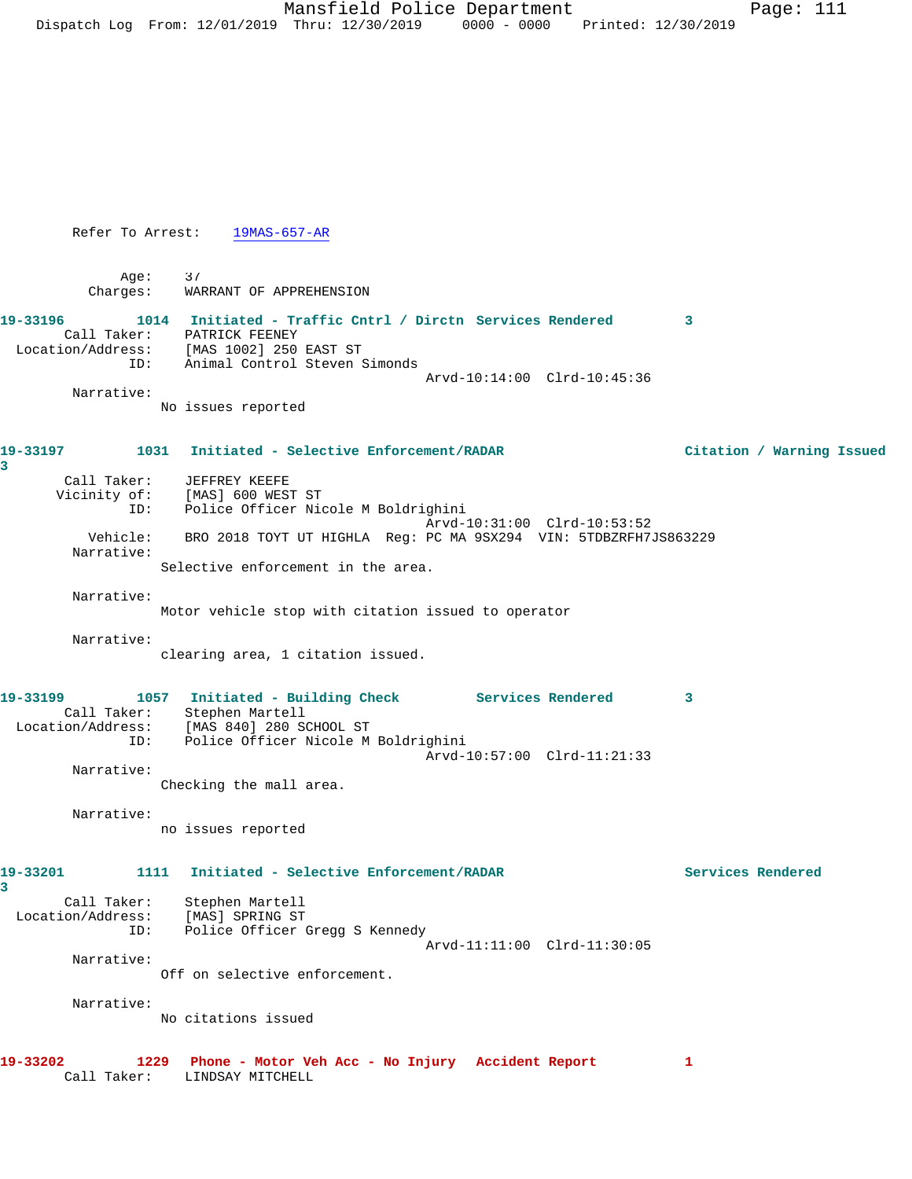Refer To Arrest: 19MAS-657-AR

 Age: 37 Charges: WARRANT OF APPREHENSION

**19-33196 1014 Initiated - Traffic Cntrl / Dirctn Services Rendered 3**  Call Taker: PATRICK FEENEY Location/Address: [MAS 1002] 250 EAST ST ID: Animal Control Steven Simonds Arvd-10:14:00 Clrd-10:45:36

Narrative:

**3** 

No issues reported

**19-33197 1031 Initiated - Selective Enforcement/RADAR Citation / Warning Issued**

| Call Taker:<br>Vicinity of: | JEFFREY KEEFE<br>[MAS] 600 WEST ST                               |
|-----------------------------|------------------------------------------------------------------|
| ID:                         | Police Officer Nicole M Boldrighini                              |
|                             | Arvd-10:31:00 Clrd-10:53:52                                      |
| Vehicle:                    | BRO 2018 TOYT UT HIGHLA Req: PC MA 9SX294 VIN: 5TDBZRFH7JS863229 |
| Narrative:                  |                                                                  |
|                             | Selective enforcement in the area.                               |

 Narrative: Motor vehicle stop with citation issued to operator

Narrative:

clearing area, 1 citation issued.

| 19-33199          | 1057        | Initiated - Building Check          | Services Rendered           |  |
|-------------------|-------------|-------------------------------------|-----------------------------|--|
|                   | Call Taker: | Stephen Martell                     |                             |  |
| Location/Address: |             | [MAS 840] 280 SCHOOL ST             |                             |  |
|                   | ID:         | Police Officer Nicole M Boldrighini |                             |  |
|                   |             |                                     | Arvd-10:57:00 Clrd-11:21:33 |  |
|                   | Narrative:  |                                     |                             |  |

Checking the mall area.

Narrative:

no issues reported

**19-33201 1111 Initiated - Selective Enforcement/RADAR Services Rendered**

**3**  Call Taker: Stephen Martell Location/Address: [MAS] SPRING ST ID: Police Officer Gregg S Kennedy Arvd-11:11:00 Clrd-11:30:05 Narrative: Off on selective enforcement.

Narrative:

No citations issued

```
19-33202 1229 Phone - Motor Veh Acc - No Injury Accident Report 1 
Call Taker: LINDSAY MITCHELL
```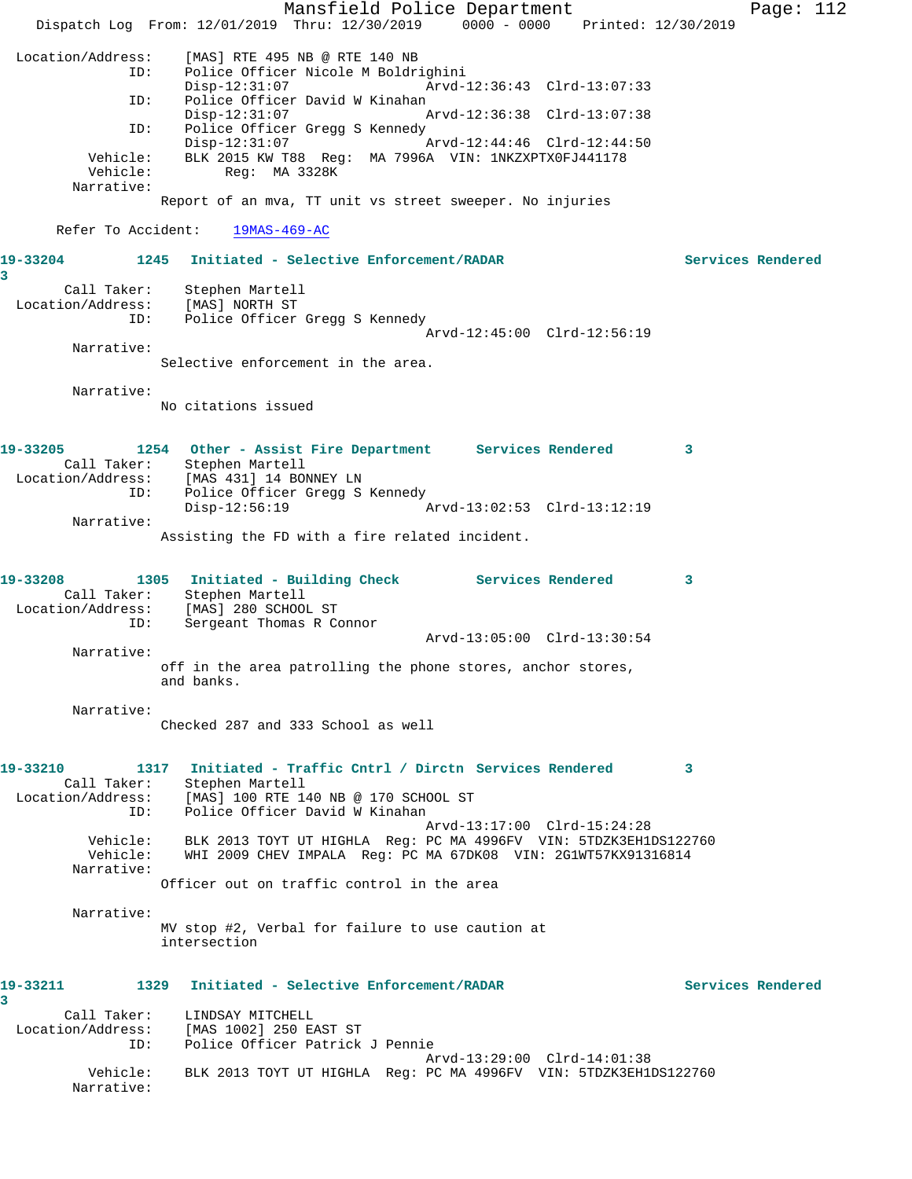Mansfield Police Department Form Page: 112 Dispatch Log From: 12/01/2019 Thru: 12/30/2019 0000 - 0000 Printed: 12/30/2019 Location/Address: [MAS] RTE 495 NB @ RTE 140 NB ID: Police Officer Nicole M Boldrighini Arvd-12:36:43 Clrd-13:07:33 ID: Police Officer David W Kinahan<br>Disp-12:31:07 A Arvd-12:36:38 Clrd-13:07:38 ID: Police Officer Gregg S Kennedy Disp-12:31:07 Arvd-12:44:46 Clrd-12:44:50 Vehicle: BLK 2015 KW T88 Reg: MA 7996A VIN: 1NKZXPTX0FJ441178 Vehicle: Reg: MA 3328K Narrative: Report of an mva, TT unit vs street sweeper. No injuries Refer To Accident: 19MAS-469-AC **19-33204 1245 Initiated - Selective Enforcement/RADAR Services Rendered 3**  Call Taker: Stephen Martell Location/Address: [MAS] NORTH ST ID: Police Officer Gregg S Kennedy Arvd-12:45:00 Clrd-12:56:19 Narrative: Selective enforcement in the area. Narrative: No citations issued **19-33205 1254 Other - Assist Fire Department Services Rendered 3**  Call Taker: Stephen Martell Location/Address: [MAS 431] 14 BONNEY LN ID: Police Officer Gregg S Kennedy Disp-12:56:19 Arvd-13:02:53 Clrd-13:12:19 Narrative: Assisting the FD with a fire related incident. **19-33208 1305 Initiated - Building Check Services Rendered 3**  Call Taker: Stephen Martell Location/Address: [MAS] 280 SCHOOL ST ID: Sergeant Thomas R Connor Arvd-13:05:00 Clrd-13:30:54 Narrative: off in the area patrolling the phone stores, anchor stores, and banks. Narrative: Checked 287 and 333 School as well **19-33210 1317 Initiated - Traffic Cntrl / Dirctn Services Rendered 3**  Call Taker: Stephen Martell Location/Address: [MAS] 100 RTE 140 NB @ 170 SCHOOL ST ID: Police Officer David W Kinahan Arvd-13:17:00 Clrd-15:24:28 Vehicle: BLK 2013 TOYT UT HIGHLA Reg: PC MA 4996FV VIN: 5TDZK3EH1DS122760 Vehicle: WHI 2009 CHEV IMPALA Reg: PC MA 67DK08 VIN: 2G1WT57KX91316814 Narrative: Officer out on traffic control in the area Narrative: MV stop #2, Verbal for failure to use caution at intersection **19-33211 1329 Initiated - Selective Enforcement/RADAR Services Rendered 3**  Call Taker: LINDSAY MITCHELL Location/Address: [MAS 1002] 250 EAST ST ID: Police Officer Patrick J Pennie Arvd-13:29:00 Clrd-14:01:38 Vehicle: BLK 2013 TOYT UT HIGHLA Reg: PC MA 4996FV VIN: 5TDZK3EH1DS122760 Narrative: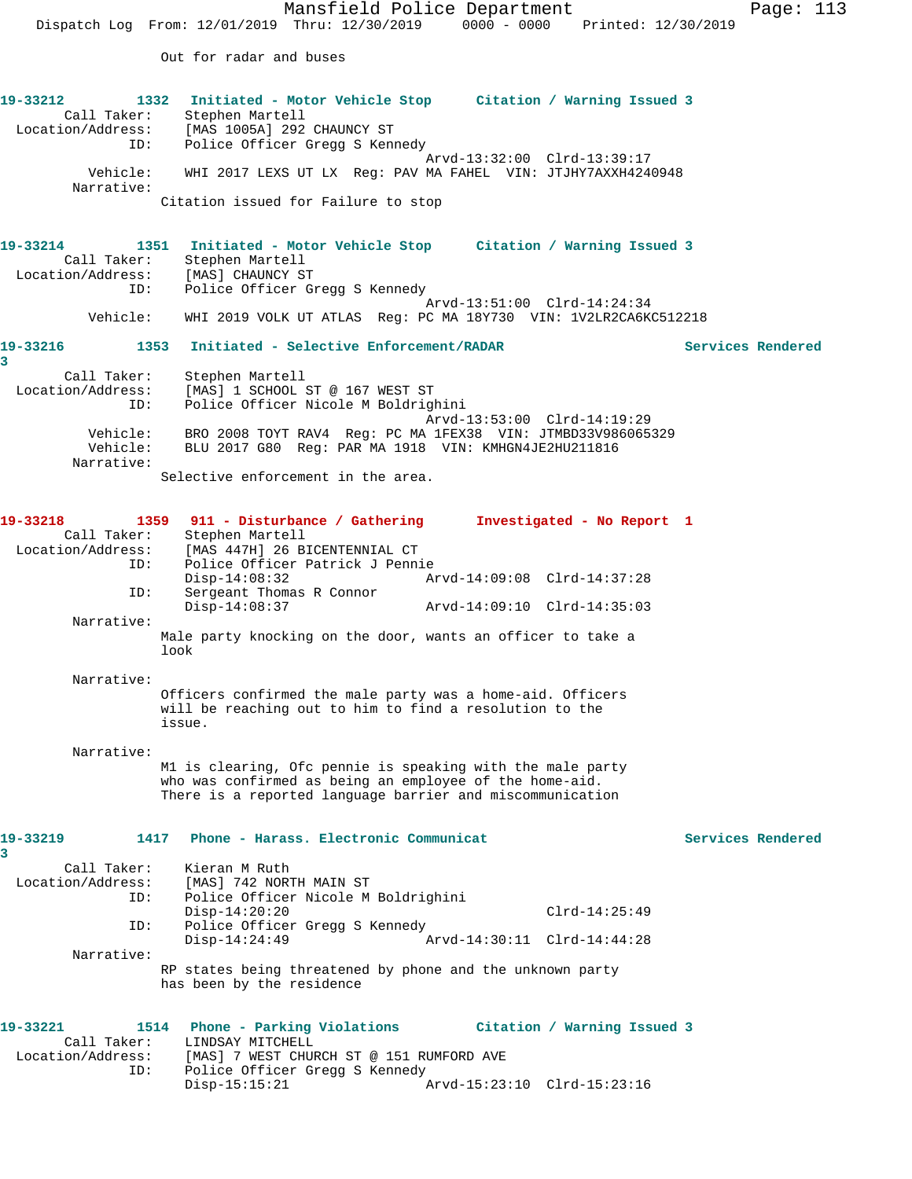Mansfield Police Department Page: 113 Dispatch Log From: 12/01/2019 Thru: 12/30/2019 0000 - 0000 Printed: 12/30/2019 Out for radar and buses **19-33212 1332 Initiated - Motor Vehicle Stop Citation / Warning Issued 3**  Call Taker: Stephen Martell Location/Address: [MAS 1005A] 292 CHAUNCY ST ID: Police Officer Gregg S Kennedy Arvd-13:32:00 Clrd-13:39:17 Vehicle: WHI 2017 LEXS UT LX Reg: PAV MA FAHEL VIN: JTJHY7AXXH4240948 Narrative: Citation issued for Failure to stop **19-33214 1351 Initiated - Motor Vehicle Stop Citation / Warning Issued 3**  Call Taker: Stephen Martell Location/Address: [MAS] CHAUNCY ST ID: Police Officer Gregg S Kennedy Arvd-13:51:00 Clrd-14:24:34 Vehicle: WHI 2019 VOLK UT ATLAS Reg: PC MA 18Y730 VIN: 1V2LR2CA6KC512218 **19-33216 1353 Initiated - Selective Enforcement/RADAR Services Rendered 3**  Call Taker: Stephen Martell<br>Location/Address: [MAS] 1 SCHOOL [MAS] 1 SCHOOL ST @ 167 WEST ST ID: Police Officer Nicole M Boldrighini Arvd-13:53:00 Clrd-14:19:29 Vehicle: BRO 2008 TOYT RAV4 Reg: PC MA 1FEX38 VIN: JTMBD33V986065329 Vehicle: BLU 2017 G80 Reg: PAR MA 1918 VIN: KMHGN4JE2HU211816 Narrative: Selective enforcement in the area. **19-33218 1359 911 - Disturbance / Gathering Investigated - No Report 1**  Call Taker: Stephen Martell<br>Location/Address: [MAS 447H] 26 B ESS: [MAS 447H] 26 BICENTENNIAL CT<br>ID: Police Officer Patrick J Penni Police Officer Patrick J Pennie<br>Disp-14:08:32 Ar Disp-14:08:32 Arvd-14:09:08 Clrd-14:37:28 ID: Sergeant Thomas R Connor Disp-14:08:37 Arvd-14:09:10 Clrd-14:35:03 Narrative: Male party knocking on the door, wants an officer to take a look Narrative: Officers confirmed the male party was a home-aid. Officers will be reaching out to him to find a resolution to the issue. Narrative: M1 is clearing, Ofc pennie is speaking with the male party who was confirmed as being an employee of the home-aid. There is a reported language barrier and miscommunication **19-33219 1417 Phone - Harass. Electronic Communicat Services Rendered 3**  Call Taker: Kieran M Ruth Location/Address: [MAS] 742 NORTH MAIN ST ID: Police Officer Nicole M Boldrighini Disp-14:20:20 Clrd-14:25:49 ID: Police Officer Gregg S Kennedy Disp-14:24:49 Arvd-14:30:11 Clrd-14:44:28 Narrative: RP states being threatened by phone and the unknown party has been by the residence **19-33221 1514 Phone - Parking Violations Citation / Warning Issued 3**  Call Taker: LINDSAY MITCHELL<br>Location/Address: [MAS] 7 WEST CHUI [MAS] 7 WEST CHURCH ST @ 151 RUMFORD AVE ID: Police Officer Gregg S Kennedy Disp-15:15:21 Arvd-15:23:10 Clrd-15:23:16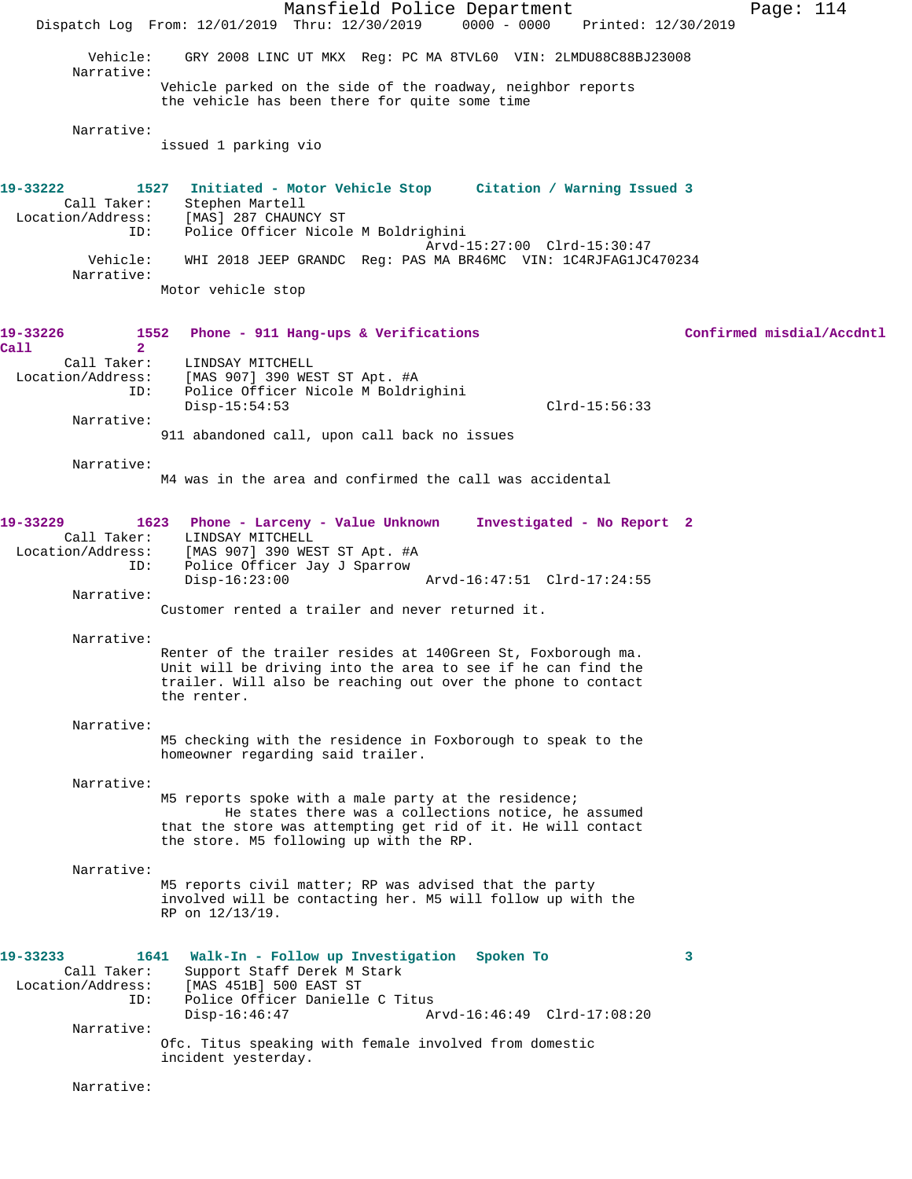Mansfield Police Department Page: 114 Dispatch Log From: 12/01/2019 Thru: 12/30/2019 0000 - 0000 Printed: 12/30/2019 Vehicle: GRY 2008 LINC UT MKX Reg: PC MA 8TVL60 VIN: 2LMDU88C88BJ23008 Narrative: Vehicle parked on the side of the roadway, neighbor reports the vehicle has been there for quite some time Narrative: issued 1 parking vio **19-33222 1527 Initiated - Motor Vehicle Stop Citation / Warning Issued 3**  Call Taker: Stephen Martell Location/Address: [MAS] 287 CHAUNCY ST ID: Police Officer Nicole M Boldrighini Arvd-15:27:00 Clrd-15:30:47 Vehicle: WHI 2018 JEEP GRANDC Reg: PAS MA BR46MC VIN: 1C4RJFAG1JC470234 Narrative: Motor vehicle stop **19-33226 1552 Phone - 911 Hang-ups & Verifications Confirmed misdial/Accdntl Call 2**  Call Taker: LINDSAY MITCHELL Location/Address: [MAS 907] 390 WEST ST Apt. #A ID: Police Officer Nicole M Boldrighini Disp-15:54:53 Clrd-15:56:33 Narrative: 911 abandoned call, upon call back no issues Narrative: M4 was in the area and confirmed the call was accidental **19-33229 1623 Phone - Larceny - Value Unknown Investigated - No Report 2**  Call Taker: LINDSAY MITCHELL Location/Address: [MAS 907] 390 WEST ST Apt. #A Police Officer Jay J Sparrow Disp-16:23:00 Arvd-16:47:51 Clrd-17:24:55 Narrative: Customer rented a trailer and never returned it. Narrative: Renter of the trailer resides at 140Green St, Foxborough ma. Unit will be driving into the area to see if he can find the trailer. Will also be reaching out over the phone to contact the renter. Narrative: M5 checking with the residence in Foxborough to speak to the homeowner regarding said trailer. Narrative: M5 reports spoke with a male party at the residence; He states there was a collections notice, he assumed that the store was attempting get rid of it. He will contact the store. M5 following up with the RP. Narrative: M5 reports civil matter; RP was advised that the party involved will be contacting her. M5 will follow up with the RP on 12/13/19. **19-33233 1641 Walk-In - Follow up Investigation Spoken To 3**  Call Taker: Support Staff Derek M Stark Location/Address: [MAS 451B] 500 EAST ST ID: Police Officer Danielle C Titus<br>Disp-16:46:47 Ar Disp-16:46:47 Arvd-16:46:49 Clrd-17:08:20 Narrative: Ofc. Titus speaking with female involved from domestic incident yesterday. Narrative: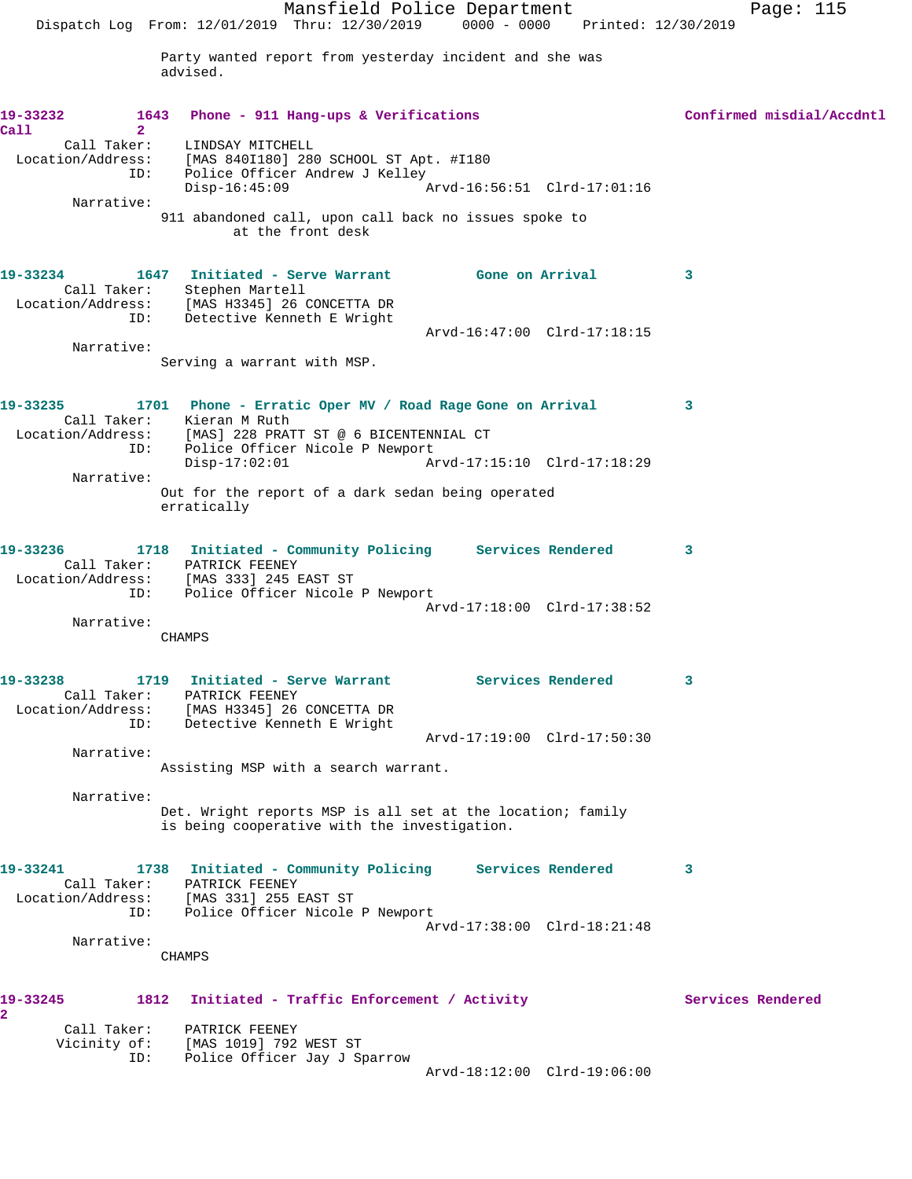Mansfield Police Department Page: 115 Dispatch Log From: 12/01/2019 Thru: 12/30/2019 0000 - 0000 Printed: 12/30/2019 Party wanted report from yesterday incident and she was advised. **19-33232 1643 Phone - 911 Hang-ups & Verifications Confirmed misdial/Accdntl Call 2**  Call Taker: LINDSAY MITCHELL Location/Address: [MAS 840I180] 280 SCHOOL ST Apt. #I180 ID: Police Officer Andrew J Kelley Disp-16:45:09 Arvd-16:56:51 Clrd-17:01:16 Narrative: 911 abandoned call, upon call back no issues spoke to at the front desk **19-33234 1647 Initiated - Serve Warrant Gone on Arrival 3**  Call Taker: Stephen Martell Location/Address: [MAS H3345] 26 CONCETTA DR ID: Detective Kenneth E Wright Arvd-16:47:00 Clrd-17:18:15 Narrative: Serving a warrant with MSP. **19-33235 1701 Phone - Erratic Oper MV / Road Rage Gone on Arrival 3**  Call Taker: Kieran M Ruth Location/Address: [MAS] 228 PRATT ST @ 6 BICENTENNIAL CT ID: Police Officer Nicole P Newport<br>Disp-17:02:01 Ar Disp-17:02:01 Arvd-17:15:10 Clrd-17:18:29 Narrative: Out for the report of a dark sedan being operated erratically **19-33236 1718 Initiated - Community Policing Services Rendered 3**  Call Taker: PATRICK FEENEY Location/Address: [MAS 333] 245 EAST ST ID: Police Officer Nicole P Newport Arvd-17:18:00 Clrd-17:38:52 Narrative: CHAMPS 19-33238 1719 Initiated - Serve Warrant Services Rendered 3 Call Taker: PATRICK FEENEY Location/Address: [MAS H3345] 26 CONCETTA DR ID: Detective Kenneth E Wright Arvd-17:19:00 Clrd-17:50:30 Narrative: Assisting MSP with a search warrant. Narrative: Det. Wright reports MSP is all set at the location; family is being cooperative with the investigation. **19-33241 1738 Initiated - Community Policing Services Rendered 3**  Call Taker: PATRICK FEENEY Location/Address: [MAS 331] 255 EAST ST ID: Police Officer Nicole P Newport Arvd-17:38:00 Clrd-18:21:48 Narrative: CHAMPS 19-33245 1812 Initiated - Traffic Enforcement / Activity **Services Rendered 2**  Call Taker: PATRICK FEENEY Vicinity of: [MAS 1019] 792 WEST ST ID: Police Officer Jay J Sparrow Arvd-18:12:00 Clrd-19:06:00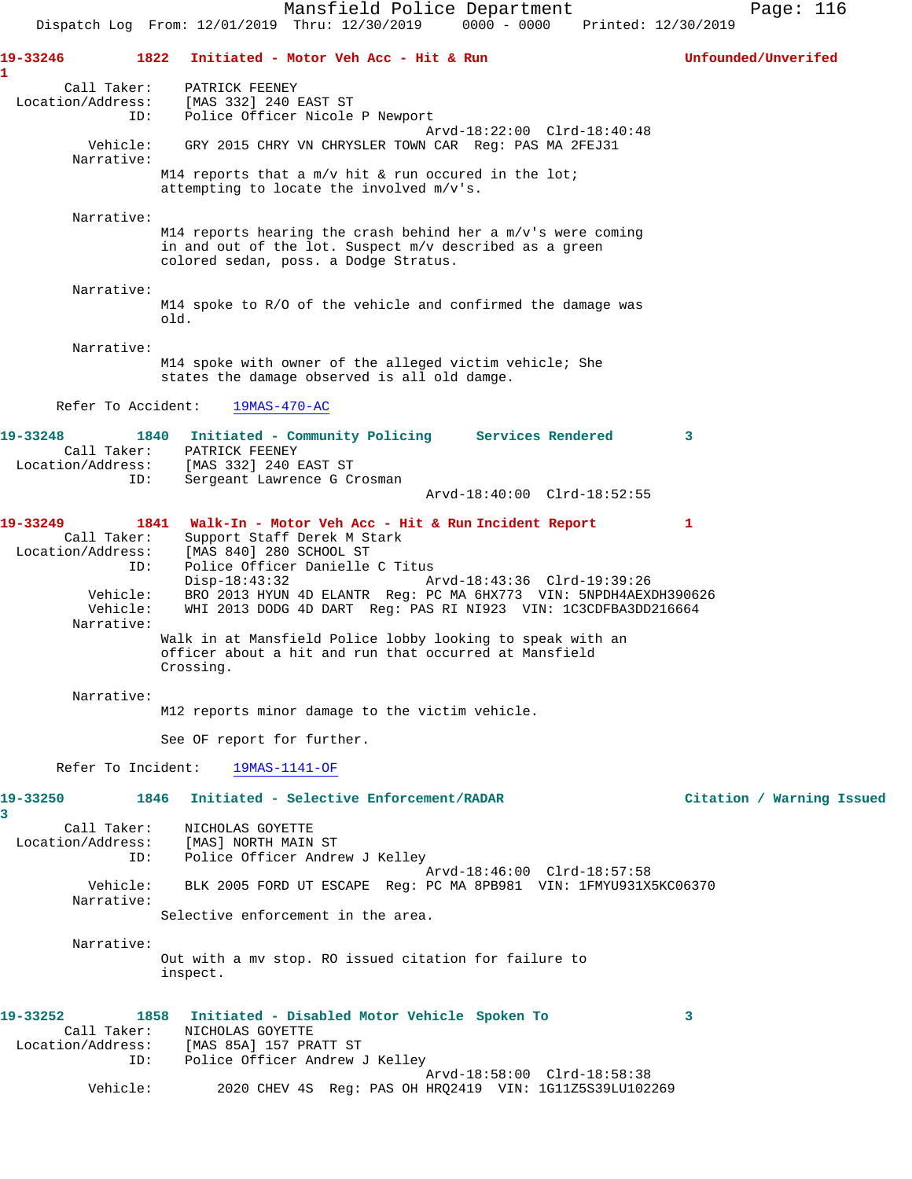Mansfield Police Department Page: 116 Dispatch Log From: 12/01/2019 Thru: 12/30/2019 0000 - 0000 Printed: 12/30/2019 **19-33246 1822 Initiated - Motor Veh Acc - Hit & Run Unfounded/Unverifed 1**  Call Taker: PATRICK FEENEY Location/Address: [MAS 332] 240 EAST ST ID: Police Officer Nicole P Newport Arvd-18:22:00 Clrd-18:40:48 Vehicle: GRY 2015 CHRY VN CHRYSLER TOWN CAR Reg: PAS MA 2FEJ31 Narrative: M14 reports that a m/v hit & run occured in the lot; attempting to locate the involved m/v's. Narrative: M14 reports hearing the crash behind her a  $m/v$ 's were coming in and out of the lot. Suspect m/v described as a green colored sedan, poss. a Dodge Stratus. Narrative: M14 spoke to R/O of the vehicle and confirmed the damage was old. Narrative: M14 spoke with owner of the alleged victim vehicle; She states the damage observed is all old damge. Refer To Accident: 19MAS-470-AC **19-33248 1840 Initiated - Community Policing Services Rendered 3**  Call Taker: PATRICK FEENEY Location/Address: [MAS 332] 240 EAST ST ID: Sergeant Lawrence G Crosman Arvd-18:40:00 Clrd-18:52:55 **19-33249 1841 Walk-In - Motor Veh Acc - Hit & Run Incident Report 1**  Call Taker: Support Staff Derek M Stark Location/Address: [MAS 840] 280 SCHOOL ST<br>ID: Police Officer Danielle Police Officer Danielle C Titus<br>Disp-18:43:32 A Disp-18:43:32 Arvd-18:43:36 Clrd-19:39:26 Vehicle: BRO 2013 HYUN 4D ELANTR Reg: PC MA 6HX773 VIN: 5NPDH4AEXDH390626 Vehicle: EXP 2013 DODG 4D DART Reg: PAS RI NI923 VIN: 1C3CDFBA3DD216664 Narrative: Walk in at Mansfield Police lobby looking to speak with an officer about a hit and run that occurred at Mansfield Crossing. Narrative: M12 reports minor damage to the victim vehicle. See OF report for further. Refer To Incident: 19MAS-1141-OF **19-33250 1846 Initiated - Selective Enforcement/RADAR Citation / Warning Issued 3**  Call Taker: NICHOLAS GOYETTE Location/Address: [MAS] NORTH MAIN ST ID: Police Officer Andrew J Kelley Arvd-18:46:00 Clrd-18:57:58 Vehicle: BLK 2005 FORD UT ESCAPE Reg: PC MA 8PB981 VIN: 1FMYU931X5KC06370 Narrative: Selective enforcement in the area. Narrative: Out with a mv stop. RO issued citation for failure to inspect. **19-33252 1858 Initiated - Disabled Motor Vehicle Spoken To 3**  Call Taker: NICHOLAS GOYETTE Location/Address: [MAS 85A] 157 PRATT ST ID: Police Officer Andrew J Kelley Arvd-18:58:00 Clrd-18:58:38<br>Vehicle: 2020 CHEV 4S Req: PAS OH HRQ2419 VIN: 1G11Z5S39LU102 2020 CHEV 4S Reg: PAS OH HRQ2419 VIN: 1G11Z5S39LU102269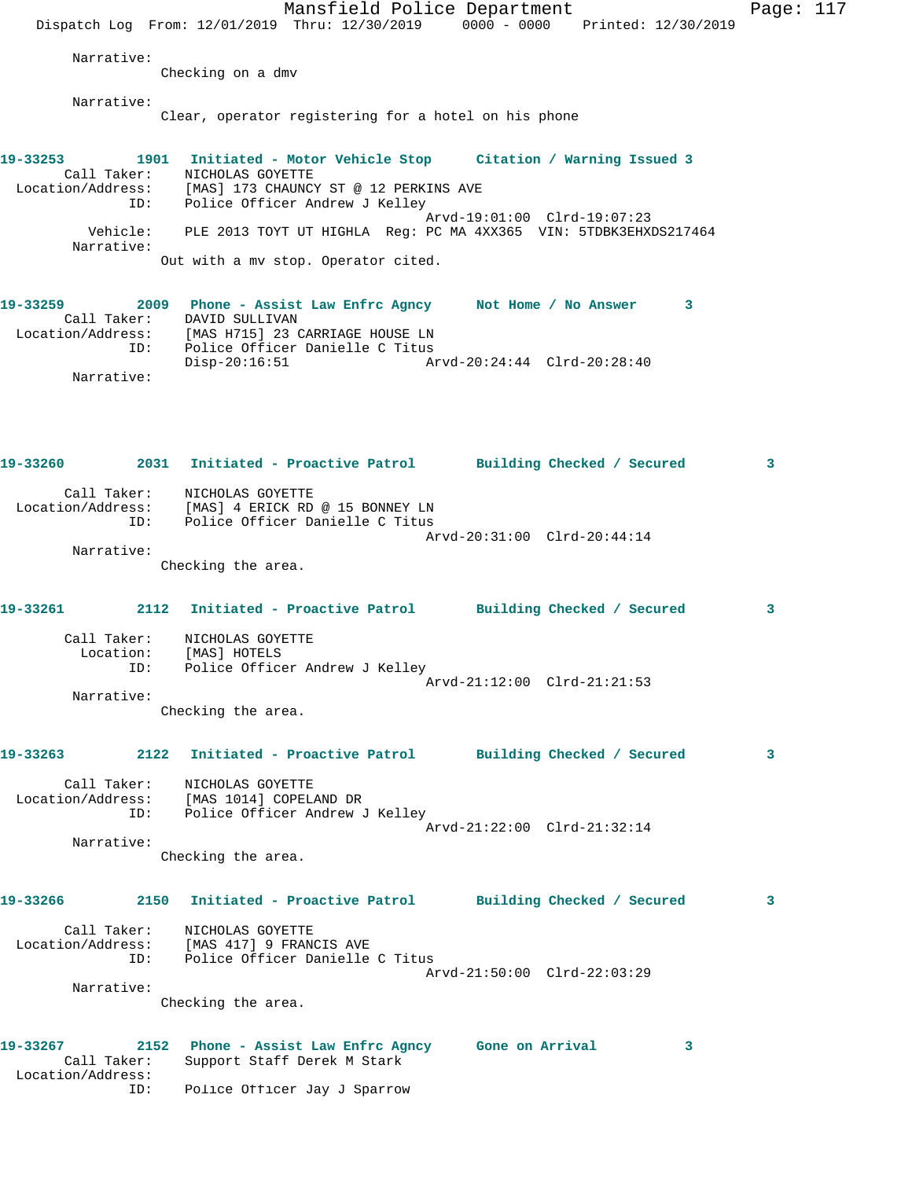Mansfield Police Department Page: 117 Dispatch Log From: 12/01/2019 Thru: 12/30/2019 0000 - 0000 Printed: 12/30/2019 Narrative: Checking on a dmv Narrative: Clear, operator registering for a hotel on his phone **19-33253 1901 Initiated - Motor Vehicle Stop Citation / Warning Issued 3**  Call Taker: NICHOLAS GOYETTE Location/Address: [MAS] 173 CHAUNCY ST @ 12 PERKINS AVE ID: Police Officer Andrew J Kelley Arvd-19:01:00 Clrd-19:07:23 Vehicle: PLE 2013 TOYT UT HIGHLA Reg: PC MA 4XX365 VIN: 5TDBK3EHXDS217464 Narrative: Out with a mv stop. Operator cited. **19-33259 2009 Phone - Assist Law Enfrc Agncy Not Home / No Answer 3**  Call Taker: DAVID SULLIVAN Location/Address: [MAS H715] 23 CARRIAGE HOUSE LN ID: Police Officer Danielle C Titus Disp-20:16:51 Arvd-20:24:44 Clrd-20:28:40 Narrative: **19-33260 2031 Initiated - Proactive Patrol Building Checked / Secured 3** Call Taker: NICHOLAS GOYETTE Location/Address: [MAS] 4 ERICK RD @ 15 BONNEY LN ID: Police Officer Danielle C Titus Arvd-20:31:00 Clrd-20:44:14 Narrative: Checking the area. **19-33261 2112 Initiated - Proactive Patrol Building Checked / Secured 3** Call Taker: NICHOLAS GOYETTE Location: [MAS] HOTELS ID: Police Officer Andrew J Kelley Arvd-21:12:00 Clrd-21:21:53 Narrative: Checking the area. **19-33263 2122 Initiated - Proactive Patrol Building Checked / Secured 3** Call Taker: NICHOLAS GOYETTE Location/Address: [MAS 1014] COPELAND DR ID: Police Officer Andrew J Kelley Arvd-21:22:00 Clrd-21:32:14 Narrative: Checking the area. **19-33266 2150 Initiated - Proactive Patrol Building Checked / Secured 3** Call Taker: NICHOLAS GOYETTE Location/Address: [MAS 417] 9 FRANCIS AVE ID: Police Officer Danielle C Titus Arvd-21:50:00 Clrd-22:03:29 Narrative: Checking the area. **19-33267 2152 Phone - Assist Law Enfrc Agncy Gone on Arrival 3**  Call Taker: Support Staff Derek M Stark Location/Address: ID: Police Officer Jay J Sparrow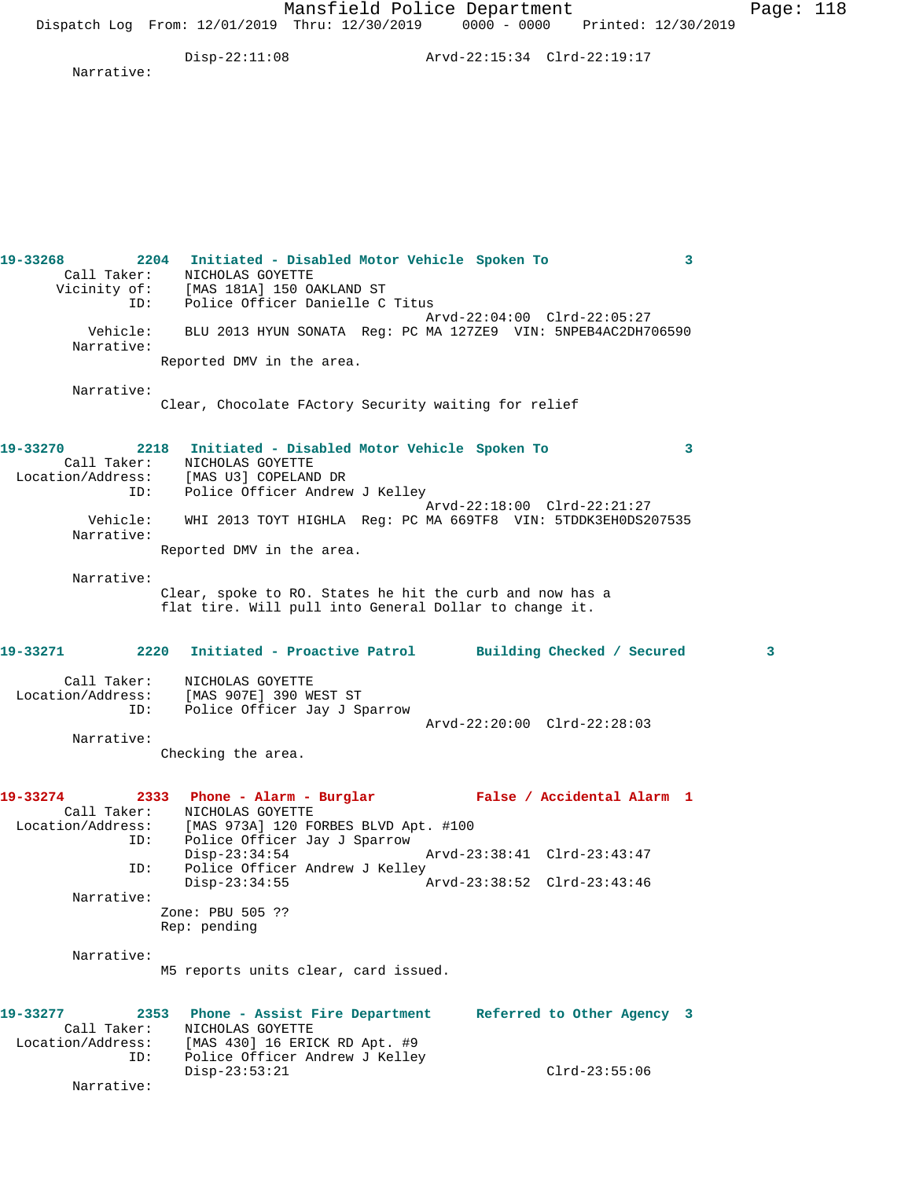Mansfield Police Department Page: 118 Dispatch Log From: 12/01/2019 Thru: 12/30/2019 0000 - 0000 Printed: 12/30/2019 Disp-22:11:08 Arvd-22:15:34 Clrd-22:19:17 Narrative: **19-33268 2204 Initiated - Disabled Motor Vehicle Spoken To 3**  Call Taker: NICHOLAS GOYETTE Vicinity of: [MAS 181A] 150 OAKLAND ST ID: Police Officer Danielle C Titus Arvd-22:04:00 Clrd-22:05:27 Vehicle: BLU 2013 HYUN SONATA Reg: PC MA 127ZE9 VIN: 5NPEB4AC2DH706590 Narrative: Reported DMV in the area. Narrative: Clear, Chocolate FActory Security waiting for relief **19-33270 2218 Initiated - Disabled Motor Vehicle Spoken To 3**  Call Taker: NICHOLAS GOYETTE Location/Address: [MAS U3] COPELAND DR ID: Police Officer Andrew J Kelley Arvd-22:18:00 Clrd-22:21:27 Vehicle: WHI 2013 TOYT HIGHLA Reg: PC MA 669TF8 VIN: 5TDDK3EH0DS207535 Narrative: Reported DMV in the area. Narrative: Clear, spoke to RO. States he hit the curb and now has a flat tire. Will pull into General Dollar to change it. **19-33271 2220 Initiated - Proactive Patrol Building Checked / Secured 3** Call Taker: NICHOLAS GOYETTE Location/Address: [MAS 907E] 390 WEST ST ID: Police Officer Jay J Sparrow Arvd-22:20:00 Clrd-22:28:03 Narrative: Checking the area. **19-33274 2333 Phone - Alarm - Burglar False / Accidental Alarm 1**  Call Taker: NICHOLAS GOYETTE Location/Address: [MAS 973A] 120 FORBES BLVD Apt. #100 ID: Police Officer Jay J Sparrow Disp-23:34:54 Arvd-23:38:41 Clrd-23:43:47 ID: Police Officer Andrew J Kelley<br>Disp-23:34:55 Disp-23:34:55 Arvd-23:38:52 Clrd-23:43:46 Narrative: Zone: PBU 505 ?? Rep: pending Narrative: M5 reports units clear, card issued. **19-33277 2353 Phone - Assist Fire Department Referred to Other Agency 3**  Call Taker: NICHOLAS GOYETTE Location/Address: [MAS 430] 16 ERICK RD Apt. #9 ID: Police Officer Andrew J Kelley

 Disp-23:53:21 Clrd-23:55:06 Narrative: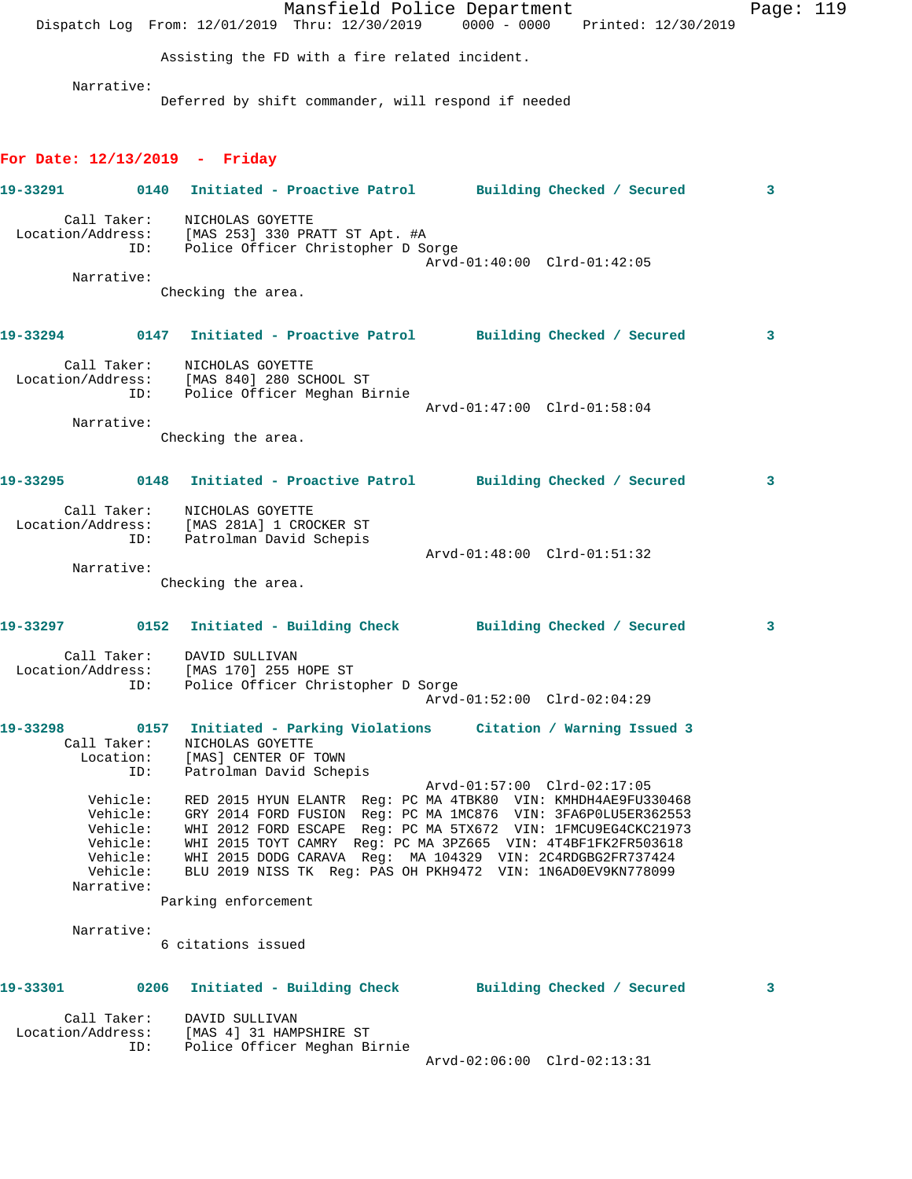|                   |                                                                                    |                                                                                                                        | Mansfield Police Department<br>Dispatch Log From: 12/01/2019 Thru: 12/30/2019 0000 - 0000 Printed: 12/30/2019                                                                                                                                                                                                                                                                                                               | Page: 119 |
|-------------------|------------------------------------------------------------------------------------|------------------------------------------------------------------------------------------------------------------------|-----------------------------------------------------------------------------------------------------------------------------------------------------------------------------------------------------------------------------------------------------------------------------------------------------------------------------------------------------------------------------------------------------------------------------|-----------|
|                   |                                                                                    | Assisting the FD with a fire related incident.                                                                         |                                                                                                                                                                                                                                                                                                                                                                                                                             |           |
|                   | Narrative:                                                                         |                                                                                                                        |                                                                                                                                                                                                                                                                                                                                                                                                                             |           |
|                   |                                                                                    | Deferred by shift commander, will respond if needed                                                                    |                                                                                                                                                                                                                                                                                                                                                                                                                             |           |
|                   |                                                                                    | For Date: $12/13/2019$ - Friday                                                                                        |                                                                                                                                                                                                                                                                                                                                                                                                                             |           |
| 19-33291 2001     |                                                                                    |                                                                                                                        | 0140 Initiated - Proactive Patrol Building Checked / Secured                                                                                                                                                                                                                                                                                                                                                                | 3         |
|                   | ID:                                                                                | Call Taker: NICHOLAS GOYETTE<br>Location/Address: [MAS 253] 330 PRATT ST Apt. #A<br>Police Officer Christopher D Sorge |                                                                                                                                                                                                                                                                                                                                                                                                                             |           |
|                   | Narrative:                                                                         |                                                                                                                        | Arvd-01:40:00 Clrd-01:42:05                                                                                                                                                                                                                                                                                                                                                                                                 |           |
|                   |                                                                                    | Checking the area.                                                                                                     |                                                                                                                                                                                                                                                                                                                                                                                                                             |           |
|                   |                                                                                    |                                                                                                                        | 19-33294 0147 Initiated - Proactive Patrol Building Checked / Secured                                                                                                                                                                                                                                                                                                                                                       | 3         |
|                   | ID:                                                                                | Call Taker: NICHOLAS GOYETTE<br>Location/Address: [MAS 840] 280 SCHOOL ST<br>Police Officer Meghan Birnie              |                                                                                                                                                                                                                                                                                                                                                                                                                             |           |
|                   | Narrative:                                                                         |                                                                                                                        | Arvd-01:47:00 Clrd-01:58:04                                                                                                                                                                                                                                                                                                                                                                                                 |           |
|                   |                                                                                    | Checking the area.                                                                                                     |                                                                                                                                                                                                                                                                                                                                                                                                                             |           |
|                   |                                                                                    |                                                                                                                        | 19-33295 0148 Initiated - Proactive Patrol Building Checked / Secured                                                                                                                                                                                                                                                                                                                                                       | 3         |
|                   | ID:                                                                                | Call Taker: NICHOLAS GOYETTE<br>Location/Address: [MAS 281A] 1 CROCKER ST<br>Patrolman David Schepis                   |                                                                                                                                                                                                                                                                                                                                                                                                                             |           |
|                   | Narrative:                                                                         |                                                                                                                        | Arvd-01:48:00 Clrd-01:51:32                                                                                                                                                                                                                                                                                                                                                                                                 |           |
|                   |                                                                                    | Checking the area.                                                                                                     |                                                                                                                                                                                                                                                                                                                                                                                                                             |           |
|                   |                                                                                    |                                                                                                                        | 19-33297      0152  Initiated - Building Check      Building Checked / Secured                                                                                                                                                                                                                                                                                                                                              | 3         |
|                   | ID:                                                                                | Call Taker: DAVID SULLIVAN<br>Location/Address: [MAS 170] 255 HOPE ST<br>Police Officer Christopher D Sorge            |                                                                                                                                                                                                                                                                                                                                                                                                                             |           |
|                   |                                                                                    |                                                                                                                        | Arvd-01:52:00 Clrd-02:04:29                                                                                                                                                                                                                                                                                                                                                                                                 |           |
| 19-33298          | Call Taker:<br>Location:<br>ID:                                                    | NICHOLAS GOYETTE<br>[MAS] CENTER OF TOWN<br>Patrolman David Schepis                                                    | 0157 Initiated - Parking Violations Citation / Warning Issued 3                                                                                                                                                                                                                                                                                                                                                             |           |
|                   | Vehicle:<br>Vehicle:<br>Vehicle:<br>Vehicle:<br>Vehicle:<br>Vehicle:<br>Narrative: | Parking enforcement                                                                                                    | Arvd-01:57:00 Clrd-02:17:05<br>RED 2015 HYUN ELANTR Reg: PC MA 4TBK80 VIN: KMHDH4AE9FU330468<br>GRY 2014 FORD FUSION Reg: PC MA 1MC876 VIN: 3FA6POLU5ER362553<br>WHI 2012 FORD ESCAPE Req: PC MA 5TX672 VIN: 1FMCU9EG4CKC21973<br>WHI 2015 TOYT CAMRY Req: PC MA 3PZ665 VIN: 4T4BF1FK2FR503618<br>WHI 2015 DODG CARAVA Reg: MA 104329 VIN: 2C4RDGBG2FR737424<br>BLU 2019 NISS TK Req: PAS OH PKH9472 VIN: 1N6AD0EV9KN778099 |           |
|                   | Narrative:                                                                         |                                                                                                                        |                                                                                                                                                                                                                                                                                                                                                                                                                             |           |
|                   |                                                                                    | 6 citations issued                                                                                                     |                                                                                                                                                                                                                                                                                                                                                                                                                             |           |
|                   |                                                                                    |                                                                                                                        | 19-33301 0206 Initiated - Building Check Building Checked / Secured                                                                                                                                                                                                                                                                                                                                                         | 3         |
| Location/Address: | Call Taker:<br>ID:                                                                 | DAVID SULLIVAN<br>[MAS 4] 31 HAMPSHIRE ST<br>Police Officer Meghan Birnie                                              |                                                                                                                                                                                                                                                                                                                                                                                                                             |           |
|                   |                                                                                    |                                                                                                                        | Arvd-02:06:00 Clrd-02:13:31                                                                                                                                                                                                                                                                                                                                                                                                 |           |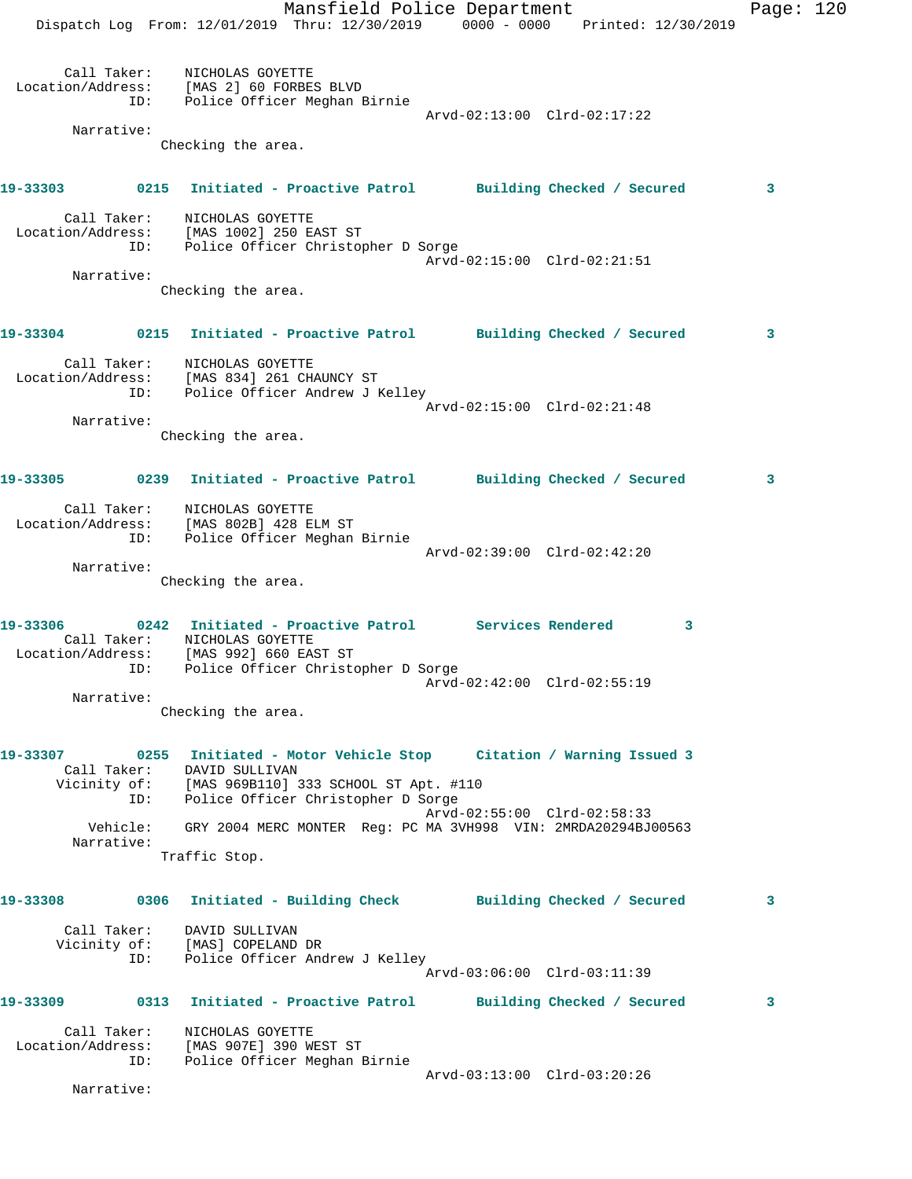Mansfield Police Department Page: 120 Dispatch Log From: 12/01/2019 Thru: 12/30/2019 0000 - 0000 Printed: 12/30/2019 Call Taker: NICHOLAS GOYETTE Location/Address: [MAS 2] 60 FORBES BLVD ID: Police Officer Meghan Birnie Arvd-02:13:00 Clrd-02:17:22 Narrative: Checking the area. **19-33303 0215 Initiated - Proactive Patrol Building Checked / Secured 3** Call Taker: NICHOLAS GOYETTE Location/Address: [MAS 1002] 250 EAST ST ID: Police Officer Christopher D Sorge Arvd-02:15:00 Clrd-02:21:51 Narrative: Checking the area. **19-33304 0215 Initiated - Proactive Patrol Building Checked / Secured 3** Call Taker: NICHOLAS GOYETTE Location/Address: [MAS 834] 261 CHAUNCY ST ID: Police Officer Andrew J Kelley Arvd-02:15:00 Clrd-02:21:48 Narrative: Checking the area. **19-33305 0239 Initiated - Proactive Patrol Building Checked / Secured 3** Call Taker: NICHOLAS GOYETTE Location/Address: [MAS 802B] 428 ELM ST ID: Police Officer Meghan Birnie Arvd-02:39:00 Clrd-02:42:20 Narrative: Checking the area. **19-33306 0242 Initiated - Proactive Patrol Services Rendered 3**  Call Taker: NICHOLAS GOYETTE Location/Address: [MAS 992] 660 EAST ST ID: Police Officer Christopher D Sorge Arvd-02:42:00 Clrd-02:55:19 Narrative: Checking the area. **19-33307 0255 Initiated - Motor Vehicle Stop Citation / Warning Issued 3**  Call Taker: DAVID SULLIVAN Vicinity of: [MAS 969B110] 333 SCHOOL ST Apt. #110 ID: Police Officer Christopher D Sorge Arvd-02:55:00 Clrd-02:58:33 Vehicle: GRY 2004 MERC MONTER Reg: PC MA 3VH998 VIN: 2MRDA20294BJ00563 Narrative: Traffic Stop. **19-33308 0306 Initiated - Building Check Building Checked / Secured 3** Call Taker: DAVID SULLIVAN Vicinity of: [MAS] COPELAND DR ID: Police Officer Andrew J Kelley Arvd-03:06:00 Clrd-03:11:39 **19-33309 0313 Initiated - Proactive Patrol Building Checked / Secured 3** Call Taker: NICHOLAS GOYETTE Location/Address: [MAS 907E] 390 WEST ST ID: Police Officer Meghan Birnie Arvd-03:13:00 Clrd-03:20:26 Narrative: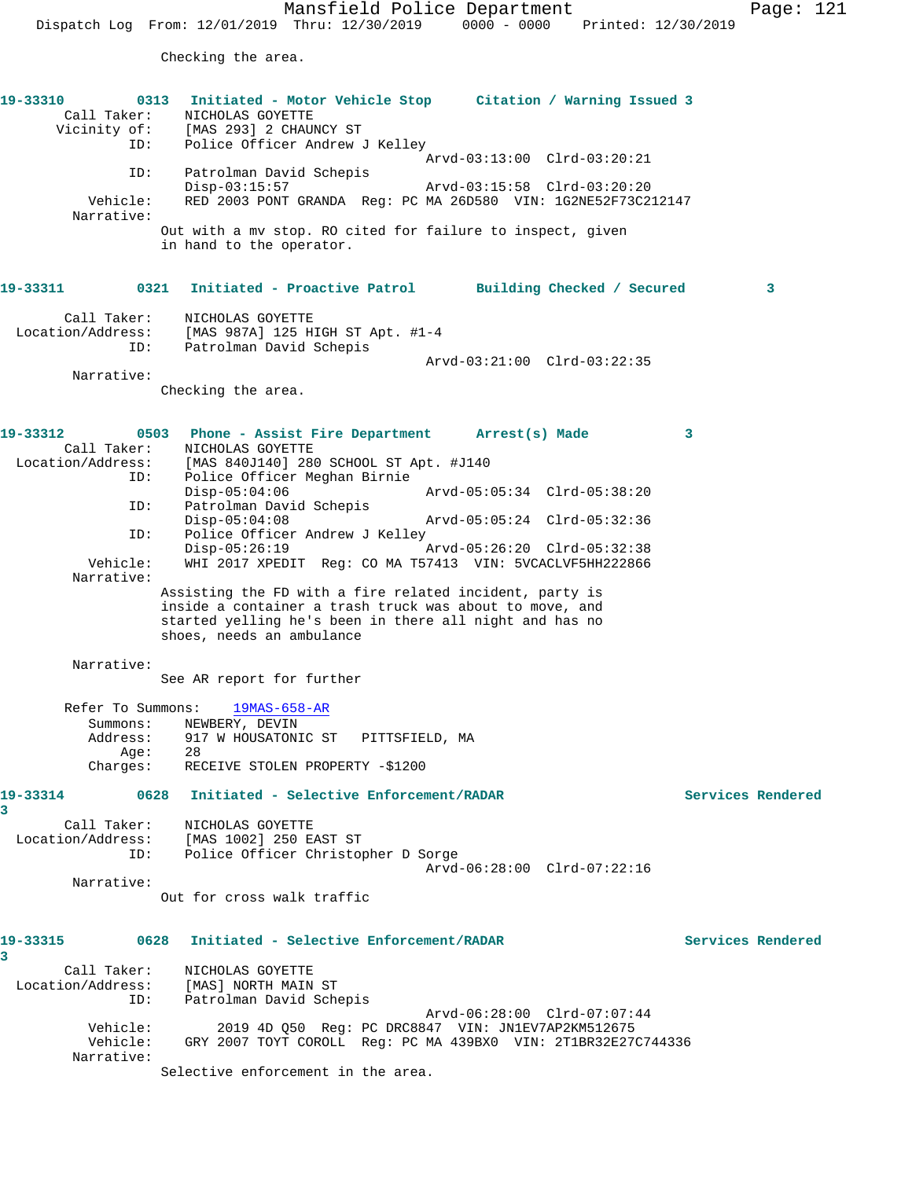Checking the area.

| 19-33310<br>Vicinity of:<br>ID:                               | Initiated - Motor Vehicle Stop Citation / Warning Issued 3<br>0313<br>Call Taker: NICHOLAS GOYETTE<br>[MAS 293] 2 CHAUNCY ST<br>Police Officer Andrew J Kelley                                             |                   |
|---------------------------------------------------------------|------------------------------------------------------------------------------------------------------------------------------------------------------------------------------------------------------------|-------------------|
|                                                               | Arvd-03:13:00 Clrd-03:20:21                                                                                                                                                                                |                   |
| ID:                                                           | Patrolman David Schepis<br>$Disp-03:15:57$<br>Arvd-03:15:58 Clrd-03:20:20                                                                                                                                  |                   |
| Vehicle:<br>Narrative:                                        | RED 2003 PONT GRANDA Req: PC MA 26D580 VIN: 1G2NE52F73C212147                                                                                                                                              |                   |
|                                                               | Out with a mv stop. RO cited for failure to inspect, given<br>in hand to the operator.                                                                                                                     |                   |
| 19-33311                                                      | Initiated - Proactive Patrol Building Checked / Secured<br>0321                                                                                                                                            | 3                 |
| Call Taker:                                                   | NICHOLAS GOYETTE                                                                                                                                                                                           |                   |
|                                                               | Location/Address: [MAS 987A] 125 HIGH ST Apt. #1-4<br>ID: Patrolman David Schepis                                                                                                                          |                   |
|                                                               | Arvd-03:21:00 Clrd-03:22:35                                                                                                                                                                                |                   |
| Narrative:                                                    |                                                                                                                                                                                                            |                   |
|                                                               | Checking the area.                                                                                                                                                                                         |                   |
|                                                               |                                                                                                                                                                                                            |                   |
| 19-33312<br>Call Taker:                                       | 0503 Phone - Assist Fire Department Arrest(s) Made<br>NICHOLAS GOYETTE                                                                                                                                     | 3                 |
| Location/Address:                                             | [MAS 840J140] 280 SCHOOL ST Apt. #J140                                                                                                                                                                     |                   |
| ID:                                                           | Police Officer Meghan Birnie<br>$Disp-05:04:06$                                                                                                                                                            |                   |
| ID:                                                           | Patrolman David Schepis                                                                                                                                                                                    |                   |
| ID:                                                           | $Disp-05:04:08$<br>Arvd-05:05:24 Clrd-05:32:36<br>Police Officer Andrew J Kelley                                                                                                                           |                   |
|                                                               | $Disp-05:26:19$<br>Arvd-05:26:20 Clrd-05:32:38                                                                                                                                                             |                   |
| Vehicle:<br>Narrative:                                        | WHI 2017 XPEDIT Req: CO MA T57413 VIN: 5VCACLVF5HH222866                                                                                                                                                   |                   |
|                                                               | Assisting the FD with a fire related incident, party is<br>inside a container a trash truck was about to move, and<br>started yelling he's been in there all night and has no<br>shoes, needs an ambulance |                   |
| Narrative:                                                    |                                                                                                                                                                                                            |                   |
|                                                               | See AR report for further                                                                                                                                                                                  |                   |
| Refer To Summons:<br>Summons:<br>Address:<br>Age:<br>Charges: | $19MAS-658-AR$<br>NEWBERY, DEVIN<br>917 W HOUSATONIC ST<br>PITTSFIELD, MA<br>28<br>RECEIVE STOLEN PROPERTY -\$1200                                                                                         |                   |
| 19-33314                                                      | 0628<br>Initiated - Selective Enforcement/RADAR                                                                                                                                                            | Services Rendered |
| 3                                                             |                                                                                                                                                                                                            |                   |
| Call Taker:                                                   | NICHOLAS GOYETTE                                                                                                                                                                                           |                   |
| ID:                                                           | Location/Address: [MAS 1002] 250 EAST ST<br>Police Officer Christopher D Sorge                                                                                                                             |                   |
| Narrative:                                                    | Arvd-06:28:00 Clrd-07:22:16                                                                                                                                                                                |                   |
|                                                               | Out for cross walk traffic                                                                                                                                                                                 |                   |
| 19-33315<br>3                                                 | Initiated - Selective Enforcement/RADAR<br>0628                                                                                                                                                            | Services Rendered |
| Call Taker:                                                   | NICHOLAS GOYETTE                                                                                                                                                                                           |                   |
| Location/Address:                                             | [MAS] NORTH MAIN ST                                                                                                                                                                                        |                   |
| ID:                                                           | Patrolman David Schepis<br>Arvd-06:28:00 Clrd-07:07:44                                                                                                                                                     |                   |
| Vehicle:                                                      | 2019 4D Q50 Reg: PC DRC8847 VIN: JN1EV7AP2KM512675                                                                                                                                                         |                   |
| Vehicle:<br>Narrative:                                        | GRY 2007 TOYT COROLL Reg: PC MA 439BX0 VIN: 2T1BR32E27C744336                                                                                                                                              |                   |

Selective enforcement in the area.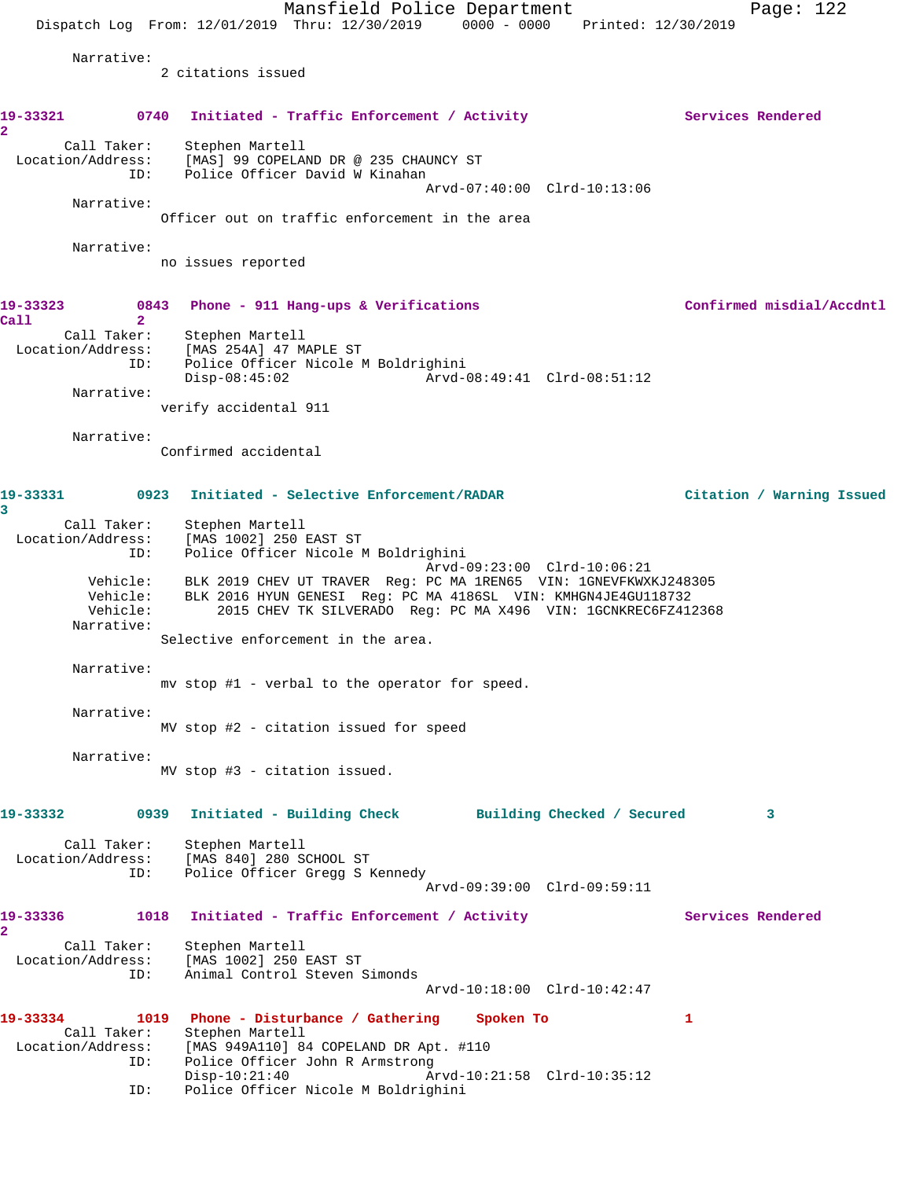Mansfield Police Department Page: 122 Dispatch Log From: 12/01/2019 Thru: 12/30/2019 0000 - 0000 Printed: 12/30/2019 Narrative: 2 citations issued 19-33321 0740 Initiated - Traffic Enforcement / Activity **Services Rendered 2**  Call Taker: Stephen Martell Location/Address: [MAS] 99 COPELAND DR @ 235 CHAUNCY ST ID: Police Officer David W Kinahan Arvd-07:40:00 Clrd-10:13:06 Narrative: Officer out on traffic enforcement in the area Narrative: no issues reported **19-33323 0843 Phone - 911 Hang-ups & Verifications Confirmed misdial/Accdntl Call 2**  Call Taker: Stephen Martell Location/Address: [MAS 254A] 47 MAPLE ST ID: Police Officer Nicole M Boldrighini Disp-08:45:02 Arvd-08:49:41 Clrd-08:51:12 Narrative: verify accidental 911 Narrative: Confirmed accidental **19-33331 0923 Initiated - Selective Enforcement/RADAR Citation / Warning Issued 3**  Call Taker: Stephen Martell Location/Address: [MAS 1002] 250 EAST ST ID: Police Officer Nicole M Boldrighini Arvd-09:23:00 Clrd-10:06:21 Vehicle: BLK 2019 CHEV UT TRAVER Reg: PC MA 1REN65 VIN: 1GNEVFKWXKJ248305 Vehicle: BLK 2016 HYUN GENESI Reg: PC MA 4186SL VIN: KMHGN4JE4GU118732 Vehicle: 2015 CHEV TK SILVERADO Reg: PC MA X496 VIN: 1GCNKREC6FZ412368 Narrative: Selective enforcement in the area. Narrative: mv stop #1 - verbal to the operator for speed. Narrative: MV stop #2 - citation issued for speed Narrative: MV stop #3 - citation issued. **19-33332 0939 Initiated - Building Check Building Checked / Secured 3** Call Taker: Stephen Martell Location/Address: [MAS 840] 280 SCHOOL ST ID: Police Officer Gregg S Kennedy Arvd-09:39:00 Clrd-09:59:11 19-33336 1018 Initiated - Traffic Enforcement / Activity **Services Rendered 2**  Call Taker: Stephen Martell Location/Address: [MAS 1002] 250 EAST ST ID: Animal Control Steven Simonds Arvd-10:18:00 Clrd-10:42:47 **19-33334 1019 Phone - Disturbance / Gathering Spoken To 1**  Call Taker: Stephen Martell Location/Address: [MAS 949A110] 84 COPELAND DR Apt. #110 ID: Police Officer John R Armstrong Disp-10:21:40 Arvd-10:21:58 Clrd-10:35:12 ID: Police Officer Nicole M Boldrighini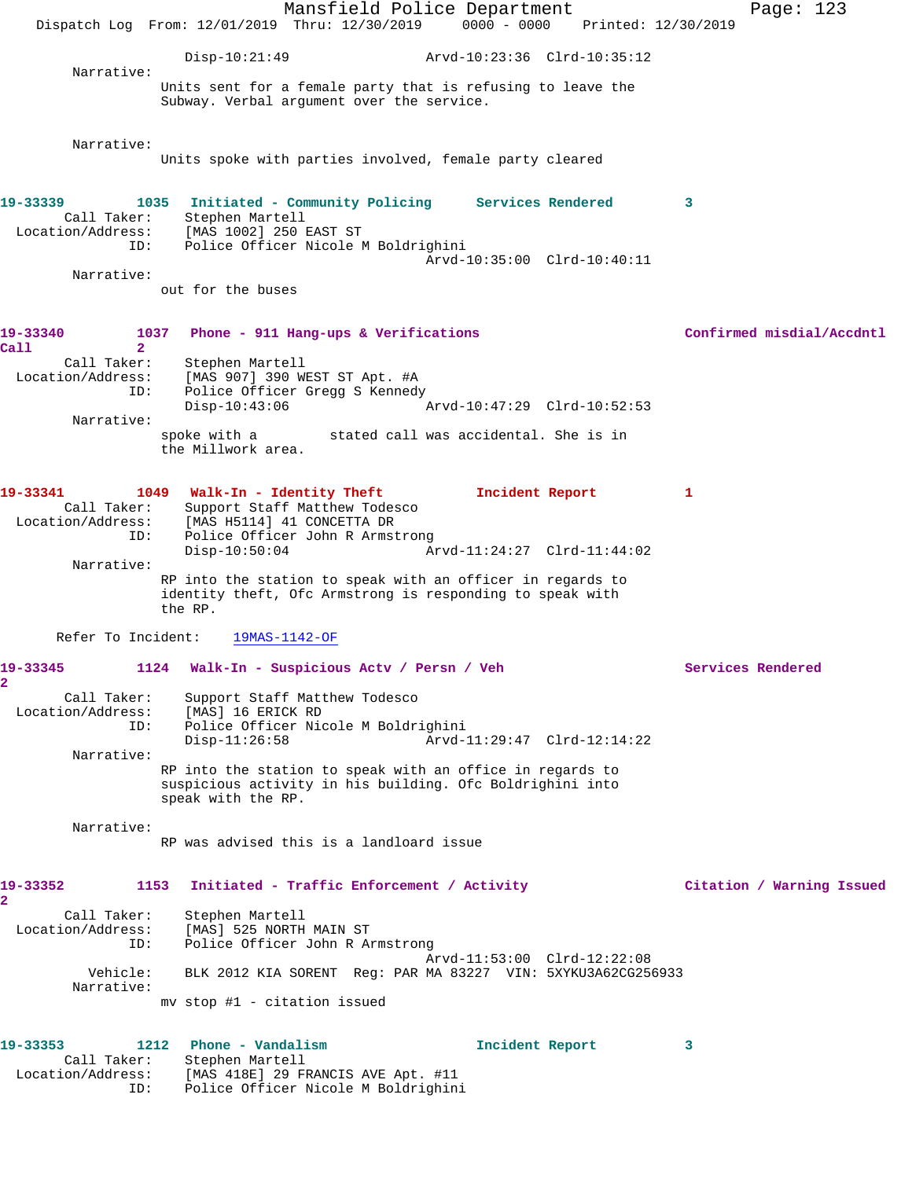Mansfield Police Department Page: 123 Dispatch Log From: 12/01/2019 Thru: 12/30/2019 0000 - 0000 Printed: 12/30/2019 Disp-10:21:49 Arvd-10:23:36 Clrd-10:35:12 Narrative: Units sent for a female party that is refusing to leave the Subway. Verbal argument over the service. Narrative: Units spoke with parties involved, female party cleared **19-33339 1035 Initiated - Community Policing Services Rendered 3**  Call Taker: Stephen Martell Location/Address: [MAS 1002] 250 EAST ST ID: Police Officer Nicole M Boldrighini Arvd-10:35:00 Clrd-10:40:11 Narrative: out for the buses **19-33340 1037 Phone - 911 Hang-ups & Verifications Confirmed misdial/Accdntl Call 2**  Call Taker: Stephen Martell Location/Address: [MAS 907] 390 WEST ST Apt. #A ID: Police Officer Gregg S Kennedy Disp-10:43:06 Arvd-10:47:29 Clrd-10:52:53 Narrative: spoke with a stated call was accidental. She is in the Millwork area. **19-33341 1049 Walk-In - Identity Theft Incident Report 1**  Call Taker: Support Staff Matthew Todesco Location/Address: [MAS H5114] 41 CONCETTA DR ID: Police Officer John R Armstrong<br>Disp-10:50:04 Ar Disp-10:50:04 Arvd-11:24:27 Clrd-11:44:02 Narrative: RP into the station to speak with an officer in regards to identity theft, Ofc Armstrong is responding to speak with the RP. Refer To Incident: 19MAS-1142-OF **19-33345 1124 Walk-In - Suspicious Actv / Persn / Veh Services Rendered 2**  Call Taker: Support Staff Matthew Todesco Location/Address: [MAS] 16 ERICK RD ID: Police Officer Nicole M Boldrighini Disp-11:26:58 Arvd-11:29:47 Clrd-12:14:22 Narrative: RP into the station to speak with an office in regards to suspicious activity in his building. Ofc Boldrighini into speak with the RP. Narrative: RP was advised this is a landloard issue **19-33352 1153 Initiated - Traffic Enforcement / Activity Citation / Warning Issued 2**  Call Taker: Stephen Martell Location/Address: [MAS] 525 NORTH MAIN ST ID: Police Officer John R Armstrong Arvd-11:53:00 Clrd-12:22:08 Vehicle: BLK 2012 KIA SORENT Reg: PAR MA 83227 VIN: 5XYKU3A62CG256933 Narrative: mv stop #1 - citation issued **19-33353 1212 Phone - Vandalism Incident Report 3**  Call Taker: Stephen Martell Location/Address: [MAS 418E] 29 FRANCIS AVE Apt. #11 ID: Police Officer Nicole M Boldrighini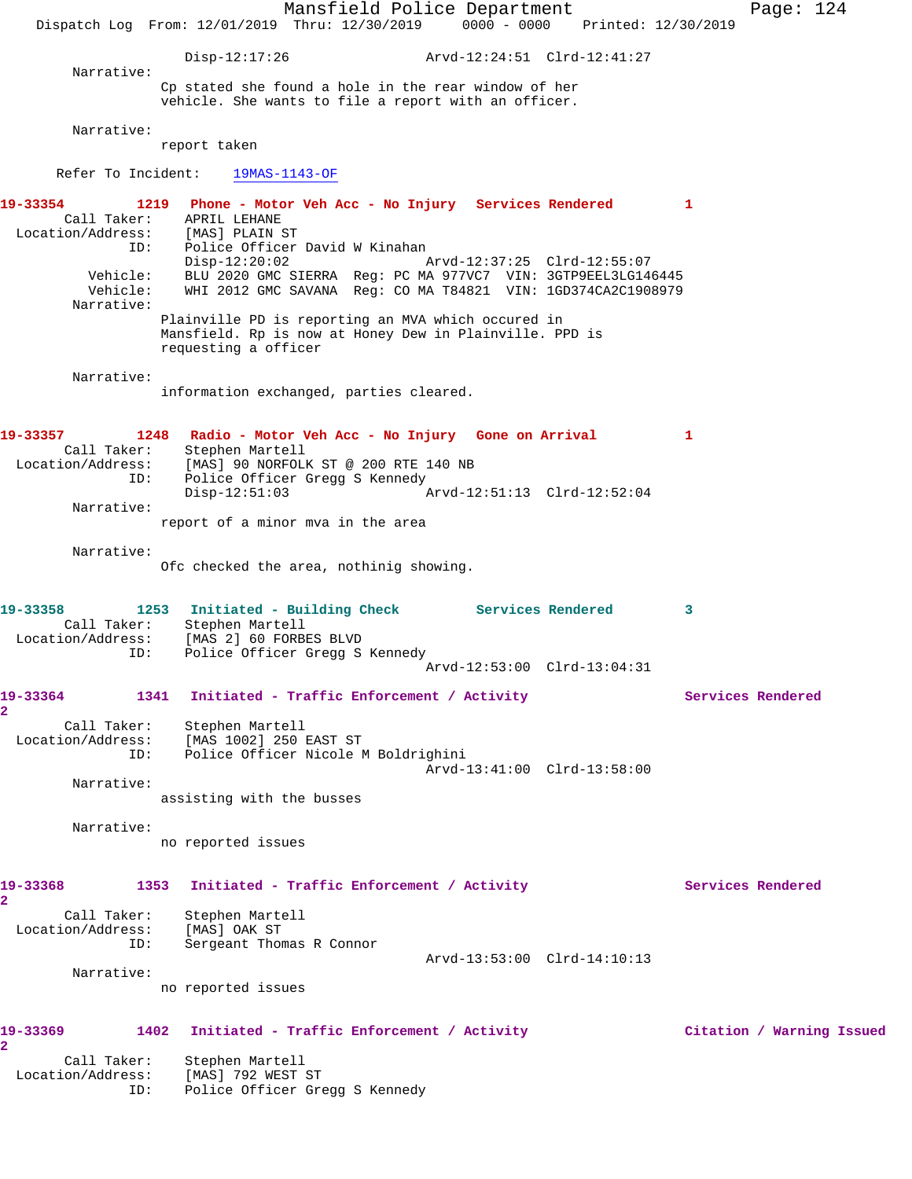Mansfield Police Department Page: 124 Dispatch Log From: 12/01/2019 Thru: 12/30/2019 0000 - 0000 Printed: 12/30/2019 Disp-12:17:26 Arvd-12:24:51 Clrd-12:41:27 Narrative: Cp stated she found a hole in the rear window of her vehicle. She wants to file a report with an officer. Narrative: report taken Refer To Incident: 19MAS-1143-OF **19-33354 1219 Phone - Motor Veh Acc - No Injury Services Rendered 1**  Call Taker: APRIL LEHANE Location/Address: [MAS] PLAIN ST ID: Police Officer David W Kinahan Disp-12:20:02 Arvd-12:37:25 Clrd-12:55:07 Vehicle: BLU 2020 GMC SIERRA Reg: PC MA 977VC7 VIN: 3GTP9EEL3LG146445 Vehicle: WHI 2012 GMC SAVANA Reg: CO MA T84821 VIN: 1GD374CA2C1908979 Narrative: Plainville PD is reporting an MVA which occured in Mansfield. Rp is now at Honey Dew in Plainville. PPD is requesting a officer Narrative: information exchanged, parties cleared. **19-33357 1248 Radio - Motor Veh Acc - No Injury Gone on Arrival 1**  Call Taker: Stephen Martell Location/Address: [MAS] 90 NORFOLK ST @ 200 RTE 140 NB ID: Police Officer Gregg S Kennedy Disp-12:51:03 Arvd-12:51:13 Clrd-12:52:04 Narrative: report of a minor mva in the area Narrative: Ofc checked the area, nothinig showing. **19-33358 1253 Initiated - Building Check Services Rendered 3**  Call Taker: Stephen Martell Location/Address: [MAS 2] 60 FORBES BLVD ID: Police Officer Gregg S Kennedy Arvd-12:53:00 Clrd-13:04:31 19-33364 1341 Initiated - Traffic Enforcement / Activity **Services Rendered 2**  Call Taker: Stephen Martell Location/Address: [MAS 1002] 250 EAST ST ID: Police Officer Nicole M Boldrighini Arvd-13:41:00 Clrd-13:58:00 Narrative: assisting with the busses Narrative: no reported issues 19-33368 1353 Initiated - Traffic Enforcement / Activity **Services Rendered 2**  Call Taker: Stephen Martell Location/Address: [MAS] OAK ST ID: Sergeant Thomas R Connor Arvd-13:53:00 Clrd-14:10:13 Narrative: no reported issues **19-33369 1402 Initiated - Traffic Enforcement / Activity Citation / Warning Issued 2**  Call Taker: Stephen Martell Location/Address: [MAS] 792 WEST ST ID: Police Officer Gregg S Kennedy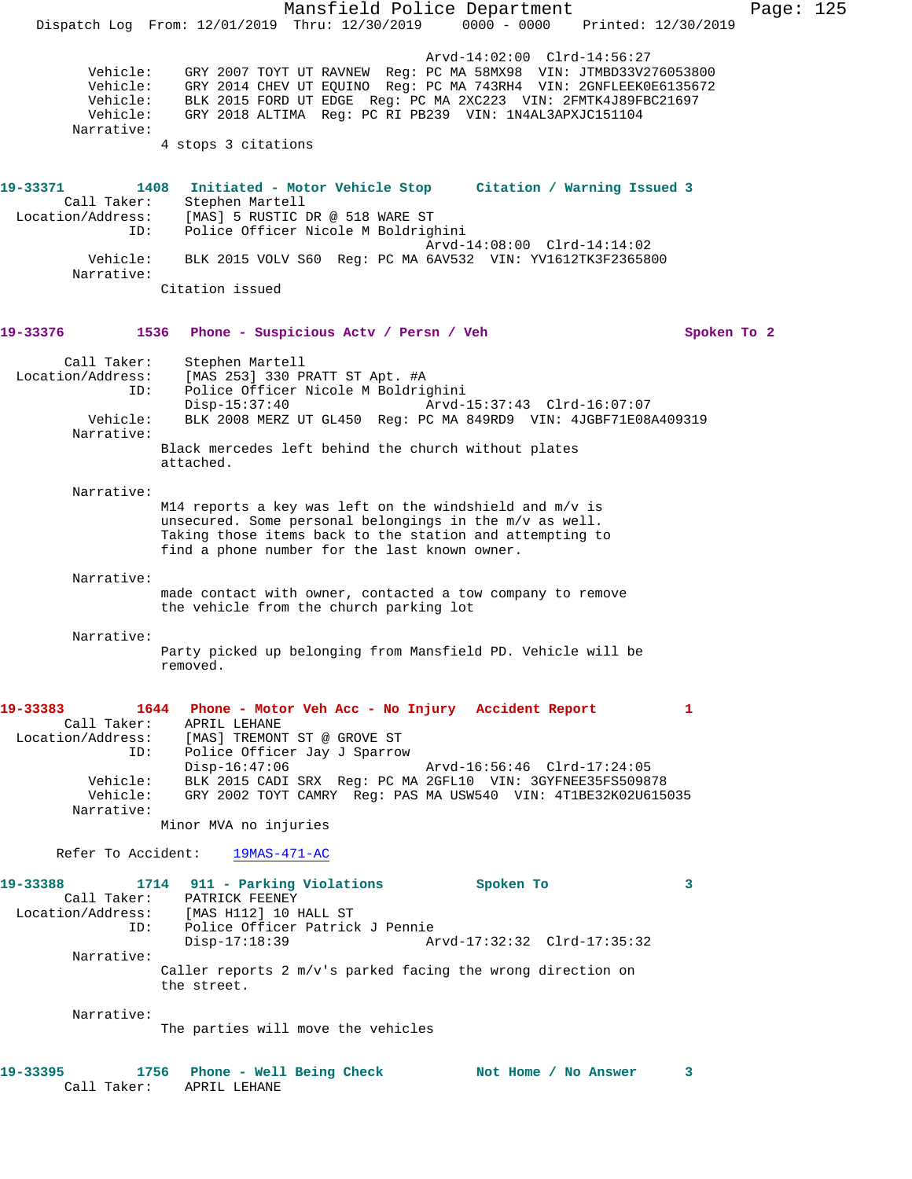Mansfield Police Department Page: 125 Dispatch Log From: 12/01/2019 Thru: 12/30/2019 0000 - 0000 Printed: 12/30/2019 Arvd-14:02:00 Clrd-14:56:27 Vehicle: GRY 2007 TOYT UT RAVNEW Reg: PC MA 58MX98 VIN: JTMBD33V276053800 Vehicle: GRY 2014 CHEV UT EQUINO Reg: PC MA 743RH4 VIN: 2GNFLEEK0E6135672 Vehicle: BLK 2015 FORD UT EDGE Reg: PC MA 2XC223 VIN: 2FMTK4J89FBC21697 Vehicle: GRY 2018 ALTIMA Reg: PC RI PB239 VIN: 1N4AL3APXJC151104 Narrative: 4 stops 3 citations **19-33371 1408 Initiated - Motor Vehicle Stop Citation / Warning Issued 3**  Call Taker: Stephen Martell Location/Address: [MAS] 5 RUSTIC DR @ 518 WARE ST ID: Police Officer Nicole M Boldrighini Arvd-14:08:00 Clrd-14:14:02 Vehicle: BLK 2015 VOLV S60 Reg: PC MA 6AV532 VIN: YV1612TK3F2365800 Narrative: Citation issued **19-33376 1536 Phone - Suspicious Actv / Persn / Veh Spoken To 2** Call Taker: Stephen Martell Location/Address: [MAS 253] 330 PRATT ST Apt. #A ID: Police Officer Nicole M Boldrighini Disp-15:37:40 Arvd-15:37:43 Clrd-16:07:07 Vehicle: BLK 2008 MERZ UT GL450 Reg: PC MA 849RD9 VIN: 4JGBF71E08A409319 Narrative: Black mercedes left behind the church without plates attached. Narrative: M14 reports a key was left on the windshield and m/v is unsecured. Some personal belongings in the m/v as well. Taking those items back to the station and attempting to find a phone number for the last known owner. Narrative: made contact with owner, contacted a tow company to remove the vehicle from the church parking lot Narrative: Party picked up belonging from Mansfield PD. Vehicle will be removed. **19-33383 1644 Phone - Motor Veh Acc - No Injury Accident Report 1**  Call Taker: APRIL LEHANE<br>Location/Address: [MAS] TREMONT [MAS] TREMONT ST @ GROVE ST ISS. THEN INSTERN STRING SERVICE OF<br>ID: Police Officer Jay J Sparrow<br>Disp-16:47:06 Arvd-16:56:46 Clrd-17:24:05 Vehicle: BLK 2015 CADI SRX Reg: PC MA 2GFL10 VIN: 3GYFNEE35FS509878 Vehicle: GRY 2002 TOYT CAMRY Reg: PAS MA USW540 VIN: 4T1BE32K02U615035 Narrative: Minor MVA no injuries Refer To Accident: 19MAS-471-AC **19-33388 1714 911 - Parking Violations Spoken To 3**  Call Taker: PATRICK FEENEY Location/Address: [MAS H112] 10 HALL ST ID: Police Officer Patrick J Pennie Disp-17:18:39 Arvd-17:32:32 Clrd-17:35:32 Narrative: Caller reports 2 m/v's parked facing the wrong direction on the street. Narrative: The parties will move the vehicles **19-33395 1756 Phone - Well Being Check Not Home / No Answer 3**  Call Taker: APRIL LEHANE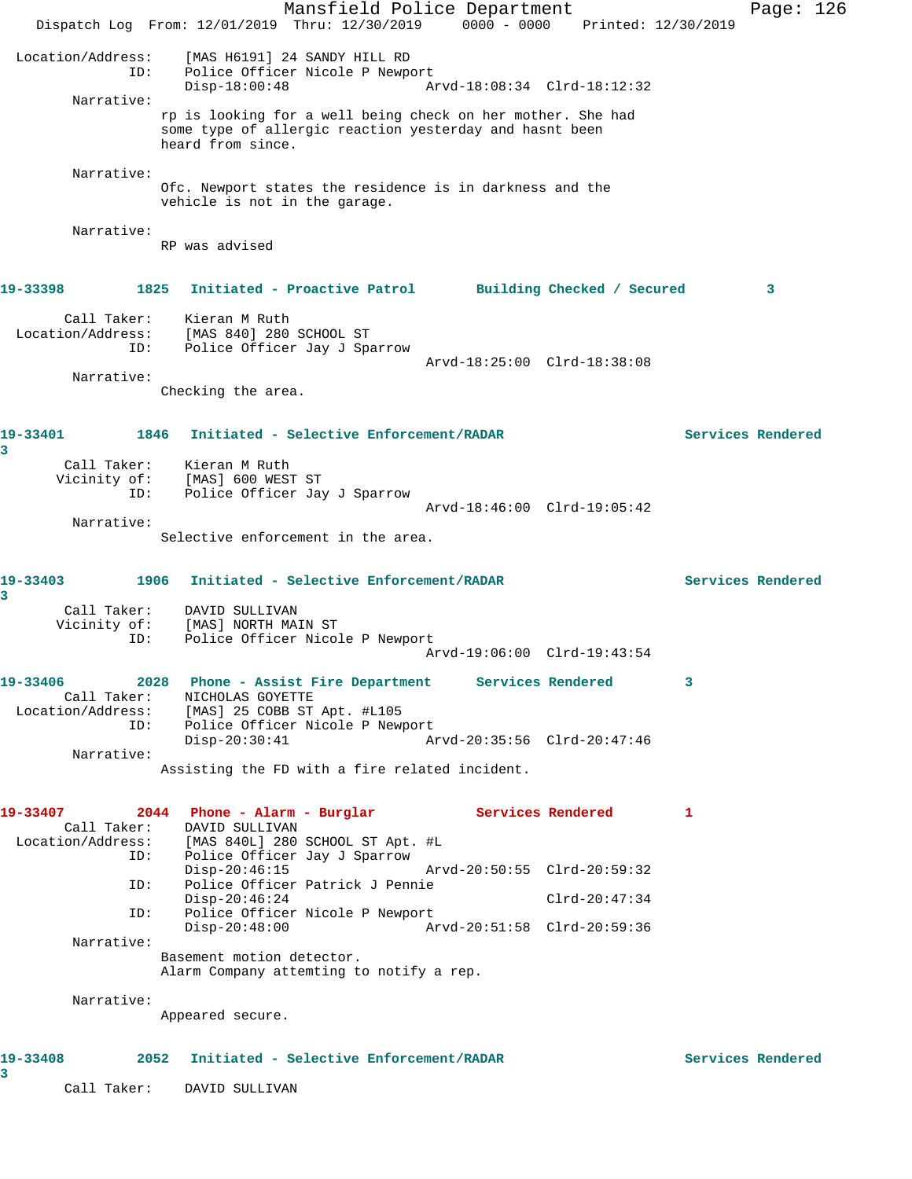Mansfield Police Department Page: 126 Dispatch Log From: 12/01/2019 Thru: 12/30/2019 0000 - 0000 Printed: 12/30/2019 Location/Address: [MAS H6191] 24 SANDY HILL RD ID: Police Officer Nicole P Newport Disp-18:00:48 Arvd-18:08:34 Clrd-18:12:32 Narrative: rp is looking for a well being check on her mother. She had some type of allergic reaction yesterday and hasnt been heard from since. Narrative: Ofc. Newport states the residence is in darkness and the vehicle is not in the garage. Narrative: RP was advised **19-33398 1825 Initiated - Proactive Patrol Building Checked / Secured 3** Call Taker: Kieran M Ruth Location/Address: [MAS 840] 280 SCHOOL ST ID: Police Officer Jay J Sparrow Arvd-18:25:00 Clrd-18:38:08 Narrative: Checking the area. **19-33401 1846 Initiated - Selective Enforcement/RADAR Services Rendered 3**  Call Taker: Kieran M Ruth Vicinity of: [MAS] 600 WEST ST ID: Police Officer Jay J Sparrow Arvd-18:46:00 Clrd-19:05:42 Narrative: Selective enforcement in the area. **19-33403 1906 Initiated - Selective Enforcement/RADAR Services Rendered 3**  Call Taker: DAVID SULLIVAN Vicinity of: [MAS] NORTH MAIN ST ID: Police Officer Nicole P Newport Arvd-19:06:00 Clrd-19:43:54 **19-33406 2028 Phone - Assist Fire Department Services Rendered 3**  Call Taker: NICHOLAS GOYETTE Location/Address: [MAS] 25 COBB ST Apt. #L105 ID: Police Officer Nicole P Newport<br>Disp-20:30:41 Ar Disp-20:30:41 Arvd-20:35:56 Clrd-20:47:46 Narrative: Assisting the FD with a fire related incident. **19-33407 2044 Phone - Alarm - Burglar Services Rendered 1**  Call Taker: DAVID SULLIVAN Location/Address: [MAS 840L] 280 SCHOOL ST Apt. #L ID: Police Officer Jay J Sparrow Disp-20:46:15 Arvd-20:50:55 Clrd-20:59:32 ID: Police Officer Patrick J Pennie Disp-20:46:24 Clrd-20:47:34 ID: Police Officer Nicole P Newport<br>Disp-20:48:00 Ar Disp-20:48:00 Arvd-20:51:58 Clrd-20:59:36 Narrative: Basement motion detector. Alarm Company attemting to notify a rep. Narrative: Appeared secure. **19-33408 2052 Initiated - Selective Enforcement/RADAR Services Rendered 3**  Call Taker: DAVID SULLIVAN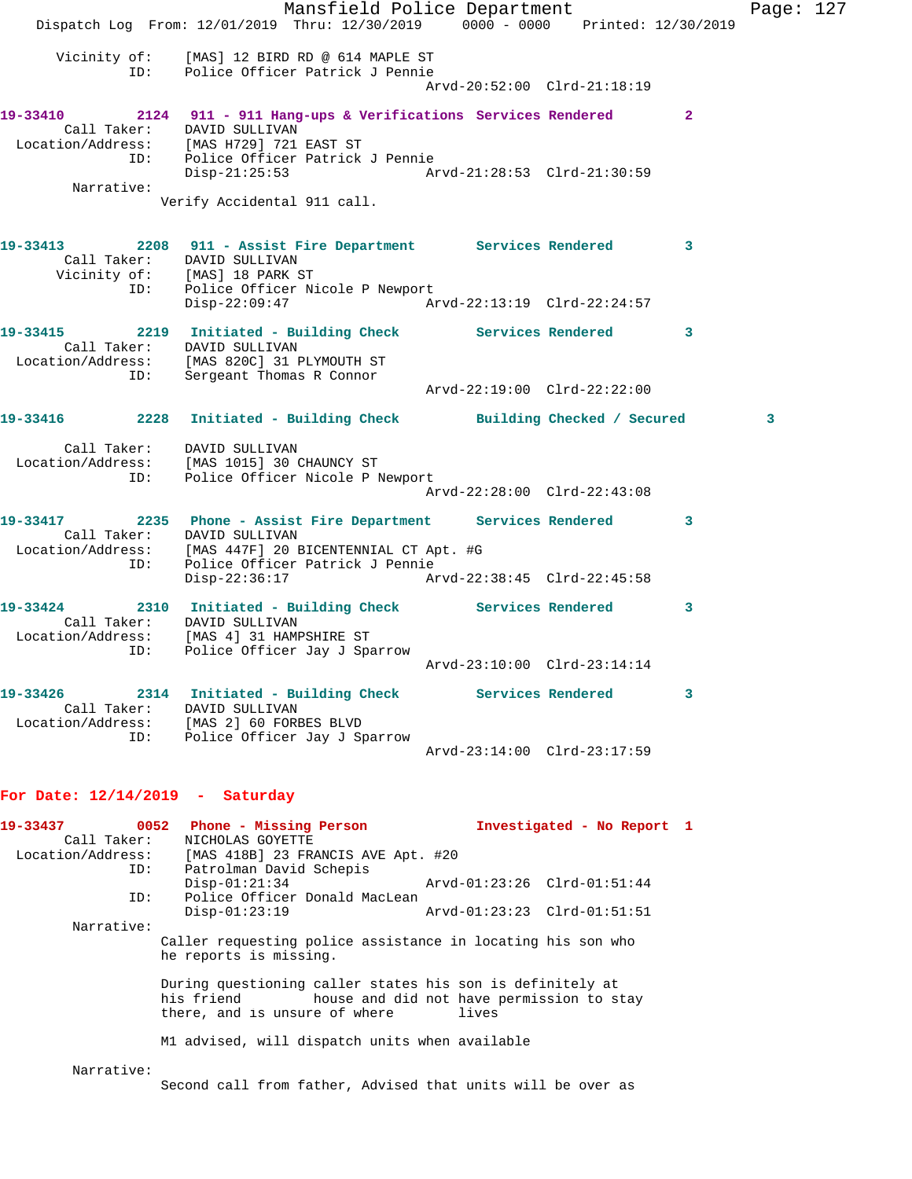Mansfield Police Department Page: 127 Dispatch Log From: 12/01/2019 Thru: 12/30/2019 0000 - 0000 Printed: 12/30/2019 Vicinity of: [MAS] 12 BIRD RD @ 614 MAPLE ST ID: Police Officer Patrick J Pennie Arvd-20:52:00 Clrd-21:18:19 **19-33410 2124 911 - 911 Hang-ups & Verifications Services Rendered 2**  Call Taker: DAVID SULLIVAN Location/Address: [MAS H729] 721 EAST ST ID: Police Officer Patrick J Pennie Disp-21:25:53 Arvd-21:28:53 Clrd-21:30:59 Narrative: Verify Accidental 911 call. **19-33413 2208 911 - Assist Fire Department Services Rendered 3**  Call Taker: DAVID SULLIVAN Vicinity of: [MAS] 18 PARK ST ID: Police Officer Nicole P Newport Disp-22:09:47 Arvd-22:13:19 Clrd-22:24:57 **19-33415 2219 Initiated - Building Check Services Rendered 3**  Call Taker: DAVID SULLIVAN Location/Address: [MAS 820C] 31 PLYMOUTH ST ID: Sergeant Thomas R Connor Arvd-22:19:00 Clrd-22:22:00 **19-33416 2228 Initiated - Building Check Building Checked / Secured 3** Call Taker: DAVID SULLIVAN Location/Address: [MAS 1015] 30 CHAUNCY ST ID: Police Officer Nicole P Newport Arvd-22:28:00 Clrd-22:43:08 **19-33417 2235 Phone - Assist Fire Department Services Rendered 3**  Call Taker: DAVID SULLIVAN Location/Address: [MAS 447F] 20 BICENTENNIAL CT Apt. #G ID: Police Officer Patrick J Pennie Disp-22:36:17 Arvd-22:38:45 Clrd-22:45:58 **19-33424 2310 Initiated - Building Check Services Rendered 3**  Call Taker: DAVID SULLIVAN Location/Address: [MAS 4] 31 HAMPSHIRE ST ID: Police Officer Jay J Sparrow Arvd-23:10:00 Clrd-23:14:14 **19-33426 2314 Initiated - Building Check Services Rendered 3**  Call Taker: DAVID SULLIVAN Location/Address: [MAS 2] 60 FORBES BLVD ID: Police Officer Jay J Sparrow Arvd-23:14:00 Clrd-23:17:59

## **For Date: 12/14/2019 - Saturday**

| 19-33437   | 0052 Phone - Missing Person                                                                              | Investigated - No Report 1                         |
|------------|----------------------------------------------------------------------------------------------------------|----------------------------------------------------|
|            | Call Taker: NICHOLAS GOYETTE                                                                             |                                                    |
|            | Location/Address: [MAS 418B] 23 FRANCIS AVE Apt. #20                                                     |                                                    |
|            | Patrolman David Schepis<br>ID:                                                                           |                                                    |
|            | $Disp-01:21:34$                                                                                          | Arvd-01:23:26 Clrd-01:51:44                        |
| ID:        | Police Officer Donald MacLean                                                                            |                                                    |
|            | $Disp-01:23:19$                                                                                          | Arvd-01:23:23 Clrd-01:51:51                        |
| Narrative: |                                                                                                          |                                                    |
|            | Caller requesting police assistance in locating his son who<br>he reports is missing.                    |                                                    |
|            | During questioning caller states his son is definitely at<br>his friend<br>there, and is unsure of where | house and did not have permission to stay<br>lives |
|            | M1 advised, will dispatch units when available                                                           |                                                    |
| Narrative: | Second call from father, Advised that units will be over as                                              |                                                    |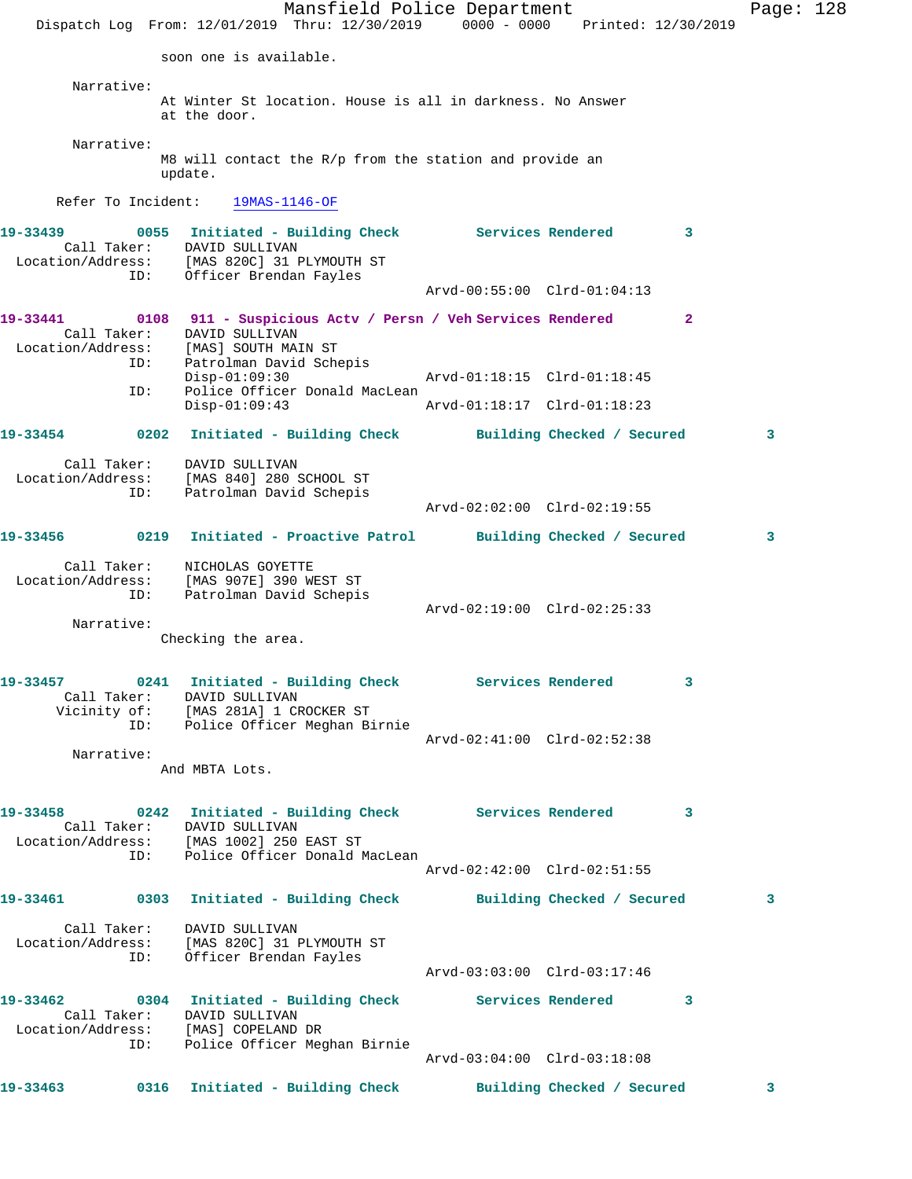Mansfield Police Department Fage: 128 Dispatch Log From: 12/01/2019 Thru: 12/30/2019 0000 - 0000 Printed: 12/30/2019 soon one is available. Narrative: At Winter St location. House is all in darkness. No Answer at the door. Narrative: M8 will contact the R/p from the station and provide an update. Refer To Incident: 19MAS-1146-OF **19-33439 0055 Initiated - Building Check Services Rendered 3**  Call Taker: DAVID SULLIVAN Location/Address: [MAS 820C] 31 PLYMOUTH ST ID: Officer Brendan Fayles Arvd-00:55:00 Clrd-01:04:13 **19-33441 0108 911 - Suspicious Actv / Persn / Veh Services Rendered 2**  Call Taker: DAVID SULLIVAN Location/Address: [MAS] SOUTH MAIN ST ID: Patrolman David Schepis Disp-01:09:30 Arvd-01:18:15 Clrd-01:18:45 ID: Police Officer Donald MacLean Disp-01:09:43 Arvd-01:18:17 Clrd-01:18:23 **19-33454 0202 Initiated - Building Check Building Checked / Secured 3** Call Taker: DAVID SULLIVAN Location/Address: [MAS 840] 280 SCHOOL ST ID: Patrolman David Schepis Arvd-02:02:00 Clrd-02:19:55 **19-33456 0219 Initiated - Proactive Patrol Building Checked / Secured 3** Call Taker: NICHOLAS GOYETTE Location/Address: [MAS 907E] 390 WEST ST ID: Patrolman David Schepis Arvd-02:19:00 Clrd-02:25:33 Narrative: Checking the area. **19-33457 0241 Initiated - Building Check Services Rendered 3**  Call Taker: DAVID SULLIVAN Vicinity of: [MAS 281A] 1 CROCKER ST ID: Police Officer Meghan Birnie Arvd-02:41:00 Clrd-02:52:38 Narrative: And MBTA Lots. **19-33458 0242 Initiated - Building Check Services Rendered 3**  Call Taker: DAVID SULLIVAN Location/Address: [MAS 1002] 250 EAST ST ID: Police Officer Donald MacLean Arvd-02:42:00 Clrd-02:51:55 **19-33461 0303 Initiated - Building Check Building Checked / Secured 3** Call Taker: DAVID SULLIVAN Location/Address: [MAS 820C] 31 PLYMOUTH ST ID: Officer Brendan Fayles Arvd-03:03:00 Clrd-03:17:46 **19-33462 0304 Initiated - Building Check Services Rendered 3**  Call Taker: DAVID SULLIVAN Location/Address: [MAS] COPELAND DR ID: Police Officer Meghan Birnie Arvd-03:04:00 Clrd-03:18:08 **19-33463 0316 Initiated - Building Check Building Checked / Secured 3**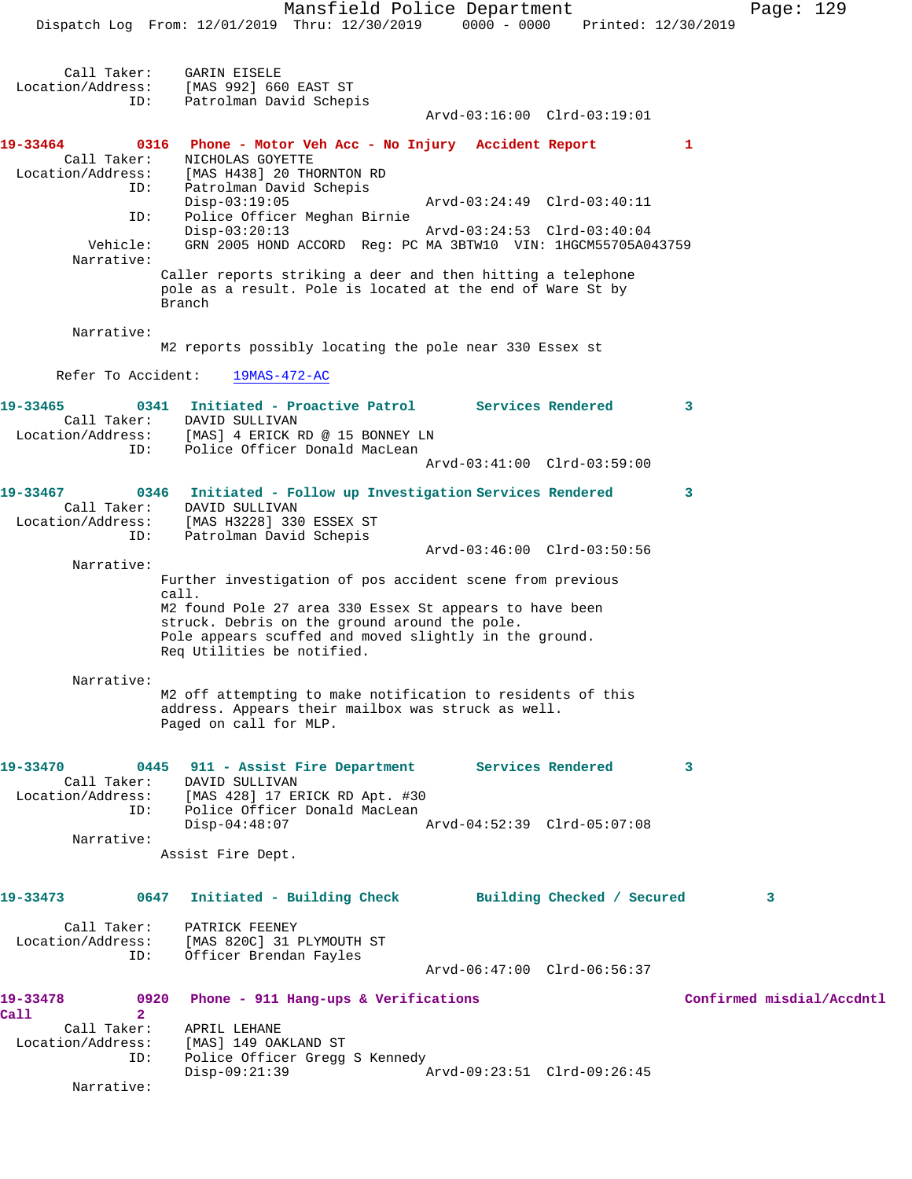Mansfield Police Department Page: 129 Dispatch Log From: 12/01/2019 Thru: 12/30/2019 0000 - 0000 Printed: 12/30/2019 Call Taker: GARIN EISELE Location/Address: [MAS 992] 660 EAST ST<br>ID: Patrolman David Schep: Patrolman David Schepis Arvd-03:16:00 Clrd-03:19:01 **19-33464 0316 Phone - Motor Veh Acc - No Injury Accident Report 1**  Call Taker: NICHOLAS GOYETTE Location/Address: [MAS H438] 20 THORNTON RD<br>ID: Patrolman David Schepis Patrolman David Schepis<br>Disp-03:19:05 Disp-03:19:05 Arvd-03:24:49 Clrd-03:40:11<br>ID: Police Officer Meghan Birnie Police Officer Meghan Birnie<br>Disp-03:20:13 Disp-03:20:13 Arvd-03:24:53 Clrd-03:40:04 Vehicle: GRN 2005 HOND ACCORD Reg: PC MA 3BTW10 VIN: 1HGCM55705A043759 Narrative: Caller reports striking a deer and then hitting a telephone pole as a result. Pole is located at the end of Ware St by Branch Narrative: M2 reports possibly locating the pole near 330 Essex st Refer To Accident: 19MAS-472-AC **19-33465 0341 Initiated - Proactive Patrol Services Rendered 3**  Call Taker: DAVID SULLIVAN Location/Address: [MAS] 4 ERICK RD @ 15 BONNEY LN Police Officer Donald MacLean Arvd-03:41:00 Clrd-03:59:00 **19-33467 0346 Initiated - Follow up Investigation Services Rendered 3**  Call Taker: DAVID SULLIVAN Location/Address: [MAS H3228] 330 ESSEX ST ID: Patrolman David Schepis Arvd-03:46:00 Clrd-03:50:56 Narrative: Further investigation of pos accident scene from previous call. M2 found Pole 27 area 330 Essex St appears to have been struck. Debris on the ground around the pole. Pole appears scuffed and moved slightly in the ground. Req Utilities be notified. Narrative: M2 off attempting to make notification to residents of this address. Appears their mailbox was struck as well. Paged on call for MLP. **19-33470 0445 911 - Assist Fire Department Services Rendered 3**  Call Taker: DAVID SULLIVAN Location/Address: [MAS 428] 17 ERICK RD Apt. #30 ID: Police Officer Donald MacLean Disp-04:48:07 Arvd-04:52:39 Clrd-05:07:08 Narrative: Assist Fire Dept. **19-33473 0647 Initiated - Building Check Building Checked / Secured 3** Call Taker: PATRICK FEENEY<br>Location/Address: [MAS 820C] 31 [MAS 820C] 31 PLYMOUTH ST ID: Officer Brendan Fayles Arvd-06:47:00 Clrd-06:56:37 **19-33478 0920 Phone - 911 Hang-ups & Verifications Confirmed misdial/Accdntl Call** 2<br>**Call Taker**: Call Taker: APRIL LEHANE Location/Address: [MAS] 149 OAKLAND ST Location/Address: [MAS] 149 OAKLAND ST<br>ID: Police Officer Gregg S Kennedy<br>Disp-09:21:39 Disp-09:21:39 Arvd-09:23:51 Clrd-09:26:45

Narrative: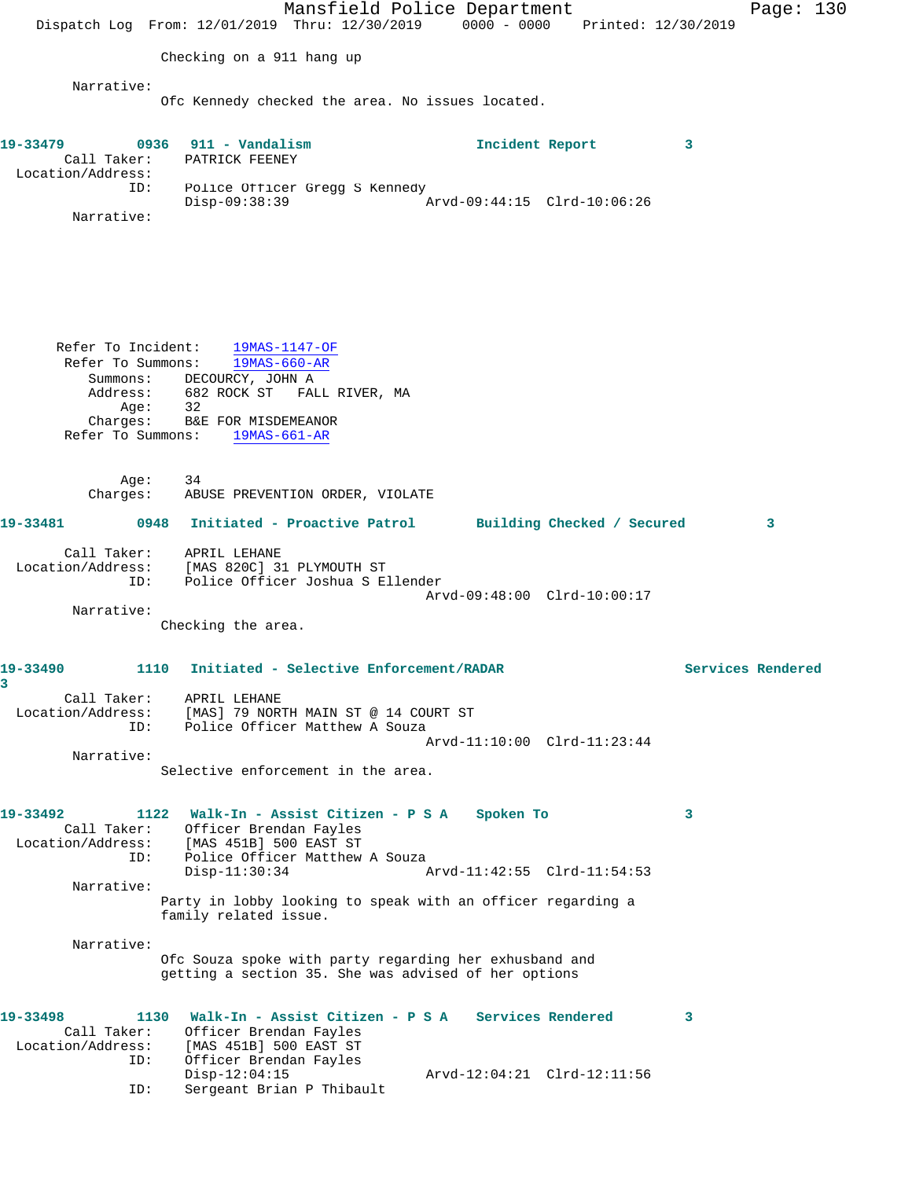Mansfield Police Department Page: 130 Dispatch Log From: 12/01/2019 Thru: 12/30/2019 0000 - 0000 Printed: 12/30/2019 Checking on a 911 hang up Narrative: Ofc Kennedy checked the area. No issues located. **19-33479 0936 911 - Vandalism Incident Report 3**  Call Taker: PATRICK FEENEY Location/Address: ID: Police Officer Gregg S Kennedy Disp-09:38:39 Arvd-09:44:15 Clrd-10:06:26 Narrative: Refer To Incident: 19MAS-1147-OF Refer To Summons: 19MAS-660-AR Summons: DECOURCY, JOHN A Address: 682 ROCK ST FALL RIVER, MA Age: 32 Charges: B&E FOR MISDEMEANOR Refer To Summons: 19MAS-661-AR Age: 34 Charges: ABUSE PREVENTION ORDER, VIOLATE **19-33481 0948 Initiated - Proactive Patrol Building Checked / Secured 3** Call Taker: APRIL LEHANE Location/Address: [MAS 820C] 31 PLYMOUTH ST ID: Police Officer Joshua S Ellender Arvd-09:48:00 Clrd-10:00:17 Narrative: Checking the area. **19-33490 1110 Initiated - Selective Enforcement/RADAR Services Rendered 3**  Call Taker: APRIL LEHANE Location/Address: [MAS] 79 NORTH MAIN ST @ 14 COURT ST ID: Police Officer Matthew A Souza Arvd-11:10:00 Clrd-11:23:44 Narrative: Selective enforcement in the area. **19-33492 1122 Walk-In - Assist Citizen - P S A Spoken To 3**  Call Taker: Officer Brendan Fayles Location/Address: [MAS 451B] 500 EAST ST ID: Police Officer Matthew A Souza<br>Disp-11:30:34 Arvd-11:42:55 Clrd-11:54:53 Narrative: Party in lobby looking to speak with an officer regarding a family related issue. Narrative: Ofc Souza spoke with party regarding her exhusband and getting a section 35. She was advised of her options **19-33498 1130 Walk-In - Assist Citizen - P S A Services Rendered 3**  Call Taker: Officer Brendan Fayles Location/Address: [MAS 451B] 500 EAST ST ID: Officer Brendan Fayles Disp-12:04:15 Arvd-12:04:21 Clrd-12:11:56 ID: Sergeant Brian P Thibault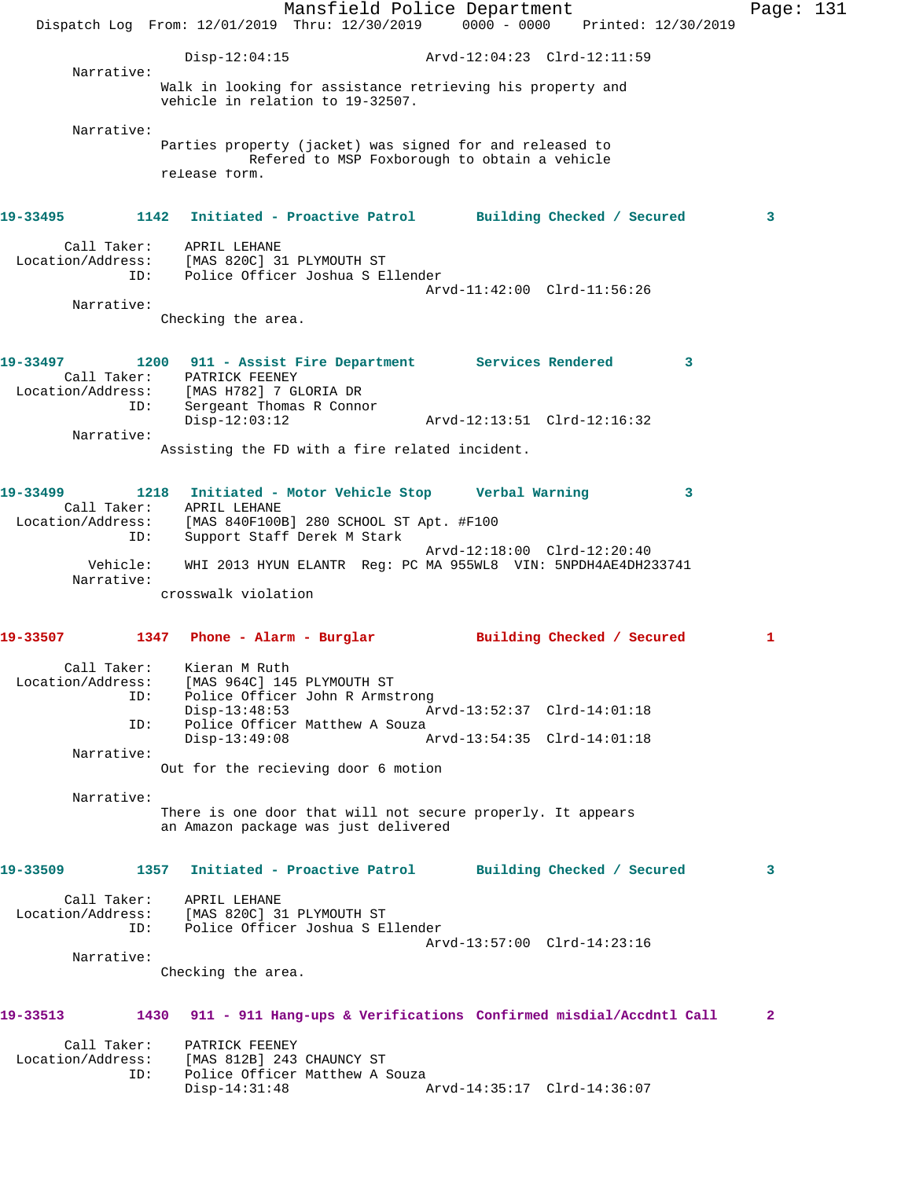Mansfield Police Department Fage: 131 Dispatch Log From: 12/01/2019 Thru: 12/30/2019 0000 - 0000 Printed: 12/30/2019 Disp-12:04:15 Arvd-12:04:23 Clrd-12:11:59 Narrative: Walk in looking for assistance retrieving his property and vehicle in relation to 19-32507. Narrative: Parties property (jacket) was signed for and released to Refered to MSP Foxborough to obtain a vehicle release form. **19-33495 1142 Initiated - Proactive Patrol Building Checked / Secured 3** Call Taker: APRIL LEHANE Location/Address: [MAS 820C] 31 PLYMOUTH ST ID: Police Officer Joshua S Ellender Arvd-11:42:00 Clrd-11:56:26 Narrative: Checking the area. **19-33497 1200 911 - Assist Fire Department Services Rendered 3**  Call Taker: PATRICK FEENEY Location/Address: [MAS H782] 7 GLORIA DR ID: Sergeant Thomas R Connor Disp-12:03:12 Arvd-12:13:51 Clrd-12:16:32 Narrative: Assisting the FD with a fire related incident. **19-33499 1218 Initiated - Motor Vehicle Stop Verbal Warning 3**  Call Taker: APRIL LEHANE Location/Address: [MAS 840F100B] 280 SCHOOL ST Apt. #F100 ID: Support Staff Derek M Stark Arvd-12:18:00 Clrd-12:20:40 Vehicle: WHI 2013 HYUN ELANTR Reg: PC MA 955WL8 VIN: 5NPDH4AE4DH233741 Narrative: crosswalk violation **19-33507 1347 Phone - Alarm - Burglar Building Checked / Secured 1** Call Taker: Kieran M Ruth Location/Address: [MAS 964C] 145 PLYMOUTH ST ID: Police Officer John R Armstrong<br>Disp-13:48:53 Ar Disp-13:48:53 Arvd-13:52:37 Clrd-14:01:18 ID: Police Officer Matthew A Souza<br>Disp-13:49:08 A Disp-13:49:08 Arvd-13:54:35 Clrd-14:01:18 Narrative: Out for the recieving door 6 motion Narrative: There is one door that will not secure properly. It appears an Amazon package was just delivered **19-33509 1357 Initiated - Proactive Patrol Building Checked / Secured 3** Call Taker: APRIL LEHANE Location/Address: [MAS 820C] 31 PLYMOUTH ST ID: Police Officer Joshua S Ellender Arvd-13:57:00 Clrd-14:23:16 Narrative: Checking the area. **19-33513 1430 911 - 911 Hang-ups & Verifications Confirmed misdial/Accdntl Call 2** Call Taker: PATRICK FEENEY Location/Address: [MAS 812B] 243 CHAUNCY ST ID: Police Officer Matthew A Souza<br>Disp-14:31:48 Arvd-14:35:17 Clrd-14:36:07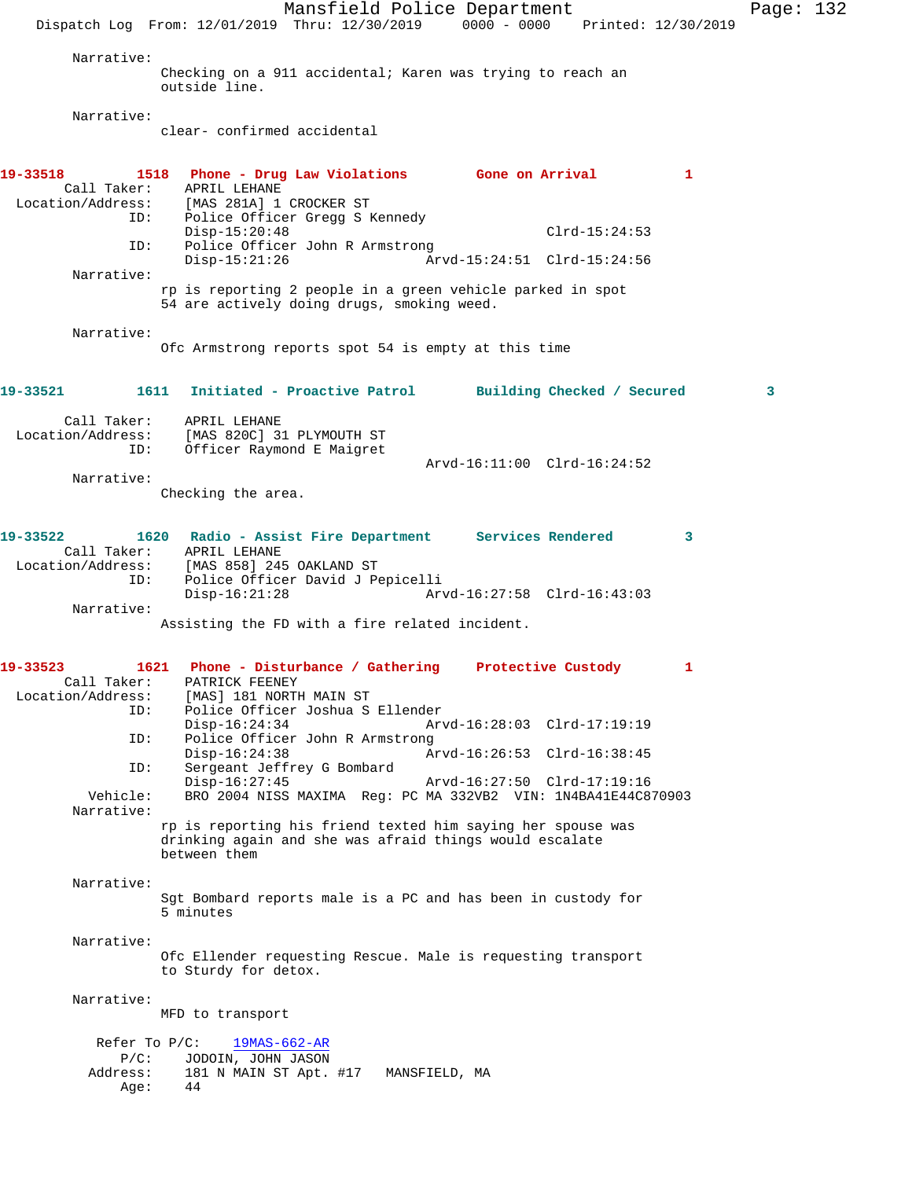Mansfield Police Department Page: 132 Dispatch Log From: 12/01/2019 Thru: 12/30/2019 0000 - 0000 Printed: 12/30/2019 Narrative: Checking on a 911 accidental; Karen was trying to reach an outside line. Narrative: clear- confirmed accidental **19-33518 1518 Phone - Drug Law Violations Gone on Arrival 1**  Call Taker: APRIL LEHANE<br>Location/Address: [MAS 281A] 1 ess: [MAS 281A] 1 CROCKER ST<br>ID: Police Officer Gregg S Police Officer Gregg S Kennedy Disp-15:20:48 Clrd-15:24:53 ID: Police Officer John R Armstrong<br>Disp-15:21:26 Ar Disp-15:21:26 Arvd-15:24:51 Clrd-15:24:56 Narrative: rp is reporting 2 people in a green vehicle parked in spot 54 are actively doing drugs, smoking weed. Narrative: Ofc Armstrong reports spot 54 is empty at this time **19-33521 1611 Initiated - Proactive Patrol Building Checked / Secured 3** Call Taker: APRIL LEHANE Location/Address: [MAS 820C] 31 PLYMOUTH ST ID: Officer Raymond E Maigret Arvd-16:11:00 Clrd-16:24:52 Narrative: Checking the area. **19-33522 1620 Radio - Assist Fire Department Services Rendered 3**  Call Taker: APRIL LEHANE Location/Address: [MAS 858] 245 OAKLAND ST ID: Police Officer David J Pepicelli Disp-16:21:28 Arvd-16:27:58 Clrd-16:43:03 Narrative: Assisting the FD with a fire related incident. **19-33523 1621 Phone - Disturbance / Gathering Protective Custody 1**  Call Taker: PATRICK FEENEY Location/Address: [MAS] 181 NORTH MAIN ST<br>ID: Police Officer Joshua S Police Officer Joshua S Ellender Disp-16:24:34 Arvd-16:28:03 Clrd-17:19:19<br>ID: Police Officer John R Armstrong Police Officer John R Armstrong<br>Disp-16:24:38 A Disp-16:24:38 Arvd-16:26:53 Clrd-16:38:45 ID: Sergeant Jeffrey G Bombard Disp-16:27:45 Arvd-16:27:50 Clrd-17:19:16<br>Vehicle: BRO 2004 NISS MAXIMA Req: PC MA 332VB2 VIN: 1N4BA41E44C8 BRO 2004 NISS MAXIMA Reg: PC MA 332VB2 VIN: 1N4BA41E44C870903 Narrative: rp is reporting his friend texted him saying her spouse was drinking again and she was afraid things would escalate between them Narrative: Sgt Bombard reports male is a PC and has been in custody for 5 minutes Narrative: Ofc Ellender requesting Rescue. Male is requesting transport to Sturdy for detox. Narrative: MFD to transport Refer To P/C: 19MAS-662-AR P/C: JODOIN, JOHN JASON<br>Address: 181 N MAIN ST Apt. 181 N MAIN ST Apt. #17 MANSFIELD, MA Age: 44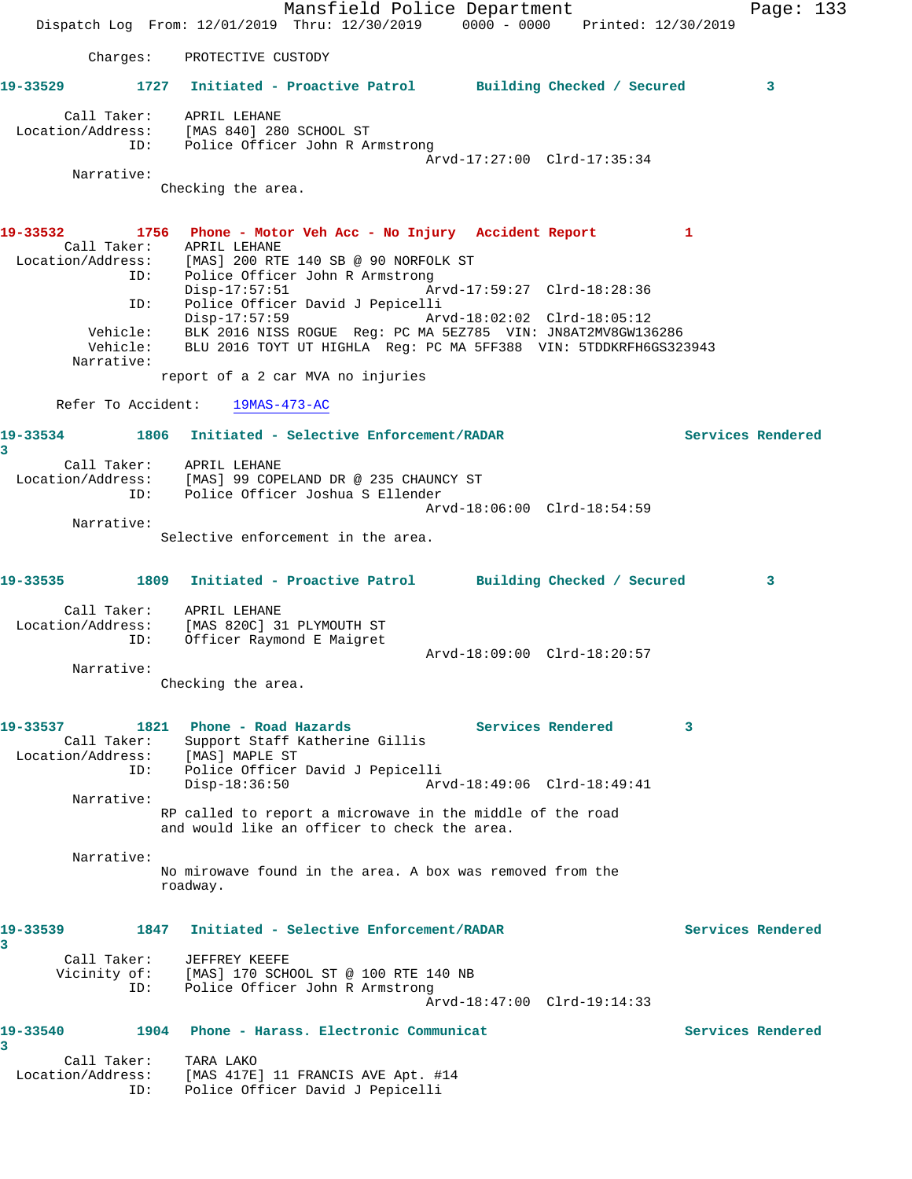Mansfield Police Department Fage: 133 Dispatch Log From: 12/01/2019 Thru: 12/30/2019 0000 - 0000 Printed: 12/30/2019 Charges: PROTECTIVE CUSTODY **19-33529 1727 Initiated - Proactive Patrol Building Checked / Secured 3** Call Taker: APRIL LEHANE Location/Address: [MAS 840] 280 SCHOOL ST ID: Police Officer John R Armstrong Arvd-17:27:00 Clrd-17:35:34 Narrative: Checking the area. **19-33532 1756 Phone - Motor Veh Acc - No Injury Accident Report 1**  Call Taker: APRIL LEHANE Location/Address: [MAS] 200 RTE 140 SB @ 90 NORFOLK ST ID: Police Officer John R Armstrong Disp-17:57:51 Arvd-17:59:27 Clrd-18:28:36 ID: Police Officer David J Pepicelli Arvd-18:02:02 Clrd-18:05:12 Vehicle: BLK 2016 NISS ROGUE Reg: PC MA 5EZ785 VIN: JN8AT2MV8GW136286 Vehicle: BLU 2016 TOYT UT HIGHLA Reg: PC MA 5FF388 VIN: 5TDDKRFH6GS323943 Narrative: report of a 2 car MVA no injuries Refer To Accident: 19MAS-473-AC **19-33534 1806 Initiated - Selective Enforcement/RADAR Services Rendered 3**  Call Taker: APRIL LEHANE Location/Address: [MAS] 99 COPELAND DR @ 235 CHAUNCY ST ID: Police Officer Joshua S Ellender Arvd-18:06:00 Clrd-18:54:59 Narrative: Selective enforcement in the area. **19-33535 1809 Initiated - Proactive Patrol Building Checked / Secured 3** Call Taker: APRIL LEHANE Location/Address: [MAS 820C] 31 PLYMOUTH ST ID: Officer Raymond E Maigret Arvd-18:09:00 Clrd-18:20:57 Narrative: Checking the area. **19-33537 1821 Phone - Road Hazards Services Rendered 3**  Call Taker: Support Staff Katherine Gillis Location/Address: [MAS] MAPLE ST ID: Police Officer David J Pepicelli Disp-18:36:50 Arvd-18:49:06 Clrd-18:49:41 Narrative: RP called to report a microwave in the middle of the road and would like an officer to check the area. Narrative: No mirowave found in the area. A box was removed from the roadway. **19-33539 1847 Initiated - Selective Enforcement/RADAR Services Rendered 3**  Call Taker: JEFFREY KEEFE Vicinity of: [MAS] 170 SCHOOL ST @ 100 RTE 140 NB ID: Police Officer John R Armstrong Arvd-18:47:00 Clrd-19:14:33 **19-33540 1904 Phone - Harass. Electronic Communicat Services Rendered 3**  Call Taker: TARA LAKO Location/Address: [MAS 417E] 11 FRANCIS AVE Apt. #14 ID: Police Officer David J Pepicelli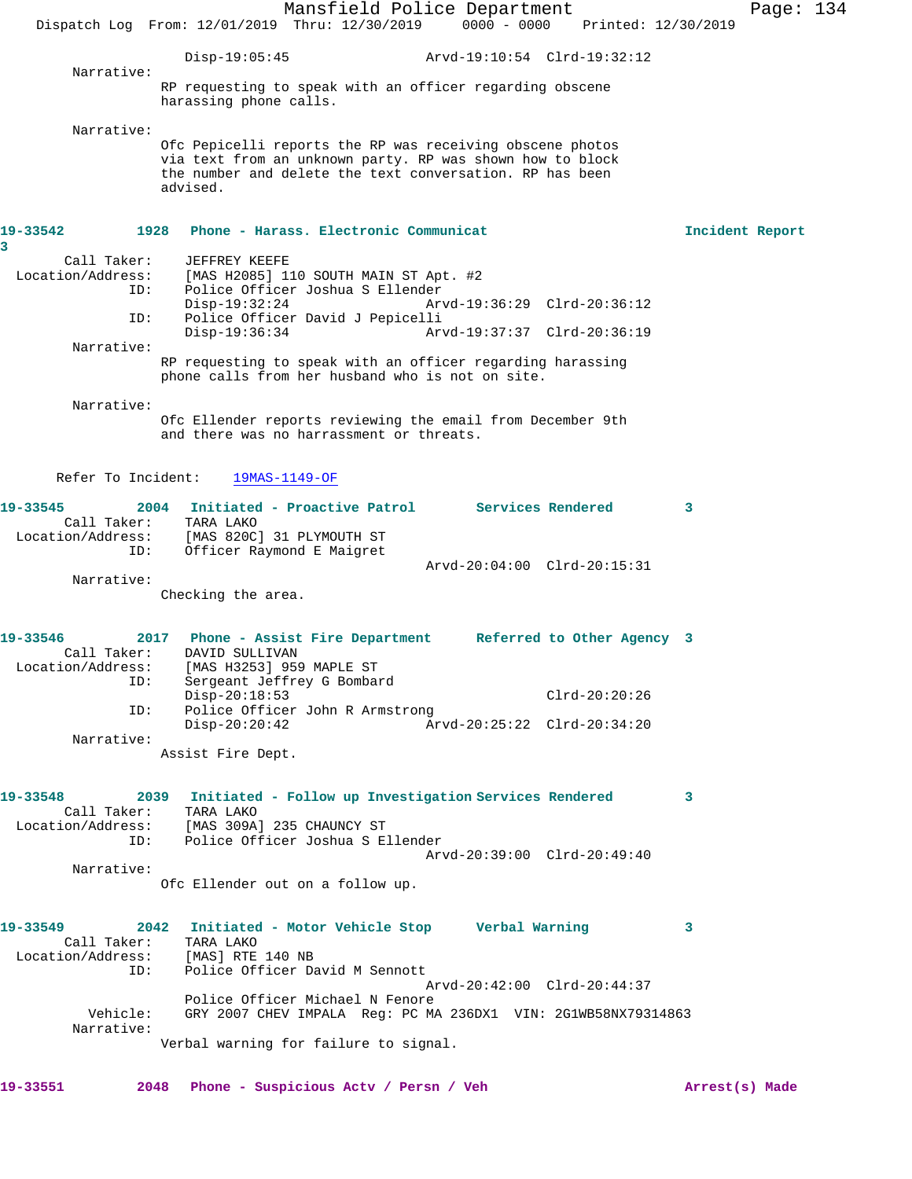Mansfield Police Department Page: 134 Dispatch Log From: 12/01/2019 Thru: 12/30/2019 0000 - 0000 Printed: 12/30/2019 Disp-19:05:45 Arvd-19:10:54 Clrd-19:32:12 Narrative: RP requesting to speak with an officer regarding obscene harassing phone calls. Narrative: Ofc Pepicelli reports the RP was receiving obscene photos via text from an unknown party. RP was shown how to block the number and delete the text conversation. RP has been advised. **19-33542 1928 Phone - Harass. Electronic Communicat Incident Report 3**  Call Taker: JEFFREY KEEFE<br>Location/Address: [MAS H2085] 1 [MAS H2085] 110 SOUTH MAIN ST Apt. #2 ID: Police Officer Joshua S Ellender Disp-19:32:24 Arvd-19:36:29 Clrd-20:36:12<br>ID: Police Officer David J Pepicelli ID: Police Officer David J Pepicelli Disp-19:36:34 Arvd-19:37:37 Clrd-20:36:19 Narrative: RP requesting to speak with an officer regarding harassing phone calls from her husband who is not on site. Narrative: Ofc Ellender reports reviewing the email from December 9th and there was no harrassment or threats. Refer To Incident: 19MAS-1149-OF **19-33545 2004 Initiated - Proactive Patrol Services Rendered 3**  Call Taker: TARA LAKO Location/Address: [MAS 820C] 31 PLYMOUTH ST ID: Officer Raymond E Maigret Arvd-20:04:00 Clrd-20:15:31 Narrative: Checking the area. **19-33546 2017 Phone - Assist Fire Department Referred to Other Agency 3**  Call Taker: DAVID SULLIVAN Location/Address: [MAS H3253] 959 MAPLE ST ess: [MAS H3253] 959 MAPLE ST<br>ID: Sergeant Jeffrey G Bombard Disp-20:18:53 Clrd-20:20:26 ID: Police Officer John R Armstrong<br>Disp-20:20:42 Ar Disp-20:20:42 Arvd-20:25:22 Clrd-20:34:20 Narrative: Assist Fire Dept. **19-33548 2039 Initiated - Follow up Investigation Services Rendered 3**  Call Taker: TARA LAKO Location/Address: [MAS 309A] 235 CHAUNCY ST ID: Police Officer Joshua S Ellender Arvd-20:39:00 Clrd-20:49:40 Narrative: Ofc Ellender out on a follow up. **19-33549 2042 Initiated - Motor Vehicle Stop Verbal Warning 3**  Call Taker: TARA LAKO<br>ion/Address: [MAS] RTE 140 NB Location/Address: ID: Police Officer David M Sennott Arvd-20:42:00 Clrd-20:44:37 Police Officer Michael N Fenore<br>Vehicle: GRY 2007 CHEV IMPALA Reg: PC MA GRY 2007 CHEV IMPALA Reg: PC MA 236DX1 VIN: 2G1WB58NX79314863 Narrative: Verbal warning for failure to signal. **19-33551 2048 Phone - Suspicious Actv / Persn / Veh Arrest(s) Made**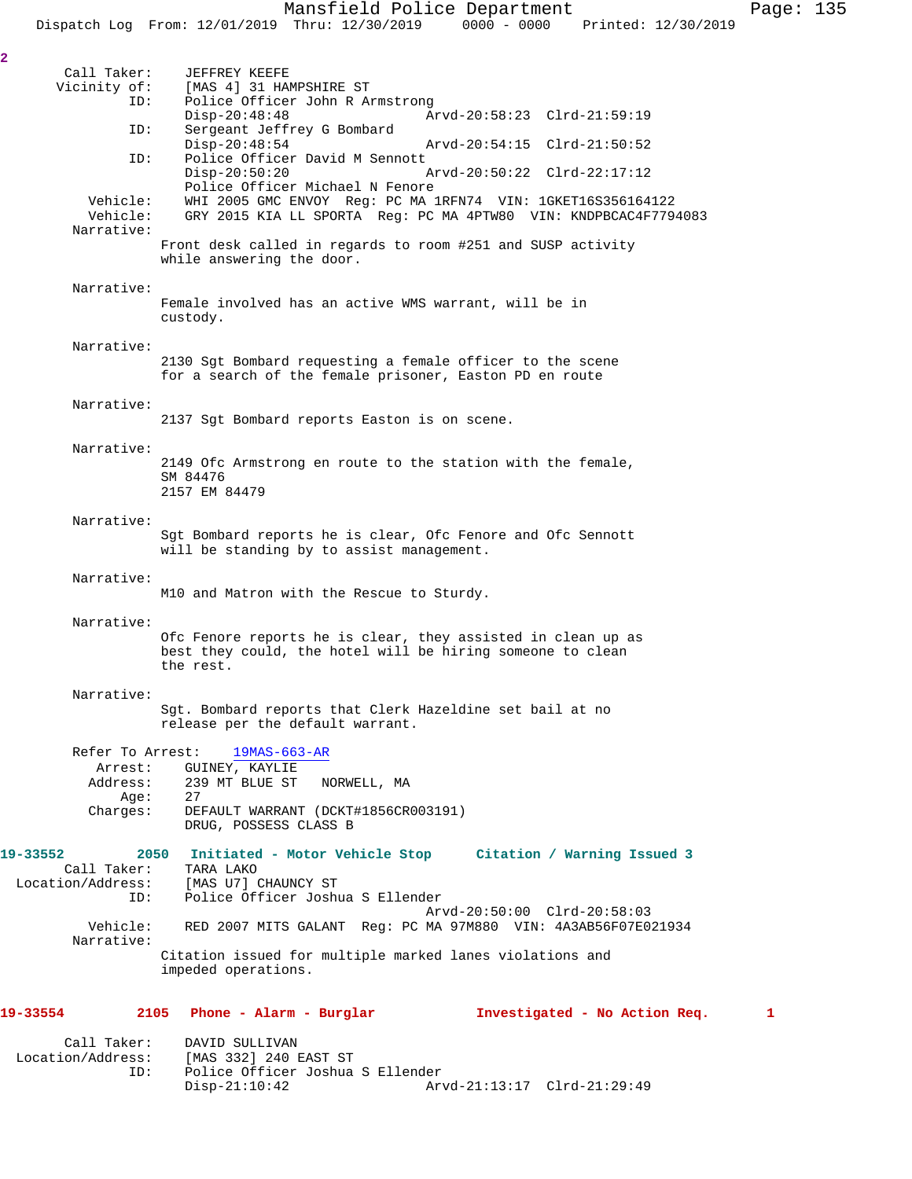Call Taker: JEFFREY KEEFE<br>Vicinity of: [MAS 4] 31 HAI [MAS 4] 31 HAMPSHIRE ST ID: Police Officer John R Armstrong Disp-20:48:48 Arvd-20:58:23 Clrd-21:59:19<br>ID: Sergeant Jeffrey G Bombard Sergeant Jeffrey G Bombard<br>Disp-20:48:54 Arvd-20:54:15 Clrd-21:50:52 ID: Police Officer David M Sennott<br>Disp-20:50:20 1 Disp-20:50:20 Arvd-20:50:22 Clrd-22:17:12 Police Officer Michael N Fenore Vehicle: WHI 2005 GMC ENVOY Reg: PC MA 1RFN74 VIN: 1GKET16S356164122 Vehicle: GRY 2015 KIA LL SPORTA Reg: PC MA 4PTW80 VIN: KNDPBCAC4F7794083 Narrative: Front desk called in regards to room #251 and SUSP activity while answering the door. Narrative: Female involved has an active WMS warrant, will be in custody. Narrative: 2130 Sgt Bombard requesting a female officer to the scene for a search of the female prisoner, Easton PD en route Narrative: 2137 Sgt Bombard reports Easton is on scene. Narrative: 2149 Ofc Armstrong en route to the station with the female, SM 84476 2157 EM 84479 Narrative: Sgt Bombard reports he is clear, Ofc Fenore and Ofc Sennott will be standing by to assist management. Narrative: M10 and Matron with the Rescue to Sturdy. Narrative: Ofc Fenore reports he is clear, they assisted in clean up as best they could, the hotel will be hiring someone to clean the rest. Narrative: Sgt. Bombard reports that Clerk Hazeldine set bail at no release per the default warrant. Refer To Arrest: 19MAS-663-AR Arrest: GUINEY, KAYLIE<br>Address: 239 MT BLUE ST 239 MT BLUE ST NORWELL, MA Age: 27<br>Charges: DE DEFAULT WARRANT (DCKT#1856CR003191) DRUG, POSSESS CLASS B **19-33552 2050 Initiated - Motor Vehicle Stop Citation / Warning Issued 3**  Call Taker: TARA LAKO Location/Address: [MAS U7] CHAUNCY ST ID: Police Officer Joshua S Ellender Arvd-20:50:00 Clrd-20:58:03 Vehicle: RED 2007 MITS GALANT Reg: PC MA 97M880 VIN: 4A3AB56F07E021934 Narrative: Citation issued for multiple marked lanes violations and impeded operations. **19-33554 2105 Phone - Alarm - Burglar Investigated - No Action Req. 1** Call Taker: DAVID SULLIVAN<br>Location/Address: [MAS 332] 240 1

ess: [MAS 332] 240 EAST ST<br>ID: Police Officer Joshua

Police Officer Joshua S Ellender<br>Disp-21:10:42 Ar

Arvd-21:13:17 Clrd-21:29:49

**2**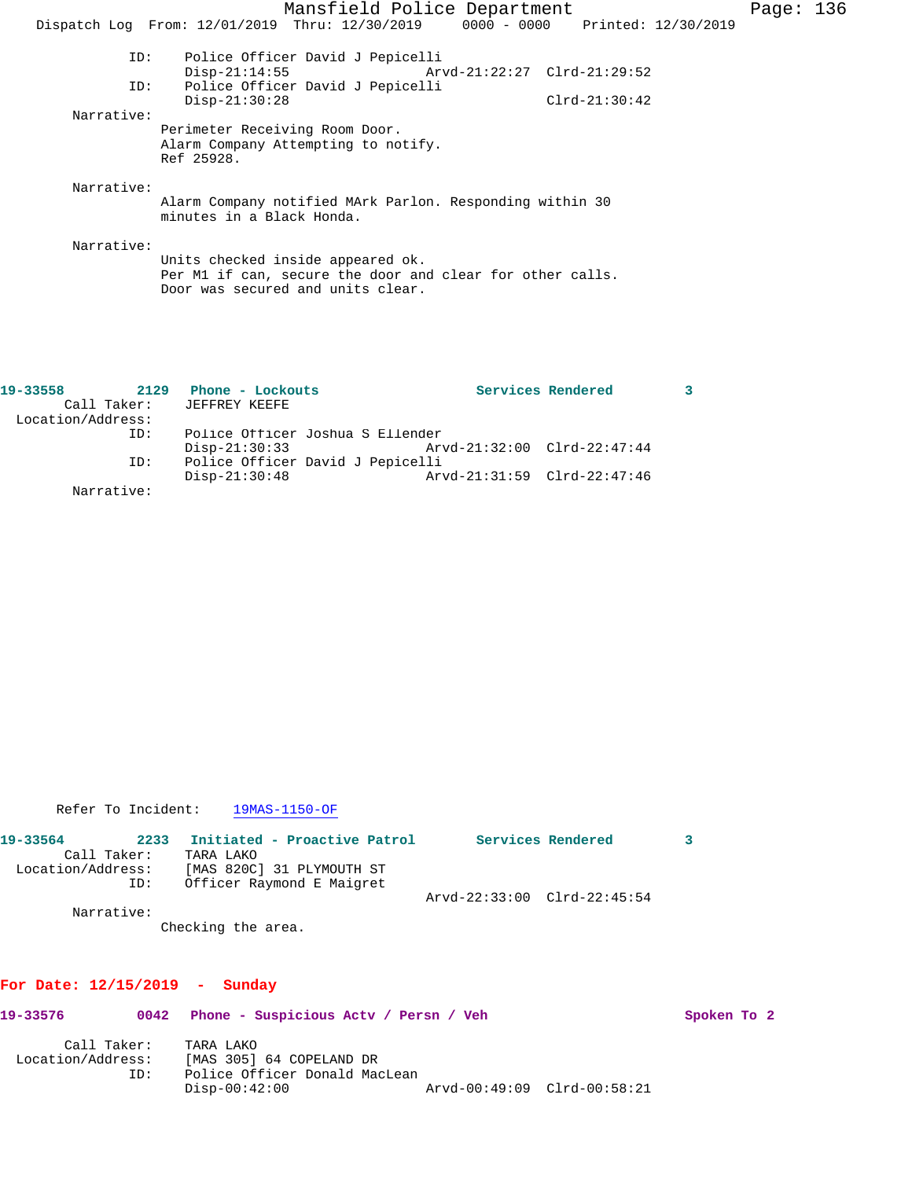| Mansfield Police Department                                                    | Page: $136$ |
|--------------------------------------------------------------------------------|-------------|
| Dispatch Log From: 12/01/2019 Thru: 12/30/2019 0000 - 0000 Printed: 12/30/2019 |             |
|                                                                                |             |
| Police Officer David J Pepicelli<br>ID:                                        |             |
| $Disp-21:14:55$<br>Arvd-21:22:27 Clrd-21:29:52                                 |             |
| Police Officer David J Pepicelli<br>ID:                                        |             |
| $Disp-21:30:28$<br>$Clrd-21:30:42$                                             |             |
| Narrative:                                                                     |             |
| Perimeter Receiving Room Door.                                                 |             |
| Alarm Company Attempting to notify.                                            |             |
| Ref 25928.                                                                     |             |
|                                                                                |             |
| Narrative:                                                                     |             |
| Alarm Company notified MArk Parlon. Responding within 30                       |             |
| minutes in a Black Honda.                                                      |             |
|                                                                                |             |
| Narrative:                                                                     |             |
| Units checked inside appeared ok.                                              |             |
| Per M1 if can, secure the door and clear for other calls.                      |             |
| Door was secured and units clear.                                              |             |

| 19-33558          | 2129        | Phone - Lockouts                 |                             | Services Rendered |  |
|-------------------|-------------|----------------------------------|-----------------------------|-------------------|--|
|                   | Call Taker: | JEFFREY KEEFE                    |                             |                   |  |
| Location/Address: |             |                                  |                             |                   |  |
|                   | ID:         | Police Officer Joshua S Ellender |                             |                   |  |
|                   |             | $Disp-21:30:33$                  | Arvd-21:32:00 Clrd-22:47:44 |                   |  |
|                   | ID:         | Police Officer David J Pepicelli |                             |                   |  |
|                   |             | $Disp-21:30:48$                  | Arvd-21:31:59 Clrd-22:47:46 |                   |  |
|                   | Narrative:  |                                  |                             |                   |  |

Refer To Incident: 19MAS-1150-OF

| 19-33564          | 2233        | Initiated - Proactive Patrol |                             | Services Rendered |  |
|-------------------|-------------|------------------------------|-----------------------------|-------------------|--|
|                   | Call Taker: | TARA LAKO                    |                             |                   |  |
| Location/Address: |             | [MAS 820C] 31 PLYMOUTH ST    |                             |                   |  |
|                   | ID:         | Officer Raymond E Maigret    |                             |                   |  |
|                   |             |                              | Arvd-22:33:00 Clrd-22:45:54 |                   |  |
|                   | Narrative:  |                              |                             |                   |  |

Checking the area.

## **For Date: 12/15/2019 - Sunday**

| 19-33576                         | 0042 | Phone - Suspicious Actv / Persn / Veh                                                     |                             | Spoken To 2 |  |
|----------------------------------|------|-------------------------------------------------------------------------------------------|-----------------------------|-------------|--|
| Call Taker:<br>Location/Address: | ID:  | TARA LAKO<br>[MAS 305] 64 COPELAND DR<br>Police Officer Donald MacLean<br>$Disp-00:42:00$ | Arvd-00:49:09 Clrd-00:58:21 |             |  |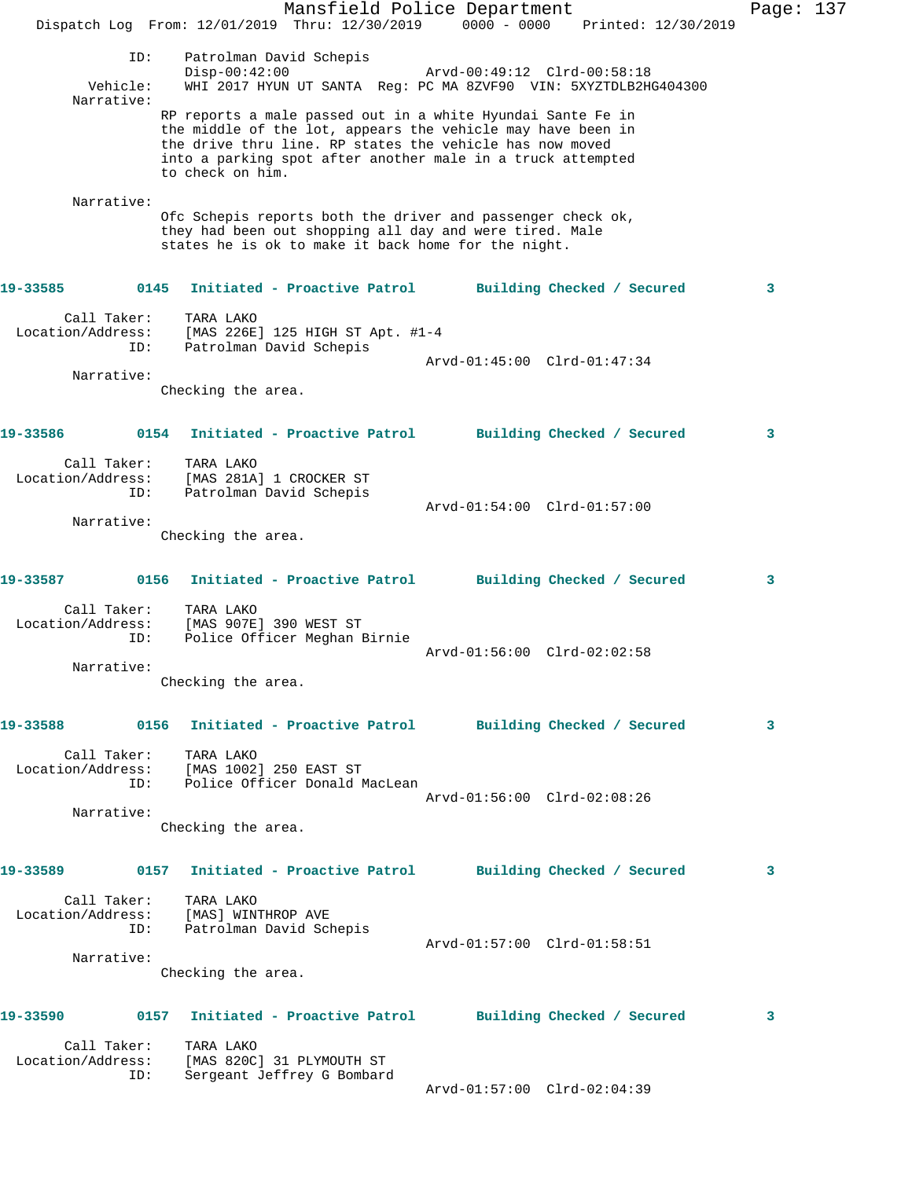|                                  |      | Dispatch Log From: 12/01/2019 Thru: 12/30/2019 0000 - 0000                                                                                                                                                                                                                |  | Mansfield Police Department |  | Printed: 12/30/2019 | Page: $137$ |  |
|----------------------------------|------|---------------------------------------------------------------------------------------------------------------------------------------------------------------------------------------------------------------------------------------------------------------------------|--|-----------------------------|--|---------------------|-------------|--|
| Vehicle:<br>Narrative:           | ID:  | Patrolman David Schepis<br>$Disp-00:42:00$<br>WHI 2017 HYUN UT SANTA Reg: PC MA 8ZVF90 VIN: 5XYZTDLB2HG404300                                                                                                                                                             |  | Arvd-00:49:12 Clrd-00:58:18 |  |                     |             |  |
|                                  |      | RP reports a male passed out in a white Hyundai Sante Fe in<br>the middle of the lot, appears the vehicle may have been in<br>the drive thru line. RP states the vehicle has now moved<br>into a parking spot after another male in a truck attempted<br>to check on him. |  |                             |  |                     |             |  |
| Narrative:                       |      | Ofc Schepis reports both the driver and passenger check ok,<br>they had been out shopping all day and were tired. Male<br>states he is ok to make it back home for the night.                                                                                             |  |                             |  |                     |             |  |
| 19-33585                         | 0145 | Initiated - Proactive Patrol                                                                                                                                                                                                                                              |  | Building Checked / Secured  |  |                     | 3           |  |
| Call Taker:<br>Location/Address: | ID:  | TARA LAKO<br>[MAS 226E] 125 HIGH ST Apt. #1-4<br>Patrolman David Schepis                                                                                                                                                                                                  |  |                             |  |                     |             |  |
|                                  |      |                                                                                                                                                                                                                                                                           |  | Arvd-01:45:00 Clrd-01:47:34 |  |                     |             |  |
| Narrative:                       |      | Checking the area.                                                                                                                                                                                                                                                        |  |                             |  |                     |             |  |
| 19-33586                         |      | 0154 Initiated - Proactive Patrol                                                                                                                                                                                                                                         |  | Building Checked / Secured  |  |                     | 3           |  |
| Call Taker:<br>Location/Address: | ID:  | TARA LAKO<br>[MAS 281A] 1 CROCKER ST<br>Patrolman David Schepis                                                                                                                                                                                                           |  | Arvd-01:54:00 Clrd-01:57:00 |  |                     |             |  |
| Narrative:                       |      | Checking the area.                                                                                                                                                                                                                                                        |  |                             |  |                     |             |  |
| 19-33587                         |      | 0156 Initiated - Proactive Patrol                                                                                                                                                                                                                                         |  | Building Checked / Secured  |  |                     | 3           |  |
| Call Taker:<br>Location/Address: | ID:  | TARA LAKO<br>[MAS 907E] 390 WEST ST<br>Police Officer Meghan Birnie                                                                                                                                                                                                       |  | Arvd-01:56:00 Clrd-02:02:58 |  |                     |             |  |
| Narrative:                       |      |                                                                                                                                                                                                                                                                           |  |                             |  |                     |             |  |
|                                  |      | Checking the area.                                                                                                                                                                                                                                                        |  |                             |  |                     |             |  |
| 19-33588                         |      | 0156 Initiated - Proactive Patrol Building Checked / Secured                                                                                                                                                                                                              |  |                             |  |                     | 3           |  |
| Call Taker:                      |      | TARA LAKO<br>Location/Address: [MAS 1002] 250 EAST ST<br>ID: Police Officer Donald MacLean                                                                                                                                                                                |  |                             |  |                     |             |  |
| Narrative:                       |      |                                                                                                                                                                                                                                                                           |  | Arvd-01:56:00 Clrd-02:08:26 |  |                     |             |  |
|                                  |      | Checking the area.                                                                                                                                                                                                                                                        |  |                             |  |                     |             |  |
| 19-33589                         |      | 0157 Initiated - Proactive Patrol Building Checked / Secured                                                                                                                                                                                                              |  |                             |  |                     | 3           |  |
| Call Taker:                      | ID:  | TARA LAKO<br>Location/Address: [MAS] WINTHROP AVE<br>Patrolman David Schepis                                                                                                                                                                                              |  |                             |  |                     |             |  |
| Narrative:                       |      |                                                                                                                                                                                                                                                                           |  | Arvd-01:57:00 Clrd-01:58:51 |  |                     |             |  |
|                                  |      | Checking the area.                                                                                                                                                                                                                                                        |  |                             |  |                     |             |  |
| 19-33590                         |      | 0157 Initiated - Proactive Patrol Building Checked / Secured                                                                                                                                                                                                              |  |                             |  |                     | 3           |  |
| Call Taker:<br>Location/Address: | ID:  | TARA LAKO<br>[MAS 820C] 31 PLYMOUTH ST<br>Sergeant Jeffrey G Bombard                                                                                                                                                                                                      |  | Arvd-01:57:00 Clrd-02:04:39 |  |                     |             |  |
|                                  |      |                                                                                                                                                                                                                                                                           |  |                             |  |                     |             |  |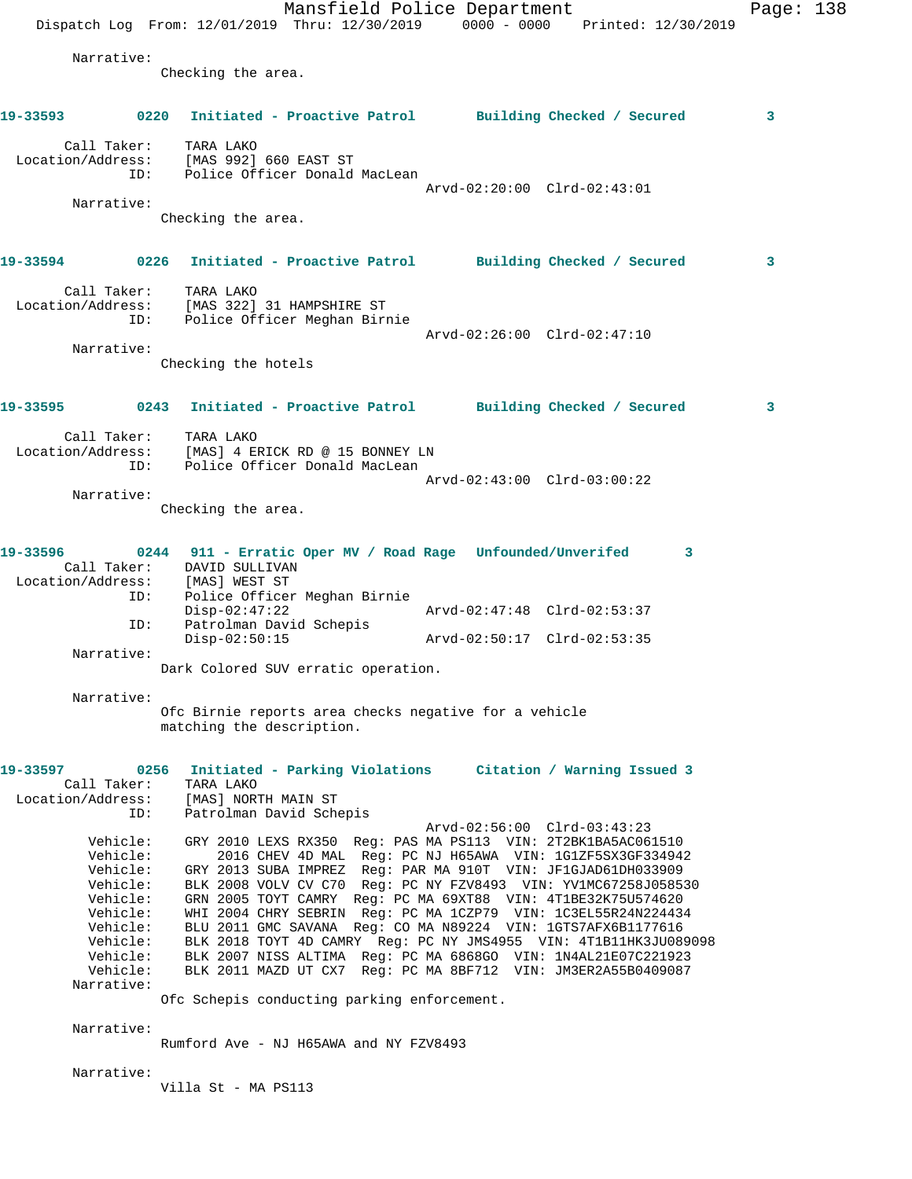Mansfield Police Department Page: 138 Dispatch Log From: 12/01/2019 Thru: 12/30/2019 0000 - 0000 Printed: 12/30/2019 Narrative: Checking the area. **19-33593 0220 Initiated - Proactive Patrol Building Checked / Secured 3** Call Taker: TARA LAKO Location/Address: [MAS 992] 660 EAST ST ID: Police Officer Donald MacLean Arvd-02:20:00 Clrd-02:43:01 Narrative: Checking the area. **19-33594 0226 Initiated - Proactive Patrol Building Checked / Secured 3** Call Taker: TARA LAKO Location/Address: [MAS 322] 31 HAMPSHIRE ST ID: Police Officer Meghan Birnie Arvd-02:26:00 Clrd-02:47:10 Narrative: Checking the hotels **19-33595 0243 Initiated - Proactive Patrol Building Checked / Secured 3** Call Taker: TARA LAKO Location/Address: [MAS] 4 ERICK RD @ 15 BONNEY LN ID: Police Officer Donald MacLean Arvd-02:43:00 Clrd-03:00:22 Narrative: Checking the area. **19-33596 0244 911 - Erratic Oper MV / Road Rage Unfounded/Unverifed 3**  Call Taker: DAVID SULLIVAN<br>ion/Address: [MAS] WEST ST Location/Address:<br>ID: Police Officer Meghan Birnie<br>Disp-02:47:22 Disp-02:47:22 Arvd-02:47:48 Clrd-02:53:37 ID: Patrolman David Schepis Disp-02:50:15 Arvd-02:50:17 Clrd-02:53:35 Narrative: Dark Colored SUV erratic operation. Narrative: Ofc Birnie reports area checks negative for a vehicle matching the description. **19-33597 0256 Initiated - Parking Violations Citation / Warning Issued 3**  Call Taker: TARA LAKO Location/Address: [MAS] NORTH MAIN ST ID: Patrolman David Schepis Arvd-02:56:00 Clrd-03:43:23 Vehicle: GRY 2010 LEXS RX350 Reg: PAS MA PS113 VIN: 2T2BK1BA5AC061510 Vehicle: 2016 CHEV 4D MAL Reg: PC NJ H65AWA VIN: 1G1ZF5SX3GF334942 Vehicle: GRY 2013 SUBA IMPREZ Reg: PAR MA 910T VIN: JF1GJAD61DH033909 Vehicle: BLK 2008 VOLV CV C70 Reg: PC NY FZV8493 VIN: YV1MC67258J058530 Vehicle: GRN 2005 TOYT CAMRY Reg: PC MA 69XT88 VIN: 4T1BE32K75U574620 Vehicle: WHI 2004 CHRY SEBRIN Reg: PC MA 1CZP79 VIN: 1C3EL55R24N224434 Vehicle: BLU 2011 GMC SAVANA Reg: CO MA N89224 VIN: 1GTS7AFX6B1177616 Vehicle: BLK 2018 TOYT 4D CAMRY Reg: PC NY JMS4955 VIN: 4T1B11HK3JU089098 Vehicle: BLK 2007 NISS ALTIMA Reg: PC MA 6868GO VIN: 1N4AL21E07C221923 Vehicle: BLK 2011 MAZD UT CX7 Reg: PC MA 8BF712 VIN: JM3ER2A55B0409087 Narrative: Ofc Schepis conducting parking enforcement. Narrative: Rumford Ave - NJ H65AWA and NY FZV8493 Narrative: Villa St - MA PS113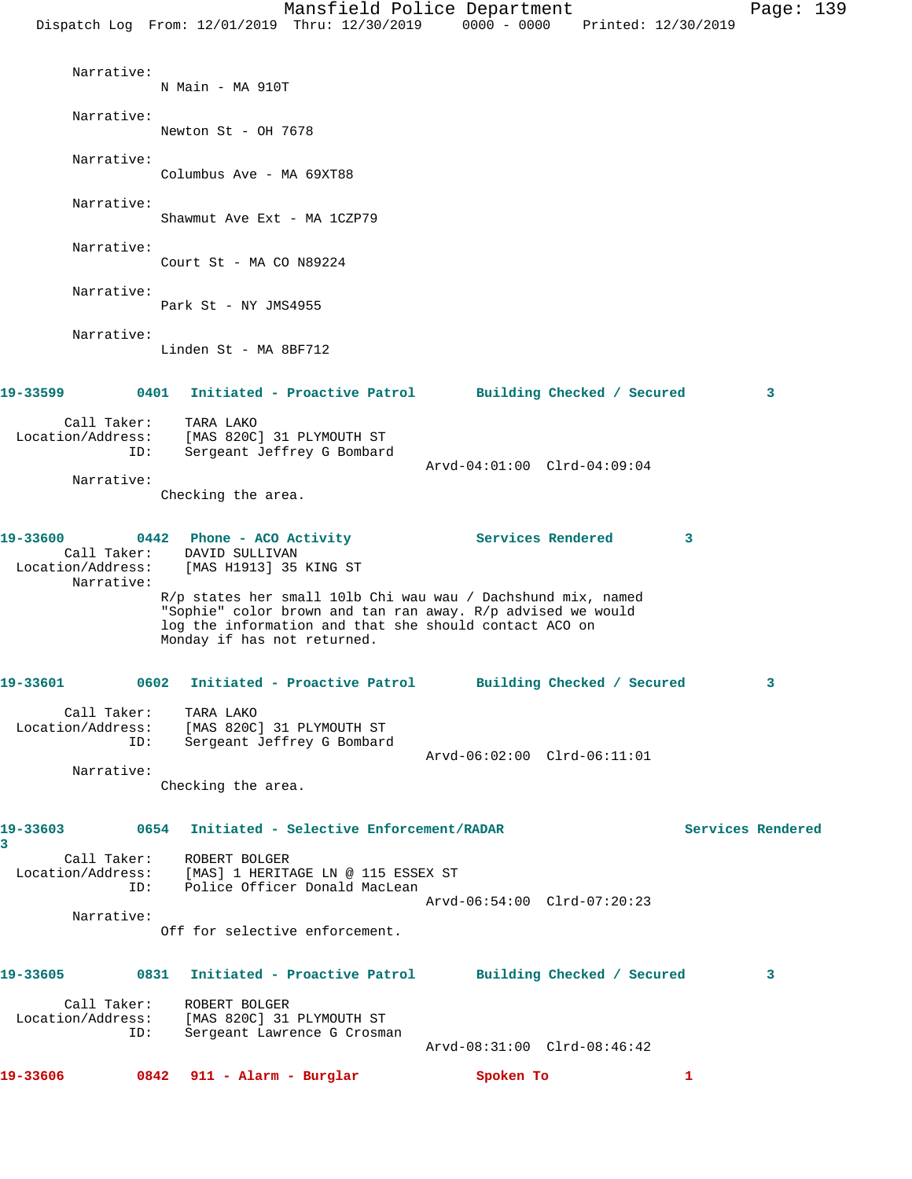| Dispatch Log From: 12/01/2019 Thru: 12/30/2019 0000 - 0000 Printed: 12/30/2019 |     |                                          |                                                          | Mansfield Police Department                                                                                                                                                           |                            |              | Page: 139         |  |
|--------------------------------------------------------------------------------|-----|------------------------------------------|----------------------------------------------------------|---------------------------------------------------------------------------------------------------------------------------------------------------------------------------------------|----------------------------|--------------|-------------------|--|
| Narrative:                                                                     |     | N Main - MA 910T                         |                                                          |                                                                                                                                                                                       |                            |              |                   |  |
| Narrative:                                                                     |     | Newton St - OH 7678                      |                                                          |                                                                                                                                                                                       |                            |              |                   |  |
| Narrative:                                                                     |     | Columbus Ave - MA 69XT88                 |                                                          |                                                                                                                                                                                       |                            |              |                   |  |
| Narrative:                                                                     |     |                                          | Shawmut Ave Ext - MA 1CZP79                              |                                                                                                                                                                                       |                            |              |                   |  |
| Narrative:                                                                     |     | Court St - MA CO N89224                  |                                                          |                                                                                                                                                                                       |                            |              |                   |  |
| Narrative:                                                                     |     | Park St - NY JMS4955                     |                                                          |                                                                                                                                                                                       |                            |              |                   |  |
| Narrative:                                                                     |     | Linden St - MA 8BF712                    |                                                          |                                                                                                                                                                                       |                            |              |                   |  |
| 19-33599                                                                       |     |                                          | 0401 Initiated - Proactive Patrol                        |                                                                                                                                                                                       | Building Checked / Secured |              | 3                 |  |
| Call Taker:<br>Location/Address:                                               | ID: | TARA LAKO                                | [MAS 820C] 31 PLYMOUTH ST<br>Sergeant Jeffrey G Bombard  |                                                                                                                                                                                       |                            |              |                   |  |
| Narrative:                                                                     |     | Checking the area.                       |                                                          | Arvd-04:01:00 Clrd-04:09:04                                                                                                                                                           |                            |              |                   |  |
| 19-33600<br>Call Taker:<br>Location/Address:<br>Narrative:                     |     | DAVID SULLIVAN<br>[MAS H1913] 35 KING ST | 0442 Phone - ACO Activity                                | Services Rendered                                                                                                                                                                     |                            | 3            |                   |  |
|                                                                                |     |                                          | Monday if has not returned.                              | R/p states her small 101b Chi wau wau / Dachshund mix, named<br>"Sophie" color brown and tan ran away. R/p advised we would<br>log the information and that she should contact ACO on |                            |              |                   |  |
| 19-33601                                                                       |     |                                          |                                                          | 0602 Initiated - Proactive Patrol Building Checked / Secured                                                                                                                          |                            |              | 3                 |  |
| Call Taker:<br>Location/Address: [MAS 820C] 31 PLYMOUTH ST                     | ID: | TARA LAKO                                | Sergeant Jeffrey G Bombard                               | Arvd-06:02:00 Clrd-06:11:01                                                                                                                                                           |                            |              |                   |  |
| Narrative:                                                                     |     | Checking the area.                       |                                                          |                                                                                                                                                                                       |                            |              |                   |  |
| 19-33603<br>3                                                                  |     |                                          | 0654 Initiated - Selective Enforcement/RADAR             |                                                                                                                                                                                       |                            |              | Services Rendered |  |
| Call Taker:<br>Location/Address: [MAS] 1 HERITAGE LN @ 115 ESSEX ST            |     | ROBERT BOLGER                            | ID: Police Officer Donald MacLean                        |                                                                                                                                                                                       |                            |              |                   |  |
| Narrative:                                                                     |     |                                          |                                                          | Arvd-06:54:00 Clrd-07:20:23                                                                                                                                                           |                            |              |                   |  |
|                                                                                |     |                                          | Off for selective enforcement.                           |                                                                                                                                                                                       |                            |              |                   |  |
| 19-33605                                                                       |     |                                          |                                                          | 0831 Initiated - Proactive Patrol Building Checked / Secured                                                                                                                          |                            |              | 3                 |  |
| Call Taker:<br>Location/Address:                                               | ID: | ROBERT BOLGER                            | [MAS 820C] 31 PLYMOUTH ST<br>Sergeant Lawrence G Crosman | Arvd-08:31:00 Clrd-08:46:42                                                                                                                                                           |                            |              |                   |  |
| 19-33606                                                                       |     | $0842$ 911 - Alarm - Burglar             |                                                          | Spoken To                                                                                                                                                                             |                            | $\mathbf{1}$ |                   |  |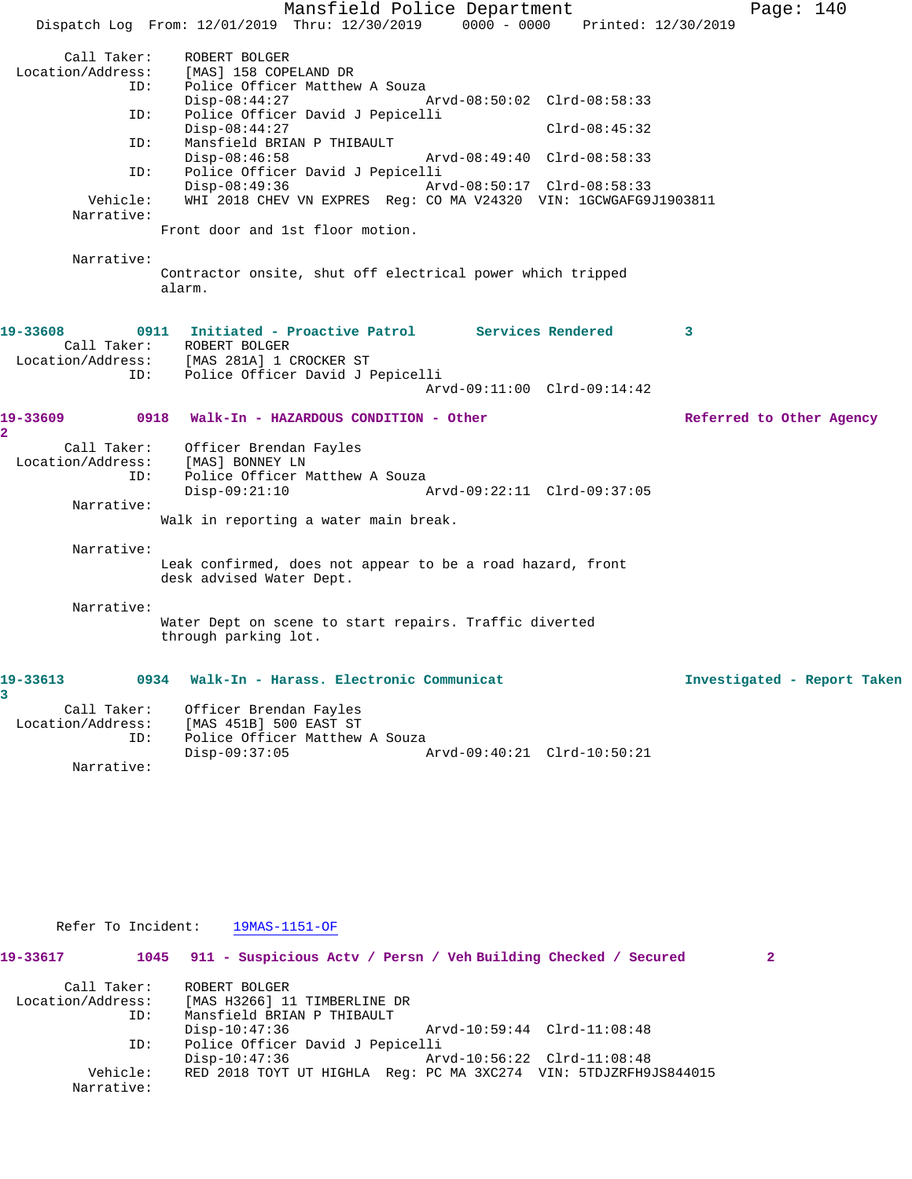Mansfield Police Department Fage: 140 Dispatch Log From: 12/01/2019 Thru: 12/30/2019 0000 - 0000 Printed: 12/30/2019 Call Taker: ROBERT BOLGER Location/Address: [MAS] 158 COPELAND DR ID: Police Officer Matthew A Souza Disp-08:44:27 Arvd-08:50:02 Clrd-08:58:33 ID: Police Officer David J Pepicelli Disp-08:44:27 Clrd-08:45:32 ID: Mansfield BRIAN P THIBAULT Disp-08:46:58 Arvd-08:49:40 Clrd-08:58:33<br>ID: Police Officer David J Pepicelli Police Officer David J Pepicelli Disp-08:49:36 Arvd-08:50:17 Clrd-08:58:33 Vehicle: WHI 2018 CHEV VN EXPRES Reg: CO MA V24320 VIN: 1GCWGAFG9J1903811 Narrative: Front door and 1st floor motion. Narrative: Contractor onsite, shut off electrical power which tripped alarm. **19-33608 0911 Initiated - Proactive Patrol Services Rendered 3**  Call Taker: ROBERT BOLGER<br>Location/Address: [MAS 281A] 1 ( [MAS 281A] 1 CROCKER ST ID: Police Officer David J Pepicelli Arvd-09:11:00 Clrd-09:14:42 **19-33609 0918 Walk-In - HAZARDOUS CONDITION - Other Referred to Other Agency 2**  Call Taker: Officer Brendan Fayles Location/Address: [MAS] BONNEY LN ID: Police Officer Matthew A Souza Disp-09:21:10 Arvd-09:22:11 Clrd-09:37:05 Narrative: Walk in reporting a water main break. Narrative: Leak confirmed, does not appear to be a road hazard, front desk advised Water Dept. Narrative: Water Dept on scene to start repairs. Traffic diverted through parking lot. **19-33613 0934 Walk-In - Harass. Electronic Communicat Investigated - Report Taken 3**  Call Taker: Officer Brendan Fayles Location/Address: [MAS 451B] 500 EAST ST ID: Police Officer Matthew A Souza Disp-09:37:05 Arvd-09:40:21 Clrd-10:50:21

 Refer To Incident: 19MAS-1151-OF **19-33617 1045 911 - Suspicious Actv / Persn / Veh Building Checked / Secured 2** Call Taker: ROBERT BOLGER Location/Address: [MAS H3266] 11 TIMBERLINE DR ID: Mansfield BRIAN P THIBAULT Disp-10:47:36 Arvd-10:59:44 Clrd-11:08:48 ID: Police Officer David J Pepicelli Disp-10:47:36 Arvd-10:56:22 Clrd-11:08:48 Vehicle: RED 2018 TOYT UT HIGHLA Reg: PC MA 3XC274 VIN: 5TDJZRFH9JS844015 Narrative:

Narrative: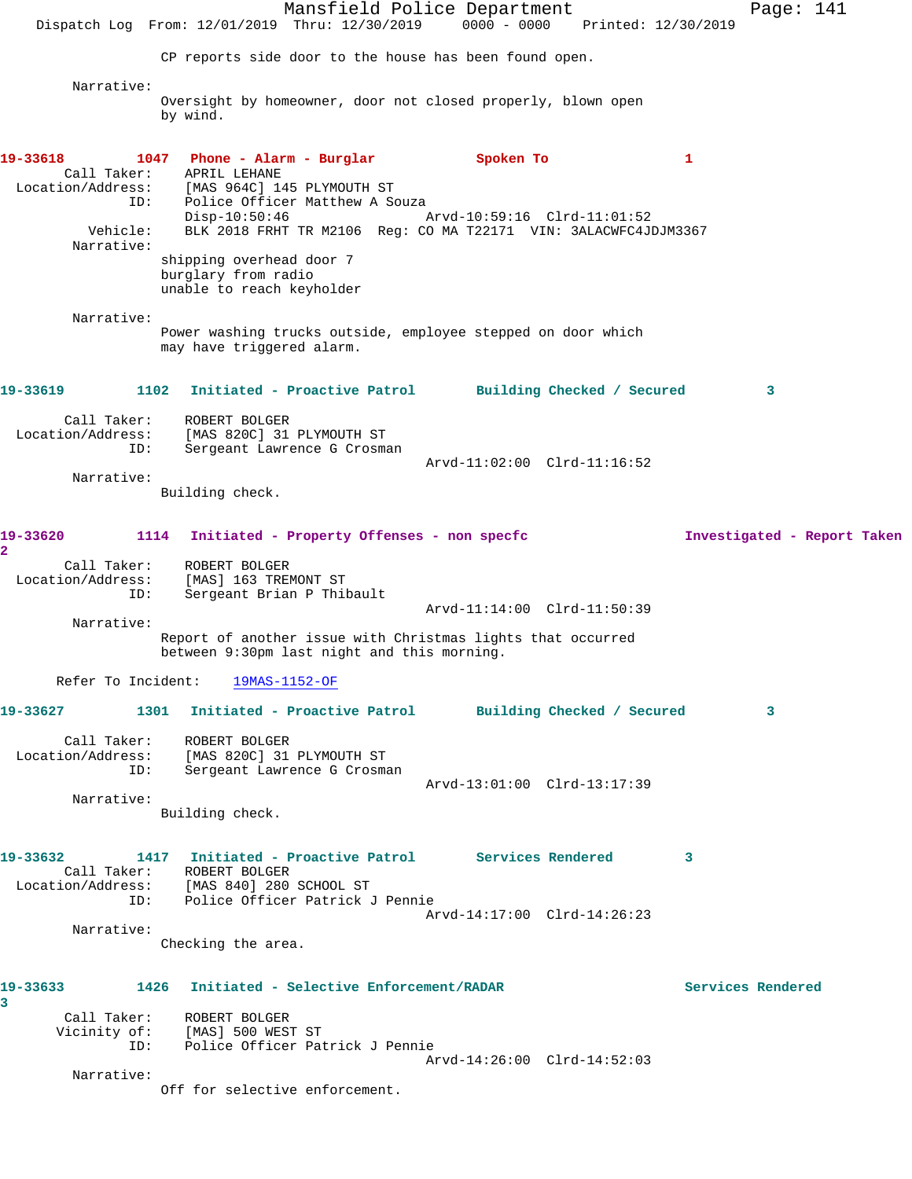Mansfield Police Department Page: 141 Dispatch Log From: 12/01/2019 Thru: 12/30/2019 0000 - 0000 Printed: 12/30/2019 CP reports side door to the house has been found open. Narrative: Oversight by homeowner, door not closed properly, blown open by wind. **19-33618 1047 Phone - Alarm - Burglar Spoken To 1**  Call Taker: APRIL LEHANE Location/Address: [MAS 964C] 145 PLYMOUTH ST ID: Police Officer Matthew A Souza Disp-10:50:46 Arvd-10:59:16 Clrd-11:01:52 Vehicle: BLK 2018 FRHT TR M2106 Reg: CO MA T22171 VIN: 3ALACWFC4JDJM3367 Narrative: shipping overhead door 7 burglary from radio unable to reach keyholder Narrative: Power washing trucks outside, employee stepped on door which may have triggered alarm. **19-33619 1102 Initiated - Proactive Patrol Building Checked / Secured 3** Call Taker: ROBERT BOLGER Location/Address: [MAS 820C] 31 PLYMOUTH ST ID: Sergeant Lawrence G Crosman Arvd-11:02:00 Clrd-11:16:52 Narrative: Building check. **19-33620 1114 Initiated - Property Offenses - non specfc Investigated - Report Taken 2**  Call Taker: ROBERT BOLGER Location/Address: [MAS] 163 TREMONT ST ID: Sergeant Brian P Thibault Arvd-11:14:00 Clrd-11:50:39 Narrative: Report of another issue with Christmas lights that occurred between 9:30pm last night and this morning. Refer To Incident: 19MAS-1152-OF **19-33627 1301 Initiated - Proactive Patrol Building Checked / Secured 3** Call Taker: ROBERT BOLGER Location/Address: [MAS 820C] 31 PLYMOUTH ST ID: Sergeant Lawrence G Crosman Arvd-13:01:00 Clrd-13:17:39 Narrative: Building check. **19-33632 1417 Initiated - Proactive Patrol Services Rendered 3**  Call Taker: ROBERT BOLGER Location/Address: [MAS 840] 280 SCHOOL ST ID: Police Officer Patrick J Pennie Arvd-14:17:00 Clrd-14:26:23 Narrative: Checking the area. **19-33633 1426 Initiated - Selective Enforcement/RADAR Services Rendered 3**  Call Taker: ROBERT BOLGER Vicinity of: [MAS] 500 WEST ST ID: Police Officer Patrick J Pennie Arvd-14:26:00 Clrd-14:52:03 Narrative: Off for selective enforcement.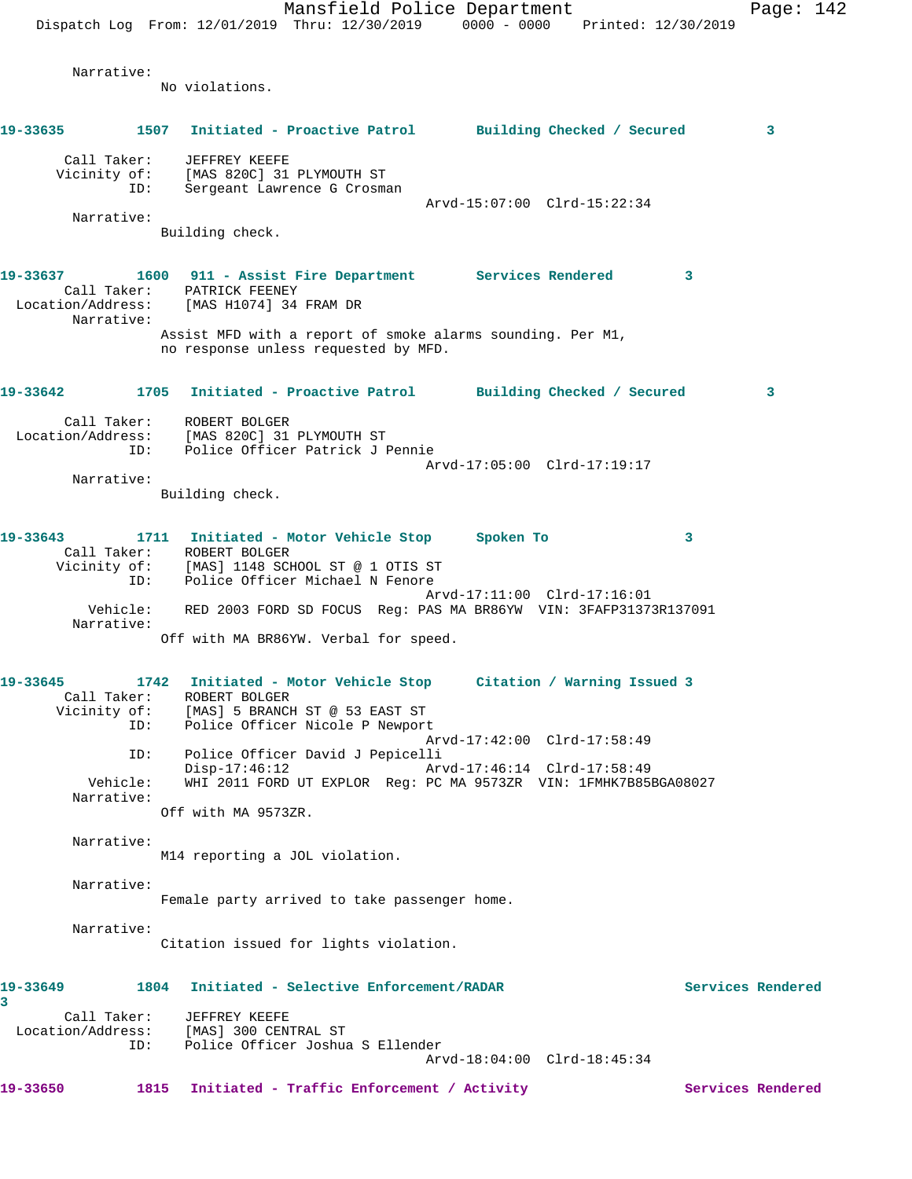Mansfield Police Department Page: 142 Dispatch Log From: 12/01/2019 Thru: 12/30/2019 0000 - 0000 Printed: 12/30/2019 Narrative: No violations. **19-33635 1507 Initiated - Proactive Patrol Building Checked / Secured 3** Call Taker: JEFFREY KEEFE Vicinity of: [MAS 820C] 31 PLYMOUTH ST<br>ID: Sergeant Lawrence G Crosma Sergeant Lawrence G Crosman Arvd-15:07:00 Clrd-15:22:34 Narrative: Building check. **19-33637 1600 911 - Assist Fire Department Services Rendered 3**  Call Taker: PATRICK FEENEY Location/Address: [MAS H1074] 34 FRAM DR Narrative: Assist MFD with a report of smoke alarms sounding. Per M1, no response unless requested by MFD. **19-33642 1705 Initiated - Proactive Patrol Building Checked / Secured 3** Call Taker: ROBERT BOLGER Location/Address: [MAS 820C] 31 PLYMOUTH ST ID: Police Officer Patrick J Pennie Arvd-17:05:00 Clrd-17:19:17 Narrative: Building check. **19-33643 1711 Initiated - Motor Vehicle Stop Spoken To 3**  Call Taker: ROBERT BOLGER Vicinity of: [MAS] 1148 SCHOOL ST @ 1 OTIS ST ID: Police Officer Michael N Fenore Arvd-17:11:00 Clrd-17:16:01 Vehicle: RED 2003 FORD SD FOCUS Reg: PAS MA BR86YW VIN: 3FAFP31373R137091 Narrative: Off with MA BR86YW. Verbal for speed. **19-33645 1742 Initiated - Motor Vehicle Stop Citation / Warning Issued 3**  Call Taker: ROBERT BOLGER Vicinity of: [MAS] 5 BRANCH ST @ 53 EAST ST ID: Police Officer Nicole P Newport Arvd-17:42:00 Clrd-17:58:49<br>ID: Police Officer David J Pepicelli Police Officer David J Pepicelli<br>Disp-17:46:12 Arv Disp-17:46:12 Arvd-17:46:14 Clrd-17:58:49 Vehicle: WHI 2011 FORD UT EXPLOR Reg: PC MA 9573ZR VIN: 1FMHK7B85BGA08027 Narrative: Off with MA 9573ZR. Narrative: M14 reporting a JOL violation. Narrative: Female party arrived to take passenger home. Narrative: Citation issued for lights violation. **19-33649 1804 Initiated - Selective Enforcement/RADAR Services Rendered 3**  Call Taker: JEFFREY KEEFE Location/Address: [MAS] 300 CENTRAL ST Police Officer Joshua S Ellender Arvd-18:04:00 Clrd-18:45:34 **19-33650 1815 Initiated - Traffic Enforcement / Activity Services Rendered**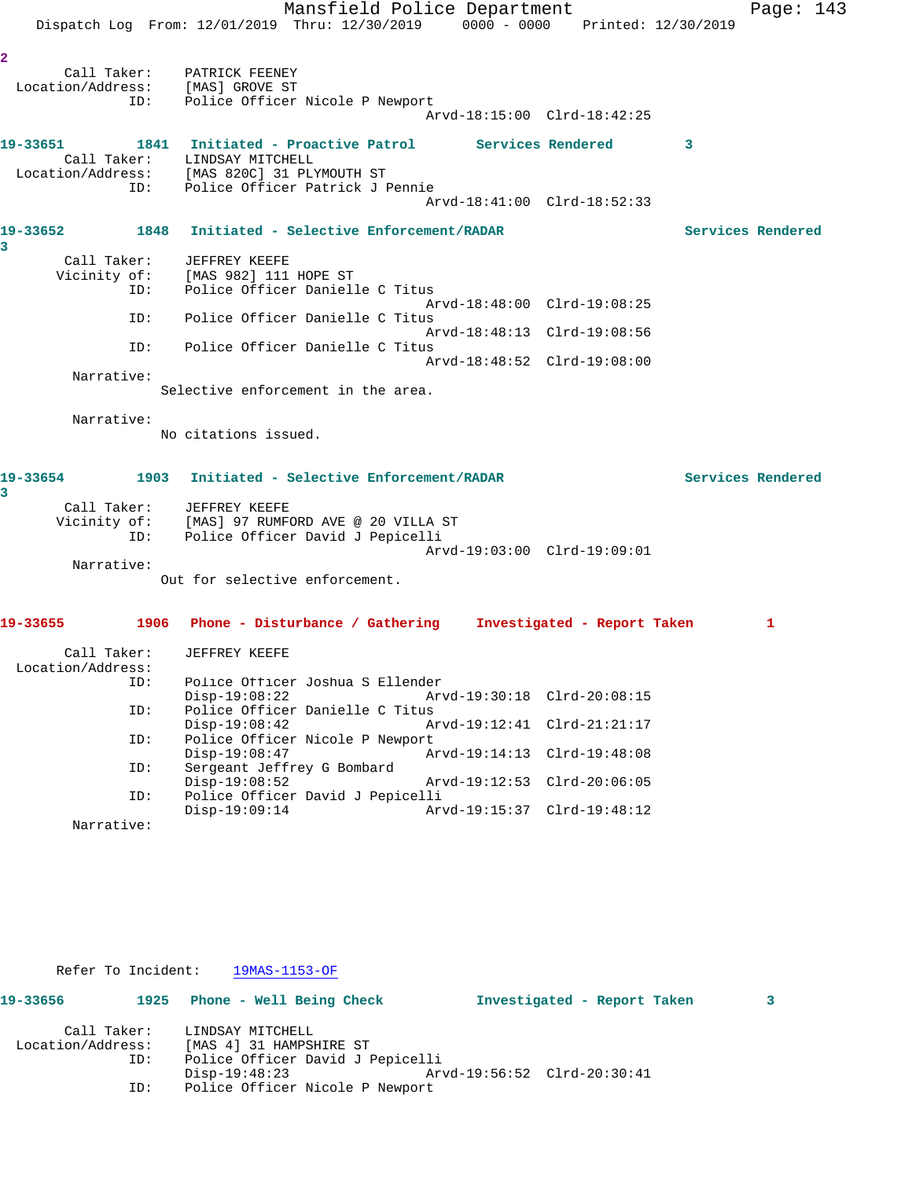|                                                                           |     |                                                                                                   | Mansfield Police Department |                 |                             |              | Page: $143$       |
|---------------------------------------------------------------------------|-----|---------------------------------------------------------------------------------------------------|-----------------------------|-----------------|-----------------------------|--------------|-------------------|
|                                                                           |     | Dispatch Log From: 12/01/2019 Thru: 12/30/2019 0000 - 0000 Printed: 12/30/2019                    |                             |                 |                             |              |                   |
| $\overline{\mathbf{2}}$                                                   | ID: | Call Taker: PATRICK FEENEY<br>Location/Address: [MAS] GROVE ST<br>Police Officer Nicole P Newport |                             |                 | Arvd-18:15:00 Clrd-18:42:25 |              |                   |
| 19-33651                                                                  |     | 1841 Initiated - Proactive Patrol Services Rendered<br>Call Taker: LINDSAY MITCHELL               |                             |                 |                             | $\mathbf{3}$ |                   |
|                                                                           | ID: | Location/Address: [MAS 820C] 31 PLYMOUTH ST<br>Police Officer Patrick J Pennie                    |                             |                 |                             |              |                   |
| 19-33652 1848 Initiated - Selective Enforcement/RADAR                     |     |                                                                                                   |                             |                 | Arvd-18:41:00 Clrd-18:52:33 |              | Services Rendered |
| 3                                                                         |     | Call Taker: JEFFREY KEEFE                                                                         |                             |                 |                             |              |                   |
|                                                                           |     | Vicinity of: [MAS 982] 111 HOPE ST                                                                |                             |                 |                             |              |                   |
|                                                                           | ID: | Police Officer Danielle C Titus                                                                   |                             |                 |                             |              |                   |
|                                                                           | ID: | Police Officer Danielle C Titus                                                                   |                             |                 | Arvd-18:48:00 Clrd-19:08:25 |              |                   |
|                                                                           |     |                                                                                                   |                             |                 | Arvd-18:48:13 Clrd-19:08:56 |              |                   |
|                                                                           | ID: | Police Officer Danielle C Titus                                                                   |                             |                 | Arvd-18:48:52 Clrd-19:08:00 |              |                   |
| Narrative:                                                                |     |                                                                                                   |                             |                 |                             |              |                   |
|                                                                           |     | Selective enforcement in the area.                                                                |                             |                 |                             |              |                   |
| Narrative:                                                                |     | No citations issued.                                                                              |                             |                 |                             |              |                   |
| 19-33654<br>3                                                             |     | 1903 Initiated - Selective Enforcement/RADAR                                                      |                             |                 |                             |              | Services Rendered |
|                                                                           |     | Call Taker: JEFFREY KEEFE                                                                         |                             |                 |                             |              |                   |
|                                                                           | ID: | Vicinity of: [MAS] 97 RUMFORD AVE @ 20 VILLA ST<br>Police Officer David J Pepicelli               |                             |                 |                             |              |                   |
|                                                                           |     |                                                                                                   |                             |                 | Arvd-19:03:00 Clrd-19:09:01 |              |                   |
| Narrative:                                                                |     | Out for selective enforcement.                                                                    |                             |                 |                             |              |                   |
| 19-33655 1906 Phone - Disturbance / Gathering Investigated - Report Taken |     |                                                                                                   |                             |                 |                             |              | 1                 |
| Call Taker:<br>Location/Address:                                          |     | JEFFREY KEEFE                                                                                     |                             |                 |                             |              |                   |
|                                                                           | ID: | Police Officer Joshua S Ellender<br>$Disp-19:08:22$                                               |                             | Arvd-19:30:18   | $Clrd-20:08:15$             |              |                   |
|                                                                           | ID: | Police Officer Danielle C Titus                                                                   |                             |                 |                             |              |                   |
|                                                                           | ID: | $Disp-19:08:42$<br>Police Officer Nicole P Newport                                                |                             | Arvd-19:12:41   | $Clrd-21:21:17$             |              |                   |
|                                                                           |     | $Disp-19:08:47$                                                                                   |                             | $Arvd-19:14:13$ | $Clrd-19:48:08$             |              |                   |
|                                                                           | ID: | Sergeant Jeffrey G Bombard<br>$Disp-19:08:52$                                                     |                             | Arvd-19:12:53   | $Clrd-20:06:05$             |              |                   |
|                                                                           | ID: | Police Officer David J Pepicelli<br>$Disp-19:09:14$                                               |                             |                 | Arvd-19:15:37 Clrd-19:48:12 |              |                   |
| Narrative:                                                                |     |                                                                                                   |                             |                 |                             |              |                   |

Refer To Incident: 19MAS-1153-OF

| 19-33656          |     | 1925 Phone - Well Being Check    |  |  | Investigated - Report Taken |  |  |  |  |
|-------------------|-----|----------------------------------|--|--|-----------------------------|--|--|--|--|
| Call Taker:       |     | LINDSAY MITCHELL                 |  |  |                             |  |  |  |  |
| Location/Address: |     | [MAS 4] 31 HAMPSHIRE ST          |  |  |                             |  |  |  |  |
| ID:               |     | Police Officer David J Pepicelli |  |  |                             |  |  |  |  |
|                   |     | Disp-19:48:23                    |  |  | Arvd-19:56:52 Clrd-20:30:41 |  |  |  |  |
|                   | ID: | Police Officer Nicole P Newport  |  |  |                             |  |  |  |  |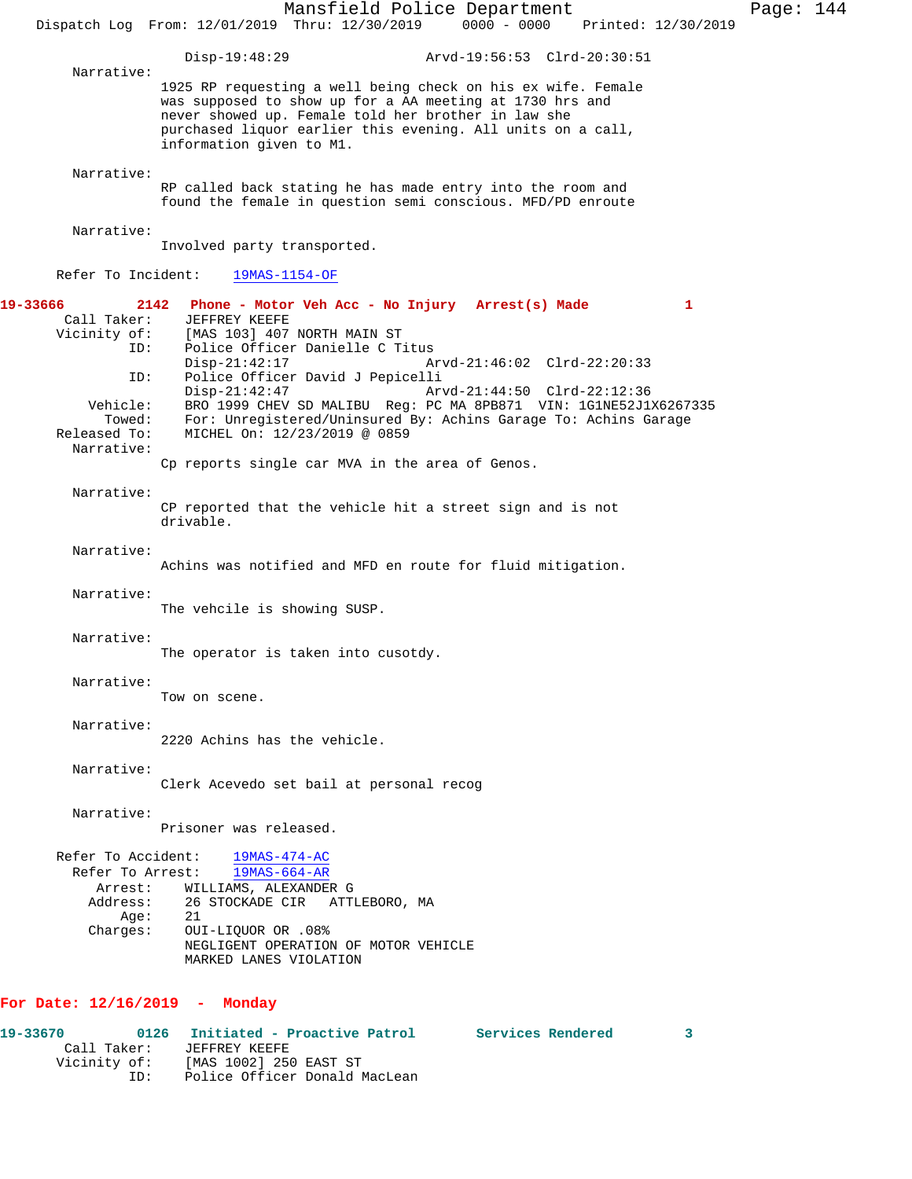Mansfield Police Department Page: 144 Dispatch Log From: 12/01/2019 Thru: 12/30/2019 0000 - 0000 Printed: 12/30/2019 Disp-19:48:29 Arvd-19:56:53 Clrd-20:30:51 Narrative: 1925 RP requesting a well being check on his ex wife. Female was supposed to show up for a AA meeting at 1730 hrs and never showed up. Female told her brother in law she purchased liquor earlier this evening. All units on a call, information given to M1. Narrative: RP called back stating he has made entry into the room and found the female in question semi conscious. MFD/PD enroute Narrative: Involved party transported. Refer To Incident: 19MAS-1154-OF **19-33666 2142 Phone - Motor Veh Acc - No Injury Arrest(s) Made 1**  Call Taker: JEFFREY KEEFE<br>Vicinity of: [MAS 103] 407 [MAS 103] 407 NORTH MAIN ST ID: Police Officer Danielle C Titus Arvd-21:46:02 Clrd-22:20:33 ID: Police Officer David J Pepicelli Disp-21:42:47 Arvd-21:44:50 Clrd-22:12:36<br>Vehicle: BRO 1999 CHEV SD MALIBU Reg: PC MA 8PB871 VIN: 1G1NE52J1 BRO 1999 CHEV SD MALIBU Reg: PC MA 8PB871 VIN: 1G1NE52J1X6267335 Towed: For: Unregistered/Uninsured By: Achins Garage To: Achins Garage Released To: MICHEL On: 12/23/2019 @ 0859 MICHEL On: 12/23/2019 @ 0859 Narrative: Cp reports single car MVA in the area of Genos. Narrative: CP reported that the vehicle hit a street sign and is not drivable. Narrative: Achins was notified and MFD en route for fluid mitigation. Narrative: The vehcile is showing SUSP. Narrative: The operator is taken into cusotdy. Narrative: Tow on scene. Narrative: 2220 Achins has the vehicle. Narrative: Clerk Acevedo set bail at personal recog Narrative: Prisoner was released. Refer To Accident: 19MAS-474-AC Refer To Arrest: 19MAS-664-AR Arrest: WILLIAMS, ALEXANDER G Address: 26 STOCKADE CIR ATTLEBORO, MA<br>Age: 21 Age:<br>:Charges OUI-LIQUOR OR .08% NEGLIGENT OPERATION OF MOTOR VEHICLE MARKED LANES VIOLATION **For Date: 12/16/2019 - Monday**

**19-33670 0126 Initiated - Proactive Patrol Services Rendered 3**  Call Taker: JEFFREY KEEFE<br>Vicinity of: [MAS 1002] 250 of: [MAS 1002] 250 EAST ST<br>ID: Police Officer Donald N Police Officer Donald MacLean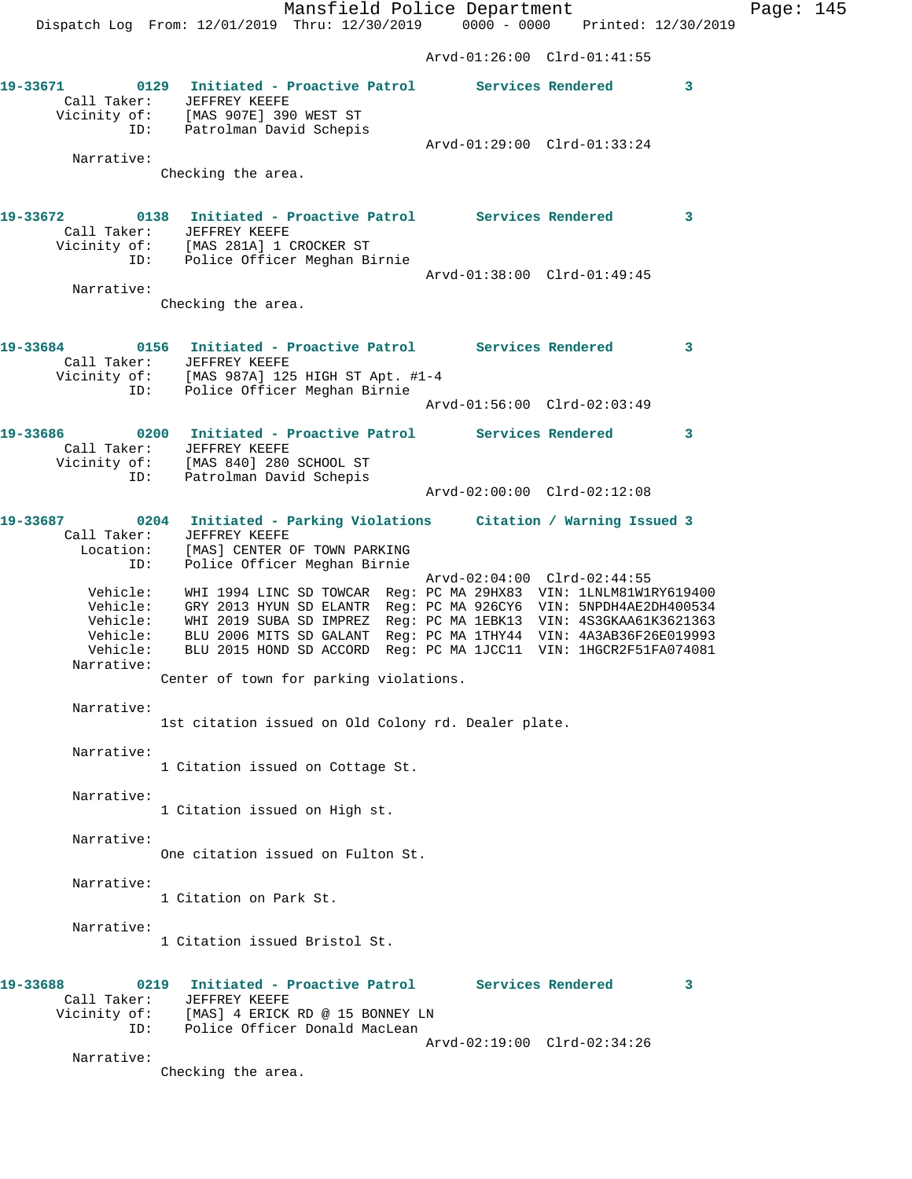**19-33671 0129 Initiated - Proactive Patrol Services Rendered 3**  Call Taker: JEFFREY KEEFE Vicinity of: [MAS 907E] 390 WEST ST ID: Patrolman David Schepis Arvd-01:29:00 Clrd-01:33:24 Narrative: Checking the area. **19-33672 0138 Initiated - Proactive Patrol Services Rendered 3**  Call Taker: JEFFREY KEEFE Vicinity of: [MAS 281A] 1 CROCKER ST ID: Police Officer Meghan Birnie Arvd-01:38:00 Clrd-01:49:45 Narrative: Checking the area. **19-33684 0156 Initiated - Proactive Patrol Services Rendered 3**  Call Taker: JEFFREY KEEFE Vicinity of: [MAS 987A] 125 HIGH ST Apt. #1-4 ID: Police Officer Meghan Birnie Arvd-01:56:00 Clrd-02:03:49 **19-33686 0200 Initiated - Proactive Patrol Services Rendered 3**  Call Taker: JEFFREY KEEFE Vicinity of: [MAS 840] 280 SCHOOL ST ID: Patrolman David Schepis Arvd-02:00:00 Clrd-02:12:08 **19-33687 0204 Initiated - Parking Violations Citation / Warning Issued 3**  Call Taker: JEFFREY KEEFE Location: [MAS] CENTER OF TOWN PARKING ID: Police Officer Meghan Birnie Arvd-02:04:00 Clrd-02:44:55 Vehicle: WHI 1994 LINC SD TOWCAR Reg: PC MA 29HX83 VIN: 1LNLM81W1RY619400 Vehicle: GRY 2013 HYUN SD ELANTR Reg: PC MA 926CY6 VIN: 5NPDH4AE2DH400534 Vehicle: WHI 2019 SUBA SD IMPREZ Reg: PC MA 1EBK13 VIN: 4S3GKAA61K3621363 Vehicle: BLU 2006 MITS SD GALANT Reg: PC MA 1THY44 VIN: 4A3AB36F26E019993 Vehicle: BLU 2015 HOND SD ACCORD Reg: PC MA 1JCC11 VIN: 1HGCR2F51FA074081 Narrative: Center of town for parking violations. Narrative: 1st citation issued on Old Colony rd. Dealer plate. Narrative: 1 Citation issued on Cottage St. Narrative: 1 Citation issued on High st. Narrative: One citation issued on Fulton St. Narrative: 1 Citation on Park St. Narrative: 1 Citation issued Bristol St. **19-33688 0219 Initiated - Proactive Patrol Services Rendered 3**  Call Taker: JEFFREY KEEFE Vicinity of: [MAS] 4 ERICK RD @ 15 BONNEY LN ID: Police Officer Donald MacLean Arvd-02:19:00 Clrd-02:34:26

Narrative:

Checking the area.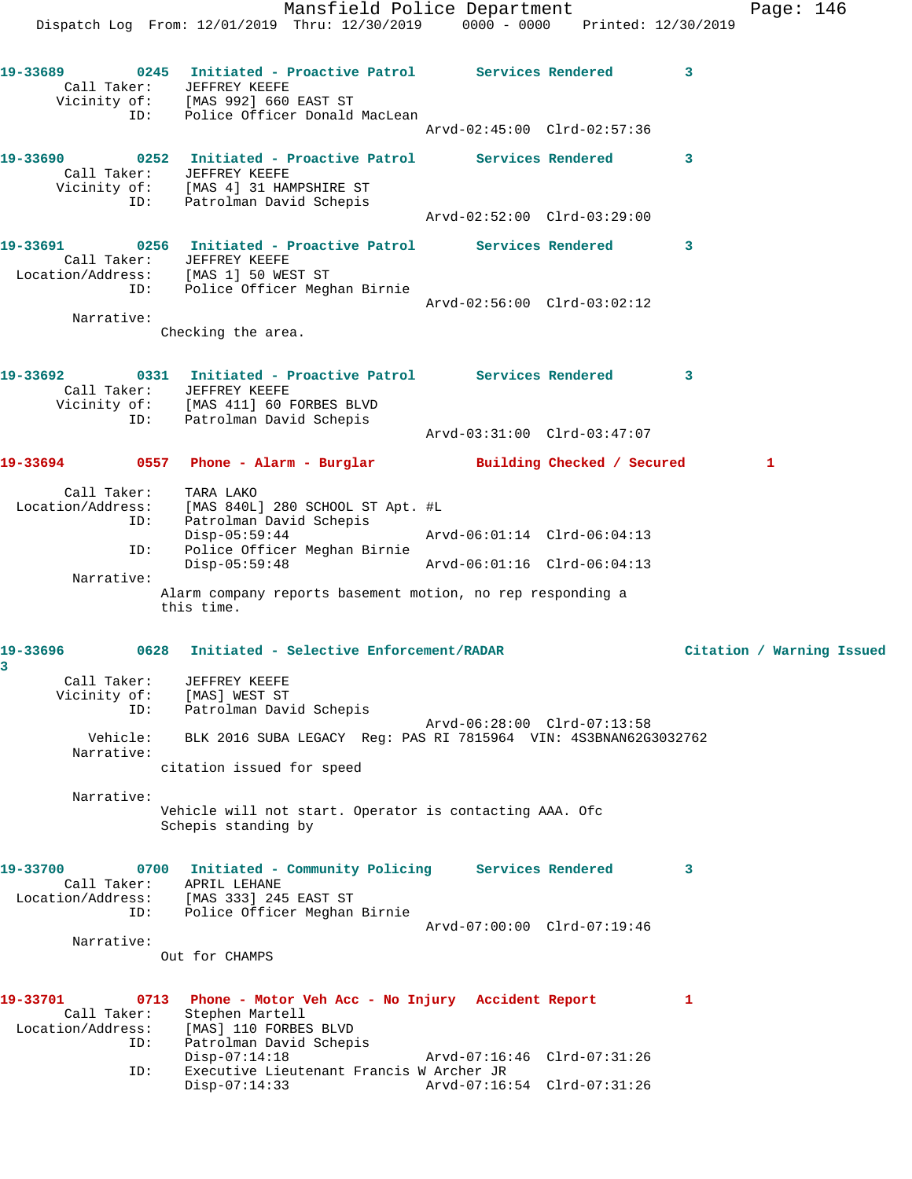Mansfield Police Department Fage: 146 Dispatch Log From: 12/01/2019 Thru: 12/30/2019 0000 - 0000 Printed: 12/30/2019 **19-33689 0245 Initiated - Proactive Patrol Services Rendered 3**  Call Taker: JEFFREY KEEFE Vicinity of: [MAS 992] 660 EAST ST ID: Police Officer Donald MacLean Arvd-02:45:00 Clrd-02:57:36 **19-33690 0252 Initiated - Proactive Patrol Services Rendered 3**  Call Taker: JEFFREY KEEFE Vicinity of: [MAS 4] 31 HAMPSHIRE ST ID: Patrolman David Schepis Arvd-02:52:00 Clrd-03:29:00 **19-33691 0256 Initiated - Proactive Patrol Services Rendered 3**  Call Taker: JEFFREY KEEFE Location/Address: [MAS 1] 50 WEST ST ID: Police Officer Meghan Birnie Arvd-02:56:00 Clrd-03:02:12 Narrative: Checking the area. **19-33692 0331 Initiated - Proactive Patrol Services Rendered 3**  Call Taker: JEFFREY KEEFE Vicinity of: [MAS 411] 60 FORBES BLVD ID: Patrolman David Schepis Arvd-03:31:00 Clrd-03:47:07 **19-33694 0557 Phone - Alarm - Burglar Building Checked / Secured 1** Call Taker: TARA LAKO Location/Address: [MAS 840L] 280 SCHOOL ST Apt. #L ID: Patrolman David Schepis<br>Disp-05:59:44<br>ID: Police Officer Meghan Bi:<br>Disp-05:59:48 Disp-05:59:44 Arvd-06:01:14 Clrd-06:04:13 Police Officer Meghan Birnie Disp-05:59:48 Arvd-06:01:16 Clrd-06:04:13 Narrative: Alarm company reports basement motion, no rep responding a this time. **19-33696 0628 Initiated - Selective Enforcement/RADAR Citation / Warning Issued 3**  Call Taker: JEFFREY KEEFE Vicinity of: [MAS] WEST ST ID: Patrolman David Schepis Arvd-06:28:00 Clrd-07:13:58 Vehicle: BLK 2016 SUBA LEGACY Reg: PAS RI 7815964 VIN: 4S3BNAN62G3032762 Narrative: citation issued for speed Narrative: Vehicle will not start. Operator is contacting AAA. Ofc Schepis standing by **19-33700 0700 Initiated - Community Policing Services Rendered 3**  Call Taker: APRIL LEHANE Location/Address: [MAS 333] 245 EAST ST ID: Police Officer Meghan Birnie Arvd-07:00:00 Clrd-07:19:46 Narrative: Out for CHAMPS **19-33701 0713 Phone - Motor Veh Acc - No Injury Accident Report 1**  Call Taker: Stephen Martell Location/Address: [MAS] 110 FORBES BLVD ID: Patrolman David Schepis<br>Disp-07:14:18 Disp-07:14:18 Arvd-07:16:46 Clrd-07:31:26 ID: Executive Lieutenant Francis W Archer JR Disp-07:14:33 Arvd-07:16:54 Clrd-07:31:26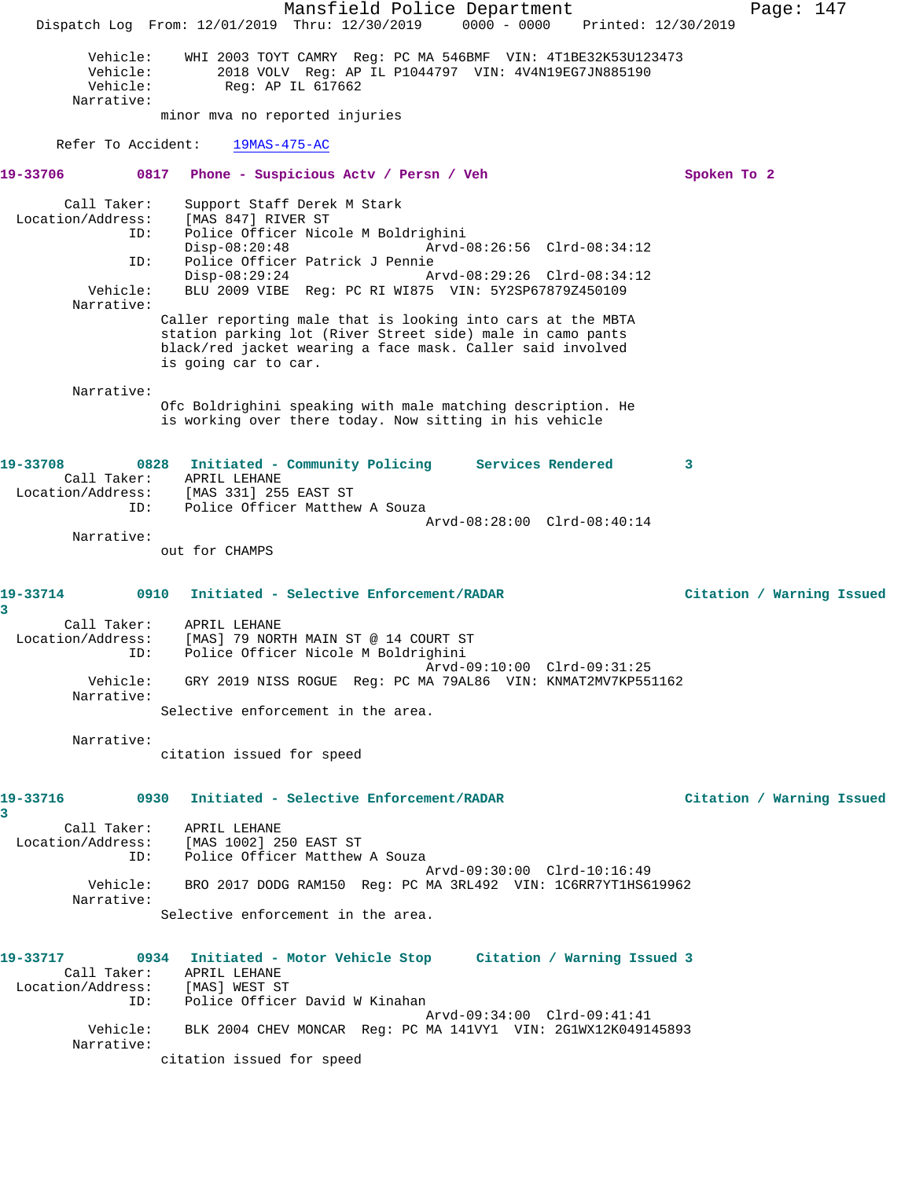Mansfield Police Department Page: 147 Dispatch Log From: 12/01/2019 Thru: 12/30/2019 0000 - 0000 Printed: 12/30/2019 Vehicle: WHI 2003 TOYT CAMRY Reg: PC MA 546BMF VIN: 4T1BE32K53U123473<br>Vehicle: 2018 VOLV Reg: AP IL P1044797 VIN: 4V4N19EG7JN885190<br>Vehicle: Reg: AP IL 617662 2018 VOLV Reg: AP IL P1044797 VIN: 4V4N19EG7JN885190 Reg: AP IL 617662 Narrative: minor mva no reported injuries Refer To Accident: 19MAS-475-AC **19-33706 0817 Phone - Suspicious Actv / Persn / Veh Spoken To 2** Call Taker: Support Staff Derek M Stark Location/Address: [MAS 847] RIVER ST ID: Police Officer Nicole M Boldrighini Disp-08:20:48 Arvd-08:26:56 Clrd-08:34:12 ID: Police Officer Patrick J Pennie<br>Disp-08:29:24 Arvd-08:29:26 Clrd-08:34:12 Disp-08:29:24 Arvd-08:29:26 Clrd-08:34:12 Vehicle: BLU 2009 VIBE Reg: PC RI WI875 VIN: 5Y2SP67879Z450109 Narrative: Caller reporting male that is looking into cars at the MBTA station parking lot (River Street side) male in camo pants black/red jacket wearing a face mask. Caller said involved is going car to car. Narrative: Ofc Boldrighini speaking with male matching description. He is working over there today. Now sitting in his vehicle **19-33708 0828 Initiated - Community Policing Services Rendered 3**  Call Taker: APRIL LEHANE Location/Address: [MAS 331] 255 EAST ST ID: Police Officer Matthew A Souza Arvd-08:28:00 Clrd-08:40:14 Narrative: out for CHAMPS **19-33714 0910 Initiated - Selective Enforcement/RADAR Citation / Warning Issued 3**  Call Taker: APRIL LEHANE Location/Address: [MAS] 79 NORTH MAIN ST @ 14 COURT ST ID: Police Officer Nicole M Boldrighini Arvd-09:10:00 Clrd-09:31:25 Vehicle: GRY 2019 NISS ROGUE Reg: PC MA 79AL86 VIN: KNMAT2MV7KP551162 Narrative: Selective enforcement in the area. Narrative: citation issued for speed **19-33716 0930 Initiated - Selective Enforcement/RADAR Citation / Warning Issued 3**  Call Taker: APRIL LEHANE Location/Address: [MAS 1002] 250 EAST ST ID: Police Officer Matthew A Souza Arvd-09:30:00 Clrd-10:16:49 Vehicle: BRO 2017 DODG RAM150 Reg: PC MA 3RL492 VIN: 1C6RR7YT1HS619962 Narrative: Selective enforcement in the area. **19-33717 0934 Initiated - Motor Vehicle Stop Citation / Warning Issued 3**  Call Taker: APRIL LEHANE Location/Address: [MAS] WEST ST ID: Police Officer David W Kinahan Arvd-09:34:00 Clrd-09:41:41 Vehicle: BLK 2004 CHEV MONCAR Reg: PC MA 141VY1 VIN: 2G1WX12K049145893 Narrative: citation issued for speed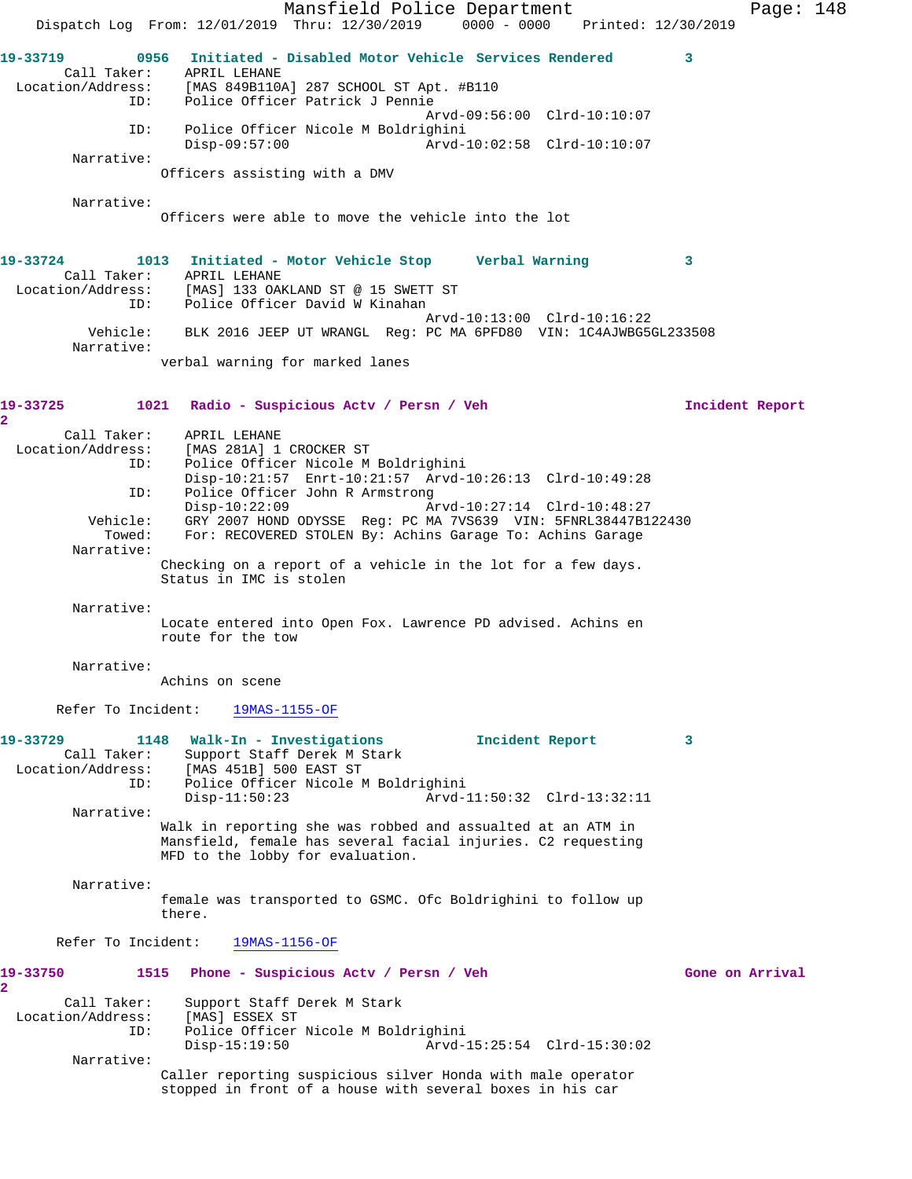Mansfield Police Department Page: 148 Dispatch Log From: 12/01/2019 Thru: 12/30/2019 0000 - 0000 Printed: 12/30/2019 **19-33719 0956 Initiated - Disabled Motor Vehicle Services Rendered 3**  Call Taker: APRIL LEHANE<br>Location/Address: [MAS 849B1102 Location (Address: The Common<br>Location (Address: [MAS 849B110A] 287 SCHOOL ST Apt. #B110<br>Location: Police Officer Patrick J Pennie Police Officer Patrick J Pennie Arvd-09:56:00 Clrd-10:10:07 ID: Police Officer Nicole M Boldrighini Disp-09:57:00 Arvd-10:02:58 Clrd-10:10:07 Narrative: Officers assisting with a DMV Narrative: Officers were able to move the vehicle into the lot **19-33724 1013 Initiated - Motor Vehicle Stop Verbal Warning 3**  Call Taker: APRIL LEHANE Location/Address: [MAS] 133 OAKLAND ST @ 15 SWETT ST ID: Police Officer David W Kinahan Arvd-10:13:00 Clrd-10:16:22 Vehicle: BLK 2016 JEEP UT WRANGL Reg: PC MA 6PFD80 VIN: 1C4AJWBG5GL233508 Narrative: verbal warning for marked lanes **19-33725 1021 Radio - Suspicious Actv / Persn / Veh Incident Report 2**  Call Taker: APRIL LEHANE Location/Address: [MAS 281A] 1 CROCKER ST ID: Police Officer Nicole M Boldrighini Disp-10:21:57 Enrt-10:21:57 Arvd-10:26:13 Clrd-10:49:28 ID: Police Officer John R Armstrong<br>Disp-10:22:09 A Disp-10:22:09 Arvd-10:27:14 Clrd-10:48:27 Vehicle: GRY 2007 HOND ODYSSE Reg: PC MA 7VS639 VIN: 5FNRL38447B122430 Towed: For: RECOVERED STOLEN By: Achins Garage To: Achins Garage Narrative: Checking on a report of a vehicle in the lot for a few days. Status in IMC is stolen Narrative: Locate entered into Open Fox. Lawrence PD advised. Achins en route for the tow Narrative: Achins on scene Refer To Incident: 19MAS-1155-OF **19-33729 1148 Walk-In - Investigations Incident Report 3**  Call Taker: Support Staff Derek M Stark<br>Location/Address: [MAS 451B] 500 EAST ST ess: [MAS 451B] 500 EAST ST<br>ID: Police Officer Nicole M Police Officer Nicole M Boldrighini<br>Disp-11:50:23 Arvd-1 Disp-11:50:23 Arvd-11:50:32 Clrd-13:32:11 Narrative: Walk in reporting she was robbed and assualted at an ATM in Mansfield, female has several facial injuries. C2 requesting MFD to the lobby for evaluation. Narrative: female was transported to GSMC. Ofc Boldrighini to follow up there. Refer To Incident: 19MAS-1156-OF **19-33750 1515 Phone - Suspicious Actv / Persn / Veh Gone on Arrival 2**  Call Taker: Support Staff Derek M Stark Location/Address: [MAS] ESSEX ST ID: Police Officer Nicole M Boldrighini Disp-15:19:50 Arvd-15:25:54 Clrd-15:30:02 Narrative: Caller reporting suspicious silver Honda with male operator stopped in front of a house with several boxes in his car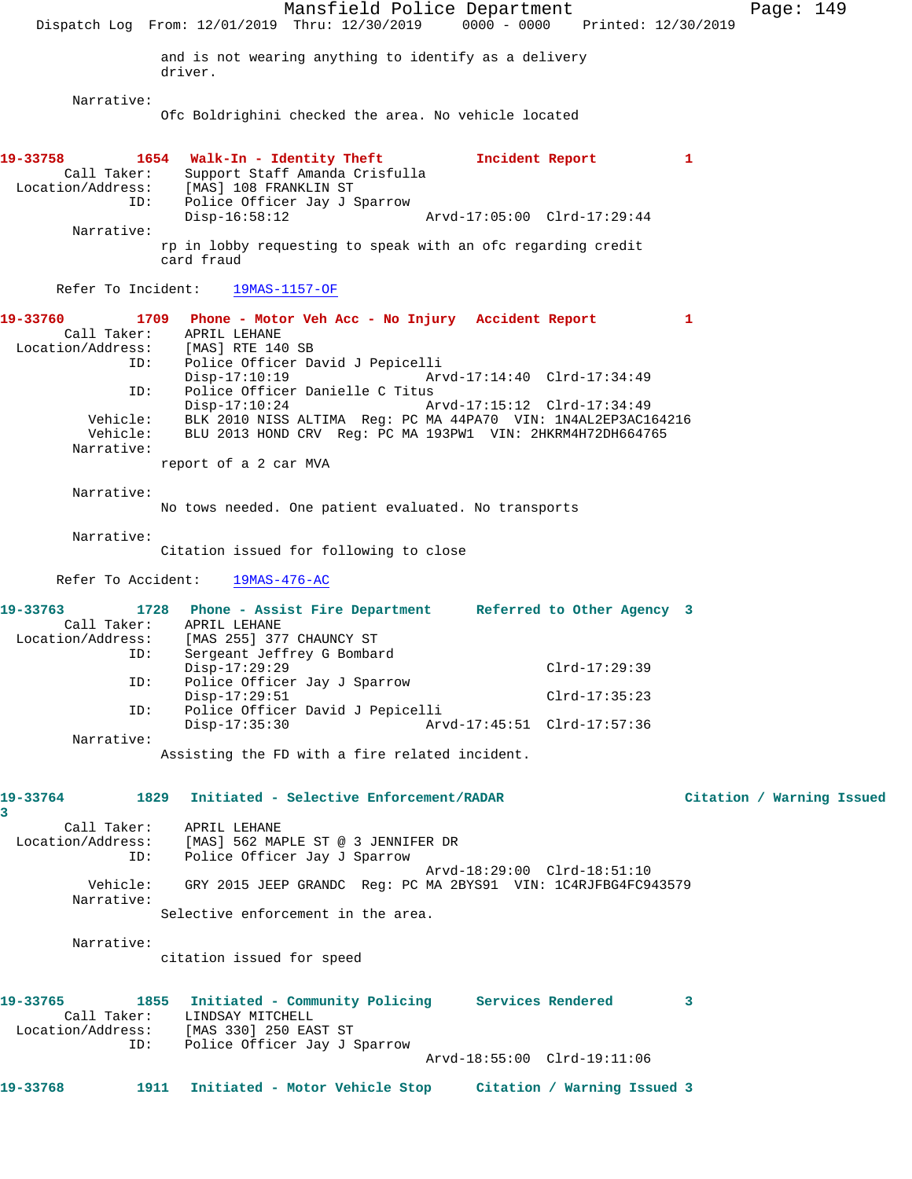Mansfield Police Department Page: 149 Dispatch Log From: 12/01/2019 Thru: 12/30/2019 0000 - 0000 Printed: 12/30/2019 and is not wearing anything to identify as a delivery driver. Narrative: Ofc Boldrighini checked the area. No vehicle located **19-33758 1654 Walk-In - Identity Theft Incident Report 1**  Call Taker: Support Staff Amanda Crisfulla Location/Address: [MAS] 108 FRANKLIN ST ress: IMASI 108 FRANKLIN ST<br>ID: Police Officer Jay J Sparrow<br>Disp-16:58:12 Disp-16:58:12 Arvd-17:05:00 Clrd-17:29:44 Narrative: rp in lobby requesting to speak with an ofc regarding credit card fraud Refer To Incident: 19MAS-1157-OF **19-33760 1709 Phone - Motor Veh Acc - No Injury Accident Report 1**  Call Taker: APRIL LEHANE Location/Address: [MAS] RTE 140 SB ID: Police Officer David J Pepicelli Disp-17:10:19 Arvd-17:14:40 Clrd-17:34:49<br>ID: Police Officer Danielle C Titus Police Officer Danielle C Titus<br>Disp-17:10:24 A Arvd-17:15:12 Clrd-17:34:49 Vehicle: BLK 2010 NISS ALTIMA Reg: PC MA 44PA70 VIN: 1N4AL2EP3AC164216 Vehicle: BLU 2013 HOND CRV Reg: PC MA 193PW1 VIN: 2HKRM4H72DH664765 Narrative: report of a 2 car MVA Narrative: No tows needed. One patient evaluated. No transports Narrative: Citation issued for following to close Refer To Accident: 19MAS-476-AC **19-33763 1728 Phone - Assist Fire Department Referred to Other Agency 3**  Call Taker: APRIL LEHANE Location/Address: [MAS 255] 377 CHAUNCY ST Sergeant Jeffrey G Bombard<br>Disp-17:29:29 Disp-17:29:29 Clrd-17:29:39 ID: Police Officer Jay J Sparrow Disp-17:29:51 Clrd-17:35:23 ID: Police Officer David J Pepicelli Disp-17:35:30 Arvd-17:45:51 Clrd-17:57:36 Narrative: Assisting the FD with a fire related incident. **19-33764 1829 Initiated - Selective Enforcement/RADAR Citation / Warning Issued 3**  Call Taker: APRIL LEHANE Location/Address: [MAS] 562 MAPLE ST @ 3 JENNIFER DR ID: Police Officer Jay J Sparrow Arvd-18:29:00 Clrd-18:51:10 Vehicle: GRY 2015 JEEP GRANDC Reg: PC MA 2BYS91 VIN: 1C4RJFBG4FC943579 Narrative: Selective enforcement in the area. Narrative: citation issued for speed **19-33765 1855 Initiated - Community Policing Services Rendered 3**  Call Taker: LINDSAY MITCHELL Location/Address: [MAS 330] 250 EAST ST ID: Police Officer Jay J Sparrow Arvd-18:55:00 Clrd-19:11:06 **19-33768 1911 Initiated - Motor Vehicle Stop Citation / Warning Issued 3**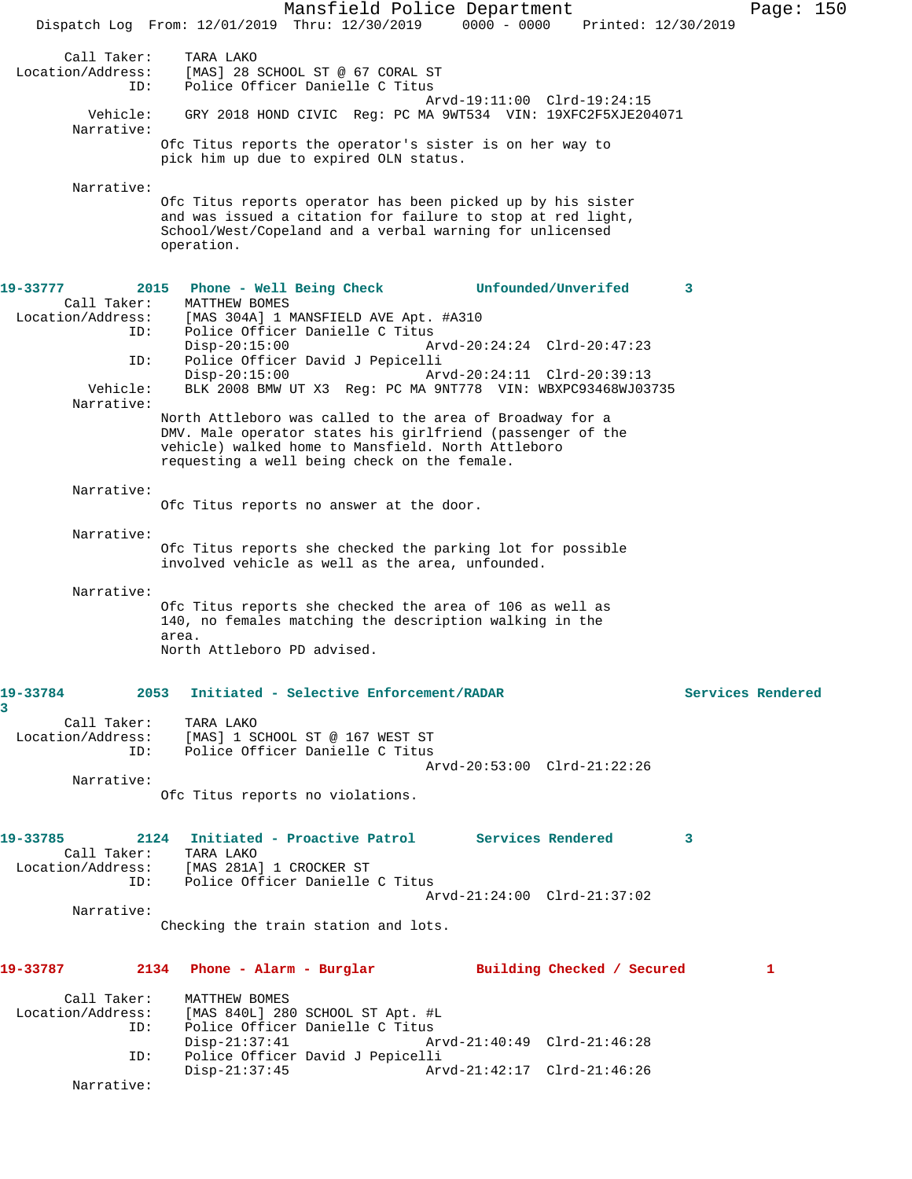Mansfield Police Department Page: 150 Dispatch Log From: 12/01/2019 Thru: 12/30/2019 0000 - 0000 Printed: 12/30/2019 Call Taker: TARA LAKO Location/Address: [MAS] 28 SCHOOL ST @ 67 CORAL ST ID: Police Officer Danielle C Titus Arvd-19:11:00 Clrd-19:24:15 Vehicle: GRY 2018 HOND CIVIC Reg: PC MA 9WT534 VIN: 19XFC2F5XJE204071 Narrative: Ofc Titus reports the operator's sister is on her way to pick him up due to expired OLN status. Narrative: Ofc Titus reports operator has been picked up by his sister and was issued a citation for failure to stop at red light, School/West/Copeland and a verbal warning for unlicensed operation. **19-33777 2015 Phone - Well Being Check Unfounded/Unverifed 3**  Call Taker: MATTHEW BOMES Location/Address: [MAS 304A] 1 MANSFIELD AVE Apt. #A310 ID: Police Officer Danielle C Titus<br>Disp-20:15:00 A Disp-20:15:00 Arvd-20:24:24 Clrd-20:47:23<br>ID: Police Officer David J Pepicelli Police Officer David J Pepicelli<br>Disp-20:15:00 Ar Disp-20:15:00 Arvd-20:24:11 Clrd-20:39:13 Vehicle: BLK 2008 BMW UT X3 Reg: PC MA 9NT778 VIN: WBXPC93468WJ03735 Narrative: North Attleboro was called to the area of Broadway for a DMV. Male operator states his girlfriend (passenger of the vehicle) walked home to Mansfield. North Attleboro requesting a well being check on the female. Narrative: Ofc Titus reports no answer at the door. Narrative: Ofc Titus reports she checked the parking lot for possible involved vehicle as well as the area, unfounded. Narrative: Ofc Titus reports she checked the area of 106 as well as 140, no females matching the description walking in the area. North Attleboro PD advised. **19-33784 2053 Initiated - Selective Enforcement/RADAR Services Rendered 3**  Call Taker: TARA LAKO Location/Address: [MAS] 1 SCHOOL ST @ 167 WEST ST ID: Police Officer Danielle C Titus Arvd-20:53:00 Clrd-21:22:26 Narrative: Ofc Titus reports no violations. **19-33785 2124 Initiated - Proactive Patrol Services Rendered 3**  Call Taker: TARA LAKO Location/Address: [MAS 281A] 1 CROCKER ST ID: Police Officer Danielle C Titus Arvd-21:24:00 Clrd-21:37:02 Narrative: Checking the train station and lots. **19-33787 2134 Phone - Alarm - Burglar Building Checked / Secured 1** Call Taker: MATTHEW BOMES Location/Address: [MAS 840L] 280 SCHOOL ST Apt. #L Police Officer Danielle C Titus<br>Disp-21:37:41 A Disp-21:37:41 Arvd-21:40:49 Clrd-21:46:28<br>ID: Police Officer David J Pepicelli ID: Police Officer David J Pepicelli Disp-21:37:45 Arvd-21:42:17 Clrd-21:46:26 Narrative: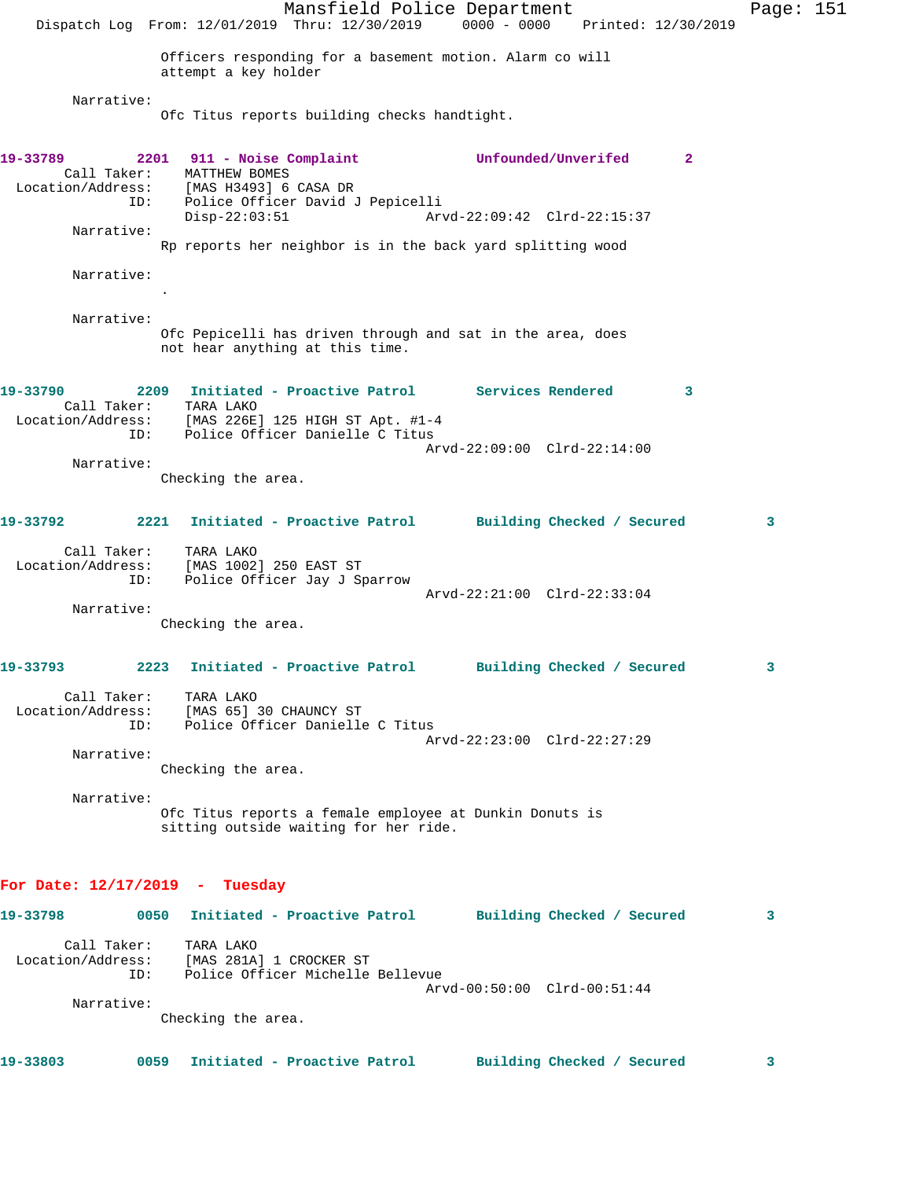Mansfield Police Department Page: 151 Dispatch Log From: 12/01/2019 Thru: 12/30/2019 0000 - 0000 Printed: 12/30/2019 Officers responding for a basement motion. Alarm co will attempt a key holder Narrative: Ofc Titus reports building checks handtight. **19-33789 2201 911 - Noise Complaint Unfounded/Unverifed 2**  Call Taker: MATTHEW BOMES Location/Address: [MAS H3493] 6 CASA DR ess: العربية العربية العربية و LMAS<br>ID: Police Officer David J Pepicelli<br>Disp-22:03:51 Ar Disp-22:03:51 Arvd-22:09:42 Clrd-22:15:37 Narrative: Rp reports her neighbor is in the back yard splitting wood Narrative: . Narrative: Ofc Pepicelli has driven through and sat in the area, does not hear anything at this time. **19-33790 2209 Initiated - Proactive Patrol Services Rendered 3**  Call Taker: TARA LAKO Location/Address: [MAS 226E] 125 HIGH ST Apt. #1-4 ID: Police Officer Danielle C Titus Arvd-22:09:00 Clrd-22:14:00 Narrative: Checking the area. **19-33792 2221 Initiated - Proactive Patrol Building Checked / Secured 3** Call Taker: TARA LAKO Location/Address: [MAS 1002] 250 EAST ST ID: Police Officer Jay J Sparrow Arvd-22:21:00 Clrd-22:33:04 Narrative: Checking the area. **19-33793 2223 Initiated - Proactive Patrol Building Checked / Secured 3** Call Taker: TARA LAKO Location/Address: [MAS 65] 30 CHAUNCY ST ID: Police Officer Danielle C Titus Arvd-22:23:00 Clrd-22:27:29 Narrative: Checking the area. Narrative: Ofc Titus reports a female employee at Dunkin Donuts is sitting outside waiting for her ride. **For Date: 12/17/2019 - Tuesday 19-33798 0050 Initiated - Proactive Patrol Building Checked / Secured 3** Call Taker: TARA LAKO Location/Address: [MAS 281A] 1 CROCKER ST ID: Police Officer Michelle Bellevue Arvd-00:50:00 Clrd-00:51:44 Narrative: Checking the area. **19-33803 0059 Initiated - Proactive Patrol Building Checked / Secured 3**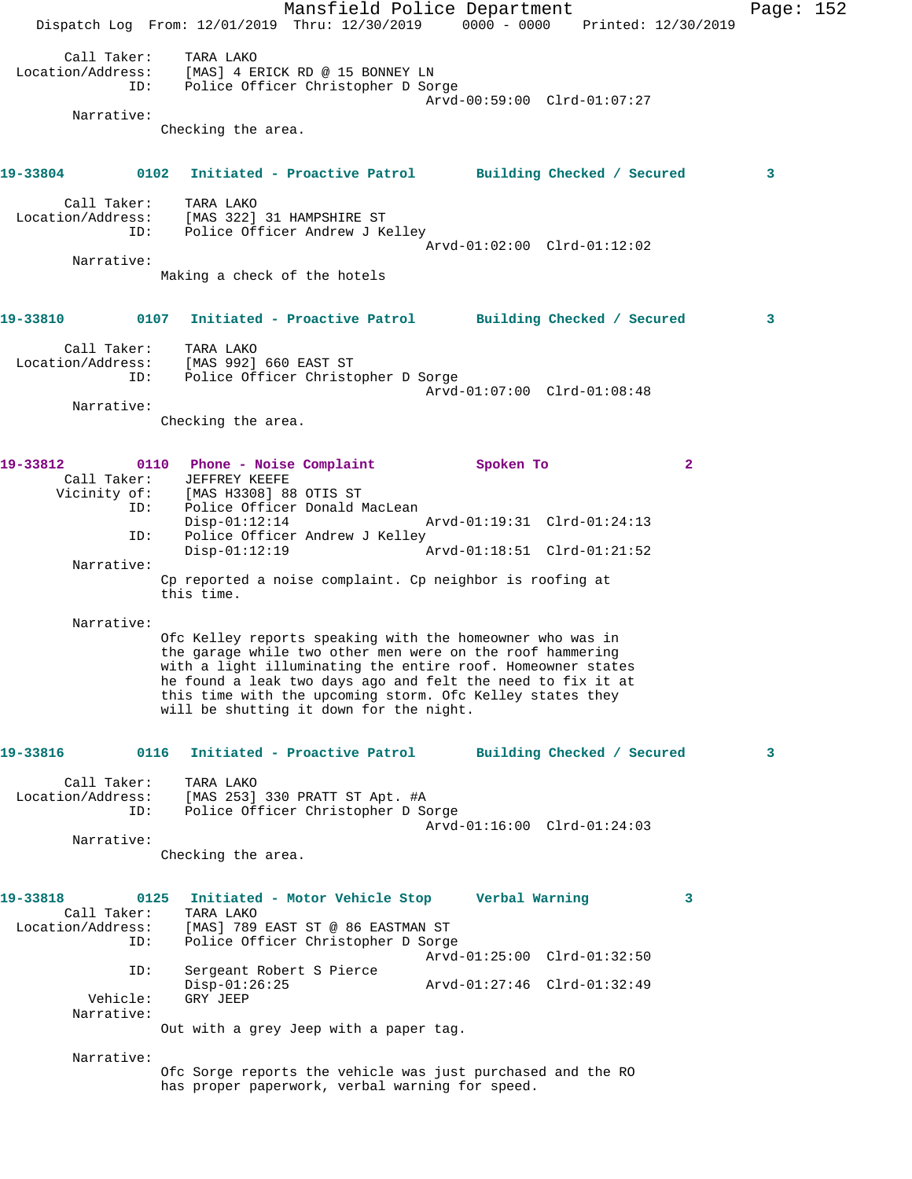Mansfield Police Department Page: 152 Dispatch Log From: 12/01/2019 Thru: 12/30/2019 0000 - 0000 Printed: 12/30/2019 Call Taker: TARA LAKO Location/Address: [MAS] 4 ERICK RD @ 15 BONNEY LN ID: Police Officer Christopher D Sorge Arvd-00:59:00 Clrd-01:07:27 Narrative: Checking the area. **19-33804 0102 Initiated - Proactive Patrol Building Checked / Secured 3** Call Taker: TARA LAKO Location/Address: [MAS 322] 31 HAMPSHIRE ST ID: Police Officer Andrew J Kelley Arvd-01:02:00 Clrd-01:12:02 Narrative: Making a check of the hotels **19-33810 0107 Initiated - Proactive Patrol Building Checked / Secured 3** Call Taker: TARA LAKO Location/Address: [MAS 992] 660 EAST ST ID: Police Officer Christopher D Sorge Arvd-01:07:00 Clrd-01:08:48 Narrative: Checking the area. **19-33812 0110 Phone - Noise Complaint Spoken To 2**  Call Taker: JEFFREY KEEFE Vicinity of: [MAS H3308] 88 OTIS ST ID: Police Officer Donald MacLean Disp-01:12:14 Arvd-01:19:31 Clrd-01:24:13<br>TD: Police Officer Andrew J Kelley Police Officer Andrew J Kelley<br>Disp-01:12:19 Arvd-01:18:51 Clrd-01:21:52 Narrative: Cp reported a noise complaint. Cp neighbor is roofing at this time. Narrative: Ofc Kelley reports speaking with the homeowner who was in the garage while two other men were on the roof hammering with a light illuminating the entire roof. Homeowner states he found a leak two days ago and felt the need to fix it at this time with the upcoming storm. Ofc Kelley states they will be shutting it down for the night. **19-33816 0116 Initiated - Proactive Patrol Building Checked / Secured 3** Call Taker: TARA LAKO Location/Address: [MAS 253] 330 PRATT ST Apt. #A ID: Police Officer Christopher D Sorge Arvd-01:16:00 Clrd-01:24:03 Narrative: Checking the area. **19-33818 0125 Initiated - Motor Vehicle Stop Verbal Warning 3**  Call Taker: TARA LAKO<br>Location/Address: [MAS] 789 [MAS] 789 EAST ST @ 86 EASTMAN ST ID: Police Officer Christopher D Sorge Arvd-01:25:00 Clrd-01:32:50 ID: Sergeant Robert S Pierce Disp-01:26:25 Arvd-01:27:46 Clrd-01:32:49<br>Vehicle: GRY JEEP GRY JEEP Narrative: Out with a grey Jeep with a paper tag. Narrative: Ofc Sorge reports the vehicle was just purchased and the RO has proper paperwork, verbal warning for speed.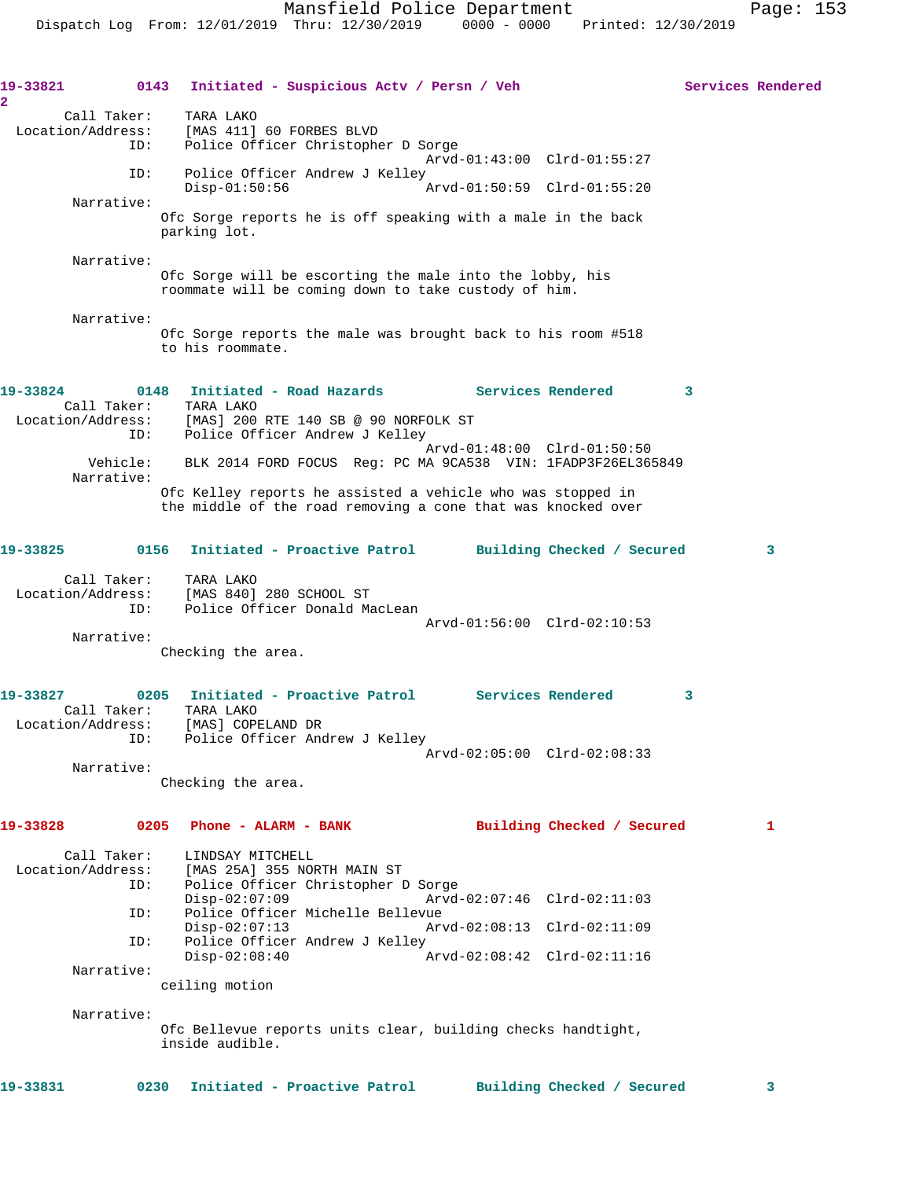**19-33821 0143 Initiated - Suspicious Actv / Persn / Veh Services Rendered 2**  Call Taker: TARA LAKO Location/Address: [MAS 411] 60 FORBES BLVD ID: Police Officer Christopher D Sorge Arvd-01:43:00 Clrd-01:55:27 ID: Police Officer Andrew J Kelley<br>Disp-01:50:56 Disp-01:50:56 Arvd-01:50:59 Clrd-01:55:20 Narrative: Ofc Sorge reports he is off speaking with a male in the back parking lot. Narrative: Ofc Sorge will be escorting the male into the lobby, his roommate will be coming down to take custody of him. Narrative: Ofc Sorge reports the male was brought back to his room #518 to his roommate. **19-33824 0148 Initiated - Road Hazards Services Rendered 3**  Call Taker: TARA LAKO Location/Address: [MAS] 200 RTE 140 SB @ 90 NORFOLK ST ID: Police Officer Andrew J Kelley Arvd-01:48:00 Clrd-01:50:50 Vehicle: BLK 2014 FORD FOCUS Reg: PC MA 9CA538 VIN: 1FADP3F26EL365849 Narrative: Ofc Kelley reports he assisted a vehicle who was stopped in the middle of the road removing a cone that was knocked over **19-33825 0156 Initiated - Proactive Patrol Building Checked / Secured 3** Call Taker: TARA LAKO Location/Address: [MAS 840] 280 SCHOOL ST ID: Police Officer Donald MacLean Arvd-01:56:00 Clrd-02:10:53 Narrative: Checking the area. **19-33827 0205 Initiated - Proactive Patrol Services Rendered 3**  Call Taker: TARA LAKO Location/Address: [MAS] COPELAND DR<br>ID: Police Officer And Police Officer Andrew J Kelley Arvd-02:05:00 Clrd-02:08:33 Narrative: Checking the area. **19-33828 0205 Phone - ALARM - BANK Building Checked / Secured 1** Call Taker: LINDSAY MITCHELL Location/Address: [MAS 25A] 355 NORTH MAIN ST Police Officer Christopher D Sorge<br>Disp-02:07:09 Arvd- Disp-02:07:09 Arvd-02:07:46 Clrd-02:11:03 ID: Police Officer Michelle Bellevue Disp-02:07:13 Arvd-02:08:13 Clrd-02:11:09 ID: Police Officer Andrew J Kelley<br>Disp-02:08:40  $\sigma$ Arvd-02:08:42 Clrd-02:11:16 Narrative: ceiling motion Narrative: Ofc Bellevue reports units clear, building checks handtight, inside audible. **19-33831 0230 Initiated - Proactive Patrol Building Checked / Secured 3**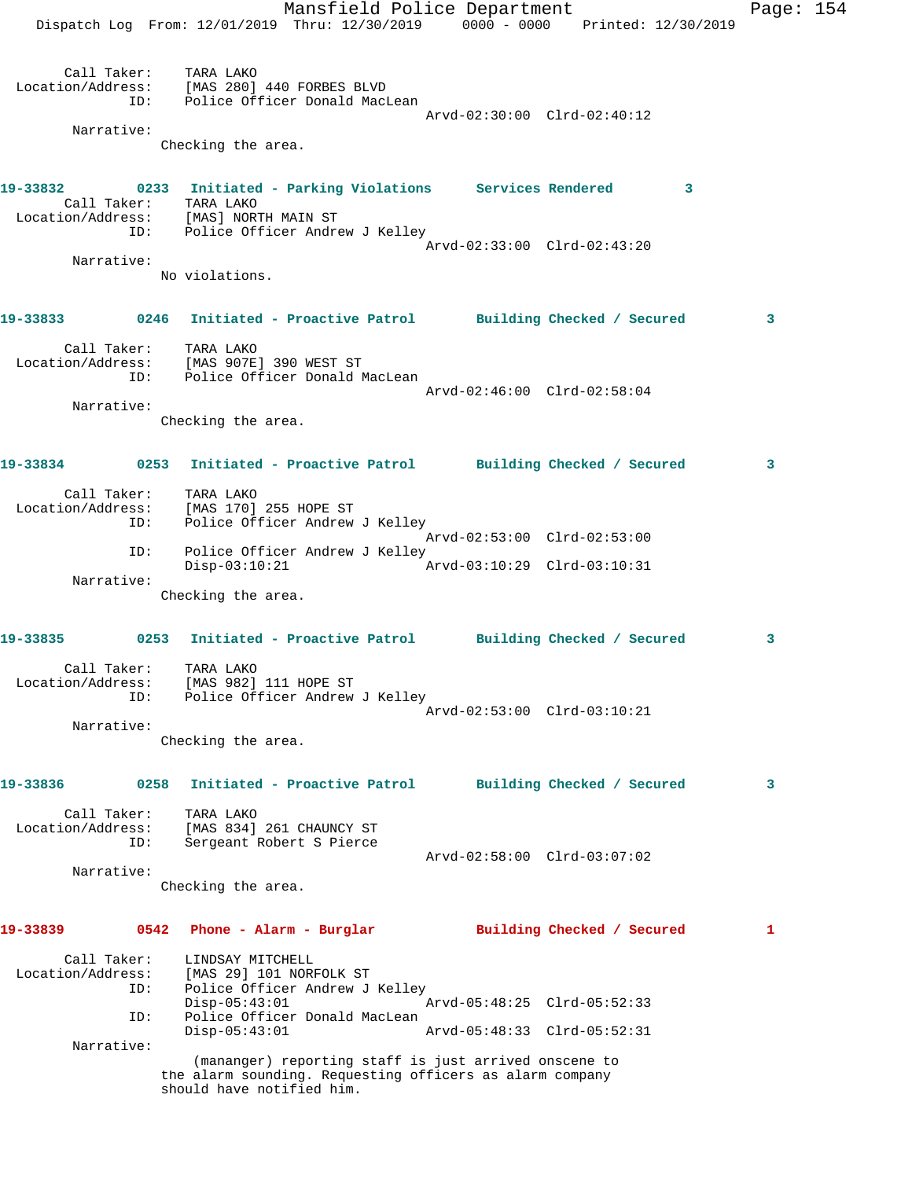Mansfield Police Department Fage: 154 Dispatch Log From: 12/01/2019 Thru: 12/30/2019 0000 - 0000 Printed: 12/30/2019 Call Taker: TARA LAKO Location/Address: [MAS 280] 440 FORBES BLVD ID: Police Officer Donald MacLean Arvd-02:30:00 Clrd-02:40:12 Narrative: Checking the area. **19-33832 0233 Initiated - Parking Violations Services Rendered 3**  Call Taker: TARA LAKO Location/Address: [MAS] NORTH MAIN ST ID: Police Officer Andrew J Kelley Arvd-02:33:00 Clrd-02:43:20 Narrative: No violations. **19-33833 0246 Initiated - Proactive Patrol Building Checked / Secured 3** Call Taker: TARA LAKO Location/Address: [MAS 907E] 390 WEST ST ID: Police Officer Donald MacLean Arvd-02:46:00 Clrd-02:58:04 Narrative: Checking the area. **19-33834 0253 Initiated - Proactive Patrol Building Checked / Secured 3** Call Taker: TARA LAKO Location/Address: [MAS 170] 255 HOPE ST ID: Police Officer Andrew J Kelley Arvd-02:53:00 Clrd-02:53:00 ID: Police Officer Andrew J Kelley<br>Disp-03:10:21 Arvd-03:10:29 Clrd-03:10:31  $Disp-03:10:21$  Narrative: Checking the area. **19-33835 0253 Initiated - Proactive Patrol Building Checked / Secured 3** Call Taker: TARA LAKO Location/Address: [MAS 982] 111 HOPE ST ID: Police Officer Andrew J Kelley Arvd-02:53:00 Clrd-03:10:21 Narrative: Checking the area. **19-33836 0258 Initiated - Proactive Patrol Building Checked / Secured 3** Call Taker: TARA LAKO Location/Address: [MAS 834] 261 CHAUNCY ST ID: Sergeant Robert S Pierce Arvd-02:58:00 Clrd-03:07:02 Narrative: Checking the area. **19-33839 0542 Phone - Alarm - Burglar Building Checked / Secured 1** Call Taker: LINDSAY MITCHELL Location/Address: [MAS 29] 101 NORFOLK ST ID: Police Officer Andrew J Kelley  $Disp-05:43:01$  ID: Police Officer Donald MacLean Disp-05:43:01 Arvd-05:48:33 Clrd-05:52:31 Narrative: (mananger) reporting staff is just arrived onscene to the alarm sounding. Requesting officers as alarm company should have notified him.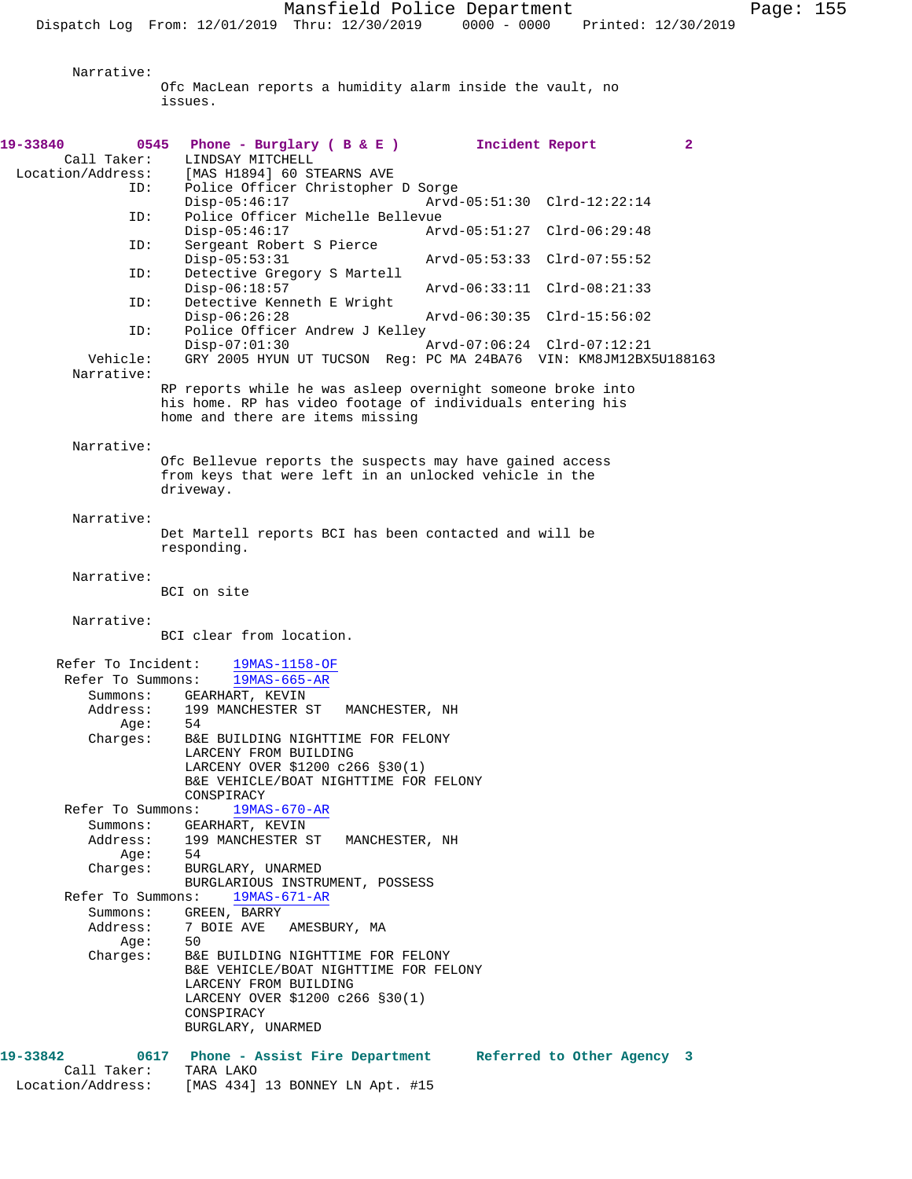Narrative:

Ofc MacLean reports a humidity alarm inside the vault, no issues.

| 19-33840             | 0545 Phone - Burglary (B & E ) Incident Report                                                                                                                |                             | $\mathbf{2}$ |
|----------------------|---------------------------------------------------------------------------------------------------------------------------------------------------------------|-----------------------------|--------------|
| Call Taker:          | LINDSAY MITCHELL                                                                                                                                              |                             |              |
| Location/Address:    | [MAS H1894] 60 STEARNS AVE                                                                                                                                    |                             |              |
| ID:                  | Police Officer Christopher D Sorge<br>$Disp-05:46:17$                                                                                                         | Arvd-05:51:30 Clrd-12:22:14 |              |
| ID:                  | Police Officer Michelle Bellevue<br>$Disp-05:46:17$                                                                                                           | Arvd-05:51:27 Clrd-06:29:48 |              |
| ID:                  | Sergeant Robert S Pierce<br>$Disp-05:53:31$                                                                                                                   | Arvd-05:53:33 Clrd-07:55:52 |              |
| ID:                  | Detective Gregory S Martell<br>$Disp-06:18:57$                                                                                                                | Arvd-06:33:11 Clrd-08:21:33 |              |
| ID:                  | Detective Kenneth E Wright<br>$Disp-06:26:28$                                                                                                                 | Arvd-06:30:35 Clrd-15:56:02 |              |
| ID:                  | Police Officer Andrew J Kelley<br>$Disp-07:01:30$                                                                                                             | Arvd-07:06:24 Clrd-07:12:21 |              |
| Vehicle:             | GRY 2005 HYUN UT TUCSON Reg: PC MA 24BA76 VIN: KM8JM12BX5U188163                                                                                              |                             |              |
| Narrative:           |                                                                                                                                                               |                             |              |
|                      | RP reports while he was asleep overnight someone broke into<br>his home. RP has video footage of individuals entering his<br>home and there are items missing |                             |              |
| Narrative:           |                                                                                                                                                               |                             |              |
|                      | Ofc Bellevue reports the suspects may have gained access<br>from keys that were left in an unlocked vehicle in the<br>driveway.                               |                             |              |
| Narrative:           |                                                                                                                                                               |                             |              |
|                      | Det Martell reports BCI has been contacted and will be<br>responding.                                                                                         |                             |              |
| Narrative:           | BCI on site                                                                                                                                                   |                             |              |
| Narrative:           |                                                                                                                                                               |                             |              |
|                      | BCI clear from location.                                                                                                                                      |                             |              |
| Refer To Incident:   | $19MAS-1158-OF$                                                                                                                                               |                             |              |
| Refer To Summons:    | $19MAS-665-AR$                                                                                                                                                |                             |              |
| Summons:             | GEARHART, KEVIN                                                                                                                                               |                             |              |
| Address:             | 199 MANCHESTER ST<br>MANCHESTER, NH                                                                                                                           |                             |              |
| Age:<br>Charges:     | 54<br>B&E BUILDING NIGHTTIME FOR FELONY                                                                                                                       |                             |              |
|                      | LARCENY FROM BUILDING                                                                                                                                         |                             |              |
|                      | LARCENY OVER \$1200 c266 §30(1)<br>B&E VEHICLE/BOAT NIGHTTIME FOR FELONY                                                                                      |                             |              |
| Refer To Summons:    | CONSPIRACY<br>$19MAS-670-AR$                                                                                                                                  |                             |              |
| Summons:             | GEARHART, KEVIN                                                                                                                                               |                             |              |
| Address:             | 199 MANCHESTER ST MANCHESTER, NH                                                                                                                              |                             |              |
| Aqe:                 | 54                                                                                                                                                            |                             |              |
| Charges:             | BURGLARY, UNARMED<br>BURGLARIOUS INSTRUMENT, POSSESS                                                                                                          |                             |              |
| Refer To Summons:    | $19MAS-671-AR$                                                                                                                                                |                             |              |
| Summons:<br>Address: | GREEN, BARRY<br>7 BOIE AVE AMESBURY, MA                                                                                                                       |                             |              |
| Age:<br>Charges:     | 50<br>B&E BUILDING NIGHTTIME FOR FELONY                                                                                                                       |                             |              |
|                      | B&E VEHICLE/BOAT NIGHTTIME FOR FELONY<br>LARCENY FROM BUILDING                                                                                                |                             |              |
|                      | LARCENY OVER \$1200 c266 \$30(1)                                                                                                                              |                             |              |
|                      | CONSPIRACY<br>BURGLARY, UNARMED                                                                                                                               |                             |              |
| 19-33842             |                                                                                                                                                               |                             |              |
| Call Taker:          | 0617 Phone - Assist Fire Department Referred to Other Agency 3<br>TARA LAKO                                                                                   |                             |              |

Location/Address: [MAS 434] 13 BONNEY LN Apt. #15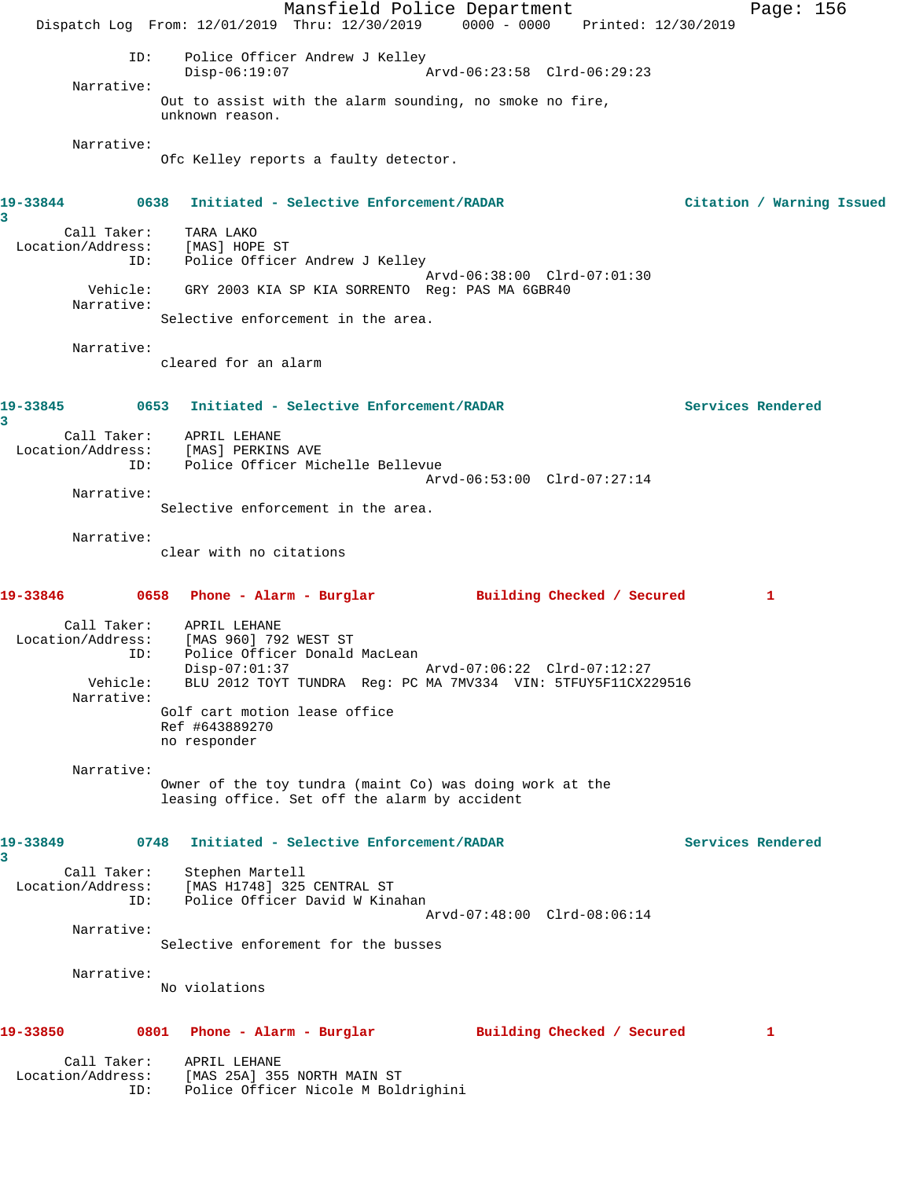|                                         | Mansfield Police Department                                                                                         | Page: 156                 |
|-----------------------------------------|---------------------------------------------------------------------------------------------------------------------|---------------------------|
|                                         | Dispatch Log From: 12/01/2019 Thru: 12/30/2019 0000 - 0000 Printed: 12/30/2019                                      |                           |
| ID:                                     | Police Officer Andrew J Kelley<br>Arvd-06:23:58 Clrd-06:29:23<br>$Disp-06:19:07$                                    |                           |
| Narrative:                              | Out to assist with the alarm sounding, no smoke no fire,                                                            |                           |
|                                         | unknown reason.                                                                                                     |                           |
| Narrative:                              | Ofc Kelley reports a faulty detector.                                                                               |                           |
| 19-33844<br>0638<br>3                   | Initiated - Selective Enforcement/RADAR                                                                             | Citation / Warning Issued |
| Call Taker:<br>Location/Address:<br>ID: | TARA LAKO<br>[MAS] HOPE ST<br>Police Officer Andrew J Kelley                                                        |                           |
| Vehicle:                                | Arvd-06:38:00 Clrd-07:01:30<br>GRY 2003 KIA SP KIA SORRENTO Reg: PAS MA 6GBR40                                      |                           |
| Narrative:                              | Selective enforcement in the area.                                                                                  |                           |
| Narrative:                              | cleared for an alarm                                                                                                |                           |
| 19-33845<br>3                           | 0653 Initiated - Selective Enforcement/RADAR                                                                        | Services Rendered         |
| Call Taker:<br>Location/Address:        | APRIL LEHANE<br>[MAS] PERKINS AVE                                                                                   |                           |
| ID:                                     | Police Officer Michelle Bellevue<br>Arvd-06:53:00 Clrd-07:27:14                                                     |                           |
| Narrative:                              | Selective enforcement in the area.                                                                                  |                           |
| Narrative:                              | clear with no citations                                                                                             |                           |
| 19-33846                                | 0658 Phone - Alarm - Burglar<br>Building Checked / Secured                                                          | 1                         |
| Call Taker:<br>Location/Address:<br>ID: | APRIL LEHANE<br>[MAS 960] 792 WEST ST<br>Police Officer Donald MacLean<br>Disp-07:01:37 Arvd-07:06:22 Clrd-07:12:27 |                           |
| Vehicle:<br>Narrative:                  | BLU 2012 TOYT TUNDRA Reg: PC MA 7MV334 VIN: 5TFUY5F11CX229516                                                       |                           |
|                                         | Golf cart motion lease office<br>Ref #643889270<br>no responder                                                     |                           |
| Narrative:                              | Owner of the toy tundra (maint Co) was doing work at the<br>leasing office. Set off the alarm by accident           |                           |
| 19-33849<br>0748<br>3                   | Initiated - Selective Enforcement/RADAR                                                                             | Services Rendered         |
| Call Taker:<br>Location/Address:<br>ID: | Stephen Martell<br>[MAS H1748] 325 CENTRAL ST<br>Police Officer David W Kinahan<br>Arvd-07:48:00 Clrd-08:06:14      |                           |
| Narrative:                              | Selective enforement for the busses                                                                                 |                           |
| Narrative:                              |                                                                                                                     |                           |
|                                         | No violations                                                                                                       |                           |
| 19-33850                                | 0801 Phone - Alarm - Burglar<br>Building Checked / Secured                                                          | ı                         |
| Call Taker:                             |                                                                                                                     |                           |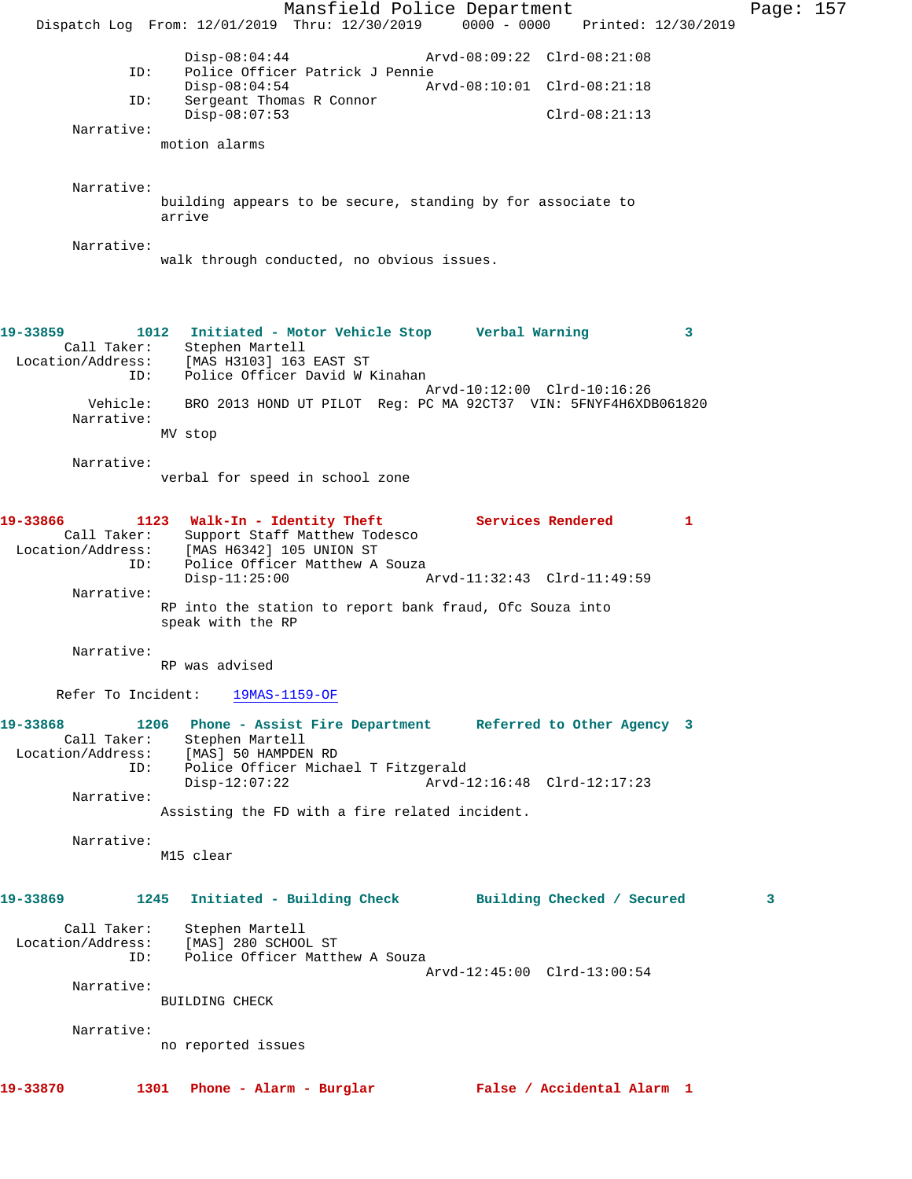Mansfield Police Department Page: 157 Dispatch Log From: 12/01/2019 Thru: 12/30/2019 0000 - 0000 Printed: 12/30/2019 Disp-08:04:44 Arvd-08:09:22 Clrd-08:21:08<br>ID: Police Officer Patrick J Pennie Police Officer Patrick J Pennie<br>Disp-08:04:54 Ar Disp-08:04:54 Arvd-08:10:01 Clrd-08:21:18 ID: Sergeant Thomas R Connor Disp-08:07:53 Clrd-08:21:13 Narrative: motion alarms Narrative: building appears to be secure, standing by for associate to arrive Narrative: walk through conducted, no obvious issues. **19-33859 1012 Initiated - Motor Vehicle Stop Verbal Warning 3**  Call Taker: Stephen Martell<br>ion/Address: [MAS H3103] 163 EAST ST Location/Address:<br>ID: Police Officer David W Kinahan Arvd-10:12:00 Clrd-10:16:26 Vehicle: BRO 2013 HOND UT PILOT Reg: PC MA 92CT37 VIN: 5FNYF4H6XDB061820 Narrative: MV stop Narrative: verbal for speed in school zone **19-33866 1123 Walk-In - Identity Theft Services Rendered 1**  Call Taker: Support Staff Matthew Todesco<br>Location/Address: [MAS H6342] 105 UNION ST [MAS H6342] 105 UNION ST ESS. [MAS HOS42] 105 UNION SI<br>ID: Police Officer Matthew A Souza<br>Disp-11:25:00 A Disp-11:25:00 Arvd-11:32:43 Clrd-11:49:59 Narrative: RP into the station to report bank fraud, Ofc Souza into speak with the RP Narrative: RP was advised Refer To Incident: 19MAS-1159-OF **19-33868 1206 Phone - Assist Fire Department Referred to Other Agency 3**  Call Taker: Stephen Martell Location/Address: [MAS] 50 HAMPDEN RD ID: Police Officer Michael T Fitzgerald Disp-12:07:22 Arvd-12:16:48 Clrd-12:17:23 Narrative: Assisting the FD with a fire related incident. Narrative: M15 clear **19-33869 1245 Initiated - Building Check Building Checked / Secured 3** Call Taker: Stephen Martell<br>ion/Address: [MAS] 280 SCHOOL ST Location/Address:<br>ID: Police Officer Matthew A Souza Arvd-12:45:00 Clrd-13:00:54 Narrative: BUILDING CHECK Narrative: no reported issues **19-33870 1301 Phone - Alarm - Burglar False / Accidental Alarm 1**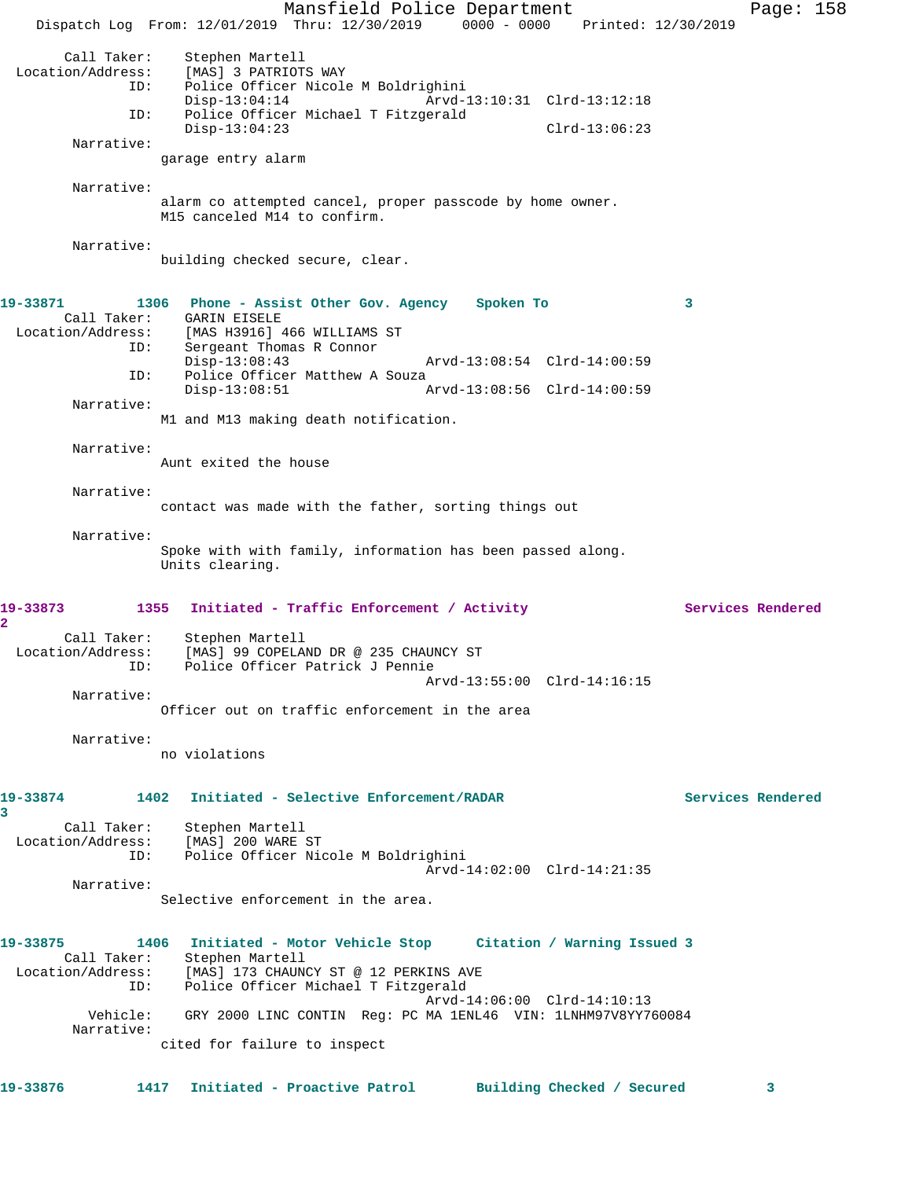Mansfield Police Department Page: 158 Dispatch Log From: 12/01/2019 Thru: 12/30/2019 0000 - 0000 Printed: 12/30/2019 Call Taker: Stephen Martell<br>Location/Address: [MAS] 3 PATRIOT [MAS] 3 PATRIOTS WAY ID: Police Officer Nicole M Boldrighini Disp-13:04:14 Arvd-13:10:31 Clrd-13:12:18 ID: Police Officer Michael T Fitzgerald Disp-13:04:23 Clrd-13:06:23 Narrative: garage entry alarm Narrative: alarm co attempted cancel, proper passcode by home owner. M15 canceled M14 to confirm. Narrative: building checked secure, clear. **19-33871 1306 Phone - Assist Other Gov. Agency Spoken To 3**  Call Taker: GARIN EISELE Location/Address: [MAS H3916] 466 WILLIAMS ST ID: Sergeant Thomas R Connor<br>Disp-13:08:43 Disp-13:08:43 Arvd-13:08:54 Clrd-14:00:59<br>ID: Police Officer Matthew A Souza Police Officer Matthew A Souza<br>Disp-13:08:51 Disp-13:08:51 Arvd-13:08:56 Clrd-14:00:59 Narrative: M1 and M13 making death notification. Narrative: Aunt exited the house Narrative: contact was made with the father, sorting things out Narrative: Spoke with with family, information has been passed along. Units clearing. 19-33873 1355 Initiated - Traffic Enforcement / Activity **Services Rendered 2**  Call Taker: Stephen Martell Location/Address: [MAS] 99 COPELAND DR @ 235 CHAUNCY ST ID: Police Officer Patrick J Pennie Arvd-13:55:00 Clrd-14:16:15 Narrative: Officer out on traffic enforcement in the area Narrative: no violations **19-33874 1402 Initiated - Selective Enforcement/RADAR Services Rendered 3**  Call Taker: Stephen Martell Location/Address: [MAS] 200 WARE ST<br>ID: Police Officer Nic Police Officer Nicole M Boldrighini Arvd-14:02:00 Clrd-14:21:35 Narrative: Selective enforcement in the area. **19-33875 1406 Initiated - Motor Vehicle Stop Citation / Warning Issued 3**  Call Taker: Stephen Martell Location/Address: [MAS] 173 CHAUNCY ST @ 12 PERKINS AVE ID: Police Officer Michael T Fitzgerald Arvd-14:06:00 Clrd-14:10:13 Vehicle: GRY 2000 LINC CONTIN Reg: PC MA 1ENL46 VIN: 1LNHM97V8YY760084 Narrative: cited for failure to inspect **19-33876 1417 Initiated - Proactive Patrol Building Checked / Secured 3**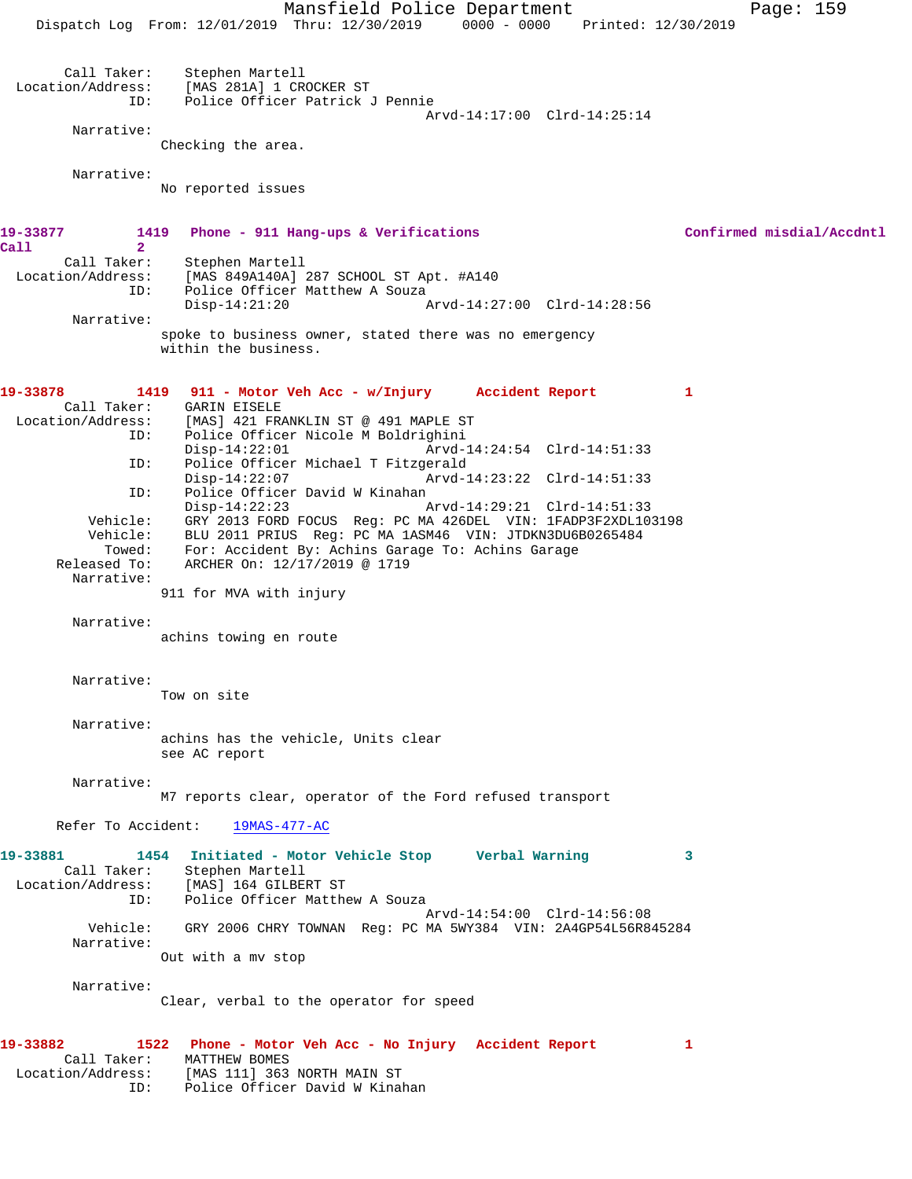Mansfield Police Department Page: 159 Dispatch Log From: 12/01/2019 Thru: 12/30/2019 0000 - 0000 Printed: 12/30/2019 Call Taker: Stephen Martell<br>Location/Address: [MAS 281A] 1 CR للحاد المصري العديد بالمواريعية (MAS 281A)<br>ID: Police Officer Patrick Police Officer Patrick J Pennie Arvd-14:17:00 Clrd-14:25:14 Narrative: Checking the area. Narrative: No reported issues **19-33877 1419 Phone - 911 Hang-ups & Verifications Confirmed misdial/Accdntl Call 2**  Call Taker: Stephen Martell Location/Address: [MAS 849A140A] 287 SCHOOL ST Apt. #A140 ID: Police Officer Matthew A Souza<br>Disp-14:21:20 Disp-14:21:20 Arvd-14:27:00 Clrd-14:28:56 Narrative: spoke to business owner, stated there was no emergency within the business. **19-33878 1419 911 - Motor Veh Acc - w/Injury Accident Report 1**  Call Taker: GARIN EISELE<br>Location/Address: [MAS] 421 FR [MAS] 421 FRANKLIN ST @ 491 MAPLE ST ID: Police Officer Nicole M Boldrighini Disp-14:22:01 Arvd-14:24:54 Clrd-14:51:33<br>ID: Police Officer Michael T Fitzgerald Police Officer Michael T Fitzgerald Disp-14:22:07 Arvd-14:23:22 Clrd-14:51:33 ID: Police Officer David W Kinahan<br>Disp-14:22:23 Disp-14:22:23 Arvd-14:29:21 Clrd-14:51:33 Vehicle: GRY 2013 FORD FOCUS Reg: PC MA 426DEL VIN: 1FADP3F2XDL103198 Vehicle: BLU 2011 PRIUS Reg: PC MA 1ASM46 VIN: JTDKN3DU6B0265484 Towed: For: Accident By: Achins Garage To: Achins Garage rowed. For Accruent by Antino Sure<br>Released To: ARCHER On: 12/17/2019 @ 1719 Narrative: 911 for MVA with injury Narrative: achins towing en route Narrative: Tow on site Narrative: achins has the vehicle, Units clear see AC report Narrative: M7 reports clear, operator of the Ford refused transport Refer To Accident: 19MAS-477-AC **19-33881 1454 Initiated - Motor Vehicle Stop Verbal Warning 3**  Call Taker: Stephen Martell Location/Address: [MAS] 164 GILBERT ST ID: Police Officer Matthew A Souza Arvd-14:54:00 Clrd-14:56:08<br>Vehicle: GRY 2006 CHRY TOWNAN Req: PC MA 5WY384 VIN: 2A4GP54L56R84 GRY 2006 CHRY TOWNAN Reg: PC MA 5WY384 VIN: 2A4GP54L56R845284 Narrative: Out with a mv stop Narrative: Clear, verbal to the operator for speed **19-33882 1522 Phone - Motor Veh Acc - No Injury Accident Report 1**  Call Taker: MATTHEW BOMES Location/Address: [MAS 111] 363 NORTH MAIN ST ID: Police Officer David W Kinahan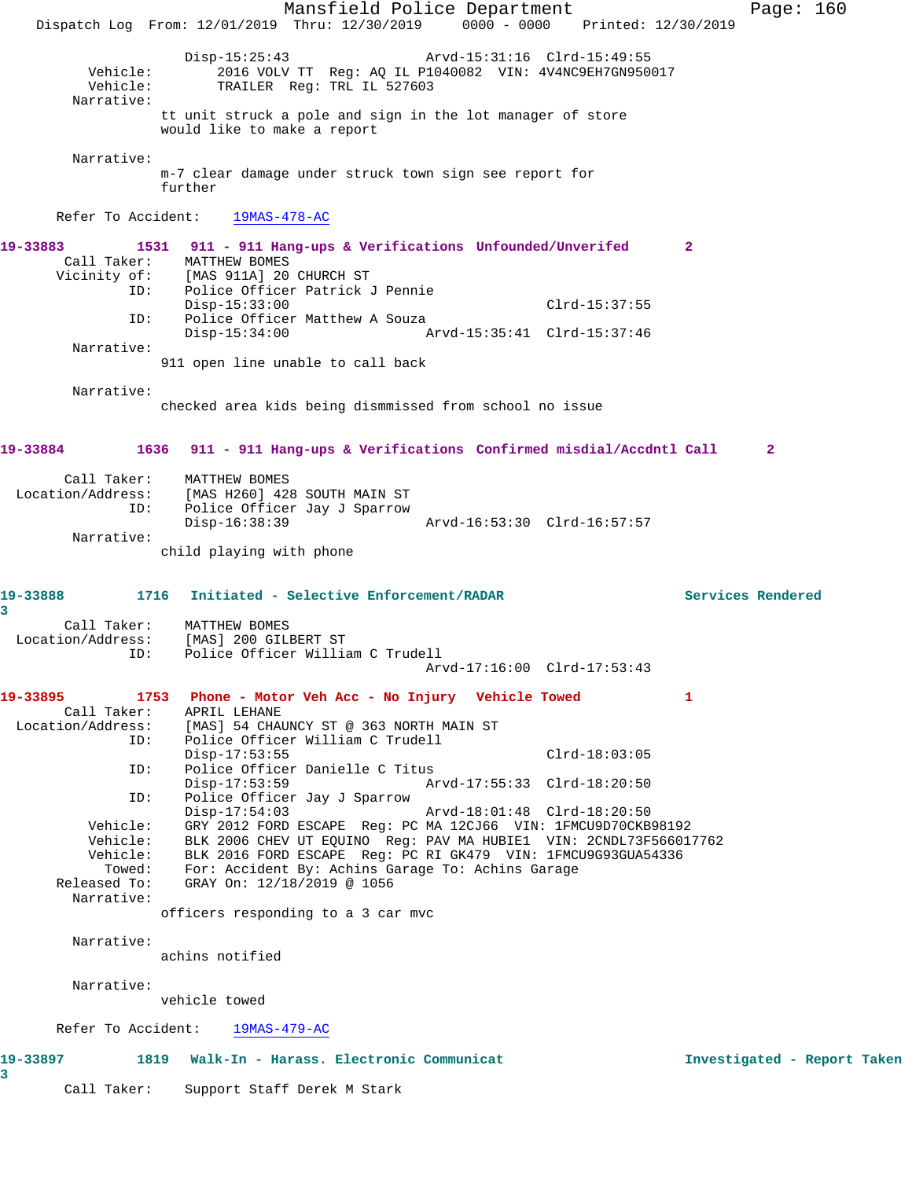Mansfield Police Department Page: 160 Dispatch Log From: 12/01/2019 Thru: 12/30/2019 0000 - 0000 Printed: 12/30/2019 Disp-15:25:43 Arvd-15:31:16 Clrd-15:49:55<br>Vehicle: 2016 VOLV TT Req: AQ IL P1040082 VIN: 4V4NC9EH7GN950 Vehicle: <sup>2016</sup> VOLV TT Reg: AQ IL P1040082 VIN: 4V4NC9EH7GN950017<br>Vehicle: TRAILER Reg: TRL IL 527603 TRAILER Reg: TRL IL 527603 Narrative: tt unit struck a pole and sign in the lot manager of store would like to make a report Narrative: m-7 clear damage under struck town sign see report for further Refer To Accident: 19MAS-478-AC **19-33883 1531 911 - 911 Hang-ups & Verifications Unfounded/Unverifed 2**  Call Taker: MATTHEW BOMES<br>Vicinity of: [MAS 911A] 20 [MAS 911A] 20 CHURCH ST ID: Police Officer Patrick J Pennie Disp-15:33:00 Clrd-15:37:55 ID: Police Officer Matthew A Souza<br>Disp-15:34:00 A Disp-15:34:00 Arvd-15:35:41 Clrd-15:37:46 Narrative: 911 open line unable to call back Narrative: checked area kids being dismmissed from school no issue **19-33884 1636 911 - 911 Hang-ups & Verifications Confirmed misdial/Accdntl Call 2** Call Taker: MATTHEW BOMES Location/Address: [MAS H260] 428 SOUTH MAIN ST ID: Police Officer Jay J Sparrow Disp-16:38:39 Arvd-16:53:30 Clrd-16:57:57 Narrative: child playing with phone **19-33888 1716 Initiated - Selective Enforcement/RADAR Services Rendered 3**  Call Taker: MATTHEW BOMES Location/Address: [MAS] 200 GILBERT ST ID: Police Officer William C Trudell Arvd-17:16:00 Clrd-17:53:43 **19-33895 1753 Phone - Motor Veh Acc - No Injury Vehicle Towed 1**  Call Taker: APRIL LEHANE Location/Address: [MAS] 54 CHAUNCY ST @ 363 NORTH MAIN ST ID: Police Officer William C Trudell Disp-17:53:55 Clrd-18:03:05<br>ID: Police Officer Danielle C Titus Police Officer Danielle C Titus Disp-17:53:59 Arvd-17:55:33 Clrd-18:20:50 ID: Police Officer Jay J Sparrow Disp-17:54:03 Arvd-18:01:48 Clrd-18:20:50 Vehicle: GRY 2012 FORD ESCAPE Reg: PC MA 12CJ66 VIN: 1FMCU9D70CKB98192 Vehicle: BLK 2006 CHEV UT EQUINO Reg: PAV MA HUBIE1 VIN: 2CNDL73F566017762 Vehicle: BLK 2016 FORD ESCAPE Reg: PC RI GK479 VIN: 1FMCU9G93GUA54336 Towed: For: Accident By: Achins Garage To: Achins Garage<br>Released To: GRAY On: 12/18/2019 @ 1056 GRAY On: 12/18/2019 @ 1056 Narrative: officers responding to a 3 car mvc Narrative: achins notified Narrative: vehicle towed Refer To Accident: 19MAS-479-AC **19-33897 1819 Walk-In - Harass. Electronic Communicat Investigated - Report Taken 3**  Call Taker: Support Staff Derek M Stark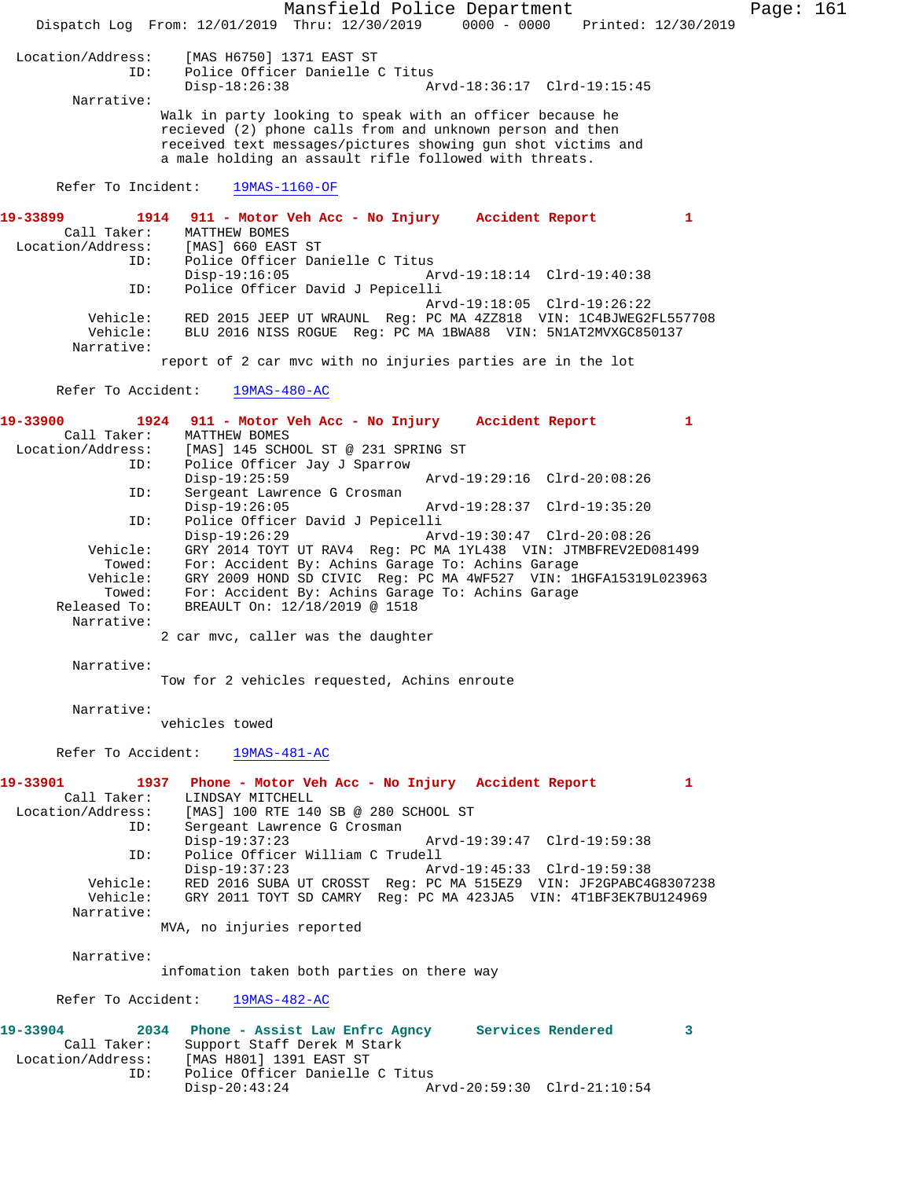Mansfield Police Department Page: 161 Dispatch Log From: 12/01/2019 Thru: 12/30/2019 0000 - 0000 Printed: 12/30/2019 Location/Address: [MAS H6750] 1371 EAST ST Police Officer Danielle C Titus<br>Disp-18:26:38 A Disp-18:26:38 Arvd-18:36:17 Clrd-19:15:45 Narrative: Walk in party looking to speak with an officer because he recieved (2) phone calls from and unknown person and then received text messages/pictures showing gun shot victims and a male holding an assault rifle followed with threats. Refer To Incident: 19MAS-1160-OF **19-33899 1914 911 - Motor Veh Acc - No Injury Accident Report 1**  Call Taker: MATTHEW BOMES<br>ion/Address: [MAS] 660 EAST ST Location/Address: ID: Police Officer Danielle C Titus Disp-19:16:05 Arvd-19:18:14 Clrd-19:40:38 ID: Police Officer David J Pepicelli Arvd-19:18:05 Clrd-19:26:22 Vehicle: RED 2015 JEEP UT WRAUNL Reg: PC MA 4ZZ818 VIN: 1C4BJWEG2FL557708 Vehicle: BLU 2016 NISS ROGUE Reg: PC MA 1BWA88 VIN: 5N1AT2MVXGC850137 Narrative: report of 2 car mvc with no injuries parties are in the lot Refer To Accident: 19MAS-480-AC **19-33900 1924 911 - Motor Veh Acc - No Injury Accident Report 1**  Call Taker: MATTHEW BOMES<br>Location/Address: [MAS] 145 SCH ess: [MAS] 145 SCHOOL ST @ 231 SPRING ST<br>ID: Police Officer Jay J Sparrow Police Officer Jay J Sparrow Disp-19:25:59 Arvd-19:29:16 Clrd-20:08:26<br>TD: Sergeant Lawrence G Crosman Sergeant Lawrence G Crosman<br>Disp-19:26:05 Disp-19:26:05 Arvd-19:28:37 Clrd-19:35:20<br>ID: Police Officer David J Pepicelli Police Officer David J Pepicelli<br>Disp-19:26:29 Arv Disp-19:26:29 Arvd-19:30:47 Clrd-20:08:26<br>Vehicle: GRY 2014 TOYT UT RAV4 Req: PC MA 1YL438 VIN: JTMBFREV2ED ehicle: GRY 2014 TOYT UT RAV4 Reg: PC MA 1YL438 VIN: JTMBFREV2ED081499<br> Towed: For: Accident By: Achins Garage To: Achins Garage For: Accident By: Achins Garage To: Achins Garage Vehicle: GRY 2009 HOND SD CIVIC Reg: PC MA 4WF527 VIN: 1HGFA15319L023963 Towed: For: Accident By: Achins Garage To: Achins Garage Released To: BREAULT On: 12/18/2019 @ 1518 Narrative: 2 car mvc, caller was the daughter Narrative: Tow for 2 vehicles requested, Achins enroute Narrative: vehicles towed Refer To Accident: 19MAS-481-AC **19-33901 1937 Phone - Motor Veh Acc - No Injury Accident Report 1**  Call Taker: LINDSAY MITCHELL Location/Address: [MAS] 100 RTE 140 SB @ 280 SCHOOL ST<br>ID: Sergeant Lawrence G Crosman Sergeant Lawrence G Crosman<br>Disp-19:37:23 Arvd-19:39:47 Clrd-19:59:38 ID: Police Officer William C Trudell Arvd-19:45:33 Clrd-19:59:38 Vehicle: RED 2016 SUBA UT CROSST Reg: PC MA 515EZ9 VIN: JF2GPABC4G8307238 GRY 2011 TOYT SD CAMRY Reg: PC MA 423JA5 VIN: 4T1BF3EK7BU124969 Narrative: MVA, no injuries reported Narrative: infomation taken both parties on there way Refer To Accident: 19MAS-482-AC **19-33904 2034 Phone - Assist Law Enfrc Agncy Services Rendered 3**  Call Taker: Support Staff Derek M Stark Location/Address: [MAS H801] 1391 EAST ST ID: Police Officer Danielle C Titus<br>Disp-20:43:24 A: Arvd-20:59:30 Clrd-21:10:54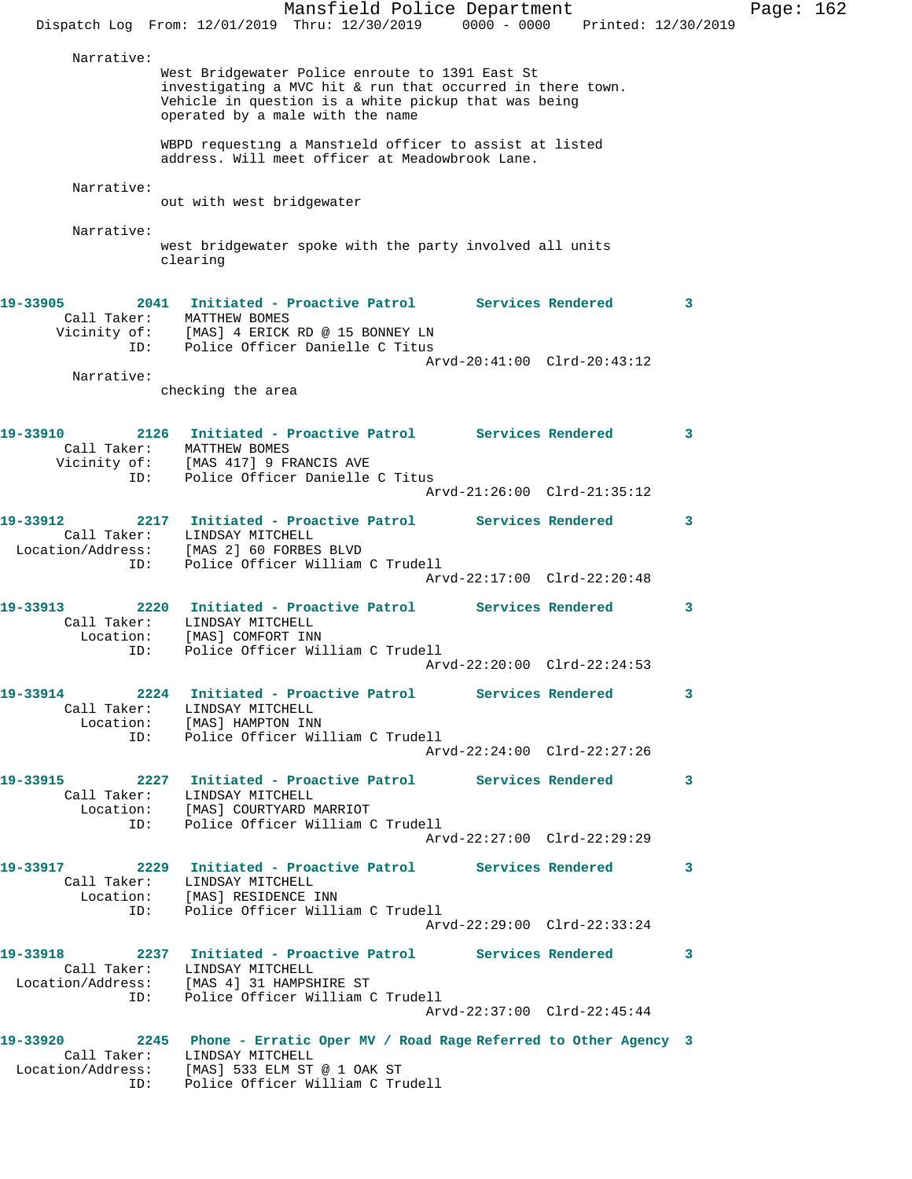Mansfield Police Department Page: 162 Dispatch Log From: 12/01/2019 Thru: 12/30/2019 0000 - 0000 Printed: 12/30/2019 Narrative: West Bridgewater Police enroute to 1391 East St investigating a MVC hit & run that occurred in there town. Vehicle in question is a white pickup that was being operated by a male with the name WBPD requesting a Mansfield officer to assist at listed address. Will meet officer at Meadowbrook Lane. Narrative: out with west bridgewater Narrative: west bridgewater spoke with the party involved all units clearing **19-33905 2041 Initiated - Proactive Patrol Services Rendered 3**  Call Taker: MATTHEW BOMES Vicinity of: [MAS] 4 ERICK RD @ 15 BONNEY LN ID: Police Officer Danielle C Titus Arvd-20:41:00 Clrd-20:43:12 Narrative: checking the area **19-33910 2126 Initiated - Proactive Patrol Services Rendered 3**  Call Taker: MATTHEW BOMES Vicinity of: [MAS 417] 9 FRANCIS AVE ID: Police Officer Danielle C Titus Arvd-21:26:00 Clrd-21:35:12 **19-33912 2217 Initiated - Proactive Patrol Services Rendered 3**  Call Taker: LINDSAY MITCHELL Location/Address: [MAS 2] 60 FORBES BLVD ID: Police Officer William C Trudell Arvd-22:17:00 Clrd-22:20:48 **19-33913 2220 Initiated - Proactive Patrol Services Rendered 3**  Call Taker: LINDSAY MITCHELL Location: [MAS] COMFORT INN ID: Police Officer William C Trudell Arvd-22:20:00 Clrd-22:24:53 **19-33914 2224 Initiated - Proactive Patrol Services Rendered 3**  Call Taker: LINDSAY MITCHELL Location: [MAS] HAMPTON INN ID: Police Officer William C Trudell Arvd-22:24:00 Clrd-22:27:26 **19-33915 2227 Initiated - Proactive Patrol Services Rendered 3**  Call Taker: LINDSAY MITCHELL Location: [MAS] COURTYARD MARRIOT ID: Police Officer William C Trudell Arvd-22:27:00 Clrd-22:29:29 **19-33917 2229 Initiated - Proactive Patrol Services Rendered 3**  Call Taker: LINDSAY MITCHELL Location: [MAS] RESIDENCE INN ID: Police Officer William C Trudell Arvd-22:29:00 Clrd-22:33:24 **19-33918 2237 Initiated - Proactive Patrol Services Rendered 3**  Call Taker: LINDSAY MITCHELL Location/Address: [MAS 4] 31 HAMPSHIRE ST ID: Police Officer William C Trudell Arvd-22:37:00 Clrd-22:45:44 **19-33920 2245 Phone - Erratic Oper MV / Road Rage Referred to Other Agency 3**  Call Taker: LINDSAY MITCHELL Location/Address: [MAS] 533 ELM ST @ 1 OAK ST ID: Police Officer William C Trudell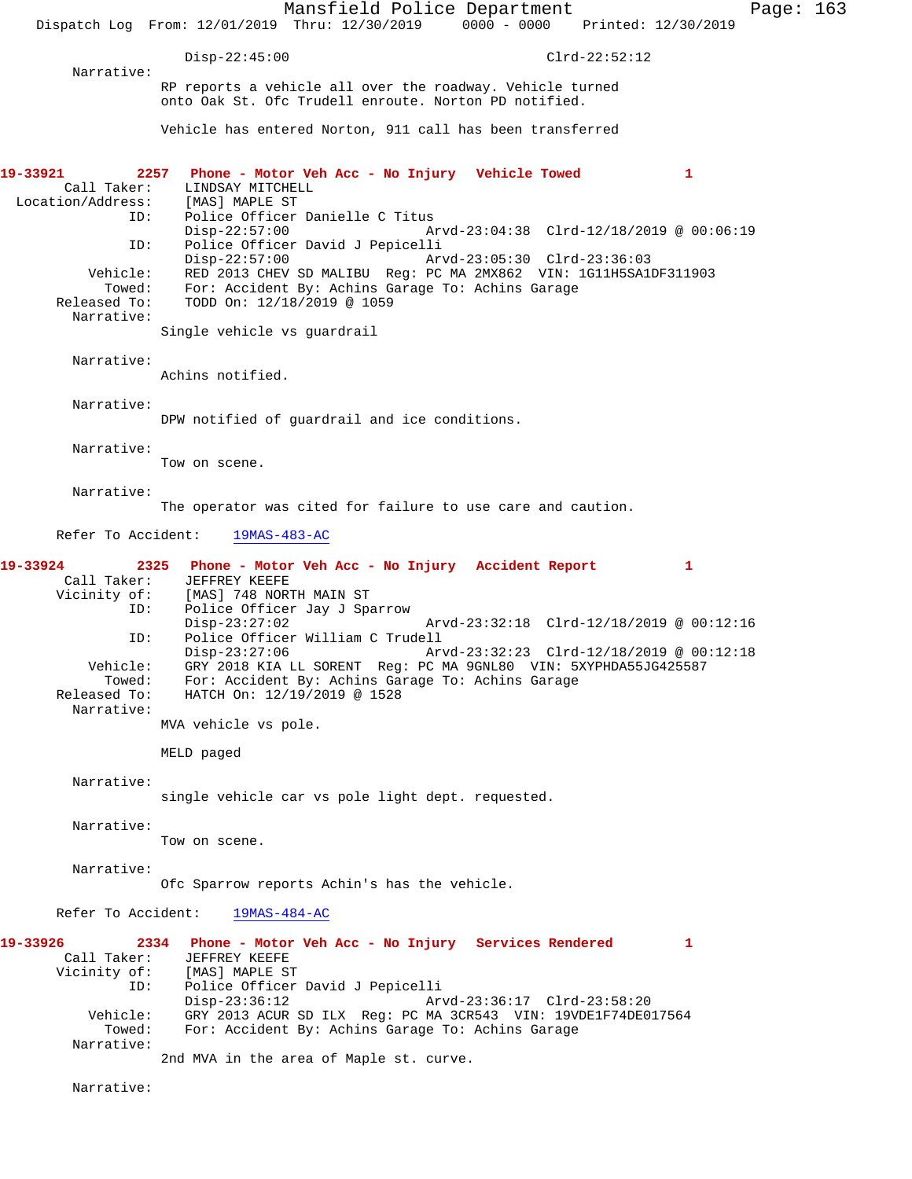Mansfield Police Department Page: 163 Dispatch Log From: 12/01/2019 Thru: 12/30/2019 0000 - 0000 Printed: 12/30/2019 Disp-22:45:00 Clrd-22:52:12 Narrative: RP reports a vehicle all over the roadway. Vehicle turned onto Oak St. Ofc Trudell enroute. Norton PD notified. Vehicle has entered Norton, 911 call has been transferred **19-33921 2257 Phone - Motor Veh Acc - No Injury Vehicle Towed 1**  LINDSAY MITCHELL<br>[MAS] MAPLE ST Location/Address: ID: Police Officer Danielle C Titus Arvd-23:04:38 Clrd-12/18/2019 @ 00:06:19 ID: Police Officer David J Pepicelli Disp-22:57:00 Arvd-23:05:30 Clrd-23:36:03 Vehicle: RED 2013 CHEV SD MALIBU Reg: PC MA 2MX862 VIN: 1G11H5SA1DF311903 Towed: For: Accident By: Achins Garage To: Achins Garage Released To: TODD On: 12/18/2019 @ 1059 Narrative: Single vehicle vs guardrail Narrative: Achins notified. Narrative: DPW notified of guardrail and ice conditions. Narrative: Tow on scene. Narrative: The operator was cited for failure to use care and caution. Refer To Accident: 19MAS-483-AC **19-33924 2325 Phone - Motor Veh Acc - No Injury Accident Report 1**  Call Taker: JEFFREY KEEFE<br>Vicinity of: [MAS] 748 NOR [MAS] 748 NORTH MAIN ST ID: Police Officer Jay J Sparrow Disp-23:27:02 Arvd-23:32:18 Clrd-12/18/2019 @ 00:12:16<br>TD: Police Officer William C Trudell Police Officer William C Trudell<br>Disp-23:27:06 Arv Arvd-23:32:23 Clrd-12/18/2019 @ 00:12:18 Vehicle: GRY 2018 KIA LL SORENT Reg: PC MA 9GNL80 VIN: 5XYPHDA55JG425587 Towed: For: Accident By: Achins Garage To: Achins Garage Released To: HATCH On: 12/19/2019 @ 1528 Narrative: MVA vehicle vs pole. MELD paged Narrative: single vehicle car vs pole light dept. requested. Narrative: Tow on scene. Narrative: Ofc Sparrow reports Achin's has the vehicle. Refer To Accident: 19MAS-484-AC **19-33926 2334 Phone - Motor Veh Acc - No Injury Services Rendered 1**  Call Taker: JEFFREY KEEFE<br>Vicinity of: [MAS] MAPLE ST [MAS] MAPLE ST ID: Police Officer David J Pepicelli Disp-23:36:12 Arvd-23:36:17 Clrd-23:58:20<br>Vehicle: GRY 2013 ACUR SD ILX Req: PC MA 3CR543 VIN: 19VDE1F74DE0 hicle: GRY 2013 ACUR SD ILX Reg: PC MA 3CR543 VIN: 19VDE1F74DE017564<br>Towed: For: Accident By: Achins Garage To: Achins Garage For: Accident By: Achins Garage To: Achins Garage Narrative: 2nd MVA in the area of Maple st. curve. Narrative: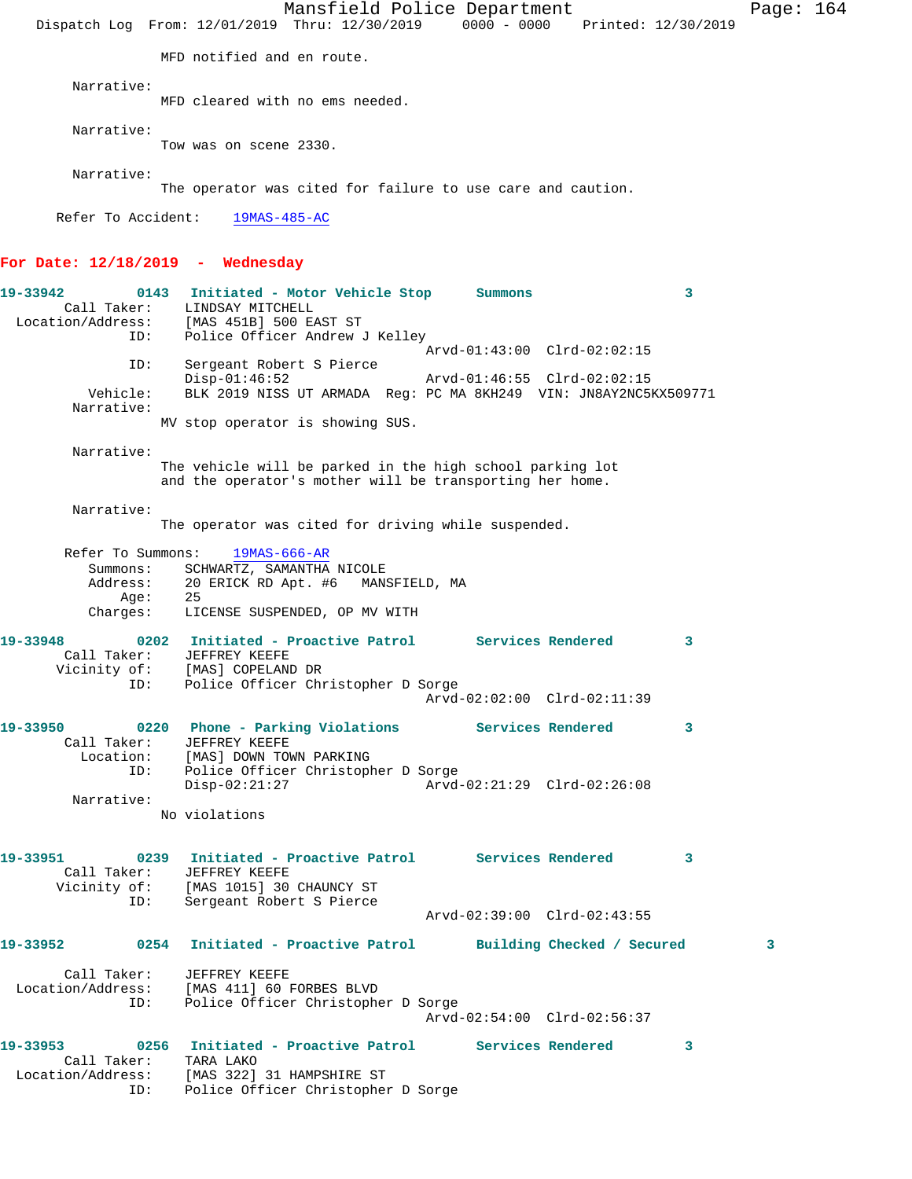Mansfield Police Department Page: 164 Dispatch Log From: 12/01/2019 Thru: 12/30/2019 0000 - 0000 Printed: 12/30/2019 MFD notified and en route. Narrative: MFD cleared with no ems needed. Narrative: Tow was on scene 2330. Narrative: The operator was cited for failure to use care and caution. Refer To Accident: 19MAS-485-AC **For Date: 12/18/2019 - Wednesday 19-33942 0143 Initiated - Motor Vehicle Stop Summons 3**  Call Taker: LINDSAY MITCHELL Location/Address: [MAS 451B] 500 EAST ST ID: Police Officer Andrew J Kelley Arvd-01:43:00 Clrd-02:02:15 ID: Sergeant Robert S Pierce Disp-01:46:52 Arvd-01:46:55 Clrd-02:02:15 Vehicle: BLK 2019 NISS UT ARMADA Reg: PC MA 8KH249 VIN: JN8AY2NC5KX509771 Narrative: MV stop operator is showing SUS. Narrative: The vehicle will be parked in the high school parking lot and the operator's mother will be transporting her home. Narrative: The operator was cited for driving while suspended. Refer To Summons: 19MAS-666-AR Summons: SCHWARTZ, SAMANTHA NICOLE Address: 20 ERICK RD Apt. #6 MANSFIELD, MA Age: 25 Charges: LICENSE SUSPENDED, OP MV WITH **19-33948 0202 Initiated - Proactive Patrol Services Rendered 3**  Call Taker: JEFFREY KEEFE Vicinity of: [MAS] COPELAND DR ID: Police Officer Christopher D Sorge Arvd-02:02:00 Clrd-02:11:39 19-33950 0220 Phone - Parking Violations Services Rendered 3 Call Taker: JEFFREY KEEFE Location: [MAS] DOWN TOWN PARKING ID: Police Officer Christopher D Sorge Disp-02:21:27 Arvd-02:21:29 Clrd-02:26:08 Narrative: No violations **19-33951 0239 Initiated - Proactive Patrol Services Rendered 3**  Call Taker: JEFFREY KEEFE Vicinity of: [MAS 1015] 30 CHAUNCY ST ID: Sergeant Robert S Pierce Arvd-02:39:00 Clrd-02:43:55 **19-33952 0254 Initiated - Proactive Patrol Building Checked / Secured 3** Call Taker: JEFFREY KEEFE Location/Address: [MAS 411] 60 FORBES BLVD ID: Police Officer Christopher D Sorge Arvd-02:54:00 Clrd-02:56:37 **19-33953 0256 Initiated - Proactive Patrol Services Rendered 3**  Call Taker: TARA LAKO Location/Address: [MAS 322] 31 HAMPSHIRE ST ID: Police Officer Christopher D Sorge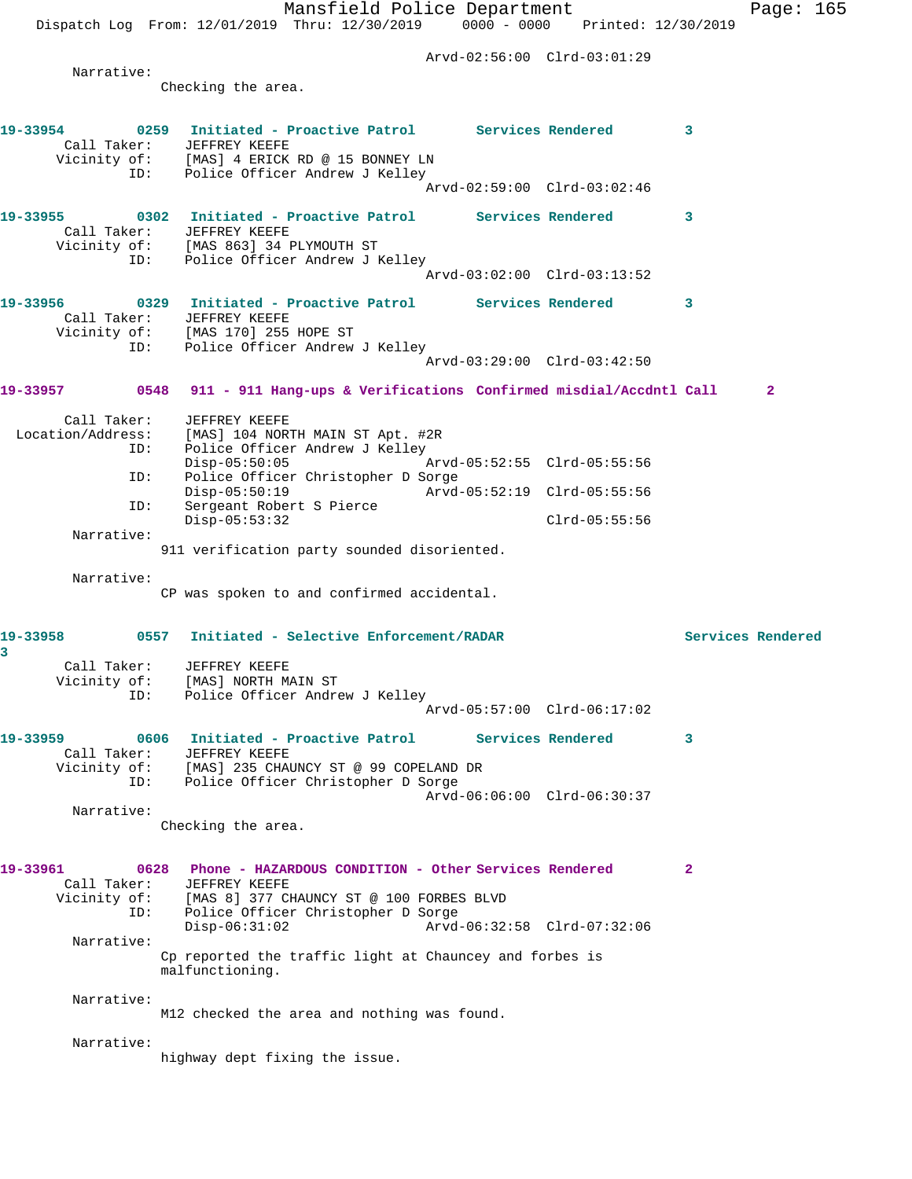Mansfield Police Department Fage: 165 Dispatch Log From: 12/01/2019 Thru: 12/30/2019 0000 - 0000 Printed: 12/30/2019 Arvd-02:56:00 Clrd-03:01:29 Narrative: Checking the area. **19-33954 0259 Initiated - Proactive Patrol Services Rendered 3**  Call Taker: JEFFREY KEEFE Vicinity of: [MAS] 4 ERICK RD @ 15 BONNEY LN ID: Police Officer Andrew J Kelley Arvd-02:59:00 Clrd-03:02:46 **19-33955 0302 Initiated - Proactive Patrol Services Rendered 3**  Call Taker: JEFFREY KEEFE Vicinity of: [MAS 863] 34 PLYMOUTH ST ID: Police Officer Andrew J Kelley Arvd-03:02:00 Clrd-03:13:52 **19-33956 0329 Initiated - Proactive Patrol Services Rendered 3**  Call Taker: JEFFREY KEEFE Vicinity of: [MAS 170] 255 HOPE ST ID: Police Officer Andrew J Kelley Arvd-03:29:00 Clrd-03:42:50 **19-33957 0548 911 - 911 Hang-ups & Verifications Confirmed misdial/Accdntl Call 2** Call Taker: JEFFREY KEEFE Location/Address: [MAS] 104 NORTH MAIN ST Apt. #2R ID: Police Officer Andrew J Kelley Arvd-05:52:55 Clrd-05:55:56 ID: Police Officer Christopher D Sorge Disp-05:50:19 Arvd-05:52:19 Clrd-05:55:56 ID: Sergeant Robert S Pierce Disp-05:53:32 Clrd-05:55:56 Narrative: 911 verification party sounded disoriented. Narrative: CP was spoken to and confirmed accidental. **19-33958 0557 Initiated - Selective Enforcement/RADAR Services Rendered 3**  Call Taker: JEFFREY KEEFE Vicinity of: [MAS] NORTH MAIN ST ID: Police Officer Andrew J Kelley Arvd-05:57:00 Clrd-06:17:02 **19-33959 0606 Initiated - Proactive Patrol Services Rendered 3**  Call Taker: JEFFREY KEEFE<br>Vicinity of: [MAS] 235 CHAL [MAS] 235 CHAUNCY ST @ 99 COPELAND DR ID: Police Officer Christopher D Sorge Arvd-06:06:00 Clrd-06:30:37 Narrative: Checking the area. **19-33961 0628 Phone - HAZARDOUS CONDITION - Other Services Rendered 2**  Call Taker: JEFFREY KEEFE Vicinity of: [MAS 8] 377 CHAUNCY ST @ 100 FORBES BLVD ID: Police Officer Christopher D Sorge Disp-06:31:02 Arvd-06:32:58 Clrd-07:32:06 Narrative: Cp reported the traffic light at Chauncey and forbes is malfunctioning. Narrative: M12 checked the area and nothing was found. Narrative: highway dept fixing the issue.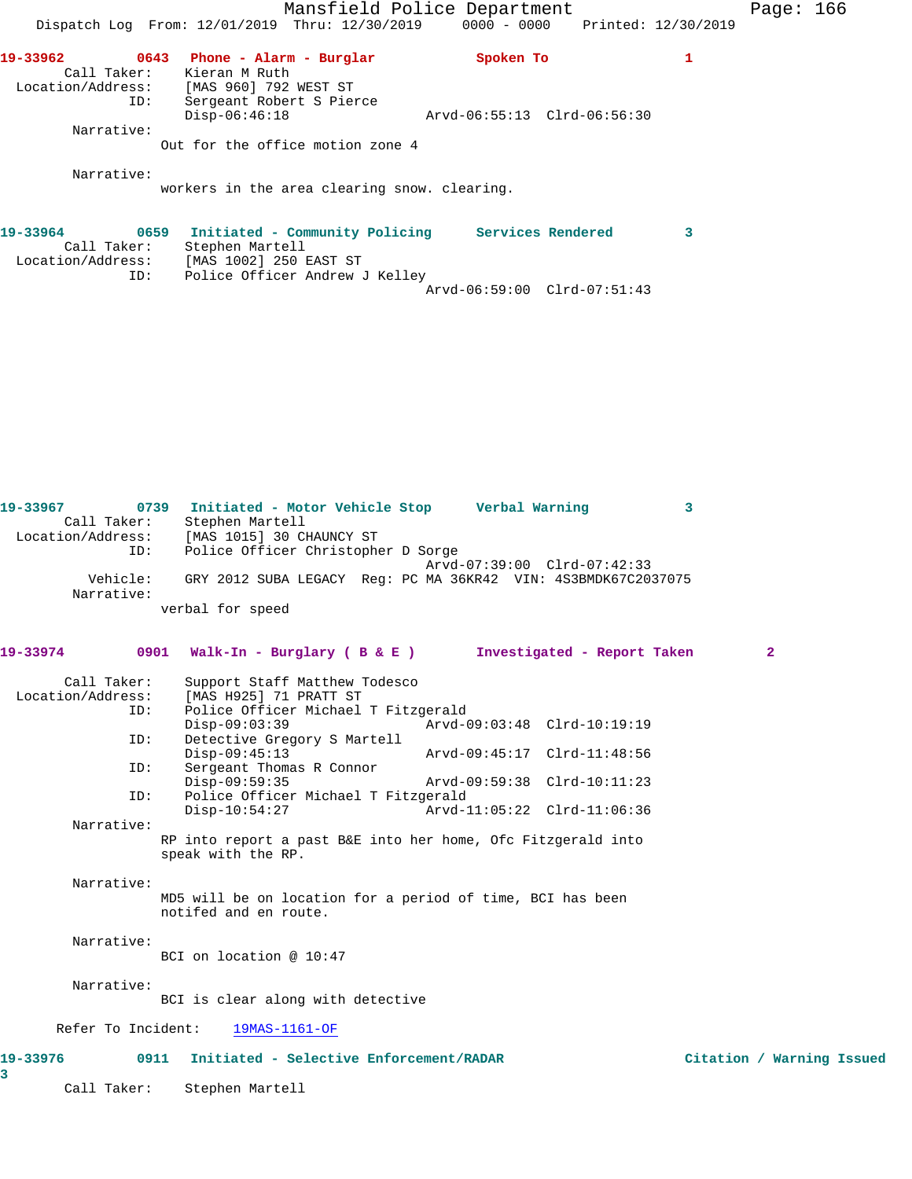|                                         |                                                                                       | Mansfield Police Department     | Page: $166$ |  |
|-----------------------------------------|---------------------------------------------------------------------------------------|---------------------------------|-------------|--|
|                                         | Dispatch Log From: 12/01/2019 Thru: 12/30/2019                                        | 0000 - 0000 Printed: 12/30/2019 |             |  |
| 19-33962                                | 0643<br>Phone - Alarm - Burglar                                                       | Spoken To                       |             |  |
| Call Taker:<br>Location/Address:<br>ID: | Kieran M Ruth<br>[MAS 960] 792 WEST ST<br>Sergeant Robert S Pierce<br>$Disp-06:46:18$ | Arvd-06:55:13 Clrd-06:56:30     |             |  |
| Narrative:                              | Out for the office motion zone 4                                                      |                                 |             |  |
| Narrative:                              | workers in the area clearing snow. clearing.                                          |                                 |             |  |
| 19-33964                                | Initiated - Community Policing<br>0659                                                | Services Rendered               |             |  |

| Call Taker:<br>Location/Address:<br>TD: | Stephen Martell<br>[MAS 1002] 250 EAST ST<br>Police Officer Andrew J Kelley |  |
|-----------------------------------------|-----------------------------------------------------------------------------|--|
|                                         | Arvd-06:59:00 Clrd-07:51:43                                                 |  |

| 19-33967<br>Call Taker:          | 0739 Initiated - Motor Vehicle Stop Verbal Warning<br>Stephen Martell               |                             | 3          |
|----------------------------------|-------------------------------------------------------------------------------------|-----------------------------|------------|
| ID:                              | Location/Address: [MAS 1015] 30 CHAUNCY ST<br>Police Officer Christopher D Sorge    | Arvd-07:39:00 Clrd-07:42:33 |            |
| Vehicle:<br>Narrative:           | GRY 2012 SUBA LEGACY Req: PC MA 36KR42 VIN: 4S3BMDK67C2037075                       |                             |            |
|                                  | verbal for speed                                                                    |                             |            |
| 19-33974                         | 0901 Walk-In - Burglary ( B & E ) Investigated - Report Taken                       |                             | 2          |
| Call Taker:<br>Location/Address: | Support Staff Matthew Todesco<br>[MAS H925] 71 PRATT ST                             |                             |            |
| ID:                              | Police Officer Michael T Fitzgerald<br>$Disp-09:03:39$                              | Arvd-09:03:48 Clrd-10:19:19 |            |
| ID:                              | Detective Gregory S Martell<br>$Disp-09:45:13$                                      | Arvd-09:45:17 Clrd-11:48:56 |            |
| ID:                              | Sergeant Thomas R Connor<br>$Disp-09:59:35$                                         | Arvd-09:59:38 Clrd-10:11:23 |            |
| ID:                              | Police Officer Michael T Fitzgerald<br>$Disp-10:54:27$                              | Arvd-11:05:22 Clrd-11:06:36 |            |
| Narrative:                       | RP into report a past B&E into her home, Ofc Fitzgerald into<br>speak with the RP.  |                             |            |
| Narrative:                       |                                                                                     |                             |            |
|                                  | MD5 will be on location for a period of time, BCI has been<br>notifed and en route. |                             |            |
| Narrative:                       | BCI on location @ $10:47$                                                           |                             |            |
| Narrative:                       | BCI is clear along with detective                                                   |                             |            |
| Refer To Incident:               | 19MAS-1161-OF                                                                       |                             |            |
| 19-33976<br>3                    | 0911 Initiated - Selective Enforcement/RADAR                                        |                             | Citation / |
| Call Taker:                      | Stephen Martell                                                                     |                             |            |

Warning Issued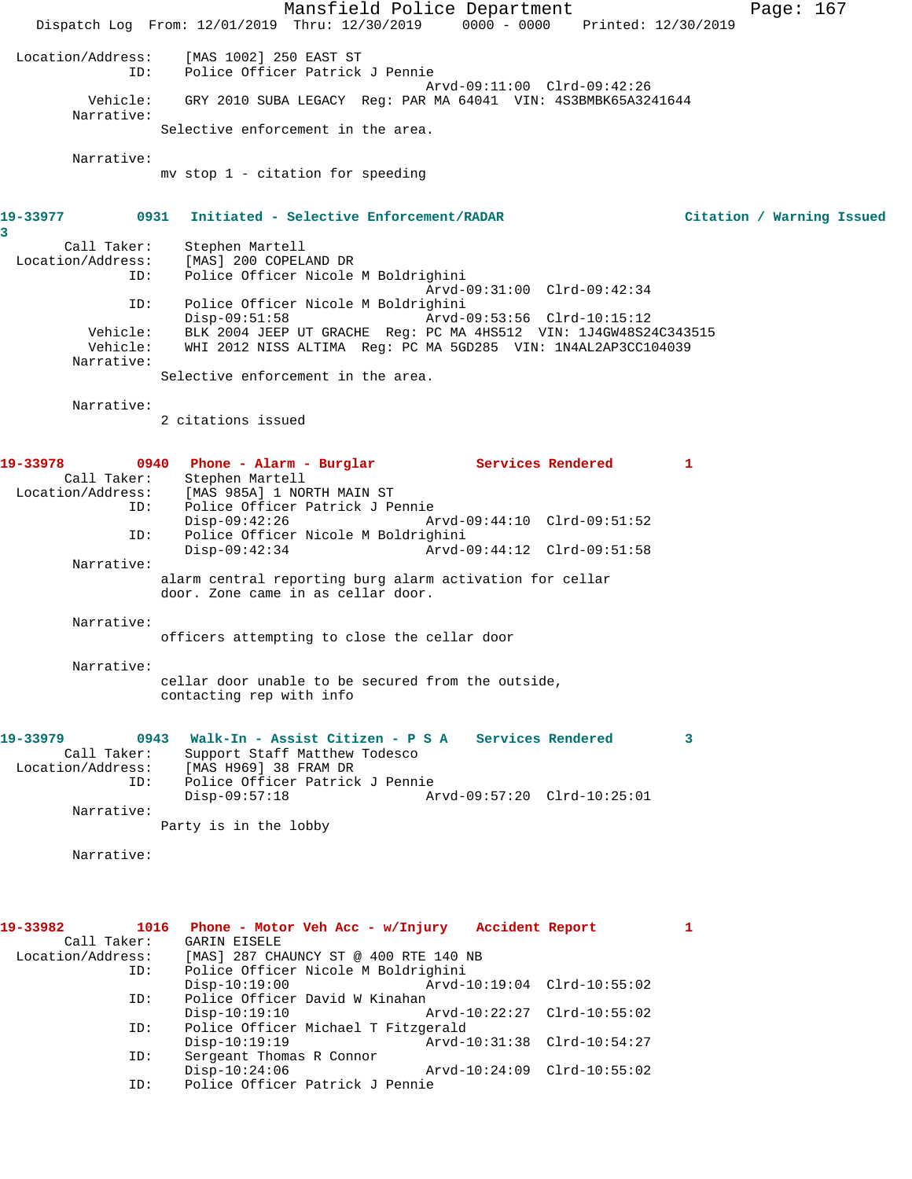Mansfield Police Department Page: 167 Dispatch Log From: 12/01/2019 Thru: 12/30/2019 0000 - 0000 Printed: 12/30/2019 Location/Address: [MAS 1002] 250 EAST ST ID: Police Officer Patrick J Pennie Arvd-09:11:00 Clrd-09:42:26 Vehicle: GRY 2010 SUBA LEGACY Reg: PAR MA 64041 VIN: 4S3BMBK65A3241644 Narrative: Selective enforcement in the area. Narrative: mv stop 1 - citation for speeding **19-33977 0931 Initiated - Selective Enforcement/RADAR Citation / Warning Issued 3**  Call Taker: Stephen Martell Location/Address: [MAS] 200 COPELAND DR Police Officer Nicole M Boldrighini Arvd-09:31:00 Clrd-09:42:34 ID: Police Officer Nicole M Boldrighini Disp-09:51:58 Arvd-09:53:56 Clrd-10:15:12 Vehicle: BLK 2004 JEEP UT GRACHE Reg: PC MA 4HS512 VIN: 1J4GW48S24C343515 Vehicle: WHI 2012 NISS ALTIMA Reg: PC MA 5GD285 VIN: 1N4AL2AP3CC104039 Narrative: Selective enforcement in the area. Narrative: 2 citations issued **19-33978 0940 Phone - Alarm - Burglar Services Rendered 1**  Call Taker: Stephen Martell Location/Address: [MAS 985A] 1 NORTH MAIN ST ID: Police Officer Patrick J Pennie Disp-09:42:26 Arvd-09:44:10 Clrd-09:51:52 ID: Police Officer Nicole M Boldrighini Disp-09:42:34 Arvd-09:44:12 Clrd-09:51:58 Narrative: alarm central reporting burg alarm activation for cellar door. Zone came in as cellar door. Narrative: officers attempting to close the cellar door Narrative: cellar door unable to be secured from the outside, contacting rep with info **19-33979 0943 Walk-In - Assist Citizen - P S A Services Rendered 3**  Call Taker: Support Staff Matthew Todesco Location/Address: [MAS H969] 38 FRAM DR ID: Police Officer Patrick J Pennie Disp-09:57:18 Arvd-09:57:20 Clrd-10:25:01 Narrative: Party is in the lobby Narrative: **19-33982 1016 Phone - Motor Veh Acc - w/Injury Accident Report 1**  Call Taker: GARIN EISELE<br>Location/Address: [MAS] 287 CH [MAS] 287 CHAUNCY ST @ 400 RTE 140 NB ID: Police Officer Nicole M Boldrighini Disp-10:19:00 Arvd-10:19:04 Clrd-10:55:02<br>TD: Police Officer David W Kinahan Police Officer David W Kinahan<br>Disp-10:19:10 P Disp-10:19:10 Arvd-10:22:27 Clrd-10:55:02

 ID: Police Officer Michael T Fitzgerald Disp-10:19:19 <br>
D: Sergeant Thomas R Connor<br>
D: Sergeant Thomas R Connor<br>
D: Sergeant Thomas R Connor Sergeant Thomas R Connor<br>Disp-10:24:06 Disp-10:24:06 Arvd-10:24:09 Clrd-10:55:02<br>ID: Police Officer Patrick J Pennie Police Officer Patrick J Pennie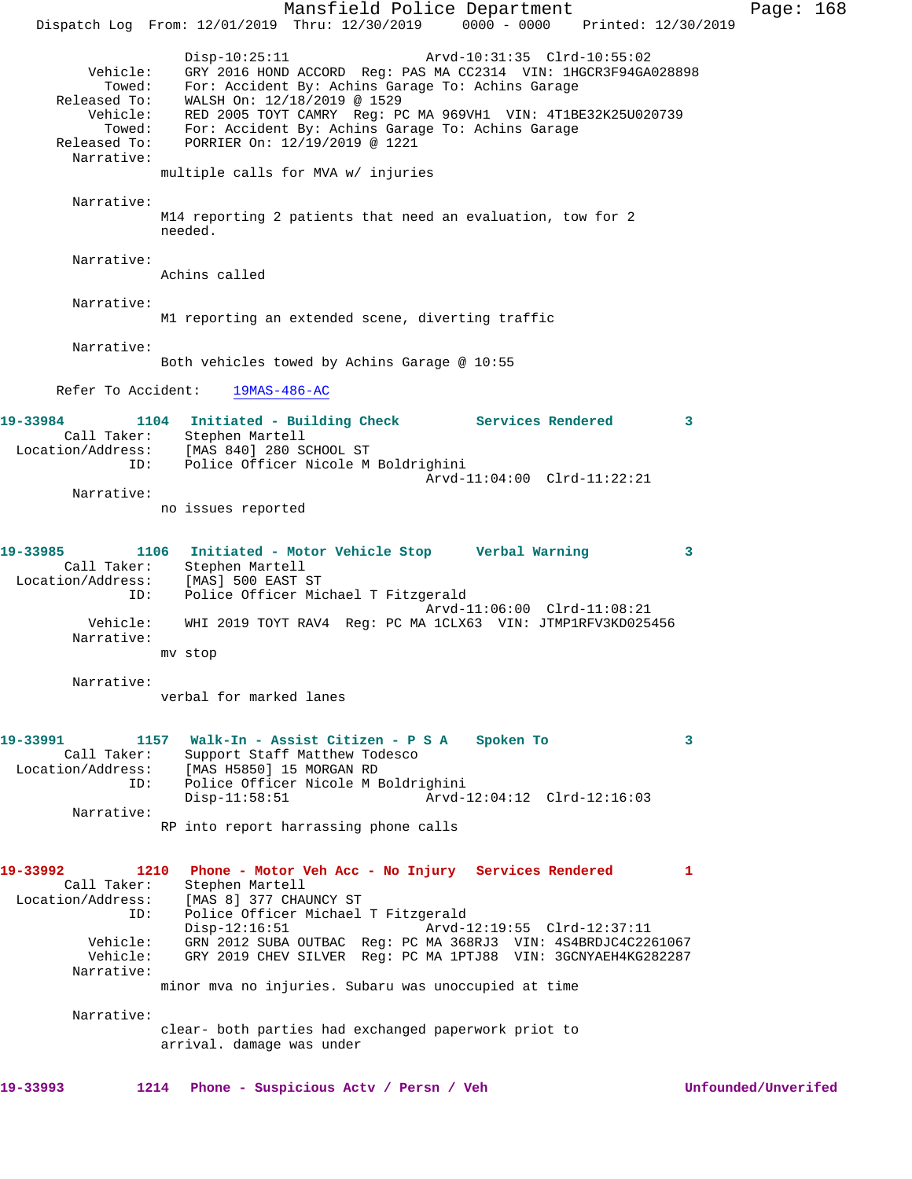Mansfield Police Department Page: 168 Dispatch Log From: 12/01/2019 Thru: 12/30/2019 0000 - 0000 Printed: 12/30/2019 Disp-10:25:11 Arvd-10:31:35 Clrd-10:55:02 Vehicle: GRY 2016 HOND ACCORD Reg: PAS MA CC2314 VIN: 1HGCR3F94GA028898 Towed: For: Accident By: Achins Garage To: Achins Garage Released To: WALSH On: 12/18/2019 @ 1529 Vehicle: RED 2005 TOYT CAMRY Reg: PC MA 969VH1 VIN: 4T1BE32K25U020739 Towed: For: Accident By: Achins Garage To: Achins Garage Released To: PORRIER On: 12/19/2019 @ 1221 Narrative: multiple calls for MVA w/ injuries Narrative: M14 reporting 2 patients that need an evaluation, tow for 2 needed. Narrative: Achins called Narrative: M1 reporting an extended scene, diverting traffic Narrative: Both vehicles towed by Achins Garage @ 10:55 Refer To Accident: 19MAS-486-AC 19-33984 1104 Initiated - Building Check Services Rendered 3 Call Taker: Stephen Martell Location/Address: [MAS 840] 280 SCHOOL ST ID: Police Officer Nicole M Boldrighini Arvd-11:04:00 Clrd-11:22:21 Narrative: no issues reported **19-33985 1106 Initiated - Motor Vehicle Stop Verbal Warning 3**  Call Taker: Stephen Martell<br>Location/Address: [MAS] 500 EAST ST Location/Address: [MAS] 500 EAST ST ID: Police Officer Michael T Fitzgerald Arvd-11:06:00 Clrd-11:08:21 Vehicle: WHI 2019 TOYT RAV4 Reg: PC MA 1CLX63 VIN: JTMP1RFV3KD025456 Narrative: mv stop Narrative: verbal for marked lanes **19-33991 1157 Walk-In - Assist Citizen - P S A Spoken To 3**  Call Taker: Support Staff Matthew Todesco<br>Location/Address: [MAS H5850] 15 MORGAN RD [MAS H5850] 15 MORGAN RD ID: Police Officer Nicole M Boldrighini<br>Disp-11:58:51 Arvd-1 Arvd-12:04:12 Clrd-12:16:03 Narrative: RP into report harrassing phone calls **19-33992 1210 Phone - Motor Veh Acc - No Injury Services Rendered 1**  Call Taker: Stephen Martell Location/Address: [MAS 8] 377 CHAUNCY ST ID: Police Officer Michael T Fitzgerald Disp-12:16:51 Arvd-12:19:55 Clrd-12:37:11 Vehicle: GRN 2012 SUBA OUTBAC Reg: PC MA 368RJ3 VIN: 4S4BRDJC4C2261067 Vehicle: GRY 2019 CHEV SILVER Reg: PC MA 1PTJ88 VIN: 3GCNYAEH4KG282287 Narrative: minor mva no injuries. Subaru was unoccupied at time Narrative: clear- both parties had exchanged paperwork priot to arrival. damage was under **19-33993 1214 Phone - Suspicious Actv / Persn / Veh Unfounded/Unverifed**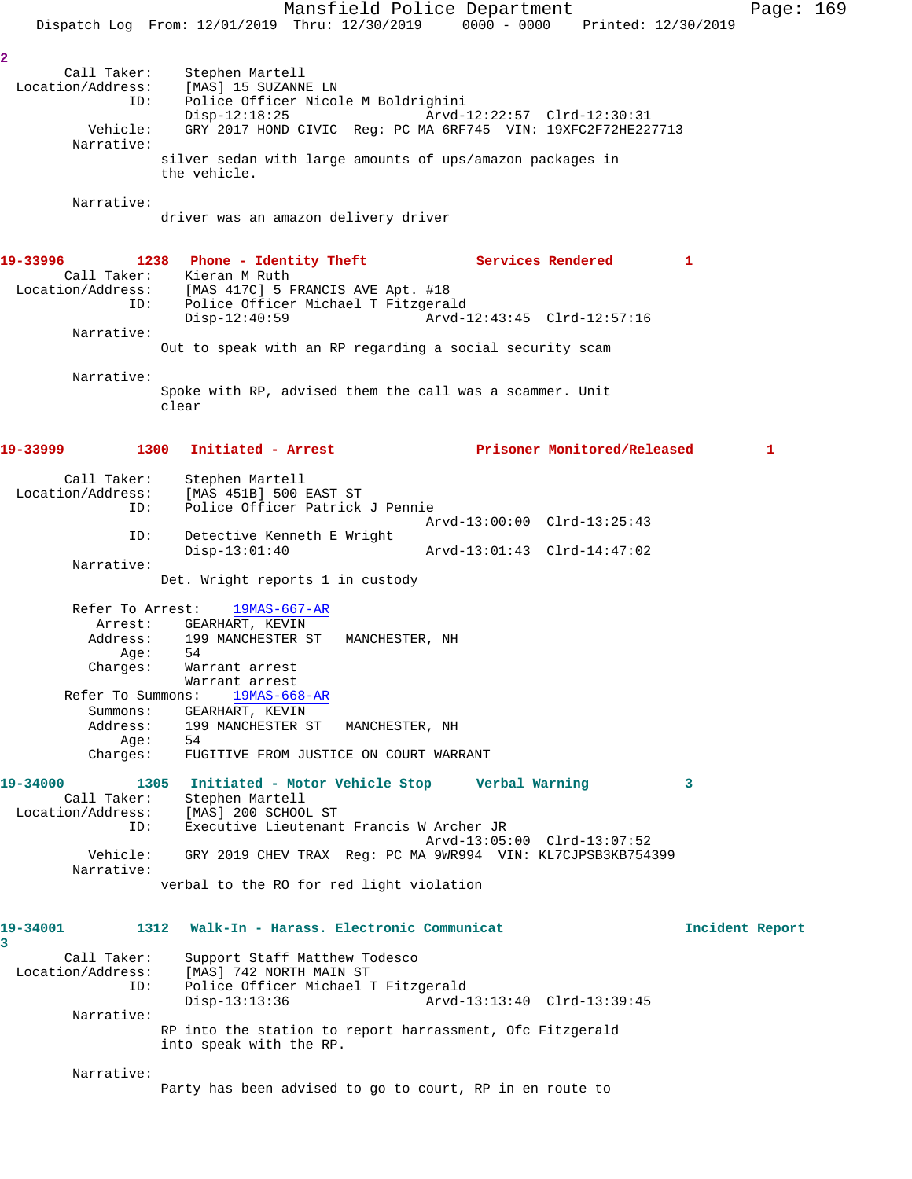Mansfield Police Department Page: 169 Dispatch Log From: 12/01/2019 Thru: 12/30/2019 0000 - 0000 Printed: 12/30/2019 **2**  Call Taker: Stephen Martell Location/Address: [MAS] 15 SUZANNE LN ID: Police Officer Nicole M Boldrighini Disp-12:18:25 Arvd-12:22:57 Clrd-12:30:31 Vehicle: GRY 2017 HOND CIVIC Reg: PC MA 6RF745 VIN: 19XFC2F72HE227713 Narrative: silver sedan with large amounts of ups/amazon packages in the vehicle. Narrative: driver was an amazon delivery driver 19-33996 1238 Phone - Identity Theft **Services Rendered** 1 Call Taker: Kieran M Ruth Location/Address: [MAS 417C] 5 FRANCIS AVE Apt. #18 ID: Police Officer Michael T Fitzgerald Disp-12:40:59 Arvd-12:43:45 Clrd-12:57:16 Narrative: Out to speak with an RP regarding a social security scam Narrative: Spoke with RP, advised them the call was a scammer. Unit clear **19-33999 1300 Initiated - Arrest Prisoner Monitored/Released 1** Call Taker: Stephen Martell Location/Address: [MAS 451B] 500 EAST ST ID: Police Officer Patrick J Pennie Arvd-13:00:00 Clrd-13:25:43 ID: Detective Kenneth E Wright Disp-13:01:40 Arvd-13:01:43 Clrd-14:47:02 Narrative: Det. Wright reports 1 in custody Refer To Arrest: 19MAS-667-AR Arrest: GEARHART, KEVIN Address: 199 MANCHESTER ST MANCHESTER, NH Age: Charges: Warrant arrest Warrant arrest Refer To Summons: 19MAS-668-AR Summons: GEARHART, KEVIN Address: 199 MANCHESTER ST MANCHESTER, NH Age: 54 Charges: FUGITIVE FROM JUSTICE ON COURT WARRANT **19-34000 1305 Initiated - Motor Vehicle Stop Verbal Warning 3**  Call Taker: Stephen Martell Location/Address: [MAS] 200 SCHOOL ST ID: Executive Lieutenant Francis W Archer JR Arvd-13:05:00 Clrd-13:07:52 Vehicle: GRY 2019 CHEV TRAX Reg: PC MA 9WR994 VIN: KL7CJPSB3KB754399 Narrative: verbal to the RO for red light violation **19-34001 1312 Walk-In - Harass. Electronic Communicat Incident Report 3**  Call Taker: Support Staff Matthew Todesco<br>Location/Address: [MAS] 742 NORTH MAIN ST [MAS] 742 NORTH MAIN ST ID: Police Officer Michael T Fitzgerald Disp-13:13:36 Arvd-13:13:40 Clrd-13:39:45 Narrative: RP into the station to report harrassment, Ofc Fitzgerald into speak with the RP. Narrative: Party has been advised to go to court, RP in en route to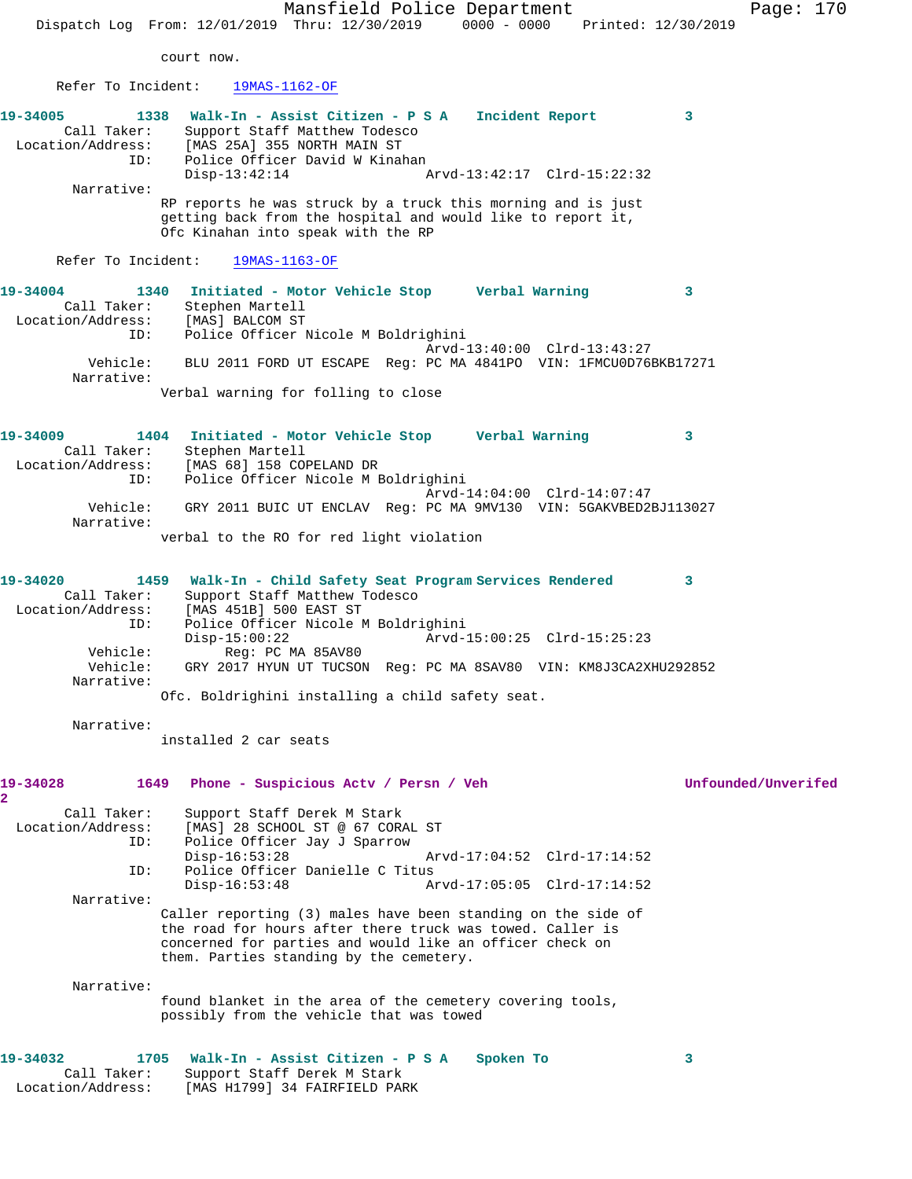Mansfield Police Department Page: 170 Dispatch Log From: 12/01/2019 Thru: 12/30/2019 0000 - 0000 Printed: 12/30/2019 court now. Refer To Incident: 19MAS-1162-OF **19-34005 1338 Walk-In - Assist Citizen - P S A Incident Report 3**  Call Taker: Support Staff Matthew Todesco Location/Address: [MAS 25A] 355 NORTH MAIN ST ID: Police Officer David W Kinahan<br>Disp-13:42:14 1 Disp-13:42:14 Arvd-13:42:17 Clrd-15:22:32 Narrative: RP reports he was struck by a truck this morning and is just getting back from the hospital and would like to report it, Ofc Kinahan into speak with the RP Refer To Incident: 19MAS-1163-OF **19-34004 1340 Initiated - Motor Vehicle Stop Verbal Warning 3**  Call Taker: Stephen Martell Location/Address: [MAS] BALCOM ST ID: Police Officer Nicole M Boldrighini Arvd-13:40:00 Clrd-13:43:27 Vehicle: BLU 2011 FORD UT ESCAPE Reg: PC MA 4841PO VIN: 1FMCU0D76BKB17271 Narrative: Verbal warning for folling to close **19-34009 1404 Initiated - Motor Vehicle Stop Verbal Warning 3**  Call Taker: Stephen Martell Location/Address: [MAS 68] 158 COPELAND DR ID: Police Officer Nicole M Boldrighini Arvd-14:04:00 Clrd-14:07:47 Vehicle: GRY 2011 BUIC UT ENCLAV Reg: PC MA 9MV130 VIN: 5GAKVBED2BJ113027 Narrative: verbal to the RO for red light violation **19-34020 1459 Walk-In - Child Safety Seat Program Services Rendered 3**  Call Taker: Support Staff Matthew Todesco Location/Address: [MAS 451B] 500 EAST ST ID: Police Officer Nicole M Boldrighini Disp-15:00:22 Arvd-15:00:25 Clrd-15:25:23 Vehicle: Reg: PC MA 85AV80 Vehicle: GRY 2017 HYUN UT TUCSON Reg: PC MA 8SAV80 VIN: KM8J3CA2XHU292852 Narrative: Ofc. Boldrighini installing a child safety seat. Narrative: installed 2 car seats **19-34028 1649 Phone - Suspicious Actv / Persn / Veh Unfounded/Unverifed 2**  Call Taker: Support Staff Derek M Stark Location/Address: [MAS] 28 SCHOOL ST @ 67 CORAL ST<br>ID: Police Officer Jay J Sparrow Police Officer Jay J Sparrow<br>Disp-16:53:28 Arvd-17:04:52 Clrd-17:14:52 ID: Police Officer Danielle C Titus Arvd-17:05:05 Clrd-17:14:52 Narrative: Caller reporting (3) males have been standing on the side of the road for hours after there truck was towed. Caller is concerned for parties and would like an officer check on them. Parties standing by the cemetery. Narrative: found blanket in the area of the cemetery covering tools, possibly from the vehicle that was towed **19-34032 1705 Walk-In - Assist Citizen - P S A Spoken To 3**  Call Taker: Support Staff Derek M Stark Location/Address: [MAS H1799] 34 FAIRFIELD PARK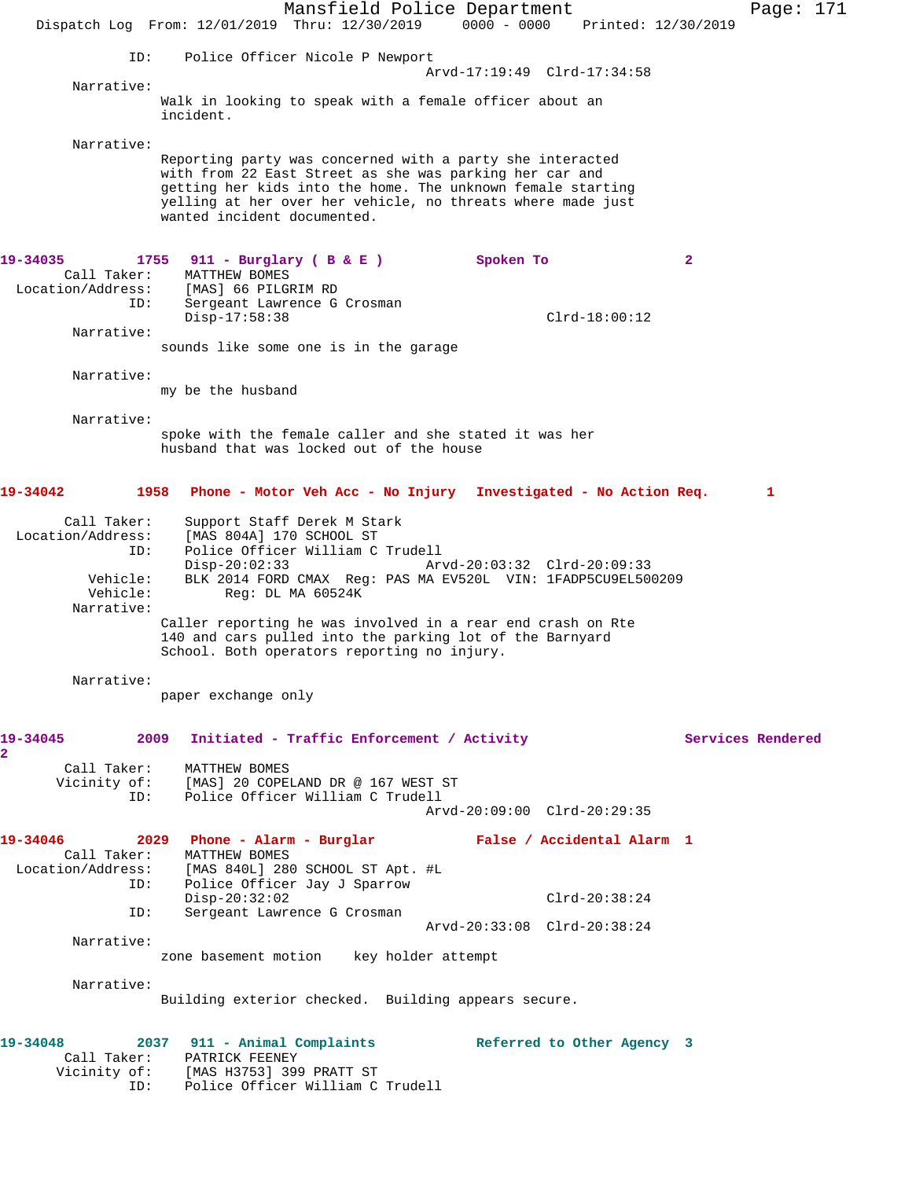Mansfield Police Department Page: 171 Dispatch Log From: 12/01/2019 Thru: 12/30/2019 0000 - 0000 Printed: 12/30/2019 ID: Police Officer Nicole P Newport Arvd-17:19:49 Clrd-17:34:58 Narrative: Walk in looking to speak with a female officer about an incident. Narrative: Reporting party was concerned with a party she interacted with from 22 East Street as she was parking her car and getting her kids into the home. The unknown female starting yelling at her over her vehicle, no threats where made just wanted incident documented. **19-34035 1755 911 - Burglary ( B & E ) Spoken To 2**  Call Taker: MATTHEW BOMES Location/Address: [MAS] 66 PILGRIM RD IESS: IPRESS SERVICE CONTROL OF SERVICE G Crosman Disp-17:58:38 Clrd-18:00:12 Narrative: sounds like some one is in the garage Narrative: my be the husband Narrative: spoke with the female caller and she stated it was her husband that was locked out of the house **19-34042 1958 Phone - Motor Veh Acc - No Injury Investigated - No Action Req. 1** Call Taker: Support Staff Derek M Stark Location/Address: [MAS 804A] 170 SCHOOL ST ID: Police Officer William C Trudell Disp-20:02:33 Arvd-20:03:32 Clrd-20:09:33 Vehicle: BLK 2014 FORD CMAX Reg: PAS MA EV520L VIN: 1FADP5CU9EL500209 Vehicle: Reg: DL MA 60524K Narrative: Caller reporting he was involved in a rear end crash on Rte 140 and cars pulled into the parking lot of the Barnyard School. Both operators reporting no injury. Narrative: paper exchange only 19-34045 2009 Initiated - Traffic Enforcement / Activity **Services Rendered 2**  Call Taker: MATTHEW BOMES Vicinity of: [MAS] 20 COPELAND DR @ 167 WEST ST ID: Police Officer William C Trudell Arvd-20:09:00 Clrd-20:29:35 **19-34046 2029 Phone - Alarm - Burglar False / Accidental Alarm 1**  Call Taker: MATTHEW BOMES Location/Address: [MAS 840L] 280 SCHOOL ST Apt. #L ID: Police Officer Jay J Sparrow Disp-20:32:02 Clrd-20:38:24<br>ID: Sergeant Lawrence G Crosman Sergeant Lawrence G Crosman Arvd-20:33:08 Clrd-20:38:24 Narrative: zone basement motion key holder attempt Narrative: Building exterior checked. Building appears secure. **19-34048 2037 911 - Animal Complaints Referred to Other Agency 3**  Call Taker: PATRICK FEENEY Vicinity of: [MAS H3753] 399 PRATT ST ID: Police Officer William C Trudell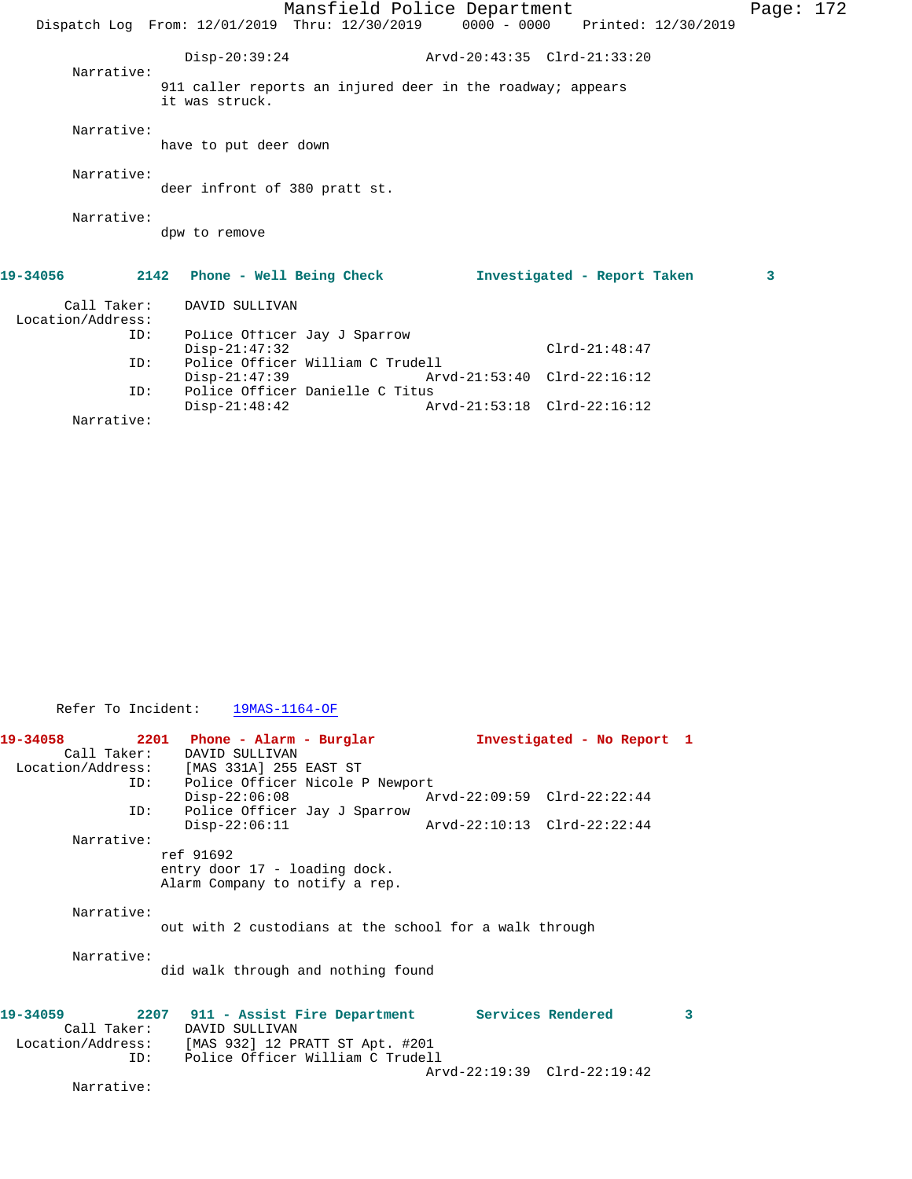|                                  |                                                | Mansfield Police Department                                |                             |                                 | Page: $172$ |  |
|----------------------------------|------------------------------------------------|------------------------------------------------------------|-----------------------------|---------------------------------|-------------|--|
|                                  | Dispatch Log From: 12/01/2019 Thru: 12/30/2019 |                                                            |                             | 0000 - 0000 Printed: 12/30/2019 |             |  |
| Narrative:                       | $Disp-20:39:24$                                |                                                            | Arvd-20:43:35 Clrd-21:33:20 |                                 |             |  |
|                                  | it was struck.                                 | 911 caller reports an injured deer in the roadway; appears |                             |                                 |             |  |
| Narrative:                       | have to put deer down                          |                                                            |                             |                                 |             |  |
| Narrative:                       | deer infront of 380 pratt st.                  |                                                            |                             |                                 |             |  |
| Narrative:                       | dpw to remove                                  |                                                            |                             |                                 |             |  |
| 19-34056                         | 2142 Phone - Well Being Check                  |                                                            |                             | Investigated - Report Taken     | 3           |  |
| Call Taker:<br>Location/Address: | DAVID SULLIVAN                                 |                                                            |                             |                                 |             |  |
|                                  | ID:<br>$Disp-21:47:32$                         | Police Officer Jay J Sparrow                               |                             | $Clrd-21:48:47$                 |             |  |

Disp-21:47:39 Arvd-21:53:40 Clrd-22:16:12<br>ID: Police Officer Danielle C Titus

Arvd-21:53:18 Clrd-22:16:12

Disp-22:06:11 Arvd-22:10:13 Clrd-22:22:44

Narrative:

Narrative:

Refer To Incident: 19MAS-1164-OF

ref 91692

Call Taker: DAVID SULLIVAN<br>Location/Address: [MAS 331A] 255

Narrative:

Narrative:

did walk through and nothing found

[MAS 331A] 255 EAST ST ID: Police Officer Nicole P Newport

Police Officer Jay J Sparrow<br>Disp-22:06:11

entry door 17 - loading dock. Alarm Company to notify a rep.

ID: Police Officer William C Trudell

Police Officer Danielle C Titus<br>Disp-21:48:42 AM

**19-34059 2207 911 - Assist Fire Department Services Rendered 3**  Call Taker: DAVID SULLIVAN<br>Location/Address: [MAS 932] 12 P ess: [MAS 932] 12 PRATT ST Apt. #201<br>ID: Police Officer William C Trudel Police Officer William C Trudell Arvd-22:19:39 Clrd-22:19:42

**19-34058 2201 Phone - Alarm - Burglar Investigated - No Report 1** 

Disp-22:06:08 Arvd-22:09:59 Clrd-22:22:44<br>ID: Police Officer Jav J Sparrow

out with 2 custodians at the school for a walk through

Narrative: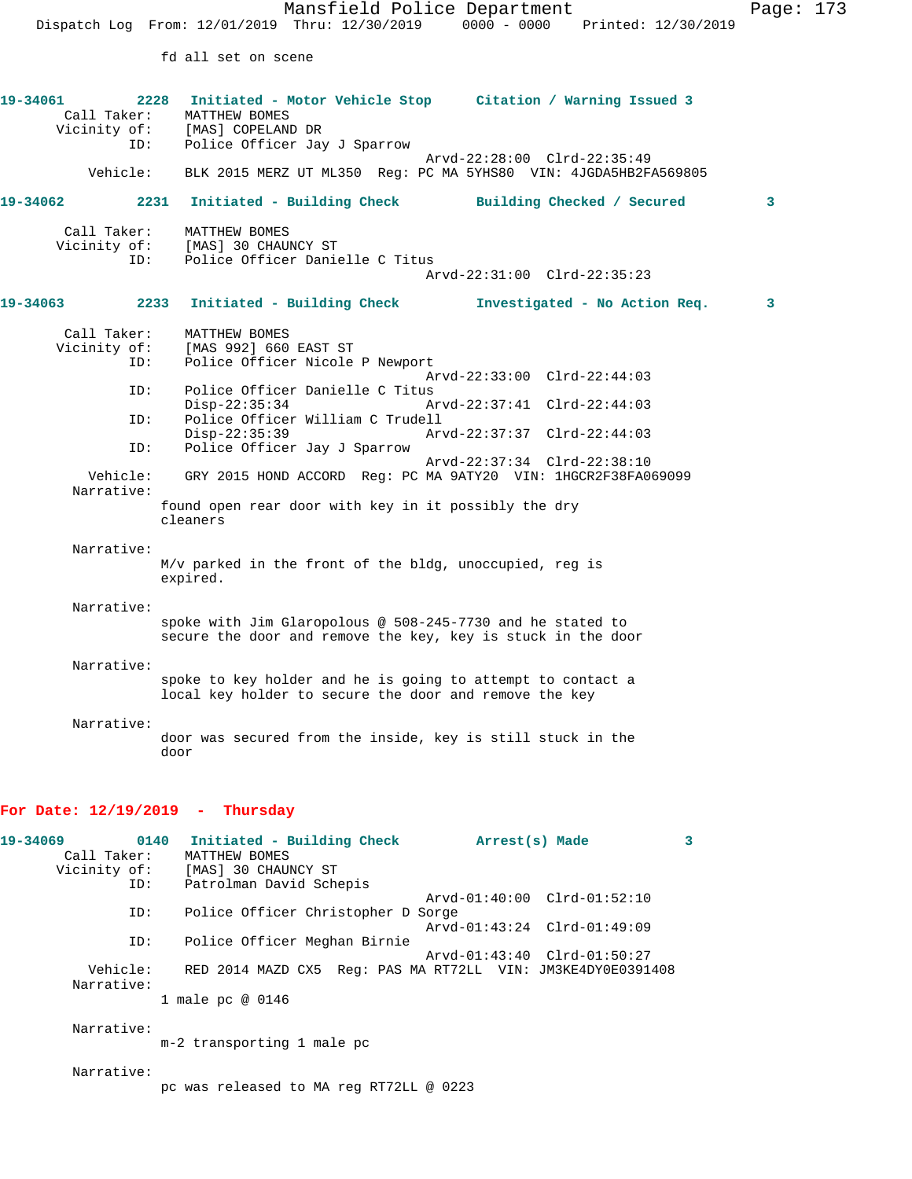fd all set on scene

| 19-34061<br>2228<br>Call Taker:<br>ID:                                                          | Initiated - Motor Vehicle Stop Citation / Warning Issued 3<br>MATTHEW BOMES<br>Vicinity of: [MAS] COPELAND DR<br>Police Officer Jay J Sparrow<br>Arvd-22:28:00 Clrd-22:35:49                                                                                                                                                                                                                                                                                                                                                                       |
|-------------------------------------------------------------------------------------------------|----------------------------------------------------------------------------------------------------------------------------------------------------------------------------------------------------------------------------------------------------------------------------------------------------------------------------------------------------------------------------------------------------------------------------------------------------------------------------------------------------------------------------------------------------|
| Vehicle:                                                                                        | BLK 2015 MERZ UT ML350 Reg: PC MA 5YHS80 VIN: 4JGDA5HB2FA569805                                                                                                                                                                                                                                                                                                                                                                                                                                                                                    |
| 19-34062                                                                                        | 2231 Initiated - Building Check<br>Building Checked / Secured<br>3                                                                                                                                                                                                                                                                                                                                                                                                                                                                                 |
| Call Taker:<br>Vicinity of:<br>ID:                                                              | MATTHEW BOMES<br>[MAS] 30 CHAUNCY ST<br>Police Officer Danielle C Titus<br>Arvd-22:31:00 Clrd-22:35:23                                                                                                                                                                                                                                                                                                                                                                                                                                             |
| 19-34063                                                                                        | 2233 Initiated - Building Check<br>Investigated - No Action Req.<br>3                                                                                                                                                                                                                                                                                                                                                                                                                                                                              |
| Call Taker:<br>Vicinity of:<br>ID:<br>ID:<br>ID:<br>ID:<br>Vehicle:<br>Narrative:<br>Narrative: | MATTHEW BOMES<br>[MAS 992] 660 EAST ST<br>Police Officer Nicole P Newport<br>Arvd-22:33:00 Clrd-22:44:03<br>Police Officer Danielle C Titus<br>$Disp-22:35:34$<br>Arvd-22:37:41 Clrd-22:44:03<br>Police Officer William C Trudell<br>$Disp-22:35:39$<br>Arvd-22:37:37 Clrd-22:44:03<br>Police Officer Jay J Sparrow<br>Arvd-22:37:34 Clrd-22:38:10<br>GRY 2015 HOND ACCORD Reg: PC MA 9ATY20 VIN: 1HGCR2F38FA069099<br>found open rear door with key in it possibly the dry<br>cleaners<br>M/v parked in the front of the bldg, unoccupied, reg is |
| Narrative:                                                                                      | expired.<br>spoke with Jim Glaropolous @ 508-245-7730 and he stated to<br>secure the door and remove the key, key is stuck in the door                                                                                                                                                                                                                                                                                                                                                                                                             |
| Narrative:                                                                                      | spoke to key holder and he is going to attempt to contact a<br>local key holder to secure the door and remove the key                                                                                                                                                                                                                                                                                                                                                                                                                              |
| Narrative:                                                                                      | door was secured from the inside, key is still stuck in the<br>door                                                                                                                                                                                                                                                                                                                                                                                                                                                                                |

## **For Date: 12/19/2019 - Thursday**

| 19-34069    | 0140<br>Initiated - Building Check      | Arrest(s) Made                                              | 3 |
|-------------|-----------------------------------------|-------------------------------------------------------------|---|
| Call Taker: | MATTHEW BOMES                           |                                                             |   |
|             | Vicinity of: [MAS] 30 CHAUNCY ST        |                                                             |   |
|             | Patrolman David Schepis<br>ID:          |                                                             |   |
|             |                                         | Arvd-01:40:00 Clrd-01:52:10                                 |   |
| ID:         | Police Officer Christopher D Sorge      |                                                             |   |
|             |                                         | Arvd-01:43:24 Clrd-01:49:09                                 |   |
| ID:         | Police Officer Meghan Birnie            |                                                             |   |
|             |                                         | Arvd-01:43:40 Clrd-01:50:27                                 |   |
| Vehicle:    |                                         | RED 2014 MAZD CX5 Req: PAS MA RT72LL VIN: JM3KE4DY0E0391408 |   |
| Narrative:  |                                         |                                                             |   |
|             | 1 male pc @ 0146                        |                                                             |   |
|             |                                         |                                                             |   |
| Narrative:  |                                         |                                                             |   |
|             | m-2 transporting 1 male pc              |                                                             |   |
|             |                                         |                                                             |   |
| Narrative:  |                                         |                                                             |   |
|             | pc was released to MA reg RT72LL @ 0223 |                                                             |   |
|             |                                         |                                                             |   |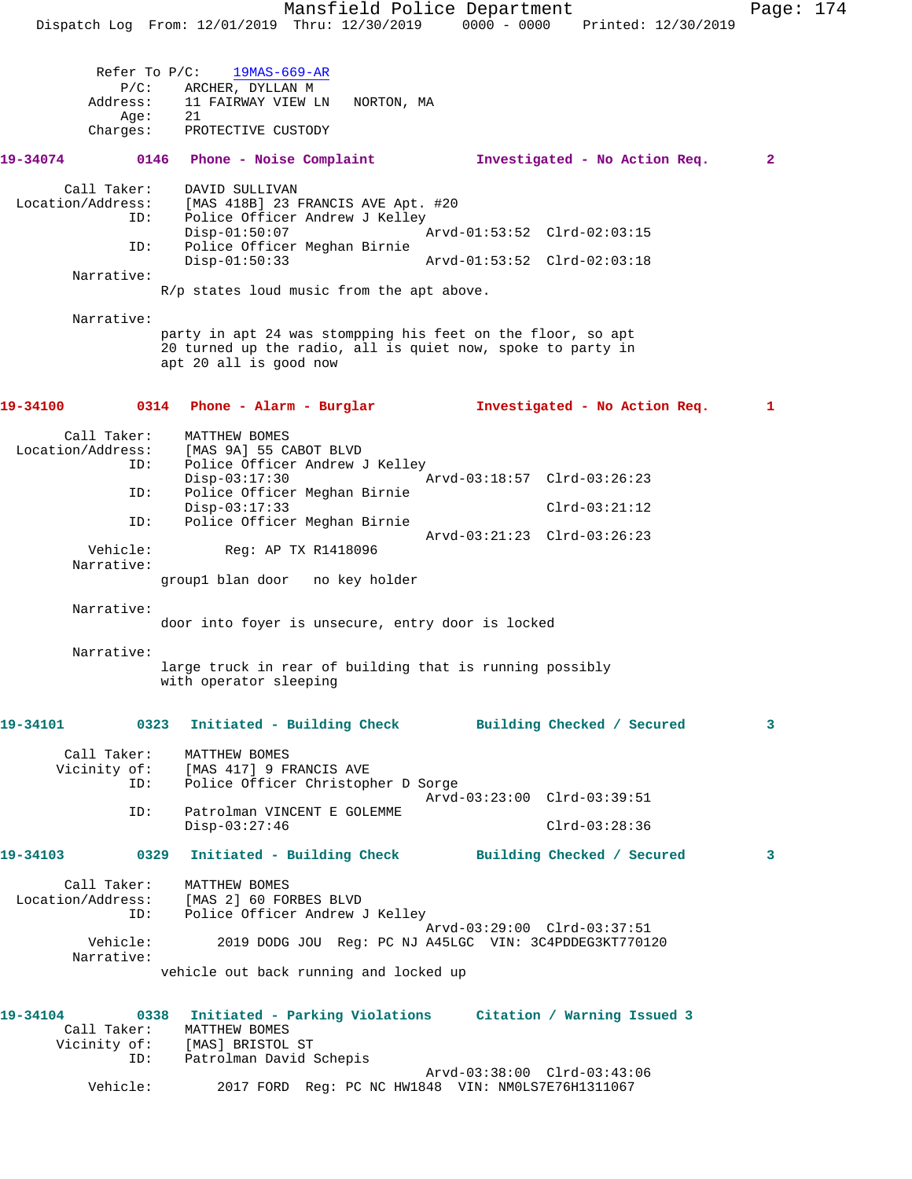Mansfield Police Department Page: 174 Dispatch Log From: 12/01/2019 Thru: 12/30/2019 0000 - 0000 Printed: 12/30/2019 Refer To P/C: 19MAS-669-AR P/C: ARCHER, DYLLAN M<br>Address: 11 FAIRWAY VIEW LI 11 FAIRWAY VIEW LN NORTON, MA<br>21 Age: Charges: PROTECTIVE CUSTODY **19-34074 0146 Phone - Noise Complaint Investigated - No Action Req. 2** Call Taker: DAVID SULLIVAN Location/Address: [MAS 418B] 23 FRANCIS AVE Apt. #20 ID: Police Officer Andrew J Kelley<br>Disp-01:50:07 Disp-01:50:07 Arvd-01:53:52 Clrd-02:03:15 ID: Police Officer Meghan Birnie Disp-01:50:33 Arvd-01:53:52 Clrd-02:03:18 Narrative: R/p states loud music from the apt above. Narrative: party in apt 24 was stompping his feet on the floor, so apt 20 turned up the radio, all is quiet now, spoke to party in apt 20 all is good now **19-34100 0314 Phone - Alarm - Burglar Investigated - No Action Req. 1** Call Taker: MATTHEW BOMES Location/Address: [MAS 9A] 55 CABOT BLVD Police Officer Andrew J Kelley<br>Disp-03:17:30 Arvd-03:18:57 Clrd-03:26:23 ID: Police Officer Meghan Birnie Disp-03:17:33 Clrd-03:21:12 ID: Police Officer Meghan Birnie Arvd-03:21:23 Clrd-03:26:23 Reg: AP TX R1418096 Narrative: group1 blan door no key holder Narrative: door into foyer is unsecure, entry door is locked Narrative: large truck in rear of building that is running possibly with operator sleeping **19-34101 0323 Initiated - Building Check Building Checked / Secured 3** Call Taker: MATTHEW BOMES Vicinity of: [MAS 417] 9 FRANCIS AVE ID: Police Officer Christopher D Sorge Arvd-03:23:00 Clrd-03:39:51 ID: Patrolman VINCENT E GOLEMME Disp-03:27:46 Clrd-03:28:36 **19-34103 0329 Initiated - Building Check Building Checked / Secured 3** Call Taker: MATTHEW BOMES Location/Address: [MAS 2] 60 FORBES BLVD ID: Police Officer Andrew J Kelley Arvd-03:29:00 Clrd-03:37:51<br>Vehicle: 2019 DODG JOU Req: PC NJ A45LGC VIN: 3C4PDDEG3KT77012 2019 DODG JOU Reg: PC NJ A45LGC VIN: 3C4PDDEG3KT770120 Narrative: vehicle out back running and locked up **19-34104 0338 Initiated - Parking Violations Citation / Warning Issued 3**  Call Taker: MATTHEW BOMES Vicinity of: [MAS] BRISTOL ST ID: Patrolman David Schepis Arvd-03:38:00 Clrd-03:43:06

Vehicle: 2017 FORD Reg: PC NC HW1848 VIN: NM0LS7E76H1311067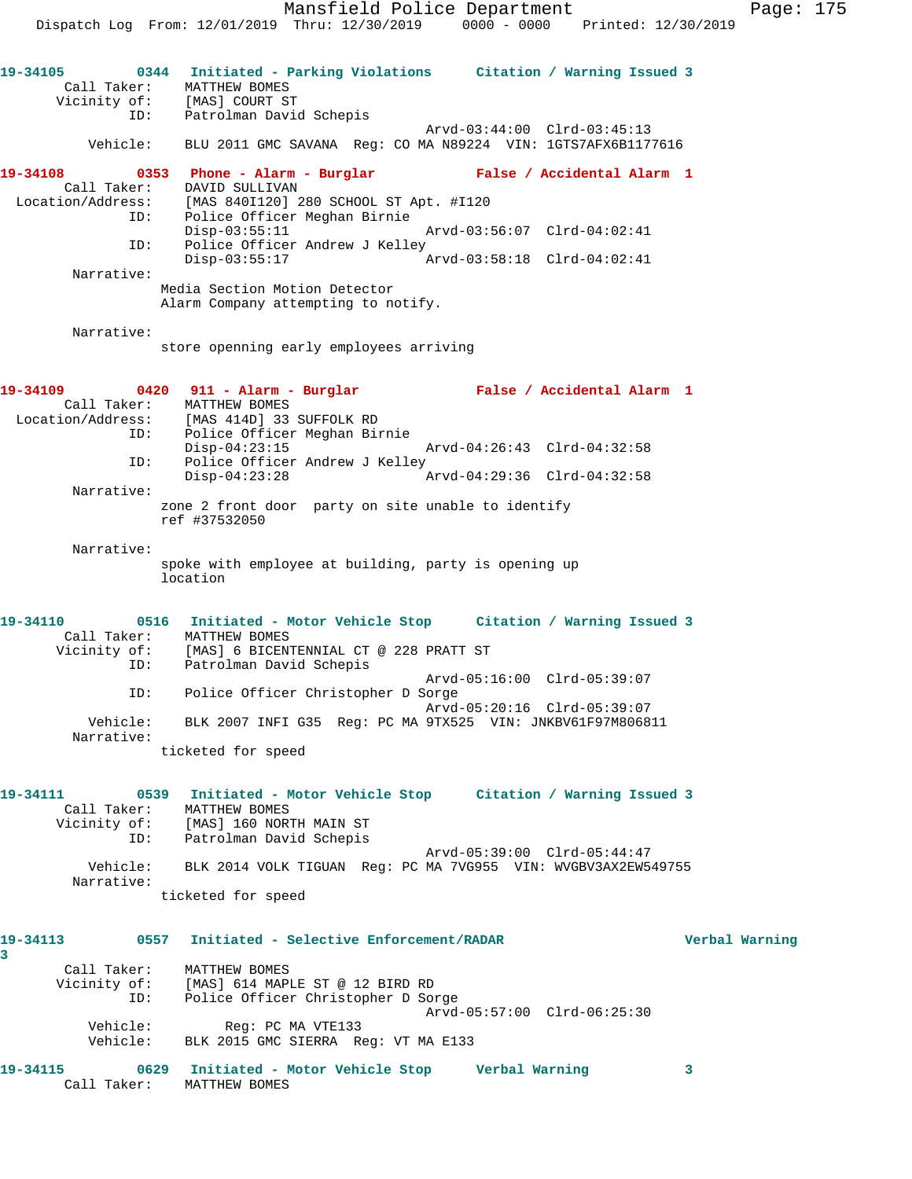Dispatch Log From: 12/01/2019 Thru: 12/30/2019 0000 - 0000 Printed: 12/30/2019 **19-34105 0344 Initiated - Parking Violations Citation / Warning Issued 3**  Call Taker: MATTHEW BOMES Vicinity of: [MAS] COURT ST ID: Patrolman David Schepis Arvd-03:44:00 Clrd-03:45:13 Vehicle: BLU 2011 GMC SAVANA Reg: CO MA N89224 VIN: 1GTS7AFX6B1177616 **19-34108 0353 Phone - Alarm - Burglar False / Accidental Alarm 1**  Call Taker: DAVID SULLIVAN Location/Address: [MAS 840I120] 280 SCHOOL ST Apt. #I120 ID: Police Officer Meghan Birnie Disp-03:55:11 Arvd-03:56:07 Clrd-04:02:41 ID: Police Officer Andrew J Kelley<br>Disp-03:55:17 Disp-03:55:17 Arvd-03:58:18 Clrd-04:02:41 Narrative: Media Section Motion Detector Alarm Company attempting to notify. Narrative: store openning early employees arriving **19-34109 0420 911 - Alarm - Burglar False / Accidental Alarm 1**  Call Taker: MATTHEW BOMES Location/Address: [MAS 414D] 33 SUFFOLK RD ID: Police Officer Meghan Birnie Disp-04:23:15 Arvd-04:26:43 Clrd-04:32:58<br>ID: Police Officer Andrew J Kelley Police Officer Andrew J Kelley<br>Disp-04:23:28 Disp-04:23:28 Arvd-04:29:36 Clrd-04:32:58 Narrative: zone 2 front door party on site unable to identify ref #37532050 Narrative: spoke with employee at building, party is opening up location **19-34110 0516 Initiated - Motor Vehicle Stop Citation / Warning Issued 3**  Call Taker: MATTHEW BOMES Vicinity of: [MAS] 6 BICENTENNIAL CT @ 228 PRATT ST ID: Patrolman David Schepis Arvd-05:16:00 Clrd-05:39:07 ID: Police Officer Christopher D Sorge Arvd-05:20:16 Clrd-05:39:07<br>Vehicle: BLK 2007 INFI G35 Reg: PC MA 9TX525 VIN: JNKBV61F97M8068 BLK 2007 INFI G35 Reg: PC MA 9TX525 VIN: JNKBV61F97M806811 Narrative: ticketed for speed **19-34111 0539 Initiated - Motor Vehicle Stop Citation / Warning Issued 3**  Call Taker: MATTHEW BOMES Vicinity of: [MAS] 160 NORTH MAIN ST ID: Patrolman David Schepis Arvd-05:39:00 Clrd-05:44:47 Vehicle: BLK 2014 VOLK TIGUAN Reg: PC MA 7VG955 VIN: WVGBV3AX2EW549755 Narrative: ticketed for speed **19-34113 0557 Initiated - Selective Enforcement/RADAR Verbal Warning 3**  Call Taker: MATTHEW BOMES Vicinity of: [MAS] 614 MAPLE ST @ 12 BIRD RD ID: Police Officer Christopher D Sorge Arvd-05:57:00 Clrd-06:25:30 Vehicle: Reg: PC MA VTE133 Vehicle: BLK 2015 GMC SIERRA Reg: VT MA E133 **19-34115 0629 Initiated - Motor Vehicle Stop Verbal Warning 3** 

Call Taker: MATTHEW BOMES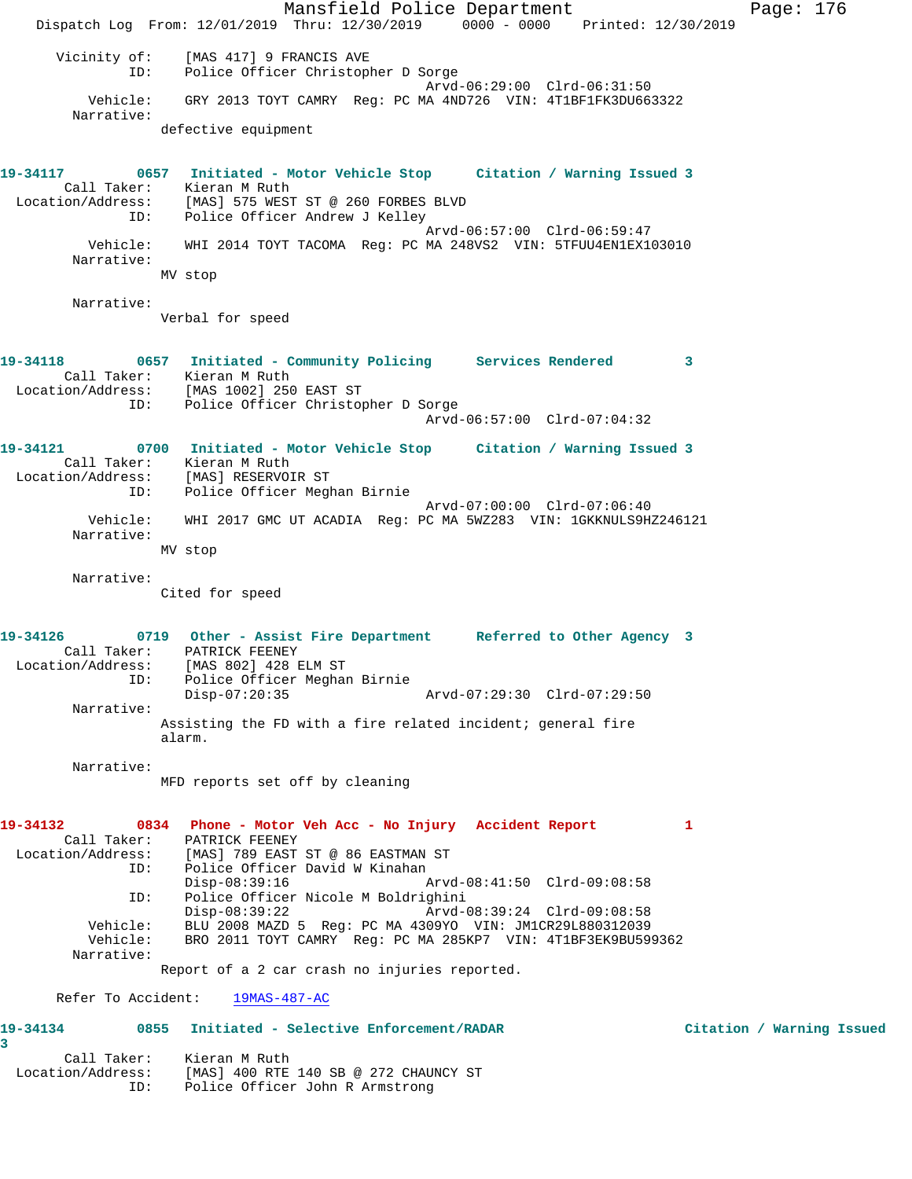Mansfield Police Department Page: 176 Dispatch Log From: 12/01/2019 Thru: 12/30/2019 0000 - 0000 Printed: 12/30/2019 Vicinity of: [MAS 417] 9 FRANCIS AVE ID: Police Officer Christopher D Sorge Arvd-06:29:00 Clrd-06:31:50 Vehicle: GRY 2013 TOYT CAMRY Reg: PC MA 4ND726 VIN: 4T1BF1FK3DU663322 Narrative: defective equipment **19-34117 0657 Initiated - Motor Vehicle Stop Citation / Warning Issued 3**  Call Taker: Kieran M Ruth Location/Address: [MAS] 575 WEST ST @ 260 FORBES BLVD ID: Police Officer Andrew J Kelley Arvd-06:57:00 Clrd-06:59:47 Vehicle: WHI 2014 TOYT TACOMA Reg: PC MA 248VS2 VIN: 5TFUU4EN1EX103010 Narrative: MV stop Narrative: Verbal for speed **19-34118 0657 Initiated - Community Policing Services Rendered 3**  Call Taker: Kieran M Ruth Location/Address: [MAS 1002] 250 EAST ST ID: Police Officer Christopher D Sorge Arvd-06:57:00 Clrd-07:04:32 **19-34121 0700 Initiated - Motor Vehicle Stop Citation / Warning Issued 3**  Call Taker: Kieran M Ruth Location/Address: [MAS] RESERVOIR ST ID: Police Officer Meghan Birnie Arvd-07:00:00 Clrd-07:06:40 Vehicle: WHI 2017 GMC UT ACADIA Reg: PC MA 5WZ283 VIN: 1GKKNULS9HZ246121 Narrative: MV stop Narrative: Cited for speed **19-34126 0719 Other - Assist Fire Department Referred to Other Agency 3**  Call Taker: PATRICK FEENEY Location/Address: [MAS 802] 428 ELM ST ID: Police Officer Meghan Birnie Disp-07:20:35 Arvd-07:29:30 Clrd-07:29:50 Narrative: Assisting the FD with a fire related incident; general fire alarm. Narrative: MFD reports set off by cleaning **19-34132 0834 Phone - Motor Veh Acc - No Injury Accident Report 1**  Call Taker: PATRICK FEENEY Location/Address: [MAS] 789 EAST ST @ 86 EASTMAN ST ID: Police Officer David W Kinahan<br>Disp-08:39:16 Disp-08:39:16 Arvd-08:41:50 Clrd-09:08:58 ID: Police Officer Nicole M Boldrighini Disp-08:39:22 Arvd-08:39:24 Clrd-09:08:58<br>Vehicle: BLU 2008 MAZD 5 Reg: PC MA 4309YO VIN: JM1CR29L880312039 BLU 2008 MAZD 5 Reg: PC MA 4309YO VIN: JM1CR29L880312039 Vehicle: BRO 2011 TOYT CAMRY Reg: PC MA 285KP7 VIN: 4T1BF3EK9BU599362 Narrative: Report of a 2 car crash no injuries reported. Refer To Accident: 19MAS-487-AC **19-34134 0855 Initiated - Selective Enforcement/RADAR Citation / Warning Issued 3**  Call Taker: Kieran M Ruth Location/Address: [MAS] 400 RTE 140 SB @ 272 CHAUNCY ST ID: Police Officer John R Armstrong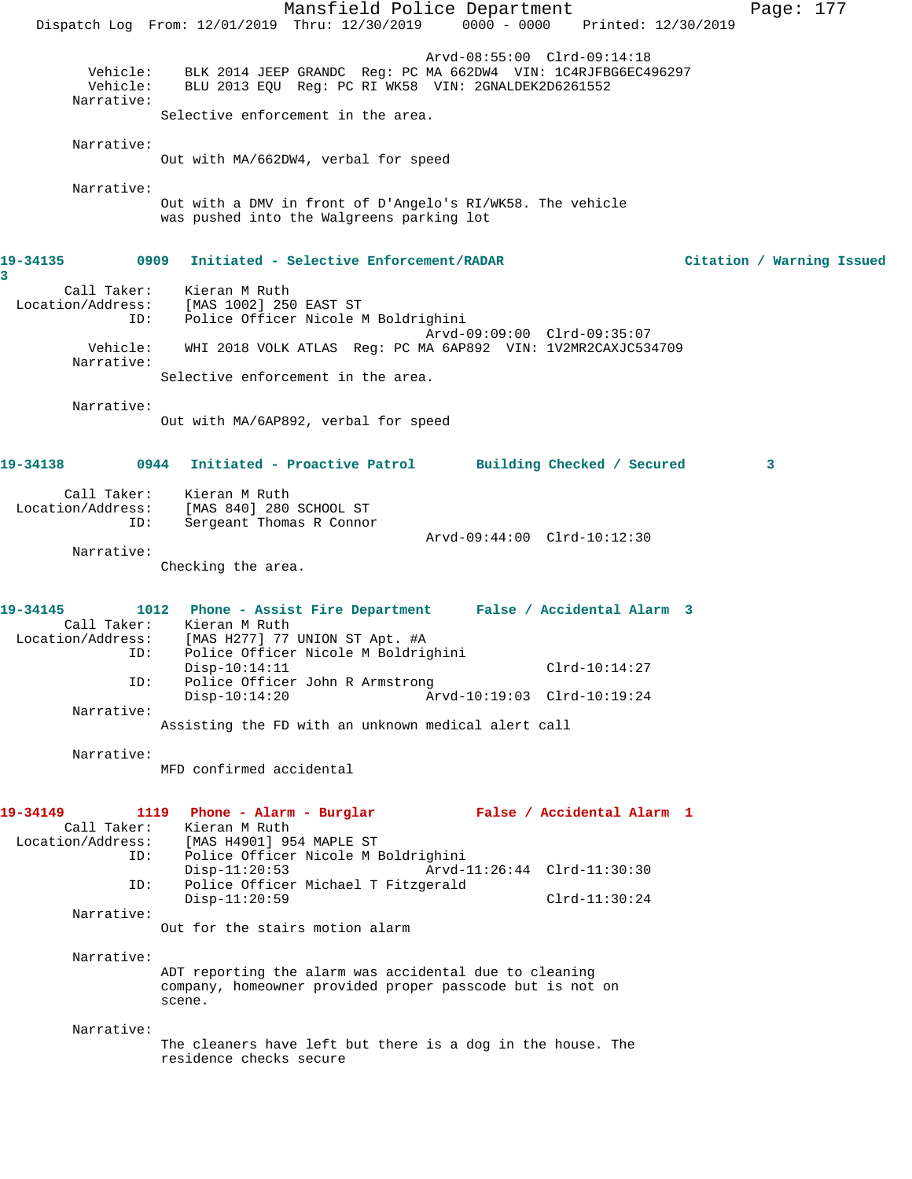Mansfield Police Department Page: 177 Dispatch Log From: 12/01/2019 Thru: 12/30/2019 0000 - 0000 Printed: 12/30/2019 Arvd-08:55:00 Clrd-09:14:18 Vehicle: BLK 2014 JEEP GRANDC Reg: PC MA 662DW4 VIN: 1C4RJFBG6EC496297 Vehicle: BLU 2013 EQU Reg: PC RI WK58 VIN: 2GNALDEK2D6261552 Narrative: Selective enforcement in the area. Narrative: Out with MA/662DW4, verbal for speed Narrative: Out with a DMV in front of D'Angelo's RI/WK58. The vehicle was pushed into the Walgreens parking lot **19-34135 0909 Initiated - Selective Enforcement/RADAR Citation / Warning Issued 3**  Call Taker: Kieran M Ruth Location/Address: [MAS 1002] 250 EAST ST ID: Police Officer Nicole M Boldrighini Arvd-09:09:00 Clrd-09:35:07 Vehicle: WHI 2018 VOLK ATLAS Reg: PC MA 6AP892 VIN: 1V2MR2CAXJC534709 Narrative: Selective enforcement in the area. Narrative: Out with MA/6AP892, verbal for speed **19-34138 0944 Initiated - Proactive Patrol Building Checked / Secured 3** Call Taker: Kieran M Ruth Location/Address: [MAS 840] 280 SCHOOL ST ID: Sergeant Thomas R Connor Arvd-09:44:00 Clrd-10:12:30 Narrative: Checking the area. **19-34145 1012 Phone - Assist Fire Department False / Accidental Alarm 3**  Call Taker: Kieran M Ruth Location/Address: [MAS H277] 77 UNION ST Apt. #A ID: Police Officer Nicole M Boldrighini Disp-10:14:11 Clrd-10:14:27<br>ID: Police Officer John R Armstrong Clrd-10:14:27 Police Officer John R Armstrong Disp-10:14:20 Arvd-10:19:03 Clrd-10:19:24 Narrative: Assisting the FD with an unknown medical alert call Narrative: MFD confirmed accidental **19-34149 1119 Phone - Alarm - Burglar False / Accidental Alarm 1**  Call Taker: Kieran M Ruth<br>Location/Address: [MAS H4901] 95 ess: [MAS H4901] 954 MAPLE ST<br>ID: Police Officer Nicole M B Police Officer Nicole M Boldrighini Disp-11:20:53 Arvd-11:26:44 Clrd-11:30:30 ID: Police Officer Michael T Fitzgerald Disp-11:20:59 Clrd-11:30:24 Narrative: Out for the stairs motion alarm Narrative: ADT reporting the alarm was accidental due to cleaning company, homeowner provided proper passcode but is not on scene. Narrative: The cleaners have left but there is a dog in the house. The residence checks secure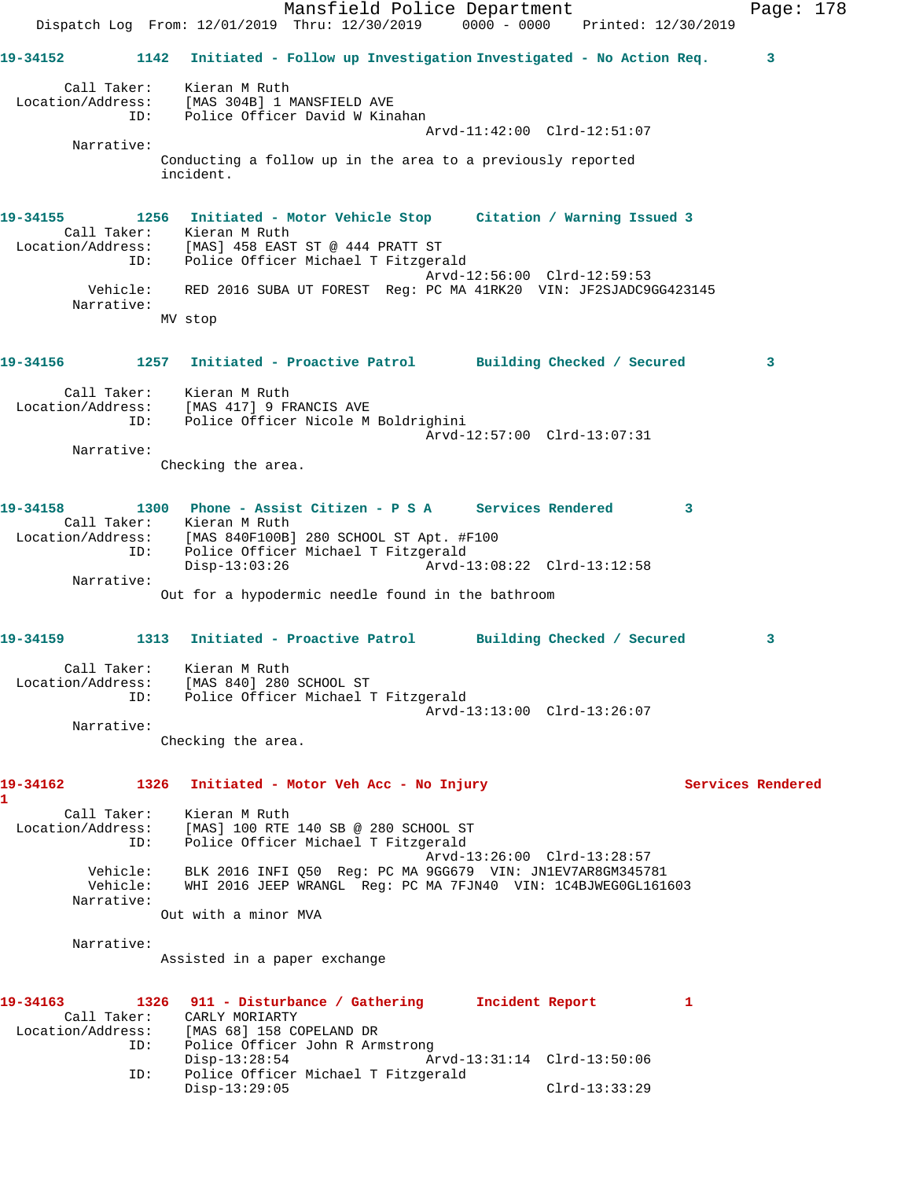Mansfield Police Department Page: 178 Dispatch Log From: 12/01/2019 Thru: 12/30/2019 0000 - 0000 Printed: 12/30/2019 **19-34152 1142 Initiated - Follow up Investigation Investigated - No Action Req. 3** Call Taker: Kieran M Ruth Location/Address: [MAS 304B] 1 MANSFIELD AVE ID: Police Officer David W Kinahan Arvd-11:42:00 Clrd-12:51:07 Narrative: Conducting a follow up in the area to a previously reported incident. **19-34155 1256 Initiated - Motor Vehicle Stop Citation / Warning Issued 3**  Call Taker: Kieran M Ruth Location/Address: [MAS] 458 EAST ST @ 444 PRATT ST ID: Police Officer Michael T Fitzgerald Arvd-12:56:00 Clrd-12:59:53 Vehicle: RED 2016 SUBA UT FOREST Reg: PC MA 41RK20 VIN: JF2SJADC9GG423145 Narrative: MV stop **19-34156 1257 Initiated - Proactive Patrol Building Checked / Secured 3** Call Taker: Kieran M Ruth Location/Address: [MAS 417] 9 FRANCIS AVE ID: Police Officer Nicole M Boldrighini Arvd-12:57:00 Clrd-13:07:31 Narrative: Checking the area. **19-34158 1300 Phone - Assist Citizen - P S A Services Rendered 3**  Call Taker: Kieran M Ruth Location/Address: [MAS 840F100B] 280 SCHOOL ST Apt. #F100 ID: Police Officer Michael T Fitzgerald Disp-13:03:26 Arvd-13:08:22 Clrd-13:12:58 Narrative: Out for a hypodermic needle found in the bathroom **19-34159 1313 Initiated - Proactive Patrol Building Checked / Secured 3** Call Taker: Kieran M Ruth Location/Address: [MAS 840] 280 SCHOOL ST ID: Police Officer Michael T Fitzgerald Arvd-13:13:00 Clrd-13:26:07 Narrative: Checking the area. **19-34162 1326 Initiated - Motor Veh Acc - No Injury Services Rendered 1**  Call Taker: Kieran M Ruth Location/Address: [MAS] 100 RTE 140 SB @ 280 SCHOOL ST ID: Police Officer Michael T Fitzgerald Arvd-13:26:00 Clrd-13:28:57 Vehicle: BLK 2016 INFI Q50 Reg: PC MA 9GG679 VIN: JN1EV7AR8GM345781 Vehicle: WHI 2016 JEEP WRANGL Reg: PC MA 7FJN40 VIN: 1C4BJWEG0GL161603 Narrative: Out with a minor MVA Narrative: Assisted in a paper exchange **19-34163 1326 911 - Disturbance / Gathering Incident Report 1**  Call Taker: CARLY MORIARTY Location/Address: [MAS 68] 158 COPELAND DR ID: Police Officer John R Armstrong Disp-13:28:54 Arvd-13:31:14 Clrd-13:50:06 ID: Police Officer Michael T Fitzgerald Disp-13:29:05 Clrd-13:33:29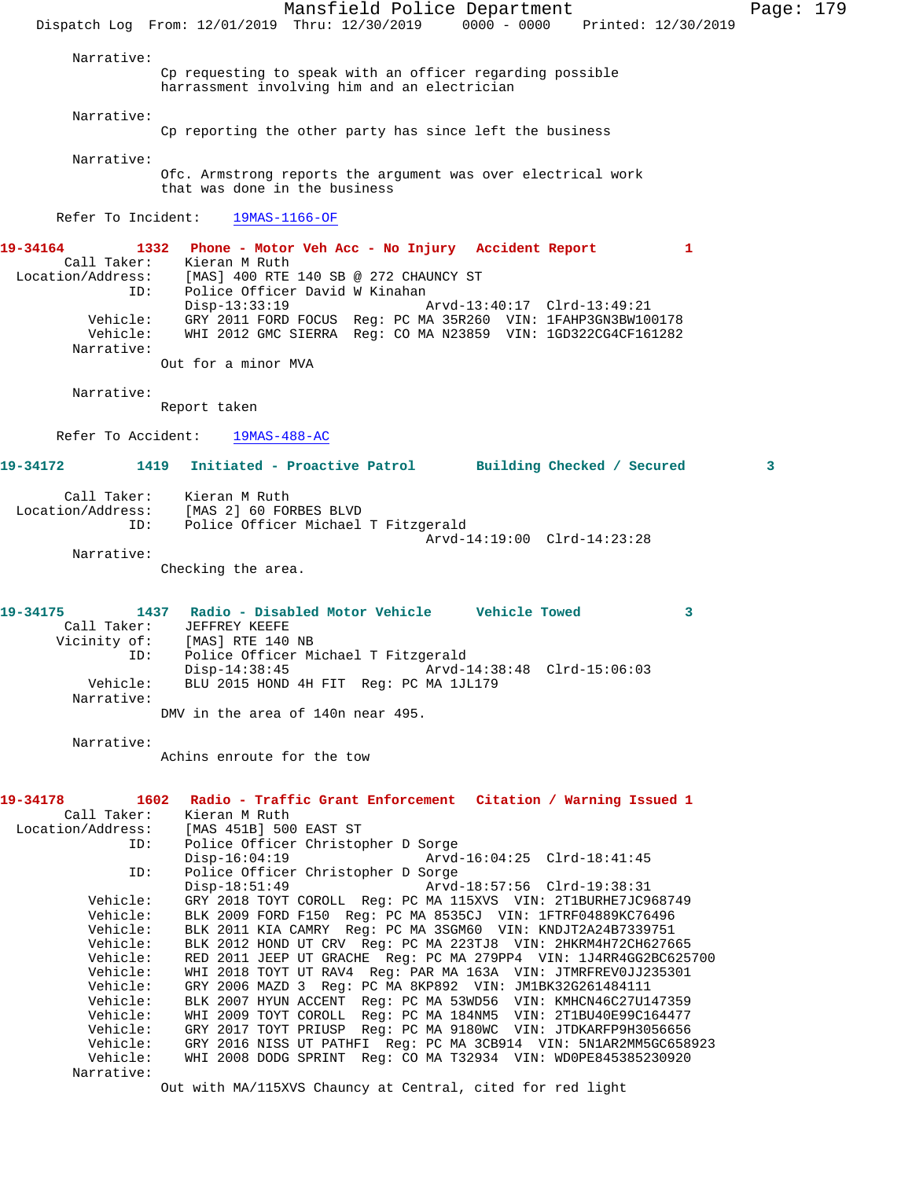Mansfield Police Department Page: 179 Dispatch Log From: 12/01/2019 Thru: 12/30/2019 0000 - 0000 Printed: 12/30/2019 Narrative: Cp requesting to speak with an officer regarding possible harrassment involving him and an electrician Narrative: Cp reporting the other party has since left the business Narrative: Ofc. Armstrong reports the argument was over electrical work that was done in the business Refer To Incident: 19MAS-1166-OF **19-34164 1332 Phone - Motor Veh Acc - No Injury Accident Report 1**  Call Taker: Kieran M Ruth Location/Address: [MAS] 400 RTE 140 SB @ 272 CHAUNCY ST<br>ID: Police Officer David W Kinahan Police Officer David W Kinahan Disp-13:33:19 Arvd-13:40:17 Clrd-13:49:21 Vehicle: GRY 2011 FORD FOCUS Reg: PC MA 35R260 VIN: 1FAHP3GN3BW100178 Vehicle: WHI 2012 GMC SIERRA Reg: CO MA N23859 VIN: 1GD322CG4CF161282 Narrative: Out for a minor MVA Narrative: Report taken Refer To Accident: 19MAS-488-AC **19-34172 1419 Initiated - Proactive Patrol Building Checked / Secured 3** Call Taker: Kieran M Ruth Location/Address: [MAS 2] 60 FORBES BLVD ID: Police Officer Michael T Fitzgerald Arvd-14:19:00 Clrd-14:23:28 Narrative: Checking the area. **19-34175 1437 Radio - Disabled Motor Vehicle Vehicle Towed 3**  Call Taker: JEFFREY KEEFE Vicinity of: [MAS] RTE 140 NB ID: Police Officer Michael T Fitzgerald Disp-14:38:45 Arvd-14:38:48 Clrd-15:06:03 Vehicle: BLU 2015 HOND 4H FIT Reg: PC MA 1JL179 Narrative: DMV in the area of 140n near 495. Narrative: Achins enroute for the tow **19-34178 1602 Radio - Traffic Grant Enforcement Citation / Warning Issued 1**  Call Taker: Kieran M Ruth<br>Location/Address: [MAS 451B] 500 [MAS 451B] 500 EAST ST ID: Police Officer Christopher D Sorge Disp-16:04:19 Arvd-16:04:25 Clrd-18:41:45 ID: Police Officer Christopher D Sorge Disp-18:51:49 Arvd-18:57:56 Clrd-19:38:31 Vehicle: GRY 2018 TOYT COROLL Reg: PC MA 115XVS VIN: 2T1BURHE7JC968749 Vehicle: BLK 2009 FORD F150 Reg: PC MA 8535CJ VIN: 1FTRF04889KC76496 Vehicle: BLK 2011 KIA CAMRY Reg: PC MA 3SGM60 VIN: KNDJT2A24B7339751 Vehicle: BLK 2012 HOND UT CRV Reg: PC MA 223TJ8 VIN: 2HKRM4H72CH627665 Vehicle: RED 2011 JEEP UT GRACHE Reg: PC MA 279PP4 VIN: 1J4RR4GG2BC625700 Vehicle: WHI 2018 TOYT UT RAV4 Reg: PAR MA 163A VIN: JTMRFREV0JJ235301 Vehicle: GRY 2006 MAZD 3 Reg: PC MA 8KP892 VIN: JM1BK32G261484111 Vehicle: BLK 2007 HYUN ACCENT Reg: PC MA 53WD56 VIN: KMHCN46C27U147359 Vehicle: WHI 2009 TOYT COROLL Reg: PC MA 184NM5 VIN: 2T1BU40E99C164477 Vehicle: GRY 2017 TOYT PRIUSP Reg: PC MA 9180WC VIN: JTDKARFP9H3056656 Vehicle: GRY 2016 NISS UT PATHFI Reg: PC MA 3CB914 VIN: 5N1AR2MM5GC658923 Vehicle: WHI 2008 DODG SPRINT Reg: CO MA T32934 VIN: WD0PE845385230920 Narrative:

Out with MA/115XVS Chauncy at Central, cited for red light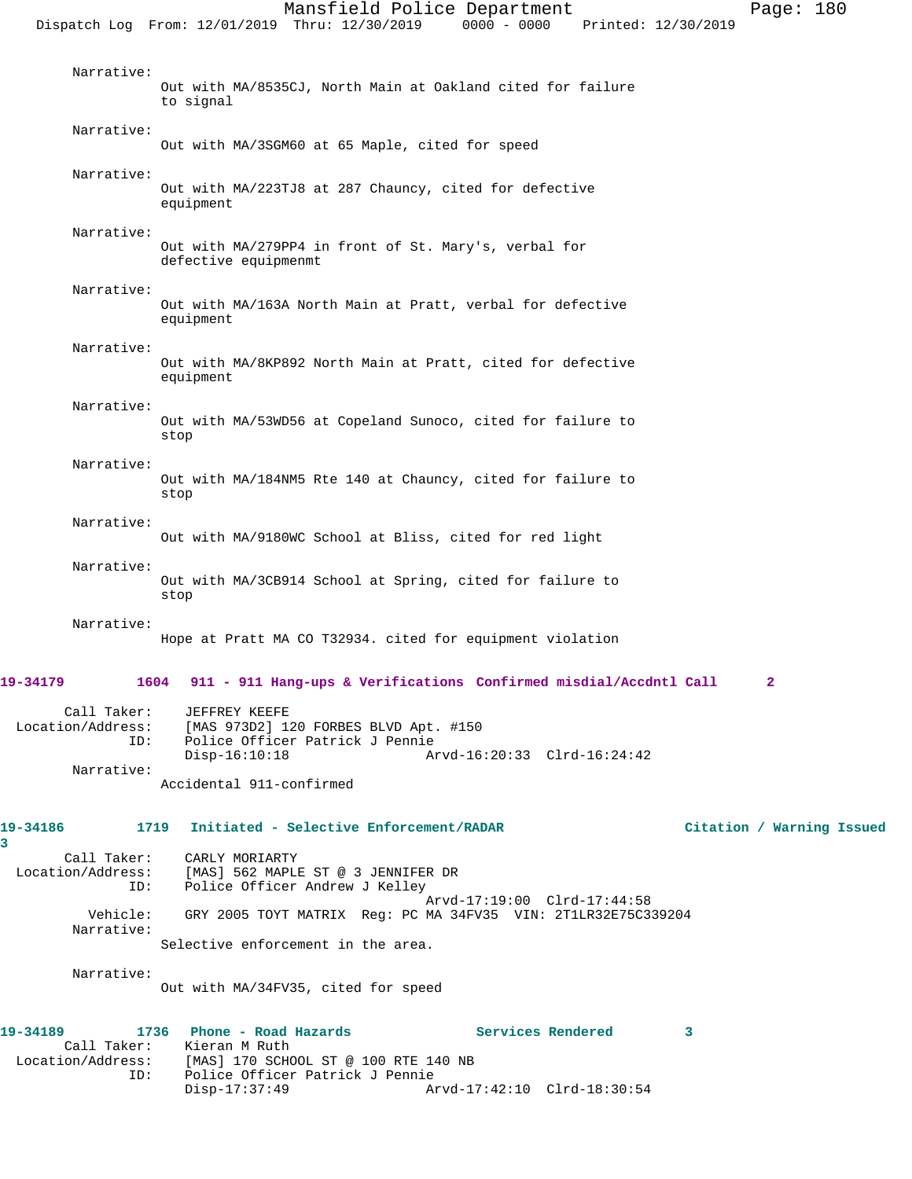Mansfield Police Department Page: 180 Dispatch Log From: 12/01/2019 Thru: 12/30/2019 0000 - 0000 Printed: 12/30/2019 Narrative: Out with MA/8535CJ, North Main at Oakland cited for failure to signal Narrative: Out with MA/3SGM60 at 65 Maple, cited for speed Narrative: Out with MA/223TJ8 at 287 Chauncy, cited for defective equipment Narrative: Out with MA/279PP4 in front of St. Mary's, verbal for defective equipmenmt Narrative: Out with MA/163A North Main at Pratt, verbal for defective equipment Narrative: Out with MA/8KP892 North Main at Pratt, cited for defective equipment Narrative: Out with MA/53WD56 at Copeland Sunoco, cited for failure to stop Narrative: Out with MA/184NM5 Rte 140 at Chauncy, cited for failure to stop Narrative: Out with MA/9180WC School at Bliss, cited for red light Narrative: Out with MA/3CB914 School at Spring, cited for failure to stop Narrative: Hope at Pratt MA CO T32934. cited for equipment violation **19-34179 1604 911 - 911 Hang-ups & Verifications Confirmed misdial/Accdntl Call 2** Call Taker: JEFFREY KEEFE Location/Address: [MAS 973D2] 120 FORBES BLVD Apt. #150 ID: Police Officer Patrick J Pennie Disp-16:10:18 Arvd-16:20:33 Clrd-16:24:42 Narrative: Accidental 911-confirmed **19-34186 1719 Initiated - Selective Enforcement/RADAR Citation / Warning Issued** Call Taker: CARLY MORIARTY<br>Location/Address: [MAS] 562 MAPLI SS: [MAS] 562 MAPLE ST @ 3 JENNIFER DR<br>ID: Police Officer Andrew J Kellev Police Officer Andrew J Kelley Arvd-17:19:00 Clrd-17:44:58<br>Vehicle: GRY 2005 TOYT MATRIX Reg: PC MA 34FV35 VIN: 2T1LR32E75C3 GRY 2005 TOYT MATRIX Reg: PC MA 34FV35 VIN: 2T1LR32E75C339204 Narrative: Selective enforcement in the area. Narrative: Out with MA/34FV35, cited for speed **19-34189 1736 Phone - Road Hazards Services Rendered 3**  Call Taker: Kieran M Ruth Location/Address: [MAS] 170 SCHOOL ST @ 100 RTE 140 NB

ID: Police Officer Patrick J Pennie

Disp-17:37:49 Arvd-17:42:10 Clrd-18:30:54

**3**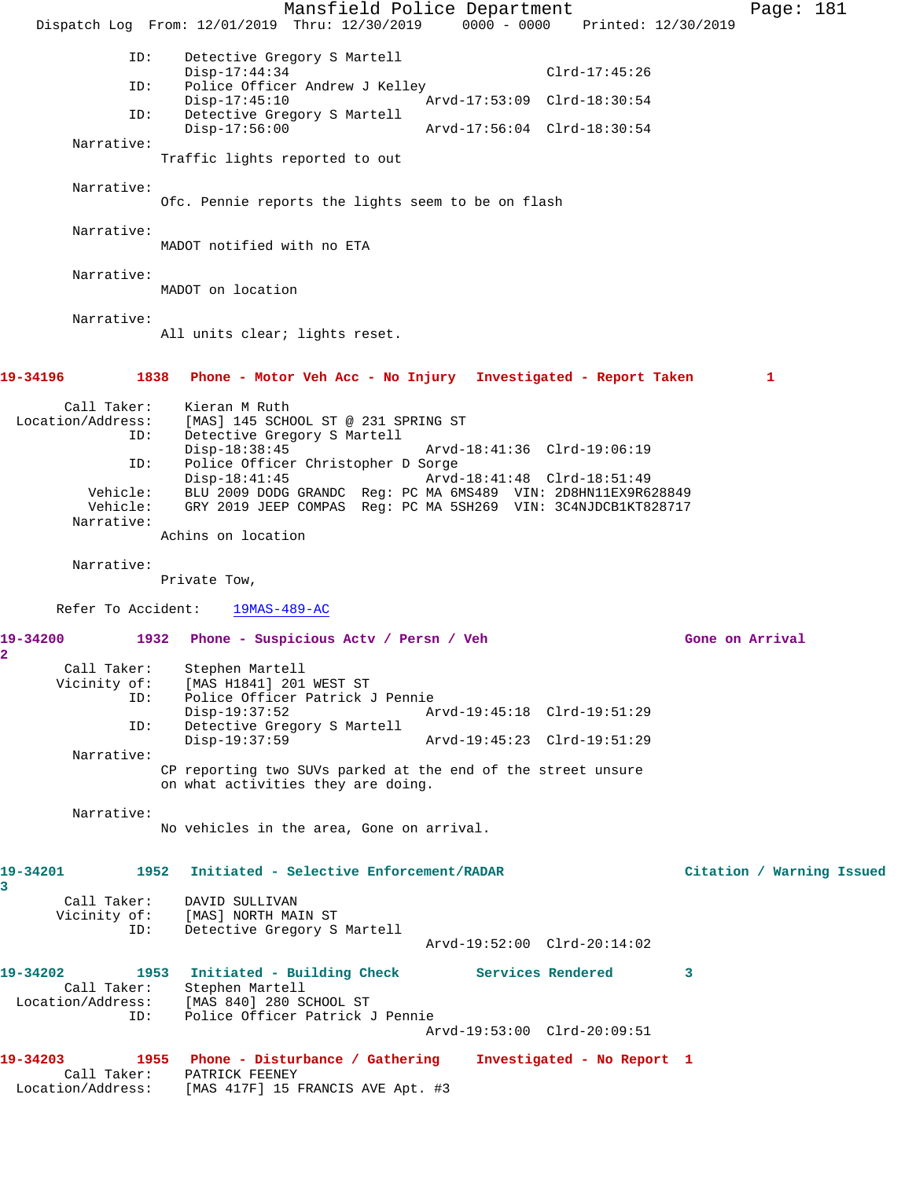Mansfield Police Department Fage: 181 Dispatch Log From: 12/01/2019 Thru: 12/30/2019 0000 - 0000 Printed: 12/30/2019 ID: Detective Gregory S Martell Disp-17:44:34 Clrd-17:45:26<br>ID: Police Officer Andrew J Kelley Police Officer Andrew J Kelley Disp-17:45:10 Arvd-17:53:09 Clrd-18:30:54 ID: Detective Gregory S Martell Disp-17:56:00 Arvd-17:56:04 Clrd-18:30:54 Narrative: Traffic lights reported to out Narrative: Ofc. Pennie reports the lights seem to be on flash Narrative: MADOT notified with no ETA Narrative: MADOT on location Narrative: All units clear; lights reset. **19-34196 1838 Phone - Motor Veh Acc - No Injury Investigated - Report Taken 1** Call Taker: Kieran M Ruth Location/Address: [MAS] 145 SCHOOL ST @ 231 SPRING ST ID: Detective Gregory S Martell Disp-18:38:45 Arvd-18:41:36 Clrd-19:06:19 ID: Police Officer Christopher D Sorge Disp-18:41:45 Arvd-18:41:48 Clrd-18:51:49 Vehicle: BLU 2009 DODG GRANDC Reg: PC MA 6MS489 VIN: 2D8HN11EX9R628849 Vehicle: GRY 2019 JEEP COMPAS Reg: PC MA 5SH269 VIN: 3C4NJDCB1KT828717 Narrative: Achins on location Narrative: Private Tow, Refer To Accident: 19MAS-489-AC 19-34200 1932 Phone - Suspicious Actv / Persn / Veh Gone on Arrival **2**  Call Taker: Stephen Martell Vicinity of: [MAS H1841] 201 WEST ST ID: Police Officer Patrick J Pennie Disp-19:37:52 Arvd-19:45:18 Clrd-19:51:29 ID: Detective Gregory S Martell Arvd-19:45:23 Clrd-19:51:29 Narrative: CP reporting two SUVs parked at the end of the street unsure on what activities they are doing. Narrative: No vehicles in the area, Gone on arrival. **19-34201 1952 Initiated - Selective Enforcement/RADAR Citation / Warning Issued 3**  Call Taker: DAVID SULLIVAN Vicinity of: [MAS] NORTH MAIN ST ID: Detective Gregory S Martell Arvd-19:52:00 Clrd-20:14:02 19-34202 1953 Initiated - Building Check Services Rendered 3 Call Taker: Stephen Martell Location/Address: [MAS 840] 280 SCHOOL ST ID: Police Officer Patrick J Pennie Arvd-19:53:00 Clrd-20:09:51 **19-34203 1955 Phone - Disturbance / Gathering Investigated - No Report 1**  Call Taker: PATRICK FEENEY Location/Address: [MAS 417F] 15 FRANCIS AVE Apt. #3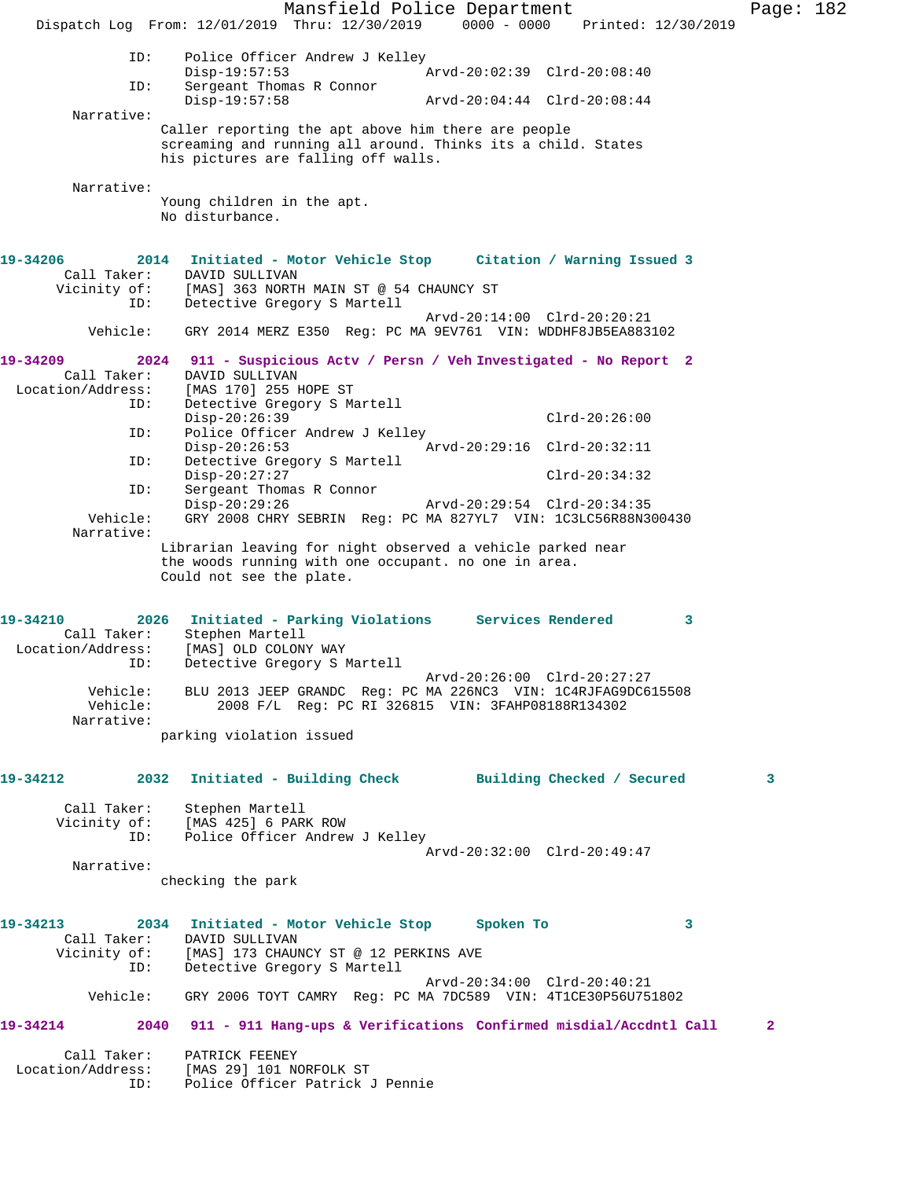Mansfield Police Department Page: 182 Dispatch Log From: 12/01/2019 Thru: 12/30/2019 0000 - 0000 Printed: 12/30/2019 ID: Police Officer Andrew J Kelley<br>Disp-19:57:53  $\bar{P}_{AYd-20:02:39}$  Clrd-20:08:40 ID: Sergeant Thomas R Connor<br>Disp-19:57:58 Disp-19:57:58 Arvd-20:04:44 Clrd-20:08:44 Narrative: Caller reporting the apt above him there are people screaming and running all around. Thinks its a child. States his pictures are falling off walls. Narrative: Young children in the apt. No disturbance. **19-34206 2014 Initiated - Motor Vehicle Stop Citation / Warning Issued 3**  Call Taker: DAVID SULLIVAN Vicinity of: [MAS] 363 NORTH MAIN ST @ 54 CHAUNCY ST ID: Detective Gregory S Martell Arvd-20:14:00 Clrd-20:20:21 Vehicle: GRY 2014 MERZ E350 Reg: PC MA 9EV761 VIN: WDDHF8JB5EA883102 **19-34209 2024 911 - Suspicious Actv / Persn / Veh Investigated - No Report 2**  Call Taker: DAVID SULLIVAN Location/Address: [MAS 170] 255 HOPE ST ID: Detective Gregory S Martell Disp-20:26:39 Clrd-20:26:00 ID: Police Officer Andrew J Kelley Disp-20:26:53 Arvd-20:29:16 Clrd-20:32:11 ID: Detective Gregory S Martell Disp-20:27:27 Clrd-20:34:32 ID: Sergeant Thomas R Connor Disp-20:29:26 Arvd-20:29:54 Clrd-20:34:35<br>Vehicle: GRY 2008 CHRY SEBRIN Req: PC MA 827YL7 VIN: 1C3LC56R88N3 GRY 2008 CHRY SEBRIN Reg: PC MA 827YL7 VIN: 1C3LC56R88N300430 Narrative: Librarian leaving for night observed a vehicle parked near the woods running with one occupant. no one in area. Could not see the plate. **19-34210 2026 Initiated - Parking Violations Services Rendered 3**  Call Taker: Stephen Martell Location/Address: [MAS] OLD COLONY WAY ID: Detective Gregory S Martell Arvd-20:26:00 Clrd-20:27:27 Vehicle: BLU 2013 JEEP GRANDC Reg: PC MA 226NC3 VIN: 1C4RJFAG9DC615508 Vehicle: 2008 F/L Reg: PC RI 326815 VIN: 3FAHP08188R134302 Narrative: parking violation issued **19-34212 2032 Initiated - Building Check Building Checked / Secured 3** Call Taker: Stephen Martell Vicinity of: [MAS 425] 6 PARK ROW ID: Police Officer Andrew J Kelley Arvd-20:32:00 Clrd-20:49:47 Narrative: checking the park **19-34213 2034 Initiated - Motor Vehicle Stop Spoken To 3**  Call Taker: DAVID SULLIVAN Vicinity of: [MAS] 173 CHAUNCY ST @ 12 PERKINS AVE ID: Detective Gregory S Martell Arvd-20:34:00 Clrd-20:40:21 Vehicle: GRY 2006 TOYT CAMRY Reg: PC MA 7DC589 VIN: 4T1CE30P56U751802 **19-34214 2040 911 - 911 Hang-ups & Verifications Confirmed misdial/Accdntl Call 2** Call Taker: PATRICK FEENEY Location/Address: [MAS 29] 101 NORFOLK ST ID: Police Officer Patrick J Pennie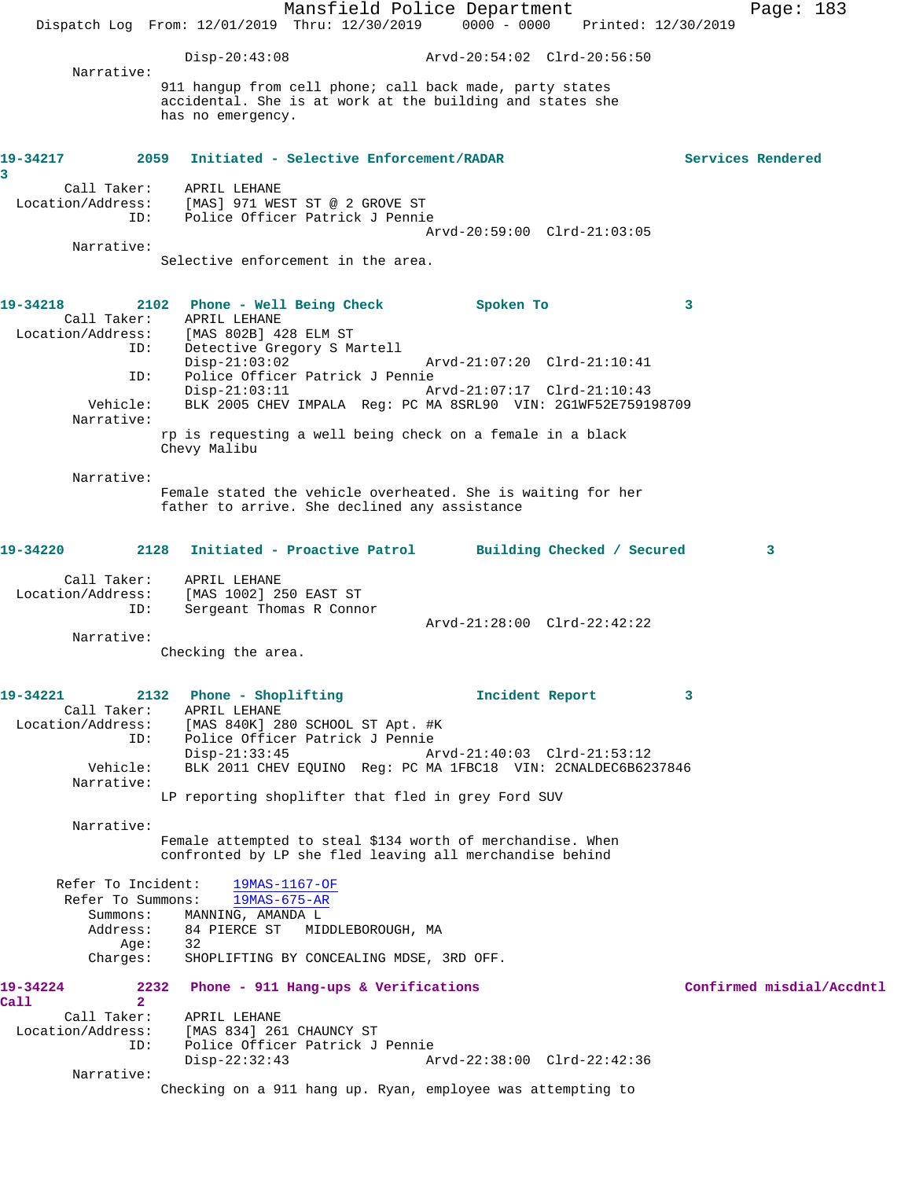Mansfield Police Department Page: 183 Dispatch Log From: 12/01/2019 Thru: 12/30/2019 0000 - 0000 Printed: 12/30/2019 Disp-20:43:08 Arvd-20:54:02 Clrd-20:56:50 Narrative: 911 hangup from cell phone; call back made, party states accidental. She is at work at the building and states she has no emergency. **19-34217 2059 Initiated - Selective Enforcement/RADAR Services Rendered 3**  Call Taker: APRIL LEHANE Location/Address: [MAS] 971 WEST ST @ 2 GROVE ST ID: Police Officer Patrick J Pennie Arvd-20:59:00 Clrd-21:03:05 Narrative: Selective enforcement in the area. **19-34218 2102 Phone - Well Being Check Spoken To 3**  Call Taker: APRIL LEHANE Location/Address: [MAS 802B] 428 ELM ST ID: Detective Gregory S Martell Disp-21:03:02 Arvd-21:07:20 Clrd-21:10:41<br>ID: Police Officer Patrick J Pennie Police Officer Patrick J Pennie<br>Disp-21:03:11 A Disp-21:03:11 Arvd-21:07:17 Clrd-21:10:43 Vehicle: BLK 2005 CHEV IMPALA Reg: PC MA 8SRL90 VIN: 2G1WF52E759198709 Narrative: rp is requesting a well being check on a female in a black Chevy Malibu Narrative: Female stated the vehicle overheated. She is waiting for her father to arrive. She declined any assistance **19-34220 2128 Initiated - Proactive Patrol Building Checked / Secured 3** Call Taker: APRIL LEHANE Location/Address: [MAS 1002] 250 EAST ST ID: Sergeant Thomas R Connor Arvd-21:28:00 Clrd-22:42:22 Narrative: Checking the area. **19-34221 2132 Phone - Shoplifting Incident Report 3**  Call Taker: APRIL LEHANE Location/Address: [MAS 840K] 280 SCHOOL ST Apt. #K Police Officer Patrick J Pennie<br>Disp-21:33:45 A Disp-21:33:45 Arvd-21:40:03 Clrd-21:53:12 Vehicle: BLK 2011 CHEV EQUINO Reg: PC MA 1FBC18 VIN: 2CNALDEC6B6237846 Narrative: LP reporting shoplifter that fled in grey Ford SUV Narrative: Female attempted to steal \$134 worth of merchandise. When confronted by LP she fled leaving all merchandise behind Refer To Incident: 19MAS-1167-OF Refer To Summons: 19MAS-675-AR Summons: MANNING, AMANDA L<br>Address: 84 PIERCE ST MID 84 PIERCE ST – MIDDLEBOROUGH, MA<br>32 Age:<br>:Charges SHOPLIFTING BY CONCEALING MDSE, 3RD OFF. **19-34224 2232 Phone - 911 Hang-ups & Verifications Confirmed misdial/Accdntl Call 2**  Call Taker: APRIL LEHANE Location/Address: [MAS 834] 261 CHAUNCY ST<br>TD: Police Officer Patrick J Police Officer Patrick J Pennie Disp-22:32:43 Arvd-22:38:00 Clrd-22:42:36 Narrative: Checking on a 911 hang up. Ryan, employee was attempting to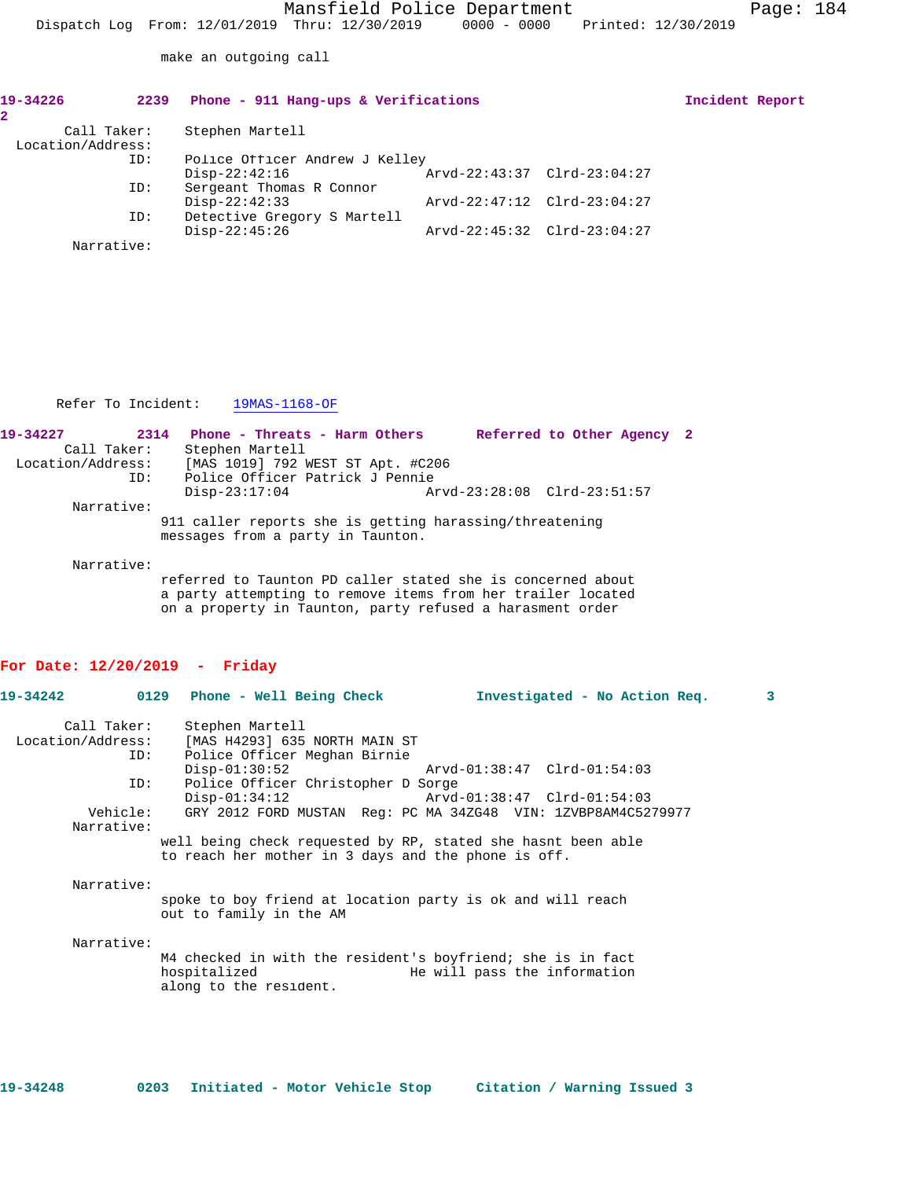make an outgoing call

| 19-34226          | 2239 | Phone - 911 Hang-ups & Verifications |                             | Incident Report |  |
|-------------------|------|--------------------------------------|-----------------------------|-----------------|--|
|                   |      |                                      |                             |                 |  |
| Call Taker:       |      | Stephen Martell                      |                             |                 |  |
| Location/Address: |      |                                      |                             |                 |  |
|                   | ID:  | Police Officer Andrew J Kelley       |                             |                 |  |
|                   |      | $Disp-22:42:16$                      | Arvd-22:43:37 Clrd-23:04:27 |                 |  |
|                   | ID:  | Sergeant Thomas R Connor             |                             |                 |  |
|                   |      | $Disp-22:42:33$                      | Arvd-22:47:12 Clrd-23:04:27 |                 |  |
|                   | ID:  | Detective Gregory S Martell          |                             |                 |  |
|                   |      | $Disp-22:45:26$                      | Arvd-22:45:32 Clrd-23:04:27 |                 |  |
| Narrative:        |      |                                      |                             |                 |  |

Refer To Incident: 19MAS-1168-OF

| 19-34227          | 2314       | Phone - Threats - Harm Others                           |  | Referred to Other Agency 2  |  |
|-------------------|------------|---------------------------------------------------------|--|-----------------------------|--|
| Call Taker:       |            | Stephen Martell                                         |  |                             |  |
| Location/Address: |            | [MAS 1019] 792 WEST ST Apt. #C206                       |  |                             |  |
|                   | ID:        | Police Officer Patrick J Pennie                         |  |                             |  |
|                   |            | $Disp-23:17:04$                                         |  | Arvd-23:28:08 Clrd-23:51:57 |  |
|                   | Narrative: |                                                         |  |                             |  |
|                   |            | 911 caller reports she is getting harassing/threatening |  |                             |  |
|                   |            | messages from a party in Taunton.                       |  |                             |  |

Narrative:

referred to Taunton PD caller stated she is concerned about a party attempting to remove items from her trailer located on a property in Taunton, party refused a harasment order

## **For Date: 12/20/2019 - Friday**

|                   |          |                                                                                                                     |                              | Investigated - No Action Req. | $\mathbf{3}$ |
|-------------------|----------|---------------------------------------------------------------------------------------------------------------------|------------------------------|-------------------------------|--------------|
| Call Taker:       |          | Stephen Martell                                                                                                     |                              |                               |              |
| Location/Address: |          | [MAS H4293] 635 NORTH MAIN ST                                                                                       |                              |                               |              |
|                   | ID:      | Police Officer Meghan Birnie                                                                                        |                              |                               |              |
|                   |          | $Disp-01:30:52$                                                                                                     |                              |                               |              |
|                   | ID:      | Police Officer Christopher D Sorge                                                                                  |                              |                               |              |
|                   |          | $Disp-01:34:12$                                                                                                     |                              |                               |              |
|                   | Vehicle: | GRY 2012 FORD MUSTAN Req: PC MA 34ZG48 VIN: 1ZVBP8AM4C5279977                                                       |                              |                               |              |
| Narrative:        |          |                                                                                                                     |                              |                               |              |
|                   |          | well being check requested by RP, stated she hasnt been able<br>to reach her mother in 3 days and the phone is off. |                              |                               |              |
| Narrative:        |          |                                                                                                                     |                              |                               |              |
|                   |          | spoke to boy friend at location party is ok and will reach<br>out to family in the AM                               |                              |                               |              |
| Narrative:        |          |                                                                                                                     |                              |                               |              |
|                   |          | M4 checked in with the resident's boyfriend; she is in fact<br>hospitalized<br>along to the resident.               | He will pass the information |                               |              |

**19-34248 0203 Initiated - Motor Vehicle Stop Citation / Warning Issued 3**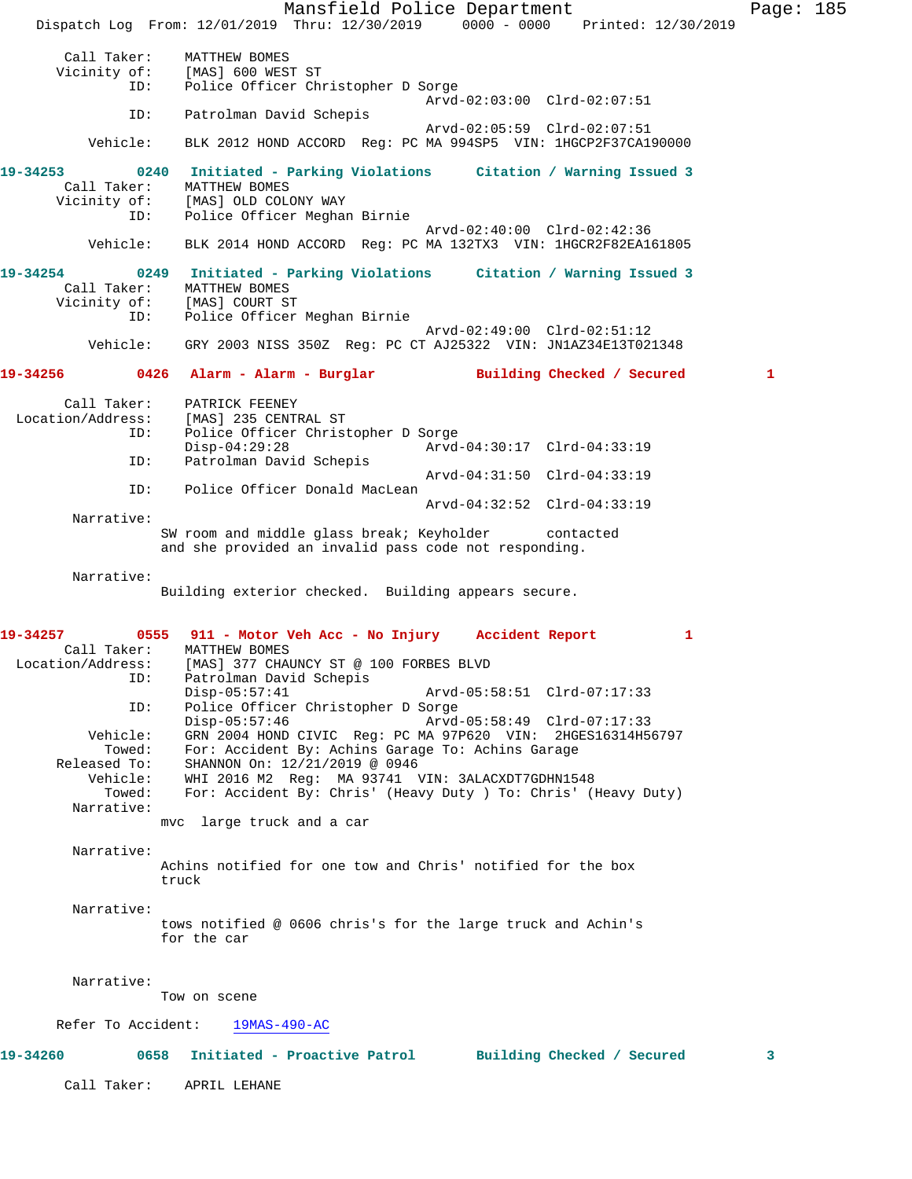Mansfield Police Department Page: 185 Dispatch Log From: 12/01/2019 Thru: 12/30/2019 0000 - 0000 Printed: 12/30/2019 Call Taker: MATTHEW BOMES<br>Vicinity of: [MAS] 600 WES of: [MAS] 600 WEST ST<br>ID: Police Officer Ch Police Officer Christopher D Sorge Arvd-02:03:00 Clrd-02:07:51 ID: Patrolman David Schepis Arvd-02:05:59 Clrd-02:07:51 Vehicle: BLK 2012 HOND ACCORD Reg: PC MA 994SP5 VIN: 1HGCP2F37CA190000 **19-34253 0240 Initiated - Parking Violations Citation / Warning Issued 3**  Call Taker: MATTHEW BOMES<br>Vicinity of: [MAS] OLD COLO [MAS] OLD COLONY WAY ID: Police Officer Meghan Birnie Arvd-02:40:00 Clrd-02:42:36 Vehicle: BLK 2014 HOND ACCORD Reg: PC MA 132TX3 VIN: 1HGCR2F82EA161805 **19-34254 0249 Initiated - Parking Violations Citation / Warning Issued 3**  Call Taker: MATTHEW BOMES<br>Vicinity of: [MAS] COURT ST [MAS] COURT ST ID: Police Officer Meghan Birnie Arvd-02:49:00 Clrd-02:51:12 Vehicle: GRY 2003 NISS 350Z Reg: PC CT AJ25322 VIN: JN1AZ34E13T021348 **19-34256 0426 Alarm - Alarm - Burglar Building Checked / Secured 1** Call Taker: PATRICK FEENEY Location/Address: [MAS] 235 CENTRAL ST ID: Police Officer Christopher D Sorge Disp-04:29:28 Arvd-04:30:17 Clrd-04:33:19<br>TD: Patrolman David Schepis Patrolman David Schepis Arvd-04:31:50 Clrd-04:33:19 ID: Police Officer Donald MacLean Arvd-04:32:52 Clrd-04:33:19 Narrative: SW room and middle glass break; Keyholder contacted and she provided an invalid pass code not responding. Narrative: Building exterior checked. Building appears secure. **19-34257 0555 911 - Motor Veh Acc - No Injury Accident Report 1**  Call Taker: MATTHEW BOMES Location/Address: [MAS] 377 CHAUNCY ST @ 100 FORBES BLVD ID: Patrolman David Schepis Disp-05:57:41 Arvd-05:58:51 Clrd-07:17:33 ID: Police Officer Christopher D Sorge Arvd-05:58:49 Clrd-07:17:33 Vehicle: GRN 2004 HOND CIVIC Reg: PC MA 97P620 VIN: 2HGES16314H56797 Towed: For: Accident By: Achins Garage To: Achins Garage Released To: SHANNON On: 12/21/2019 @ 0946 Vehicle: WHI 2016 M2 Reg: MA 93741 VIN: 3ALACXDT7GDHN1548 Towed: For: Accident By: Chris' (Heavy Duty ) To: Chris' (Heavy Duty) Narrative: mvc large truck and a car Narrative: Achins notified for one tow and Chris' notified for the box truck Narrative: tows notified @ 0606 chris's for the large truck and Achin's for the car Narrative: Tow on scene Refer To Accident: 19MAS-490-AC **19-34260 0658 Initiated - Proactive Patrol Building Checked / Secured 3** Call Taker: APRIL LEHANE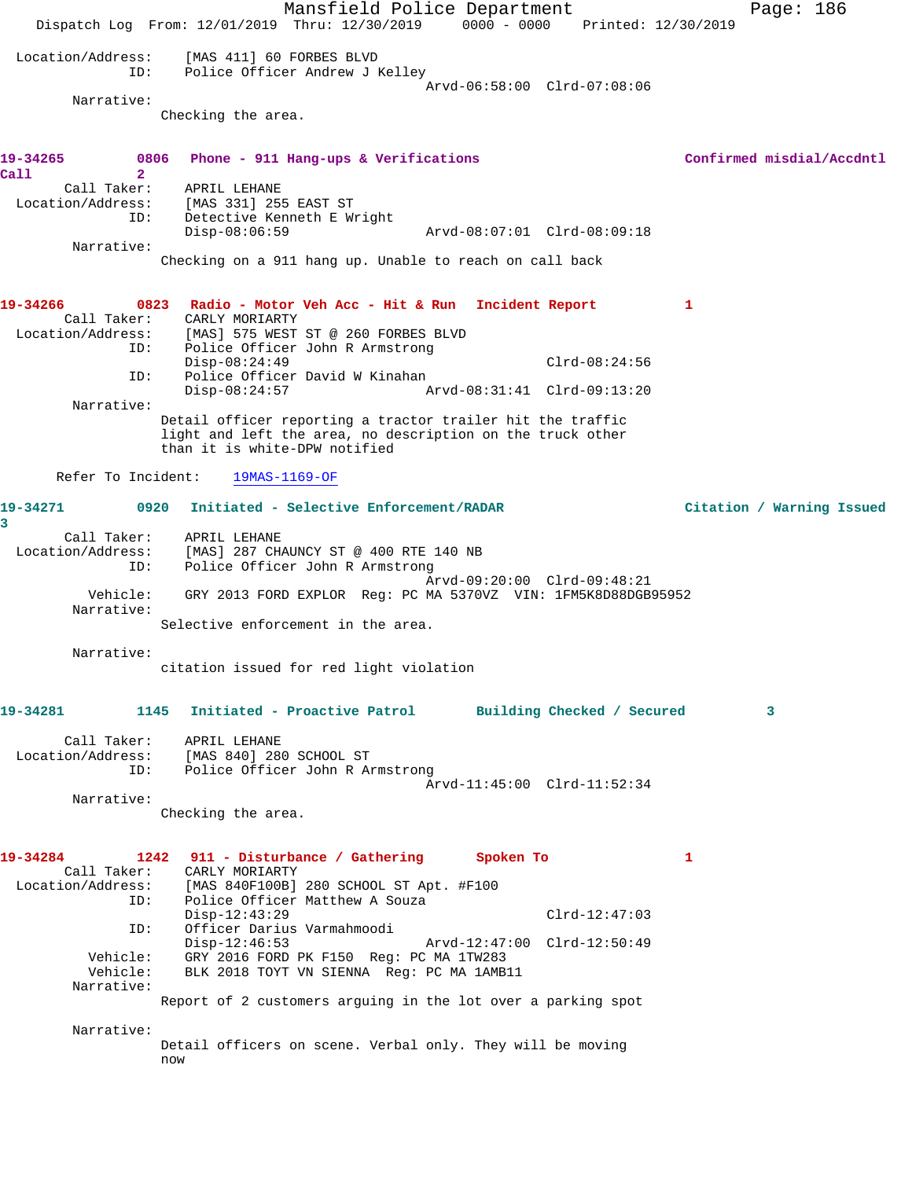Mansfield Police Department Fage: 186 Dispatch Log From: 12/01/2019 Thru: 12/30/2019 0000 - 0000 Printed: 12/30/2019 Location/Address: [MAS 411] 60 FORBES BLVD ID: Police Officer Andrew J Kelley Arvd-06:58:00 Clrd-07:08:06 Narrative: Checking the area. 19-34265 0806 Phone - 911 Hang-ups & Verifications **Confirmed misdial/Accdntl Call 2**  Call Taker: APRIL LEHANE Location/Address: [MAS 331] 255 EAST ST ress: [MAS 331] 255 EAST ST<br>ID: Detective Kenneth E Wright<br>Disp-08:06:59 Disp-08:06:59 Arvd-08:07:01 Clrd-08:09:18 Narrative: Checking on a 911 hang up. Unable to reach on call back **19-34266 0823 Radio - Motor Veh Acc - Hit & Run Incident Report 1**  Call Taker: CARLY MORIARTY Location/Address: [MAS] 575 WEST ST @ 260 FORBES BLVD ID: Police Officer John R Armstrong Disp-08:24:49 Clrd-08:24:56<br>ID: Police Officer David W Kinahan<br>Disp-08:24:57 Arvd-08:31:41 Clrd-09:13:20 Police Officer David W Kinahan Disp-08:24:57 Arvd-08:31:41 Clrd-09:13:20 Narrative: Detail officer reporting a tractor trailer hit the traffic light and left the area, no description on the truck other than it is white-DPW notified Refer To Incident: 19MAS-1169-OF **19-34271 0920 Initiated - Selective Enforcement/RADAR Citation / Warning Issued 3**  Call Taker: APRIL LEHANE Location/Address: [MAS] 287 CHAUNCY ST @ 400 RTE 140 NB ID: Police Officer John R Armstrong Arvd-09:20:00 Clrd-09:48:21 Vehicle: GRY 2013 FORD EXPLOR Reg: PC MA 5370VZ VIN: 1FM5K8D88DGB95952 Narrative: Selective enforcement in the area. Narrative: citation issued for red light violation **19-34281 1145 Initiated - Proactive Patrol Building Checked / Secured 3** Call Taker: APRIL LEHANE Location/Address: [MAS 840] 280 SCHOOL ST ID: Police Officer John R Armstrong Arvd-11:45:00 Clrd-11:52:34 Narrative: Checking the area. **19-34284 1242 911 - Disturbance / Gathering Spoken To 1**  Call Taker: CARLY MORIARTY<br>Location/Address: [MAS 840F100B] 280 SCHOOL ST Apt. #F100 Location/Address: [MAS 840F100B] 280 SCHOOL ST Apt. #F100 ID: Police Officer Matthew A Souza Disp-12:43:29 Clrd-12:47:03 ID: Officer Darius Varmahmoodi Disp-12:46:53 Arvd-12:47:00 Clrd-12:50:49 Vehicle: GRY 2016 FORD PK F150 Reg: PC MA 1TW283 Vehicle: BLK 2018 TOYT VN SIENNA Reg: PC MA 1AMB11 Narrative: Report of 2 customers arguing in the lot over a parking spot Narrative: Detail officers on scene. Verbal only. They will be moving now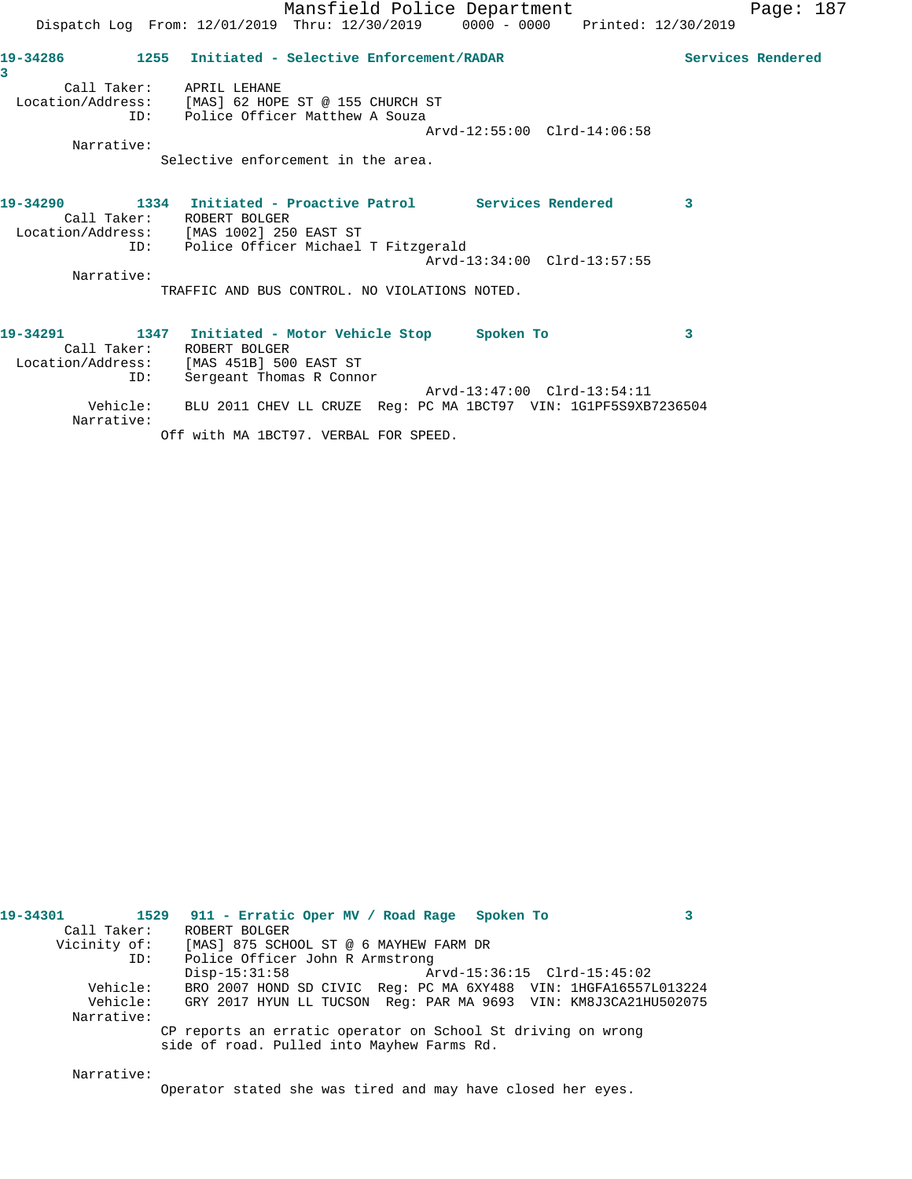|                          | Mansfield Police Department                                                    |                             |                         | Page: $187$ |  |
|--------------------------|--------------------------------------------------------------------------------|-----------------------------|-------------------------|-------------|--|
|                          | Dispatch Log From: 12/01/2019 Thru: 12/30/2019 0000 - 0000 Printed: 12/30/2019 |                             |                         |             |  |
| 3                        | 19-34286 1255 Initiated - Selective Enforcement/RADAR                          |                             | Services Rendered       |             |  |
| Call Taker: APRIL LEHANE |                                                                                |                             |                         |             |  |
|                          | Location/Address: [MAS] 62 HOPE ST @ 155 CHURCH ST                             |                             |                         |             |  |
|                          | ID: Police Officer Matthew A Souza                                             |                             |                         |             |  |
|                          |                                                                                | Arvd-12:55:00 Clrd-14:06:58 |                         |             |  |
| Narrative:               | Selective enforcement in the area.                                             |                             |                         |             |  |
|                          |                                                                                |                             |                         |             |  |
|                          | 19-34290 1334 Initiated - Proactive Patrol Services Rendered                   |                             | $\overline{\mathbf{3}}$ |             |  |
|                          | Call Taker: ROBERT BOLGER                                                      |                             |                         |             |  |
|                          | Location/Address: [MAS 1002] 250 EAST ST                                       |                             |                         |             |  |
|                          | ID: Police Officer Michael T Fitzgerald                                        |                             |                         |             |  |
|                          |                                                                                | Arvd-13:34:00 Clrd-13:57:55 |                         |             |  |
| Narrative:               |                                                                                |                             |                         |             |  |
|                          | TRAFFIC AND BUS CONTROL. NO VIOLATIONS NOTED.                                  |                             |                         |             |  |
| 19-34291                 | 1347 Initiated - Motor Vehicle Stop Spoken To                                  |                             | 3                       |             |  |
|                          | Call Taker: ROBERT BOLGER                                                      |                             |                         |             |  |
|                          | Location/Address: [MAS 451B] 500 EAST ST                                       |                             |                         |             |  |
| ID:                      | Sergeant Thomas R Connor                                                       |                             |                         |             |  |
|                          |                                                                                | Arvd-13:47:00 Clrd-13:54:11 |                         |             |  |

Vehicle: BLU 2011 CHEV LL CRUZE Reg: PC MA 1BCT97 VIN: 1G1PF5S9XB7236504

Narrative:

Off with MA 1BCT97. VERBAL FOR SPEED.

| 1529 911 - Erratic Oper MV / Road Rage Spoken To |                                 |                                                                                                                                                                                                                                                                                                                                        |
|--------------------------------------------------|---------------------------------|----------------------------------------------------------------------------------------------------------------------------------------------------------------------------------------------------------------------------------------------------------------------------------------------------------------------------------------|
|                                                  |                                 |                                                                                                                                                                                                                                                                                                                                        |
|                                                  |                                 |                                                                                                                                                                                                                                                                                                                                        |
|                                                  |                                 |                                                                                                                                                                                                                                                                                                                                        |
|                                                  |                                 |                                                                                                                                                                                                                                                                                                                                        |
|                                                  |                                 |                                                                                                                                                                                                                                                                                                                                        |
|                                                  |                                 |                                                                                                                                                                                                                                                                                                                                        |
|                                                  |                                 |                                                                                                                                                                                                                                                                                                                                        |
|                                                  |                                 |                                                                                                                                                                                                                                                                                                                                        |
| ROBERT BOLGER<br>$Disp-15:31:58$                 | Police Officer John R Armstrong | Vicinity of: [MAS] 875 SCHOOL ST @ 6 MAYHEW FARM DR<br>Arvd-15:36:15 Clrd-15:45:02<br>BRO 2007 HOND SD CIVIC Req: PC MA 6XY488 VIN: 1HGFA16557L013224<br>GRY 2017 HYUN LL TUCSON Req: PAR MA 9693 VIN: KM8J3CA21HU502075<br>CP reports an erratic operator on School St driving on wrong<br>side of road. Pulled into Mayhew Farms Rd. |

Narrative:

Operator stated she was tired and may have closed her eyes.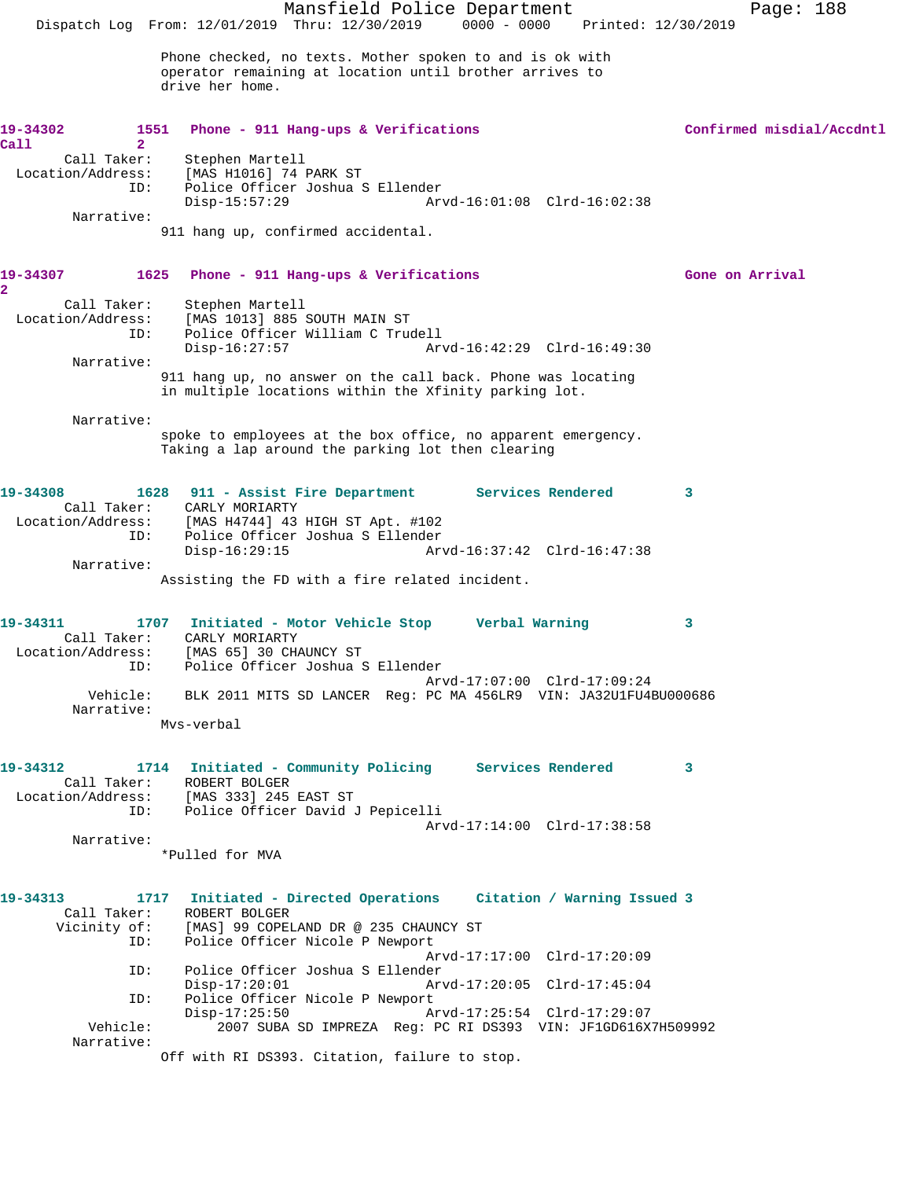Mansfield Police Department Page: 188 Dispatch Log From: 12/01/2019 Thru: 12/30/2019 0000 - 0000 Printed: 12/30/2019 Phone checked, no texts. Mother spoken to and is ok with operator remaining at location until brother arrives to drive her home. 19-34302 1551 Phone - 911 Hang-ups & Verifications **19-34302** Confirmed misdial/Accdntl **Call 2**  Call Taker: Stephen Martell Location/Address: [MAS H1016] 74 PARK ST<br>ID: Police Officer Joshua S Police Officer Joshua S Ellender<br>Disp-15:57:29 Ar Disp-15:57:29 Arvd-16:01:08 Clrd-16:02:38 Narrative: 911 hang up, confirmed accidental. **19-34307 1625 Phone - 911 Hang-ups & Verifications Gone on Arrival 2**  Call Taker: Stephen Martell Location/Address: [MAS 1013] 885 SOUTH MAIN ST ID: Police Officer William C Trudell Disp-16:27:57 Arvd-16:42:29 Clrd-16:49:30 Narrative: 911 hang up, no answer on the call back. Phone was locating in multiple locations within the Xfinity parking lot. Narrative: spoke to employees at the box office, no apparent emergency. Taking a lap around the parking lot then clearing **19-34308 1628 911 - Assist Fire Department Services Rendered 3**  Call Taker: CARLY MORIARTY Location/Address: [MAS H4744] 43 HIGH ST Apt. #102 ID: Police Officer Joshua S Ellender Arvd-16:37:42 Clrd-16:47:38 Narrative: Assisting the FD with a fire related incident. **19-34311 1707 Initiated - Motor Vehicle Stop Verbal Warning 3**  Call Taker: CARLY MORIARTY Location/Address: [MAS 65] 30 CHAUNCY ST ID: Police Officer Joshua S Ellender Arvd-17:07:00 Clrd-17:09:24 Vehicle: BLK 2011 MITS SD LANCER Reg: PC MA 456LR9 VIN: JA32U1FU4BU000686 Narrative: Mvs-verbal **19-34312 1714 Initiated - Community Policing Services Rendered 3**  Call Taker: ROBERT BOLGER Location/Address: [MAS 333] 245 EAST ST ID: Police Officer David J Pepicelli Arvd-17:14:00 Clrd-17:38:58 Narrative: \*Pulled for MVA **19-34313 1717 Initiated - Directed Operations Citation / Warning Issued 3**  Call Taker: ROBERT BOLGER<br>Vicinity of: [MAS] 99 COPEI [MAS] 99 COPELAND DR @ 235 CHAUNCY ST ID: Police Officer Nicole P Newport Arvd-17:17:00 Clrd-17:20:09 ID: Police Officer Joshua S Ellender Disp-17:20:01 Arvd-17:20:05 Clrd-17:45:04 ID: Police Officer Nicole P Newport Disp-17:25:50 Arvd-17:25:54 Clrd-17:29:07 Vehicle: 2007 SUBA SD IMPREZA Reg: PC RI DS393 VIN: JF1GD616X7H509992 Narrative: Off with RI DS393. Citation, failure to stop.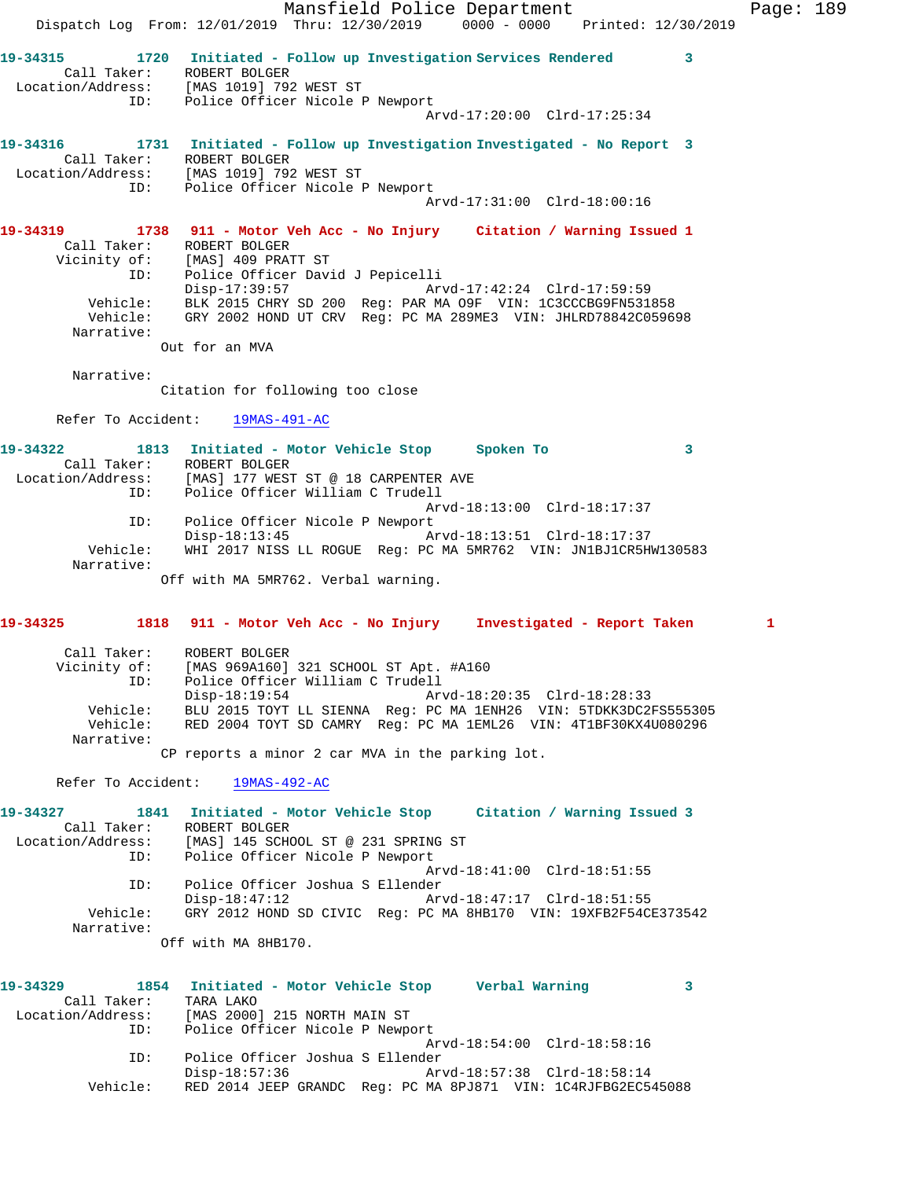Dispatch Log From: 12/01/2019 Thru: 12/30/2019 0000 - 0000 Printed: 12/30/2019 **19-34315 1720 Initiated - Follow up Investigation Services Rendered 3**  Call Taker: ROBERT BOLGER Location/Address: [MAS 1019] 792 WEST ST ID: Police Officer Nicole P Newport Arvd-17:20:00 Clrd-17:25:34 **19-34316 1731 Initiated - Follow up Investigation Investigated - No Report 3**  Call Taker: ROBERT BOLGER Location/Address: [MAS 1019] 792 WEST ST ID: Police Officer Nicole P Newport Arvd-17:31:00 Clrd-18:00:16 **19-34319 1738 911 - Motor Veh Acc - No Injury Citation / Warning Issued 1**  Call Taker: ROBERT BOLGER Vicinity of: [MAS] 409 PRATT ST ID: Police Officer David J Pepicelli Disp-17:39:57 Arvd-17:42:24 Clrd-17:59:59 Vehicle: BLK 2015 CHRY SD 200 Reg: PAR MA O9F VIN: 1C3CCCBG9FN531858 Vehicle: GRY 2002 HOND UT CRV Reg: PC MA 289ME3 VIN: JHLRD78842C059698 Narrative: Out for an MVA Narrative: Citation for following too close Refer To Accident: 19MAS-491-AC **19-34322 1813 Initiated - Motor Vehicle Stop Spoken To 3**  Call Taker: ROBERT BOLGER Location/Address: [MAS] 177 WEST ST @ 18 CARPENTER AVE ID: Police Officer William C Trudell Arvd-18:13:00 Clrd-18:17:37 ID: Police Officer Nicole P Newport<br>Disp-18:13:45 A Disp-18:13:45 Arvd-18:13:51 Clrd-18:17:37 Vehicle: WHI 2017 NISS LL ROGUE Reg: PC MA 5MR762 VIN: JN1BJ1CR5HW130583 Narrative: Off with MA 5MR762. Verbal warning. **19-34325 1818 911 - Motor Veh Acc - No Injury Investigated - Report Taken 1** Call Taker: ROBERT BOLGER Vicinity of: [MAS 969A160] 321 SCHOOL ST Apt. #A160 ID: Police Officer William C Trudell Disp-18:19:54 Arvd-18:20:35 Clrd-18:28:33 Vehicle: BLU 2015 TOYT LL SIENNA Reg: PC MA 1ENH26 VIN: 5TDKK3DC2FS555305 Vehicle: RED 2004 TOYT SD CAMRY Reg: PC MA 1EML26 VIN: 4T1BF30KX4U080296 Narrative: CP reports a minor 2 car MVA in the parking lot. Refer To Accident: 19MAS-492-AC **19-34327 1841 Initiated - Motor Vehicle Stop Citation / Warning Issued 3**  Call Taker: ROBERT BOLGER Location/Address: [MAS] 145 SCHOOL ST @ 231 SPRING ST ID: Police Officer Nicole P Newport Arvd-18:41:00 Clrd-18:51:55 ID: Police Officer Joshua S Ellender Disp-18:47:12 Arvd-18:47:17 Clrd-18:51:55 Vehicle: GRY 2012 HOND SD CIVIC Reg: PC MA 8HB170 VIN: 19XFB2F54CE373542 Narrative: Off with MA 8HB170. **19-34329 1854 Initiated - Motor Vehicle Stop Verbal Warning 3**  Call Taker: TARA LAKO Location/Address: [MAS 2000] 215 NORTH MAIN ST Police Officer Nicole P Newport Arvd-18:54:00 Clrd-18:58:16 ID: Police Officer Joshua S Ellender Disp-18:57:36 Arvd-18:57:38 Clrd-18:58:14

Vehicle: RED 2014 JEEP GRANDC Reg: PC MA 8PJ871 VIN: 1C4RJFBG2EC545088

Mansfield Police Department Page: 189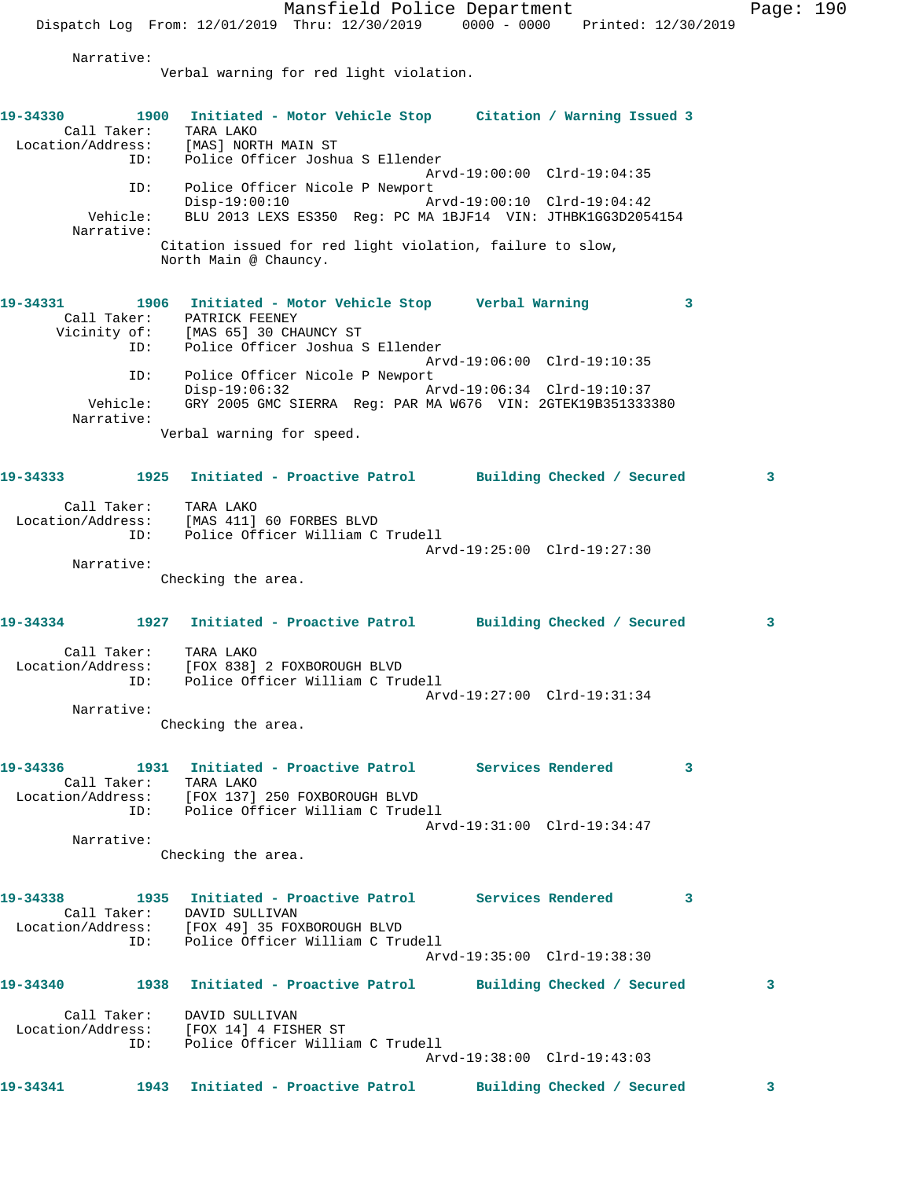Mansfield Police Department Page: 190 Dispatch Log From: 12/01/2019 Thru: 12/30/2019 0000 - 0000 Printed: 12/30/2019 Narrative: Verbal warning for red light violation. **19-34330 1900 Initiated - Motor Vehicle Stop Citation / Warning Issued 3**  Call Taker: TARA LAKO Location/Address: [MAS] NORTH MAIN ST ID: Police Officer Joshua S Ellender Arvd-19:00:00 Clrd-19:04:35 ID: Police Officer Nicole P Newport<br>Disp-19:00:10 Arvd-19:00:10 Clrd-19:04:42  $Disp-19:00:10$  Vehicle: BLU 2013 LEXS ES350 Reg: PC MA 1BJF14 VIN: JTHBK1GG3D2054154 Narrative: Citation issued for red light violation, failure to slow, North Main @ Chauncy. **19-34331 1906 Initiated - Motor Vehicle Stop Verbal Warning 3**  Call Taker: PATRICK FEENEY Vicinity of: [MAS 65] 30 CHAUNCY ST ID: Police Officer Joshua S Ellender Arvd-19:06:00 Clrd-19:10:35 ID: Police Officer Nicole P Newport Disp-19:06:32 Arvd-19:06:34 Clrd-19:10:37 Vehicle: GRY 2005 GMC SIERRA Reg: PAR MA W676 VIN: 2GTEK19B351333380 Narrative: Verbal warning for speed. **19-34333 1925 Initiated - Proactive Patrol Building Checked / Secured 3** Call Taker: TARA LAKO Location/Address: [MAS 411] 60 FORBES BLVD ID: Police Officer William C Trudell Arvd-19:25:00 Clrd-19:27:30 Narrative: Checking the area. **19-34334 1927 Initiated - Proactive Patrol Building Checked / Secured 3** Call Taker: TARA LAKO Location/Address: [FOX 838] 2 FOXBOROUGH BLVD ID: Police Officer William C Trudell Arvd-19:27:00 Clrd-19:31:34 Narrative: Checking the area. **19-34336 1931 Initiated - Proactive Patrol Services Rendered 3**  Call Taker: TARA LAKO Location/Address: [FOX 137] 250 FOXBOROUGH BLVD ID: Police Officer William C Trudell Arvd-19:31:00 Clrd-19:34:47 Narrative: Checking the area. **19-34338 1935 Initiated - Proactive Patrol Services Rendered 3**  Call Taker: DAVID SULLIVAN Location/Address: [FOX 49] 35 FOXBOROUGH BLVD ID: Police Officer William C Trudell Arvd-19:35:00 Clrd-19:38:30 **19-34340 1938 Initiated - Proactive Patrol Building Checked / Secured 3** Call Taker: DAVID SULLIVAN Location/Address: [FOX 14] 4 FISHER ST ID: Police Officer William C Trudell Arvd-19:38:00 Clrd-19:43:03

**19-34341 1943 Initiated - Proactive Patrol Building Checked / Secured 3**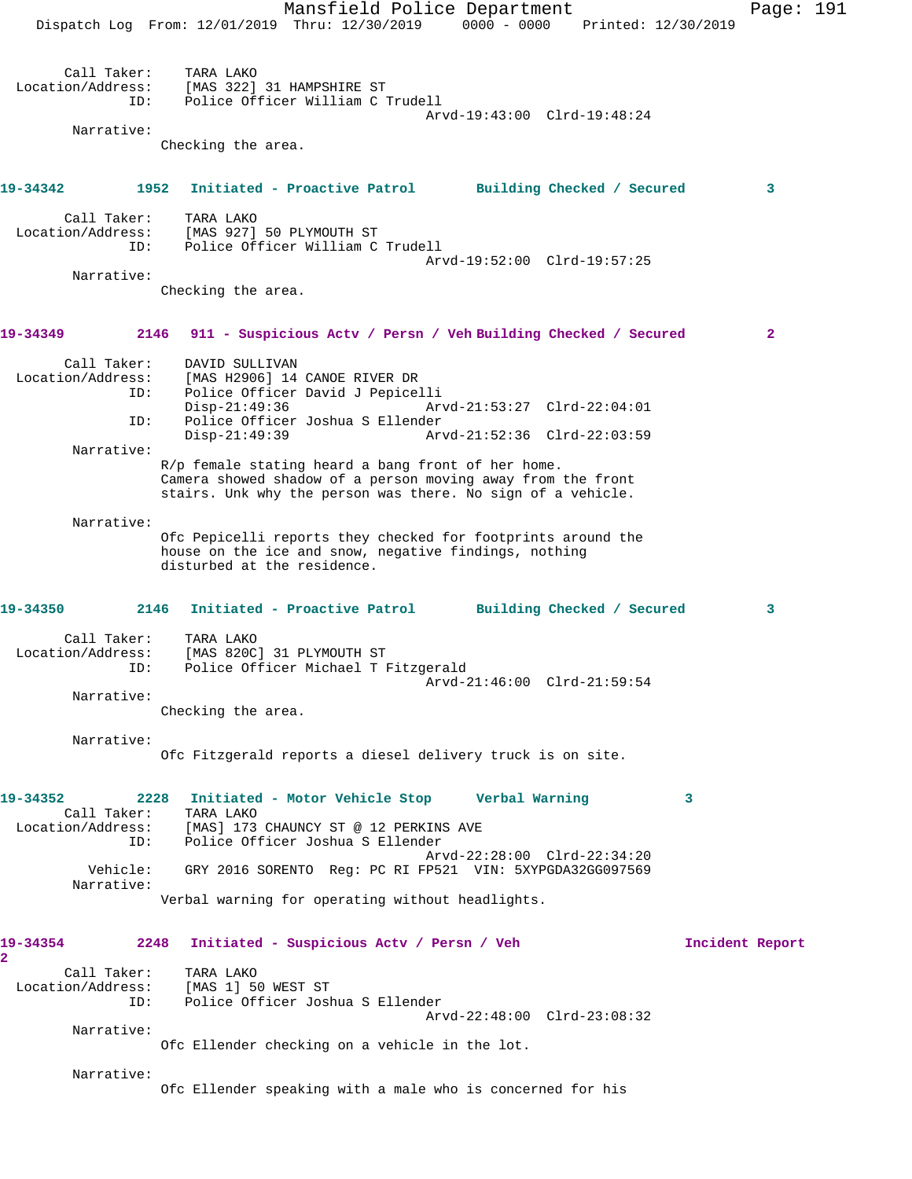|                |                                                | Mansfield Police Department<br>Dispatch Log From: 12/01/2019 Thru: 12/30/2019 0000 - 0000 Printed: 12/30/2019                                                                                                                      | Page: 191       |  |
|----------------|------------------------------------------------|------------------------------------------------------------------------------------------------------------------------------------------------------------------------------------------------------------------------------------|-----------------|--|
|                | Call Taker:<br>Location/Address:<br>ID:        | TARA LAKO<br>[MAS 322] 31 HAMPSHIRE ST<br>Police Officer William C Trudell<br>Arvd-19:43:00 Clrd-19:48:24                                                                                                                          |                 |  |
|                | Narrative:                                     | Checking the area.                                                                                                                                                                                                                 |                 |  |
| 19-34342       | 1952                                           | Initiated - Proactive Patrol<br>Building Checked / Secured                                                                                                                                                                         | 3               |  |
|                | Call Taker:<br>Location/Address:<br>ID:        | TARA LAKO<br>[MAS 927] 50 PLYMOUTH ST<br>Police Officer William C Trudell<br>Arvd-19:52:00 Clrd-19:57:25                                                                                                                           |                 |  |
|                | Narrative:                                     | Checking the area.                                                                                                                                                                                                                 |                 |  |
| 19-34349       | 2146                                           | 911 - Suspicious Actv / Persn / Veh Building Checked / Secured                                                                                                                                                                     | $\mathbf{2}$    |  |
|                | Call Taker:<br>Location/Address:<br>ID:<br>ID: | DAVID SULLIVAN<br>[MAS H2906] 14 CANOE RIVER DR<br>Police Officer David J Pepicelli<br>$Disp-21:49:36$<br>Arvd-21:53:27 Clrd-22:04:01<br>Police Officer Joshua S Ellender                                                          |                 |  |
|                | Narrative:                                     | $Disp-21:49:39$<br>Arvd-21:52:36 Clrd-22:03:59<br>R/p female stating heard a bang front of her home.<br>Camera showed shadow of a person moving away from the front<br>stairs. Unk why the person was there. No sign of a vehicle. |                 |  |
|                | Narrative:                                     | Ofc Pepicelli reports they checked for footprints around the<br>house on the ice and snow, negative findings, nothing<br>disturbed at the residence.                                                                               |                 |  |
| 19-34350       |                                                | 2146<br>Initiated - Proactive Patrol Building Checked / Secured                                                                                                                                                                    | 3               |  |
|                | Call Taker:<br>Location/Address:<br>ID:        | TARA LAKO<br>[MAS 820C] 31 PLYMOUTH ST<br>Police Officer Michael T Fitzgerald<br>Arvd-21:46:00 Clrd-21:59:54                                                                                                                       |                 |  |
|                | Narrative:                                     | Checking the area.                                                                                                                                                                                                                 |                 |  |
|                | Narrative:                                     | Ofc Fitzgerald reports a diesel delivery truck is on site.                                                                                                                                                                         |                 |  |
| 19-34352       | Call Taker:<br>Location/Address:<br>ID:        | 2228<br>Initiated - Motor Vehicle Stop Verbal Warning<br>3<br>TARA LAKO<br>[MAS] 173 CHAUNCY ST @ 12 PERKINS AVE<br>Police Officer Joshua S Ellender<br>Arvd-22:28:00 Clrd-22:34:20                                                |                 |  |
|                | Vehicle:<br>Narrative:                         | GRY 2016 SORENTO Req: PC RI FP521 VIN: 5XYPGDA32GG097569                                                                                                                                                                           |                 |  |
|                |                                                | Verbal warning for operating without headlights.                                                                                                                                                                                   |                 |  |
| 19-34354<br>2. | 2248                                           | Initiated - Suspicious Actv / Persn / Veh                                                                                                                                                                                          | Incident Report |  |
|                | Call Taker:<br>Location/Address:<br>ID:        | TARA LAKO<br>[MAS 1] 50 WEST ST<br>Police Officer Joshua S Ellender                                                                                                                                                                |                 |  |
|                | Narrative:                                     | Arvd-22:48:00 Clrd-23:08:32<br>Ofc Ellender checking on a vehicle in the lot.                                                                                                                                                      |                 |  |
|                | Narrative:                                     | Ofc Ellender speaking with a male who is concerned for his                                                                                                                                                                         |                 |  |
|                |                                                |                                                                                                                                                                                                                                    |                 |  |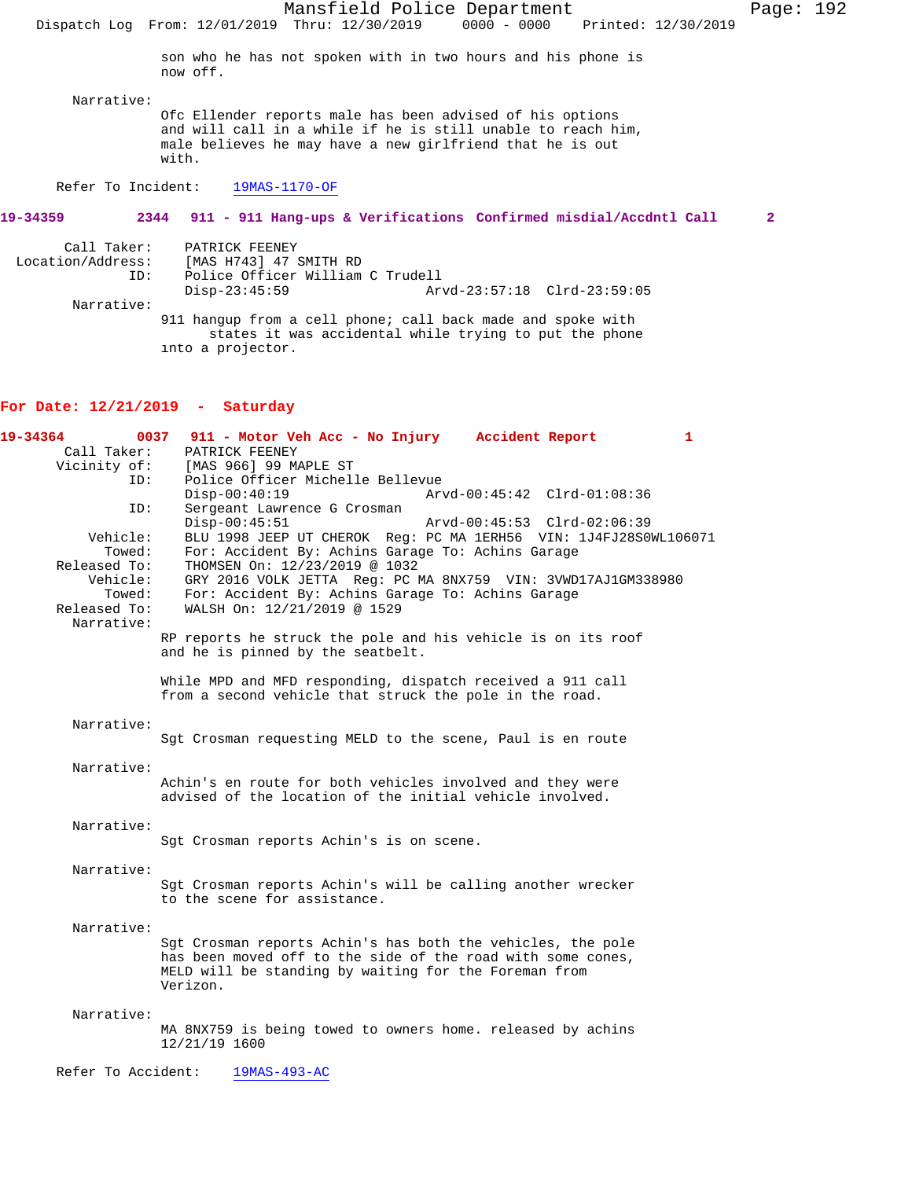Mansfield Police Department Page: 192 Dispatch Log From: 12/01/2019 Thru: 12/30/2019 son who he has not spoken with in two hours and his phone is now off. Narrative: Ofc Ellender reports male has been advised of his options and will call in a while if he is still unable to reach him, male believes he may have a new girlfriend that he is out with. Refer To Incident: 19MAS-1170-OF **19-34359 2344 911 - 911 Hang-ups & Verifications Confirmed misdial/Accdntl Call 2** Call Taker: PATRICK FEENEY Location/Address: [MAS H743] 47 SMITH RD Police Officer William C Trudell<br>Disp-23:45:59 Ar Disp-23:45:59 Arvd-23:57:18 Clrd-23:59:05 Narrative: 911 hangup from a cell phone; call back made and spoke with states it was accidental while trying to put the phone into a projector. **For Date: 12/21/2019 - Saturday 19-34364 0037 911 - Motor Veh Acc - No Injury Accident Report 1**  PATRICK FEENEY Vicinity of: [MAS 966] 99 MAPLE ST<br>ID: Police Officer Michell Police Officer Michelle Bellevue<br>Disp-00:40:19 Arv Disp-00:40:19 Arvd-00:45:42 Clrd-01:08:36 ID: Sergeant Lawrence G Crosman<br>Disp-00:45:51 Disp-00:45:51 Arvd-00:45:53 Clrd-02:06:39<br>Vehicle: BLU 1998 JEEP UT CHEROK Req: PC MA 1ERH56 VIN: 1J4FJ28S0 BLU 1998 JEEP UT CHEROK Reg: PC MA 1ERH56 VIN: 1J4FJ28S0WL106071 Towed: For: Accident By: Achins Garage To: Achins Garage Released To: THOMSEN On:  $12/23/2019 \text{ } \textcircled{\ } 1032$ THOMSEN On: 12/23/2019 @ 1032 Vehicle: GRY 2016 VOLK JETTA Reg: PC MA 8NX759 VIN: 3VWD17AJ1GM338980 Towed: For: Accident By: Achins Garage To: Achins Garage Released To: WALSH On:  $12/21/2019 \text{ } \textcircled{\ } 1529$ WALSH On: 12/21/2019 @ 1529 Narrative: RP reports he struck the pole and his vehicle is on its roof and he is pinned by the seatbelt. While MPD and MFD responding, dispatch received a 911 call from a second vehicle that struck the pole in the road. Narrative: Sgt Crosman requesting MELD to the scene, Paul is en route Narrative: Achin's en route for both vehicles involved and they were advised of the location of the initial vehicle involved. Narrative: Sgt Crosman reports Achin's is on scene. Narrative: Sgt Crosman reports Achin's will be calling another wrecker to the scene for assistance. Narrative: Sgt Crosman reports Achin's has both the vehicles, the pole has been moved off to the side of the road with some cones, MELD will be standing by waiting for the Foreman from Verizon. Narrative: MA 8NX759 is being towed to owners home. released by achins 12/21/19 1600

Refer To Accident: 19MAS-493-AC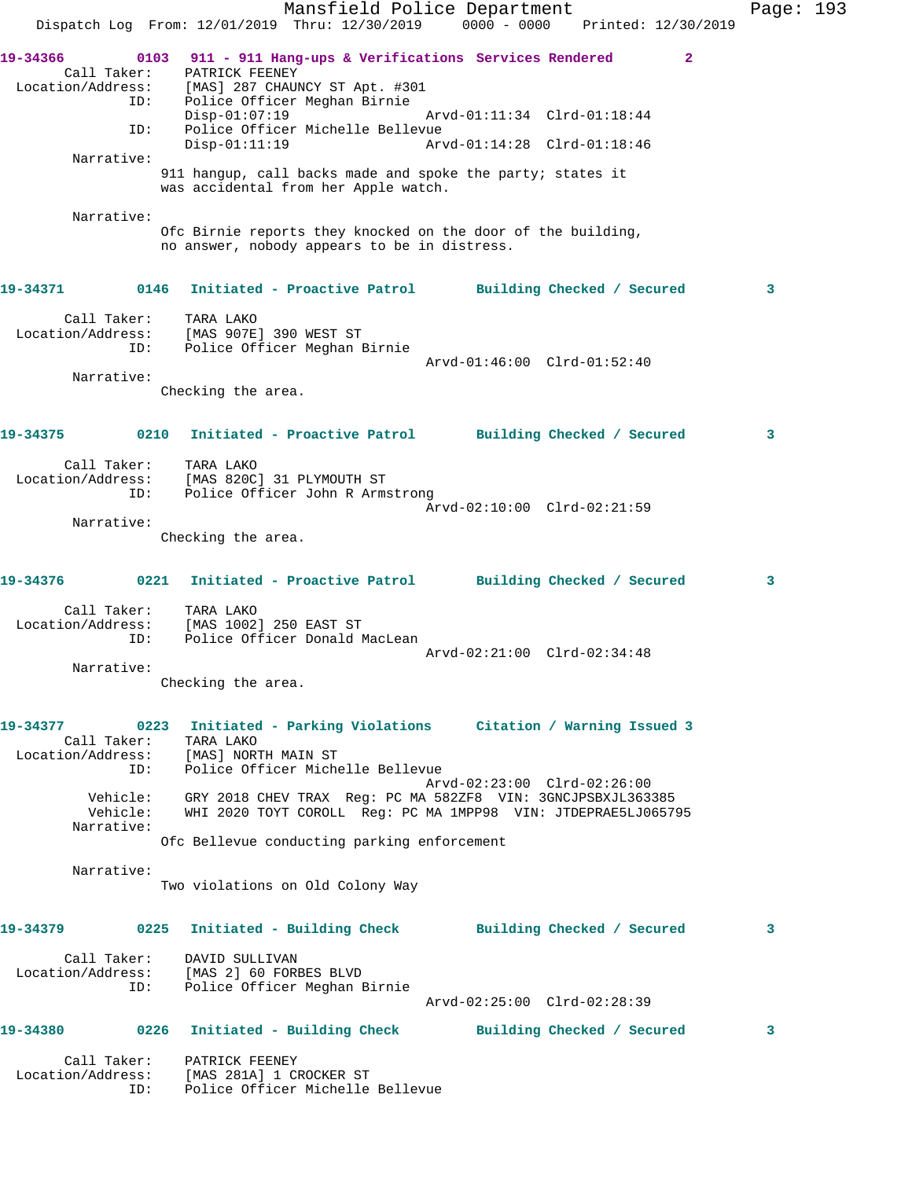| Dispatch Log From: 12/01/2019 Thru: 12/30/2019 0000 - 0000 Printed: 12/30/2019             |      |                                     | Mansfield Police Department                                                                                                           |                                                            |  |              | Page: 193 |  |
|--------------------------------------------------------------------------------------------|------|-------------------------------------|---------------------------------------------------------------------------------------------------------------------------------------|------------------------------------------------------------|--|--------------|-----------|--|
| 19-34366<br>Call Taker: PATRICK FEENEY<br>Location/Address: [MAS] 287 CHAUNCY ST Apt. #301 | ID:  |                                     | 0103 911 - 911 Hang-ups & Verifications Services Rendered<br>Police Officer Meghan Birnie                                             |                                                            |  | $\mathbf{2}$ |           |  |
| ID:                                                                                        |      | $Disp-01:07:19$<br>$Disp-01:11:19$  | Police Officer Michelle Bellevue                                                                                                      | Arvd-01:11:34 Clrd-01:18:44<br>Arvd-01:14:28 Clrd-01:18:46 |  |              |           |  |
| Narrative:                                                                                 |      |                                     |                                                                                                                                       |                                                            |  |              |           |  |
|                                                                                            |      |                                     | 911 hangup, call backs made and spoke the party; states it<br>was accidental from her Apple watch.                                    |                                                            |  |              |           |  |
| Narrative:                                                                                 |      |                                     | Ofc Birnie reports they knocked on the door of the building,<br>no answer, nobody appears to be in distress.                          |                                                            |  |              |           |  |
| 19-34371                                                                                   | 0146 |                                     | Initiated - Proactive Patrol Building Checked / Secured                                                                               |                                                            |  |              | 3         |  |
| Call Taker:<br>Location/Address:<br>ID:                                                    |      | TARA LAKO<br>[MAS 907E] 390 WEST ST | Police Officer Meghan Birnie                                                                                                          |                                                            |  |              |           |  |
| Narrative:                                                                                 |      |                                     |                                                                                                                                       | Arvd-01:46:00 Clrd-01:52:40                                |  |              |           |  |
|                                                                                            |      | Checking the area.                  |                                                                                                                                       |                                                            |  |              |           |  |
| 19-34375                                                                                   |      |                                     | 0210 Initiated - Proactive Patrol Building Checked / Secured                                                                          |                                                            |  |              | 3         |  |
| Call Taker:<br>Location/Address:<br>ID:                                                    |      | TARA LAKO                           | [MAS 820C] 31 PLYMOUTH ST<br>Police Officer John R Armstrong                                                                          |                                                            |  |              |           |  |
| Narrative:                                                                                 |      |                                     |                                                                                                                                       | Arvd-02:10:00 Clrd-02:21:59                                |  |              |           |  |
|                                                                                            |      | Checking the area.                  |                                                                                                                                       |                                                            |  |              |           |  |
| 19-34376                                                                                   |      |                                     | 0221 Initiated - Proactive Patrol Building Checked / Secured                                                                          |                                                            |  |              | 3         |  |
| Call Taker:<br>Location/Address:<br>ID:                                                    |      | TARA LAKO<br>[MAS 1002] 250 EAST ST | Police Officer Donald MacLean                                                                                                         | Arvd-02:21:00 Clrd-02:34:48                                |  |              |           |  |
| Narrative:                                                                                 |      |                                     |                                                                                                                                       |                                                            |  |              |           |  |
|                                                                                            |      | Checking the area.                  |                                                                                                                                       |                                                            |  |              |           |  |
| 19-34377<br>Call Taker: TARA LAKO<br>Location/Address: [MAS] NORTH MAIN ST                 | ID:  |                                     | 0223 Initiated - Parking Violations Citation / Warning Issued 3<br>Police Officer Michelle Bellevue                                   |                                                            |  |              |           |  |
| Vehicle:<br>Narrative:                                                                     |      |                                     | Vehicle: GRY 2018 CHEV TRAX Reg: PC MA 582ZF8 VIN: 3GNCJPSBXJL363385<br>WHI 2020 TOYT COROLL Reg: PC MA 1MPP98 VIN: JTDEPRAE5LJ065795 | Arvd-02:23:00 Clrd-02:26:00                                |  |              |           |  |
|                                                                                            |      |                                     | Ofc Bellevue conducting parking enforcement                                                                                           |                                                            |  |              |           |  |
| Narrative:                                                                                 |      |                                     | Two violations on Old Colony Way                                                                                                      |                                                            |  |              |           |  |
| 19-34379                                                                                   |      |                                     | 0225 Initiated - Building Check Building Checked / Secured                                                                            |                                                            |  |              | 3         |  |
| Location/Address: [MAS 2] 60 FORBES BLVD                                                   | ID:  | Call Taker: DAVID SULLIVAN          | Police Officer Meghan Birnie                                                                                                          | Arvd-02:25:00 Clrd-02:28:39                                |  |              |           |  |
| 19-34380                                                                                   | 0226 |                                     | Initiated - Building Check Building Checked / Secured                                                                                 |                                                            |  |              | 3         |  |
|                                                                                            |      |                                     |                                                                                                                                       |                                                            |  |              |           |  |
| Location/Address: [MAS 281A] 1 CROCKER ST<br>ID:                                           |      | Call Taker: PATRICK FEENEY          | Police Officer Michelle Bellevue                                                                                                      |                                                            |  |              |           |  |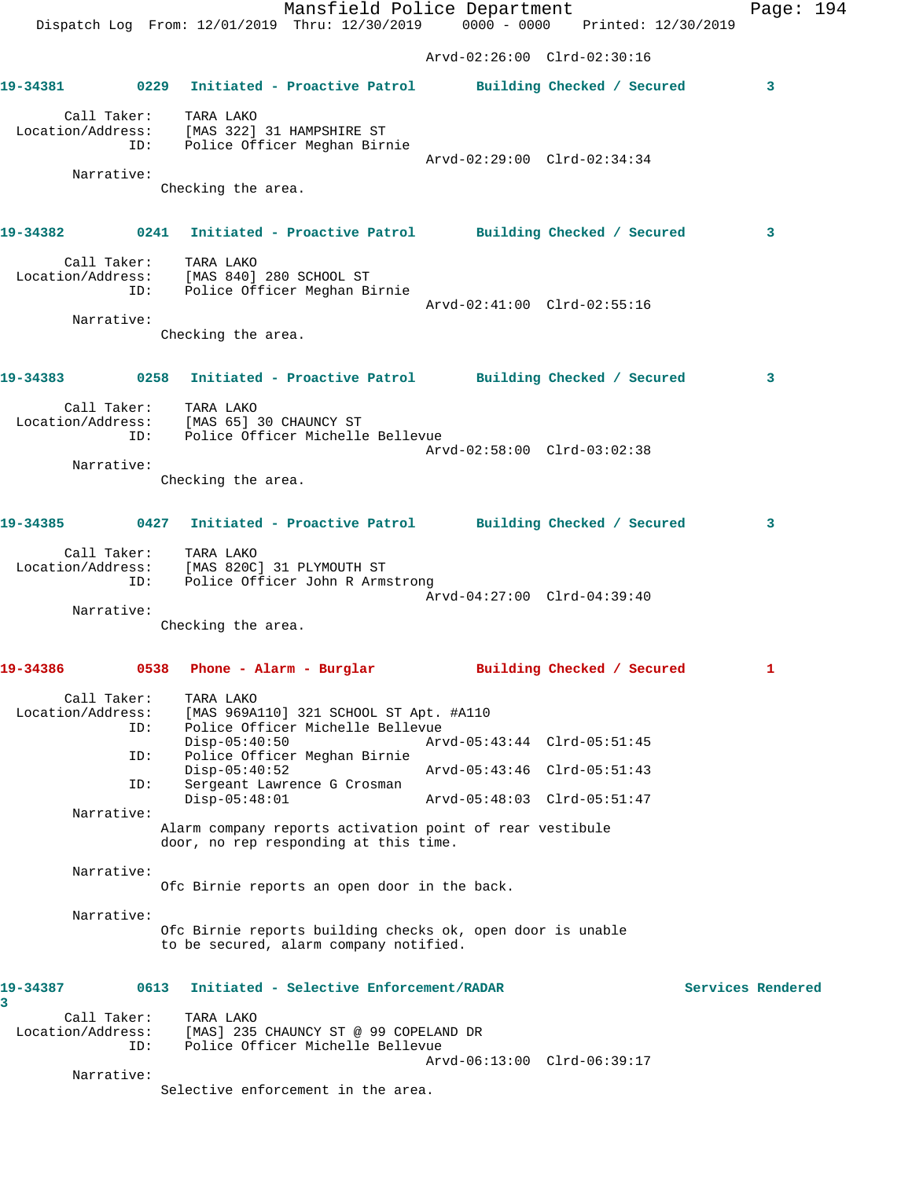Mansfield Police Department Page: 194 Dispatch Log From: 12/01/2019 Thru: 12/30/2019 0000 - 0000 Printed: 12/30/2019 Arvd-02:26:00 Clrd-02:30:16 **19-34381 0229 Initiated - Proactive Patrol Building Checked / Secured 3** Call Taker: TARA LAKO Location/Address: [MAS 322] 31 HAMPSHIRE ST ID: Police Officer Meghan Birnie Arvd-02:29:00 Clrd-02:34:34 Narrative: Checking the area. **19-34382 0241 Initiated - Proactive Patrol Building Checked / Secured 3** Call Taker: TARA LAKO Location/Address: [MAS 840] 280 SCHOOL ST ID: Police Officer Meghan Birnie Arvd-02:41:00 Clrd-02:55:16 Narrative: Checking the area. **19-34383 0258 Initiated - Proactive Patrol Building Checked / Secured 3** Call Taker: TARA LAKO Location/Address: [MAS 65] 30 CHAUNCY ST ID: Police Officer Michelle Bellevue Arvd-02:58:00 Clrd-03:02:38 Narrative: Checking the area. **19-34385 0427 Initiated - Proactive Patrol Building Checked / Secured 3** Call Taker: TARA LAKO Location/Address: [MAS 820C] 31 PLYMOUTH ST ID: Police Officer John R Armstrong Arvd-04:27:00 Clrd-04:39:40 Narrative: Checking the area. **19-34386 0538 Phone - Alarm - Burglar Building Checked / Secured 1** Call Taker: TARA LAKO Location/Address: [MAS 969A110] 321 SCHOOL ST Apt. #A110 ID: Police Officer Michelle Bellevue Disp-05:40:50 Arvd-05:43:44 Clrd-05:51:45 ID: Police Officer Meghan Birnie Disp-05:40:52 Arvd-05:43:46 Clrd-05:51:43<br>ID: Sergeant Lawrence G Crosman Sergeant Lawrence G Crosman<br>Disp-05:48:01 Disp-05:48:01 Arvd-05:48:03 Clrd-05:51:47 Narrative: Alarm company reports activation point of rear vestibule door, no rep responding at this time. Narrative: Ofc Birnie reports an open door in the back. Narrative: Ofc Birnie reports building checks ok, open door is unable to be secured, alarm company notified. **19-34387 0613 Initiated - Selective Enforcement/RADAR Services Rendered 3**  Call Taker: TARA LAKO Location/Address: [MAS] 235 CHAUNCY ST @ 99 COPELAND DR ID: Police Officer Michelle Bellevue Arvd-06:13:00 Clrd-06:39:17 Narrative: Selective enforcement in the area.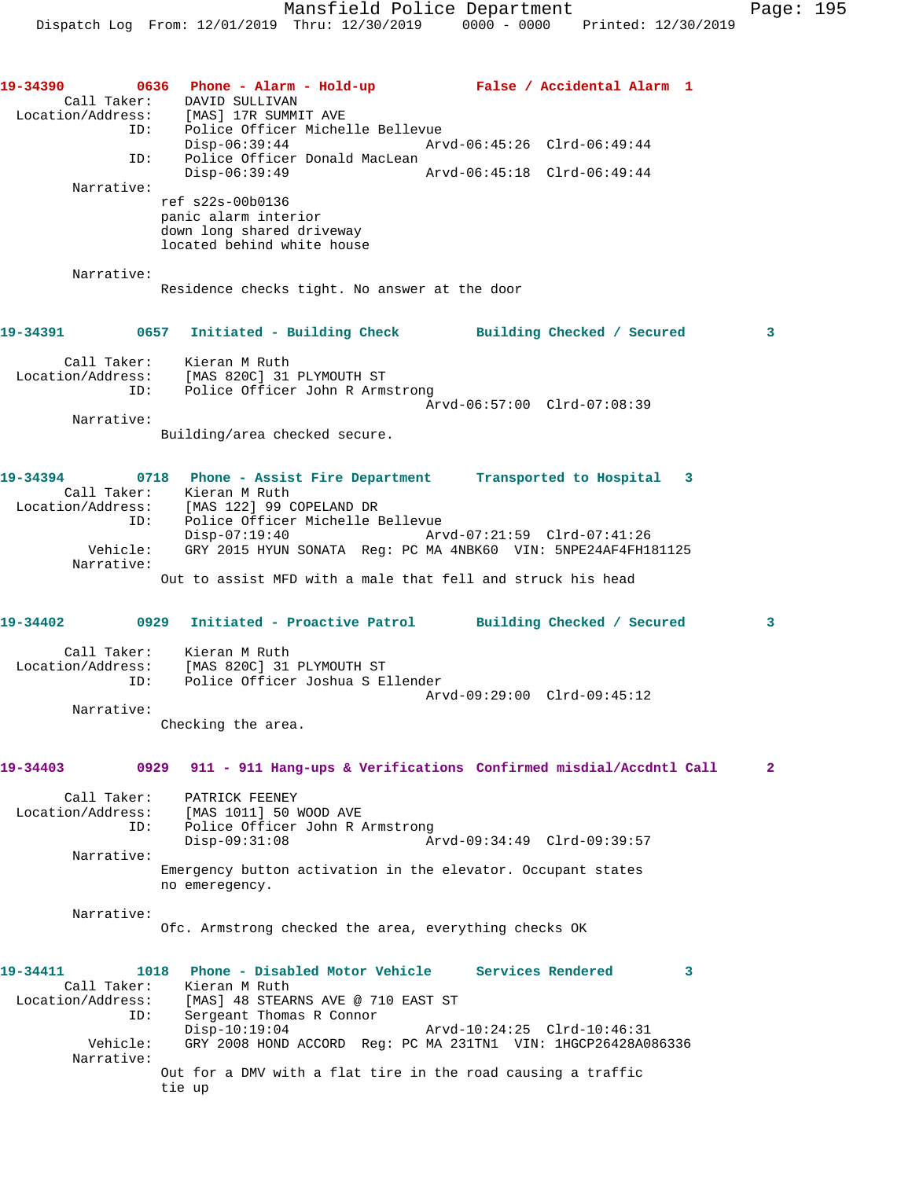| 19-34390<br>ID:<br>ID:                                          | 0636 Phone - Alarm - Hold-up - False / Accidental Alarm 1<br>Call Taker: DAVID SULLIVAN<br>Location/Address: [MAS] 17R SUMMIT AVE<br>Police Officer Michelle Bellevue<br>$Disp-06:39:44$<br>Arvd-06:45:26 Clrd-06:49:44<br>Police Officer Donald MacLean<br>$Disp-06:39:49$<br>Arvd-06:45:18 Clrd-06:49:44                                                   |                |
|-----------------------------------------------------------------|--------------------------------------------------------------------------------------------------------------------------------------------------------------------------------------------------------------------------------------------------------------------------------------------------------------------------------------------------------------|----------------|
| Narrative:                                                      | ref s22s-00b0136<br>panic alarm interior<br>down long shared driveway<br>located behind white house                                                                                                                                                                                                                                                          |                |
| Narrative:                                                      | Residence checks tight. No answer at the door                                                                                                                                                                                                                                                                                                                |                |
| 19-34391 2001                                                   | 0657 Initiated - Building Check Building Checked / Secured                                                                                                                                                                                                                                                                                                   | 3              |
|                                                                 | Call Taker: Kieran M Ruth<br>Location/Address: [MAS 820C] 31 PLYMOUTH ST<br>ID: Police Officer John R Armstrong<br>Arvd-06:57:00 Clrd-07:08:39                                                                                                                                                                                                               |                |
| Narrative:                                                      | Building/area checked secure.                                                                                                                                                                                                                                                                                                                                |                |
| 19-34394<br>ID:<br>Vehicle:<br>Narrative:                       | 0718 Phone - Assist Fire Department Transported to Hospital<br>3<br>Call Taker: Kieran M Ruth<br>Location/Address: [MAS 122] 99 COPELAND DR<br>Police Officer Michelle Bellevue<br>Disp-07:19:40 Arvd-07:21:59 Clrd-07:41:26<br>GRY 2015 HYUN SONATA Req: PC MA 4NBK60 VIN: 5NPE24AF4FH181125<br>Out to assist MFD with a male that fell and struck his head |                |
|                                                                 | 19-34402 		 0929 Initiated - Proactive Patrol 		 Building Checked / Secured                                                                                                                                                                                                                                                                                  | 3              |
| ID:                                                             | Call Taker: Kieran M Ruth<br>Location/Address: [MAS 820C] 31 PLYMOUTH ST<br>Police Officer Joshua S Ellender<br>Arvd-09:29:00 Clrd-09:45:12                                                                                                                                                                                                                  |                |
| Narrative:                                                      | Checking the area.                                                                                                                                                                                                                                                                                                                                           |                |
| 19-34403                                                        | 0929 911 - 911 Hang-ups & Verifications Confirmed misdial/Accdntl Call                                                                                                                                                                                                                                                                                       | $\overline{2}$ |
| Call Taker:<br>Location/Address:<br>ID:<br>Narrative:           | PATRICK FEENEY<br>[MAS 1011] 50 WOOD AVE<br>Police Officer John R Armstrong<br>$Disp-09:31:08$<br>Arvd-09:34:49 Clrd-09:39:57                                                                                                                                                                                                                                |                |
|                                                                 | Emergency button activation in the elevator. Occupant states<br>no emeregency.                                                                                                                                                                                                                                                                               |                |
| Narrative:                                                      | Ofc. Armstrong checked the area, everything checks OK                                                                                                                                                                                                                                                                                                        |                |
| 19-34411<br>Call Taker:<br>Location/Address:<br>ID:<br>Vehicle: | 1018 Phone - Disabled Motor Vehicle Services Rendered<br>3<br>Kieran M Ruth<br>[MAS] 48 STEARNS AVE @ 710 EAST ST<br>Sergeant Thomas R Connor<br>$Disp-10:19:04$<br>Arvd-10:24:25 Clrd-10:46:31<br>GRY 2008 HOND ACCORD Req: PC MA 231TN1 VIN: 1HGCP26428A086336                                                                                             |                |
| Narrative:                                                      | Out for a DMV with a flat tire in the road causing a traffic<br>tie up                                                                                                                                                                                                                                                                                       |                |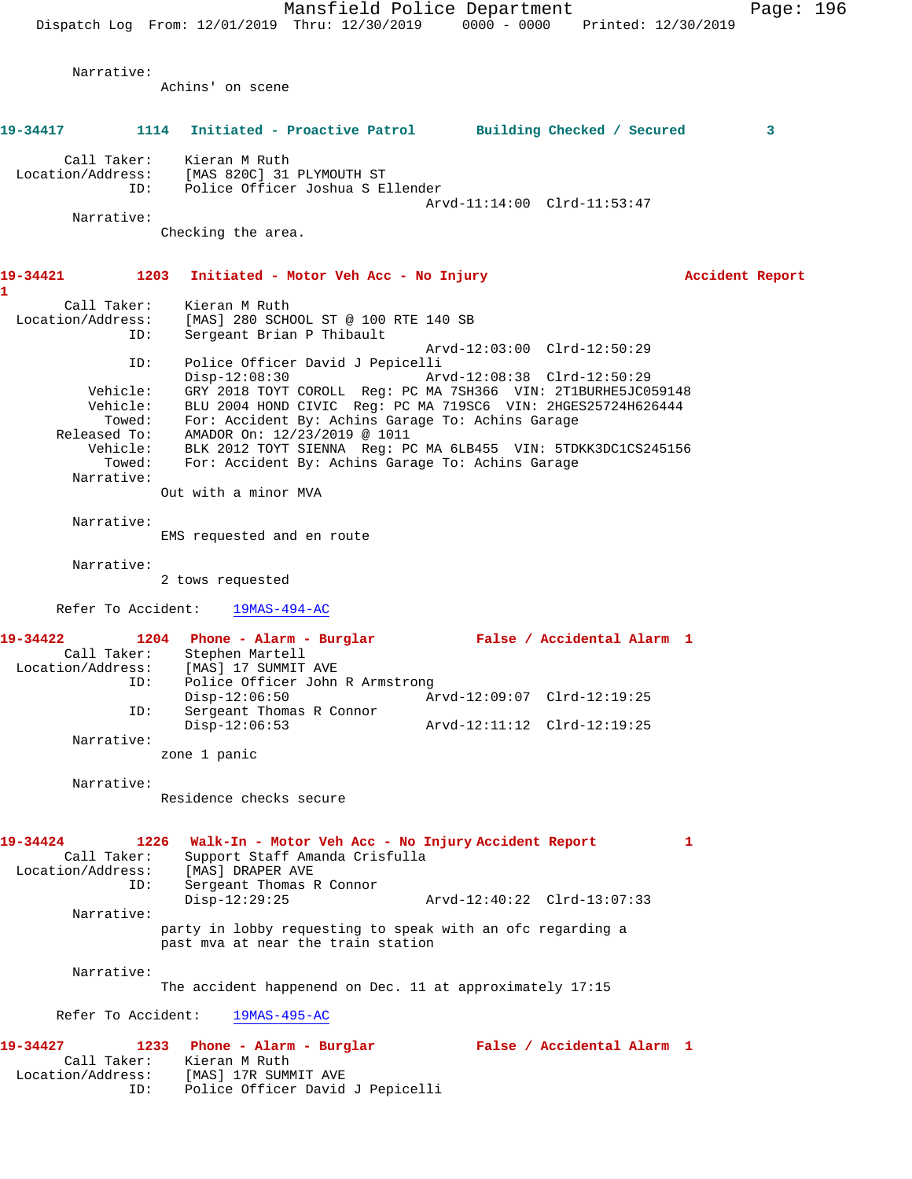Mansfield Police Department Page: 196 Dispatch Log From: 12/01/2019 Thru: 12/30/2019 0000 - 0000 Printed: 12/30/2019 Narrative: Achins' on scene **19-34417 1114 Initiated - Proactive Patrol Building Checked / Secured 3** Call Taker: Kieran M Ruth Location/Address: [MAS 820C] 31 PLYMOUTH ST<br>TD: Police Officer Joshua S E Police Officer Joshua S Ellender Arvd-11:14:00 Clrd-11:53:47 Narrative: Checking the area. **19-34421 1203 Initiated - Motor Veh Acc - No Injury Accident Report 1**  Call Taker: Kieran M Ruth Location/Address: [MAS] 280 SCHOOL ST @ 100 RTE 140 SB ID: Sergeant Brian P Thibault Arvd-12:03:00 Clrd-12:50:29 ID: Police Officer David J Pepicelli Disp-12:08:30 Arvd-12:08:38 Clrd-12:50:29 Vehicle: GRY 2018 TOYT COROLL Reg: PC MA 7SH366 VIN: 2T1BURHE5JC059148 Vehicle: BLU 2004 HOND CIVIC Reg: PC MA 719SC6 VIN: 2HGES25724H626444 Towed: For: Accident By: Achins Garage To: Achins Garage Released To: AMADOR On: 12/23/2019 @ 1011 Vehicle: BLK 2012 TOYT SIENNA Reg: PC MA 6LB455 VIN: 5TDKK3DC1CS245156 Towed: For: Accident By: Achins Garage To: Achins Garage Narrative: Out with a minor MVA Narrative: EMS requested and en route Narrative: 2 tows requested Refer To Accident: 19MAS-494-AC **19-34422 1204 Phone - Alarm - Burglar False / Accidental Alarm 1**  Call Taker: Stephen Martell<br>Location/Address: [MAS] 17 SUMMIT [MAS] 17 SUMMIT AVE ID: Police Officer John R Armstrong<br>Disp-12:06:50 Ar Disp-12:06:50 Arvd-12:09:07 Clrd-12:19:25 ID:  $S = \begin{bmatrix} 1 & 1 & 1 \\ 1 & 1 & 1 \\ 1 & 1 & 1 \end{bmatrix}$ <br>Display 12:06:53 Disp-12:06:53 Arvd-12:11:12 Clrd-12:19:25 Narrative: zone 1 panic Narrative: Residence checks secure **19-34424 1226 Walk-In - Motor Veh Acc - No Injury Accident Report 1**  Call Taker: Support Staff Amanda Crisfulla Location/Address: [MAS] DRAPER AVE ID: Sergeant Thomas R Connor Disp-12:29:25 Arvd-12:40:22 Clrd-13:07:33 Narrative: party in lobby requesting to speak with an ofc regarding a past mva at near the train station Narrative: The accident happenend on Dec. 11 at approximately 17:15 Refer To Accident: 19MAS-495-AC **19-34427 1233 Phone - Alarm - Burglar False / Accidental Alarm 1**  Call Taker: Kieran M Ruth Location/Address: [MAS] 17R SUMMIT AVE ID: Police Officer David J Pepicelli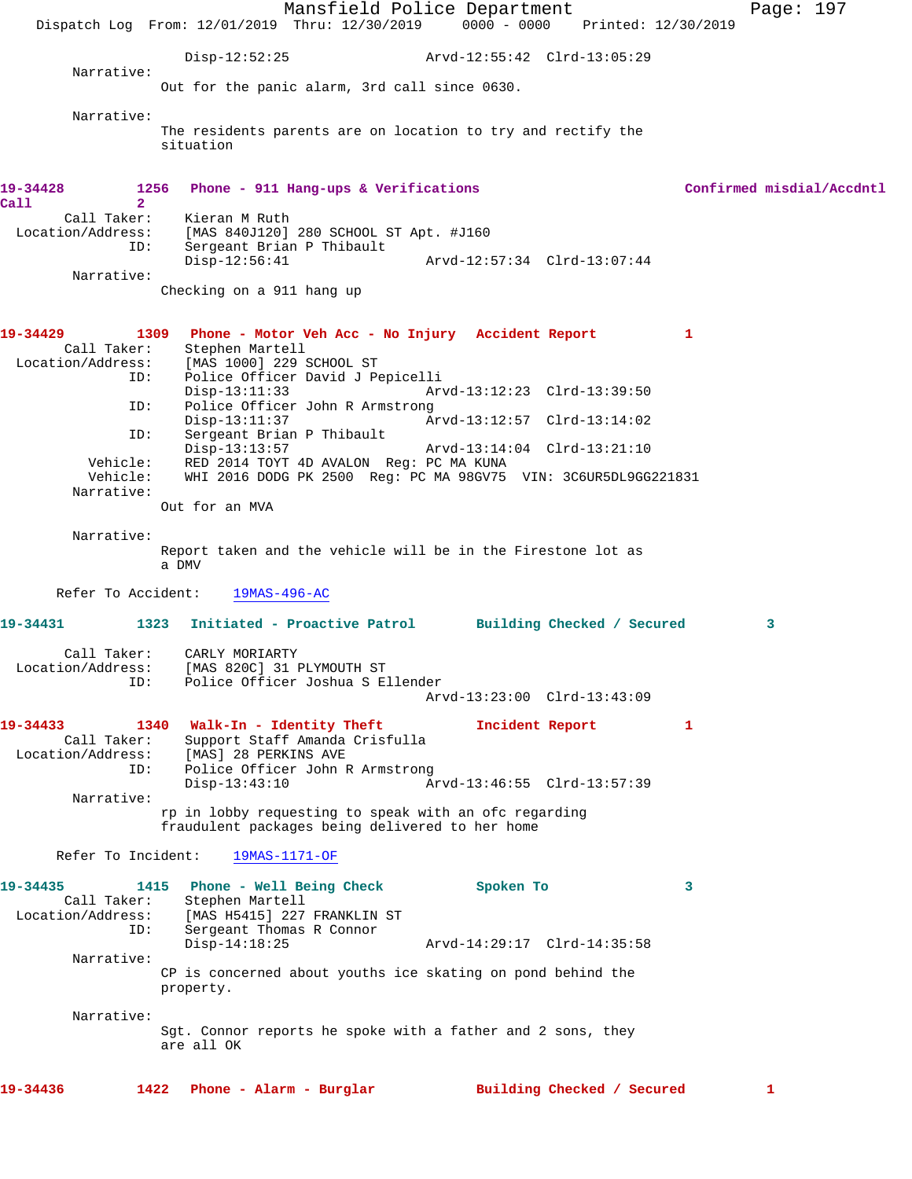Mansfield Police Department Page: 197 Dispatch Log From: 12/01/2019 Thru: 12/30/2019 0000 - 0000 Printed: 12/30/2019 Disp-12:52:25 Arvd-12:55:42 Clrd-13:05:29 Narrative: Out for the panic alarm, 3rd call since 0630. Narrative: The residents parents are on location to try and rectify the situation **19-34428 1256 Phone - 911 Hang-ups & Verifications Confirmed misdial/Accdntl Call 2**  Call Taker: Kieran M Ruth Location/Address: [MAS 840J120] 280 SCHOOL ST Apt. #J160 ID: Sergeant Brian P Thibault Disp-12:56:41 Arvd-12:57:34 Clrd-13:07:44 Narrative: Checking on a 911 hang up **19-34429 1309 Phone - Motor Veh Acc - No Injury Accident Report 1**  Call Taker: Stephen Martell Location/Address: [MAS 1000] 229 SCHOOL ST<br>ID: Police Officer David J Pe Police Officer David J Pepicelli<br>Disp-13:11:33 Arv Disp-13:11:33 Arvd-13:12:23 Clrd-13:39:50 ID: Police Officer John R Armstrong<br>Disp-13:11:37 Ar Disp-13:11:37 Arvd-13:12:57 Clrd-13:14:02 ID: Sergeant Brian P Thibault<br>Disp-13:13:57 Disp-13:13:57 Arvd-13:14:04 Clrd-13:21:10 Vehicle: RED 2014 TOYT 4D AVALON Reg: PC MA KUNA WHI 2016 DODG PK 2500 Reg: PC MA 98GV75 VIN: 3C6UR5DL9GG221831 Narrative: Out for an MVA Narrative: Report taken and the vehicle will be in the Firestone lot as a DMV Refer To Accident: 19MAS-496-AC **19-34431 1323 Initiated - Proactive Patrol Building Checked / Secured 3** Call Taker: CARLY MORIARTY Location/Address: [MAS 820C] 31 PLYMOUTH ST ID: Police Officer Joshua S Ellender Arvd-13:23:00 Clrd-13:43:09 **19-34433 1340 Walk-In - Identity Theft Incident Report 1**  Call Taker: Support Staff Amanda Crisfulla Location/Address: [MAS] 28 PERKINS AVE ID: Police Officer John R Armstrong Disp-13:43:10 Arvd-13:46:55 Clrd-13:57:39 Narrative: rp in lobby requesting to speak with an ofc regarding fraudulent packages being delivered to her home Refer To Incident: 19MAS-1171-OF **19-34435 1415 Phone - Well Being Check Spoken To 3**  Call Taker: Stephen Martell<br>Location/Address: [MAS H5415] 227 [MAS H5415] 227 FRANKLIN ST ID: Sergeant Thomas R Connor Disp-14:18:25 Arvd-14:29:17 Clrd-14:35:58 Narrative: CP is concerned about youths ice skating on pond behind the property. Narrative: Sgt. Connor reports he spoke with a father and 2 sons, they are all OK **19-34436 1422 Phone - Alarm - Burglar Building Checked / Secured 1**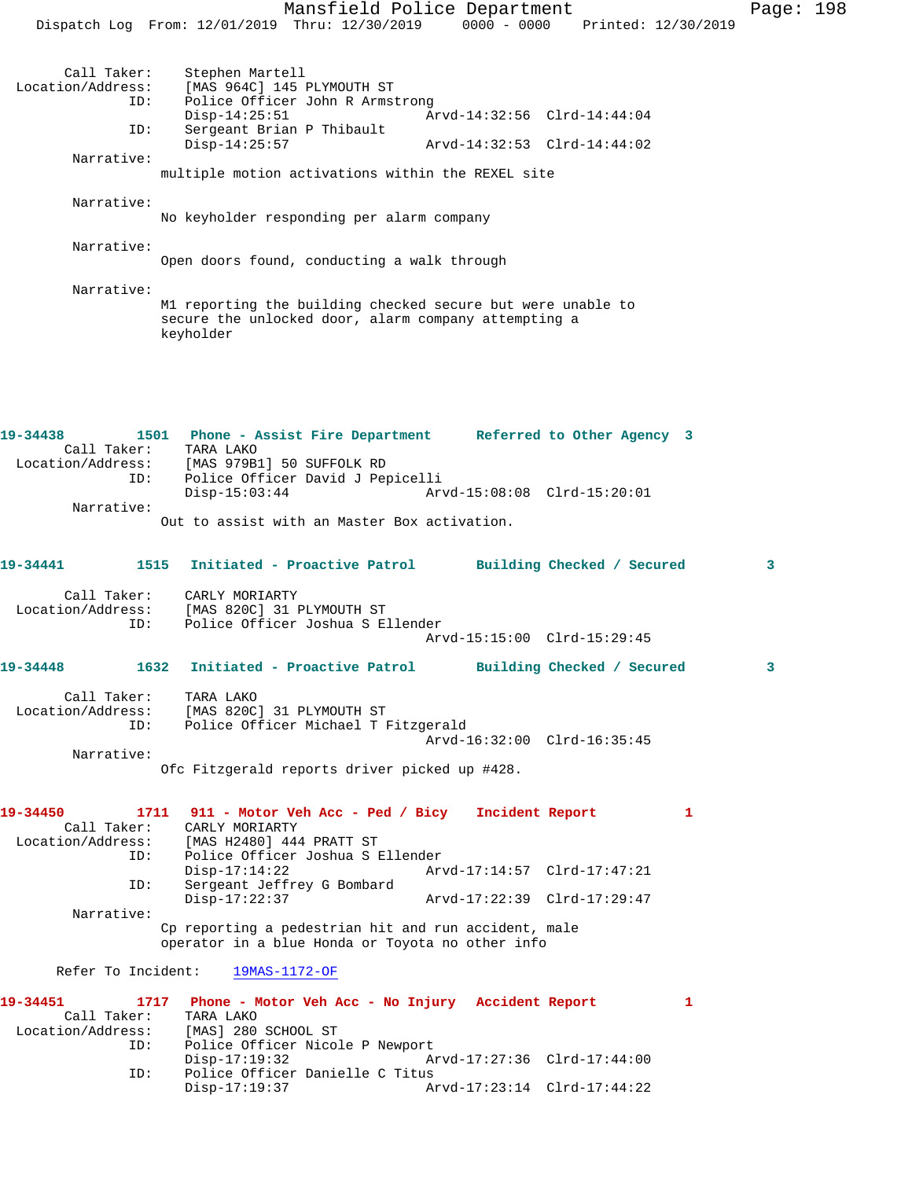Mansfield Police Department Page: 198 Dispatch Log From: 12/01/2019 Thru: 12/30/2019 0000 - 0000 Printed: 12/30/2019 Call Taker: Stephen Martell<br>Location/Address: [MAS 964C] 145 ess: [MAS 964C] 145 PLYMOUTH ST<br>ID: Police Officer John R Armst Police Officer John R Armstrong Disp-14:25:51 Arvd-14:32:56 Clrd-14:44:04<br>TD: Sergeant Brian P Thibault Sergeant Brian P Thibault<br>Disp-14:25:57 Disp-14:25:57 Arvd-14:32:53 Clrd-14:44:02 Narrative: multiple motion activations within the REXEL site Narrative: No keyholder responding per alarm company Narrative: Open doors found, conducting a walk through Narrative: M1 reporting the building checked secure but were unable to secure the unlocked door, alarm company attempting a keyholder **19-34438 1501 Phone - Assist Fire Department Referred to Other Agency 3**  Call Taker: TARA LAKO Location/Address: [MAS 979B1] 50 SUFFOLK RD ID: Police Officer David J Pepicelli Disp-15:03:44 Arvd-15:08:08 Clrd-15:20:01 Narrative: Out to assist with an Master Box activation. **19-34441 1515 Initiated - Proactive Patrol Building Checked / Secured 3** Call Taker: CARLY MORIARTY Location/Address: [MAS 820C] 31 PLYMOUTH ST ID: Police Officer Joshua S Ellender Arvd-15:15:00 Clrd-15:29:45 **19-34448 1632 Initiated - Proactive Patrol Building Checked / Secured 3** Call Taker: TARA LAKO Location/Address: [MAS 820C] 31 PLYMOUTH ST ID: Police Officer Michael T Fitzgerald Arvd-16:32:00 Clrd-16:35:45 Narrative: Ofc Fitzgerald reports driver picked up #428. **19-34450 1711 911 - Motor Veh Acc - Ped / Bicy Incident Report 1**  Call Taker: CARLY MORIARTY<br>Location/Address: [MAS H2480] 444 ess: [MAS H2480] 444 PRATT ST:<br>ID: Police Officer Joshua ST Police Officer Joshua S Ellender Disp-17:14:22 Arvd-17:14:57 Clrd-17:47:21<br>ID: Sergeant Jeffrey G Bombard Sergeant Jeffrey G Bombard<br>Disp-17:22:37 Disp-17:22:37 Arvd-17:22:39 Clrd-17:29:47 Narrative: Cp reporting a pedestrian hit and run accident, male operator in a blue Honda or Toyota no other info Refer To Incident: 19MAS-1172-OF **19-34451 1717 Phone - Motor Veh Acc - No Injury Accident Report 1**  Call Taker: TARA LAKO<br>Location/Address: [MAS] 280 ess: [MAS] 280 SCHOOL ST<br>ID: Police Officer Nicol Police Officer Nicole P Newport Disp-17:19:32 Arvd-17:27:36 Clrd-17:44:00 ID: Police Officer Danielle C Titus Disp-17:19:37 Arvd-17:23:14 Clrd-17:44:22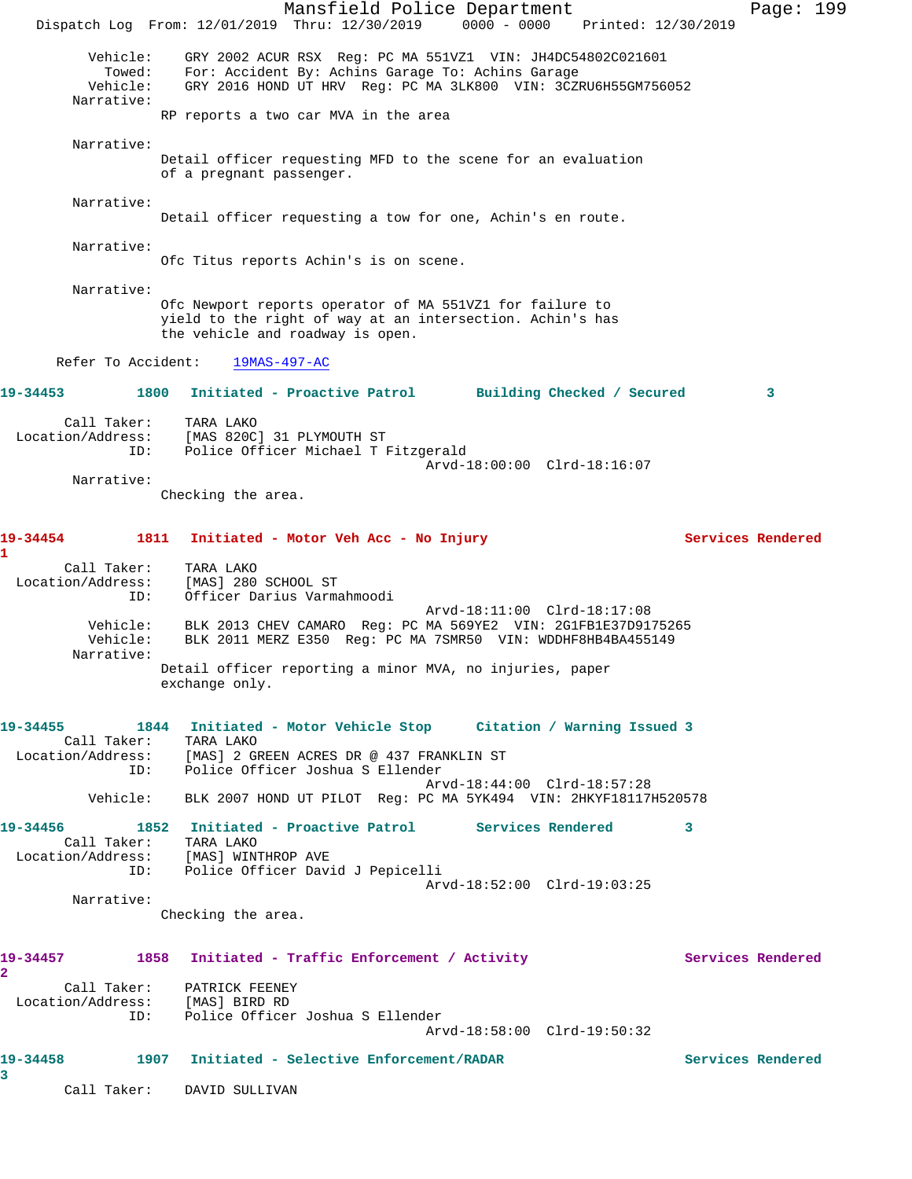Mansfield Police Department Page: 199 Dispatch Log From: 12/01/2019 Thru: 12/30/2019 0000 - 0000 Printed: 12/30/2019 Vehicle: GRY 2002 ACUR RSX Reg: PC MA 551VZ1 VIN: JH4DC54802C021601 Towed: For: Accident By: Achins Garage To: Achins Garage Vehicle: GRY 2016 HOND UT HRV Reg: PC MA 3LK800 VIN: 3CZRU6H55GM756052 Narrative: RP reports a two car MVA in the area Narrative: Detail officer requesting MFD to the scene for an evaluation of a pregnant passenger. Narrative: Detail officer requesting a tow for one, Achin's en route. Narrative: Ofc Titus reports Achin's is on scene. Narrative: Ofc Newport reports operator of MA 551VZ1 for failure to yield to the right of way at an intersection. Achin's has the vehicle and roadway is open. Refer To Accident: 19MAS-497-AC **19-34453 1800 Initiated - Proactive Patrol Building Checked / Secured 3** Call Taker: TARA LAKO Location/Address: [MAS 820C] 31 PLYMOUTH ST ID: Police Officer Michael T Fitzgerald Arvd-18:00:00 Clrd-18:16:07 Narrative: Checking the area. **19-34454 1811 Initiated - Motor Veh Acc - No Injury Services Rendered 1**  Call Taker: TARA LAKO Location/Address: [MAS] 280 SCHOOL ST ID: Officer Darius Varmahmoodi Arvd-18:11:00 Clrd-18:17:08 Vehicle: BLK 2013 CHEV CAMARO Reg: PC MA 569YE2 VIN: 2G1FB1E37D9175265 Vehicle: BLK 2011 MERZ E350 Reg: PC MA 7SMR50 VIN: WDDHF8HB4BA455149 Narrative: Detail officer reporting a minor MVA, no injuries, paper exchange only. **19-34455 1844 Initiated - Motor Vehicle Stop Citation / Warning Issued 3**  Call Taker: TARA LAKO Location/Address: [MAS] 2 GREEN ACRES DR @ 437 FRANKLIN ST ID: Police Officer Joshua S Ellender Arvd-18:44:00 Clrd-18:57:28 Vehicle: BLK 2007 HOND UT PILOT Reg: PC MA 5YK494 VIN: 2HKYF18117H520578 **19-34456 1852 Initiated - Proactive Patrol Services Rendered 3**  Call Taker: TARA LAKO Location/Address: [MAS] WINTHROP AVE ID: Police Officer David J Pepicelli Arvd-18:52:00 Clrd-19:03:25 Narrative: Checking the area. 19-34457 1858 Initiated - Traffic Enforcement / Activity **Services Rendered 2**  Call Taker: PATRICK FEENEY Location/Address: [MAS] BIRD RD ID: Police Officer Joshua S Ellender Arvd-18:58:00 Clrd-19:50:32 **19-34458 1907 Initiated - Selective Enforcement/RADAR Services Rendered 3**  Call Taker: DAVID SULLIVAN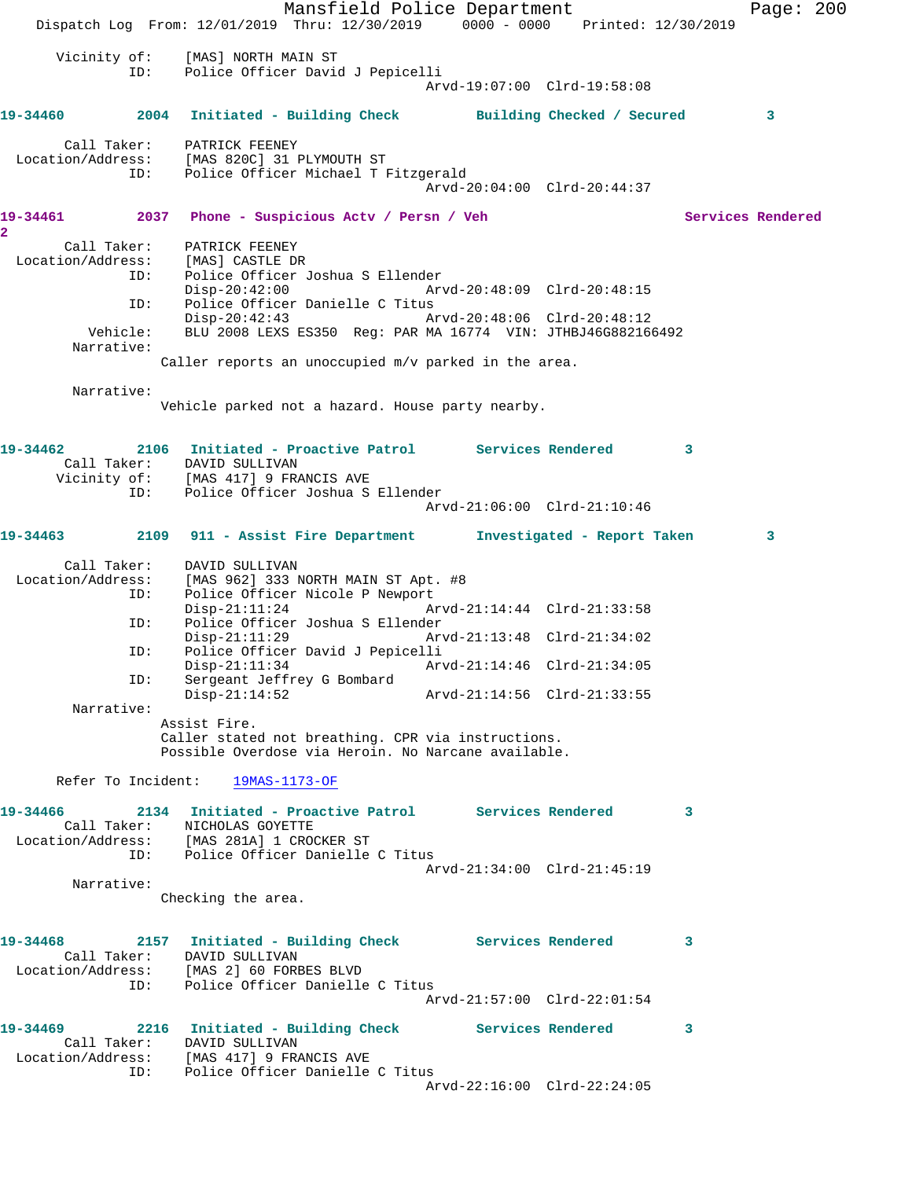Mansfield Police Department Page: 200 Dispatch Log From: 12/01/2019 Thru: 12/30/2019 0000 - 0000 Printed: 12/30/2019 Vicinity of: [MAS] NORTH MAIN ST ID: Police Officer David J Pepicelli Arvd-19:07:00 Clrd-19:58:08 **19-34460 2004 Initiated - Building Check Building Checked / Secured 3** Call Taker: PATRICK FEENEY Location/Address: [MAS 820C] 31 PLYMOUTH ST ID: Police Officer Michael T Fitzgerald Arvd-20:04:00 Clrd-20:44:37 **19-34461 2037 Phone - Suspicious Actv / Persn / Veh Services Rendered 2**  Call Taker: PATRICK FEENEY Location/Address: [MAS] CASTLE DR<br>ID: Police Officer Police Officer Joshua S Ellender Disp-20:42:00 Arvd-20:48:09 Clrd-20:48:15 ID: Police Officer Danielle C Titus<br>Disp-20:42:43 Am Disp-20:42:43 Arvd-20:48:06 Clrd-20:48:12 Vehicle: BLU 2008 LEXS ES350 Reg: PAR MA 16774 VIN: JTHBJ46G882166492 Narrative: Caller reports an unoccupied m/v parked in the area. Narrative: Vehicle parked not a hazard. House party nearby. **19-34462 2106 Initiated - Proactive Patrol Services Rendered 3**  Call Taker: DAVID SULLIVAN Vicinity of: [MAS 417] 9 FRANCIS AVE ID: Police Officer Joshua S Ellender Arvd-21:06:00 Clrd-21:10:46 **19-34463 2109 911 - Assist Fire Department Investigated - Report Taken 3** Call Taker: DAVID SULLIVAN Location/Address: [MAS 962] 333 NORTH MAIN ST Apt. #8 ESS. The Solice Officer Nicole P Newport<br>ID: Police Officer Nicole P Newport<br>Disp-21:11:24 Ar Arvd-21:14:44 Clrd-21:33:58 ID: Police Officer Joshua S Ellender Disp-21:11:29 Arvd-21:13:48 Clrd-21:34:02 ID: Police Officer David J Pepicelli Disp-21:11:34 Arvd-21:14:46 Clrd-21:34:05 ID: Sergeant Jeffrey G Bombard Arvd-21:14:56 Clrd-21:33:55 Narrative: Assist Fire. Caller stated not breathing. CPR via instructions. Possible Overdose via Heroin. No Narcane available. Refer To Incident: 19MAS-1173-OF **19-34466 2134 Initiated - Proactive Patrol Services Rendered 3**  Call Taker: NICHOLAS GOYETTE Location/Address: [MAS 281A] 1 CROCKER ST ID: Police Officer Danielle C Titus Arvd-21:34:00 Clrd-21:45:19 Narrative: Checking the area. **19-34468 2157 Initiated - Building Check Services Rendered 3**  Call Taker: DAVID SULLIVAN Location/Address: [MAS 2] 60 FORBES BLVD ID: Police Officer Danielle C Titus Arvd-21:57:00 Clrd-22:01:54 **19-34469 2216 Initiated - Building Check Services Rendered 3**  Call Taker: DAVID SULLIVAN Location/Address: [MAS 417] 9 FRANCIS AVE ID: Police Officer Danielle C Titus Arvd-22:16:00 Clrd-22:24:05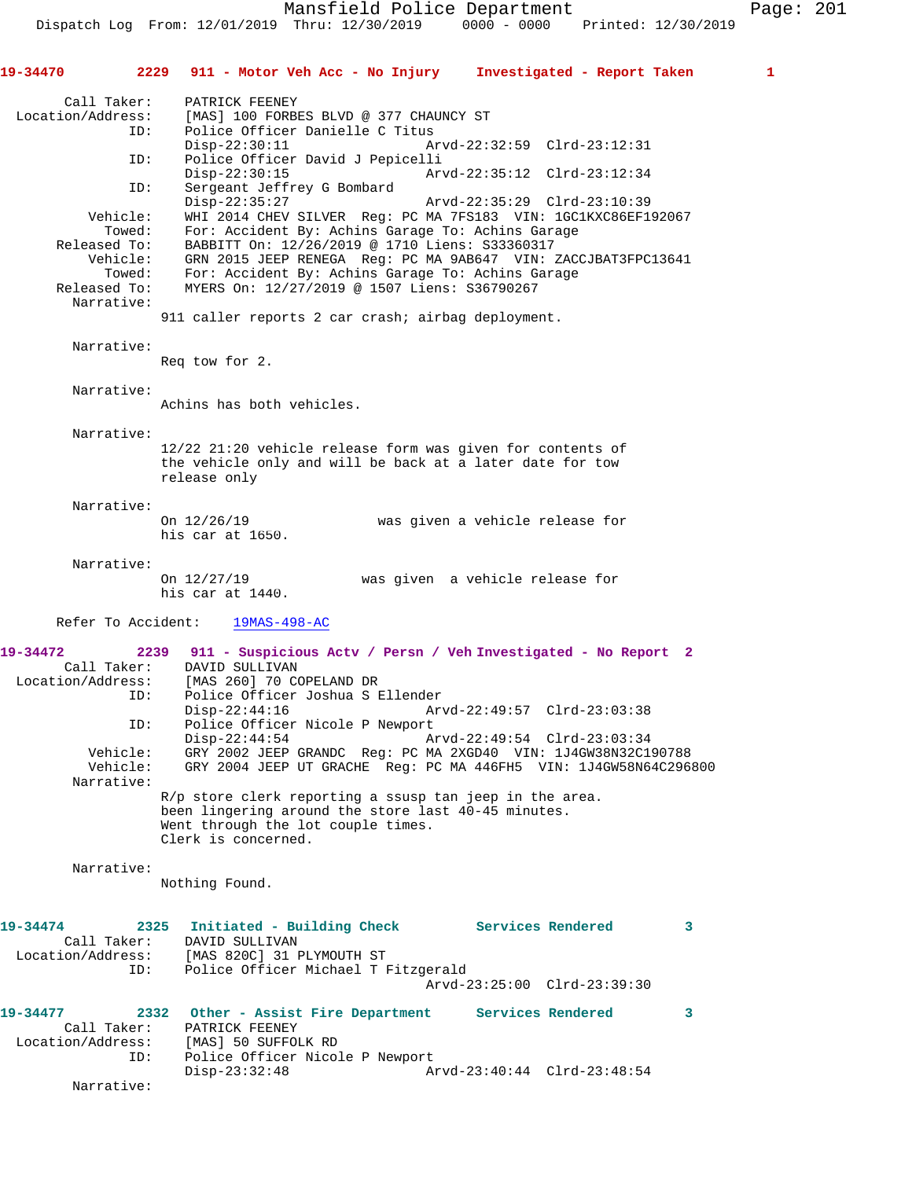**19-34470 2229 911 - Motor Veh Acc - No Injury Investigated - Report Taken 1** Call Taker: PATRICK FEENEY<br>Location/Address: [MAS] 100 FORB ess: [MAS] 100 FORBES BLVD @ 377 CHAUNCY ST<br>TD: Police Officer Danielle C Titus Police Officer Danielle C Titus<br>Disp-22:30:11 A Disp-22:30:11 Arvd-22:32:59 Clrd-23:12:31 ID: Police Officer David J Pepicelli Disp-22:30:15 Arvd-22:35:12 Clrd-23:12:34<br>ID: Sergeant Jeffrey G Bombard Sergeant Jeffrey G Bombard<br>Disp-22:35:27 Disp-22:35:27 Arvd-22:35:29 Clrd-23:10:39 Vehicle: WHI 2014 CHEV SILVER Reg: PC MA 7FS183 VIN: 1GC1KXC86EF192067 Towed: For: Accident By: Achins Garage To: Achins Garage Released To: BABBITT On: 12/26/2019 @ 1710 Liens: S33360317 Vehicle: GRN 2015 JEEP RENEGA Reg: PC MA 9AB647 VIN: ZACCJBAT3FPC13641 Towed: For: Accident By: Achins Garage To: Achins Garage Released To: MYERS On: 12/27/2019 @ 1507 Liens: S36790267 Narrative: 911 caller reports 2 car crash; airbag deployment. Narrative: Req tow for 2. Narrative: Achins has both vehicles. Narrative: 12/22 21:20 vehicle release form was given for contents of the vehicle only and will be back at a later date for tow release only Narrative: On 12/26/19 was given a vehicle release for his car at 1650. Narrative:<br>On  $12/27/19$ was given a vehicle release for his car at 1440. Refer To Accident: 19MAS-498-AC **19-34472 2239 911 - Suspicious Actv / Persn / Veh Investigated - No Report 2**  Call Taker: DAVID SULLIVAN Location/Address: [MAS 260] 70 COPELAND DR ID: Police Officer Joshua S Ellender Disp-22:44:16 Arvd-22:49:57 Clrd-23:03:38<br>ID: Police Officer Nicole P Newport Police Officer Nicole P Newport Disp-22:44:54 Arvd-22:49:54 Clrd-23:03:34<br>Vehicle: GRY 2002 JEEP GRANDC Req: PC MA 2XGD40 VIN: 1J4GW38N32C1 GRY 2002 JEEP GRANDC Reg: PC MA 2XGD40 VIN: 1J4GW38N32C190788 Vehicle: GRY 2004 JEEP UT GRACHE Reg: PC MA 446FH5 VIN: 1J4GW58N64C296800 Narrative: R/p store clerk reporting a ssusp tan jeep in the area. been lingering around the store last 40-45 minutes. Went through the lot couple times. Clerk is concerned. Narrative: Nothing Found. **19-34474 2325 Initiated - Building Check Services Rendered 3**  Call Taker: DAVID SULLIVAN Location/Address: [MAS 820C] 31 PLYMOUTH ST ID: Police Officer Michael T Fitzgerald Arvd-23:25:00 Clrd-23:39:30 **19-34477 2332 Other - Assist Fire Department Services Rendered 3**  Call Taker: PATRICK FEENEY Location/Address: [MAS] 50 SUFFOLK RD ID: Police Officer Nicole P Newport<br>Disp-23:32:48 A Disp-23:32:48 Arvd-23:40:44 Clrd-23:48:54 Narrative: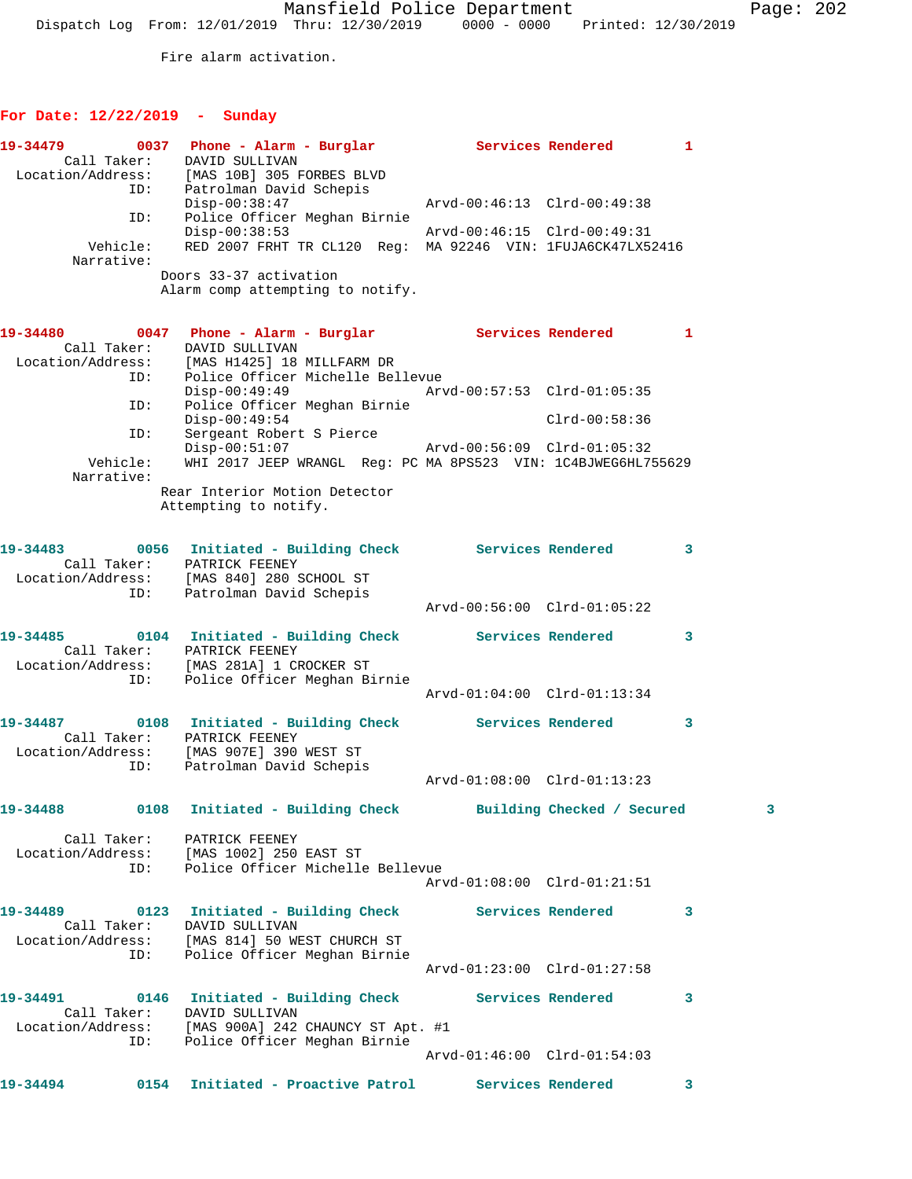Fire alarm activation.

## **For Date: 12/22/2019 - Sunday**

|                        | 19-34479 		 0037 Phone - Alarm - Burglar 		 Services Rendered 1<br>Call Taker: DAVID SULLIVAN<br>Location/Address: [MAS 10B] 305 FORBES BLVD                         |                             |                   |   |
|------------------------|----------------------------------------------------------------------------------------------------------------------------------------------------------------------|-----------------------------|-------------------|---|
|                        | ID: Patrolman David Schepis<br>$Disp-00:38:47$<br>Police Officer Meghan Birnie<br>ID:                                                                                | Arvd-00:46:13 Clrd-00:49:38 |                   |   |
| Vehicle:<br>Narrative: | $Disp-00:38:53$<br>RED 2007 FRHT TR CL120 Reg: MA 92246 VIN: 1FUJA6CK47LX52416                                                                                       | Arvd-00:46:15 Clrd-00:49:31 |                   |   |
|                        | Doors 33-37 activation<br>Alarm comp attempting to notify.                                                                                                           |                             |                   |   |
|                        | Call Taker: DAVID SULLIVAN<br>Location/Address: [MAS H1425] 18 MILLFARM DR                                                                                           |                             |                   |   |
|                        | ID:<br>Police Officer Michelle Bellevue<br>Disp-00:49:49 Arvd-00:57:53 Clrd-01:05:35                                                                                 |                             |                   |   |
| ID:                    | Police Officer Meghan Birnie<br>$Disp-00:49:54$                                                                                                                      |                             | Clrd-00:58:36     |   |
|                        | ID:<br>Sergeant Robert S Pierce<br>$Disp-00:51:07$                                                                                                                   |                             |                   |   |
| Vehicle:<br>Narrative: | WHI 2017 JEEP WRANGL Reg: PC MA 8PS523 VIN: 1C4BJWEG6HL755629<br>Rear Interior Motion Detector<br>Attempting to notify.                                              |                             |                   |   |
|                        | 19-34483 0056 Initiated - Building Check Services Rendered<br>Call Taker: PATRICK FEENEY<br>Location/Address: [MAS 840] 280 SCHOOL ST<br>ID: Patrolman David Schepis |                             |                   | 3 |
|                        |                                                                                                                                                                      |                             |                   |   |
|                        | Call Taker: PATRICK FEENEY<br>Location/Address: [MAS 281A] 1 CROCKER ST<br>Police Officer Meghan Birnie<br>ID:                                                       |                             |                   | 3 |
|                        |                                                                                                                                                                      | Arvd-01:04:00 Clrd-01:13:34 |                   |   |
|                        | Call Taker: PATRICK FEENEY<br>Location/Address: [MAS 907E] 390 WEST ST<br>ID: Patrolman David Schepis                                                                |                             |                   | 3 |
|                        |                                                                                                                                                                      | Arvd-01:08:00 Clrd-01:13:23 |                   |   |
| 19-34488<br>0108       | Initiated - Building Check Building Checked / Secured                                                                                                                |                             |                   | 3 |
| ID:                    | Call Taker: PATRICK FEENEY<br>Location/Address: [MAS 1002] 250 EAST ST<br>Police Officer Michelle Bellevue                                                           |                             |                   |   |
|                        |                                                                                                                                                                      | Arvd-01:08:00 Clrd-01:21:51 |                   |   |
|                        | 19-34489 		 0123 Initiated - Building Check Services Rendered<br>Call Taker: DAVID SULLIVAN<br>Location/Address: [MAS 814] 50 WEST CHURCH ST                         |                             |                   | 3 |
| ID:                    | Police Officer Meghan Birnie                                                                                                                                         | Arvd-01:23:00 Clrd-01:27:58 |                   |   |
| 19-34491               | 0146 Initiated - Building Check Services Rendered<br>Call Taker: DAVID SULLIVAN                                                                                      |                             |                   | 3 |
|                        | Location/Address: [MAS 900A] 242 CHAUNCY ST Apt. #1<br>ID: Police Officer Meghan Birnie                                                                              | Arvd-01:46:00 Clrd-01:54:03 |                   |   |
| 19-34494               | 0154 Initiated - Proactive Patrol                                                                                                                                    |                             | Services Rendered | 3 |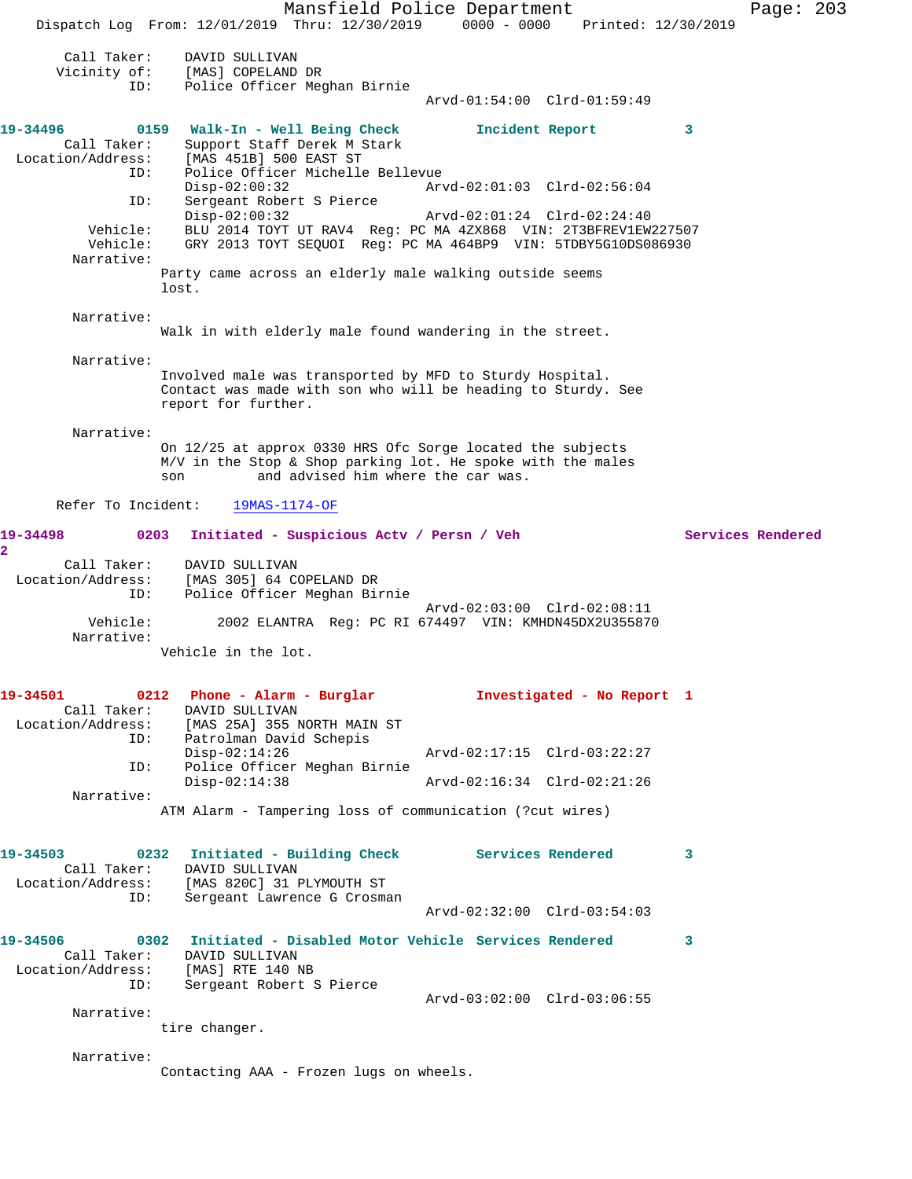Mansfield Police Department Page: 203 Dispatch Log From: 12/01/2019 Thru: 12/30/2019 0000 - 0000 Printed: 12/30/2019 Call Taker: DAVID SULLIVAN Vicinity of: [MAS] COPELAND DR ID: Police Officer Meghan Birnie Arvd-01:54:00 Clrd-01:59:49 **19-34496 0159 Walk-In - Well Being Check Incident Report 3**  Call Taker: Support Staff Derek M Stark Location/Address: [MAS 451B] 500 EAST ST ID: Police Officer Michelle Bellevue Disp-02:00:32 Arvd-02:01:03 Clrd-02:56:04 ID: Sergeant Robert S Pierce Disp-02:00:32 Arvd-02:01:24 Clrd-02:24:40 Vehicle: BLU 2014 TOYT UT RAV4 Reg: PC MA 4ZX868 VIN: 2T3BFREV1EW227507 Vehicle: GRY 2013 TOYT SEQUOI Reg: PC MA 464BP9 VIN: 5TDBY5G10DS086930 Narrative: Party came across an elderly male walking outside seems lost. Narrative: Walk in with elderly male found wandering in the street. Narrative: Involved male was transported by MFD to Sturdy Hospital. Contact was made with son who will be heading to Sturdy. See report for further. Narrative: On 12/25 at approx 0330 HRS Ofc Sorge located the subjects M/V in the Stop & Shop parking lot. He spoke with the males son and advised him where the car was. Refer To Incident: 19MAS-1174-OF **19-34498 0203 Initiated - Suspicious Actv / Persn / Veh Services Rendered 2**  Call Taker: DAVID SULLIVAN Location/Address: [MAS 305] 64 COPELAND DR ID: Police Officer Meghan Birnie Arvd-02:03:00 Clrd-02:08:11 Vehicle: 2002 ELANTRA Reg: PC RI 674497 VIN: KMHDN45DX2U355870 Narrative: Vehicle in the lot. **19-34501 0212 Phone - Alarm - Burglar Investigated - No Report 1**  Call Taker: DAVID SULLIVAN Location/Address: [MAS 25A] 355 NORTH MAIN ST ID: Patrolman David Schepis<br>Disp-02:14:26 Disp-02:14:26 Arvd-02:17:15 Clrd-03:22:27 ID: Police Officer Meghan Birnie Disp-02:14:38 Arvd-02:16:34 Clrd-02:21:26 Narrative: ATM Alarm - Tampering loss of communication (?cut wires) **19-34503 0232 Initiated - Building Check Services Rendered 3**  Call Taker: DAVID SULLIVAN Location/Address: [MAS 820C] 31 PLYMOUTH ST ID: Sergeant Lawrence G Crosman Arvd-02:32:00 Clrd-03:54:03 **19-34506 0302 Initiated - Disabled Motor Vehicle Services Rendered 3**  Call Taker: DAVID SULLIVAN Location/Address: [MAS] RTE 140 NB ID: Sergeant Robert S Pierce  $Arvd-03:02:00$   $Clrd-03:06:55$  Narrative: tire changer. Narrative: Contacting AAA - Frozen lugs on wheels.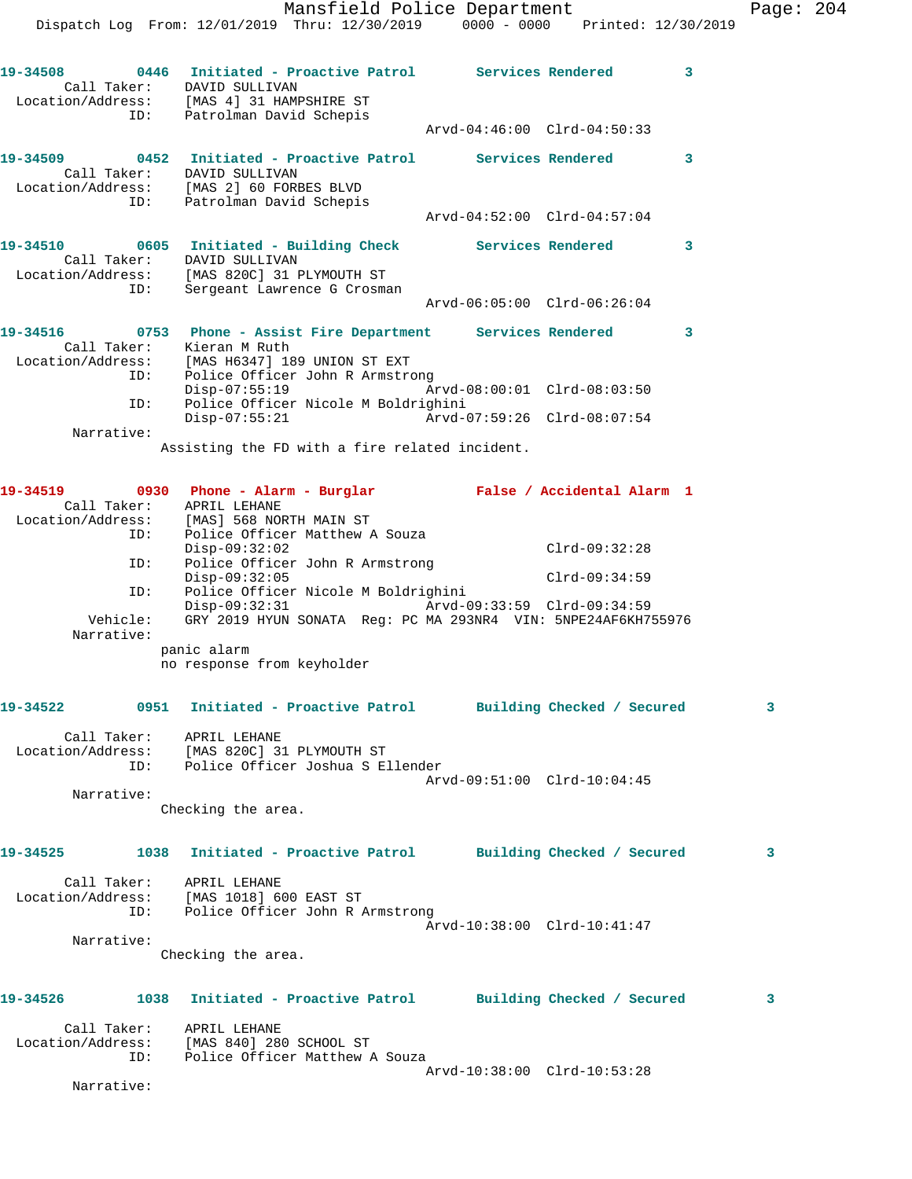|                 | Mansfield Police Department                                                                                                                       |                             |                 |   | Page: 204 |  |
|-----------------|---------------------------------------------------------------------------------------------------------------------------------------------------|-----------------------------|-----------------|---|-----------|--|
|                 | Dispatch Log From: 12/01/2019 Thru: 12/30/2019 0000 - 0000 Printed: 12/30/2019                                                                    |                             |                 |   |           |  |
| 19-34508        | 0446 Initiated - Proactive Patrol Services Rendered<br>Call Taker: DAVID SULLIVAN                                                                 |                             |                 | 3 |           |  |
|                 | Location/Address: [MAS 4] 31 HAMPSHIRE ST<br>ID: Patrolman David Schepis                                                                          | Arvd-04:46:00 Clrd-04:50:33 |                 |   |           |  |
|                 | 19-34509 0452 Initiated - Proactive Patrol Services Rendered<br>Call Taker: DAVID SULLIVAN                                                        |                             |                 | 3 |           |  |
| ID:             | Location/Address: [MAS 2] 60 FORBES BLVD<br>Patrolman David Schepis                                                                               | Arvd-04:52:00 Clrd-04:57:04 |                 |   |           |  |
|                 | 19-34510 0605 Initiated - Building Check Services Rendered<br>Call Taker: DAVID SULLIVAN                                                          |                             |                 | 3 |           |  |
| ID:             | Location/Address: [MAS 820C] 31 PLYMOUTH ST<br>Sergeant Lawrence G Crosman                                                                        | Arvd-06:05:00 Clrd-06:26:04 |                 |   |           |  |
| 19-34516        | 0753 Phone - Assist Fire Department Services Rendered                                                                                             |                             |                 | 3 |           |  |
| ID:             | Call Taker: Kieran M Ruth<br>Location/Address: [MAS H6347] 189 UNION ST EXT<br>Police Officer John R Armstrong                                    |                             |                 |   |           |  |
|                 | Disp-07:55:19                                                                                                                                     | Arvd-08:00:01 Clrd-08:03:50 |                 |   |           |  |
| ID:             | Police Officer Nicole M Boldrighini<br>$Disp-07:55:21$                                                                                            | Arvd-07:59:26 Clrd-08:07:54 |                 |   |           |  |
| Narrative:      | Assisting the FD with a fire related incident.                                                                                                    |                             |                 |   |           |  |
| 19-34519        | 0930 Phone - Alarm - Burglar               False / Accidental Alarm 1                                                                             |                             |                 |   |           |  |
| ID:             | Call Taker: APRIL LEHANE<br>Location/Address: [MAS] 568 NORTH MAIN ST<br>Police Officer Matthew A Souza                                           |                             |                 |   |           |  |
| ID:             | $Disp-09:32:02$<br>Police Officer John R Armstrong                                                                                                |                             | $Clrd-09:32:28$ |   |           |  |
|                 | $Disp-09:32:05$                                                                                                                                   |                             | $Clrd-09:34:59$ |   |           |  |
| ID:<br>Vehicle: | Police Officer Nicole M Boldrighini<br>Disp-09:32:31 Arvd-09:33:59 Clrd-09:34:59<br>GRY 2019 HYUN SONATA Reg: PC MA 293NR4 VIN: 5NPE24AF6KH755976 |                             |                 |   |           |  |
| Narrative:      | panic alarm<br>no response from keyholder                                                                                                         |                             |                 |   |           |  |
|                 |                                                                                                                                                   |                             |                 |   |           |  |
|                 | 19-34522      0951   Initiated - Proactive Patrol     Building Checked / Secured                                                                  |                             |                 |   | 3         |  |
|                 | Call Taker: APRIL LEHANE<br>Location/Address: [MAS 820C] 31 PLYMOUTH ST<br>ID: Police Officer Joshua S Ellender                                   |                             |                 |   |           |  |
| Narrative:      |                                                                                                                                                   | Arvd-09:51:00 Clrd-10:04:45 |                 |   |           |  |
|                 | Checking the area.                                                                                                                                |                             |                 |   |           |  |
| 19-34525        | 1038 Initiated - Proactive Patrol Building Checked / Secured                                                                                      |                             |                 |   | 3         |  |
|                 | Call Taker: APRIL LEHANE<br>Location/Address: [MAS 1018] 600 EAST ST<br>ID: Police Officer John R Armstrong                                       | Arvd-10:38:00 Clrd-10:41:47 |                 |   |           |  |
| Narrative:      |                                                                                                                                                   |                             |                 |   |           |  |
|                 | Checking the area.                                                                                                                                |                             |                 |   |           |  |
| 19-34526        | 1038 Initiated - Proactive Patrol Building Checked / Secured                                                                                      |                             |                 |   | 3         |  |
|                 | Call Taker: APRIL LEHANE<br>Location/Address: [MAS 840] 280 SCHOOL ST<br>ID: Police Officer Matthew A Souza                                       |                             |                 |   |           |  |
|                 |                                                                                                                                                   | Arvd-10:38:00 Clrd-10:53:28 |                 |   |           |  |

Narrative: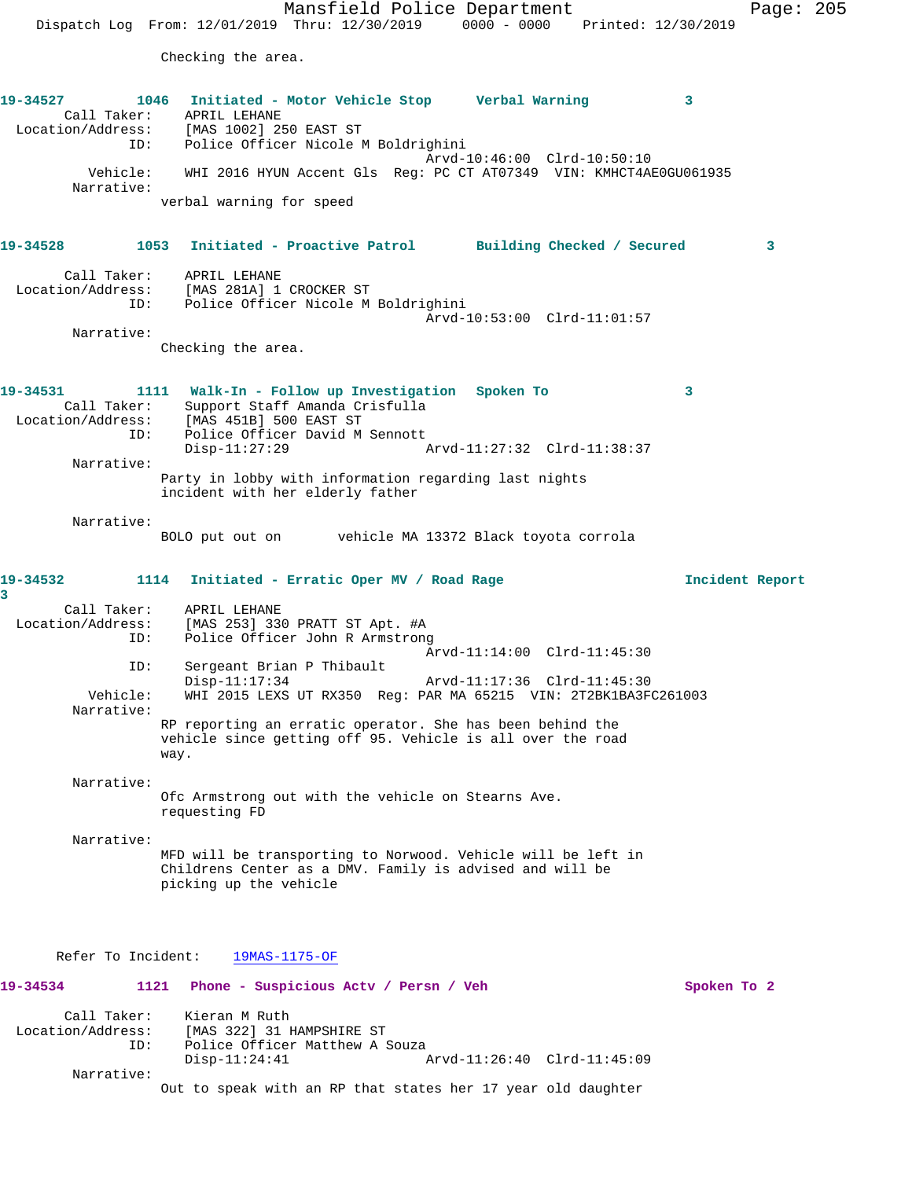Mansfield Police Department Page: 205 Dispatch Log From: 12/01/2019 Thru: 12/30/2019 0000 - 0000 Printed: 12/30/2019 Checking the area. **19-34527 1046 Initiated - Motor Vehicle Stop Verbal Warning 3**  Call Taker: APRIL LEHANE Location/Address: [MAS 1002] 250 EAST ST ID: Police Officer Nicole M Boldrighini Arvd-10:46:00 Clrd-10:50:10 Vehicle: WHI 2016 HYUN Accent Gls Reg: PC CT AT07349 VIN: KMHCT4AE0GU061935 Narrative: verbal warning for speed **19-34528 1053 Initiated - Proactive Patrol Building Checked / Secured 3** Call Taker: APRIL LEHANE Location/Address: [MAS 281A] 1 CROCKER ST ID: Police Officer Nicole M Boldrighini Arvd-10:53:00 Clrd-11:01:57 Narrative: Checking the area. **19-34531 1111 Walk-In - Follow up Investigation Spoken To 3**  Call Taker: Support Staff Amanda Crisfulla Location/Address: [MAS 451B] 500 EAST ST ID: Police Officer David M Sennott<br>Disp-11:27:29 A Disp-11:27:29 Arvd-11:27:32 Clrd-11:38:37 Narrative: Party in lobby with information regarding last nights incident with her elderly father Narrative: BOLO put out on vehicle MA 13372 Black toyota corrola **19-34532 1114 Initiated - Erratic Oper MV / Road Rage Incident Report 3**  Call Taker: APRIL LEHANE Location/Address: [MAS 253] 330 PRATT ST Apt. #A ID: Police Officer John R Armstrong Arvd-11:14:00 Clrd-11:45:30 ID: Sergeant Brian P Thibault Disp-11:17:34 Arvd-11:17:36 Clrd-11:45:30 Vehicle: WHI 2015 LEXS UT RX350 Reg: PAR MA 65215 VIN: 2T2BK1BA3FC261003 Narrative: RP reporting an erratic operator. She has been behind the vehicle since getting off 95. Vehicle is all over the road way. Narrative: Ofc Armstrong out with the vehicle on Stearns Ave. requesting FD Narrative: MFD will be transporting to Norwood. Vehicle will be left in Childrens Center as a DMV. Family is advised and will be picking up the vehicle Refer To Incident: 19MAS-1175-OF **19-34534 1121 Phone - Suspicious Actv / Persn / Veh Spoken To 2** Call Taker: Kieran M Ruth Location/Address: [MAS 322] 31 HAMPSHIRE ST ID: Police Officer Matthew A Souza Disp-11:24:41 Arvd-11:26:40 Clrd-11:45:09

Out to speak with an RP that states her 17 year old daughter

Narrative: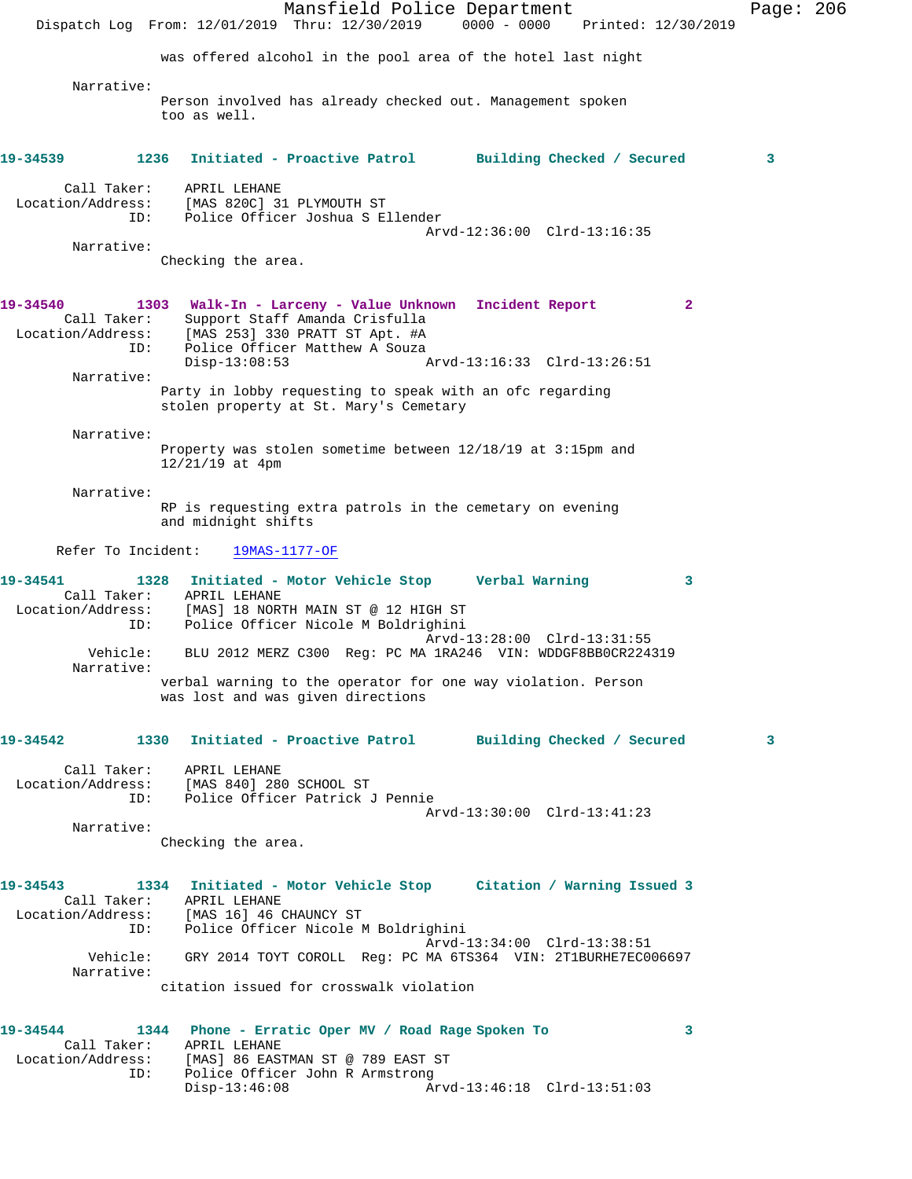Mansfield Police Department Page: 206 Dispatch Log From: 12/01/2019 Thru: 12/30/2019 0000 - 0000 Printed: 12/30/2019 was offered alcohol in the pool area of the hotel last night Narrative: Person involved has already checked out. Management spoken too as well. **19-34539 1236 Initiated - Proactive Patrol Building Checked / Secured 3** Call Taker: APRIL LEHANE Location/Address: [MAS 820C] 31 PLYMOUTH ST ID: Police Officer Joshua S Ellender Arvd-12:36:00 Clrd-13:16:35 Narrative: Checking the area. **19-34540 1303 Walk-In - Larceny - Value Unknown Incident Report 2**  Call Taker: Support Staff Amanda Crisfulla Location/Address: [MAS 253] 330 PRATT ST Apt. #A ID: Police Officer Matthew A Souza<br>Disp-13:08:53 Disp-13:08:53 Arvd-13:16:33 Clrd-13:26:51 Narrative: Party in lobby requesting to speak with an ofc regarding stolen property at St. Mary's Cemetary Narrative: Property was stolen sometime between 12/18/19 at 3:15pm and 12/21/19 at 4pm Narrative: RP is requesting extra patrols in the cemetary on evening and midnight shifts Refer To Incident: 19MAS-1177-OF **19-34541 1328 Initiated - Motor Vehicle Stop Verbal Warning 3**  Call Taker: APRIL LEHANE Location/Address: [MAS] 18 NORTH MAIN ST @ 12 HIGH ST ID: Police Officer Nicole M Boldrighini Arvd-13:28:00 Clrd-13:31:55 Vehicle: BLU 2012 MERZ C300 Reg: PC MA 1RA246 VIN: WDDGF8BB0CR224319 Narrative: verbal warning to the operator for one way violation. Person was lost and was given directions **19-34542 1330 Initiated - Proactive Patrol Building Checked / Secured 3** Call Taker: APRIL LEHANE Location/Address: [MAS 840] 280 SCHOOL ST ID: Police Officer Patrick J Pennie Arvd-13:30:00 Clrd-13:41:23 Narrative: Checking the area. **19-34543 1334 Initiated - Motor Vehicle Stop Citation / Warning Issued 3**  Call Taker: APRIL LEHANE Location/Address: [MAS 16] 46 CHAUNCY ST ID: Police Officer Nicole M Boldrighini Arvd-13:34:00 Clrd-13:38:51 Vehicle: GRY 2014 TOYT COROLL Reg: PC MA 6TS364 VIN: 2T1BURHE7EC006697 Narrative: citation issued for crosswalk violation **19-34544 1344 Phone - Erratic Oper MV / Road Rage Spoken To 3**  Call Taker: APRIL LEHANE Location/Address: [MAS] 86 EASTMAN ST @ 789 EAST ST ID: Police Officer John R Armstrong Disp-13:46:08 Arvd-13:46:18 Clrd-13:51:03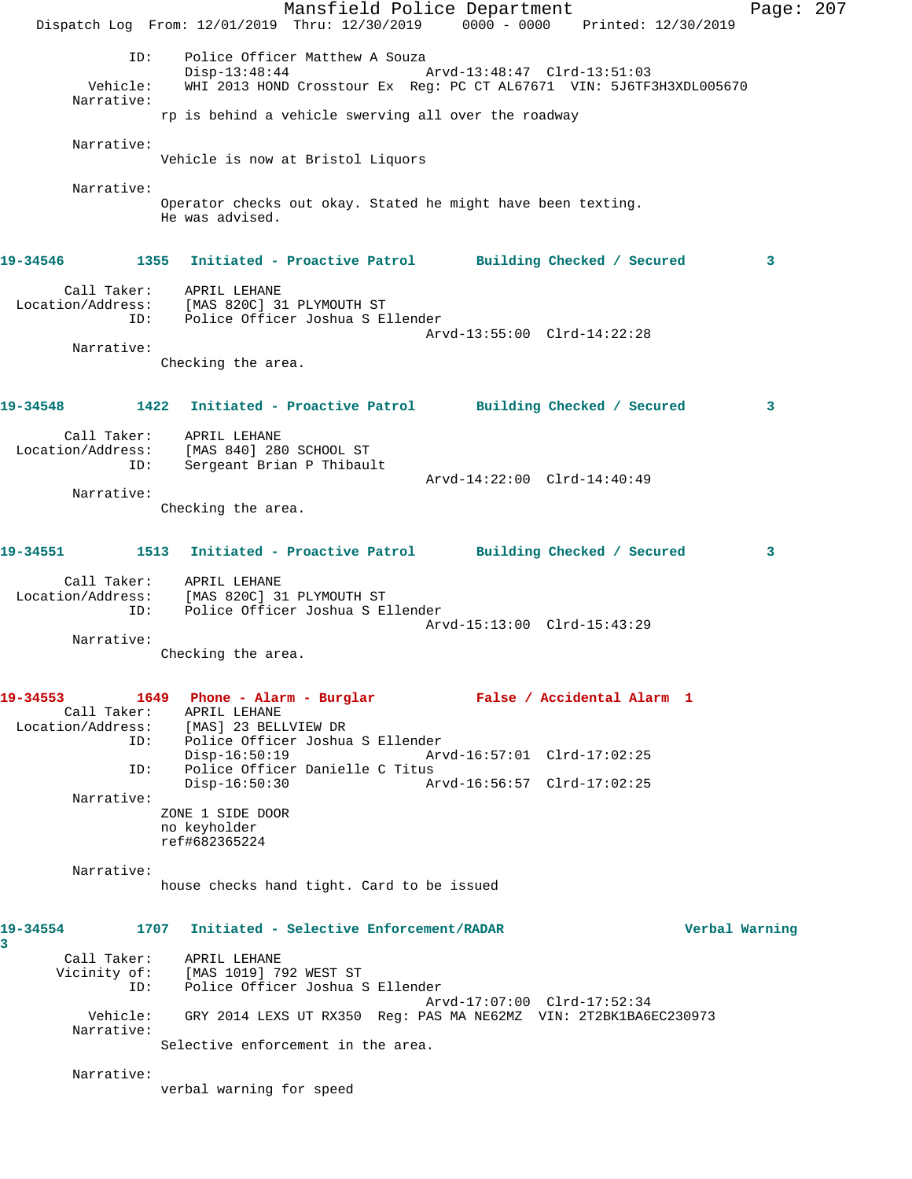Mansfield Police Department Fage: 207 Dispatch Log From: 12/01/2019 Thru: 12/30/2019 0000 - 0000 Printed: 12/30/2019 ID: Police Officer Matthew A Souza Disp-13:48:44 Arvd-13:48:47 Clrd-13:51:03 Vehicle: WHI 2013 HOND Crosstour Ex Reg: PC CT AL67671 VIN: 5J6TF3H3XDL005670 Narrative: rp is behind a vehicle swerving all over the roadway Narrative: Vehicle is now at Bristol Liquors Narrative: Operator checks out okay. Stated he might have been texting. He was advised. **19-34546 1355 Initiated - Proactive Patrol Building Checked / Secured 3** Call Taker: APRIL LEHANE Location/Address: [MAS 820C] 31 PLYMOUTH ST ID: Police Officer Joshua S Ellender Arvd-13:55:00 Clrd-14:22:28 Narrative: Checking the area. **19-34548 1422 Initiated - Proactive Patrol Building Checked / Secured 3** Call Taker: APRIL LEHANE Location/Address: [MAS 840] 280 SCHOOL ST ID: Sergeant Brian P Thibault Arvd-14:22:00 Clrd-14:40:49 Narrative: Checking the area. **19-34551 1513 Initiated - Proactive Patrol Building Checked / Secured 3** Call Taker: APRIL LEHANE Location/Address: [MAS 820C] 31 PLYMOUTH ST ID: Police Officer Joshua S Ellender Arvd-15:13:00 Clrd-15:43:29 Narrative: Checking the area. **19-34553 1649 Phone - Alarm - Burglar False / Accidental Alarm 1**  Call Taker: APRIL LEHANE Location/Address: [MAS] 23 BELLVIEW DR ID: Police Officer Joshua S Ellender Disp-16:50:19 Arvd-16:57:01 Clrd-17:02:25<br>ID: Police Officer Danielle C Titus<br>Disp-16:50:30 Arvd-16:56:57 Clrd-17:02:25 Police Officer Danielle C Titus Disp-16:50:30 Arvd-16:56:57 Clrd-17:02:25 Narrative: ZONE 1 SIDE DOOR no keyholder ref#682365224 Narrative: house checks hand tight. Card to be issued **19-34554 1707 Initiated - Selective Enforcement/RADAR Verbal Warning 3**  Call Taker: APRIL LEHANE Vicinity of: [MAS 1019] 792 WEST ST ID: Police Officer Joshua S Ellender Arvd-17:07:00 Clrd-17:52:34 Vehicle: GRY 2014 LEXS UT RX350 Reg: PAS MA NE62MZ VIN: 2T2BK1BA6EC230973 Narrative: Selective enforcement in the area. Narrative: verbal warning for speed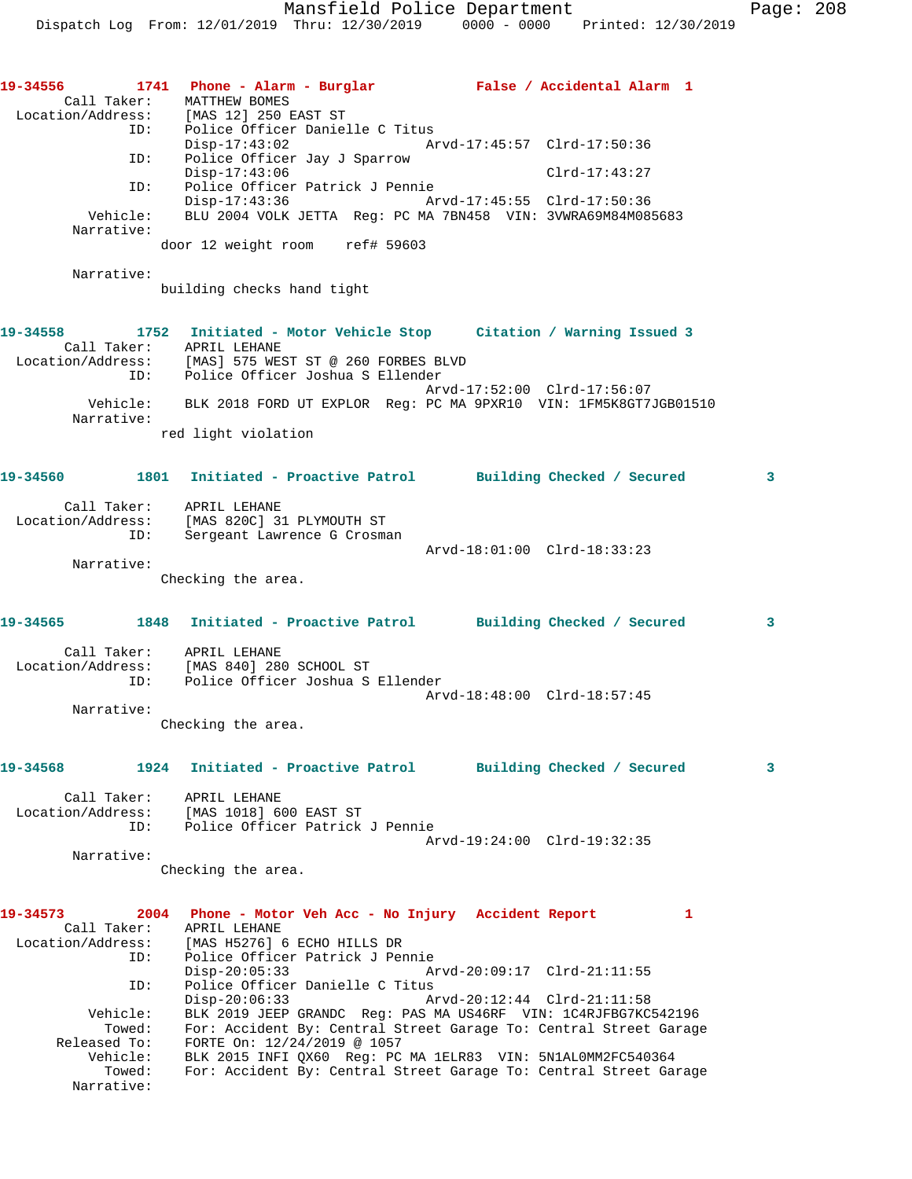|  | 0000 - 0000 | Printed: 12/30/2019 |  |
|--|-------------|---------------------|--|
|  |             |                     |  |
|  |             |                     |  |

|                          | 19-34556 1741 Phone - Alarm - Burglar Malse / Accidental Alarm 1                                                                    |                                                            |          |
|--------------------------|-------------------------------------------------------------------------------------------------------------------------------------|------------------------------------------------------------|----------|
|                          | Call Taker: MATTHEW BOMES<br>Location/Address: [MAS 12] 250 EAST ST<br>ID: Police Officer Danielle C Titus                          |                                                            |          |
|                          | $Disp-17:43:02$                                                                                                                     | Arvd-17:45:57 Clrd-17:50:36                                |          |
| ID:<br>ID:               | Police Officer Jay J Sparrow<br>$Disp-17:43:06$<br>Police Officer Patrick J Pennie                                                  | $Clrd-17:43:27$                                            |          |
| Vehicle:                 | Disp-17:43:36 Arvd-17:45:55 Clrd-17:50:36<br>BLU 2004 VOLK JETTA Reg: PC MA 7BN458 VIN: 3VWRA69M84M085683                           |                                                            |          |
| Narrative:               | door 12 weight room ref# 59603                                                                                                      |                                                            |          |
| Narrative:               | building checks hand tight                                                                                                          |                                                            |          |
|                          | 19-34558 1752 Initiated - Motor Vehicle Stop Citation / Warning Issued 3<br>Call Taker: APRIL LEHANE                                |                                                            |          |
|                          | Location/Address: [MAS] 575 WEST ST @ 260 FORBES BLVD<br>ID: Police Officer Joshua S Ellender                                       |                                                            |          |
| Narrative:               | Vehicle: BLK 2018 FORD UT EXPLOR Req: PC MA 9PXR10 VIN: 1FM5K8GT7JGB01510                                                           | Arvd-17:52:00 Clrd-17:56:07                                |          |
|                          | red light violation                                                                                                                 |                                                            |          |
|                          | 19-34560 1801 Initiated - Proactive Patrol Building Checked / Secured                                                               |                                                            | $\sim$ 3 |
| ID:                      | Call Taker: APRIL LEHANE<br>Location/Address: [MAS 820C] 31 PLYMOUTH ST                                                             |                                                            |          |
|                          | Sergeant Lawrence G Crosman                                                                                                         | Arvd-18:01:00 Clrd-18:33:23                                |          |
| Narrative:               | Checking the area.                                                                                                                  |                                                            |          |
|                          | 19-34565 1848 Initiated - Proactive Patrol Building Checked / Secured 3                                                             |                                                            |          |
|                          | Call Taker: APRIL LEHANE<br>Location/Address: [MAS 840] 280 SCHOOL ST<br>ID: Police Officer Joshua S Ellender                       |                                                            |          |
| Narrative:               |                                                                                                                                     | Arvd-18:48:00 Clrd-18:57:45                                |          |
|                          | Checking the area.                                                                                                                  |                                                            |          |
|                          | 19-34568 1924 Initiated - Proactive Patrol Building Checked / Secured                                                               |                                                            | 3        |
| Location/Address:<br>ID: | Call Taker: APRIL LEHANE<br>[MAS 1018] 600 EAST ST<br>Police Officer Patrick J Pennie                                               |                                                            |          |
| Narrative:               |                                                                                                                                     | Arvd-19:24:00 Clrd-19:32:35                                |          |
|                          | Checking the area.                                                                                                                  |                                                            |          |
| 19-34573<br>Call Taker:  | 2004 Phone - Motor Veh Acc - No Injury Accident Report<br>APRIL LEHANE                                                              | $\mathbf{1}$                                               |          |
| ID:                      | Location/Address: [MAS H5276] 6 ECHO HILLS DR<br>Police Officer Patrick J Pennie                                                    |                                                            |          |
| ID:                      | $Disp-20:05:33$<br>Police Officer Danielle C Titus<br>$Disp-20:06:33$                                                               | Arvd-20:09:17 Clrd-21:11:55<br>Arvd-20:12:44 Clrd-21:11:58 |          |
| Vehicle:<br>Towed:       | BLK 2019 JEEP GRANDC Reg: PAS MA US46RF VIN: 1C4RJFBG7KC542196<br>For: Accident By: Central Street Garage To: Central Street Garage |                                                            |          |
| Released To:<br>Vehicle: | FORTE On: 12/24/2019 @ 1057<br>BLK 2015 INFI QX60 Req: PC MA 1ELR83 VIN: 5N1AL0MM2FC540364                                          |                                                            |          |
| Towed:<br>Narrative:     | For: Accident By: Central Street Garage To: Central Street Garage                                                                   |                                                            |          |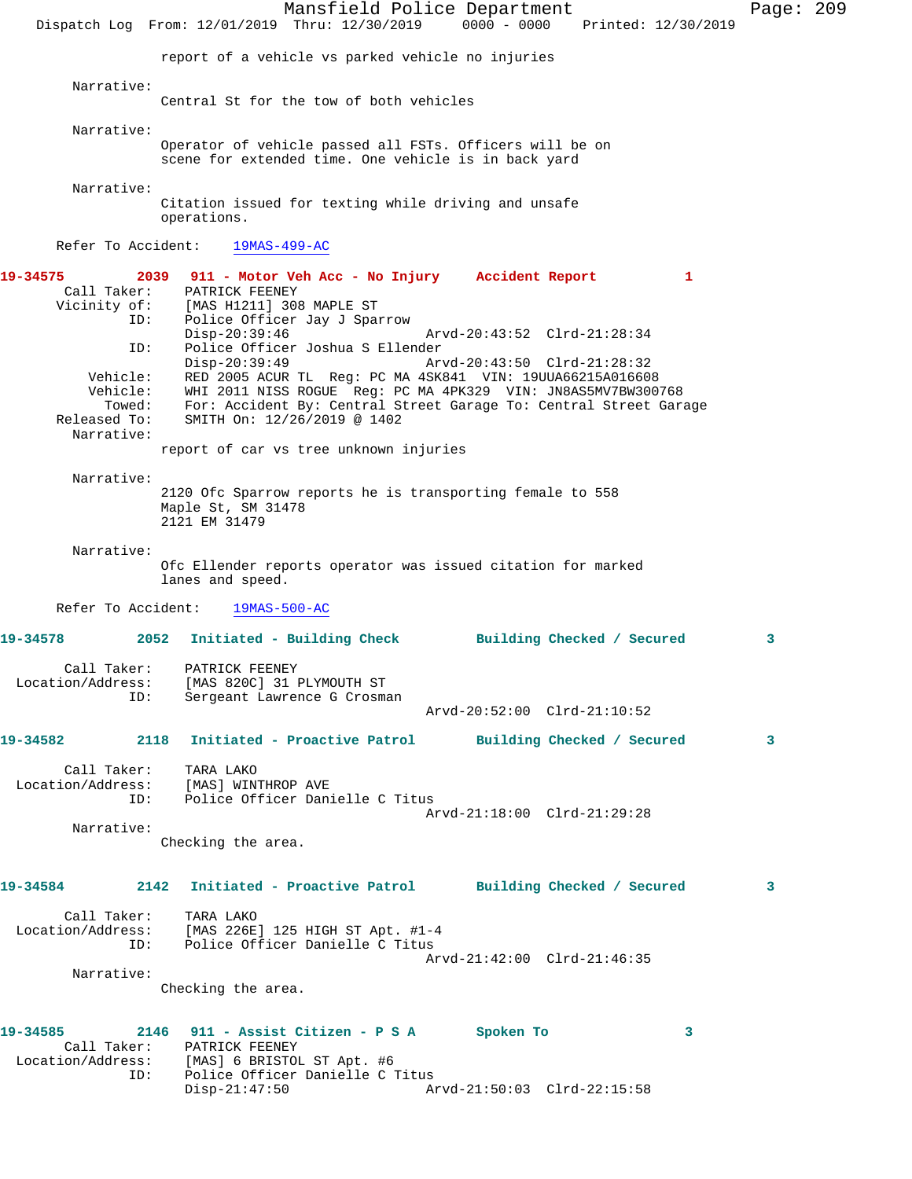Mansfield Police Department Page: 209 Dispatch Log From: 12/01/2019 Thru: 12/30/2019 0000 - 0000 Printed: 12/30/2019 report of a vehicle vs parked vehicle no injuries Narrative: Central St for the tow of both vehicles Narrative: Operator of vehicle passed all FSTs. Officers will be on scene for extended time. One vehicle is in back yard Narrative: Citation issued for texting while driving and unsafe operations. Refer To Accident: 19MAS-499-AC **19-34575 2039 911 - Motor Veh Acc - No Injury Accident Report 1**  Call Taker: PATRICK FEENEY Vicinity of: [MAS H1211] 308 MAPLE ST ID: Police Officer Jay J Sparrow<br>Disp-20:39:46 Disp-20:39:46 Arvd-20:43:52 Clrd-21:28:34 ID: Police Officer Joshua S Ellender Disp-20:39:49 Arvd-20:43:50 Clrd-21:28:32 Vehicle: RED 2005 ACUR TL Reg: PC MA 4SK841 VIN: 19UUA66215A016608 Vehicle: WHI 2011 NISS ROGUE Reg: PC MA 4PK329 VIN: JN8AS5MV7BW300768 Towed: For: Accident By: Central Street Garage To: Central Street Garage Released To: SMITH On: 12/26/2019 @ 1402 Narrative: report of car vs tree unknown injuries Narrative: 2120 Ofc Sparrow reports he is transporting female to 558 Maple St, SM 31478 2121 EM 31479 Narrative: Ofc Ellender reports operator was issued citation for marked lanes and speed. Refer To Accident: 19MAS-500-AC **19-34578 2052 Initiated - Building Check Building Checked / Secured 3** Call Taker: PATRICK FEENEY Location/Address: [MAS 820C] 31 PLYMOUTH ST ID: Sergeant Lawrence G Crosman Arvd-20:52:00 Clrd-21:10:52 **19-34582 2118 Initiated - Proactive Patrol Building Checked / Secured 3** Call Taker: TARA LAKO Location/Address: [MAS] WINTHROP AVE Police Officer Danielle C Titus Arvd-21:18:00 Clrd-21:29:28 Narrative: Checking the area. **19-34584 2142 Initiated - Proactive Patrol Building Checked / Secured 3** Call Taker: TARA LAKO Location/Address: [MAS 226E] 125 HIGH ST Apt. #1-4 ID: Police Officer Danielle C Titus Arvd-21:42:00 Clrd-21:46:35 Narrative: Checking the area. **19-34585 2146 911 - Assist Citizen - P S A Spoken To 3**  Call Taker: PATRICK FEENEY Location/Address: [MAS] 6 BRISTOL ST Apt. #6 ID: Police Officer Danielle C Titus Disp-21:47:50 Arvd-21:50:03 Clrd-22:15:58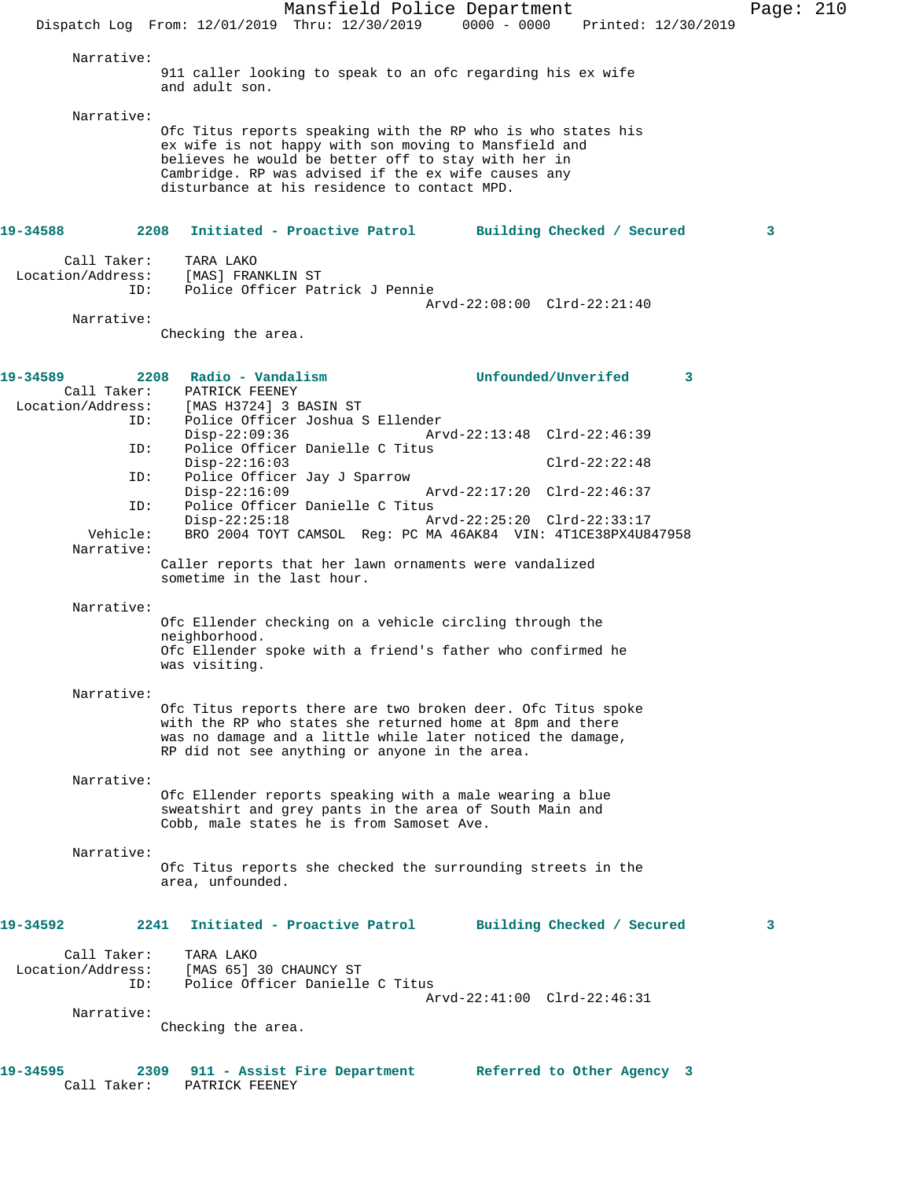|                                                                                                                                  | Mansfield Police Department<br>Dispatch Log From: 12/01/2019 Thru: 12/30/2019 0000 - 0000<br>Printed: 12/30/2019                                                                                                                                                                                                                                                                                                                                                                                                                                                                                                                                                                                                                                                                                                                                                                                                                                                                                            | Page: $210$ |  |
|----------------------------------------------------------------------------------------------------------------------------------|-------------------------------------------------------------------------------------------------------------------------------------------------------------------------------------------------------------------------------------------------------------------------------------------------------------------------------------------------------------------------------------------------------------------------------------------------------------------------------------------------------------------------------------------------------------------------------------------------------------------------------------------------------------------------------------------------------------------------------------------------------------------------------------------------------------------------------------------------------------------------------------------------------------------------------------------------------------------------------------------------------------|-------------|--|
| Narrative:                                                                                                                       |                                                                                                                                                                                                                                                                                                                                                                                                                                                                                                                                                                                                                                                                                                                                                                                                                                                                                                                                                                                                             |             |  |
|                                                                                                                                  | 911 caller looking to speak to an ofc regarding his ex wife<br>and adult son.                                                                                                                                                                                                                                                                                                                                                                                                                                                                                                                                                                                                                                                                                                                                                                                                                                                                                                                               |             |  |
| Narrative:                                                                                                                       | Ofc Titus reports speaking with the RP who is who states his<br>ex wife is not happy with son moving to Mansfield and<br>believes he would be better off to stay with her in<br>Cambridge. RP was advised if the ex wife causes any<br>disturbance at his residence to contact MPD.                                                                                                                                                                                                                                                                                                                                                                                                                                                                                                                                                                                                                                                                                                                         |             |  |
| 19-34588                                                                                                                         | 2208<br>Initiated - Proactive Patrol Building Checked / Secured                                                                                                                                                                                                                                                                                                                                                                                                                                                                                                                                                                                                                                                                                                                                                                                                                                                                                                                                             | 3           |  |
| Call Taker:<br>Location/Address:<br>ID:                                                                                          | TARA LAKO<br>[MAS] FRANKLIN ST<br>Police Officer Patrick J Pennie<br>Arvd-22:08:00 Clrd-22:21:40                                                                                                                                                                                                                                                                                                                                                                                                                                                                                                                                                                                                                                                                                                                                                                                                                                                                                                            |             |  |
| Narrative:                                                                                                                       | Checking the area.                                                                                                                                                                                                                                                                                                                                                                                                                                                                                                                                                                                                                                                                                                                                                                                                                                                                                                                                                                                          |             |  |
| 19-34589                                                                                                                         | Unfounded/Unverifed<br>2208 Radio - Vandalism<br>$\mathbf{3}$                                                                                                                                                                                                                                                                                                                                                                                                                                                                                                                                                                                                                                                                                                                                                                                                                                                                                                                                               |             |  |
| Call Taker:<br>Location/Address:<br>ID:<br>ID:<br>ID:<br>ID:<br>Vehicle:<br>Narrative:<br>Narrative:<br>Narrative:<br>Narrative: | PATRICK FEENEY<br>[MAS H3724] 3 BASIN ST<br>Police Officer Joshua S Ellender<br>$Disp-22:09:36$<br>Arvd-22:13:48 Clrd-22:46:39<br>Police Officer Danielle C Titus<br>$Clrd-22:22:48$<br>$Disp-22:16:03$<br>Police Officer Jay J Sparrow<br>$Disp-22:16:09$<br>Arvd-22:17:20 Clrd-22:46:37<br>Police Officer Danielle C Titus<br>$Disp-22:25:18$<br>Arvd-22:25:20 Clrd-22:33:17<br>BRO 2004 TOYT CAMSOL Reg: PC MA 46AK84 VIN: 4T1CE38PX4U847958<br>Caller reports that her lawn ornaments were vandalized<br>sometime in the last hour.<br>Ofc Ellender checking on a vehicle circling through the<br>neighborhood.<br>Ofc Ellender spoke with a friend's father who confirmed he<br>was visiting.<br>Ofc Titus reports there are two broken deer. Ofc Titus spoke<br>with the RP who states she returned home at 8pm and there<br>was no damage and a little while later noticed the damage,<br>RP did not see anything or anyone in the area.<br>Ofc Ellender reports speaking with a male wearing a blue |             |  |
|                                                                                                                                  | sweatshirt and grey pants in the area of South Main and<br>Cobb, male states he is from Samoset Ave.                                                                                                                                                                                                                                                                                                                                                                                                                                                                                                                                                                                                                                                                                                                                                                                                                                                                                                        |             |  |
| Narrative:                                                                                                                       | Ofc Titus reports she checked the surrounding streets in the<br>area, unfounded.                                                                                                                                                                                                                                                                                                                                                                                                                                                                                                                                                                                                                                                                                                                                                                                                                                                                                                                            |             |  |
| 19-34592                                                                                                                         | Initiated - Proactive Patrol<br>2241<br>Building Checked / Secured                                                                                                                                                                                                                                                                                                                                                                                                                                                                                                                                                                                                                                                                                                                                                                                                                                                                                                                                          | 3           |  |
| Call Taker:<br>Location/Address:<br>ID:                                                                                          | TARA LAKO<br>[MAS 65] 30 CHAUNCY ST<br>Police Officer Danielle C Titus<br>Arvd-22:41:00 Clrd-22:46:31                                                                                                                                                                                                                                                                                                                                                                                                                                                                                                                                                                                                                                                                                                                                                                                                                                                                                                       |             |  |
| Narrative:                                                                                                                       | Checking the area.                                                                                                                                                                                                                                                                                                                                                                                                                                                                                                                                                                                                                                                                                                                                                                                                                                                                                                                                                                                          |             |  |
| 19-34595<br>Call Taker:                                                                                                          | 2309<br>911 - Assist Fire Department<br>Referred to Other Agency 3<br>PATRICK FEENEY                                                                                                                                                                                                                                                                                                                                                                                                                                                                                                                                                                                                                                                                                                                                                                                                                                                                                                                        |             |  |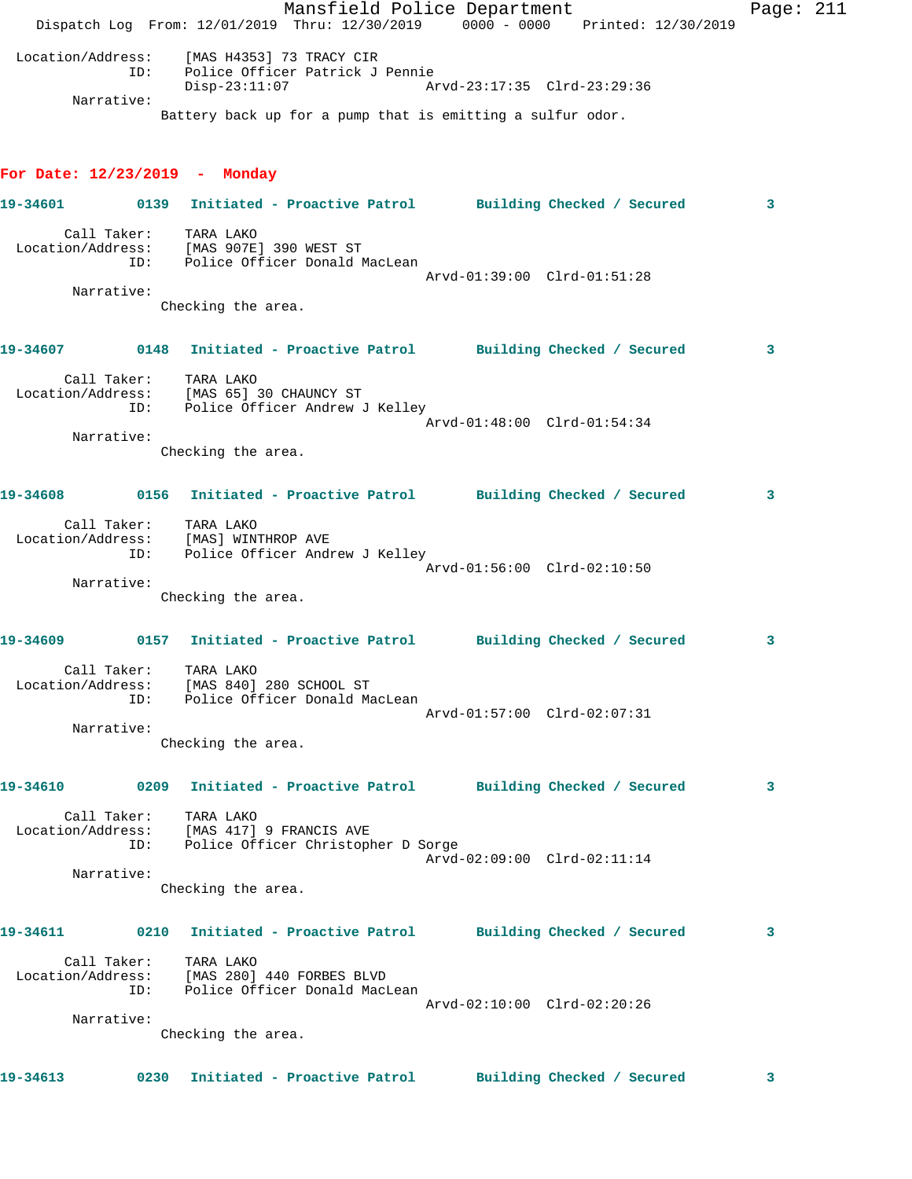Dispatch Log From: 12/01/2019 Thru: 12/30/2019 0000 - 0000 Printed: 12/30/2019 Location/Address: [MAS H4353] 73 TRACY CIR ID: Police Officer Patrick J Pennie Disp-23:11:07 Arvd-23:17:35 Clrd-23:29:36 Narrative: Battery back up for a pump that is emitting a sulfur odor. **For Date: 12/23/2019 - Monday 19-34601 0139 Initiated - Proactive Patrol Building Checked / Secured 3** Call Taker: TARA LAKO Location/Address: [MAS 907E] 390 WEST ST ID: Police Officer Donald MacLean Arvd-01:39:00 Clrd-01:51:28 Narrative: Checking the area. **19-34607 0148 Initiated - Proactive Patrol Building Checked / Secured 3** Call Taker: TARA LAKO Location/Address: [MAS 65] 30 CHAUNCY ST ID: Police Officer Andrew J Kelley Arvd-01:48:00 Clrd-01:54:34 Narrative: Checking the area. **19-34608 0156 Initiated - Proactive Patrol Building Checked / Secured 3** Call Taker: TARA LAKO Location/Address: [MAS] WINTHROP AVE ID: Police Officer Andrew J Kelley Arvd-01:56:00 Clrd-02:10:50 Narrative: Checking the area. **19-34609 0157 Initiated - Proactive Patrol Building Checked / Secured 3** Call Taker: TARA LAKO Location/Address: [MAS 840] 280 SCHOOL ST ID: Police Officer Donald MacLean Arvd-01:57:00 Clrd-02:07:31 Narrative: Checking the area. **19-34610 0209 Initiated - Proactive Patrol Building Checked / Secured 3** Call Taker: TARA LAKO Location/Address: [MAS 417] 9 FRANCIS AVE ID: Police Officer Christopher D Sorge Arvd-02:09:00 Clrd-02:11:14 Narrative: Checking the area. **19-34611 0210 Initiated - Proactive Patrol Building Checked / Secured 3** Call Taker: TARA LAKO Location/Address: [MAS 280] 440 FORBES BLVD ID: Police Officer Donald MacLean Arvd-02:10:00 Clrd-02:20:26 Narrative: Checking the area. **19-34613 0230 Initiated - Proactive Patrol Building Checked / Secured 3**

Mansfield Police Department Page: 211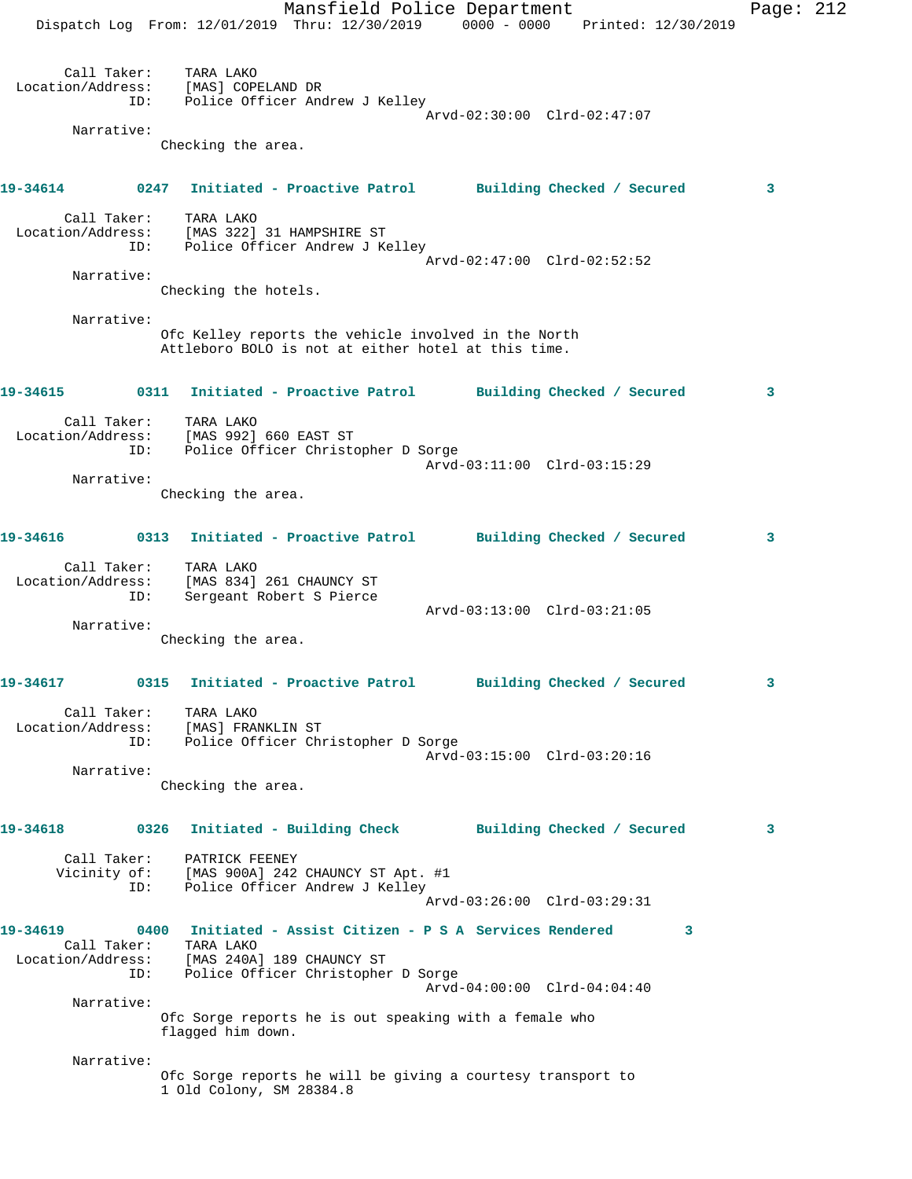Mansfield Police Department Fage: 212 Dispatch Log From: 12/01/2019 Thru: 12/30/2019 0000 - 0000 Printed: 12/30/2019 Call Taker: TARA LAKO Location/Address: [MAS] COPELAND DR ID: Police Officer Andrew J Kelley Arvd-02:30:00 Clrd-02:47:07 Narrative: Checking the area. **19-34614 0247 Initiated - Proactive Patrol Building Checked / Secured 3** Call Taker: TARA LAKO Location/Address: [MAS 322] 31 HAMPSHIRE ST ID: Police Officer Andrew J Kelley Arvd-02:47:00 Clrd-02:52:52 Narrative: Checking the hotels. Narrative: Ofc Kelley reports the vehicle involved in the North Attleboro BOLO is not at either hotel at this time. **19-34615 0311 Initiated - Proactive Patrol Building Checked / Secured 3** Call Taker: TARA LAKO Location/Address: [MAS 992] 660 EAST ST ID: Police Officer Christopher D Sorge Arvd-03:11:00 Clrd-03:15:29 Narrative: Checking the area. **19-34616 0313 Initiated - Proactive Patrol Building Checked / Secured 3** Call Taker: TARA LAKO Location/Address: [MAS 834] 261 CHAUNCY ST ID: Sergeant Robert S Pierce Arvd-03:13:00 Clrd-03:21:05 Narrative: Checking the area. **19-34617 0315 Initiated - Proactive Patrol Building Checked / Secured 3** Call Taker: TARA LAKO Location/Address: [MAS] FRANKLIN ST ID: Police Officer Christopher D Sorge Arvd-03:15:00 Clrd-03:20:16 Narrative: Checking the area. **19-34618 0326 Initiated - Building Check Building Checked / Secured 3** Call Taker: PATRICK FEENEY Vicinity of: [MAS 900A] 242 CHAUNCY ST Apt. #1 ID: Police Officer Andrew J Kelley Arvd-03:26:00 Clrd-03:29:31 **19-34619 0400 Initiated - Assist Citizen - P S A Services Rendered 3**  Call Taker: TARA LAKO Location/Address: [MAS 240A] 189 CHAUNCY ST ID: Police Officer Christopher D Sorge Arvd-04:00:00 Clrd-04:04:40 Narrative: Ofc Sorge reports he is out speaking with a female who flagged him down. Narrative: Ofc Sorge reports he will be giving a courtesy transport to 1 Old Colony, SM 28384.8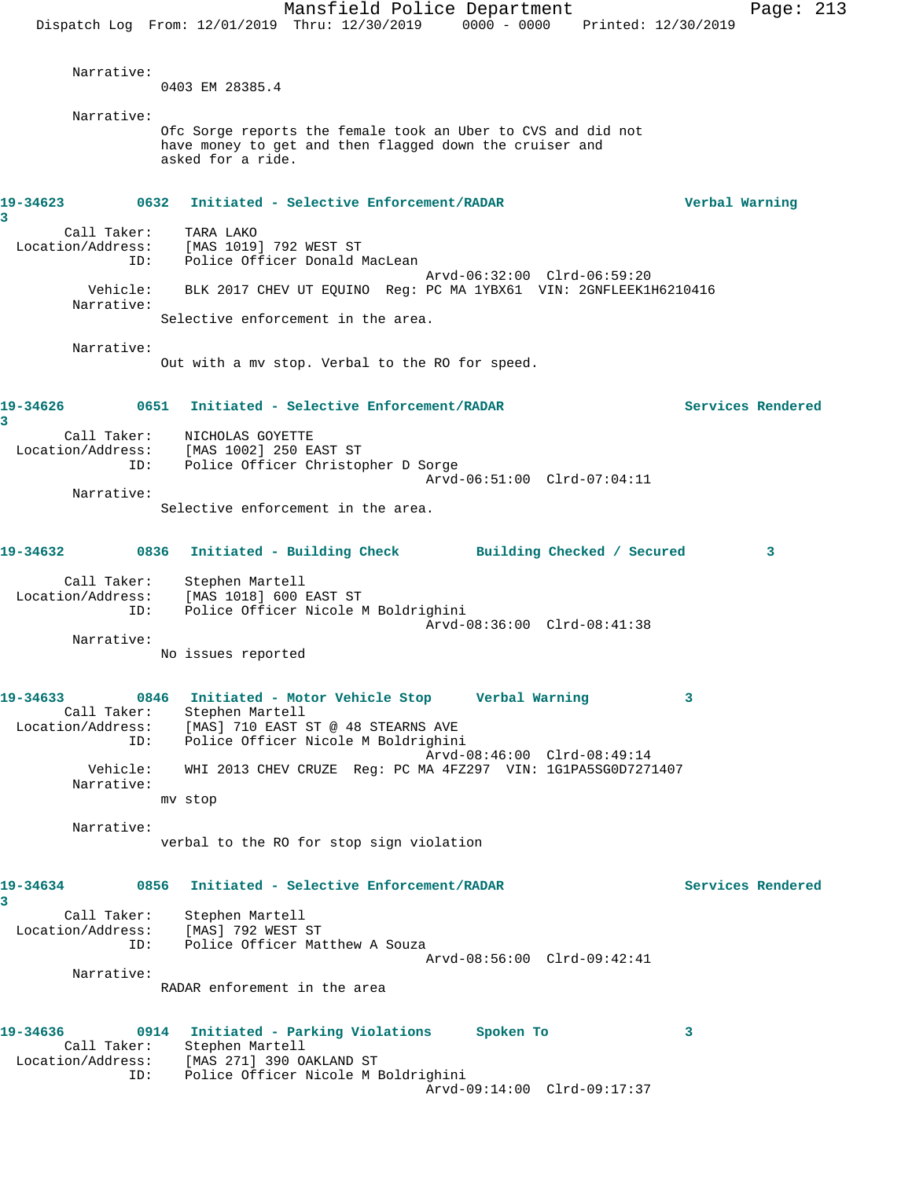Mansfield Police Department Page: 213 Dispatch Log From: 12/01/2019 Thru: 12/30/2019 0000 - 0000 Printed: 12/30/2019 Narrative: 0403 EM 28385.4 Narrative: Ofc Sorge reports the female took an Uber to CVS and did not have money to get and then flagged down the cruiser and asked for a ride. **19-34623 0632 Initiated - Selective Enforcement/RADAR Verbal Warning 3**  Call Taker: TARA LAKO Location/Address: [MAS 1019] 792 WEST ST ID: Police Officer Donald MacLean Arvd-06:32:00 Clrd-06:59:20 Vehicle: BLK 2017 CHEV UT EQUINO Reg: PC MA 1YBX61 VIN: 2GNFLEEK1H6210416 Narrative: Selective enforcement in the area. Narrative: Out with a mv stop. Verbal to the RO for speed. **19-34626 0651 Initiated - Selective Enforcement/RADAR Services Rendered 3**  Call Taker: NICHOLAS GOYETTE Location/Address: [MAS 1002] 250 EAST ST ID: Police Officer Christopher D Sorge Arvd-06:51:00 Clrd-07:04:11 Narrative: Selective enforcement in the area. **19-34632 0836 Initiated - Building Check Building Checked / Secured 3** Call Taker: Stephen Martell Location/Address: [MAS 1018] 600 EAST ST Police Officer Nicole M Boldrighini Arvd-08:36:00 Clrd-08:41:38 Narrative: No issues reported **19-34633 0846 Initiated - Motor Vehicle Stop Verbal Warning 3**  Call Taker: Stephen Martell Location/Address: [MAS] 710 EAST ST @ 48 STEARNS AVE ID: Police Officer Nicole M Boldrighini Arvd-08:46:00 Clrd-08:49:14 Vehicle: WHI 2013 CHEV CRUZE Reg: PC MA 4FZ297 VIN: 1G1PA5SG0D7271407 Narrative: mv stop Narrative: verbal to the RO for stop sign violation **19-34634 0856 Initiated - Selective Enforcement/RADAR Services Rendered 3**  Call Taker: Stephen Martell Location/Address: [MAS] 792 WEST ST ID: Police Officer Matthew A Souza Arvd-08:56:00 Clrd-09:42:41 Narrative: RADAR enforement in the area **19-34636 0914 Initiated - Parking Violations Spoken To 3**  Call Taker: Stephen Martell Location/Address: [MAS 271] 390 OAKLAND ST ID: Police Officer Nicole M Boldrighini Arvd-09:14:00 Clrd-09:17:37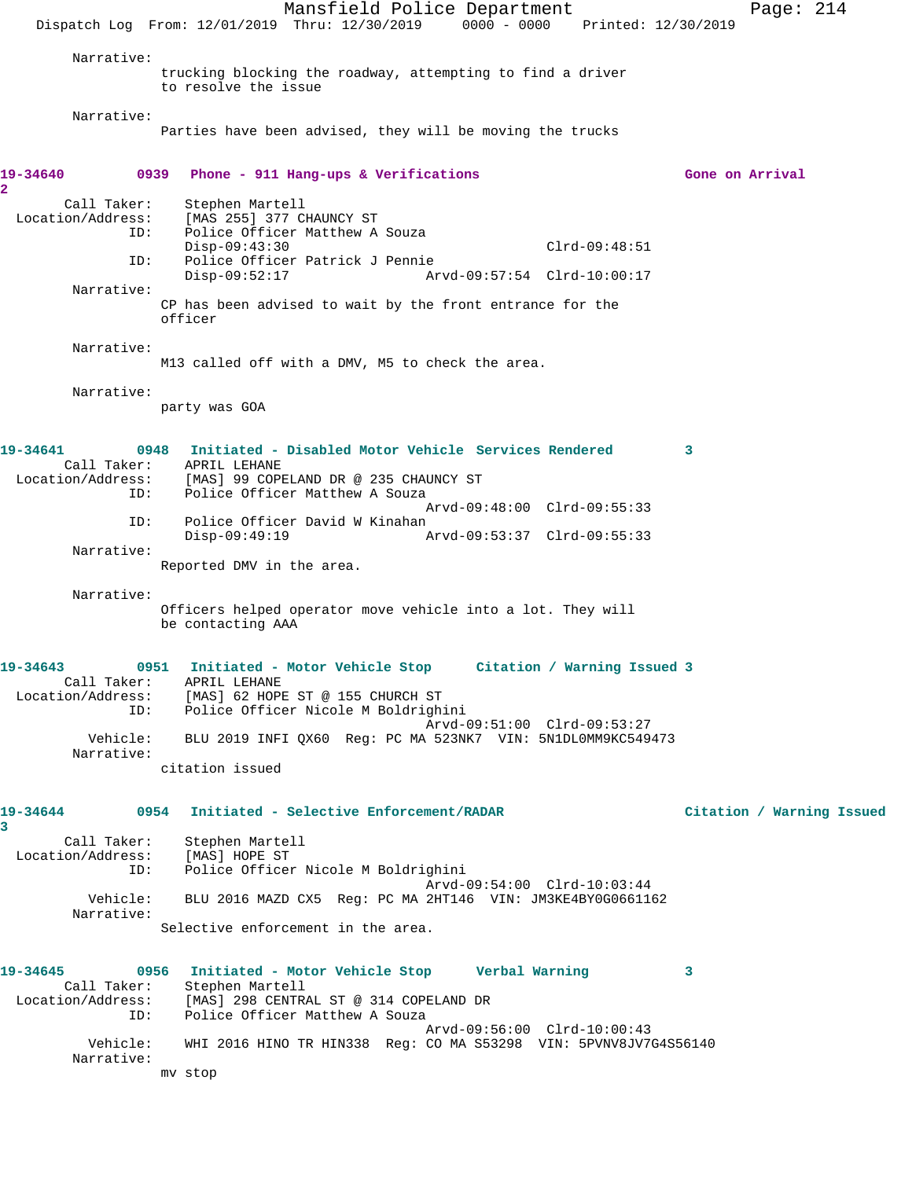Mansfield Police Department Page: 214 Dispatch Log From: 12/01/2019 Thru: 12/30/2019 0000 - 0000 Printed: 12/30/2019 Narrative: trucking blocking the roadway, attempting to find a driver to resolve the issue Narrative: Parties have been advised, they will be moving the trucks **19-34640 0939 Phone - 911 Hang-ups & Verifications Gone on Arrival 2**  Call Taker: Stephen Martell Location/Address: [MAS 255] 377 CHAUNCY ST ID: Police Officer Matthew A Souza Disp-09:43:30 Clrd-09:48:51 ID: Police Officer Patrick J Pennie Disp-09:52:17 Arvd-09:57:54 Clrd-10:00:17 Narrative: CP has been advised to wait by the front entrance for the officer Narrative: M13 called off with a DMV, M5 to check the area. Narrative: party was GOA **19-34641 0948 Initiated - Disabled Motor Vehicle Services Rendered 3**  Call Taker: APRIL LEHANE Location/Address: [MAS] 99 COPELAND DR @ 235 CHAUNCY ST ID: Police Officer Matthew A Souza Arvd-09:48:00 Clrd-09:55:33 ID: Police Officer David W Kinahan<br>Disp-09:49:19 Disp-09:49:19 Arvd-09:53:37 Clrd-09:55:33 Narrative: Reported DMV in the area. Narrative: Officers helped operator move vehicle into a lot. They will be contacting AAA **19-34643 0951 Initiated - Motor Vehicle Stop Citation / Warning Issued 3**  Call Taker: APRIL LEHANE Location/Address: [MAS] 62 HOPE ST @ 155 CHURCH ST ID: Police Officer Nicole M Boldrighini Arvd-09:51:00 Clrd-09:53:27 Vehicle: BLU 2019 INFI QX60 Reg: PC MA 523NK7 VIN: 5N1DL0MM9KC549473 Narrative: citation issued **19-34644 0954 Initiated - Selective Enforcement/RADAR Citation / Warning Issued 3**  Call Taker: Stephen Martell Location/Address: [MAS] HOPE ST ID: Police Officer Nicole M Boldrighini Arvd-09:54:00 Clrd-10:03:44 Vehicle: BLU 2016 MAZD CX5 Reg: PC MA 2HT146 VIN: JM3KE4BY0G0661162 Narrative: Selective enforcement in the area. **19-34645 0956 Initiated - Motor Vehicle Stop Verbal Warning 3**  Call Taker: Stephen Martell Location/Address: [MAS] 298 CENTRAL ST @ 314 COPELAND DR ID: Police Officer Matthew A Souza Arvd-09:56:00 Clrd-10:00:43 Vehicle: WHI 2016 HINO TR HIN338 Reg: CO MA S53298 VIN: 5PVNV8JV7G4S56140 Narrative: mv stop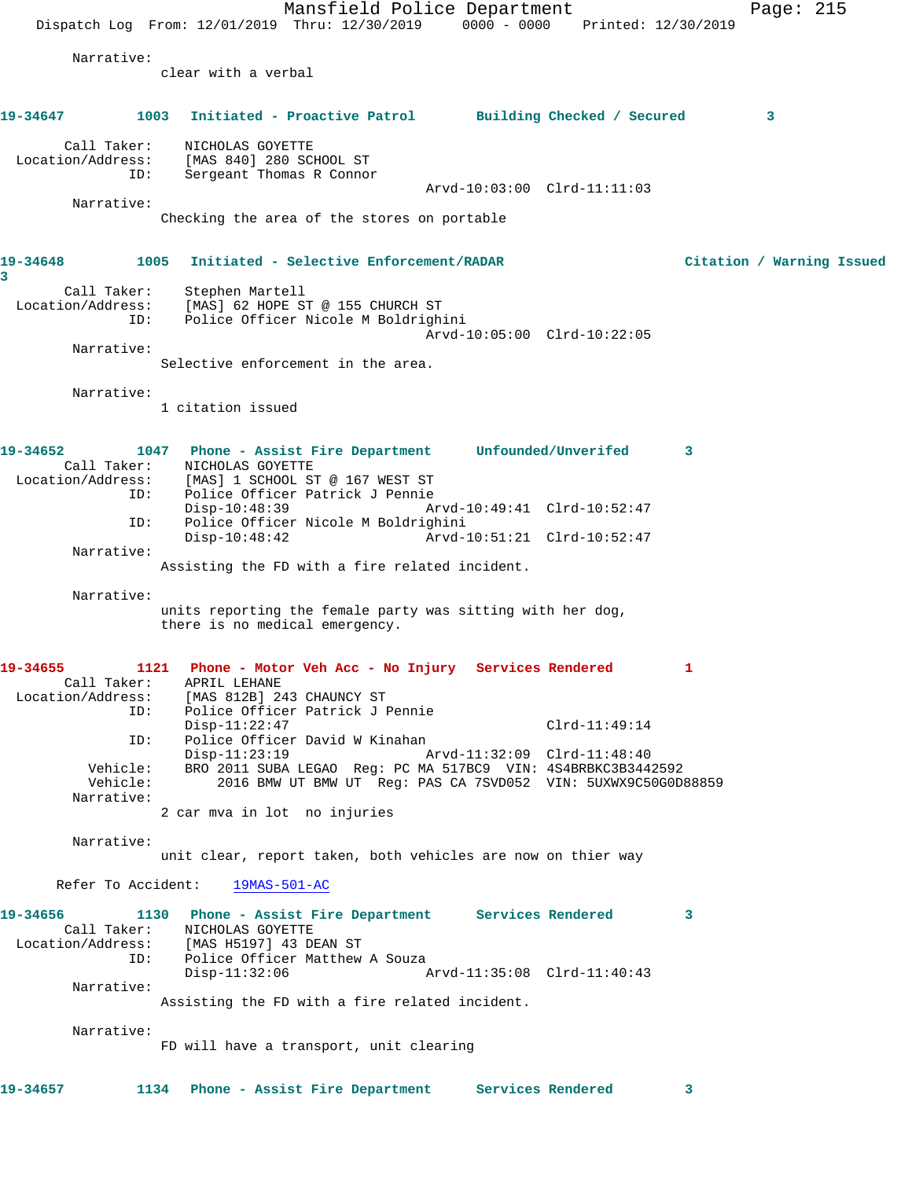Mansfield Police Department Page: 215 Dispatch Log From: 12/01/2019 Thru: 12/30/2019 0000 - 0000 Printed: 12/30/2019 Narrative: clear with a verbal **19-34647 1003 Initiated - Proactive Patrol Building Checked / Secured 3** Call Taker: NICHOLAS GOYETTE Location/Address: [MAS 840] 280 SCHOOL ST ID: Sergeant Thomas R Connor Arvd-10:03:00 Clrd-11:11:03 Narrative: Checking the area of the stores on portable **19-34648 1005 Initiated - Selective Enforcement/RADAR Citation / Warning Issued 3**  Call Taker: Stephen Martell Location/Address: [MAS] 62 HOPE ST @ 155 CHURCH ST ID: Police Officer Nicole M Boldrighini Arvd-10:05:00 Clrd-10:22:05 Narrative: Selective enforcement in the area. Narrative: 1 citation issued **19-34652 1047 Phone - Assist Fire Department Unfounded/Unverifed 3**  Call Taker: NICHOLAS GOYETTE<br>Location/Address: [MAS] 1 SCHOOL ST [MAS] 1 SCHOOL ST @ 167 WEST ST ID: Police Officer Patrick J Pennie Disp-10:48:39 Arvd-10:49:41 Clrd-10:52:47 ID: Police Officer Nicole M Boldrighini Arvd-10:51:21 Clrd-10:52:47 Narrative: Assisting the FD with a fire related incident. Narrative: units reporting the female party was sitting with her dog, there is no medical emergency. **19-34655 1121 Phone - Motor Veh Acc - No Injury Services Rendered 1**  Call Taker: APRIL LEHANE Location/Address: [MAS 812B] 243 CHAUNCY ST ID: Police Officer Patrick J Pennie Disp-11:22:47 Clrd-11:49:14 ID: Police Officer David W Kinahan Disp-11:23:19 Arvd-11:32:09 Clrd-11:48:40 Vehicle: BRO 2011 SUBA LEGAO Reg: PC MA 517BC9 VIN: 4S4BRBKC3B3442592 Vehicle: 2016 BMW UT BMW UT Reg: PAS CA 7SVD052 VIN: 5UXWX9C50G0D88859 Narrative: 2 car mva in lot no injuries Narrative: unit clear, report taken, both vehicles are now on thier way Refer To Accident: 19MAS-501-AC **19-34656 1130 Phone - Assist Fire Department Services Rendered 3**  Call Taker: NICHOLAS GOYETTE Location/Address: [MAS H5197] 43 DEAN ST<br>ID: Police Officer Matthew Police Officer Matthew A Souza<br>Disp-11:32:06 1 Disp-11:32:06 Arvd-11:35:08 Clrd-11:40:43 Narrative: Assisting the FD with a fire related incident. Narrative: FD will have a transport, unit clearing **19-34657 1134 Phone - Assist Fire Department Services Rendered 3**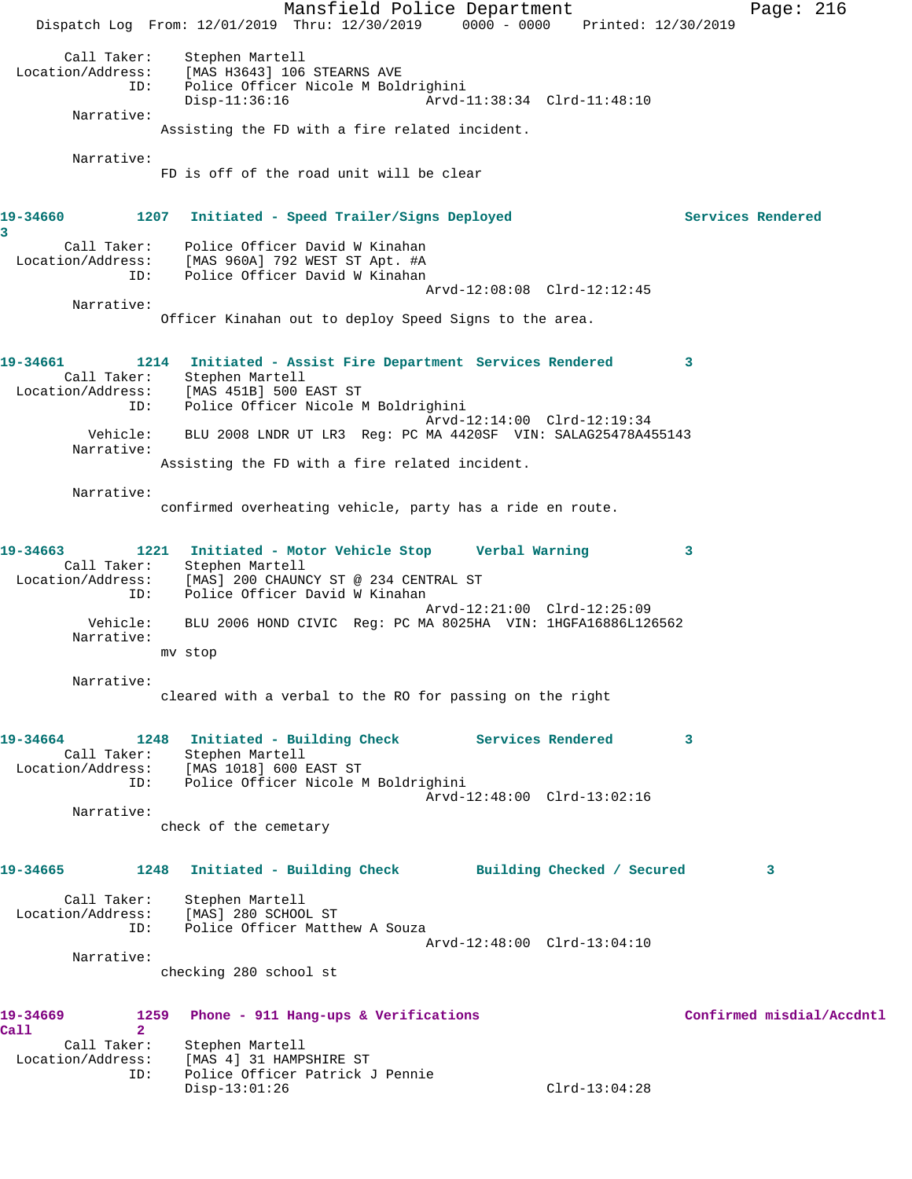Mansfield Police Department Page: 216 Dispatch Log From: 12/01/2019 Thru: 12/30/2019 0000 - 0000 Printed: 12/30/2019 Call Taker: Stephen Martell Location/Address: [MAS H3643] 106 STEARNS AVE ID: Police Officer Nicole M Boldrighini Disp-11:36:16 Arvd-11:38:34 Clrd-11:48:10 Narrative: Assisting the FD with a fire related incident. Narrative: FD is off of the road unit will be clear **19-34660 1207 Initiated - Speed Trailer/Signs Deployed Services Rendered 3**  Call Taker: Police Officer David W Kinahan Location/Address: [MAS 960A] 792 WEST ST Apt. #A ID: Police Officer David W Kinahan Arvd-12:08:08 Clrd-12:12:45 Narrative: Officer Kinahan out to deploy Speed Signs to the area. **19-34661 1214 Initiated - Assist Fire Department Services Rendered 3**  Call Taker: Stephen Martell<br>Location/Address: [MAS 451B] 500 1 [MAS 451B] 500 EAST ST ESS. THE ISS CONTROLLED: Police Officer Nicole M Boldrighini Arvd-12:14:00 Clrd-12:19:34 Vehicle: BLU 2008 LNDR UT LR3 Reg: PC MA 4420SF VIN: SALAG25478A455143 Narrative: Assisting the FD with a fire related incident. Narrative: confirmed overheating vehicle, party has a ride en route. **19-34663 1221 Initiated - Motor Vehicle Stop Verbal Warning 3**  Call Taker: Stephen Martell<br>ion/Adress: [MAS] 200 CHAINM Location/Address: [MAS] 200 CHAUNCY ST @ 234 CENTRAL ST ESS: ITHING 200 CHILICAL CONSIDERS<br>ID: Police Officer David W Kinahan Arvd-12:21:00 Clrd-12:25:09 Vehicle: BLU 2006 HOND CIVIC Reg: PC MA 8025HA VIN: 1HGFA16886L126562 Narrative: mv stop Narrative: cleared with a verbal to the RO for passing on the right **19-34664 1248 Initiated - Building Check Services Rendered 3**  Call Taker: Stephen Martell Location/Address: [MAS 1018] 600 EAST ST ID: Police Officer Nicole M Boldrighini Arvd-12:48:00 Clrd-13:02:16 Narrative: check of the cemetary **19-34665 1248 Initiated - Building Check Building Checked / Secured 3** Call Taker: Stephen Martell Location/Address: [MAS] 280 SCHOOL ST ID: Police Officer Matthew A Souza Arvd-12:48:00 Clrd-13:04:10 Narrative: checking 280 school st **19-34669 1259 Phone - 911 Hang-ups & Verifications Confirmed misdial/Accdntl Call 2**  Call Taker: Stephen Martell<br>Location/Address: [MAS 4] 31 HAMP ess: [MAS 4] 31 HAMPSHIRE ST<br>ID: Police Officer Patrick Police Officer Patrick J Pennie<br>Disp-13:01:26 Disp-13:01:26 Clrd-13:04:28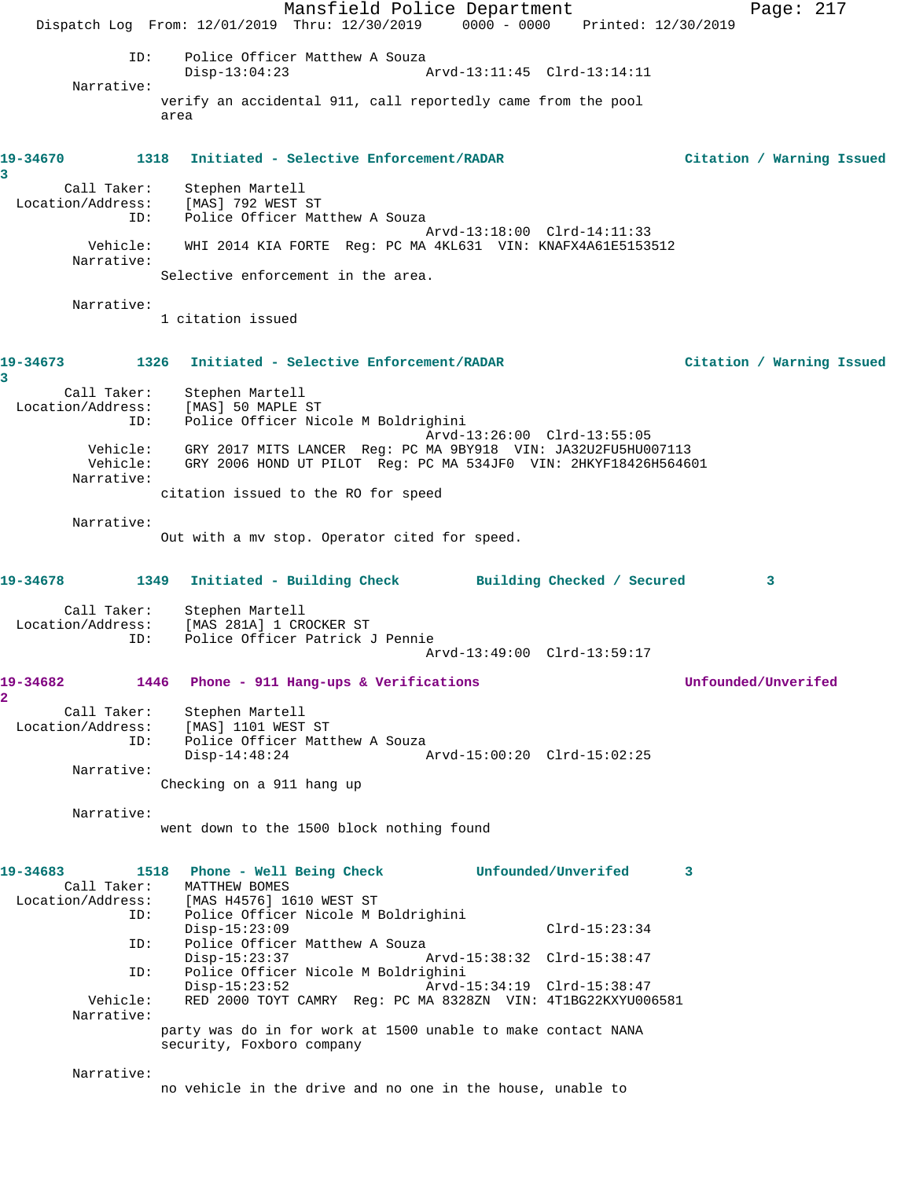Mansfield Police Department Fage: 217 Dispatch Log From: 12/01/2019 Thru: 12/30/2019 0000 - 0000 Printed: 12/30/2019 ID: Police Officer Matthew A Souza<br>Disp-13:04:23 A Disp-13:04:23 Arvd-13:11:45 Clrd-13:14:11 Narrative: verify an accidental 911, call reportedly came from the pool area **19-34670 1318 Initiated - Selective Enforcement/RADAR Citation / Warning Issued 3**  Call Taker: Stephen Martell Location/Address: [MAS] 792 WEST ST ID: Police Officer Matthew A Souza Arvd-13:18:00 Clrd-14:11:33 Vehicle: WHI 2014 KIA FORTE Reg: PC MA 4KL631 VIN: KNAFX4A61E5153512 Narrative: Selective enforcement in the area. Narrative: 1 citation issued **19-34673 1326 Initiated - Selective Enforcement/RADAR Citation / Warning Issued 3**  Call Taker: Stephen Martell Location/Address: [MAS] 50 MAPLE ST ID: Police Officer Nicole M Boldrighini Arvd-13:26:00 Clrd-13:55:05 Vehicle: GRY 2017 MITS LANCER Reg: PC MA 9BY918 VIN: JA32U2FU5HU007113 Vehicle: GRY 2006 HOND UT PILOT Reg: PC MA 534JF0 VIN: 2HKYF18426H564601 Narrative: citation issued to the RO for speed Narrative: Out with a mv stop. Operator cited for speed. **19-34678 1349 Initiated - Building Check Building Checked / Secured 3** Call Taker: Stephen Martell Location/Address: [MAS 281A] 1 CROCKER ST ID: Police Officer Patrick J Pennie Arvd-13:49:00 Clrd-13:59:17 **19-34682 1446 Phone - 911 Hang-ups & Verifications Unfounded/Unverifed 2**  Call Taker: Stephen Martell Location/Address: [MAS] 1101 WEST ST ID: Police Officer Matthew A Souza  $Disp-14:48:24$  Narrative: Checking on a 911 hang up Narrative: went down to the 1500 block nothing found **19-34683 1518 Phone - Well Being Check Unfounded/Unverifed 3**  Call Taker: MATTHEW BOMES Location/Address: [MAS H4576] 1610 WEST ST ID: Police Officer Nicole M Boldrighini Disp-15:23:09 Clrd-15:23:34<br>ID: Police Officer Matthew A Souza Police Officer Matthew A Souza<br>Disp-15:23:37 Disp-15:23:37 Arvd-15:38:32 Clrd-15:38:47<br>ID: Police Officer Nicole M Boldrighini ID: Police Officer Nicole M Boldrighini Disp-15:23:52 Arvd-15:34:19 Clrd-15:38:47 Vehicle: RED 2000 TOYT CAMRY Reg: PC MA 8328ZN VIN: 4T1BG22KXYU006581 Narrative: party was do in for work at 1500 unable to make contact NANA security, Foxboro company Narrative: no vehicle in the drive and no one in the house, unable to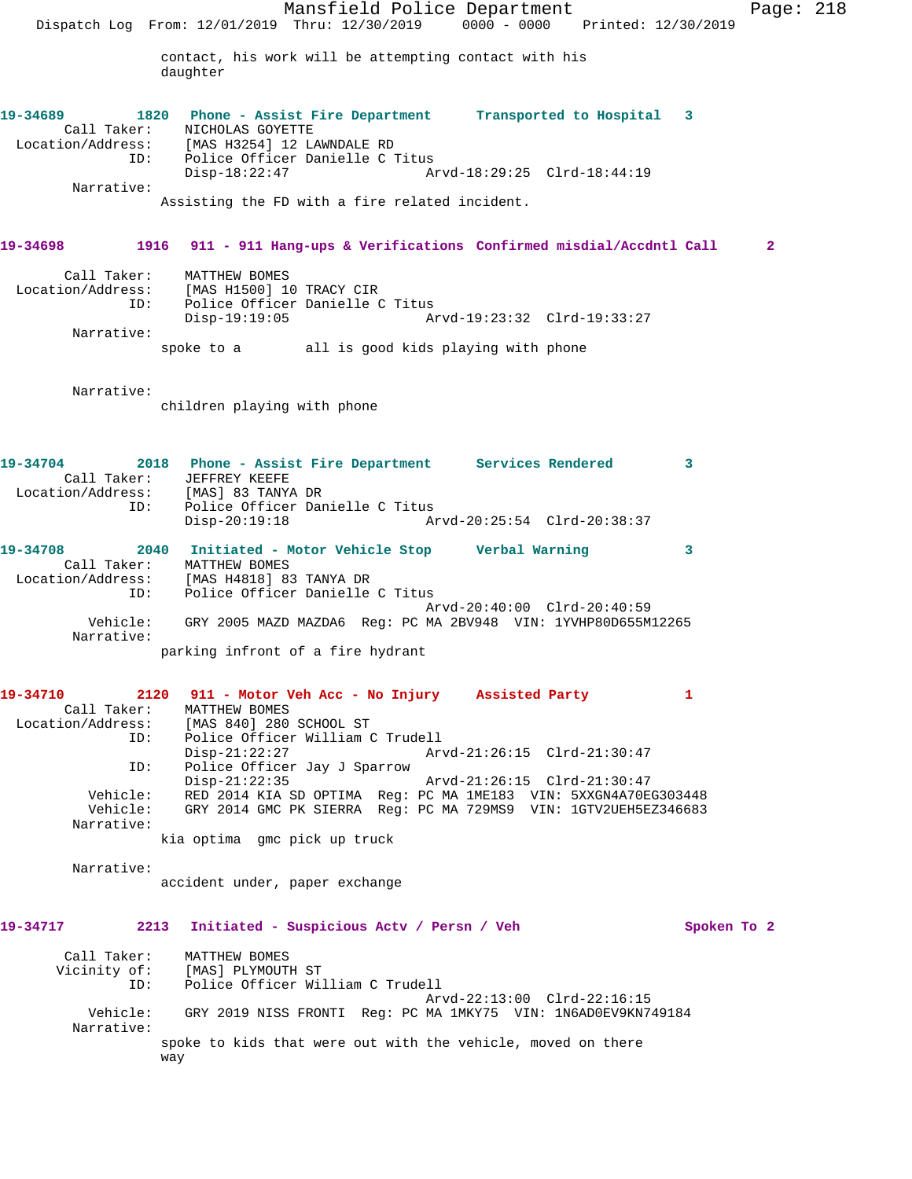Mansfield Police Department Page: 218 Dispatch Log From: 12/01/2019 Thru: 12/30/2019 0000 - 0000 Printed: 12/30/2019 contact, his work will be attempting contact with his daughter **19-34689 1820 Phone - Assist Fire Department Transported to Hospital 3**  Call Taker: NICHOLAS GOYETTE Location/Address: [MAS H3254] 12 LAWNDALE RD ID: Police Officer Danielle C Titus Disp-18:22:47 Arvd-18:29:25 Clrd-18:44:19 Narrative: Assisting the FD with a fire related incident. **19-34698 1916 911 - 911 Hang-ups & Verifications Confirmed misdial/Accdntl Call 2** Call Taker: MATTHEW BOMES Location/Address: [MAS H1500] 10 TRACY CIR ID: Police Officer Danielle C Titus Disp-19:19:05 Arvd-19:23:32 Clrd-19:33:27 Narrative: spoke to a all is good kids playing with phone Narrative: children playing with phone **19-34704 2018 Phone - Assist Fire Department Services Rendered 3**  Call Taker: JEFFREY KEEFE Location/Address: [MAS] 83 TANYA DR ID: Police Officer Danielle C Titus Disp-20:19:18 Arvd-20:25:54 Clrd-20:38:37 **19-34708 2040 Initiated - Motor Vehicle Stop Verbal Warning 3**  Call Taker: MATTHEW BOMES Location/Address: [MAS H4818] 83 TANYA DR ID: Police Officer Danielle C Titus Arvd-20:40:00 Clrd-20:40:59 Vehicle: GRY 2005 MAZD MAZDA6 Reg: PC MA 2BV948 VIN: 1YVHP80D655M12265 Narrative: parking infront of a fire hydrant **19-34710 2120 911 - Motor Veh Acc - No Injury Assisted Party 1**  Call Taker: MATTHEW BOMES Location/Address: [MAS 840] 280 SCHOOL ST ID: Police Officer William C Trudell Disp-21:22:27 Arvd-21:26:15 Clrd-21:30:47<br>TD: Police Officer Jav J Sparrow Police Officer Jay J Sparrow Disp-21:22:35 Arvd-21:26:15 Clrd-21:30:47 Vehicle: RED 2014 KIA SD OPTIMA Reg: PC MA 1ME183 VIN: 5XXGN4A70EG303448 Vehicle: GRY 2014 GMC PK SIERRA Reg: PC MA 729MS9 VIN: 1GTV2UEH5EZ346683 Narrative: kia optima gmc pick up truck Narrative: accident under, paper exchange **19-34717 2213 Initiated - Suspicious Actv / Persn / Veh Spoken To 2** Call Taker: MATTHEW BOMES Vicinity of: [MAS] PLYMOUTH ST ID: Police Officer William C Trudell Arvd-22:13:00 Clrd-22:16:15 Vehicle: GRY 2019 NISS FRONTI Reg: PC MA 1MKY75 VIN: 1N6AD0EV9KN749184 Narrative: spoke to kids that were out with the vehicle, moved on there way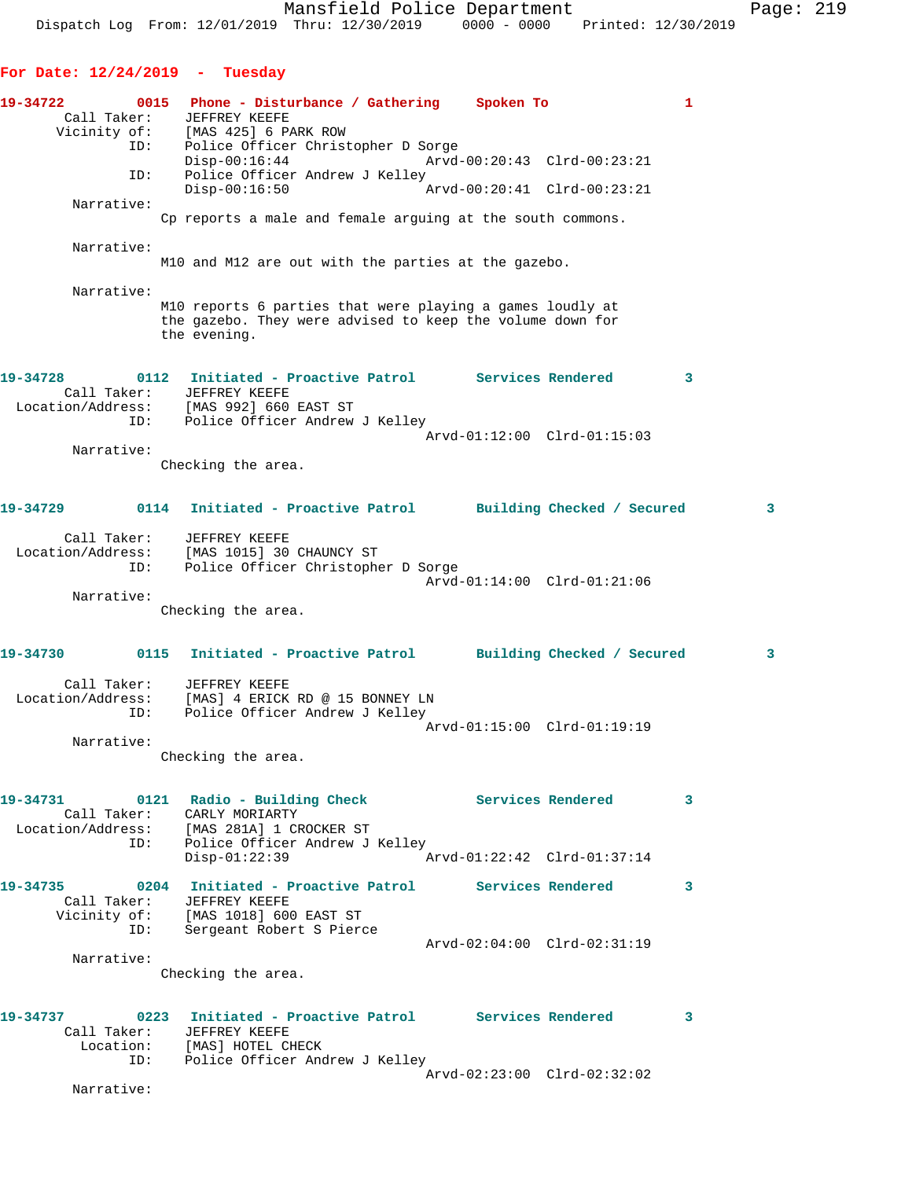Dispatch Log From: 12/01/2019 Thru: 12/30/2019 0000 - 0000 Printed: 12/30/2019

**For Date: 12/24/2019 - Tuesday**

**19-34722 0015 Phone - Disturbance / Gathering Spoken To 1**  Call Taker: JEFFREY KEEFE Vicinity of: [MAS 425] 6 PARK ROW ID: Police Officer Christopher D Sorge Disp-00:16:44 Arvd-00:20:43 Clrd-00:23:21 ID: Police Officer Andrew J Kelley Disp-00:16:50 Arvd-00:20:41 Clrd-00:23:21 Narrative: Cp reports a male and female arguing at the south commons. Narrative: M10 and M12 are out with the parties at the gazebo. Narrative: M10 reports 6 parties that were playing a games loudly at the gazebo. They were advised to keep the volume down for the evening. **19-34728 0112 Initiated - Proactive Patrol Services Rendered 3**  Call Taker: JEFFREY KEEFE Location/Address: [MAS 992] 660 EAST ST ID: Police Officer Andrew J Kelley Arvd-01:12:00 Clrd-01:15:03 Narrative: Checking the area. **19-34729 0114 Initiated - Proactive Patrol Building Checked / Secured 3** Call Taker: JEFFREY KEEFE Location/Address: [MAS 1015] 30 CHAUNCY ST ID: Police Officer Christopher D Sorge Arvd-01:14:00 Clrd-01:21:06 Narrative: Checking the area. **19-34730 0115 Initiated - Proactive Patrol Building Checked / Secured 3** Call Taker: JEFFREY KEEFE Location/Address: [MAS] 4 ERICK RD @ 15 BONNEY LN ID: Police Officer Andrew J Kelley Arvd-01:15:00 Clrd-01:19:19 Narrative: Checking the area. **19-34731 0121 Radio - Building Check Services Rendered 3**  Call Taker: CARLY MORIARTY Location/Address: [MAS 281A] 1 CROCKER ST ID: Police Officer Andrew J Kelley<br>Disp-01:22:39 A Disp-01:22:39 Arvd-01:22:42 Clrd-01:37:14 **19-34735 0204 Initiated - Proactive Patrol Services Rendered 3**  Call Taker: JEFFREY KEEFE Vicinity of: [MAS 1018] 600 EAST ST ID: Sergeant Robert S Pierce Arvd-02:04:00 Clrd-02:31:19 Narrative: Checking the area. **19-34737 0223 Initiated - Proactive Patrol Services Rendered 3**  Call Taker: JEFFREY KEEFE Location: [MAS] HOTEL CHECK ID: Police Officer Andrew J Kelley Arvd-02:23:00 Clrd-02:32:02

Narrative: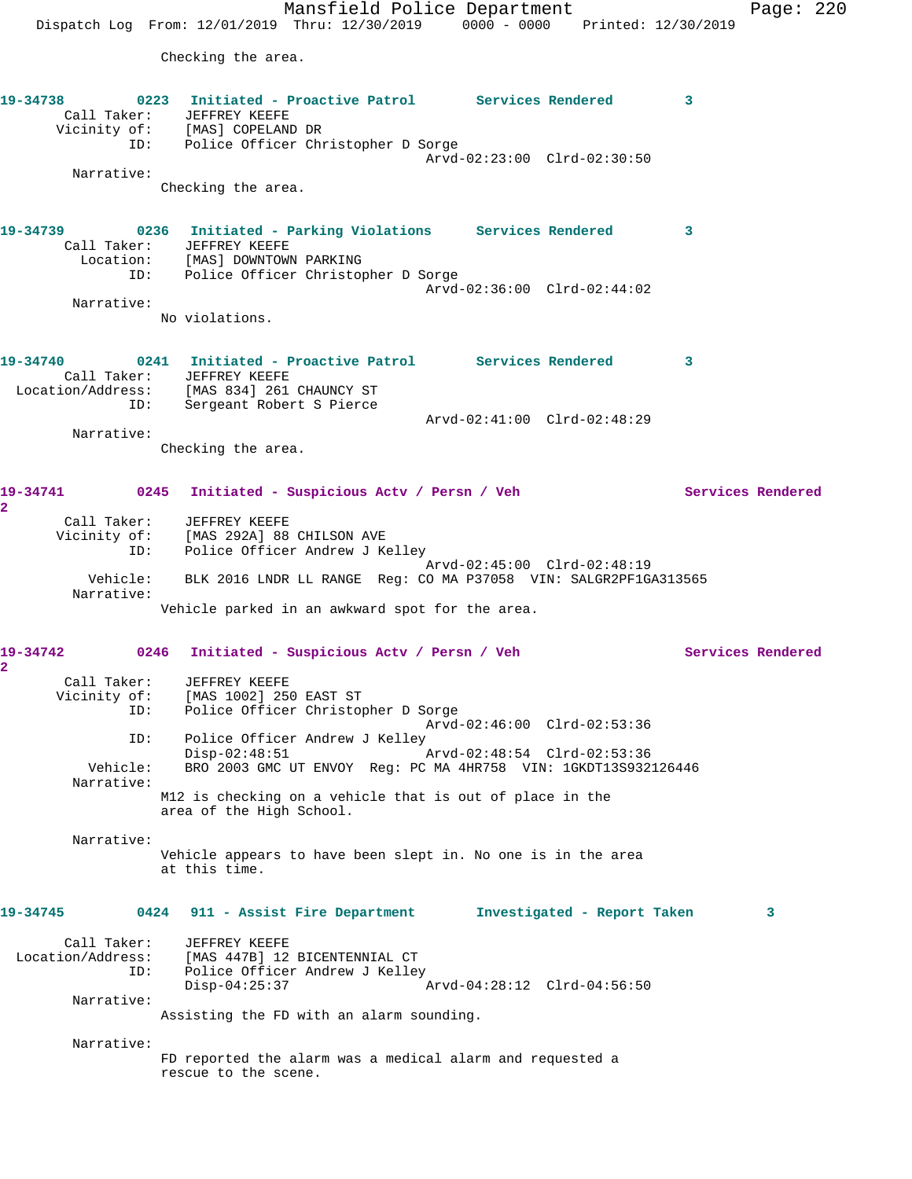Mansfield Police Department Page: 220 Dispatch Log From: 12/01/2019 Thru: 12/30/2019 0000 - 0000 Printed: 12/30/2019 Checking the area. **19-34738 0223 Initiated - Proactive Patrol Services Rendered 3**  Call Taker: JEFFREY KEEFE Vicinity of: [MAS] COPELAND DR ID: Police Officer Christopher D Sorge Arvd-02:23:00 Clrd-02:30:50 Narrative: Checking the area. **19-34739 0236 Initiated - Parking Violations Services Rendered 3**  Call Taker: JEFFREY KEEFE Location: [MAS] DOWNTOWN PARKING ID: Police Officer Christopher D Sorge Arvd-02:36:00 Clrd-02:44:02 Narrative: No violations. **19-34740 0241 Initiated - Proactive Patrol Services Rendered 3**  Call Taker: JEFFREY KEEFE Location/Address: [MAS 834] 261 CHAUNCY ST ID: Sergeant Robert S Pierce Arvd-02:41:00 Clrd-02:48:29 Narrative: Checking the area. **19-34741 0245 Initiated - Suspicious Actv / Persn / Veh Services Rendered 2**  Call Taker: JEFFREY KEEFE Vicinity of: [MAS 292A] 88 CHILSON AVE ID: Police Officer Andrew J Kelley Arvd-02:45:00 Clrd-02:48:19 Vehicle: BLK 2016 LNDR LL RANGE Reg: CO MA P37058 VIN: SALGR2PF1GA313565 Narrative: Vehicle parked in an awkward spot for the area. **19-34742 0246 Initiated - Suspicious Actv / Persn / Veh Services Rendered 2**  Call Taker: JEFFREY KEEFE Vicinity of: [MAS 1002] 250 EAST ST ID: Police Officer Christopher D Sorge Arvd-02:46:00 Clrd-02:53:36 ID: Police Officer Andrew J Kelley<br>Disp-02:48:51 Disp-02:48:51 Arvd-02:48:54 Clrd-02:53:36 Vehicle: BRO 2003 GMC UT ENVOY Reg: PC MA 4HR758 VIN: 1GKDT13S932126446 Narrative: M12 is checking on a vehicle that is out of place in the area of the High School. Narrative: Vehicle appears to have been slept in. No one is in the area at this time. **19-34745 0424 911 - Assist Fire Department Investigated - Report Taken 3** Call Taker: JEFFREY KEEFE Location/Address: [MAS 447B] 12 BICENTENNIAL CT ID: Police Officer Andrew J Kelley<br>Disp-04:25:37 Disp-04:25:37 Arvd-04:28:12 Clrd-04:56:50 Narrative: Assisting the FD with an alarm sounding. Narrative: FD reported the alarm was a medical alarm and requested a

rescue to the scene.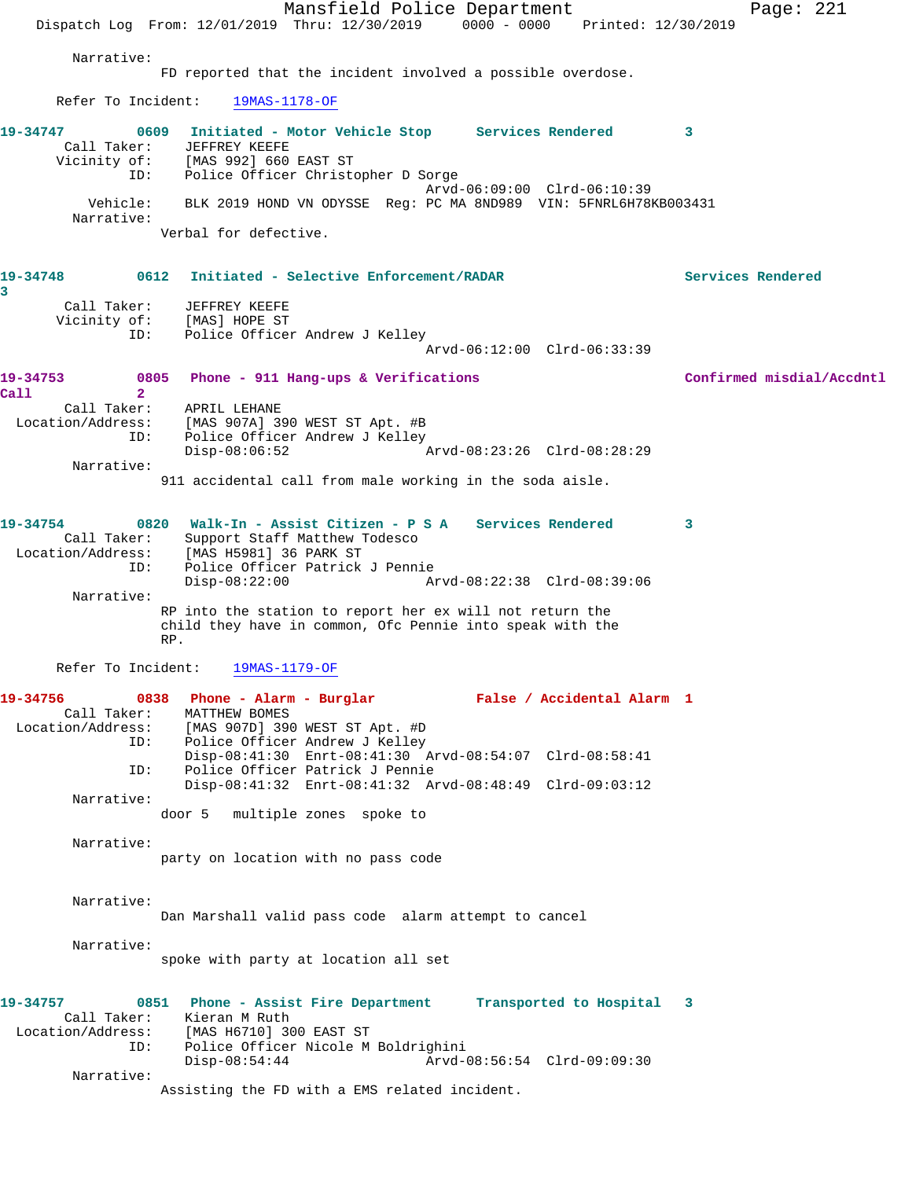Mansfield Police Department Page: 221 Dispatch Log From: 12/01/2019 Thru: 12/30/2019 0000 - 0000 Printed: 12/30/2019 Narrative: FD reported that the incident involved a possible overdose. Refer To Incident: 19MAS-1178-OF **19-34747 0609 Initiated - Motor Vehicle Stop Services Rendered 3**  Call Taker: JEFFREY KEEFE Vicinity of: [MAS 992] 660 EAST ST ID: Police Officer Christopher D Sorge Arvd-06:09:00 Clrd-06:10:39 Vehicle: BLK 2019 HOND VN ODYSSE Reg: PC MA 8ND989 VIN: 5FNRL6H78KB003431 Narrative: Verbal for defective. **19-34748 0612 Initiated - Selective Enforcement/RADAR Services Rendered 3**  Call Taker: JEFFREY KEEFE Vicinity of: [MAS] HOPE ST ID: Police Officer Andrew J Kelley Arvd-06:12:00 Clrd-06:33:39 **19-34753 0805 Phone - 911 Hang-ups & Verifications Confirmed misdial/Accdntl Call 2**  Call Taker: APRIL LEHANE Location/Address: [MAS 907A] 390 WEST ST Apt. #B ID: Police Officer Andrew J Kelley<br>Disp-08:06:52 Disp-08:06:52 Arvd-08:23:26 Clrd-08:28:29 Narrative: 911 accidental call from male working in the soda aisle. **19-34754 0820 Walk-In - Assist Citizen - P S A Services Rendered 3**  Call Taker: Support Staff Matthew Todesco Location/Address: [MAS H5981] 36 PARK ST ID: Police Officer Patrick J Pennie Disp-08:22:00 Arvd-08:22:38 Clrd-08:39:06 Narrative: RP into the station to report her ex will not return the child they have in common, Ofc Pennie into speak with the RP. Refer To Incident: 19MAS-1179-OF **19-34756 0838 Phone - Alarm - Burglar False / Accidental Alarm 1**  Call Taker: MATTHEW BOMES Location/Address: [MAS 907D] 390 WEST ST Apt. #D ID: Police Officer Andrew J Kelley Disp-08:41:30 Enrt-08:41:30 Arvd-08:54:07 Clrd-08:58:41<br>ID: Police Officer Patrick J Pennie Police Officer Patrick J Pennie Disp-08:41:32 Enrt-08:41:32 Arvd-08:48:49 Clrd-09:03:12 Narrative: door 5 multiple zones spoke to Narrative: party on location with no pass code Narrative: Dan Marshall valid pass code alarm attempt to cancel Narrative: spoke with party at location all set **19-34757 0851 Phone - Assist Fire Department Transported to Hospital 3**  Call Taker: Kieran M Ruth Location/Address: [MAS H6710] 300 EAST ST ID: Police Officer Nicole M Boldrighini Disp-08:54:44 Arvd-08:56:54 Clrd-09:09:30 Narrative: Assisting the FD with a EMS related incident.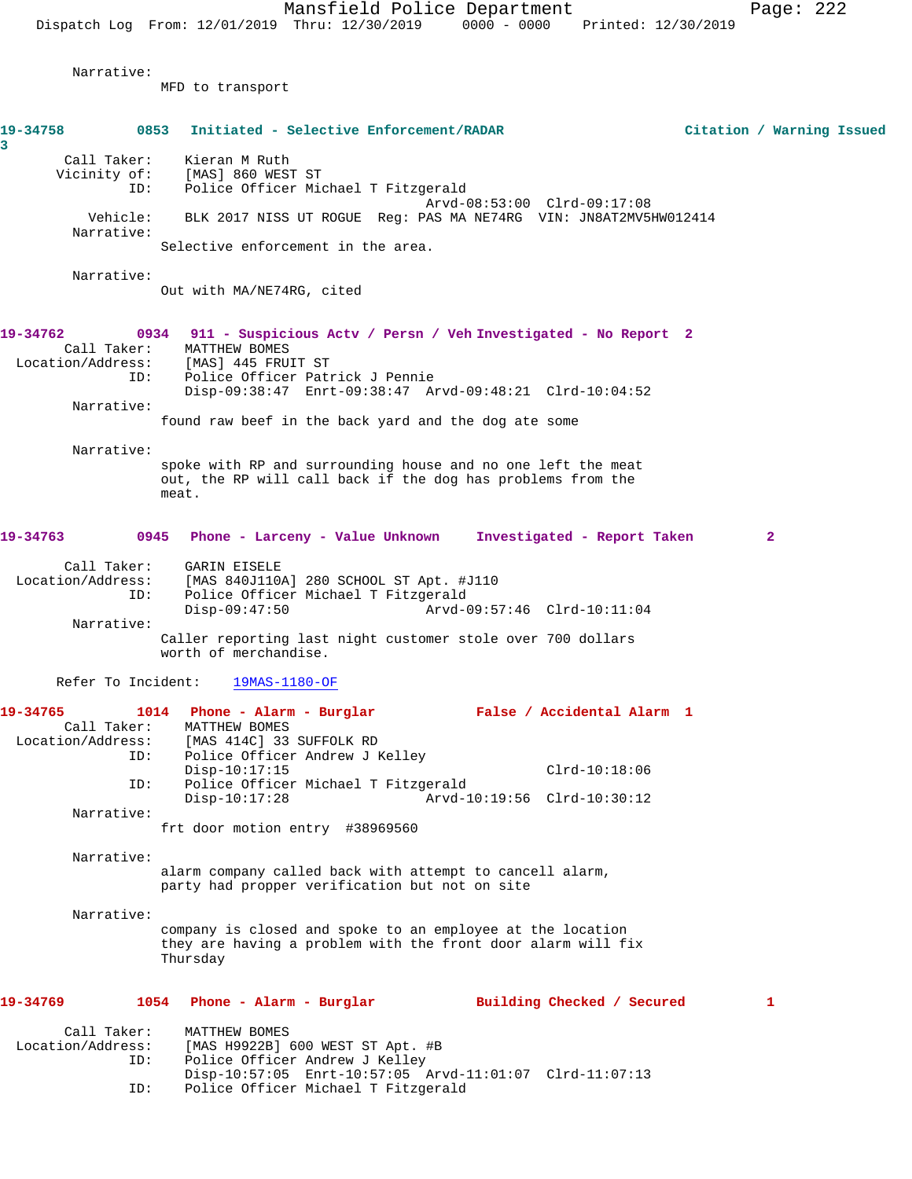Narrative:

MFD to transport

| 19-34758<br>3                                              | 0853 Initiated - Selective Enforcement/RADAR                                                                                                                                                                                                                            | Citation / Warning Issued |
|------------------------------------------------------------|-------------------------------------------------------------------------------------------------------------------------------------------------------------------------------------------------------------------------------------------------------------------------|---------------------------|
| Call Taker:<br>Vicinity of:                                | Kieran M Ruth<br>[MAS] 860 WEST ST<br>Police Officer Michael T Fitzgerald<br>ID:                                                                                                                                                                                        |                           |
| Vehicle:<br>Narrative:                                     | Arvd-08:53:00 Clrd-09:17:08<br>BLK 2017 NISS UT ROGUE Req: PAS MA NE74RG VIN: JN8AT2MV5HW012414                                                                                                                                                                         |                           |
|                                                            | Selective enforcement in the area.                                                                                                                                                                                                                                      |                           |
| Narrative:                                                 | Out with MA/NE74RG, cited                                                                                                                                                                                                                                               |                           |
| 19-34762<br>Call Taker:<br>Location/Address:<br>Narrative: | 0934 911 - Suspicious Actv / Persn / Veh Investigated - No Report 2<br>MATTHEW BOMES<br>[MAS] 445 FRUIT ST<br>Police Officer Patrick J Pennie<br>ID:<br>Disp-09:38:47 Enrt-09:38:47 Arvd-09:48:21 Clrd-10:04:52<br>found raw beef in the back yard and the dog ate some |                           |
| Narrative:                                                 | spoke with RP and surrounding house and no one left the meat<br>out, the RP will call back if the dog has problems from the<br>meat.                                                                                                                                    |                           |
| 19-34763                                                   | 0945 Phone - Larceny - Value Unknown<br>Investigated - Report Taken                                                                                                                                                                                                     | 2                         |
| Call Taker:<br>Location/Address:                           | GARIN EISELE<br>[MAS 840J110A] 280 SCHOOL ST Apt. #J110<br>Police Officer Michael T Fitzgerald<br>ID:                                                                                                                                                                   |                           |
| Narrative:                                                 | $Disp-09:47:50$<br>Arvd-09:57:46 Clrd-10:11:04<br>Caller reporting last night customer stole over 700 dollars<br>worth of merchandise.                                                                                                                                  |                           |
| Refer To Incident:                                         | $19MAS-1180-OF$                                                                                                                                                                                                                                                         |                           |
| 19-34765<br>Call Taker:<br>Location/Address:               | 1014 Phone - Alarm - Burglar<br>False / Accidental Alarm 1<br>MATTHEW BOMES<br>[MAS 414C] 33 SUFFOLK RD<br>Police Officer Andrew J Kelley<br>ID:<br>$Disp-10:17:15$<br>$Clrd-10:18:06$                                                                                  |                           |
|                                                            | Police Officer Michael T Fitzgerald<br>ID:<br>$Disp-10:17:28$<br>Arvd-10:19:56 Clrd-10:30:12                                                                                                                                                                            |                           |
| Narrative:                                                 | frt door motion entry #38969560                                                                                                                                                                                                                                         |                           |
| Narrative:                                                 |                                                                                                                                                                                                                                                                         |                           |
|                                                            | alarm company called back with attempt to cancell alarm,<br>party had propper verification but not on site                                                                                                                                                              |                           |
| Narrative:                                                 |                                                                                                                                                                                                                                                                         |                           |
|                                                            | company is closed and spoke to an employee at the location<br>they are having a problem with the front door alarm will fix<br>Thursday                                                                                                                                  |                           |
| 19-34769                                                   | 1054 Phone - Alarm - Burglar<br>Building Checked / Secured                                                                                                                                                                                                              | 1                         |
| Call Taker:<br>Location/Address:                           | MATTHEW BOMES<br>[MAS H9922B] 600 WEST ST Apt. #B<br>Police Officer Andrew J Kelley<br>ID:<br>Disp-10:57:05 Enrt-10:57:05 Arvd-11:01:07 Clrd-11:07:13<br>Police Officer Michael T Fitzgerald<br>ID:                                                                     |                           |
|                                                            |                                                                                                                                                                                                                                                                         |                           |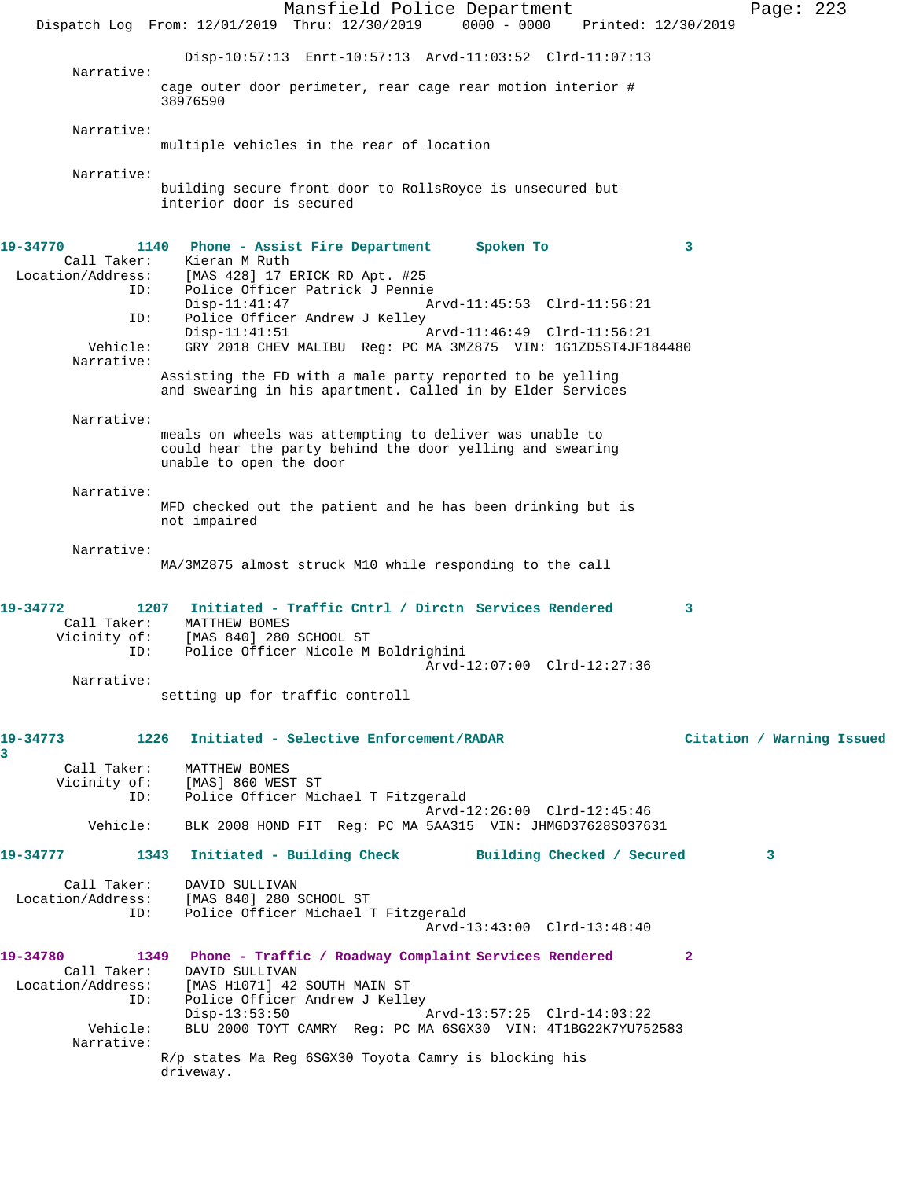Mansfield Police Department Page: 223 Dispatch Log From: 12/01/2019 Thru: 12/30/2019 0000 - 0000 Printed: 12/30/2019 Disp-10:57:13 Enrt-10:57:13 Arvd-11:03:52 Clrd-11:07:13 Narrative: cage outer door perimeter, rear cage rear motion interior # 38976590 Narrative: multiple vehicles in the rear of location Narrative: building secure front door to RollsRoyce is unsecured but interior door is secured **19-34770 1140 Phone - Assist Fire Department Spoken To 3**  Call Taker: Kieran M Ruth<br>Location/Address: [MAS 428] 17 B [MAS 428] 17 ERICK RD Apt. #25 ID: Police Officer Patrick J Pennie Arvd-11:45:53 Clrd-11:56:21 ID: Police Officer Andrew J Kelley<br>Disp-11:41:51 Arvd-11:46:49 Clrd-11:56:21 Vehicle: GRY 2018 CHEV MALIBU Reg: PC MA 3MZ875 VIN: 1G1ZD5ST4JF184480 Narrative: Assisting the FD with a male party reported to be yelling and swearing in his apartment. Called in by Elder Services Narrative: meals on wheels was attempting to deliver was unable to could hear the party behind the door yelling and swearing unable to open the door Narrative: MFD checked out the patient and he has been drinking but is not impaired Narrative: MA/3MZ875 almost struck M10 while responding to the call **19-34772 1207 Initiated - Traffic Cntrl / Dirctn Services Rendered 3**  Call Taker: MATTHEW BOMES Vicinity of: [MAS 840] 280 SCHOOL ST ID: Police Officer Nicole M Boldrighini Arvd-12:07:00 Clrd-12:27:36 Narrative: setting up for traffic controll **19-34773 1226 Initiated - Selective Enforcement/RADAR Citation / Warning Issued 3**  Call Taker: MATTHEW BOMES Vicinity of: [MAS] 860 WEST ST ID: Police Officer Michael T Fitzgerald Arvd-12:26:00 Clrd-12:45:46 Vehicle: BLK 2008 HOND FIT Reg: PC MA 5AA315 VIN: JHMGD37628S037631 **19-34777 1343 Initiated - Building Check Building Checked / Secured 3** Call Taker: DAVID SULLIVAN Location/Address: [MAS 840] 280 SCHOOL ST ID: Police Officer Michael T Fitzgerald Arvd-13:43:00 Clrd-13:48:40 **19-34780 1349 Phone - Traffic / Roadway Complaint Services Rendered 2**  Call Taker: DAVID SULLIVAN Location/Address: [MAS H1071] 42 SOUTH MAIN ST ID: Police Officer Andrew J Kelley<br>Disp-13:53:50 Disp-13:53:50 <br>Vehicle: BLU 2000 TOYT CAMRY Req: PC MA 6SGX30 VIN: 4T1BG22K7YU75 BLU 2000 TOYT CAMRY Reg: PC MA 6SGX30 VIN: 4T1BG22K7YU752583 Narrative: R/p states Ma Reg 6SGX30 Toyota Camry is blocking his driveway.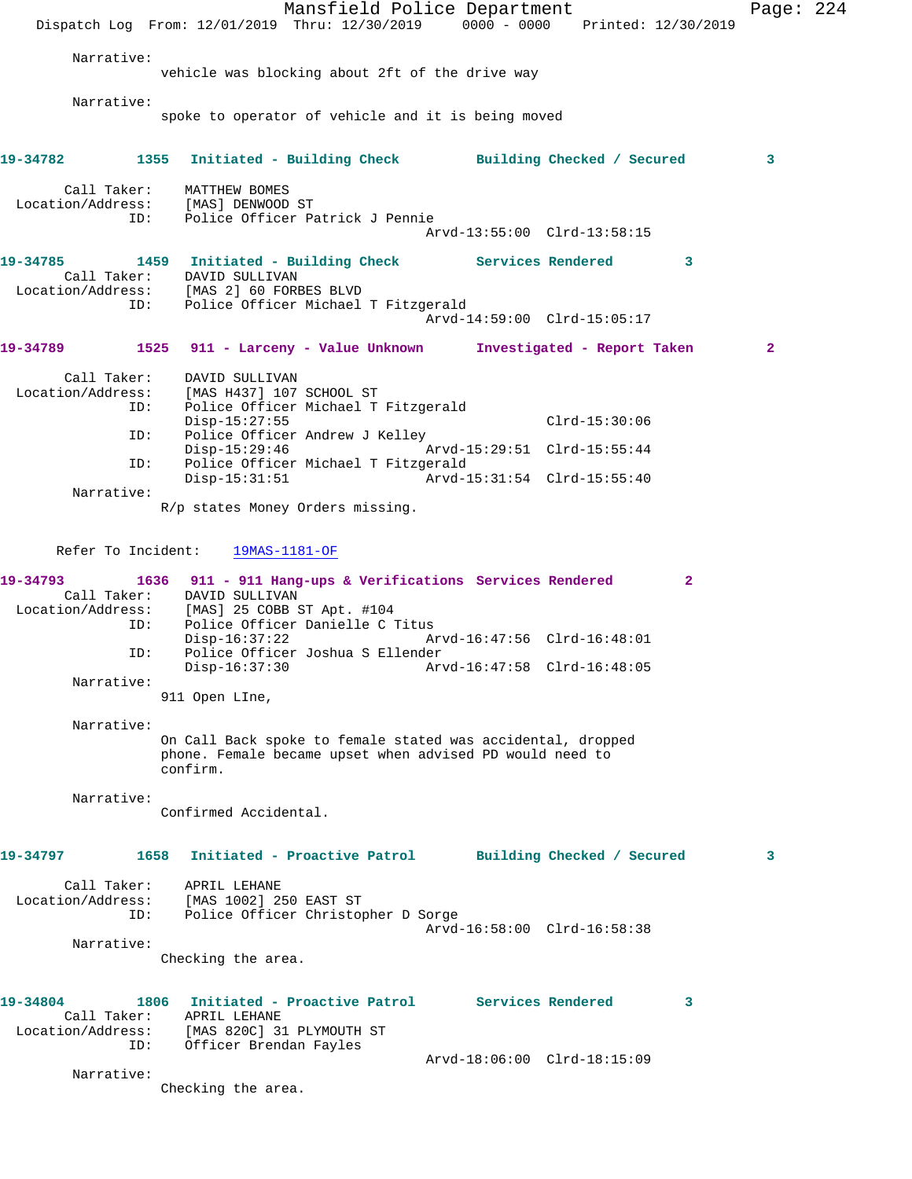Mansfield Police Department Page: 224 Dispatch Log From: 12/01/2019 Thru: 12/30/2019 0000 - 0000 Printed: 12/30/2019 Narrative: vehicle was blocking about 2ft of the drive way Narrative: spoke to operator of vehicle and it is being moved **19-34782 1355 Initiated - Building Check Building Checked / Secured 3** Call Taker: MATTHEW BOMES Location/Address: [MAS] DENWOOD ST ID: Police Officer Patrick J Pennie Arvd-13:55:00 Clrd-13:58:15 19-34785 1459 Initiated - Building Check Services Rendered 3 Call Taker: DAVID SULLIVAN Location/Address: [MAS 2] 60 FORBES BLVD ID: Police Officer Michael T Fitzgerald Arvd-14:59:00 Clrd-15:05:17 **19-34789 1525 911 - Larceny - Value Unknown Investigated - Report Taken 2** Call Taker: DAVID SULLIVAN<br>Location/Address: [MAS H437] 107 Location/Address: [MAS H437] 107 SCHOOL ST ID: Police Officer Michael T Fitzgerald Disp-15:27:55 Clrd-15:30:06 ID: Police Officer Andrew J Kelley<br>Disp-15:29:46 A Disp-15:29:46 Arvd-15:29:51 Clrd-15:55:44 ID: Police Officer Michael T Fitzgerald Disp-15:31:51 Arvd-15:31:54 Clrd-15:55:40 Narrative: R/p states Money Orders missing. Refer To Incident: 19MAS-1181-OF **19-34793 1636 911 - 911 Hang-ups & Verifications Services Rendered 2**  Call Taker: DAVID SULLIVAN Location/Address: [MAS] 25 COBB ST Apt. #104 ID: Police Officer Danielle C Titus Disp-16:37:22 Arvd-16:47:56 Clrd-16:48:01 ID: Police Officer Joshua S Ellender Disp-16:37:30 Arvd-16:47:58 Clrd-16:48:05 Narrative: 911 Open LIne, Narrative: On Call Back spoke to female stated was accidental, dropped phone. Female became upset when advised PD would need to confirm. Narrative: Confirmed Accidental. **19-34797 1658 Initiated - Proactive Patrol Building Checked / Secured 3** Call Taker: APRIL LEHANE Location/Address: [MAS 1002] 250 EAST ST ID: Police Officer Christopher D Sorge Arvd-16:58:00 Clrd-16:58:38 Narrative: Checking the area. **19-34804 1806 Initiated - Proactive Patrol Services Rendered 3**  Call Taker: APRIL LEHANE Location/Address: [MAS 820C] 31 PLYMOUTH ST ID: Officer Brendan Fayles Arvd-18:06:00 Clrd-18:15:09 Narrative: Checking the area.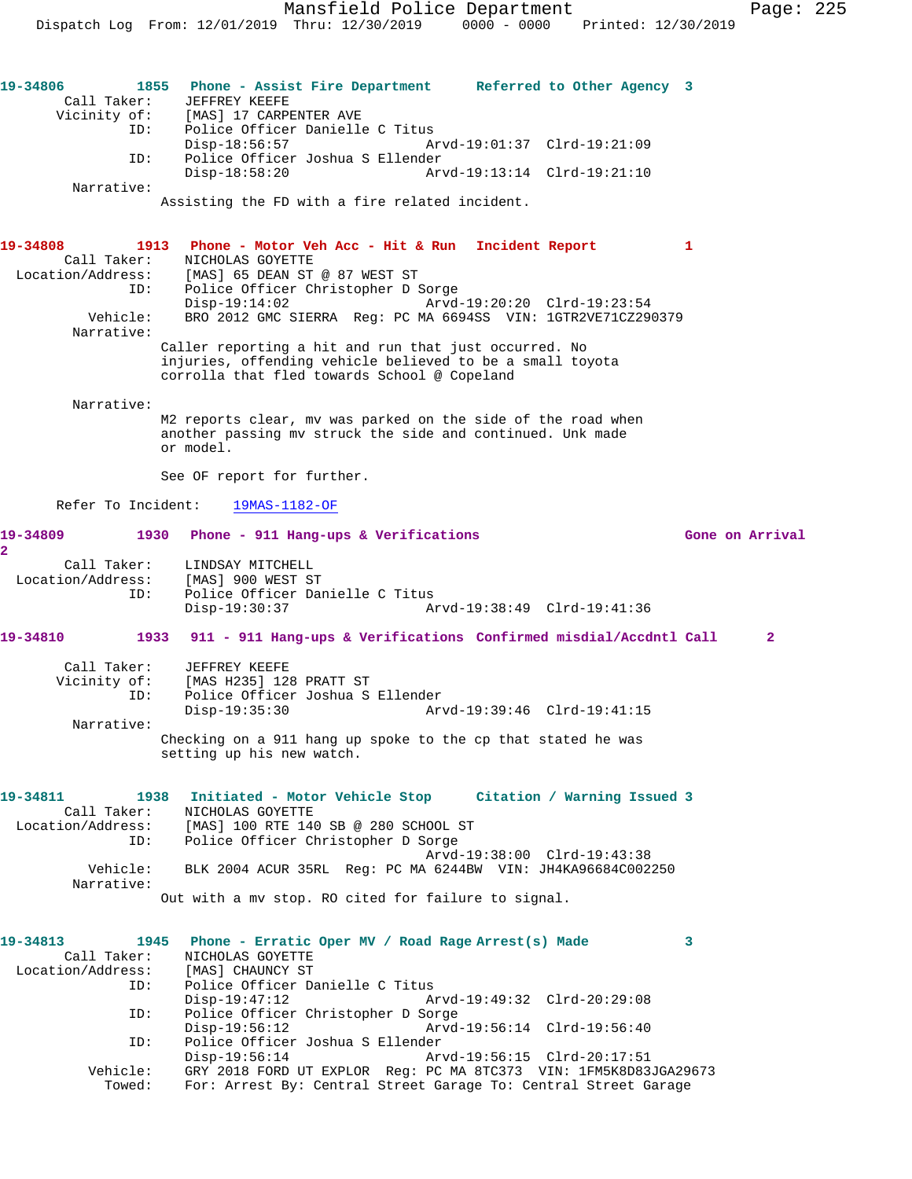**19-34806 1855 Phone - Assist Fire Department Referred to Other Agency 3**  Call Taker: JEFFREY KEEFE Vicinity of: [MAS] 17 CARPENTER AVE ID: Police Officer Danielle C Titus Disp-18:56:57 Arvd-19:01:37 Clrd-19:21:09 ID: Police Officer Joshua S Ellender Arvd-19:13:14 Clrd-19:21:10 Narrative: Assisting the FD with a fire related incident. **19-34808 1913 Phone - Motor Veh Acc - Hit & Run Incident Report 1**  Call Taker: NICHOLAS GOYETTE Location/Address: [MAS] 65 DEAN ST @ 87 WEST ST ess: [MAS] 65 DEAN ST @ 87 WEST ST<br>ID: Police Officer Christopher D Sorge<br>Disp-19:14:02 Arvd- Disp-19:14:02 Arvd-19:20:20 Clrd-19:23:54 Vehicle: BRO 2012 GMC SIERRA Reg: PC MA 6694SS VIN: 1GTR2VE71CZ290379 Narrative: Caller reporting a hit and run that just occurred. No injuries, offending vehicle believed to be a small toyota corrolla that fled towards School @ Copeland Narrative: M2 reports clear, mv was parked on the side of the road when another passing mv struck the side and continued. Unk made or model. See OF report for further. Refer To Incident: 19MAS-1182-OF 19-34809 1930 Phone - 911 Hang-ups & Verifications **19-34809** Gone on Arrival **2**  Call Taker: LINDSAY MITCHELL Location/Address: [MAS] 900 WEST ST ID: Police Officer Danielle C Titus Disp-19:30:37 Arvd-19:38:49 Clrd-19:41:36 **19-34810 1933 911 - 911 Hang-ups & Verifications Confirmed misdial/Accdntl Call 2** Call Taker: JEFFREY KEEFE Vicinity of: [MAS H235] 128 PRATT ST ID: Police Officer Joshua S Ellender Disp-19:35:30 Arvd-19:39:46 Clrd-19:41:15 Narrative: Checking on a 911 hang up spoke to the cp that stated he was setting up his new watch. **19-34811 1938 Initiated - Motor Vehicle Stop Citation / Warning Issued 3**  Call Taker: NICHOLAS GOYETTE Location/Address: [MAS] 100 RTE 140 SB @ 280 SCHOOL ST ID: Police Officer Christopher D Sorge Arvd-19:38:00 Clrd-19:43:38 Vehicle: BLK 2004 ACUR 35RL Reg: PC MA 6244BW VIN: JH4KA96684C002250 Narrative: Out with a mv stop. RO cited for failure to signal. **19-34813 1945 Phone - Erratic Oper MV / Road Rage Arrest(s) Made 3**  Call Taker: NICHOLAS GOYETTE Location/Address: [MAS] CHAUNCY ST ID: Police Officer Danielle C Titus Disp-19:47:12 Arvd-19:49:32 Clrd-20:29:08<br>ID: Police Officer Christopher D Sorge Police Officer Christopher D Sorge<br>Disp-19:56:12 Arvd- Disp-19:56:12 Arvd-19:56:14 Clrd-19:56:40 ID: Police Officer Joshua S Ellender Disp-19:56:14 Arvd-19:56:15 Clrd-20:17:51<br>Vehicle: GRY 2018 FORD UT EXPLOR Reg: PC MA 8TC373 VIN: 1FM5K8D83 GRY 2018 FORD UT EXPLOR Reg: PC MA 8TC373 VIN: 1FM5K8D83JGA29673 Towed: For: Arrest By: Central Street Garage To: Central Street Garage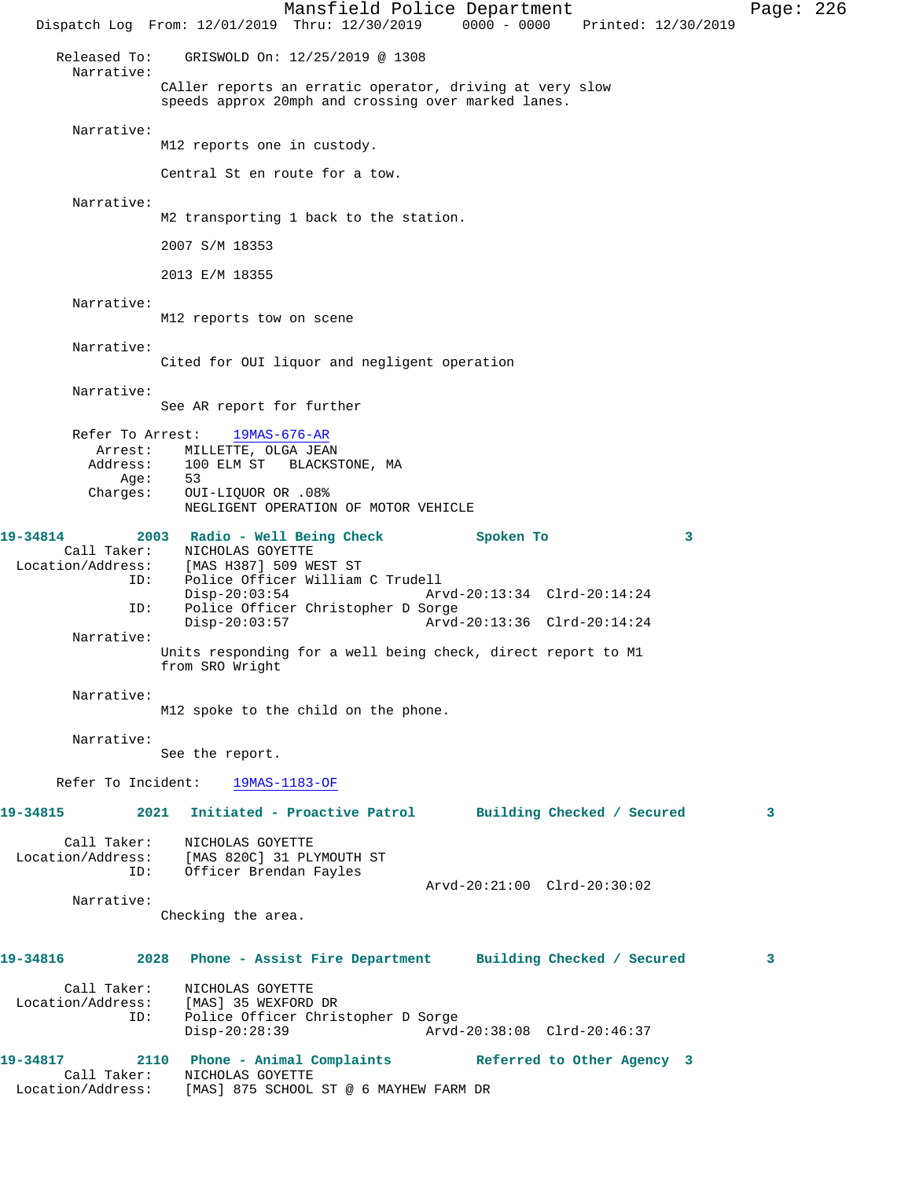Mansfield Police Department Page: 226 Dispatch Log From: 12/01/2019 Thru: 12/30/2019 0000 - 0000 Printed: 12/30/2019 Released To: GRISWOLD On: 12/25/2019 @ 1308 Narrative: CAller reports an erratic operator, driving at very slow speeds approx 20mph and crossing over marked lanes. Narrative: M12 reports one in custody. Central St en route for a tow. Narrative: M2 transporting 1 back to the station. 2007 S/M 18353 2013 E/M 18355 Narrative: M12 reports tow on scene Narrative: Cited for OUI liquor and negligent operation Narrative: See AR report for further Refer To Arrest: 19MAS-676-AR Arrest: MILLETTE, OLGA JEAN<br>Address: 100 ELM ST BLACKS' 100 ELM ST BLACKSTONE, MA Age: 53 Charges: OUI-LIQUOR OR .08% NEGLIGENT OPERATION OF MOTOR VEHICLE **19-34814 2003 Radio - Well Being Check Spoken To 3**  Call Taker: NICHOLAS GOYETTE<br>Location/Address: [MAS H387] 509 W. [MAS H387] 509 WEST ST ID: Police Officer William C Trudell<br>Disp-20:03:54 Ar Disp-20:03:54 Arvd-20:13:34 Clrd-20:14:24 ID: Police Officer Christopher D Sorge Disp-20:03:57 Arvd-20:13:36 Clrd-20:14:24 Narrative: Units responding for a well being check, direct report to M1 from SRO Wright Narrative: M12 spoke to the child on the phone. Narrative: See the report. Refer To Incident: 19MAS-1183-OF **19-34815 2021 Initiated - Proactive Patrol Building Checked / Secured 3** Call Taker: NICHOLAS GOYETTE Location/Address: [MAS 820C] 31 PLYMOUTH ST ID: Officer Brendan Fayles Arvd-20:21:00 Clrd-20:30:02 Narrative: Checking the area. **19-34816 2028 Phone - Assist Fire Department Building Checked / Secured 3** Call Taker: NICHOLAS GOYETTE Location/Address: [MAS] 35 WEXFORD DR ID: Police Officer Christopher D Sorge Disp-20:28:39 Arvd-20:38:08 Clrd-20:46:37 **19-34817 2110 Phone - Animal Complaints Referred to Other Agency 3**  Call Taker: NICHOLAS GOYETTE Location/Address: [MAS] 875 SCHOOL ST @ 6 MAYHEW FARM DR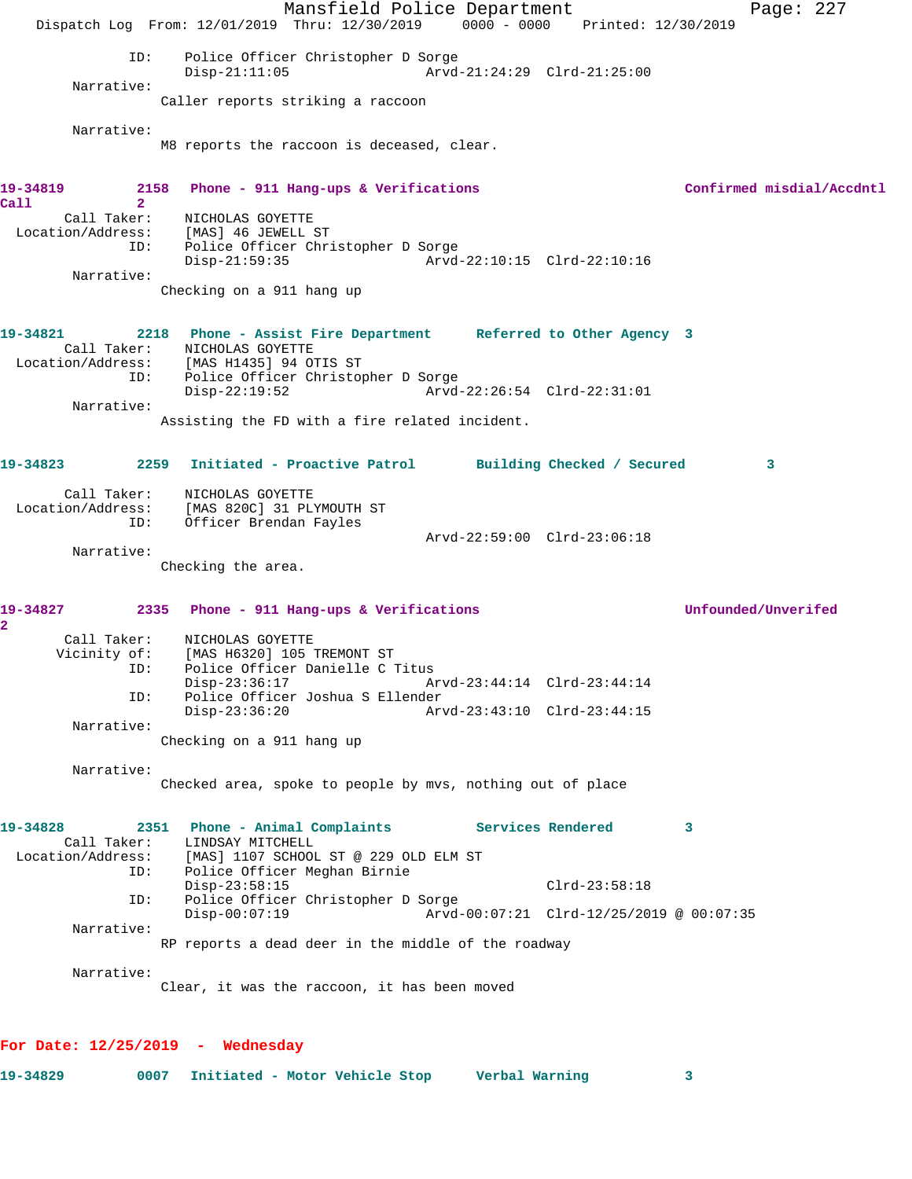Mansfield Police Department Fage: 227 Dispatch Log From: 12/01/2019 Thru: 12/30/2019 0000 - 0000 Printed: 12/30/2019 ID: Police Officer Christopher D Sorge<br>Disp-21:11:05 Arvd-Arvd-21:24:29 Clrd-21:25:00 Narrative: Caller reports striking a raccoon Narrative: M8 reports the raccoon is deceased, clear. 19-34819 2158 Phone - 911 Hang-ups & Verifications **Confirmed misdial/Accdntl Call 2**  Call Taker: NICHOLAS GOYETTE Location/Address: [MAS] 46 JEWELL ST ID: Police Officer Christopher D Sorge Disp-21:59:35 Narrative: Checking on a 911 hang up **19-34821 2218 Phone - Assist Fire Department Referred to Other Agency 3**  Call Taker: NICHOLAS GOYETTE Location/Address: [MAS H1435] 94 OTIS ST ID: Police Officer Christopher D Sorge Disp-22:19:52 Arvd-22:26:54 Clrd-22:31:01 Narrative: Assisting the FD with a fire related incident. **19-34823 2259 Initiated - Proactive Patrol Building Checked / Secured 3** Call Taker: NICHOLAS GOYETTE Location/Address: [MAS 820C] 31 PLYMOUTH ST ID: Officer Brendan Fayles Arvd-22:59:00 Clrd-23:06:18 Narrative: Checking the area. **19-34827 2335 Phone - 911 Hang-ups & Verifications Unfounded/Unverifed 2**  Call Taker: NICHOLAS GOYETTE Vicinity of: [MAS H6320] 105 TREMONT ST ID: Police Officer Danielle C Titus Disp-23:36:17 Arvd-23:44:14 Clrd-23:44:14 ID: Police Officer Joshua S Ellender<br>Disp-23:36:20 Ary Disp-23:36:20 Arvd-23:43:10 Clrd-23:44:15 Narrative: Checking on a 911 hang up Narrative: Checked area, spoke to people by mvs, nothing out of place **19-34828 2351 Phone - Animal Complaints Services Rendered 3**  Call Taker: LINDSAY MITCHELL<br>Location/Address: [MAS] 1107 SCHOOL Location/Address: [MAS] 1107 SCHOOL ST @ 229 OLD ELM ST ID: Police Officer Meghan Birnie Disp-23:58:15 Clrd-23:58:18 ID: Police Officer Christopher D Sorge Disp-00:07:19 Arvd-00:07:21 Clrd-12/25/2019 @ 00:07:35 Narrative: RP reports a dead deer in the middle of the roadway Narrative: Clear, it was the raccoon, it has been moved

**For Date: 12/25/2019 - Wednesday**

**19-34829 0007 Initiated - Motor Vehicle Stop Verbal Warning 3**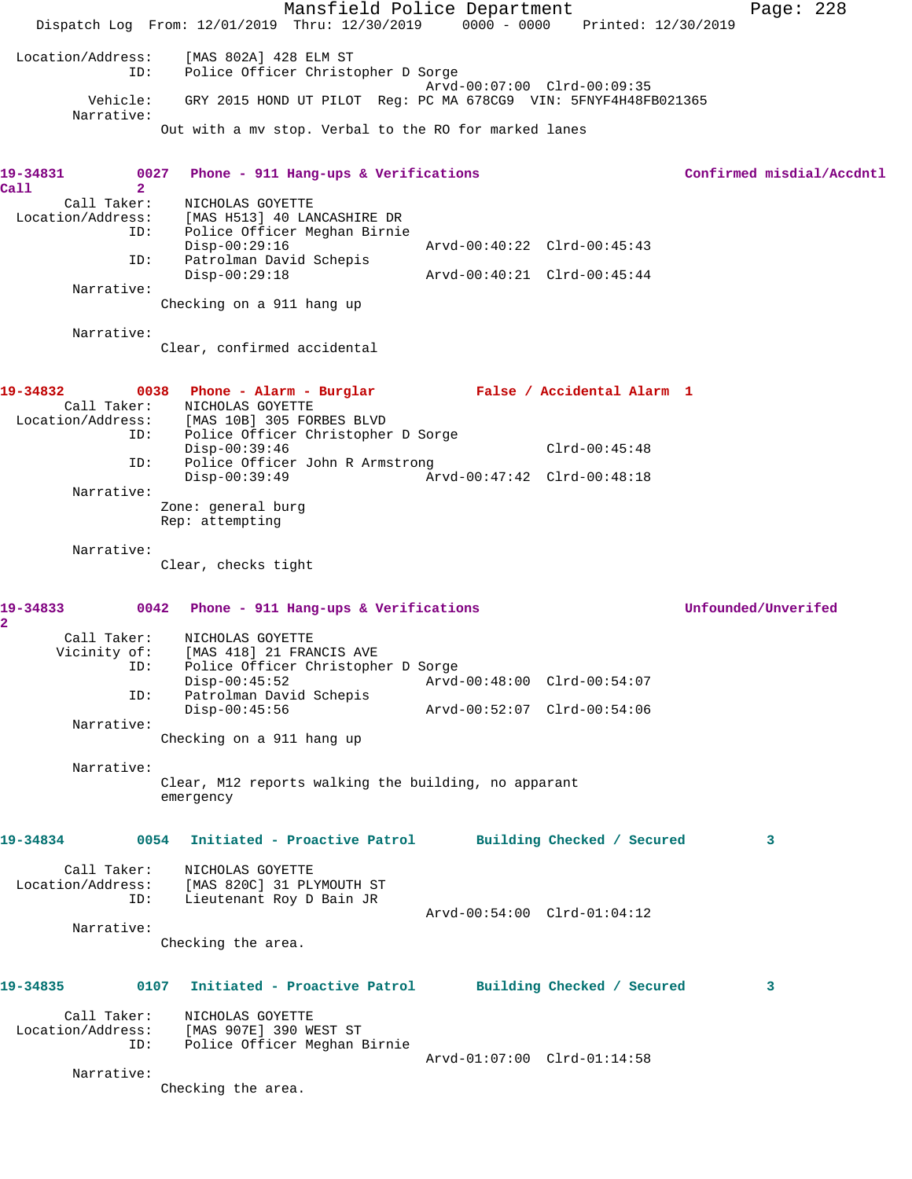Mansfield Police Department Page: 228 Dispatch Log From: 12/01/2019 Thru: 12/30/2019 0000 - 0000 Printed: 12/30/2019 Location/Address: [MAS 802A] 428 ELM ST ID: Police Officer Christopher D Sorge Arvd-00:07:00 Clrd-00:09:35 Vehicle: GRY 2015 HOND UT PILOT Reg: PC MA 678CG9 VIN: 5FNYF4H48FB021365 Narrative: Out with a mv stop. Verbal to the RO for marked lanes **19-34831 0027 Phone - 911 Hang-ups & Verifications Confirmed misdial/Accdntl Call 2**  Call Taker: NICHOLAS GOYETTE Location/Address: [MAS H513] 40 LANCASHIRE DR ID: Police Officer Meghan Birnie Disp-00:29:16 Arvd-00:40:22 Clrd-00:45:43 ID: Patrolman David Schepis Disp-00:29:18 Arvd-00:40:21 Clrd-00:45:44 Narrative: Checking on a 911 hang up Narrative: Clear, confirmed accidental **19-34832 0038 Phone - Alarm - Burglar False / Accidental Alarm 1**  Call Taker: NICHOLAS GOYETTE Location/Address: [MAS 10B] 305 FORBES BLVD ID: Police Officer Christopher D Sorge Disp-00:39:46 Clrd-00:45:48 ID: Police Officer John R Armstrong Disp-00:39:49 Arvd-00:47:42 Clrd-00:48:18 Narrative: Zone: general burg Rep: attempting Narrative: Clear, checks tight **19-34833 0042 Phone - 911 Hang-ups & Verifications Unfounded/Unverifed 2**  Call Taker: NICHOLAS GOYETTE Vicinity of: [MAS 418] 21 FRANCIS AVE ID: Police Officer Christopher D Sorge Disp-00:45:52<br>
Patrolman David Schepis<br>
Disp-00:45:52<br>
Disp-00:45:54<br>
Disp-00:45:54 ID: Patrolman David Schepis Disp-00:45:56 Arvd-00:52:07 Clrd-00:54:06 Narrative: Checking on a 911 hang up Narrative: Clear, M12 reports walking the building, no apparant emergency **19-34834 0054 Initiated - Proactive Patrol Building Checked / Secured 3** Call Taker: NICHOLAS GOYETTE Location/Address: [MAS 820C] 31 PLYMOUTH ST ID: Lieutenant Roy D Bain JR Arvd-00:54:00 Clrd-01:04:12 Narrative: Checking the area. **19-34835 0107 Initiated - Proactive Patrol Building Checked / Secured 3** Call Taker: NICHOLAS GOYETTE Location/Address: [MAS 907E] 390 WEST ST ID: Police Officer Meghan Birnie Arvd-01:07:00 Clrd-01:14:58 Narrative: Checking the area.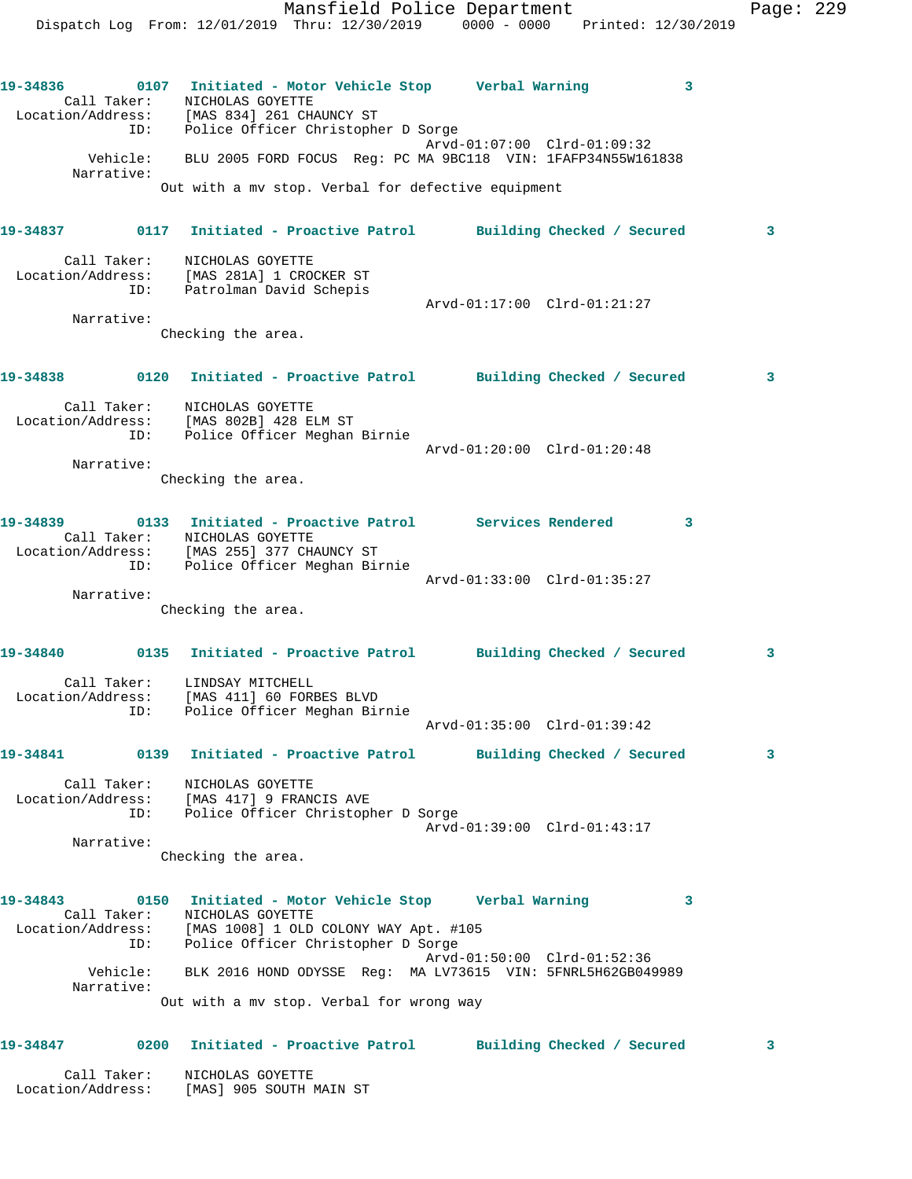Mansfield Police Department Fage: 229 Dispatch Log From: 12/01/2019 Thru: 12/30/2019 0000 - 0000 Printed: 12/30/2019 **19-34836 0107 Initiated - Motor Vehicle Stop Verbal Warning 3**  Call Taker: NICHOLAS GOYETTE Location/Address: [MAS 834] 261 CHAUNCY ST ID: Police Officer Christopher D Sorge Arvd-01:07:00 Clrd-01:09:32 Vehicle: BLU 2005 FORD FOCUS Reg: PC MA 9BC118 VIN: 1FAFP34N55W161838 Narrative: Out with a mv stop. Verbal for defective equipment **19-34837 0117 Initiated - Proactive Patrol Building Checked / Secured 3** Call Taker: NICHOLAS GOYETTE Location/Address: [MAS 281A] 1 CROCKER ST ID: Patrolman David Schepis Arvd-01:17:00 Clrd-01:21:27 Narrative: Checking the area. **19-34838 0120 Initiated - Proactive Patrol Building Checked / Secured 3** Call Taker: NICHOLAS GOYETTE

 Location/Address: [MAS 802B] 428 ELM ST ID: Police Officer Meghan Birnie Arvd-01:20:00 Clrd-01:20:48 Narrative: Checking the area.

| 19-34839          | 0133 | Initiated - Proactive Patrol |                             | <b>Services Rendered</b> | ્રવ |
|-------------------|------|------------------------------|-----------------------------|--------------------------|-----|
| Call Taker:       |      | NICHOLAS GOYETTE             |                             |                          |     |
| Location/Address: |      | [MAS 255] 377 CHAUNCY ST     |                             |                          |     |
|                   | ID:  | Police Officer Meghan Birnie |                             |                          |     |
|                   |      |                              | Arvd-01:33:00 Clrd-01:35:27 |                          |     |

 Narrative: Checking the area.

## **19-34840 0135 Initiated - Proactive Patrol Building Checked / Secured 3** Call Taker: LINDSAY MITCHELL Location/Address: [MAS 411] 60 FORBES BLVD ID: Police Officer Meghan Birnie Arvd-01:35:00 Clrd-01:39:42

**19-34841 0139 Initiated - Proactive Patrol Building Checked / Secured 3**

 Call Taker: NICHOLAS GOYETTE Location/Address: [MAS 417] 9 FRANCIS AVE ID: Police Officer Christopher D Sorge Arvd-01:39:00 Clrd-01:43:17 Narrative:

Checking the area.

## **19-34843 0150 Initiated - Motor Vehicle Stop Verbal Warning 3**  Call Taker: NICHOLAS GOYETTE Location/Address: [MAS 1008] 1 OLD COLONY WAY Apt. #105 ID: Police Officer Christopher D Sorge Arvd-01:50:00 Clrd-01:52:36 Vehicle: BLK 2016 HOND ODYSSE Reg: MA LV73615 VIN: 5FNRL5H62GB049989 Narrative: Out with a mv stop. Verbal for wrong way

## **19-34847 0200 Initiated - Proactive Patrol Building Checked / Secured 3**

 Call Taker: NICHOLAS GOYETTE Location/Address: [MAS] 905 SOUTH MAIN ST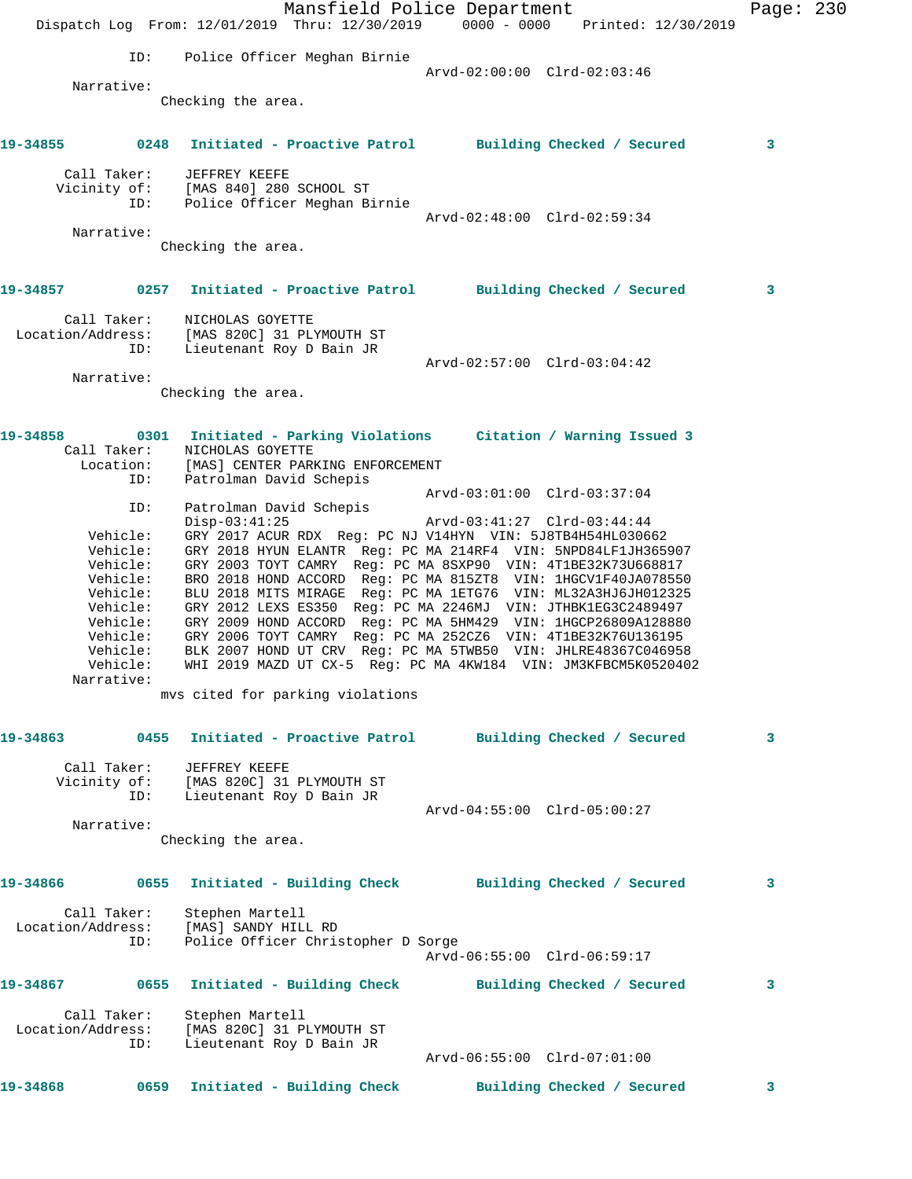|                   |                          | Mansfield Police Department<br>Dispatch Log From: 12/01/2019 Thru: 12/30/2019 0000 - 0000 Printed: 12/30/2019                  | Page: 230 |  |
|-------------------|--------------------------|--------------------------------------------------------------------------------------------------------------------------------|-----------|--|
|                   | ID:                      | Police Officer Meghan Birnie                                                                                                   |           |  |
|                   |                          | Arvd-02:00:00 Clrd-02:03:46                                                                                                    |           |  |
|                   | Narrative:               | Checking the area.                                                                                                             |           |  |
| 19-34855 2001     |                          | 0248 Initiated - Proactive Patrol Building Checked / Secured                                                                   | 3         |  |
|                   | Call Taker:              | JEFFREY KEEFE<br>Vicinity of: [MAS 840] 280 SCHOOL ST                                                                          |           |  |
|                   | ID:                      | Police Officer Meghan Birnie                                                                                                   |           |  |
|                   | Narrative:               | Arvd-02:48:00 Clrd-02:59:34                                                                                                    |           |  |
|                   |                          | Checking the area.                                                                                                             |           |  |
| 19-34857          |                          | 0257 Initiated - Proactive Patrol Building Checked / Secured                                                                   | 3         |  |
| Location/Address: | Call Taker:              | NICHOLAS GOYETTE<br>[MAS 820C] 31 PLYMOUTH ST                                                                                  |           |  |
|                   | ID:                      | Lieutenant Roy D Bain JR<br>Arvd-02:57:00 Clrd-03:04:42                                                                        |           |  |
|                   | Narrative:               |                                                                                                                                |           |  |
|                   |                          | Checking the area.                                                                                                             |           |  |
| 19-34858          |                          | 0301 Initiated - Parking Violations Citation / Warning Issued 3                                                                |           |  |
|                   | Call Taker:<br>Location: | NICHOLAS GOYETTE<br>[MAS] CENTER PARKING ENFORCEMENT                                                                           |           |  |
|                   | ID:                      | Patrolman David Schepis                                                                                                        |           |  |
|                   | ID:                      | Arvd-03:01:00 Clrd-03:37:04<br>Patrolman David Schepis                                                                         |           |  |
|                   | Vehicle:                 | $Disp-03:41:25$<br>Arvd-03:41:27 Clrd-03:44:44<br>GRY 2017 ACUR RDX Reg: PC NJ V14HYN VIN: 5J8TB4H54HL030662                   |           |  |
|                   | Vehicle:                 | GRY 2018 HYUN ELANTR Reg: PC MA 214RF4 VIN: 5NPD84LF1JH365907                                                                  |           |  |
|                   | Vehicle:                 | GRY 2003 TOYT CAMRY Reg: PC MA 8SXP90 VIN: 4T1BE32K73U668817                                                                   |           |  |
|                   | Vehicle:<br>Vehicle:     | BRO 2018 HOND ACCORD Reg: PC MA 815ZT8 VIN: 1HGCV1F40JA078550<br>BLU 2018 MITS MIRAGE Reg: PC MA 1ETG76 VIN: ML32A3HJ6JH012325 |           |  |
|                   | Vehicle:                 | GRY 2012 LEXS ES350 Reg: PC MA 2246MJ VIN: JTHBK1EG3C2489497                                                                   |           |  |
|                   | Vehicle:                 | GRY 2009 HOND ACCORD Reg: PC MA 5HM429 VIN: 1HGCP26809A128880                                                                  |           |  |
|                   | Vehicle:<br>Vehicle:     | GRY 2006 TOYT CAMRY Reg: PC MA 252CZ6 VIN: 4T1BE32K76U136195<br>BLK 2007 HOND UT CRV Reg: PC MA 5TWB50 VIN: JHLRE48367C046958  |           |  |
|                   | Vehicle:                 | WHI 2019 MAZD UT CX-5 Reg: PC MA 4KW184 VIN: JM3KFBCM5K0520402                                                                 |           |  |
|                   | Narrative:               |                                                                                                                                |           |  |
|                   |                          | mvs cited for parking violations                                                                                               |           |  |
| 19-34863          |                          | 0455 Initiated - Proactive Patrol<br>Building Checked / Secured                                                                | 3         |  |
|                   | Call Taker:              | JEFFREY KEEFE                                                                                                                  |           |  |
|                   |                          | Vicinity of: [MAS 820C] 31 PLYMOUTH ST                                                                                         |           |  |
|                   | ID:                      | Lieutenant Roy D Bain JR<br>Arvd-04:55:00 Clrd-05:00:27                                                                        |           |  |
|                   | Narrative:               |                                                                                                                                |           |  |
|                   |                          | Checking the area.                                                                                                             |           |  |
| 19-34866          |                          | 0655 Initiated - Building Check Building Checked / Secured                                                                     | 3         |  |
|                   | Call Taker:              | Stephen Martell                                                                                                                |           |  |
|                   | ID:                      | Location/Address: [MAS] SANDY HILL RD<br>Police Officer Christopher D Sorge                                                    |           |  |
|                   |                          | Arvd-06:55:00 Clrd-06:59:17                                                                                                    |           |  |
| 19-34867          |                          | 0655 Initiated - Building Check Building Checked / Secured                                                                     | 3         |  |
|                   | Call Taker:              | Stephen Martell                                                                                                                |           |  |
| Location/Address: |                          | [MAS 820C] 31 PLYMOUTH ST                                                                                                      |           |  |
|                   | ID:                      | Lieutenant Roy D Bain JR<br>Arvd-06:55:00 Clrd-07:01:00                                                                        |           |  |
| 19-34868          | 0659                     | Initiated - Building Check<br>Building Checked / Secured                                                                       | 3         |  |
|                   |                          |                                                                                                                                |           |  |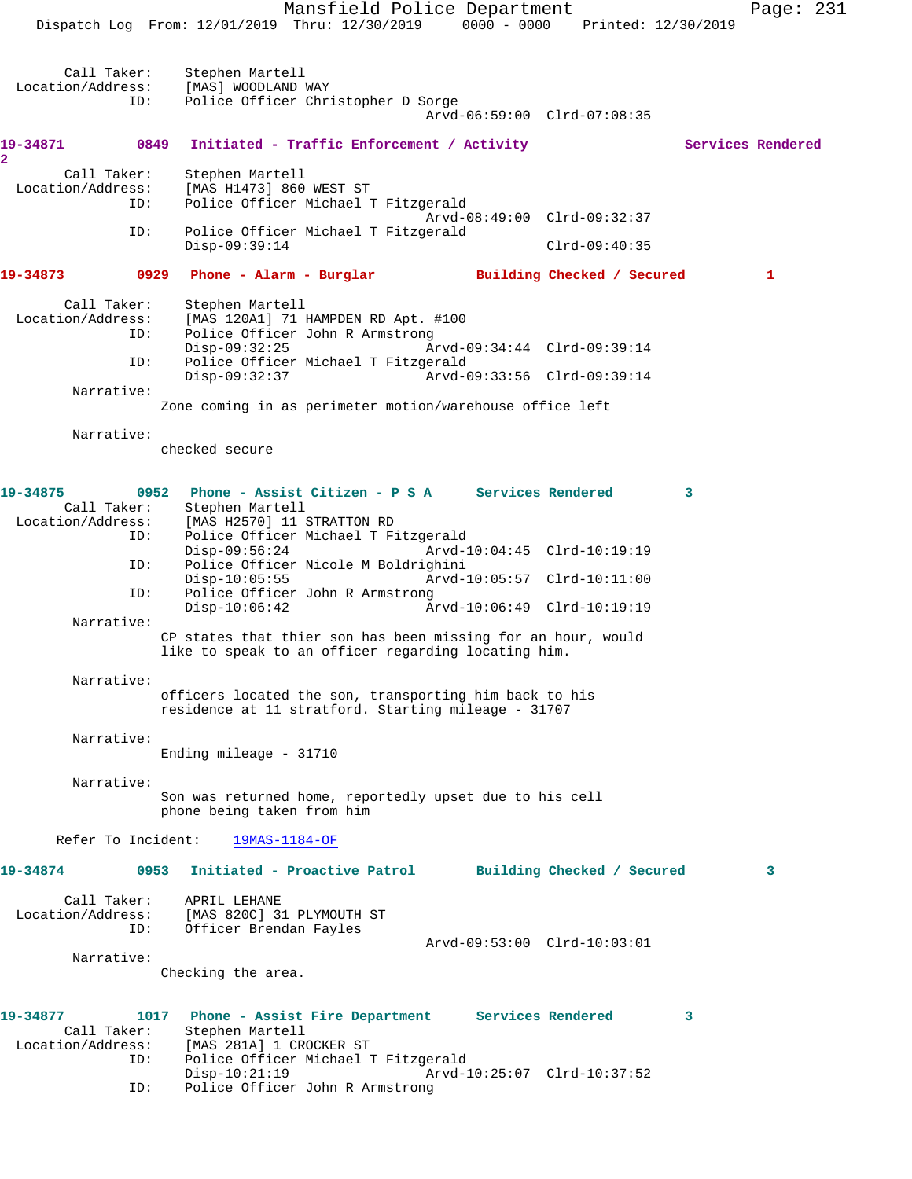Mansfield Police Department Page: 231 Dispatch Log From: 12/01/2019 Thru: 12/30/2019 0000 - 0000 Printed: 12/30/2019 Call Taker: Stephen Martell<br>Location/Address: [MAS] WOODLAND \ Location Martell<br>SSS: [MAS] WOODLAND WAY<br>ID: Police Officer Chr Police Officer Christopher D Sorge Arvd-06:59:00 Clrd-07:08:35 19-34871 0849 Initiated - Traffic Enforcement / Activity **Services Rendered 2**  Call Taker: Stephen Martell<br>Location/Address: [MAS H1473] 860 ess: [MAS H1473] 860 WEST ST<br>ID: Police Officer Michael ! Police Officer Michael T Fitzgerald Arvd-08:49:00 Clrd-09:32:37 ID: Police Officer Michael T Fitzgerald Disp-09:39:14 Clrd-09:40:35 **19-34873 0929 Phone - Alarm - Burglar Building Checked / Secured 1** Call Taker: Stephen Martell Location/Address: [MAS 120A1] 71 HAMPDEN RD Apt. #100 ID: Police Officer John R Armstrong Disp-09:32:25 Arvd-09:34:44 Clrd-09:39:14<br>ID: Police Officer Michael T Fitzgerald Police Officer Michael T Fitzgerald<br>Disp-09:32:37 Arvd-0 Disp-09:32:37 Arvd-09:33:56 Clrd-09:39:14 Narrative: Zone coming in as perimeter motion/warehouse office left Narrative: checked secure **19-34875 0952 Phone - Assist Citizen - P S A Services Rendered 3**  Call Taker: Stephen Martell Location/Address: [MAS H2570] 11 STRATTON RD ID: Police Officer Michael T Fitzgerald Disp-09:56:24 Arvd-10:04:45 Clrd-10:19:19<br>ID: Police Officer Nicole M Boldrighini Police Officer Nicole M Boldrighini<br>Disp-10:05:55 Arvd- Disp-10:05:55 Arvd-10:05:57 Clrd-10:11:00 ID: Police Officer John R Armstrong Disp-10:06:42 Arvd-10:06:49 Clrd-10:19:19 Narrative: CP states that thier son has been missing for an hour, would like to speak to an officer regarding locating him. Narrative: officers located the son, transporting him back to his residence at 11 stratford. Starting mileage - 31707 Narrative: Ending mileage - 31710 Narrative: Son was returned home, reportedly upset due to his cell phone being taken from him Refer To Incident: 19MAS-1184-OF **19-34874 0953 Initiated - Proactive Patrol Building Checked / Secured 3** Call Taker: APRIL LEHANE Location/Address: [MAS 820C] 31 PLYMOUTH ST ID: Officer Brendan Fayles Arvd-09:53:00 Clrd-10:03:01 Narrative: Checking the area. **19-34877 1017 Phone - Assist Fire Department Services Rendered 3**  Call Taker: Stephen Martell<br>Location/Address: [MAS 281A] 1 CR [MAS 281A] 1 CROCKER ST ID: Police Officer Michael T Fitzgerald Disp-10:21:19 Arvd-10:25:07 Clrd-10:37:52 ID: Police Officer John R Armstrong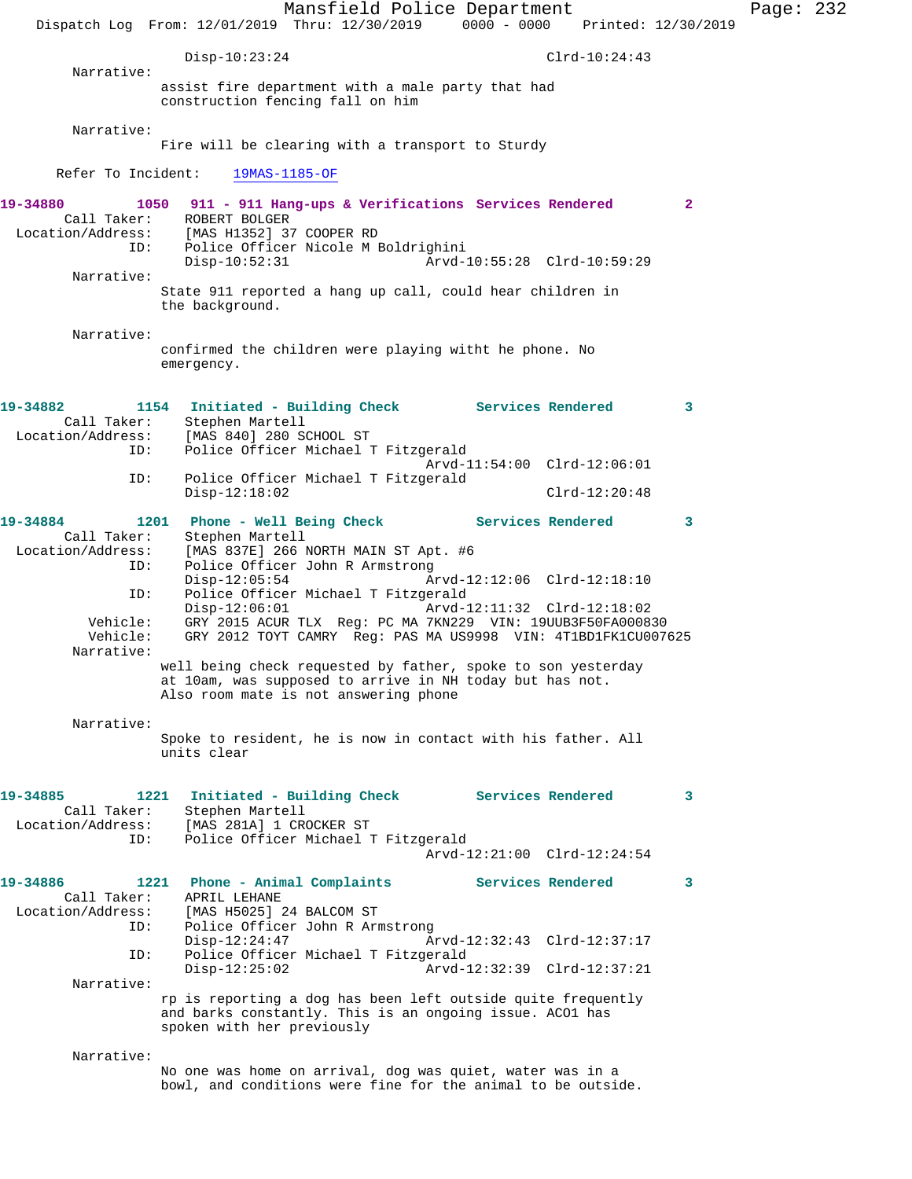|                                                                   | Dispatch Log From: 12/01/2019 Thru: 12/30/2019 0000 - 0000 Printed: 12/30/2019                                                                                    | Mansfield Police Department |                                                            |                 |              | Page: $232$ |  |
|-------------------------------------------------------------------|-------------------------------------------------------------------------------------------------------------------------------------------------------------------|-----------------------------|------------------------------------------------------------|-----------------|--------------|-------------|--|
|                                                                   | $Disp-10:23:24$                                                                                                                                                   |                             |                                                            | $Clrd-10:24:43$ |              |             |  |
| Narrative:                                                        | assist fire department with a male party that had<br>construction fencing fall on him                                                                             |                             |                                                            |                 |              |             |  |
| Narrative:                                                        | Fire will be clearing with a transport to Sturdy                                                                                                                  |                             |                                                            |                 |              |             |  |
| Refer To Incident:                                                |                                                                                                                                                                   | 19MAS-1185-OF               |                                                            |                 |              |             |  |
| 19-34880<br>Call Taker:<br>Location/Address:<br>ID:<br>Narrative: | 1050 911 - 911 Hang-ups & Verifications Services Rendered<br>ROBERT BOLGER<br>[MAS H1352] 37 COOPER RD<br>Police Officer Nicole M Boldrighini<br>$Disp-10:52:31$  |                             | Arvd-10:55:28 Clrd-10:59:29                                |                 | $\mathbf{2}$ |             |  |
|                                                                   | State 911 reported a hang up call, could hear children in<br>the background.                                                                                      |                             |                                                            |                 |              |             |  |
| Narrative:                                                        | confirmed the children were playing witht he phone. No<br>emergency.                                                                                              |                             |                                                            |                 |              |             |  |
| 19-34882<br>Call Taker:<br>Location/Address:<br>ID:               | 1154 Initiated - Building Check Services Rendered<br>Stephen Martell<br>[MAS 840] 280 SCHOOL ST<br>Police Officer Michael T Fitzgerald                            |                             |                                                            |                 | $\sim$ 3     |             |  |
| ID:                                                               | Police Officer Michael T Fitzgerald<br>$Disp-12:18:02$                                                                                                            |                             | Arvd-11:54:00 Clrd-12:06:01                                | $Clrd-12:20:48$ |              |             |  |
| 19-34884<br>Call Taker:<br>Location/Address:                      | 1201 Phone - Well Being Check Services Rendered<br>Stephen Martell<br>[MAS 837E] 266 NORTH MAIN ST Apt. #6                                                        |                             |                                                            |                 | 3            |             |  |
| ID:<br>ID:                                                        | Police Officer John R Armstrong<br>$Disp-12:05:54$<br>Police Officer Michael T Fitzgerald<br>$Disp-12:06:01$                                                      |                             | Arvd-12:12:06 Clrd-12:18:10<br>Arvd-12:11:32 Clrd-12:18:02 |                 |              |             |  |
| Vehicle:<br>Vehicle:<br>Narrative:                                | GRY 2015 ACUR TLX Reg: PC MA 7KN229 VIN: 19UUB3F50FA000830<br>GRY 2012 TOYT CAMRY Req: PAS MA US9998 VIN: 4T1BD1FK1CU007625                                       |                             |                                                            |                 |              |             |  |
|                                                                   | well being check requested by father, spoke to son yesterday<br>at 10am, was supposed to arrive in NH today but has not.<br>Also room mate is not answering phone |                             |                                                            |                 |              |             |  |
| Narrative:                                                        | Spoke to resident, he is now in contact with his father. All<br>units clear                                                                                       |                             |                                                            |                 |              |             |  |
| 19-34885<br>Call Taker:<br>Location/Address:<br>ID:               | Initiated - Building Check Services Rendered<br>1221<br>Stephen Martell<br>[MAS 281A] 1 CROCKER ST<br>Police Officer Michael T Fitzgerald                         |                             |                                                            |                 | 3            |             |  |
|                                                                   |                                                                                                                                                                   |                             | Arvd-12:21:00 Clrd-12:24:54                                |                 |              |             |  |
| 19-34886<br>Call Taker:<br>Location/Address:<br>ID:               | 1221 Phone - Animal Complaints<br>APRIL LEHANE<br>[MAS H5025] 24 BALCOM ST<br>Police Officer John R Armstrong<br>$Disp-12:24:47$                                  |                             | Services Rendered<br>Arvd-12:32:43 Clrd-12:37:17           |                 | 3            |             |  |
| ID:                                                               | Police Officer Michael T Fitzgerald<br>$Disp-12:25:02$                                                                                                            |                             | Arvd-12:32:39 Clrd-12:37:21                                |                 |              |             |  |
| Narrative:                                                        | rp is reporting a dog has been left outside quite frequently<br>and barks constantly. This is an ongoing issue. ACO1 has<br>spoken with her previously            |                             |                                                            |                 |              |             |  |
| Narrative:                                                        |                                                                                                                                                                   |                             |                                                            |                 |              |             |  |
|                                                                   | No one was home on arrival, dog was quiet, water was in a<br>bowl, and conditions were fine for the animal to be outside.                                         |                             |                                                            |                 |              |             |  |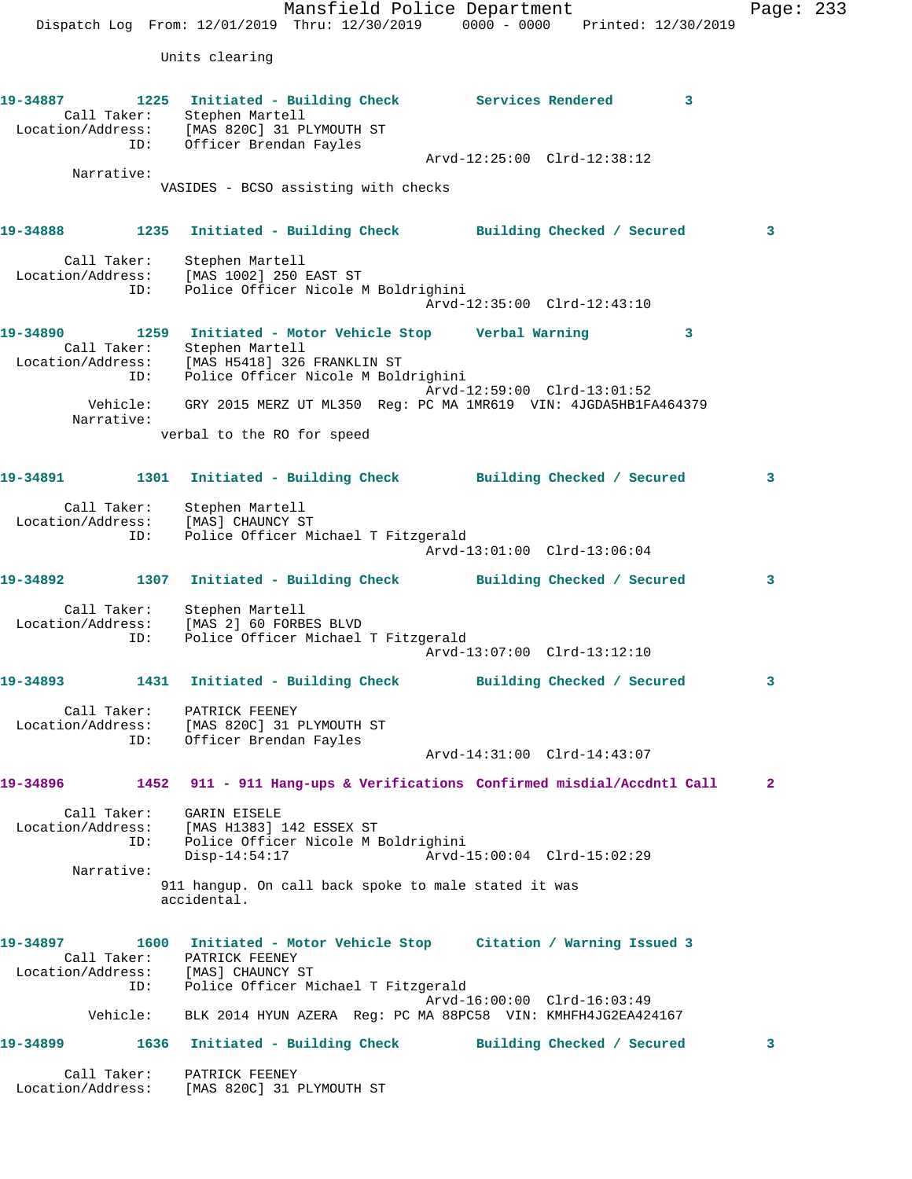Mansfield Police Department Fage: 233 Dispatch Log From: 12/01/2019 Thru: 12/30/2019 0000 - 0000 Printed: 12/30/2019 Units clearing **19-34887 1225 Initiated - Building Check Services Rendered 3**  Call Taker: Stephen Martell Location/Address: [MAS 820C] 31 PLYMOUTH ST ID: Officer Brendan Fayles Arvd-12:25:00 Clrd-12:38:12 Narrative: VASIDES - BCSO assisting with checks **19-34888 1235 Initiated - Building Check Building Checked / Secured 3** Call Taker: Stephen Martell Location/Address: [MAS 1002] 250 EAST ST ID: Police Officer Nicole M Boldrighini Arvd-12:35:00 Clrd-12:43:10 **19-34890 1259 Initiated - Motor Vehicle Stop Verbal Warning 3**  Call Taker: Stephen Martell Location/Address: [MAS H5418] 326 FRANKLIN ST ID: Police Officer Nicole M Boldrighini Arvd-12:59:00 Clrd-13:01:52 Vehicle: GRY 2015 MERZ UT ML350 Reg: PC MA 1MR619 VIN: 4JGDA5HB1FA464379 Narrative: verbal to the RO for speed **19-34891 1301 Initiated - Building Check Building Checked / Secured 3** Call Taker: Stephen Martell Location/Address: [MAS] CHAUNCY ST ID: Police Officer Michael T Fitzgerald Arvd-13:01:00 Clrd-13:06:04 **19-34892 1307 Initiated - Building Check Building Checked / Secured 3** Call Taker: Stephen Martell Location/Address: [MAS 2] 60 FORBES BLVD ID: Police Officer Michael T Fitzgerald Arvd-13:07:00 Clrd-13:12:10 **19-34893 1431 Initiated - Building Check Building Checked / Secured 3** Call Taker: PATRICK FEENEY Location/Address: [MAS 820C] 31 PLYMOUTH ST ID: Officer Brendan Fayles Arvd-14:31:00 Clrd-14:43:07 **19-34896 1452 911 - 911 Hang-ups & Verifications Confirmed misdial/Accdntl Call 2** Call Taker: GARIN EISELE Location/Address: [MAS H1383] 142 ESSEX ST ID: Police Officer Nicole M Boldrighini Disp-14:54:17 Arvd-15:00:04 Clrd-15:02:29 Narrative: 911 hangup. On call back spoke to male stated it was accidental. **19-34897 1600 Initiated - Motor Vehicle Stop Citation / Warning Issued 3**  Call Taker: PATRICK FEENEY Location/Address: [MAS] CHAUNCY ST ID: Police Officer Michael T Fitzgerald Arvd-16:00:00 Clrd-16:03:49 Vehicle: BLK 2014 HYUN AZERA Reg: PC MA 88PC58 VIN: KMHFH4JG2EA424167 **19-34899 1636 Initiated - Building Check Building Checked / Secured 3** Call Taker: PATRICK FEENEY Location/Address: [MAS 820C] 31 PLYMOUTH ST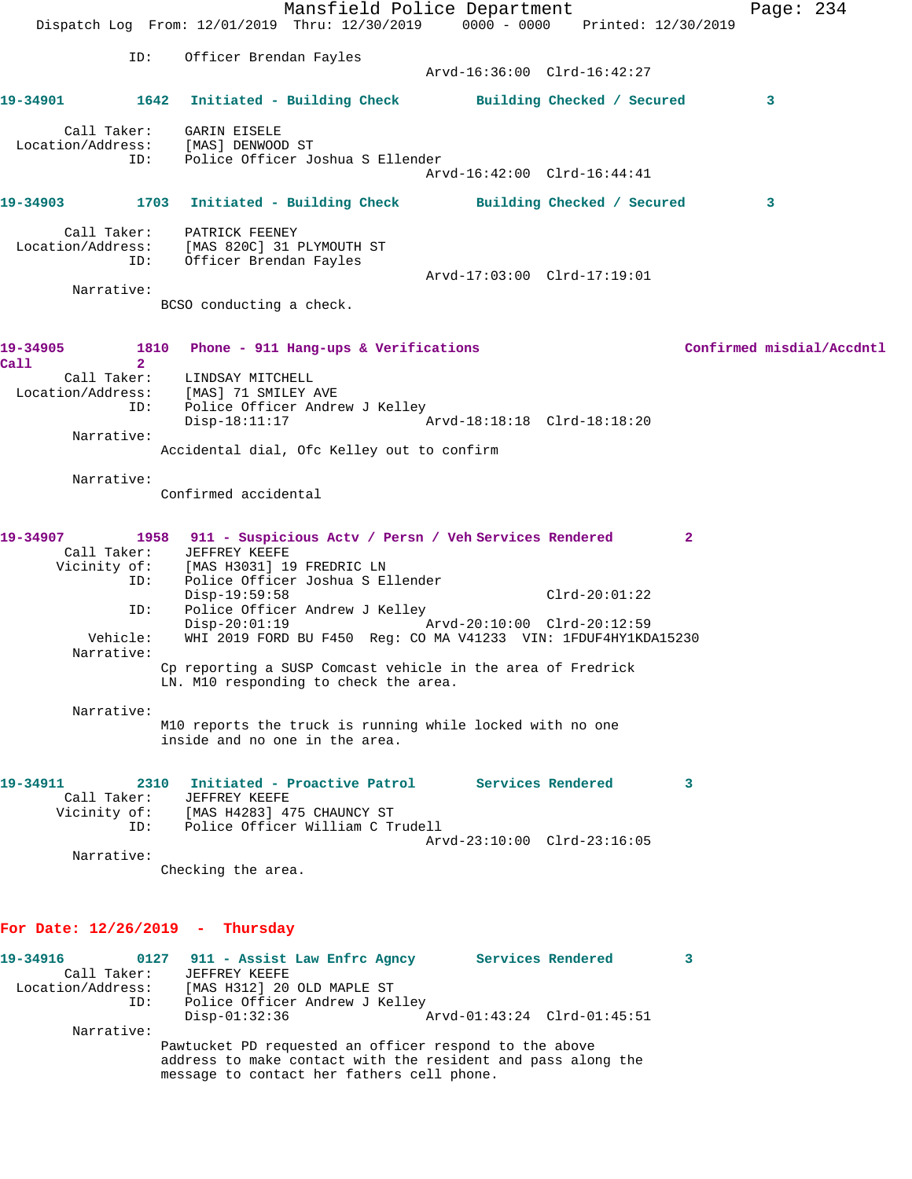|                                                                                           |                |                                                                                                                        | Mansfield Police Department |  |                             | Dispatch Log From: 12/01/2019 Thru: 12/30/2019 0000 - 0000 Printed: 12/30/2019 | Page: 234                 |
|-------------------------------------------------------------------------------------------|----------------|------------------------------------------------------------------------------------------------------------------------|-----------------------------|--|-----------------------------|--------------------------------------------------------------------------------|---------------------------|
|                                                                                           | ID:            | Officer Brendan Fayles                                                                                                 |                             |  | Arvd-16:36:00 Clrd-16:42:27 |                                                                                |                           |
| 19-34901 1642                                                                             |                | Initiated - Building Check Building Checked / Secured                                                                  |                             |  |                             |                                                                                | 3                         |
| Call Taker:<br>Location/Address: [MAS] DENWOOD ST<br>ID: Police Officer Joshua S Ellender |                | GARIN EISELE                                                                                                           |                             |  |                             |                                                                                |                           |
|                                                                                           |                |                                                                                                                        |                             |  | Arvd-16:42:00 Clrd-16:44:41 |                                                                                |                           |
| 19-34903 1703                                                                             |                | Initiated - Building Check Building Checked / Secured                                                                  |                             |  |                             |                                                                                | 3                         |
| Call Taker:<br>Location/Address:                                                          | ID:            | PATRICK FEENEY<br>[MAS 820C] 31 PLYMOUTH ST<br>Officer Brendan Fayles                                                  |                             |  |                             |                                                                                |                           |
| Narrative:                                                                                |                |                                                                                                                        |                             |  | Arvd-17:03:00 Clrd-17:19:01 |                                                                                |                           |
|                                                                                           |                | BCSO conducting a check.                                                                                               |                             |  |                             |                                                                                |                           |
| 19-34905<br>Call                                                                          | $\overline{2}$ | 1810 Phone - 911 Hang-ups & Verifications                                                                              |                             |  |                             |                                                                                | Confirmed misdial/Accdntl |
| Call Taker: LINDSAY MITCHELL<br>Location/Address: [MAS] 71 SMILEY AVE                     |                |                                                                                                                        |                             |  |                             |                                                                                |                           |
|                                                                                           | ID:            | Police Officer Andrew J Kelley<br>$Disp-18:11:17$                                                                      |                             |  | Arvd-18:18:18 Clrd-18:18:20 |                                                                                |                           |
| Narrative:                                                                                |                | Accidental dial, Ofc Kelley out to confirm                                                                             |                             |  |                             |                                                                                |                           |
| Narrative:                                                                                |                | Confirmed accidental                                                                                                   |                             |  |                             |                                                                                |                           |
| 19-34907                                                                                  |                | 1958 911 - Suspicious Actv / Persn / Veh Services Rendered<br>Call Taker: JEFFREY KEEFE                                |                             |  |                             | $\mathbf{2}$                                                                   |                           |
|                                                                                           |                | Vicinity of: [MAS H3031] 19 FREDRIC LN                                                                                 |                             |  |                             |                                                                                |                           |
|                                                                                           | ID:            | Police Officer Joshua S Ellender<br>Disp-19:59:58                                                                      |                             |  | $Clrd-20:01:22$             |                                                                                |                           |
|                                                                                           | ID:            | Police Officer Andrew J Kelley<br>Disp-20:01:19 Arvd-20:10:00 Clrd-20:12:59                                            |                             |  |                             |                                                                                |                           |
| Narrative:                                                                                | Vehicle:       | WHI 2019 FORD BU F450 Reg: CO MA V41233 VIN: 1FDUF4HY1KDA15230                                                         |                             |  |                             |                                                                                |                           |
|                                                                                           |                | Cp reporting a SUSP Comcast vehicle in the area of Fredrick<br>LN. M10 responding to check the area.                   |                             |  |                             |                                                                                |                           |
| Narrative:                                                                                |                | M10 reports the truck is running while locked with no one                                                              |                             |  |                             |                                                                                |                           |
|                                                                                           |                | inside and no one in the area.                                                                                         |                             |  |                             |                                                                                |                           |
| 19-34911                                                                                  | 2310           | Initiated - Proactive Patrol                                                                                           |                             |  | Services Rendered           | 3                                                                              |                           |
| Call Taker:<br>Vicinity of:                                                               |                | <b>JEFFREY KEEFE</b><br>[MAS H4283] 475 CHAUNCY ST                                                                     |                             |  |                             |                                                                                |                           |
|                                                                                           | ID:            | Police Officer William C Trudell                                                                                       |                             |  | Arvd-23:10:00 Clrd-23:16:05 |                                                                                |                           |
| Narrative:                                                                                |                | Checking the area.                                                                                                     |                             |  |                             |                                                                                |                           |
|                                                                                           |                |                                                                                                                        |                             |  |                             |                                                                                |                           |
| For Date: $12/26/2019$ - Thursday                                                         |                |                                                                                                                        |                             |  |                             |                                                                                |                           |
| 19-34916<br>Call Taker:                                                                   |                | 0127 911 - Assist Law Enfrc Agncy Services Rendered<br>JEFFREY KEEFE                                                   |                             |  |                             | 3                                                                              |                           |
| Location/Address:                                                                         | ID:            | [MAS H312] 20 OLD MAPLE ST<br>Police Officer Andrew J Kelley                                                           |                             |  |                             |                                                                                |                           |
| Narrative:                                                                                |                | $Disp-01:32:36$                                                                                                        |                             |  | Arvd-01:43:24 Clrd-01:45:51 |                                                                                |                           |
|                                                                                           |                | Pawtucket PD requested an officer respond to the above<br>address to make contact with the resident and pass along the |                             |  |                             |                                                                                |                           |

message to contact her fathers cell phone.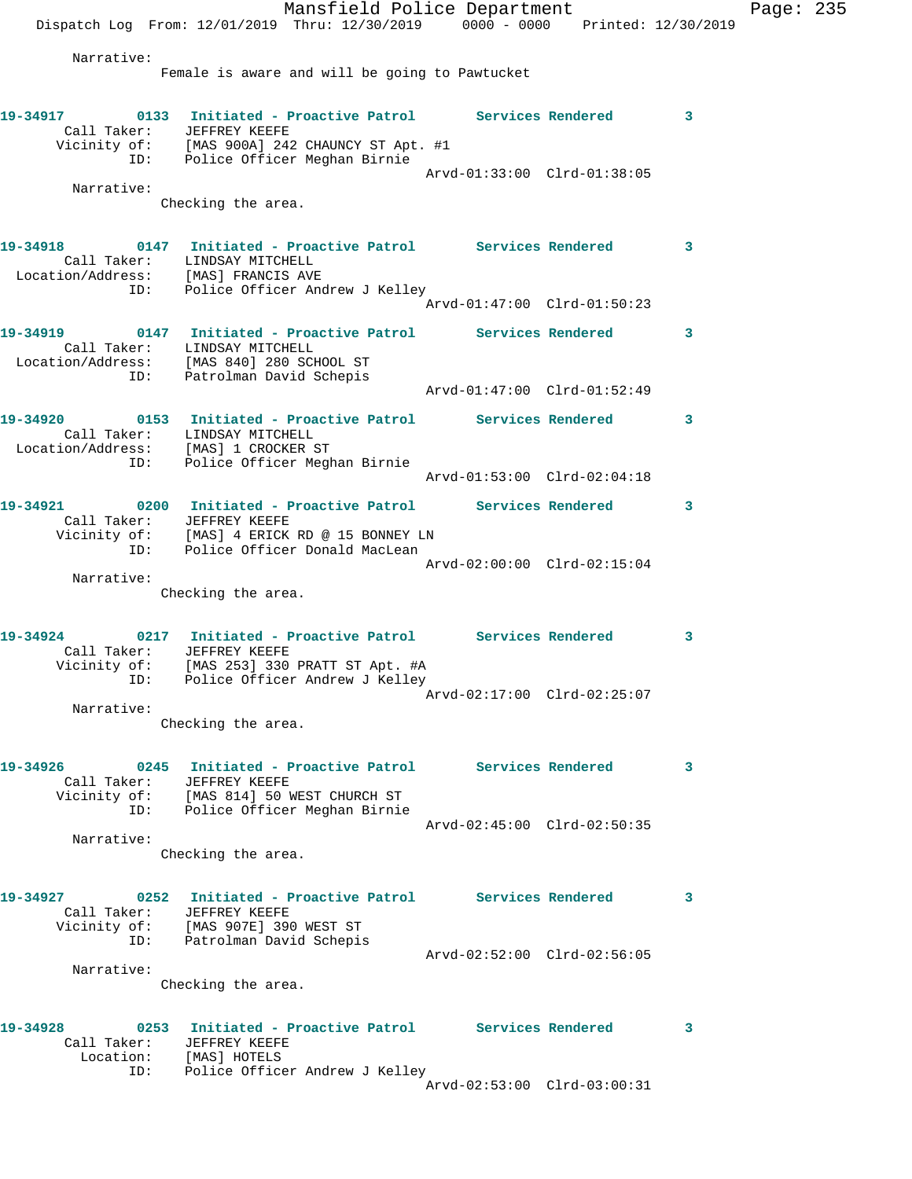Mansfield Police Department Fage: 235 Dispatch Log From: 12/01/2019 Thru: 12/30/2019 0000 - 0000 Printed: 12/30/2019 Narrative: Female is aware and will be going to Pawtucket **19-34917 0133 Initiated - Proactive Patrol Services Rendered 3**  Call Taker: JEFFREY KEEFE Vicinity of: [MAS 900A] 242 CHAUNCY ST Apt. #1 ID: Police Officer Meghan Birnie Arvd-01:33:00 Clrd-01:38:05 Narrative: Checking the area. **19-34918 0147 Initiated - Proactive Patrol Services Rendered 3**  Call Taker: LINDSAY MITCHELL Location/Address: [MAS] FRANCIS AVE ID: Police Officer Andrew J Kelley Arvd-01:47:00 Clrd-01:50:23 **19-34919 0147 Initiated - Proactive Patrol Services Rendered 3**  Call Taker: LINDSAY MITCHELL Location/Address: [MAS 840] 280 SCHOOL ST ID: Patrolman David Schepis Arvd-01:47:00 Clrd-01:52:49 **19-34920 0153 Initiated - Proactive Patrol Services Rendered 3**  Call Taker: LINDSAY MITCHELL Location/Address: [MAS] 1 CROCKER ST ID: Police Officer Meghan Birnie Arvd-01:53:00 Clrd-02:04:18 **19-34921 0200 Initiated - Proactive Patrol Services Rendered 3**  Call Taker: JEFFREY KEEFE Vicinity of: [MAS] 4 ERICK RD @ 15 BONNEY LN ID: Police Officer Donald MacLean Arvd-02:00:00 Clrd-02:15:04 Narrative: Checking the area. **19-34924 0217 Initiated - Proactive Patrol Services Rendered 3**  Call Taker: JEFFREY KEEFE Vicinity of: [MAS 253] 330 PRATT ST Apt. #A ID: Police Officer Andrew J Kelley Arvd-02:17:00 Clrd-02:25:07 Narrative: Checking the area. **19-34926 0245 Initiated - Proactive Patrol Services Rendered 3**  Call Taker: JEFFREY KEEFE Vicinity of: [MAS 814] 50 WEST CHURCH ST ID: Police Officer Meghan Birnie Arvd-02:45:00 Clrd-02:50:35 Narrative: Checking the area. **19-34927 0252 Initiated - Proactive Patrol Services Rendered 3**  Call Taker: JEFFREY KEEFE Vicinity of: [MAS 907E] 390 WEST ST ID: Patrolman David Schepis Arvd-02:52:00 Clrd-02:56:05 Narrative: Checking the area. **19-34928 0253 Initiated - Proactive Patrol Services Rendered 3**  Call Taker: JEFFREY KEEFE Location: [MAS] HOTELS ID: Police Officer Andrew J Kelley Arvd-02:53:00 Clrd-03:00:31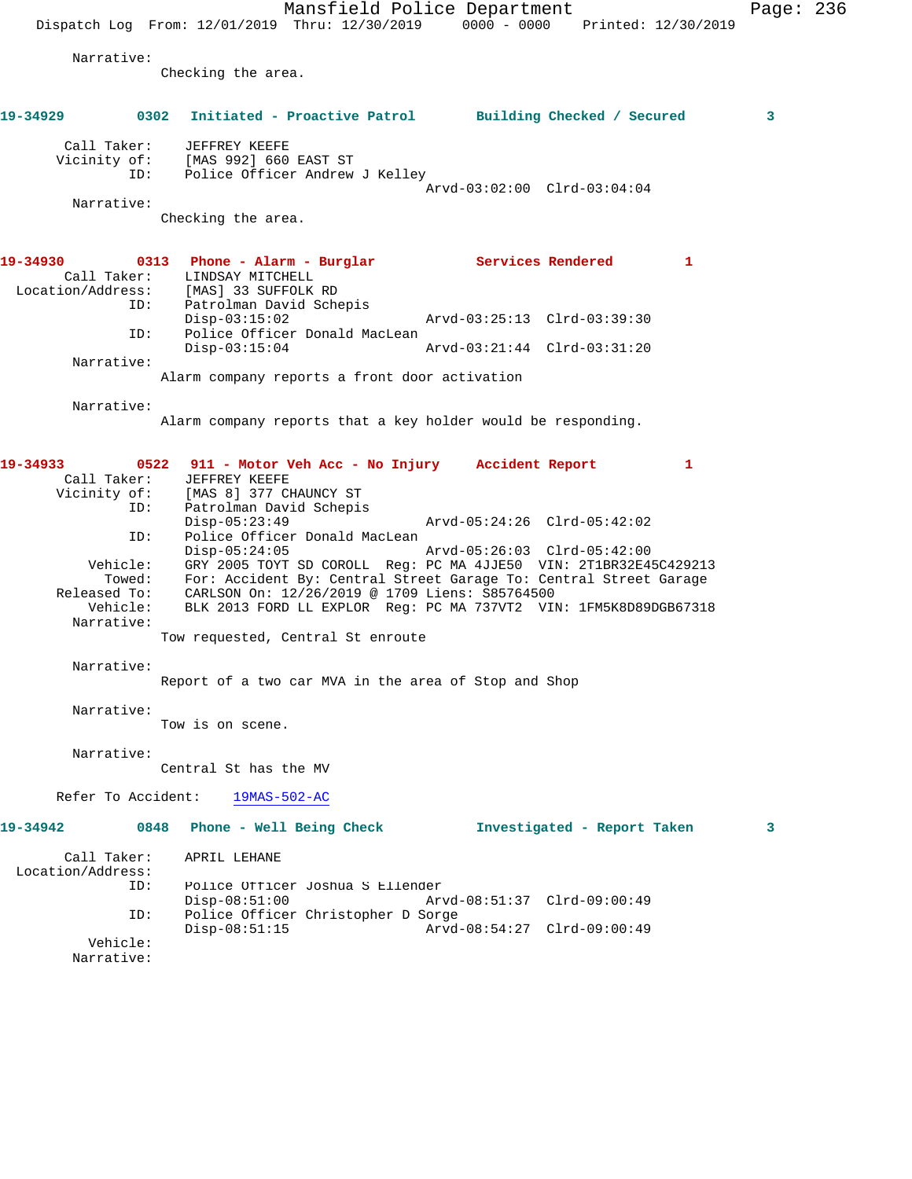Mansfield Police Department Page: 236 Dispatch Log From: 12/01/2019 Thru: 12/30/2019 0000 - 0000 Printed: 12/30/2019 Narrative: Checking the area. **19-34929 0302 Initiated - Proactive Patrol Building Checked / Secured 3** Call Taker: JEFFREY KEEFE Vicinity of: [MAS 992] 660 EAST ST ID: Police Officer Andrew J Kelley Arvd-03:02:00 Clrd-03:04:04 Narrative: Checking the area. **19-34930 0313 Phone - Alarm - Burglar Services Rendered 1**  Call Taker: LINDSAY MITCHELL Location/Address: [MAS] 33 SUFFOLK RD ID: Patrolman David Schepis Disp-03:15:02 Arvd-03:25:13 Clrd-03:39:30 ID: Police Officer Donald MacLean Disp-03:15:04 Arvd-03:21:44 Clrd-03:31:20 Narrative: Alarm company reports a front door activation Narrative: Alarm company reports that a key holder would be responding. **19-34933 0522 911 - Motor Veh Acc - No Injury Accident Report 1**  Call Taker: JEFFREY KEEFE Vicinity of: [MAS 8] 377 CHAUNCY ST ID: Patrolman David Schepis<br>Disp-05:23:49 Disp-05:23:49 Arvd-05:24:26 Clrd-05:42:02 ID: Police Officer Donald MacLean<br>Disp-05:24:05 Mrvd-05:26:03 Clrd-05:42:00 Disp-05:24:05 Arvd-05:26:03 Clrd-05:42:00 Vehicle: GRY 2005 TOYT SD COROLL Reg: PC MA 4JJE50 VIN: 2T1BR32E45C429213 Towed: For: Accident By: Central Street Garage To: Central Street Garage Released To: CARLSON On: 12/26/2019 @ 1709 Liens: S85764500 Vehicle: BLK 2013 FORD LL EXPLOR Reg: PC MA 737VT2 VIN: 1FM5K8D89DGB67318 Narrative: Tow requested, Central St enroute Narrative: Report of a two car MVA in the area of Stop and Shop Narrative: Tow is on scene. Narrative: Central St has the MV Refer To Accident: 19MAS-502-AC **19-34942 0848 Phone - Well Being Check Investigated - Report Taken 3** Call Taker: APRIL LEHANE Location/Address: ID: Police Officer Joshua S Ellender Disp-08:51:00 Arvd-08:51:37 Clrd-09:00:49<br>ID: Police Officer Christopher D Sorge Police Officer Christopher D Sorge<br>Disp-08:51:15 Arvd Disp-08:51:15 Arvd-08:54:27 Clrd-09:00:49 Vehicle: Narrative: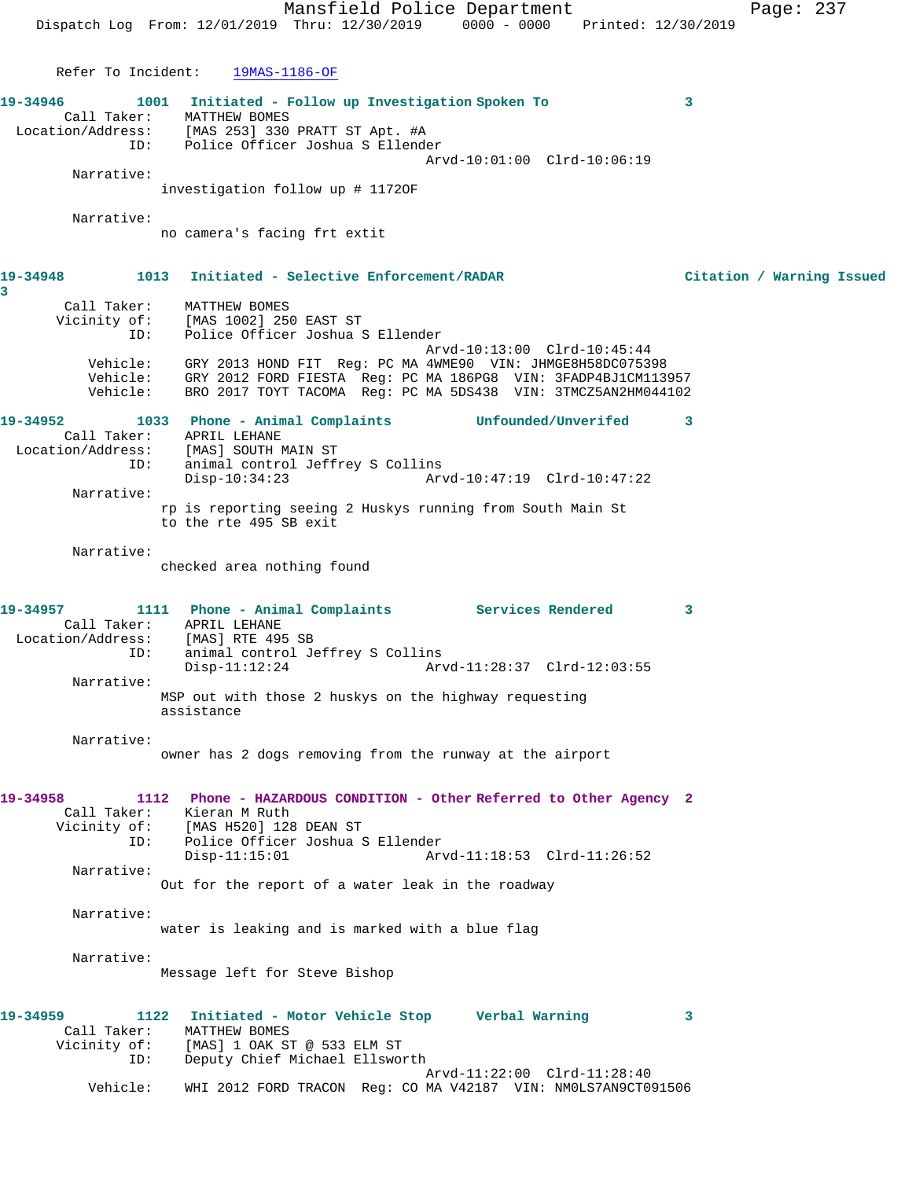Mansfield Police Department Page: 237 Dispatch Log From: 12/01/2019 Thru: 12/30/2019 0000 - 0000 Printed: 12/30/2019 Refer To Incident: 19MAS-1186-OF **19-34946 1001 Initiated - Follow up Investigation Spoken To 3**  Call Taker: MATTHEW BOMES Location/Address: [MAS 253] 330 PRATT ST Apt. #A ID: Police Officer Joshua S Ellender Arvd-10:01:00 Clrd-10:06:19 Narrative: investigation follow up # 1172OF Narrative: no camera's facing frt extit **19-34948 1013 Initiated - Selective Enforcement/RADAR Citation / Warning Issued 3**  Call Taker: MATTHEW BOMES Vicinity of: [MAS 1002] 250 EAST ST ID: Police Officer Joshua S Ellender Arvd-10:13:00 Clrd-10:45:44 Vehicle: GRY 2013 HOND FIT Reg: PC MA 4WME90 VIN: JHMGE8H58DC075398 Vehicle: GRY 2012 FORD FIESTA Reg: PC MA 186PG8 VIN: 3FADP4BJ1CM113957 Vehicle: BRO 2017 TOYT TACOMA Reg: PC MA 5DS438 VIN: 3TMCZ5AN2HM044102 **19-34952 1033 Phone - Animal Complaints Unfounded/Unverifed 3**  Call Taker: APRIL LEHANE Location/Address: [MAS] SOUTH MAIN ST ID: animal control Jeffrey S Collins<br>Disp-10:34:23 Arv Disp-10:34:23 Arvd-10:47:19 Clrd-10:47:22 Narrative: rp is reporting seeing 2 Huskys running from South Main St to the rte 495 SB exit Narrative: checked area nothing found **19-34957 1111 Phone - Animal Complaints Services Rendered 3**  Call Taker: APRIL LEHANE Location/Address: [MAS] RTE 495 SB ID: animal control Jeffrey S Collins Disp-11:12:24 Arvd-11:28:37 Clrd-12:03:55 Narrative: MSP out with those 2 huskys on the highway requesting assistance Narrative: owner has 2 dogs removing from the runway at the airport **19-34958 1112 Phone - HAZARDOUS CONDITION - Other Referred to Other Agency 2**  Call Taker: Kieran M Ruth Vicinity of: [MAS H520] 128 DEAN ST<br>ID: Police Officer Joshua S Police Officer Joshua S Ellender Disp-11:15:01 Arvd-11:18:53 Clrd-11:26:52 Narrative: Out for the report of a water leak in the roadway Narrative: water is leaking and is marked with a blue flag Narrative: Message left for Steve Bishop **19-34959 1122 Initiated - Motor Vehicle Stop Verbal Warning 3**  Call Taker: MATTHEW BOMES Vicinity of: [MAS] 1 OAK ST @ 533 ELM ST ID: Deputy Chief Michael Ellsworth Arvd-11:22:00 Clrd-11:28:40 Vehicle: WHI 2012 FORD TRACON Reg: CO MA V42187 VIN: NM0LS7AN9CT091506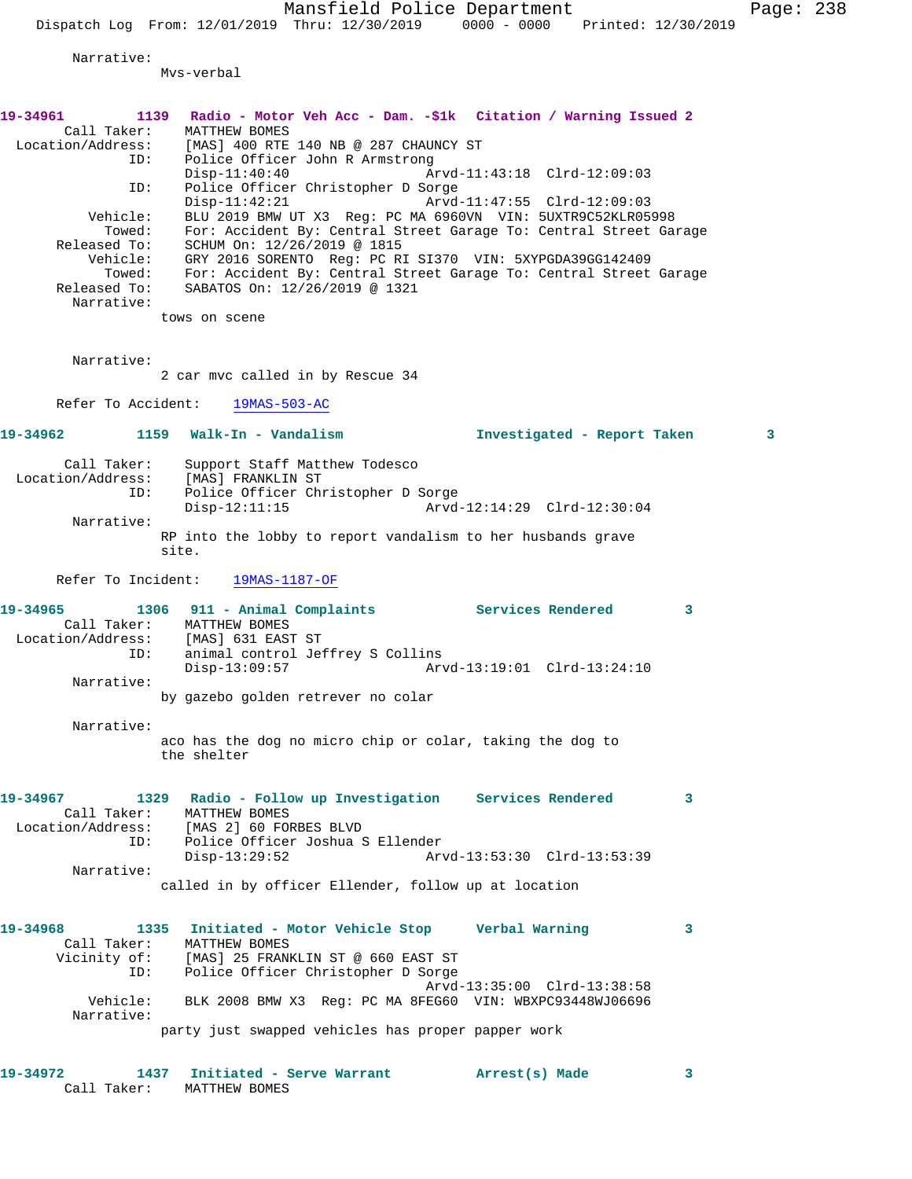Mansfield Police Department Fage: 238

Dispatch Log From:  $12/01/2019$  Thru:  $12/30/2019$  0000 - 0000 Printed:  $12/30/2019$ 

Narrative:

Mvs-verbal

| 19-34961<br>Call Taker:<br>ID:<br>ID:<br>Vehicle:<br>Towed:<br>Released To:<br>eased To:<br>Vehicle: | 1139 Radio - Motor Veh Acc - Dam. -\$1k Citation / Warning Issued 2<br>MATTHEW BOMES<br>Location/Address: [MAS] 400 RTE 140 NB @ 287 CHAUNCY ST<br>Police Officer John R Armstrong<br>$Disp-11:40:40$<br>Police Officer Christopher D Sorge<br>$Disp-11:42:21$<br>BLU 2019 BMW UT X3 Reg: PC MA 6960VN VIN: 5UXTR9C52KLR05998<br>For: Accident By: Central Street Garage To: Central Street Garage<br>SCHUM On: 12/26/2019 @ 1815<br>GRY 2016 SORENTO Req: PC RI SI370 VIN: 5XYPGDA39GG142409 | Arvd-11:43:18 Clrd-12:09:03<br>Arvd-11:47:55 Clrd-12:09:03 |   |
|------------------------------------------------------------------------------------------------------|-----------------------------------------------------------------------------------------------------------------------------------------------------------------------------------------------------------------------------------------------------------------------------------------------------------------------------------------------------------------------------------------------------------------------------------------------------------------------------------------------|------------------------------------------------------------|---|
| Towed:<br>Released To:<br>Narrative:                                                                 | For: Accident By: Central Street Garage To: Central Street Garage<br>SABATOS On: 12/26/2019 @ 1321                                                                                                                                                                                                                                                                                                                                                                                            |                                                            |   |
|                                                                                                      | tows on scene                                                                                                                                                                                                                                                                                                                                                                                                                                                                                 |                                                            |   |
| Narrative:                                                                                           | 2 car mvc called in by Rescue 34                                                                                                                                                                                                                                                                                                                                                                                                                                                              |                                                            |   |
|                                                                                                      | Refer To Accident: 19MAS-503-AC                                                                                                                                                                                                                                                                                                                                                                                                                                                               |                                                            |   |
|                                                                                                      |                                                                                                                                                                                                                                                                                                                                                                                                                                                                                               | Investigated - Report Taken                                | 3 |
| Call Taker:<br>ID:                                                                                   | Support Staff Matthew Todesco<br>Location/Address: [MAS] FRANKLIN ST<br>TD: Police Officer Ch<br>Police Officer Christopher D Sorge<br>$Disp-12:11:15$                                                                                                                                                                                                                                                                                                                                        | Arvd-12:14:29 Clrd-12:30:04                                |   |
| Narrative:                                                                                           | RP into the lobby to report vandalism to her husbands grave<br>site.                                                                                                                                                                                                                                                                                                                                                                                                                          |                                                            |   |
|                                                                                                      | Refer To Incident: 19MAS-1187-OF                                                                                                                                                                                                                                                                                                                                                                                                                                                              |                                                            |   |
| 19-34965                                                                                             | 1306 911 - Animal Complaints Services Rendered<br>Call Taker: MATTHEW BOMES<br>Location/Address: [MAS] 631 EAST ST<br>ID: animal control Je:<br>animal control Jeffrey S Collins<br>$Disp-13:09:57$                                                                                                                                                                                                                                                                                           | Arvd-13:19:01 Clrd-13:24:10                                | 3 |
| Narrative:                                                                                           | by gazebo golden retrever no colar                                                                                                                                                                                                                                                                                                                                                                                                                                                            |                                                            |   |
| Narrative:                                                                                           | aco has the dog no micro chip or colar, taking the dog to<br>the shelter                                                                                                                                                                                                                                                                                                                                                                                                                      |                                                            |   |
| 19-34967<br>Call Taker:<br>Location/Address:<br>ID:                                                  | 1329 Radio - Follow up Investigation Services Rendered<br>MATTHEW BOMES<br>[MAS 2] 60 FORBES BLVD<br>Police Officer Joshua S Ellender                                                                                                                                                                                                                                                                                                                                                         |                                                            | 3 |
| Narrative:                                                                                           | $Disp-13:29:52$<br>called in by officer Ellender, follow up at location                                                                                                                                                                                                                                                                                                                                                                                                                       | Arvd-13:53:30 Clrd-13:53:39                                |   |
| 19-34968<br>Call Taker:<br>Vicinity of:<br>ID:                                                       | Initiated - Motor Vehicle Stop Verbal Warning<br>1335<br>MATTHEW BOMES<br>[MAS] 25 FRANKLIN ST @ 660 EAST ST<br>Police Officer Christopher D Sorge                                                                                                                                                                                                                                                                                                                                            | Arvd-13:35:00 Clrd-13:38:58                                | 3 |
| Vehicle:<br>Narrative:                                                                               | BLK 2008 BMW X3 Req: PC MA 8FEG60 VIN: WBXPC93448WJ06696                                                                                                                                                                                                                                                                                                                                                                                                                                      |                                                            |   |
|                                                                                                      | party just swapped vehicles has proper papper work                                                                                                                                                                                                                                                                                                                                                                                                                                            |                                                            |   |
| 19-34972                                                                                             | 1437<br>Initiated - Serve Warrant                                                                                                                                                                                                                                                                                                                                                                                                                                                             | Arrest(s) Made                                             | 3 |

Call Taker: MATTHEW BOMES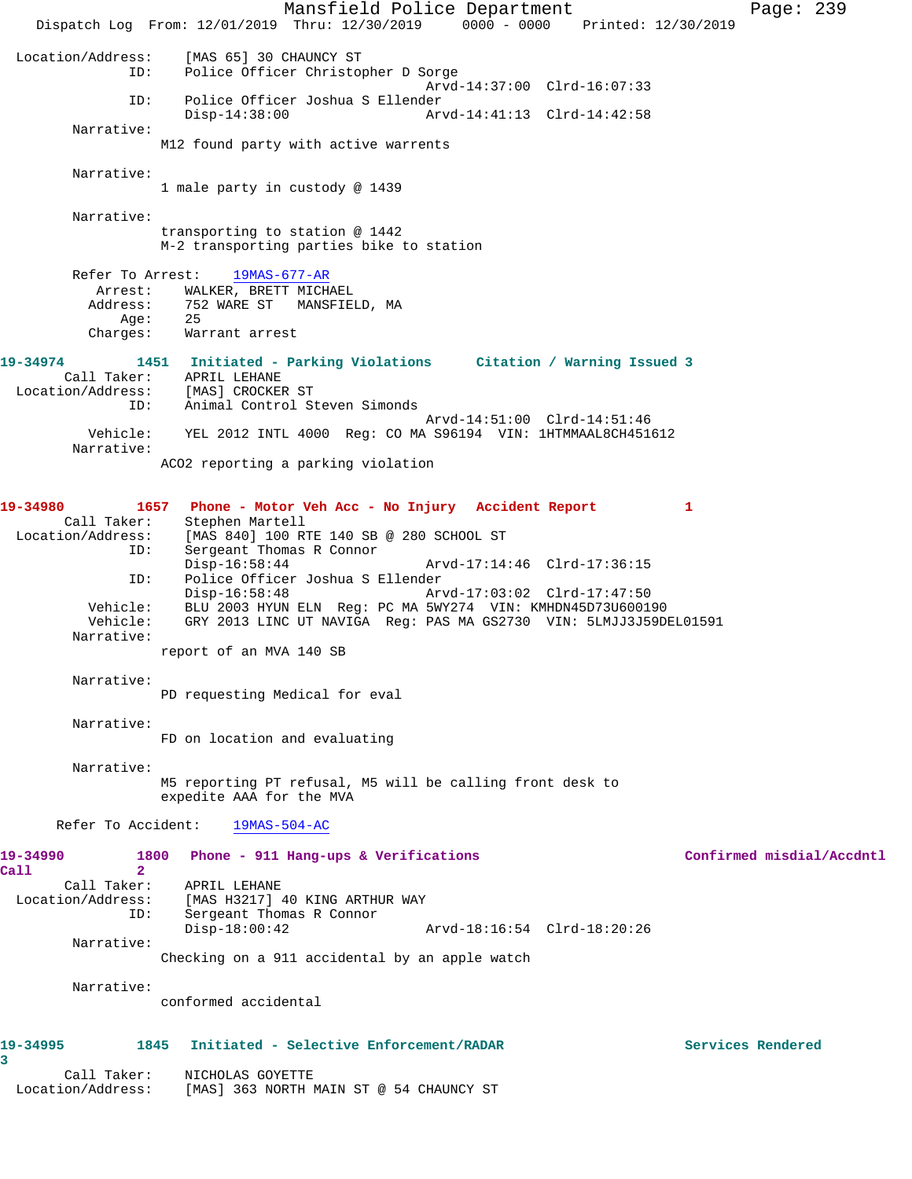Mansfield Police Department Fage: 239 Dispatch Log From: 12/01/2019 Thru: 12/30/2019 0000 - 0000 Printed: 12/30/2019 Location/Address: [MAS 65] 30 CHAUNCY ST ID: Police Officer Christopher D Sorge Arvd-14:37:00 Clrd-16:07:33 ID: Police Officer Joshua S Ellender Arvd-14:41:13 Clrd-14:42:58 Narrative: M12 found party with active warrents Narrative: 1 male party in custody @ 1439 Narrative: transporting to station @ 1442 M-2 transporting parties bike to station Refer To Arrest: 19MAS-677-AR Arrest: WALKER, BRETT MICHAEL Address: 752 WARE ST MANSFIELD, MA Age: 25 Charges: Warrant arrest **19-34974 1451 Initiated - Parking Violations Citation / Warning Issued 3**  Call Taker: APRIL LEHANE Location/Address: [MAS] CROCKER ST ID: Animal Control Steven Simonds Arvd-14:51:00 Clrd-14:51:46 Vehicle: YEL 2012 INTL 4000 Reg: CO MA S96194 VIN: 1HTMMAAL8CH451612 Narrative: ACO2 reporting a parking violation **19-34980 1657 Phone - Motor Veh Acc - No Injury Accident Report 1**  Call Taker: Stephen Martell Location/Address: [MAS 840] 100 RTE 140 SB @ 280 SCHOOL ST<br>ID: Sergeant Thomas R Connor Sergeant Thomas R Connor Disp-16:58:44 Arvd-17:14:46 Clrd-17:36:15 ID: Police Officer Joshua S Ellender Arvd-17:03:02 Clrd-17:47:50 Vehicle: BLU 2003 HYUN ELN Reg: PC MA 5WY274 VIN: KMHDN45D73U600190 Vehicle: GRY 2013 LINC UT NAVIGA Reg: PAS MA GS2730 VIN: 5LMJJ3J59DEL01591 Narrative: report of an MVA 140 SB Narrative: PD requesting Medical for eval Narrative: FD on location and evaluating Narrative: M5 reporting PT refusal, M5 will be calling front desk to expedite AAA for the MVA Refer To Accident: 19MAS-504-AC **19-34990 1800 Phone - 911 Hang-ups & Verifications Confirmed misdial/Accdntl Call 2**  Call Taker: APRIL LEHANE Location/Address: [MAS H3217] 40 KING ARTHUR WAY ID: Sergeant Thomas R Connor Disp-18:00:42 Arvd-18:16:54 Clrd-18:20:26 Narrative: Checking on a 911 accidental by an apple watch Narrative: conformed accidental **19-34995 1845 Initiated - Selective Enforcement/RADAR Services Rendered 3**  Call Taker: NICHOLAS GOYETTE Location/Address: [MAS] 363 NORTH MAIN ST @ 54 CHAUNCY ST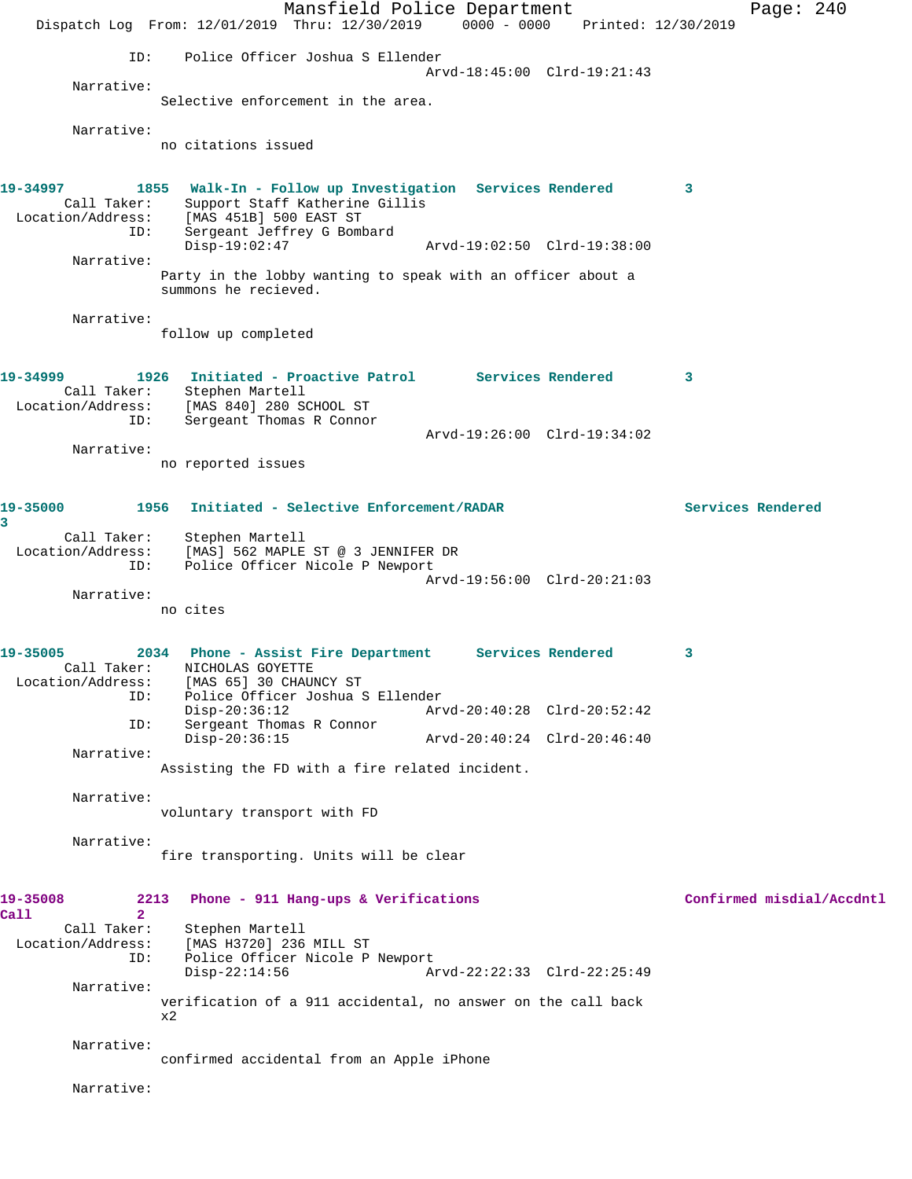Mansfield Police Department Page: 240 Dispatch Log From: 12/01/2019 Thru: 12/30/2019 0000 - 0000 Printed: 12/30/2019 ID: Police Officer Joshua S Ellender Arvd-18:45:00 Clrd-19:21:43 Narrative: Selective enforcement in the area. Narrative: no citations issued **19-34997 1855 Walk-In - Follow up Investigation Services Rendered 3**  Call Taker: Support Staff Katherine Gillis Location/Address: [MAS 451B] 500 EAST ST ID: Sergeant Jeffrey G Bombard<br>Disp-19:02:47 Disp-19:02:47 Arvd-19:02:50 Clrd-19:38:00 Narrative: Party in the lobby wanting to speak with an officer about a summons he recieved. Narrative: follow up completed **19-34999 1926 Initiated - Proactive Patrol Services Rendered 3**  Call Taker: Stephen Martell Location/Address: [MAS 840] 280 SCHOOL ST ID: Sergeant Thomas R Connor Arvd-19:26:00 Clrd-19:34:02 Narrative: no reported issues **19-35000 1956 Initiated - Selective Enforcement/RADAR Services Rendered 3**  Call Taker: Stephen Martell Location/Address: [MAS] 562 MAPLE ST @ 3 JENNIFER DR<br>ID: Police Officer Nicole P Newport Police Officer Nicole P Newport Arvd-19:56:00 Clrd-20:21:03 Narrative: no cites **19-35005 2034 Phone - Assist Fire Department Services Rendered 3**  Call Taker: NICHOLAS GOYETTE Location/Address: [MAS 65] 30 CHAUNCY ST ID: Police Officer Joshua S Ellender Disp-20:36:12 Arvd-20:40:28 Clrd-20:52:42 ID: Sergeant Thomas R Connor Disp-20:36:15 Arvd-20:40:24 Clrd-20:46:40 Narrative: Assisting the FD with a fire related incident. Narrative: voluntary transport with FD Narrative: fire transporting. Units will be clear **19-35008 2213 Phone - 911 Hang-ups & Verifications Confirmed misdial/Accdntl Call 2**  Call Taker: Stephen Martell Location/Address: [MAS H3720] 236 MILL ST ID: Police Officer Nicole P Newport Disp-22:14:56 Arvd-22:22:33 Clrd-22:25:49 Narrative: verification of a 911 accidental, no answer on the call back x2 Narrative: confirmed accidental from an Apple iPhone Narrative: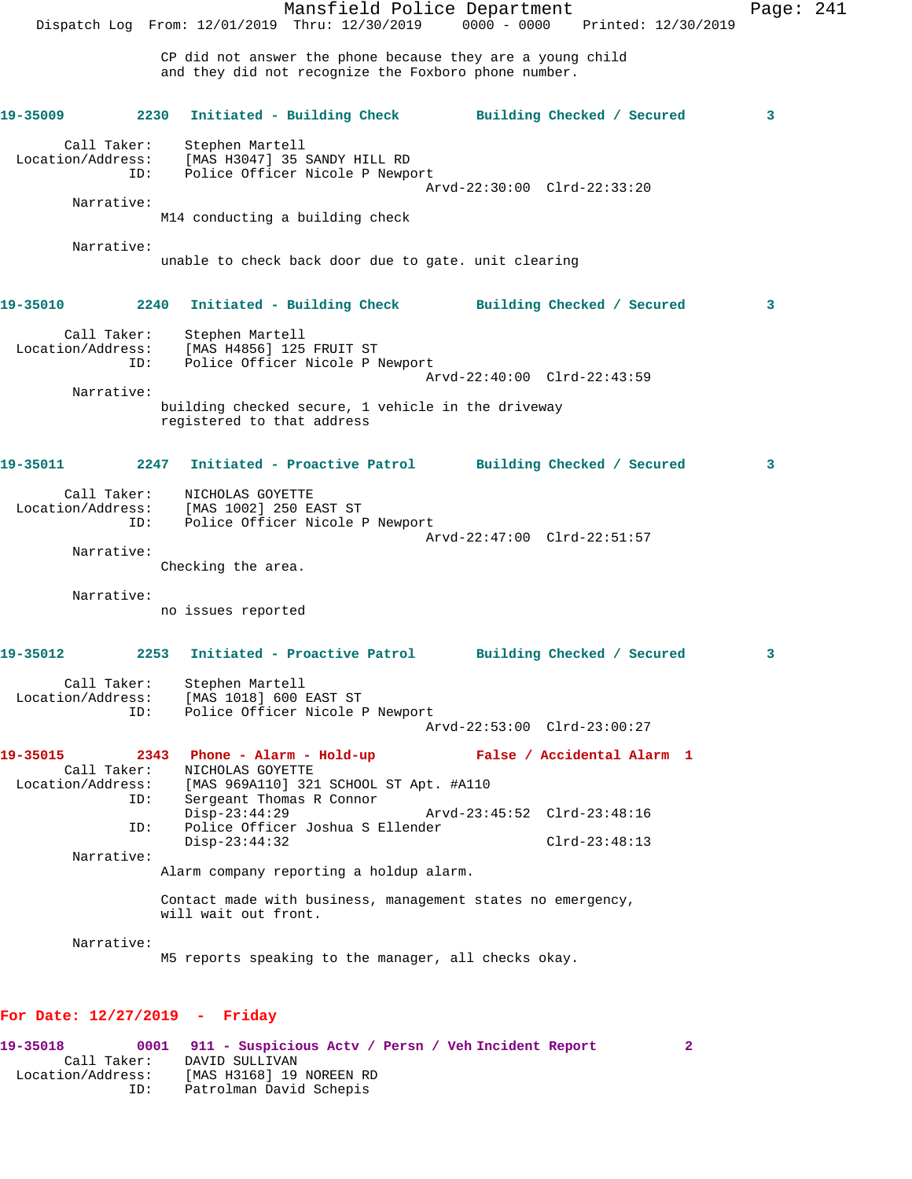Mansfield Police Department Page: 241 Dispatch Log From: 12/01/2019 Thru: 12/30/2019 0000 - 0000 Printed: 12/30/2019 CP did not answer the phone because they are a young child and they did not recognize the Foxboro phone number. **19-35009 2230 Initiated - Building Check Building Checked / Secured 3** Call Taker: Stephen Martell Location/Address: [MAS H3047] 35 SANDY HILL RD ID: Police Officer Nicole P Newport Arvd-22:30:00 Clrd-22:33:20 Narrative: M14 conducting a building check Narrative: unable to check back door due to gate. unit clearing **19-35010 2240 Initiated - Building Check Building Checked / Secured 3** Call Taker: Stephen Martell Location/Address: [MAS H4856] 125 FRUIT ST ID: Police Officer Nicole P Newport Arvd-22:40:00 Clrd-22:43:59 Narrative: building checked secure, 1 vehicle in the driveway registered to that address **19-35011 2247 Initiated - Proactive Patrol Building Checked / Secured 3** Call Taker: NICHOLAS GOYETTE Location/Address: [MAS 1002] 250 EAST ST ID: Police Officer Nicole P Newport Arvd-22:47:00 Clrd-22:51:57 Narrative: Checking the area. Narrative: no issues reported **19-35012 2253 Initiated - Proactive Patrol Building Checked / Secured 3** Call Taker: Stephen Martell Location/Address: [MAS 1018] 600 EAST ST ID: Police Officer Nicole P Newport Arvd-22:53:00 Clrd-23:00:27 **19-35015 2343 Phone - Alarm - Hold-up False / Accidental Alarm 1**  Call Taker: <br>
MICHOLAS GOYETTE<br>
Location/Address: [MAS 969A110] 321 ess: [MAS 969A110] 321 SCHOOL ST Apt. #A110<br>ID: Sergeant Thomas R Connor Sergeant Thomas R Connor<br>Disp-23:44:29 Disp-23:44:29 Arvd-23:45:52 Clrd-23:48:16<br>TD: Police Officer Joshua S Ellender Police Officer Joshua S Ellender Disp-23:44:32 Clrd-23:48:13 Narrative: Alarm company reporting a holdup alarm. Contact made with business, management states no emergency, will wait out front. Narrative: M5 reports speaking to the manager, all checks okay. **For Date: 12/27/2019 - Friday**

**19-35018 0001 911 - Suspicious Actv / Persn / Veh Incident Report 2**  Call Taker: DAVID SULLIVAN Location/Address: [MAS H3168] 19 NOREEN RD ID: Patrolman David Schepis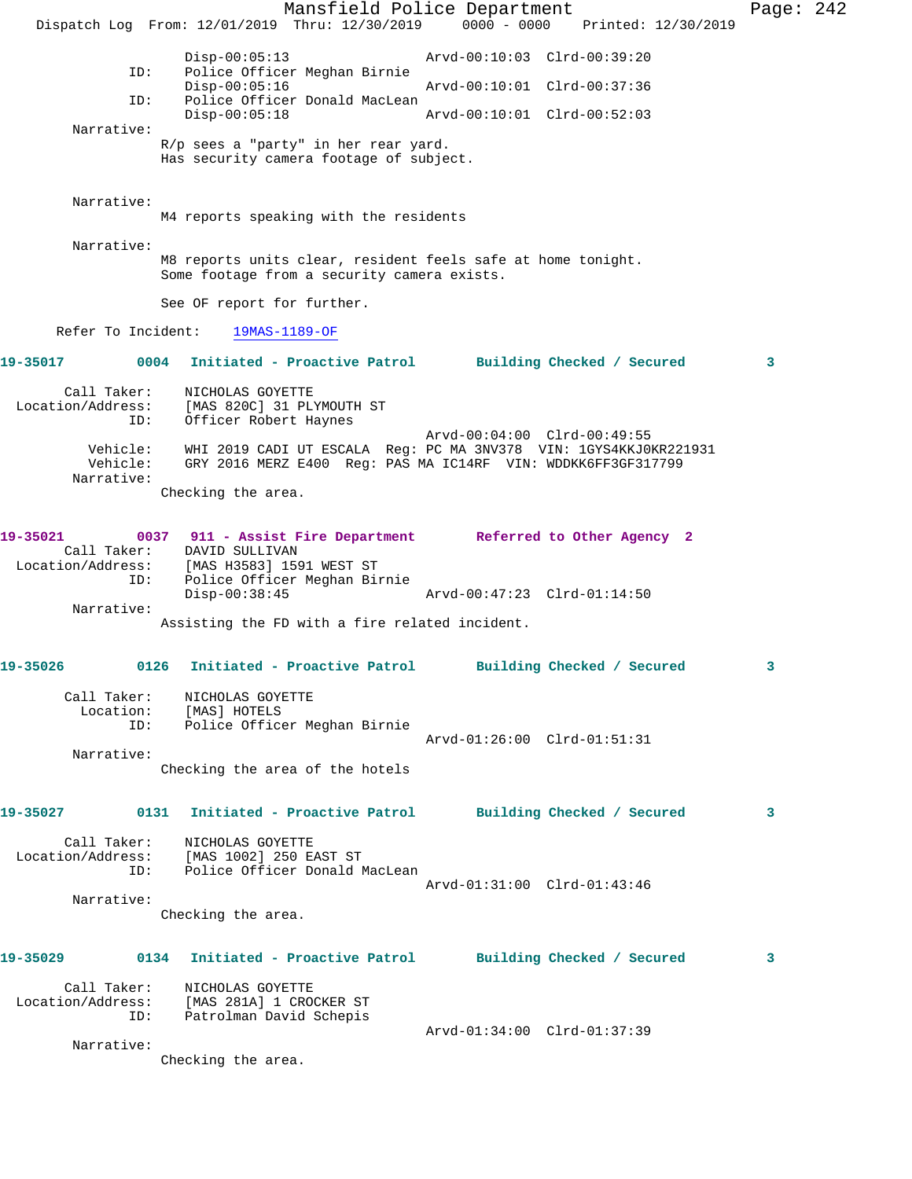Mansfield Police Department Page: 242 Dispatch Log From: 12/01/2019 Thru: 12/30/2019 0000 - 0000 Printed: 12/30/2019 Disp-00:05:13 Arvd-00:10:03 Clrd-00:39:20<br>ID: Police Officer Meghan Birnie Police Officer Meghan Birnie<br>Disp-00:05:16 Disp-00:05:16 Arvd-00:10:01 Clrd-00:37:36 ID: Police Officer Donald MacLean Arvd-00:10:01 Clrd-00:52:03 Narrative: R/p sees a "party" in her rear yard. Has security camera footage of subject. Narrative: M4 reports speaking with the residents Narrative: M8 reports units clear, resident feels safe at home tonight. Some footage from a security camera exists. See OF report for further. Refer To Incident: 19MAS-1189-OF **19-35017 0004 Initiated - Proactive Patrol Building Checked / Secured 3** Call Taker: NICHOLAS GOYETTE Location/Address: [MAS 820C] 31 PLYMOUTH ST ID: Officer Robert Haynes Arvd-00:04:00 Clrd-00:49:55 Vehicle: WHI 2019 CADI UT ESCALA Reg: PC MA 3NV378 VIN: 1GYS4KKJ0KR221931 Vehicle: GRY 2016 MERZ E400 Reg: PAS MA IC14RF VIN: WDDKK6FF3GF317799 Narrative: Checking the area. **19-35021 0037 911 - Assist Fire Department Referred to Other Agency 2**  Call Taker: DAVID SULLIVAN Location/Address: [MAS H3583] 1591 WEST ST ID: Police Officer Meghan Birnie Disp-00:38:45 Arvd-00:47:23 Clrd-01:14:50 Narrative: Assisting the FD with a fire related incident. **19-35026 0126 Initiated - Proactive Patrol Building Checked / Secured 3** Call Taker: NICHOLAS GOYETTE Location: [MAS] HOTELS ID: Police Officer Meghan Birnie Arvd-01:26:00 Clrd-01:51:31 Narrative: Checking the area of the hotels **19-35027 0131 Initiated - Proactive Patrol Building Checked / Secured 3** Call Taker: NICHOLAS GOYETTE Location/Address: [MAS 1002] 250 EAST ST ID: Police Officer Donald MacLean Arvd-01:31:00 Clrd-01:43:46 Narrative: Checking the area. **19-35029 0134 Initiated - Proactive Patrol Building Checked / Secured 3** Call Taker: NICHOLAS GOYETTE Location/Address: [MAS 281A] 1 CROCKER ST ID: Patrolman David Schepis Arvd-01:34:00 Clrd-01:37:39 Narrative: Checking the area.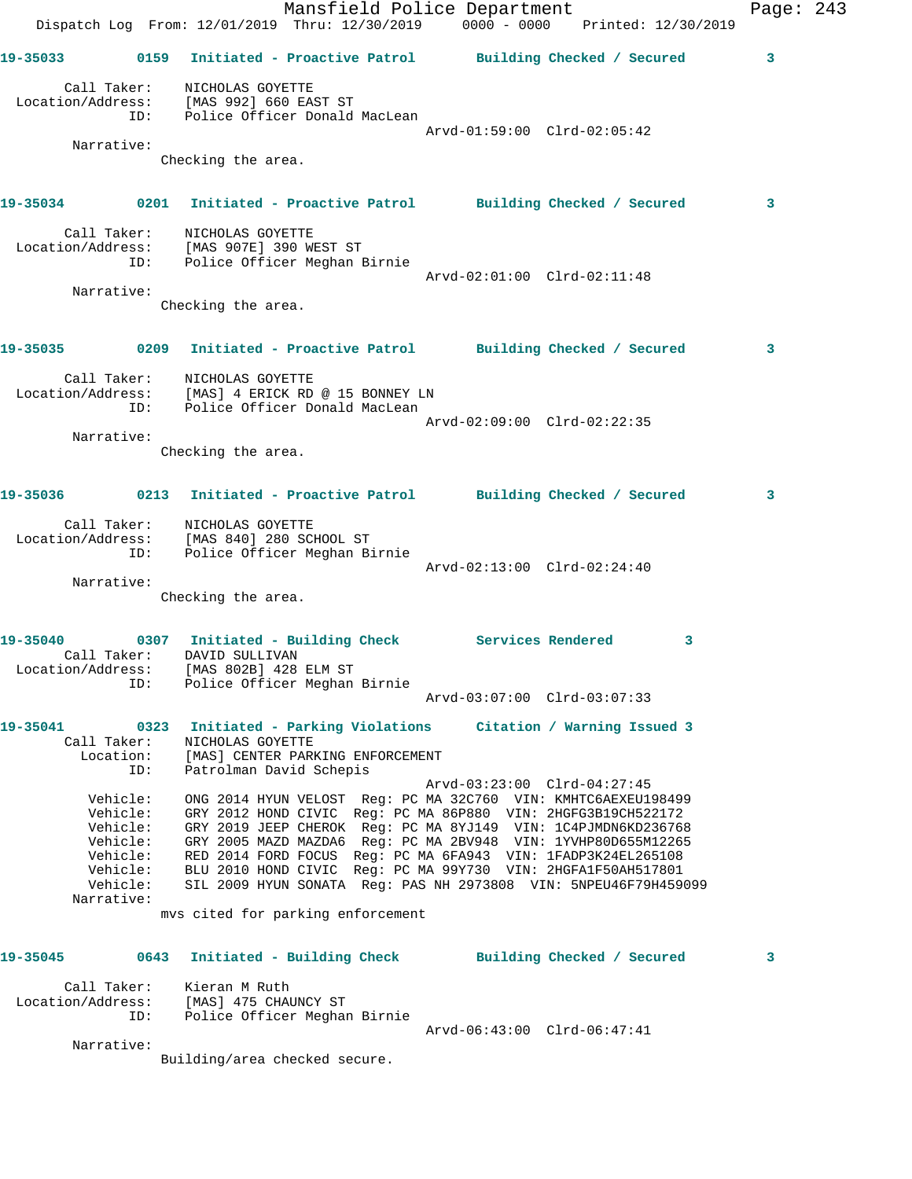Mansfield Police Department Fage: 243 Dispatch Log From: 12/01/2019 Thru: 12/30/2019 0000 - 0000 Printed: 12/30/2019 **19-35033 0159 Initiated - Proactive Patrol Building Checked / Secured 3** Call Taker: NICHOLAS GOYETTE Location/Address: [MAS 992] 660 EAST ST ID: Police Officer Donald MacLean Arvd-01:59:00 Clrd-02:05:42 Narrative: Checking the area. **19-35034 0201 Initiated - Proactive Patrol Building Checked / Secured 3** Call Taker: NICHOLAS GOYETTE Location/Address: [MAS 907E] 390 WEST ST ID: Police Officer Meghan Birnie Arvd-02:01:00 Clrd-02:11:48 Narrative: Checking the area. **19-35035 0209 Initiated - Proactive Patrol Building Checked / Secured 3** Call Taker: NICHOLAS GOYETTE Location/Address: [MAS] 4 ERICK RD @ 15 BONNEY LN ID: Police Officer Donald MacLean Arvd-02:09:00 Clrd-02:22:35 Narrative: Checking the area. **19-35036 0213 Initiated - Proactive Patrol Building Checked / Secured 3** Call Taker: NICHOLAS GOYETTE Location/Address: [MAS 840] 280 SCHOOL ST ID: Police Officer Meghan Birnie Arvd-02:13:00 Clrd-02:24:40 Narrative: Checking the area. 19-35040 0307 Initiated - Building Check Services Rendered 3 Call Taker: DAVID SULLIVAN Location/Address: [MAS 802B] 428 ELM ST ID: Police Officer Meghan Birnie Arvd-03:07:00 Clrd-03:07:33 **19-35041 0323 Initiated - Parking Violations Citation / Warning Issued 3**  Call Taker: NICHOLAS GOYETTE Location: [MAS] CENTER PARKING ENFORCEMENT ID: Patrolman David Schepis Arvd-03:23:00 Clrd-04:27:45 Vehicle: ONG 2014 HYUN VELOST Reg: PC MA 32C760 VIN: KMHTC6AEXEU198499 Vehicle: GRY 2012 HOND CIVIC Reg: PC MA 86P880 VIN: 2HGFG3B19CH522172 Vehicle: GRY 2019 JEEP CHEROK Reg: PC MA 8YJ149 VIN: 1C4PJMDN6KD236768 Vehicle: GRY 2005 MAZD MAZDA6 Reg: PC MA 2BV948 VIN: 1YVHP80D655M12265 Vehicle: RED 2014 FORD FOCUS Reg: PC MA 6FA943 VIN: 1FADP3K24EL265108 Vehicle: BLU 2010 HOND CIVIC Reg: PC MA 99Y730 VIN: 2HGFA1F50AH517801 Vehicle: SIL 2009 HYUN SONATA Reg: PAS NH 2973808 VIN: 5NPEU46F79H459099 Narrative: mvs cited for parking enforcement **19-35045 0643 Initiated - Building Check Building Checked / Secured 3** Call Taker: Kieran M Ruth Location/Address: [MAS] 475 CHAUNCY ST ID: Police Officer Meghan Birnie Arvd-06:43:00 Clrd-06:47:41 Narrative:

Building/area checked secure.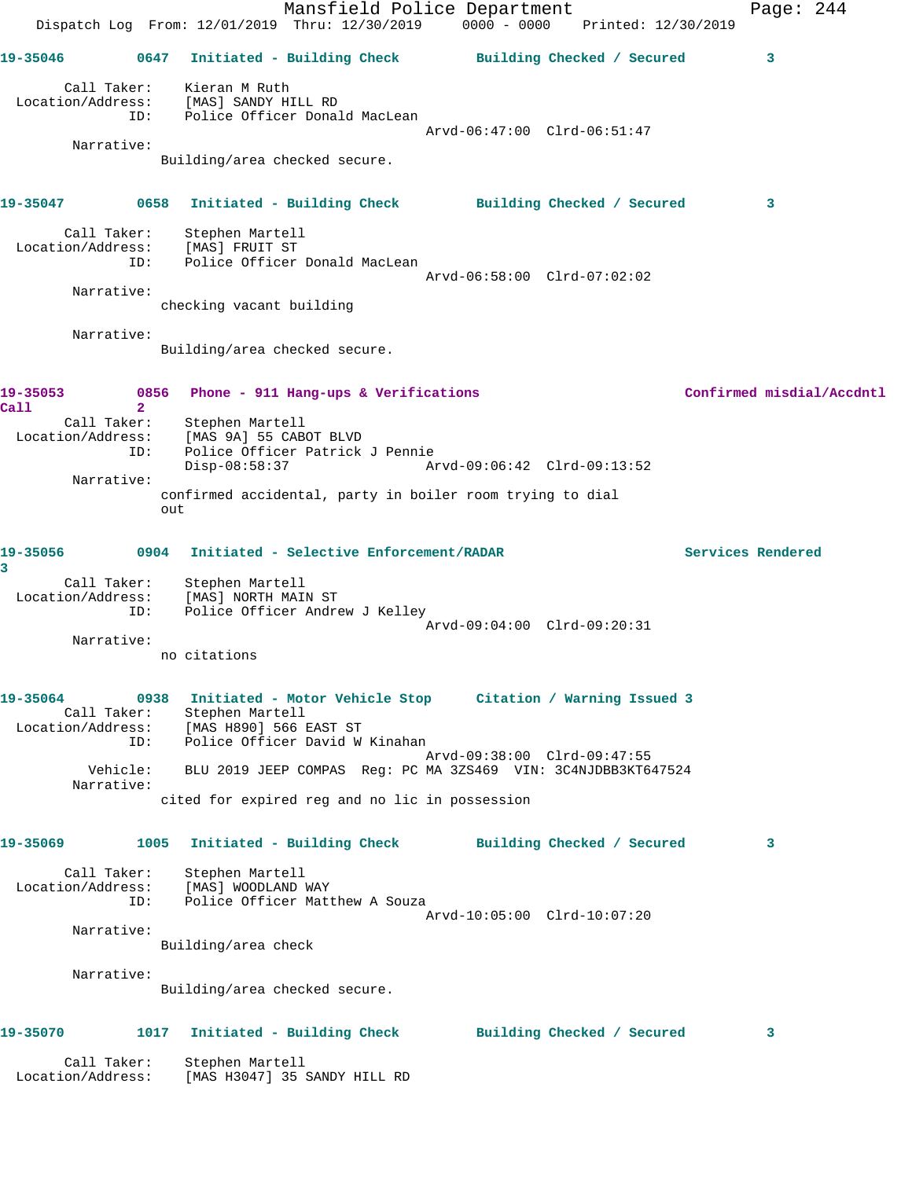|                                                                                                                      |                      | Dispatch Log From: 12/01/2019 Thru: 12/30/2019 0000 - 0000 Printed: 12/30/2019 | Mansfield Police Department     |  |                                                       |                   | Page: $244$               |
|----------------------------------------------------------------------------------------------------------------------|----------------------|--------------------------------------------------------------------------------|---------------------------------|--|-------------------------------------------------------|-------------------|---------------------------|
| 19-35046                                                                                                             | 0647                 |                                                                                |                                 |  | Initiated - Building Check Building Checked / Secured |                   | 3                         |
| Location/Address: [MAS] SANDY HILL RD                                                                                | ID:                  | Call Taker: Kieran M Ruth<br>Police Officer Donald MacLean                     |                                 |  |                                                       |                   |                           |
|                                                                                                                      |                      |                                                                                |                                 |  | Arvd-06:47:00 Clrd-06:51:47                           |                   |                           |
| Narrative:                                                                                                           |                      | Building/area checked secure.                                                  |                                 |  |                                                       |                   |                           |
| 19-35047      0658  Initiated - Building Check      Building Checked / Secured                                       |                      |                                                                                |                                 |  |                                                       |                   | $\mathbf{3}$              |
| Location/Address:                                                                                                    | ID:                  | Call Taker: Stephen Martell<br>ion/Address: [MAS] FRUIT ST                     | Police Officer Donald MacLean   |  |                                                       |                   |                           |
|                                                                                                                      |                      |                                                                                |                                 |  | Arvd-06:58:00 Clrd-07:02:02                           |                   |                           |
| Narrative:                                                                                                           |                      | checking vacant building                                                       |                                 |  |                                                       |                   |                           |
| Narrative:                                                                                                           |                      | Building/area checked secure.                                                  |                                 |  |                                                       |                   |                           |
| 19-35053<br>Call                                                                                                     | $\mathbf{2}^{\circ}$ | 0856 Phone - 911 Hang-ups & Verifications                                      |                                 |  |                                                       |                   | Confirmed misdial/Accdntl |
| Call Taker:<br>Location/Address:                                                                                     | ID:                  | Stephen Martell<br>[MAS 9A] 55 CABOT BLVD                                      | Police Officer Patrick J Pennie |  |                                                       |                   |                           |
|                                                                                                                      |                      | $Disp-08:58:37$                                                                |                                 |  | Arvd-09:06:42 Clrd-09:13:52                           |                   |                           |
| Narrative:                                                                                                           | out                  | confirmed accidental, party in boiler room trying to dial                      |                                 |  |                                                       |                   |                           |
| 19-35056<br>3                                                                                                        |                      | 0904 Initiated - Selective Enforcement/RADAR                                   |                                 |  |                                                       | Services Rendered |                           |
| Call Taker: Stephen Martell<br>Location/Address: [MAS] NORTH MAIN ST                                                 | ID:                  |                                                                                | Police Officer Andrew J Kelley  |  |                                                       |                   |                           |
|                                                                                                                      |                      |                                                                                |                                 |  | Arvd-09:04:00 Clrd-09:20:31                           |                   |                           |
| Narrative:                                                                                                           |                      | no citations                                                                   |                                 |  |                                                       |                   |                           |
| 19-35064 0938 Initiated - Motor Vehicle Stop Citation / Warning Issued 3<br>Location/Address: [MAS H890] 566 EAST ST | ID:                  | Call Taker: Stephen Martell<br>Police Officer David W Kinahan                  |                                 |  |                                                       |                   |                           |
| Narrative:                                                                                                           |                      | Vehicle: BLU 2019 JEEP COMPAS Req: PC MA 3ZS469 VIN: 3C4NJDBB3KT647524         |                                 |  | Arvd-09:38:00 Clrd-09:47:55                           |                   |                           |
|                                                                                                                      |                      | cited for expired reg and no lic in possession                                 |                                 |  |                                                       |                   |                           |
| 19-35069                                                                                                             | 1005                 |                                                                                |                                 |  | Initiated - Building Check Building Checked / Secured |                   | 3                         |
| Call Taker:<br>Location/Address:                                                                                     | ID:                  | Stephen Martell<br>[MAS] WOODLAND WAY<br>Police Officer Matthew A Souza        |                                 |  |                                                       |                   |                           |
| Narrative:                                                                                                           |                      | Building/area check                                                            |                                 |  | Arvd-10:05:00 Clrd-10:07:20                           |                   |                           |
|                                                                                                                      |                      |                                                                                |                                 |  |                                                       |                   |                           |
| Narrative:                                                                                                           |                      | Building/area checked secure.                                                  |                                 |  |                                                       |                   |                           |
| 19-35070                                                                                                             | 1017                 |                                                                                |                                 |  | Initiated - Building Check Building Checked / Secured |                   | 3                         |
| Call Taker:<br>Location/Address:                                                                                     |                      | Stephen Martell<br>[MAS H3047] 35 SANDY HILL RD                                |                                 |  |                                                       |                   |                           |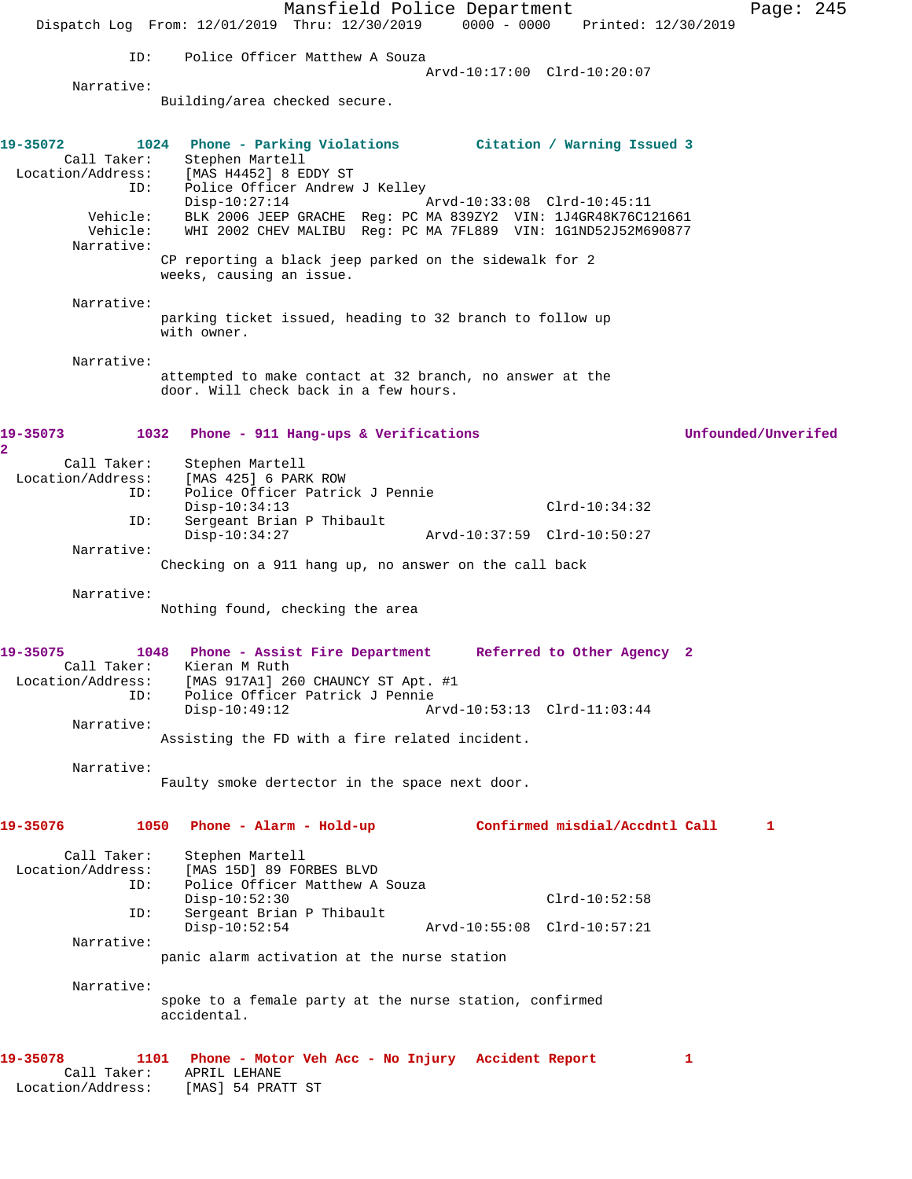Mansfield Police Department Fage: 245 Dispatch Log From: 12/01/2019 Thru: 12/30/2019 0000 - 0000 Printed: 12/30/2019 ID: Police Officer Matthew A Souza Arvd-10:17:00 Clrd-10:20:07 Narrative: Building/area checked secure. **19-35072 1024 Phone - Parking Violations Citation / Warning Issued 3**  Call Taker: Stephen Martell Location/Address: [MAS H4452] 8 EDDY ST ID: Police Officer Andrew J Kelley Disp-10:27:14 Arvd-10:33:08 Clrd-10:45:11 Vehicle: BLK 2006 JEEP GRACHE Reg: PC MA 839ZY2 VIN: 1J4GR48K76C121661 Vehicle: WHI 2002 CHEV MALIBU Reg: PC MA 7FL889 VIN: 1G1ND52J52M690877 Narrative: CP reporting a black jeep parked on the sidewalk for 2 weeks, causing an issue. Narrative: parking ticket issued, heading to 32 branch to follow up with owner. Narrative: attempted to make contact at 32 branch, no answer at the door. Will check back in a few hours. **19-35073 1032 Phone - 911 Hang-ups & Verifications Unfounded/Unverifed 2**  Call Taker: Stephen Martell Location/Address: [MAS 425] 6 PARK ROW ID: Police Officer Patrick J Pennie Disp-10:34:13 Clrd-10:34:32 ID: Sergeant Brian P Thibault Disp-10:34:27 Arvd-10:37:59 Clrd-10:50:27 Narrative: Checking on a 911 hang up, no answer on the call back Narrative: Nothing found, checking the area **19-35075 1048 Phone - Assist Fire Department Referred to Other Agency 2**  Call Taker: Kieran M Ruth Location/Address: [MAS 917A1] 260 CHAUNCY ST Apt. #1 ID: Police Officer Patrick J Pennie Disp-10:49:12 Arvd-10:53:13 Clrd-11:03:44 Narrative: Assisting the FD with a fire related incident. Narrative: Faulty smoke dertector in the space next door. **19-35076 1050 Phone - Alarm - Hold-up Confirmed misdial/Accdntl Call 1** Call Taker: Stephen Martell Location/Address: [MAS 15D] 89 FORBES BLVD ID: Police Officer Matthew A Souza Disp-10:52:30 Clrd-10:52:58 ID: Sergeant Brian P Thibault Disp-10:52:54 Arvd-10:55:08 Clrd-10:57:21 Narrative: panic alarm activation at the nurse station Narrative: spoke to a female party at the nurse station, confirmed accidental. **19-35078 1101 Phone - Motor Veh Acc - No Injury Accident Report 1**  Call Taker: APRIL LEHANE Location/Address: [MAS] 54 PRATT ST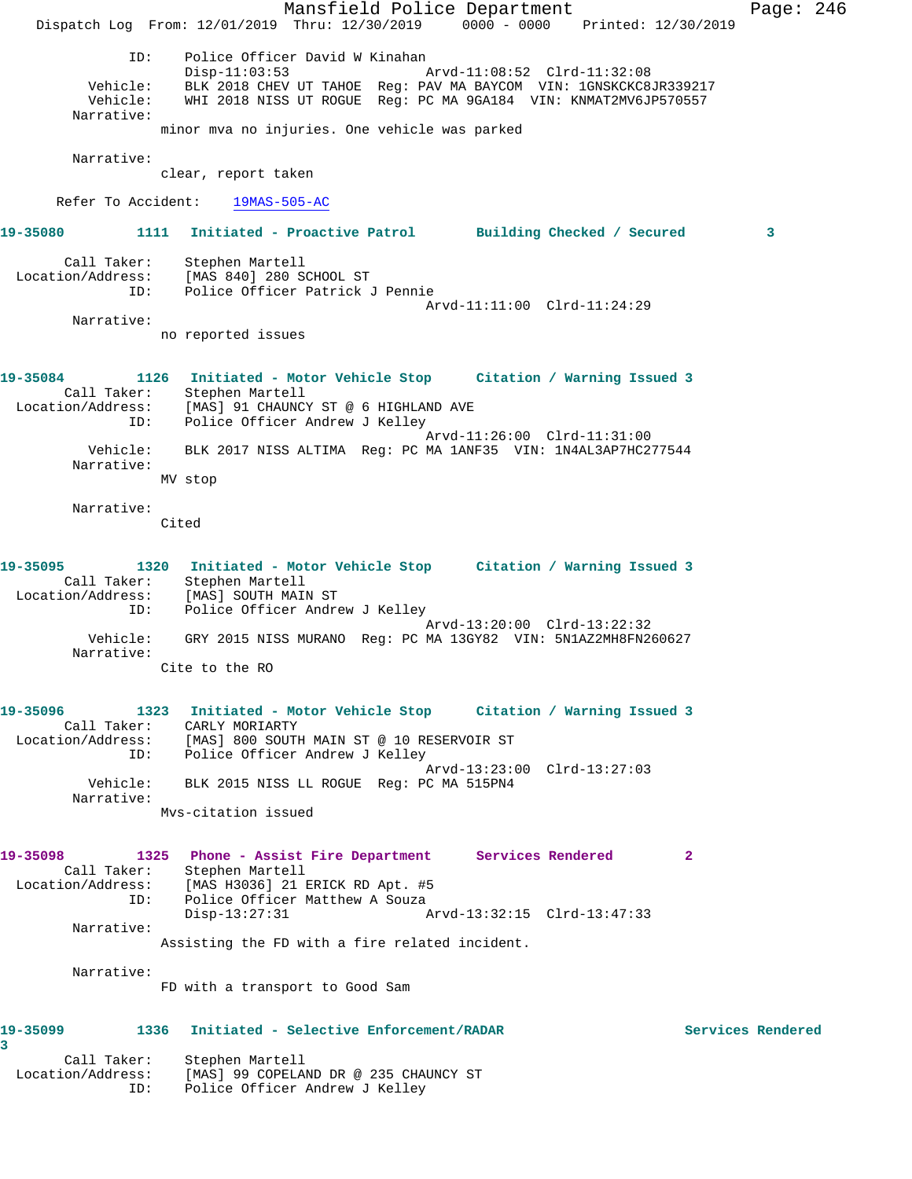Mansfield Police Department Fage: 246 Dispatch Log From: 12/01/2019 Thru: 12/30/2019 0000 - 0000 Printed: 12/30/2019 ID: Police Officer David W Kinahan Disp-11:03:53 Arvd-11:08:52 Clrd-11:32:08 Vehicle: BLK 2018 CHEV UT TAHOE Reg: PAV MA BAYCOM VIN: 1GNSKCKC8JR339217 Vehicle: WHI 2018 NISS UT ROGUE Reg: PC MA 9GA184 VIN: KNMAT2MV6JP570557 Narrative: minor mva no injuries. One vehicle was parked Narrative: clear, report taken Refer To Accident: 19MAS-505-AC **19-35080 1111 Initiated - Proactive Patrol Building Checked / Secured 3** Call Taker: Stephen Martell Location/Address: [MAS 840] 280 SCHOOL ST ID: Police Officer Patrick J Pennie Arvd-11:11:00 Clrd-11:24:29 Narrative: no reported issues **19-35084 1126 Initiated - Motor Vehicle Stop Citation / Warning Issued 3**  Call Taker: Stephen Martell Location/Address: [MAS] 91 CHAUNCY ST @ 6 HIGHLAND AVE ID: Police Officer Andrew J Kelley Arvd-11:26:00 Clrd-11:31:00 Vehicle: BLK 2017 NISS ALTIMA Reg: PC MA 1ANF35 VIN: 1N4AL3AP7HC277544 Narrative: MV stop Narrative: Cited **19-35095 1320 Initiated - Motor Vehicle Stop Citation / Warning Issued 3**  Call Taker: Stephen Martell Location/Address: [MAS] SOUTH MAIN ST ID: Police Officer Andrew J Kelley Arvd-13:20:00 Clrd-13:22:32 Vehicle: GRY 2015 NISS MURANO Reg: PC MA 13GY82 VIN: 5N1AZ2MH8FN260627 Narrative: Cite to the RO **19-35096 1323 Initiated - Motor Vehicle Stop Citation / Warning Issued 3**  Call Taker: CARLY MORIARTY Location/Address: [MAS] 800 SOUTH MAIN ST @ 10 RESERVOIR ST ID: Police Officer Andrew J Kelley Arvd-13:23:00 Clrd-13:27:03 Vehicle: BLK 2015 NISS LL ROGUE Reg: PC MA 515PN4 Narrative: Mvs-citation issued **19-35098 1325 Phone - Assist Fire Department Services Rendered 2**  Call Taker: Stephen Martell Location/Address: [MAS H3036] 21 ERICK RD Apt. #5 ID: Police Officer Matthew A Souza Disp-13:27:31 Arvd-13:32:15 Clrd-13:47:33 Narrative: Assisting the FD with a fire related incident. Narrative: FD with a transport to Good Sam **19-35099 1336 Initiated - Selective Enforcement/RADAR Services Rendered 3**  Call Taker: Stephen Martell Location/Address: [MAS] 99 COPELAND DR @ 235 CHAUNCY ST ID: Police Officer Andrew J Kelley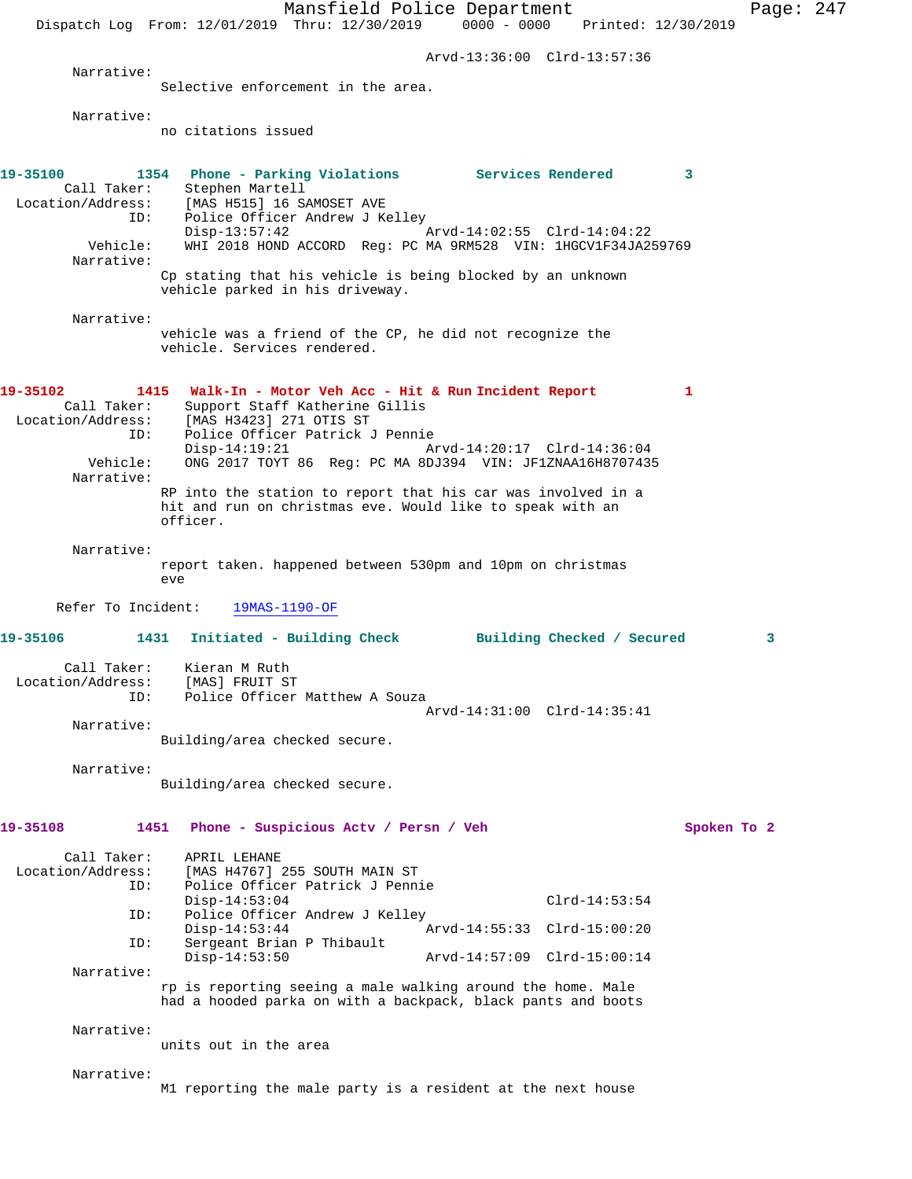Mansfield Police Department Page: 247 Dispatch Log From: 12/01/2019 Thru: 12/30/2019 0000 - 0000 Printed: 12/30/2019 Arvd-13:36:00 Clrd-13:57:36 Narrative: Selective enforcement in the area. Narrative: no citations issued **19-35100 1354 Phone - Parking Violations Services Rendered 3**  Call Taker: Stephen Martell<br>Location/Address: [MAS H515] 16 S [MAS H515] 16 SAMOSET AVE ID: Police Officer Andrew J Kelley<br>Disp-13:57:42 Arvd-14:02:55 Clrd-14:04:22 Disp-13:57:42 Vehicle: WHI 2018 HOND ACCORD Reg: PC MA 9RM528 VIN: 1HGCV1F34JA259769 Narrative: Cp stating that his vehicle is being blocked by an unknown vehicle parked in his driveway. Narrative: vehicle was a friend of the CP, he did not recognize the vehicle. Services rendered. **19-35102 1415 Walk-In - Motor Veh Acc - Hit & Run Incident Report 1**  Call Taker: Support Staff Katherine Gillis Location/Address: [MAS H3423] 271 OTIS ST ID: Police Officer Patrick J Pennie Disp-14:19:21 Arvd-14:20:17 Clrd-14:36:04<br>Vehicle: ONG 2017 TOYT 86 Reg: PC MA 8DJ394 VIN: JF1ZNAA16H8707435 ONG 2017 TOYT 86 Reg: PC MA 8DJ394 VIN: JF1ZNAA16H8707435 Narrative: RP into the station to report that his car was involved in a hit and run on christmas eve. Would like to speak with an officer. Narrative: report taken. happened between 530pm and 10pm on christmas eve Refer To Incident: 19MAS-1190-OF **19-35106 1431 Initiated - Building Check Building Checked / Secured 3** Call Taker: Kieran M Ruth Location/Address: [MAS] FRUIT ST ID: Police Officer Matthew A Souza Arvd-14:31:00 Clrd-14:35:41 Narrative: Building/area checked secure. Narrative: Building/area checked secure. **19-35108 1451 Phone - Suspicious Actv / Persn / Veh Spoken To 2** Call Taker: APRIL LEHANE<br>Location/Address: [MAS H4767] [MAS H4767] 255 SOUTH MAIN ST ID: Police Officer Patrick J Pennie Disp-14:53:04 Clrd-14:53:54<br>TD: Police Officer Andrew J Kelley Police Officer Andrew J Kelley<br>Disp-14:53:44 Disp-14:53:44 Arvd-14:55:33 Clrd-15:00:20<br>ID: Sergeant Brian P Thibault Sergeant Brian P Thibault Disp-14:53:50 Arvd-14:57:09 Clrd-15:00:14 Narrative: rp is reporting seeing a male walking around the home. Male had a hooded parka on with a backpack, black pants and boots Narrative: units out in the area Narrative: M1 reporting the male party is a resident at the next house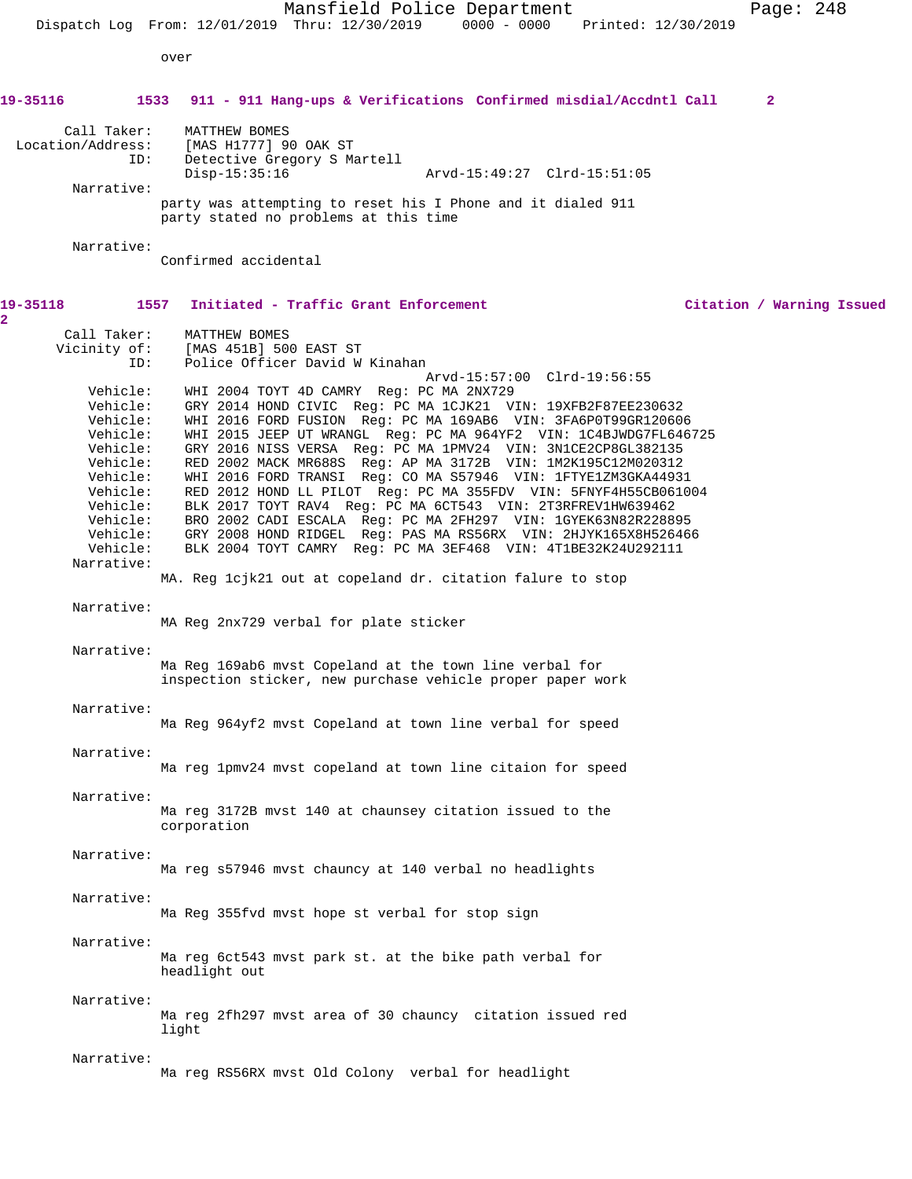Mansfield Police Department Page: 248 Dispatch Log From: 12/01/2019 Thru: 12/30/2019 0000 - 0000 Printed: 12/30/2019 over **19-35116 1533 911 - 911 Hang-ups & Verifications Confirmed misdial/Accdntl Call 2** Call Taker: MATTHEW BOMES<br>Location/Address: [MAS H1777] 9 [MAS H1777] 90 OAK ST ID: Detective Gregory S Martell Arvd-15:49:27 Clrd-15:51:05 Narrative: party was attempting to reset his I Phone and it dialed 911 party stated no problems at this time Narrative: Confirmed accidental **19-35118 1557 Initiated - Traffic Grant Enforcement Citation / Warning Issued** Call Taker: MATTHEW BOMES Vicinity of: [MAS 451B] 500 EAST ST<br>ID: Police Officer David W Police Officer David W Kinahan Arvd-15:57:00 Clrd-19:56:55<br>Vehicle: WHI 2004 TOYT 4D CAMRY Reg: PC MA 2NX729 WHI 2004 TOYT 4D CAMRY Reg: PC MA 2NX729 Vehicle: GRY 2014 HOND CIVIC Reg: PC MA 1CJK21 VIN: 19XFB2F87EE230632 Vehicle: WHI 2016 FORD FUSION Reg: PC MA 169AB6 VIN: 3FA6P0T99GR120606 Vehicle: WHI 2015 JEEP UT WRANGL Reg: PC MA 964YF2 VIN: 1C4BJWDG7FL646725 Vehicle: GRY 2016 NISS VERSA Reg: PC MA 1PMV24 VIN: 3N1CE2CP8GL382135 Vehicle: RED 2002 MACK MR688S Reg: AP MA 3172B VIN: 1M2K195C12M020312 Vehicle: WHI 2016 FORD TRANSI Reg: CO MA S57946 VIN: 1FTYE1ZM3GKA44931 Vehicle: RED 2012 HOND LL PILOT Reg: PC MA 355FDV VIN: 5FNYF4H55CB061004 Vehicle: BLK 2017 TOYT RAV4 Reg: PC MA 6CT543 VIN: 2T3RFREV1HW639462 Vehicle: BRO 2002 CADI ESCALA Reg: PC MA 2FH297 VIN: 1GYEK63N82R228895 Vehicle: GRY 2008 HOND RIDGEL Reg: PAS MA RS56RX VIN: 2HJYK165X8H526466 Vehicle: BLK 2004 TOYT CAMRY Reg: PC MA 3EF468 VIN: 4T1BE32K24U292111 Narrative: MA. Reg 1cjk21 out at copeland dr. citation falure to stop Narrative: MA Reg 2nx729 verbal for plate sticker Narrative: Ma Reg 169ab6 mvst Copeland at the town line verbal for inspection sticker, new purchase vehicle proper paper work Narrative: Ma Reg 964yf2 mvst Copeland at town line verbal for speed Narrative: Ma reg 1pmv24 mvst copeland at town line citaion for speed Narrative: Ma reg 3172B mvst 140 at chaunsey citation issued to the corporation Narrative: Ma reg s57946 mvst chauncy at 140 verbal no headlights Narrative: Ma Reg 355fvd mvst hope st verbal for stop sign Narrative: Ma reg 6ct543 mvst park st. at the bike path verbal for headlight out Narrative: Ma reg 2fh297 mvst area of 30 chauncy citation issued red light Narrative: Ma reg RS56RX mvst Old Colony verbal for headlight

**2**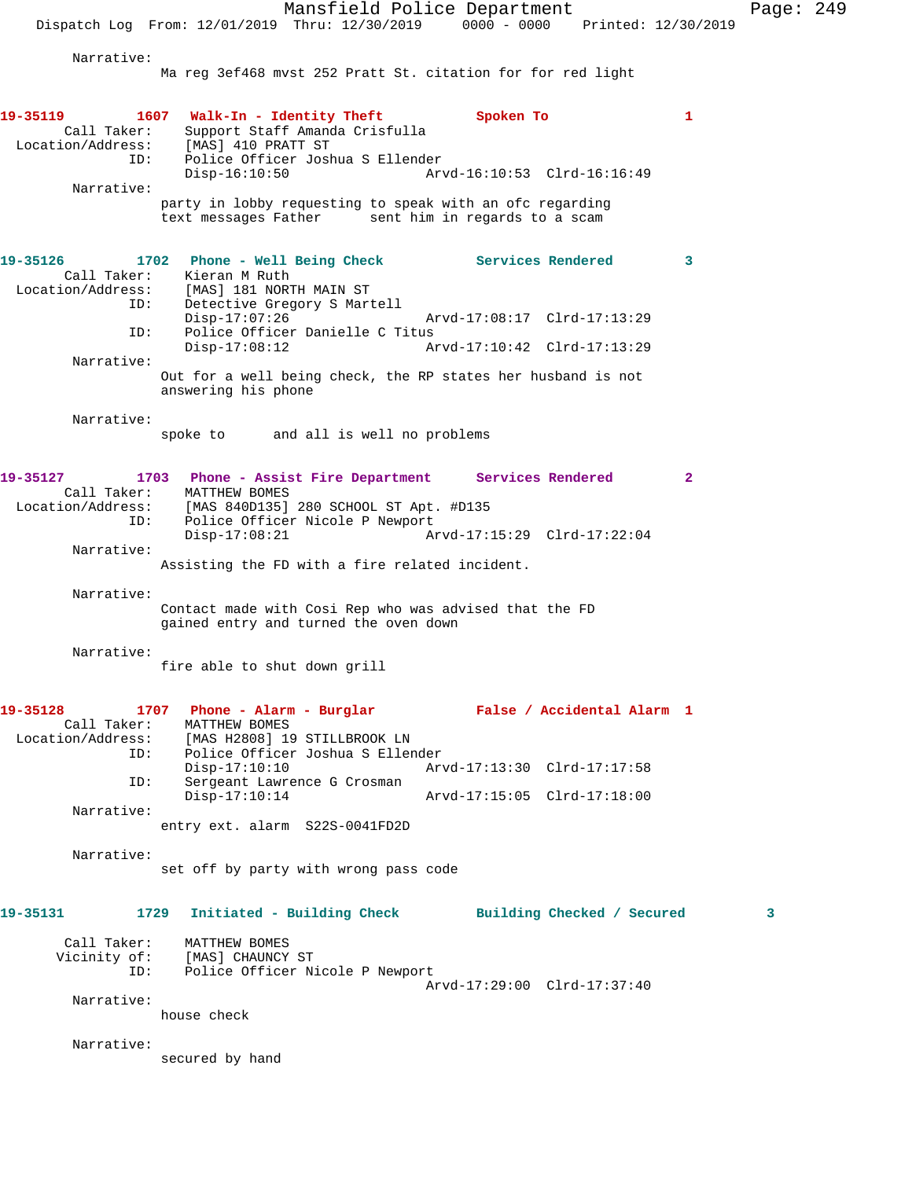Mansfield Police Department Page: 249 Dispatch Log From: 12/01/2019 Thru: 12/30/2019 0000 - 0000 Printed: 12/30/2019 Narrative: Ma reg 3ef468 mvst 252 Pratt St. citation for for red light **19-35119 1607 Walk-In - Identity Theft Spoken To 1**  Call Taker: Support Staff Amanda Crisfulla Location/Address: [MAS] 410 PRATT ST ID: Police Officer Joshua S Ellender Disp-16:10:50 Arvd-16:10:53 Clrd-16:16:49 Narrative: party in lobby requesting to speak with an ofc regarding text messages Father sent him in regards to a scam **19-35126 1702 Phone - Well Being Check Services Rendered 3**  Call Taker: Kieran M Ruth Location/Address: [MAS] 181 NORTH MAIN ST ID: Detective Gregory S Martell<br>Disp-17:07:26 Disp-17:07:26 Arvd-17:08:17 Clrd-17:13:29 ID: Police Officer Danielle C Titus  $Disp-17:08:12$  Narrative: Out for a well being check, the RP states her husband is not answering his phone Narrative: spoke to and all is well no problems **19-35127 1703 Phone - Assist Fire Department Services Rendered 2**  Call Taker: MATTHEW BOMES Location/Address: [MAS 840D135] 280 SCHOOL ST Apt. #D135 ID: Police Officer Nicole P Newport Disp-17:08:21 Arvd-17:15:29 Clrd-17:22:04 Narrative: Assisting the FD with a fire related incident. Narrative: Contact made with Cosi Rep who was advised that the FD gained entry and turned the oven down Narrative: fire able to shut down grill **19-35128 1707 Phone - Alarm - Burglar False / Accidental Alarm 1**  Call Taker: MATTHEW BOMES Location/Address: [MAS H2808] 19 STILLBROOK LN ID: Police Officer Joshua S Ellender Disp-17:10:10 Arvd-17:13:30 Clrd-17:17:58 ID: Sergeant Lawrence G Crosman Disp-17:10:14 Arvd-17:15:05 Clrd-17:18:00 Narrative: entry ext. alarm S22S-0041FD2D Narrative: set off by party with wrong pass code **19-35131 1729 Initiated - Building Check Building Checked / Secured 3** Call Taker: MATTHEW BOMES Vicinity of: [MAS] CHAUNCY ST ID: Police Officer Nicole P Newport Arvd-17:29:00 Clrd-17:37:40 Narrative: house check Narrative: secured by hand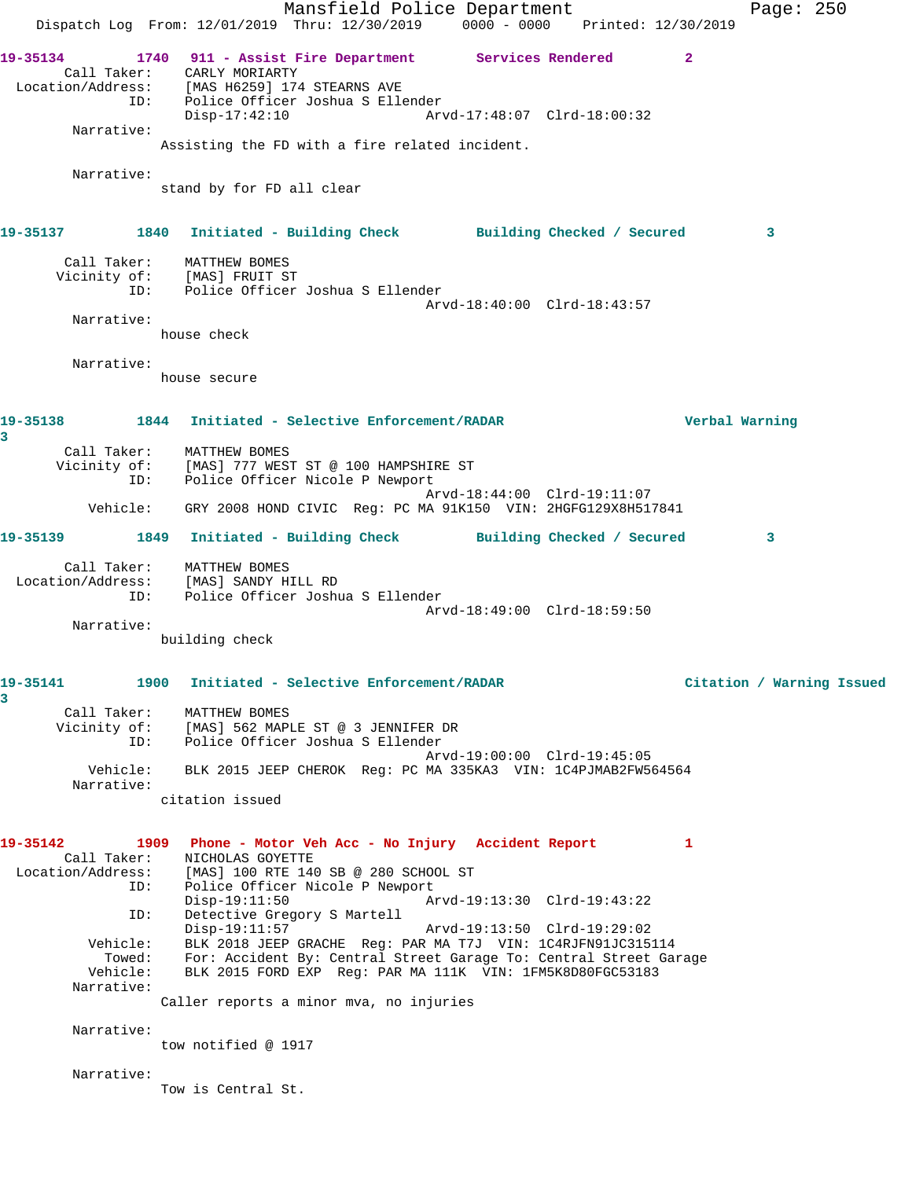Mansfield Police Department Fage: 250 Dispatch Log From: 12/01/2019 Thru: 12/30/2019 0000 - 0000 Printed: 12/30/2019 **19-35134 1740 911 - Assist Fire Department Services Rendered 2**  Call Taker: CARLY MORIARTY Location/Address: [MAS H6259] 174 STEARNS AVE ID: Police Officer Joshua S Ellender Disp-17:42:10 Arvd-17:48:07 Clrd-18:00:32 Narrative: Assisting the FD with a fire related incident. Narrative: stand by for FD all clear **19-35137 1840 Initiated - Building Check Building Checked / Secured 3** Call Taker: MATTHEW BOMES Vicinity of: [MAS] FRUIT ST ID: Police Officer Joshua S Ellender Arvd-18:40:00 Clrd-18:43:57 Narrative: house check Narrative: house secure **19-35138 1844 Initiated - Selective Enforcement/RADAR Verbal Warning 3**  Call Taker: MATTHEW BOMES Vicinity of: [MAS] 777 WEST ST @ 100 HAMPSHIRE ST ID: Police Officer Nicole P Newport Arvd-18:44:00 Clrd-19:11:07 Vehicle: GRY 2008 HOND CIVIC Reg: PC MA 91K150 VIN: 2HGFG129X8H517841 **19-35139 1849 Initiated - Building Check Building Checked / Secured 3** Call Taker: MATTHEW BOMES Location/Address: [MAS] SANDY HILL RD ID: Police Officer Joshua S Ellender Arvd-18:49:00 Clrd-18:59:50 Narrative: building check **19-35141 1900 Initiated - Selective Enforcement/RADAR Citation / Warning Issued 3**  Call Taker: MATTHEW BOMES Vicinity of: [MAS] 562 MAPLE ST @ 3 JENNIFER DR ID: Police Officer Joshua S Ellender Arvd-19:00:00 Clrd-19:45:05 Vehicle: BLK 2015 JEEP CHEROK Reg: PC MA 335KA3 VIN: 1C4PJMAB2FW564564 Narrative: citation issued **19-35142 1909 Phone - Motor Veh Acc - No Injury Accident Report 1**  Call Taker: NICHOLAS GOYETTE Location/Address: [MAS] 100 RTE 140 SB @ 280 SCHOOL ST ID: Police Officer Nicole P Newport Disp-19:11:50 Arvd-19:13:30 Clrd-19:43:22 ID: Detective Gregory S Martell Disp-19:11:57 Arvd-19:13:50 Clrd-19:29:02 Vehicle: BLK 2018 JEEP GRACHE Reg: PAR MA T7J VIN: 1C4RJFN91JC315114 Towed: For: Accident By: Central Street Garage To: Central Street Garage Vehicle: BLK 2015 FORD EXP Reg: PAR MA 111K VIN: 1FM5K8D80FGC53183 Narrative: Caller reports a minor mva, no injuries Narrative: tow notified @ 1917 Narrative: Tow is Central St.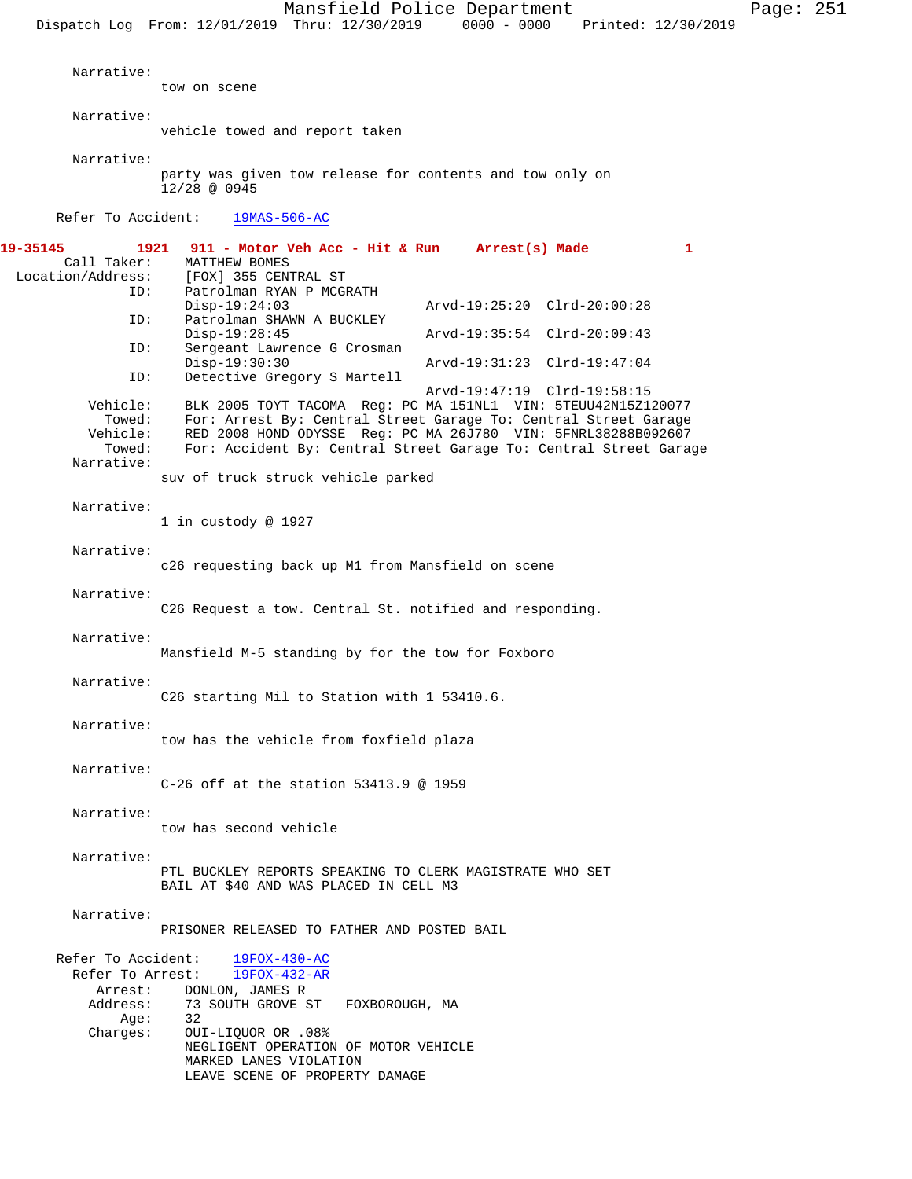Mansfield Police Department Page: 251 Dispatch Log From: 12/01/2019 Thru: 12/30/2019 0000 - 0000 Printed: 12/30/2019 Narrative: tow on scene Narrative: vehicle towed and report taken Narrative: party was given tow release for contents and tow only on 12/28 @ 0945 Refer To Accident: 19MAS-506-AC **19-35145 1921 911 - Motor Veh Acc - Hit & Run Arrest(s) Made 1**  Call Taker: MATTHEW BOMES<br>Location/Address: [FOX] 355 CEN ess: [FOX] 355 CENTRAL ST<br>ID: Patrolman RYAN P MCGI Patrolman RYAN P MCGRATH Disp-19:24:03 Arvd-19:25:20 Clrd-20:00:28<br>TD: Patrolman SHAWN A BUCKLEY Patrolman SHAWN A BUCKLEY<br>Disp-19:28:45 Disp-19:28:45 Arvd-19:35:54 Clrd-20:09:43 ID: Sergeant Lawrence G Crosman Disp-19:30:30 Arvd-19:31:23 Clrd-19:47:04 ID: Detective Gregory S Martell Arvd-19:47:19 Clrd-19:58:15 Vehicle: BLK 2005 TOYT TACOMA Reg: PC MA 151NL1 VIN: 5TEUU42N15Z120077 Towed: For: Arrest By: Central Street Garage To: Central Street Garage Vehicle: RED 2008 HOND ODYSSE Reg: PC MA 26J780 VIN: 5FNRL38288B092607 For: Accident By: Central Street Garage To: Central Street Garage Narrative: suv of truck struck vehicle parked Narrative: 1 in custody @ 1927 Narrative: c26 requesting back up M1 from Mansfield on scene Narrative: C26 Request a tow. Central St. notified and responding. Narrative: Mansfield M-5 standing by for the tow for Foxboro Narrative: C26 starting Mil to Station with 1 53410.6. Narrative: tow has the vehicle from foxfield plaza Narrative: C-26 off at the station 53413.9 @ 1959 Narrative: tow has second vehicle Narrative: PTL BUCKLEY REPORTS SPEAKING TO CLERK MAGISTRATE WHO SET BAIL AT \$40 AND WAS PLACED IN CELL M3 Narrative: PRISONER RELEASED TO FATHER AND POSTED BAIL Refer To Accident:  $\frac{19F0X-430-AC}{19F0X-432-AR}$ Refer To Arrest: Arrest: DONLON, JAMES R Address: 73 SOUTH GROVE ST FOXBOROUGH, MA Age: 32 Charges: OUI-LIQUOR OR .08% NEGLIGENT OPERATION OF MOTOR VEHICLE MARKED LANES VIOLATION LEAVE SCENE OF PROPERTY DAMAGE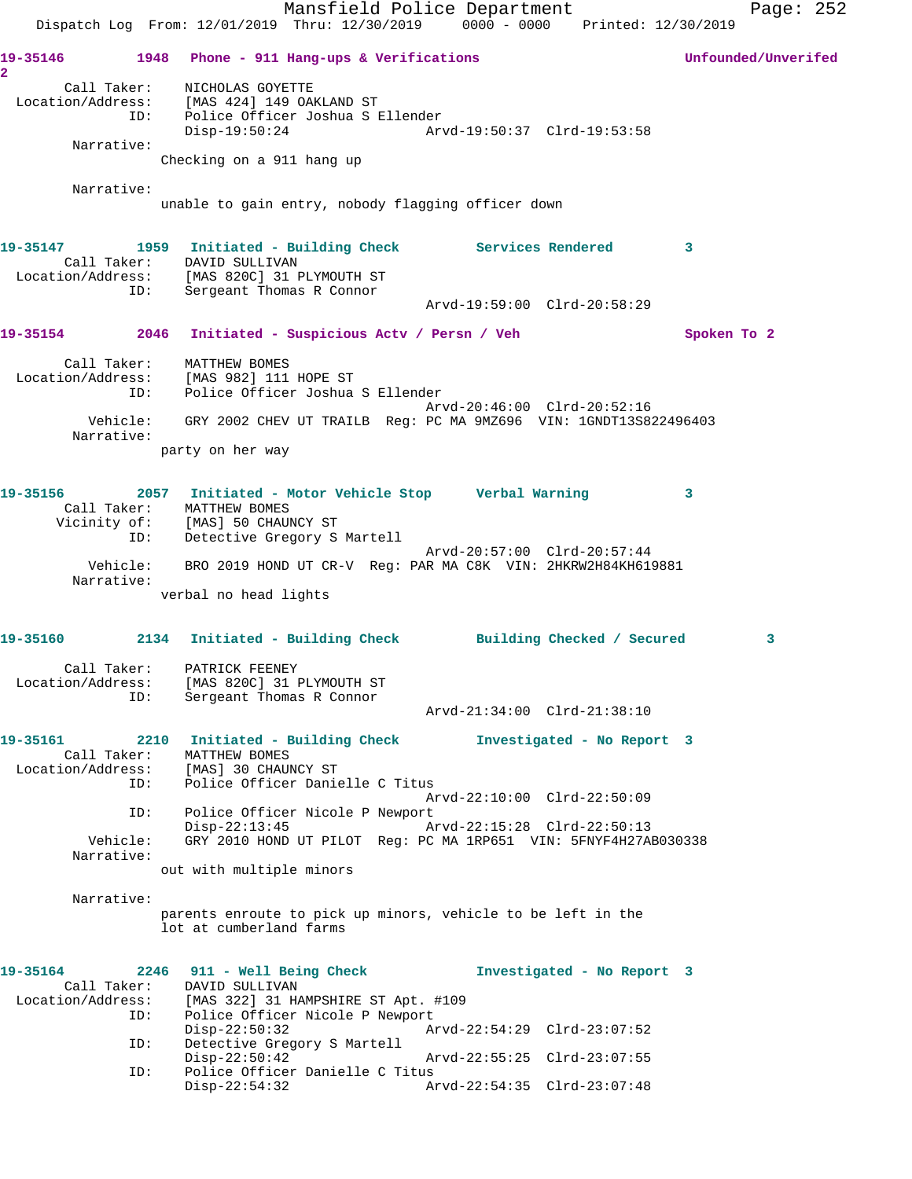Mansfield Police Department Fage: 252 Dispatch Log From: 12/01/2019 Thru: 12/30/2019 0000 - 0000 Printed: 12/30/2019 **19-35146 1948 Phone - 911 Hang-ups & Verifications Unfounded/Unverifed 2**  Call Taker: NICHOLAS GOYETTE Location/Address: [MAS 424] 149 OAKLAND ST ID: Police Officer Joshua S Ellender Disp-19:50:24 Arvd-19:50:37 Clrd-19:53:58 Narrative: Checking on a 911 hang up Narrative: unable to gain entry, nobody flagging officer down 19-35147 1959 Initiated - Building Check Services Rendered 3 Call Taker: DAVID SULLIVAN Location/Address: [MAS 820C] 31 PLYMOUTH ST ID: Sergeant Thomas R Connor Arvd-19:59:00 Clrd-20:58:29 **19-35154 2046 Initiated - Suspicious Actv / Persn / Veh Spoken To 2** Call Taker: MATTHEW BOMES Location/Address: [MAS 982] 111 HOPE ST ID: Police Officer Joshua S Ellender Arvd-20:46:00 Clrd-20:52:16 Vehicle: GRY 2002 CHEV UT TRAILB Reg: PC MA 9MZ696 VIN: 1GNDT13S822496403 Narrative: party on her way **19-35156 2057 Initiated - Motor Vehicle Stop Verbal Warning 3**  Call Taker: MATTHEW BOMES Vicinity of: [MAS] 50 CHAUNCY ST ID: Detective Gregory S Martell Arvd-20:57:00 Clrd-20:57:44 Vehicle: BRO 2019 HOND UT CR-V Reg: PAR MA C8K VIN: 2HKRW2H84KH619881 Narrative: verbal no head lights **19-35160 2134 Initiated - Building Check Building Checked / Secured 3** Call Taker: PATRICK FEENEY Location/Address: [MAS 820C] 31 PLYMOUTH ST ID: Sergeant Thomas R Connor Arvd-21:34:00 Clrd-21:38:10 **19-35161 2210 Initiated - Building Check Investigated - No Report 3**  Call Taker: MATTHEW BOMES Location/Address: [MAS] 30 CHAUNCY ST ess. *I'mas* و المحمد العمليات التحقيق<br>ID: Police Officer Danielle C Titus Arvd-22:10:00 Clrd-22:50:09 ID: Police Officer Nicole P Newport Disp-22:13:45 Arvd-22:15:28 Clrd-22:50:13 Vehicle: GRY 2010 HOND UT PILOT Reg: PC MA 1RP651 VIN: 5FNYF4H27AB030338 Narrative: out with multiple minors Narrative: parents enroute to pick up minors, vehicle to be left in the lot at cumberland farms **19-35164 2246 911 - Well Being Check Investigated - No Report 3**  Call Taker: DAVID SULLIVAN Location/Address: [MAS 322] 31 HAMPSHIRE ST Apt. #109 ID: Police Officer Nicole P Newport<br>Disp-22:50:32 Ar Disp-22:50:32 Arvd-22:54:29 Clrd-23:07:52<br>ID: Detective Gregory S Martell Detective Gregory S Martell Disp-22:50:42 Arvd-22:55:25 Clrd-23:07:55 ID: Police Officer Danielle C Titus<br>Disp-22:54:32 Ar Disp-22:54:32 Arvd-22:54:35 Clrd-23:07:48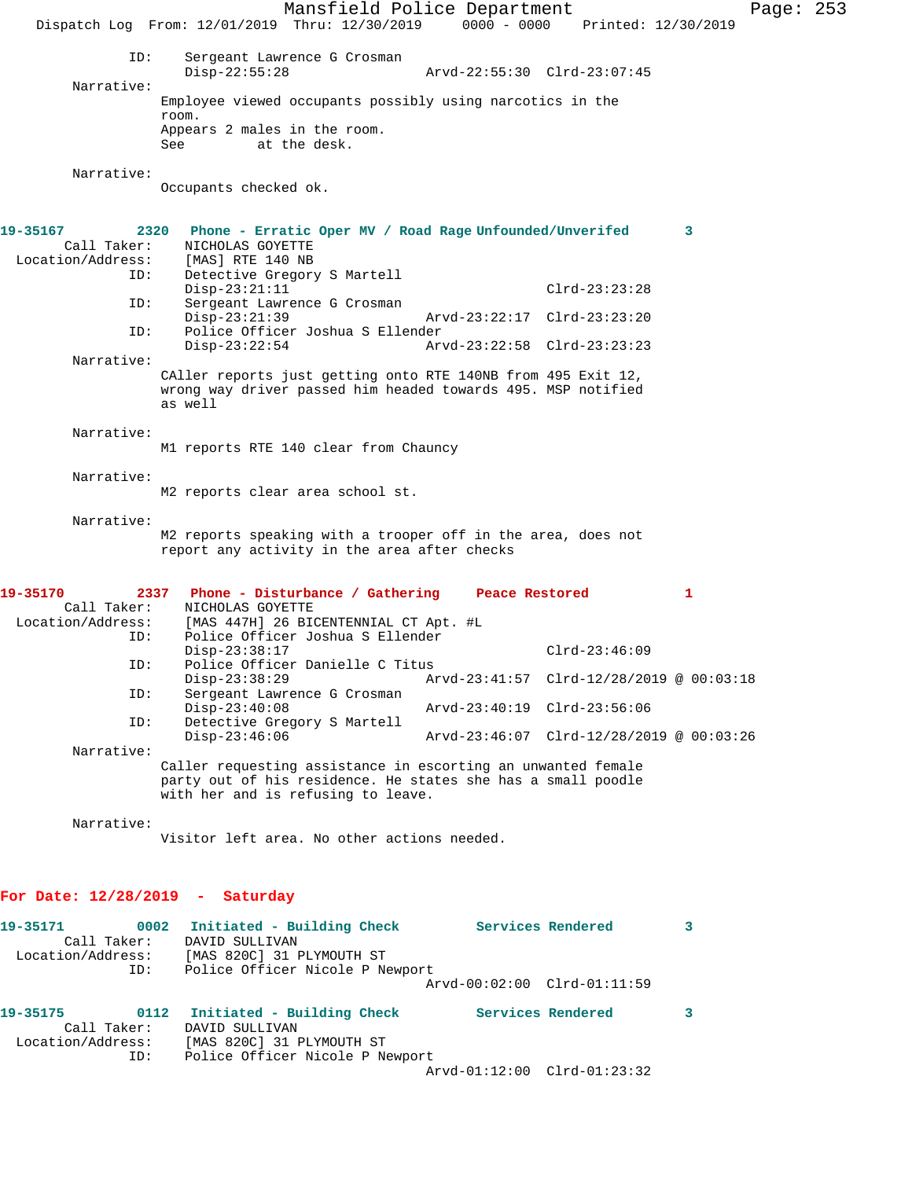Mansfield Police Department Page: 253 Dispatch Log From: 12/01/2019 Thru: 12/30/2019 0000 - 0000 Printed: 12/30/2019 ID: Sergeant Lawrence G Crosman Disp-22:55:28 Arvd-22:55:30 Clrd-23:07:45 Narrative: Employee viewed occupants possibly using narcotics in the room. Appears 2 males in the room. See at the desk. Narrative: Occupants checked ok. **19-35167 2320 Phone - Erratic Oper MV / Road Rage Unfounded/Unverifed 3**  Call Taker: NICHOLAS GOYETTE<br>.on/Address: [MAS] RTE 140 NB Location/Address: ID: Detective Gregory S Martell Disp-23:21:11 Clrd-23:23:28 ID: Sergeant Lawrence G Crosman<br>Disp-23:21:39 Disp-23:21:39 Arvd-23:22:17 Clrd-23:23:20 ID: Police Officer Joshua S Ellender Disp-23:22:54 Arvd-23:22:58 Clrd-23:23:23 Narrative: CAller reports just getting onto RTE 140NB from 495 Exit 12, wrong way driver passed him headed towards 495. MSP notified as well Narrative: M1 reports RTE 140 clear from Chauncy Narrative: M2 reports clear area school st. Narrative: M2 reports speaking with a trooper off in the area, does not report any activity in the area after checks **19-35170 2337 Phone - Disturbance / Gathering Peace Restored 1**  Call Taker: NICHOLAS GOYETTE<br>Location/Address: [MAS 447H] 26 BIO ess: [MAS 447H] 26 BICENTENNIAL CT Apt. #L<br>ID: Police Officer Joshua S Ellender Police Officer Joshua S Ellender Disp-23:38:17 Clrd-23:46:09 ID: Police Officer Danielle C Titus Disp-23:38:29 Arvd-23:41:57 Clrd-12/28/2019 @ 00:03:18<br>TD: Sergeant Lawrence G Crosman Sergeant Lawrence G Crosman<br>Disp-23:40:08 Disp-23:40:08 Arvd-23:40:19 Clrd-23:56:06<br>ID: Detective Gregory S Martell Detective Gregory S Martell Disp-23:46:06 Arvd-23:46:07 Clrd-12/28/2019 @ 00:03:26 Narrative: Caller requesting assistance in escorting an unwanted female party out of his residence. He states she has a small poodle with her and is refusing to leave. Narrative: Visitor left area. No other actions needed. **For Date: 12/28/2019 - Saturday 19-35171 0002 Initiated - Building Check Services Rendered 3**  Call Taker:<br>Location/Address: [MAS 820C] 31 PLYMOUTH ST ID: Police Officer Nicole P Newport Arvd-00:02:00 Clrd-01:11:59 **19-35175 0112 Initiated - Building Check Services Rendered 3**  Call Taker: DAVID SULLIVAN Location/Address: [MAS 820C] 31 PLYMOUTH ST ID: Police Officer Nicole P Newport Arvd-01:12:00 Clrd-01:23:32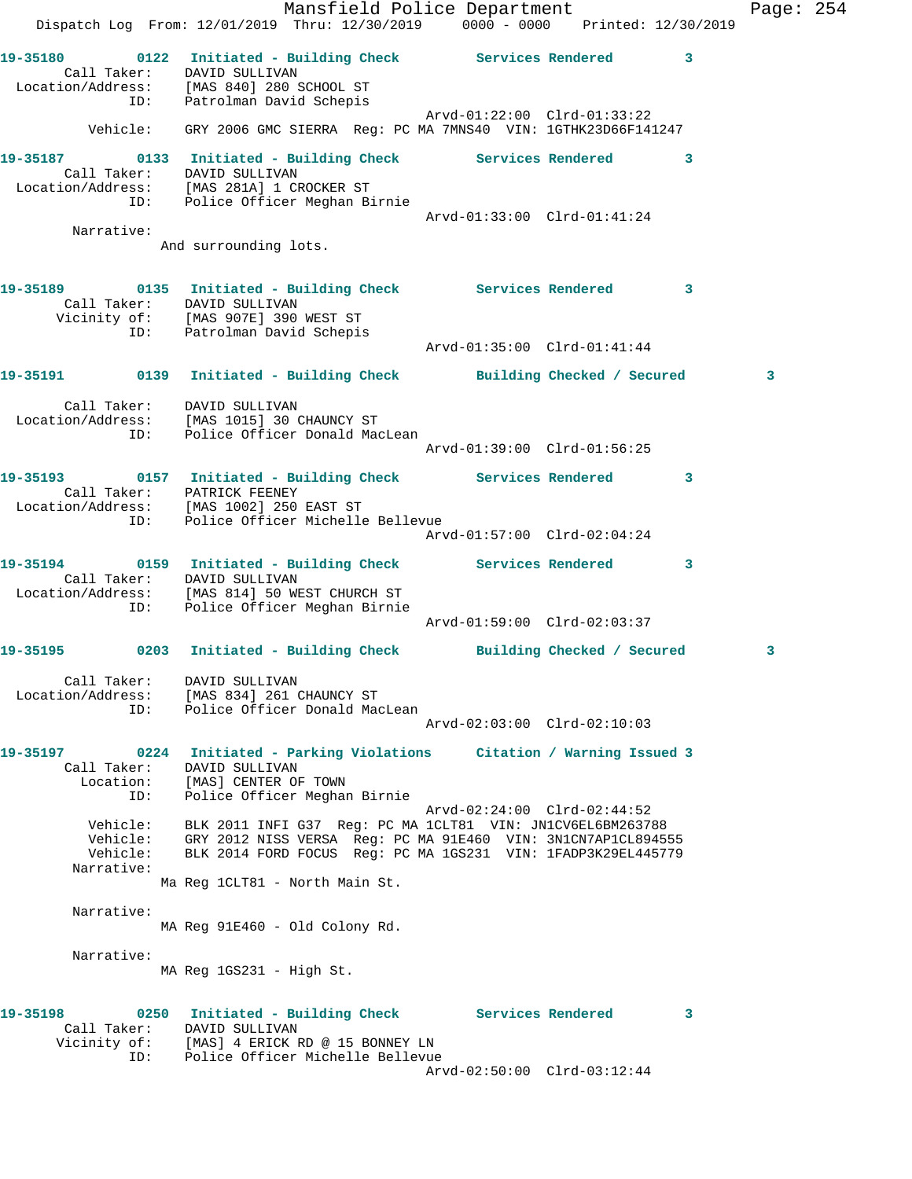|                                                       | Mansfield Police Department<br>Dispatch Log From: 12/01/2019 Thru: 12/30/2019 0000 - 0000 Printed: 12/30/2019                                                                                                              |                             |   | Page: $254$ |  |
|-------------------------------------------------------|----------------------------------------------------------------------------------------------------------------------------------------------------------------------------------------------------------------------------|-----------------------------|---|-------------|--|
|                                                       | 19-35180 0122 Initiated - Building Check Services Rendered 3<br>Call Taker: DAVID SULLIVAN<br>Location/Address: [MAS 840] 280 SCHOOL ST<br>ID: Patrolman David Schepis                                                     |                             |   |             |  |
|                                                       | Vehicle: GRY 2006 GMC SIERRA Req: PC MA 7MNS40 VIN: 1GTHK23D66F141247                                                                                                                                                      |                             |   |             |  |
|                                                       | 19-35187 0133 Initiated - Building Check Services Rendered 3<br>Call Taker: DAVID SULLIVAN<br>Location/Address: [MAS 281A] 1 CROCKER ST<br>ID: Police Officer Meghan Birnie                                                |                             |   |             |  |
|                                                       |                                                                                                                                                                                                                            | Arvd-01:33:00 Clrd-01:41:24 |   |             |  |
| Narrative:                                            | And surrounding lots.                                                                                                                                                                                                      |                             |   |             |  |
|                                                       | 19-35189 0135 Initiated - Building Check Services Rendered 3<br>Call Taker: DAVID SULLIVAN<br>Vicinity of: [MAS 907E] 390 WEST ST                                                                                          |                             |   |             |  |
|                                                       | ID: Patrolman David Schepis                                                                                                                                                                                                |                             |   |             |  |
|                                                       | 19-35191 		 0139 Initiated - Building Check 		 Building Checked / Secured                                                                                                                                                  |                             |   | 3           |  |
|                                                       | Call Taker: DAVID SULLIVAN<br>Location/Address: [MAS 1015] 30 CHAUNCY ST<br>ID: Police Officer Donald MacLean                                                                                                              | Arvd-01:39:00 Clrd-01:56:25 |   |             |  |
|                                                       | 19-35193 0157 Initiated - Building Check Services Rendered 3<br>Call Taker: PATRICK FEENEY<br>Location/Address: [MAS 1002] 250 EAST ST                                                                                     |                             |   |             |  |
|                                                       | ID: Police Officer Michelle Bellevue                                                                                                                                                                                       | Arvd-01:57:00 Clrd-02:04:24 |   |             |  |
|                                                       | 19-35194 0159 Initiated - Building Check Services Rendered 3<br>Call Taker: DAVID SULLIVAN<br>Location/Address: [MAS 814] 50 WEST CHURCH ST                                                                                |                             |   |             |  |
|                                                       | ID: Police Officer Meghan Birnie                                                                                                                                                                                           | Arvd-01:59:00 Clrd-02:03:37 |   |             |  |
|                                                       | 19-35195 0203 Initiated - Building Check Building Checked / Secured                                                                                                                                                        |                             |   | 3           |  |
| Call Taker:<br>Location/Address:<br>ID:               | DAVID SULLIVAN<br>[MAS 834] 261 CHAUNCY ST<br>Police Officer Donald MacLean                                                                                                                                                | Arvd-02:03:00 Clrd-02:10:03 |   |             |  |
| 19-35197<br>Call Taker:<br>Location:                  | 0224 Initiated - Parking Violations     Citation / Warning Issued 3<br>DAVID SULLIVAN<br>[MAS] CENTER OF TOWN                                                                                                              |                             |   |             |  |
| ID:<br>Vehicle:<br>Vehicle:<br>Vehicle:<br>Narrative: | Police Officer Meghan Birnie<br>BLK 2011 INFI G37 Reg: PC MA 1CLT81 VIN: JN1CV6EL6BM263788<br>GRY 2012 NISS VERSA Req: PC MA 91E460 VIN: 3N1CN7AP1CL894555<br>BLK 2014 FORD FOCUS Reg: PC MA 1GS231 VIN: 1FADP3K29EL445779 | Arvd-02:24:00 Clrd-02:44:52 |   |             |  |
|                                                       | Ma Reg 1CLT81 - North Main St.                                                                                                                                                                                             |                             |   |             |  |
| Narrative:                                            | MA Reg 91E460 - Old Colony Rd.                                                                                                                                                                                             |                             |   |             |  |
| Narrative:                                            |                                                                                                                                                                                                                            |                             |   |             |  |
|                                                       | MA Reg 1GS231 - High St.                                                                                                                                                                                                   |                             |   |             |  |
| 19-35198<br>Call Taker:<br>Vicinity of:               | 0250 Initiated - Building Check Services Rendered<br>DAVID SULLIVAN<br>[MAS] 4 ERICK RD @ 15 BONNEY LN                                                                                                                     |                             | 3 |             |  |
| ID:                                                   | Police Officer Michelle Bellevue                                                                                                                                                                                           | Arvd-02:50:00 Clrd-03:12:44 |   |             |  |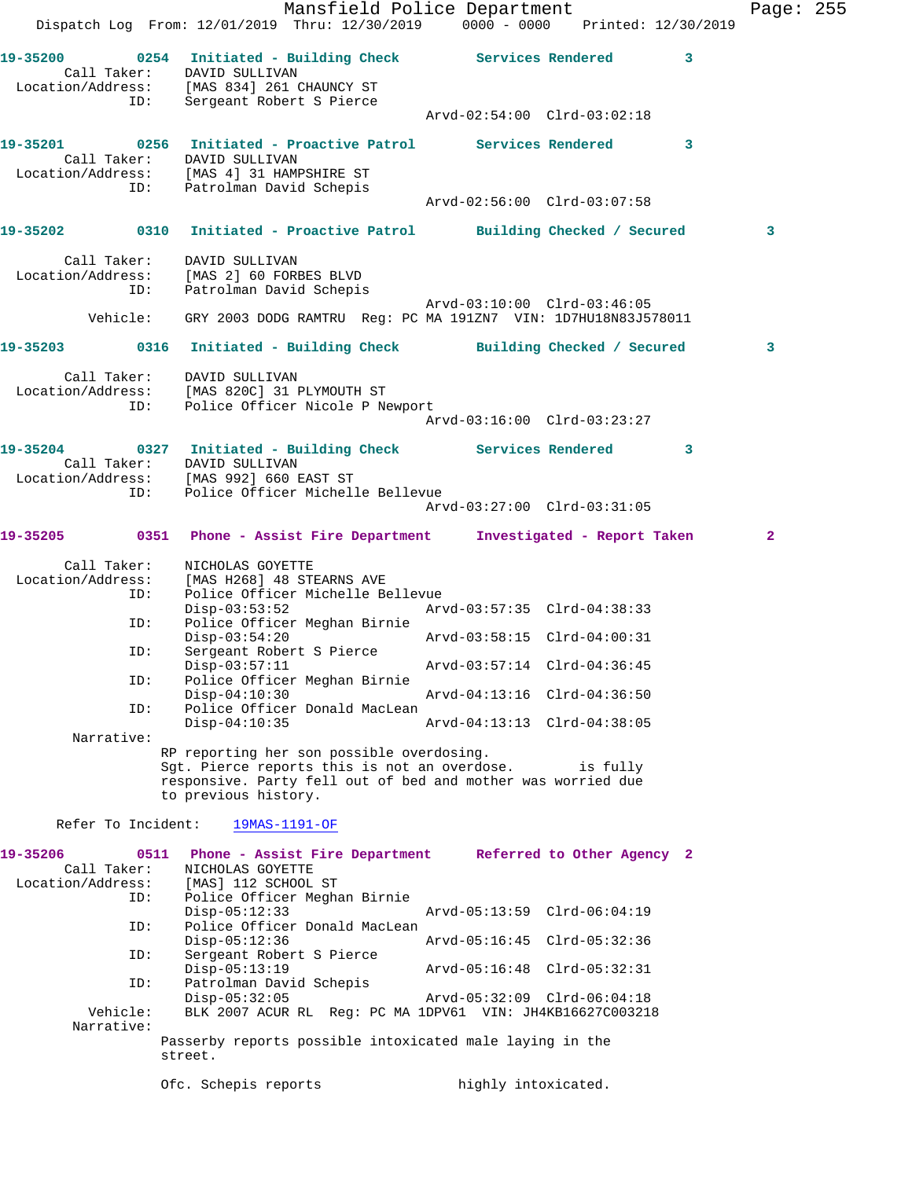|                                                                                                                                          | Dispatch Log From: 12/01/2019 Thru: 12/30/2019 0000 - 0000 Printed: 12/30/2019                                                                                                                                                                         | Mansfield Police Department                                                                                                            |  | Page: 255      |  |
|------------------------------------------------------------------------------------------------------------------------------------------|--------------------------------------------------------------------------------------------------------------------------------------------------------------------------------------------------------------------------------------------------------|----------------------------------------------------------------------------------------------------------------------------------------|--|----------------|--|
| 19-35200 0254 Initiated - Building Check Services Rendered 3<br>Call Taker: DAVID SULLIVAN<br>Location/Address: [MAS 834] 261 CHAUNCY ST | ID: Sergeant Robert S Pierce                                                                                                                                                                                                                           |                                                                                                                                        |  |                |  |
|                                                                                                                                          |                                                                                                                                                                                                                                                        | Arvd-02:54:00 Clrd-03:02:18                                                                                                            |  |                |  |
| 19-35201 0256 Initiated - Proactive Patrol Services Rendered 3<br>Location/Address: [MAS 4] 31 HAMPSHIRE ST                              | Call Taker: DAVID SULLIVAN<br>ID: Patrolman David Schepis                                                                                                                                                                                              |                                                                                                                                        |  |                |  |
|                                                                                                                                          |                                                                                                                                                                                                                                                        | Arvd-02:56:00 Clrd-03:07:58                                                                                                            |  |                |  |
| 19-35202 0310 Initiated - Proactive Patrol Building Checked / Secured                                                                    |                                                                                                                                                                                                                                                        |                                                                                                                                        |  | 3              |  |
| Call Taker: DAVID SULLIVAN<br>  Location/Address: [MAS 2] 60 FORBES BLVD<br>ID:                                                          | Patrolman David Schepis                                                                                                                                                                                                                                | Arvd-03:10:00 Clrd-03:46:05                                                                                                            |  |                |  |
|                                                                                                                                          | Vehicle: GRY 2003 DODG RAMTRU Reg: PC MA 191ZN7 VIN: 1D7HU18N83J578011                                                                                                                                                                                 |                                                                                                                                        |  |                |  |
| 19-35203 0316 Initiated - Building Check Building Checked / Secured                                                                      |                                                                                                                                                                                                                                                        |                                                                                                                                        |  | 3              |  |
| Call Taker: DAVID SULLIVAN<br>Location/Address: [MAS 820C] 31 PLYMOUTH ST<br>ID: Police Officer Nicole P Newport                         |                                                                                                                                                                                                                                                        |                                                                                                                                        |  |                |  |
| 19-35204 0327 Initiated - Building Check Services Rendered 3                                                                             |                                                                                                                                                                                                                                                        |                                                                                                                                        |  |                |  |
| Location/Address: [MAS 992] 660 EAST ST                                                                                                  | Call Taker: DAVID SULLIVAN<br>ID: Police Officer Michelle Bellevue                                                                                                                                                                                     | Arvd-03:27:00 Clrd-03:31:05                                                                                                            |  |                |  |
| 19-35205 0351 Phone - Assist Fire Department Investigated - Report Taken                                                                 |                                                                                                                                                                                                                                                        |                                                                                                                                        |  | $\overline{2}$ |  |
| Location/Address: [MAS H268] 48 STEARNS AVE<br>ID:<br>ID:<br>ID:<br>ID:<br>ID:<br>Narrative:                                             | Call Taker: NICHOLAS GOYETTE<br>Police Officer Michelle Bellevue<br>Police Officer Meghan Birnie<br>$Disp-03:54:20$<br>Sergeant Robert S Pierce<br>Police Officer Meghan Birnie<br>$Disp-04:10:30$<br>Police Officer Donald MacLean<br>$Disp-04:10:35$ | Disp-03:53:52 Arvd-03:57:35 Clrd-04:38:33<br>Arvd-03:58:15 Clrd-04:00:31<br>Arvd-04:13:16 Clrd-04:36:50<br>Arvd-04:13:13 Clrd-04:38:05 |  |                |  |
|                                                                                                                                          | RP reporting her son possible overdosing.<br>Sqt. Pierce reports this is not an overdose. is fully<br>responsive. Party fell out of bed and mother was worried due<br>to previous history.                                                             |                                                                                                                                        |  |                |  |
| Refer To Incident:                                                                                                                       | 19MAS-1191-OF                                                                                                                                                                                                                                          |                                                                                                                                        |  |                |  |
| 19-35206<br>Call Taker:<br>Location/Address:<br>ID:                                                                                      | 0511<br>NICHOLAS GOYETTE<br>[MAS] 112 SCHOOL ST<br>Police Officer Meghan Birnie                                                                                                                                                                        | Phone - Assist Fire Department Referred to Other Agency 2                                                                              |  |                |  |
| ID:                                                                                                                                      | $Disp-05:12:33$<br>Police Officer Donald MacLean                                                                                                                                                                                                       | Arvd-05:13:59 Clrd-06:04:19                                                                                                            |  |                |  |
| ID:                                                                                                                                      | $Disp-05:12:36$<br>Sergeant Robert S Pierce                                                                                                                                                                                                            | Arvd-05:16:45 Clrd-05:32:36                                                                                                            |  |                |  |
| ID:                                                                                                                                      | $Disp-05:13:19$<br>Patrolman David Schepis                                                                                                                                                                                                             | Arvd-05:16:48 Clrd-05:32:31                                                                                                            |  |                |  |
| Vehicle:<br>Narrative:                                                                                                                   | $Disp-05:32:05$                                                                                                                                                                                                                                        | Arvd-05:32:09 Clrd-06:04:18<br>BLK 2007 ACUR RL Reg: PC MA 1DPV61 VIN: JH4KB16627C003218                                               |  |                |  |
|                                                                                                                                          | Passerby reports possible intoxicated male laying in the<br>street.                                                                                                                                                                                    |                                                                                                                                        |  |                |  |
|                                                                                                                                          | Ofc. Schepis reports                                                                                                                                                                                                                                   | highly intoxicated.                                                                                                                    |  |                |  |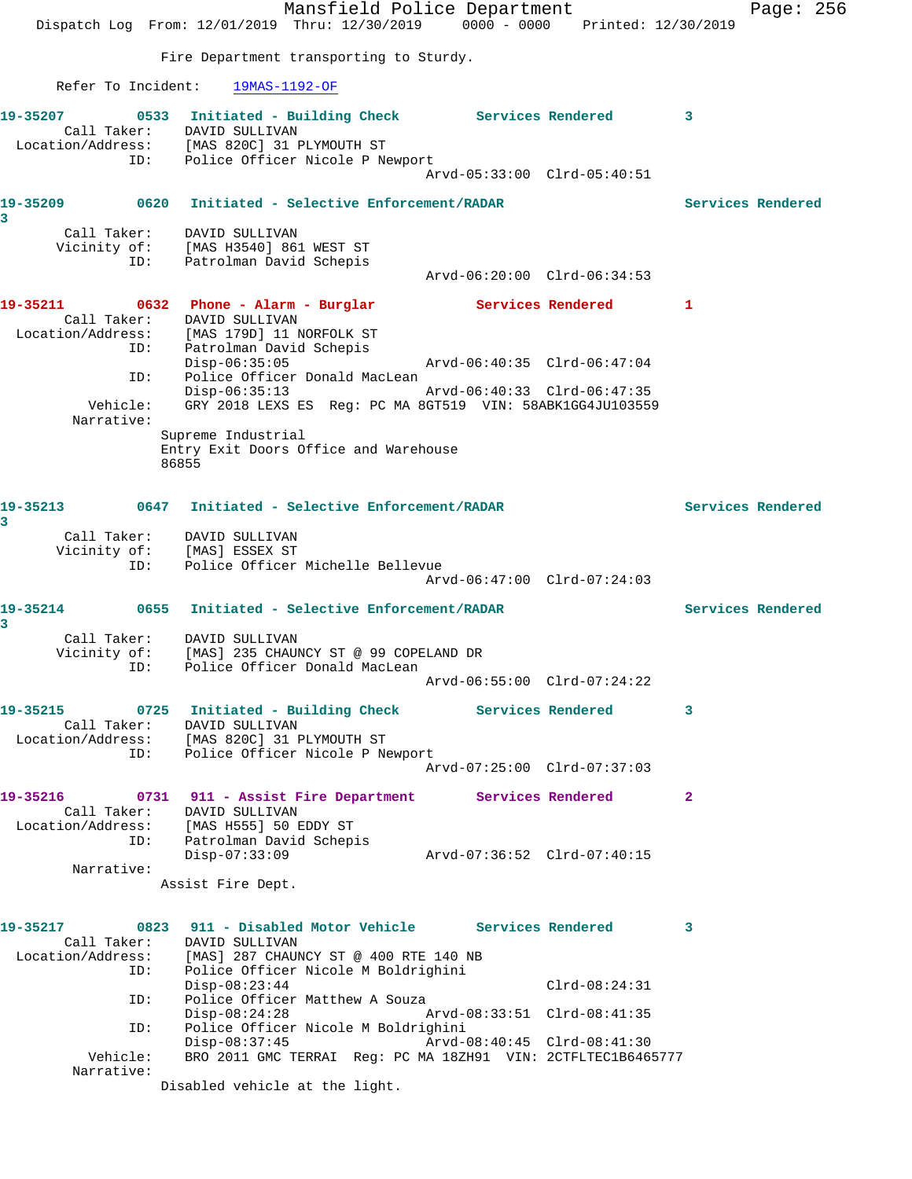|                                                            | Mansfield Police Department<br>Dispatch Log From: 12/01/2019 Thru: 12/30/2019 0000 - 0000 Printed: 12/30/2019                                                                  |                             |                   |                   | Page: 256 |  |
|------------------------------------------------------------|--------------------------------------------------------------------------------------------------------------------------------------------------------------------------------|-----------------------------|-------------------|-------------------|-----------|--|
|                                                            | Fire Department transporting to Sturdy.                                                                                                                                        |                             |                   |                   |           |  |
| Refer To Incident:                                         | 19MAS-1192-OF                                                                                                                                                                  |                             |                   |                   |           |  |
| 19-35207<br>ID:                                            | 0533 Initiated - Building Check Services Rendered<br>Call Taker: DAVID SULLIVAN<br>Location/Address: [MAS 820C] 31 PLYMOUTH ST<br>Police Officer Nicole P Newport              | Arvd-05:33:00 Clrd-05:40:51 | $\sim$ 3          |                   |           |  |
|                                                            |                                                                                                                                                                                |                             |                   | Services Rendered |           |  |
| 3<br>ID:                                                   | Call Taker: DAVID SULLIVAN<br>Vicinity of: [MAS H3540] 861 WEST ST<br>Patrolman David Schepis                                                                                  | Arvd-06:20:00 Clrd-06:34:53 |                   |                   |           |  |
| 19-35211<br>Call Taker:<br>Location/Address:<br>ID:<br>ID: | 0632 Phone - Alarm - Burglar<br>DAVID SULLIVAN<br>[MAS 179D] 11 NORFOLK ST<br>Patrolman David Schepis<br>$Disp-06:35:05$<br>Police Officer Donald MacLean                      | Arvd-06:40:35 Clrd-06:47:04 | Services Rendered | -1                |           |  |
| Vehicle:<br>Narrative:                                     | $Disp-06:35:13$<br>GRY 2018 LEXS ES Req: PC MA 8GT519 VIN: 58ABK1GG4JU103559                                                                                                   | Arvd-06:40:33 Clrd-06:47:35 |                   |                   |           |  |
|                                                            | Supreme Industrial<br>Entry Exit Doors Office and Warehouse<br>86855                                                                                                           |                             |                   |                   |           |  |
| 3                                                          |                                                                                                                                                                                |                             |                   | Services Rendered |           |  |
| ID:                                                        | Call Taker: DAVID SULLIVAN<br>Vicinity of: [MAS] ESSEX ST<br>Police Officer Michelle Bellevue                                                                                  | Arvd-06:47:00 Clrd-07:24:03 |                   |                   |           |  |
| 19-35214                                                   | 0655 Initiated - Selective Enforcement/RADAR                                                                                                                                   |                             |                   | Services Rendered |           |  |
| 3<br>Vicinity of:<br>ID:                                   | Call Taker: DAVID SULLIVAN<br>[MAS] 235 CHAUNCY ST @ 99 COPELAND DR<br>Police Officer Donald MacLean                                                                           |                             |                   |                   |           |  |
|                                                            |                                                                                                                                                                                | Arvd-06:55:00 Clrd-07:24:22 |                   |                   |           |  |
|                                                            | 19-35215 0725 Initiated - Building Check Services Rendered<br>Call Taker: DAVID SULLIVAN<br>Location/Address: [MAS 820C] 31 PLYMOUTH ST<br>ID: Police Officer Nicole P Newport |                             |                   | 3                 |           |  |
|                                                            |                                                                                                                                                                                | Arvd-07:25:00 Clrd-07:37:03 |                   |                   |           |  |
|                                                            | 19-35216 0731 911 - Assist Fire Department Services Rendered<br>Call Taker: DAVID SULLIVAN<br>Location/Address: [MAS H555] 50 EDDY ST<br>ID: Patrolman David Schepis           |                             |                   | $\mathbf{2}$      |           |  |
| Narrative:                                                 | $Disp-07:33:09$                                                                                                                                                                |                             |                   |                   |           |  |
|                                                            | Assist Fire Dept.                                                                                                                                                              |                             |                   |                   |           |  |
| 19-35217<br>Call Taker:                                    | 0823 911 - Disabled Motor Vehicle Services Rendered 3<br>DAVID SULLIVAN<br>Location/Address: [MAS] 287 CHAUNCY ST @ 400 RTE 140 NB                                             |                             |                   |                   |           |  |
| ID:<br>ID:                                                 | Police Officer Nicole M Boldrighini<br>$Disp-08:23:44$<br>Police Officer Matthew A Souza<br>$Disp-08:24:28$                                                                    | Arvd-08:33:51 Clrd-08:41:35 | $Clrd-08:24:31$   |                   |           |  |
| ID:<br>Vehicle:                                            | Police Officer Nicole M Boldrighini<br>$Disp-08:37:45$<br>BRO 2011 GMC TERRAI Reg: PC MA 18ZH91 VIN: 2CTFLTEC1B6465777                                                         | Arvd-08:40:45 Clrd-08:41:30 |                   |                   |           |  |
| Narrative:                                                 | Disabled vehicle at the light.                                                                                                                                                 |                             |                   |                   |           |  |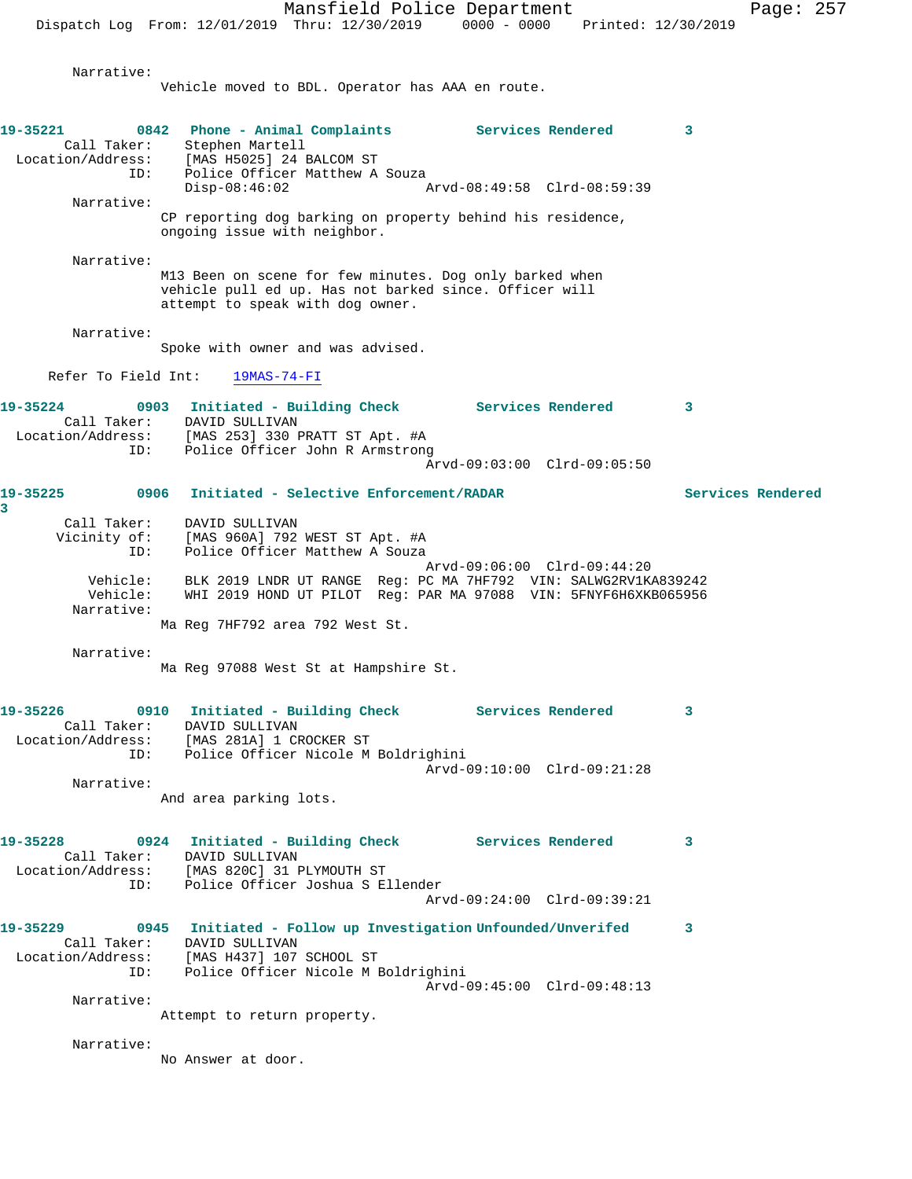Narrative: Vehicle moved to BDL. Operator has AAA en route.

**19-35221 0842 Phone - Animal Complaints Services Rendered 3**  Call Taker: Stephen Martell Location/Address: [MAS H5025] 24 BALCOM ST ID: Police Officer Matthew A Souza<br>Disp-08:46:02 Disp-08:46:02 Arvd-08:49:58 Clrd-08:59:39 Narrative: CP reporting dog barking on property behind his residence, ongoing issue with neighbor. Narrative: M13 Been on scene for few minutes. Dog only barked when vehicle pull ed up. Has not barked since. Officer will attempt to speak with dog owner. Narrative: Spoke with owner and was advised. Refer To Field Int: 19MAS-74-FI **19-35224 0903 Initiated - Building Check Services Rendered 3**  Call Taker: DAVID SULLIVAN Location/Address: [MAS 253] 330 PRATT ST Apt. #A ID: Police Officer John R Armstrong Arvd-09:03:00 Clrd-09:05:50 **19-35225 0906 Initiated - Selective Enforcement/RADAR Services Rendered 3**  Call Taker: DAVID SULLIVAN Vicinity of: [MAS 960A] 792 WEST ST Apt. #A ID: Police Officer Matthew A Souza Arvd-09:06:00 Clrd-09:44:20 Vehicle: BLK 2019 LNDR UT RANGE Reg: PC MA 7HF792 VIN: SALWG2RV1KA839242 Vehicle: WHI 2019 HOND UT PILOT Reg: PAR MA 97088 VIN: 5FNYF6H6XKB065956 Narrative: Ma Reg 7HF792 area 792 West St. Narrative: Ma Reg 97088 West St at Hampshire St. **19-35226 0910 Initiated - Building Check Services Rendered 3**  Call Taker: DAVID SULLIVAN Location/Address: [MAS 281A] 1 CROCKER ST ID: Police Officer Nicole M Boldrighini Arvd-09:10:00 Clrd-09:21:28 Narrative: And area parking lots. **19-35228 0924 Initiated - Building Check Services Rendered 3**  Call Taker: DAVID SULLIVAN Location/Address: [MAS 820C] 31 PLYMOUTH ST ID: Police Officer Joshua S Ellender Arvd-09:24:00 Clrd-09:39:21 **19-35229 0945 Initiated - Follow up Investigation Unfounded/Unverifed 3**  Call Taker: DAVID SULLIVAN Location/Address: [MAS H437] 107 SCHOOL ST ID: Police Officer Nicole M Boldrighini Arvd-09:45:00 Clrd-09:48:13 Narrative: Attempt to return property. Narrative:

No Answer at door.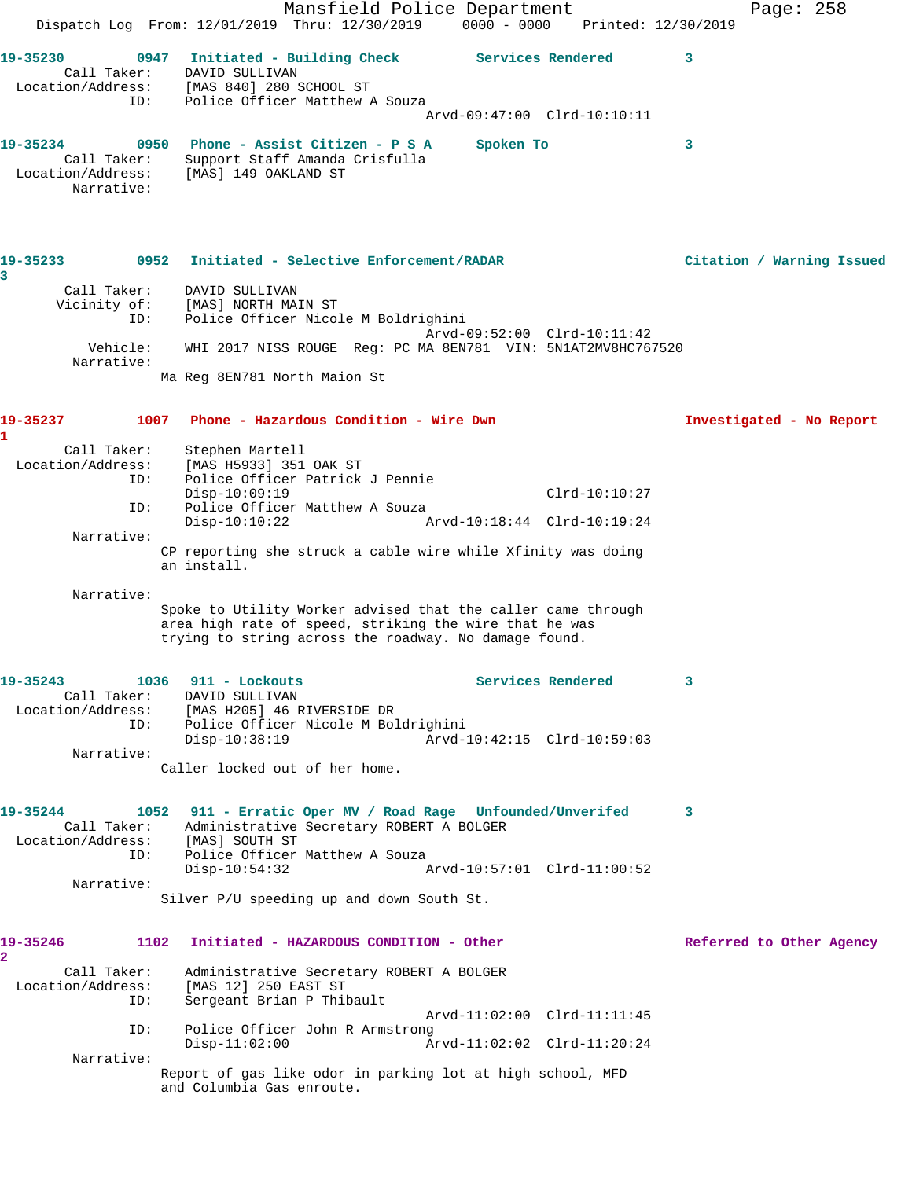Mansfield Police Department Fage: 258 Dispatch Log From: 12/01/2019 Thru: 12/30/2019 0000 - 0000 Printed: 12/30/2019 19-35230 0947 Initiated - Building Check Services Rendered 3 Call Taker: DAVID SULLIVAN Location/Address: [MAS 840] 280 SCHOOL ST ID: Police Officer Matthew A Souza Arvd-09:47:00 Clrd-10:10:11 **19-35234 0950 Phone - Assist Citizen - P S A Spoken To 3**  Call Taker: Support Staff Amanda Crisfulla Location/Address: [MAS] 149 OAKLAND ST Narrative: **19-35233 0952 Initiated - Selective Enforcement/RADAR Citation / Warning Issued 3**  Call Taker: DAVID SULLIVAN Vicinity of: [MAS] NORTH MAIN ST ID: Police Officer Nicole M Boldrighini Arvd-09:52:00 Clrd-10:11:42 Vehicle: WHI 2017 NISS ROUGE Reg: PC MA 8EN781 VIN: 5N1AT2MV8HC767520 Narrative: Ma Reg 8EN781 North Maion St **19-35237 1007 Phone - Hazardous Condition - Wire Dwn Investigated - No Report 1**  Call Taker: Stephen Martell Location/Address: [MAS H5933] 351 OAK ST ID: Police Officer Patrick J Pennie Disp-10:09:19 Clrd-10:10:27 ID: Police Officer Matthew A Souza Disp-10:10:22 Arvd-10:18:44 Clrd-10:19:24 Narrative: CP reporting she struck a cable wire while Xfinity was doing an install. Narrative: Spoke to Utility Worker advised that the caller came through area high rate of speed, striking the wire that he was trying to string across the roadway. No damage found. **19-35243 1036 911 - Lockouts Services Rendered 3**  Call Taker: DAVID SULLIVAN Location/Address: [MAS H205] 46 RIVERSIDE DR ID: Police Officer Nicole M Boldrighini Disp-10:38:19 Arvd-10:42:15 Clrd-10:59:03 Narrative: Caller locked out of her home. **19-35244 1052 911 - Erratic Oper MV / Road Rage Unfounded/Unverifed 3**  Call Taker: Administrative Secretary ROBERT A BOLGER Location/Address: [MAS] SOUTH ST ID: Police Officer Matthew A Souza Disp-10:54:32 Arvd-10:57:01 Clrd-11:00:52 Narrative: Silver P/U speeding up and down South St. **19-35246 1102 Initiated - HAZARDOUS CONDITION - Other Referred to Other Agency 2**  Call Taker: Administrative Secretary ROBERT A BOLGER Location/Address: [MAS 12] 250 EAST ST ID: Sergeant Brian P Thibault Arvd-11:02:00 Clrd-11:11:45 ID: Police Officer John R Armstrong Disp-11:02:00 Arvd-11:02:02 Clrd-11:20:24 Narrative: Report of gas like odor in parking lot at high school, MFD and Columbia Gas enroute.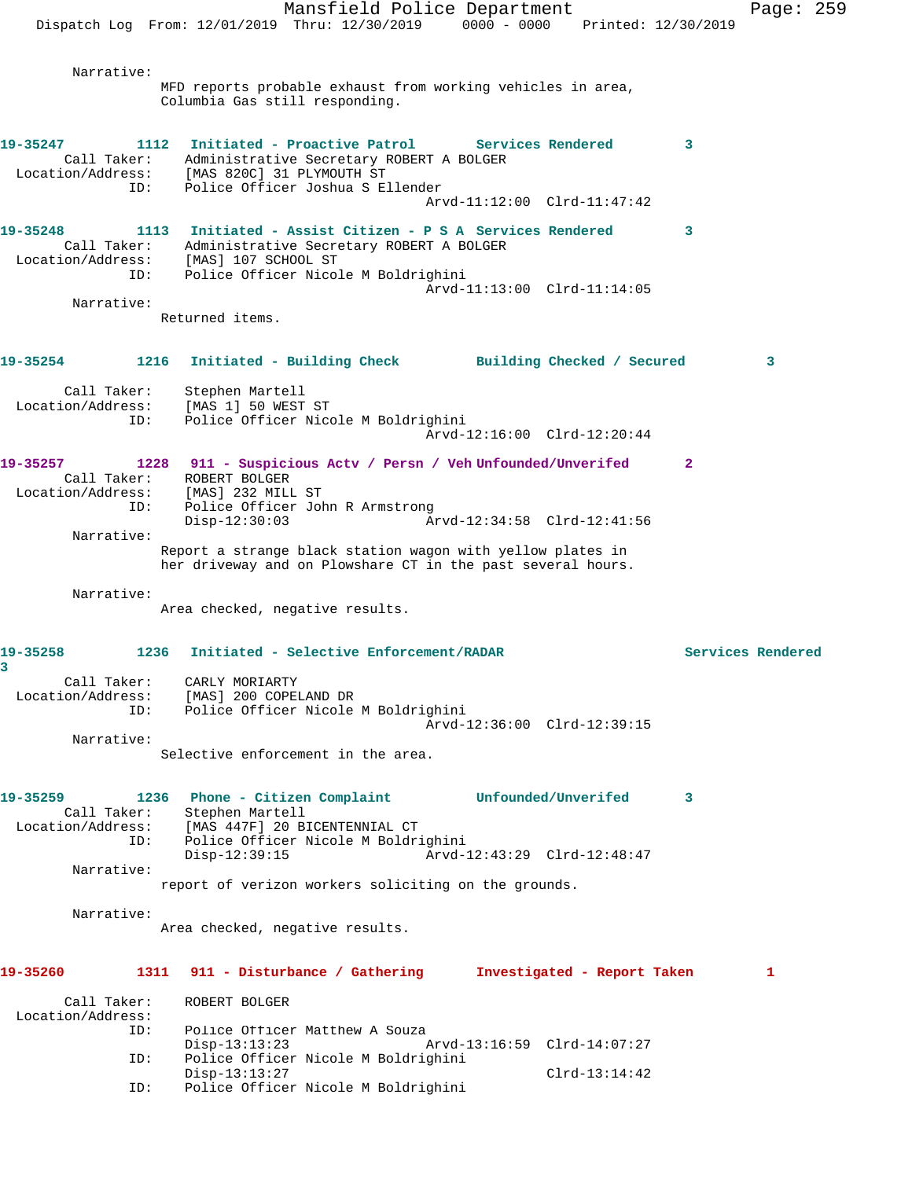Mansfield Police Department Page: 259 Dispatch Log From: 12/01/2019 Thru: 12/30/2019 0000 - 0000 Printed: 12/30/2019 Narrative: MFD reports probable exhaust from working vehicles in area, Columbia Gas still responding. **19-35247 1112 Initiated - Proactive Patrol Services Rendered 3**  Call Taker: Administrative Secretary ROBERT A BOLGER Location/Address: [MAS 820C] 31 PLYMOUTH ST ID: Police Officer Joshua S Ellender Arvd-11:12:00 Clrd-11:47:42 **19-35248 1113 Initiated - Assist Citizen - P S A Services Rendered 3**  Call Taker: Administrative Secretary ROBERT A BOLGER Location/Address: [MAS] 107 SCHOOL ST ID: Police Officer Nicole M Boldrighini Arvd-11:13:00 Clrd-11:14:05 Narrative: Returned items. **19-35254 1216 Initiated - Building Check Building Checked / Secured 3** Call Taker: Stephen Martell Location/Address: [MAS 1] 50 WEST ST ID: Police Officer Nicole M Boldrighini Arvd-12:16:00 Clrd-12:20:44 **19-35257 1228 911 - Suspicious Actv / Persn / Veh Unfounded/Unverifed 2**  Call Taker: ROBERT BOLGER Location/Address: [MAS] 232 MILL ST ID: Police Officer John R Armstrong<br>Disp-12:30:03 Ar Disp-12:30:03 Arvd-12:34:58 Clrd-12:41:56 Narrative: Report a strange black station wagon with yellow plates in her driveway and on Plowshare CT in the past several hours. Narrative: Area checked, negative results. **19-35258 1236 Initiated - Selective Enforcement/RADAR Services Rendered 3**  Call Taker: CARLY MORIARTY Location/Address: [MAS] 200 COPELAND DR ID: Police Officer Nicole M Boldrighini Arvd-12:36:00 Clrd-12:39:15 Narrative: Selective enforcement in the area. **19-35259 1236 Phone - Citizen Complaint Unfounded/Unverifed 3**  Call Taker: Stephen Martell Location/Address: [MAS 447F] 20 BICENTENNIAL CT ID: Police Officer Nicole M Boldrighini Disp-12:39:15 Arvd-12:43:29 Clrd-12:48:47 Narrative: report of verizon workers soliciting on the grounds. Narrative: Area checked, negative results. **19-35260 1311 911 - Disturbance / Gathering Investigated - Report Taken 1** Call Taker: ROBERT BOLGER Location/Address:<br>ID: Police Officer Matthew A Souza Disp-13:13:23 Arvd-13:16:59 Clrd-14:07:27 ID: Police Officer Nicole M Boldrighini Disp-13:13:27 Clrd-13:14:42 ID: Police Officer Nicole M Boldrighini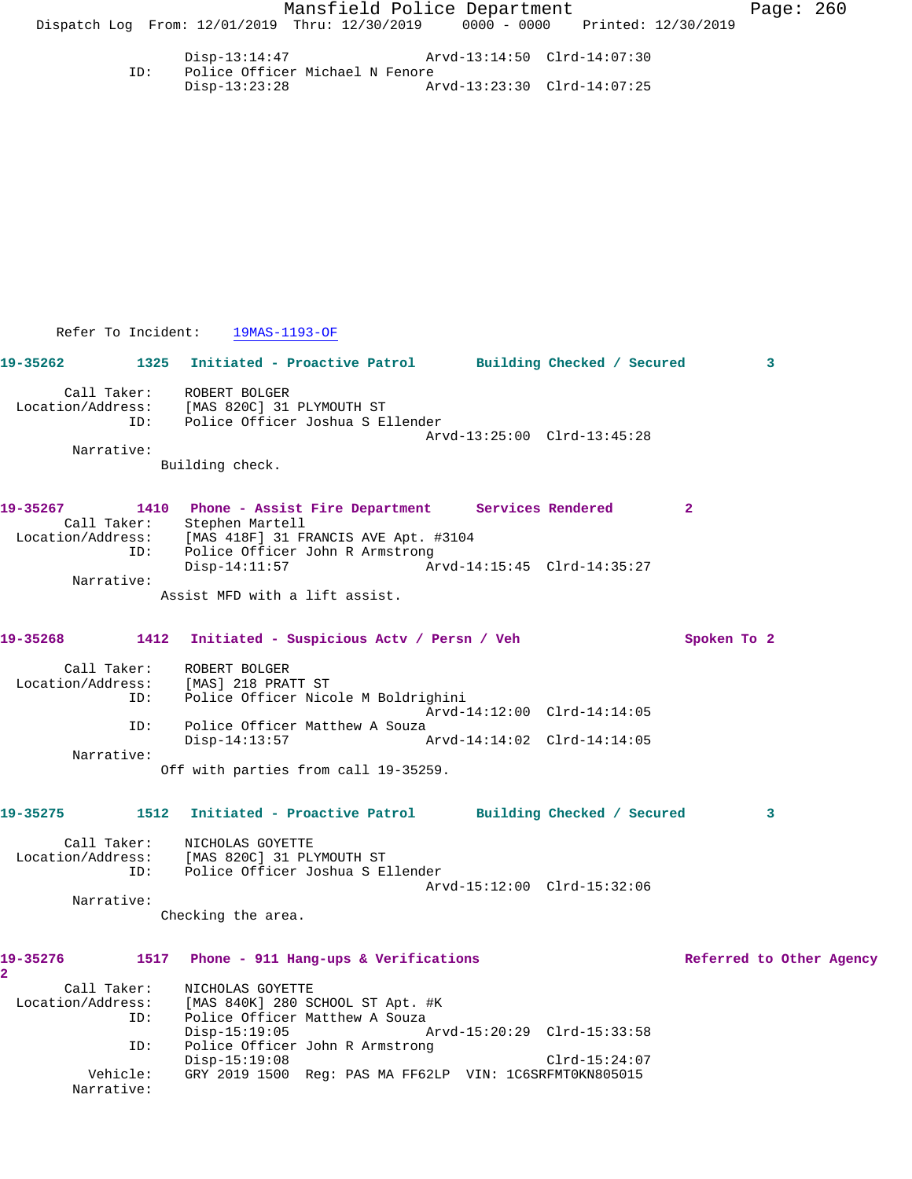Disp-13:14:47 Arvd-13:14:50 Clrd-14:07:30<br>ID: Police Officer Michael N Fenore Police Officer Michael N Fenore<br>Disp-13:23:28 Ar Disp-13:23:28 Arvd-13:23:30 Clrd-14:07:25

Refer To Incident: 19MAS-1193-OF

**19-35262 1325 Initiated - Proactive Patrol Building Checked / Secured 3** Call Taker: ROBERT BOLGER Location/Address: [MAS 820C] 31 PLYMOUTH ST ID: Police Officer Joshua S Ellender Arvd-13:25:00 Clrd-13:45:28 Narrative: Building check.

**19-35267 1410 Phone - Assist Fire Department Services Rendered 2**  Call Taker: Stephen Martell Location/Address: [MAS 418F] 31 FRANCIS AVE Apt. #3104 ID: Police Officer John R Armstrong<br>Disp-14:11:57 Ar Arvd-14:15:45 Clrd-14:35:27 Narrative:

Assist MFD with a lift assist.

## **19-35268 1412 Initiated - Suspicious Actv / Persn / Veh Spoken To 2**

| Call Taker:<br>Location/Address:<br>ID: | ROBERT BOLGER<br>[MAS] 218 PRATT ST<br>Police Officer Nicole M Boldrighini |                             |
|-----------------------------------------|----------------------------------------------------------------------------|-----------------------------|
|                                         |                                                                            | Arvd-14:12:00 Clrd-14:14:05 |
| ID:                                     | Police Officer Matthew A Souza                                             |                             |
|                                         | Disp-14:13:57                                                              | Arvd-14:14:02 Clrd-14:14:05 |
| Narrative:                              |                                                                            |                             |
|                                         | Off with parties from call 19-35259.                                       |                             |

## **19-35275 1512 Initiated - Proactive Patrol Building Checked / Secured 3**

 Call Taker: NICHOLAS GOYETTE Location/Address: [MAS 820C] 31 PLYMOUTH ST ID: Police Officer Joshua S Ellender Arvd-15:12:00 Clrd-15:32:06 Narrative:

Checking the area.

| 19-35276          | 1517       | Phone - 911 Hang-ups & Verifications                    | Referred to Other Agency |  |
|-------------------|------------|---------------------------------------------------------|--------------------------|--|
|                   |            |                                                         |                          |  |
| Call Taker:       |            | NICHOLAS GOYETTE                                        |                          |  |
| Location/Address: |            | [MAS 840K] 280 SCHOOL ST Apt. #K                        |                          |  |
|                   | ID:        | Police Officer Matthew A Souza                          |                          |  |
|                   |            | Arvd-15:20:29 Clrd-15:33:58<br>$Disp-15:19:05$          |                          |  |
|                   | ID:        | Police Officer John R Armstrong                         |                          |  |
|                   |            | $Clrd-15:24:07$<br>$Disp-15:19:08$                      |                          |  |
|                   | Vehicle:   | GRY 2019 1500 Req: PAS MA FF62LP VIN: 1C6SRFMT0KN805015 |                          |  |
|                   | Narrative: |                                                         |                          |  |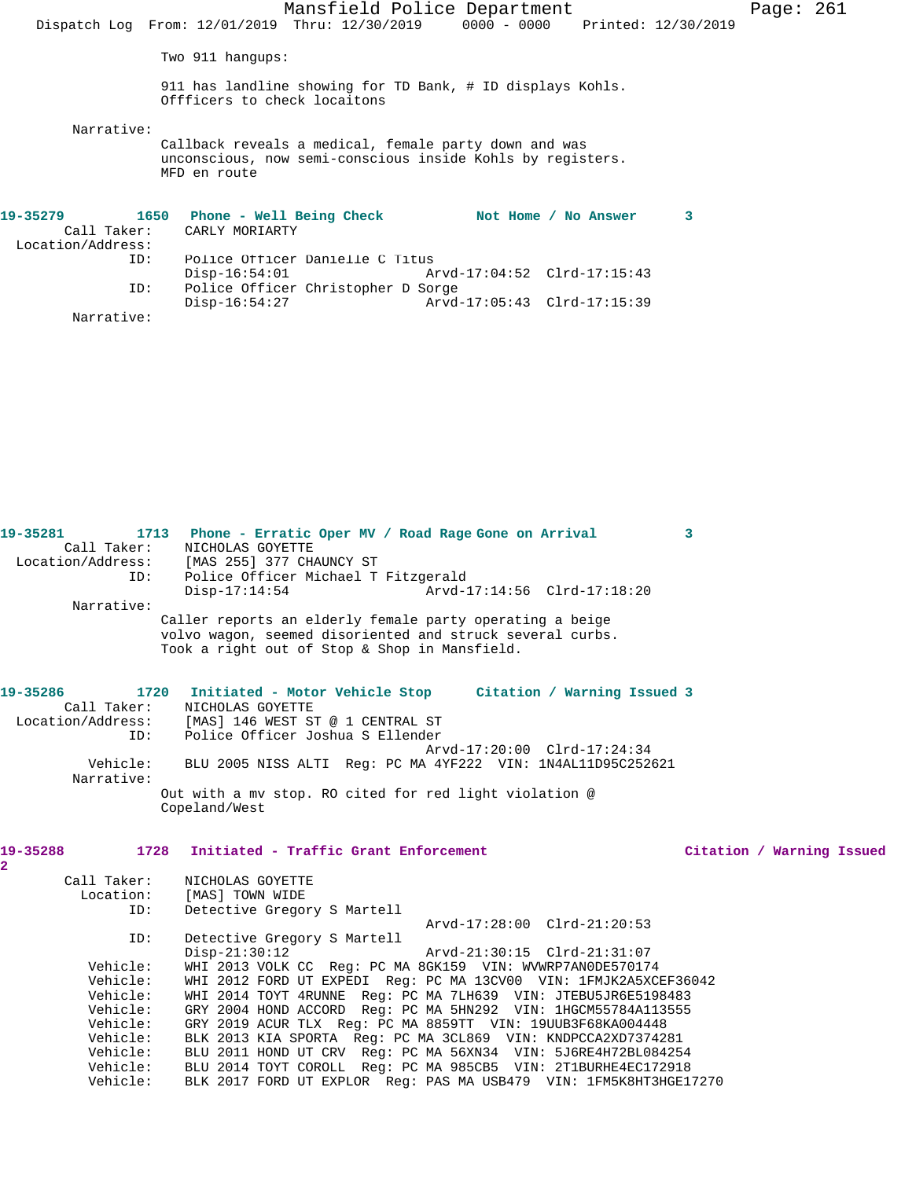|                                                                                |                              |                                    | Mansfield Police Department<br>Dispatch Log From: 12/01/2019 Thru: 12/30/2019 0000 - 0000 Printed: 12/30/2019       |                      |   | Page: $261$ |  |
|--------------------------------------------------------------------------------|------------------------------|------------------------------------|---------------------------------------------------------------------------------------------------------------------|----------------------|---|-------------|--|
|                                                                                | Two $911$ hangups:           |                                    |                                                                                                                     |                      |   |             |  |
|                                                                                | Offficers to check locaitons |                                    | 911 has landline showing for TD Bank, # ID displays Kohls.                                                          |                      |   |             |  |
| Narrative:                                                                     | MFD en route                 |                                    | Callback reveals a medical, female party down and was<br>unconscious, now semi-conscious inside Kohls by registers. |                      |   |             |  |
| 19-35279                 1650    Phone – Well Being Check<br>Location/Address: | Call Taker: CARLY MORIARTY   |                                    |                                                                                                                     | Not Home / No Answer | 3 |             |  |
| ID:                                                                            | $Disp-16:54:01$              | Police Officer Danielle C Titus    |                                                                                                                     |                      |   |             |  |
| ID:                                                                            | $Disp-16:54:27$              | Police Officer Christopher D Sorge |                                                                                                                     |                      |   |             |  |
| Narrative:                                                                     |                              |                                    |                                                                                                                     |                      |   |             |  |

| Narrative:                                                                                                      | Location/Address: [MAS 255] 377 CHAUNCY ST<br>Police Officer Michael T Fitzgerald<br>TD:<br>$Disp-17:14:54$<br>Arvd-17:14:56 Clrd-17:18:20<br>Caller reports an elderly female party operating a beige<br>volvo wagon, seemed disoriented and struck several curbs.                                                                                                                                                                                                                                                                                                                                                                                                                   |  |
|-----------------------------------------------------------------------------------------------------------------|---------------------------------------------------------------------------------------------------------------------------------------------------------------------------------------------------------------------------------------------------------------------------------------------------------------------------------------------------------------------------------------------------------------------------------------------------------------------------------------------------------------------------------------------------------------------------------------------------------------------------------------------------------------------------------------|--|
|                                                                                                                 | Took a right out of Stop & Shop in Mansfield.                                                                                                                                                                                                                                                                                                                                                                                                                                                                                                                                                                                                                                         |  |
| 19-35286<br>Call Taker:                                                                                         | 1720 Initiated - Motor Vehicle Stop Citation / Warning Issued 3<br>NICHOLAS GOYETTE<br>Location/Address: [MAS] 146 WEST ST @ 1 CENTRAL ST<br>Police Officer Joshua S Ellender<br>TD:                                                                                                                                                                                                                                                                                                                                                                                                                                                                                                  |  |
| Vehicle:<br>Narrative:                                                                                          | Arvd-17:20:00 Clrd-17:24:34<br>BLU 2005 NISS ALTI Reg: PC MA 4YF222 VIN: 1N4AL11D95C252621                                                                                                                                                                                                                                                                                                                                                                                                                                                                                                                                                                                            |  |
|                                                                                                                 | Out with a mv stop. RO cited for red light violation @<br>Copeland/West                                                                                                                                                                                                                                                                                                                                                                                                                                                                                                                                                                                                               |  |
|                                                                                                                 |                                                                                                                                                                                                                                                                                                                                                                                                                                                                                                                                                                                                                                                                                       |  |
| 19-35288                                                                                                        | 1728 Initiated - Traffic Grant Enforcement<br>Citation / Warning Issued                                                                                                                                                                                                                                                                                                                                                                                                                                                                                                                                                                                                               |  |
| 2<br>Call Taker:<br>Location:<br>ID:                                                                            | NICHOLAS GOYETTE<br>[MAS] TOWN WIDE<br>Detective Gregory S Martell<br>Arvd-17:28:00 Clrd-21:20:53                                                                                                                                                                                                                                                                                                                                                                                                                                                                                                                                                                                     |  |
| ID:<br>Vehicle:<br>Vehicle:<br>Vehicle:<br>Vehicle:<br>Vehicle:<br>Vehicle:<br>Vehicle:<br>Vehicle:<br>Vehicle: | Detective Gregory S Martell<br>$Disp-21:30:12$<br>Arvd-21:30:15 Clrd-21:31:07<br>WHI 2013 VOLK CC Req: PC MA 8GK159 VIN: WVWRP7AN0DE570174<br>WHI 2012 FORD UT EXPEDI Reg: PC MA 13CV00 VIN: 1FMJK2A5XCEF36042<br>WHI 2014 TOYT 4RUNNE Reg: PC MA 7LH639 VIN: JTEBU5JR6E5198483<br>GRY 2004 HOND ACCORD Req: PC MA 5HN292 VIN: 1HGCM55784A113555<br>GRY 2019 ACUR TLX Req: PC MA 8859TT VIN: 19UUB3F68KA004448<br>BLK 2013 KIA SPORTA Req: PC MA 3CL869 VIN: KNDPCCA2XD7374281<br>BLU 2011 HOND UT CRV Req: PC MA 56XN34 VIN: 5J6RE4H72BL084254<br>BLU 2014 TOYT COROLL Reg: PC MA 985CB5 VIN: 2T1BURHE4EC172918<br>BLK 2017 FORD UT EXPLOR Req: PAS MA USB479 VIN: 1FM5K8HT3HGE17270 |  |

**19-35281 1713 Phone - Erratic Oper MV / Road Rage Gone on Arrival 3** 

Call Taker: NICHOLAS GOYETTE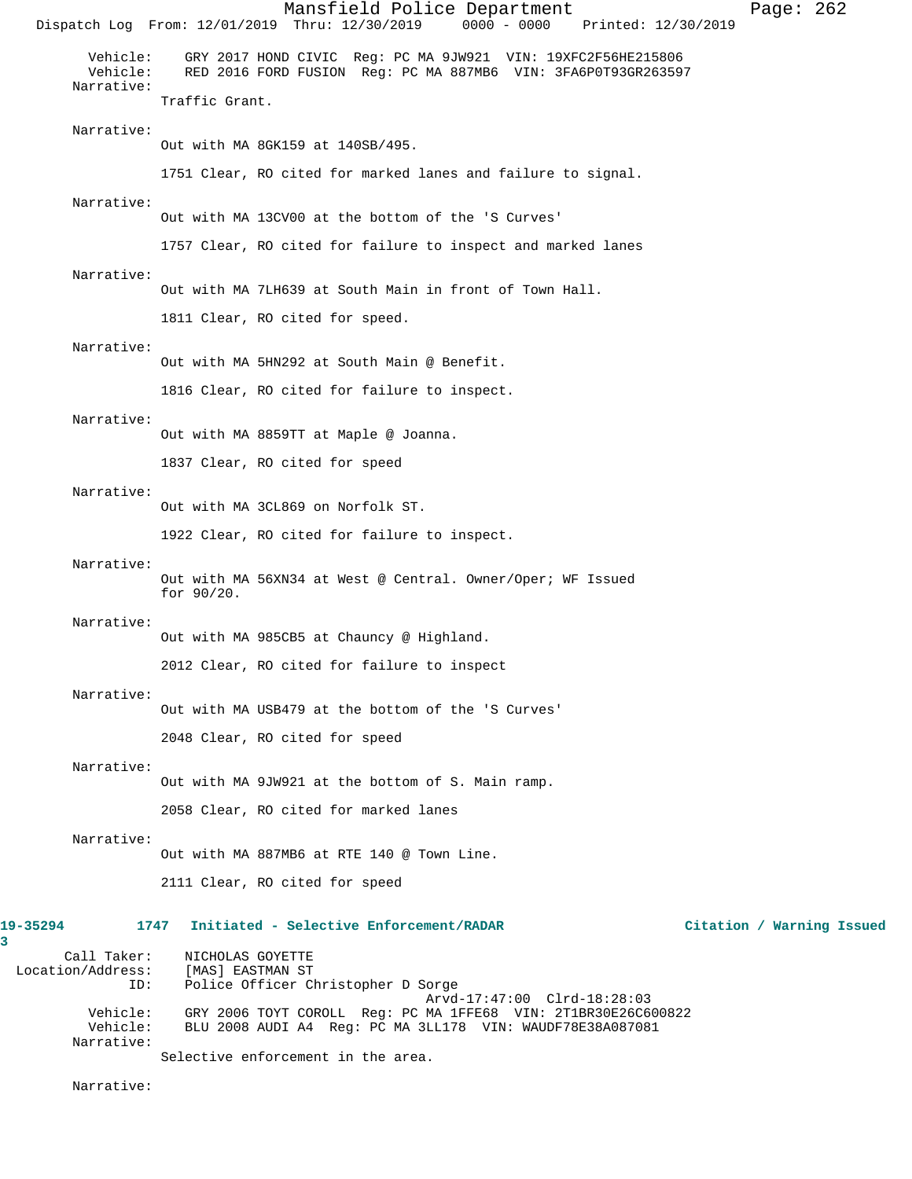Mansfield Police Department Page: 262 Dispatch Log From: 12/01/2019 Thru: 12/30/2019 Vehicle: GRY 2017 HOND CIVIC Reg: PC MA 9JW921 VIN: 19XFC2F56HE215806 RED 2016 FORD FUSION Reg: PC MA 887MB6 VIN: 3FA6P0T93GR263597 Narrative: Traffic Grant. Narrative: Out with MA 8GK159 at 140SB/495. 1751 Clear, RO cited for marked lanes and failure to signal. Narrative: Out with MA 13CV00 at the bottom of the 'S Curves' 1757 Clear, RO cited for failure to inspect and marked lanes Narrative: Out with MA 7LH639 at South Main in front of Town Hall. 1811 Clear, RO cited for speed. Narrative: Out with MA 5HN292 at South Main @ Benefit. 1816 Clear, RO cited for failure to inspect. Narrative: Out with MA 8859TT at Maple @ Joanna. 1837 Clear, RO cited for speed Narrative: Out with MA 3CL869 on Norfolk ST. 1922 Clear, RO cited for failure to inspect. Narrative: Out with MA 56XN34 at West @ Central. Owner/Oper; WF Issued for 90/20. Narrative: Out with MA 985CB5 at Chauncy @ Highland. 2012 Clear, RO cited for failure to inspect Narrative: Out with MA USB479 at the bottom of the 'S Curves' 2048 Clear, RO cited for speed Narrative: Out with MA 9JW921 at the bottom of S. Main ramp. 2058 Clear, RO cited for marked lanes Narrative: Out with MA 887MB6 at RTE 140 @ Town Line. 2111 Clear, RO cited for speed **19-35294 1747 Initiated - Selective Enforcement/RADAR Citation / Warning Issued** Call Taker: NICHOLAS GOYETTE<br>.on/Address: [MAS] EASTMAN ST Location/Address: ID: Police Officer Christopher D Sorge Arvd-17:47:00 Clrd-18:28:03 Vehicle: GRY 2006 TOYT COROLL Reg: PC MA 1FFE68 VIN: 2T1BR30E26C600822 Vehicle: BLU 2008 AUDI A4 Reg: PC MA 3LL178 VIN: WAUDF78E38A087081 Narrative: Selective enforcement in the area.

Narrative:

**3**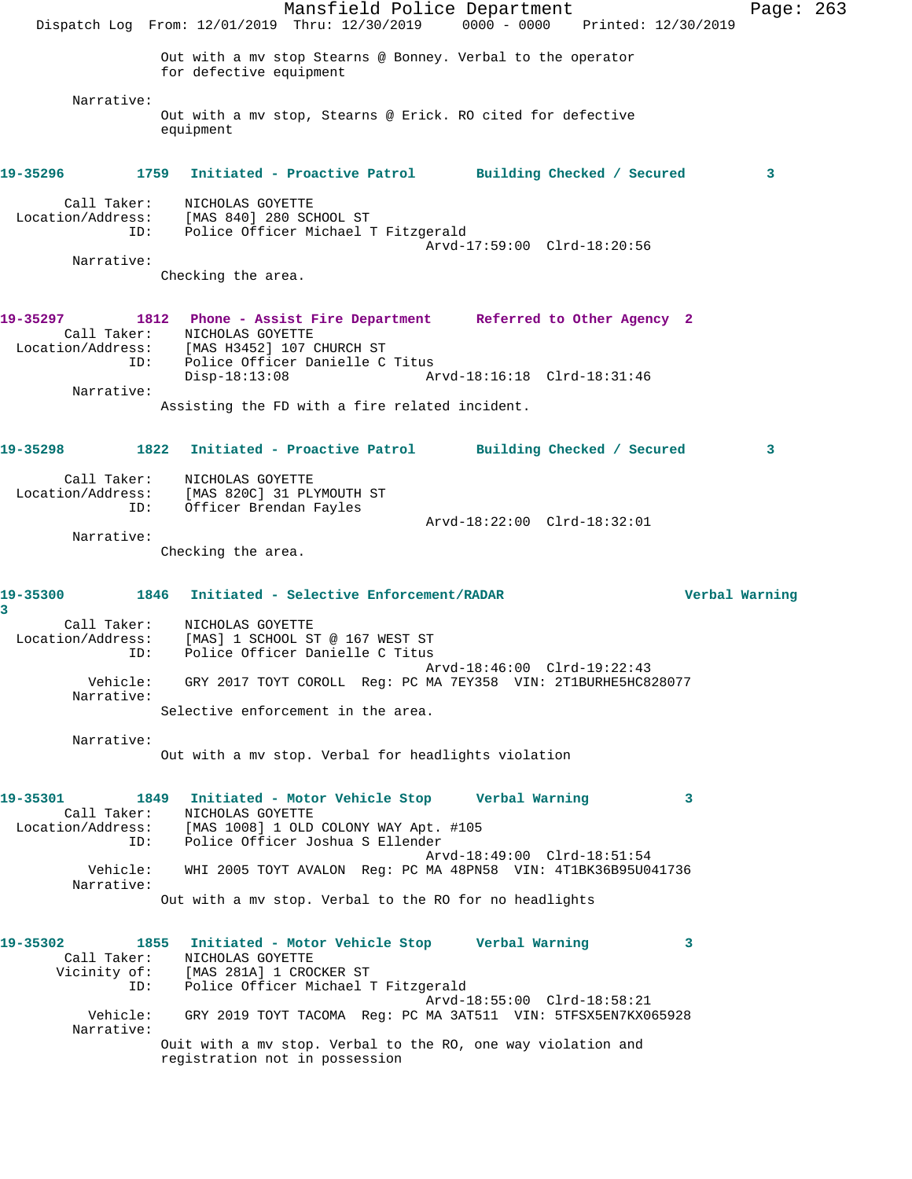Mansfield Police Department Page: 263 Dispatch Log From: 12/01/2019 Thru: 12/30/2019 0000 - 0000 Printed: 12/30/2019 Out with a mv stop Stearns @ Bonney. Verbal to the operator for defective equipment Narrative: Out with a mv stop, Stearns @ Erick. RO cited for defective equipment **19-35296 1759 Initiated - Proactive Patrol Building Checked / Secured 3** Call Taker: NICHOLAS GOYETTE Location/Address: [MAS 840] 280 SCHOOL ST ID: Police Officer Michael T Fitzgerald Arvd-17:59:00 Clrd-18:20:56 Narrative: Checking the area. **19-35297 1812 Phone - Assist Fire Department Referred to Other Agency 2**  Call Taker: NICHOLAS GOYETTE Location/Address: [MAS H3452] 107 CHURCH ST ID: Police Officer Danielle C Titus Disp-18:13:08 Arvd-18:16:18 Clrd-18:31:46 Narrative: Assisting the FD with a fire related incident. **19-35298 1822 Initiated - Proactive Patrol Building Checked / Secured 3** Call Taker: NICHOLAS GOYETTE Location/Address: [MAS 820C] 31 PLYMOUTH ST ID: Officer Brendan Fayles Arvd-18:22:00 Clrd-18:32:01 Narrative: Checking the area. **19-35300 1846 Initiated - Selective Enforcement/RADAR Verbal Warning 3**  Call Taker: NICHOLAS GOYETTE Location/Address: [MAS] 1 SCHOOL ST @ 167 WEST ST ID: Police Officer Danielle C Titus Arvd-18:46:00 Clrd-19:22:43 Vehicle: GRY 2017 TOYT COROLL Reg: PC MA 7EY358 VIN: 2T1BURHE5HC828077 Narrative: Selective enforcement in the area. Narrative: Out with a mv stop. Verbal for headlights violation **19-35301 1849 Initiated - Motor Vehicle Stop Verbal Warning 3**  Call Taker: NICHOLAS GOYETTE Location/Address: [MAS 1008] 1 OLD COLONY WAY Apt. #105 ID: Police Officer Joshua S Ellender Arvd-18:49:00 Clrd-18:51:54 Vehicle: WHI 2005 TOYT AVALON Reg: PC MA 48PN58 VIN: 4T1BK36B95U041736 Narrative: Out with a mv stop. Verbal to the RO for no headlights **19-35302 1855 Initiated - Motor Vehicle Stop Verbal Warning 3**  Call Taker: NICHOLAS GOYETTE Vicinity of: [MAS 281A] 1 CROCKER ST ID: Police Officer Michael T Fitzgerald Arvd-18:55:00 Clrd-18:58:21 Vehicle: GRY 2019 TOYT TACOMA Reg: PC MA 3AT511 VIN: 5TFSX5EN7KX065928 Narrative: Ouit with a mv stop. Verbal to the RO, one way violation and registration not in possession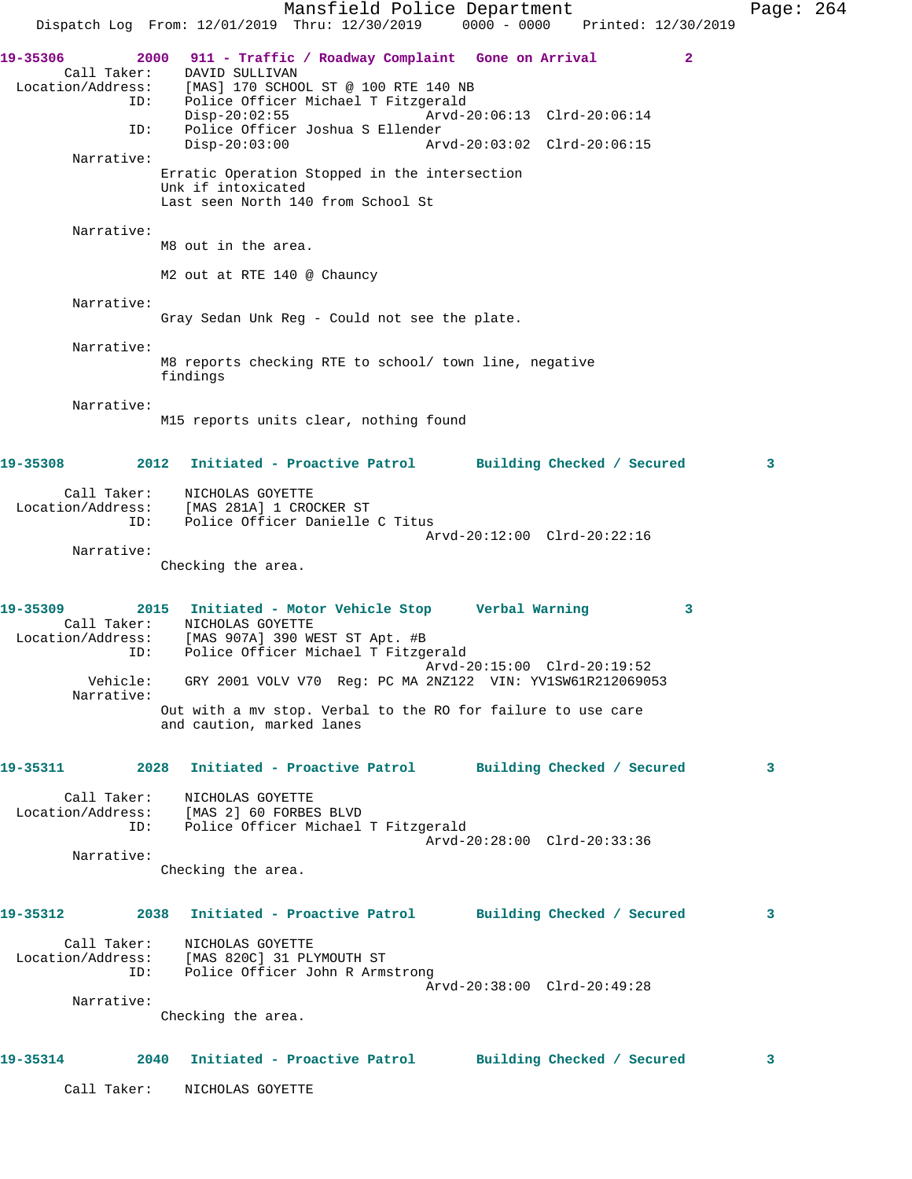Mansfield Police Department Page: 264 Dispatch Log From: 12/01/2019 Thru: 12/30/2019 0000 - 0000 Printed: 12/30/2019 **19-35306 2000 911 - Traffic / Roadway Complaint Gone on Arrival 2**  Call Taker: DAVID SULLIVAN Location/Address: [MAS] 170 SCHOOL ST @ 100 RTE 140 NB ID: Police Officer Michael T Fitzgerald Disp-20:02:55 Arvd-20:06:13 Clrd-20:06:14 ID: Police Officer Joshua S Ellender Disp-20:03:00 Arvd-20:03:02 Clrd-20:06:15 Narrative: Erratic Operation Stopped in the intersection Unk if intoxicated Last seen North 140 from School St Narrative: M8 out in the area. M2 out at RTE 140 @ Chauncy Narrative: Gray Sedan Unk Reg - Could not see the plate. Narrative: M8 reports checking RTE to school/ town line, negative findings Narrative: M15 reports units clear, nothing found **19-35308 2012 Initiated - Proactive Patrol Building Checked / Secured 3** Call Taker: NICHOLAS GOYETTE Location/Address: [MAS 281A] 1 CROCKER ST ID: Police Officer Danielle C Titus Arvd-20:12:00 Clrd-20:22:16 Narrative: Checking the area. **19-35309 2015 Initiated - Motor Vehicle Stop Verbal Warning 3**  Call Taker: NICHOLAS GOYETTE Location/Address: [MAS 907A] 390 WEST ST Apt. #B ID: Police Officer Michael T Fitzgerald Arvd-20:15:00 Clrd-20:19:52 Vehicle: GRY 2001 VOLV V70 Reg: PC MA 2NZ122 VIN: YV1SW61R212069053 Narrative: Out with a mv stop. Verbal to the RO for failure to use care and caution, marked lanes **19-35311 2028 Initiated - Proactive Patrol Building Checked / Secured 3** Call Taker: NICHOLAS GOYETTE Location/Address: [MAS 2] 60 FORBES BLVD ID: Police Officer Michael T Fitzgerald Arvd-20:28:00 Clrd-20:33:36 Narrative: Checking the area. **19-35312 2038 Initiated - Proactive Patrol Building Checked / Secured 3** Call Taker: NICHOLAS GOYETTE Location/Address: [MAS 820C] 31 PLYMOUTH ST ID: Police Officer John R Armstrong Arvd-20:38:00 Clrd-20:49:28 Narrative: Checking the area. **19-35314 2040 Initiated - Proactive Patrol Building Checked / Secured 3** Call Taker: NICHOLAS GOYETTE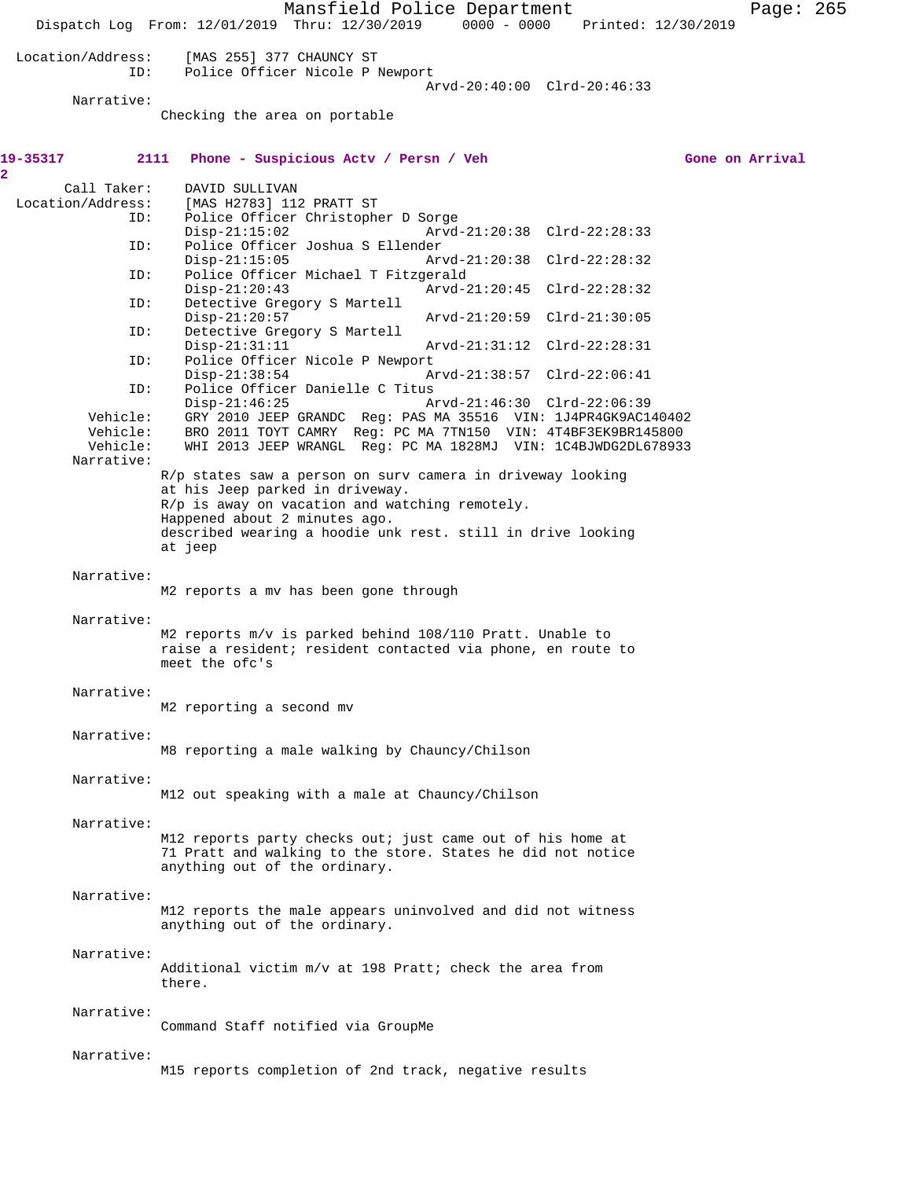|                                  | Dispatch Log From: 12/01/2019 Thru: 12/30/2019 0000 - 0000 Printed: 12/30/2019                                                                                                                                    | Mansfield Police Department |                             |  | Page: 265       |  |
|----------------------------------|-------------------------------------------------------------------------------------------------------------------------------------------------------------------------------------------------------------------|-----------------------------|-----------------------------|--|-----------------|--|
| Location/Address:<br>ID:         | [MAS 255] 377 CHAUNCY ST<br>Police Officer Nicole P Newport                                                                                                                                                       |                             | Arvd-20:40:00 Clrd-20:46:33 |  |                 |  |
| Narrative:                       |                                                                                                                                                                                                                   |                             |                             |  |                 |  |
|                                  | Checking the area on portable                                                                                                                                                                                     |                             |                             |  |                 |  |
| 19-35317<br>2                    | 2111 Phone - Suspicious Actv / Persn / Veh                                                                                                                                                                        |                             |                             |  | Gone on Arrival |  |
| Call Taker:<br>Location/Address: | DAVID SULLIVAN<br>[MAS H2783] 112 PRATT ST                                                                                                                                                                        |                             |                             |  |                 |  |
| ID:<br>ID:                       | Police Officer Christopher D Sorge<br>$Disp-21:15:02$<br>Police Officer Joshua S Ellender                                                                                                                         |                             | Arvd-21:20:38 Clrd-22:28:33 |  |                 |  |
|                                  | $Disp-21:15:05$                                                                                                                                                                                                   |                             | Arvd-21:20:38 Clrd-22:28:32 |  |                 |  |
| ID:                              | Police Officer Michael T Fitzgerald<br>$Disp-21:20:43$                                                                                                                                                            |                             | Arvd-21:20:45 Clrd-22:28:32 |  |                 |  |
| ID:                              | Detective Gregory S Martell<br>$Disp-21:20:57$                                                                                                                                                                    |                             | Arvd-21:20:59 Clrd-21:30:05 |  |                 |  |
| ID:                              | Detective Gregory S Martell<br>$Disp-21:31:11$                                                                                                                                                                    |                             | Arvd-21:31:12 Clrd-22:28:31 |  |                 |  |
| ID:                              | Police Officer Nicole P Newport<br>$Disp-21:38:54$                                                                                                                                                                |                             | Arvd-21:38:57 Clrd-22:06:41 |  |                 |  |
| ID:                              | Police Officer Danielle C Titus                                                                                                                                                                                   |                             |                             |  |                 |  |
| Vehicle:<br>Vehicle:<br>Vehicle: | $Disp-21:46:25$<br>GRY 2010 JEEP GRANDC Req: PAS MA 35516 VIN: 1J4PR4GK9AC140402<br>BRO 2011 TOYT CAMRY Reg: PC MA 7TN150 VIN: 4T4BF3EK9BR145800<br>WHI 2013 JEEP WRANGL Req: PC MA 1828MJ VIN: 1C4BJWDG2DL678933 |                             | Arvd-21:46:30 Clrd-22:06:39 |  |                 |  |
| Narrative:                       | R/p states saw a person on surv camera in driveway looking                                                                                                                                                        |                             |                             |  |                 |  |
|                                  | at his Jeep parked in driveway.<br>R/p is away on vacation and watching remotely.<br>Happened about 2 minutes ago.                                                                                                |                             |                             |  |                 |  |
|                                  | described wearing a hoodie unk rest. still in drive looking<br>at jeep                                                                                                                                            |                             |                             |  |                 |  |
| Narrative:                       | M2 reports a mv has been gone through                                                                                                                                                                             |                             |                             |  |                 |  |
| Narrative:                       | M2 reports m/v is parked behind 108/110 Pratt. Unable to<br>raise a resident; resident contacted via phone, en route to<br>meet the ofc's                                                                         |                             |                             |  |                 |  |
| Narrative:                       |                                                                                                                                                                                                                   |                             |                             |  |                 |  |
|                                  | M2 reporting a second mv                                                                                                                                                                                          |                             |                             |  |                 |  |
| Narrative:                       | M8 reporting a male walking by Chauncy/Chilson                                                                                                                                                                    |                             |                             |  |                 |  |
| Narrative:                       | M12 out speaking with a male at Chauncy/Chilson                                                                                                                                                                   |                             |                             |  |                 |  |
| Narrative:                       | M12 reports party checks out; just came out of his home at<br>71 Pratt and walking to the store. States he did not notice<br>anything out of the ordinary.                                                        |                             |                             |  |                 |  |
| Narrative:                       | M12 reports the male appears uninvolved and did not witness<br>anything out of the ordinary.                                                                                                                      |                             |                             |  |                 |  |
| Narrative:                       | Additional victim m/v at 198 Pratt; check the area from<br>there.                                                                                                                                                 |                             |                             |  |                 |  |
| Narrative:                       | Command Staff notified via GroupMe                                                                                                                                                                                |                             |                             |  |                 |  |
| Narrative:                       | M15 reports completion of 2nd track, negative results                                                                                                                                                             |                             |                             |  |                 |  |
|                                  |                                                                                                                                                                                                                   |                             |                             |  |                 |  |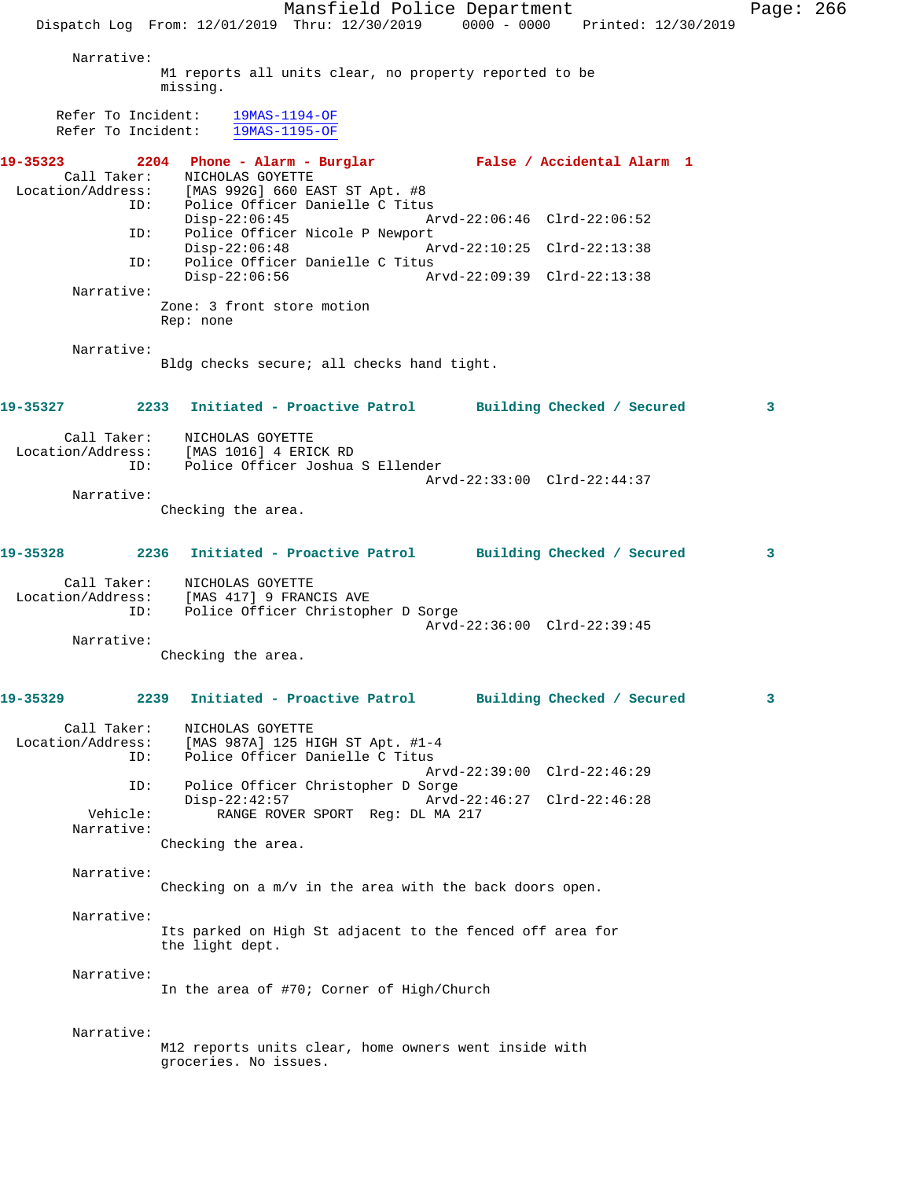Mansfield Police Department Page: 266 Dispatch Log From: 12/01/2019 Thru: 12/30/2019 0000 - 0000 Printed: 12/30/2019 Narrative: M1 reports all units clear, no property reported to be missing. Refer To Incident: 19MAS-1194-OF Refer To Incident: 19MAS-1195-OF **19-35323 2204 Phone - Alarm - Burglar False / Accidental Alarm 1**  Call Taker: NICHOLAS GOYETTE Location/Address: [MAS 992G] 660 EAST ST Apt. #8 Police Officer Danielle C Titus<br>Disp-22:06:45 A Disp-22:06:45 Arvd-22:06:46 Clrd-22:06:52 ID: Police Officer Nicole P Newport<br>Disp-22:06:48 A Disp-22:06:48 Arvd-22:10:25 Clrd-22:13:38 ID: Police Officer Danielle C Titus Disp-22:06:56 Arvd-22:09:39 Clrd-22:13:38 Narrative: Zone: 3 front store motion Rep: none Narrative: Bldg checks secure; all checks hand tight. **19-35327 2233 Initiated - Proactive Patrol Building Checked / Secured 3** Call Taker: NICHOLAS GOYETTE Location/Address: [MAS 1016] 4 ERICK RD ID: Police Officer Joshua S Ellender Arvd-22:33:00 Clrd-22:44:37 Narrative: Checking the area. **19-35328 2236 Initiated - Proactive Patrol Building Checked / Secured 3** Call Taker: NICHOLAS GOYETTE Location/Address: [MAS 417] 9 FRANCIS AVE ID: Police Officer Christopher D Sorge Arvd-22:36:00 Clrd-22:39:45 Narrative: Checking the area. **19-35329 2239 Initiated - Proactive Patrol Building Checked / Secured 3** Call Taker: NICHOLAS GOYETTE Location/Address: [MAS 987A] 125 HIGH ST Apt. #1-4 ID: Police Officer Danielle C Titus Arvd-22:39:00 Clrd-22:46:29 ID: Police Officer Christopher D Sorge Disp-22:42:57 Arvd-22:46:27 Clrd-22:46:28 Vehicle: RANGE ROVER SPORT Reg: DL MA 217 Narrative: Checking the area. Narrative: Checking on a m/v in the area with the back doors open. Narrative: Its parked on High St adjacent to the fenced off area for the light dept. Narrative: In the area of #70; Corner of High/Church Narrative: M12 reports units clear, home owners went inside with groceries. No issues.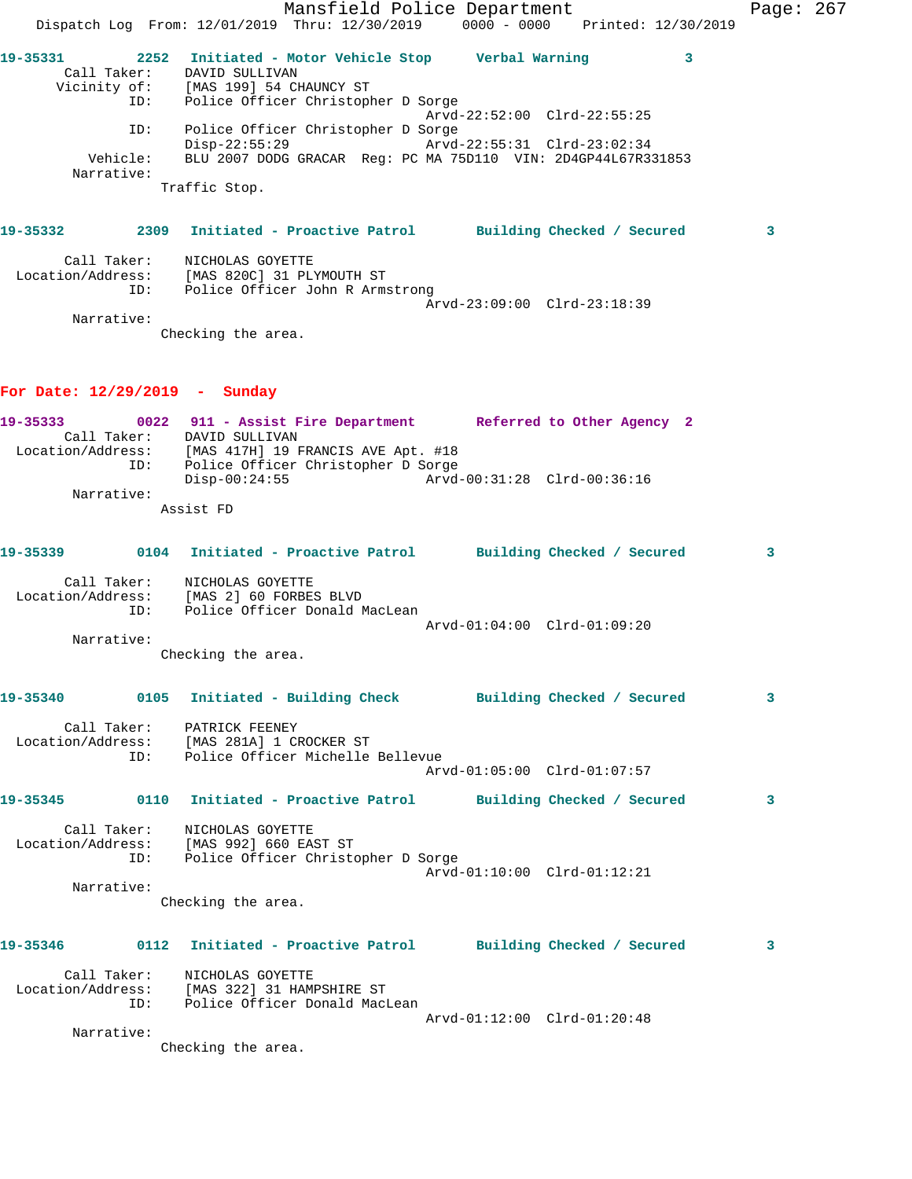|                                 |             | Mansfield Police Department<br>Dispatch Log From: 12/01/2019 Thru: 12/30/2019 0000 - 0000 Printed: 12/30/2019                                                                                                            |                             |   | Page: 267 |  |
|---------------------------------|-------------|--------------------------------------------------------------------------------------------------------------------------------------------------------------------------------------------------------------------------|-----------------------------|---|-----------|--|
|                                 | ID:         | 19-35331 2252 Initiated - Motor Vehicle Stop Verbal Warning<br>Call Taker: DAVID SULLIVAN<br>Vicinity of: [MAS 199] 54 CHAUNCY ST<br>Police Officer Christopher D Sorge                                                  |                             | 3 |           |  |
|                                 | ID:         | Police Officer Christopher D Sorge                                                                                                                                                                                       | Arvd-22:52:00 Clrd-22:55:25 |   |           |  |
|                                 | Narrative:  | $Disp-22:55:29$<br>Vehicle: BLU 2007 DODG GRACAR Reg: PC MA 75D110 VIN: 2D4GP44L67R331853                                                                                                                                | Arvd-22:55:31 Clrd-23:02:34 |   |           |  |
|                                 |             | Traffic Stop.                                                                                                                                                                                                            |                             |   |           |  |
|                                 |             | 19-35332              2309   Initiated - Proactive Patrol          Building Checked / Secured                                                                                                                            |                             |   | 3         |  |
|                                 | Call Taker: | NICHOLAS GOYETTE<br>Location/Address: [MAS 820C] 31 PLYMOUTH ST<br>ID: Police Officer John R Armstrong                                                                                                                   |                             |   |           |  |
|                                 | Narrative:  | Checking the area.                                                                                                                                                                                                       | Arvd-23:09:00 Clrd-23:18:39 |   |           |  |
| For Date: $12/29/2019$ - Sunday |             |                                                                                                                                                                                                                          |                             |   |           |  |
|                                 |             | 19-35333 0022 911 - Assist Fire Department Referred to Other Agency 2<br>Call Taker: DAVID SULLIVAN<br>Location/Address: [MAS 417H] 19 FRANCIS AVE Apt. #18<br>ID: Police Officer Christopher D Sorge<br>$Disp-00:24:55$ |                             |   |           |  |
|                                 | Narrative:  | Assist FD                                                                                                                                                                                                                |                             |   |           |  |
|                                 |             |                                                                                                                                                                                                                          |                             |   |           |  |
|                                 |             | 19-35339      0104 Initiated - Proactive Patrol     Building Checked / Secured                                                                                                                                           |                             |   | 3         |  |
|                                 |             | Call Taker: NICHOLAS GOYETTE<br>Location/Address: [MAS 2] 60 FORBES BLVD<br>ID: Police Officer Donald MacLean                                                                                                            | Arvd-01:04:00 Clrd-01:09:20 |   |           |  |
|                                 | Narrative:  |                                                                                                                                                                                                                          |                             |   |           |  |
|                                 |             | Checking the area.                                                                                                                                                                                                       |                             |   |           |  |
|                                 |             | 19-35340      0105  Initiated - Building Check      Building Checked / Secured                                                                                                                                           |                             |   | 3         |  |
|                                 |             | Call Taker: PATRICK FEENEY<br>Location/Address: [MAS 281A] 1 CROCKER ST<br>ID: Police Officer Michelle Bellevue                                                                                                          | Arvd-01:05:00 Clrd-01:07:57 |   |           |  |
|                                 |             |                                                                                                                                                                                                                          |                             |   |           |  |
| 19-35345                        |             | 0110 Initiated - Proactive Patrol Building Checked / Secured                                                                                                                                                             |                             |   | 3         |  |
|                                 | Call Taker: | NICHOLAS GOYETTE<br>Location/Address: [MAS 992] 660 EAST ST<br>ID: Police Officer Christopher D Sorge                                                                                                                    | Arvd-01:10:00 Clrd-01:12:21 |   |           |  |
|                                 | Narrative:  |                                                                                                                                                                                                                          |                             |   |           |  |
|                                 |             | Checking the area.                                                                                                                                                                                                       |                             |   |           |  |
| 19-35346                        |             | 0112 Initiated - Proactive Patrol Building Checked / Secured                                                                                                                                                             |                             |   | 3         |  |
|                                 |             | Call Taker: NICHOLAS GOYETTE<br>Location/Address: [MAS 322] 31 HAMPSHIRE ST<br>ID: Police Officer Donald MacLean                                                                                                         |                             |   |           |  |
|                                 | Narrative:  | Checking the area.                                                                                                                                                                                                       | Arvd-01:12:00 Clrd-01:20:48 |   |           |  |
|                                 |             |                                                                                                                                                                                                                          |                             |   |           |  |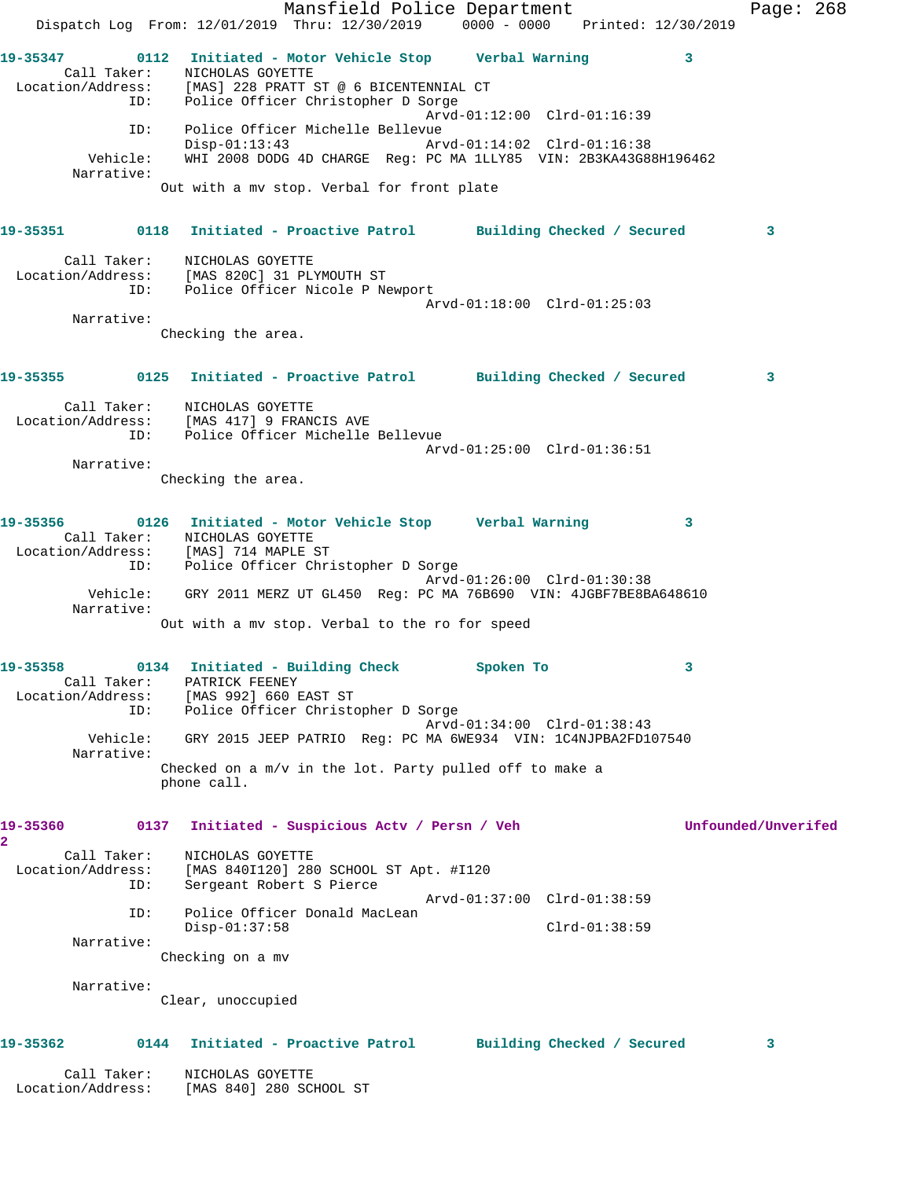Mansfield Police Department Fage: 268 Dispatch Log From: 12/01/2019 Thru: 12/30/2019 0000 - 0000 Printed: 12/30/2019 **19-35347 0112 Initiated - Motor Vehicle Stop Verbal Warning 3**  Call Taker: NICHOLAS GOYETTE Location/Address: [MAS] 228 PRATT ST @ 6 BICENTENNIAL CT ID: Police Officer Christopher D Sorge Arvd-01:12:00 Clrd-01:16:39 ID: Police Officer Michelle Bellevue Disp-01:13:43 Arvd-01:14:02 Clrd-01:16:38 Vehicle: WHI 2008 DODG 4D CHARGE Reg: PC MA 1LLY85 VIN: 2B3KA43G88H196462 Narrative: Out with a mv stop. Verbal for front plate **19-35351 0118 Initiated - Proactive Patrol Building Checked / Secured 3** Call Taker: NICHOLAS GOYETTE Location/Address: [MAS 820C] 31 PLYMOUTH ST ID: Police Officer Nicole P Newport Arvd-01:18:00 Clrd-01:25:03 Narrative: Checking the area. **19-35355 0125 Initiated - Proactive Patrol Building Checked / Secured 3** Call Taker: NICHOLAS GOYETTE Location/Address: [MAS 417] 9 FRANCIS AVE ID: Police Officer Michelle Bellevue Arvd-01:25:00 Clrd-01:36:51 Narrative: Checking the area. **19-35356 0126 Initiated - Motor Vehicle Stop Verbal Warning 3**  Call Taker: NICHOLAS GOYETTE Location/Address: [MAS] 714 MAPLE ST ID: Police Officer Christopher D Sorge Arvd-01:26:00 Clrd-01:30:38 Vehicle: GRY 2011 MERZ UT GL450 Reg: PC MA 76B690 VIN: 4JGBF7BE8BA648610 Narrative: Out with a mv stop. Verbal to the ro for speed **19-35358 0134 Initiated - Building Check Spoken To 3**  Call Taker: PATRICK FEENEY Location/Address: [MAS 992] 660 EAST ST ID: Police Officer Christopher D Sorge Arvd-01:34:00 Clrd-01:38:43 Vehicle: GRY 2015 JEEP PATRIO Reg: PC MA 6WE934 VIN: 1C4NJPBA2FD107540 Narrative: Checked on a m/v in the lot. Party pulled off to make a phone call. **19-35360 0137 Initiated - Suspicious Actv / Persn / Veh Unfounded/Unverifed 2**  Call Taker: NICHOLAS GOYETTE Location/Address: [MAS 840I120] 280 SCHOOL ST Apt. #I120 ID: Sergeant Robert S Pierce Arvd-01:37:00 Clrd-01:38:59 ID: Police Officer Donald MacLean Disp-01:37:58 Clrd-01:38:59 Narrative: Checking on a mv Narrative: Clear, unoccupied **19-35362 0144 Initiated - Proactive Patrol Building Checked / Secured 3** Call Taker: NICHOLAS GOYETTE Location/Address: [MAS 840] 280 SCHOOL ST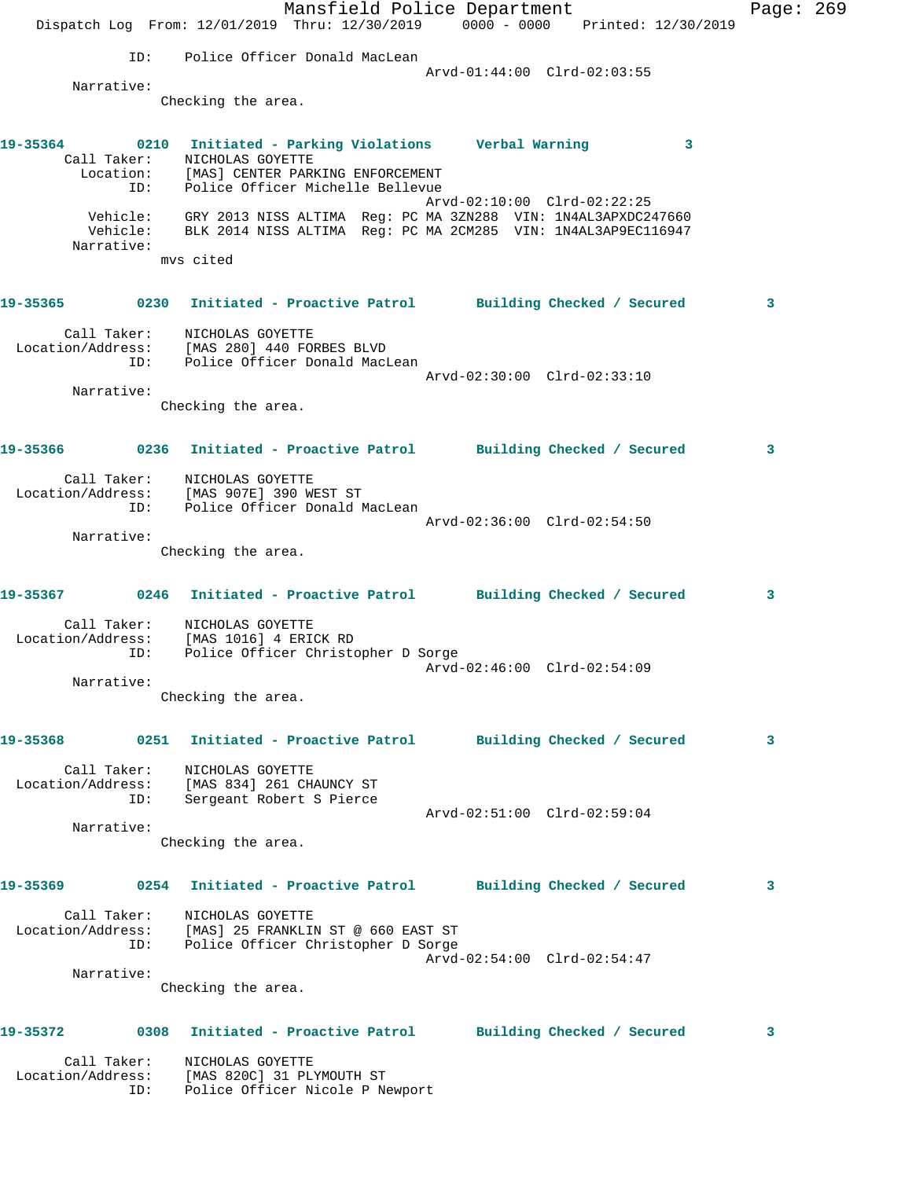|                                                                                              |     | Dispatch Log From: 12/01/2019 Thru: 12/30/2019 0000 - 0000 Printed: 12/30/2019                                                                   |  | Mansfield Police Department |                             |   | Page: 269 |  |
|----------------------------------------------------------------------------------------------|-----|--------------------------------------------------------------------------------------------------------------------------------------------------|--|-----------------------------|-----------------------------|---|-----------|--|
|                                                                                              | ID: | Police Officer Donald MacLean                                                                                                                    |  |                             |                             |   |           |  |
|                                                                                              |     |                                                                                                                                                  |  |                             | Arvd-01:44:00 Clrd-02:03:55 |   |           |  |
| Narrative:                                                                                   |     | Checking the area.                                                                                                                               |  |                             |                             |   |           |  |
| 19-35364 0210 Initiated - Parking Violations - Verbal Warning                                |     | Call Taker: NICHOLAS GOYETTE<br>Location: [MAS] CENTER PARKING ENFORCEMENT<br>ID: Police Officer Michelle Bellevue                               |  |                             |                             | 3 |           |  |
| Narrative:                                                                                   |     | Vehicle: GRY 2013 NISS ALTIMA Reg: PC MA 3ZN288 VIN: 1N4AL3APXDC247660<br>Vehicle: BLK 2014 NISS ALTIMA Reg: PC MA 2CM285 VIN: 1N4AL3AP9EC116947 |  |                             | Arvd-02:10:00 Clrd-02:22:25 |   |           |  |
|                                                                                              |     | mvs cited                                                                                                                                        |  |                             |                             |   |           |  |
| 19-35365 0230 Initiated - Proactive Patrol Building Checked / Secured                        |     |                                                                                                                                                  |  |                             |                             |   | 3         |  |
| Call Taker:<br>Location/Address: [MAS 280] 440 FORBES BLVD                                   |     | NICHOLAS GOYETTE<br>ID: Police Officer Donald MacLean                                                                                            |  |                             |                             |   |           |  |
| Narrative:                                                                                   |     |                                                                                                                                                  |  |                             | Arvd-02:30:00 Clrd-02:33:10 |   |           |  |
|                                                                                              |     | Checking the area.                                                                                                                               |  |                             |                             |   |           |  |
| 19-35366 0236 Initiated - Proactive Patrol Building Checked / Secured                        |     |                                                                                                                                                  |  |                             |                             |   | 3         |  |
| Call Taker:<br>Location/Address: [MAS 907E] 390 WEST ST<br>ID: Police Officer Donald MacLean |     | NICHOLAS GOYETTE                                                                                                                                 |  |                             |                             |   |           |  |
|                                                                                              |     |                                                                                                                                                  |  |                             | Arvd-02:36:00 Clrd-02:54:50 |   |           |  |
| Narrative:                                                                                   |     |                                                                                                                                                  |  |                             |                             |   |           |  |
|                                                                                              |     | Checking the area.                                                                                                                               |  |                             |                             |   |           |  |
| 19-35367 0246 Initiated - Proactive Patrol Building Checked / Secured                        |     |                                                                                                                                                  |  |                             |                             |   | 3         |  |
| Call Taker:<br>Location/Address: [MAS 1016] 4 ERICK RD                                       | ID: | NICHOLAS GOYETTE<br>Police Officer Christopher D Sorge                                                                                           |  |                             |                             |   |           |  |
|                                                                                              |     |                                                                                                                                                  |  |                             |                             |   |           |  |
| Narrative:                                                                                   |     | Checking the area.                                                                                                                               |  |                             |                             |   |           |  |
| 19-35368                                                                                     |     | 0251 Initiated - Proactive Patrol Building Checked / Secured                                                                                     |  |                             |                             |   | 3         |  |
| Call Taker:<br>Location/Address: [MAS 834] 261 CHAUNCY ST                                    |     | NICHOLAS GOYETTE<br>ID: Sergeant Robert S Pierce                                                                                                 |  |                             |                             |   |           |  |
| Narrative:                                                                                   |     |                                                                                                                                                  |  |                             | Arvd-02:51:00 Clrd-02:59:04 |   |           |  |
|                                                                                              |     | Checking the area.                                                                                                                               |  |                             |                             |   |           |  |
| 19-35369                                                                                     |     | 0254 Initiated - Proactive Patrol Building Checked / Secured                                                                                     |  |                             |                             |   | 3         |  |
| Call Taker:<br>Location/Address: [MAS] 25 FRANKLIN ST @ 660 EAST ST                          |     | NICHOLAS GOYETTE<br>ID: Police Officer Christopher D Sorge                                                                                       |  |                             | Arvd-02:54:00 Clrd-02:54:47 |   |           |  |
| Narrative:                                                                                   |     |                                                                                                                                                  |  |                             |                             |   |           |  |
|                                                                                              |     | Checking the area.                                                                                                                               |  |                             |                             |   |           |  |
| 19-35372                                                                                     |     | 0308 Initiated - Proactive Patrol Building Checked / Secured                                                                                     |  |                             |                             |   | 3         |  |
| Call Taker:<br>Location/Address: [MAS 820C] 31 PLYMOUTH ST                                   | ID: | NICHOLAS GOYETTE<br>Police Officer Nicole P Newport                                                                                              |  |                             |                             |   |           |  |
|                                                                                              |     |                                                                                                                                                  |  |                             |                             |   |           |  |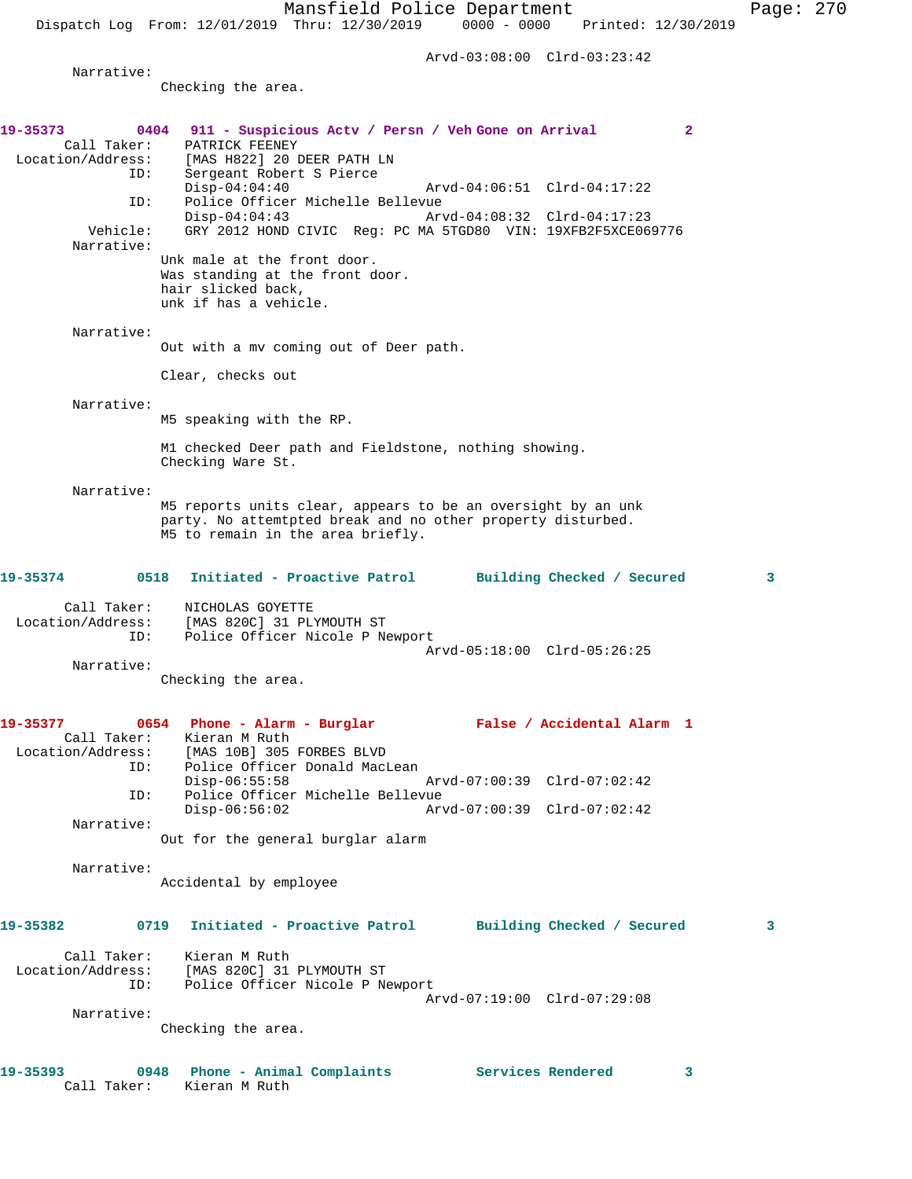Arvd-03:08:00 Clrd-03:23:42

Narrative:

Checking the area.

| 19-35373                         | 0404 911 - Suspicious Actv / Persn / Veh Gone on Arrival<br>$\mathbf{2}$           |              |
|----------------------------------|------------------------------------------------------------------------------------|--------------|
| Call Taker:<br>Location/Address: | PATRICK FEENEY<br>[MAS H822] 20 DEER PATH LN                                       |              |
| ID:                              | Sergeant Robert S Pierce                                                           |              |
|                                  | $Disp-04:04:40$<br>Arvd-04:06:51 Clrd-04:17:22                                     |              |
| ID:                              | Police Officer Michelle Bellevue<br>$Disp-04:04:43$<br>Arvd-04:08:32 Clrd-04:17:23 |              |
| Vehicle:                         | GRY 2012 HOND CIVIC Reg: PC MA 5TGD80 VIN: 19XFB2F5XCE069776                       |              |
| Narrative:                       | Unk male at the front door.                                                        |              |
|                                  | Was standing at the front door.                                                    |              |
|                                  | hair slicked back,                                                                 |              |
|                                  | unk if has a vehicle.                                                              |              |
| Narrative:                       |                                                                                    |              |
|                                  | Out with a mv coming out of Deer path.                                             |              |
|                                  | Clear, checks out                                                                  |              |
| Narrative:                       |                                                                                    |              |
|                                  | M5 speaking with the RP.                                                           |              |
|                                  | M1 checked Deer path and Fieldstone, nothing showing.                              |              |
|                                  | Checking Ware St.                                                                  |              |
| Narrative:                       |                                                                                    |              |
|                                  | M5 reports units clear, appears to be an oversight by an unk                       |              |
|                                  | party. No attemtpted break and no other property disturbed.                        |              |
|                                  | M5 to remain in the area briefly.                                                  |              |
| 19-35374                         | 0518<br>Initiated - Proactive Patrol Building Checked / Secured                    | $\mathbf{3}$ |
| Call Taker:                      | NICHOLAS GOYETTE                                                                   |              |
| Location/Address:                | [MAS 820C] 31 PLYMOUTH ST                                                          |              |
| ID:                              | Police Officer Nicole P Newport<br>Arvd-05:18:00 Clrd-05:26:25                     |              |
| Narrative:                       |                                                                                    |              |
|                                  | Checking the area.                                                                 |              |
| 19-35377                         | 0654 Phone - Alarm - Burglar<br>False / Accidental Alarm 1                         |              |
|                                  | Call Taker: Kieran M Ruth                                                          |              |
| Location/Address:                | [MAS 10B] 305 FORBES BLVD                                                          |              |
| ID:                              | Police Officer Donald MacLean<br>$Disp-06:55:58$<br>Arvd-07:00:39 Clrd-07:02:42    |              |
| ID:                              | Police Officer Michelle Bellevue                                                   |              |
| Narrative:                       | $Disp-06:56:02$<br>Arvd-07:00:39 Clrd-07:02:42                                     |              |
|                                  | Out for the general burglar alarm                                                  |              |
| Narrative:                       |                                                                                    |              |
|                                  | Accidental by employee                                                             |              |
| 19-35382                         | Initiated - Proactive Patrol<br>0719<br>Building Checked / Secured                 | 3            |
|                                  |                                                                                    |              |
| Call Taker:<br>Location/Address: | Kieran M Ruth<br>[MAS 820C] 31 PLYMOUTH ST                                         |              |
| ID:                              | Police Officer Nicole P Newport                                                    |              |
|                                  | Arvd-07:19:00 Clrd-07:29:08                                                        |              |
| Narrative:                       | Checking the area.                                                                 |              |
|                                  |                                                                                    |              |
| 19-35393                         | Services Rendered<br>0948<br>Phone - Animal Complaints<br>3                        |              |
| Call Taker:                      | Kieran M Ruth                                                                      |              |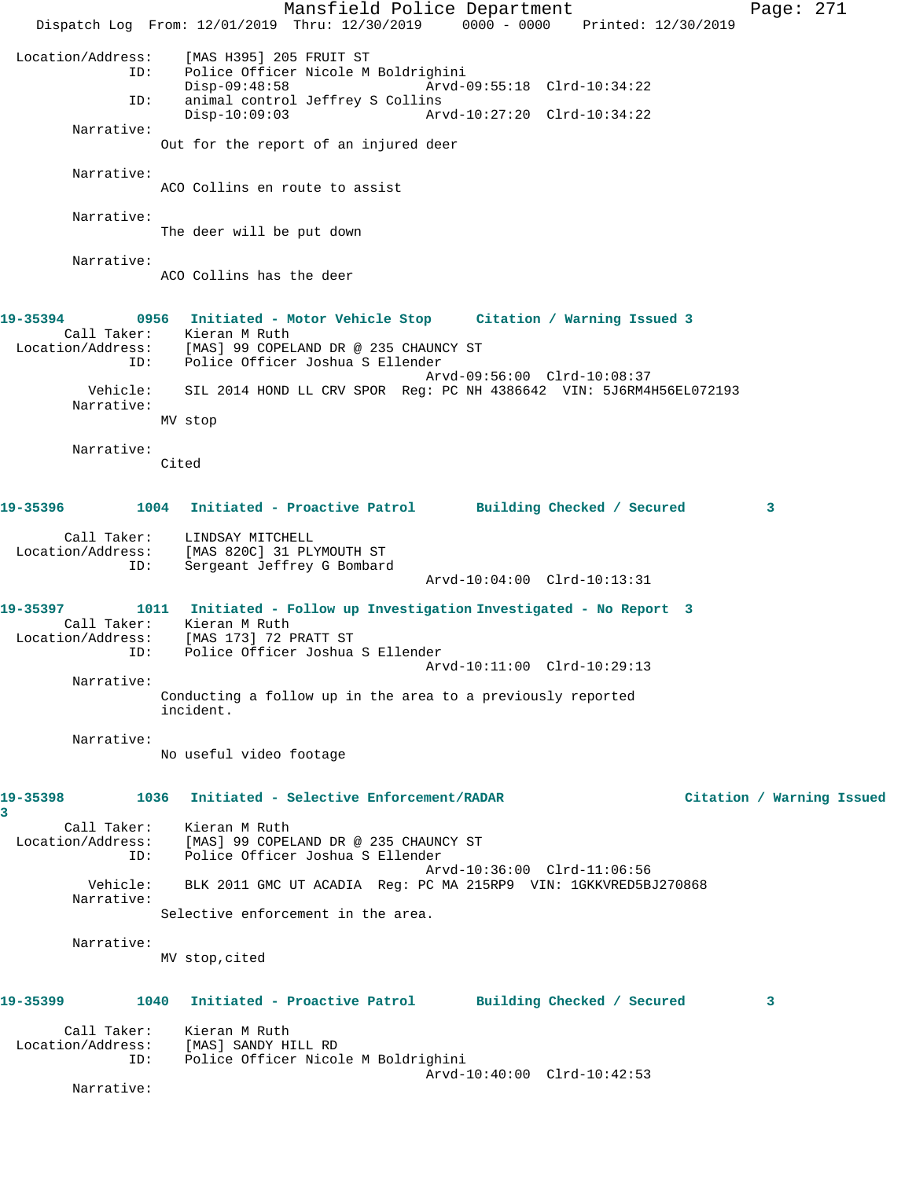Mansfield Police Department Fage: 271 Dispatch Log From: 12/01/2019 Thru: 12/30/2019 0000 - 0000 Printed: 12/30/2019 Location/Address: [MAS H395] 205 FRUIT ST Police Officer Nicole M Boldrighini<br>Disp-09:48:58 Arvd-0 Disp-09:48:58 Arvd-09:55:18 Clrd-10:34:22 ID: animal control Jeffrey S Collins Disp-10:09:03 Arvd-10:27:20 Clrd-10:34:22 Narrative: Out for the report of an injured deer Narrative: ACO Collins en route to assist Narrative: The deer will be put down Narrative: ACO Collins has the deer **19-35394 0956 Initiated - Motor Vehicle Stop Citation / Warning Issued 3**  Call Taker: Kieran M Ruth Location/Address: [MAS] 99 COPELAND DR @ 235 CHAUNCY ST ID: Police Officer Joshua S Ellender Arvd-09:56:00 Clrd-10:08:37 Vehicle: SIL 2014 HOND LL CRV SPOR Reg: PC NH 4386642 VIN: 5J6RM4H56EL072193 Narrative: MV stop Narrative: Cited **19-35396 1004 Initiated - Proactive Patrol Building Checked / Secured 3** Call Taker: LINDSAY MITCHELL Location/Address: [MAS 820C] 31 PLYMOUTH ST Sergeant Jeffrey G Bombard Arvd-10:04:00 Clrd-10:13:31 **19-35397 1011 Initiated - Follow up Investigation Investigated - No Report 3**  Call Taker: Kieran M Ruth Location/Address: [MAS 173] 72 PRATT ST ID: Police Officer Joshua S Ellender Arvd-10:11:00 Clrd-10:29:13 Narrative: Conducting a follow up in the area to a previously reported incident. Narrative: No useful video footage **19-35398 1036 Initiated - Selective Enforcement/RADAR Citation / Warning Issued 3**  Call Taker: Kieran M Ruth Location/Address: [MAS] 99 COPELAND DR @ 235 CHAUNCY ST ID: Police Officer Joshua S Ellender Arvd-10:36:00 Clrd-11:06:56 Vehicle: BLK 2011 GMC UT ACADIA Reg: PC MA 215RP9 VIN: 1GKKVRED5BJ270868 Narrative: Selective enforcement in the area. Narrative: MV stop,cited **19-35399 1040 Initiated - Proactive Patrol Building Checked / Secured 3** Call Taker: Kieran M Ruth Location/Address: [MAS] SANDY HILL RD ID: Police Officer Nicole M Boldrighini Arvd-10:40:00 Clrd-10:42:53 Narrative: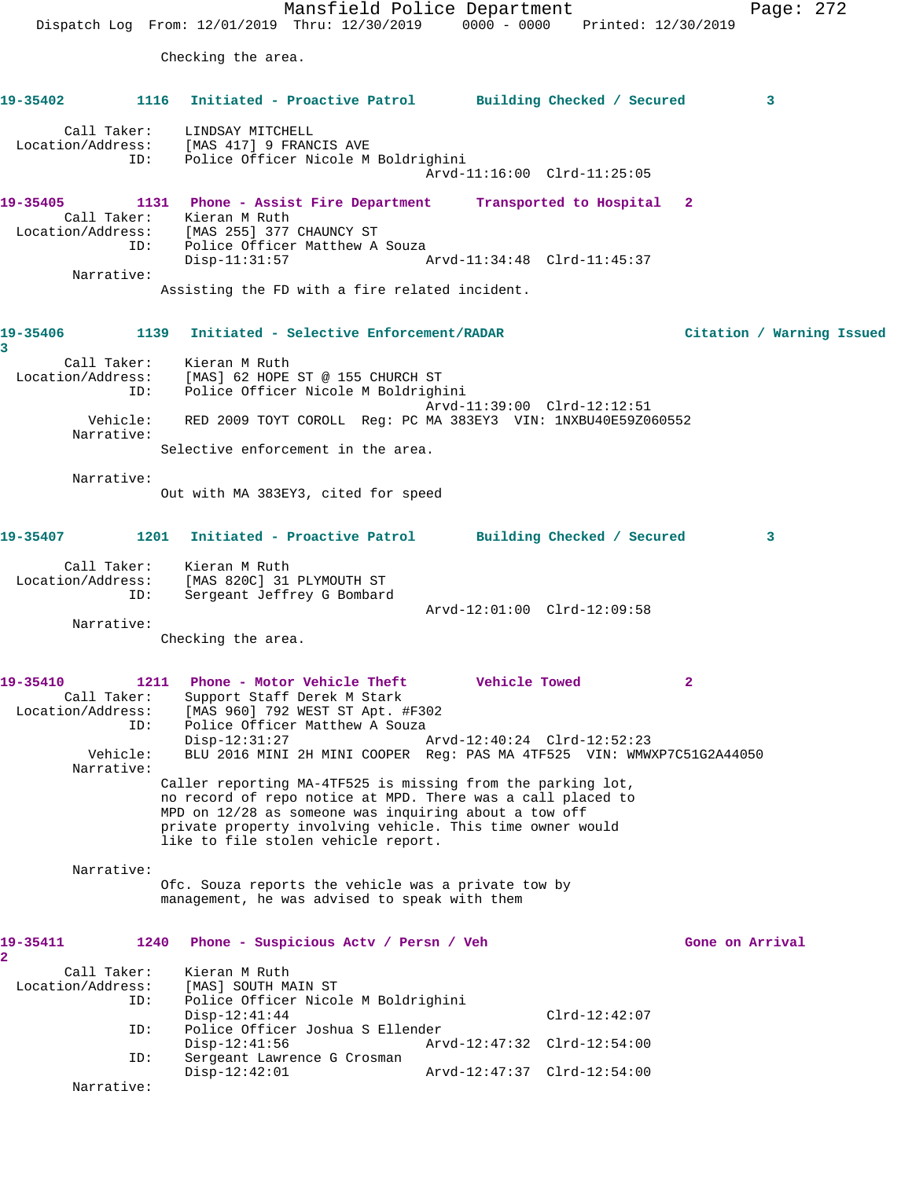Mansfield Police Department Page: 272 Dispatch Log From: 12/01/2019 Thru: 12/30/2019 0000 - 0000 Printed: 12/30/2019 Checking the area. **19-35402 1116 Initiated - Proactive Patrol Building Checked / Secured 3** Call Taker: LINDSAY MITCHELL Location/Address: [MAS 417] 9 FRANCIS AVE ID: Police Officer Nicole M Boldrighini Arvd-11:16:00 Clrd-11:25:05 **19-35405 1131 Phone - Assist Fire Department Transported to Hospital 2**  Call Taker: Kieran M Ruth Location/Address: [MAS 255] 377 CHAUNCY ST ID: Police Officer Matthew A Souza<br>Disp-11:31:57 A Disp-11:31:57 Arvd-11:34:48 Clrd-11:45:37 Narrative: Assisting the FD with a fire related incident. **19-35406 1139 Initiated - Selective Enforcement/RADAR Citation / Warning Issued 3**  Call Taker: Kieran M Ruth Location/Address: [MAS] 62 HOPE ST @ 155 CHURCH ST ID: Police Officer Nicole M Boldrighini Arvd-11:39:00 Clrd-12:12:51 Vehicle: RED 2009 TOYT COROLL Reg: PC MA 383EY3 VIN: 1NXBU40E59Z060552 Narrative: Selective enforcement in the area. Narrative: Out with MA 383EY3, cited for speed **19-35407 1201 Initiated - Proactive Patrol Building Checked / Secured 3** Call Taker: Kieran M Ruth Location/Address: [MAS 820C] 31 PLYMOUTH ST ID: Sergeant Jeffrey G Bombard Arvd-12:01:00 Clrd-12:09:58 Narrative: Checking the area. **19-35410 1211 Phone - Motor Vehicle Theft Vehicle Towed 2**  Call Taker: Support Staff Derek M Stark Location/Address: [MAS 960] 792 WEST ST Apt. #F302 ID: Police Officer Matthew A Souza Disp-12:31:27 Arvd-12:40:24 Clrd-12:52:23 Vehicle: BLU 2016 MINI 2H MINI COOPER Reg: PAS MA 4TF525 VIN: WMWXP7C51G2A44050 Narrative: Caller reporting MA-4TF525 is missing from the parking lot, no record of repo notice at MPD. There was a call placed to MPD on 12/28 as someone was inquiring about a tow off private property involving vehicle. This time owner would like to file stolen vehicle report. Narrative: Ofc. Souza reports the vehicle was a private tow by management, he was advised to speak with them 19-35411 1240 Phone - Suspicious Actv / Persn / Veh Gone on Arrival **2**  Call Taker: Kieran M Ruth Location/Address: [MAS] SOUTH MAIN ST ID: Police Officer Nicole M Boldrighini Disp-12:41:44 Clrd-12:42:07<br>ID: Police Officer Joshua S Ellender Police Officer Joshua S Ellender Disp-12:41:56 Arvd-12:47:32 Clrd-12:54:00 ID: Sergeant Lawrence G Crosman Disp-12:42:01 Arvd-12:47:37 Clrd-12:54:00 Narrative: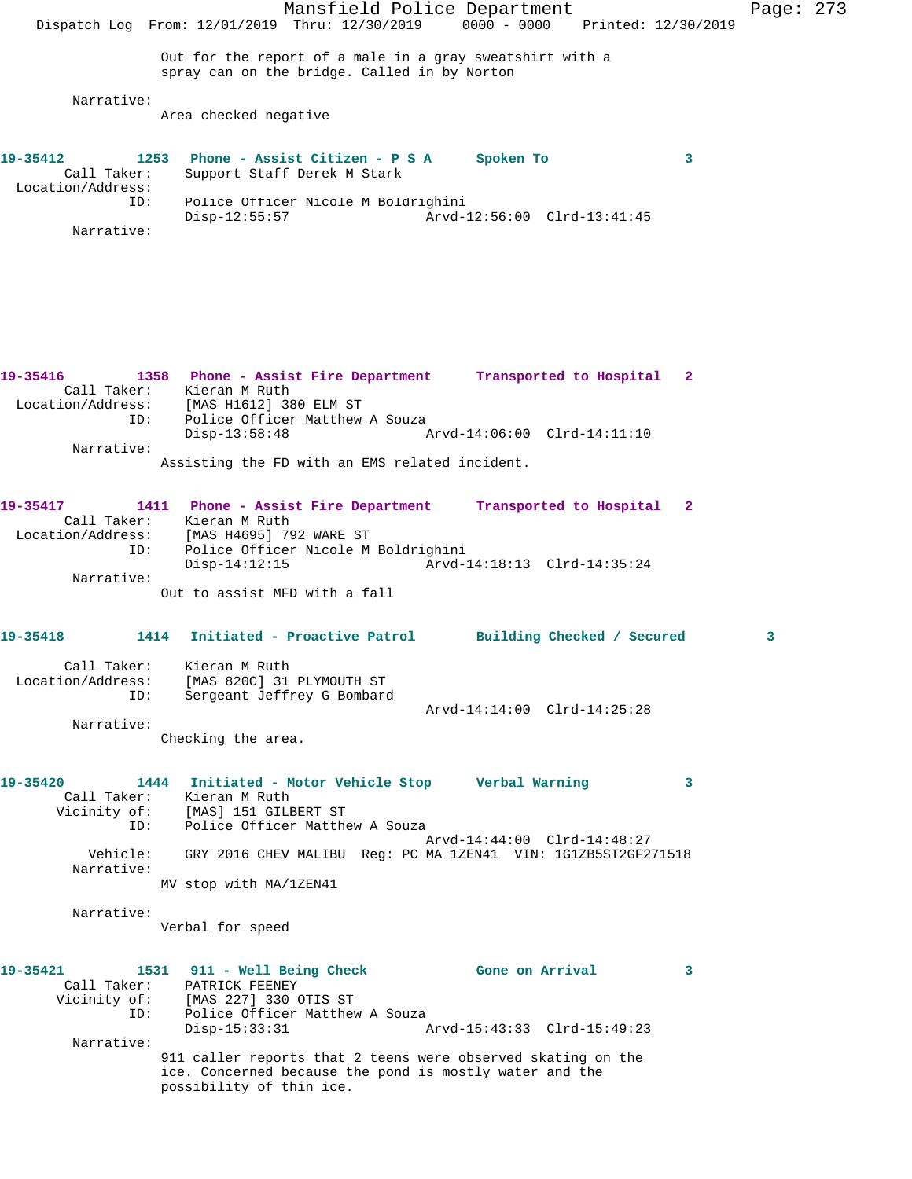Mansfield Police Department Page: 273 Dispatch Log From: 12/01/2019 Thru: 12/30/2019 0000 - 0000 Printed: 12/30/2019 Out for the report of a male in a gray sweatshirt with a spray can on the bridge. Called in by Norton Narrative: Area checked negative **19-35412 1253 Phone - Assist Citizen - P S A Spoken To 3**  Call Taker: Support Staff Derek M Stark Location/Address: ID: Police Officer Nicole M Boldrighini<br>Disp-12:55:57 Arvd-1 Disp-12:55:57 Arvd-12:56:00 Clrd-13:41:45 Narrative: **19-35416 1358 Phone - Assist Fire Department Transported to Hospital 2**  Call Taker: Kieran M Ruth Location/Address: [MAS H1612] 380 ELM ST ID: Police Officer Matthew A Souza<br>Disp-13:58:48 Disp-13:58:48 Arvd-14:06:00 Clrd-14:11:10 Narrative: Assisting the FD with an EMS related incident. **19-35417 1411 Phone - Assist Fire Department Transported to Hospital 2**  Call Taker: Kieran M Ruth Location/Address: [MAS H4695] 792 WARE ST ID: Police Officer Nicole M Boldrighini Disp-14:12:15 Arvd-14:18:13 Clrd-14:35:24 Narrative: Out to assist MFD with a fall **19-35418 1414 Initiated - Proactive Patrol Building Checked / Secured 3** Call Taker: Kieran M Ruth Location/Address: [MAS 820C] 31 PLYMOUTH ST ID: Sergeant Jeffrey G Bombard Arvd-14:14:00 Clrd-14:25:28 Narrative: Checking the area. **19-35420 1444 Initiated - Motor Vehicle Stop Verbal Warning 3**  Call Taker: Kieran M Ruth Vicinity of: [MAS] 151 GILBERT ST ID: Police Officer Matthew A Souza Arvd-14:44:00 Clrd-14:48:27 Vehicle: GRY 2016 CHEV MALIBU Reg: PC MA 1ZEN41 VIN: 1G1ZB5ST2GF271518 Narrative: MV stop with MA/1ZEN41 Narrative: Verbal for speed **19-35421 1531 911 - Well Being Check Gone on Arrival 3**  Call Taker: PATRICK FEENEY Vicinity of: [MAS 227] 330 OTIS ST<br>ID: Police Officer Matthew ID: Police Officer Matthew A Souza Disp-15:33:31 Arvd-15:43:33 Clrd-15:49:23 Narrative: 911 caller reports that 2 teens were observed skating on the ice. Concerned because the pond is mostly water and the possibility of thin ice.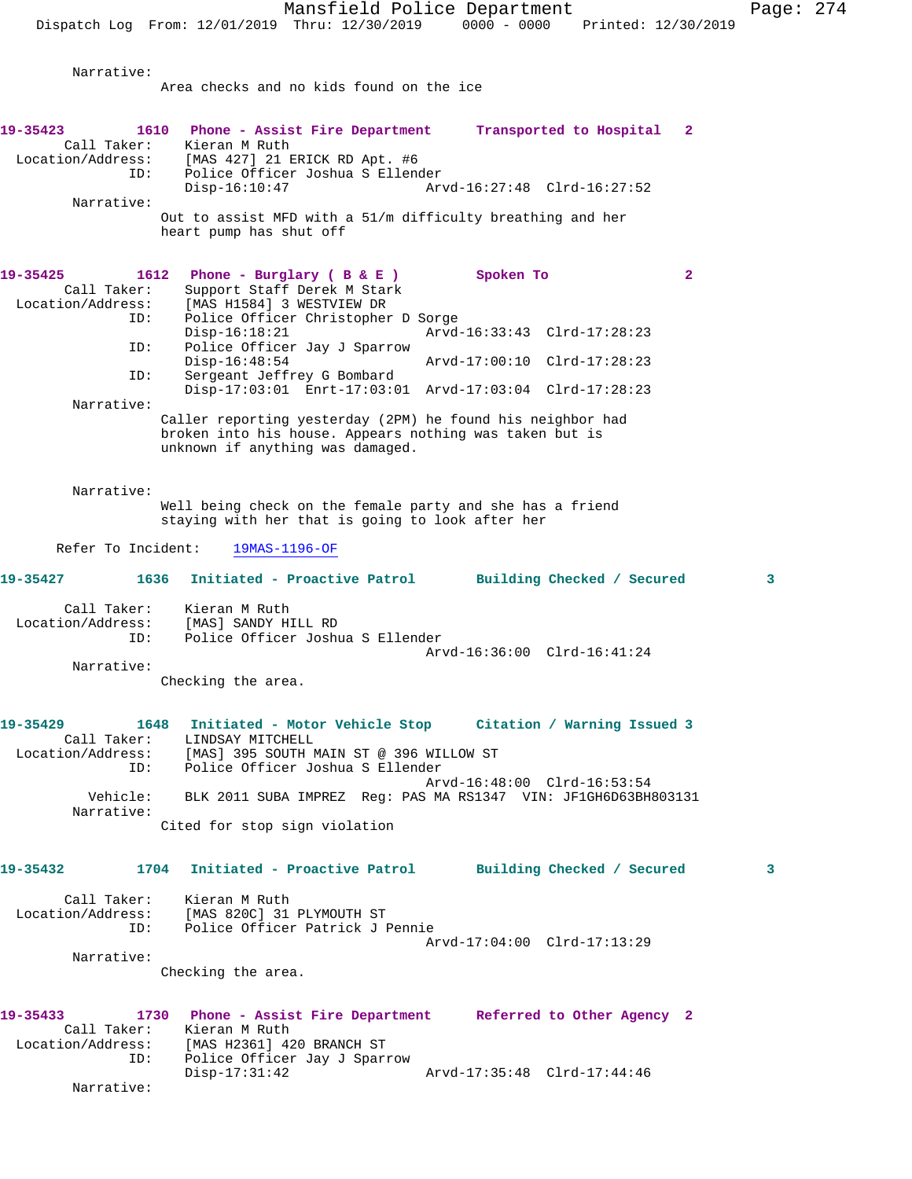Area checks and no kids found on the ice

Narrative:

**19-35423 1610 Phone - Assist Fire Department Transported to Hospital 2**  Call Taker: Kieran M Ruth Location/Address: [MAS 427] 21 ERICK RD Apt. #6 ID: Police Officer Joshua S Ellender<br>Disp-16:10:47 Ar Disp-16:10:47 Arvd-16:27:48 Clrd-16:27:52 Narrative: Out to assist MFD with a 51/m difficulty breathing and her heart pump has shut off 19-35425 1612 Phone - Burglary ( B & E ) Spoken To 2 Call Taker: Support Staff Derek M Stark Location/Address: [MAS H1584] 3 WESTVIEW DR ID: Police Officer Christopher D Sorge Disp-16:18:21 Arvd-16:33:43 Clrd-17:28:23<br>ID: Police Officer Jav J Sparrow Police Officer Jay J Sparrow<br>Disp-16:48:54 Disp-16:48:54 Arvd-17:00:10 Clrd-17:28:23<br>ID: Sergeant Jeffrey G Bombard Sergeant Jeffrey G Bombard Disp-17:03:01 Enrt-17:03:01 Arvd-17:03:04 Clrd-17:28:23 Narrative: Caller reporting yesterday (2PM) he found his neighbor had broken into his house. Appears nothing was taken but is unknown if anything was damaged. Narrative: Well being check on the female party and she has a friend staying with her that is going to look after her Refer To Incident: 19MAS-1196-OF **19-35427 1636 Initiated - Proactive Patrol Building Checked / Secured 3** Call Taker: Kieran M Ruth Location/Address: [MAS] SANDY HILL RD<br>ID: Police Officer Joshu Police Officer Joshua S Ellender Arvd-16:36:00 Clrd-16:41:24 Narrative: Checking the area. **19-35429 1648 Initiated - Motor Vehicle Stop Citation / Warning Issued 3**  Call Taker: LINDSAY MITCHELL Location/Address: [MAS] 395 SOUTH MAIN ST @ 396 WILLOW ST ID: Police Officer Joshua S Ellender Arvd-16:48:00 Clrd-16:53:54 Vehicle: BLK 2011 SUBA IMPREZ Reg: PAS MA RS1347 VIN: JF1GH6D63BH803131 Narrative: Cited for stop sign violation **19-35432 1704 Initiated - Proactive Patrol Building Checked / Secured 3** Call Taker: Kieran M Ruth Location/Address: [MAS 820C] 31 PLYMOUTH ST<br>ID: Police Officer Patrick J I Police Officer Patrick J Pennie Arvd-17:04:00 Clrd-17:13:29 Narrative: Checking the area. **19-35433 1730 Phone - Assist Fire Department Referred to Other Agency 2**  Call Taker: Kieran M Ruth Location/Address: [MAS H2361] 420 BRANCH ST ID: Police Officer Jay J Sparrow Disp-17:31:42 Arvd-17:35:48 Clrd-17:44:46 Narrative: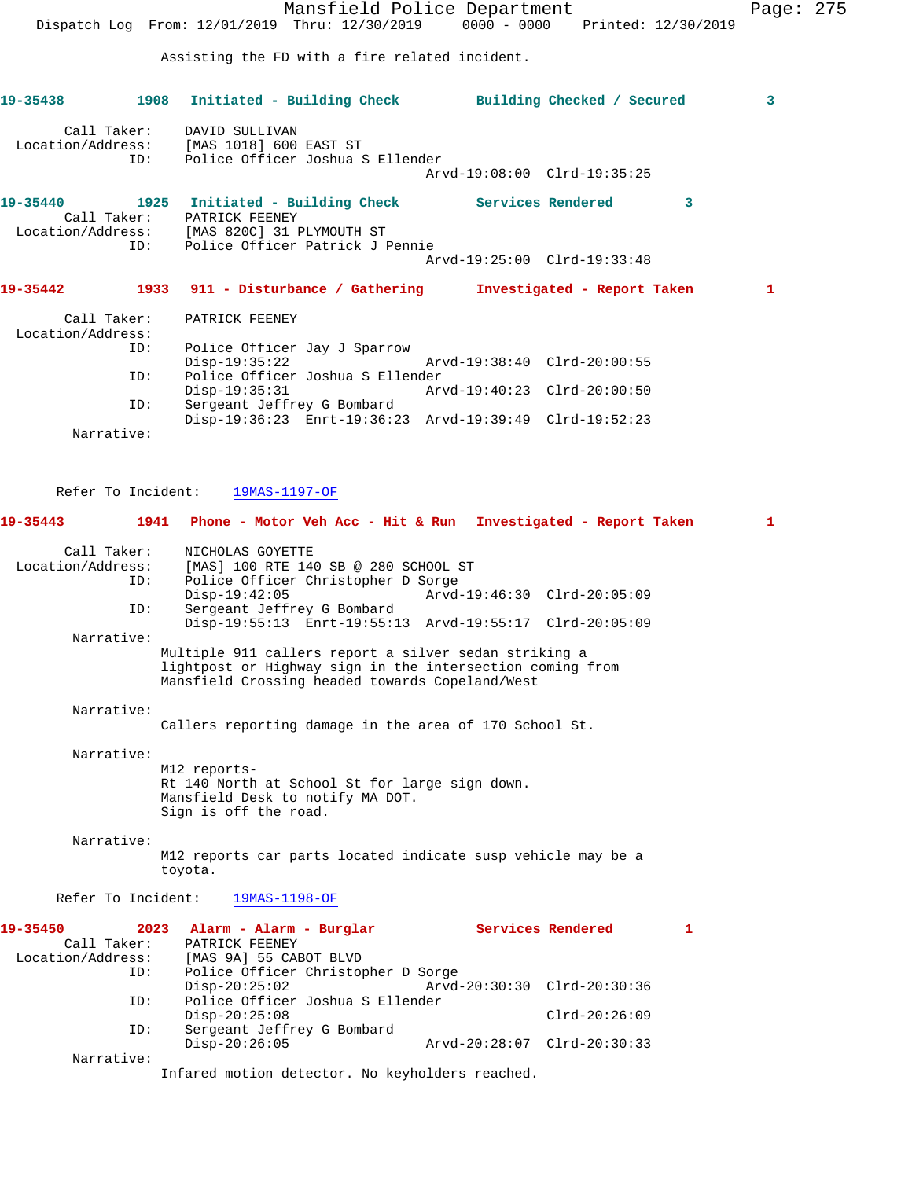|                                                              | Mansfield Police Department<br>Dispatch Log From: 12/01/2019 Thru: 12/30/2019 0000 - 0000<br>Printed: 12/30/2019                                                                                                                                                                                                                                                | Page: 275 |  |
|--------------------------------------------------------------|-----------------------------------------------------------------------------------------------------------------------------------------------------------------------------------------------------------------------------------------------------------------------------------------------------------------------------------------------------------------|-----------|--|
|                                                              | Assisting the FD with a fire related incident.                                                                                                                                                                                                                                                                                                                  |           |  |
| 19-35438                                                     | 1908<br>Initiated - Building Check Building Checked / Secured                                                                                                                                                                                                                                                                                                   | 3         |  |
| Call Taker:<br>Location/Address:<br>ID:                      | DAVID SULLIVAN<br>[MAS 1018] 600 EAST ST<br>Police Officer Joshua S Ellender<br>Arvd-19:08:00 Clrd-19:35:25                                                                                                                                                                                                                                                     |           |  |
| 19-35440<br>Call Taker:<br>ID:                               | 1925 Initiated - Building Check Services Rendered<br>3<br>PATRICK FEENEY<br>Location/Address: [MAS 820C] 31 PLYMOUTH ST<br>Police Officer Patrick J Pennie<br>Arvd-19:25:00 Clrd-19:33:48                                                                                                                                                                       |           |  |
| 19-35442                                                     | 1933 911 - Disturbance / Gathering<br>Investigated - Report Taken                                                                                                                                                                                                                                                                                               | 1         |  |
| Call Taker:<br>Location/Address:                             | PATRICK FEENEY                                                                                                                                                                                                                                                                                                                                                  |           |  |
| ID:<br>ID:                                                   | Police Officer Jay J Sparrow<br>$Disp-19:35:22$<br>Arvd-19:38:40 Clrd-20:00:55<br>Police Officer Joshua S Ellender<br>Disp-19:35:31<br>Arvd-19:40:23 Clrd-20:00:50                                                                                                                                                                                              |           |  |
| ID:                                                          | Sergeant Jeffrey G Bombard<br>Disp-19:36:23 Enrt-19:36:23 Arvd-19:39:49 Clrd-19:52:23                                                                                                                                                                                                                                                                           |           |  |
| Narrative:<br>Refer To Incident:                             | 19MAS-1197-OF                                                                                                                                                                                                                                                                                                                                                   |           |  |
| 19-35443                                                     | 1941<br>Phone - Motor Veh Acc - Hit & Run Investigated - Report Taken                                                                                                                                                                                                                                                                                           | 1         |  |
| Call Taker:<br>Location/Address:<br>ID:<br>ID:<br>Narrative: | NICHOLAS GOYETTE<br>[MAS] 100 RTE 140 SB @ 280 SCHOOL ST<br>Police Officer Christopher D Sorge<br>$Disp-19:42:05$<br>Arvd-19:46:30 Clrd-20:05:09<br>Sergeant Jeffrey G Bombard<br>Disp-19:55:13 Enrt-19:55:13 Arvd-19:55:17 Clrd-20:05:09<br>Multiple 911 callers report a silver sedan striking a<br>lightpost or Highway sign in the intersection coming from |           |  |
| Narrative:                                                   | Mansfield Crossing headed towards Copeland/West<br>Callers reporting damage in the area of 170 School St.                                                                                                                                                                                                                                                       |           |  |
| Narrative:                                                   | M12 reports-<br>Rt 140 North at School St for large sign down.<br>Mansfield Desk to notify MA DOT.<br>Sign is off the road.                                                                                                                                                                                                                                     |           |  |
| Narrative:                                                   | M12 reports car parts located indicate susp vehicle may be a<br>toyota.                                                                                                                                                                                                                                                                                         |           |  |
| Refer To Incident:                                           | 19MAS-1198-OF                                                                                                                                                                                                                                                                                                                                                   |           |  |
| 19-35450<br>Call Taker:                                      | 2023<br>Alarm - Alarm - Burglar<br>Services Rendered<br>1<br>PATRICK FEENEY                                                                                                                                                                                                                                                                                     |           |  |

| Call Taker:       | PATRICK FEENEY                                  |                             |                 |  |  |  |
|-------------------|-------------------------------------------------|-----------------------------|-----------------|--|--|--|
| Location/Address: | [MAS 9A] 55 CABOT BLVD                          |                             |                 |  |  |  |
| ID:               | Police Officer Christopher D Sorge              |                             |                 |  |  |  |
|                   | $Disp-20:25:02$                                 | Arvd-20:30:30 Clrd-20:30:36 |                 |  |  |  |
| ID:               | Police Officer Joshua S Ellender                |                             |                 |  |  |  |
|                   | $Disp-20:25:08$                                 |                             | $Clrd-20:26:09$ |  |  |  |
| ID:               | Sergeant Jeffrey G Bombard                      |                             |                 |  |  |  |
|                   | $Disp-20:26:05$                                 | Arvd-20:28:07 Clrd-20:30:33 |                 |  |  |  |
| Narrative:        |                                                 |                             |                 |  |  |  |
|                   | Infared motion detector. No keyholders reached. |                             |                 |  |  |  |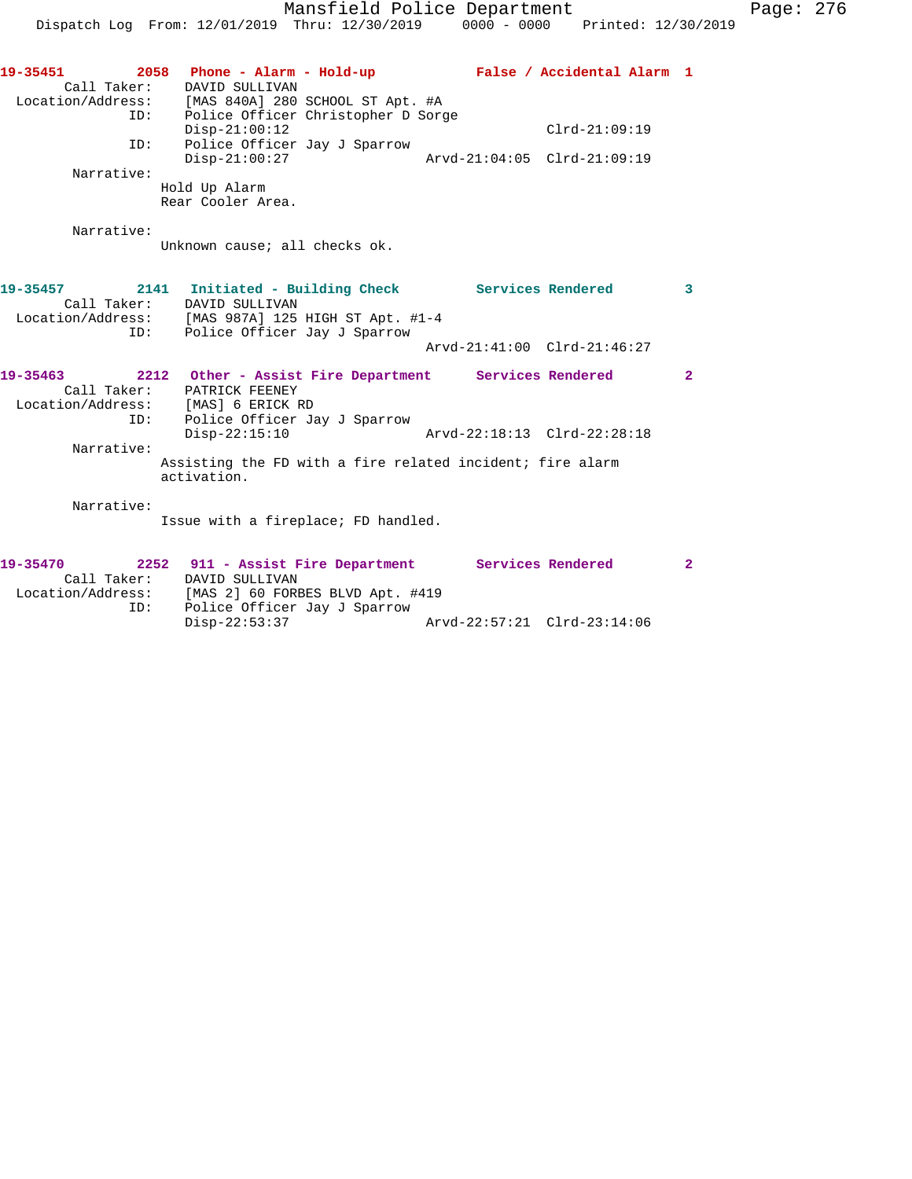| 19-35451<br>2058  | Phone - Alarm - Hold-up<br>False / Accidental Alarm 1                |                         |
|-------------------|----------------------------------------------------------------------|-------------------------|
| Call Taker:       | DAVID SULLIVAN                                                       |                         |
|                   | Location/Address: [MAS 840A] 280 SCHOOL ST Apt. #A                   |                         |
| ID:               | Police Officer Christopher D Sorge                                   |                         |
|                   | $Disp-21:00:12$<br>$Clrd-21:09:19$                                   |                         |
| ID:               | Police Officer Jay J Sparrow                                         |                         |
| Narrative:        | $Disp-21:00:27$<br>Arvd-21:04:05 Clrd-21:09:19                       |                         |
|                   |                                                                      |                         |
|                   | Hold Up Alarm<br>Rear Cooler Area.                                   |                         |
|                   |                                                                      |                         |
| Narrative:        |                                                                      |                         |
|                   | Unknown cause; all checks ok.                                        |                         |
|                   |                                                                      |                         |
|                   |                                                                      |                         |
|                   | 19-35457 2141 Initiated - Building Check Services Rendered           | $\overline{\mathbf{3}}$ |
| Call Taker:       | DAVID SULLIVAN<br>Location/Address: [MAS 987A] 125 HIGH ST Apt. #1-4 |                         |
| ID:               | Police Officer Jay J Sparrow                                         |                         |
|                   | Arvd-21:41:00 Clrd-21:46:27                                          |                         |
|                   |                                                                      |                         |
| 19-35463          | 2212 Other - Assist Fire Department Services Rendered                | $\overline{2}$          |
| Call Taker:       | PATRICK FEENEY                                                       |                         |
|                   | Location/Address: [MAS] 6 ERICK RD                                   |                         |
| ID:               | Police Officer Jay J Sparrow                                         |                         |
| Narrative:        | $Disp-22:15:10$<br>Arvd-22:18:13 Clrd-22:28:18                       |                         |
|                   | Assisting the FD with a fire related incident; fire alarm            |                         |
|                   | activation.                                                          |                         |
|                   |                                                                      |                         |
| Narrative:        |                                                                      |                         |
|                   | Issue with a fireplace; FD handled.                                  |                         |
| 19-35470          | 2252 911 - Assist Fire Department Services Rendered                  | $\overline{2}$          |
| Call Taker:       | DAVID SULLIVAN                                                       |                         |
| Location/Address: | [MAS 2] 60 FORBES BLVD Apt. #419                                     |                         |

Disp-22:53:37 Arvd-22:57:21 Clrd-23:14:06

ID: Police Officer Jay J Sparrow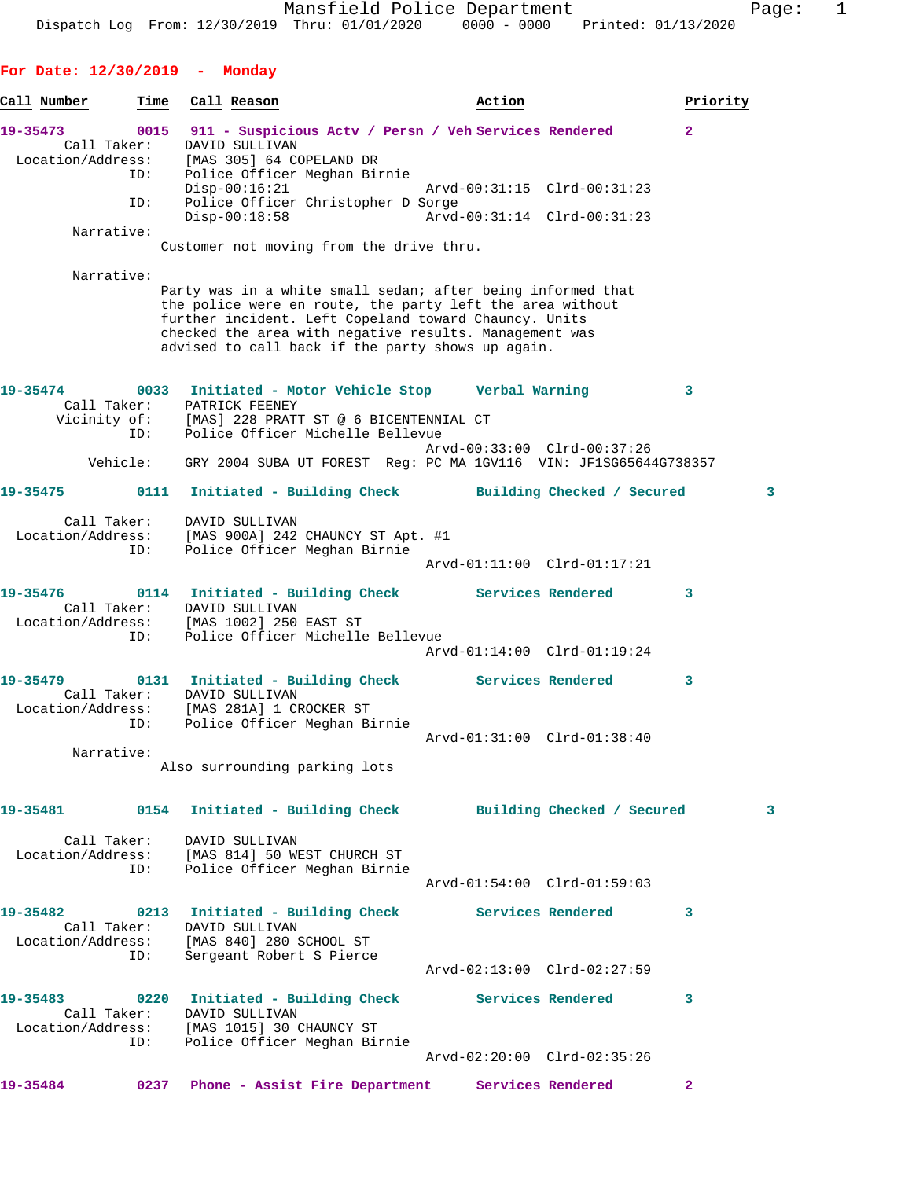**For Date: 12/30/2019 - Monday**

| Call Number                   | Time               | Call Reason                                                                                                                                                                                                                                                                                      | Action                                                |                                                            | Priority     |
|-------------------------------|--------------------|--------------------------------------------------------------------------------------------------------------------------------------------------------------------------------------------------------------------------------------------------------------------------------------------------|-------------------------------------------------------|------------------------------------------------------------|--------------|
| 19-35473                      | 0015               |                                                                                                                                                                                                                                                                                                  | 911 - Suspicious Actv / Persn / Veh Services Rendered |                                                            | $\mathbf{2}$ |
| Call Taker:                   | ID:<br>ID:         | DAVID SULLIVAN<br>Location/Address: [MAS 305] 64 COPELAND DR<br>ID: Police Officer Meghan Bi<br>Police Officer Meghan Birnie<br>$Disp-00:16:21$<br>Police Officer Christopher D Sorge<br>$Disp-00:18:58$                                                                                         |                                                       | Arvd-00:31:15 Clrd-00:31:23<br>Arvd-00:31:14 Clrd-00:31:23 |              |
| Narrative:                    |                    | Customer not moving from the drive thru.                                                                                                                                                                                                                                                         |                                                       |                                                            |              |
| Narrative:                    |                    | Party was in a white small sedan; after being informed that<br>the police were en route, the party left the area without<br>further incident. Left Copeland toward Chauncy. Units<br>checked the area with negative results. Management was<br>advised to call back if the party shows up again. |                                                       |                                                            |              |
| 19-35474                      | Call Taker:<br>ID: | 0033 Initiated - Motor Vehicle Stop       Verbal Warning<br>PATRICK FEENEY<br>Vicinity of: [MAS] 228 PRATT ST @ 6 BICENTENNIAL CT<br>Police Officer Michelle Bellevue                                                                                                                            |                                                       | Arvd-00:33:00 Clrd-00:37:26                                | 3            |
|                               | Vehicle:           | GRY 2004 SUBA UT FOREST Req: PC MA 1GV116 VIN: JF1SG65644G738357                                                                                                                                                                                                                                 |                                                       |                                                            |              |
| 19-35475                      | 0111               |                                                                                                                                                                                                                                                                                                  | Initiated - Building Check Building Checked / Secured |                                                            | 3            |
| Location/Address:             | Call Taker:<br>ID: | DAVID SULLIVAN<br>[MAS 900A] 242 CHAUNCY ST Apt. #1<br>Police Officer Meghan Birnie                                                                                                                                                                                                              |                                                       | Arvd-01:11:00 Clrd-01:17:21                                |              |
| 19-35476<br>Location/Address: | Call Taker:<br>ID: | 0114 Initiated - Building Check Services Rendered<br>DAVID SULLIVAN<br>[MAS 1002] 250 EAST ST<br>Police Officer Michelle Bellevue                                                                                                                                                                |                                                       |                                                            | 3            |
|                               |                    |                                                                                                                                                                                                                                                                                                  |                                                       | Arvd-01:14:00 Clrd-01:19:24                                |              |
| 19-35479                      | ID:                | 0131 Initiated - Building Check Services Rendered<br>Call Taker: DAVID SULLIVAN<br>Location/Address: [MAS 281A] 1 CROCKER ST<br>Police Officer Meghan Birnie                                                                                                                                     |                                                       |                                                            | 3            |
| Narrative:                    |                    | Also surrounding parking lots                                                                                                                                                                                                                                                                    |                                                       | Arvd-01:31:00 Clrd-01:38:40                                |              |
|                               |                    | 19-35481 0154 Initiated - Building Check Building Checked / Secured                                                                                                                                                                                                                              |                                                       |                                                            | $\mathbf{3}$ |
|                               | ID:                | Call Taker: DAVID SULLIVAN<br>Location/Address: [MAS 814] 50 WEST CHURCH ST<br>Police Officer Meghan Birnie                                                                                                                                                                                      |                                                       | Arvd-01:54:00 Clrd-01:59:03                                |              |
|                               |                    |                                                                                                                                                                                                                                                                                                  |                                                       |                                                            | 3            |
|                               | ID:                | 19-35482 0213 Initiated - Building Check Services Rendered<br>Call Taker: DAVID SULLIVAN<br>Location/Address: [MAS 840] 280 SCHOOL ST<br>Sergeant Robert S Pierce                                                                                                                                |                                                       |                                                            |              |
|                               |                    | 19-35483  0220 Initiated - Building Check Services Rendered<br>Call Taker: DAVID SULLIVAN<br>Location/Address: [MAS 1015] 30 CHAUNCY ST                                                                                                                                                          |                                                       | Arvd-02:13:00 Clrd-02:27:59                                | 3            |
|                               |                    | ID: Police Officer Meghan Birnie                                                                                                                                                                                                                                                                 |                                                       | Arvd-02:20:00 Clrd-02:35:26                                |              |
| 19-35484                      |                    | 0237 Phone - Assist Fire Department Services Rendered                                                                                                                                                                                                                                            |                                                       |                                                            | $\mathbf{2}$ |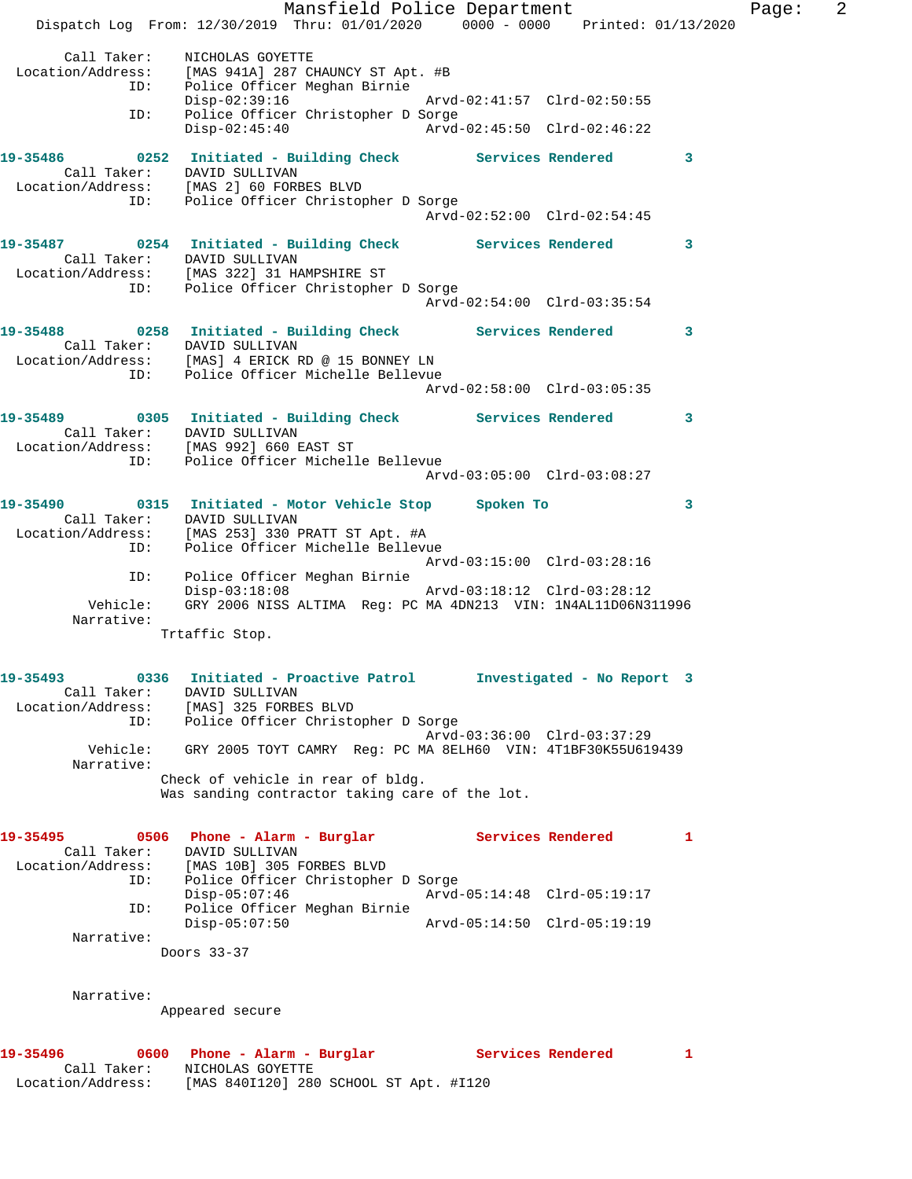Mansfield Police Department Fage: 2 Dispatch Log From: 12/30/2019 Thru: 01/01/2020 0000 - 0000 Printed: 01/13/2020 Call Taker: NICHOLAS GOYETTE Location/Address: [MAS 941A] 287 CHAUNCY ST Apt. #B ID: Police Officer Meghan Birnie Disp-02:39:16 Arvd-02:41:57 Clrd-02:50:55 ID: Police Officer Christopher D Sorge Disp-02:45:40 Arvd-02:45:50 Clrd-02:46:22 **19-35486 0252 Initiated - Building Check Services Rendered 3**  Call Taker: DAVID SULLIVAN Location/Address: [MAS 2] 60 FORBES BLVD ID: Police Officer Christopher D Sorge Arvd-02:52:00 Clrd-02:54:45 **19-35487 0254 Initiated - Building Check Services Rendered 3**  Call Taker: DAVID SULLIVAN Location/Address: [MAS 322] 31 HAMPSHIRE ST ID: Police Officer Christopher D Sorge Arvd-02:54:00 Clrd-03:35:54 **19-35488 0258 Initiated - Building Check Services Rendered 3**  Call Taker: DAVID SULLIVAN Location/Address: [MAS] 4 ERICK RD @ 15 BONNEY LN ID: Police Officer Michelle Bellevue Arvd-02:58:00 Clrd-03:05:35 **19-35489 0305 Initiated - Building Check Services Rendered 3**  Call Taker: DAVID SULLIVAN Location/Address: [MAS 992] 660 EAST ST ID: Police Officer Michelle Bellevue Arvd-03:05:00 Clrd-03:08:27 **19-35490 0315 Initiated - Motor Vehicle Stop Spoken To 3**  Call Taker: DAVID SULLIVAN Location/Address: [MAS 253] 330 PRATT ST Apt. #A ID: Police Officer Michelle Bellevue Arvd-03:15:00 Clrd-03:28:16 ID: Police Officer Meghan Birnie Disp-03:18:08 Arvd-03:18:12 Clrd-03:28:12 Vehicle: GRY 2006 NISS ALTIMA Reg: PC MA 4DN213 VIN: 1N4AL11D06N311996 Narrative: Trtaffic Stop. **19-35493 0336 Initiated - Proactive Patrol Investigated - No Report 3**  Call Taker: DAVID SULLIVAN Location/Address: [MAS] 325 FORBES BLVD ID: Police Officer Christopher D Sorge Arvd-03:36:00 Clrd-03:37:29 Vehicle: GRY 2005 TOYT CAMRY Reg: PC MA 8ELH60 VIN: 4T1BF30K55U619439 Narrative: Check of vehicle in rear of bldg. Was sanding contractor taking care of the lot. **19-35495 0506 Phone - Alarm - Burglar Services Rendered 1**  Call Taker: DAVID SULLIVAN Location/Address: [MAS 10B] 305 FORBES BLVD ID: Police Officer Christopher D Sorge Disp-05:07:46 Arvd-05:14:48 Clrd-05:19:17 ID: Police Officer Meghan Birnie Disp-05:07:50 Arvd-05:14:50 Clrd-05:19:19 Narrative: Doors 33-37 Narrative: Appeared secure **19-35496 0600 Phone - Alarm - Burglar Services Rendered 1**  Call Taker: NICHOLAS GOYETTE Location/Address: [MAS 840I120] 280 SCHOOL ST Apt. #I120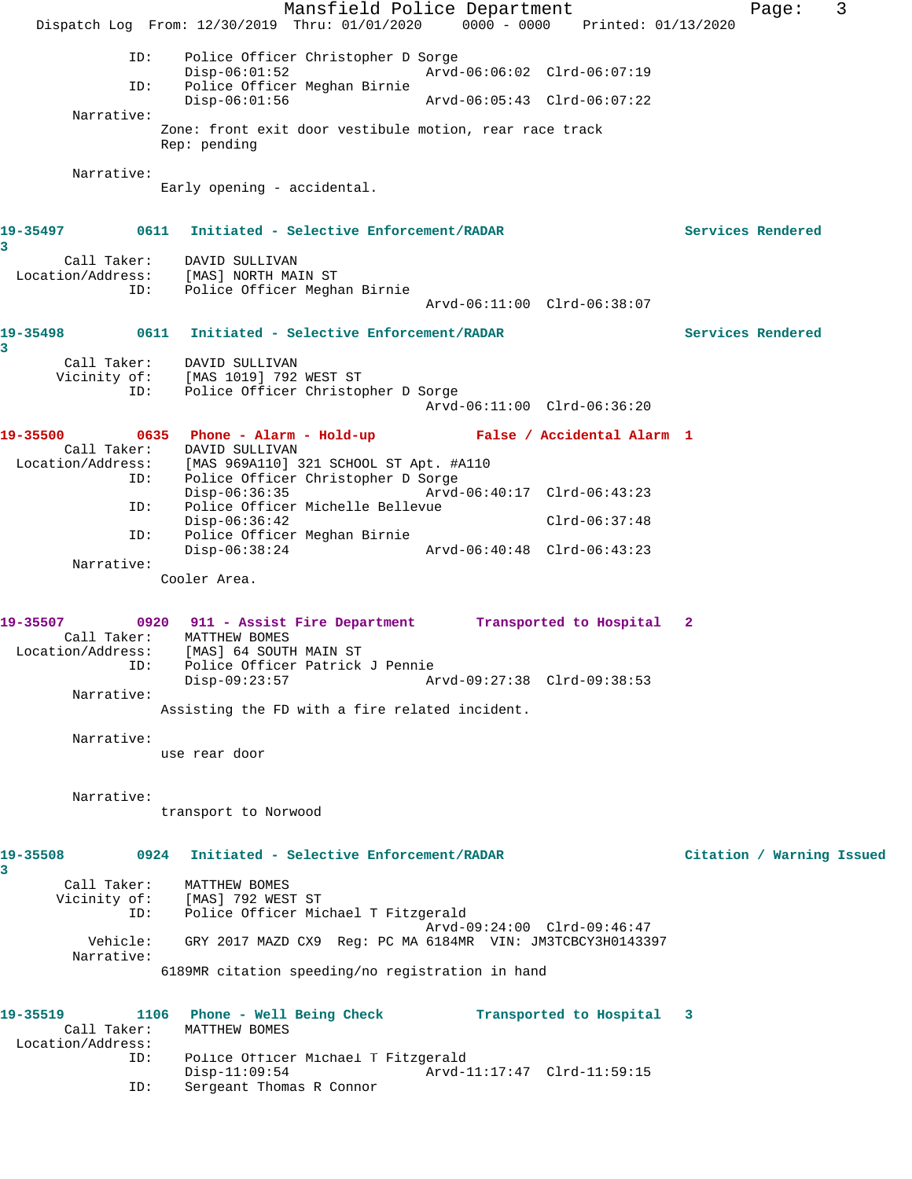Mansfield Police Department Form Page: 3 Dispatch Log From: 12/30/2019 Thru: 01/01/2020 0000 - 0000 Printed: 01/13/2020 ID: Police Officer Christopher D Sorge Disp-06:01:52 Arvd-06:06:02 Clrd-06:07:19 ID: Police Officer Meghan Birnie Disp-06:01:56 Arvd-06:05:43 Clrd-06:07:22 Narrative: Zone: front exit door vestibule motion, rear race track Rep: pending Narrative: Early opening - accidental. **19-35497 0611 Initiated - Selective Enforcement/RADAR Services Rendered 3**  Call Taker: DAVID SULLIVAN Location/Address: [MAS] NORTH MAIN ST ID: Police Officer Meghan Birnie Arvd-06:11:00 Clrd-06:38:07 **19-35498 0611 Initiated - Selective Enforcement/RADAR Services Rendered 3**  Call Taker: DAVID SULLIVAN Vicinity of: [MAS 1019] 792 WEST ST ID: Police Officer Christopher D Sorge Arvd-06:11:00 Clrd-06:36:20 **19-35500 0635 Phone - Alarm - Hold-up False / Accidental Alarm 1**  Call Taker: DAVID SULLIVAN Location/Address: [MAS 969A110] 321 SCHOOL ST Apt. #A110 ID: Police Officer Christopher D Sorge Disp-06:36:35 Arvd-06:40:17 Clrd-06:43:23 ID: Police Officer Michelle Bellevue Disp-06:36:42 Clrd-06:37:48 ID: Police Officer Meghan Birnie Disp-06:38:24 Arvd-06:40:48 Clrd-06:43:23 Narrative: Cooler Area. **19-35507 0920 911 - Assist Fire Department Transported to Hospital 2**  Call Taker: MATTHEW BOMES Location/Address: [MAS] 64 SOUTH MAIN ST ess: [MAS] 64 SOUTH MAIN ST<br>ID: Police Officer Patrick J Pennie<br>Disp-09:23:57 Ar Disp-09:23:57 Arvd-09:27:38 Clrd-09:38:53 Narrative: Assisting the FD with a fire related incident. Narrative: use rear door Narrative: transport to Norwood **19-35508 0924 Initiated - Selective Enforcement/RADAR Citation / Warning Issued 3**  Call Taker: MATTHEW BOMES Vicinity of: [MAS] 792 WEST ST ID: Police Officer Michael T Fitzgerald Arvd-09:24:00 Clrd-09:46:47 Vehicle: GRY 2017 MAZD CX9 Reg: PC MA 6184MR VIN: JM3TCBCY3H0143397 Narrative: 6189MR citation speeding/no registration in hand **19-35519 1106 Phone - Well Being Check Transported to Hospital 3**  Call Taker: MATTHEW BOMES Location/Address: ID: Police Officer Michael T Fitzgerald Arvd-11:17:47 Clrd-11:59:15

ID: Sergeant Thomas R Connor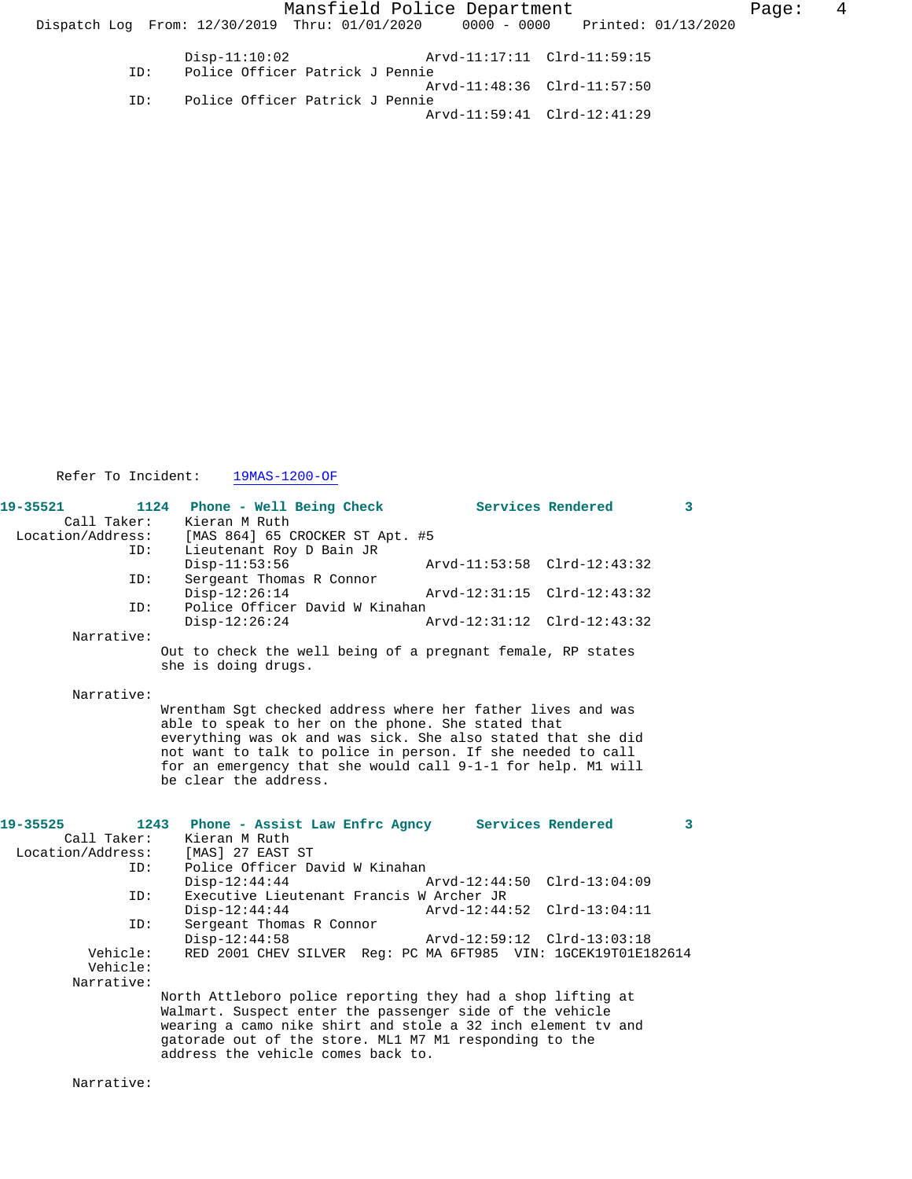Mansfield Police Department The Rage: 4 Dispatch Log From:  $12/30/2019$  Thru:  $01/01/2020$  0000 - 0000 Printed:  $01/13/2020$  Disp-11:10:02 Arvd-11:17:11 Clrd-11:59:15 ID: Police Officer Patrick J Pennie Arvd-11:48:36 Clrd-11:57:50 ID: Police Officer Patrick J Pennie Arvd-11:59:41 Clrd-12:41:29

Refer To Incident: 19MAS-1200-OF

| 19-35521<br>Call Taker: | 1124<br>Phone - Well Being Check<br>Kieran M Ruth                                                                                                                                                                                                                                                                                         |                             | Services Rendered | 3 |
|-------------------------|-------------------------------------------------------------------------------------------------------------------------------------------------------------------------------------------------------------------------------------------------------------------------------------------------------------------------------------------|-----------------------------|-------------------|---|
| Location/Address:       | [MAS 864] 65 CROCKER ST Apt. #5                                                                                                                                                                                                                                                                                                           |                             |                   |   |
| ID:                     | Lieutenant Roy D Bain JR<br>$Disp-11:53:56$                                                                                                                                                                                                                                                                                               | Arvd-11:53:58 Clrd-12:43:32 |                   |   |
| ID:                     | Sergeant Thomas R Connor<br>$Disp-12:26:14$<br>Police Officer David W Kinahan                                                                                                                                                                                                                                                             | Arvd-12:31:15               | $Clrd-12:43:32$   |   |
| ID:                     | $Disp-12:26:24$                                                                                                                                                                                                                                                                                                                           | Arvd-12:31:12               | $Clrd-12:43:32$   |   |
| Narrative:              |                                                                                                                                                                                                                                                                                                                                           |                             |                   |   |
|                         | Out to check the well being of a pregnant female, RP states<br>she is doing drugs.                                                                                                                                                                                                                                                        |                             |                   |   |
| Narrative:              |                                                                                                                                                                                                                                                                                                                                           |                             |                   |   |
|                         | Wrentham Sqt checked address where her father lives and was<br>able to speak to her on the phone. She stated that<br>everything was ok and was sick. She also stated that she did<br>not want to talk to police in person. If she needed to call<br>for an emergency that she would call 9-1-1 for help. M1 will<br>be clear the address. |                             |                   |   |
| 19-35525                | 1243<br>Phone - Assist Law Enfrc Agncy Services Rendered                                                                                                                                                                                                                                                                                  |                             |                   | 3 |
| Call Taker:             | Kieran M Ruth                                                                                                                                                                                                                                                                                                                             |                             |                   |   |
| Location/Address:       | [MAS] 27 EAST ST                                                                                                                                                                                                                                                                                                                          |                             |                   |   |
| ID:                     | Police Officer David W Kinahan                                                                                                                                                                                                                                                                                                            |                             |                   |   |
|                         | $Disp-12:44:44$                                                                                                                                                                                                                                                                                                                           | $Arvd-12:44:50$             | $Clrd-13:04:09$   |   |
| ID:                     | Executive Lieutenant Francis W Archer JR                                                                                                                                                                                                                                                                                                  | Arvd-12:44:52               |                   |   |
| ID:                     | $Disp-12:44:44$<br>Sergeant Thomas R Connor                                                                                                                                                                                                                                                                                               |                             | $Clrd-13:04:11$   |   |
|                         | $Disp-12:44:58$                                                                                                                                                                                                                                                                                                                           | Arvd-12:59:12 Clrd-13:03:18 |                   |   |
| Vehicle:                | RED 2001 CHEV SILVER Req: PC MA 6FT985 VIN: 1GCEK19T01E182614                                                                                                                                                                                                                                                                             |                             |                   |   |
| Vehicle:                |                                                                                                                                                                                                                                                                                                                                           |                             |                   |   |
| Narrative:              |                                                                                                                                                                                                                                                                                                                                           |                             |                   |   |
|                         | North Attleboro police reporting they had a shop lifting at<br>Walmart. Suspect enter the passenger side of the vehicle<br>wearing a camo nike shirt and stole a 32 inch element tv and<br>gatorade out of the store. ML1 M7 M1 responding to the<br>address the vehicle comes back to.                                                   |                             |                   |   |

Narrative: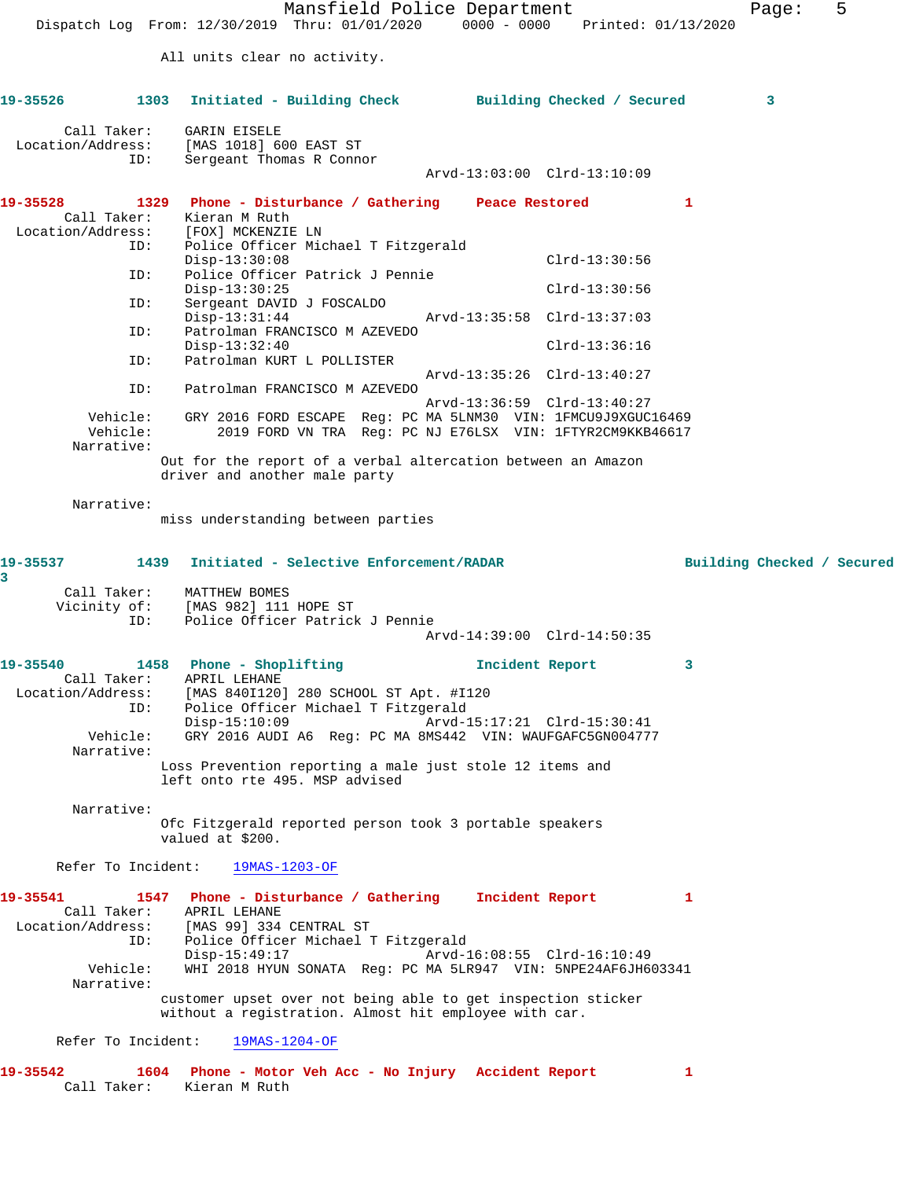Mansfield Police Department Fage: 5 Dispatch Log From: 12/30/2019 Thru: 01/01/2020 0000 - 0000 Printed: 01/13/2020 All units clear no activity. **19-35526 1303 Initiated - Building Check Building Checked / Secured 3** Call Taker: GARIN EISELE Location/Address: [MAS 1018] 600 EAST ST ID: Sergeant Thomas R Connor Arvd-13:03:00 Clrd-13:10:09 **19-35528 1329 Phone - Disturbance / Gathering Peace Restored 1**  Call Taker: Kieran M Ruth Location/Address: [FOX] MCKENZIE LN ID: Police Officer Michael T Fitzgerald Disp-13:30:08 Clrd-13:30:56<br>TD: Police Officer Patrick J Pennie Police Officer Patrick J Pennie Disp-13:30:25 Clrd-13:30:56 ID: Sergeant DAVID J FOSCALDO Disp-13:31:44 Arvd-13:35:58 Clrd-13:37:03<br>ID: Patrolman FRANCISCO M AZEVEDO Patrolman FRANCISCO M AZEVEDO Disp-13:32:40 Clrd-13:36:16<br>ID: Patrolman KURT L POLLISTER Patrolman KURT L POLLISTER Arvd-13:35:26 Clrd-13:40:27 ID: Patrolman FRANCISCO M AZEVEDO Arvd-13:36:59 Clrd-13:40:27 Vehicle: GRY 2016 FORD ESCAPE Reg: PC MA 5LNM30 VIN: 1FMCU9J9XGUC16469 Vehicle: 2019 FORD VN TRA Reg: PC NJ E76LSX VIN: 1FTYR2CM9KKB46617 Narrative: Out for the report of a verbal altercation between an Amazon driver and another male party Narrative: miss understanding between parties **19-35537 1439 Initiated - Selective Enforcement/RADAR Building Checked / Secured 3**  Call Taker: MATTHEW BOMES Vicinity of: [MAS 982] 111 HOPE ST ID: Police Officer Patrick J Pennie Arvd-14:39:00 Clrd-14:50:35 **19-35540 1458 Phone - Shoplifting Incident Report 3**  Call Taker: APRIL LEHANE Location/Address: [MAS 840I120] 280 SCHOOL ST Apt. #I120 ID: Police Officer Michael T Fitzgerald Disp-15:10:09 Arvd-15:17:21 Clrd-15:30:41 Vehicle: GRY 2016 AUDI A6 Reg: PC MA 8MS442 VIN: WAUFGAFC5GN004777 Narrative: Loss Prevention reporting a male just stole 12 items and left onto rte 495. MSP advised Narrative: Ofc Fitzgerald reported person took 3 portable speakers valued at \$200. Refer To Incident: 19MAS-1203-OF **19-35541 1547 Phone - Disturbance / Gathering Incident Report 1**  Call Taker: APRIL LEHANE Location/Address: [MAS 99] 334 CENTRAL ST ID: Police Officer Michael T Fitzgerald Disp-15:49:17 Arvd-16:08:55 Clrd-16:10:49 Vehicle: WHI 2018 HYUN SONATA Reg: PC MA 5LR947 VIN: 5NPE24AF6JH603341 Narrative: customer upset over not being able to get inspection sticker without a registration. Almost hit employee with car. Refer To Incident: 19MAS-1204-OF **19-35542 1604 Phone - Motor Veh Acc - No Injury Accident Report 1**  Call Taker: Kieran M Ruth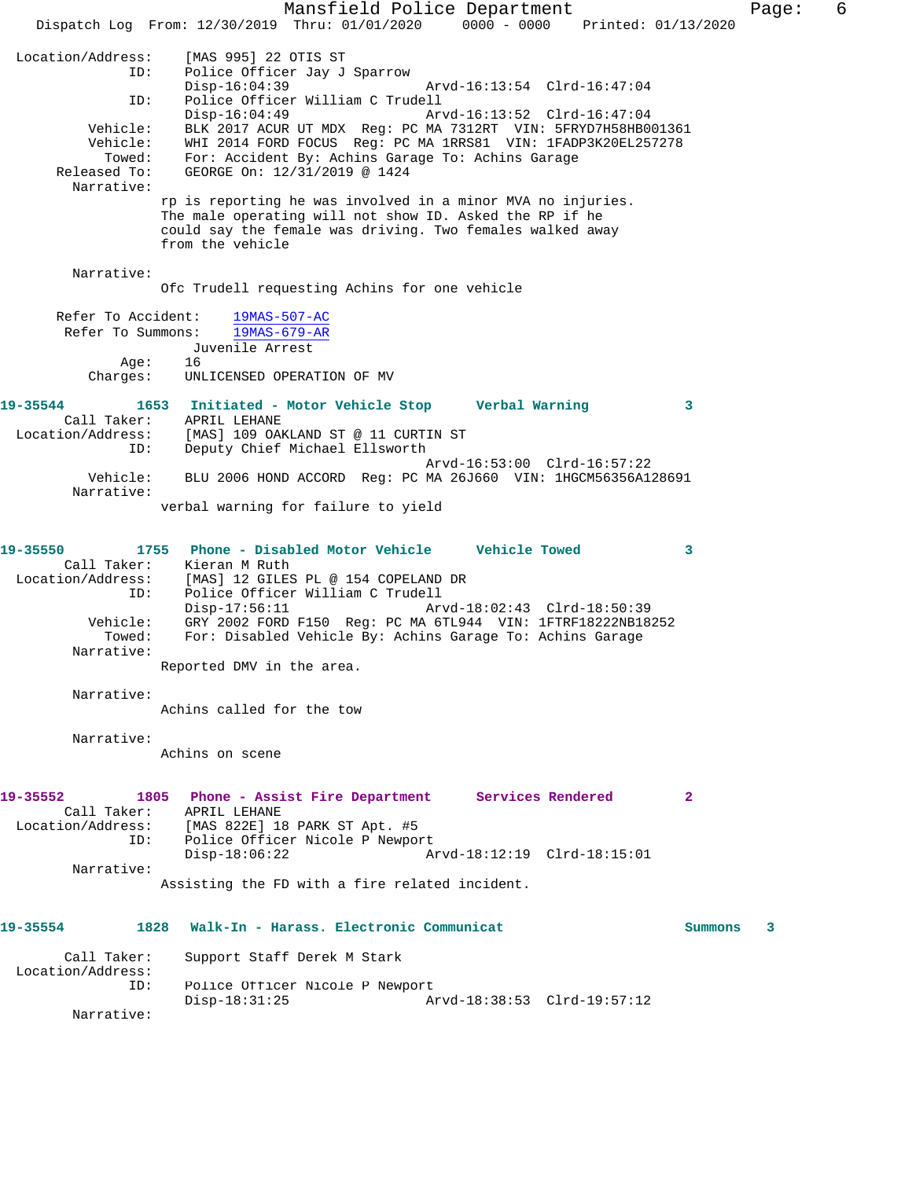Mansfield Police Department Fage: 6 Dispatch Log From: 12/30/2019 Thru: 01/01/2020 0000 - 0000 Printed: 01/13/2020 Location/Address: [MAS 995] 22 OTIS ST Police Officer Jay J Sparrow<br>Disp-16:04:39 Disp-16:04:39 Arvd-16:13:54 Clrd-16:47:04 ID: Police Officer William C Trudell Disp-16:04:49 Arvd-16:13:52 Clrd-16:47:04 Vehicle: BLK 2017 ACUR UT MDX Reg: PC MA 7312RT VIN: 5FRYD7H58HB001361 Vehicle: WHI 2014 FORD FOCUS Reg: PC MA 1RRS81 VIN: 1FADP3K20EL257278 Towed: For: Accident By: Achins Garage To: Achins Garage Released To: GEORGE On: 12/31/2019 @ 1424 Narrative: rp is reporting he was involved in a minor MVA no injuries. The male operating will not show ID. Asked the RP if he could say the female was driving. Two females walked away from the vehicle Narrative: Ofc Trudell requesting Achins for one vehicle Refer To Accident: 19MAS-507-AC Refer To Summons: 19MAS-679-AR Juvenile Arrest Age:<br>:Charges UNLICENSED OPERATION OF MV **19-35544 1653 Initiated - Motor Vehicle Stop Verbal Warning 3**  Call Taker: APRIL LEHANE Location/Address: [MAS] 109 OAKLAND ST @ 11 CURTIN ST ID: Deputy Chief Michael Ellsworth Arvd-16:53:00 Clrd-16:57:22 Vehicle: BLU 2006 HOND ACCORD Reg: PC MA 26J660 VIN: 1HGCM56356A128691 Narrative: verbal warning for failure to yield **19-35550 1755 Phone - Disabled Motor Vehicle Vehicle Towed 3**  Call Taker: Kieran M Ruth Location/Address: [MAS] 12 GILES PL @ 154 COPELAND DR ID: Police Officer William C Trudell Disp-17:56:11 Arvd-18:02:43 Clrd-18:50:39 Vehicle: GRY 2002 FORD F150 Reg: PC MA 6TL944 VIN: 1FTRF18222NB18252 Towed: For: Disabled Vehicle By: Achins Garage To: Achins Garage Narrative: Reported DMV in the area. Narrative: Achins called for the tow Narrative: Achins on scene **19-35552 1805 Phone - Assist Fire Department Services Rendered 2**  Call Taker: APRIL LEHANE Location/Address: [MAS 822E] 18 PARK ST Apt. #5 ID: Police Officer Nicole P Newport<br>Disp-18:06:22 A Disp-18:06:22 Arvd-18:12:19 Clrd-18:15:01 Narrative: Assisting the FD with a fire related incident. **19-35554 1828 Walk-In - Harass. Electronic Communicat Summons 3** Call Taker: Support Staff Derek M Stark Location/Address: ID: Police Officer Nicole P Newport<br>Disp-18:31:25 A Disp-18:31:25 Arvd-18:38:53 Clrd-19:57:12 Narrative: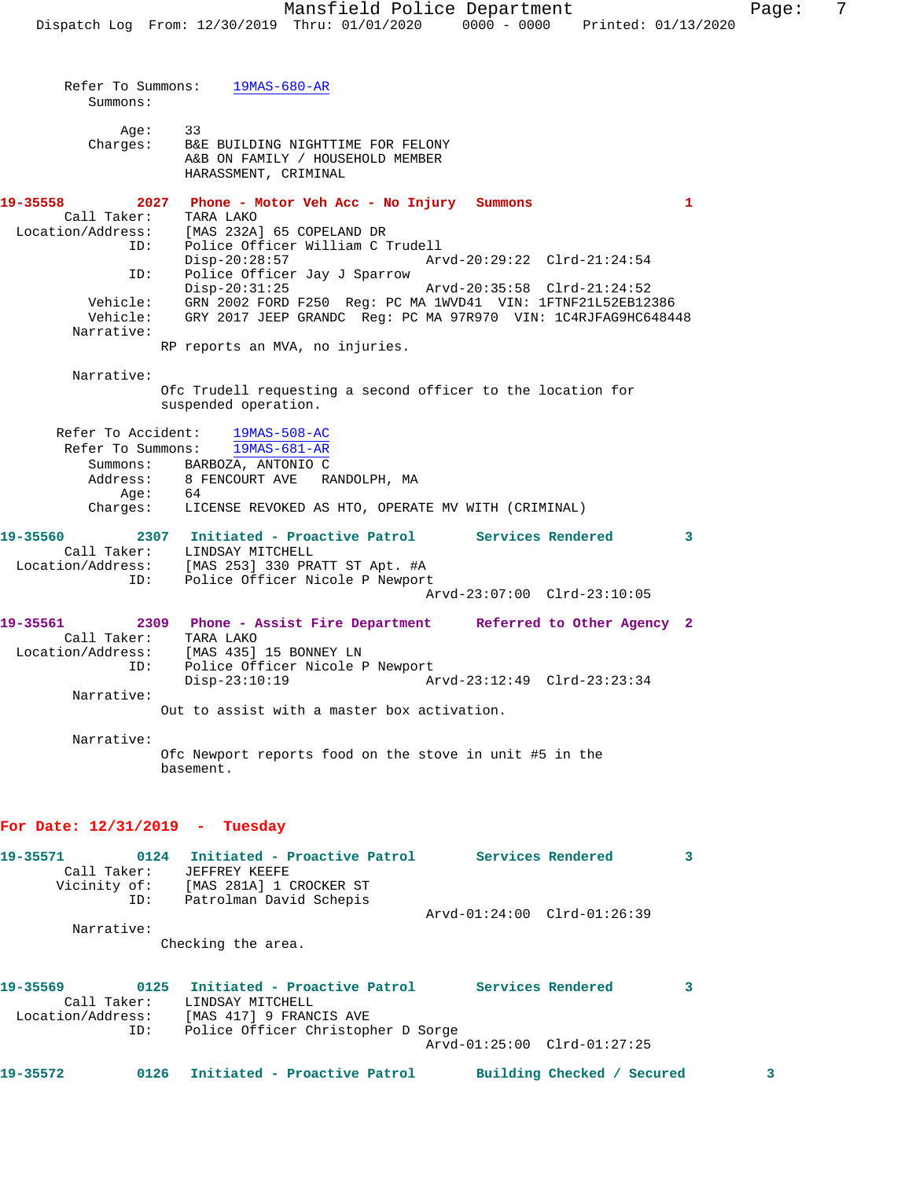| Summons:                          | Refer To Summons: 19MAS-680-AR                                                                                                                                                                                                                                                   |                         |
|-----------------------------------|----------------------------------------------------------------------------------------------------------------------------------------------------------------------------------------------------------------------------------------------------------------------------------|-------------------------|
| Charges:                          | Age: 33<br>B&E BUILDING NIGHTTIME FOR FELONY<br>A&B ON FAMILY / HOUSEHOLD MEMBER<br>HARASSMENT, CRIMINAL                                                                                                                                                                         |                         |
| 19-35558<br>Call Taker:<br>ID:    | 2027 Phone - Motor Veh Acc - No Injury Summons<br>TARA LAKO<br>Location/Address: [MAS 232A] 65 COPELAND DR<br>Police Officer William C Trudell                                                                                                                                   | $\mathbf{1}$            |
| ID:<br>Vehicle:<br>Narrative:     | $Disp-20:28:57$<br>Arvd-20:29:22 Clrd-21:24:54<br>Police Officer Jay J Sparrow<br>$Disp-20:31:25$<br>Vehicle: GRN 2002 FORD F250 Reg: PC MA 1WVD41 VIN: 1FTNF21L52EB12386<br>GRY 2017 JEEP GRANDC Reg: PC MA 97R970 VIN: 1C4RJFAG9HC648448                                       |                         |
|                                   | RP reports an MVA, no injuries.                                                                                                                                                                                                                                                  |                         |
| Narrative:                        | Ofc Trudell requesting a second officer to the location for<br>suspended operation.                                                                                                                                                                                              |                         |
|                                   | Refer To Accident: 19MAS-508-AC<br>Refer To Summons: 19MAS-681-AR<br>Summons: BARBOZA, ANTONIO C<br>Address: 8 FENCOURT AVE RANDOLPH, MA<br>Age: 64<br>Charges: LICENSE REVOKED AS HTO, OPERATE MV WITH (CRIMINAL)                                                               |                         |
| 19-35560                          | 2307 Initiated - Proactive Patrol Services Rendered<br>Call Taker: LINDSAY MITCHELL<br>Location/Address: [MAS 253] 330 PRATT ST Apt. #A<br>ID: Police Officer Nicole P Newport<br>Arvd-23:07:00 Clrd-23:10:05                                                                    | $\overline{\mathbf{3}}$ |
| ID:<br>Narrative:                 | 19-35561 2309 Phone - Assist Fire Department Referred to Other Agency 2<br>Call Taker: TARA LAKO<br>Location/Address: [MAS 435] 15 BONNEY LN<br>Police Officer Nicole P Newport<br>Arvd-23:12:49 Clrd-23:23:34<br>$Disp-23:10:19$<br>Out to assist with a master box activation. |                         |
| Narrative:                        | Ofc Newport reports food on the stove in unit #5 in the<br>basement.                                                                                                                                                                                                             |                         |
| For Date: $12/31/2019$ - Tuesday  |                                                                                                                                                                                                                                                                                  |                         |
| 19-35571<br>0124<br>$C211$ Taker: | Initiated - Proactive Patrol<br>Services Rendered<br>FFFFRFV KFFFF                                                                                                                                                                                                               | 3                       |

| _____        |                         |                             |  |
|--------------|-------------------------|-----------------------------|--|
| Call Taker:  | JEFFREY KEEFE           |                             |  |
| Vicinity of: | [MAS 281A] 1 CROCKER ST |                             |  |
| ID:          | Patrolman David Schepis |                             |  |
|              |                         | Arvd-01:24:00 Clrd-01:26:39 |  |
| Narrative:   |                         |                             |  |
|              |                         |                             |  |

Checking the area.

| LINDSAY MITCHELL        |                                   |                                    |                                                  |
|-------------------------|-----------------------------------|------------------------------------|--------------------------------------------------|
| [MAS 417] 9 FRANCIS AVE |                                   |                                    |                                                  |
|                         |                                   |                                    |                                                  |
|                         |                                   |                                    |                                                  |
|                         |                                   |                                    |                                                  |
|                         | 0125 Initiated - Proactive Patrol | Police Officer Christopher D Sorge | Services Rendered<br>Arvd-01:25:00 Clrd-01:27:25 |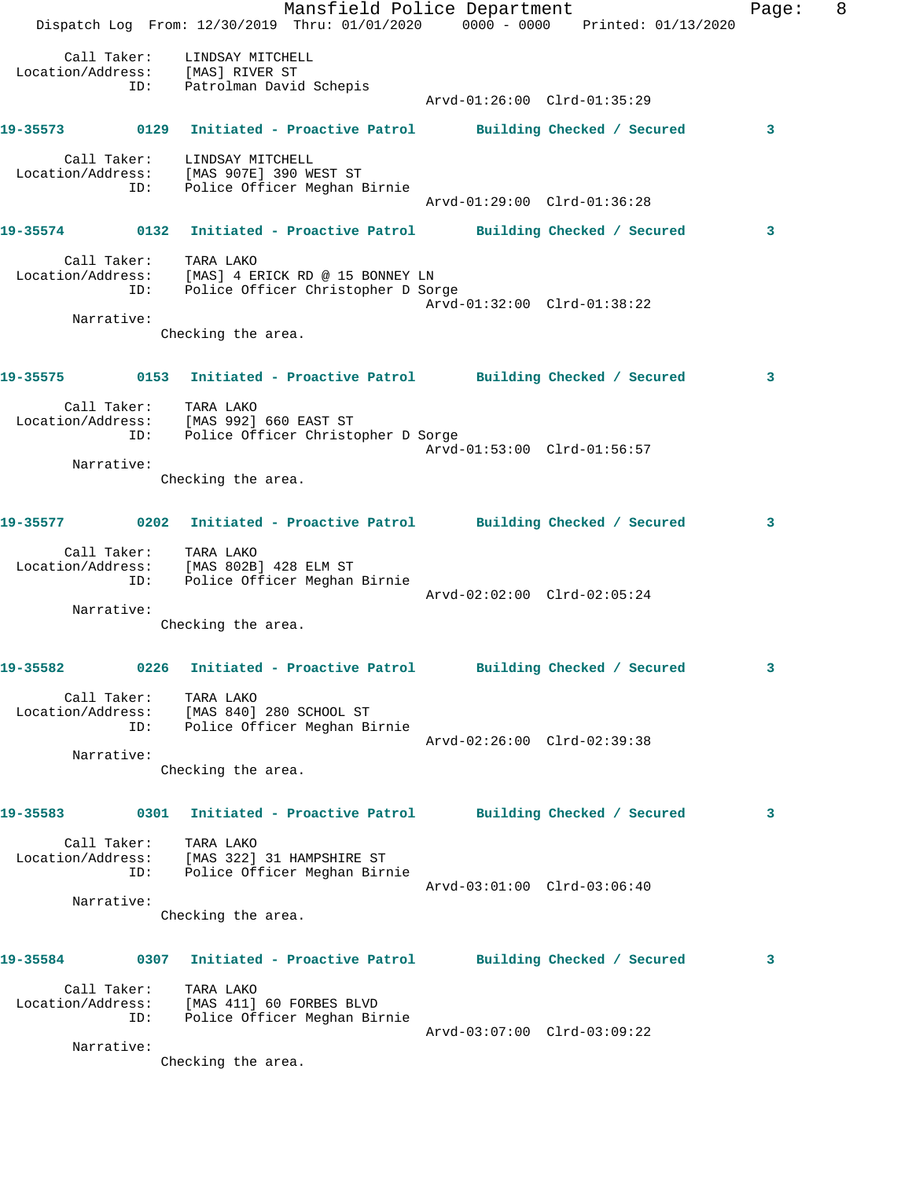|            |                                                                                                                      | Mansfield Police Department  |                             | Dispatch Log From: 12/30/2019 Thru: 01/01/2020 0000 - 0000 Printed: 01/13/2020  | Page: | 8 |
|------------|----------------------------------------------------------------------------------------------------------------------|------------------------------|-----------------------------|---------------------------------------------------------------------------------|-------|---|
|            | Call Taker: LINDSAY MITCHELL<br>Location/Address: [MAS] RIVER ST<br>ID: Patrolman David Schepis                      |                              | Arvd-01:26:00 Clrd-01:35:29 |                                                                                 |       |   |
|            |                                                                                                                      |                              |                             |                                                                                 |       |   |
|            |                                                                                                                      |                              |                             | 19-35573 0129 Initiated - Proactive Patrol Building Checked / Secured           | 3     |   |
|            | Call Taker: LINDSAY MITCHELL<br>Location/Address: [MAS 907E] 390 WEST ST<br>ID:                                      | Police Officer Meghan Birnie | Arvd-01:29:00 Clrd-01:36:28 |                                                                                 |       |   |
|            |                                                                                                                      |                              |                             | 19-35574 0132 Initiated - Proactive Patrol Building Checked / Secured           | 3     |   |
| Narrative: | Call Taker: TARA LAKO<br>Location/Address: [MAS] 4 ERICK RD @ 15 BONNEY LN<br>ID: Police Officer Christopher D Sorge |                              | Arvd-01:32:00 Clrd-01:38:22 |                                                                                 |       |   |
|            | Checking the area.                                                                                                   |                              |                             |                                                                                 |       |   |
|            |                                                                                                                      |                              |                             | 19-35575 0153 Initiated - Proactive Patrol Building Checked / Secured           | 3     |   |
|            | Call Taker: TARA LAKO<br>Location/Address: [MAS 992] 660 EAST ST<br>ID: Police Officer Christopher D Sorge           |                              | Arvd-01:53:00 Clrd-01:56:57 |                                                                                 |       |   |
| Narrative: | Checking the area.                                                                                                   |                              |                             |                                                                                 |       |   |
|            |                                                                                                                      |                              |                             |                                                                                 |       |   |
|            |                                                                                                                      |                              |                             | 19-35577 0202 Initiated - Proactive Patrol Building Checked / Secured           | 3     |   |
|            | Call Taker: TARA LAKO<br>Location/Address: [MAS 802B] 428 ELM ST<br>ID:                                              | Police Officer Meghan Birnie | Arvd-02:02:00 Clrd-02:05:24 |                                                                                 |       |   |
| Narrative: | Checking the area.                                                                                                   |                              |                             |                                                                                 |       |   |
| 19-35582   |                                                                                                                      |                              |                             | 0226 Initiated - Proactive Patrol Building Checked / Secured                    |       |   |
|            | Call Taker: TARA LAKO<br>Location/Address: [MAS 840] 280 SCHOOL ST<br>ID: Police Officer Meghan Birnie               |                              | Arvd-02:26:00 Clrd-02:39:38 |                                                                                 |       |   |
| Narrative: | Checking the area.                                                                                                   |                              |                             |                                                                                 |       |   |
|            |                                                                                                                      |                              |                             |                                                                                 |       |   |
|            |                                                                                                                      |                              |                             | 19-35583 0301 Initiated - Proactive Patrol Building Checked / Secured           | 3     |   |
|            | Call Taker: TARA LAKO<br>Location/Address: [MAS 322] 31 HAMPSHIRE ST<br>ID: Police Officer Meghan Birnie             |                              | Arvd-03:01:00 Clrd-03:06:40 |                                                                                 |       |   |
| Narrative: | Checking the area.                                                                                                   |                              |                             |                                                                                 |       |   |
|            |                                                                                                                      |                              |                             | 19-35584      0307  Initiated - Proactive Patrol     Building Checked / Secured | 3     |   |
|            | Call Taker: TARA LAKO<br>Location/Address: [MAS 411] 60 FORBES BLVD<br>ID: Police Officer Meghan Birnie              |                              | Arvd-03:07:00 Clrd-03:09:22 |                                                                                 |       |   |
| Narrative: |                                                                                                                      |                              |                             |                                                                                 |       |   |
|            | Checking the area.                                                                                                   |                              |                             |                                                                                 |       |   |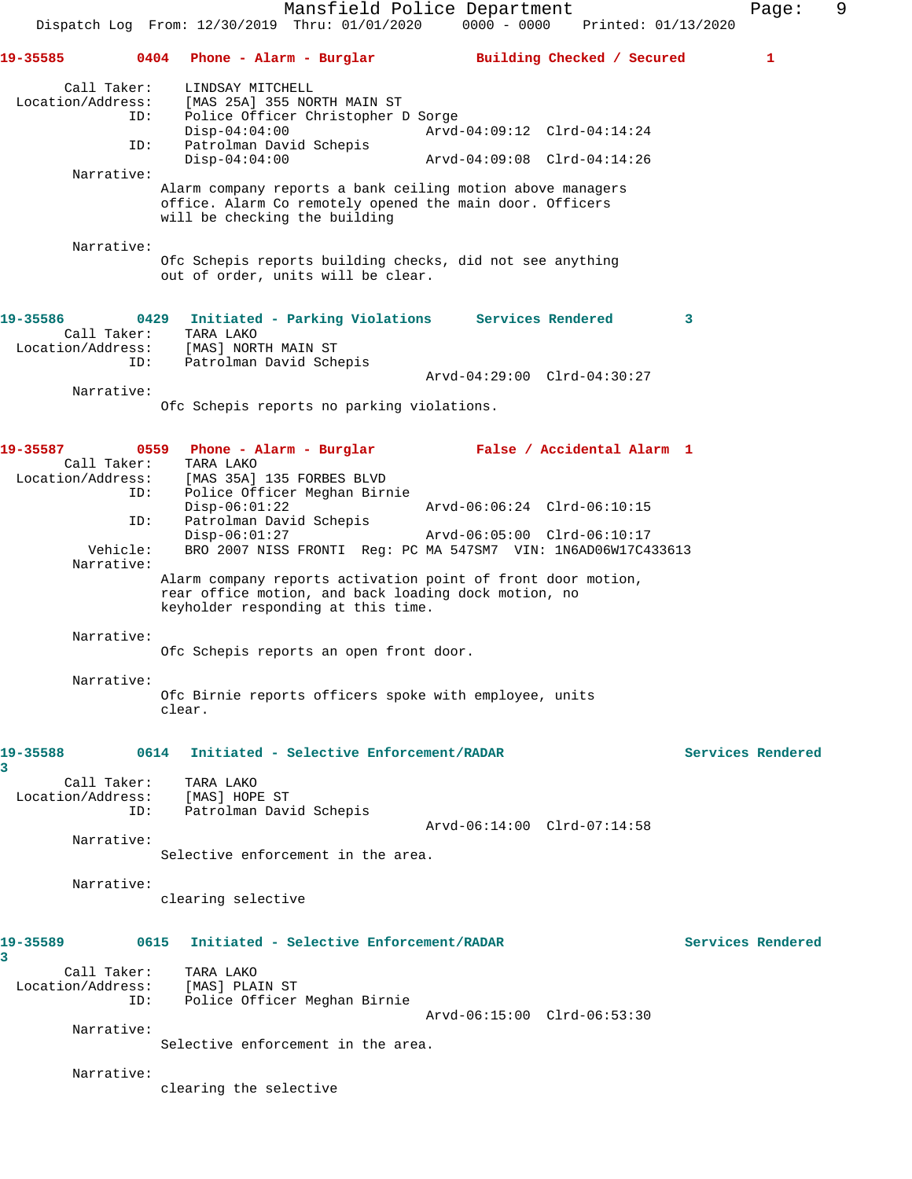Mansfield Police Department Fage: 9 Dispatch Log From: 12/30/2019 Thru: 01/01/2020 0000 - 0000 Printed: 01/13/2020 **19-35585 0404 Phone - Alarm - Burglar Building Checked / Secured 1** Call Taker: LINDSAY MITCHELL<br>Location/Address: [MAS 25A] 355 NOR [MAS 25A] 355 NORTH MAIN ST ID: Police Officer Christopher D Sorge Disp-04:04:00 <br>TD: Patrolman David Schepis <br>Disponent David Schepis Patrolman David Schepis Disp-04:04:00 Arvd-04:09:08 Clrd-04:14:26 Narrative: Alarm company reports a bank ceiling motion above managers office. Alarm Co remotely opened the main door. Officers will be checking the building Narrative: Ofc Schepis reports building checks, did not see anything out of order, units will be clear. **19-35586 0429 Initiated - Parking Violations Services Rendered 3**  Call Taker: TARA LAKO Location/Address: [MAS] NORTH MAIN ST<br>ID: Patrolman David Sche Patrolman David Schepis Arvd-04:29:00 Clrd-04:30:27 Narrative: Ofc Schepis reports no parking violations. **19-35587 0559 Phone - Alarm - Burglar False / Accidental Alarm 1**  Call Taker: TARA LAKO Location/Address: [MAS 35A] 135 FORBES BLVD ID: Police Officer Meghan Birnie Disp-06:01:22 Arvd-06:06:24 Clrd-06:10:15 ID: Patrolman David Schepis Disp-06:01:27 Arvd-06:05:00 Clrd-06:10:17<br>Vehicle: BRO 2007 NISS FRONTI Req: PC MA 547SM7 VIN: 1N6AD06W17C4 BRO 2007 NISS FRONTI Reg: PC MA 547SM7 VIN: 1N6AD06W17C433613 Narrative: Alarm company reports activation point of front door motion, rear office motion, and back loading dock motion, no keyholder responding at this time. Narrative: Ofc Schepis reports an open front door. Narrative: Ofc Birnie reports officers spoke with employee, units clear. **19-35588 0614 Initiated - Selective Enforcement/RADAR Services Rendered 3**  Call Taker: TARA LAKO Location/Address: [MAS] HOPE ST ID: Patrolman David Schepis Arvd-06:14:00 Clrd-07:14:58 Narrative: Selective enforcement in the area. Narrative: clearing selective **19-35589 0615 Initiated - Selective Enforcement/RADAR Services Rendered 3**  Call Taker: TARA LAKO Location/Address: [MAS] PLAIN ST ID: Police Officer Meghan Birnie Arvd-06:15:00 Clrd-06:53:30 Narrative: Selective enforcement in the area. Narrative: clearing the selective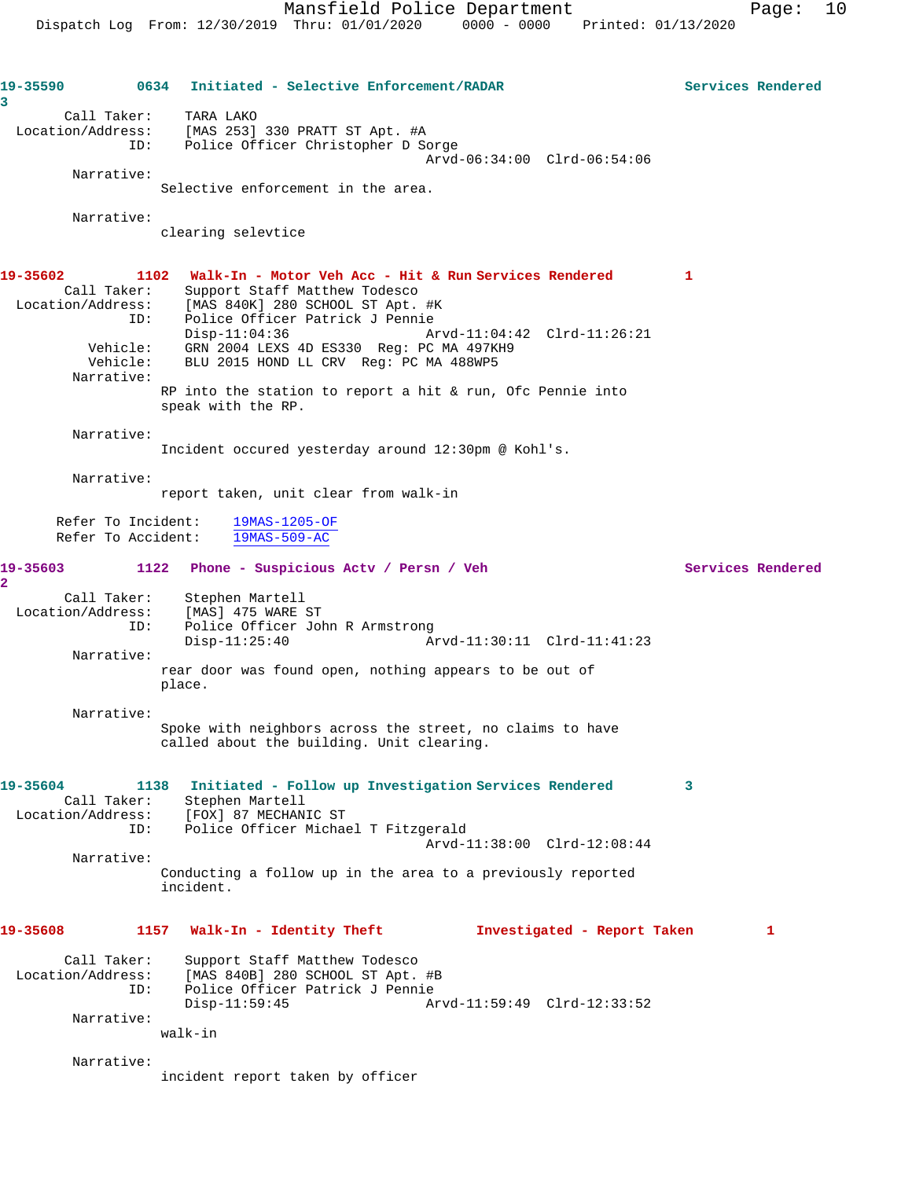**19-35590 0634 Initiated - Selective Enforcement/RADAR Services Rendered 3**  Call Taker: TARA LAKO Location/Address: [MAS 253] 330 PRATT ST Apt. #A ID: Police Officer Christopher D Sorge Arvd-06:34:00 Clrd-06:54:06 Narrative: Selective enforcement in the area. Narrative: clearing selevtice **19-35602 1102 Walk-In - Motor Veh Acc - Hit & Run Services Rendered 1**  Call Taker: Support Staff Matthew Todesco Location/Address: [MAS 840K] 280 SCHOOL ST Apt. #K ID: Police Officer Patrick J Pennie Disp-11:04:36 Arvd-11:04:42 Clrd-11:26:21 Vehicle: GRN 2004 LEXS 4D ES330 Reg: PC MA 497KH9 Vehicle: BLU 2015 HOND LL CRV Reg: PC MA 488WP5 Narrative: RP into the station to report a hit & run, Ofc Pennie into speak with the RP. Narrative: Incident occured yesterday around 12:30pm @ Kohl's. Narrative: report taken, unit clear from walk-in Refer To Incident: 19MAS-1205-OF Refer To Accident: 19MAS-509-AC **19-35603 1122 Phone - Suspicious Actv / Persn / Veh Services Rendered 2**  Call Taker: Stephen Martell Location/Address: [MAS] 475 WARE ST ESS: IMADI TIS MIND ST<br>ID: Police Officer John R Armstrong<br>Disp-11:25:40 Am Disp-11:25:40 Arvd-11:30:11 Clrd-11:41:23 Narrative: rear door was found open, nothing appears to be out of place. Narrative: Spoke with neighbors across the street, no claims to have called about the building. Unit clearing. **19-35604 1138 Initiated - Follow up Investigation Services Rendered 3**  Call Taker: Stephen Martell Location/Address: [FOX] 87 MECHANIC ST ID: Police Officer Michael T Fitzgerald Arvd-11:38:00 Clrd-12:08:44 Narrative: Conducting a follow up in the area to a previously reported incident. **19-35608 1157 Walk-In - Identity Theft Investigated - Report Taken 1** Call Taker: Support Staff Matthew Todesco Location/Address: [MAS 840B] 280 SCHOOL ST Apt. #B ID: Police Officer Patrick J Pennie Disp-11:59:45 Arvd-11:59:49 Clrd-12:33:52 Narrative: walk-in Narrative: incident report taken by officer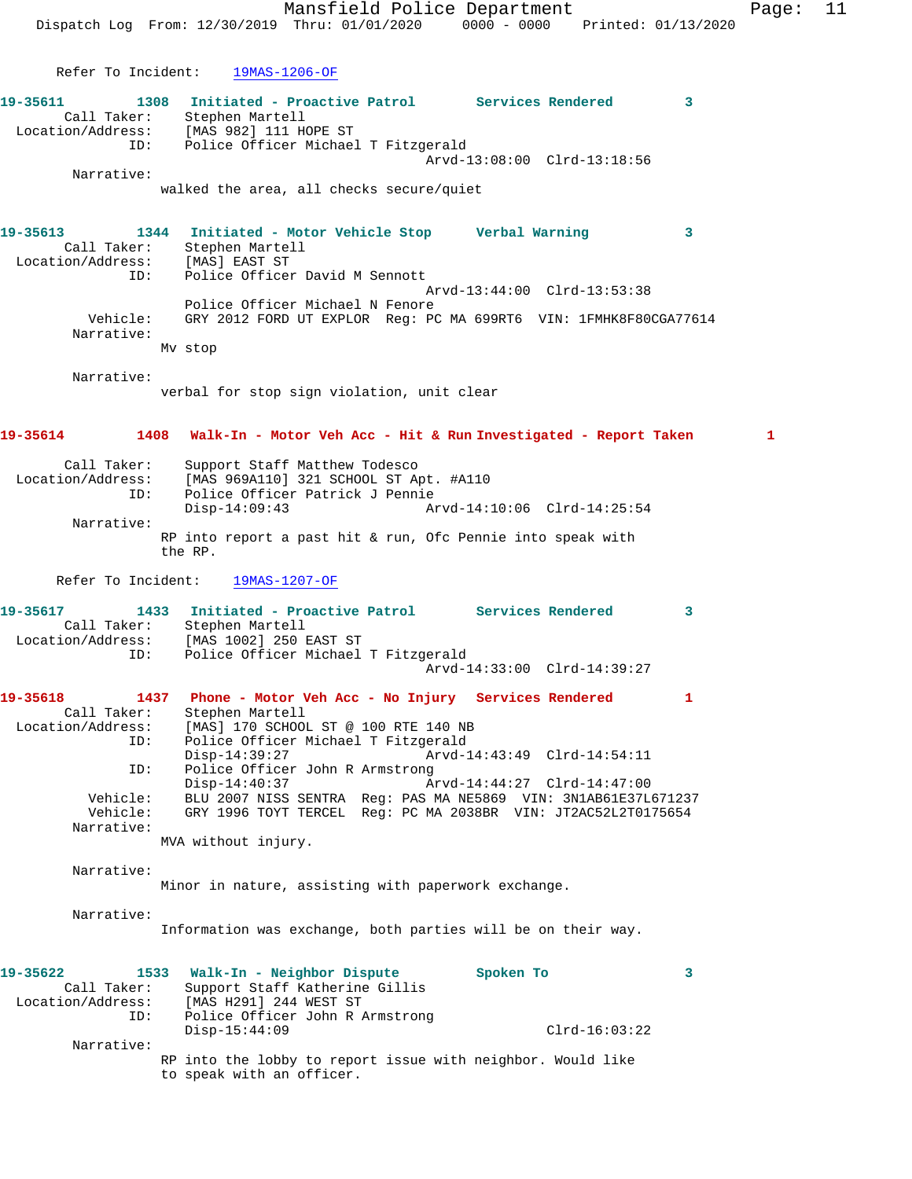Mansfield Police Department Fage: 11 Dispatch Log From: 12/30/2019 Thru: 01/01/2020 0000 - 0000 Printed: 01/13/2020 Refer To Incident: 19MAS-1206-OF **19-35611 1308 Initiated - Proactive Patrol Services Rendered 3**  Call Taker: Stephen Martell Location/Address: [MAS 982] 111 HOPE ST ID: Police Officer Michael T Fitzgerald Arvd-13:08:00 Clrd-13:18:56 Narrative: walked the area, all checks secure/quiet **19-35613 1344 Initiated - Motor Vehicle Stop Verbal Warning 3**  Call Taker: Stephen Martell<br>ion/Address: [MAS] EAST ST Location/Address: ID: Police Officer David M Sennott Arvd-13:44:00 Clrd-13:53:38 Police Officer Michael N Fenore Vehicle: GRY 2012 FORD UT EXPLOR Reg: PC MA 699RT6 VIN: 1FMHK8F80CGA77614 Narrative: Mv stop Narrative: verbal for stop sign violation, unit clear **19-35614 1408 Walk-In - Motor Veh Acc - Hit & Run Investigated - Report Taken 1** Call Taker: Support Staff Matthew Todesco<br>Location/Address: [MAS 969A110] 321 SCHOOL ST Ap [MAS 969A110] 321 SCHOOL ST Apt. #A110 ID: Police Officer Patrick J Pennie Disp-14:09:43 Arvd-14:10:06 Clrd-14:25:54 Narrative: RP into report a past hit & run, Ofc Pennie into speak with the RP. Refer To Incident: 19MAS-1207-OF **19-35617 1433 Initiated - Proactive Patrol Services Rendered 3**  Call Taker: Stephen Martell Location/Address: [MAS 1002] 250 EAST ST ID: Police Officer Michael T Fitzgerald Arvd-14:33:00 Clrd-14:39:27 **19-35618 1437 Phone - Motor Veh Acc - No Injury Services Rendered 1**  Call Taker: Stephen Martell<br>Location/Address: [MAS] 170 SCHOOI [MAS] 170 SCHOOL ST @ 100 RTE 140 NB ID: Police Officer Michael T Fitzgerald Disp-14:39:27 Arvd-14:43:49 Clrd-14:54:11<br>ID: Police Officer John R Armstrong Police Officer John R Armstrong<br>Disp-14:40:37 Disp-14:40:37 Arvd-14:44:27 Clrd-14:47:00 Vehicle: BLU 2007 NISS SENTRA Reg: PAS MA NE5869 VIN: 3N1AB61E37L671237 Vehicle: GRY 1996 TOYT TERCEL Reg: PC MA 2038BR VIN: JT2AC52L2T0175654 Narrative: MVA without injury. Narrative: Minor in nature, assisting with paperwork exchange. Narrative: Information was exchange, both parties will be on their way. **19-35622 1533 Walk-In - Neighbor Dispute Spoken To 3**  Call Taker: Support Staff Katherine Gillis Location/Address: [MAS H291] 244 WEST ST ID: Police Officer John R Armstrong Disp-15:44:09 Clrd-16:03:22 Narrative: RP into the lobby to report issue with neighbor. Would like to speak with an officer.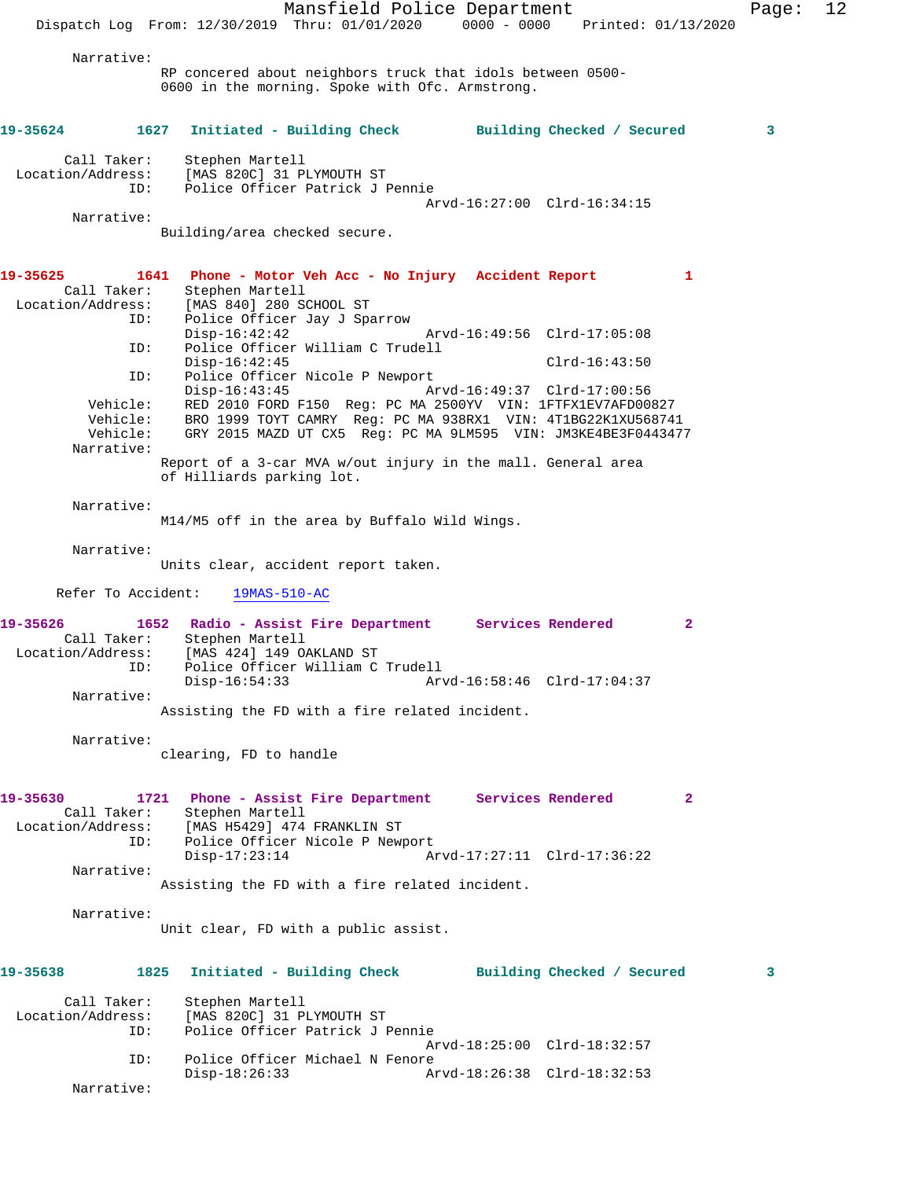Mansfield Police Department Page: 12 Dispatch Log From: 12/30/2019 Thru: 01/01/2020 0000 - 0000 Printed: 01/13/2020 Narrative: RP concered about neighbors truck that idols between 0500- 0600 in the morning. Spoke with Ofc. Armstrong. **19-35624 1627 Initiated - Building Check Building Checked / Secured 3** Call Taker: Stephen Martell<br>Location/Address: [MAS 820C] 31 P ess: [MAS 820C] 31 PLYMOUTH ST<br>ID: Police Officer Patrick J I Police Officer Patrick J Pennie Arvd-16:27:00 Clrd-16:34:15 Narrative: Building/area checked secure. **19-35625 1641 Phone - Motor Veh Acc - No Injury Accident Report 1**  Stephen Martell Location/Address: [MAS 840] 280 SCHOOL ST ID: Police Officer Jay J Sparrow Arvd-16:49:56 Clrd-17:05:08 ID: Police Officer William C Trudell Disp-16:42:45 Clrd-16:43:50<br>ID: Police Officer Nicole P Newport Clrd-16:43:50 Police Officer Nicole P Newport<br>Disp-16:43:45 A Disp-16:43:45 Arvd-16:49:37 Clrd-17:00:56 Vehicle: RED 2010 FORD F150 Reg: PC MA 2500YV VIN: 1FTFX1EV7AFD00827 Vehicle: BRO 1999 TOYT CAMRY Reg: PC MA 938RX1 VIN: 4T1BG22K1XU568741 GRY 2015 MAZD UT CX5 Reg: PC MA 9LM595 VIN: JM3KE4BE3F0443477 Narrative: Report of a 3-car MVA w/out injury in the mall. General area of Hilliards parking lot. Narrative: M14/M5 off in the area by Buffalo Wild Wings. Narrative: Units clear, accident report taken. Refer To Accident: 19MAS-510-AC **19-35626 1652 Radio - Assist Fire Department Services Rendered 2**  Call Taker: Stephen Martell<br>Location/Address: [MAS 424] 149 O. [MAS 424] 149 OAKLAND ST ID: Police Officer William C Trudell Disp-16:54:33 Arvd-16:58:46 Clrd-17:04:37 Narrative: Assisting the FD with a fire related incident. Narrative: clearing, FD to handle **19-35630 1721 Phone - Assist Fire Department Services Rendered 2**  Call Taker: Stephen Martell Location/Address: [MAS H5429] 474 FRANKLIN ST<br>ID: Police Officer Nicole P New Police Officer Nicole P Newport Disp-17:23:14 Arvd-17:27:11 Clrd-17:36:22 Narrative: Assisting the FD with a fire related incident. Narrative: Unit clear, FD with a public assist. **19-35638 1825 Initiated - Building Check Building Checked / Secured 3** Call Taker: Stephen Martell Location/Address: [MAS 820C] 31 PLYMOUTH ST Police Officer Patrick J Pennie Arvd-18:25:00 Clrd-18:32:57 ID: Police Officer Michael N Fenore Disp-18:26:33 Arvd-18:26:38 Clrd-18:32:53 Narrative: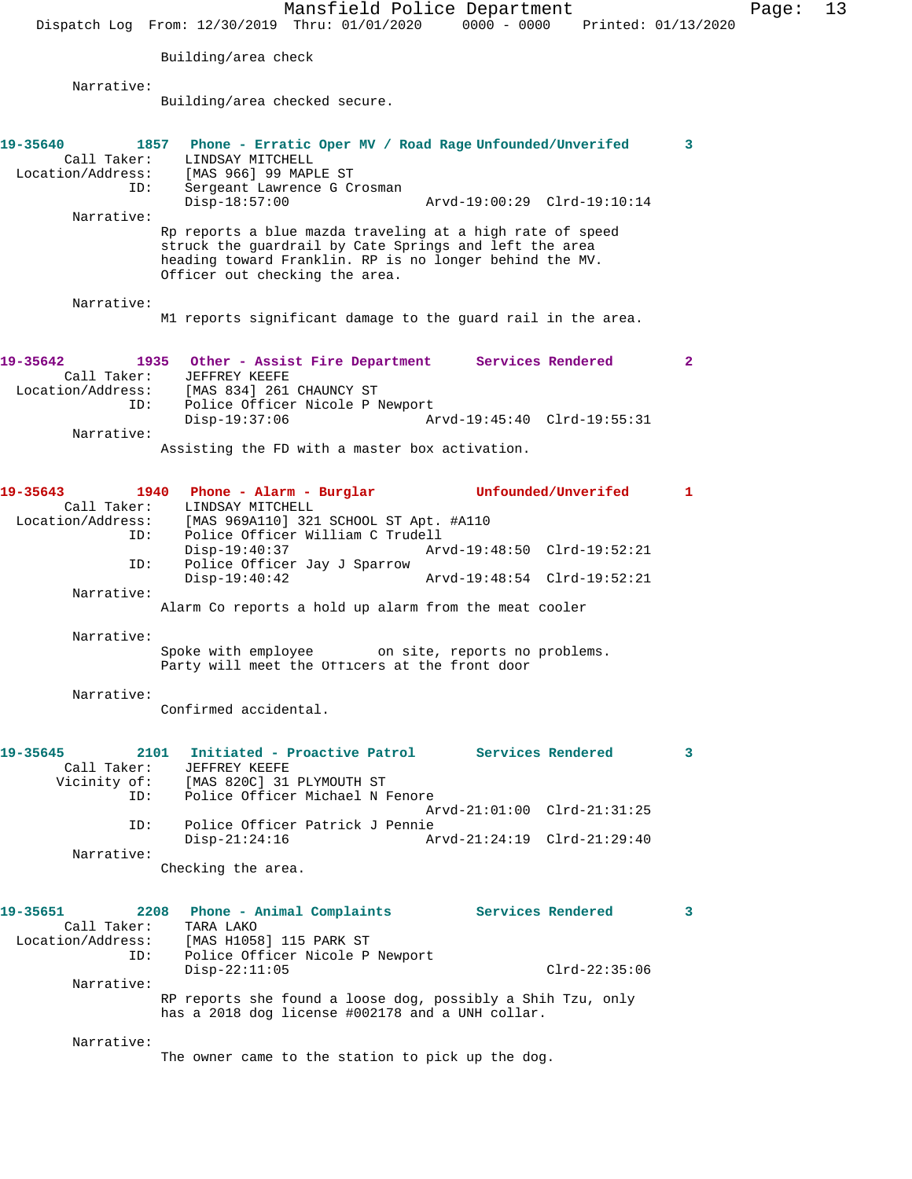Mansfield Police Department Fage: 13 Dispatch Log From: 12/30/2019 Thru: 01/01/2020 0000 - 0000 Printed: 01/13/2020 Building/area check Narrative: Building/area checked secure. **19-35640 1857 Phone - Erratic Oper MV / Road Rage Unfounded/Unverifed 3**  Call Taker: LINDSAY MITCHELL Location/Address: [MAS 966] 99 MAPLE ST ID: Sergeant Lawrence G Crosman Disp-18:57:00 Arvd-19:00:29 Clrd-19:10:14 Narrative: Rp reports a blue mazda traveling at a high rate of speed struck the guardrail by Cate Springs and left the area heading toward Franklin. RP is no longer behind the MV. Officer out checking the area. Narrative: M1 reports significant damage to the guard rail in the area. **19-35642 1935 Other - Assist Fire Department Services Rendered 2**  Call Taker: JEFFREY KEEFE Location/Address: [MAS 834] 261 CHAUNCY ST ID: Police Officer Nicole P Newport Disp-19:37:06 Arvd-19:45:40 Clrd-19:55:31 Narrative: Assisting the FD with a master box activation. **19-35643 1940 Phone - Alarm - Burglar Unfounded/Unverifed 1**  Call Taker: LINDSAY MITCHELL Location/Address: [MAS 969A110] 321 SCHOOL ST Apt. #A110 ID: Police Officer William C Trudell<br>Disp-19:40:37 Ary Disp-19:40:37 Arvd-19:48:50 Clrd-19:52:21 ID: Police Officer Jay J Sparrow<br>Disp-19:40:42 Disp-19:40:42 Arvd-19:48:54 Clrd-19:52:21 Narrative: Alarm Co reports a hold up alarm from the meat cooler Narrative: Spoke with employee on site, reports no problems. Party will meet the Officers at the front door Narrative: Confirmed accidental. **19-35645 2101 Initiated - Proactive Patrol Services Rendered 3**  Call Taker: JEFFREY KEEFE<br>Vicinity of: [MAS 820C] 31 [MAS 820C] 31 PLYMOUTH ST ID: Police Officer Michael N Fenore Arvd-21:01:00 Clrd-21:31:25<br>ID: Police Officer Patrick J Pennie Police Officer Patrick J Pennie Disp-21:24:16 Arvd-21:24:19 Clrd-21:29:40 Narrative: Checking the area. **19-35651 2208 Phone - Animal Complaints Services Rendered 3**  Call Taker: TARA LAKO<br>Location/Address: [MAS H1058 [MAS H1058] 115 PARK ST ID: Police Officer Nicole P Newport Disp-22:11:05 Clrd-22:35:06 Narrative: RP reports she found a loose dog, possibly a Shih Tzu, only has a 2018 dog license #002178 and a UNH collar. Narrative:

The owner came to the station to pick up the dog.